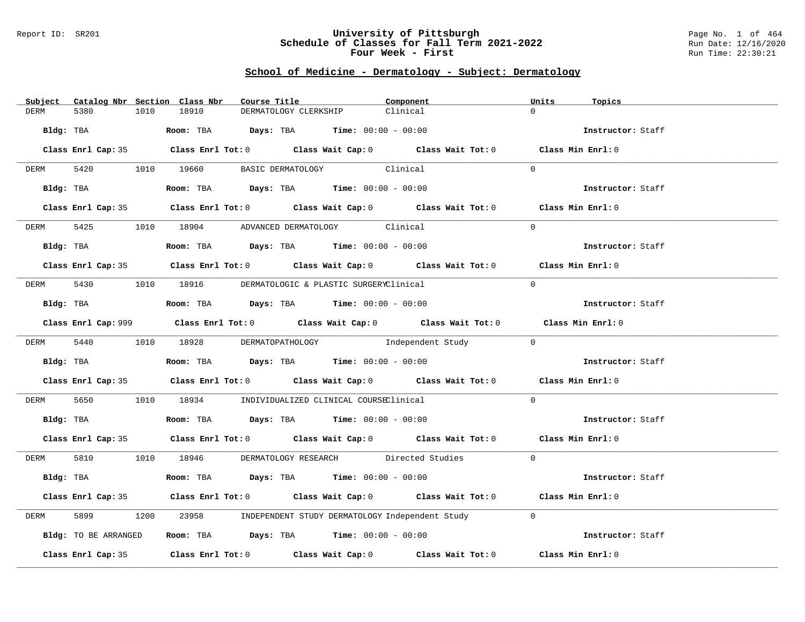### Report ID: SR201 **University of Pittsburgh** Page No. 1 of 464 **Schedule of Classes for Fall Term 2021-2022** Run Date: 12/16/2020 **Four Week - First** Run Time: 22:30:21

# **School of Medicine - Dermatology - Subject: Dermatology**

| Subject Catalog Nbr Section Class Nbr | Course Title                                                                                | Component | Units<br>Topics   |
|---------------------------------------|---------------------------------------------------------------------------------------------|-----------|-------------------|
| 5380<br>1010<br>DERM                  | 18910<br>DERMATOLOGY CLERKSHIP                                                              | Clinical  | $\Omega$          |
| Bldg: TBA                             | <b>Room:</b> TBA $Days: TBA$ <b>Time:</b> $00:00 - 00:00$                                   |           | Instructor: Staff |
|                                       | Class Enrl Cap: 35 Class Enrl Tot: 0 Class Wait Cap: 0 Class Wait Tot: 0 Class Min Enrl: 0  |           |                   |
| DERM                                  | 5420 1010 19660 BASIC DERMATOLOGY Clinical                                                  |           | $\Omega$          |
|                                       | Bldg: TBA                   Room: TBA         Days: TBA         Time: $00:00 - 00:00$       |           | Instructor: Staff |
|                                       | Class Enrl Cap: 35 Class Enrl Tot: 0 Class Wait Cap: 0 Class Wait Tot: 0 Class Min Enrl: 0  |           |                   |
|                                       | DERM 5425 1010 18904 ADVANCED DERMATOLOGY Clinical                                          |           | $\Omega$          |
|                                       | $Bldq$ : TBA $Room$ : TBA $Days$ : TBA $Time$ : 00:00 - 00:00                               |           | Instructor: Staff |
|                                       | Class Enrl Cap: 35 Class Enrl Tot: 0 Class Wait Cap: 0 Class Wait Tot: 0 Class Min Enrl: 0  |           |                   |
|                                       | DERM 5430 1010 18916 DERMATOLOGIC & PLASTIC SURGERYClinical                                 |           | $\Omega$          |
| Bldg: TBA                             | Room: TBA $Days:$ TBA $Time: 00:00 - 00:00$                                                 |           | Instructor: Staff |
|                                       | Class Enrl Cap: 999 Class Enrl Tot: 0 Class Wait Cap: 0 Class Wait Tot: 0 Class Min Enrl: 0 |           |                   |
|                                       | DERM 5440 1010 18928 DERMATOPATHOLOGY Independent Study 0                                   |           |                   |
|                                       | Bldg: TBA                    Room: TBA         Days: TBA        Time: 00:00 - 00:00         |           | Instructor: Staff |
|                                       | Class Enrl Cap: 35 Class Enrl Tot: 0 Class Wait Cap: 0 Class Wait Tot: 0 Class Min Enrl: 0  |           |                   |
| DERM 5650                             | 1010 18934 INDIVIDUALIZED CLINICAL COURSEClinical                                           |           | $\Omega$          |
|                                       | Bldg: TBA                   Room: TBA         Days: TBA         Time: $00:00 - 00:00$       |           | Instructor: Staff |
|                                       | Class Enrl Cap: 35 Class Enrl Tot: 0 Class Wait Cap: 0 Class Wait Tot: 0 Class Min Enrl: 0  |           |                   |
|                                       | DERM 5810 1010 18946 DERMATOLOGY RESEARCH Directed Studies 0                                |           |                   |
|                                       | Bldg: TBA                   Room: TBA         Days: TBA        Time: 00:00 - 00:00          |           | Instructor: Staff |
|                                       | Class Enrl Cap: 35 Class Enrl Tot: 0 Class Wait Cap: 0 Class Wait Tot: 0 Class Min Enrl: 0  |           |                   |
| 5899<br>DERM                          | 1200 23958 INDEPENDENT STUDY DERMATOLOGY Independent Study                                  |           | $\Omega$          |
| Bldg: TO BE ARRANGED                  | Room: TBA $Days:$ TBA $Time:$ $00:00 - 00:00$                                               |           | Instructor: Staff |
|                                       | Class Enrl Cap: 35 Class Enrl Tot: 0 Class Wait Cap: 0 Class Wait Tot: 0                    |           | Class Min Enrl: 0 |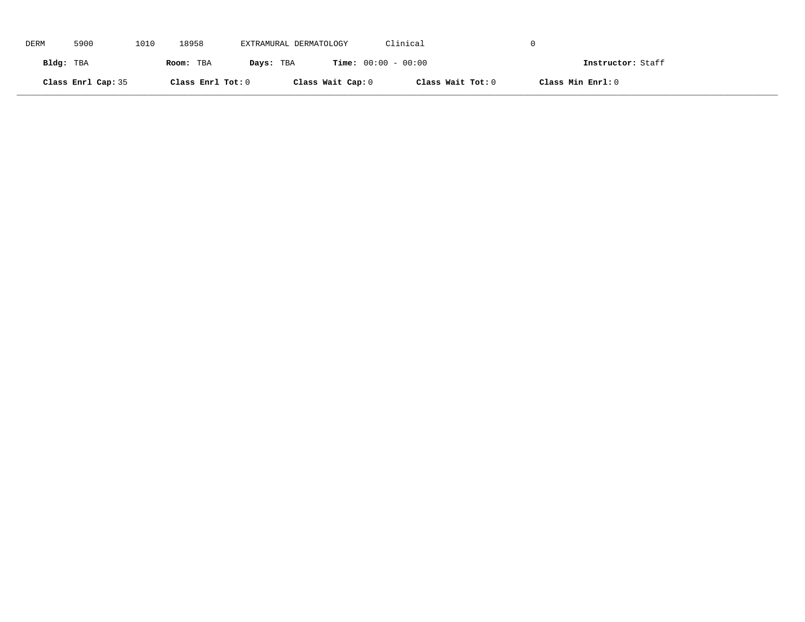| DERM      | 5900               | 1010 | 18958             | EXTRAMURAL DERMATOLOGY |                              | Clinical          |                   |
|-----------|--------------------|------|-------------------|------------------------|------------------------------|-------------------|-------------------|
| Bldg: TBA |                    |      | Room: TBA         | Days: TBA              | <b>Time:</b> $00:00 - 00:00$ |                   | Instructor: Staff |
|           | Class Enrl Cap: 35 |      | Class Enrl Tot: 0 |                        | Class Wait Cap: 0            | Class Wait Tot: 0 | Class Min Enrl: 0 |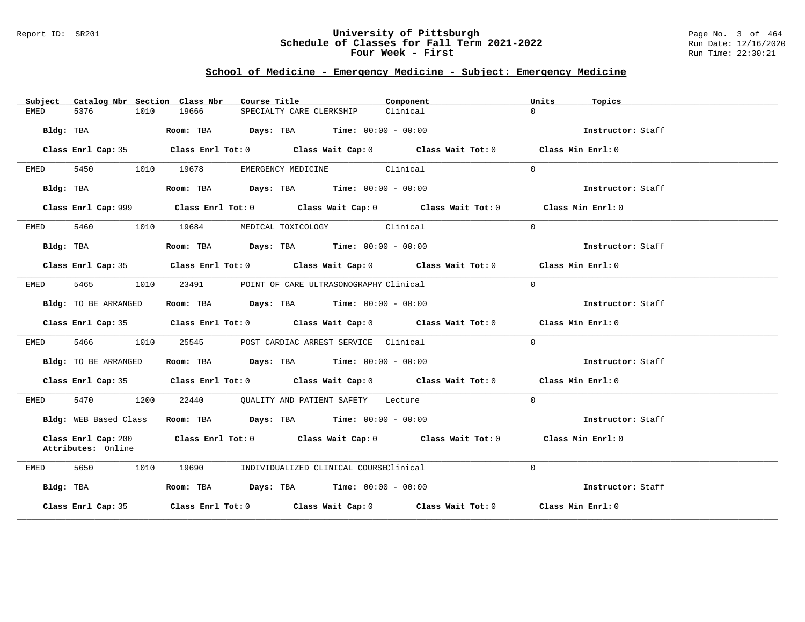### Report ID: SR201 **University of Pittsburgh** Page No. 3 of 464 **Schedule of Classes for Fall Term 2021-2022** Run Date: 12/16/2020 **Four Week - First** Run Time: 22:30:21

## **School of Medicine - Emergency Medicine - Subject: Emergency Medicine**

|           |                       |      | Subject Catalog Nbr Section Class Nbr | Course Title             |                                              | Component                                                                                   | Units    | Topics            |
|-----------|-----------------------|------|---------------------------------------|--------------------------|----------------------------------------------|---------------------------------------------------------------------------------------------|----------|-------------------|
| EMED      | 5376                  | 1010 | 19666                                 | SPECIALTY CARE CLERKSHIP |                                              | Clinical                                                                                    | $\Omega$ |                   |
|           | Bldg: TBA             |      |                                       |                          | Room: TBA $Days:$ TBA $Time: 00:00 - 00:00$  |                                                                                             |          | Instructor: Staff |
|           | Class Enrl Cap: 35    |      |                                       |                          |                                              | Class Enrl Tot: $0$ Class Wait Cap: $0$ Class Wait Tot: $0$ Class Min Enrl: $0$             |          |                   |
| EMED      | 5450                  | 1010 | 19678                                 |                          | EMERGENCY MEDICINE Clinical                  |                                                                                             | $\Omega$ |                   |
|           | Bldg: TBA             |      |                                       |                          | Room: TBA $Days:$ TBA $Time: 00:00 - 00:00$  |                                                                                             |          | Instructor: Staff |
|           |                       |      |                                       |                          |                                              | Class Enrl Cap: 999 Class Enrl Tot: 0 Class Wait Cap: 0 Class Wait Tot: 0 Class Min Enrl: 0 |          |                   |
| EMED      |                       |      |                                       |                          | 5460 1010 19684 MEDICAL TOXICOLOGY Clinical  |                                                                                             | $\Omega$ |                   |
|           | Bldg: TBA             |      |                                       |                          | Room: TBA $Days:$ TBA $Time: 00:00 - 00:00$  |                                                                                             |          | Instructor: Staff |
|           |                       |      |                                       |                          |                                              | Class Enrl Cap: 35 Class Enrl Tot: 0 Class Wait Cap: 0 Class Wait Tot: 0 Class Min Enrl: 0  |          |                   |
| EMED      | 5465 1010             |      | 23491                                 |                          | POINT OF CARE ULTRASONOGRAPHY Clinical       |                                                                                             | $\Omega$ |                   |
|           | Bldg: TO BE ARRANGED  |      |                                       |                          | Room: TBA $Days:$ TBA $Time: 00:00 - 00:00$  |                                                                                             |          | Instructor: Staff |
|           |                       |      |                                       |                          |                                              | Class Enrl Cap: 35 Class Enrl Tot: 0 Class Wait Cap: 0 Class Wait Tot: 0 Class Min Enrl: 0  |          |                   |
| EMED      | 5466 1010             |      | 25545                                 |                          | POST CARDIAC ARREST SERVICE Clinical         |                                                                                             | $\Omega$ |                   |
|           | Bldg: TO BE ARRANGED  |      |                                       |                          | Room: TBA $Days:$ TBA Time: $00:00 - 00:00$  |                                                                                             |          | Instructor: Staff |
|           |                       |      |                                       |                          |                                              | Class Enrl Cap: 35 Class Enrl Tot: 0 Class Wait Cap: 0 Class Wait Tot: 0 Class Min Enrl: 0  |          |                   |
| EMED      | 5470 1200             |      |                                       |                          | 22440 QUALITY AND PATIENT SAFETY Lecture     |                                                                                             | $\Omega$ |                   |
|           | Bldg: WEB Based Class |      |                                       |                          | Room: TBA $Days:$ TBA $Time: 00:00 - 00:00$  |                                                                                             |          | Instructor: Staff |
|           | Attributes: Online    |      |                                       |                          |                                              | Class Enrl Cap: 200 Class Enrl Tot: 0 Class Wait Cap: 0 Class Wait Tot: 0                   |          | Class Min Enrl: 0 |
| EMED      | 5650<br>1010          |      |                                       |                          | 19690 INDIVIDUALIZED CLINICAL COURSEClinical |                                                                                             | $\Omega$ |                   |
| Bldg: TBA |                       |      |                                       |                          | Room: TBA $Days:$ TBA $Time: 00:00 - 00:00$  |                                                                                             |          | Instructor: Staff |
|           | Class Enrl Cap: 35    |      |                                       |                          |                                              | Class Enrl Tot: $0$ Class Wait Cap: $0$ Class Wait Tot: $0$ Class Min Enrl: $0$             |          |                   |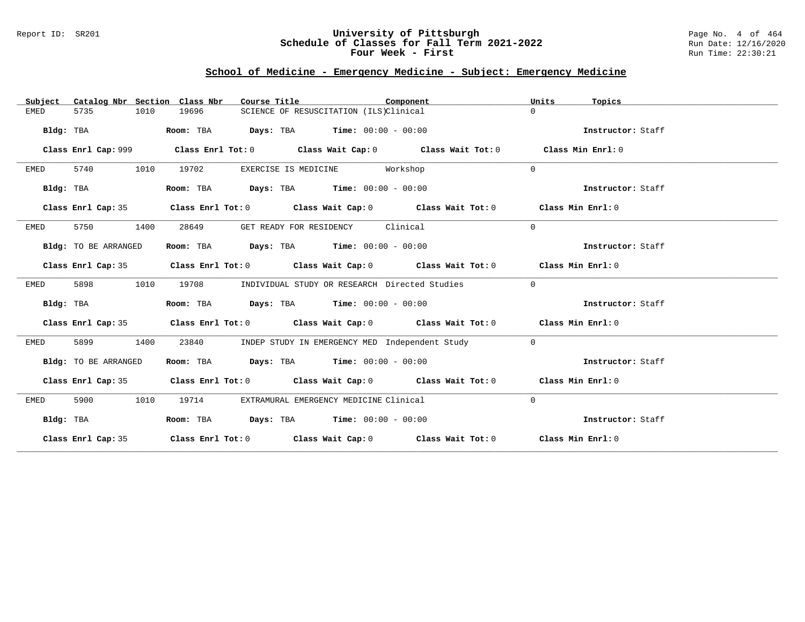## Report ID: SR201 **University of Pittsburgh** Page No. 4 of 464 **Schedule of Classes for Fall Term 2021-2022** Run Date: 12/16/2020 **Four Week - First** Run Time: 22:30:21

# **School of Medicine - Emergency Medicine - Subject: Emergency Medicine**

| Catalog Nbr Section Class Nbr<br>Subject | Course Title                                                                               | Component                                      | Units<br>Topics   |
|------------------------------------------|--------------------------------------------------------------------------------------------|------------------------------------------------|-------------------|
| <b>EMED</b><br>5735<br>1010              | 19696<br>SCIENCE OF RESUSCITATION (ILS)Clinical                                            |                                                | $\cap$            |
| Bldg: TBA                                | <b>Days:</b> TBA <b>Time:</b> $00:00 - 00:00$<br>Room: TBA                                 |                                                | Instructor: Staff |
|                                          |                                                                                            |                                                |                   |
| Class Enrl Cap: 999                      | Class Enrl Tot: $0$ Class Wait Cap: $0$ Class Wait Tot: $0$                                |                                                | Class Min Enrl: 0 |
| 5740<br>1010<br>EMED                     | 19702<br>EXERCISE IS MEDICINE Workshop                                                     |                                                | $\Omega$          |
| Bldg: TBA                                | Room: TBA $\rule{1em}{0.15mm}$ Days: TBA $\rule{1.15mm}]{0.15mm}$ Time: $0.000 - 0.0000$   |                                                | Instructor: Staff |
| Class Enrl Cap: 35                       | Class Enrl Tot: $0$ Class Wait Cap: $0$ Class Wait Tot: $0$ Class Min Enrl: $0$            |                                                |                   |
| 5750<br>1400<br>EMED                     | 28649<br>GET READY FOR RESIDENCY                                                           | Clinical                                       | $\Omega$          |
| Bldg: TO BE ARRANGED                     | Room: TBA $Days:$ TBA $Time: 00:00 - 00:00$                                                |                                                | Instructor: Staff |
|                                          | Class Enrl Cap: 35 Class Enrl Tot: 0 Class Wait Cap: 0 Class Wait Tot: 0 Class Min Enrl: 0 |                                                |                   |
| 5898<br>1010<br>EMED                     | 19708                                                                                      | INDIVIDUAL STUDY OR RESEARCH Directed Studies  | $\overline{0}$    |
| Bldg: TBA                                | Room: TBA $Days:$ TBA $Time: 00:00 - 00:00$                                                |                                                | Instructor: Staff |
|                                          | Class Enrl Cap: 35 Class Enrl Tot: 0 Class Wait Cap: 0 Class Wait Tot: 0 Class Min Enrl: 0 |                                                |                   |
| 5899<br>1400<br>EMED                     | 23840                                                                                      | INDEP STUDY IN EMERGENCY MED Independent Study | $\overline{0}$    |
| Bldg: TO BE ARRANGED                     | Room: TBA $Days:$ TBA $Time: 00:00 - 00:00$                                                |                                                | Instructor: Staff |
|                                          | Class Enrl Cap: 35 Class Enrl Tot: 0 Class Wait Cap: 0 Class Wait Tot: 0 Class Min Enrl: 0 |                                                |                   |
| 5900<br>1010<br>EMED                     | 19714<br>EXTRAMURAL EMERGENCY MEDICINE Clinical                                            |                                                | $\mathbf 0$       |
| Bldg: TBA                                | Room: TBA $Days:$ TBA Time: $00:00 - 00:00$                                                |                                                | Instructor: Staff |
|                                          | Class Enrl Cap: 35 Class Enrl Tot: 0 Class Wait Cap: 0 Class Wait Tot: 0 Class Min Enrl: 0 |                                                |                   |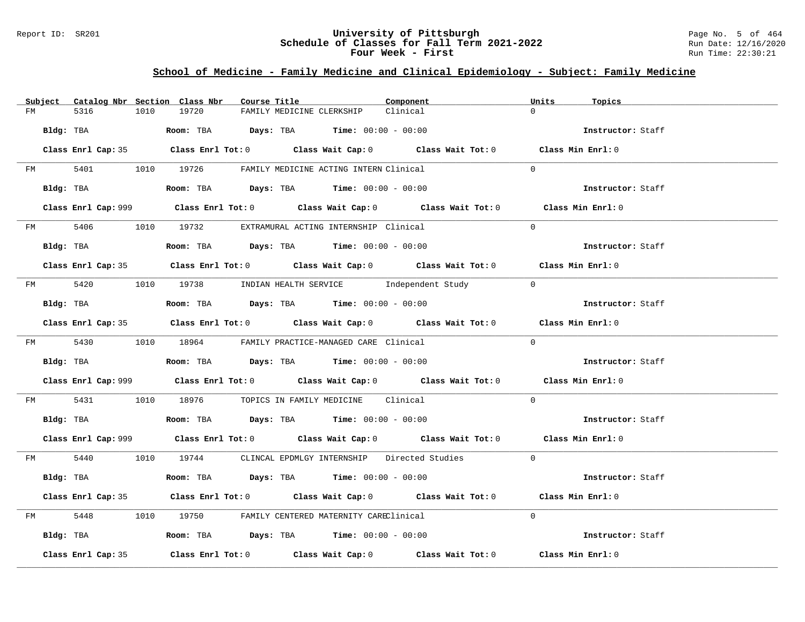### Report ID: SR201 **University of Pittsburgh** Page No. 5 of 464 **Schedule of Classes for Fall Term 2021-2022** Run Date: 12/16/2020 **Four Week - First** Run Time: 22:30:21

# **School of Medicine - Family Medicine and Clinical Epidemiology - Subject: Family Medicine**

|                    | Subject Catalog Nbr Section Class Nbr | Course Title                                                                                | Component | Units<br>Topics   |  |
|--------------------|---------------------------------------|---------------------------------------------------------------------------------------------|-----------|-------------------|--|
| 5316<br>FM         | 19720<br>1010                         | FAMILY MEDICINE CLERKSHIP                                                                   | Clinical  | $\Omega$          |  |
| Bldg: TBA          |                                       | Room: TBA $Days:$ TBA $Time: 00:00 - 00:00$                                                 |           | Instructor: Staff |  |
|                    |                                       | Class Enrl Cap: 35 Class Enrl Tot: 0 Class Wait Cap: 0 Class Wait Tot: 0 Class Min Enrl: 0  |           |                   |  |
|                    |                                       | FM 5401 1010 19726 FAMILY MEDICINE ACTING INTERN Clinical                                   |           | $\Omega$          |  |
| Bldg: TBA          |                                       | Room: TBA $Days:$ TBA $Time: 00:00 - 00:00$                                                 |           | Instructor: Staff |  |
|                    |                                       | Class Enrl Cap: 999 Class Enrl Tot: 0 Class Wait Cap: 0 Class Wait Tot: 0 Class Min Enrl: 0 |           |                   |  |
|                    |                                       | FM 5406 1010 19732 EXTRAMURAL ACTING INTERNSHIP Clinical                                    |           | $\Omega$          |  |
| Bldg: TBA          |                                       | Room: TBA $Days:$ TBA Time: $00:00 - 00:00$                                                 |           | Instructor: Staff |  |
|                    |                                       | Class Enrl Cap: 35 Class Enrl Tot: 0 Class Wait Cap: 0 Class Wait Tot: 0 Class Min Enrl: 0  |           |                   |  |
|                    |                                       | FM 5420 1010 19738 INDIAN HEALTH SERVICE Independent Study 0                                |           |                   |  |
| Bldg: TBA          |                                       | Room: TBA $Days:$ TBA $Time: 00:00 - 00:00$                                                 |           | Instructor: Staff |  |
|                    |                                       | Class Enrl Cap: 35 Class Enrl Tot: 0 Class Wait Cap: 0 Class Wait Tot: 0 Class Min Enrl: 0  |           |                   |  |
|                    |                                       | FM 5430 1010 18964 FAMILY PRACTICE-MANAGED CARE Clinical                                    |           | $\Omega$          |  |
|                    |                                       | Bldg: TBA                    Room: TBA         Days: TBA         Time: $00:00 - 00:00$      |           | Instructor: Staff |  |
|                    |                                       | Class Enrl Cap: 999 Class Enrl Tot: 0 Class Wait Cap: 0 Class Wait Tot: 0 Class Min Enrl: 0 |           |                   |  |
|                    |                                       | FM 5431 1010 18976 TOPICS IN FAMILY MEDICINE Clinical                                       |           | $\Omega$          |  |
|                    |                                       | Bldg: TBA                    Room: TBA         Days: TBA         Time: 00:00 - 00:00        |           | Instructor: Staff |  |
|                    |                                       | Class Enrl Cap: 999 Class Enrl Tot: 0 Class Wait Cap: 0 Class Wait Tot: 0 Class Min Enrl: 0 |           |                   |  |
|                    |                                       | FM 5440 1010 19744 CLINCAL EPDMLGY INTERNSHIP Directed Studies 0                            |           |                   |  |
| Bldg: TBA          |                                       | Room: TBA $Days:$ TBA $Time: 00:00 - 00:00$                                                 |           | Instructor: Staff |  |
|                    |                                       | Class Enrl Cap: 35 Class Enrl Tot: 0 Class Wait Cap: 0 Class Wait Tot: 0 Class Min Enrl: 0  |           |                   |  |
|                    |                                       | FM 5448 1010 19750 FAMILY CENTERED MATERNITY CAREClinical                                   |           | $\Omega$          |  |
|                    |                                       | Bldg: TBA                   Room: TBA        Days: TBA        Time: 00:00 - 00:00           |           | Instructor: Staff |  |
| Class Enrl Cap: 35 |                                       | Class Enrl Tot: $0$ Class Wait Cap: $0$ Class Wait Tot: $0$ Class Min Enrl: $0$             |           |                   |  |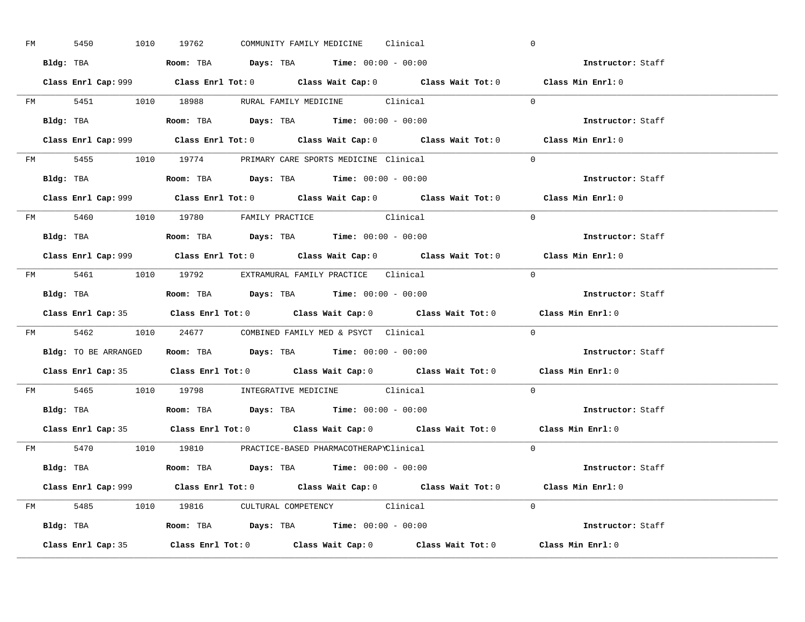| FM | 5450 |  | 1010 19762                                                                                 |  | COMMUNITY FAMILY MEDICINE Clinical |                                                     | $\overline{0}$                                                                              |  |
|----|------|--|--------------------------------------------------------------------------------------------|--|------------------------------------|-----------------------------------------------------|---------------------------------------------------------------------------------------------|--|
|    |      |  | Bldg: TBA                   Room: TBA         Days: TBA         Time: $00:00 - 00:00$      |  |                                    |                                                     | <b>Instructor:</b> Staff                                                                    |  |
|    |      |  |                                                                                            |  |                                    |                                                     | Class Enrl Cap: 999 Class Enrl Tot: 0 Class Wait Cap: 0 Class Wait Tot: 0 Class Min Enrl: 0 |  |
|    |      |  |                                                                                            |  |                                    | FM 5451 1010 18988 RURAL FAMILY MEDICINE Clinical 0 |                                                                                             |  |
|    |      |  | Bldg: TBA                   Room: TBA         Days: TBA         Time: $00:00 - 00:00$      |  |                                    |                                                     | Instructor: Staff                                                                           |  |
|    |      |  |                                                                                            |  |                                    |                                                     | Class Enrl Cap: 999 Class Enrl Tot: 0 Class Wait Cap: 0 Class Wait Tot: 0 Class Min Enrl: 0 |  |
|    |      |  | FM 5455 1010 19774 PRIMARY CARE SPORTS MEDICINE Clinical                                   |  |                                    |                                                     | $\Omega$                                                                                    |  |
|    |      |  | Bldg: TBA                    Room: TBA         Days: TBA        Time: $00:00 - 00:00$      |  |                                    |                                                     | Instructor: Staff                                                                           |  |
|    |      |  |                                                                                            |  |                                    |                                                     | Class Enrl Cap: 999 Class Enrl Tot: 0 Class Wait Cap: 0 Class Wait Tot: 0 Class Min Enrl: 0 |  |
|    |      |  | FM 5460 1010 19780 FAMILY PRACTICE Clinical                                                |  |                                    |                                                     | $\Omega$                                                                                    |  |
|    |      |  | Bldg: TBA<br>Room: TBA<br>Days: TBA<br>Time: $00:00 - 00:00$                               |  |                                    |                                                     | Instructor: Staff                                                                           |  |
|    |      |  |                                                                                            |  |                                    |                                                     | Class Enrl Cap: 999 Class Enrl Tot: 0 Class Wait Cap: 0 Class Wait Tot: 0 Class Min Enrl: 0 |  |
|    |      |  | FM 5461 1010 19792 EXTRAMURAL FAMILY PRACTICE Clinical                                     |  |                                    |                                                     | $\bigcirc$                                                                                  |  |
|    |      |  |                                                                                            |  |                                    |                                                     | Instructor: Staff                                                                           |  |
|    |      |  |                                                                                            |  |                                    |                                                     |                                                                                             |  |
|    |      |  |                                                                                            |  |                                    |                                                     | Class Enrl Cap: 35 Class Enrl Tot: 0 Class Wait Cap: 0 Class Wait Tot: 0 Class Min Enrl: 0  |  |
|    |      |  | FM 5462 1010 24677 COMBINED FAMILY MED & PSYCT Clinical                                    |  |                                    |                                                     | $\overline{0}$                                                                              |  |
|    |      |  | <b>Bldg:</b> TO BE ARRANGED <b>Room:</b> TBA <b>Days:</b> TBA <b>Time:</b> $00:00 - 00:00$ |  |                                    |                                                     | <b>Instructor:</b> Staff                                                                    |  |
|    |      |  |                                                                                            |  |                                    |                                                     | Class Enrl Cap: 35 Class Enrl Tot: 0 Class Wait Cap: 0 Class Wait Tot: 0 Class Min Enrl: 0  |  |
|    |      |  | FM 5465 1010 19798 INTEGRATIVE MEDICINE Clinical                                           |  |                                    |                                                     | $\Omega$                                                                                    |  |
|    |      |  | Bldg: TBA                    Room: TBA         Days: TBA         Time: $00:00 - 00:00$     |  |                                    |                                                     | Instructor: Staff                                                                           |  |
|    |      |  |                                                                                            |  |                                    |                                                     | Class Enrl Cap: 35 Class Enrl Tot: 0 Class Wait Cap: 0 Class Wait Tot: 0 Class Min Enrl: 0  |  |
|    |      |  | FM 5470 1010 19810 PRACTICE-BASED PHARMACOTHERAPYClinical                                  |  |                                    |                                                     | $\Omega$                                                                                    |  |
|    |      |  | Bldg: TBA                   Room: TBA         Days: TBA         Time: 00:00 - 00:00        |  |                                    |                                                     | Instructor: Staff                                                                           |  |
|    |      |  |                                                                                            |  |                                    |                                                     | Class Enrl Cap: 999 Class Enrl Tot: 0 Class Wait Cap: 0 Class Wait Tot: 0 Class Min Enrl: 0 |  |
|    |      |  | FM 5485 1010 19816 CULTURAL COMPETENCY Clinical                                            |  |                                    |                                                     | $\Omega$                                                                                    |  |
|    |      |  | Bldg: TBA                    Room: TBA         Days: TBA         Time: $00:00 - 00:00$     |  |                                    |                                                     | Instructor: Staff                                                                           |  |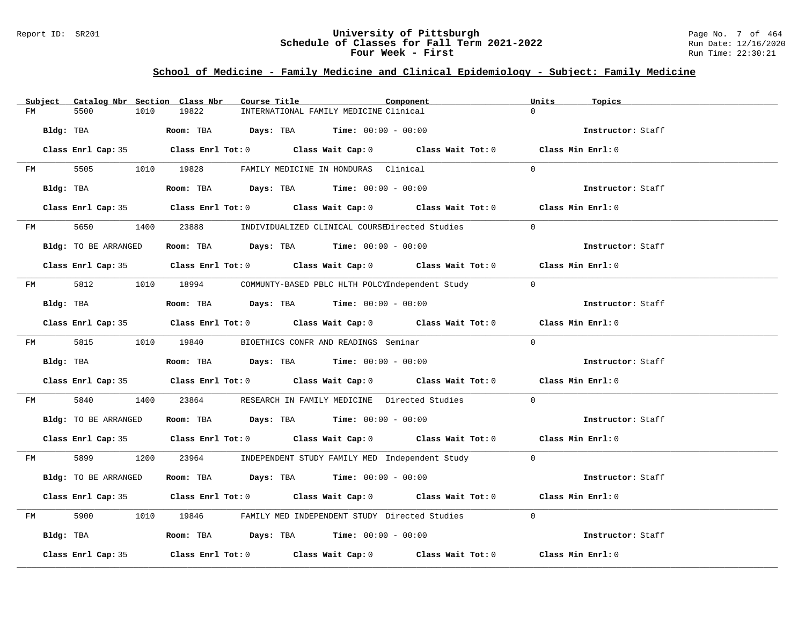### Report ID: SR201 **University of Pittsburgh** Page No. 7 of 464 **Schedule of Classes for Fall Term 2021-2022** Run Date: 12/16/2020 **Four Week - First** Run Time: 22:30:21

# **School of Medicine - Family Medicine and Clinical Epidemiology - Subject: Family Medicine**

| Subject              | Catalog Nbr Section Class Nbr<br>Course Title                                           | Component<br>Units<br>Topics                                                                       |  |
|----------------------|-----------------------------------------------------------------------------------------|----------------------------------------------------------------------------------------------------|--|
| 5500<br>FM           | 19822<br>1010<br>INTERNATIONAL FAMILY MEDICINE Clinical                                 |                                                                                                    |  |
| Bldg: TBA            | Room: TBA $Days:$ TBA $Time: 00:00 - 00:00$                                             | Instructor: Staff                                                                                  |  |
|                      |                                                                                         | Class Enrl Cap: 35 Class Enrl Tot: 0 Class Wait Cap: 0 Class Wait Tot: 0 Class Min Enrl: 0         |  |
|                      | FM 5505 1010 19828 FAMILY MEDICINE IN HONDURAS Clinical                                 | $\Omega$                                                                                           |  |
| Bldg: TBA            | Room: TBA $Days:$ TBA $Time: 00:00 - 00:00$                                             | Instructor: Staff                                                                                  |  |
|                      |                                                                                         | Class Enrl Cap: 35 Class Enrl Tot: 0 Class Wait Cap: 0 Class Wait Tot: 0 Class Min Enrl: 0         |  |
|                      | FM 5650 1400 23888 INDIVIDUALIZED CLINICAL COURSEDirected Studies                       | $\bigcap$                                                                                          |  |
| Bldg: TO BE ARRANGED | Room: TBA $Days:$ TBA $Time:$ 00:00 - 00:00                                             | Instructor: Staff                                                                                  |  |
|                      |                                                                                         | Class Enrl Cap: 35 Class Enrl Tot: 0 Class Wait Cap: 0 Class Wait Tot: 0 Class Min Enrl: 0         |  |
|                      | FM 5812 1010 18994 COMMUNTY-BASED PBLC HLTH POLCYIndependent Study 0                    |                                                                                                    |  |
| Bldg: TBA            | Room: TBA $\rule{1em}{0.15mm}$ Days: TBA Time: $00:00 - 00:00$                          | Instructor: Staff                                                                                  |  |
|                      |                                                                                         | Class Enrl Cap: 35 Class Enrl Tot: 0 Class Wait Cap: 0 Class Wait Tot: 0 Class Min Enrl: 0         |  |
| FM 5815 1010 19840   | BIOETHICS CONFR AND READINGS Seminar                                                    | $\Omega$                                                                                           |  |
|                      | Bldg: TBA                   Room: TBA        Days: TBA        Time: 00:00 - 00:00       | Instructor: Staff                                                                                  |  |
|                      |                                                                                         | Class Enrl Cap: 35 Class Enrl Tot: 0 Class Wait Cap: 0 Class Wait Tot: 0 Class Min Enrl: 0         |  |
| 5840<br>FM FM        | 1400 23864 RESEARCH IN FAMILY MEDICINE Directed Studies 0                               |                                                                                                    |  |
| Bldg: TO BE ARRANGED | Room: TBA $\rule{1em}{0.15mm}$ Days: TBA Time: $00:00 - 00:00$                          | Instructor: Staff                                                                                  |  |
|                      |                                                                                         | Class Enrl Cap: 35 Class Enrl Tot: 0 Class Wait Cap: 0 Class Wait Tot: 0 Class Min Enrl: 0         |  |
|                      | FM 5899 1200 23964 INDEPENDENT STUDY FAMILY MED Independent Study 0                     |                                                                                                    |  |
| Bldg: TO BE ARRANGED | Room: TBA $Days:$ TBA $Time: 00:00 - 00:00$                                             | Instructor: Staff                                                                                  |  |
|                      |                                                                                         | Class Enrl Cap: 35 Class Enrl Tot: 0 Class Wait Cap: 0 Class Wait Tot: 0 Class Min Enrl: 0         |  |
| FM                   | 5900 1010 19846 FAMILY MED INDEPENDENT STUDY Directed Studies                           | $\Omega$                                                                                           |  |
|                      | Bldg: TBA                    Room: TBA          Days: TBA         Time: $00:00 - 00:00$ | Instructor: Staff                                                                                  |  |
| Class Enrl Cap: 35   |                                                                                         | Class Enrl Tot: 0 $\qquad$ Class Wait Cap: 0 $\qquad$ Class Wait Tot: 0 $\qquad$ Class Min Enrl: 0 |  |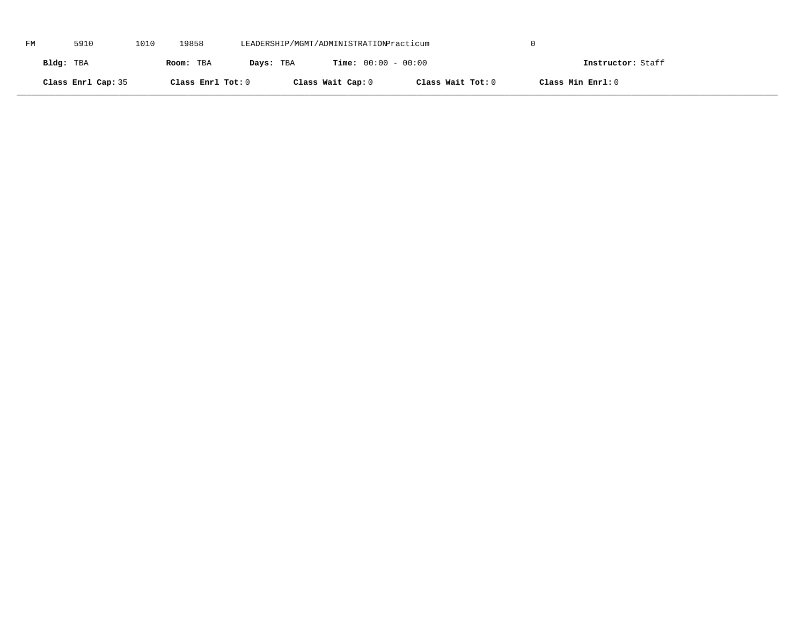| FM | 5910               | 1010 | 19858             | LEADERSHIP/MGMT/ADMINISTRATIONPracticum |                              |                   |                   |  |
|----|--------------------|------|-------------------|-----------------------------------------|------------------------------|-------------------|-------------------|--|
|    | Bldg: TBA          |      | Room: TBA         | Days: TBA                               | <b>Time:</b> $00:00 - 00:00$ |                   | Instructor: Staff |  |
|    | Class Enrl Cap: 35 |      | Class Enrl Tot: 0 |                                         | Class Wait Cap: 0            | Class Wait Tot: 0 | Class Min Enrl: 0 |  |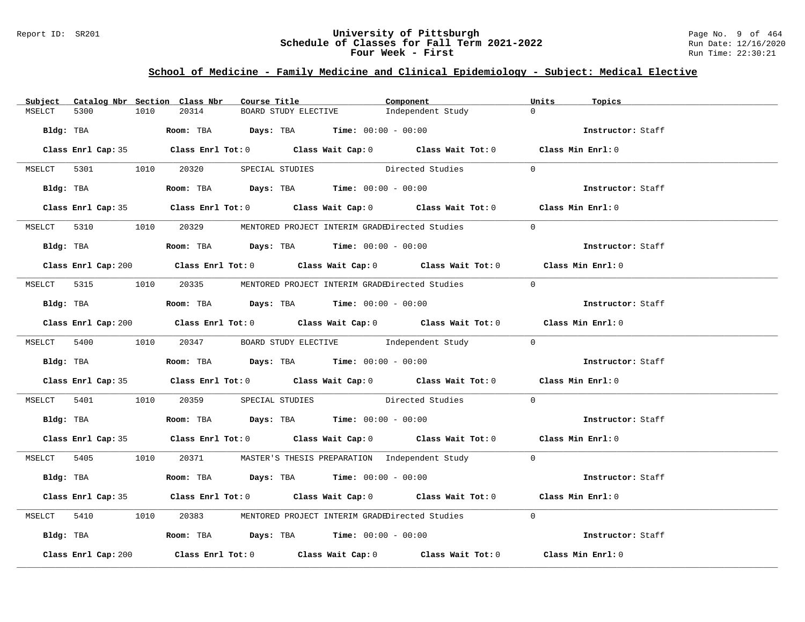### Report ID: SR201 **University of Pittsburgh** Page No. 9 of 464 **Schedule of Classes for Fall Term 2021-2022** Run Date: 12/16/2020 **Four Week - First** Run Time: 22:30:21

# **School of Medicine - Family Medicine and Clinical Epidemiology - Subject: Medical Elective**

| Subject   |                                        |      | Catalog Nbr Section Class Nbr | Course Title |                                                                                              | Component                                                                                   | Units      | Topics            |
|-----------|----------------------------------------|------|-------------------------------|--------------|----------------------------------------------------------------------------------------------|---------------------------------------------------------------------------------------------|------------|-------------------|
| MSELCT    | 5300                                   | 1010 | 20314                         |              | BOARD STUDY ELECTIVE                                                                         | Independent Study                                                                           | $\Omega$   |                   |
| Bldg: TBA |                                        |      |                               |              | <b>ROOM:</b> TBA <b>Days:</b> TBA <b>Time:</b> $00:00 - 00:00$                               |                                                                                             |            | Instructor: Staff |
|           |                                        |      |                               |              |                                                                                              | Class Enrl Cap: 35 Class Enrl Tot: 0 Class Wait Cap: 0 Class Wait Tot: 0 Class Min Enrl: 0  |            |                   |
|           | MSELCT 5301 1010 20320 SPECIAL STUDIES |      |                               |              |                                                                                              | Directed Studies                                                                            | $\Omega$   |                   |
|           |                                        |      |                               |              | Bldg: TBA                    Room: TBA         Days: TBA         Time: $00:00 - 00:00$       |                                                                                             |            | Instructor: Staff |
|           |                                        |      |                               |              |                                                                                              | Class Enrl Cap: 35 Class Enrl Tot: 0 Class Wait Cap: 0 Class Wait Tot: 0 Class Min Enrl: 0  |            |                   |
|           |                                        |      |                               |              |                                                                                              | MSELCT 5310 1010 20329 MENTORED PROJECT INTERIM GRADEDirected Studies                       | $\bigcirc$ |                   |
|           |                                        |      |                               |              | Bldg: TBA                   Room: TBA         Days: TBA        Time: 00:00 - 00:00           |                                                                                             |            | Instructor: Staff |
|           |                                        |      |                               |              |                                                                                              | Class Enrl Cap: 200 Class Enrl Tot: 0 Class Wait Cap: 0 Class Wait Tot: 0 Class Min Enrl: 0 |            |                   |
|           |                                        |      |                               |              |                                                                                              | MSELCT 5315 1010 20335 MENTORED PROJECT INTERIM GRADEDirected Studies                       | $\bigcap$  |                   |
|           |                                        |      |                               |              | Bldg: TBA                   Room: TBA         Days: TBA        Time: $00:00 - 00:00$         |                                                                                             |            | Instructor: Staff |
|           |                                        |      |                               |              |                                                                                              | Class Enrl Cap: 200 Class Enrl Tot: 0 Class Wait Cap: 0 Class Wait Tot: 0 Class Min Enrl: 0 |            |                   |
|           |                                        |      |                               |              |                                                                                              | MSELCT 5400 1010 20347 BOARD STUDY ELECTIVE Independent Study 0                             |            |                   |
|           |                                        |      |                               |              | Bldg: TBA                   Room: TBA        Days: TBA        Time: 00:00 - 00:00            |                                                                                             |            | Instructor: Staff |
|           |                                        |      |                               |              |                                                                                              | Class Enrl Cap: 35 Class Enrl Tot: 0 Class Wait Cap: 0 Class Wait Tot: 0 Class Min Enrl: 0  |            |                   |
|           |                                        |      |                               |              |                                                                                              | MSELCT 5401 1010 20359 SPECIAL STUDIES Directed Studies                                     | $\Omega$   |                   |
|           |                                        |      |                               |              | Bldg: TBA                   Room: TBA        Days: TBA        Time: 00:00 - 00:00            |                                                                                             |            | Instructor: Staff |
|           |                                        |      |                               |              |                                                                                              | Class Enrl Cap: 35 Class Enrl Tot: 0 Class Wait Cap: 0 Class Wait Tot: 0 Class Min Enrl: 0  |            |                   |
|           |                                        |      |                               |              |                                                                                              | MSELCT 5405 1010 20371 MASTER'S THESIS PREPARATION Independent Study 0                      |            |                   |
|           |                                        |      |                               |              | Bldg: TBA                   Room: TBA        Days: TBA        Time: $00:00 - 00:00$          |                                                                                             |            | Instructor: Staff |
|           |                                        |      |                               |              |                                                                                              | Class Enrl Cap: 35 Class Enrl Tot: 0 Class Wait Cap: 0 Class Wait Tot: 0 Class Min Enrl: 0  |            |                   |
|           | MSELCT 5410                            |      |                               |              |                                                                                              | 1010 20383 MENTORED PROJECT INTERIM GRADEDirected Studies 0                                 |            |                   |
|           |                                        |      |                               |              | Bldg: TBA                        Room: TBA           Days: TBA           Time: 00:00 - 00:00 |                                                                                             |            | Instructor: Staff |
|           | Class Enrl Cap: 200                    |      |                               |              |                                                                                              | Class Enrl Tot: $0$ Class Wait Cap: $0$ Class Wait Tot: $0$                                 |            | Class Min Enrl: 0 |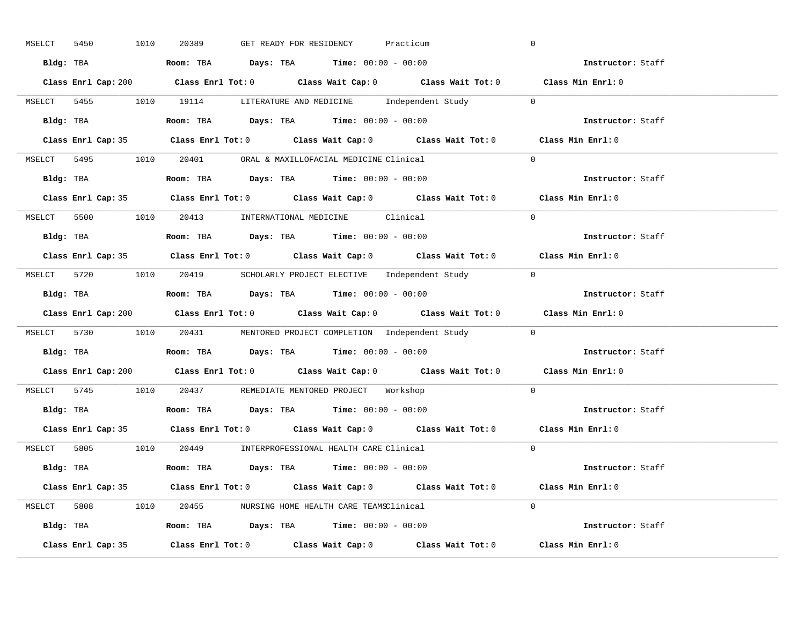| MSELCT | 5450 | 1010 | 20389 | GET READY FOR RESIDENCY                                                               | Practicum                                                              | $\overline{0}$                                                                              |  |
|--------|------|------|-------|---------------------------------------------------------------------------------------|------------------------------------------------------------------------|---------------------------------------------------------------------------------------------|--|
|        |      |      |       | Bldg: TBA                   Room: TBA         Days: TBA         Time: 00:00 - 00:00   |                                                                        | <b>Example 21 Instructor:</b> Staff                                                         |  |
|        |      |      |       |                                                                                       |                                                                        | Class Enrl Cap: 200 Class Enrl Tot: 0 Class Wait Cap: 0 Class Wait Tot: 0 Class Min Enrl: 0 |  |
|        |      |      |       |                                                                                       | MSELCT 5455 1010 19114 LITERATURE AND MEDICINE Independent Study 0     |                                                                                             |  |
|        |      |      |       | <b>Bldg:</b> TBA <b>ROOM:</b> TBA <b>Days:</b> TBA <b>Time:</b> $00:00 - 00:00$       |                                                                        | Instructor: Staff                                                                           |  |
|        |      |      |       |                                                                                       |                                                                        | Class Enrl Cap: 35 Class Enrl Tot: 0 Class Wait Cap: 0 Class Wait Tot: 0 Class Min Enrl: 0  |  |
|        |      |      |       | MSELCT 5495 1010 20401 ORAL & MAXILLOFACIAL MEDICINE Clinical                         |                                                                        | $\Omega$                                                                                    |  |
|        |      |      |       | Bldg: TBA                    Room: TBA         Days: TBA        Time: $00:00 - 00:00$ |                                                                        | Instructor: Staff                                                                           |  |
|        |      |      |       |                                                                                       |                                                                        | Class Enrl Cap: 35 Class Enrl Tot: 0 Class Wait Cap: 0 Class Wait Tot: 0 Class Min Enrl: 0  |  |
|        |      |      |       | MSELCT 5500 1010 20413 INTERNATIONAL MEDICINE Clinical                                |                                                                        | $\Omega$                                                                                    |  |
|        |      |      |       | Bldg: TBA                   Room: TBA         Days: TBA         Time: $00:00 - 00:00$ |                                                                        | Instructor: Staff                                                                           |  |
|        |      |      |       |                                                                                       |                                                                        | Class Enrl Cap: 35 Class Enrl Tot: 0 Class Wait Cap: 0 Class Wait Tot: 0 Class Min Enrl: 0  |  |
|        |      |      |       |                                                                                       | MSELCT 5720 1010 20419 SCHOLARLY PROJECT ELECTIVE Independent Study 0  |                                                                                             |  |
|        |      |      |       | Bldg: TBA                    Room: TBA        Days: TBA        Time: 00:00 - 00:00    |                                                                        | Instructor: Staff                                                                           |  |
|        |      |      |       |                                                                                       |                                                                        | Class Enrl Cap: 200 Class Enrl Tot: 0 Class Wait Cap: 0 Class Wait Tot: 0 Class Min Enrl: 0 |  |
|        |      |      |       |                                                                                       | MSELCT 5730 1010 20431 MENTORED PROJECT COMPLETION Independent Study 0 |                                                                                             |  |
|        |      |      |       | Bldg: TBA                    Room: TBA         Days: TBA         Time: 00:00 - 00:00  |                                                                        | Instructor: Staff                                                                           |  |
|        |      |      |       |                                                                                       |                                                                        | Class Enrl Cap: 200 Class Enrl Tot: 0 Class Wait Cap: 0 Class Wait Tot: 0 Class Min Enrl: 0 |  |
|        |      |      |       | MSELCT 5745 1010 20437 REMEDIATE MENTORED PROJECT Workshop                            |                                                                        | $\Omega$                                                                                    |  |
|        |      |      |       |                                                                                       |                                                                        |                                                                                             |  |
|        |      |      |       | Bldg: TBA                   Room: TBA         Days: TBA         Time: 00:00 - 00:00   |                                                                        | Instructor: Staff                                                                           |  |
|        |      |      |       |                                                                                       |                                                                        | Class Enrl Cap: 35 Class Enrl Tot: 0 Class Wait Cap: 0 Class Wait Tot: 0 Class Min Enrl: 0  |  |
|        |      |      |       | MSELCT 5805 1010 20449 INTERPROFESSIONAL HEALTH CARE Clinical                         |                                                                        | $\Omega$                                                                                    |  |
|        |      |      |       | Bldg: TBA                   Room: TBA        Days: TBA        Time: 00:00 - 00:00     |                                                                        | Instructor: Staff                                                                           |  |
|        |      |      |       |                                                                                       |                                                                        | Class Enrl Cap: 35 Class Enrl Tot: 0 Class Wait Cap: 0 Class Wait Tot: 0 Class Min Enrl: 0  |  |
|        |      |      |       | MSELCT 5808 1010 20455 NURSING HOME HEALTH CARE TEAMSClinical                         |                                                                        | $\Omega$                                                                                    |  |
|        |      |      |       | Bldg: TBA                    Room: TBA         Days: TBA         Time: 00:00 - 00:00  |                                                                        | Instructor: Staff                                                                           |  |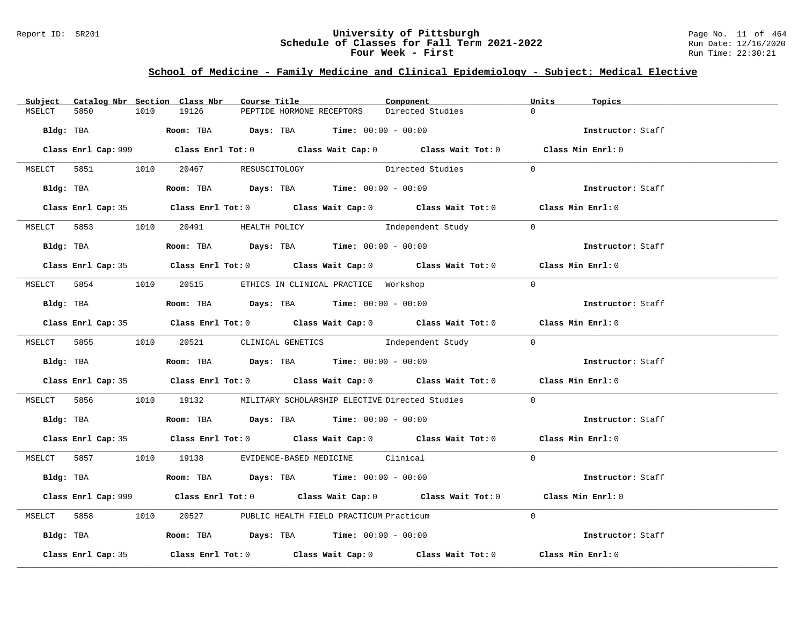## Report ID: SR201 **University of Pittsburgh** Page No. 11 of 464 **Schedule of Classes for Fall Term 2021-2022** Run Date: 12/16/2020 **Four Week - First** Run Time: 22:30:21

# **School of Medicine - Family Medicine and Clinical Epidemiology - Subject: Medical Elective**

| Subject |                    |      | Catalog Nbr Section Class Nbr        | Course Title |                                                                                        | Component                                                                                   | Units          | Topics            |
|---------|--------------------|------|--------------------------------------|--------------|----------------------------------------------------------------------------------------|---------------------------------------------------------------------------------------------|----------------|-------------------|
| MSELCT  | 5850               | 1010 | 19126                                |              | PEPTIDE HORMONE RECEPTORS                                                              | Directed Studies                                                                            | $\Omega$       |                   |
|         |                    |      |                                      |              | Bldg: TBA                    Room: TBA         Days: TBA        Time: $00:00 - 00:00$  |                                                                                             |                | Instructor: Staff |
|         |                    |      |                                      |              |                                                                                        | Class Enrl Cap: 999 Class Enrl Tot: 0 Class Wait Cap: 0 Class Wait Tot: 0 Class Min Enrl: 0 |                |                   |
|         |                    |      | MSELCT 5851 1010 20467 RESUSCITOLOGY |              |                                                                                        | Directed Studies                                                                            | $\Omega$       |                   |
|         |                    |      |                                      |              | Bldg: TBA                   Room: TBA        Days: TBA        Time: 00:00 - 00:00      |                                                                                             |                | Instructor: Staff |
|         |                    |      |                                      |              |                                                                                        | Class Enrl Cap: 35 Class Enrl Tot: 0 Class Wait Cap: 0 Class Wait Tot: 0 Class Min Enrl: 0  |                |                   |
|         |                    |      | MSELCT 5853 1010 20491 HEALTH POLICY |              |                                                                                        | Independent Study                                                                           | $\overline{0}$ |                   |
|         |                    |      |                                      |              | <b>Bldg:</b> TBA <b>ROOM:</b> TBA <b>Days:</b> TBA <b>Time:</b> $00:00 - 00:00$        |                                                                                             |                | Instructor: Staff |
|         |                    |      |                                      |              |                                                                                        | Class Enrl Cap: 35 Class Enrl Tot: 0 Class Wait Cap: 0 Class Wait Tot: 0 Class Min Enrl: 0  |                |                   |
|         |                    |      |                                      |              | MSELCT 5854 1010 20515 ETHICS IN CLINICAL PRACTICE Workshop                            |                                                                                             | $\Omega$       |                   |
|         |                    |      |                                      |              | Bldg: TBA                   Room: TBA         Days: TBA        Time: 00:00 - 00:00     |                                                                                             |                | Instructor: Staff |
|         |                    |      |                                      |              |                                                                                        | Class Enrl Cap: 35 Class Enrl Tot: 0 Class Wait Cap: 0 Class Wait Tot: 0 Class Min Enrl: 0  |                |                   |
|         |                    |      |                                      |              |                                                                                        | MSELCT 5855 1010 20521 CLINICAL GENETICS Independent Study 0                                |                |                   |
|         |                    |      |                                      |              | Bldg: TBA                     Room: TBA         Days: TBA         Time: 00:00 - 00:00  |                                                                                             |                | Instructor: Staff |
|         |                    |      |                                      |              |                                                                                        | Class Enrl Cap: 35 Class Enrl Tot: 0 Class Wait Cap: 0 Class Wait Tot: 0 Class Min Enrl: 0  |                |                   |
|         |                    |      |                                      |              |                                                                                        | MSELCT 5856 1010 19132 MILITARY SCHOLARSHIP ELECTIVE Directed Studies                       | $\Omega$       |                   |
|         |                    |      |                                      |              | Bldg: TBA                   Room: TBA          Days: TBA         Time: $00:00 - 00:00$ |                                                                                             |                | Instructor: Staff |
|         |                    |      |                                      |              |                                                                                        | Class Enrl Cap: 35 Class Enrl Tot: 0 Class Wait Cap: 0 Class Wait Tot: 0 Class Min Enrl: 0  |                |                   |
|         |                    |      |                                      |              | MSELCT 5857 1010 19138 EVIDENCE-BASED MEDICINE Clinical                                |                                                                                             | $\Omega$       |                   |
|         |                    |      |                                      |              | Bldg: TBA                   Room: TBA         Days: TBA        Time: $00:00 - 00:00$   |                                                                                             |                | Instructor: Staff |
|         |                    |      |                                      |              |                                                                                        | Class Enrl Cap: 999 Class Enrl Tot: 0 Class Wait Cap: 0 Class Wait Tot: 0 Class Min Enrl: 0 |                |                   |
|         |                    |      |                                      |              | MSELCT 5858 1010 20527 PUBLIC HEALTH FIELD PRACTICUM Practicum                         |                                                                                             | $\Omega$       |                   |
|         |                    |      |                                      |              | Bldg: TBA                    Room: TBA         Days: TBA        Time: $00:00 - 00:00$  |                                                                                             |                | Instructor: Staff |
|         | Class Enrl Cap: 35 |      |                                      |              |                                                                                        | Class Enrl Tot: $0$ Class Wait Cap: $0$ Class Wait Tot: $0$                                 |                | Class Min Enrl: 0 |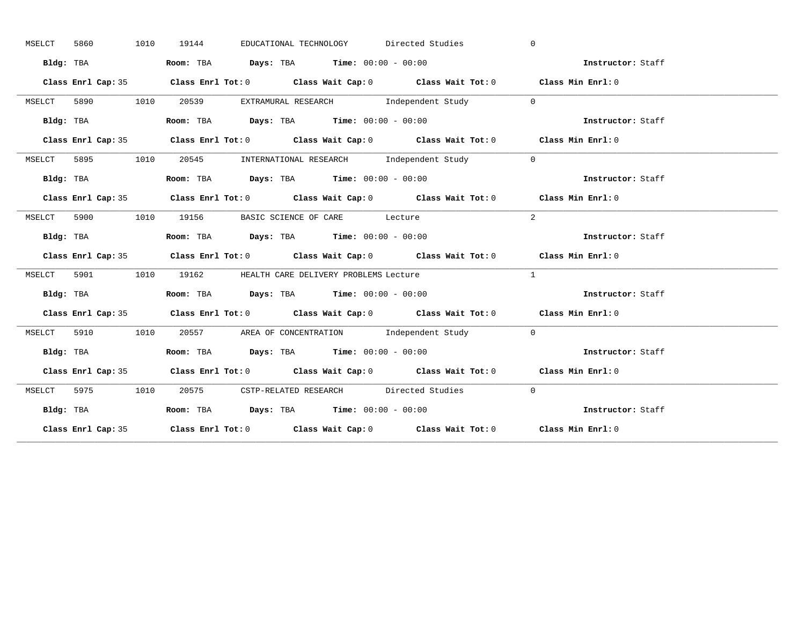|        | 5860 |           | 1010 | 19144 |                                                                                       | EDUCATIONAL TECHNOLOGY Directed Studies                       | $\Omega$                                                                                   |                   |
|--------|------|-----------|------|-------|---------------------------------------------------------------------------------------|---------------------------------------------------------------|--------------------------------------------------------------------------------------------|-------------------|
|        |      | Bldg: TBA |      |       | Room: TBA $Days:$ TBA $Time: 00:00 - 00:00$                                           |                                                               | Instructor: Staff                                                                          |                   |
|        |      |           |      |       |                                                                                       |                                                               | Class Enrl Cap: 35 Class Enrl Tot: 0 Class Wait Cap: 0 Class Wait Tot: 0 Class Min Enrl: 0 |                   |
| MSELCT |      |           |      |       |                                                                                       | 5890 1010 20539 EXTRAMURAL RESEARCH Independent Study 0       |                                                                                            |                   |
|        |      | Bldg: TBA |      |       | Room: TBA $Days:$ TBA $Time: 00:00 - 00:00$                                           |                                                               | Instructor: Staff                                                                          |                   |
|        |      |           |      |       |                                                                                       |                                                               | Class Enrl Cap: 35 Class Enrl Tot: 0 Class Wait Cap: 0 Class Wait Tot: 0 Class Min Enrl: 0 |                   |
| MSELCT |      |           |      |       |                                                                                       | 5895 1010 20545 INTERNATIONAL RESEARCH Independent Study      | $\overline{0}$                                                                             |                   |
|        |      | Bldg: TBA |      |       | Room: TBA $Days:$ TBA Time: $00:00 - 00:00$                                           |                                                               | Instructor: Staff                                                                          |                   |
|        |      |           |      |       |                                                                                       |                                                               | Class Enrl Cap: 35 Class Enrl Tot: 0 Class Wait Cap: 0 Class Wait Tot: 0 Class Min Enrl: 0 |                   |
|        |      |           |      |       | MSELCT 5900 1010 19156 BASIC SCIENCE OF CARE Lecture                                  |                                                               | 2                                                                                          |                   |
|        |      | Bldg: TBA |      |       | Room: TBA $Days:$ TBA $Time: 00:00 - 00:00$                                           |                                                               | Instructor: Staff                                                                          |                   |
|        |      |           |      |       |                                                                                       |                                                               | Class Enrl Cap: 35 Class Enrl Tot: 0 Class Wait Cap: 0 Class Wait Tot: 0 Class Min Enrl: 0 |                   |
|        |      |           |      |       |                                                                                       |                                                               |                                                                                            |                   |
|        |      |           |      |       | MSELCT 5901 1010 19162 HEALTH CARE DELIVERY PROBLEMS Lecture                          |                                                               | $\mathbf{1}$                                                                               |                   |
|        |      | Bldg: TBA |      |       | Room: TBA $\rule{1em}{0.15mm}$ Days: TBA $\rule{1.5mm}{0.15mm}$ Time: $00:00 - 00:00$ |                                                               | Instructor: Staff                                                                          |                   |
|        |      |           |      |       |                                                                                       |                                                               | Class Enrl Cap: 35 Class Enrl Tot: 0 Class Wait Cap: 0 Class Wait Tot: 0 Class Min Enrl: 0 |                   |
| MSELCT |      |           |      |       |                                                                                       | 5910 1010 20557 AREA OF CONCENTRATION Independent Study 0     |                                                                                            |                   |
|        |      |           |      |       |                                                                                       |                                                               | Bldg: TBA Room: TBA Days: TBA Time: 00:00 - 00:00<br>Thetructor: Staff                     |                   |
|        |      |           |      |       |                                                                                       |                                                               | Class Enrl Cap: 35 Class Enrl Tot: 0 Class Wait Cap: 0 Class Wait Tot: 0 Class Min Enrl: 0 |                   |
|        |      |           |      |       |                                                                                       | MSELCT 5975 1010 20575 CSTP-RELATED RESEARCH Directed Studies | $\bigcirc$                                                                                 |                   |
|        |      | Bldg: TBA |      |       | Room: TBA $Days:$ TBA Time: $00:00 - 00:00$                                           |                                                               |                                                                                            | Instructor: Staff |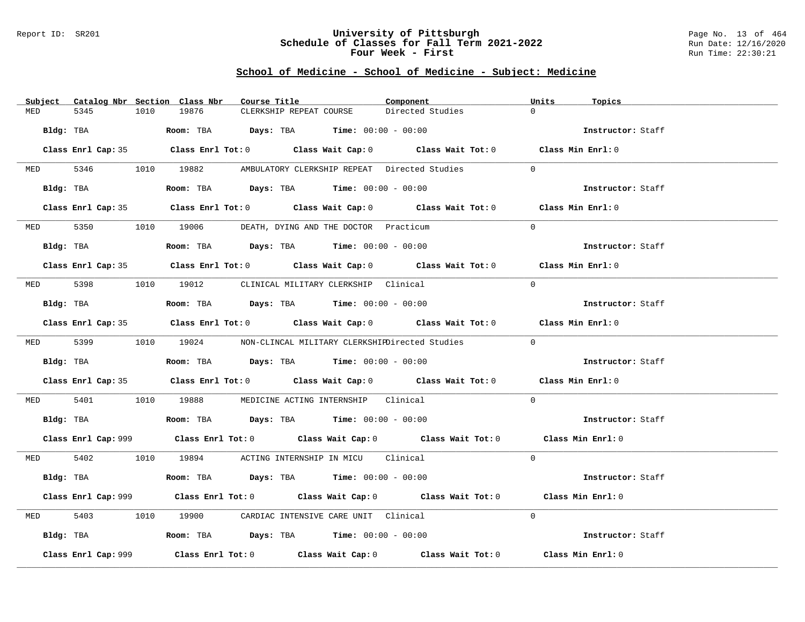### Report ID: SR201 **University of Pittsburgh** Page No. 13 of 464 **Schedule of Classes for Fall Term 2021-2022** Run Date: 12/16/2020 **Four Week - First** Run Time: 22:30:21

| Subject Catalog Nbr Section Class Nbr | Course Title                                                                                | Component        | Units<br>Topics   |
|---------------------------------------|---------------------------------------------------------------------------------------------|------------------|-------------------|
| 5345<br>1010<br>MED                   | 19876<br>CLERKSHIP REPEAT COURSE                                                            | Directed Studies | $\Omega$          |
| Bldg: TBA                             | Room: TBA $Days:$ TBA $Time: 00:00 - 00:00$                                                 |                  | Instructor: Staff |
|                                       | Class Enrl Cap: 35 Class Enrl Tot: 0 Class Wait Cap: 0 Class Wait Tot: 0 Class Min Enrl: 0  |                  |                   |
|                                       | MED 5346 1010 19882 AMBULATORY CLERKSHIP REPEAT Directed Studies                            |                  | $\Omega$          |
| Bldg: TBA                             | Room: TBA $Days:$ TBA $Time: 00:00 - 00:00$                                                 |                  | Instructor: Staff |
|                                       | Class Enrl Cap: 35 Class Enrl Tot: 0 Class Wait Cap: 0 Class Wait Tot: 0 Class Min Enrl: 0  |                  |                   |
|                                       | MED 5350 1010 19006 DEATH, DYING AND THE DOCTOR Practicum                                   |                  | $\Omega$          |
| Bldg: TBA                             | Room: TBA $Days:$ TBA $Time:$ $00:00 - 00:00$                                               |                  | Instructor: Staff |
|                                       | Class Enrl Cap: 35 Class Enrl Tot: 0 Class Wait Cap: 0 Class Wait Tot: 0 Class Min Enrl: 0  |                  |                   |
|                                       | MED 5398 1010 19012 CLINICAL MILITARY CLERKSHIP Clinical                                    |                  | $\Omega$          |
| Bldg: TBA                             | Room: TBA $\rule{1em}{0.15mm}$ Days: TBA Time: $00:00 - 00:00$                              |                  | Instructor: Staff |
|                                       | Class Enrl Cap: 35 Class Enrl Tot: 0 Class Wait Cap: 0 Class Wait Tot: 0 Class Min Enrl: 0  |                  |                   |
|                                       | MED 5399 1010 19024 NON-CLINCAL MILITARY CLERKSHIEDirected Studies                          |                  | $\Omega$          |
|                                       | Bldg: TBA                     Room: TBA         Days: TBA         Time: 00:00 - 00:00       |                  | Instructor: Staff |
|                                       | Class Enrl Cap: 35 Class Enrl Tot: 0 Class Wait Cap: 0 Class Wait Tot: 0 Class Min Enrl: 0  |                  |                   |
| MED 5401                              | 1010 19888 MEDICINE ACTING INTERNSHIP Clinical                                              |                  | $\Omega$          |
|                                       | Bldg: TBA                    Room: TBA         Days: TBA         Time: $00:00 - 00:00$      |                  | Instructor: Staff |
|                                       | Class Enrl Cap: 999 Class Enrl Tot: 0 Class Wait Cap: 0 Class Wait Tot: 0 Class Min Enrl: 0 |                  |                   |
|                                       | MED 5402 1010 19894 ACTING INTERNSHIP IN MICU Clinical                                      |                  | $\Omega$          |
| Bldg: TBA                             | Room: TBA $\rule{1em}{0.15mm}$ Days: TBA Time: $00:00 - 00:00$                              |                  | Instructor: Staff |
|                                       | Class Enrl Cap: 999 Class Enrl Tot: 0 Class Wait Cap: 0 Class Wait Tot: 0 Class Min Enrl: 0 |                  |                   |
| 5403<br>MED                           | 1010 19900 CARDIAC INTENSIVE CARE UNIT Clinical                                             |                  | $\Omega$          |
|                                       | Bldg: TBA                       Room: TBA          Days: TBA          Time: 00:00 - 00:00   |                  | Instructor: Staff |
| Class Enrl Cap: 999                   | Class Enrl Tot: $0$ Class Wait Cap: $0$ Class Wait Tot: $0$ Class Min Enrl: $0$             |                  |                   |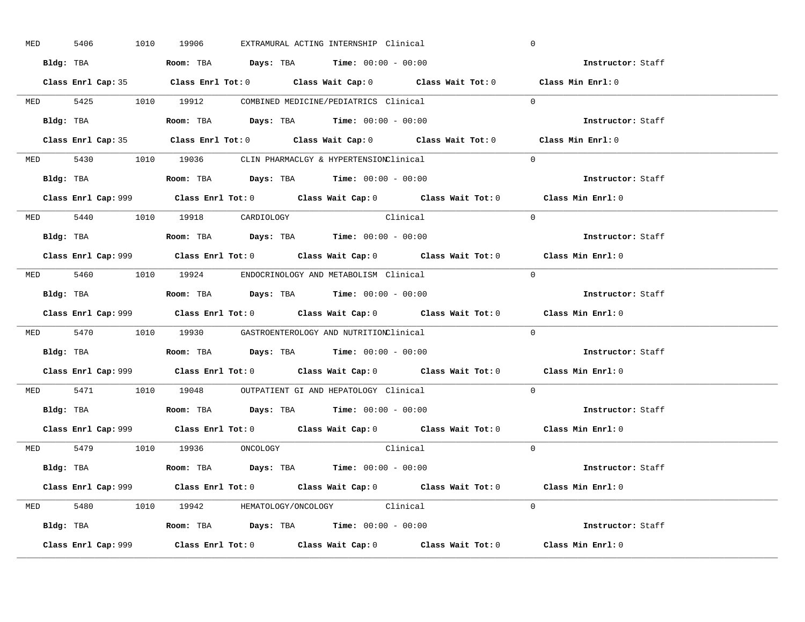| <b>MED</b> | 5406 |  | 1010 19906                     |  | EXTRAMURAL ACTING INTERNSHIP Clinical                                                         |                                                                                             | $\mathbf 0$                                                                                 |
|------------|------|--|--------------------------------|--|-----------------------------------------------------------------------------------------------|---------------------------------------------------------------------------------------------|---------------------------------------------------------------------------------------------|
|            |      |  |                                |  | Bldg: TBA                      Room: TBA         Days: TBA         Time: 00:00 - 00:00        |                                                                                             | Instructor: Staff                                                                           |
|            |      |  |                                |  |                                                                                               | Class Enrl Cap: 35 Class Enrl Tot: 0 Class Wait Cap: 0 Class Wait Tot: 0 Class Min Enrl: 0  |                                                                                             |
|            |      |  |                                |  | MED 5425 1010 19912 COMBINED MEDICINE/PEDIATRICS Clinical                                     |                                                                                             | $\Omega$                                                                                    |
|            |      |  |                                |  | Bldg: TBA                   Room: TBA         Days: TBA         Time: 00:00 - 00:00           |                                                                                             | Instructor: Staff                                                                           |
|            |      |  |                                |  |                                                                                               | Class Enrl Cap: 35 Class Enrl Tot: 0 Class Wait Cap: 0 Class Wait Tot: 0 Class Min Enrl: 0  |                                                                                             |
|            |      |  |                                |  | MED 5430 1010 19036 CLIN PHARMACLGY & HYPERTENSIONClinical                                    |                                                                                             | $\Omega$                                                                                    |
|            |      |  |                                |  | Bldg: TBA                   Room: TBA         Days: TBA         Time: 00:00 - 00:00           |                                                                                             | Instructor: Staff                                                                           |
|            |      |  |                                |  |                                                                                               |                                                                                             | Class Enrl Cap: 999 Class Enrl Tot: 0 Class Wait Cap: 0 Class Wait Tot: 0 Class Min Enrl: 0 |
|            |      |  | MED 5440 1010 19918 CARDIOLOGY |  | Clinical                                                                                      |                                                                                             | $\Omega$                                                                                    |
|            |      |  |                                |  | Bldg: TBA                   Room: TBA         Days: TBA         Time: 00:00 - 00:00           |                                                                                             | Instructor: Staff                                                                           |
|            |      |  |                                |  |                                                                                               | Class Enrl Cap: 999 Class Enrl Tot: 0 Class Wait Cap: 0 Class Wait Tot: 0 Class Min Enrl: 0 |                                                                                             |
|            |      |  |                                |  | MED 5460 1010 19924 ENDOCRINOLOGY AND METABOLISM Clinical                                     |                                                                                             | $\Omega$                                                                                    |
|            |      |  |                                |  | Bldg: TBA                   Room: TBA         Days: TBA         Time: $00:00 - 00:00$         |                                                                                             | Instructor: Staff                                                                           |
|            |      |  |                                |  |                                                                                               | Class Enrl Cap: 999 Class Enrl Tot: 0 Class Wait Cap: 0 Class Wait Tot: 0                   | Class Min Enrl: 0                                                                           |
|            |      |  |                                |  | MED 5470 1010 19930 GASTROENTEROLOGY AND NUTRITIONClinical                                    |                                                                                             | $\Omega$                                                                                    |
|            |      |  |                                |  | Bldg: TBA                    Room: TBA         Days: TBA         Time: 00:00 - 00:00          |                                                                                             | Instructor: Staff                                                                           |
|            |      |  |                                |  |                                                                                               |                                                                                             | Class Enrl Cap: 999 Class Enrl Tot: 0 Class Wait Cap: 0 Class Wait Tot: 0 Class Min Enrl: 0 |
|            |      |  |                                |  | MED 5471 1010 19048 OUTPATIENT GI AND HEPATOLOGY Clinical                                     |                                                                                             | $\Omega$                                                                                    |
|            |      |  |                                |  | Bldg: TBA                   Room: TBA         Days: TBA         Time: $00:00 - 00:00$         |                                                                                             | Instructor: Staff                                                                           |
|            |      |  |                                |  |                                                                                               | Class Enrl Cap: 999 Class Enrl Tot: 0 Class Wait Cap: 0 Class Wait Tot: 0 Class Min Enrl: 0 |                                                                                             |
|            |      |  | MED 5479 1010 19936 ONCOLOGY   |  |                                                                                               | Clinical                                                                                    | $\Omega$                                                                                    |
|            |      |  |                                |  | Bldg: TBA                   Room: TBA         Days: TBA         Time: 00:00 - 00:00           |                                                                                             | Instructor: Staff                                                                           |
|            |      |  |                                |  |                                                                                               | Class Enrl Cap: 999 Class Enrl Tot: 0 Class Wait Cap: 0 Class Wait Tot: 0 Class Min Enrl: 0 |                                                                                             |
|            |      |  |                                |  | MED 5480 1010 19942 HEMATOLOGY/ONCOLOGY Clinical                                              |                                                                                             | $\Omega$                                                                                    |
|            |      |  |                                |  | Bldg: TBA                         Room: TBA          Days: TBA          Time: $00:00 - 00:00$ |                                                                                             | Instructor: Staff                                                                           |
|            |      |  |                                |  |                                                                                               |                                                                                             | Class Min Enrl: 0                                                                           |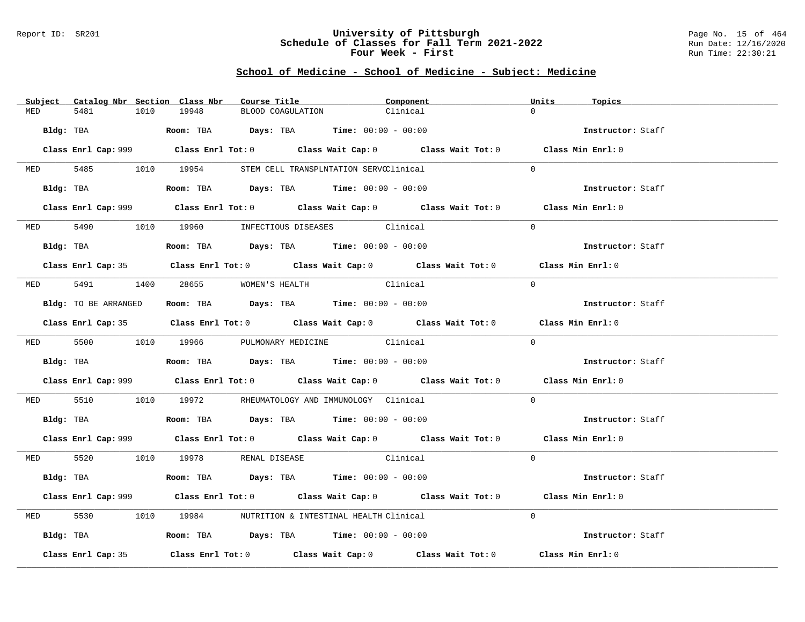### Report ID: SR201 **University of Pittsburgh** Page No. 15 of 464 **Schedule of Classes for Fall Term 2021-2022** Run Date: 12/16/2020 **Four Week - First** Run Time: 22:30:21

|            | Subject Catalog Nbr Section Class Nbr                                                                          | Course Title                                                                               | Component                                                                                   | Units<br>Topics   |
|------------|----------------------------------------------------------------------------------------------------------------|--------------------------------------------------------------------------------------------|---------------------------------------------------------------------------------------------|-------------------|
| MED        | 1010<br>5481                                                                                                   | 19948<br>BLOOD COAGULATION                                                                 | Clinical                                                                                    | $\cap$            |
|            | Bldg: TBA                                                                                                      | <b>Room:</b> TBA $Days:$ TBA $Time: 00:00 - 00:00$                                         |                                                                                             | Instructor: Staff |
|            |                                                                                                                |                                                                                            | Class Enrl Cap: 999 Class Enrl Tot: 0 Class Wait Cap: 0 Class Wait Tot: 0 Class Min Enrl: 0 |                   |
|            |                                                                                                                | MED 5485 1010 19954 STEM CELL TRANSPLNTATION SERVCClinical                                 |                                                                                             | $\Omega$          |
|            |                                                                                                                | Bldg: TBA                   Room: TBA        Days: TBA        Time: 00:00 - 00:00          |                                                                                             | Instructor: Staff |
|            |                                                                                                                |                                                                                            | Class Enrl Cap: 999 Class Enrl Tot: 0 Class Wait Cap: 0 Class Wait Tot: 0 Class Min Enrl: 0 |                   |
|            |                                                                                                                | MED 5490 1010 19960 INFECTIOUS DISEASES Clinical                                           |                                                                                             | $\Omega$          |
|            | Bldg: TBA                                                                                                      | Room: TBA $Days:$ TBA $Time: 00:00 - 00:00$                                                |                                                                                             | Instructor: Staff |
|            |                                                                                                                |                                                                                            | Class Enrl Cap: 35 Class Enrl Tot: 0 Class Wait Cap: 0 Class Wait Tot: 0 Class Min Enrl: 0  |                   |
|            |                                                                                                                | MED 5491 1400 28655 WOMEN'S HEALTH                                                         | Clinical                                                                                    | $\Omega$          |
|            | Bldg: TO BE ARRANGED                                                                                           | Room: TBA $Days: TBA$ Time: $00:00 - 00:00$                                                |                                                                                             | Instructor: Staff |
|            |                                                                                                                |                                                                                            | Class Enrl Cap: 35 Class Enrl Tot: 0 Class Wait Cap: 0 Class Wait Tot: 0 Class Min Enrl: 0  |                   |
|            |                                                                                                                | MED 5500 1010 19966 PULMONARY MEDICINE Clinical                                            |                                                                                             | $\Omega$          |
|            | Bldg: TBA and the state of the state of the state of the state of the state of the state of the state of the s | Room: TBA $Days: TBA$ Time: $00:00 - 00:00$                                                |                                                                                             | Instructor: Staff |
|            |                                                                                                                |                                                                                            | Class Enrl Cap: 999 Class Enrl Tot: 0 Class Wait Cap: 0 Class Wait Tot: 0 Class Min Enrl: 0 |                   |
| <b>MED</b> | 5510                                                                                                           | 1010 19972 RHEUMATOLOGY AND IMMUNOLOGY Clinical                                            |                                                                                             | $\Omega$          |
|            |                                                                                                                |                                                                                            |                                                                                             | Instructor: Staff |
|            |                                                                                                                |                                                                                            | Class Enrl Cap: 999 Class Enrl Tot: 0 Class Wait Cap: 0 Class Wait Tot: 0 Class Min Enrl: 0 |                   |
|            |                                                                                                                | MED 5520 1010 19978 RENAL DISEASE                                                          | Clinical                                                                                    | $\Omega$          |
|            | Bldg: TBA                                                                                                      | Room: TBA $\rule{1em}{0.15mm}$ Days: TBA Time: $00:00 - 00:00$                             |                                                                                             | Instructor: Staff |
|            |                                                                                                                |                                                                                            | Class Enrl Cap: 999 Class Enrl Tot: 0 Class Wait Cap: 0 Class Wait Tot: 0 Class Min Enrl: 0 |                   |
| MED        | 5530                                                                                                           | 1010 19984 NUTRITION & INTESTINAL HEALTH Clinical                                          |                                                                                             | $\Omega$          |
|            |                                                                                                                | Bldg: TBA                       Room: TBA           Days: TBA          Time: 00:00 - 00:00 |                                                                                             | Instructor: Staff |
|            | Class Enrl Cap: 35                                                                                             |                                                                                            | Class Enrl Tot: $0$ Class Wait Cap: $0$ Class Wait Tot: $0$                                 | Class Min Enrl: 0 |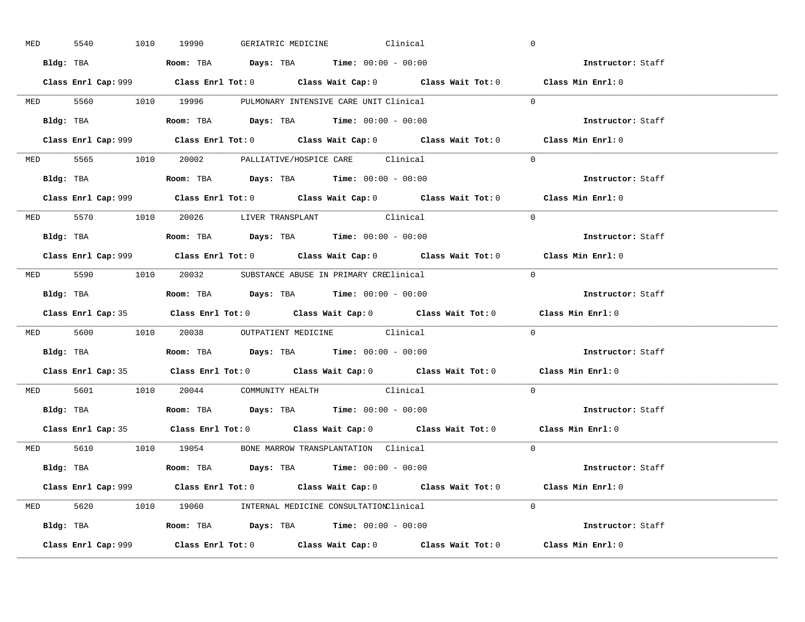| <b>MED</b> | 5540      | 1010 19990                                                                            |  | GERIATRIC MEDICINE Clinical                      |                                                                                            | $\overline{0}$                                                                              |  |
|------------|-----------|---------------------------------------------------------------------------------------|--|--------------------------------------------------|--------------------------------------------------------------------------------------------|---------------------------------------------------------------------------------------------|--|
|            |           | Bldg: TBA                   Room: TBA         Days: TBA         Time: $00:00 - 00:00$ |  |                                                  |                                                                                            | Instructor: Staff                                                                           |  |
|            |           |                                                                                       |  |                                                  |                                                                                            | Class Enrl Cap: 999 Class Enrl Tot: 0 Class Wait Cap: 0 Class Wait Tot: 0 Class Min Enrl: 0 |  |
|            |           | MED 5560 1010 19996 PULMONARY INTENSIVE CARE UNIT Clinical                            |  |                                                  |                                                                                            | $\Omega$                                                                                    |  |
|            |           | Bldg: TBA                   Room: TBA         Days: TBA         Time: $00:00 - 00:00$ |  |                                                  |                                                                                            | Instructor: Staff                                                                           |  |
|            |           |                                                                                       |  |                                                  |                                                                                            | Class Enrl Cap: 999 Class Enrl Tot: 0 Class Wait Cap: 0 Class Wait Tot: 0 Class Min Enrl: 0 |  |
|            |           | MED 5565 1010 20002 PALLIATIVE/HOSPICE CARE Clinical                                  |  |                                                  |                                                                                            | $\Omega$                                                                                    |  |
|            |           | Bldg: TBA                    Room: TBA         Days: TBA        Time: $00:00 - 00:00$ |  |                                                  |                                                                                            | Instructor: Staff                                                                           |  |
|            |           |                                                                                       |  |                                                  |                                                                                            | Class Enrl Cap: 999 Class Enrl Tot: 0 Class Wait Cap: 0 Class Wait Tot: 0 Class Min Enrl: 0 |  |
|            |           | MED 5570 1010 20026 LIVER TRANSPLANT Clinical                                         |  |                                                  |                                                                                            | $\Omega$                                                                                    |  |
|            |           | <b>Bldg:</b> TBA <b>ROOM:</b> TBA <b>Days:</b> TBA <b>Time:</b> $00:00 - 00:00$       |  |                                                  |                                                                                            | Instructor: Staff                                                                           |  |
|            |           |                                                                                       |  |                                                  |                                                                                            | Class Enrl Cap: 999 Class Enrl Tot: 0 Class Wait Cap: 0 Class Wait Tot: 0 Class Min Enrl: 0 |  |
|            |           | MED 5590 1010 20032 SUBSTANCE ABUSE IN PRIMARY CREClinical                            |  |                                                  |                                                                                            | $\Omega$                                                                                    |  |
|            |           |                                                                                       |  |                                                  |                                                                                            | Instructor: Staff                                                                           |  |
|            |           |                                                                                       |  |                                                  |                                                                                            | Class Enrl Cap: 35 Class Enrl Tot: 0 Class Wait Cap: 0 Class Wait Tot: 0 Class Min Enrl: 0  |  |
|            |           |                                                                                       |  | MED 5600 1010 20038 OUTPATIENT MEDICINE Clinical |                                                                                            | $\overline{0}$                                                                              |  |
|            |           |                                                                                       |  |                                                  |                                                                                            |                                                                                             |  |
|            | Bldg: TBA | Room: TBA $Days:$ TBA Time: $00:00 - 00:00$                                           |  |                                                  |                                                                                            | Instructor: Staff                                                                           |  |
|            |           |                                                                                       |  |                                                  |                                                                                            | Class Enrl Cap: 35 Class Enrl Tot: 0 Class Wait Cap: 0 Class Wait Tot: 0 Class Min Enrl: 0  |  |
|            |           | MED 5601 1010 20044 COMMUNITY HEALTH Clinical                                         |  |                                                  |                                                                                            | $\Omega$                                                                                    |  |
|            |           | Bldg: TBA                   Room: TBA         Days: TBA         Time: 00:00 - 00:00   |  |                                                  |                                                                                            | Instructor: Staff                                                                           |  |
|            |           |                                                                                       |  |                                                  | Class Enrl Cap: 35 Class Enrl Tot: 0 Class Wait Cap: 0 Class Wait Tot: 0 Class Min Enrl: 0 |                                                                                             |  |
|            |           | MED 5610 1010 19054 BONE MARROW TRANSPLANTATION Clinical                              |  |                                                  |                                                                                            | $\Omega$                                                                                    |  |
|            |           | Bldg: TBA                   Room: TBA         Days: TBA         Time: 00:00 - 00:00   |  |                                                  |                                                                                            | Instructor: Staff                                                                           |  |
|            |           |                                                                                       |  |                                                  |                                                                                            | Class Enrl Cap: 999 Class Enrl Tot: 0 Class Wait Cap: 0 Class Wait Tot: 0 Class Min Enrl: 0 |  |
|            |           | MED 5620 1010 19060 INTERNAL MEDICINE CONSULTATIONClinical                            |  |                                                  |                                                                                            | $\Omega$                                                                                    |  |
|            |           | Bldg: TBA                   Room: TBA         Days: TBA         Time: 00:00 - 00:00   |  |                                                  |                                                                                            | <b>Instructor:</b> Staff                                                                    |  |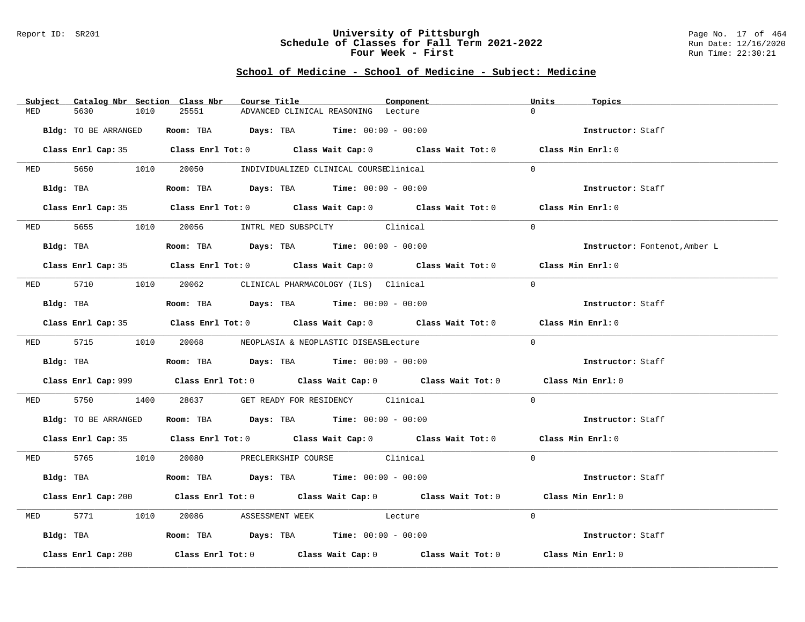### Report ID: SR201 **University of Pittsburgh** Page No. 17 of 464 **Schedule of Classes for Fall Term 2021-2022** Run Date: 12/16/2020 **Four Week - First** Run Time: 22:30:21

| Subject | Catalog Nbr Section Class Nbr | Course Title                                                                          | Component                           | Units<br>Topics                                                                             |  |
|---------|-------------------------------|---------------------------------------------------------------------------------------|-------------------------------------|---------------------------------------------------------------------------------------------|--|
| MED     | 5630<br>1010                  | 25551                                                                                 | ADVANCED CLINICAL REASONING Lecture | $\cap$                                                                                      |  |
|         | Bldg: TO BE ARRANGED          | Room: TBA $Days:$ TBA $Time: 00:00 - 00:00$                                           |                                     | Instructor: Staff                                                                           |  |
|         |                               |                                                                                       |                                     | Class Enrl Cap: 35 Class Enrl Tot: 0 Class Wait Cap: 0 Class Wait Tot: 0 Class Min Enrl: 0  |  |
|         |                               | MED 5650 1010 20050 INDIVIDUALIZED CLINICAL COURSEClinical                            |                                     | $\Omega$                                                                                    |  |
|         | Bldg: TBA                     | Room: TBA $Days:$ TBA $Time: 00:00 - 00:00$                                           |                                     | Instructor: Staff                                                                           |  |
|         |                               |                                                                                       |                                     | Class Enrl Cap: 35 Class Enrl Tot: 0 Class Wait Cap: 0 Class Wait Tot: 0 Class Min Enrl: 0  |  |
|         |                               | MED 5655 1010 20056 INTRL MED SUBSPCLTY Clinical                                      |                                     | $\Omega$                                                                                    |  |
|         |                               | Bldg: TBA                   Room: TBA         Days: TBA         Time: 00:00 - 00:00   |                                     | Instructor: Fontenot, Amber L                                                               |  |
|         |                               |                                                                                       |                                     | Class Enrl Cap: 35 Class Enrl Tot: 0 Class Wait Cap: 0 Class Wait Tot: 0 Class Min Enrl: 0  |  |
|         |                               | MED 5710 1010 20062 CLINICAL PHARMACOLOGY (ILS) Clinical                              |                                     | $\Omega$                                                                                    |  |
|         | Bldg: TBA                     | Room: TBA $Days:$ TBA $Time: 00:00 - 00:00$                                           |                                     | Instructor: Staff                                                                           |  |
|         |                               |                                                                                       |                                     | Class Enrl Cap: 35 Class Enrl Tot: 0 Class Wait Cap: 0 Class Wait Tot: 0 Class Min Enrl: 0  |  |
|         |                               | MED 5715 1010 20068 NEOPLASIA & NEOPLASTIC DISEASELecture                             |                                     | $\Omega$                                                                                    |  |
|         |                               |                                                                                       |                                     | Instructor: Staff                                                                           |  |
|         |                               |                                                                                       |                                     | Class Enrl Cap: 999 Class Enrl Tot: 0 Class Wait Cap: 0 Class Wait Tot: 0 Class Min Enrl: 0 |  |
|         |                               | MED 5750 1400 28637 GET READY FOR RESIDENCY Clinical                                  |                                     | $\Omega$                                                                                    |  |
|         |                               | Bldg: TO BE ARRANGED Room: TBA Days: TBA Time: 00:00 - 00:00                          |                                     | Instructor: Staff                                                                           |  |
|         |                               |                                                                                       |                                     | Class Enrl Cap: 35 Class Enrl Tot: 0 Class Wait Cap: 0 Class Wait Tot: 0 Class Min Enrl: 0  |  |
|         |                               | MED 5765 1010 20080 PRECLERKSHIP COURSE Clinical                                      |                                     | $\Omega$                                                                                    |  |
|         |                               | Bldg: TBA                   Room: TBA         Days: TBA         Time: $00:00 - 00:00$ |                                     | Instructor: Staff                                                                           |  |
|         |                               |                                                                                       |                                     | Class Enrl Cap: 200 Class Enrl Tot: 0 Class Wait Cap: 0 Class Wait Tot: 0 Class Min Enrl: 0 |  |
|         |                               | MED 5771 1010 20086 ASSESSMENT WEEK Lecture                                           |                                     | $\Omega$                                                                                    |  |
|         |                               | Bldg: TBA                   Room: TBA         Days: TBA         Time: $00:00 - 00:00$ |                                     | Instructor: Staff                                                                           |  |
|         | Class Enrl Cap: 200           | Class Enrl Tot: $0$ Class Wait Cap: $0$ Class Wait Tot: $0$                           |                                     | Class Min Enrl: 0                                                                           |  |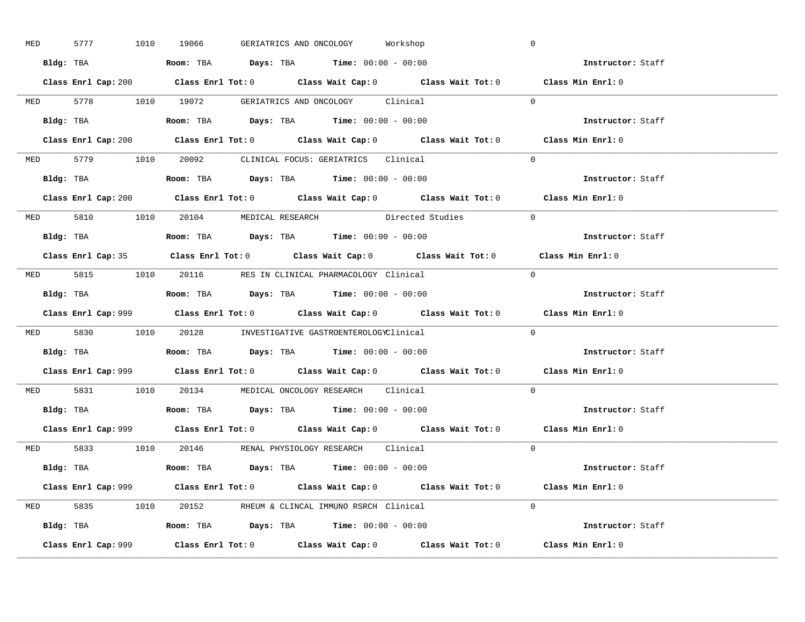| <b>MED</b> |  | 5777 1010 19066                                                                       |  | GERIATRICS AND ONCOLOGY Workshop |                                                                                             | $\overline{0}$ |                                    |  |
|------------|--|---------------------------------------------------------------------------------------|--|----------------------------------|---------------------------------------------------------------------------------------------|----------------|------------------------------------|--|
|            |  | Bldg: TBA                   Room: TBA         Days: TBA         Time: $00:00 - 00:00$ |  |                                  |                                                                                             |                | <b>Example 2</b> Instructor: Staff |  |
|            |  |                                                                                       |  |                                  | Class Enrl Cap: 200 Class Enrl Tot: 0 Class Wait Cap: 0 Class Wait Tot: 0 Class Min Enrl: 0 |                |                                    |  |
|            |  |                                                                                       |  |                                  | MED 5778 1010 19072 GERIATRICS AND ONCOLOGY Clinical 0                                      |                |                                    |  |
|            |  | Bldg: TBA                   Room: TBA         Days: TBA         Time: $00:00 - 00:00$ |  |                                  |                                                                                             |                | Instructor: Staff                  |  |
|            |  |                                                                                       |  |                                  | Class Enrl Cap: 200 Class Enrl Tot: 0 Class Wait Cap: 0 Class Wait Tot: 0 Class Min Enrl: 0 |                |                                    |  |
|            |  | MED 5779 1010 20092 CLINICAL FOCUS: GERIATRICS Clinical                               |  |                                  |                                                                                             | $\Omega$       |                                    |  |
|            |  | Bldg: TBA                    Room: TBA         Days: TBA        Time: 00:00 - 00:00   |  |                                  |                                                                                             |                | Instructor: Staff                  |  |
|            |  |                                                                                       |  |                                  | Class Enrl Cap: 200 Class Enrl Tot: 0 Class Wait Cap: 0 Class Wait Tot: 0 Class Min Enrl: 0 |                |                                    |  |
|            |  |                                                                                       |  |                                  | MED 5810 1010 20104 MEDICAL RESEARCH Directed Studies                                       | $\overline{0}$ |                                    |  |
|            |  |                                                                                       |  |                                  |                                                                                             |                | Instructor: Staff                  |  |
|            |  |                                                                                       |  |                                  | Class Enrl Cap: 35 Class Enrl Tot: 0 Class Wait Cap: 0 Class Wait Tot: 0 Class Min Enrl: 0  |                |                                    |  |
|            |  | MED 5815 1010 20116 RES IN CLINICAL PHARMACOLOGY Clinical                             |  |                                  |                                                                                             | $\bigcirc$     |                                    |  |
|            |  | <b>Bldg:</b> TBA <b>ROOM:</b> TBA <b>Days:</b> TBA <b>Time:</b> $00:00 - 00:00$       |  |                                  |                                                                                             |                | Instructor: Staff                  |  |
|            |  |                                                                                       |  |                                  | Class Enrl Cap: 999 Class Enrl Tot: 0 Class Wait Cap: 0 Class Wait Tot: 0 Class Min Enrl: 0 |                |                                    |  |
|            |  | MED 5830 1010 20128 INVESTIGATIVE GASTROENTEROLOGYClinical                            |  |                                  |                                                                                             | $\Omega$       |                                    |  |
|            |  | Bldg: TBA                    Room: TBA         Days: TBA        Time: $00:00 - 00:00$ |  |                                  |                                                                                             |                | Instructor: Staff                  |  |
|            |  |                                                                                       |  |                                  | Class Enrl Cap: 999 Class Enrl Tot: 0 Class Wait Cap: 0 Class Wait Tot: 0 Class Min Enrl: 0 |                |                                    |  |
|            |  | MED 5831 1010 20134 MEDICAL ONCOLOGY RESEARCH Clinical                                |  |                                  |                                                                                             | $\Omega$       |                                    |  |
|            |  | Bldg: TBA                   Room: TBA         Days: TBA         Time: $00:00 - 00:00$ |  |                                  |                                                                                             |                | Instructor: Staff                  |  |
|            |  |                                                                                       |  |                                  | Class Enrl Cap: 999 Class Enrl Tot: 0 Class Wait Cap: 0 Class Wait Tot: 0 Class Min Enrl: 0 |                |                                    |  |
|            |  | MED 5833 1010 20146 RENAL PHYSIOLOGY RESEARCH Clinical                                |  |                                  |                                                                                             | $\Omega$       |                                    |  |
|            |  | Bldg: TBA                   Room: TBA         Days: TBA         Time: 00:00 - 00:00   |  |                                  |                                                                                             |                | Instructor: Staff                  |  |
|            |  |                                                                                       |  |                                  | Class Enrl Cap: 999 Class Enrl Tot: 0 Class Wait Cap: 0 Class Wait Tot: 0 Class Min Enrl: 0 |                |                                    |  |
|            |  | MED 5835 1010 20152 RHEUM & CLINCAL IMMUNO RSRCH Clinical                             |  |                                  |                                                                                             | $\Omega$       |                                    |  |
|            |  | Bldg: TBA                    Room: TBA         Days: TBA        Time: $00:00 - 00:00$ |  |                                  |                                                                                             |                | Instructor: Staff                  |  |
|            |  |                                                                                       |  |                                  |                                                                                             |                |                                    |  |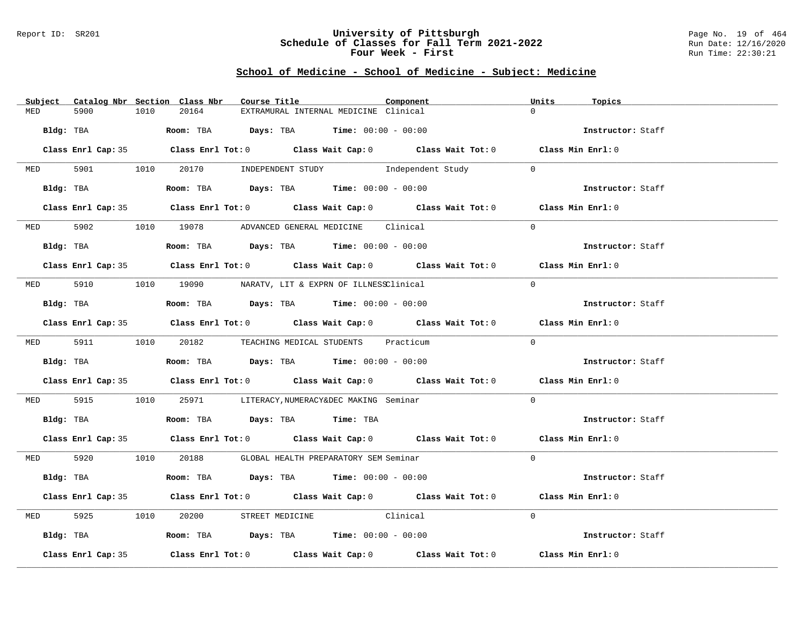### Report ID: SR201 **University of Pittsburgh** Page No. 19 of 464 **Schedule of Classes for Fall Term 2021-2022** Run Date: 12/16/2020 **Four Week - First** Run Time: 22:30:21

|            |                    |      | Subject Catalog Nbr Section Class Nbr | Course Title                                                                          | Component                                                                                  | Units    | Topics            |
|------------|--------------------|------|---------------------------------------|---------------------------------------------------------------------------------------|--------------------------------------------------------------------------------------------|----------|-------------------|
| MED        | 5900               | 1010 | 20164                                 | EXTRAMURAL INTERNAL MEDICINE Clinical                                                 |                                                                                            | $\cap$   |                   |
| Bldg: TBA  |                    |      |                                       | <b>Room:</b> TBA $Days: TBA$ <b>Time:</b> $00:00 - 00:00$                             |                                                                                            |          | Instructor: Staff |
|            |                    |      |                                       |                                                                                       | Class Enrl Cap: 35 Class Enrl Tot: 0 Class Wait Cap: 0 Class Wait Tot: 0 Class Min Enrl: 0 |          |                   |
|            |                    |      |                                       |                                                                                       | MED 5901 1010 20170 INDEPENDENT STUDY Independent Study                                    | $\Omega$ |                   |
|            | Bldg: TBA          |      |                                       |                                                                                       | Room: TBA $Days:$ TBA $Time:$ $00:00 - 00:00$                                              |          | Instructor: Staff |
|            |                    |      |                                       |                                                                                       | Class Enrl Cap: 35 Class Enrl Tot: 0 Class Wait Cap: 0 Class Wait Tot: 0 Class Min Enrl: 0 |          |                   |
|            |                    |      |                                       | MED 5902 1010 19078 ADVANCED GENERAL MEDICINE Clinical                                |                                                                                            | $\Omega$ |                   |
|            | Bldg: TBA          |      |                                       | Room: TBA $Days:$ TBA $Time: 00:00 - 00:00$                                           |                                                                                            |          | Instructor: Staff |
|            |                    |      |                                       |                                                                                       | Class Enrl Cap: 35 Class Enrl Tot: 0 Class Wait Cap: 0 Class Wait Tot: 0 Class Min Enrl: 0 |          |                   |
|            |                    |      |                                       | MED 5910 1010 19090 NARATV, LIT & EXPRN OF ILLNESSClinical                            |                                                                                            | $\Omega$ |                   |
|            | Bldg: TBA          |      |                                       | Room: TBA $Days:$ TBA Time: $00:00 - 00:00$                                           |                                                                                            |          | Instructor: Staff |
|            |                    |      |                                       |                                                                                       | Class Enrl Cap: 35 Class Enrl Tot: 0 Class Wait Cap: 0 Class Wait Tot: 0 Class Min Enrl: 0 |          |                   |
|            |                    |      |                                       | MED 5911 1010 20182 TEACHING MEDICAL STUDENTS Practicum                               |                                                                                            | $\Omega$ |                   |
|            |                    |      |                                       | Bldg: TBA                    Room: TBA         Days: TBA        Time: $00:00 - 00:00$ |                                                                                            |          | Instructor: Staff |
|            |                    |      |                                       |                                                                                       | Class Enrl Cap: 35 Class Enrl Tot: 0 Class Wait Cap: 0 Class Wait Tot: 0 Class Min Enrl: 0 |          |                   |
|            | MED 5915           |      |                                       | 1010 25971 LITERACY, NUMERACY&DEC MAKING Seminar                                      |                                                                                            | $\Omega$ |                   |
|            |                    |      |                                       | Bldg: TBA                       Room: TBA          Days: TBA         Time: TBA        |                                                                                            |          | Instructor: Staff |
|            |                    |      |                                       |                                                                                       | Class Enrl Cap: 35 Class Enrl Tot: 0 Class Wait Cap: 0 Class Wait Tot: 0 Class Min Enrl: 0 |          |                   |
|            |                    |      |                                       | MED 5920 1010 20188 GLOBAL HEALTH PREPARATORY SEM Seminar                             |                                                                                            | $\Omega$ |                   |
|            |                    |      |                                       | Bldg: TBA                    Room: TBA         Days: TBA         Time: 00:00 - 00:00  |                                                                                            |          | Instructor: Staff |
|            |                    |      |                                       |                                                                                       | Class Enrl Cap: 35 Class Enrl Tot: 0 Class Wait Cap: 0 Class Wait Tot: 0 Class Min Enrl: 0 |          |                   |
| <b>MED</b> | 5925               |      | 1010 20200                            | STREET MEDICINE Clinical                                                              |                                                                                            | $\Omega$ |                   |
|            |                    |      |                                       | Bldg: TBA                   Room: TBA         Days: TBA         Time: 00:00 - 00:00   |                                                                                            |          | Instructor: Staff |
|            | Class Enrl Cap: 35 |      |                                       |                                                                                       | Class Enrl Tot: $0$ Class Wait Cap: $0$ Class Wait Tot: $0$                                |          | Class Min Enrl: 0 |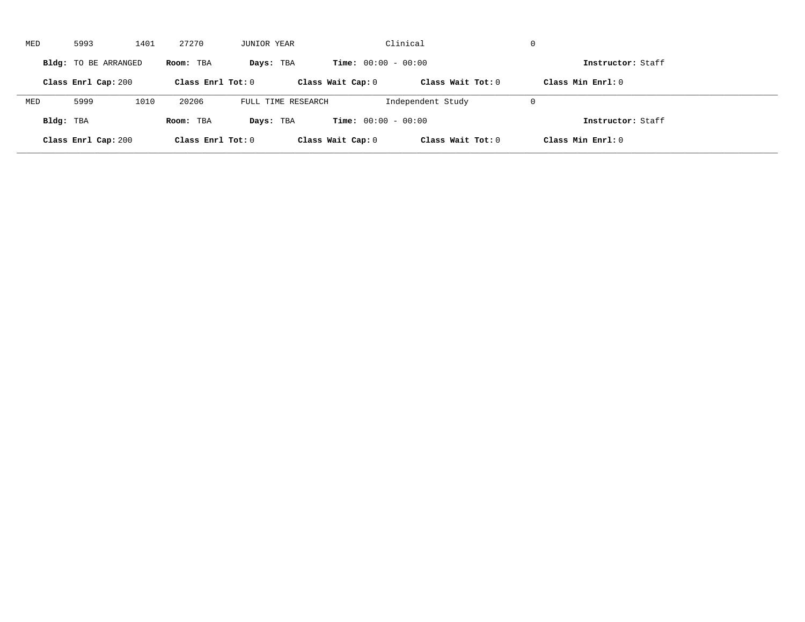| MED       | 5993                 | 1401 | 27270               | JUNIOR YEAR        |                              | Clinical            | $\mathbf 0$         |  |
|-----------|----------------------|------|---------------------|--------------------|------------------------------|---------------------|---------------------|--|
|           | Bldg: TO BE ARRANGED |      | Room: TBA           | Days: TBA          | <b>Time:</b> $00:00 - 00:00$ |                     | Instructor: Staff   |  |
|           | Class Enrl Cap: 200  |      | Class Enrl Tot: $0$ |                    | Class Wait Cap: 0            | Class Wait $Tot: 0$ | Class Min $Enr1: 0$ |  |
| MED       | 5999                 | 1010 | 20206               | FULL TIME RESEARCH |                              | Independent Study   | $\mathbf 0$         |  |
| Bldg: TBA |                      |      | Room: TBA           | Days: TBA          | <b>Time:</b> $00:00 - 00:00$ |                     | Instructor: Staff   |  |
|           | Class Enrl Cap: 200  |      | Class Enrl Tot: 0   |                    | Class Wait Cap: 0            | Class Wait Tot: 0   | Class Min Enrl: 0   |  |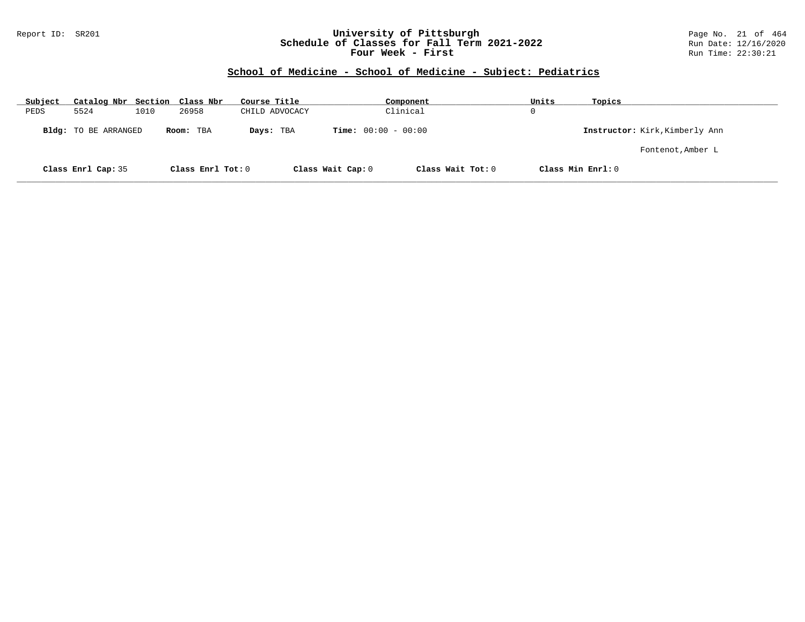## Report ID: SR201 **University of Pittsburgh** Page No. 21 of 464 **Schedule of Classes for Fall Term 2021-2022** Run Date: 12/16/2020 **Four Week - First** Run Time: 22:30:21

| Subject | Catalog Nbr Section Class Nbr |      |                   | Course Title   |                              | Component         | Units    | Topics                         |
|---------|-------------------------------|------|-------------------|----------------|------------------------------|-------------------|----------|--------------------------------|
| PEDS    | 5524                          | 1010 | 26958             | CHILD ADVOCACY |                              | Clinical          | $\Omega$ |                                |
|         | Bldg: TO BE ARRANGED          |      | Room: TBA         | Days: TBA      | <b>Time:</b> $00:00 - 00:00$ |                   |          | Instructor: Kirk, Kimberly Ann |
|         |                               |      |                   |                |                              |                   |          | Fontenot, Amber L              |
|         | Class Enrl Cap: 35            |      | Class Enrl Tot: 0 |                | Class Wait Cap: 0            | Class Wait Tot: 0 |          | Class Min Enrl: 0              |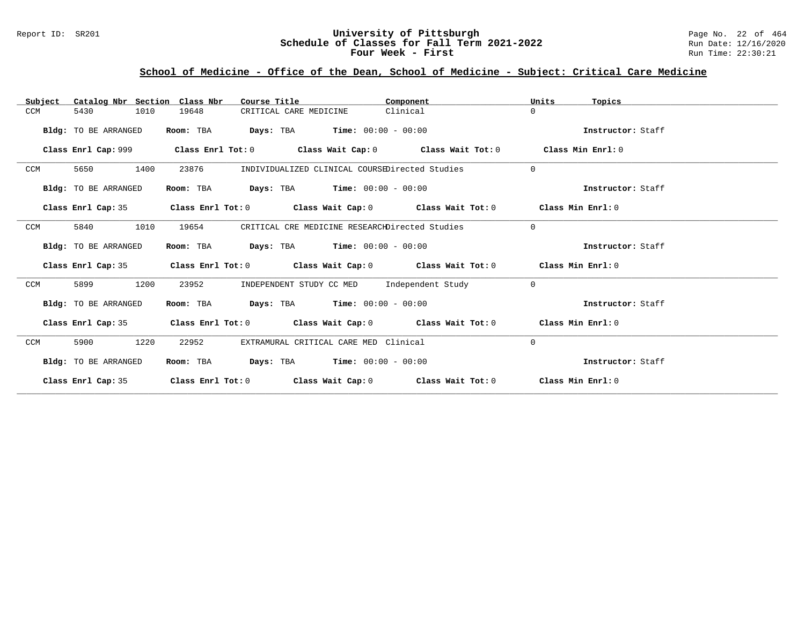## Report ID: SR201 **1989 Mixersity of Pittsburgh University of Pittsburgh** Page No. 22 of 464<br>**Schedule of Classes for Fall Term 2021-2022** Run Date: 12/16/2020 **Schedule of Classes for Fall Term 2021-2022** Run Date: 12/16/2020 **Four Week - First** Run Time: 22:30:21

# **School of Medicine - Office of the Dean, School of Medicine - Subject: Critical Care Medicine**

| Catalog Nbr Section Class Nbr<br>Subject | Course Title                                                                        | Component                                                                                          | Units<br>Topics   |
|------------------------------------------|-------------------------------------------------------------------------------------|----------------------------------------------------------------------------------------------------|-------------------|
| 5430<br>1010<br>CCM                      | 19648<br>CRITICAL CARE MEDICINE                                                     | Clinical                                                                                           | $\Omega$          |
| Bldg: TO BE ARRANGED                     | Room: TBA                                                                           | <b>Days:</b> TBA <b>Time:</b> $00:00 - 00:00$                                                      | Instructor: Staff |
| Class Enrl Cap: 999                      |                                                                                     | Class Enrl Tot: $0$ Class Wait Cap: $0$ Class Wait Tot: $0$                                        | Class Min Enrl: 0 |
| CCM<br>5650<br>1400                      | 23876                                                                               | INDIVIDUALIZED CLINICAL COURSEDirected Studies                                                     | $\Omega$          |
| Bldg: TO BE ARRANGED                     | Room: TBA                                                                           | <b>Days:</b> TBA <b>Time:</b> $00:00 - 00:00$                                                      | Instructor: Staff |
| Class Enrl Cap: 35                       |                                                                                     | Class Enrl Tot: $0$ Class Wait Cap: $0$ Class Wait Tot: $0$ Class Min Enrl: $0$                    |                   |
| CCM<br>5840<br>1010                      | 19654                                                                               | CRITICAL CRE MEDICINE RESEARCHDirected Studies                                                     | $\Omega$          |
| Bldg: TO BE ARRANGED                     | Room: TBA                                                                           | <b>Days:</b> TBA <b>Time:</b> $00:00 - 00:00$                                                      | Instructor: Staff |
| Class Enrl Cap: 35                       |                                                                                     | Class Enrl Tot: $0$ Class Wait Cap: $0$ Class Wait Tot: $0$ Class Min Enrl: $0$                    |                   |
| 1200<br>CCM<br>5899                      | 23952                                                                               | INDEPENDENT STUDY CC MED Independent Study                                                         | $\Omega$          |
| Bldg: TO BE ARRANGED                     | Room: TBA $\rule{1em}{0.15mm}$ Days: TBA $\rule{1em}{0.15mm}$ Time: $00:00 - 00:00$ |                                                                                                    | Instructor: Staff |
| Class Enrl Cap: 35                       |                                                                                     | Class Enrl Tot: 0 $\qquad$ Class Wait Cap: 0 $\qquad$ Class Wait Tot: 0 $\qquad$ Class Min Enrl: 0 |                   |
| CCM<br>1220<br>5900                      | 22952                                                                               | EXTRAMURAL CRITICAL CARE MED Clinical                                                              | $\Omega$          |
| Bldg: TO BE ARRANGED                     | Room: TBA                                                                           | <b>Days:</b> TBA <b>Time:</b> $00:00 - 00:00$                                                      | Instructor: Staff |
| Class Enrl Cap: 35                       |                                                                                     | Class Enrl Tot: $0$ Class Wait Cap: $0$ Class Wait Tot: $0$ Class Min Enrl: $0$                    |                   |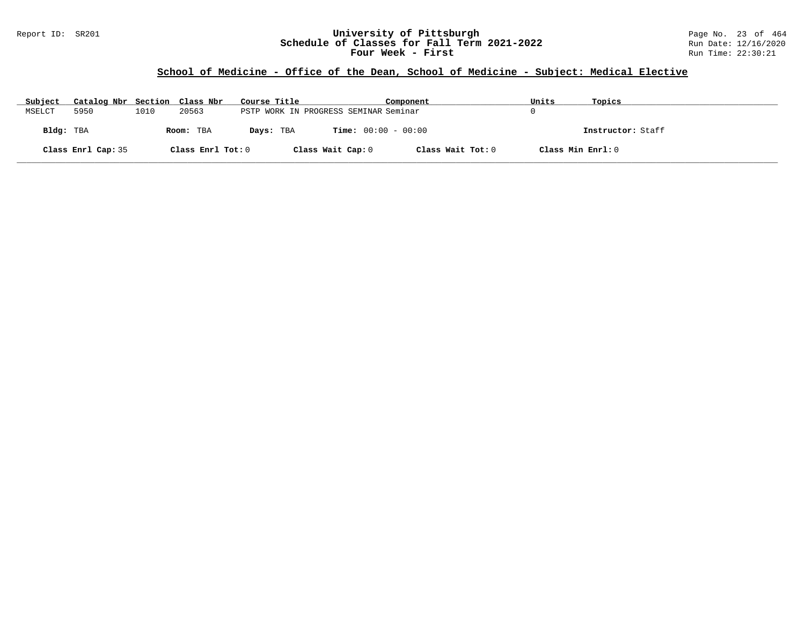## Report ID: SR201 **University of Pittsburgh** Page No. 23 of 464 **Schedule of Classes for Fall Term 2021-2022** Run Date: 12/16/2020 **Four Week - First** Run Time: 22:30:21

# **School of Medicine - Office of the Dean, School of Medicine - Subject: Medical Elective**

| Subject   | Catalog Nbr Section Class Nbr |      |                   | Course Title                          |                              | Component         | Units             | Topics            |
|-----------|-------------------------------|------|-------------------|---------------------------------------|------------------------------|-------------------|-------------------|-------------------|
| MSELCT    | 5950                          | 1010 | 20563             | PSTP WORK IN PROGRESS SEMINAR Seminar |                              |                   |                   |                   |
| Bldg: TBA |                               |      | Room: TBA         | Days: TBA                             | <b>Time:</b> $00:00 - 00:00$ |                   |                   | Instructor: Staff |
|           | Class Enrl Cap: 35            |      | Class Enrl Tot: 0 |                                       | Class Wait Cap: 0            | Class Wait Tot: 0 | Class Min Enrl: 0 |                   |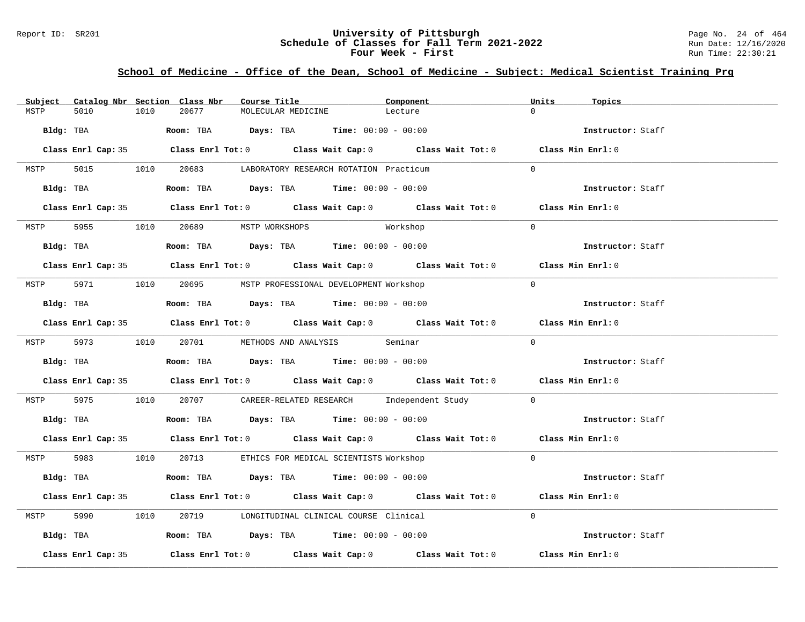## Report ID: SR201 **University of Pittsburgh University of Pittsburgh** Page No. 24 of 464<br>**Schedule of Classes for Fall Term 2021-2022** Run Date: 12/16/2020 **Schedule of Classes for Fall Term 2021-2022** Run Date: 12/16/2020 **Four Week - First** Run Time: 22:30:21

# **School of Medicine - Office of the Dean, School of Medicine - Subject: Medical Scientist Training Prg**

| 20677<br>$\Omega$<br>5010<br>1010<br>MOLECULAR MEDICINE<br>MSTP<br>Lecture<br><b>Room:</b> TBA <b>Days:</b> TBA <b>Time:</b> $00:00 - 00:00$<br>Bldg: TBA | Instructor: Staff |
|-----------------------------------------------------------------------------------------------------------------------------------------------------------|-------------------|
|                                                                                                                                                           |                   |
|                                                                                                                                                           |                   |
| Class Enrl Cap: 35 Class Enrl Tot: 0 Class Wait Cap: 0 Class Wait Tot: 0 Class Min Enrl: 0                                                                |                   |
| 5015 1010 20683 LABORATORY RESEARCH ROTATION Practicum<br>$\Omega$<br>MSTP                                                                                |                   |
| Room: TBA $Days:$ TBA $Time: 00:00 - 00:00$<br>Bldg: TBA                                                                                                  | Instructor: Staff |
| Class Enrl Cap: 35 Class Enrl Tot: 0 Class Wait Cap: 0 Class Wait Tot: 0 Class Min Enrl: 0                                                                |                   |
| MSTP 5955 1010 20689 MSTP WORKSHOPS<br>$\Omega$<br>Workshop                                                                                               |                   |
| Bldg: TBA                    Room: TBA         Days: TBA         Time: $00:00 - 00:00$                                                                    | Instructor: Staff |
| Class Enrl Cap: 35 Class Enrl Tot: 0 Class Wait Cap: 0 Class Wait Tot: 0 Class Min Enrl: 0                                                                |                   |
| MSTP 5971 1010 20695 MSTP PROFESSIONAL DEVELOPMENT Workshop<br>$\Omega$                                                                                   |                   |
| Room: TBA $Days:$ TBA $Time: 00:00 - 00:00$<br>Bldg: TBA                                                                                                  | Instructor: Staff |
| Class Enrl Cap: 35 Class Enrl Tot: 0 Class Wait Cap: 0 Class Wait Tot: 0 Class Min Enrl: 0                                                                |                   |
| $\Omega$<br>MSTP 5973 1010 20701 METHODS AND ANALYSIS Seminar                                                                                             |                   |
| <b>Bldg:</b> TBA <b>ROOM:</b> TBA <b>Days:</b> TBA <b>Time:</b> $00:00 - 00:00$                                                                           | Instructor: Staff |
| Class Enrl Cap: 35 Class Enrl Tot: 0 Class Wait Cap: 0 Class Wait Tot: 0 Class Min Enrl: 0                                                                |                   |
| MSTP 5975 1010 20707 CAREER-RELATED RESEARCH Independent Study 0                                                                                          |                   |
| Bldg: TBA                        Room: TBA           Days: TBA          Time: $00:00 - 00:00$                                                             | Instructor: Staff |
| Class Enrl Cap: 35 Class Enrl Tot: 0 Class Wait Cap: 0 Class Wait Tot: 0 Class Min Enrl: 0                                                                |                   |
| MSTP 5983 1010 20713 ETHICS FOR MEDICAL SCIENTISTS Workshop<br>$\Omega$                                                                                   |                   |
| Bldg: TBA                    Room: TBA         Days: TBA         Time: 00:00 - 00:00                                                                      | Instructor: Staff |
| Class Enrl Cap: 35 Class Enrl Tot: 0 Class Wait Cap: 0 Class Wait Tot: 0 Class Min Enrl: 0                                                                |                   |
| 5990 1010 20719 LONGITUDINAL CLINICAL COURSE Clinical<br>$\Omega$<br>MSTP                                                                                 |                   |
| Bldg: TBA                    Room: TBA         Days: TBA         Time: $00:00 - 00:00$                                                                    | Instructor: Staff |
| Class Enrl Tot: $0$ Class Wait Cap: $0$ Class Wait Tot: $0$ Class Min Enrl: $0$<br>Class Enrl Cap: 35                                                     |                   |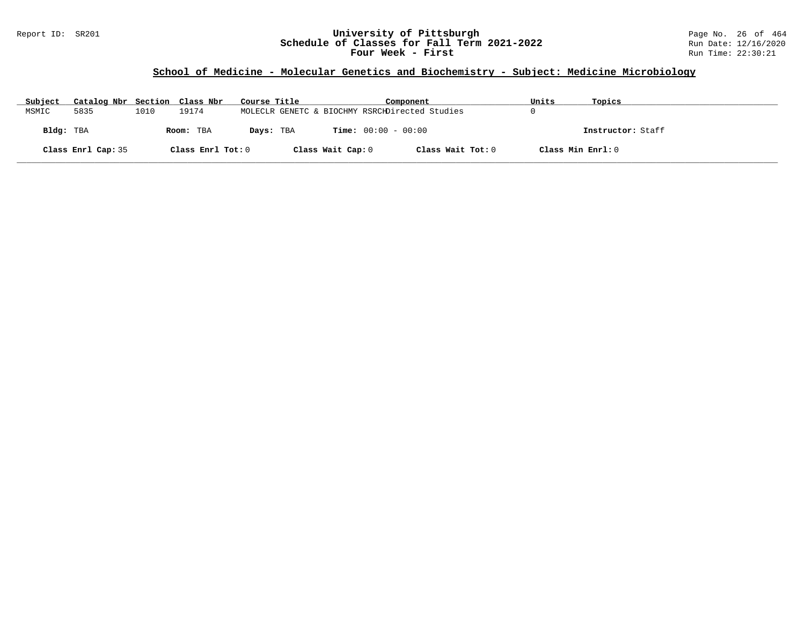## Report ID: SR201 **University of Pittsburgh** Page No. 26 of 464 **Schedule of Classes for Fall Term 2021-2022** Run Date: 12/16/2020 **Four Week - First** Run Time: 22:30:21

# **School of Medicine - Molecular Genetics and Biochemistry - Subject: Medicine Microbiology**

| Subject   | Catalog Nbr Section Class Nbr |      |                   | Course Title                                   |                   | Component                    |                   | Units             | Topics            |
|-----------|-------------------------------|------|-------------------|------------------------------------------------|-------------------|------------------------------|-------------------|-------------------|-------------------|
| MSMIC     | 5835                          | 1010 | 19174             | MOLECLR GENETC & BIOCHMY RSRCHDirected Studies |                   |                              |                   |                   |                   |
| Bldg: TBA |                               |      | Room: TBA         | Days: TBA                                      |                   | <b>Time:</b> $00:00 - 00:00$ |                   |                   | Instructor: Staff |
|           | Class Enrl Cap: 35            |      | Class Enrl Tot: 0 |                                                | Class Wait Cap: 0 |                              | Class Wait Tot: 0 | Class Min Enrl: 0 |                   |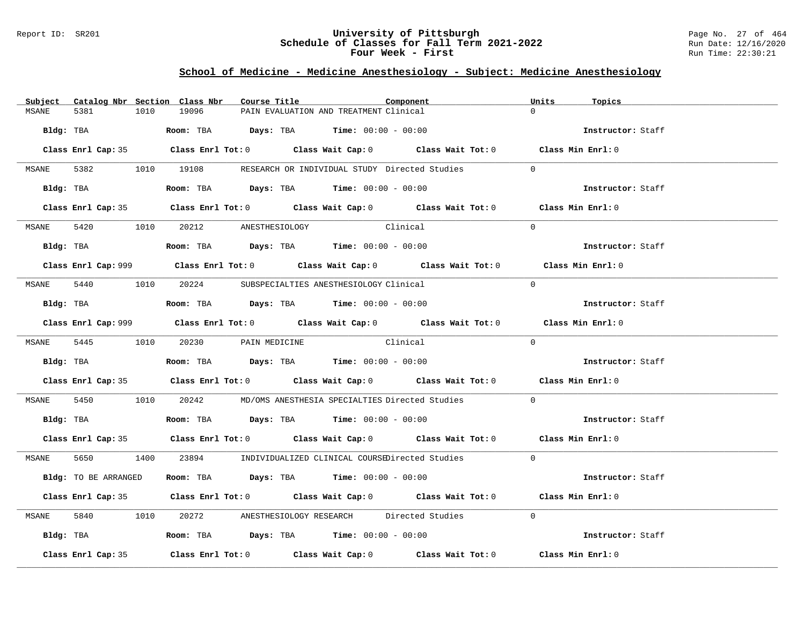### Report ID: SR201 **University of Pittsburgh** Page No. 27 of 464 **Schedule of Classes for Fall Term 2021-2022** Run Date: 12/16/2020 **Four Week - First** Run Time: 22:30:21

## **School of Medicine - Medicine Anesthesiology - Subject: Medicine Anesthesiology**

| Subject      |                      |      | Catalog Nbr Section Class Nbr        | Course Title |                                                                                         | Component                                                                                          | Units    | Topics            |
|--------------|----------------------|------|--------------------------------------|--------------|-----------------------------------------------------------------------------------------|----------------------------------------------------------------------------------------------------|----------|-------------------|
| MSANE        | 5381                 | 1010 | 19096                                |              | PAIN EVALUATION AND TREATMENT Clinical                                                  |                                                                                                    |          |                   |
|              | Bldg: TBA            |      |                                      |              | Room: TBA $Days:$ TBA $Time: 00:00 - 00:00$                                             |                                                                                                    |          | Instructor: Staff |
|              |                      |      |                                      |              |                                                                                         | Class Enrl Cap: 35 Class Enrl Tot: 0 Class Wait Cap: 0 Class Wait Tot: 0 Class Min Enrl: 0         |          |                   |
|              |                      |      |                                      |              |                                                                                         | MSANE 5382 1010 19108 RESEARCH OR INDIVIDUAL STUDY Directed Studies                                | $\Omega$ |                   |
|              | Bldg: TBA            |      |                                      |              | Room: TBA $\rule{1em}{0.15mm}$ Days: TBA Time: $00:00 - 00:00$                          |                                                                                                    |          | Instructor: Staff |
|              |                      |      |                                      |              |                                                                                         | Class Enrl Cap: 35 Class Enrl Tot: 0 Class Wait Cap: 0 Class Wait Tot: 0 Class Min Enrl: 0         |          |                   |
|              |                      |      | MSANE 5420 1010 20212 ANESTHESIOLOGY |              | Clinical                                                                                |                                                                                                    | $\Omega$ |                   |
|              |                      |      |                                      |              | Bldg: TBA                   Room: TBA         Days: TBA        Time: $00:00 - 00:00$    |                                                                                                    |          | Instructor: Staff |
|              |                      |      |                                      |              |                                                                                         |                                                                                                    |          | Class Min Enrl: 0 |
| MSANE 5440   |                      |      |                                      |              | 1010 20224 SUBSPECIALTIES ANESTHESIOLOGY Clinical                                       |                                                                                                    | $\Omega$ |                   |
|              |                      |      |                                      |              | Bldg: TBA                    Room: TBA         Days: TBA         Time: $00:00 - 00:00$  |                                                                                                    |          | Instructor: Staff |
|              |                      |      |                                      |              |                                                                                         | Class Enrl Cap: 999 Class Enrl Tot: 0 Class Wait Cap: 0 Class Wait Tot: 0                          |          | Class Min Enrl: 0 |
|              |                      |      | MSANE 5445 1010 20230 PAIN MEDICINE  |              | Clinical                                                                                |                                                                                                    | $\Omega$ |                   |
|              |                      |      |                                      |              |                                                                                         |                                                                                                    |          | Instructor: Staff |
|              |                      |      |                                      |              |                                                                                         | Class Enrl Cap: 35 Class Enrl Tot: 0 Class Wait Cap: 0 Class Wait Tot: 0 Class Min Enrl: 0         |          |                   |
| MSANE        |                      |      |                                      |              |                                                                                         | 5450 1010 20242 MD/OMS ANESTHESIA SPECIALTIES Directed Studies                                     | $\Omega$ |                   |
|              |                      |      |                                      |              | Bldg: TBA                       Room: TBA         Days: TBA         Time: 00:00 - 00:00 |                                                                                                    |          | Instructor: Staff |
|              |                      |      |                                      |              |                                                                                         | Class Enrl Cap: 35 Class Enrl Tot: 0 Class Wait Cap: 0 Class Wait Tot: 0 Class Min Enrl: 0         |          |                   |
|              |                      |      |                                      |              |                                                                                         | MSANE 5650 1400 23894 INDIVIDUALIZED CLINICAL COURSEDirected Studies                               | $\Omega$ |                   |
|              | Bldg: TO BE ARRANGED |      |                                      |              | Room: TBA $\rule{1em}{0.15mm}$ Days: TBA $\rule{1.15mm}]{0.15mm}$ Time: $0.000 - 0.000$ |                                                                                                    |          | Instructor: Staff |
|              |                      |      |                                      |              |                                                                                         | Class Enrl Cap: 35 Class Enrl Tot: 0 Class Wait Cap: 0 Class Wait Tot: 0 Class Min Enrl: 0         |          |                   |
| <b>MSANE</b> |                      |      |                                      |              |                                                                                         | 5840 1010 20272 ANESTHESIOLOGY RESEARCH Directed Studies                                           | $\Omega$ |                   |
|              |                      |      |                                      |              | Bldg: TBA                  Room: TBA        Days: TBA        Time: 00:00 - 00:00        |                                                                                                    |          | Instructor: Staff |
|              | Class Enrl Cap: 35   |      |                                      |              |                                                                                         | Class Enrl Tot: 0 $\qquad$ Class Wait Cap: 0 $\qquad$ Class Wait Tot: 0 $\qquad$ Class Min Enrl: 0 |          |                   |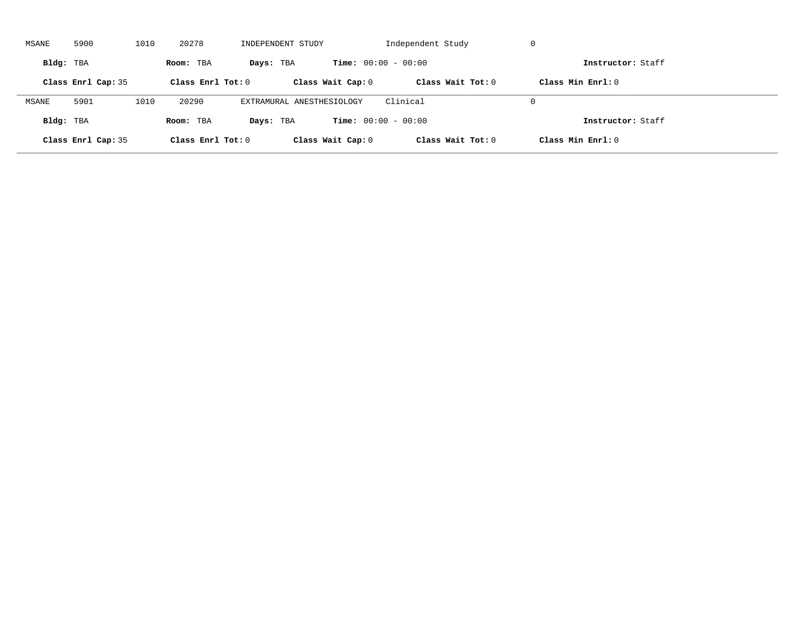| MSANE     | 5900               | 1010 | 20278             | INDEPENDENT STUDY         |                              | Independent Study | -U                |  |
|-----------|--------------------|------|-------------------|---------------------------|------------------------------|-------------------|-------------------|--|
| Bldg: TBA |                    |      | Room: TBA         | Days: TBA                 | <b>Time:</b> $00:00 - 00:00$ |                   | Instructor: Staff |  |
|           | Class Enrl Cap: 35 |      | Class Enrl Tot: 0 |                           | Class Wait Cap: 0            | Class Wait Tot: 0 | Class Min Enrl: 0 |  |
| MSANE     | 5901               | 1010 | 20290             | EXTRAMURAL ANESTHESIOLOGY |                              | Clinical          | $\Omega$          |  |
| Bldg: TBA |                    |      | Room: TBA         | Days: TBA                 | <b>Time:</b> $00:00 - 00:00$ |                   | Instructor: Staff |  |
|           | Class Enrl Cap: 35 |      | Class Enrl Tot: 0 |                           | Class Wait Cap: 0            | Class Wait Tot: 0 | Class Min Enrl: 0 |  |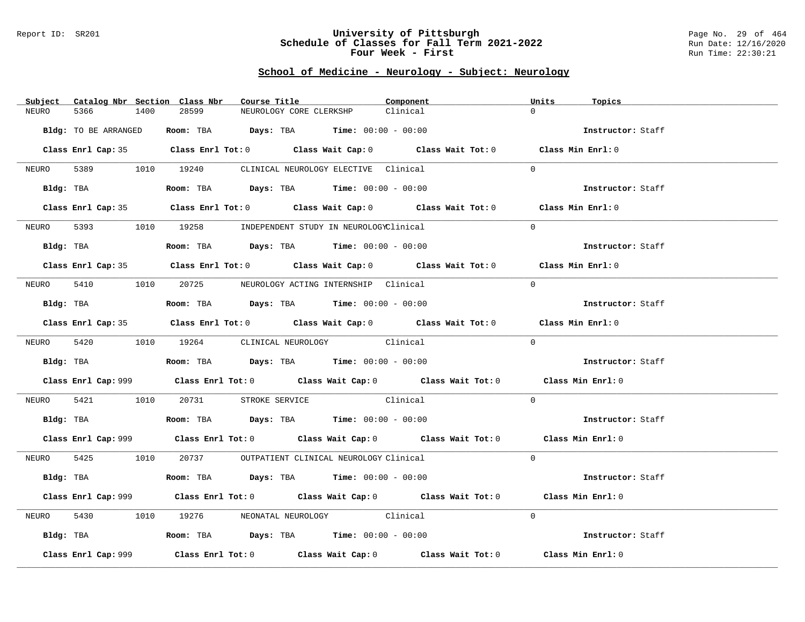#### Report ID: SR201 **University of Pittsburgh** Page No. 29 of 464 **Schedule of Classes for Fall Term 2021-2022** Run Date: 12/16/2020 **Four Week - First** Run Time: 22:30:21

# **School of Medicine - Neurology - Subject: Neurology**

| Subject    | Catalog Nbr Section Class Nbr |                                                                                               | Course Title                                | Component                                                                                   | Units<br>Topics   |  |
|------------|-------------------------------|-----------------------------------------------------------------------------------------------|---------------------------------------------|---------------------------------------------------------------------------------------------|-------------------|--|
| NEURO      | 5366<br>1400                  | 28599                                                                                         | NEUROLOGY CORE CLERKSHP                     | Clinical                                                                                    | $\Omega$          |  |
|            | Bldg: TO BE ARRANGED          |                                                                                               | Room: TBA $Days: TBA$ Time: $00:00 - 00:00$ |                                                                                             | Instructor: Staff |  |
|            |                               |                                                                                               |                                             | Class Enrl Cap: 35 Class Enrl Tot: 0 Class Wait Cap: 0 Class Wait Tot: 0 Class Min Enrl: 0  |                   |  |
|            |                               | NEURO 5389 1010 19240 CLINICAL NEUROLOGY ELECTIVE Clinical                                    |                                             |                                                                                             | $\Omega$          |  |
|            |                               | Bldg: TBA                    Room: TBA         Days: TBA         Time: 00:00 - 00:00          |                                             |                                                                                             | Instructor: Staff |  |
|            |                               |                                                                                               |                                             | Class Enrl Cap: 35 Class Enrl Tot: 0 Class Wait Cap: 0 Class Wait Tot: 0 Class Min Enrl: 0  |                   |  |
|            |                               | NEURO 5393 1010 19258 INDEPENDENT STUDY IN NEUROLOGYClinical                                  |                                             |                                                                                             | $\Omega$          |  |
|            |                               | Bldg: TBA                       Room: TBA          Days: TBA         Time: 00:00 - 00:00      |                                             |                                                                                             | Instructor: Staff |  |
|            |                               |                                                                                               |                                             | Class Enrl Cap: 35 Class Enrl Tot: 0 Class Wait Cap: 0 Class Wait Tot: 0 Class Min Enrl: 0  |                   |  |
|            |                               | NEURO 5410 1010 20725 NEUROLOGY ACTING INTERNSHIP Clinical                                    |                                             |                                                                                             | $\Omega$          |  |
|            |                               | Bldg: TBA                         Room: TBA           Days: TBA           Time: 00:00 - 00:00 |                                             |                                                                                             | Instructor: Staff |  |
|            |                               |                                                                                               |                                             | Class Enrl Cap: 35 Class Enrl Tot: 0 Class Wait Cap: 0 Class Wait Tot: 0 Class Min Enrl: 0  |                   |  |
|            |                               | NEURO 5420 1010 19264 CLINICAL NEUROLOGY Clinical                                             |                                             |                                                                                             | $\Omega$          |  |
|            |                               | Bldg: TBA                   Room: TBA         Days: TBA         Time: 00:00 - 00:00           |                                             |                                                                                             | Instructor: Staff |  |
|            |                               |                                                                                               |                                             | Class Enrl Cap: 999 Class Enrl Tot: 0 Class Wait Cap: 0 Class Wait Tot: 0 Class Min Enrl: 0 |                   |  |
| NEURO 5421 |                               | 1010 20731 STROKE SERVICE Clinical                                                            |                                             |                                                                                             | $\Omega$          |  |
|            |                               | Bldg: TBA                         Room: TBA          Days: TBA         Time: $00:00 - 00:00$  |                                             |                                                                                             | Instructor: Staff |  |
|            |                               |                                                                                               |                                             | Class Enrl Cap: 999 Class Enrl Tot: 0 Class Wait Cap: 0 Class Wait Tot: 0 Class Min Enrl: 0 |                   |  |
|            |                               | NEURO 5425 1010 20737 OUTPATIENT CLINICAL NEUROLOGY Clinical                                  |                                             |                                                                                             | $\Omega$          |  |
|            |                               | Bldg: TBA                    Room: TBA         Days: TBA         Time: $00:00 - 00:00$        |                                             |                                                                                             | Instructor: Staff |  |
|            |                               |                                                                                               |                                             | Class Enrl Cap: 999 Class Enrl Tot: 0 Class Wait Cap: 0 Class Wait Tot: 0 Class Min Enrl: 0 |                   |  |
| NEURO      | 5430                          | 1010 19276 NEONATAL NEUROLOGY Clinical                                                        |                                             |                                                                                             | $\Omega$          |  |
|            |                               | Bldg: TBA                   Room: TBA         Days: TBA         Time: 00:00 - 00:00           |                                             |                                                                                             | Instructor: Staff |  |
|            | Class Enrl Cap: 999           |                                                                                               |                                             | Class Enrl Tot: $0$ Class Wait Cap: $0$ Class Wait Tot: $0$                                 | Class Min Enrl: 0 |  |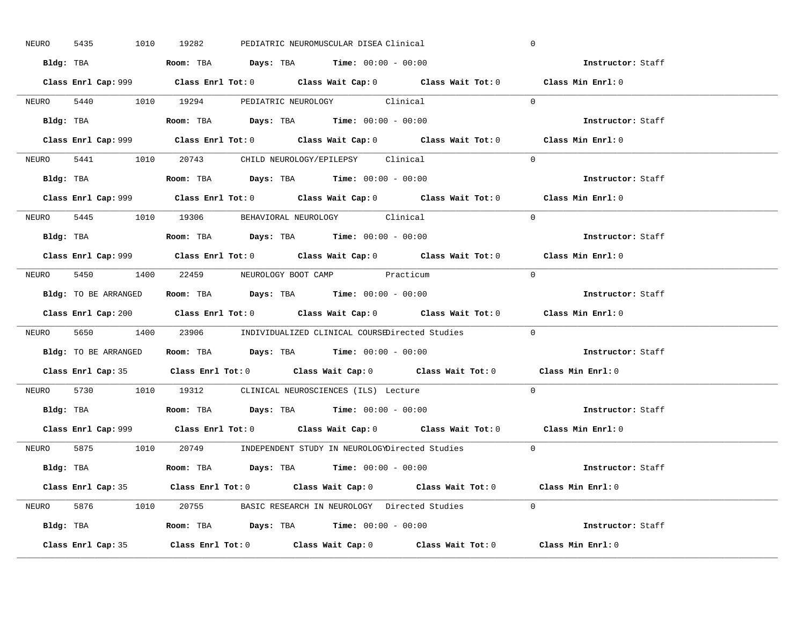| 5435<br>NEURO | 1010 19282<br>PEDIATRIC NEUROMUSCULAR DISEA Clinical                                        | $\mathbf 0$              |
|---------------|---------------------------------------------------------------------------------------------|--------------------------|
|               | Bldg: TBA                      Room: TBA         Days: TBA         Time: 00:00 - 00:00      | Instructor: Staff        |
|               | Class Enrl Cap: 999 Class Enrl Tot: 0 Class Wait Cap: 0 Class Wait Tot: 0 Class Min Enrl: 0 |                          |
|               | NEURO 5440 1010 19294 PEDIATRIC NEUROLOGY Clinical                                          | $\Omega$                 |
|               |                                                                                             | Instructor: Staff        |
|               |                                                                                             | Class Min Enrl: 0        |
|               | NEURO 5441 1010 20743 CHILD NEUROLOGY/EPILEPSY Clinical                                     | $\Omega$                 |
|               | Bldg: TBA                   Room: TBA         Days: TBA         Time: 00:00 - 00:00         | Instructor: Staff        |
|               | Class Enrl Cap: 999 Class Enrl Tot: 0 Class Wait Cap: 0 Class Wait Tot: 0 Class Min Enrl: 0 |                          |
|               | NEURO 5445 1010 19306 BEHAVIORAL NEUROLOGY Clinical                                         | $\Omega$                 |
|               | Bldg: TBA                   Room: TBA         Days: TBA         Time: $00:00 - 00:00$       | Instructor: Staff        |
|               | Class Enrl Cap: 999 Class Enrl Tot: 0 Class Wait Cap: 0 Class Wait Tot: 0 Class Min Enrl: 0 |                          |
|               | NEURO 5450 1400 22459 NEUROLOGY BOOT CAMP Practicum                                         | $\bigcap$                |
|               | Bldg: TO BE ARRANGED ROOM: TBA Days: TBA Time: 00:00 - 00:00                                | Instructor: Staff        |
|               | Class Enrl Cap: 200 Class Enrl Tot: 0 Class Wait Cap: 0 Class Wait Tot: 0 Class Min Enrl: 0 |                          |
|               | NEURO 5650 1400 23906 INDIVIDUALIZED CLINICAL COURSEDirected Studies 0                      |                          |
|               |                                                                                             | Instructor: Staff        |
|               | Bldg: TO BE ARRANGED Room: TBA Days: TBA Time: 00:00 - 00:00                                |                          |
|               | Class Enrl Cap: 35 Class Enrl Tot: 0 Class Wait Cap: 0 Class Wait Tot: 0 Class Min Enrl: 0  |                          |
| NEURO         | 5730 1010 19312 CLINICAL NEUROSCIENCES (ILS) Lecture                                        | $\Omega$                 |
|               | Bldg: TBA                   Room: TBA         Days: TBA         Time: $00:00 - 00:00$       | Instructor: Staff        |
|               | Class Enrl Cap: 999 Class Enrl Tot: 0 Class Wait Cap: 0 Class Wait Tot: 0 Class Min Enrl: 0 |                          |
|               | NEURO 5875 1010 20749 INDEPENDENT STUDY IN NEUROLOGYDirected Studies 0                      |                          |
|               | Bldg: TBA                     Room: TBA         Days: TBA         Time: 00:00 - 00:00       | <b>Instructor:</b> Staff |
|               | Class Enrl Cap: 35 Class Enrl Tot: 0 Class Wait Cap: 0 Class Wait Tot: 0 Class Min Enrl: 0  |                          |
|               | NEURO 5876 1010 20755 BASIC RESEARCH IN NEUROLOGY Directed Studies 0                        |                          |
|               |                                                                                             | Instructor: Staff        |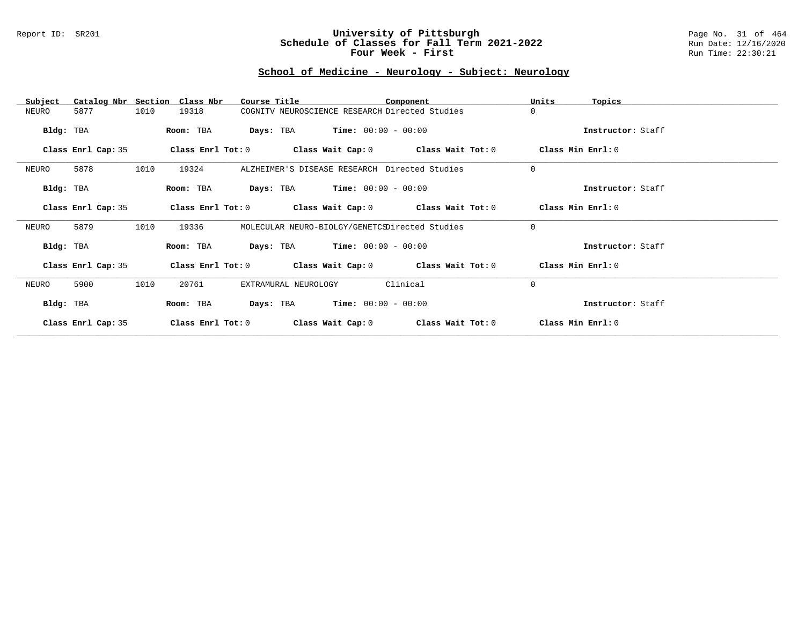### Report ID: SR201 **University of Pittsburgh** Page No. 31 of 464 **Schedule of Classes for Fall Term 2021-2022** Run Date: 12/16/2020 **Four Week - First** Run Time: 22:30:21

# **School of Medicine - Neurology - Subject: Neurology**

| Subject            | Catalog Nbr Section Class Nbr | Course Title                                   |                       | Component                                                   | Units<br>Topics   |  |
|--------------------|-------------------------------|------------------------------------------------|-----------------------|-------------------------------------------------------------|-------------------|--|
| NEURO<br>5877      | 1010<br>19318                 | COGNITV NEUROSCIENCE RESEARCH Directed Studies |                       |                                                             | $\Omega$          |  |
| Bldg: TBA          | Room: TBA                     | <b>Days:</b> TBA <b>Time:</b> $00:00 - 00:00$  |                       |                                                             | Instructor: Staff |  |
| Class Enrl Cap: 35 |                               |                                                |                       | Class Enrl Tot: $0$ Class Wait Cap: $0$ Class Wait Tot: $0$ | Class Min Enrl: 0 |  |
| 5878<br>NEURO      | 1010<br>19324                 | ALZHEIMER'S DISEASE RESEARCH Directed Studies  |                       |                                                             | $\mathbf 0$       |  |
| Bldg: TBA          | Room: TBA                     | <b>Days:</b> TBA <b>Time:</b> $00:00 - 00:00$  |                       |                                                             | Instructor: Staff |  |
| Class Enrl Cap: 35 | Class Enrl Tot: 0             |                                                |                       | Class Wait Cap: 0 Class Wait Tot: 0                         | Class Min Enrl: 0 |  |
| 5879<br>NEURO      | 1010<br>19336                 | MOLECULAR NEURO-BIOLGY/GENETCSDirected Studies |                       |                                                             | $\mathbf 0$       |  |
| Bldg: TBA          | Room: TBA                     | <b>Days:</b> TBA <b>Time:</b> $00:00 - 00:00$  |                       |                                                             | Instructor: Staff |  |
| Class Enrl Cap: 35 |                               |                                                |                       | Class Enrl Tot: $0$ Class Wait Cap: $0$ Class Wait Tot: $0$ | Class Min Enrl: 0 |  |
| 5900<br>NEURO      | 1010<br>20761                 | EXTRAMURAL NEUROLOGY                           |                       | Clinical                                                    | $\mathbf 0$       |  |
| Bldg: TBA          | Room: TBA                     | Days: TBA                                      | $Time: 00:00 - 00:00$ |                                                             | Instructor: Staff |  |
| Class Enrl Cap: 35 | Class Enrl Tot: 0             | Class Wait Cap: 0                              |                       | Class Wait Tot: 0                                           | Class Min Enrl: 0 |  |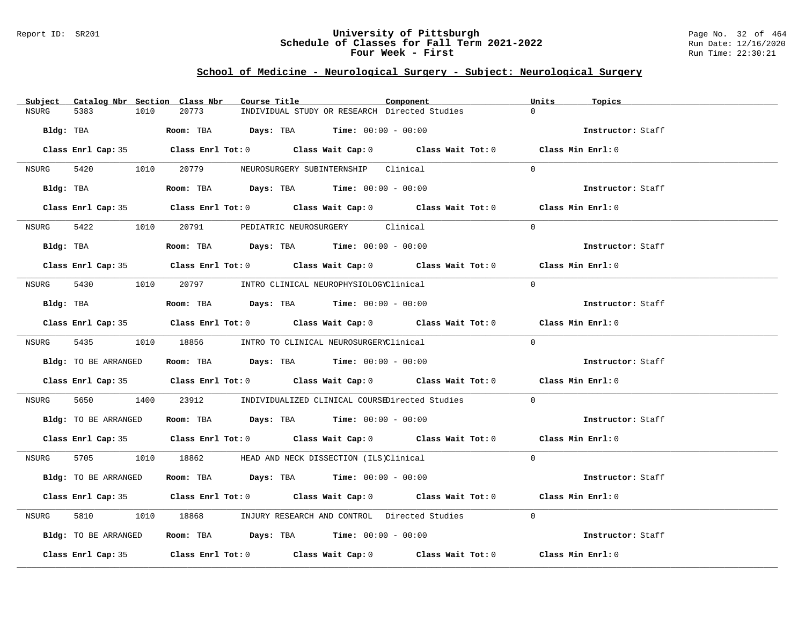### Report ID: SR201 **University of Pittsburgh** Page No. 32 of 464 **Schedule of Classes for Fall Term 2021-2022** Run Date: 12/16/2020 **Four Week - First** Run Time: 22:30:21

# **School of Medicine - Neurological Surgery - Subject: Neurological Surgery**

| Subject   | Catalog Nbr Section Class Nbr | Course Title                                                                               | Component | Units<br>Topics   |
|-----------|-------------------------------|--------------------------------------------------------------------------------------------|-----------|-------------------|
| NSURG     | 1010<br>5383                  | 20773<br>INDIVIDUAL STUDY OR RESEARCH Directed Studies                                     |           | $\Omega$          |
| Bldg: TBA |                               | <b>Room:</b> TBA $Days:$ TBA $Time: 00:00 - 00:00$                                         |           | Instructor: Staff |
|           |                               | Class Enrl Cap: 35 Class Enrl Tot: 0 Class Wait Cap: 0 Class Wait Tot: 0 Class Min Enrl: 0 |           |                   |
| NSURG     |                               | 5420 1010 20779 NEUROSURGERY SUBINTERNSHIP Clinical                                        |           | $\Omega$          |
|           | Bldg: TBA                     | Room: TBA $Days: TBA$ Time: $00:00 - 00:00$                                                |           | Instructor: Staff |
|           |                               | Class Enrl Cap: 35 Class Enrl Tot: 0 Class Wait Cap: 0 Class Wait Tot: 0 Class Min Enrl: 0 |           |                   |
| NSURG     |                               | 5422 1010 20791 PEDIATRIC NEUROSURGERY Clinical                                            |           | $\Omega$          |
|           | Bldg: TBA                     | Room: TBA $Days:$ TBA $Time: 00:00 - 00:00$                                                |           | Instructor: Staff |
|           |                               | Class Enrl Cap: 35 Class Enrl Tot: 0 Class Wait Cap: 0 Class Wait Tot: 0 Class Min Enrl: 0 |           |                   |
| NSURG     |                               | 5430 1010 20797 INTRO CLINICAL NEUROPHYSIOLOGYClinical                                     |           | $\Omega$          |
|           | Bldg: TBA                     | Room: TBA $Days:$ TBA Time: $00:00 - 00:00$                                                |           | Instructor: Staff |
|           |                               | Class Enrl Cap: 35 Class Enrl Tot: 0 Class Wait Cap: 0 Class Wait Tot: 0 Class Min Enrl: 0 |           |                   |
|           |                               | NSURG 5435 1010 18856 INTRO TO CLINICAL NEUROSURGERYClinical                               |           | $\Omega$          |
|           | Bldg: TO BE ARRANGED          | Room: TBA $\rule{1em}{0.15mm}$ Days: TBA Time: $00:00 - 00:00$                             |           | Instructor: Staff |
|           |                               | Class Enrl Cap: 35 Class Enrl Tot: 0 Class Wait Cap: 0 Class Wait Tot: 0 Class Min Enrl: 0 |           |                   |
| NSURG     | 5650 1400                     | 23912 INDIVIDUALIZED CLINICAL COURSEDirected Studies                                       |           | $\Omega$          |
|           | Bldg: TO BE ARRANGED          | Room: TBA $Days: TBA$ Time: $00:00 - 00:00$                                                |           | Instructor: Staff |
|           |                               | Class Enrl Cap: 35 Class Enrl Tot: 0 Class Wait Cap: 0 Class Wait Tot: 0 Class Min Enrl: 0 |           |                   |
| NSURG     |                               | 5705 1010 18862 HEAD AND NECK DISSECTION (ILS)Clinical                                     |           | $\Omega$          |
|           | Bldg: TO BE ARRANGED          | Room: TBA $Days: TBA$ Time: $00:00 - 00:00$                                                |           | Instructor: Staff |
|           |                               | Class Enrl Cap: 35 Class Enrl Tot: 0 Class Wait Cap: 0 Class Wait Tot: 0 Class Min Enrl: 0 |           |                   |
| NSURG     | 5810                          | 1010 18868 INJURY RESEARCH AND CONTROL Directed Studies                                    |           | $\Omega$          |
|           | Bldg: TO BE ARRANGED          | Room: TBA $\rule{1em}{0.15mm}$ Days: TBA Time: $00:00 - 00:00$                             |           | Instructor: Staff |
|           |                               | Class Enrl Cap: 35 Class Enrl Tot: 0 Class Wait Cap: 0 Class Wait Tot: 0 Class Min Enrl: 0 |           |                   |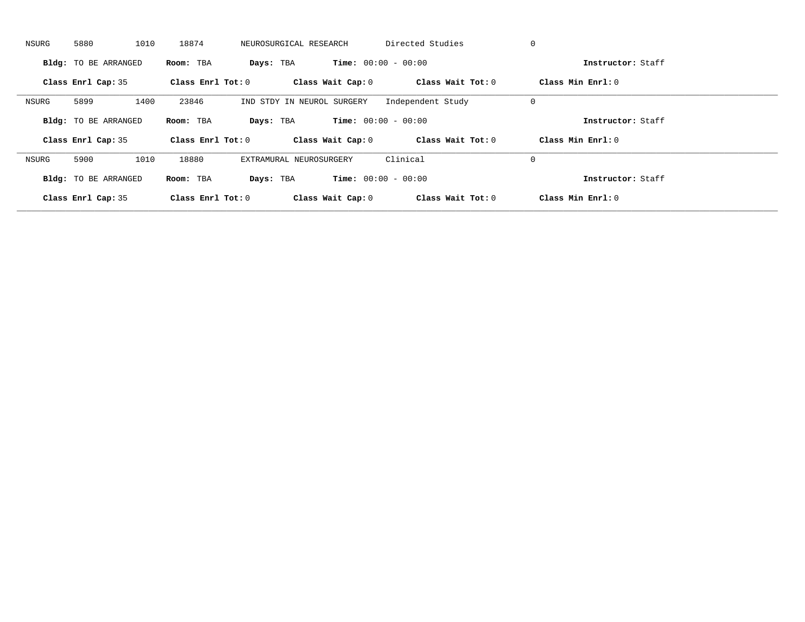| NSURG | 5880                        | 1010<br>18874       | NEUROSURGICAL RESEARCH     | Directed Studies             | 0                   |  |
|-------|-----------------------------|---------------------|----------------------------|------------------------------|---------------------|--|
|       | <b>Bldg:</b> TO BE ARRANGED | Room: TBA           | Days: TBA                  | <b>Time:</b> $00:00 - 00:00$ | Instructor: Staff   |  |
|       | Class Enrl Cap: 35          | Class Enrl Tot: $0$ | Class Wait Cap: 0          | Class Wait Tot: 0            | Class Min Enrl: 0   |  |
| NSURG | 5899                        | 1400<br>23846       | IND STDY IN NEUROL SURGERY | Independent Study            | 0                   |  |
|       | <b>Bldg:</b> TO BE ARRANGED | Room: TBA           | Days: TBA                  | <b>Time:</b> $00:00 - 00:00$ | Instructor: Staff   |  |
|       | Class Enrl Cap: 35          | Class Enrl Tot: 0   | Class Wait Cap: 0          | Class Wait Tot: 0            | Class Min $Enrl: 0$ |  |
| NSURG | 5900                        | 1010<br>18880       | EXTRAMURAL NEUROSURGERY    | Clinical                     | 0                   |  |
|       | <b>Bldg:</b> TO BE ARRANGED | Room: TBA           | Days: TBA                  | <b>Time:</b> $00:00 - 00:00$ | Instructor: Staff   |  |
|       |                             |                     |                            |                              |                     |  |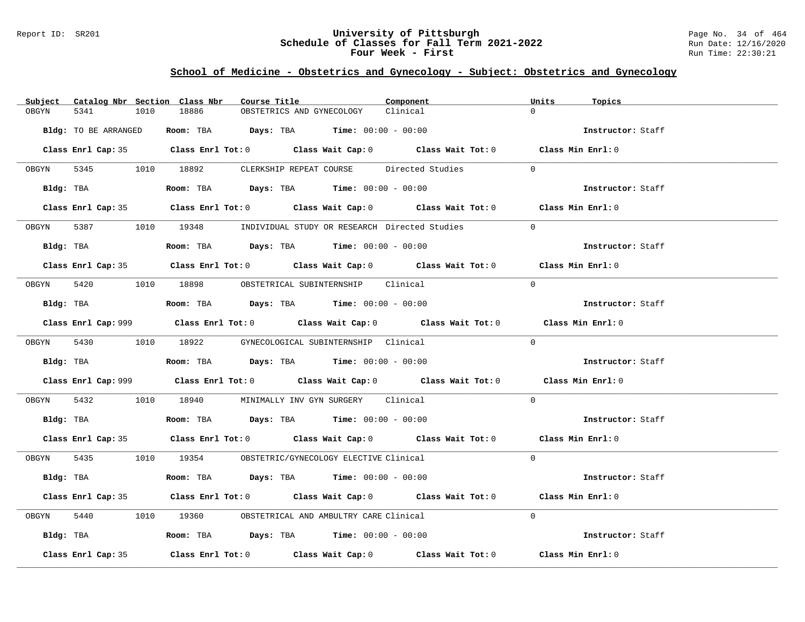### Report ID: SR201 **University of Pittsburgh** Page No. 34 of 464 **Schedule of Classes for Fall Term 2021-2022** Run Date: 12/16/2020 **Four Week - First** Run Time: 22:30:21

# **School of Medicine - Obstetrics and Gynecology - Subject: Obstetrics and Gynecology**

| Catalog Nbr Section Class Nbr<br>Subject | Course Title                                                                                | Component | Units<br>Topics   |
|------------------------------------------|---------------------------------------------------------------------------------------------|-----------|-------------------|
| 5341<br>1010<br>OBGYN                    | 18886<br>OBSTETRICS AND GYNECOLOGY                                                          | Clinical  | $\Omega$          |
| Bldg: TO BE ARRANGED                     | Room: TBA $Days:$ TBA Time: $00:00 - 00:00$                                                 |           | Instructor: Staff |
|                                          | Class Enrl Cap: 35 Class Enrl Tot: 0 Class Wait Cap: 0 Class Wait Tot: 0 Class Min Enrl: 0  |           |                   |
|                                          | OBGYN 5345 1010 18892 CLERKSHIP REPEAT COURSE Directed Studies                              |           | $\Omega$          |
|                                          | Bldg: TBA                    Room: TBA         Days: TBA         Time: 00:00 - 00:00        |           | Instructor: Staff |
|                                          | Class Enrl Cap: 35 Class Enrl Tot: 0 Class Wait Cap: 0 Class Wait Tot: 0 Class Min Enrl: 0  |           |                   |
|                                          | OBGYN 5387 1010 19348 INDIVIDUAL STUDY OR RESEARCH Directed Studies                         |           | $\Omega$          |
|                                          | Bldg: TBA                   Room: TBA         Days: TBA         Time: 00:00 - 00:00         |           | Instructor: Staff |
|                                          | Class Enrl Cap: 35 Class Enrl Tot: 0 Class Wait Cap: 0 Class Wait Tot: 0 Class Min Enrl: 0  |           |                   |
|                                          | OBGYN 5420 1010 18898 OBSTETRICAL SUBINTERNSHIP Clinical                                    |           | $\Omega$          |
|                                          | Bldg: TBA                    Room: TBA          Days: TBA         Time: 00:00 - 00:00       |           | Instructor: Staff |
|                                          | Class Enrl Cap: 999 Class Enrl Tot: 0 Class Wait Cap: 0 Class Wait Tot: 0 Class Min Enrl: 0 |           |                   |
|                                          | OBGYN 5430 1010 18922 GYNECOLOGICAL SUBINTERNSHIP Clinical                                  |           | $\Omega$          |
|                                          |                                                                                             |           | Instructor: Staff |
|                                          | Class Enrl Cap: 999 Class Enrl Tot: 0 Class Wait Cap: 0 Class Wait Tot: 0 Class Min Enrl: 0 |           |                   |
|                                          | OBGYN 5432 1010 18940 MINIMALLY INV GYN SURGERY Clinical                                    |           | $\Omega$          |
|                                          | Bldg: TBA                    Room: TBA         Days: TBA         Time: $00:00 - 00:00$      |           | Instructor: Staff |
|                                          | Class Enrl Cap: 35 Class Enrl Tot: 0 Class Wait Cap: 0 Class Wait Tot: 0 Class Min Enrl: 0  |           |                   |
|                                          | OBGYN 5435 1010 19354 OBSTETRIC/GYNECOLOGY ELECTIVE Clinical                                |           | $\Omega$          |
|                                          | Bldg: TBA                    Room: TBA         Days: TBA         Time: 00:00 - 00:00        |           | Instructor: Staff |
|                                          | Class Enrl Cap: 35 Class Enrl Tot: 0 Class Wait Cap: 0 Class Wait Tot: 0 Class Min Enrl: 0  |           |                   |
|                                          | OBGYN 5440 1010 19360 OBSTETRICAL AND AMBULTRY CARE Clinical                                |           | $\Omega$          |
|                                          | Bldg: TBA                  Room: TBA        Days: TBA        Time: 00:00 - 00:00            |           | Instructor: Staff |
| Class Enrl Cap: 35                       | Class Enrl Tot: $0$ Class Wait Cap: $0$ Class Wait Tot: $0$                                 |           | Class Min Enrl: 0 |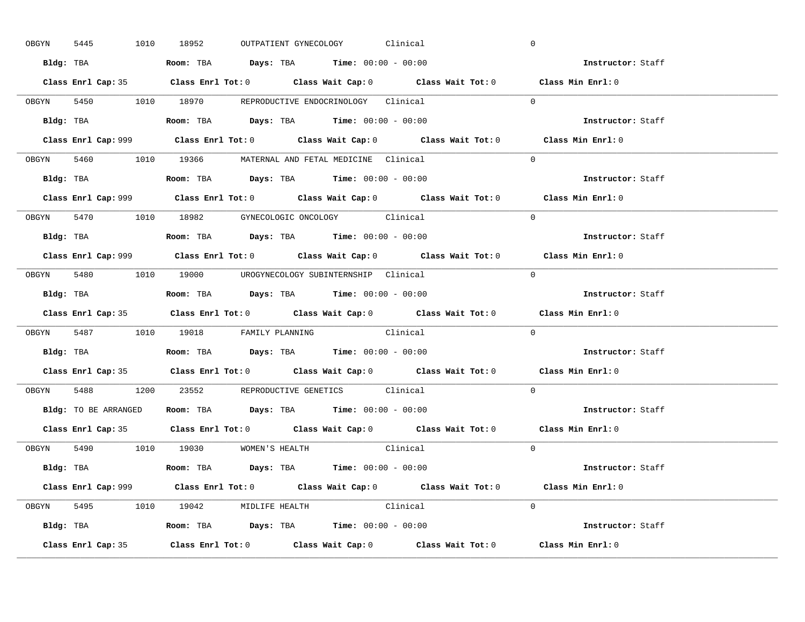| OBGYN | 5445 |  | 1010 18952                                                                            |  | OUTPATIENT GYNECOLOGY Clinical |          |                                                                           | $\mathbf 0$                                                                                 |  |
|-------|------|--|---------------------------------------------------------------------------------------|--|--------------------------------|----------|---------------------------------------------------------------------------|---------------------------------------------------------------------------------------------|--|
|       |      |  | Bldg: TBA                   Room: TBA        Days: TBA        Time: 00:00 - 00:00     |  |                                |          |                                                                           | Instructor: Staff                                                                           |  |
|       |      |  |                                                                                       |  |                                |          |                                                                           | Class Enrl Cap: 35 Class Enrl Tot: 0 Class Wait Cap: 0 Class Wait Tot: 0 Class Min Enrl: 0  |  |
|       |      |  | OBGYN 5450 1010 18970 REPRODUCTIVE ENDOCRINOLOGY Clinical                             |  |                                |          |                                                                           | $\Omega$                                                                                    |  |
|       |      |  |                                                                                       |  |                                |          |                                                                           | Instructor: Staff                                                                           |  |
|       |      |  |                                                                                       |  |                                |          | Class Enrl Cap: 999 Class Enrl Tot: 0 Class Wait Cap: 0 Class Wait Tot: 0 | Class Min Enrl: 0                                                                           |  |
|       |      |  | OBGYN 5460 1010 19366 MATERNAL AND FETAL MEDICINE Clinical                            |  |                                |          |                                                                           | $\Omega$                                                                                    |  |
|       |      |  | Bldg: TBA                   Room: TBA         Days: TBA         Time: 00:00 - 00:00   |  |                                |          |                                                                           | Instructor: Staff                                                                           |  |
|       |      |  |                                                                                       |  |                                |          |                                                                           | Class Enrl Cap: 999 Class Enrl Tot: 0 Class Wait Cap: 0 Class Wait Tot: 0 Class Min Enrl: 0 |  |
|       |      |  | OBGYN 5470 1010 18982 GYNECOLOGIC ONCOLOGY Clinical                                   |  |                                |          |                                                                           | $\Omega$                                                                                    |  |
|       |      |  | Bldg: TBA                   Room: TBA         Days: TBA         Time: $00:00 - 00:00$ |  |                                |          |                                                                           | Instructor: Staff                                                                           |  |
|       |      |  |                                                                                       |  |                                |          |                                                                           | Class Enrl Cap: 999 Class Enrl Tot: 0 Class Wait Cap: 0 Class Wait Tot: 0 Class Min Enrl: 0 |  |
|       |      |  | OBGYN 5480 1010 19000 UROGYNECOLOGY_SUBINTERNSHIP Clinical                            |  |                                |          |                                                                           | $\Omega$                                                                                    |  |
|       |      |  | Bldg: TBA                   Room: TBA        Days: TBA        Time: 00:00 - 00:00     |  |                                |          |                                                                           | <b>Instructor:</b> Staff                                                                    |  |
|       |      |  |                                                                                       |  |                                |          |                                                                           | Class Enrl Cap: 35 Class Enrl Tot: 0 Class Wait Cap: 0 Class Wait Tot: 0 Class Min Enrl: 0  |  |
|       |      |  |                                                                                       |  |                                |          |                                                                           |                                                                                             |  |
|       |      |  | OBGYN 5487 1010 19018 FAMILY PLANNING Clinical                                        |  |                                |          |                                                                           | $\Omega$                                                                                    |  |
|       |      |  | Bldg: TBA                   Room: TBA         Days: TBA         Time: 00:00 - 00:00   |  |                                |          |                                                                           | Instructor: Staff                                                                           |  |
|       |      |  |                                                                                       |  |                                |          |                                                                           | Class Enrl Cap: 35 Class Enrl Tot: 0 Class Wait Cap: 0 Class Wait Tot: 0 Class Min Enrl: 0  |  |
| OBGYN |      |  | 5488 1200 23552 REPRODUCTIVE GENETICS Clinical                                        |  |                                |          |                                                                           | $\Omega$                                                                                    |  |
|       |      |  | Bldg: TO BE ARRANGED ROOM: TBA Days: TBA Time: 00:00 - 00:00                          |  |                                |          |                                                                           | Instructor: Staff                                                                           |  |
|       |      |  |                                                                                       |  |                                |          |                                                                           | Class Enrl Cap: 35 Class Enrl Tot: 0 Class Wait Cap: 0 Class Wait Tot: 0 Class Min Enrl: 0  |  |
|       |      |  | OBGYN 5490 1010 19030 WOMEN'S HEALTH                                                  |  |                                | Clinical |                                                                           | $\overline{0}$                                                                              |  |
|       |      |  | <b>Bldg:</b> TBA <b>ROOM:</b> TBA <b>Days:</b> TBA <b>Time:</b> $00:00 - 00:00$       |  |                                |          |                                                                           | Instructor: Staff                                                                           |  |
|       |      |  |                                                                                       |  |                                |          |                                                                           | Class Enrl Cap: 999 Class Enrl Tot: 0 Class Wait Cap: 0 Class Wait Tot: 0 Class Min Enrl: 0 |  |
|       |      |  | OBGYN 5495 1010 19042 MIDLIFE HEALTH Clinical                                         |  |                                |          |                                                                           | $\Omega$                                                                                    |  |
|       |      |  | <b>Bldg:</b> TBA <b>ROOM:</b> TBA <b>Days:</b> TBA <b>Time:</b> $00:00 - 00:00$       |  |                                |          |                                                                           | Instructor: Staff                                                                           |  |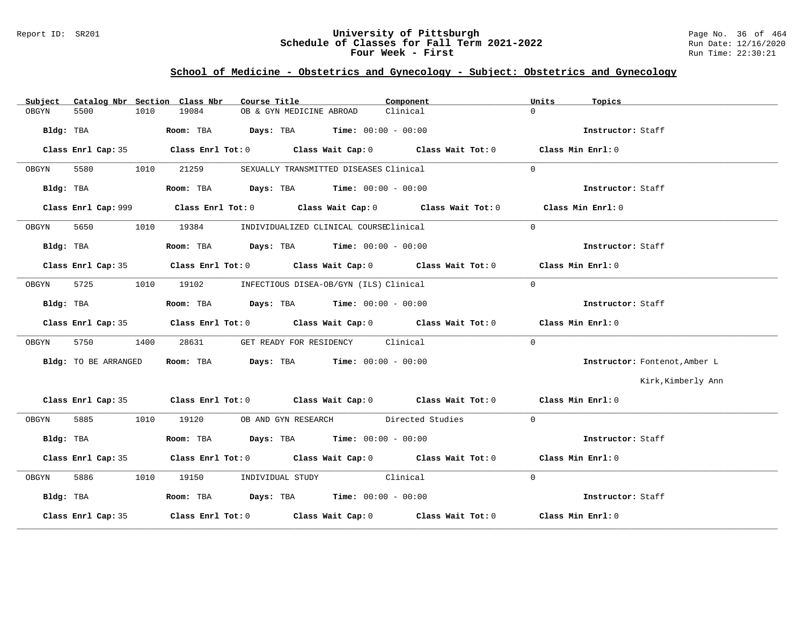### Report ID: SR201 **University of Pittsburgh** Page No. 36 of 464 **Schedule of Classes for Fall Term 2021-2022** Run Date: 12/16/2020 **Four Week - First** Run Time: 22:30:21

# **School of Medicine - Obstetrics and Gynecology - Subject: Obstetrics and Gynecology**

| Subject |                      |      | Catalog Nbr Section Class Nbr | Course Title                                                                                  | Component                                                                                  | Units             | Topics                        |
|---------|----------------------|------|-------------------------------|-----------------------------------------------------------------------------------------------|--------------------------------------------------------------------------------------------|-------------------|-------------------------------|
| OBGYN   | 5500                 | 1010 | 19084                         | OB & GYN MEDICINE ABROAD                                                                      | Clinical                                                                                   | $\cap$            |                               |
|         |                      |      |                               | Bldg: TBA                        Room: TBA          Days: TBA         Time: $00:00 - 00:00$   |                                                                                            |                   | Instructor: Staff             |
|         |                      |      |                               |                                                                                               | Class Enrl Cap: 35 Class Enrl Tot: 0 Class Wait Cap: 0 Class Wait Tot: 0 Class Min Enrl: 0 |                   |                               |
| OBGYN   | 5580                 |      | 1010 21259                    | SEXUALLY TRANSMITTED DISEASES Clinical                                                        |                                                                                            | $\Omega$          |                               |
|         |                      |      |                               | Bldg: TBA                        Room: TBA          Days: TBA          Time: $00:00 - 00:00$  |                                                                                            |                   | Instructor: Staff             |
|         |                      |      |                               |                                                                                               |                                                                                            | Class Min Enrl: 0 |                               |
| OBGYN   | 5650                 |      |                               | 1010 19384 INDIVIDUALIZED CLINICAL COURSEClinical                                             |                                                                                            | $\Omega$          |                               |
|         |                      |      |                               |                                                                                               |                                                                                            |                   | Instructor: Staff             |
|         |                      |      |                               |                                                                                               | Class Enrl Cap: 35 Class Enrl Tot: 0 Class Wait Cap: 0 Class Wait Tot: 0 Class Min Enrl: 0 |                   |                               |
| OBGYN   |                      |      |                               | 5725 1010 19102 INFECTIOUS DISEA-OB/GYN (ILS) Clinical                                        |                                                                                            | $\Omega$          |                               |
|         |                      |      |                               | Bldg: TBA                          Room: TBA          Days: TBA         Time: $00:00 - 00:00$ |                                                                                            |                   | Instructor: Staff             |
|         |                      |      |                               |                                                                                               | Class Enrl Cap: 35 Class Enrl Tot: 0 Class Wait Cap: 0 Class Wait Tot: 0 Class Min Enrl: 0 |                   |                               |
| OBGYN   | 5750                 | 1400 | 28631                         | GET READY FOR RESIDENCY Clinical                                                              |                                                                                            | $\Omega$          |                               |
|         | Bldg: TO BE ARRANGED |      |                               | Room: TBA $Days:$ TBA Time: $00:00 - 00:00$                                                   |                                                                                            |                   | Instructor: Fontenot, Amber L |
|         |                      |      |                               |                                                                                               |                                                                                            |                   | Kirk, Kimberly Ann            |
|         |                      |      |                               |                                                                                               | Class Enrl Cap: 35 Class Enrl Tot: 0 Class Wait Cap: 0 Class Wait Tot: 0 Class Min Enrl: 0 |                   |                               |
| OBGYN   |                      |      |                               | 5885 1010 19120 OB AND GYN RESEARCH Directed Studies                                          |                                                                                            | $\Omega$          |                               |
|         | Bldg: TBA            |      |                               | Room: TBA $Days:$ TBA $Time: 00:00 - 00:00$                                                   |                                                                                            |                   | Instructor: Staff             |
|         |                      |      |                               |                                                                                               | Class Enrl Cap: 35 Class Enrl Tot: 0 Class Wait Cap: 0 Class Wait Tot: 0 Class Min Enrl: 0 |                   |                               |
| OBGYN   |                      |      |                               | 5886 1010 19150 INDIVIDUAL STUDY Clinical                                                     |                                                                                            | $\Omega$          |                               |
|         | Bldg: TBA            |      |                               | Room: TBA $Days:$ TBA Time: $00:00 - 00:00$                                                   |                                                                                            |                   | Instructor: Staff             |
|         | Class Enrl Cap: 35   |      |                               |                                                                                               | Class Enrl Tot: $0$ Class Wait Cap: $0$ Class Wait Tot: $0$ Class Min Enrl: $0$            |                   |                               |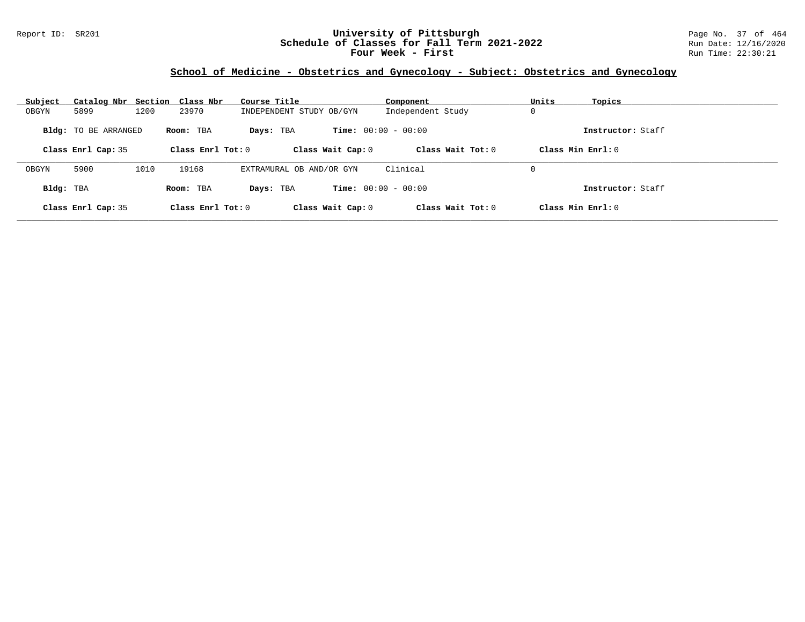### Report ID: SR201 **University of Pittsburgh** Page No. 37 of 464 **Schedule of Classes for Fall Term 2021-2022** Run Date: 12/16/2020 **Four Week - First** Run Time: 22:30:21

# **School of Medicine - Obstetrics and Gynecology - Subject: Obstetrics and Gynecology**

| Subject   | Catalog Nbr Section Class Nbr |      |                     | Course Title             | Component                    | Units<br>Topics   |  |
|-----------|-------------------------------|------|---------------------|--------------------------|------------------------------|-------------------|--|
| OBGYN     | 5899                          | 1200 | 23970               | INDEPENDENT STUDY OB/GYN | Independent Study            | 0                 |  |
|           | <b>Bldg:</b> TO BE ARRANGED   |      | Room: TBA           | Days: TBA                | <b>Time:</b> $00:00 - 00:00$ | Instructor: Staff |  |
|           | Class Enrl Cap: 35            |      | Class Enrl Tot: $0$ | Class Wait Cap: 0        | Class Wait $Tot: 0$          | Class Min Enrl: 0 |  |
|           |                               |      |                     |                          |                              |                   |  |
| OBGYN     | 5900                          | 1010 | 19168               | EXTRAMURAL OB AND/OR GYN | Clinical                     | 0                 |  |
| Bldg: TBA |                               |      | Room: TBA           | Days: TBA                | <b>Time:</b> $00:00 - 00:00$ | Instructor: Staff |  |
|           | Class Enrl Cap: 35            |      | Class Enrl Tot: 0   | Class Wait Cap: 0        | Class Wait Tot: $0$          | Class Min Enrl: 0 |  |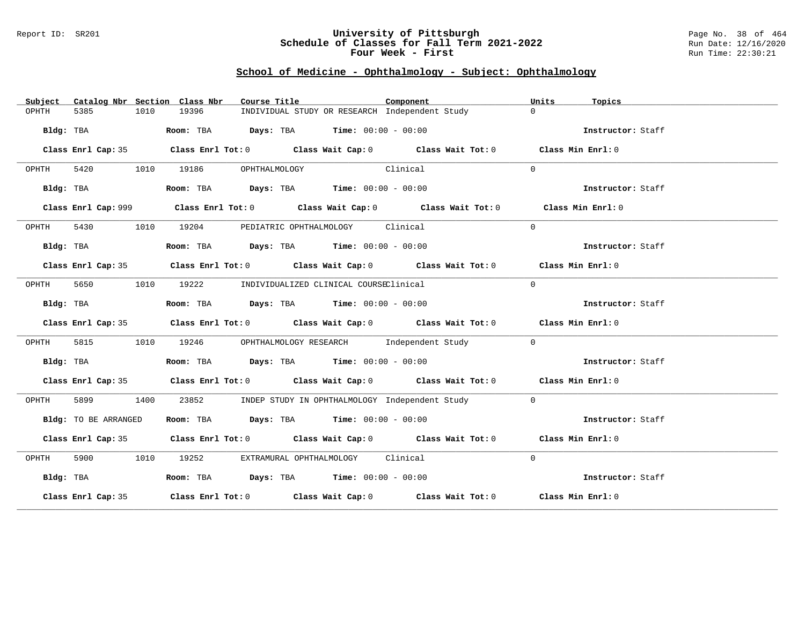### Report ID: SR201 **University of Pittsburgh** Page No. 38 of 464 **Schedule of Classes for Fall Term 2021-2022** Run Date: 12/16/2020 **Four Week - First** Run Time: 22:30:21

# **School of Medicine - Ophthalmology - Subject: Ophthalmology**

| Subject   |                      |      | Catalog Nbr Section Class Nbr | Course Title                  |                                                                                       | Component                                                                                   | Units    | Topics            |
|-----------|----------------------|------|-------------------------------|-------------------------------|---------------------------------------------------------------------------------------|---------------------------------------------------------------------------------------------|----------|-------------------|
| OPHTH     | 5385                 | 1010 | 19396                         |                               |                                                                                       | INDIVIDUAL STUDY OR RESEARCH Independent Study                                              | $\Omega$ |                   |
|           | Bldg: TBA            |      |                               |                               | Room: TBA $Days:$ TBA $Time: 00:00 - 00:00$                                           |                                                                                             |          | Instructor: Staff |
|           |                      |      |                               |                               |                                                                                       | Class Enrl Cap: 35 Class Enrl Tot: 0 Class Wait Cap: 0 Class Wait Tot: 0 Class Min Enrl: 0  |          |                   |
| OPHTH     |                      |      |                               | 5420 1010 19186 OPHTHALMOLOGY | Clinical                                                                              |                                                                                             | $\Omega$ |                   |
|           | Bldg: TBA            |      |                               |                               | Room: TBA $Days:$ TBA $Time: 00:00 - 00:00$                                           |                                                                                             |          | Instructor: Staff |
|           |                      |      |                               |                               |                                                                                       | Class Enrl Cap: 999 Class Enrl Tot: 0 Class Wait Cap: 0 Class Wait Tot: 0 Class Min Enrl: 0 |          |                   |
| OPHTH     |                      |      |                               |                               | 5430 1010 19204 PEDIATRIC OPHTHALMOLOGY Clinical                                      |                                                                                             | $\Omega$ |                   |
|           | Bldg: TBA            |      |                               |                               | Room: TBA $Days:$ TBA Time: $00:00 - 00:00$                                           |                                                                                             |          | Instructor: Staff |
|           |                      |      |                               |                               |                                                                                       | Class Enrl Cap: 35 Class Enrl Tot: 0 Class Wait Cap: 0 Class Wait Tot: 0 Class Min Enrl: 0  |          |                   |
| OPHTH     | 5650                 |      |                               |                               | 1010 19222 INDIVIDUALIZED CLINICAL COURSEClinical                                     |                                                                                             | $\Omega$ |                   |
|           | Bldg: TBA            |      |                               |                               | Room: TBA $Days:$ TBA $Time: 00:00 - 00:00$                                           |                                                                                             |          | Instructor: Staff |
|           |                      |      |                               |                               |                                                                                       | Class Enrl Cap: 35 Class Enrl Tot: 0 Class Wait Cap: 0 Class Wait Tot: 0 Class Min Enrl: 0  |          |                   |
| OPHTH     | 5815                 | 1010 |                               |                               |                                                                                       | 19246 OPHTHALMOLOGY RESEARCH Independent Study                                              | $\Omega$ |                   |
|           | Bldg: TBA            |      |                               |                               | Room: TBA $\rule{1em}{0.15mm}$ Days: TBA $\rule{1.5mm}{0.15mm}$ Time: $00:00 - 00:00$ |                                                                                             |          | Instructor: Staff |
|           |                      |      |                               |                               |                                                                                       | Class Enrl Cap: 35 Class Enrl Tot: 0 Class Wait Cap: 0 Class Wait Tot: 0 Class Min Enrl: 0  |          |                   |
| OPHTH     | 5899 1400            |      |                               |                               |                                                                                       | 23852 INDEP STUDY IN OPHTHALMOLOGY Independent Study                                        | $\Omega$ |                   |
|           | Bldg: TO BE ARRANGED |      |                               |                               | Room: TBA $\rule{1em}{0.15mm}$ Days: TBA Time: $00:00 - 00:00$                        |                                                                                             |          | Instructor: Staff |
|           |                      |      |                               |                               |                                                                                       | Class Enrl Cap: 35 Class Enrl Tot: 0 Class Wait Cap: 0 Class Wait Tot: 0 Class Min Enrl: 0  |          |                   |
| OPHTH     |                      |      |                               |                               | 5900 1010 19252 EXTRAMURAL OPHTHALMOLOGY Clinical                                     |                                                                                             | $\Omega$ |                   |
| Bldg: TBA |                      |      |                               |                               | Room: TBA $Days:$ TBA $Time: 00:00 - 00:00$                                           |                                                                                             |          | Instructor: Staff |
|           |                      |      |                               |                               |                                                                                       | Class Enrl Cap: 35 Class Enrl Tot: 0 Class Wait Cap: 0 Class Wait Tot: 0 Class Min Enrl: 0  |          |                   |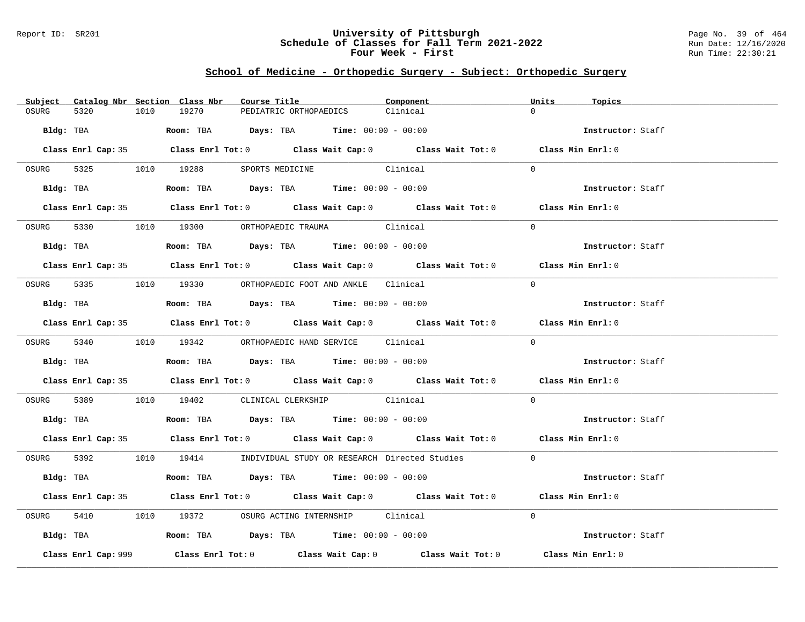### Report ID: SR201 **University of Pittsburgh** Page No. 39 of 464 **Schedule of Classes for Fall Term 2021-2022** Run Date: 12/16/2020 **Four Week - First** Run Time: 22:30:21

# **School of Medicine - Orthopedic Surgery - Subject: Orthopedic Surgery**

|       |                     |      | Subject Catalog Nbr Section Class Nbr | Course Title                                                                                | Component                                                                                  | Units    | Topics            |
|-------|---------------------|------|---------------------------------------|---------------------------------------------------------------------------------------------|--------------------------------------------------------------------------------------------|----------|-------------------|
| OSURG | 5320                | 1010 | 19270                                 | PEDIATRIC ORTHOPAEDICS                                                                      | Clinical                                                                                   | $\cap$   |                   |
|       |                     |      |                                       | $Bldq$ : TBA $Room$ : TBA $Days$ : TBA $Tim$ : $00:00 - 00:00$                              |                                                                                            |          | Instructor: Staff |
|       |                     |      |                                       |                                                                                             | Class Enrl Cap: 35 Class Enrl Tot: 0 Class Wait Cap: 0 Class Wait Tot: 0 Class Min Enrl: 0 |          |                   |
|       |                     |      |                                       | OSURG 5325 1010 19288 SPORTS MEDICINE Clinical                                              |                                                                                            | $\Omega$ |                   |
|       |                     |      |                                       | Bldg: TBA                    Room: TBA         Days: TBA         Time: $00:00 - 00:00$      |                                                                                            |          | Instructor: Staff |
|       |                     |      |                                       |                                                                                             | Class Enrl Cap: 35 Class Enrl Tot: 0 Class Wait Cap: 0 Class Wait Tot: 0 Class Min Enrl: 0 |          |                   |
|       |                     |      |                                       | OSURG 5330 1010 19300 ORTHOPAEDIC TRAUMA Clinical                                           |                                                                                            | $\Omega$ |                   |
|       |                     |      |                                       | Bldg: TBA                   Room: TBA         Days: TBA         Time: 00:00 - 00:00         |                                                                                            |          | Instructor: Staff |
|       |                     |      |                                       |                                                                                             | Class Enrl Cap: 35 Class Enrl Tot: 0 Class Wait Cap: 0 Class Wait Tot: 0 Class Min Enrl: 0 |          |                   |
|       |                     |      |                                       | OSURG 5335 1010 19330 ORTHOPAEDIC FOOT AND ANKLE Clinical                                   |                                                                                            | $\Omega$ |                   |
|       |                     |      |                                       | Bldg: TBA                   Room: TBA         Days: TBA         Time: $00:00 - 00:00$       |                                                                                            |          | Instructor: Staff |
|       |                     |      |                                       |                                                                                             | Class Enrl Cap: 35 Class Enrl Tot: 0 Class Wait Cap: 0 Class Wait Tot: 0 Class Min Enrl: 0 |          |                   |
|       |                     |      |                                       | OSURG 5340 1010 19342 ORTHOPAEDIC HAND SERVICE Clinical                                     |                                                                                            | $\Omega$ |                   |
|       |                     |      |                                       |                                                                                             |                                                                                            |          | Instructor: Staff |
|       |                     |      |                                       |                                                                                             | Class Enrl Cap: 35 Class Enrl Tot: 0 Class Wait Cap: 0 Class Wait Tot: 0 Class Min Enrl: 0 |          |                   |
|       |                     |      |                                       | OSURG 5389 1010 19402 CLINICAL CLERKSHIP Clinical                                           |                                                                                            | $\Omega$ |                   |
|       |                     |      |                                       | Bldg: TBA                    Room: TBA         Days: TBA         Time: $00:00 - 00:00$      |                                                                                            |          | Instructor: Staff |
|       |                     |      |                                       |                                                                                             | Class Enrl Cap: 35 Class Enrl Tot: 0 Class Wait Cap: 0 Class Wait Tot: 0 Class Min Enrl: 0 |          |                   |
|       |                     |      |                                       |                                                                                             | OSURG 5392 1010 19414 INDIVIDUAL STUDY OR RESEARCH Directed Studies 0                      |          |                   |
|       |                     |      |                                       | Bldg: TBA                        Room: TBA          Days: TBA         Time: $00:00 - 00:00$ |                                                                                            |          | Instructor: Staff |
|       |                     |      |                                       |                                                                                             | Class Enrl Cap: 35 Class Enrl Tot: 0 Class Wait Cap: 0 Class Wait Tot: 0 Class Min Enrl: 0 |          |                   |
|       |                     |      |                                       | OSURG 5410 1010 19372 OSURG ACTING INTERNSHIP Clinical                                      |                                                                                            | $\Omega$ |                   |
|       |                     |      |                                       | Bldg: TBA                       Room: TBA           Days: TBA          Time: 00:00 - 00:00  |                                                                                            |          | Instructor: Staff |
|       | Class Enrl Cap: 999 |      |                                       |                                                                                             | Class Enrl Tot: $0$ Class Wait Cap: $0$ Class Wait Tot: $0$                                |          | Class Min Enrl: 0 |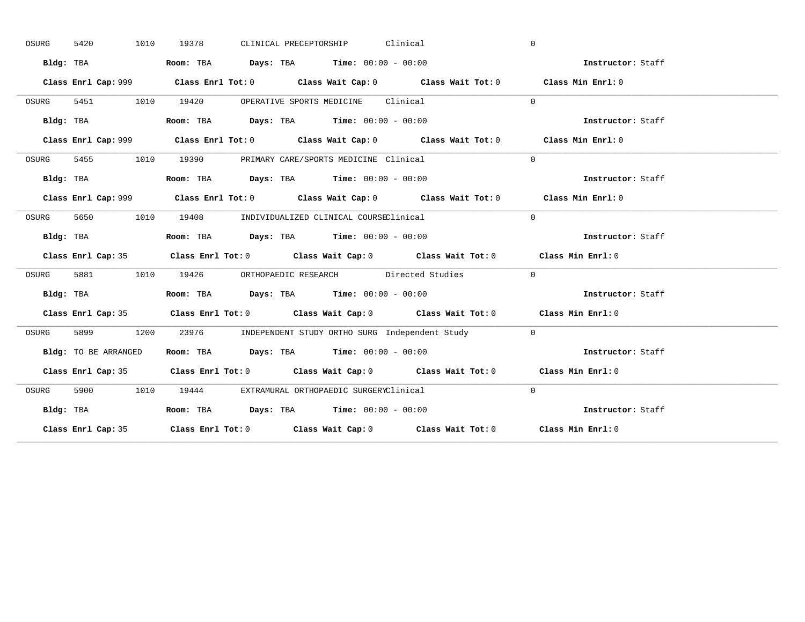| OSURG                                                                                      | 5420<br>1010         | CLINICAL PRECEPTORSHIP Clinical<br>19378                                                    | $\mathbf{0}$      |
|--------------------------------------------------------------------------------------------|----------------------|---------------------------------------------------------------------------------------------|-------------------|
|                                                                                            | Bldg: TBA            | Room: TBA $Days:$ TBA $Time: 00:00 - 00:00$                                                 | Instructor: Staff |
|                                                                                            |                      | Class Enrl Cap: 999 Class Enrl Tot: 0 Class Wait Cap: 0 Class Wait Tot: 0 Class Min Enrl: 0 |                   |
| OSURG                                                                                      | 5451 1010            | 19420 OPERATIVE SPORTS MEDICINE Clinical                                                    | $\Omega$          |
|                                                                                            | Bldg: TBA            | Room: TBA $\rule{1em}{0.15mm}$ Days: TBA $\rule{1.15mm}]{0.15mm}$ Time: $0.000 - 0.0000$    | Instructor: Staff |
|                                                                                            |                      | Class Enrl Cap: 999 Class Enrl Tot: 0 Class Wait Cap: 0 Class Wait Tot: 0 Class Min Enrl: 0 |                   |
| OSURG                                                                                      |                      | 5455 1010 19390 PRIMARY CARE/SPORTS MEDICINE Clinical                                       | $\Omega$          |
|                                                                                            | Bldg: TBA            | Room: TBA $Days:$ TBA $Time: 00:00 - 00:00$                                                 | Instructor: Staff |
|                                                                                            |                      |                                                                                             | Class Min Enrl: 0 |
| OSURG                                                                                      | 5650                 | 1010 19408 INDIVIDUALIZED CLINICAL COURSEClinical                                           | $\Omega$          |
|                                                                                            | Bldg: TBA            | Room: TBA $Days: TBA$ Time: $00:00 - 00:00$                                                 | Instructor: Staff |
|                                                                                            |                      | Class Enrl Cap: 35 Class Enrl Tot: 0 Class Wait Cap: 0 Class Wait Tot: 0 Class Min Enrl: 0  |                   |
| OSURG                                                                                      |                      | 5881 1010 19426 ORTHOPAEDIC RESEARCH Directed Studies                                       | $\Omega$          |
|                                                                                            | Bldg: TBA            | Room: TBA $Days:$ TBA $Time: 00:00 - 00:00$                                                 | Instructor: Staff |
|                                                                                            |                      | Class Enrl Cap: 35 Class Enrl Tot: 0 Class Wait Cap: 0 Class Wait Tot: 0 Class Min Enrl: 0  |                   |
| OSURG                                                                                      | 5899                 | 1200 23976 INDEPENDENT STUDY ORTHO SURG Independent Study                                   | $\overline{0}$    |
|                                                                                            | Bldg: TO BE ARRANGED | Room: TBA $Days:$ TBA $Time: 00:00 - 00:00$                                                 | Instructor: Staff |
|                                                                                            |                      | Class Enrl Cap: 35 Class Enrl Tot: 0 Class Wait Cap: 0 Class Wait Tot: 0 Class Min Enrl: 0  |                   |
| OSURG                                                                                      |                      | 5900 1010 19444 EXTRAMURAL ORTHOPAEDIC SURGERYClinical                                      | $\Omega$          |
|                                                                                            | Bldg: TBA            | Room: TBA $Days:$ TBA $Time: 00:00 - 00:00$                                                 | Instructor: Staff |
| Class Enrl Cap: 35 Class Enrl Tot: 0 Class Wait Cap: 0 Class Wait Tot: 0 Class Min Enrl: 0 |                      |                                                                                             |                   |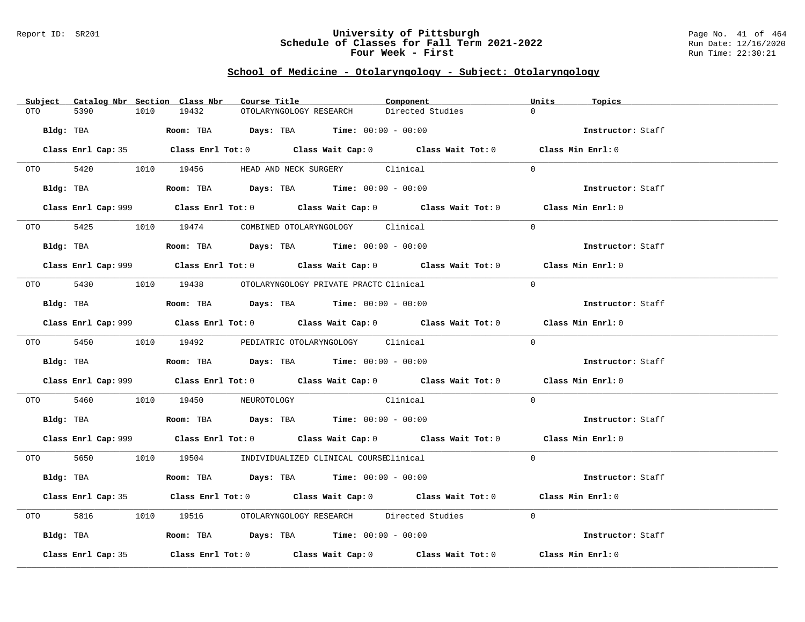#### Report ID: SR201 **University of Pittsburgh** Page No. 41 of 464 **Schedule of Classes for Fall Term 2021-2022** Run Date: 12/16/2020 **Four Week - First** Run Time: 22:30:21

# **School of Medicine - Otolaryngology - Subject: Otolaryngology**

| Subject Catalog Nbr Section Class Nbr | Course Title                                                                                       | Component        | Units<br>Topics   |
|---------------------------------------|----------------------------------------------------------------------------------------------------|------------------|-------------------|
| 5390<br>OTO<br>1010                   | 19432<br>OTOLARYNGOLOGY RESEARCH                                                                   | Directed Studies | $\Omega$          |
| Bldg: TBA                             | Room: TBA $Days:$ TBA $Time: 00:00 - 00:00$                                                        |                  | Instructor: Staff |
|                                       | Class Enrl Cap: 35 Class Enrl Tot: 0 Class Wait Cap: 0 Class Wait Tot: 0 Class Min Enrl: 0         |                  |                   |
|                                       | OTO 5420 1010 19456 HEAD AND NECK SURGERY Clinical                                                 |                  | $\Omega$          |
| Bldg: TBA                             | Room: TBA $Days:$ TBA $Time: 00:00 - 00:00$                                                        |                  | Instructor: Staff |
|                                       | Class Enrl Cap: 999 Class Enrl Tot: 0 Class Wait Cap: 0 Class Wait Tot: 0 Class Min Enrl: 0        |                  |                   |
|                                       | OTO 5425 1010 19474 COMBINED OTOLARYNGOLOGY Clinical                                               |                  | $\Omega$          |
|                                       | Bldg: TBA                   Room: TBA         Days: TBA        Time: 00:00 - 00:00                 |                  | Instructor: Staff |
|                                       | Class Enrl Cap: 999 Class Enrl Tot: 0 Class Wait Cap: 0 Class Wait Tot: 0 Class Min Enrl: 0        |                  |                   |
|                                       | 0TO 5430 1010 19438 OTOLARYNGOLOGY PRIVATE PRACTC Clinical                                         |                  | $\Omega$          |
|                                       |                                                                                                    |                  | Instructor: Staff |
|                                       | Class Enrl Cap: 999 Class Enrl Tot: 0 Class Wait Cap: 0 Class Wait Tot: 0 Class Min Enrl: 0        |                  |                   |
|                                       | 0TO 5450 1010 19492 PEDIATRIC OTOLARYNGOLOGY Clinical                                              |                  | $\Omega$          |
|                                       | Bldg: TBA                   Room: TBA         Days: TBA         Time: $00:00 - 00:00$              |                  | Instructor: Staff |
|                                       | Class Enrl Cap: 999 Class Enrl Tot: 0 Class Wait Cap: 0 Class Wait Tot: 0 Class Min Enrl: 0        |                  |                   |
| OTO 5460                              | 1010 19450 NEUROTOLOGY Clinical                                                                    |                  | $\Omega$          |
|                                       | Bldg: TBA                    Room: TBA         Days: TBA         Time: 00:00 - 00:00               |                  | Instructor: Staff |
|                                       | Class Enrl Cap: 999 Class Enrl Tot: 0 Class Wait Cap: 0 Class Wait Tot: 0 Class Min Enrl: 0        |                  |                   |
|                                       | 0TO 5650 1010 19504 INDIVIDUALIZED CLINICAL COURSEClinical                                         |                  | $\Omega$          |
| Bldg: TBA                             | Room: TBA $Days: TBA$ Time: $00:00 - 00:00$                                                        |                  | Instructor: Staff |
|                                       | Class Enrl Cap: 35 Class Enrl Tot: 0 Class Wait Cap: 0 Class Wait Tot: 0 Class Min Enrl: 0         |                  |                   |
| 5816                                  | 1010 19516 OTOLARYNGOLOGY RESEARCH Directed Studies                                                |                  | $\Omega$          |
|                                       | Bldg: TBA                    Room: TBA         Days: TBA         Time: 00:00 - 00:00               |                  | Instructor: Staff |
| Class Enrl Cap: 35                    | Class Enrl Tot: 0 $\qquad$ Class Wait Cap: 0 $\qquad$ Class Wait Tot: 0 $\qquad$ Class Min Enrl: 0 |                  |                   |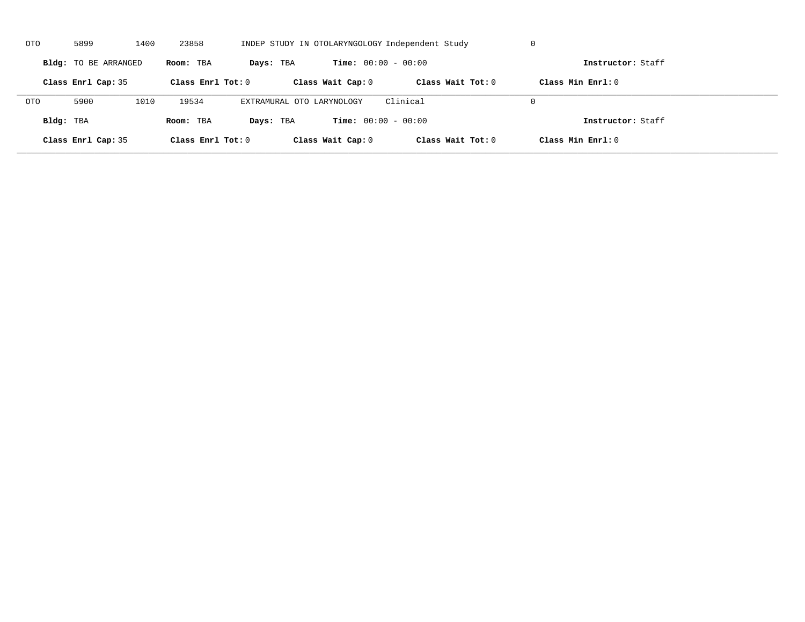| OTO        | 5899                 | 1400 | 23858               |                           |                              | INDEP STUDY IN OTOLARYNGOLOGY Independent Study | U                   |  |
|------------|----------------------|------|---------------------|---------------------------|------------------------------|-------------------------------------------------|---------------------|--|
|            | Bldg: TO BE ARRANGED |      | Room: TBA           | Days: TBA                 | <b>Time:</b> $00:00 - 00:00$ |                                                 | Instructor: Staff   |  |
|            | Class Enrl Cap: 35   |      | Class Enrl Tot: $0$ |                           | Class Wait Cap: 0            | Class Wait $Tot: 0$                             | Class Min $Enrl: 0$ |  |
| <b>OTO</b> | 5900                 | 1010 | 19534               | EXTRAMURAL OTO LARYNOLOGY |                              | Clinical                                        | $\Omega$            |  |
| Bldg: TBA  |                      |      | Room: TBA           | Days: TBA                 | <b>Time:</b> $00:00 - 00:00$ |                                                 | Instructor: Staff   |  |
|            | Class Enrl Cap: 35   |      | Class Enrl Tot: 0   |                           | Class Wait Cap: 0            | Class Wait Tot: 0                               | Class Min Enrl: 0   |  |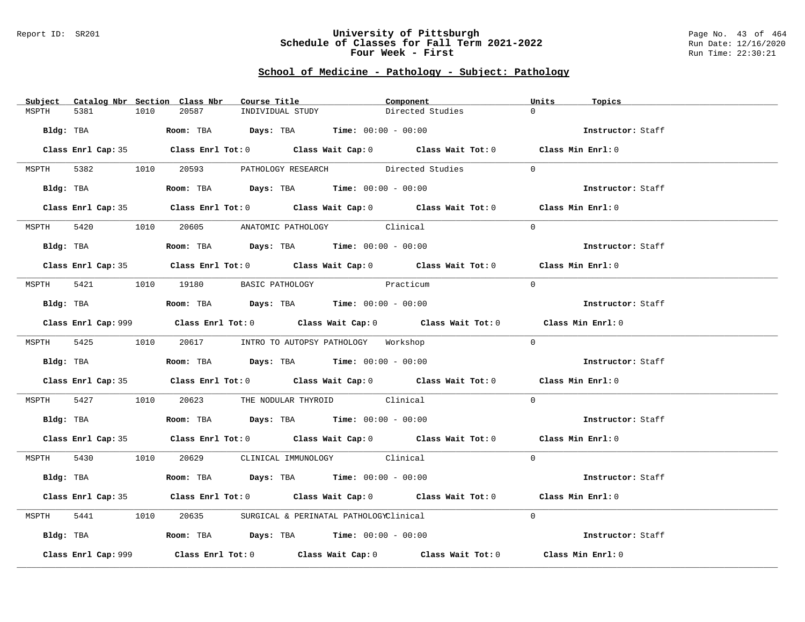#### Report ID: SR201 **University of Pittsburgh** Page No. 43 of 464 **Schedule of Classes for Fall Term 2021-2022** Run Date: 12/16/2020 **Four Week - First** Run Time: 22:30:21

# **School of Medicine - Pathology - Subject: Pathology**

| Subject Catalog Nbr Section Class Nbr | Course Title                                                                                  | Component                                                                                   | Units<br>Topics   |
|---------------------------------------|-----------------------------------------------------------------------------------------------|---------------------------------------------------------------------------------------------|-------------------|
| 5381<br>1010<br>MSPTH                 | 20587<br>INDIVIDUAL STUDY                                                                     | Directed Studies                                                                            | $\Omega$          |
|                                       | Bldg: TBA                  Room: TBA        Days: TBA        Time: 00:00 - 00:00              |                                                                                             | Instructor: Staff |
|                                       |                                                                                               | Class Enrl Cap: 35 Class Enrl Tot: 0 Class Wait Cap: 0 Class Wait Tot: 0 Class Min Enrl: 0  |                   |
|                                       | MSPTH 5382 1010 20593 PATHOLOGY RESEARCH Directed Studies                                     |                                                                                             | $\Omega$          |
|                                       | Bldg: TBA                         Room: TBA           Days: TBA           Time: 00:00 - 00:00 |                                                                                             | Instructor: Staff |
|                                       |                                                                                               | Class Enrl Cap: 35 Class Enrl Tot: 0 Class Wait Cap: 0 Class Wait Tot: 0 Class Min Enrl: 0  |                   |
|                                       | MSPTH 5420 1010 20605 ANATOMIC PATHOLOGY Clinical                                             |                                                                                             | $\Omega$          |
| Bldg: TBA                             | Room: TBA $Days: TBA$ Time: $00:00 - 00:00$                                                   |                                                                                             | Instructor: Staff |
|                                       |                                                                                               | Class Enrl Cap: 35 Class Enrl Tot: 0 Class Wait Cap: 0 Class Wait Tot: 0 Class Min Enrl: 0  |                   |
|                                       | MSPTH 5421 1010 19180 BASIC PATHOLOGY                                                         | Practicum                                                                                   | $\Omega$          |
|                                       | Bldg: TBA                    Room: TBA         Days: TBA         Time: 00:00 - 00:00          |                                                                                             | Instructor: Staff |
|                                       |                                                                                               | Class Enrl Cap: 999 Class Enrl Tot: 0 Class Wait Cap: 0 Class Wait Tot: 0 Class Min Enrl: 0 |                   |
|                                       | MSPTH 5425 1010 20617 INTRO TO AUTOPSY PATHOLOGY Workshop                                     |                                                                                             | $\Omega$          |
|                                       | Bldg: TBA                   Room: TBA         Days: TBA        Time: 00:00 - 00:00            |                                                                                             | Instructor: Staff |
|                                       |                                                                                               | Class Enrl Cap: 35 Class Enrl Tot: 0 Class Wait Cap: 0 Class Wait Tot: 0 Class Min Enrl: 0  |                   |
|                                       | MSPTH 5427 1010 20623 THE NODULAR THYROID Clinical                                            |                                                                                             | $\Omega$          |
|                                       | Bldg: TBA                    Room: TBA         Days: TBA         Time: 00:00 - 00:00          |                                                                                             | Instructor: Staff |
|                                       |                                                                                               | Class Enrl Cap: 35 Class Enrl Tot: 0 Class Wait Cap: 0 Class Wait Tot: 0 Class Min Enrl: 0  |                   |
|                                       | MSPTH 5430 1010 20629 CLINICAL IMMUNOLOGY Clinical                                            |                                                                                             | $\Omega$          |
|                                       | Bldg: TBA                   Room: TBA        Days: TBA        Time: 00:00 - 00:00             |                                                                                             | Instructor: Staff |
|                                       |                                                                                               | Class Enrl Cap: 35 Class Enrl Tot: 0 Class Wait Cap: 0 Class Wait Tot: 0 Class Min Enrl: 0  |                   |
| MSPTH                                 | 5441 1010 20635 SURGICAL & PERINATAL PATHOLOGYClinical                                        |                                                                                             | $\Omega$          |
|                                       | Bldg: TBA                        Room: TBA          Days: TBA         Time: $00:00 - 00:00$   |                                                                                             | Instructor: Staff |
| Class Enrl Cap: 999                   |                                                                                               | Class Enrl Tot: $0$ Class Wait Cap: $0$ Class Wait Tot: $0$ Class Min Enrl: $0$             |                   |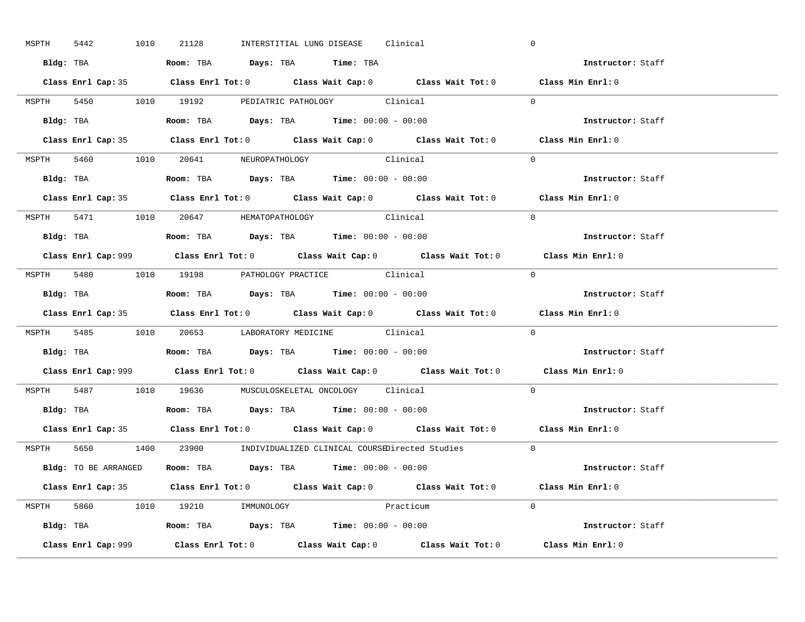| MSPTH 5442 |  | 1010 21128                                                                            |  | INTERSTITIAL LUNG DISEASE Clinical                 |                                                                      | $\mathbf 0$                                                                                 |  |
|------------|--|---------------------------------------------------------------------------------------|--|----------------------------------------------------|----------------------------------------------------------------------|---------------------------------------------------------------------------------------------|--|
|            |  | Bldg: TBA                     Room: TBA         Days: TBA         Time: TBA           |  |                                                    |                                                                      | Instructor: Staff                                                                           |  |
|            |  |                                                                                       |  |                                                    |                                                                      | Class Enrl Cap: 35 Class Enrl Tot: 0 Class Wait Cap: 0 Class Wait Tot: 0 Class Min Enrl: 0  |  |
|            |  | MSPTH 5450 1010 19192 PEDIATRIC PATHOLOGY Clinical                                    |  |                                                    |                                                                      | $\Omega$                                                                                    |  |
|            |  |                                                                                       |  |                                                    |                                                                      | Instructor: Staff                                                                           |  |
|            |  |                                                                                       |  |                                                    |                                                                      | Class Enrl Cap: 35 Class Enrl Tot: 0 Class Wait Cap: 0 Class Wait Tot: 0 Class Min Enrl: 0  |  |
|            |  | MSPTH 5460 1010 20641 NEUROPATHOLOGY Clinical                                         |  |                                                    |                                                                      | $\Omega$                                                                                    |  |
|            |  | Bldg: TBA                   Room: TBA         Days: TBA         Time: 00:00 - 00:00   |  |                                                    |                                                                      | Instructor: Staff                                                                           |  |
|            |  |                                                                                       |  |                                                    |                                                                      | Class Enrl Cap: 35 Class Enrl Tot: 0 Class Wait Cap: 0 Class Wait Tot: 0 Class Min Enrl: 0  |  |
|            |  | MSPTH 5471 1010 20647 HEMATOPATHOLOGY Clinical                                        |  |                                                    |                                                                      | $\Omega$                                                                                    |  |
|            |  | Bldg: TBA                   Room: TBA         Days: TBA         Time: $00:00 - 00:00$ |  |                                                    |                                                                      | Instructor: Staff                                                                           |  |
|            |  |                                                                                       |  |                                                    |                                                                      | Class Enrl Cap: 999 Class Enrl Tot: 0 Class Wait Cap: 0 Class Wait Tot: 0 Class Min Enrl: 0 |  |
|            |  | MSPTH 5480 1010 19198 PATHOLOGY PRACTICE Clinical                                     |  |                                                    |                                                                      | $\Omega$                                                                                    |  |
|            |  | Bldg: TBA                   Room: TBA         Days: TBA         Time: $00:00 - 00:00$ |  |                                                    |                                                                      | Instructor: Staff                                                                           |  |
|            |  |                                                                                       |  |                                                    |                                                                      | Class Enrl Cap: 35 Class Enrl Tot: 0 Class Wait Cap: 0 Class Wait Tot: 0 Class Min Enrl: 0  |  |
|            |  |                                                                                       |  | MSPTH 5485 1010 20653 LABORATORY MEDICINE Clinical |                                                                      | $\Omega$                                                                                    |  |
|            |  |                                                                                       |  |                                                    |                                                                      |                                                                                             |  |
|            |  | Bldg: TBA                    Room: TBA         Days: TBA        Time: $00:00 - 00:00$ |  |                                                    |                                                                      | Instructor: Staff                                                                           |  |
|            |  |                                                                                       |  |                                                    |                                                                      | Class Enrl Cap: 999 Class Enrl Tot: 0 Class Wait Cap: 0 Class Wait Tot: 0 Class Min Enrl: 0 |  |
|            |  | MSPTH 5487 1010 19636 MUSCULOSKELETAL ONCOLOGY Clinical                               |  |                                                    |                                                                      | $\Omega$                                                                                    |  |
|            |  | Bldg: TBA                   Room: TBA         Days: TBA         Time: $00:00 - 00:00$ |  |                                                    |                                                                      | Instructor: Staff                                                                           |  |
|            |  |                                                                                       |  |                                                    |                                                                      | Class Enrl Cap: 35 Class Enrl Tot: 0 Class Wait Cap: 0 Class Wait Tot: 0 Class Min Enrl: 0  |  |
|            |  |                                                                                       |  |                                                    | MSPTH 5650 1400 23900 INDIVIDUALIZED CLINICAL COURSEDirected Studies | $\overline{0}$                                                                              |  |
|            |  | Bldg: TO BE ARRANGED Room: TBA Days: TBA Time: 00:00 - 00:00                          |  |                                                    |                                                                      | Instructor: Staff                                                                           |  |
|            |  |                                                                                       |  |                                                    |                                                                      | Class Enrl Cap: 35 Class Enrl Tot: 0 Class Wait Cap: 0 Class Wait Tot: 0 Class Min Enrl: 0  |  |
|            |  | MSPTH 5860 1010 19210 IMMUNOLOGY                                                      |  |                                                    | Practicum                                                            | $\Omega$                                                                                    |  |
|            |  | <b>Bldg:</b> TBA <b>Room:</b> TBA <b>Days:</b> TBA <b>Time:</b> $00:00 - 00:00$       |  |                                                    |                                                                      | <b>Instructor:</b> Staff                                                                    |  |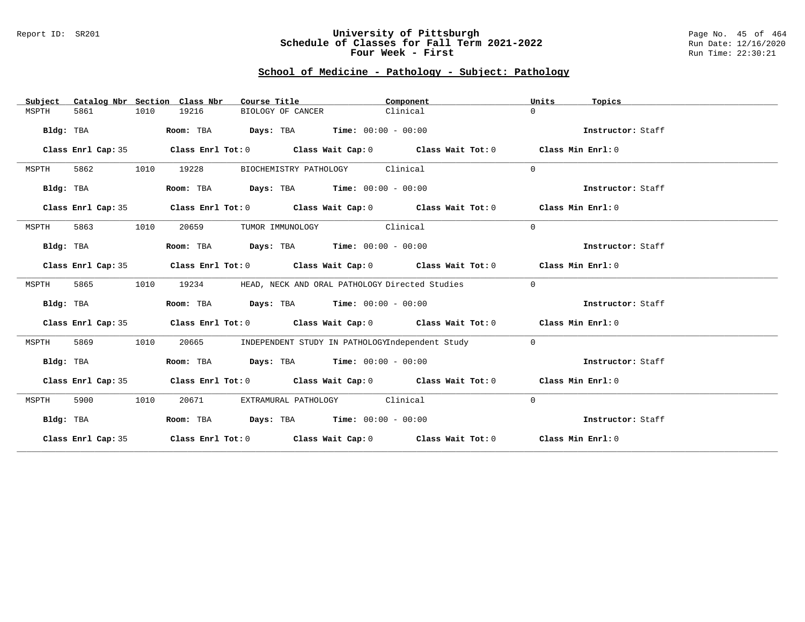#### Report ID: SR201 **University of Pittsburgh** Page No. 45 of 464 **Schedule of Classes for Fall Term 2021-2022** Run Date: 12/16/2020 **Four Week - First** Run Time: 22:30:21

# **School of Medicine - Pathology - Subject: Pathology**

| Subject   |                    |      | Catalog Nbr Section Class Nbr | Course Title                                                                          | Component |                                                                                                    | Units          | Topics            |
|-----------|--------------------|------|-------------------------------|---------------------------------------------------------------------------------------|-----------|----------------------------------------------------------------------------------------------------|----------------|-------------------|
| MSPTH     | 5861               | 1010 | 19216                         | BIOLOGY OF CANCER                                                                     | Clinical  |                                                                                                    | $\Omega$       |                   |
| Bldg: TBA |                    |      |                               | Room: TBA $Days: TBA$ Time: $00:00 - 00:00$                                           |           |                                                                                                    |                | Instructor: Staff |
|           | Class Enrl Cap: 35 |      |                               |                                                                                       |           | Class Enrl Tot: $0$ Class Wait Cap: $0$ Class Wait Tot: $0$ Class Min Enrl: $0$                    |                |                   |
| MSPTH     | 5862               | 1010 | 19228                         | BIOCHEMISTRY PATHOLOGY Clinical                                                       |           |                                                                                                    | $\Omega$       |                   |
| Bldg: TBA |                    |      |                               | Room: TBA $Days:$ TBA $Time: 00:00 - 00:00$                                           |           |                                                                                                    |                | Instructor: Staff |
|           | Class Enrl Cap: 35 |      |                               |                                                                                       |           | Class Enrl Tot: $0$ Class Wait Cap: $0$ Class Wait Tot: $0$ Class Min Enrl: $0$                    |                |                   |
| MSPTH     | 5863               | 1010 | 20659                         | TUMOR IMMUNOLOGY Clinical                                                             |           |                                                                                                    | $\Omega$       |                   |
| Bldg: TBA |                    |      |                               | Room: TBA $\rule{1em}{0.15mm}$ Days: TBA $\rule{1.5mm}{0.15mm}$ Time: $00:00 - 00:00$ |           |                                                                                                    |                | Instructor: Staff |
|           | Class Enrl Cap: 35 |      |                               |                                                                                       |           | Class Enrl Tot: $0$ Class Wait Cap: $0$ Class Wait Tot: $0$ Class Min Enrl: $0$                    |                |                   |
| MSPTH     | 5865               | 1010 | 19234                         | HEAD, NECK AND ORAL PATHOLOGY Directed Studies                                        |           |                                                                                                    | $\Omega$       |                   |
| Bldg: TBA |                    |      |                               | Room: TBA $Days:$ TBA $Time: 00:00 - 00:00$                                           |           |                                                                                                    |                | Instructor: Staff |
|           | Class Enrl Cap: 35 |      |                               |                                                                                       |           | Class Enrl Tot: $0$ Class Wait Cap: $0$ Class Wait Tot: $0$ Class Min Enrl: $0$                    |                |                   |
| MSPTH     | 5869               | 1010 | 20665                         |                                                                                       |           | INDEPENDENT STUDY IN PATHOLOGYIndependent Study                                                    | $\overline{0}$ |                   |
| Bldg: TBA |                    |      |                               | Room: TBA $Days:$ TBA $Time: 00:00 - 00:00$                                           |           |                                                                                                    |                | Instructor: Staff |
|           | Class Enrl Cap: 35 |      |                               |                                                                                       |           | Class Enrl Tot: $0$ Class Wait Cap: $0$ Class Wait Tot: $0$ Class Min Enrl: $0$                    |                |                   |
| MSPTH     | 5900               | 1010 | 20671                         | EXTRAMURAL PATHOLOGY Clinical                                                         |           |                                                                                                    | $\mathbf 0$    |                   |
|           | Bldg: TBA          |      |                               | Room: TBA $Days:$ TBA $Time: 00:00 - 00:00$                                           |           |                                                                                                    |                | Instructor: Staff |
|           | Class Enrl Cap: 35 |      |                               |                                                                                       |           | Class Enrl Tot: 0 $\qquad$ Class Wait Cap: 0 $\qquad$ Class Wait Tot: 0 $\qquad$ Class Min Enrl: 0 |                |                   |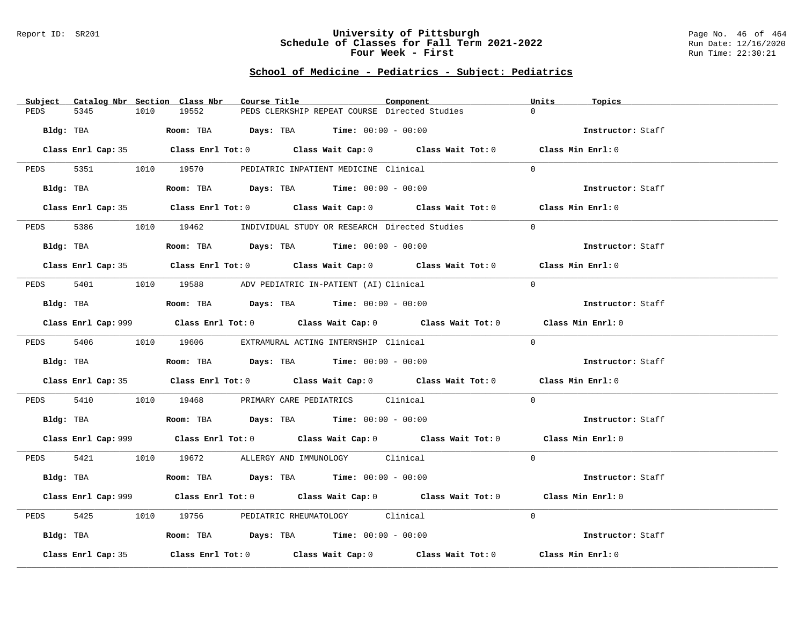#### Report ID: SR201 **University of Pittsburgh** Page No. 46 of 464 **Schedule of Classes for Fall Term 2021-2022** Run Date: 12/16/2020 **Four Week - First** Run Time: 22:30:21

# **School of Medicine - Pediatrics - Subject: Pediatrics**

| $\Omega$<br>19552<br>PEDS CLERKSHIP REPEAT COURSE Directed Studies<br>PEDS<br>5345<br>1010<br>Bldg: TBA<br>Room: TBA $\rule{1em}{0.15mm}$ Days: TBA Time: $00:00 - 00:00$<br>Instructor: Staff<br>Class Enrl Cap: 35 Class Enrl Tot: 0 Class Wait Cap: 0 Class Wait Tot: 0 Class Min Enrl: 0<br>PEDS 5351 1010 19570 PEDIATRIC INPATIENT MEDICINE Clinical<br>$\Omega$<br>Bldg: TBA<br>Room: TBA $Days:$ TBA $Time: 00:00 - 00:00$<br>Instructor: Staff<br>Class Enrl Cap: 35 Class Enrl Tot: 0 Class Wait Cap: 0 Class Wait Tot: 0 Class Min Enrl: 0<br>5386 1010 19462 INDIVIDUAL STUDY OR RESEARCH Directed Studies<br>PEDS<br>$\Omega$<br><b>Room:</b> TBA $\rule{1em}{0.15mm}$ <b>Days:</b> TBA <b>Time:</b> $00:00 - 00:00$<br>Bldg: TBA<br>Instructor: Staff |  |
|---------------------------------------------------------------------------------------------------------------------------------------------------------------------------------------------------------------------------------------------------------------------------------------------------------------------------------------------------------------------------------------------------------------------------------------------------------------------------------------------------------------------------------------------------------------------------------------------------------------------------------------------------------------------------------------------------------------------------------------------------------------------|--|
|                                                                                                                                                                                                                                                                                                                                                                                                                                                                                                                                                                                                                                                                                                                                                                     |  |
|                                                                                                                                                                                                                                                                                                                                                                                                                                                                                                                                                                                                                                                                                                                                                                     |  |
|                                                                                                                                                                                                                                                                                                                                                                                                                                                                                                                                                                                                                                                                                                                                                                     |  |
|                                                                                                                                                                                                                                                                                                                                                                                                                                                                                                                                                                                                                                                                                                                                                                     |  |
|                                                                                                                                                                                                                                                                                                                                                                                                                                                                                                                                                                                                                                                                                                                                                                     |  |
|                                                                                                                                                                                                                                                                                                                                                                                                                                                                                                                                                                                                                                                                                                                                                                     |  |
|                                                                                                                                                                                                                                                                                                                                                                                                                                                                                                                                                                                                                                                                                                                                                                     |  |
|                                                                                                                                                                                                                                                                                                                                                                                                                                                                                                                                                                                                                                                                                                                                                                     |  |
|                                                                                                                                                                                                                                                                                                                                                                                                                                                                                                                                                                                                                                                                                                                                                                     |  |
| Class Enrl Cap: 35 Class Enrl Tot: 0 Class Wait Cap: 0 Class Wait Tot: 0 Class Min Enrl: 0                                                                                                                                                                                                                                                                                                                                                                                                                                                                                                                                                                                                                                                                          |  |
| PEDS 5401 1010 19588 ADV PEDIATRIC IN-PATIENT (AI) Clinical<br>$\Omega$                                                                                                                                                                                                                                                                                                                                                                                                                                                                                                                                                                                                                                                                                             |  |
| Room: TBA $Days:$ TBA Time: $00:00 - 00:00$<br>Bldg: TBA<br>Instructor: Staff                                                                                                                                                                                                                                                                                                                                                                                                                                                                                                                                                                                                                                                                                       |  |
| Class Enrl Cap: 999 Class Enrl Tot: 0 Class Wait Cap: 0 Class Wait Tot: 0 Class Min Enrl: 0                                                                                                                                                                                                                                                                                                                                                                                                                                                                                                                                                                                                                                                                         |  |
| $\Omega$<br>PEDS 5406 1010 19606 EXTRAMURAL ACTING INTERNSHIP Clinical                                                                                                                                                                                                                                                                                                                                                                                                                                                                                                                                                                                                                                                                                              |  |
| Room: TBA $\rule{1em}{0.15mm}$ Days: TBA Time: $00:00 - 00:00$<br>Bldg: TBA<br>Instructor: Staff                                                                                                                                                                                                                                                                                                                                                                                                                                                                                                                                                                                                                                                                    |  |
| Class Enrl Cap: 35 Class Enrl Tot: 0 Class Wait Cap: 0 Class Wait Tot: 0 Class Min Enrl: 0                                                                                                                                                                                                                                                                                                                                                                                                                                                                                                                                                                                                                                                                          |  |
| PEDS 5410 1010 19468 PRIMARY CARE PEDIATRICS Clinical<br>$\Omega$                                                                                                                                                                                                                                                                                                                                                                                                                                                                                                                                                                                                                                                                                                   |  |
| <b>Bldg:</b> TBA <b>Room:</b> TBA <b>Days:</b> TBA <b>Time:</b> $00:00 - 00:00$<br>Instructor: Staff                                                                                                                                                                                                                                                                                                                                                                                                                                                                                                                                                                                                                                                                |  |
| Class Enrl Cap: 999 Class Enrl Tot: 0 Class Wait Cap: 0 Class Wait Tot: 0 Class Min Enrl: 0                                                                                                                                                                                                                                                                                                                                                                                                                                                                                                                                                                                                                                                                         |  |
| PEDS 5421 1010 19672 ALLERGY AND IMMUNOLOGY Clinical<br>$\Omega$                                                                                                                                                                                                                                                                                                                                                                                                                                                                                                                                                                                                                                                                                                    |  |
| Bldg: TBA                   Room: TBA         Days: TBA         Time: 00:00 - 00:00<br>Instructor: Staff                                                                                                                                                                                                                                                                                                                                                                                                                                                                                                                                                                                                                                                            |  |
| Class Enrl Cap: 999 Class Enrl Tot: 0 Class Wait Cap: 0 Class Wait Tot: 0 Class Min Enrl: 0                                                                                                                                                                                                                                                                                                                                                                                                                                                                                                                                                                                                                                                                         |  |
| 1010 19756 PEDIATRIC RHEUMATOLOGY Clinical<br>$\Omega$<br>5425<br>PEDS                                                                                                                                                                                                                                                                                                                                                                                                                                                                                                                                                                                                                                                                                              |  |
| Bldg: TBA                    Room: TBA         Days: TBA        Time: 00:00 - 00:00<br>Instructor: Staff                                                                                                                                                                                                                                                                                                                                                                                                                                                                                                                                                                                                                                                            |  |
| Class Enrl Tot: 0 $\qquad$ Class Wait Cap: 0 $\qquad$ Class Wait Tot: 0 $\qquad$ Class Min Enrl: 0<br>Class Enrl Cap: 35                                                                                                                                                                                                                                                                                                                                                                                                                                                                                                                                                                                                                                            |  |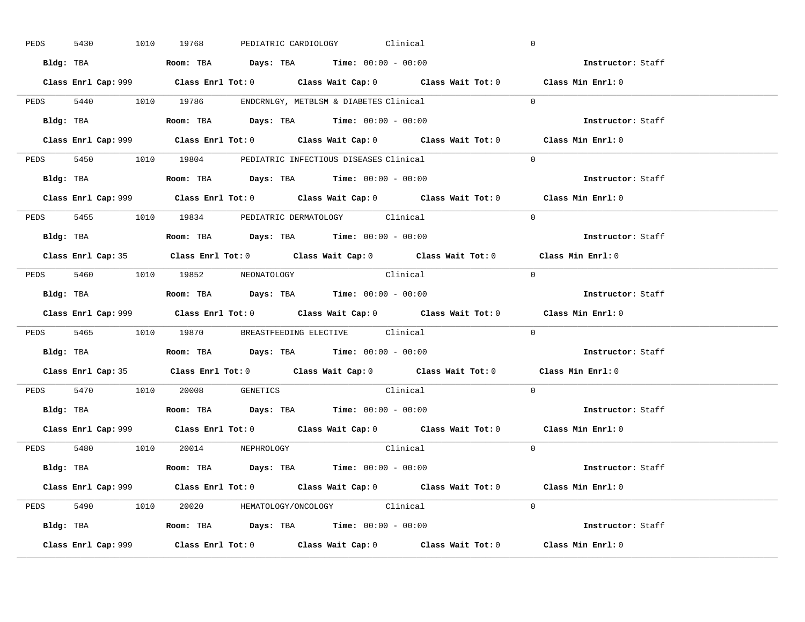| 5430      |  | 1010 19768                                                                                   |  | PEDIATRIC CARDIOLOGY Clinical |                                                                                             | $\overline{0}$ |                          |  |
|-----------|--|----------------------------------------------------------------------------------------------|--|-------------------------------|---------------------------------------------------------------------------------------------|----------------|--------------------------|--|
|           |  | Bldg: TBA                   Room: TBA         Days: TBA         Time: $00:00 - 00:00$        |  |                               |                                                                                             |                | Instructor: Staff        |  |
|           |  |                                                                                              |  |                               | Class Enrl Cap: 999 Class Enrl Tot: 0 Class Wait Cap: 0 Class Wait Tot: 0 Class Min Enrl: 0 |                |                          |  |
|           |  | PEDS 5440 1010 19786 ENDCRNLGY, METBLSM & DIABETES Clinical                                  |  |                               |                                                                                             | $\Omega$       |                          |  |
|           |  | Bldg: TBA                   Room: TBA         Days: TBA         Time: $00:00 - 00:00$        |  |                               |                                                                                             |                | Instructor: Staff        |  |
|           |  |                                                                                              |  |                               | Class Enrl Cap: 999 Class Enrl Tot: 0 Class Wait Cap: 0 Class Wait Tot: 0 Class Min Enrl: 0 |                |                          |  |
|           |  | PEDS 5450 1010 19804 PEDIATRIC INFECTIOUS DISEASES Clinical                                  |  |                               |                                                                                             | $\Omega$       |                          |  |
|           |  | Bldg: TBA                    Room: TBA         Days: TBA        Time: $00:00 - 00:00$        |  |                               |                                                                                             |                | Instructor: Staff        |  |
|           |  |                                                                                              |  |                               |                                                                                             |                | Class Min Enrl: 0        |  |
|           |  | PEDS 5455 1010 19834 PEDIATRIC DERMATOLOGY Clinical                                          |  |                               |                                                                                             | $\Omega$       |                          |  |
|           |  | Bldg: TBA                        Room: TBA          Days: TBA          Time: $00:00 - 00:00$ |  |                               |                                                                                             |                | Instructor: Staff        |  |
|           |  |                                                                                              |  |                               | Class Enrl Cap: 35 Class Enrl Tot: 0 Class Wait Cap: 0 Class Wait Tot: 0 Class Min Enrl: 0  |                |                          |  |
|           |  | PEDS 5460 1010 19852 NEONATOLOGY                                                             |  |                               | Clinical                                                                                    | $\bigcirc$     |                          |  |
|           |  |                                                                                              |  |                               |                                                                                             |                | Instructor: Staff        |  |
|           |  |                                                                                              |  |                               |                                                                                             |                |                          |  |
|           |  |                                                                                              |  |                               | Class Enrl Cap: 999 Class Enrl Tot: 0 Class Wait Cap: 0 Class Wait Tot: 0 Class Min Enrl: 0 |                |                          |  |
|           |  | PEDS 5465 1010 19870 BREASTFEEDING ELECTIVE Clinical                                         |  |                               |                                                                                             | $\mathbf{0}$   |                          |  |
| Bldg: TBA |  | Room: TBA $\rule{1em}{0.15mm}$ Days: TBA Time: $00:00 - 00:00$                               |  |                               |                                                                                             |                | <b>Instructor:</b> Staff |  |
|           |  |                                                                                              |  |                               | Class Enrl Cap: 35 Class Enrl Tot: 0 Class Wait Cap: 0 Class Wait Tot: 0 Class Min Enrl: 0  |                |                          |  |
|           |  | PEDS 5470 1010 20008 GENETICS                                                                |  |                               | Clinical                                                                                    | $\Omega$       |                          |  |
|           |  | Bldg: TBA                    Room: TBA         Days: TBA         Time: $00:00 - 00:00$       |  |                               |                                                                                             |                | Instructor: Staff        |  |
|           |  |                                                                                              |  |                               | Class Enrl Cap: 999 Class Enrl Tot: 0 Class Wait Cap: 0 Class Wait Tot: 0 Class Min Enrl: 0 |                |                          |  |
|           |  | PEDS 5480 1010 20014 NEPHROLOGY                                                              |  |                               | Clinical                                                                                    | $\Omega$       |                          |  |
|           |  | Bldg: TBA                   Room: TBA         Days: TBA         Time: 00:00 - 00:00          |  |                               |                                                                                             |                | Instructor: Staff        |  |
|           |  |                                                                                              |  |                               | Class Enrl Cap: 999 Class Enrl Tot: 0 Class Wait Cap: 0 Class Wait Tot: 0 Class Min Enrl: 0 |                |                          |  |
|           |  | PEDS 5490 1010 20020 HEMATOLOGY/ONCOLOGY Clinical                                            |  |                               |                                                                                             | $\Omega$       |                          |  |
|           |  | <b>Bldg:</b> TBA <b>ROOM:</b> TBA <b>Days:</b> TBA <b>Time:</b> $00:00 - 00:00$              |  |                               |                                                                                             |                | Instructor: Staff        |  |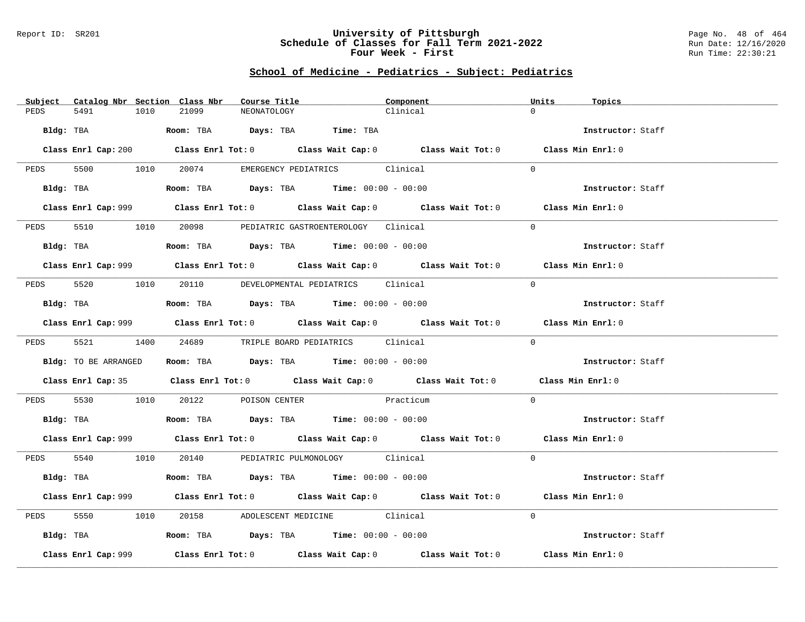#### Report ID: SR201 **University of Pittsburgh** Page No. 48 of 464 **Schedule of Classes for Fall Term 2021-2022** Run Date: 12/16/2020 **Four Week - First** Run Time: 22:30:21

# **School of Medicine - Pediatrics - Subject: Pediatrics**

| Subject Catalog Nbr Section Class Nbr | Course Title                                                                                | Component | Units<br>Topics   |
|---------------------------------------|---------------------------------------------------------------------------------------------|-----------|-------------------|
| PEDS<br>5491<br>1010                  | 21099<br>NEONATOLOGY                                                                        | Clinical  | $\Omega$          |
|                                       | Bldg: TBA                  Room: TBA        Days: TBA        Time: TBA                      |           | Instructor: Staff |
|                                       | Class Enrl Cap: 200 Class Enrl Tot: 0 Class Wait Cap: 0 Class Wait Tot: 0 Class Min Enrl: 0 |           |                   |
| PEDS 5500 1010 20074                  | EMERGENCY PEDIATRICS Clinical                                                               |           | $\Omega$          |
|                                       | Bldg: TBA                   Room: TBA         Days: TBA         Time: $00:00 - 00:00$       |           | Instructor: Staff |
|                                       | Class Enrl Cap: 999 Class Enrl Tot: 0 Class Wait Cap: 0 Class Wait Tot: 0 Class Min Enrl: 0 |           |                   |
| PEDS                                  | 5510 1010 20098 PEDIATRIC GASTROENTEROLOGY Clinical                                         |           | $\Omega$          |
|                                       | Bldg: TBA                   Room: TBA        Days: TBA        Time: 00:00 - 00:00           |           | Instructor: Staff |
|                                       | Class Enrl Cap: 999 Class Enrl Tot: 0 Class Wait Cap: 0 Class Wait Tot: 0 Class Min Enrl: 0 |           |                   |
|                                       | PEDS 5520 1010 20110 DEVELOPMENTAL PEDIATRICS Clinical                                      |           | $\Omega$          |
|                                       | Bldg: TBA                  Room: TBA        Days: TBA        Time: 00:00 - 00:00            |           | Instructor: Staff |
|                                       | Class Enrl Cap: 999 Class Enrl Tot: 0 Class Wait Cap: 0 Class Wait Tot: 0 Class Min Enrl: 0 |           |                   |
| PEDS                                  | 5521 1400 24689 TRIPLE BOARD PEDIATRICS Clinical                                            |           | $\Omega$          |
| Bldg: TO BE ARRANGED                  | Room: TBA $Days: TBA$ Time: $00:00 - 00:00$                                                 |           | Instructor: Staff |
|                                       | Class Enrl Cap: 35 Class Enrl Tot: 0 Class Wait Cap: 0 Class Wait Tot: 0 Class Min Enrl: 0  |           |                   |
|                                       | PEDS 5530 1010 20122 POISON CENTER Practicum                                                |           | $\Omega$          |
|                                       | <b>Bldg:</b> TBA <b>Room:</b> TBA <b>Days:</b> TBA <b>Time:</b> $00:00 - 00:00$             |           | Instructor: Staff |
|                                       | Class Enrl Cap: 999 Class Enrl Tot: 0 Class Wait Cap: 0 Class Wait Tot: 0 Class Min Enrl: 0 |           |                   |
|                                       | PEDS 5540 1010 20140 PEDIATRIC PULMONOLOGY Clinical                                         |           | $\Omega$          |
|                                       | <b>Bldg:</b> TBA <b>ROOM:</b> TBA <b>Days:</b> TBA <b>Time:</b> $00:00 - 00:00$             |           | Instructor: Staff |
|                                       | Class Enrl Cap: 999 Class Enrl Tot: 0 Class Wait Cap: 0 Class Wait Tot: 0 Class Min Enrl: 0 |           |                   |
| 5550 1010<br>PEDS                     | 20158 ADOLESCENT MEDICINE Clinical                                                          |           | $\Omega$          |
|                                       | $Bldg:$ TBA $Room:$ TBA $Days:$ TBA $Time:$ 00:00 - 00:00                                   |           | Instructor: Staff |
| Class Enrl Cap: 999                   | Class Enrl Tot: $0$ Class Wait Cap: $0$ Class Wait Tot: $0$                                 |           | Class Min Enrl: 0 |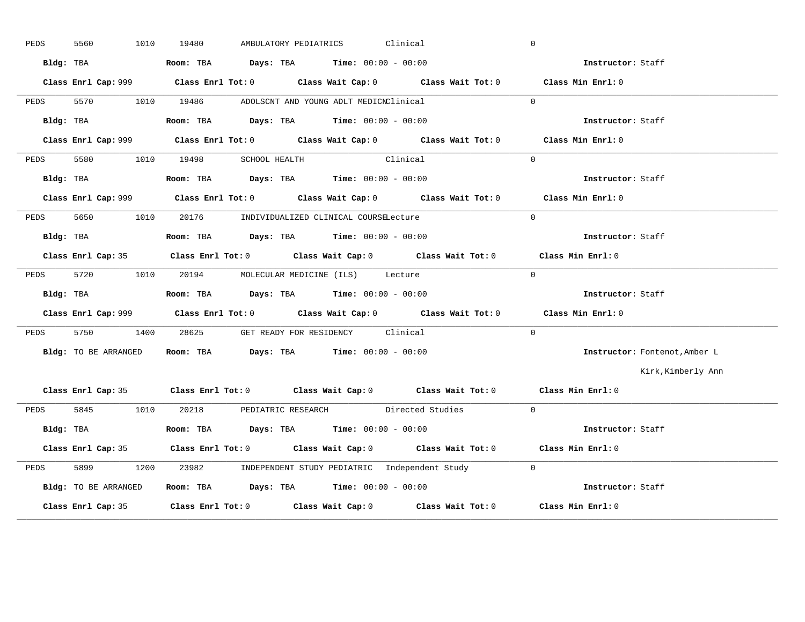| PEDS | 5560<br>1010         | AMBULATORY PEDIATRICS Clinical<br>19480                                                     | $\overline{0}$    |                               |
|------|----------------------|---------------------------------------------------------------------------------------------|-------------------|-------------------------------|
|      | Bldg: TBA            | <b>Room:</b> TBA $Days: TBA$ <b>Time:</b> $00:00 - 00:00$                                   |                   | <b>Instructor:</b> Staff      |
|      |                      | Class Enrl Cap: 999 Class Enrl Tot: 0 Class Wait Cap: 0 Class Wait Tot: 0 Class Min Enrl: 0 |                   |                               |
| PEDS |                      | 5570 1010 19486 ADOLSCNT AND YOUNG ADLT MEDICNClinical                                      | $\Omega$          |                               |
|      | Bldg: TBA            | Room: TBA $Days:$ TBA Time: $00:00 - 00:00$                                                 | Instructor: Staff |                               |
|      |                      | Class Enrl Cap: 999 Class Enrl Tot: 0 Class Wait Cap: 0 Class Wait Tot: 0 Class Min Enrl: 0 |                   |                               |
| PEDS |                      | 5580 1010 19498 SCHOOL HEALTH Clinical                                                      | $\Omega$          |                               |
|      | Bldg: TBA            | Room: TBA $Days:$ TBA $Time: 00:00 - 00:00$                                                 |                   | Instructor: Staff             |
|      |                      | Class Enrl Cap: 999 Class Enrl Tot: 0 Class Wait Cap: 0 Class Wait Tot: 0 Class Min Enrl: 0 |                   |                               |
|      |                      | PEDS 5650 1010 20176 INDIVIDUALIZED CLINICAL COURSELecture                                  | $\Omega$          |                               |
|      | Bldg: TBA            | Room: TBA $Days:$ TBA $Time: 00:00 - 00:00$                                                 | Instructor: Staff |                               |
|      |                      | Class Enrl Cap: 35 Class Enrl Tot: 0 Class Wait Cap: 0 Class Wait Tot: 0 Class Min Enrl: 0  |                   |                               |
| PEDS | 5720 1010            | 20194 MOLECULAR MEDICINE (ILS) Lecture                                                      | $\overline{0}$    |                               |
|      |                      | Bldg: TBA                       Room: TBA          Days: TBA          Time: 00:00 - 00:00   |                   | Instructor: Staff             |
|      |                      | Class Enrl Cap: 999 Class Enrl Tot: 0 Class Wait Cap: 0 Class Wait Tot: 0 Class Min Enrl: 0 |                   |                               |
|      |                      | PEDS 5750 1400 28625 GET READY FOR RESIDENCY Clinical                                       | $\Omega$          |                               |
|      | Bldg: TO BE ARRANGED | Room: TBA $Days:$ TBA $Time: 00:00 - 00:00$                                                 |                   | Instructor: Fontenot, Amber L |
|      |                      |                                                                                             |                   | Kirk, Kimberly Ann            |
|      |                      | Class Enrl Cap: 35 Class Enrl Tot: 0 Class Wait Cap: 0 Class Wait Tot: 0 Class Min Enrl: 0  |                   |                               |
|      |                      | PEDS 5845 1010 20218 PEDIATRIC RESEARCH Directed Studies 0                                  |                   |                               |
|      | Bldg: TBA            | Room: TBA $Days:$ TBA Time: $00:00 - 00:00$                                                 |                   | Instructor: Staff             |
|      |                      | Class Enrl Cap: 35 Class Enrl Tot: 0 Class Wait Cap: 0 Class Wait Tot: 0 Class Min Enrl: 0  |                   |                               |
| PEDS | 5899                 | 1200 23982 INDEPENDENT STUDY PEDIATRIC Independent Study 0                                  |                   |                               |
|      | Bldg: TO BE ARRANGED | Room: TBA Days: TBA Time: $00:00 - 00:00$                                                   |                   |                               |
|      |                      | Class Enrl Cap: 35 Class Enrl Tot: 0 Class Wait Cap: 0 Class Wait Tot: 0 Class Min Enrl: 0  |                   |                               |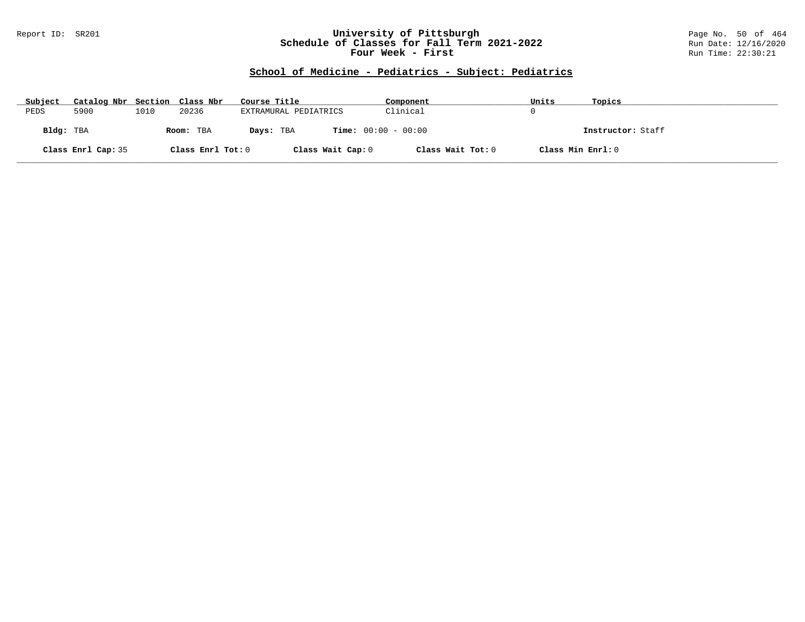### Report ID: SR201 **University of Pittsburgh** Page No. 50 of 464 **Schedule of Classes for Fall Term 2021-2022** Run Date: 12/16/2020 **Four Week - First** Run Time: 22:30:21

# **School of Medicine - Pediatrics - Subject: Pediatrics**

| Subject   | Catalog Nbr Section Class Nbr |      |                   | Course Title                              | Component         | Units             | Topics            |
|-----------|-------------------------------|------|-------------------|-------------------------------------------|-------------------|-------------------|-------------------|
| PEDS      | 5900                          | 1010 | 20236             | EXTRAMURAL PEDIATRICS                     | Clinical          |                   |                   |
| Bldg: TBA |                               |      | Room: TBA         | <b>Time:</b> $00:00 - 00:00$<br>Days: TBA |                   |                   | Instructor: Staff |
|           | Class Enrl Cap: 35            |      | Class Enrl Tot: 0 | Class Wait Cap: 0                         | Class Wait Tot: 0 | Class Min Enrl: 0 |                   |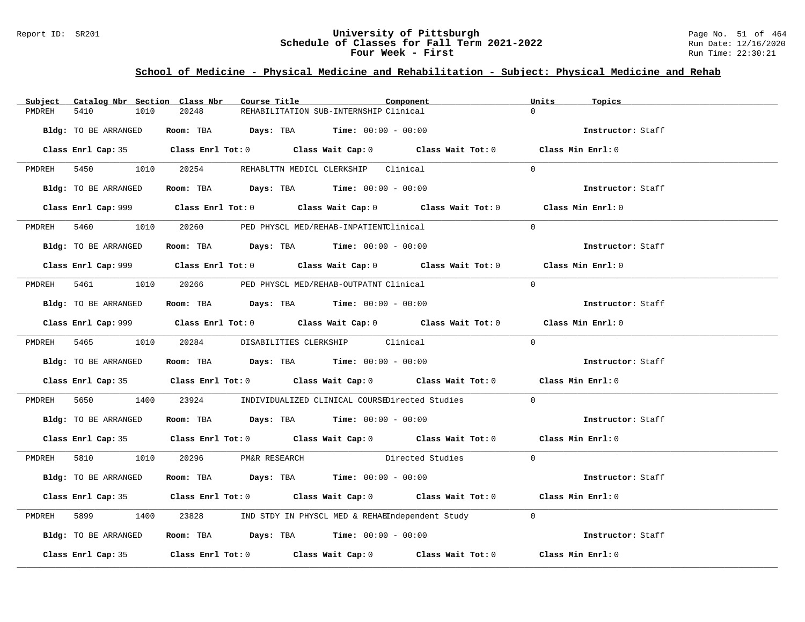### Report ID: SR201 **University of Pittsburgh University of Pittsburgh** Page No. 51 of 464 **Schedule of Classes for Fall Term 2021-2022** Run Date: 12/16/2020 **Schedule of Classes for Fall Term 2021-2022** Run Date: 12/16/2020 **Four Week - First** Run Time: 22:30:21

# **School of Medicine - Physical Medicine and Rehabilitation - Subject: Physical Medicine and Rehab**

| Catalog Nbr Section Class Nbr<br>Subject | Course Title                                                                          | Component                                                                                   | Units<br>Topics   |
|------------------------------------------|---------------------------------------------------------------------------------------|---------------------------------------------------------------------------------------------|-------------------|
| 5410<br>1010<br>PMDREH                   | 20248                                                                                 | REHABILITATION SUB-INTERNSHIP Clinical                                                      | $\Omega$          |
| Bldg: TO BE ARRANGED                     | Room: TBA $Days:$ TBA Time: $00:00 - 00:00$                                           |                                                                                             | Instructor: Staff |
|                                          |                                                                                       | Class Enrl Cap: 35 Class Enrl Tot: 0 Class Wait Cap: 0 Class Wait Tot: 0 Class Min Enrl: 0  |                   |
|                                          | PMDREH 5450 1010 20254 REHABLITN MEDICL CLERKSHIP Clinical                            |                                                                                             | $\Omega$          |
| Bldg: TO BE ARRANGED                     | Room: TBA $Days:$ TBA $Time: 00:00 - 00:00$                                           |                                                                                             | Instructor: Staff |
|                                          |                                                                                       | Class Enrl Cap: 999 Class Enrl Tot: 0 Class Wait Cap: 0 Class Wait Tot: 0 Class Min Enrl: 0 |                   |
|                                          | PMDREH 5460 1010 20260 PED PHYSCL MED/REHAB-INPATIENTClinical                         |                                                                                             | $\Omega$          |
| Bldg: TO BE ARRANGED                     | Room: TBA $Days:$ TBA $Time: 00:00 - 00:00$                                           |                                                                                             | Instructor: Staff |
|                                          |                                                                                       | Class Enrl Cap: 999 Class Enrl Tot: 0 Class Wait Cap: 0 Class Wait Tot: 0 Class Min Enrl: 0 |                   |
|                                          | PMDREH 5461 1010 20266 PED PHYSCL MED/REHAB-OUTPATNT Clinical                         |                                                                                             | $\Omega$          |
|                                          | Bldg: TO BE ARRANGED Room: TBA Days: TBA Time: 00:00 - 00:00                          |                                                                                             | Instructor: Staff |
|                                          |                                                                                       | Class Enrl Cap: 999 Class Enrl Tot: 0 Class Wait Cap: 0 Class Wait Tot: 0 Class Min Enrl: 0 |                   |
|                                          | PMDREH 5465 1010 20284 DISABILITIES CLERKSHIP Clinical                                |                                                                                             | $\Omega$          |
| Bldg: TO BE ARRANGED                     | Room: TBA $Days: TBA$ Time: $00:00 - 00:00$                                           |                                                                                             | Instructor: Staff |
|                                          |                                                                                       | Class Enrl Cap: 35 Class Enrl Tot: 0 Class Wait Cap: 0 Class Wait Tot: 0 Class Min Enrl: 0  |                   |
| PMDREH                                   |                                                                                       | 5650 1400 23924 INDIVIDUALIZED CLINICAL COURSEDirected Studies 0                            |                   |
| Bldg: TO BE ARRANGED                     | Room: TBA $\rule{1em}{0.15mm}$ Days: TBA Time: $00:00 - 00:00$                        |                                                                                             | Instructor: Staff |
|                                          |                                                                                       | Class Enrl Cap: 35 Class Enrl Tot: 0 Class Wait Cap: 0 Class Wait Tot: 0 Class Min Enrl: 0  |                   |
|                                          | PMDREH 5810 1010 20296 PM&R RESEARCH                                                  | Directed Studies 0                                                                          |                   |
| Bldg: TO BE ARRANGED                     | Room: TBA $\rule{1em}{0.15mm}$ Days: TBA Time: $00:00 - 00:00$                        |                                                                                             | Instructor: Staff |
|                                          |                                                                                       | Class Enrl Cap: 35 Class Enrl Tot: 0 Class Wait Cap: 0 Class Wait Tot: 0 Class Min Enrl: 0  |                   |
| 5899 7<br>PMDREH                         |                                                                                       | 1400 23828 IND STDY IN PHYSCL MED & REHABIndependent Study 0                                |                   |
| Bldg: TO BE ARRANGED                     | Room: TBA $\rule{1em}{0.15mm}$ Days: TBA $\rule{1.5mm}{0.15mm}$ Time: $00:00 - 00:00$ |                                                                                             | Instructor: Staff |
|                                          |                                                                                       | Class Enrl Cap: 35 Class Enrl Tot: 0 Class Wait Cap: 0 Class Wait Tot: 0 Class Min Enrl: 0  |                   |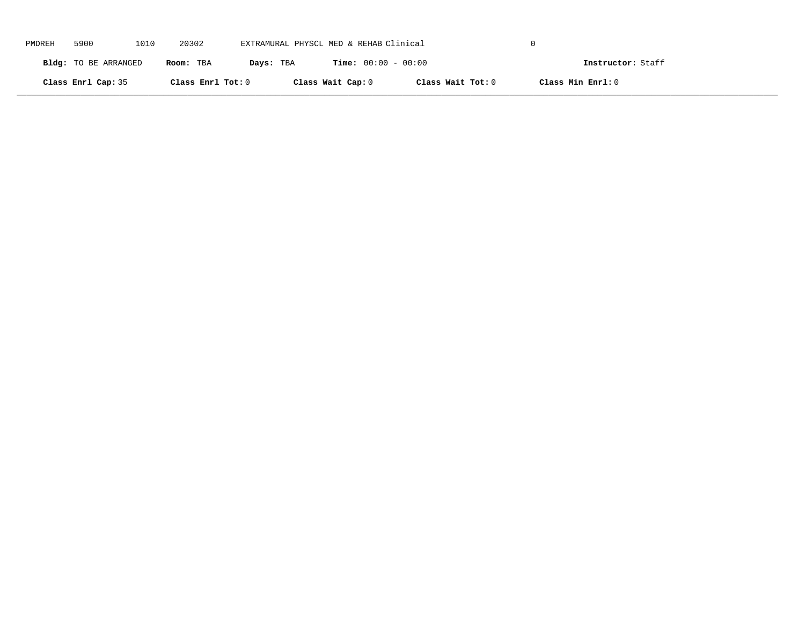| PMDREH | 5900                 | 1010 | 20302             | EXTRAMURAL PHYSCL MED & REHAB Clinical |                              |                   |                   |  |
|--------|----------------------|------|-------------------|----------------------------------------|------------------------------|-------------------|-------------------|--|
|        | Bldg: TO BE ARRANGED |      | Room: TBA         | Days: TBA                              | <b>Time:</b> $00:00 - 00:00$ |                   | Instructor: Staff |  |
|        | Class Enrl Cap: 35   |      | Class Enrl Tot: 0 |                                        | Class Wait Cap: 0            | Class Wait Tot: 0 | Class Min Enrl: 0 |  |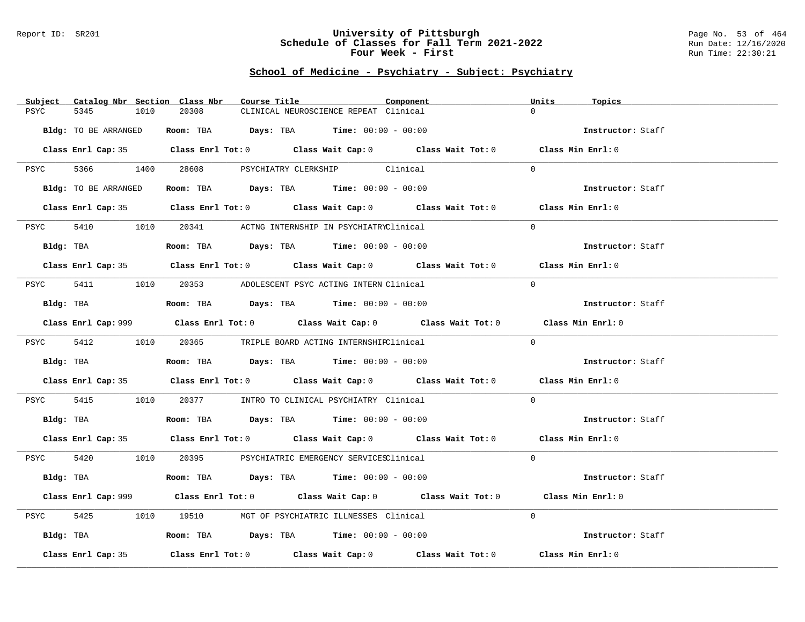#### Report ID: SR201 **University of Pittsburgh** Page No. 53 of 464 **Schedule of Classes for Fall Term 2021-2022** Run Date: 12/16/2020 **Four Week - First** Run Time: 22:30:21

| Catalog Nbr Section Class Nbr<br>Subject | Course Title                                                                                | Component | Units<br>Topics   |
|------------------------------------------|---------------------------------------------------------------------------------------------|-----------|-------------------|
| PSYC<br>5345<br>1010                     | 20308<br>CLINICAL NEUROSCIENCE REPEAT Clinical                                              |           | $\Omega$          |
|                                          |                                                                                             |           |                   |
| Bldg: TO BE ARRANGED                     | Room: TBA $\rule{1em}{0.15mm}$ Days: TBA Time: $00:00 - 00:00$                              |           | Instructor: Staff |
|                                          |                                                                                             |           |                   |
|                                          | Class Enrl Cap: 35 Class Enrl Tot: 0 Class Wait Cap: 0 Class Wait Tot: 0 Class Min Enrl: 0  |           |                   |
|                                          |                                                                                             |           |                   |
|                                          | PSYC 5366 1400 28608 PSYCHIATRY CLERKSHIP Clinical                                          |           | $\Omega$          |
|                                          |                                                                                             |           |                   |
| Bldg: TO BE ARRANGED                     | Room: TBA $Days:$ TBA $Time: 00:00 - 00:00$                                                 |           | Instructor: Staff |
|                                          |                                                                                             |           |                   |
|                                          | Class Enrl Cap: 35 Class Enrl Tot: 0 Class Wait Cap: 0 Class Wait Tot: 0 Class Min Enrl: 0  |           |                   |
| 5410 1010                                | 20341 ACTNG INTERNSHIP IN PSYCHIATRYClinical                                                |           | $\Omega$          |
| PSYC                                     |                                                                                             |           |                   |
| Bldg: TBA                                | Room: TBA $Days:$ TBA $Time: 00:00 - 00:00$                                                 |           | Instructor: Staff |
|                                          |                                                                                             |           |                   |
|                                          | Class Enrl Cap: 35 Class Enrl Tot: 0 Class Wait Cap: 0 Class Wait Tot: 0 Class Min Enrl: 0  |           |                   |
|                                          |                                                                                             |           |                   |
|                                          | PSYC 5411 1010 20353 ADOLESCENT PSYC ACTING INTERN Clinical                                 |           | $\Omega$          |
|                                          |                                                                                             |           |                   |
| Bldg: TBA                                | Room: TBA $\rule{1em}{0.15mm}$ Days: TBA Time: $00:00 - 00:00$                              |           | Instructor: Staff |
|                                          |                                                                                             |           |                   |
|                                          | Class Enrl Cap: 999 Class Enrl Tot: 0 Class Wait Cap: 0 Class Wait Tot: 0 Class Min Enrl: 0 |           |                   |
|                                          |                                                                                             |           |                   |
|                                          | PSYC 5412 1010 20365 TRIPLE BOARD ACTING INTERNSHIPClinical                                 |           | $\Omega$          |
| Bldg: TBA                                | Room: TBA $\rule{1em}{0.15mm}$ Days: TBA Time: $00:00 - 00:00$                              |           | Instructor: Staff |
|                                          |                                                                                             |           |                   |
|                                          | Class Enrl Cap: 35 Class Enrl Tot: 0 Class Wait Cap: 0 Class Wait Tot: 0 Class Min Enrl: 0  |           |                   |
|                                          |                                                                                             |           |                   |
| PSYC                                     | 5415 1010 20377 INTRO TO CLINICAL PSYCHIATRY Clinical                                       |           | $\Omega$          |
|                                          |                                                                                             |           |                   |
|                                          | Bldg: TBA                    Room: TBA         Days: TBA         Time: $00:00 - 00:00$      |           | Instructor: Staff |
|                                          |                                                                                             |           |                   |
|                                          | Class Enrl Cap: 35 Class Enrl Tot: 0 Class Wait Cap: 0 Class Wait Tot: 0 Class Min Enrl: 0  |           |                   |
|                                          |                                                                                             |           |                   |
|                                          | PSYC 5420 1010 20395 PSYCHIATRIC EMERGENCY SERVICESClinical                                 |           | $\Omega$          |
|                                          |                                                                                             |           |                   |
| Bldg: TBA                                | Room: TBA $Days:$ TBA $Time: 00:00 - 00:00$                                                 |           | Instructor: Staff |
|                                          | Class Enrl Cap: 999 Class Enrl Tot: 0 Class Wait Cap: 0 Class Wait Tot: 0 Class Min Enrl: 0 |           |                   |
|                                          |                                                                                             |           |                   |
| 5425<br>PSYC                             | 1010 19510 MGT OF PSYCHIATRIC ILLNESSES Clinical                                            |           | $\Omega$          |
|                                          |                                                                                             |           |                   |
| Bldg: TBA                                | Room: TBA $\rule{1em}{0.15mm}$ Days: TBA $\rule{1.5mm}{0.15mm}$ Time: $00:00 - 00:00$       |           | Instructor: Staff |
|                                          |                                                                                             |           |                   |
| Class Enrl Cap: 35                       | Class Enrl Tot: $0$ Class Wait Cap: $0$ Class Wait Tot: $0$                                 |           | Class Min Enrl: 0 |
|                                          |                                                                                             |           |                   |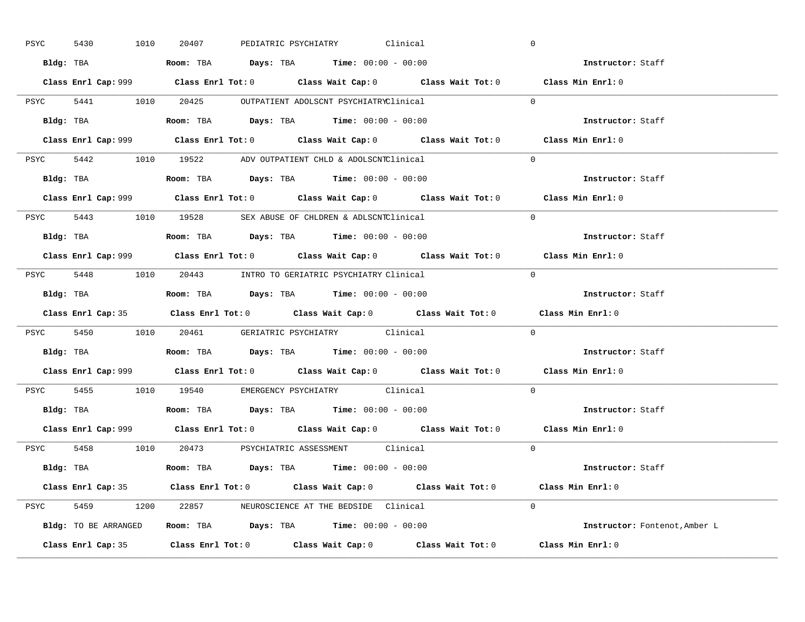| PSYC | 5430 | 1010                                                                                       | 20407                                                                                  |  | PEDIATRIC PSYCHIATRY Clinical | $\overline{0}$ |                                                                                             |
|------|------|--------------------------------------------------------------------------------------------|----------------------------------------------------------------------------------------|--|-------------------------------|----------------|---------------------------------------------------------------------------------------------|
|      |      |                                                                                            | Bldg: TBA                   Room: TBA         Days: TBA         Time: $00:00 - 00:00$  |  |                               |                | Instructor: Staff                                                                           |
|      |      |                                                                                            |                                                                                        |  |                               |                | Class Enrl Cap: 999 Class Enrl Tot: 0 Class Wait Cap: 0 Class Wait Tot: 0 Class Min Enrl: 0 |
|      |      |                                                                                            | PSYC 5441 1010 20425 OUTPATIENT ADOLSCNT PSYCHIATRYClinical                            |  |                               | $\Omega$       |                                                                                             |
|      |      | Bldg: TBA                                                                                  | Room: TBA $\rule{1em}{0.15mm}$ Days: TBA $\rule{1.5mm}{0.15mm}$ Time: $00:00 - 00:00$  |  |                               |                | Instructor: Staff                                                                           |
|      |      |                                                                                            |                                                                                        |  |                               |                | Class Enrl Cap: 999 Class Enrl Tot: 0 Class Wait Cap: 0 Class Wait Tot: 0 Class Min Enrl: 0 |
|      |      |                                                                                            | PSYC 5442 1010 19522 ADV OUTPATIENT CHLD & ADOLSCNTClinical                            |  |                               | $\Omega$       |                                                                                             |
|      |      |                                                                                            | Bldg: TBA                    Room: TBA         Days: TBA        Time: $00:00 - 00:00$  |  |                               |                | Instructor: Staff                                                                           |
|      |      |                                                                                            |                                                                                        |  |                               |                | Class Enrl Cap: 999 Class Enrl Tot: 0 Class Wait Cap: 0 Class Wait Tot: 0 Class Min Enrl: 0 |
|      |      |                                                                                            | PSYC 5443 1010 19528 SEX ABUSE OF CHLDREN & ADLSCNTClinical                            |  |                               | $\Omega$       |                                                                                             |
|      |      |                                                                                            |                                                                                        |  |                               |                | Instructor: Staff                                                                           |
|      |      |                                                                                            |                                                                                        |  |                               |                | Class Enrl Cap: 999 Class Enrl Tot: 0 Class Wait Cap: 0 Class Wait Tot: 0 Class Min Enrl: 0 |
|      |      |                                                                                            | PSYC 5448 1010 20443 INTRO TO GERIATRIC PSYCHIATRY Clinical                            |  |                               | $\Omega$       |                                                                                             |
|      |      |                                                                                            | Bldg: TBA                   Room: TBA         Days: TBA         Time: $00:00 - 00:00$  |  |                               |                | Instructor: Staff                                                                           |
|      |      |                                                                                            |                                                                                        |  |                               |                | Class Enrl Cap: 35 Class Enrl Tot: 0 Class Wait Cap: 0 Class Wait Tot: 0 Class Min Enrl: 0  |
|      |      |                                                                                            | PSYC 5450 1010 20461 GERIATRIC PSYCHIATRY Clinical                                     |  |                               | $\Omega$       |                                                                                             |
|      |      |                                                                                            |                                                                                        |  |                               |                | <b>Instructor:</b> Staff                                                                    |
|      |      |                                                                                            |                                                                                        |  |                               |                | Class Enrl Cap: 999 Class Enrl Tot: 0 Class Wait Cap: 0 Class Wait Tot: 0 Class Min Enrl: 0 |
|      |      |                                                                                            | PSYC 5455 1010 19540 EMERGENCY PSYCHIATRY Clinical                                     |  |                               | $\Omega$       |                                                                                             |
|      |      |                                                                                            | Bldg: TBA                    Room: TBA         Days: TBA         Time: $00:00 - 00:00$ |  |                               |                | Instructor: Staff                                                                           |
|      |      |                                                                                            |                                                                                        |  |                               |                | Class Enrl Cap: 999 Class Enrl Tot: 0 Class Wait Cap: 0 Class Wait Tot: 0 Class Min Enrl: 0 |
|      |      |                                                                                            | PSYC 5458 1010 20473 PSYCHIATRIC ASSESSMENT Clinical                                   |  |                               | $\Omega$       |                                                                                             |
|      |      |                                                                                            | Bldg: TBA                   Room: TBA        Days: TBA        Time: 00:00 - 00:00      |  |                               |                | Instructor: Staff                                                                           |
|      |      |                                                                                            |                                                                                        |  |                               |                |                                                                                             |
|      |      | Class Enrl Cap: 35 Class Enrl Tot: 0 Class Wait Cap: 0 Class Wait Tot: 0 Class Min Enrl: 0 |                                                                                        |  |                               |                |                                                                                             |
|      |      |                                                                                            | PSYC 5459 1200 22857 NEUROSCIENCE AT THE BEDSIDE Clinical                              |  |                               | $\Omega$       |                                                                                             |
|      |      |                                                                                            | Bldg: TO BE ARRANGED Room: TBA Days: TBA Time: 00:00 - 00:00                           |  |                               |                | Instructor: Fontenot, Amber L                                                               |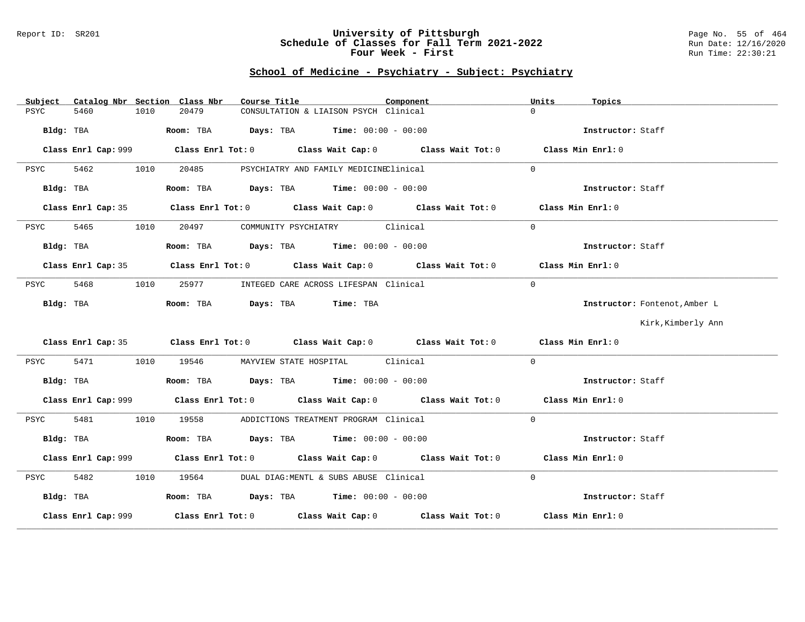#### Report ID: SR201 **University of Pittsburgh** Page No. 55 of 464 **Schedule of Classes for Fall Term 2021-2022** Run Date: 12/16/2020 **Four Week - First** Run Time: 22:30:21

| Subject<br>Catalog Nbr Section Class Nbr | Course Title                                                                                | Component | Units<br>Topics               |
|------------------------------------------|---------------------------------------------------------------------------------------------|-----------|-------------------------------|
| 5460<br>1010<br>PSYC                     | 20479<br>CONSULTATION & LIAISON PSYCH Clinical                                              |           | $\cap$                        |
| Bldg: TBA                                | Room: TBA $Days:$ TBA $Time: 00:00 - 00:00$                                                 |           | Instructor: Staff             |
|                                          | Class Enrl Cap: 999 Class Enrl Tot: 0 Class Wait Cap: 0 Class Wait Tot: 0 Class Min Enrl: 0 |           |                               |
| 5462<br>1010<br>PSYC                     | 20485<br>PSYCHIATRY AND FAMILY MEDICINEClinical                                             |           | $\Omega$                      |
| Bldg: TBA                                | Room: TBA $Days:$ TBA $Time: 00:00 - 00:00$                                                 |           | Instructor: Staff             |
| Class Enrl Cap: 35                       | Class Enrl Tot: $0$ Class Wait Cap: $0$ Class Wait Tot: $0$                                 |           | Class Min Enrl: 0             |
| 5465<br>1010<br>PSYC                     | COMMUNITY PSYCHIATRY Clinical<br>20497                                                      |           | $\Omega$                      |
| Bldg: TBA                                | Room: TBA $Days:$ TBA $Time: 00:00 - 00:00$                                                 |           | Instructor: Staff             |
| Class Enrl Cap: 35                       | Class Enrl Tot: 0 $\qquad$ Class Wait Cap: 0 $\qquad$ Class Wait Tot: 0                     |           | Class Min Enrl: 0             |
| 5468<br>1010<br>PSYC                     | 25977<br>INTEGED CARE ACROSS LIFESPAN Clinical                                              |           | $\Omega$                      |
| Bldg: TBA                                | Room: TBA Days: TBA Time: TBA                                                               |           | Instructor: Fontenot, Amber L |
|                                          |                                                                                             |           | Kirk, Kimberly Ann            |
|                                          | Class Enrl Cap: 35 Class Enrl Tot: 0 Class Wait Cap: 0 Class Wait Tot: 0 Class Min Enrl: 0  |           |                               |
| 5471 64<br>PSYC                          | 1010 19546 MAYVIEW STATE HOSPITAL Clinical                                                  |           | $\Omega$                      |
| Bldg: TBA                                | Room: TBA $Days:$ TBA Time: $00:00 - 00:00$                                                 |           | Instructor: Staff             |
|                                          | Class Enrl Cap: 999 Class Enrl Tot: 0 Class Wait Cap: 0 Class Wait Tot: 0 Class Min Enrl: 0 |           |                               |
| 5481<br>1010<br>PSYC                     | 19558 ADDICTIONS TREATMENT PROGRAM Clinical                                                 |           | $\Omega$                      |
| Bldg: TBA                                | Room: TBA $\rule{1em}{0.15mm}$ Days: TBA Time: $00:00 - 00:00$                              |           | Instructor: Staff             |
|                                          | Class Enrl Cap: 999 Class Enrl Tot: 0 Class Wait Cap: 0 Class Wait Tot: 0 Class Min Enrl: 0 |           |                               |
| 5482<br>PSYC<br>1010                     | 19564 DUAL DIAG: MENTL & SUBS ABUSE Clinical                                                |           | $\Omega$                      |
| Bldg: TBA                                | Room: TBA $Days:$ TBA $Time: 00:00 - 00:00$                                                 |           | Instructor: Staff             |
| Class Enrl Cap: 999                      | Class Enrl Tot: $0$ Class Wait Cap: $0$ Class Wait Tot: $0$ Class Min Enrl: $0$             |           |                               |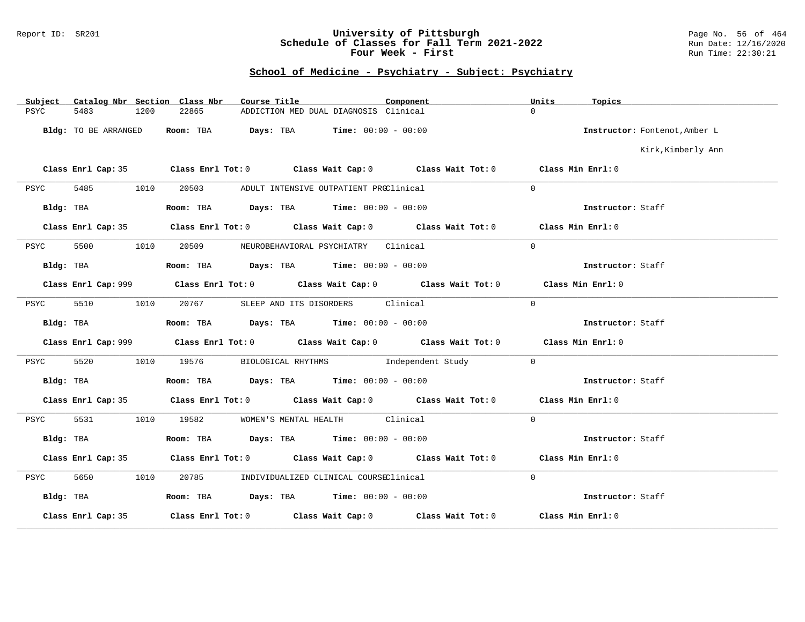### Report ID: SR201 **University of Pittsburgh** Page No. 56 of 464 **Schedule of Classes for Fall Term 2021-2022** Run Date: 12/16/2020 **Four Week - First** Run Time: 22:30:21

| Catalog Nbr Section Class Nbr<br>Subject | Course Title                                                                                       | Component | Units<br>Topics               |
|------------------------------------------|----------------------------------------------------------------------------------------------------|-----------|-------------------------------|
| 5483<br>PSYC<br>1200                     | 22865<br>ADDICTION MED DUAL DIAGNOSIS Clinical                                                     |           | $\Omega$                      |
| Bldg: TO BE ARRANGED                     | Room: TBA<br><b>Days:</b> TBA <b>Time:</b> $00:00 - 00:00$                                         |           | Instructor: Fontenot, Amber L |
|                                          |                                                                                                    |           | Kirk, Kimberly Ann            |
|                                          | Class Enrl Cap: 35 Class Enrl Tot: 0 Class Wait Cap: 0 Class Wait Tot: 0 Class Min Enrl: 0         |           |                               |
| 5485<br>1010<br>PSYC                     | 20503<br>ADULT INTENSIVE OUTPATIENT PROClinical                                                    |           | $\Omega$                      |
| Bldg: TBA                                | Room: TBA $Days:$ TBA $Time: 00:00 - 00:00$                                                        |           | Instructor: Staff             |
|                                          | Class Enrl Cap: 35 Class Enrl Tot: 0 Class Wait Cap: 0 Class Wait Tot: 0 Class Min Enrl: 0         |           |                               |
| 5500<br>PSYC                             | NEUROBEHAVIORAL PSYCHIATRY Clinical<br>1010<br>20509                                               |           | $\Omega$                      |
| Bldg: TBA                                | Room: TBA $Days:$ TBA $Time: 00:00 - 00:00$                                                        |           | Instructor: Staff             |
|                                          | Class Enrl Cap: 999 Class Enrl Tot: 0 Class Wait Cap: 0 Class Wait Tot: 0                          |           | Class Min Enrl: 0             |
| 5510<br>1010<br>PSYC                     | 20767<br>SLEEP AND ITS DISORDERS Clinical                                                          |           | $\Omega$                      |
| Bldg: TBA                                | Room: TBA $Days:$ TBA $Time: 00:00 - 00:00$                                                        |           | Instructor: Staff             |
|                                          | Class Enrl Cap: 999 Class Enrl Tot: 0 Class Wait Cap: 0 Class Wait Tot: 0                          |           | Class Min Enrl: 0             |
| 5520<br>1010<br>PSYC                     | BIOLOGICAL RHYTHMS Independent Study<br>19576                                                      |           | $\Omega$                      |
| Bldg: TBA                                | Room: TBA $\rule{1em}{0.15mm}$ Days: TBA $\rule{1.5mm}{0.15mm}$ Time: $00:00 - 00:00$              |           | Instructor: Staff             |
| Class Enrl Cap: 35                       | Class Enrl Tot: 0 $\qquad$ Class Wait Cap: 0 $\qquad$ Class Wait Tot: 0 $\qquad$ Class Min Enrl: 0 |           |                               |
| 5531<br>1010<br>PSYC                     | WOMEN'S MENTAL HEALTH Clinical<br>19582                                                            |           | $\Omega$                      |
| Bldg: TBA                                | Room: TBA $Days: TBA$ Time: $00:00 - 00:00$                                                        |           | Instructor: Staff             |
| Class Enrl Cap: 35                       | Class Enrl Tot: 0 $\qquad$ Class Wait Cap: 0 $\qquad$ Class Wait Tot: 0 $\qquad$ Class Min Enrl: 0 |           |                               |
| 5650<br>1010<br>PSYC                     | 20785 MDIVIDUALIZED CLINICAL COURSEClinical                                                        |           | $\Omega$                      |
| Bldg: TBA                                | Room: TBA $Days:$ TBA $Time: 00:00 - 00:00$                                                        |           | Instructor: Staff             |
| Class Enrl Cap: 35                       | Class Enrl Tot: $0$ Class Wait Cap: $0$ Class Wait Tot: $0$                                        |           | Class Min Enrl: 0             |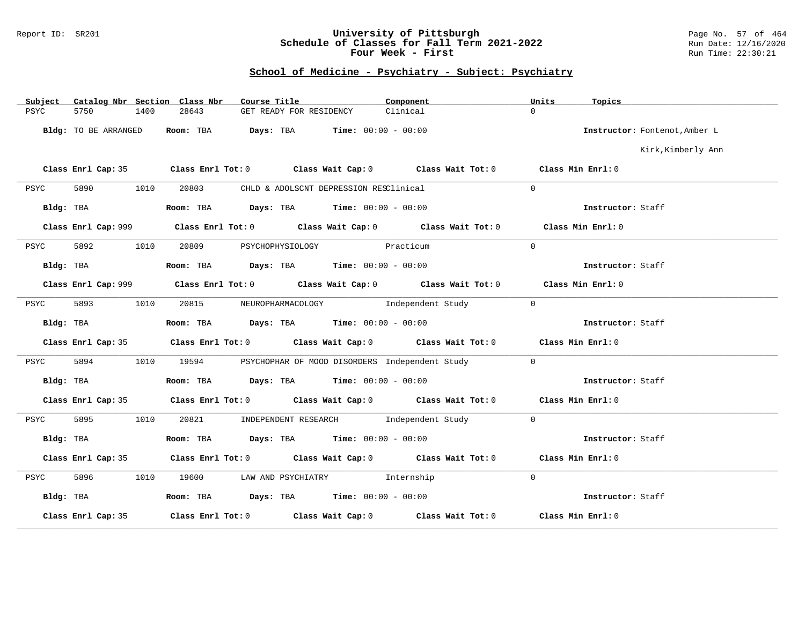### Report ID: SR201 **University of Pittsburgh** Page No. 57 of 464 **Schedule of Classes for Fall Term 2021-2022** Run Date: 12/16/2020 **Four Week - First** Run Time: 22:30:21

| Subject   |                      |      | Catalog Nbr Section Class Nbr | Course Title                                  |                                        | Component                                                                                          | Units          | Topics                        |
|-----------|----------------------|------|-------------------------------|-----------------------------------------------|----------------------------------------|----------------------------------------------------------------------------------------------------|----------------|-------------------------------|
| PSYC      | 5750                 | 1400 | 28643                         | GET READY FOR RESIDENCY                       |                                        | Clinical                                                                                           | $\Omega$       |                               |
|           | Bldg: TO BE ARRANGED |      | Room: TBA                     | <b>Days:</b> TBA <b>Time:</b> $00:00 - 00:00$ |                                        |                                                                                                    |                | Instructor: Fontenot, Amber L |
|           |                      |      |                               |                                               |                                        |                                                                                                    |                | Kirk, Kimberly Ann            |
|           |                      |      |                               |                                               |                                        | Class Enrl Cap: 35 Class Enrl Tot: 0 Class Wait Cap: 0 Class Wait Tot: 0 Class Min Enrl: 0         |                |                               |
| PSYC      | 5890                 | 1010 | 20803                         |                                               | CHLD & ADOLSCNT DEPRESSION RESClinical |                                                                                                    | $\Omega$       |                               |
|           | Bldg: TBA            |      |                               | Room: TBA $Days:$ TBA $Time: 00:00 - 00:00$   |                                        |                                                                                                    |                | Instructor: Staff             |
|           |                      |      |                               |                                               |                                        | Class Enrl Cap: 999 Class Enrl Tot: 0 Class Wait Cap: 0 Class Wait Tot: 0                          |                | Class Min Enrl: 0             |
| PSYC      | 5892                 | 1010 | 20809                         |                                               | PSYCHOPHYSIOLOGY Practicum             |                                                                                                    | $\Omega$       |                               |
|           | Bldg: TBA            |      |                               | Room: TBA $Days:$ TBA $Time: 00:00 - 00:00$   |                                        |                                                                                                    |                | Instructor: Staff             |
|           |                      |      |                               |                                               |                                        | Class Enrl Cap: 999 Class Enrl Tot: 0 Class Wait Cap: 0 Class Wait Tot: 0                          |                | Class Min Enrl: 0             |
| PSYC      | 5893                 | 1010 |                               |                                               |                                        | 20815 NEUROPHARMACOLOGY Independent Study                                                          | $\overline{0}$ |                               |
|           | Bldg: TBA            |      |                               | Room: TBA $Days:$ TBA $Time: 00:00 - 00:00$   |                                        |                                                                                                    |                | Instructor: Staff             |
|           | Class Enrl Cap: 35   |      |                               |                                               |                                        | Class Enrl Tot: 0 Class Wait Cap: 0 Class Wait Tot: 0 Class Min Enrl: 0                            |                |                               |
| PSYC      | 5894                 | 1010 |                               |                                               |                                        | 19594 PSYCHOPHAR OF MOOD DISORDERS Independent Study                                               | $\Omega$       |                               |
| Bldg: TBA |                      |      |                               | Room: TBA Days: TBA Time: $00:00 - 00:00$     |                                        |                                                                                                    |                | Instructor: Staff             |
|           |                      |      |                               |                                               |                                        | Class Enrl Cap: 35 Class Enrl Tot: 0 Class Wait Cap: 0 Class Wait Tot: 0 Class Min Enrl: 0         |                |                               |
| PSYC      | 5895                 | 1010 |                               | 20821 INDEPENDENT RESEARCH Independent Study  |                                        |                                                                                                    | $\mathbf{0}$   |                               |
| Bldg: TBA |                      |      |                               | Room: TBA $Days: TBA$ Time: $00:00 - 00:00$   |                                        |                                                                                                    |                | Instructor: Staff             |
|           | Class Enrl Cap: 35   |      |                               |                                               |                                        | Class Enrl Tot: 0 $\qquad$ Class Wait Cap: 0 $\qquad$ Class Wait Tot: 0 $\qquad$ Class Min Enrl: 0 |                |                               |
| PSYC      | 5896                 | 1010 |                               | 19600 LAW AND PSYCHIATRY Thternship           |                                        |                                                                                                    | $\Omega$       |                               |
| Bldg: TBA |                      |      |                               | Room: TBA $Days:$ TBA $Time: 00:00 - 00:00$   |                                        |                                                                                                    |                | Instructor: Staff             |
|           | Class Enrl Cap: 35   |      |                               |                                               |                                        | Class Enrl Tot: $0$ Class Wait Cap: $0$ Class Wait Tot: $0$                                        |                | Class Min Enrl: 0             |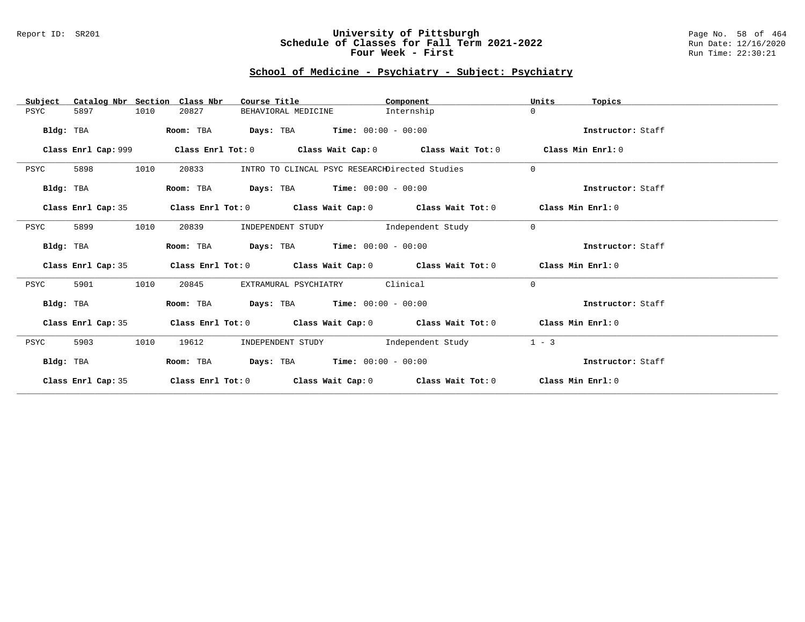#### Report ID: SR201 **University of Pittsburgh** Page No. 58 of 464 **Schedule of Classes for Fall Term 2021-2022** Run Date: 12/16/2020 **Four Week - First** Run Time: 22:30:21

| Catalog Nbr Section Class Nbr<br>Subject | Course Title                                                                    | Component  | Units<br>Topics   |
|------------------------------------------|---------------------------------------------------------------------------------|------------|-------------------|
| 5897<br>1010<br>PSYC                     | 20827<br>BEHAVIORAL MEDICINE                                                    | Internship | $\Omega$          |
| Bldg: TBA                                | <b>Days:</b> TBA <b>Time:</b> $00:00 - 00:00$<br>Room: TBA                      |            | Instructor: Staff |
| Class Enrl Cap: 999                      | Class Enrl Tot: $0$ Class Wait Cap: $0$ Class Wait Tot: $0$ Class Min Enrl: $0$ |            |                   |
| 1010<br>5898<br>PSYC                     | 20833<br>INTRO TO CLINCAL PSYC RESEARCHDirected Studies                         |            | $\mathbf{0}$      |
| Bldg: TBA                                | <b>Days:</b> TBA <b>Time:</b> $00:00 - 00:00$<br>Room: TBA                      |            | Instructor: Staff |
| Class Enrl Cap: 35                       | Class Enrl Tot: $0$ Class Wait Cap: $0$ Class Wait Tot: $0$ Class Min Enrl: $0$ |            |                   |
| 5899<br>1010<br>PSYC                     | INDEPENDENT STUDY 1ndependent Study<br>20839                                    |            | $\Omega$          |
| Bldg: TBA                                | <b>Days:</b> TBA <b>Time:</b> $00:00 - 00:00$<br>Room: TBA                      |            | Instructor: Staff |
| Class Enrl Cap: 35                       | Class Enrl Tot: $0$ Class Wait Cap: $0$ Class Wait Tot: $0$ Class Min Enrl: $0$ |            |                   |
| 1010<br>5901<br>PSYC                     | EXTRAMURAL PSYCHIATRY Clinical<br>20845                                         |            | $\Omega$          |
| Bldg: TBA                                | Room: TBA Days: TBA Time: $00:00 - 00:00$                                       |            | Instructor: Staff |
| Class Enrl Cap: 35                       | Class Enrl Tot: $0$ Class Wait Cap: $0$ Class Wait Tot: $0$ Class Min Enrl: $0$ |            |                   |
| 1010<br>5903<br>PSYC                     | INDEPENDENT STUDY                Independent Study<br>19612                     |            | $1 - 3$           |
| Bldg: TBA                                | <b>Days:</b> TBA <b>Time:</b> $00:00 - 00:00$<br>Room: TBA                      |            | Instructor: Staff |
| Class Enrl Cap: 35                       | Class Enrl Tot: $0$ Class Wait Cap: $0$ Class Wait Tot: $0$ Class Min Enrl: $0$ |            |                   |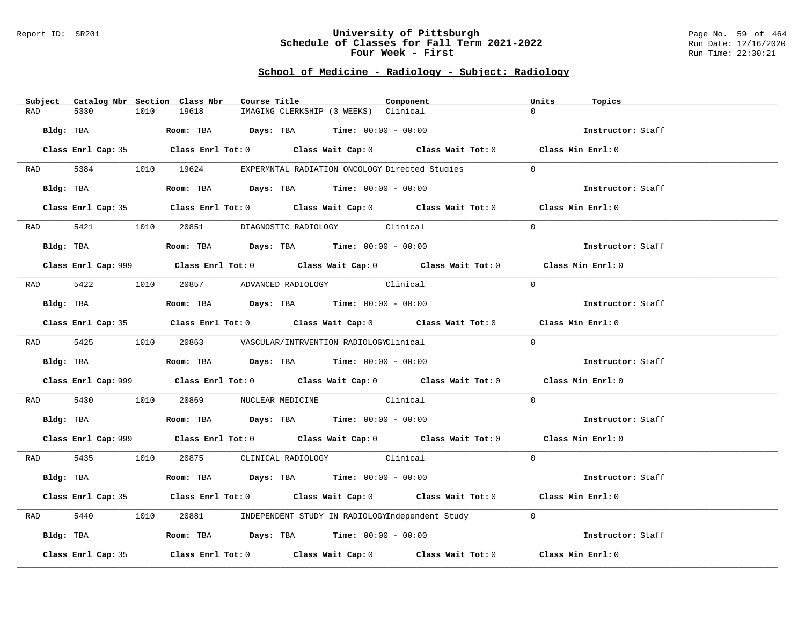#### Report ID: SR201 **University of Pittsburgh** Page No. 59 of 464 **Schedule of Classes for Fall Term 2021-2022** Run Date: 12/16/2020 **Four Week - First** Run Time: 22:30:21

# **School of Medicine - Radiology - Subject: Radiology**

| Subject Catalog Nbr Section Class Nbr | Course Title                                                                                | Component | Units<br>Topics   |
|---------------------------------------|---------------------------------------------------------------------------------------------|-----------|-------------------|
| 5330<br>1010<br>RAD                   | 19618<br>IMAGING CLERKSHIP (3 WEEKS) Clinical                                               |           | $\cap$            |
| Bldg: TBA                             | Room: TBA $Days:$ TBA $Time: 00:00 - 00:00$                                                 |           | Instructor: Staff |
|                                       | Class Enrl Cap: 35 Class Enrl Tot: 0 Class Wait Cap: 0 Class Wait Tot: 0 Class Min Enrl: 0  |           |                   |
|                                       | RAD 5384 1010 19624 EXPERMNTAL RADIATION ONCOLOGY Directed Studies                          |           | $\Omega$          |
| Bldg: TBA                             | Room: TBA $Days:$ TBA $Time: 00:00 - 00:00$                                                 |           | Instructor: Staff |
|                                       | Class Enrl Cap: 35 Class Enrl Tot: 0 Class Wait Cap: 0 Class Wait Tot: 0 Class Min Enrl: 0  |           |                   |
|                                       | RAD 5421 1010 20851 DIAGNOSTIC RADIOLOGY Clinical                                           |           | $\Omega$          |
|                                       | Bldg: TBA                    Room: TBA         Days: TBA         Time: $00:00 - 00:00$      |           | Instructor: Staff |
|                                       | Class Enrl Cap: 999 Class Enrl Tot: 0 Class Wait Cap: 0 Class Wait Tot: 0 Class Min Enrl: 0 |           |                   |
|                                       | RAD 5422 1010 20857 ADVANCED RADIOLOGY Clinical                                             |           | $\Omega$          |
| Bldg: TBA                             | Room: TBA $Days:$ TBA $Time: 00:00 - 00:00$                                                 |           | Instructor: Staff |
|                                       | Class Enrl Cap: 35 Class Enrl Tot: 0 Class Wait Cap: 0 Class Wait Tot: 0 Class Min Enrl: 0  |           |                   |
|                                       | RAD 5425 1010 20863 VASCULAR/INTRVENTION RADIOLOGYClinical                                  |           | $\Omega$          |
|                                       | Bldg: TBA                   Room: TBA         Days: TBA        Time: $00:00 - 00:00$        |           | Instructor: Staff |
|                                       | Class Enrl Cap: 999 Class Enrl Tot: 0 Class Wait Cap: 0 Class Wait Tot: 0 Class Min Enrl: 0 |           |                   |
| 5430<br>RAD                           | 1010 20869 NUCLEAR MEDICINE Clinical                                                        |           | $\Omega$          |
|                                       | Bldg: TBA                   Room: TBA        Days: TBA         Time: $00:00 - 00:00$        |           | Instructor: Staff |
|                                       | Class Enrl Cap: 999 Class Enrl Tot: 0 Class Wait Cap: 0 Class Wait Tot: 0 Class Min Enrl: 0 |           |                   |
|                                       | RAD 5435 1010 20875 CLINICAL RADIOLOGY Clinical                                             |           | $\Omega$          |
| Bldg: TBA                             | Room: TBA $\rule{1em}{0.15mm}$ Days: TBA Time: $00:00 - 00:00$                              |           | Instructor: Staff |
|                                       | Class Enrl Cap: 35 Class Enrl Tot: 0 Class Wait Cap: 0 Class Wait Tot: 0 Class Min Enrl: 0  |           |                   |
| 5440<br>1010<br>RAD                   | 20881      INDEPENDENT STUDY IN RADIOLOGYIndependent Study                                  |           | $\Omega$          |
|                                       | Bldg: TBA                    Room: TBA         Days: TBA         Time: 00:00 - 00:00        |           | Instructor: Staff |
| Class Enrl Cap: 35                    | Class Enrl Tot: $0$ Class Wait Cap: $0$ Class Wait Tot: $0$                                 |           | Class Min Enrl: 0 |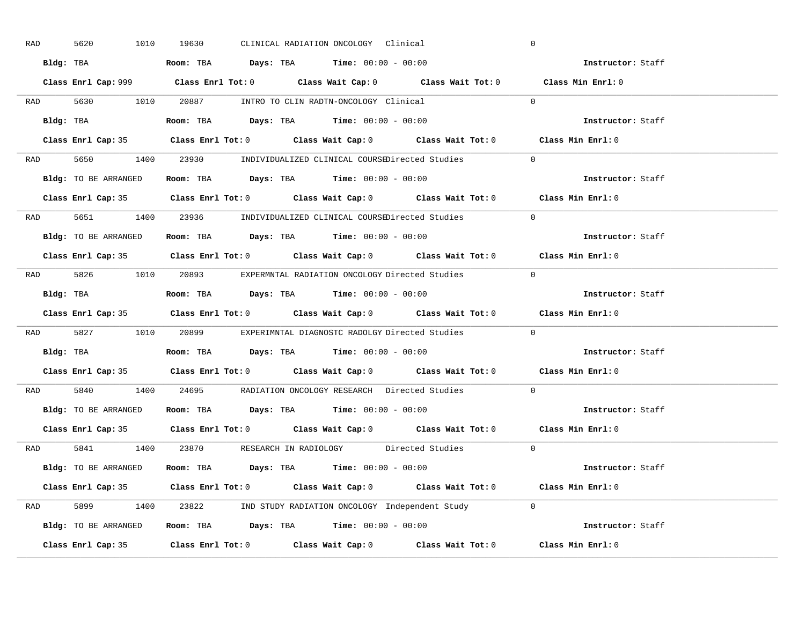| RAD | 5620      | 1010                 | 19630 |  | CLINICAL RADIATION ONCOLOGY Clinical                                                       |                                                                                            | $\overline{0}$                                                                              |  |
|-----|-----------|----------------------|-------|--|--------------------------------------------------------------------------------------------|--------------------------------------------------------------------------------------------|---------------------------------------------------------------------------------------------|--|
|     |           |                      |       |  | Bldg: TBA                   Room: TBA         Days: TBA        Time: 00:00 - 00:00         |                                                                                            | Instructor: Staff                                                                           |  |
|     |           |                      |       |  |                                                                                            |                                                                                            | Class Enrl Cap: 999 Class Enrl Tot: 0 Class Wait Cap: 0 Class Wait Tot: 0 Class Min Enrl: 0 |  |
|     |           |                      |       |  | RAD 5630 1010 20887 INTRO TO CLIN RADTN-ONCOLOGY Clinical                                  |                                                                                            | $\overline{0}$                                                                              |  |
|     |           | Bldg: TBA            |       |  | Room: TBA $Days:$ TBA $Time: 00:00 - 00:00$                                                |                                                                                            | Instructor: Staff                                                                           |  |
|     |           |                      |       |  |                                                                                            |                                                                                            | Class Enrl Cap: 35 Class Enrl Tot: 0 Class Wait Cap: 0 Class Wait Tot: 0 Class Min Enrl: 0  |  |
|     |           |                      |       |  |                                                                                            | RAD 5650 1400 23930 INDIVIDUALIZED CLINICAL COURSEDirected Studies                         | $\overline{0}$                                                                              |  |
|     |           |                      |       |  | <b>Bldg:</b> TO BE ARRANGED <b>Room:</b> TBA <b>Days:</b> TBA <b>Time:</b> $00:00 - 00:00$ |                                                                                            | Instructor: Staff                                                                           |  |
|     |           |                      |       |  |                                                                                            |                                                                                            | Class Enrl Cap: 35 Class Enrl Tot: 0 Class Wait Cap: 0 Class Wait Tot: 0 Class Min Enrl: 0  |  |
|     |           |                      |       |  |                                                                                            | RAD 5651 1400 23936 INDIVIDUALIZED CLINICAL COURSEDirected Studies                         | $\Omega$                                                                                    |  |
|     |           |                      |       |  | Bldg: TO BE ARRANGED Room: TBA Days: TBA Time: 00:00 - 00:00                               |                                                                                            | Instructor: Staff                                                                           |  |
|     |           |                      |       |  |                                                                                            |                                                                                            | Class Enrl Cap: 35 Class Enrl Tot: 0 Class Wait Cap: 0 Class Wait Tot: 0 Class Min Enrl: 0  |  |
|     |           |                      |       |  |                                                                                            | RAD 5826 1010 20893 EXPERMNTAL RADIATION ONCOLOGY Directed Studies 0                       |                                                                                             |  |
|     |           |                      |       |  | Bldg: TBA                   Room: TBA         Days: TBA        Time: 00:00 - 00:00         |                                                                                            | Instructor: Staff                                                                           |  |
|     |           |                      |       |  |                                                                                            |                                                                                            |                                                                                             |  |
|     |           |                      |       |  |                                                                                            |                                                                                            | Class Enrl Cap: 35 Class Enrl Tot: 0 Class Wait Cap: 0 Class Wait Tot: 0 Class Min Enrl: 0  |  |
|     |           |                      |       |  |                                                                                            | RAD 5827 1010 20899 EXPERIMNTAL DIAGNOSTC RADOLGY Directed Studies                         | $\Omega$                                                                                    |  |
|     | Bldg: TBA |                      |       |  | <b>Room:</b> TBA $\rule{1em}{0.15mm}$ <b>Days:</b> TBA <b>Time:</b> $00:00 - 00:00$        |                                                                                            | Instructor: Staff                                                                           |  |
|     |           |                      |       |  |                                                                                            |                                                                                            | Class Enrl Cap: 35 Class Enrl Tot: 0 Class Wait Cap: 0 Class Wait Tot: 0 Class Min Enrl: 0  |  |
| RAD |           |                      |       |  |                                                                                            | 5840 1400 24695 RADIATION ONCOLOGY RESEARCH Directed Studies                               | $\Omega$                                                                                    |  |
|     |           |                      |       |  | Bldg: TO BE ARRANGED ROOM: TBA Days: TBA Time: 00:00 - 00:00                               |                                                                                            | Instructor: Staff                                                                           |  |
|     |           | Class Enrl Cap: 35   |       |  |                                                                                            |                                                                                            | Class Enrl Tot: $0$ Class Wait Cap: $0$ Class Wait Tot: $0$ Class Min Enrl: $0$             |  |
|     |           |                      |       |  |                                                                                            | RAD 5841 1400 23870 RESEARCH IN RADIOLOGY Directed Studies 0                               |                                                                                             |  |
|     |           | Bldg: TO BE ARRANGED |       |  | Room: TBA $Days:$ TBA $Time: 00:00 - 00:00$                                                |                                                                                            | Instructor: Staff                                                                           |  |
|     |           |                      |       |  |                                                                                            |                                                                                            | Class Enrl Cap: 35 Class Enrl Tot: 0 Class Wait Cap: 0 Class Wait Tot: 0 Class Min Enrl: 0  |  |
|     |           |                      |       |  |                                                                                            | RAD 5899 1400 23822 IND STUDY RADIATION ONCOLOGY Independent Study 0                       |                                                                                             |  |
|     |           |                      |       |  |                                                                                            | <b>Bldg:</b> TO BE ARRANGED <b>ROOM:</b> TBA <b>Days:</b> TBA <b>Time:</b> $00:00 - 00:00$ | Instructor: Staff                                                                           |  |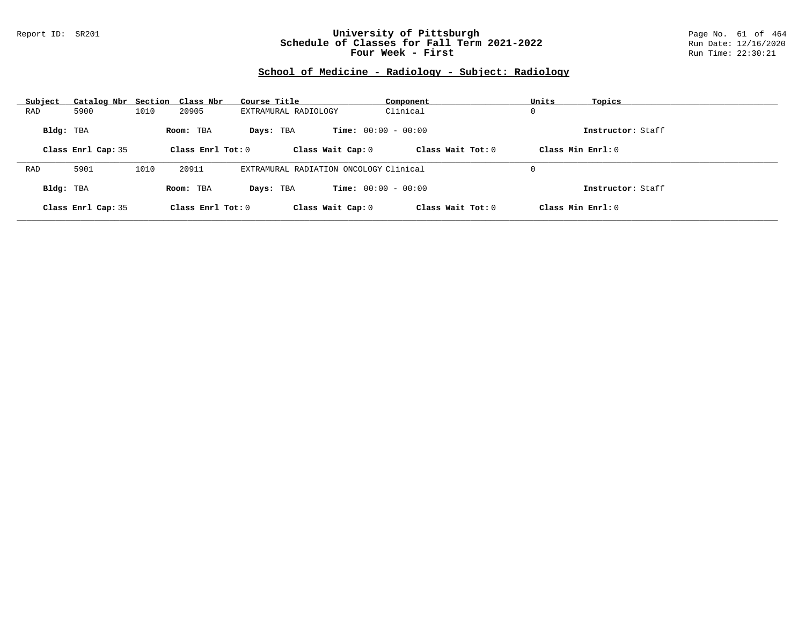#### Report ID: SR201 **University of Pittsburgh** Page No. 61 of 464 **Schedule of Classes for Fall Term 2021-2022** Run Date: 12/16/2020 **Four Week - First** Run Time: 22:30:21

# **School of Medicine - Radiology - Subject: Radiology**

| Subject   | Catalog Nbr Section Class Nbr |      |                     | Course Title                           | Component                    | Units<br>Topics   |  |
|-----------|-------------------------------|------|---------------------|----------------------------------------|------------------------------|-------------------|--|
| RAD       | 5900                          | 1010 | 20905               | EXTRAMURAL RADIOLOGY                   | Clinical                     | 0                 |  |
| Bldg: TBA |                               |      | Room: TBA           | Days: TBA                              | <b>Time:</b> $00:00 - 00:00$ | Instructor: Staff |  |
|           | Class Enrl Cap: 35            |      | Class Enrl Tot: $0$ | Class Wait Cap: 0                      | Class Wait $Tot: 0$          | Class Min Enrl: 0 |  |
|           |                               |      |                     |                                        |                              |                   |  |
| RAD       | 5901                          | 1010 | 20911               | EXTRAMURAL RADIATION ONCOLOGY Clinical |                              | 0                 |  |
| Bldg: TBA |                               |      | Room: TBA           | Days: TBA                              | <b>Time:</b> $00:00 - 00:00$ | Instructor: Staff |  |
|           | Class Enrl Cap: 35            |      | Class Enrl Tot: 0   | Class Wait Cap: 0                      | Class Wait Tot: 0            | Class Min Enrl: 0 |  |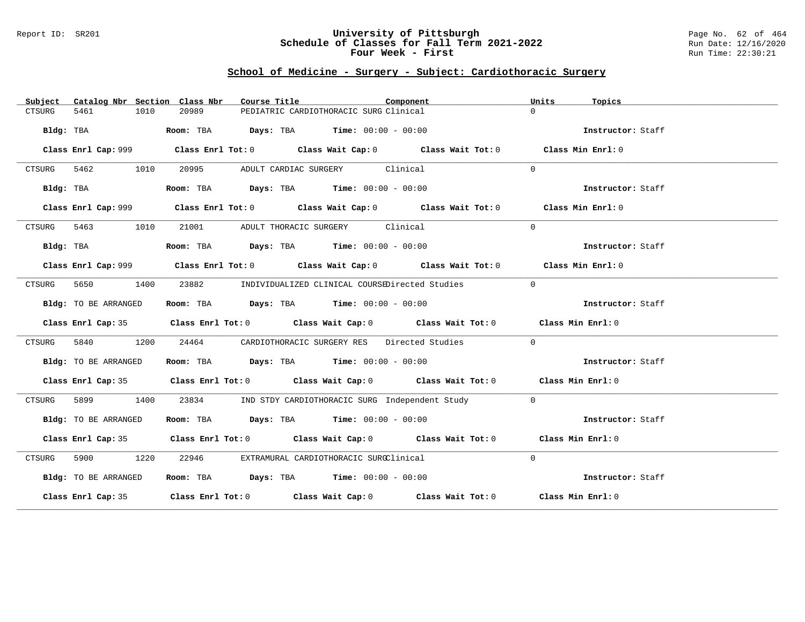### Report ID: SR201 **University of Pittsburgh** Page No. 62 of 464 **Schedule of Classes for Fall Term 2021-2022** Run Date: 12/16/2020 **Four Week - First** Run Time: 22:30:21

# **School of Medicine - Surgery - Subject: Cardiothoracic Surgery**

| Catalog Nbr Section Class Nbr<br>Subject | Component<br>Course Title                                                                   | Units<br>Topics   |
|------------------------------------------|---------------------------------------------------------------------------------------------|-------------------|
| 5461<br>1010<br>CTSURG                   | 20989<br>PEDIATRIC CARDIOTHORACIC SURG Clinical                                             | $\Omega$          |
| Bldg: TBA                                | Room: TBA $Days:$ TBA $Time: 00:00 - 00:00$                                                 | Instructor: Staff |
|                                          | Class Enrl Cap: 999 Class Enrl Tot: 0 Class Wait Cap: 0 Class Wait Tot: 0 Class Min Enrl: 0 |                   |
| CTSURG<br>5462 546<br>1010               | 20995<br>ADULT CARDIAC SURGERY Clinical                                                     | $\Omega$          |
| Bldg: TBA                                | Room: TBA $Days:$ TBA $Time: 00:00 - 00:00$                                                 | Instructor: Staff |
|                                          | Class Enrl Cap: 999 Class Enrl Tot: 0 Class Wait Cap: 0 Class Wait Tot: 0 Class Min Enrl: 0 |                   |
| CTSURG 5463<br>1010                      | 21001 ADULT THORACIC SURGERY Clinical                                                       | $\Omega$          |
| Bldg: TBA                                | Room: TBA $Days:$ TBA $Time: 00:00 - 00:00$                                                 | Instructor: Staff |
|                                          | Class Enrl Cap: 999 Class Enrl Tot: 0 Class Wait Cap: 0 Class Wait Tot: 0 Class Min Enrl: 0 |                   |
| 5650<br>1400<br>CTSURG                   | 23882 INDIVIDUALIZED CLINICAL COURSEDirected Studies                                        | $\Omega$          |
| Bldg: TO BE ARRANGED                     | Room: TBA $Days:$ TBA $Time: 00:00 - 00:00$                                                 | Instructor: Staff |
|                                          | Class Enrl Cap: 35 Class Enrl Tot: 0 Class Wait Cap: 0 Class Wait Tot: 0 Class Min Enrl: 0  |                   |
| 5840<br>1200<br>CTSURG                   | CARDIOTHORACIC SURGERY RES Directed Studies<br>24464                                        | $\Omega$          |
| Bldg: TO BE ARRANGED                     | Room: TBA $Days:$ TBA $Time: 00:00 - 00:00$                                                 | Instructor: Staff |
|                                          | Class Enrl Cap: 35 Class Enrl Tot: 0 Class Wait Cap: 0 Class Wait Tot: 0 Class Min Enrl: 0  |                   |
| 5899 1400<br>CTSURG                      | 23834<br>IND STDY CARDIOTHORACIC SURG Independent Study                                     | $\Omega$          |
| Bldg: TO BE ARRANGED                     | Room: TBA $Days:$ TBA $Time: 00:00 - 00:00$                                                 | Instructor: Staff |
|                                          | Class Enrl Cap: 35 Class Enrl Tot: 0 Class Wait Cap: 0 Class Wait Tot: 0 Class Min Enrl: 0  |                   |
| CTSURG<br>5900 1220                      | 22946<br>EXTRAMURAL CARDIOTHORACIC SURGClinical                                             | $\Omega$          |
| Bldg: TO BE ARRANGED                     | Room: TBA $Days: TBA$ Time: $00:00 - 00:00$                                                 | Instructor: Staff |
|                                          | Class Enrl Cap: 35 Class Enrl Tot: 0 Class Wait Cap: 0 Class Wait Tot: 0 Class Min Enrl: 0  |                   |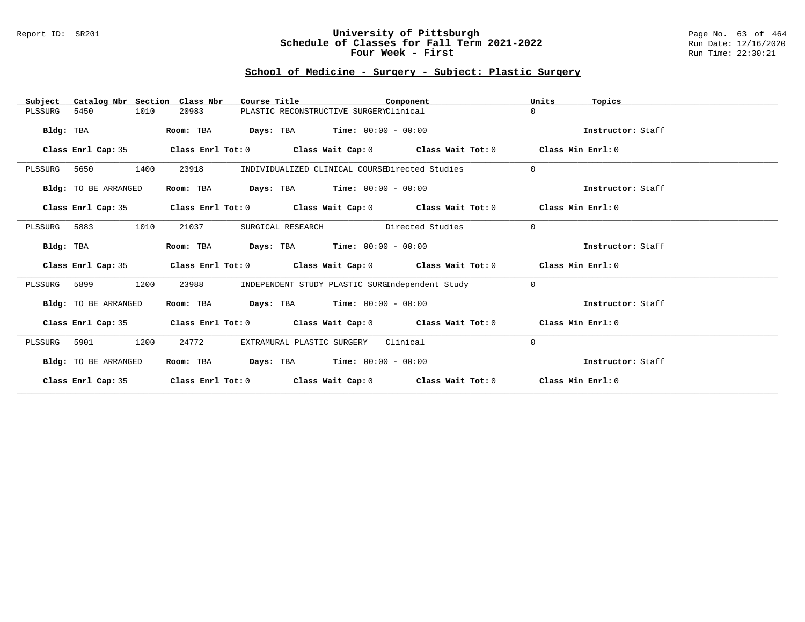#### Report ID: SR201 **University of Pittsburgh** Page No. 63 of 464 **Schedule of Classes for Fall Term 2021-2022** Run Date: 12/16/2020 **Four Week - First** Run Time: 22:30:21

# **School of Medicine - Surgery - Subject: Plastic Surgery**

| Catalog Nbr Section Class Nbr<br>Subject | Course Title                                                                    | Component                                       | Units<br>Topics   |
|------------------------------------------|---------------------------------------------------------------------------------|-------------------------------------------------|-------------------|
| 5450<br>1010<br>PLSSURG                  | PLASTIC RECONSTRUCTIVE SURGERYClinical<br>20983                                 |                                                 | $\Omega$          |
| Bldg: TBA                                | <b>Days:</b> TBA <b>Time:</b> $00:00 - 00:00$<br>Room: TBA                      |                                                 | Instructor: Staff |
| Class Enrl Cap: 35                       | Class Enrl Tot: $0$ Class Wait Cap: $0$ Class Wait Tot: $0$                     |                                                 | Class Min Enrl: 0 |
| 1400<br>PLSSURG 5650                     | 23918                                                                           | INDIVIDUALIZED CLINICAL COURSEDirected Studies  | $\Omega$          |
| Bldg: TO BE ARRANGED                     | Room: TBA<br><b>Days:</b> TBA <b>Time:</b> $00:00 - 00:00$                      |                                                 | Instructor: Staff |
| Class Enrl Cap: 35                       | Class Enrl Tot: $0$ Class Wait Cap: $0$ Class Wait Tot: $0$ Class Min Enrl: $0$ |                                                 |                   |
| PLSSURG 5883<br>1010                     | 21037<br>SURGICAL RESEARCH                                                      | Directed Studies                                | $\Omega$          |
| Bldg: TBA                                | <b>Days:</b> TBA <b>Time:</b> $00:00 - 00:00$<br>Room: TBA                      |                                                 | Instructor: Staff |
| Class Enrl Cap: 35                       | Class Enrl Tot: $0$ Class Wait Cap: $0$ Class Wait Tot: $0$ Class Min Enrl: $0$ |                                                 |                   |
| 1200<br>PLSSURG 5899                     | 23988                                                                           | INDEPENDENT STUDY PLASTIC SURGIndependent Study | $\Omega$          |
| Bldg: TO BE ARRANGED                     | Room: TBA $Days:$ TBA $Time: 00:00 - 00:00$                                     |                                                 | Instructor: Staff |
| Class Enrl Cap: 35                       | Class Enrl Tot: $0$ Class Wait Cap: $0$ Class Wait Tot: $0$ Class Min Enrl: $0$ |                                                 |                   |
| 1200<br>5901<br>PLSSURG                  | 24772<br>EXTRAMURAL PLASTIC SURGERY                                             | Clinical                                        | $\mathbf 0$       |
| Bldg: TO BE ARRANGED                     | $\texttt{Days:}$ TBA $\texttt{Time:}$ 00:00 - 00:00<br>Room: TBA                |                                                 | Instructor: Staff |
| Class Enrl Cap: 35                       | Class Enrl Tot: $0$ Class Wait Cap: $0$ Class Wait Tot: $0$                     |                                                 | Class Min Enrl: 0 |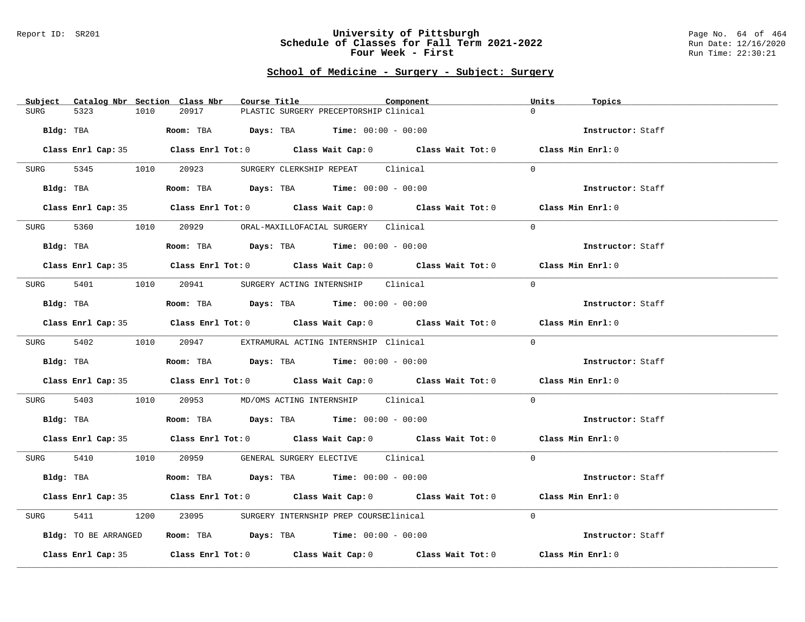#### Report ID: SR201 **University of Pittsburgh** Page No. 64 of 464 **Schedule of Classes for Fall Term 2021-2022** Run Date: 12/16/2020 **Four Week - First** Run Time: 22:30:21

### **School of Medicine - Surgery - Subject: Surgery**

| Subject Catalog Nbr Section Class Nbr | Course Title<br>Component                                                                  | Units<br>Topics   |
|---------------------------------------|--------------------------------------------------------------------------------------------|-------------------|
| 5323<br>1010<br><b>SURG</b>           | 20917<br>PLASTIC SURGERY PRECEPTORSHIP Clinical                                            | $\Omega$          |
| Bldg: TBA                             | <b>Room:</b> TBA $Days: TBA$ <b>Time:</b> $00:00 - 00:00$                                  | Instructor: Staff |
|                                       |                                                                                            |                   |
|                                       | Class Enrl Cap: 35 Class Enrl Tot: 0 Class Wait Cap: 0 Class Wait Tot: 0 Class Min Enrl: 0 |                   |
| 5345 1010 20923<br>SURG               | SURGERY CLERKSHIP REPEAT Clinical                                                          | $\Omega$          |
| Bldg: TBA                             | Room: TBA $Days:$ TBA $Time: 00:00 - 00:00$                                                | Instructor: Staff |
|                                       | Class Enrl Cap: 35 Class Enrl Tot: 0 Class Wait Cap: 0 Class Wait Tot: 0 Class Min Enrl: 0 |                   |
|                                       | SURG 5360 1010 20929 ORAL-MAXILLOFACIAL SURGERY Clinical                                   | $\Omega$          |
| Bldg: TBA                             | Room: TBA $Days:$ TBA $Time: 00:00 - 00:00$                                                | Instructor: Staff |
|                                       | Class Enrl Cap: 35 Class Enrl Tot: 0 Class Wait Cap: 0 Class Wait Tot: 0 Class Min Enrl: 0 |                   |
|                                       | SURG 5401 1010 20941 SURGERY ACTING INTERNSHIP Clinical                                    | $\Omega$          |
| Bldg: TBA                             | Room: TBA $Days:$ TBA $Time: 00:00 - 00:00$                                                | Instructor: Staff |
|                                       | Class Enrl Cap: 35 Class Enrl Tot: 0 Class Wait Cap: 0 Class Wait Tot: 0 Class Min Enrl: 0 |                   |
|                                       | SURG 5402 1010 20947 EXTRAMURAL ACTING INTERNSHIP Clinical                                 | $\Omega$          |
| Bldg: TBA                             | Room: TBA $\rule{1em}{0.15mm}$ Days: TBA Time: $00:00 - 00:00$                             | Instructor: Staff |
|                                       | Class Enrl Cap: 35 Class Enrl Tot: 0 Class Wait Cap: 0 Class Wait Tot: 0 Class Min Enrl: 0 |                   |
| 5403<br>SURG                          | 1010  20953  MD/OMS ACTING INTERNSHIP  Clinical                                            | $\Omega$          |
|                                       | Bldg: TBA                    Room: TBA         Days: TBA         Time: $00:00 - 00:00$     | Instructor: Staff |
|                                       | Class Enrl Cap: 35 Class Enrl Tot: 0 Class Wait Cap: 0 Class Wait Tot: 0 Class Min Enrl: 0 |                   |
|                                       | SURG 5410 1010 20959 GENERAL SURGERY ELECTIVE Clinical                                     | $\Omega$          |
| Bldg: TBA                             | Room: TBA $Days:$ TBA $Time: 00:00 - 00:00$                                                | Instructor: Staff |
|                                       | Class Enrl Cap: 35 Class Enrl Tot: 0 Class Wait Cap: 0 Class Wait Tot: 0 Class Min Enrl: 0 |                   |
| 5411<br>SURG                          | 1200 23095 SURGERY INTERNSHIP PREP COURSEClinical                                          | $\Omega$          |
| Bldg: TO BE ARRANGED                  | Room: TBA $\rule{1em}{0.15mm}$ Days: TBA Time: $00:00 - 00:00$                             | Instructor: Staff |
|                                       | Class Enrl Cap: 35 Class Enrl Tot: 0 Class Wait Cap: 0 Class Wait Tot: 0                   | Class Min Enrl: 0 |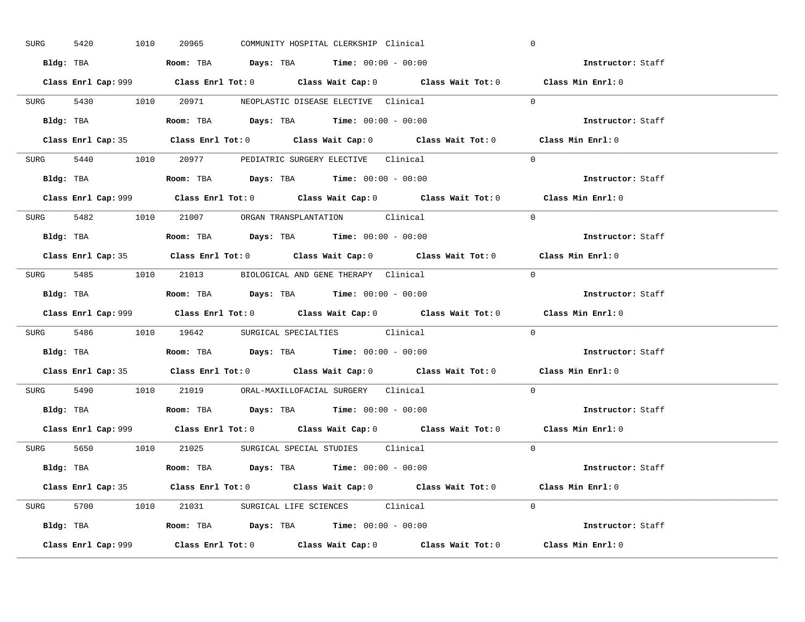| SURG | 5420      | 1010      | 20965                                                                                  |  | COMMUNITY HOSPITAL CLERKSHIP Clinical | $\overline{0}$                                                                              |  |
|------|-----------|-----------|----------------------------------------------------------------------------------------|--|---------------------------------------|---------------------------------------------------------------------------------------------|--|
|      |           |           | Bldg: TBA                   Room: TBA         Days: TBA         Time: $00:00 - 00:00$  |  |                                       | Instructor: Staff                                                                           |  |
|      |           |           |                                                                                        |  |                                       | Class Enrl Cap: 999 Class Enrl Tot: 0 Class Wait Cap: 0 Class Wait Tot: 0 Class Min Enrl: 0 |  |
|      |           |           | SURG 5430 1010 20971 NEOPLASTIC DISEASE ELECTIVE Clinical                              |  |                                       | $\Omega$                                                                                    |  |
|      |           | Bldg: TBA | Room: TBA $Days:$ TBA $Time: 00:00 - 00:00$                                            |  |                                       | Instructor: Staff                                                                           |  |
|      |           |           |                                                                                        |  |                                       | Class Enrl Cap: 35 Class Enrl Tot: 0 Class Wait Cap: 0 Class Wait Tot: 0 Class Min Enrl: 0  |  |
|      |           |           | SURG 5440 1010 20977 PEDIATRIC SURGERY ELECTIVE Clinical                               |  |                                       | $\Omega$                                                                                    |  |
|      |           |           | Bldg: TBA                   Room: TBA         Days: TBA         Time: $00:00 - 00:00$  |  |                                       | Instructor: Staff                                                                           |  |
|      |           |           |                                                                                        |  |                                       | Class Min Enrl: 0                                                                           |  |
|      |           |           | SURG 5482 1010 21007 ORGAN TRANSPLANTATION Clinical                                    |  |                                       | $\Omega$                                                                                    |  |
|      |           |           | Bldg: TBA                    Room: TBA         Days: TBA         Time: $00:00 - 00:00$ |  |                                       | Instructor: Staff                                                                           |  |
|      |           |           |                                                                                        |  |                                       | Class Enrl Cap: 35 Class Enrl Tot: 0 Class Wait Cap: 0 Class Wait Tot: 0 Class Min Enrl: 0  |  |
|      |           |           | SURG 5485 1010 21013 BIOLOGICAL AND GENE THERAPY Clinical                              |  |                                       | $\overline{0}$                                                                              |  |
|      |           |           |                                                                                        |  |                                       | Instructor: Staff                                                                           |  |
|      |           |           |                                                                                        |  |                                       | Class Enrl Cap: 999 Class Enrl Tot: 0 Class Wait Cap: 0 Class Wait Tot: 0 Class Min Enrl: 0 |  |
|      |           |           | SURG 5486 1010 19642 SURGICAL SPECIALTIES Clinical                                     |  |                                       | $\Omega$                                                                                    |  |
|      | Bldg: TBA |           |                                                                                        |  |                                       |                                                                                             |  |
|      |           |           | Room: TBA $\rule{1em}{0.15mm}$ Days: TBA Time: $00:00 - 00:00$                         |  |                                       | <b>Instructor:</b> Staff                                                                    |  |
|      |           |           |                                                                                        |  |                                       | Class Enrl Cap: 35 Class Enrl Tot: 0 Class Wait Cap: 0 Class Wait Tot: 0 Class Min Enrl: 0  |  |
|      |           |           | SURG 5490 1010 21019 ORAL-MAXILLOFACIAL_SURGERY Clinical                               |  |                                       | $\Omega$                                                                                    |  |
|      |           |           | Bldg: TBA                   Room: TBA         Days: TBA         Time: 00:00 - 00:00    |  |                                       | Instructor: Staff                                                                           |  |
|      |           |           |                                                                                        |  |                                       | Class Enrl Cap: 999 Class Enrl Tot: 0 Class Wait Cap: 0 Class Wait Tot: 0 Class Min Enrl: 0 |  |
|      |           |           | SURG 5650 1010 21025 SURGICAL SPECIAL STUDIES Clinical                                 |  |                                       | $\Omega$                                                                                    |  |
|      |           |           | Bldg: TBA                   Room: TBA        Days: TBA        Time: $00:00 - 00:00$    |  |                                       | Instructor: Staff                                                                           |  |
|      |           |           |                                                                                        |  |                                       | Class Enrl Cap: 35 Class Enrl Tot: 0 Class Wait Cap: 0 Class Wait Tot: 0 Class Min Enrl: 0  |  |
|      |           |           | SURG 5700 1010 21031 SURGICAL LIFE SCIENCES Clinical                                   |  |                                       | $\Omega$                                                                                    |  |
|      |           |           | Bldg: TBA                    Room: TBA         Days: TBA        Time: $00:00 - 00:00$  |  |                                       | Instructor: Staff                                                                           |  |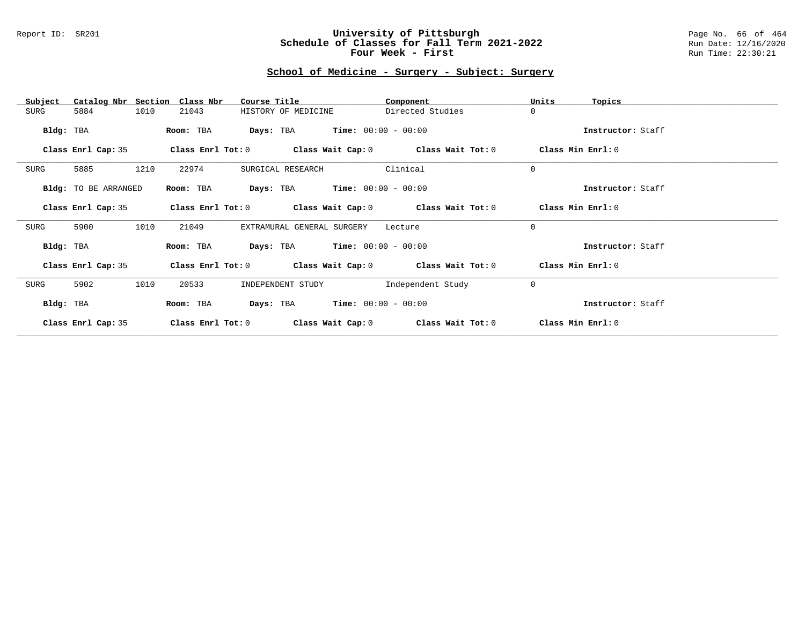#### Report ID: SR201 **University of Pittsburgh** Page No. 66 of 464 **Schedule of Classes for Fall Term 2021-2022** Run Date: 12/16/2020 **Four Week - First** Run Time: 22:30:21

# **School of Medicine - Surgery - Subject: Surgery**

| Catalog Nbr Section<br>Subject | Class Nbr<br>Course Title                                   | Component         | Units<br>Topics   |
|--------------------------------|-------------------------------------------------------------|-------------------|-------------------|
| 1010<br>SURG<br>5884           | HISTORY OF MEDICINE<br>21043                                | Directed Studies  | $\Omega$          |
|                                |                                                             |                   |                   |
| Bldg: TBA                      | $Time: 00:00 - 00:00$<br>Room: TBA<br>Days: TBA             |                   | Instructor: Staff |
| Class Enrl Cap: 35             | Class Enrl Tot: $0$ Class Wait Cap: $0$ Class Wait Tot: $0$ |                   | Class Min Enrl: 0 |
| 1210<br>SURG<br>5885           | 22974<br>SURGICAL RESEARCH                                  | Clinical          | $\Omega$          |
|                                |                                                             |                   |                   |
| Bldg: TO BE ARRANGED           | <b>Days:</b> TBA <b>Time:</b> $00:00 - 00:00$<br>Room: TBA  |                   | Instructor: Staff |
| Class Enrl Cap: 35             | Class Enrl Tot: $0$ Class Wait Cap: $0$ Class Wait Tot: $0$ |                   | Class Min Enrl: 0 |
|                                |                                                             |                   |                   |
| 1010<br>SURG<br>5900           | EXTRAMURAL GENERAL SURGERY<br>21049                         | Lecture           | $\Omega$          |
| Bldg: TBA                      | <b>Days:</b> TBA <b>Time:</b> $00:00 - 00:00$<br>Room: TBA  |                   | Instructor: Staff |
| Class Enrl Cap: 35             | Class Enrl Tot: $0$ Class Wait Cap: $0$ Class Wait Tot: $0$ |                   | Class Min Enrl: 0 |
| 1010<br>SURG<br>5902           | 20533<br>INDEPENDENT STUDY                                  | Independent Study | $\mathbf 0$       |
| Bldg: TBA                      | $Time: 00:00 - 00:00$<br>Days: TBA<br>Room: TBA             |                   | Instructor: Staff |
| Class Enrl Cap: 35             | Class Enrl Tot: 0<br>Class Wait Cap: 0                      | Class Wait Tot: 0 | Class Min Enrl: 0 |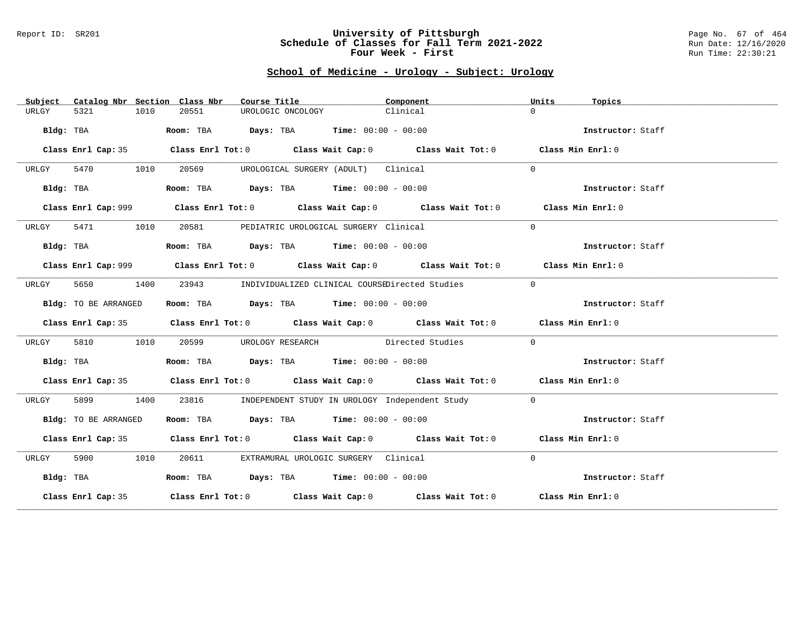#### Report ID: SR201 **University of Pittsburgh** Page No. 67 of 464 **Schedule of Classes for Fall Term 2021-2022** Run Date: 12/16/2020 **Four Week - First** Run Time: 22:30:21

# **School of Medicine - Urology - Subject: Urology**

| Subject   |                      |      | Catalog Nbr Section Class Nbr | Course Title                                                                            |                                     | Component                                                                                   | Units     | Topics            |
|-----------|----------------------|------|-------------------------------|-----------------------------------------------------------------------------------------|-------------------------------------|---------------------------------------------------------------------------------------------|-----------|-------------------|
| URLGY     | 5321                 | 1010 | 20551                         | UROLOGIC ONCOLOGY                                                                       |                                     | Clinical                                                                                    | $\Omega$  |                   |
|           | Bldg: TBA            |      |                               | Room: TBA $Days:$ TBA $Time: 00:00 - 00:00$                                             |                                     |                                                                                             |           | Instructor: Staff |
|           |                      |      |                               |                                                                                         |                                     | Class Enrl Cap: 35 Class Enrl Tot: 0 Class Wait Cap: 0 Class Wait Tot: 0 Class Min Enrl: 0  |           |                   |
| URLGY     | 5470 1010            |      | 20569                         |                                                                                         | UROLOGICAL SURGERY (ADULT) Clinical |                                                                                             | $\Omega$  |                   |
|           | Bldg: TBA            |      |                               | Room: TBA $Days:$ TBA $Time: 00:00 - 00:00$                                             |                                     |                                                                                             |           | Instructor: Staff |
|           |                      |      |                               |                                                                                         |                                     | Class Enrl Cap: 999 Class Enrl Tot: 0 Class Wait Cap: 0 Class Wait Tot: 0 Class Min Enrl: 0 |           |                   |
| URLGY     | 5471 1010            |      |                               | 20581 PEDIATRIC UROLOGICAL SURGERY Clinical                                             |                                     |                                                                                             | $\Omega$  |                   |
|           | Bldg: TBA            |      |                               | Room: TBA $\rule{1em}{0.15mm}$ Days: TBA Time: $00:00 - 00:00$                          |                                     |                                                                                             |           | Instructor: Staff |
|           |                      |      |                               |                                                                                         |                                     | Class Enrl Cap: 999 Class Enrl Tot: 0 Class Wait Cap: 0 Class Wait Tot: 0 Class Min Enrl: 0 |           |                   |
| URLGY     | 5650<br>1400         |      |                               |                                                                                         |                                     | 23943 INDIVIDUALIZED CLINICAL COURSEDirected Studies                                        | $\bigcap$ |                   |
|           | Bldg: TO BE ARRANGED |      |                               | Room: TBA $Days:$ TBA $Time: 00:00 - 00:00$                                             |                                     |                                                                                             |           | Instructor: Staff |
|           |                      |      |                               |                                                                                         |                                     | Class Enrl Cap: 35 Class Enrl Tot: 0 Class Wait Cap: 0 Class Wait Tot: 0 Class Min Enrl: 0  |           |                   |
| URLGY     | 5810                 | 1010 | 20599 700                     |                                                                                         |                                     | UROLOGY RESEARCH Directed Studies                                                           | $\Omega$  |                   |
|           | Bldg: TBA            |      |                               | Room: TBA $\rule{1em}{0.15mm}$ Days: TBA $\rule{1.15mm}]{0.15mm}$ Time: $00:00 - 00:00$ |                                     |                                                                                             |           | Instructor: Staff |
|           |                      |      |                               |                                                                                         |                                     | Class Enrl Cap: 35 Class Enrl Tot: 0 Class Wait Cap: 0 Class Wait Tot: 0 Class Min Enrl: 0  |           |                   |
| URLGY     | 5899                 | 1400 |                               |                                                                                         |                                     | 23816 INDEPENDENT STUDY IN UROLOGY Independent Study                                        | $\Omega$  |                   |
|           | Bldg: TO BE ARRANGED |      |                               | Room: TBA $Days:$ TBA $Time: 00:00 - 00:00$                                             |                                     |                                                                                             |           | Instructor: Staff |
|           |                      |      |                               |                                                                                         |                                     | Class Enrl Cap: 35 Class Enrl Tot: 0 Class Wait Cap: 0 Class Wait Tot: 0 Class Min Enrl: 0  |           |                   |
| URLGY     | 5900 1010            |      |                               | 20611 EXTRAMURAL UROLOGIC SURGERY Clinical                                              |                                     |                                                                                             | $\Omega$  |                   |
| Bldg: TBA |                      |      |                               | Room: TBA $Days:$ TBA Time: $00:00 - 00:00$                                             |                                     |                                                                                             |           | Instructor: Staff |
|           |                      |      |                               |                                                                                         |                                     | Class Enrl Cap: 35 Class Enrl Tot: 0 Class Wait Cap: 0 Class Wait Tot: 0 Class Min Enrl: 0  |           |                   |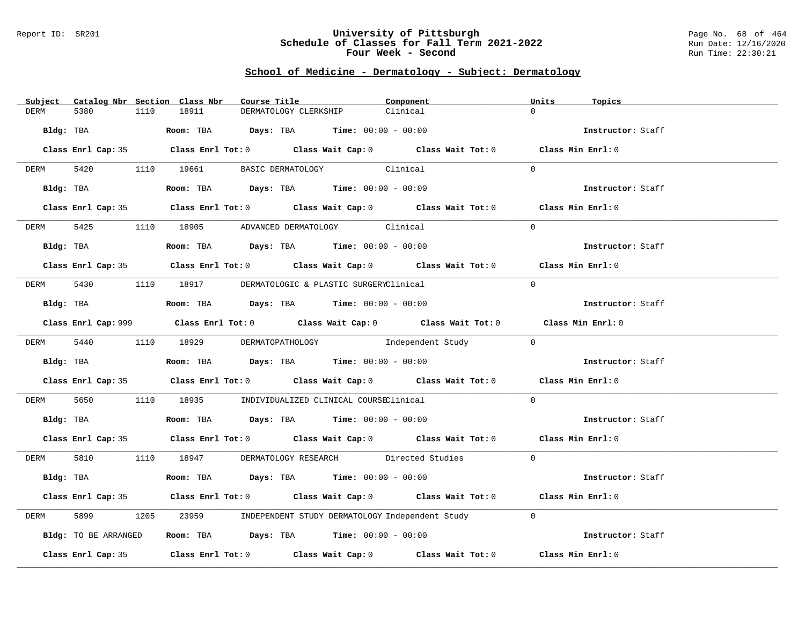#### Report ID: SR201 **University of Pittsburgh** Page No. 68 of 464 **Schedule of Classes for Fall Term 2021-2022** Run Date: 12/16/2020 **Four Week - Second Run Time: 22:30:21**

### **School of Medicine - Dermatology - Subject: Dermatology**

|             | Subject Catalog Nbr Section Class Nbr |      |       | Course Title |                                                                                                | Component                                                                                   | Units    | Topics            |
|-------------|---------------------------------------|------|-------|--------------|------------------------------------------------------------------------------------------------|---------------------------------------------------------------------------------------------|----------|-------------------|
| DERM        | 5380                                  | 1110 | 18911 |              | DERMATOLOGY CLERKSHIP                                                                          | Clinical                                                                                    | $\cap$   |                   |
| Bldg: TBA   |                                       |      |       |              | <b>Room:</b> TBA $Days: TBA$ <b>Time:</b> $00:00 - 00:00$                                      |                                                                                             |          | Instructor: Staff |
|             |                                       |      |       |              |                                                                                                | Class Enrl Cap: 35 Class Enrl Tot: 0 Class Wait Cap: 0 Class Wait Tot: 0 Class Min Enrl: 0  |          |                   |
| <b>DERM</b> |                                       |      |       |              | 5420 1110 19661 BASIC DERMATOLOGY Clinical                                                     |                                                                                             | $\Omega$ |                   |
|             | Bldg: TBA                             |      |       |              | Room: TBA $Days:$ TBA $Time: 00:00 - 00:00$                                                    |                                                                                             |          | Instructor: Staff |
|             |                                       |      |       |              |                                                                                                | Class Enrl Cap: 35 Class Enrl Tot: 0 Class Wait Cap: 0 Class Wait Tot: 0 Class Min Enrl: 0  |          |                   |
|             |                                       |      |       |              | DERM 5425 1110 18905 ADVANCED DERMATOLOGY Clinical                                             |                                                                                             | $\Omega$ |                   |
|             | Bldg: TBA                             |      |       |              | Room: TBA $Days:$ TBA $Time: 00:00 - 00:00$                                                    |                                                                                             |          | Instructor: Staff |
|             |                                       |      |       |              |                                                                                                | Class Enrl Cap: 35 Class Enrl Tot: 0 Class Wait Cap: 0 Class Wait Tot: 0 Class Min Enrl: 0  |          |                   |
|             |                                       |      |       |              | DERM 5430 1110 18917 DERMATOLOGIC & PLASTIC SURGERYClinical                                    |                                                                                             | $\Omega$ |                   |
|             |                                       |      |       |              | Bldg: TBA                   Room: TBA         Days: TBA         Time: $00:00 - 00:00$          |                                                                                             |          | Instructor: Staff |
|             |                                       |      |       |              |                                                                                                | Class Enrl Cap: 999 Class Enrl Tot: 0 Class Wait Cap: 0 Class Wait Tot: 0 Class Min Enrl: 0 |          |                   |
|             |                                       |      |       |              |                                                                                                | DERM 5440 1110 18929 DERMATOPATHOLOGY Independent Study 0                                   |          |                   |
|             |                                       |      |       |              | Bldg: TBA                          Room: TBA          Days: TBA          Time: $00:00 - 00:00$ |                                                                                             |          | Instructor: Staff |
|             |                                       |      |       |              |                                                                                                | Class Enrl Cap: 35 Class Enrl Tot: 0 Class Wait Cap: 0 Class Wait Tot: 0 Class Min Enrl: 0  |          |                   |
| DERM 5650   |                                       |      |       |              | 1110 18935 INDIVIDUALIZED CLINICAL COURSEClinical                                              |                                                                                             | $\Omega$ |                   |
|             |                                       |      |       |              | Bldg: TBA                    Room: TBA         Days: TBA         Time: $00:00 - 00:00$         |                                                                                             |          | Instructor: Staff |
|             |                                       |      |       |              |                                                                                                | Class Enrl Cap: 35 Class Enrl Tot: 0 Class Wait Cap: 0 Class Wait Tot: 0 Class Min Enrl: 0  |          |                   |
|             |                                       |      |       |              |                                                                                                | DERM 5810 1110 18947 DERMATOLOGY RESEARCH Directed Studies 0                                |          |                   |
|             |                                       |      |       |              | Bldg: TBA                   Room: TBA         Days: TBA        Time: 00:00 - 00:00             |                                                                                             |          | Instructor: Staff |
|             |                                       |      |       |              |                                                                                                | Class Enrl Cap: 35 Class Enrl Tot: 0 Class Wait Cap: 0 Class Wait Tot: 0 Class Min Enrl: 0  |          |                   |
| DERM        | 5899                                  |      |       |              |                                                                                                | 1205 23959 INDEPENDENT STUDY DERMATOLOGY Independent Study                                  | $\Omega$ |                   |
|             | Bldg: TO BE ARRANGED                  |      |       |              | Room: TBA $\rule{1em}{0.15mm}$ Days: TBA Time: $00:00 - 00:00$                                 |                                                                                             |          | Instructor: Staff |
|             |                                       |      |       |              |                                                                                                | Class Enrl Cap: 35 Class Enrl Tot: 0 Class Wait Cap: 0 Class Wait Tot: 0                    |          | Class Min Enrl: 0 |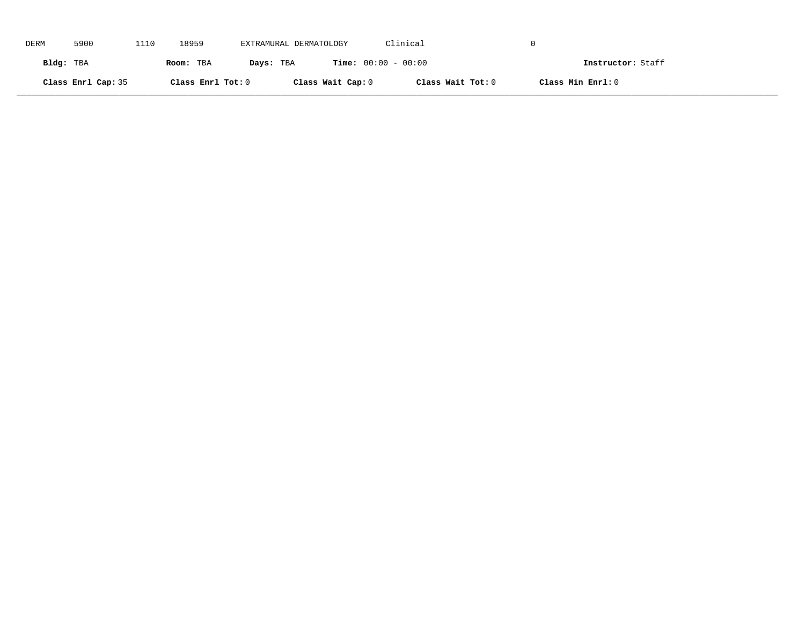| DERM      | 5900               | 1110 | 18959             | EXTRAMURAL DERMATOLOGY |                              | Clinical          |                   |
|-----------|--------------------|------|-------------------|------------------------|------------------------------|-------------------|-------------------|
| Bldg: TBA |                    |      | Room: TBA         | Days: TBA              | <b>Time:</b> $00:00 - 00:00$ |                   | Instructor: Staff |
|           | Class Enrl Cap: 35 |      | Class Enrl Tot: 0 |                        | Class Wait Cap: 0            | Class Wait Tot: 0 | Class Min Enrl: 0 |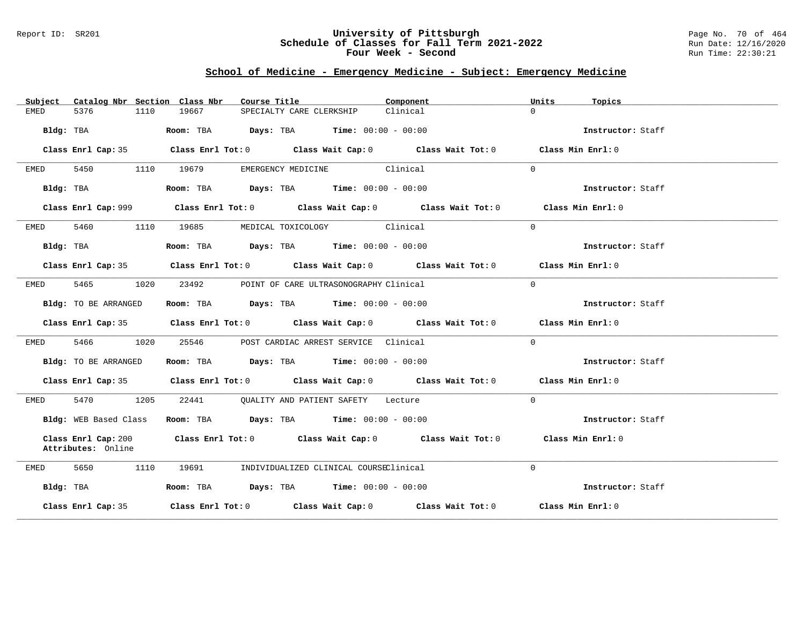#### Report ID: SR201 **University of Pittsburgh** Page No. 70 of 464 **Schedule of Classes for Fall Term 2021-2022** Run Date: 12/16/2020 **Four Week - Second Run Time: 22:30:21**

# **School of Medicine - Emergency Medicine - Subject: Emergency Medicine**

| Catalog Nbr Section Class Nbr<br>Subject  | Course Title                                                                                | Component | Units<br>Topics   |
|-------------------------------------------|---------------------------------------------------------------------------------------------|-----------|-------------------|
| 5376<br>EMED<br>1110                      | 19667<br>SPECIALTY CARE CLERKSHIP                                                           | Clinical  | $\Omega$          |
| Bldg: TBA                                 | Room: TBA $Days:$ TBA Time: $00:00 - 00:00$                                                 |           | Instructor: Staff |
| Class Enrl Cap: 35                        | Class Enrl Tot: $0$ Class Wait Cap: $0$ Class Wait Tot: $0$ Class Min Enrl: $0$             |           |                   |
| EMED<br>5450                              | EMERGENCY MEDICINE Clinical<br>1110 19679                                                   |           | $\Omega$          |
| Bldg: TBA                                 | Room: TBA $Days:$ TBA Time: $00:00 - 00:00$                                                 |           | Instructor: Staff |
|                                           | Class Enrl Cap: 999 Class Enrl Tot: 0 Class Wait Cap: 0 Class Wait Tot: 0 Class Min Enrl: 0 |           |                   |
| 5460<br>EMED                              | MEDICAL TOXICOLOGY Clinical<br>1110 19685                                                   |           | $\Omega$          |
| Bldg: TBA                                 | Room: TBA $Days:$ TBA $Time: 00:00 - 00:00$                                                 |           | Instructor: Staff |
|                                           | Class Enrl Cap: 35 Class Enrl Tot: 0 Class Wait Cap: 0 Class Wait Tot: 0 Class Min Enrl: 0  |           |                   |
| 5465<br>EMED                              | 1020<br>23492<br>POINT OF CARE ULTRASONOGRAPHY Clinical                                     |           | $\Omega$          |
| Bldg: TO BE ARRANGED                      | Room: TBA $Days:$ TBA $Time: 00:00 - 00:00$                                                 |           | Instructor: Staff |
|                                           | Class Enrl Cap: 35 Class Enrl Tot: 0 Class Wait Cap: 0 Class Wait Tot: 0 Class Min Enrl: 0  |           |                   |
| 5466 1020<br>EMED                         | 25546<br>POST CARDIAC ARREST SERVICE Clinical                                               |           | $\Omega$          |
| Bldg: TO BE ARRANGED                      | Room: TBA $Days: TBA$ Time: $00:00 - 00:00$                                                 |           | Instructor: Staff |
|                                           | Class Enrl Cap: 35 Class Enrl Tot: 0 Class Wait Cap: 0 Class Wait Tot: 0 Class Min Enrl: 0  |           |                   |
| 5470 1205<br>EMED                         | 22441 QUALITY AND PATIENT SAFETY Lecture                                                    |           | $\Omega$          |
| Bldg: WEB Based Class                     | Room: TBA $Days:$ TBA $Time: 00:00 - 00:00$                                                 |           | Instructor: Staff |
| Class Enrl Cap: 200<br>Attributes: Online | Class Enrl Tot: $0$ Class Wait Cap: $0$ Class Wait Tot: $0$                                 |           | Class Min Enrl: 0 |
| 5650<br>1110<br>EMED                      | 19691       INDIVIDUALIZED CLINICAL COURSEClinical                                          |           | $\Omega$          |
| Bldg: TBA                                 | Room: TBA $Days:$ TBA $Time: 00:00 - 00:00$                                                 |           | Instructor: Staff |
| Class Enrl Cap: 35                        | Class Enrl Tot: $0$ Class Wait Cap: $0$ Class Wait Tot: $0$ Class Min Enrl: $0$             |           |                   |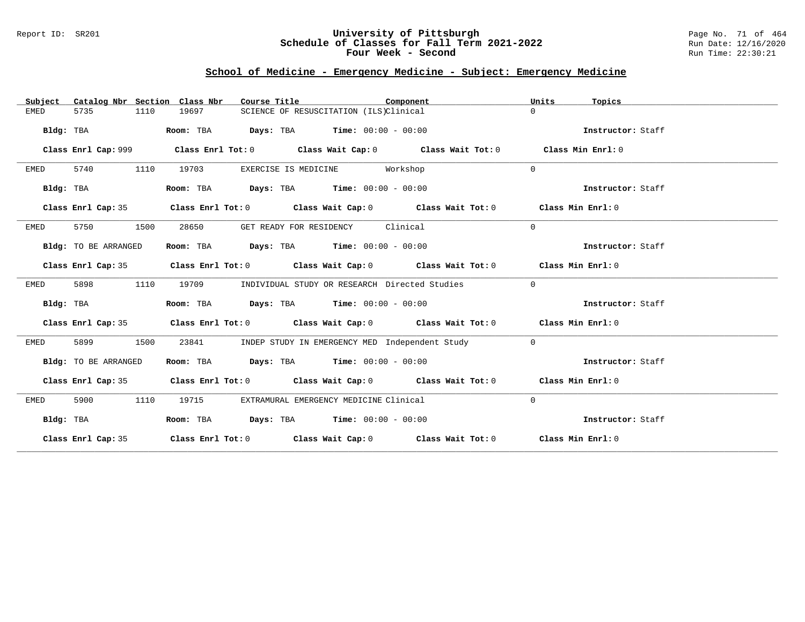### Report ID: SR201 **University of Pittsburgh** Page No. 71 of 464 **Schedule of Classes for Fall Term 2021-2022** Run Date: 12/16/2020 **Four Week - Second Run Time: 22:30:21**

# **School of Medicine - Emergency Medicine - Subject: Emergency Medicine**

| Subject     | Catalog Nbr Section Class Nbr | Course Title                                                   | Component                                                                                  | Units<br>Topics   |
|-------------|-------------------------------|----------------------------------------------------------------|--------------------------------------------------------------------------------------------|-------------------|
| <b>EMED</b> | 5735<br>1110                  | 19697                                                          | SCIENCE OF RESUSCITATION (ILS)Clinical                                                     | $\Omega$          |
| Bldg: TBA   |                               | Room: TBA                                                      | $\texttt{DayS:}$ TBA $\texttt{Time:}$ 00:00 - 00:00                                        | Instructor: Staff |
|             |                               |                                                                |                                                                                            |                   |
|             | Class Enrl Cap: 999           |                                                                | Class Enrl Tot: $0$ Class Wait Cap: $0$ Class Wait Tot: $0$                                | Class Min Enrl: 0 |
| EMED        | 5740<br>1110                  | 19703                                                          | EXERCISE IS MEDICINE Workshop                                                              | $\Omega$          |
| Bldg: TBA   |                               | Room: TBA $Days:$ TBA $Time: 00:00 - 00:00$                    |                                                                                            | Instructor: Staff |
|             | Class Enrl Cap: 35            |                                                                | Class Enrl Tot: $0$ Class Wait Cap: $0$ Class Wait Tot: $0$ Class Min Enrl: $0$            |                   |
| EMED        | 5750<br>1500                  | 28650                                                          | GET READY FOR RESIDENCY Clinical                                                           | $\mathbf{0}$      |
|             | Bldg: TO BE ARRANGED          | Room: TBA $Days:$ TBA $Time: 00:00 - 00:00$                    |                                                                                            | Instructor: Staff |
|             |                               |                                                                | Class Enrl Cap: 35 Class Enrl Tot: 0 Class Wait Cap: 0 Class Wait Tot: 0 Class Min Enrl: 0 |                   |
| EMED        | 5898<br>1110                  | 19709                                                          | INDIVIDUAL STUDY OR RESEARCH Directed Studies                                              | $\mathbf{0}$      |
| Bldg: TBA   |                               | Room: TBA $\rule{1em}{0.15mm}$ Days: TBA Time: $00:00 - 00:00$ |                                                                                            | Instructor: Staff |
|             |                               |                                                                | Class Enrl Cap: 35 Class Enrl Tot: 0 Class Wait Cap: 0 Class Wait Tot: 0 Class Min Enrl: 0 |                   |
| EMED        | 5899<br>1500                  | 23841                                                          | INDEP STUDY IN EMERGENCY MED Independent Study                                             | $\mathbf{0}$      |
|             | Bldg: TO BE ARRANGED          | Room: TBA $\rule{1em}{0.15mm}$ Days: TBA Time: $00:00 - 00:00$ |                                                                                            | Instructor: Staff |
|             |                               |                                                                | Class Enrl Cap: 35 Class Enrl Tot: 0 Class Wait Cap: 0 Class Wait Tot: 0 Class Min Enrl: 0 |                   |
| EMED        | 5900<br>1110                  | 19715                                                          | EXTRAMURAL EMERGENCY MEDICINE Clinical                                                     | $\mathbf 0$       |
|             | Bldg: TBA                     | Room: TBA Days: TBA Time: $00:00 - 00:00$                      |                                                                                            | Instructor: Staff |
|             |                               |                                                                | Class Enrl Cap: 35 Class Enrl Tot: 0 Class Wait Cap: 0 Class Wait Tot: 0 Class Min Enrl: 0 |                   |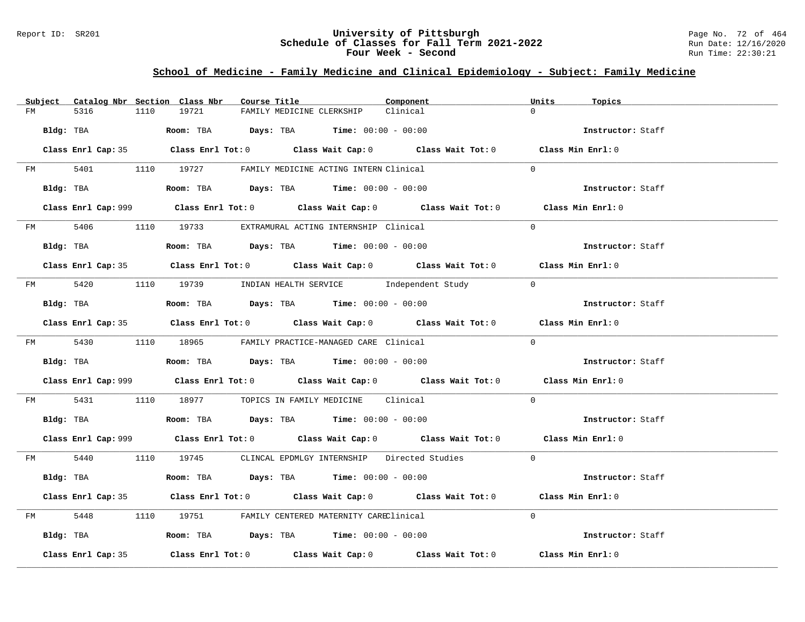#### Report ID: SR201 **University of Pittsburgh** Page No. 72 of 464 **Schedule of Classes for Fall Term 2021-2022** Run Date: 12/16/2020 **Four Week - Second Run Time: 22:30:21**

# **School of Medicine - Family Medicine and Clinical Epidemiology - Subject: Family Medicine**

|    | Subject Catalog Nbr Section Class Nbr | Course Title                                                                                     | Component | Units<br>Topics   |
|----|---------------------------------------|--------------------------------------------------------------------------------------------------|-----------|-------------------|
| FM | 5316<br>1110                          | 19721<br>FAMILY MEDICINE CLERKSHIP                                                               | Clinical  | $\Omega$          |
|    | Bldg: TBA                             | Room: TBA $Days:$ TBA $Time: 00:00 - 00:00$                                                      |           | Instructor: Staff |
|    |                                       | Class Enrl Cap: 35 Class Enrl Tot: 0 Class Wait Cap: 0 Class Wait Tot: 0 Class Min Enrl: 0       |           |                   |
|    |                                       | FM 5401 1110 19727 FAMILY MEDICINE ACTING INTERN Clinical                                        |           | $\Omega$          |
|    | Bldg: TBA                             | Room: TBA $Days:$ TBA Time: $00:00 - 00:00$                                                      |           | Instructor: Staff |
|    |                                       | Class Enrl Cap: 999 Class Enrl Tot: 0 Class Wait Cap: 0 Class Wait Tot: 0 Class Min Enrl: 0      |           |                   |
|    |                                       | FM 5406 1110 19733 EXTRAMURAL ACTING INTERNSHIP Clinical                                         |           | $\Omega$          |
|    | Bldg: TBA                             | Room: TBA $Days:$ TBA Time: $00:00 - 00:00$                                                      |           | Instructor: Staff |
|    |                                       | Class Enrl Cap: 35 Class Enrl Tot: 0 Class Wait Cap: 0 Class Wait Tot: 0 Class Min Enrl: 0       |           |                   |
|    |                                       | FM 5420 1110 19739 INDIAN HEALTH SERVICE Independent Study 0                                     |           |                   |
|    | Bldg: TBA                             | Room: TBA $Days:$ TBA Time: $00:00 - 00:00$                                                      |           | Instructor: Staff |
|    |                                       | Class Enrl Cap: 35 Class Enrl Tot: 0 Class Wait Cap: 0 Class Wait Tot: 0 Class Min Enrl: 0       |           |                   |
|    |                                       | FM 5430 1110 18965 FAMILY PRACTICE-MANAGED CARE Clinical                                         |           | $\Omega$          |
|    |                                       | Bldg: TBA                    Room: TBA         Days: TBA         Time: $00:00 - 00:00$           |           | Instructor: Staff |
|    |                                       | Class Enrl Cap: 999 Class Enrl Tot: 0 Class Wait Cap: 0 Class Wait Tot: 0 Class Min Enrl: 0      |           |                   |
|    |                                       | FM 5431 1110 18977 TOPICS IN FAMILY MEDICINE Clinical                                            |           | $\Omega$          |
|    |                                       | Bldg: TBA $\blacksquare$ Room: TBA $\blacksquare$ Days: TBA $\blacksquare$ Time: $00:00 - 00:00$ |           | Instructor: Staff |
|    |                                       | Class Enrl Cap: 999 Class Enrl Tot: 0 Class Wait Cap: 0 Class Wait Tot: 0 Class Min Enrl: 0      |           |                   |
|    |                                       | FM 5440 1110 19745 CLINCAL EPDMLGY INTERNSHIP Directed Studies 0                                 |           |                   |
|    | Bldg: TBA                             | Room: TBA $Days:$ TBA $Time:$ $00:00 - 00:00$                                                    |           | Instructor: Staff |
|    |                                       | Class Enrl Cap: 35 Class Enrl Tot: 0 Class Wait Cap: 0 Class Wait Tot: 0 Class Min Enrl: 0       |           |                   |
|    |                                       | FM 5448 1110 19751 FAMILY CENTERED MATERNITY CAREClinical                                        |           | $\Omega$          |
|    |                                       | Bldg: TBA                  Room: TBA        Days: TBA        Time: 00:00 - 00:00                 |           | Instructor: Staff |
|    | Class Enrl Cap: 35                    | Class Enrl Tot: $0$ Class Wait Cap: $0$ Class Wait Tot: $0$ Class Min Enrl: $0$                  |           |                   |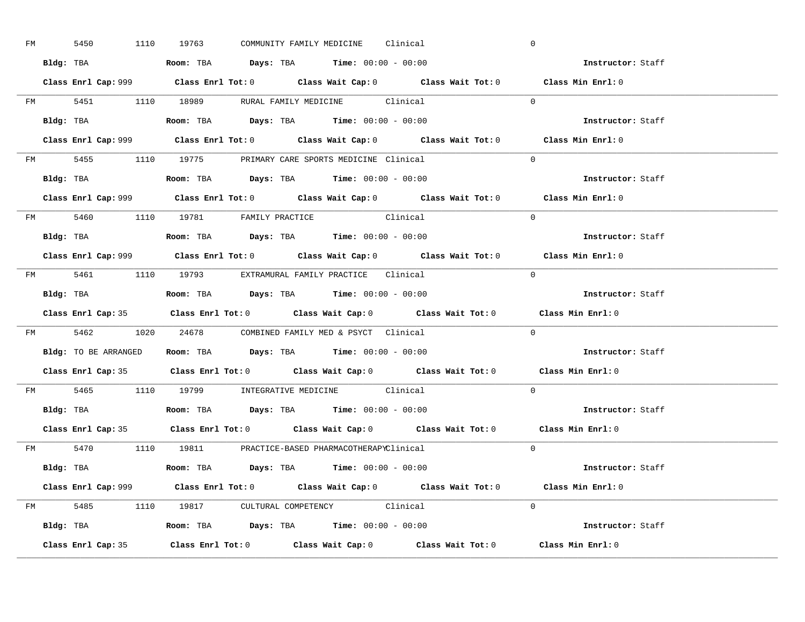| FM | 5450 |  | 1110 19763                                                                             |  | COMMUNITY FAMILY MEDICINE Clinical |                                                                                             | $\overline{0}$ |                                                                                             |  |
|----|------|--|----------------------------------------------------------------------------------------|--|------------------------------------|---------------------------------------------------------------------------------------------|----------------|---------------------------------------------------------------------------------------------|--|
|    |      |  | Bldg: TBA                   Room: TBA         Days: TBA         Time: $00:00 - 00:00$  |  |                                    |                                                                                             |                | Instructor: Staff                                                                           |  |
|    |      |  |                                                                                        |  |                                    | Class Enrl Cap: 999 Class Enrl Tot: 0 Class Wait Cap: 0 Class Wait Tot: 0 Class Min Enrl: 0 |                |                                                                                             |  |
|    |      |  |                                                                                        |  |                                    | FM 5451 1110 18989 RURAL FAMILY MEDICINE Clinical 0                                         |                |                                                                                             |  |
|    |      |  | Bldg: TBA                   Room: TBA         Days: TBA         Time: $00:00 - 00:00$  |  |                                    |                                                                                             |                | Instructor: Staff                                                                           |  |
|    |      |  |                                                                                        |  |                                    |                                                                                             |                | Class Enrl Cap: 999 Class Enrl Tot: 0 Class Wait Cap: 0 Class Wait Tot: 0 Class Min Enrl: 0 |  |
|    |      |  | FM 5455 1110 19775 PRIMARY CARE SPORTS MEDICINE Clinical                               |  |                                    |                                                                                             | $\Omega$       |                                                                                             |  |
|    |      |  | Bldg: TBA                    Room: TBA         Days: TBA        Time: $00:00 - 00:00$  |  |                                    |                                                                                             |                | Instructor: Staff                                                                           |  |
|    |      |  |                                                                                        |  |                                    |                                                                                             |                | Class Enrl Cap: 999 Class Enrl Tot: 0 Class Wait Cap: 0 Class Wait Tot: 0 Class Min Enrl: 0 |  |
|    |      |  | FM 5460 1110 19781 FAMILY PRACTICE Clinical                                            |  |                                    |                                                                                             | $\Omega$       |                                                                                             |  |
|    |      |  | Bldg: TBA<br>Room: TBA<br>Days: TBA<br>Time: $00:00 - 00:00$                           |  |                                    |                                                                                             |                | Instructor: Staff                                                                           |  |
|    |      |  |                                                                                        |  |                                    |                                                                                             |                | Class Enrl Cap: 999 Class Enrl Tot: 0 Class Wait Cap: 0 Class Wait Tot: 0 Class Min Enrl: 0 |  |
|    |      |  | FM 5461 1110 19793 EXTRAMURAL FAMILY PRACTICE Clinical                                 |  |                                    |                                                                                             | $\bigcirc$     |                                                                                             |  |
|    |      |  |                                                                                        |  |                                    |                                                                                             |                | Instructor: Staff                                                                           |  |
|    |      |  |                                                                                        |  |                                    |                                                                                             |                |                                                                                             |  |
|    |      |  |                                                                                        |  |                                    | Class Enrl Cap: 35 Class Enrl Tot: 0 Class Wait Cap: 0 Class Wait Tot: 0 Class Min Enrl: 0  |                |                                                                                             |  |
|    |      |  | FM 5462 1020 24678 COMBINED FAMILY MED & PSYCT Clinical                                |  |                                    |                                                                                             | $\overline{0}$ |                                                                                             |  |
|    |      |  | Bldg: TO BE ARRANGED ROOM: TBA Days: TBA Time: 00:00 - 00:00                           |  |                                    |                                                                                             |                | <b>Instructor:</b> Staff                                                                    |  |
|    |      |  |                                                                                        |  |                                    | Class Enrl Cap: 35 Class Enrl Tot: 0 Class Wait Cap: 0 Class Wait Tot: 0 Class Min Enrl: 0  |                |                                                                                             |  |
|    |      |  | FM 5465 1110 19799 INTEGRATIVE MEDICINE Clinical                                       |  |                                    |                                                                                             |                | $\Omega$                                                                                    |  |
|    |      |  | Bldg: TBA                    Room: TBA         Days: TBA         Time: $00:00 - 00:00$ |  |                                    |                                                                                             |                | Instructor: Staff                                                                           |  |
|    |      |  |                                                                                        |  |                                    | Class Enrl Cap: 35 Class Enrl Tot: 0 Class Wait Cap: 0 Class Wait Tot: 0 Class Min Enrl: 0  |                |                                                                                             |  |
|    |      |  | FM 5470 1110 19811 PRACTICE-BASED PHARMACOTHERAPYClinical                              |  |                                    |                                                                                             |                | $\Omega$                                                                                    |  |
|    |      |  | Bldg: TBA                   Room: TBA         Days: TBA         Time: 00:00 - 00:00    |  |                                    |                                                                                             |                | Instructor: Staff                                                                           |  |
|    |      |  |                                                                                        |  |                                    | Class Enrl Cap: 999 Class Enrl Tot: 0 Class Wait Cap: 0 Class Wait Tot: 0 Class Min Enrl: 0 |                |                                                                                             |  |
|    |      |  | FM 5485 1110 19817 CULTURAL COMPETENCY Clinical                                        |  |                                    |                                                                                             | $\Omega$       |                                                                                             |  |
|    |      |  | Bldg: TBA                    Room: TBA         Days: TBA         Time: $00:00 - 00:00$ |  |                                    |                                                                                             |                | Instructor: Staff                                                                           |  |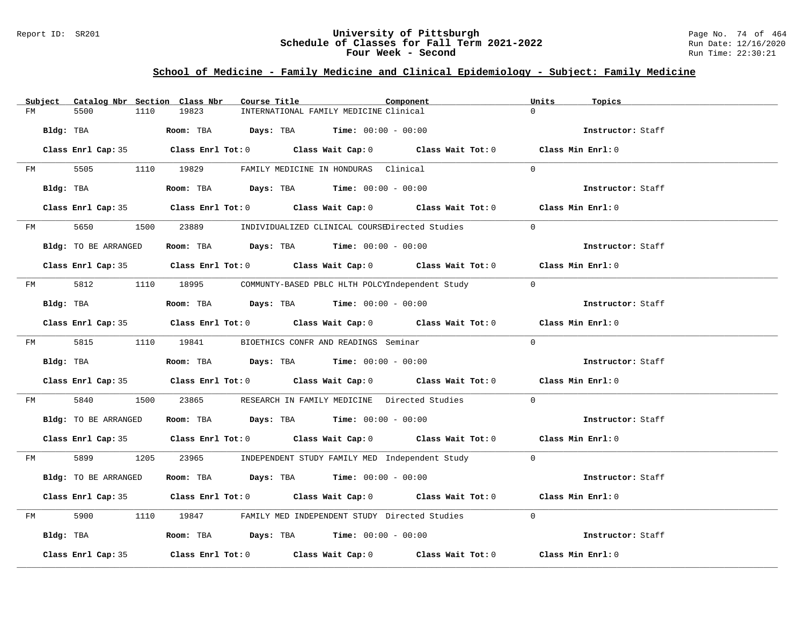#### Report ID: SR201 **University of Pittsburgh** Page No. 74 of 464 **Schedule of Classes for Fall Term 2021-2022** Run Date: 12/16/2020 **Four Week - Second Run Time: 22:30:21**

# **School of Medicine - Family Medicine and Clinical Epidemiology - Subject: Family Medicine**

| Subject |      |                      |      | Catalog Nbr Section Class Nbr | Course Title |                                                                                       | Component                                                                                  | Units          | Topics            |  |
|---------|------|----------------------|------|-------------------------------|--------------|---------------------------------------------------------------------------------------|--------------------------------------------------------------------------------------------|----------------|-------------------|--|
| FM      | 5500 |                      | 1110 | 19823                         |              | INTERNATIONAL FAMILY MEDICINE Clinical                                                |                                                                                            | $\Omega$       |                   |  |
|         |      | Bldg: TBA            |      |                               |              | Room: TBA $Days:$ TBA $Time: 00:00 - 00:00$                                           |                                                                                            |                | Instructor: Staff |  |
|         |      |                      |      |                               |              |                                                                                       | Class Enrl Cap: 35 Class Enrl Tot: 0 Class Wait Cap: 0 Class Wait Tot: 0 Class Min Enrl: 0 |                |                   |  |
|         |      |                      |      |                               |              | FM 5505 1110 19829 FAMILY MEDICINE IN HONDURAS Clinical                               |                                                                                            | $\Omega$       |                   |  |
|         |      | Bldg: TBA            |      |                               |              | Room: TBA Days: TBA Time: $00:00 - 00:00$                                             |                                                                                            |                | Instructor: Staff |  |
|         |      |                      |      |                               |              |                                                                                       | Class Enrl Cap: 35 Class Enrl Tot: 0 Class Wait Cap: 0 Class Wait Tot: 0 Class Min Enrl: 0 |                |                   |  |
|         |      |                      |      |                               |              |                                                                                       | FM 5650 1500 23889 INDIVIDUALIZED CLINICAL COURSEDirected Studies                          | $\Omega$       |                   |  |
|         |      | Bldg: TO BE ARRANGED |      |                               |              | Room: TBA $Days:$ TBA $Time:$ 00:00 - 00:00                                           |                                                                                            |                | Instructor: Staff |  |
|         |      |                      |      |                               |              |                                                                                       | Class Enrl Cap: 35 Class Enrl Tot: 0 Class Wait Cap: 0 Class Wait Tot: 0 Class Min Enrl: 0 |                |                   |  |
|         |      |                      |      |                               |              |                                                                                       | FM 5812 1110 18995 COMMUNTY-BASED PBLC HLTH POLCYIndependent Study 0                       |                |                   |  |
|         |      | Bldg: TBA            |      |                               |              | Room: TBA $\rule{1em}{0.15mm}$ Days: TBA $\rule{1.5mm}{0.15mm}$ Time: $00:00 - 00:00$ |                                                                                            |                | Instructor: Staff |  |
|         |      |                      |      |                               |              |                                                                                       | Class Enrl Cap: 35 Class Enrl Tot: 0 Class Wait Cap: 0 Class Wait Tot: 0 Class Min Enrl: 0 |                |                   |  |
|         |      |                      |      |                               |              | FM 5815 1110 19841 BIOETHICS CONFR AND READINGS Seminar                               |                                                                                            | $\Omega$       |                   |  |
|         |      | Bldg: TBA            |      |                               |              | Room: TBA $Days:$ TBA $Time:$ 00:00 - 00:00                                           |                                                                                            |                | Instructor: Staff |  |
|         |      |                      |      |                               |              |                                                                                       | Class Enrl Cap: 35 Class Enrl Tot: 0 Class Wait Cap: 0 Class Wait Tot: 0 Class Min Enrl: 0 |                |                   |  |
|         |      | FM 5840              |      |                               |              |                                                                                       | 1500 23865 RESEARCH IN FAMILY MEDICINE Directed Studies                                    | $\overline{0}$ |                   |  |
|         |      | Bldg: TO BE ARRANGED |      |                               |              | Room: TBA $Days:$ TBA $Time: 00:00 - 00:00$                                           |                                                                                            |                | Instructor: Staff |  |
|         |      |                      |      |                               |              |                                                                                       | Class Enrl Cap: 35 Class Enrl Tot: 0 Class Wait Cap: 0 Class Wait Tot: 0 Class Min Enrl: 0 |                |                   |  |
|         |      |                      |      |                               |              |                                                                                       | FM 5899 1205 23965 INDEPENDENT STUDY FAMILY MED Independent Study 0                        |                |                   |  |
|         |      | Bldg: TO BE ARRANGED |      |                               |              | Room: TBA $Days:$ TBA $Time:$ $00:00 - 00:00$                                         |                                                                                            |                | Instructor: Staff |  |
|         |      |                      |      |                               |              |                                                                                       | Class Enrl Cap: 35 Class Enrl Tot: 0 Class Wait Cap: 0 Class Wait Tot: 0 Class Min Enrl: 0 |                |                   |  |
| FM      |      |                      |      |                               |              |                                                                                       | 5900 1110 19847 FAMILY MED INDEPENDENT STUDY Directed Studies                              | $\Omega$       |                   |  |
|         |      | Bldg: TBA            |      |                               |              | <b>Room:</b> TBA $\rule{1em}{0.15mm}$ <b>Days:</b> TBA <b>Time:</b> $00:00 - 00:00$   |                                                                                            |                | Instructor: Staff |  |
|         |      | Class Enrl Cap: 35   |      |                               |              |                                                                                       | Class Enrl Tot: $0$ Class Wait Cap: $0$ Class Wait Tot: $0$ Class Min Enrl: $0$            |                |                   |  |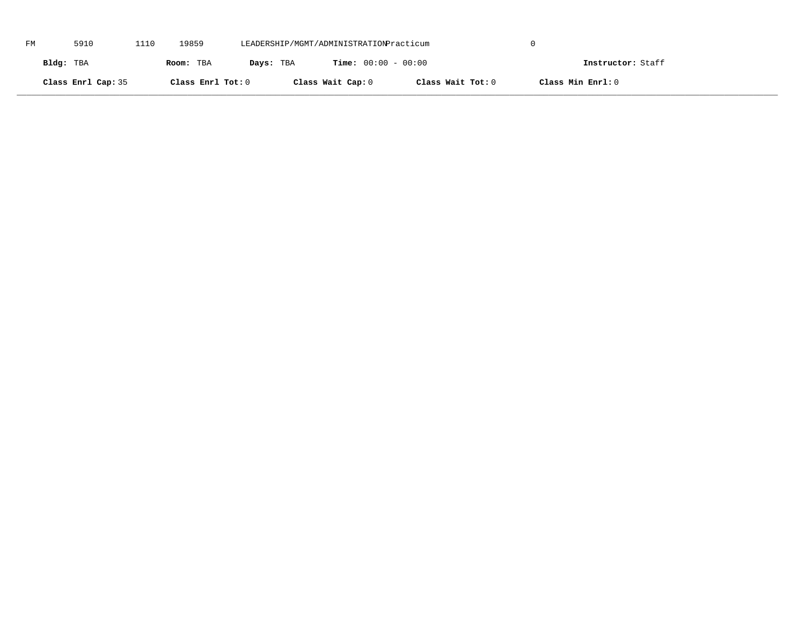| FM | 5910               | 1110 | 19859             | LEADERSHIP/MGMT/ADMINISTRATIONPracticum |                              |                   |                   |  |
|----|--------------------|------|-------------------|-----------------------------------------|------------------------------|-------------------|-------------------|--|
|    | Bldg: TBA          |      | Room: TBA         | Days: TBA                               | <b>Time:</b> $00:00 - 00:00$ |                   | Instructor: Staff |  |
|    | Class Enrl Cap: 35 |      | Class Enrl Tot: 0 |                                         | Class Wait Cap: 0            | Class Wait Tot: 0 | Class Min Enrl: 0 |  |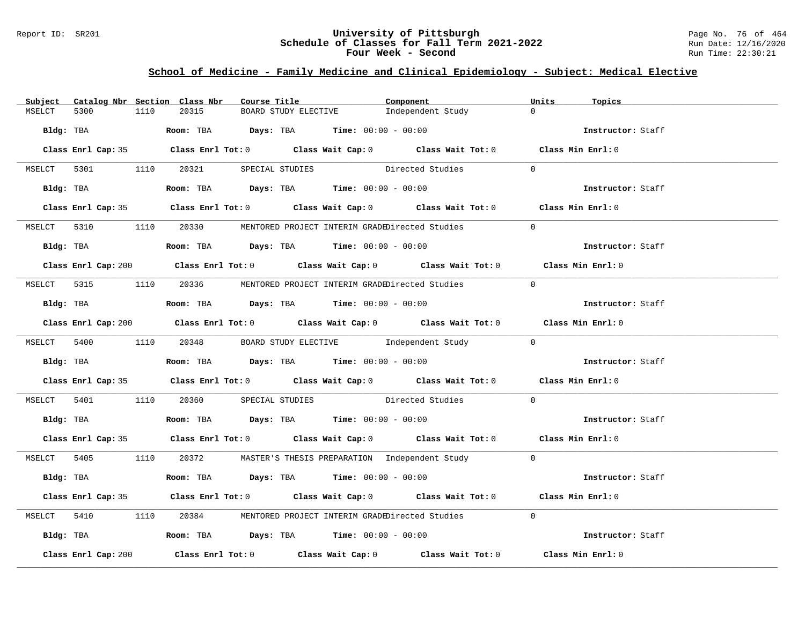### Report ID: SR201 **University of Pittsburgh** Page No. 76 of 464 **Schedule of Classes for Fall Term 2021-2022** Run Date: 12/16/2020 **Four Week - Second Run Time: 22:30:21**

# **School of Medicine - Family Medicine and Clinical Epidemiology - Subject: Medical Elective**

| Subject |                     |      | Catalog Nbr Section Class Nbr | Course Title |                                                                                                                                                                                                                                                                                                                | Component                                                                                   | Units          | Topics            |
|---------|---------------------|------|-------------------------------|--------------|----------------------------------------------------------------------------------------------------------------------------------------------------------------------------------------------------------------------------------------------------------------------------------------------------------------|---------------------------------------------------------------------------------------------|----------------|-------------------|
| MSELCT  | 5300                | 1110 | 20315                         |              | BOARD STUDY ELECTIVE                                                                                                                                                                                                                                                                                           | Independent Study                                                                           | $\Omega$       |                   |
|         | Bldg: TBA           |      |                               |              | <b>Room:</b> TBA $\rule{1em}{0.15mm}$ $\rule{1.5em}{0.15mm}$ $\rule{1.5em}{0.15mm}$ $\rule{1.5em}{0.15mm}$ $\rule{1.5em}{0.15mm}$ $\rule{1.5em}{0.15mm}$ $\rule{1.5em}{0.15mm}$ $\rule{1.5em}{0.15mm}$ $\rule{1.5em}{0.15mm}$ $\rule{1.5em}{0.15mm}$ $\rule{1.5em}{0.15mm}$ $\rule{1.5em}{0.15mm}$ $\rule{1.5$ |                                                                                             |                | Instructor: Staff |
|         |                     |      |                               |              |                                                                                                                                                                                                                                                                                                                |                                                                                             |                |                   |
|         |                     |      |                               |              |                                                                                                                                                                                                                                                                                                                | Class Enrl Cap: 35 Class Enrl Tot: 0 Class Wait Cap: 0 Class Wait Tot: 0 Class Min Enrl: 0  |                |                   |
|         |                     |      |                               |              |                                                                                                                                                                                                                                                                                                                | MSELCT 5301 1110 20321 SPECIAL STUDIES Directed Studies<br>$\sim$ 0                         |                |                   |
|         |                     |      |                               |              | $Bldq$ : TBA $R$ oom: TBA $Days$ : TBA $Time$ : $00:00 - 00:00$                                                                                                                                                                                                                                                |                                                                                             |                | Instructor: Staff |
|         |                     |      |                               |              |                                                                                                                                                                                                                                                                                                                | Class Enrl Cap: 35 Class Enrl Tot: 0 Class Wait Cap: 0 Class Wait Tot: 0 Class Min Enrl: 0  |                |                   |
|         |                     |      |                               |              |                                                                                                                                                                                                                                                                                                                | MSELCT 5310 1110 20330 MENTORED PROJECT INTERIM GRADEDirected Studies                       | $\Omega$       |                   |
|         |                     |      |                               |              | Bldg: TBA                   Room: TBA          Days: TBA         Time: $00:00 - 00:00$                                                                                                                                                                                                                         |                                                                                             |                | Instructor: Staff |
|         |                     |      |                               |              |                                                                                                                                                                                                                                                                                                                | Class Enrl Cap: 200 Class Enrl Tot: 0 Class Wait Cap: 0 Class Wait Tot: 0 Class Min Enrl: 0 |                |                   |
|         |                     |      |                               |              |                                                                                                                                                                                                                                                                                                                | MSELCT 5315 1110 20336 MENTORED PROJECT INTERIM GRADEDirected Studies                       | $\overline{0}$ |                   |
|         |                     |      |                               |              | Bldg: TBA                    Room: TBA        Days: TBA        Time: 00:00 - 00:00                                                                                                                                                                                                                             |                                                                                             |                | Instructor: Staff |
|         |                     |      |                               |              |                                                                                                                                                                                                                                                                                                                | Class Enrl Cap: 200 Class Enrl Tot: 0 Class Wait Cap: 0 Class Wait Tot: 0 Class Min Enrl: 0 |                |                   |
|         |                     |      |                               |              |                                                                                                                                                                                                                                                                                                                | MSELCT 5400 1110 20348 BOARD STUDY ELECTIVE Independent Study 0                             |                |                   |
|         |                     |      |                               |              |                                                                                                                                                                                                                                                                                                                | Bldg: TBA Room: TBA Days: TBA Time: $00:00 - 00:00$                                         |                |                   |
|         |                     |      |                               |              |                                                                                                                                                                                                                                                                                                                | Class Enrl Cap: 35 Class Enrl Tot: 0 Class Wait Cap: 0 Class Wait Tot: 0 Class Min Enrl: 0  |                |                   |
|         |                     |      |                               |              |                                                                                                                                                                                                                                                                                                                | MSELCT 5401 1110 20360 SPECIAL STUDIES Directed Studies                                     | $\overline{0}$ |                   |
|         |                     |      |                               |              | Bldg: TBA                       Room: TBA         Days: TBA         Time: 00:00 - 00:00                                                                                                                                                                                                                        |                                                                                             |                | Instructor: Staff |
|         |                     |      |                               |              |                                                                                                                                                                                                                                                                                                                | Class Enrl Cap: 35 Class Enrl Tot: 0 Class Wait Cap: 0 Class Wait Tot: 0 Class Min Enrl: 0  |                |                   |
|         |                     |      |                               |              |                                                                                                                                                                                                                                                                                                                | MSELCT 5405 1110 20372 MASTER'S THESIS PREPARATION Independent Study 0                      |                |                   |
|         |                     |      |                               |              | Bldg: TBA                    Room: TBA        Days: TBA        Time: 00:00 - 00:00                                                                                                                                                                                                                             |                                                                                             |                | Instructor: Staff |
|         |                     |      |                               |              |                                                                                                                                                                                                                                                                                                                | Class Enrl Cap: 35 Class Enrl Tot: 0 Class Wait Cap: 0 Class Wait Tot: 0 Class Min Enrl: 0  |                |                   |
|         |                     |      |                               |              |                                                                                                                                                                                                                                                                                                                | MSELCT 5410 1110 20384 MENTORED PROJECT INTERIM GRADEDirected Studies                       | $\Omega$       |                   |
|         |                     |      |                               |              | Bldg: TBA                    Room: TBA         Days: TBA         Time: 00:00 - 00:00                                                                                                                                                                                                                           |                                                                                             |                | Instructor: Staff |
|         | Class Enrl Cap: 200 |      |                               |              |                                                                                                                                                                                                                                                                                                                | Class Enrl Tot: $0$ Class Wait Cap: $0$ Class Wait Tot: $0$                                 |                | Class Min Enrl: 0 |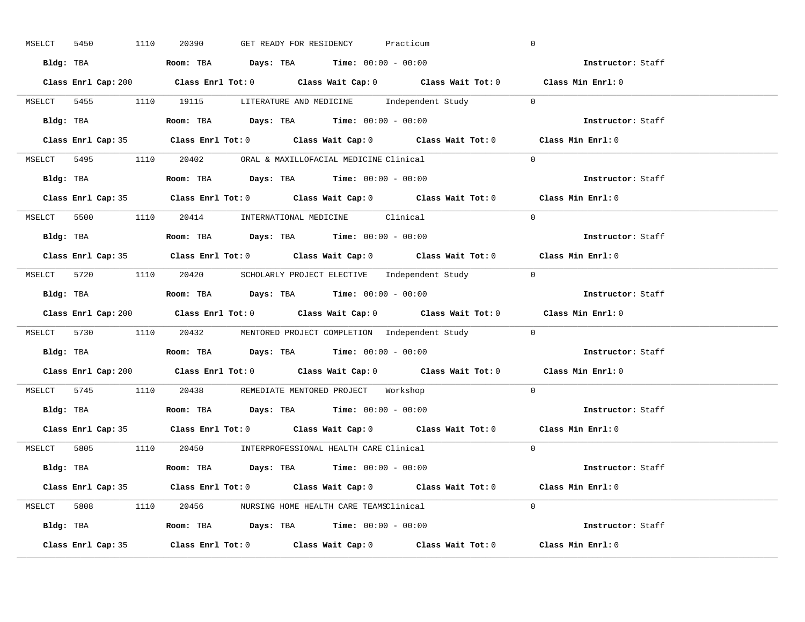| MSELCT | 5450 | 1110               | 20390                                                                                  | GET READY FOR RESIDENCY |  | Practicum |                                                                        | $\overline{0}$                                                                              |  |
|--------|------|--------------------|----------------------------------------------------------------------------------------|-------------------------|--|-----------|------------------------------------------------------------------------|---------------------------------------------------------------------------------------------|--|
|        |      |                    | Bldg: TBA                   Room: TBA         Days: TBA         Time: 00:00 - 00:00    |                         |  |           |                                                                        | <b>Example 2</b> Instructor: Staff                                                          |  |
|        |      |                    |                                                                                        |                         |  |           |                                                                        | Class Enrl Cap: 200 Class Enrl Tot: 0 Class Wait Cap: 0 Class Wait Tot: 0 Class Min Enrl: 0 |  |
|        |      |                    |                                                                                        |                         |  |           | MSELCT 5455 1110 19115 LITERATURE AND MEDICINE Independent Study 0     |                                                                                             |  |
|        |      |                    | <b>Bldg:</b> TBA <b>ROOM:</b> TBA <b>Days:</b> TBA <b>Time:</b> $00:00 - 00:00$        |                         |  |           |                                                                        | Instructor: Staff                                                                           |  |
|        |      |                    |                                                                                        |                         |  |           |                                                                        | Class Enrl Cap: 35 Class Enrl Tot: 0 Class Wait Cap: 0 Class Wait Tot: 0 Class Min Enrl: 0  |  |
|        |      |                    | MSELCT 5495 1110 20402 ORAL & MAXILLOFACIAL MEDICINE Clinical                          |                         |  |           |                                                                        | $\Omega$                                                                                    |  |
|        |      |                    | Bldg: TBA                    Room: TBA         Days: TBA        Time: $00:00 - 00:00$  |                         |  |           |                                                                        | Instructor: Staff                                                                           |  |
|        |      |                    |                                                                                        |                         |  |           |                                                                        | Class Enrl Cap: 35 Class Enrl Tot: 0 Class Wait Cap: 0 Class Wait Tot: 0 Class Min Enrl: 0  |  |
|        |      |                    | MSELCT 5500 1110 20414 INTERNATIONAL MEDICINE Clinical                                 |                         |  |           |                                                                        | $\Omega$                                                                                    |  |
|        |      |                    | Bldg: TBA                   Room: TBA         Days: TBA         Time: $00:00 - 00:00$  |                         |  |           |                                                                        | Instructor: Staff                                                                           |  |
|        |      |                    |                                                                                        |                         |  |           |                                                                        | Class Enrl Cap: 35 Class Enrl Tot: 0 Class Wait Cap: 0 Class Wait Tot: 0 Class Min Enrl: 0  |  |
|        |      |                    |                                                                                        |                         |  |           | MSELCT 5720 1110 20420 SCHOLARLY PROJECT ELECTIVE Independent Study 0  |                                                                                             |  |
|        |      |                    | Bldg: TBA                    Room: TBA        Days: TBA        Time: 00:00 - 00:00     |                         |  |           |                                                                        | Instructor: Staff                                                                           |  |
|        |      |                    |                                                                                        |                         |  |           |                                                                        | Class Enrl Cap: 200 Class Enrl Tot: 0 Class Wait Cap: 0 Class Wait Tot: 0 Class Min Enrl: 0 |  |
|        |      |                    |                                                                                        |                         |  |           | MSELCT 5730 1110 20432 MENTORED PROJECT COMPLETION Independent Study 0 |                                                                                             |  |
|        |      |                    | Bldg: TBA                    Room: TBA         Days: TBA         Time: 00:00 - 00:00   |                         |  |           |                                                                        | Instructor: Staff                                                                           |  |
|        |      |                    |                                                                                        |                         |  |           |                                                                        | Class Enrl Cap: 200 Class Enrl Tot: 0 Class Wait Cap: 0 Class Wait Tot: 0 Class Min Enrl: 0 |  |
|        |      |                    | MSELCT 5745 1110 20438 REMEDIATE MENTORED PROJECT Workshop                             |                         |  |           |                                                                        | $\Omega$                                                                                    |  |
|        |      |                    | Bldg: TBA                    Room: TBA         Days: TBA         Time: $00:00 - 00:00$ |                         |  |           |                                                                        | Instructor: Staff                                                                           |  |
|        |      |                    |                                                                                        |                         |  |           |                                                                        | Class Enrl Cap: 35 Class Enrl Tot: 0 Class Wait Cap: 0 Class Wait Tot: 0 Class Min Enrl: 0  |  |
|        |      |                    | MSELCT 5805 1110 20450 INTERPROFESSIONAL HEALTH CARE Clinical                          |                         |  |           |                                                                        | $\Omega$                                                                                    |  |
|        |      |                    | Bldg: TBA                   Room: TBA        Days: TBA        Time: 00:00 - 00:00      |                         |  |           |                                                                        | Instructor: Staff                                                                           |  |
|        |      |                    |                                                                                        |                         |  |           |                                                                        | Class Enrl Cap: 35 Class Enrl Tot: 0 Class Wait Cap: 0 Class Wait Tot: 0 Class Min Enrl: 0  |  |
|        |      |                    | MSELCT 5808 1110 20456 NURSING HOME HEALTH CARE TEAMSClinical                          |                         |  |           |                                                                        | $\Omega$                                                                                    |  |
|        |      |                    | Bldg: TBA                   Room: TBA         Days: TBA        Time: $00:00 - 00:00$   |                         |  |           |                                                                        | Instructor: Staff                                                                           |  |
|        |      | Class Enrl Cap: 35 |                                                                                        |                         |  |           |                                                                        | Class Enrl Tot: 0 Class Wait Cap: 0 Class Wait Tot: 0 Class Min Enrl: 0                     |  |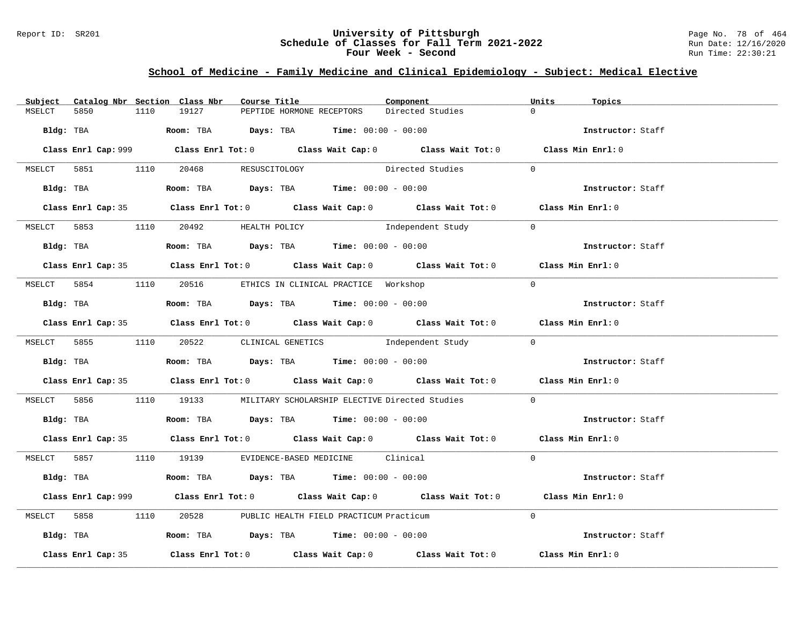### Report ID: SR201 **University of Pittsburgh** Page No. 78 of 464 **Schedule of Classes for Fall Term 2021-2022** Run Date: 12/16/2020 **Four Week - Second Run Time: 22:30:21**

# **School of Medicine - Family Medicine and Clinical Epidemiology - Subject: Medical Elective**

| Subject   |                    |      | Catalog Nbr Section Class Nbr        | Course Title |                           |                                                                                                 | Component                                                                                          | Units          | Topics            |
|-----------|--------------------|------|--------------------------------------|--------------|---------------------------|-------------------------------------------------------------------------------------------------|----------------------------------------------------------------------------------------------------|----------------|-------------------|
| MSELCT    | 5850               | 1110 | 19127                                |              | PEPTIDE HORMONE RECEPTORS |                                                                                                 | Directed Studies                                                                                   | $\Omega$       |                   |
| Bldg: TBA |                    |      |                                      |              |                           | <b>Room:</b> TBA <b>Days:</b> TBA <b>Time:</b> 00:00 - 00:00                                    |                                                                                                    |                | Instructor: Staff |
|           |                    |      |                                      |              |                           |                                                                                                 | Class Enrl Cap: 999 Class Enrl Tot: 0 Class Wait Cap: 0 Class Wait Tot: 0 Class Min Enrl: 0        |                |                   |
|           |                    |      | MSELCT 5851 1110 20468 RESUSCITOLOGY |              |                           |                                                                                                 | Directed Studies                                                                                   | $\sim$ 0       |                   |
|           |                    |      |                                      |              |                           | $Bldq$ : TBA $R$ oom: TBA $Days$ : TBA $Time$ : $00:00 - 00:00$                                 |                                                                                                    |                | Instructor: Staff |
|           |                    |      |                                      |              |                           |                                                                                                 | Class Enrl Cap: 35 Class Enrl Tot: 0 Class Wait Cap: 0 Class Wait Tot: 0 Class Min Enrl: 0         |                |                   |
|           |                    |      | MSELCT 5853 1110 20492 HEALTH POLICY |              |                           |                                                                                                 | Independent Study                                                                                  | $\overline{0}$ |                   |
|           |                    |      |                                      |              |                           | Bldg: TBA                        Room: TBA           Days: TBA          Time: $00:00 - 00:00$   |                                                                                                    |                | Instructor: Staff |
|           |                    |      |                                      |              |                           |                                                                                                 | Class Enrl Cap: 35 Class Enrl Tot: 0 Class Wait Cap: 0 Class Wait Tot: 0 Class Min Enrl: 0         |                |                   |
|           |                    |      |                                      |              |                           | MSELCT 5854 1110 20516 ETHICS IN CLINICAL PRACTICE Workshop                                     |                                                                                                    | $\Omega$       |                   |
|           |                    |      |                                      |              |                           | Bldg: TBA                   Room: TBA        Days: TBA        Time: 00:00 - 00:00               |                                                                                                    |                | Instructor: Staff |
|           |                    |      |                                      |              |                           |                                                                                                 | Class Enrl Cap: 35 Class Enrl Tot: 0 Class Wait Cap: 0 Class Wait Tot: 0 Class Min Enrl: 0         |                |                   |
|           |                    |      |                                      |              |                           |                                                                                                 | MSELCT 5855 1110 20522 CLINICAL GENETICS Independent Study 0                                       |                |                   |
|           |                    |      |                                      |              |                           |                                                                                                 | Bldg: TBA Room: TBA Days: TBA Time: $00:00 - 00:00$                                                |                |                   |
|           |                    |      |                                      |              |                           |                                                                                                 | Class Enrl Cap: 35 Class Enrl Tot: 0 Class Wait Cap: 0 Class Wait Tot: 0 Class Min Enrl: 0         |                |                   |
|           |                    |      |                                      |              |                           |                                                                                                 | MSELCT 5856 1110 19133 MILITARY SCHOLARSHIP ELECTIVE Directed Studies                              | $\overline{0}$ |                   |
|           |                    |      |                                      |              |                           | Bldg: TBA                    Room: TBA        Days: TBA        Time: 00:00 - 00:00              |                                                                                                    |                | Instructor: Staff |
|           |                    |      |                                      |              |                           |                                                                                                 | Class Enrl Cap: 35 Class Enrl Tot: 0 Class Wait Cap: 0 Class Wait Tot: 0 Class Min Enrl: 0         |                |                   |
|           |                    |      |                                      |              |                           | MSELCT 5857 1110 19139 EVIDENCE-BASED MEDICINE Clinical                                         |                                                                                                    | $\Omega$       |                   |
|           |                    |      |                                      |              |                           | Bldg: TBA                    Room: TBA         Days: TBA         Time: 00:00 - 00:00            |                                                                                                    |                | Instructor: Staff |
|           |                    |      |                                      |              |                           |                                                                                                 | Class Enrl Cap: 999 Class Enrl Tot: 0 Class Wait Cap: 0 Class Wait Tot: 0 Class Min Enrl: 0        |                |                   |
|           |                    |      |                                      |              |                           | MSELCT 5858 1110 20528 PUBLIC HEALTH FIELD PRACTICUM Practicum                                  |                                                                                                    | $\Omega$       |                   |
|           |                    |      |                                      |              |                           | Bldg: TBA                        Room: TBA            Days: TBA           Time: $00:00 - 00:00$ |                                                                                                    |                | Instructor: Staff |
|           | Class Enrl Cap: 35 |      |                                      |              |                           |                                                                                                 | Class Enrl Tot: 0 $\qquad$ Class Wait Cap: 0 $\qquad$ Class Wait Tot: 0 $\qquad$ Class Min Enrl: 0 |                |                   |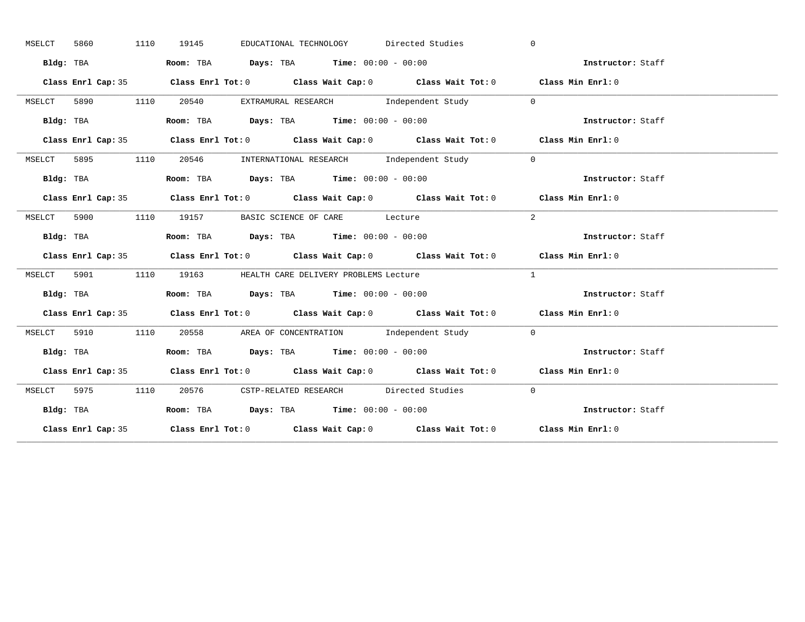| MSELCT | 5860 |           | 1110 | 19145 |                                                                                       | EDUCATIONAL TECHNOLOGY Directed Studies                       | $\Omega$                                                                                   |                   |
|--------|------|-----------|------|-------|---------------------------------------------------------------------------------------|---------------------------------------------------------------|--------------------------------------------------------------------------------------------|-------------------|
|        |      | Bldg: TBA |      |       | Room: TBA $Days:$ TBA $Time: 00:00 - 00:00$                                           |                                                               | Instructor: Staff                                                                          |                   |
|        |      |           |      |       |                                                                                       |                                                               | Class Enrl Cap: 35 Class Enrl Tot: 0 Class Wait Cap: 0 Class Wait Tot: 0 Class Min Enrl: 0 |                   |
| MSELCT |      |           |      |       |                                                                                       | 5890 1110 20540 EXTRAMURAL RESEARCH Independent Study 0       |                                                                                            |                   |
|        |      | Bldg: TBA |      |       | Room: TBA Days: TBA Time: $00:00 - 00:00$                                             |                                                               | Instructor: Staff                                                                          |                   |
|        |      |           |      |       |                                                                                       |                                                               | Class Enrl Cap: 35 Class Enrl Tot: 0 Class Wait Cap: 0 Class Wait Tot: 0 Class Min Enrl: 0 |                   |
| MSELCT |      |           |      |       |                                                                                       | 5895 1110 20546 INTERNATIONAL RESEARCH Independent Study      | $\overline{0}$                                                                             |                   |
|        |      | Bldg: TBA |      |       | Room: TBA $Days:$ TBA Time: $00:00 - 00:00$                                           |                                                               | Instructor: Staff                                                                          |                   |
|        |      |           |      |       |                                                                                       |                                                               | Class Enrl Cap: 35 Class Enrl Tot: 0 Class Wait Cap: 0 Class Wait Tot: 0 Class Min Enrl: 0 |                   |
|        |      |           |      |       | MSELCT 5900 1110 19157 BASIC SCIENCE OF CARE Lecture                                  |                                                               | 2                                                                                          |                   |
|        |      | Bldg: TBA |      |       | Room: TBA $Days:$ TBA $Time: 00:00 - 00:00$                                           |                                                               | Instructor: Staff                                                                          |                   |
|        |      |           |      |       |                                                                                       |                                                               |                                                                                            |                   |
|        |      |           |      |       |                                                                                       |                                                               | Class Enrl Cap: 35 Class Enrl Tot: 0 Class Wait Cap: 0 Class Wait Tot: 0 Class Min Enrl: 0 |                   |
|        |      |           |      |       | MSELCT 5901 1110 19163 HEALTH CARE DELIVERY PROBLEMS Lecture                          |                                                               | $\mathbf{1}$                                                                               |                   |
|        |      | Bldg: TBA |      |       | Room: TBA $\rule{1em}{0.15mm}$ Days: TBA $\rule{1.5mm}{0.15mm}$ Time: $00:00 - 00:00$ |                                                               | Instructor: Staff                                                                          |                   |
|        |      |           |      |       |                                                                                       |                                                               | Class Enrl Cap: 35 Class Enrl Tot: 0 Class Wait Cap: 0 Class Wait Tot: 0 Class Min Enrl: 0 |                   |
| MSELCT |      |           |      |       |                                                                                       | 5910 1110 20558 AREA OF CONCENTRATION Independent Study 0     |                                                                                            |                   |
|        |      |           |      |       |                                                                                       |                                                               | Bldg: TBA Room: TBA Days: TBA Time: 00:00 - 00:00<br>Thetructor: Staff                     |                   |
|        |      |           |      |       |                                                                                       |                                                               | Class Enrl Cap: 35 Class Enrl Tot: 0 Class Wait Cap: 0 Class Wait Tot: 0 Class Min Enrl: 0 |                   |
|        |      |           |      |       |                                                                                       | MSELCT 5975 1110 20576 CSTP-RELATED RESEARCH Directed Studies | $\bigcirc$                                                                                 |                   |
|        |      | Bldg: TBA |      |       | Room: TBA $Days:$ TBA $Time: 00:00 - 00:00$                                           |                                                               |                                                                                            | Instructor: Staff |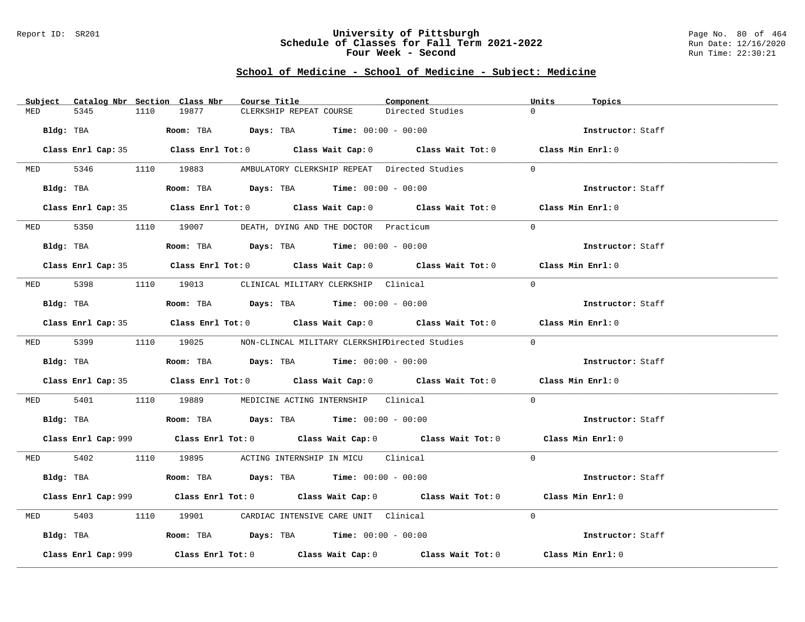#### Report ID: SR201 **University of Pittsburgh** Page No. 80 of 464 **Schedule of Classes for Fall Term 2021-2022** Run Date: 12/16/2020 **Four Week - Second Run Time: 22:30:21**

| Subject Catalog Nbr Section Class Nbr |           | Course Title                                                                                 |                         | Component                                                                                   | Units<br>Topics   |  |
|---------------------------------------|-----------|----------------------------------------------------------------------------------------------|-------------------------|---------------------------------------------------------------------------------------------|-------------------|--|
| 5345<br>MED                           | 1110      | 19877                                                                                        | CLERKSHIP REPEAT COURSE | Directed Studies                                                                            | $\Omega$          |  |
|                                       | Bldg: TBA | Room: TBA $Days:$ TBA $Time: 00:00 - 00:00$                                                  |                         |                                                                                             | Instructor: Staff |  |
|                                       |           |                                                                                              |                         | Class Enrl Cap: 35 Class Enrl Tot: 0 Class Wait Cap: 0 Class Wait Tot: 0 Class Min Enrl: 0  |                   |  |
|                                       |           | MED 5346 1110 19883 AMBULATORY CLERKSHIP REPEAT Directed Studies                             |                         |                                                                                             | $\Omega$          |  |
|                                       | Bldg: TBA | Room: TBA $Days:$ TBA $Time: 00:00 - 00:00$                                                  |                         |                                                                                             | Instructor: Staff |  |
|                                       |           |                                                                                              |                         | Class Enrl Cap: 35 Class Enrl Tot: 0 Class Wait Cap: 0 Class Wait Tot: 0 Class Min Enrl: 0  |                   |  |
|                                       |           | MED 5350 1110 19007 DEATH, DYING AND THE DOCTOR Practicum                                    |                         |                                                                                             | $\Omega$          |  |
|                                       | Bldg: TBA | Room: TBA $Days:$ TBA $Time:$ $00:00 - 00:00$                                                |                         |                                                                                             | Instructor: Staff |  |
|                                       |           |                                                                                              |                         | Class Enrl Cap: 35 Class Enrl Tot: 0 Class Wait Cap: 0 Class Wait Tot: 0 Class Min Enrl: 0  |                   |  |
|                                       |           | MED 5398 1110 19013 CLINICAL MILITARY CLERKSHIP Clinical                                     |                         |                                                                                             | $\Omega$          |  |
|                                       | Bldg: TBA | Room: TBA $\rule{1em}{0.15mm}$ Days: TBA Time: $00:00 - 00:00$                               |                         |                                                                                             | Instructor: Staff |  |
|                                       |           |                                                                                              |                         | Class Enrl Cap: 35 Class Enrl Tot: 0 Class Wait Cap: 0 Class Wait Tot: 0 Class Min Enrl: 0  |                   |  |
|                                       |           |                                                                                              |                         | MED 5399 1110 19025 NON-CLINCAL MILITARY CLERKSHIEDirected Studies                          | $\Omega$          |  |
|                                       |           | Bldg: TBA                       Room: TBA          Days: TBA          Time: $00:00 - 00:00$  |                         |                                                                                             | Instructor: Staff |  |
|                                       |           |                                                                                              |                         | Class Enrl Cap: 35 Class Enrl Tot: 0 Class Wait Cap: 0 Class Wait Tot: 0 Class Min Enrl: 0  |                   |  |
| MED 5401                              |           | 1110 19889 MEDICINE ACTING INTERNSHIP Clinical                                               |                         |                                                                                             | $\Omega$          |  |
|                                       |           | Bldg: TBA                    Room: TBA         Days: TBA         Time: $00:00 - 00:00$       |                         |                                                                                             | Instructor: Staff |  |
|                                       |           |                                                                                              |                         | Class Enrl Cap: 999 Class Enrl Tot: 0 Class Wait Cap: 0 Class Wait Tot: 0 Class Min Enrl: 0 |                   |  |
|                                       |           | MED 5402 1110 19895 ACTING INTERNSHIP IN MICU Clinical                                       |                         |                                                                                             | $\Omega$          |  |
|                                       | Bldg: TBA | Room: TBA $\rule{1em}{0.15mm}$ Days: TBA Time: $00:00 - 00:00$                               |                         |                                                                                             | Instructor: Staff |  |
|                                       |           |                                                                                              |                         | Class Enrl Cap: 999 Class Enrl Tot: 0 Class Wait Cap: 0 Class Wait Tot: 0 Class Min Enrl: 0 |                   |  |
| 5403<br>MED                           |           | 1110 19901 CARDIAC INTENSIVE CARE UNIT Clinical                                              |                         |                                                                                             | $\Omega$          |  |
|                                       |           | Bldg: TBA                        Room: TBA           Days: TBA           Time: 00:00 - 00:00 |                         |                                                                                             | Instructor: Staff |  |
| Class Enrl Cap: 999                   |           |                                                                                              |                         | Class Enrl Tot: $0$ Class Wait Cap: $0$ Class Wait Tot: $0$ Class Min Enrl: $0$             |                   |  |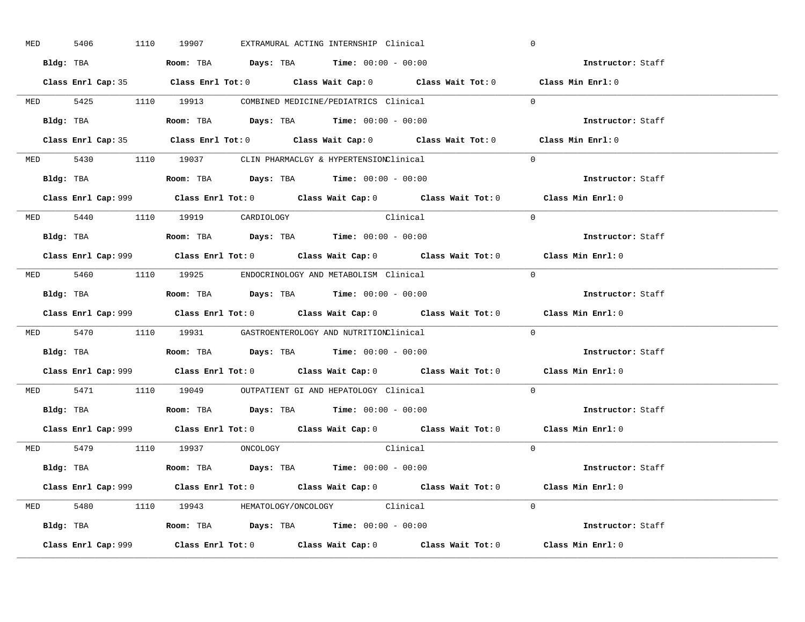| <b>MED</b> | 5406 |           | 1110 19907                     |  | EXTRAMURAL ACTING INTERNSHIP Clinical                                                         | $\overline{0}$                                                                              |
|------------|------|-----------|--------------------------------|--|-----------------------------------------------------------------------------------------------|---------------------------------------------------------------------------------------------|
|            |      |           |                                |  | Bldg: TBA                   Room: TBA         Days: TBA         Time: $00:00 - 00:00$         | Instructor: Staff                                                                           |
|            |      |           |                                |  |                                                                                               | Class Enrl Cap: 35 Class Enrl Tot: 0 Class Wait Cap: 0 Class Wait Tot: 0 Class Min Enrl: 0  |
|            |      |           |                                |  | MED 5425 1110 19913 COMBINED MEDICINE/PEDIATRICS Clinical                                     | $\Omega$                                                                                    |
|            |      | Bldg: TBA |                                |  | Room: TBA $Days:$ TBA $Time: 00:00 - 00:00$                                                   | Instructor: Staff                                                                           |
|            |      |           |                                |  |                                                                                               | Class Enrl Cap: 35 Class Enrl Tot: 0 Class Wait Cap: 0 Class Wait Tot: 0 Class Min Enrl: 0  |
|            |      |           |                                |  | MED 5430 1110 19037 CLIN PHARMACLGY & HYPERTENSIONClinical                                    | $\Omega$                                                                                    |
|            |      |           |                                |  | Bldg: TBA                    Room: TBA         Days: TBA        Time: $00:00 - 00:00$         | Instructor: Staff                                                                           |
|            |      |           |                                |  |                                                                                               | Class Enrl Cap: 999 Class Enrl Tot: 0 Class Wait Cap: 0 Class Wait Tot: 0 Class Min Enrl: 0 |
|            |      |           | MED 5440 1110 19919 CARDIOLOGY |  | Clinical                                                                                      | $\Omega$                                                                                    |
|            |      |           |                                |  | Bldg: TBA<br>Room: TBA<br>Days: TBA<br>Time: $00:00 - 00:00$                                  | Instructor: Staff                                                                           |
|            |      |           |                                |  |                                                                                               | Class Enrl Cap: 999 Class Enrl Tot: 0 Class Wait Cap: 0 Class Wait Tot: 0 Class Min Enrl: 0 |
|            |      |           |                                |  | MED 5460 1110 19925 ENDOCRINOLOGY AND METABOLISM Clinical                                     | $\overline{0}$                                                                              |
|            |      |           |                                |  |                                                                                               | Instructor: Staff                                                                           |
|            |      |           |                                |  |                                                                                               | Class Enrl Cap: 999 Class Enrl Tot: 0 Class Wait Cap: 0 Class Wait Tot: 0 Class Min Enrl: 0 |
|            |      |           |                                |  | MED 5470 1110 19931 GASTROENTEROLOGY AND NUTRITIONClinical                                    | $\Omega$                                                                                    |
|            |      |           |                                |  | Bldg: TBA                    Room: TBA         Days: TBA         Time: 00:00 - 00:00          | <b>Instructor:</b> Staff                                                                    |
|            |      |           |                                |  |                                                                                               | Class Enrl Cap: 999 Class Enrl Tot: 0 Class Wait Cap: 0 Class Wait Tot: 0 Class Min Enrl: 0 |
|            |      |           |                                |  | MED 5471 1110 19049 OUTPATIENT GI AND HEPATOLOGY Clinical                                     | $\Omega$                                                                                    |
|            |      |           |                                |  | Bldg: TBA                    Room: TBA         Days: TBA         Time: $00:00 - 00:00$        | Instructor: Staff                                                                           |
|            |      |           |                                |  |                                                                                               | Class Enrl Cap: 999 Class Enrl Tot: 0 Class Wait Cap: 0 Class Wait Tot: 0 Class Min Enrl: 0 |
|            |      |           | MED 5479 1110 19937 ONCOLOGY   |  | Clinical                                                                                      | $\Omega$                                                                                    |
|            |      |           |                                |  | Bldg: TBA                   Room: TBA         Days: TBA         Time: 00:00 - 00:00           | Instructor: Staff                                                                           |
|            |      |           |                                |  |                                                                                               | Class Enrl Cap: 999 Class Enrl Tot: 0 Class Wait Cap: 0 Class Wait Tot: 0 Class Min Enrl: 0 |
|            |      |           |                                |  | MED 5480 1110 19943 HEMATOLOGY/ONCOLOGY Clinical                                              | $\Omega$                                                                                    |
|            |      |           |                                |  | Bldg: TBA                         Room: TBA          Days: TBA          Time: $00:00 - 00:00$ | Instructor: Staff                                                                           |
|            |      |           |                                |  |                                                                                               | Class Min Enrl: 0                                                                           |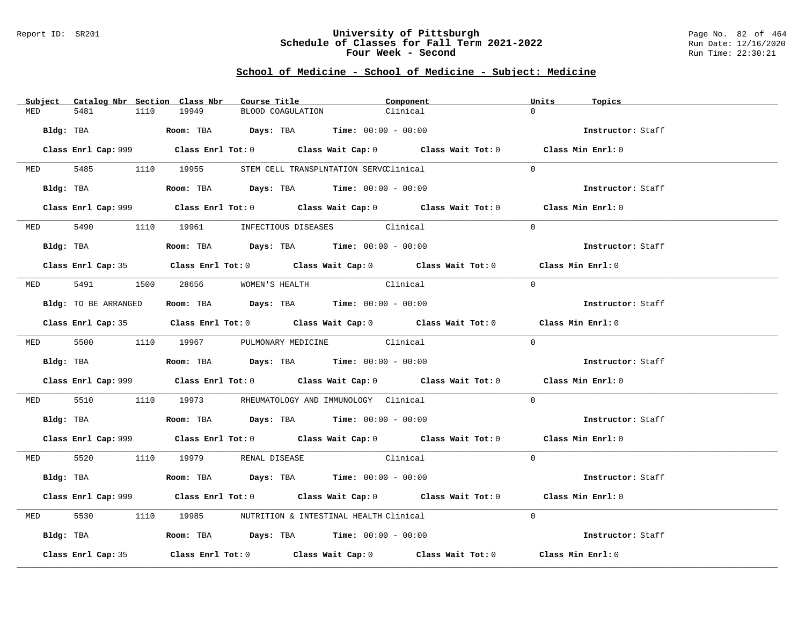#### Report ID: SR201 **University of Pittsburgh** Page No. 82 of 464 **Schedule of Classes for Fall Term 2021-2022** Run Date: 12/16/2020 **Four Week - Second Run Time: 22:30:21**

|            | Subject Catalog Nbr Section Class Nbr | Course Title                                                                            | Component                                                                                   | Units<br>Topics   |  |
|------------|---------------------------------------|-----------------------------------------------------------------------------------------|---------------------------------------------------------------------------------------------|-------------------|--|
| MED        | 1110<br>5481                          | 19949                                                                                   | BLOOD COAGULATION<br>Clinical                                                               | $\cap$            |  |
|            |                                       | $Bldq$ : TBA $Room$ : TBA $Days$ : TBA $Time$ : $00:00 - 00:00$                         |                                                                                             | Instructor: Staff |  |
|            |                                       |                                                                                         | Class Enrl Cap: 999 Class Enrl Tot: 0 Class Wait Cap: 0 Class Wait Tot: 0 Class Min Enrl: 0 |                   |  |
|            |                                       | MED 5485 1110 19955 STEM CELL TRANSPLNTATION SERVCClinical                              |                                                                                             | $\Omega$          |  |
|            |                                       | Bldg: TBA                  Room: TBA        Days: TBA        Time: 00:00 - 00:00        |                                                                                             | Instructor: Staff |  |
|            |                                       |                                                                                         | Class Enrl Cap: 999 Class Enrl Tot: 0 Class Wait Cap: 0 Class Wait Tot: 0 Class Min Enrl: 0 |                   |  |
|            |                                       | MED 5490 1110 19961 INFECTIOUS DISEASES Clinical                                        |                                                                                             | $\Omega$          |  |
|            | Bldg: TBA                             | Room: TBA $Days:$ TBA Time: $00:00 - 00:00$                                             |                                                                                             | Instructor: Staff |  |
|            |                                       |                                                                                         | Class Enrl Cap: 35 Class Enrl Tot: 0 Class Wait Cap: 0 Class Wait Tot: 0 Class Min Enrl: 0  |                   |  |
|            |                                       | MED 5491 1500 28656 WOMEN'S HEALTH                                                      | Clinical                                                                                    | $\Omega$          |  |
|            | Bldg: TO BE ARRANGED                  | Room: TBA $Days: TBA$ Time: $00:00 - 00:00$                                             |                                                                                             | Instructor: Staff |  |
|            |                                       |                                                                                         | Class Enrl Cap: 35 Class Enrl Tot: 0 Class Wait Cap: 0 Class Wait Tot: 0 Class Min Enrl: 0  |                   |  |
|            |                                       | MED 5500 1110 19967 PULMONARY MEDICINE Clinical                                         |                                                                                             | $\Omega$          |  |
|            |                                       |                                                                                         |                                                                                             | Instructor: Staff |  |
|            |                                       |                                                                                         | Class Enrl Cap: 999 Class Enrl Tot: 0 Class Wait Cap: 0 Class Wait Tot: 0 Class Min Enrl: 0 |                   |  |
| <b>MED</b> | 5510                                  | 1110 19973 RHEUMATOLOGY AND IMMUNOLOGY Clinical                                         |                                                                                             | $\Omega$          |  |
|            |                                       |                                                                                         |                                                                                             | Instructor: Staff |  |
|            |                                       |                                                                                         | Class Enrl Cap: 999 Class Enrl Tot: 0 Class Wait Cap: 0 Class Wait Tot: 0 Class Min Enrl: 0 |                   |  |
|            |                                       | MED 5520 1110 19979 RENAL DISEASE                                                       | Clinical                                                                                    | $\Omega$          |  |
|            |                                       | Bldg: TBA                   Room: TBA         Days: TBA         Time: $00:00 - 00:00$   |                                                                                             | Instructor: Staff |  |
|            |                                       |                                                                                         | Class Enrl Cap: 999 Class Enrl Tot: 0 Class Wait Cap: 0 Class Wait Tot: 0 Class Min Enrl: 0 |                   |  |
| MED        | 5530                                  | 1110 19985 NUTRITION & INTESTINAL HEALTH Clinical                                       |                                                                                             | $\Omega$          |  |
|            |                                       | Bldg: TBA                      Room: TBA          Days: TBA         Time: 00:00 - 00:00 |                                                                                             | Instructor: Staff |  |
|            | Class Enrl Cap: 35                    |                                                                                         | Class Enrl Tot: $0$ Class Wait Cap: $0$ Class Wait Tot: $0$                                 | Class Min Enrl: 0 |  |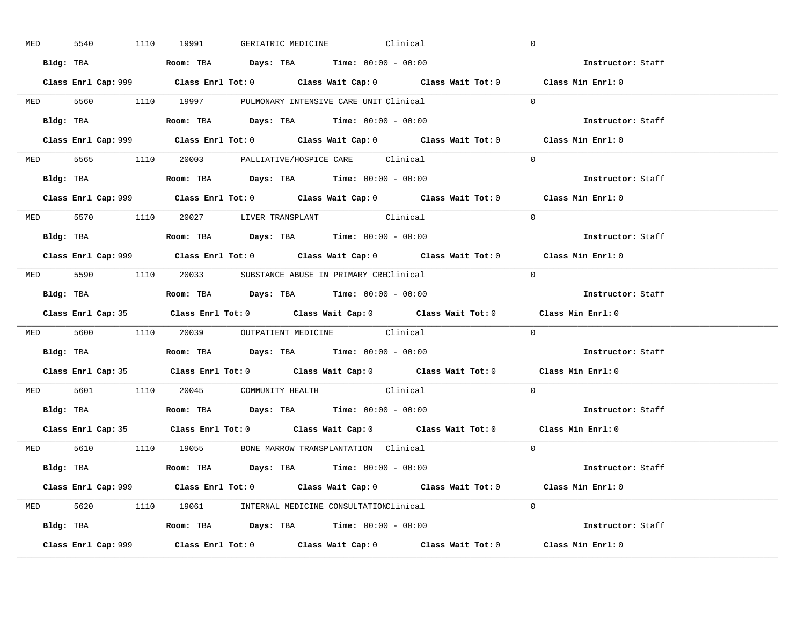| <b>MED</b> | 5540      |  | 1110 19991 GERIATRIC MEDICINE Clinical                                                |  |  | $\overline{0}$                                                                              |
|------------|-----------|--|---------------------------------------------------------------------------------------|--|--|---------------------------------------------------------------------------------------------|
|            |           |  | Bldg: TBA                   Room: TBA         Days: TBA         Time: $00:00 - 00:00$ |  |  | Instructor: Staff                                                                           |
|            |           |  |                                                                                       |  |  | Class Enrl Cap: 999 Class Enrl Tot: 0 Class Wait Cap: 0 Class Wait Tot: 0 Class Min Enrl: 0 |
|            |           |  | MED 5560 1110 19997 PULMONARY INTENSIVE CARE UNIT Clinical                            |  |  | $\Omega$                                                                                    |
|            |           |  | Bldg: TBA                   Room: TBA         Days: TBA         Time: $00:00 - 00:00$ |  |  | Instructor: Staff                                                                           |
|            |           |  |                                                                                       |  |  | Class Enrl Cap: 999 Class Enrl Tot: 0 Class Wait Cap: 0 Class Wait Tot: 0 Class Min Enrl: 0 |
|            |           |  | MED 5565 1110 20003 PALLIATIVE/HOSPICE CARE Clinical                                  |  |  | $\Omega$                                                                                    |
|            |           |  | Bldg: TBA                    Room: TBA         Days: TBA        Time: $00:00 - 00:00$ |  |  | Instructor: Staff                                                                           |
|            |           |  |                                                                                       |  |  | Class Enrl Cap: 999 Class Enrl Tot: 0 Class Wait Cap: 0 Class Wait Tot: 0 Class Min Enrl: 0 |
|            |           |  | MED 5570 1110 20027 LIVER TRANSPLANT Clinical                                         |  |  | $\Omega$                                                                                    |
|            |           |  | <b>Bldg:</b> TBA <b>ROOM:</b> TBA <b>Days:</b> TBA <b>Time:</b> $00:00 - 00:00$       |  |  | Instructor: Staff                                                                           |
|            |           |  |                                                                                       |  |  | Class Enrl Cap: 999 Class Enrl Tot: 0 Class Wait Cap: 0 Class Wait Tot: 0 Class Min Enrl: 0 |
|            |           |  | MED 5590 1110 20033 SUBSTANCE ABUSE IN PRIMARY CREClinical                            |  |  | $\Omega$                                                                                    |
|            |           |  |                                                                                       |  |  | Instructor: Staff                                                                           |
|            |           |  |                                                                                       |  |  | Class Enrl Cap: 35 Class Enrl Tot: 0 Class Wait Cap: 0 Class Wait Tot: 0 Class Min Enrl: 0  |
|            |           |  | MED 5600 1110 20039 OUTPATIENT MEDICINE Clinical                                      |  |  | $\overline{0}$                                                                              |
|            | Bldg: TBA |  | Room: TBA $\qquad$ Days: TBA $\qquad$ Time: $00:00 - 00:00$                           |  |  | Instructor: Staff                                                                           |
|            |           |  |                                                                                       |  |  | Class Enrl Cap: 35 Class Enrl Tot: 0 Class Wait Cap: 0 Class Wait Tot: 0 Class Min Enrl: 0  |
|            |           |  | MED 5601 1110 20045 COMMUNITY HEALTH Clinical                                         |  |  | $\Omega$                                                                                    |
|            |           |  | Bldg: TBA                   Room: TBA         Days: TBA         Time: 00:00 - 00:00   |  |  | Instructor: Staff                                                                           |
|            |           |  |                                                                                       |  |  | Class Enrl Cap: 35 Class Enrl Tot: 0 Class Wait Cap: 0 Class Wait Tot: 0 Class Min Enrl: 0  |
|            |           |  | MED 5610 1110 19055 BONE MARROW TRANSPLANTATION Clinical                              |  |  | $\Omega$                                                                                    |
|            |           |  | Bldg: TBA                   Room: TBA         Days: TBA         Time: 00:00 - 00:00   |  |  | Instructor: Staff                                                                           |
|            |           |  |                                                                                       |  |  | Class Enrl Cap: 999 Class Enrl Tot: 0 Class Wait Cap: 0 Class Wait Tot: 0 Class Min Enrl: 0 |
|            |           |  | MED 5620 1110 19061 INTERNAL MEDICINE CONSULTATIONClinical                            |  |  | $\Omega$                                                                                    |
|            |           |  | Bldg: TBA                   Room: TBA         Days: TBA         Time: 00:00 - 00:00   |  |  | Instructor: Staff                                                                           |
|            |           |  |                                                                                       |  |  | Class Min Enrl: 0                                                                           |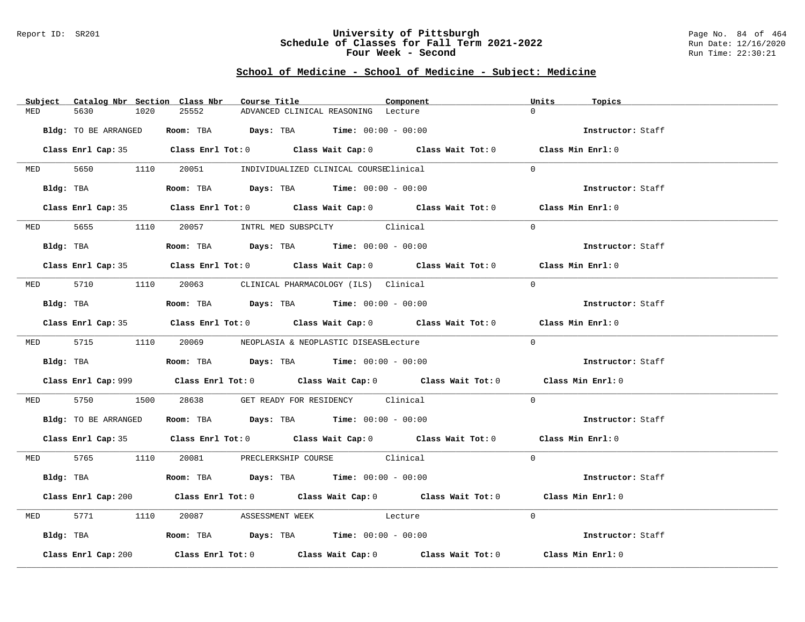#### Report ID: SR201 **University of Pittsburgh** Page No. 84 of 464 **Schedule of Classes for Fall Term 2021-2022** Run Date: 12/16/2020 **Four Week - Second Run Time: 22:30:21**

|                     | Subject Catalog Nbr Section Class Nbr |       | Course Title                                                                                  | Component                                                                                   | Units<br>Topics   |  |
|---------------------|---------------------------------------|-------|-----------------------------------------------------------------------------------------------|---------------------------------------------------------------------------------------------|-------------------|--|
| MED<br>5630         | 1020                                  | 25552 | ADVANCED CLINICAL REASONING Lecture                                                           |                                                                                             | $\cap$            |  |
|                     | Bldg: TO BE ARRANGED                  |       | <b>Room:</b> TBA $Days: TBA$ <b>Time:</b> $00:00 - 00:00$                                     |                                                                                             | Instructor: Staff |  |
|                     |                                       |       |                                                                                               | Class Enrl Cap: 35 Class Enrl Tot: 0 Class Wait Cap: 0 Class Wait Tot: 0 Class Min Enrl: 0  |                   |  |
|                     |                                       |       | MED 5650 1110 20051 INDIVIDUALIZED CLINICAL COURSEClinical                                    |                                                                                             | $\Omega$          |  |
|                     | Bldg: TBA                             |       | Room: TBA $Days:$ TBA $Time: 00:00 - 00:00$                                                   |                                                                                             | Instructor: Staff |  |
|                     |                                       |       |                                                                                               | Class Enrl Cap: 35 Class Enrl Tot: 0 Class Wait Cap: 0 Class Wait Tot: 0 Class Min Enrl: 0  |                   |  |
|                     |                                       |       | MED 5655 1110 20057 INTRL MED SUBSPCLTY Clinical                                              |                                                                                             | $\Omega$          |  |
|                     |                                       |       | Bldg: TBA                   Room: TBA         Days: TBA         Time: 00:00 - 00:00           |                                                                                             | Instructor: Staff |  |
|                     |                                       |       |                                                                                               | Class Enrl Cap: 35 Class Enrl Tot: 0 Class Wait Cap: 0 Class Wait Tot: 0 Class Min Enrl: 0  |                   |  |
|                     |                                       |       | MED 5710 1110 20063 CLINICAL PHARMACOLOGY (ILS) Clinical                                      |                                                                                             | $\Omega$          |  |
|                     |                                       |       | Bldg: TBA                         Room: TBA          Days: TBA          Time: $00:00 - 00:00$ |                                                                                             | Instructor: Staff |  |
|                     |                                       |       |                                                                                               | Class Enrl Cap: 35 Class Enrl Tot: 0 Class Wait Cap: 0 Class Wait Tot: 0 Class Min Enrl: 0  |                   |  |
|                     |                                       |       | MED 5715 1110 20069 NEOPLASIA & NEOPLASTIC DISEASELecture                                     |                                                                                             | $\Omega$          |  |
|                     |                                       |       |                                                                                               |                                                                                             | Instructor: Staff |  |
|                     |                                       |       |                                                                                               | Class Enrl Cap: 999 Class Enrl Tot: 0 Class Wait Cap: 0 Class Wait Tot: 0 Class Min Enrl: 0 |                   |  |
| MED 5750            |                                       |       | 1500 28638 GET READY FOR RESIDENCY Clinical                                                   |                                                                                             | $\Omega$          |  |
|                     |                                       |       | Bldg: TO BE ARRANGED Room: TBA Days: TBA Time: 00:00 - 00:00                                  |                                                                                             | Instructor: Staff |  |
|                     |                                       |       |                                                                                               | Class Enrl Cap: 35 Class Enrl Tot: 0 Class Wait Cap: 0 Class Wait Tot: 0 Class Min Enrl: 0  |                   |  |
|                     |                                       |       | MED 5765 1110 20081 PRECLERKSHIP COURSE Clinical                                              |                                                                                             | $\Omega$          |  |
|                     | Bldg: TBA                             |       | Room: TBA $\rule{1em}{0.15mm}$ Days: TBA Time: $00:00 - 00:00$                                |                                                                                             | Instructor: Staff |  |
|                     |                                       |       |                                                                                               | Class Enrl Cap: 200 Class Enrl Tot: 0 Class Wait Cap: 0 Class Wait Tot: 0 Class Min Enrl: 0 |                   |  |
| <b>MED</b>          |                                       |       | 5771 1110 20087 ASSESSMENT WEEK Lecture                                                       |                                                                                             | $\Omega$          |  |
|                     |                                       |       | Bldg: TBA                   Room: TBA         Days: TBA         Time: 00:00 - 00:00           |                                                                                             | Instructor: Staff |  |
| Class Enrl Cap: 200 |                                       |       |                                                                                               | Class Enrl Tot: $0$ Class Wait Cap: $0$ Class Wait Tot: $0$                                 | Class Min Enrl: 0 |  |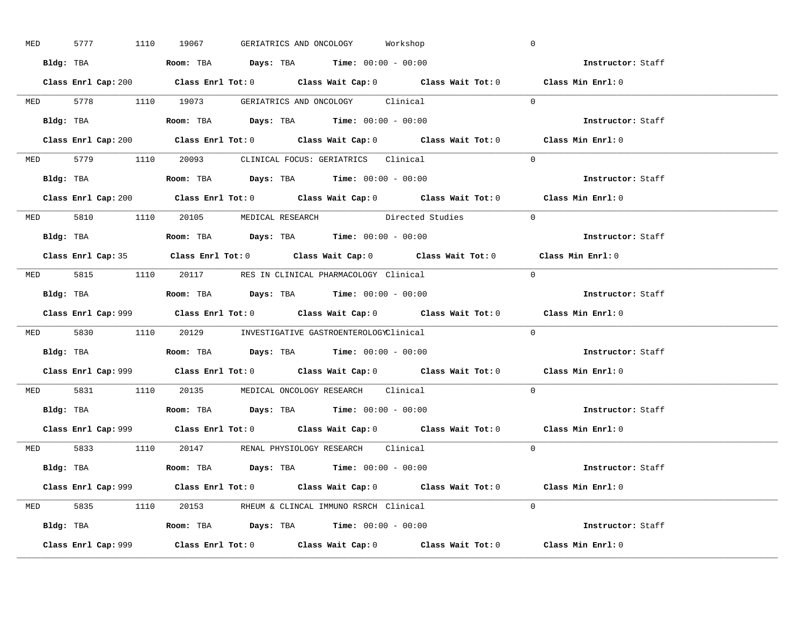| MED |  | 5777 1110 19067 | GERIATRICS AND ONCOLOGY Workshop                                                      |                                                                           | $\mathbb O$                                                                                 |  |
|-----|--|-----------------|---------------------------------------------------------------------------------------|---------------------------------------------------------------------------|---------------------------------------------------------------------------------------------|--|
|     |  |                 | Bldg: TBA                   Room: TBA         Days: TBA        Time: 00:00 - 00:00    |                                                                           | Instructor: Staff                                                                           |  |
|     |  |                 |                                                                                       |                                                                           | Class Enrl Cap: 200 Class Enrl Tot: 0 Class Wait Cap: 0 Class Wait Tot: 0 Class Min Enrl: 0 |  |
|     |  |                 | MED 5778 1110 19073 GERIATRICS AND ONCOLOGY Clinical                                  |                                                                           | $\Omega$                                                                                    |  |
|     |  |                 |                                                                                       |                                                                           | Instructor: Staff                                                                           |  |
|     |  |                 |                                                                                       | Class Enrl Cap: 200 Class Enrl Tot: 0 Class Wait Cap: 0 Class Wait Tot: 0 | Class Min Enrl: 0                                                                           |  |
|     |  |                 | MED 5779 1110 20093 CLINICAL FOCUS: GERIATRICS Clinical                               |                                                                           | $\Omega$                                                                                    |  |
|     |  |                 | Bldg: TBA                    Room: TBA        Days: TBA        Time: $00:00 - 00:00$  |                                                                           | Instructor: Staff                                                                           |  |
|     |  |                 |                                                                                       |                                                                           | Class Enrl Cap: 200 Class Enrl Tot: 0 Class Wait Cap: 0 Class Wait Tot: 0 Class Min Enrl: 0 |  |
|     |  |                 |                                                                                       | MED 5810 1110 20105 MEDICAL RESEARCH Directed Studies                     | $\Omega$                                                                                    |  |
|     |  |                 | Bldg: TBA                    Room: TBA         Days: TBA         Time: 00:00 - 00:00  |                                                                           | Instructor: Staff                                                                           |  |
|     |  |                 |                                                                                       |                                                                           | Class Enrl Cap: 35 Class Enrl Tot: 0 Class Wait Cap: 0 Class Wait Tot: 0 Class Min Enrl: 0  |  |
|     |  |                 | MED 5815 1110 20117 RES IN CLINICAL PHARMACOLOGY Clinical                             |                                                                           | $\bigcap$                                                                                   |  |
|     |  |                 | Bldg: TBA                   Room: TBA         Days: TBA         Time: $00:00 - 00:00$ |                                                                           | Instructor: Staff                                                                           |  |
|     |  |                 |                                                                                       |                                                                           |                                                                                             |  |
|     |  |                 |                                                                                       |                                                                           | Class Enrl Cap: 999 Class Enrl Tot: 0 Class Wait Cap: 0 Class Wait Tot: 0 Class Min Enrl: 0 |  |
|     |  |                 | MED 5830 1110 20129 INVESTIGATIVE GASTROENTEROLOGYClinical                            |                                                                           | $\Omega$                                                                                    |  |
|     |  |                 | Bldg: TBA                   Room: TBA        Days: TBA        Time: 00:00 - 00:00     |                                                                           | Instructor: Staff                                                                           |  |
|     |  |                 |                                                                                       |                                                                           | Class Enrl Cap: 999 Class Enrl Tot: 0 Class Wait Cap: 0 Class Wait Tot: 0 Class Min Enrl: 0 |  |
|     |  |                 | MED 5831 1110 20135 MEDICAL ONCOLOGY RESEARCH Clinical                                |                                                                           | $\Omega$                                                                                    |  |
|     |  |                 | Bldg: TBA                   Room: TBA         Days: TBA         Time: $00:00 - 00:00$ |                                                                           | Instructor: Staff                                                                           |  |
|     |  |                 |                                                                                       |                                                                           | Class Enrl Cap: 999 Class Enrl Tot: 0 Class Wait Cap: 0 Class Wait Tot: 0 Class Min Enrl: 0 |  |
|     |  |                 | MED 5833 1110 20147 RENAL PHYSIOLOGY RESEARCH Clinical                                |                                                                           | $\Omega$                                                                                    |  |
|     |  |                 | <b>Bldg:</b> TBA <b>ROOM:</b> TBA <b>Days:</b> TBA <b>Time:</b> $00:00 - 00:00$       |                                                                           | Instructor: Staff                                                                           |  |
|     |  |                 |                                                                                       |                                                                           | Class Enrl Cap: 999 Class Enrl Tot: 0 Class Wait Cap: 0 Class Wait Tot: 0 Class Min Enrl: 0 |  |
|     |  |                 | MED 5835 1110 20153 RHEUM & CLINCAL IMMUNO RSRCH Clinical                             |                                                                           | $\Omega$                                                                                    |  |
|     |  |                 | Bldg: TBA                   Room: TBA         Days: TBA         Time: $00:00 - 00:00$ |                                                                           | Instructor: Staff                                                                           |  |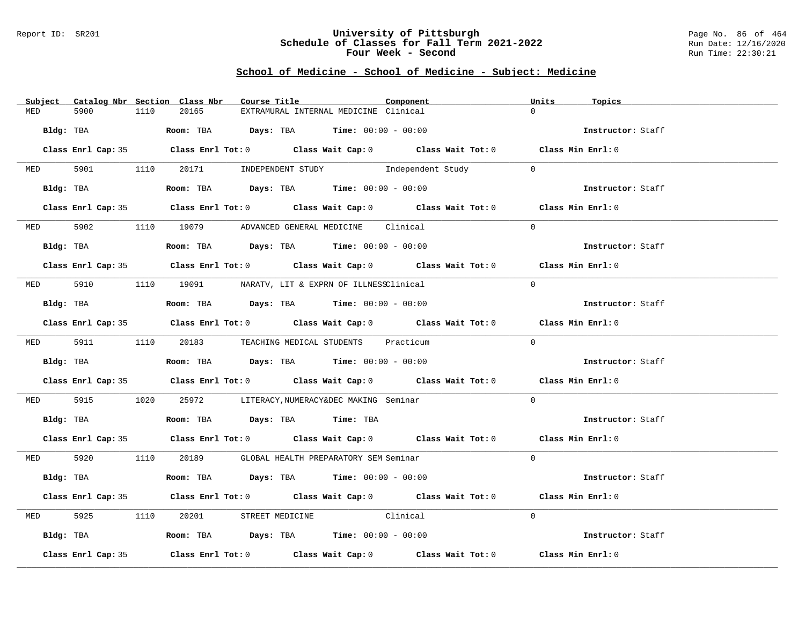#### Report ID: SR201 **University of Pittsburgh** Page No. 86 of 464 **Schedule of Classes for Fall Term 2021-2022** Run Date: 12/16/2020 **Four Week - Second Run Time: 22:30:21**

|            |                    |      | Subject Catalog Nbr Section Class Nbr | Course Title |                                                                                               | Component                                                                                  | Units    | Topics            |  |
|------------|--------------------|------|---------------------------------------|--------------|-----------------------------------------------------------------------------------------------|--------------------------------------------------------------------------------------------|----------|-------------------|--|
| MED        | 5900               | 1110 | 20165                                 |              | EXTRAMURAL INTERNAL MEDICINE Clinical                                                         |                                                                                            | $\cap$   |                   |  |
|            | Bldg: TBA          |      |                                       |              | Room: TBA $Days:$ TBA $Time: 00:00 - 00:00$                                                   |                                                                                            |          | Instructor: Staff |  |
|            |                    |      |                                       |              |                                                                                               | Class Enrl Cap: 35 Class Enrl Tot: 0 Class Wait Cap: 0 Class Wait Tot: 0 Class Min Enrl: 0 |          |                   |  |
|            |                    |      |                                       |              | MED 5901 1110 20171 INDEPENDENT STUDY Independent Study                                       |                                                                                            | $\sim$ 0 |                   |  |
|            |                    |      |                                       |              | Bldg: TBA                   Room: TBA        Days: TBA         Time: 00:00 - 00:00            |                                                                                            |          | Instructor: Staff |  |
|            |                    |      |                                       |              |                                                                                               | Class Enrl Cap: 35 Class Enrl Tot: 0 Class Wait Cap: 0 Class Wait Tot: 0 Class Min Enrl: 0 |          |                   |  |
|            |                    |      |                                       |              | MED 5902 1110 19079 ADVANCED GENERAL MEDICINE Clinical                                        |                                                                                            | $\Omega$ |                   |  |
|            |                    |      |                                       |              | Bldg: TBA                   Room: TBA         Days: TBA         Time: 00:00 - 00:00           |                                                                                            |          | Instructor: Staff |  |
|            |                    |      |                                       |              |                                                                                               | Class Enrl Cap: 35 Class Enrl Tot: 0 Class Wait Cap: 0 Class Wait Tot: 0 Class Min Enrl: 0 |          |                   |  |
|            |                    |      |                                       |              | MED 5910 1110 19091 NARATV, LIT & EXPRN OF ILLNESSClinical                                    |                                                                                            | $\Omega$ |                   |  |
|            |                    |      |                                       |              | Bldg: TBA                   Room: TBA         Days: TBA         Time: $00:00 - 00:00$         |                                                                                            |          | Instructor: Staff |  |
|            |                    |      |                                       |              |                                                                                               | Class Enrl Cap: 35 Class Enrl Tot: 0 Class Wait Cap: 0 Class Wait Tot: 0 Class Min Enrl: 0 |          |                   |  |
|            |                    |      |                                       |              | MED 5911 1110 20183 TEACHING MEDICAL STUDENTS Practicum                                       |                                                                                            | $\Omega$ |                   |  |
|            |                    |      |                                       |              | <b>Bldg:</b> TBA <b>ROOM:</b> TBA <b>Days:</b> TBA <b>Time:</b> $00:00 - 00:00$               |                                                                                            |          | Instructor: Staff |  |
|            |                    |      |                                       |              |                                                                                               | Class Enrl Cap: 35 Class Enrl Tot: 0 Class Wait Cap: 0 Class Wait Tot: 0 Class Min Enrl: 0 |          |                   |  |
| MED 5915   |                    |      |                                       |              | 1020   25972 LITERACY, NUMERACY&DEC MAKING Seminar                                            |                                                                                            | $\Omega$ |                   |  |
|            |                    |      |                                       |              | Bldg: TBA                       Room: TBA          Days: TBA          Time: TBA               |                                                                                            |          | Instructor: Staff |  |
|            |                    |      |                                       |              |                                                                                               | Class Enrl Cap: 35 Class Enrl Tot: 0 Class Wait Cap: 0 Class Wait Tot: 0 Class Min Enrl: 0 |          |                   |  |
|            |                    |      |                                       |              | MED 5920 1110 20189 GLOBAL HEALTH PREPARATORY SEM Seminar                                     |                                                                                            | $\Omega$ |                   |  |
|            |                    |      |                                       |              | Bldg: TBA                        Room: TBA           Days: TBA          Time: $00:00 - 00:00$ |                                                                                            |          | Instructor: Staff |  |
|            |                    |      |                                       |              |                                                                                               | Class Enrl Cap: 35 Class Enrl Tot: 0 Class Wait Cap: 0 Class Wait Tot: 0 Class Min Enrl: 0 |          |                   |  |
| <b>MED</b> | 5925               |      |                                       |              | 1110 20201 STREET MEDICINE Clinical                                                           |                                                                                            | $\Omega$ |                   |  |
|            |                    |      |                                       |              | Bldg: TBA                   Room: TBA         Days: TBA         Time: 00:00 - 00:00           |                                                                                            |          | Instructor: Staff |  |
|            | Class Enrl Cap: 35 |      |                                       |              |                                                                                               | Class Enrl Tot: $0$ Class Wait Cap: $0$ Class Wait Tot: $0$ Class Min Enrl: $0$            |          |                   |  |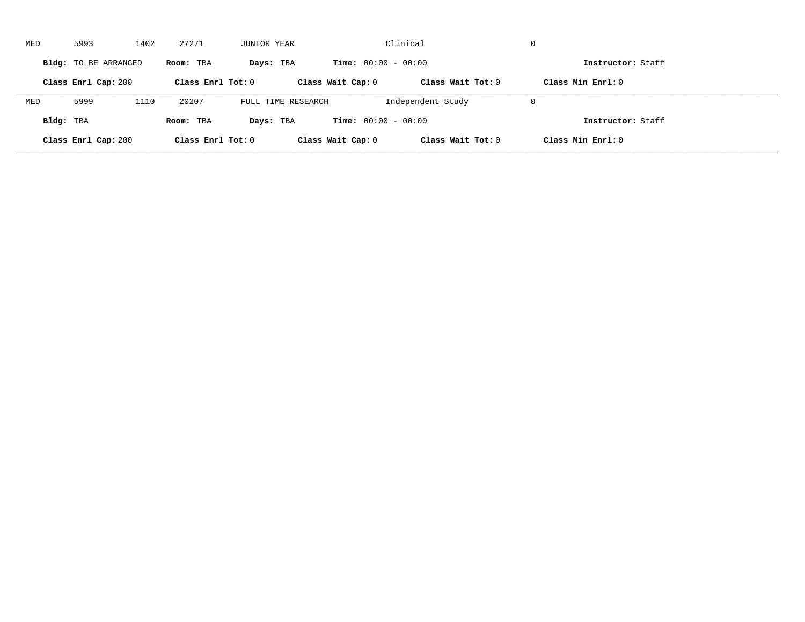| MED       | 5993                 | 1402 | 27271               | JUNIOR YEAR        |                              | Clinical            | $\mathbf 0$         |  |
|-----------|----------------------|------|---------------------|--------------------|------------------------------|---------------------|---------------------|--|
|           | Bldg: TO BE ARRANGED |      | Room: TBA           | Days: TBA          | <b>Time:</b> $00:00 - 00:00$ |                     | Instructor: Staff   |  |
|           | Class Enrl Cap: 200  |      | Class Enrl Tot: $0$ |                    | Class Wait Cap: 0            | Class Wait $Tot: 0$ | Class Min $Enr1: 0$ |  |
| MED       | 5999                 | 1110 | 20207               | FULL TIME RESEARCH |                              | Independent Study   | $\mathbf 0$         |  |
| Bldg: TBA |                      |      | Room: TBA           | Days: TBA          | <b>Time:</b> $00:00 - 00:00$ |                     | Instructor: Staff   |  |
|           | Class Enrl Cap: 200  |      | Class Enrl Tot: 0   |                    | Class Wait Cap: 0            | Class Wait Tot: 0   | Class Min Enrl: 0   |  |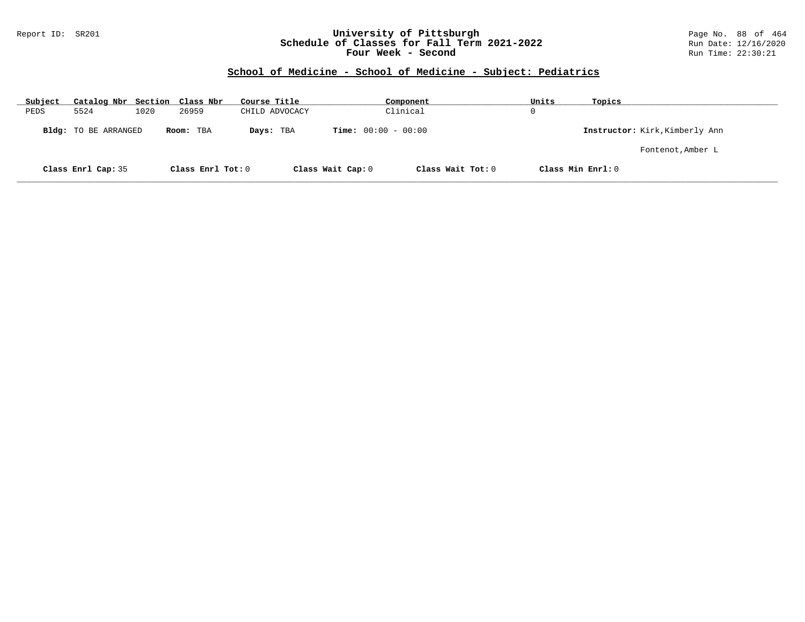### Report ID: SR201 **University of Pittsburgh** Page No. 88 of 464 **Schedule of Classes for Fall Term 2021-2022** Run Date: 12/16/2020 **Four Week - Second Run Time: 22:30:21**

| Subject | Catalog Nbr Section Class Nbr |      |                   | Course Title   |                              | Component         | Units    | Topics                         |
|---------|-------------------------------|------|-------------------|----------------|------------------------------|-------------------|----------|--------------------------------|
| PEDS    | 5524                          | 1020 | 26959             | CHILD ADVOCACY |                              | Clinical          | $\Omega$ |                                |
|         | Bldg: TO BE ARRANGED          |      | Room: TBA         | Days: TBA      | <b>Time:</b> $00:00 - 00:00$ |                   |          | Instructor: Kirk, Kimberly Ann |
|         |                               |      |                   |                |                              |                   |          | Fontenot, Amber L              |
|         | Class Enrl Cap: 35            |      | Class Enrl Tot: 0 |                | Class Wait Cap: 0            | Class Wait Tot: 0 |          | Class Min Enrl: 0              |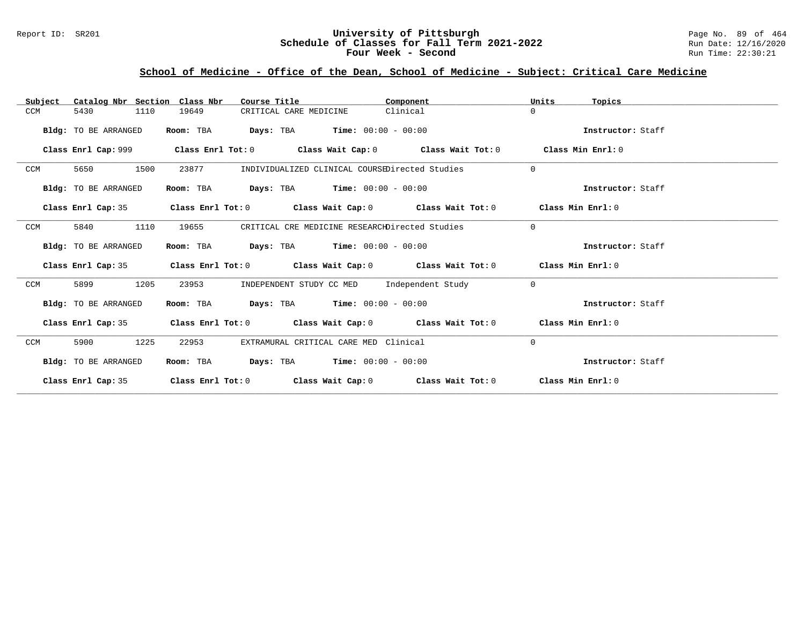### Report ID: SR201 **University of Pittsburgh** Page No. 89 of 464 **Schedule of Classes for Fall Term 2021-2022** Run Date: 12/16/2020 **Four Week - Second Run Time: 22:30:21**

# **School of Medicine - Office of the Dean, School of Medicine - Subject: Critical Care Medicine**

| Catalog Nbr Section Class Nbr<br>Subject | Course Title                                                                                         | Component | Units<br>Topics   |
|------------------------------------------|------------------------------------------------------------------------------------------------------|-----------|-------------------|
| 5430<br>1110<br>CCM                      | 19649<br>CRITICAL CARE MEDICINE                                                                      | Clinical  | $\Omega$          |
| Bldg: TO BE ARRANGED                     | <b>Days:</b> TBA <b>Time:</b> $00:00 - 00:00$<br>Room: TBA                                           |           | Instructor: Staff |
|                                          | Class Enrl Cap: 999 $\qquad$ Class Enrl Tot: 0 $\qquad$ Class Wait Cap: 0 $\qquad$ Class Wait Tot: 0 |           | Class Min Enrl: 0 |
| CCM<br>5650<br>1500                      | 23877<br>INDIVIDUALIZED CLINICAL COURSEDirected Studies                                              |           | $\Omega$          |
| Bldg: TO BE ARRANGED                     | <b>Days:</b> TBA <b>Time:</b> $00:00 - 00:00$<br>Room: TBA                                           |           | Instructor: Staff |
| Class Enrl Cap: 35                       | Class Enrl Tot: 0 $\,$ Class Wait Cap: 0 $\,$ Class Wait Tot: 0 $\,$ Class Min Enrl: 0 $\,$          |           |                   |
| CCM<br>5840<br>1110                      | CRITICAL CRE MEDICINE RESEARCHDirected Studies<br>19655                                              |           | $\Omega$          |
| Bldg: TO BE ARRANGED                     | $Days: TBA$ $Time: 00:00 - 00:00$<br>Room: TBA                                                       |           | Instructor: Staff |
|                                          | Class Enrl Cap: 35 Class Enrl Tot: 0 Class Wait Cap: 0 Class Wait Tot: 0 Class Min Enrl: 0           |           |                   |
| 1205<br>CCM<br>5899                      | INDEPENDENT STUDY CC MED Independent Study<br>23953                                                  |           | $\Omega$          |
| Bldg: TO BE ARRANGED                     | Room: TBA $Days: TBA$ Time: $00:00 - 00:00$                                                          |           | Instructor: Staff |
| Class Enrl Cap: 35                       | Class Enrl Tot: $0$ Class Wait Cap: $0$ Class Wait Tot: $0$ Class Min Enrl: $0$                      |           |                   |
| 1225<br>CCM<br>5900                      | 22953<br>EXTRAMURAL CRITICAL CARE MED Clinical                                                       |           | $\Omega$          |
| Bldg: TO BE ARRANGED                     | <b>Days:</b> TBA <b>Time:</b> $00:00 - 00:00$<br>Room: TBA                                           |           | Instructor: Staff |
| Class Enrl Cap: 35                       | Class Enrl Tot: $0$ Class Wait Cap: $0$ Class Wait Tot: $0$ Class Min Enrl: $0$                      |           |                   |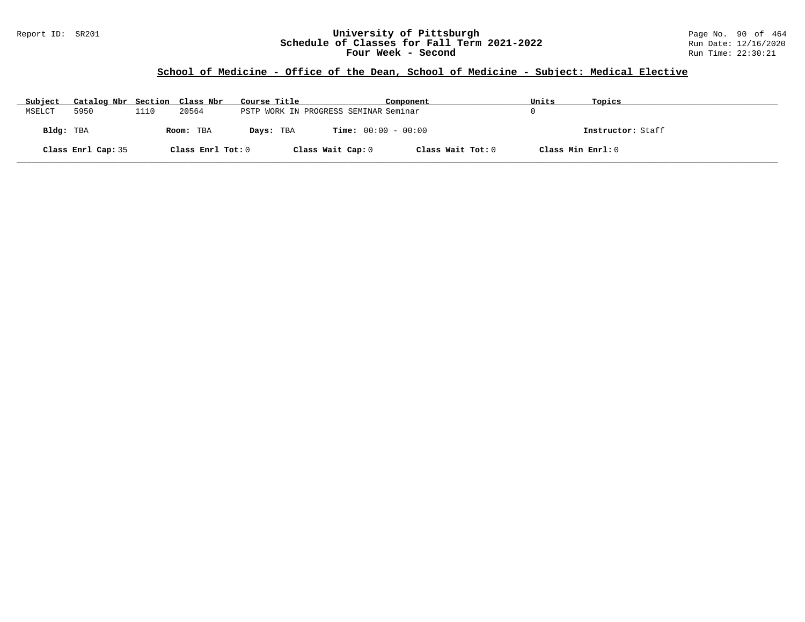### Report ID: SR201 **University of Pittsburgh** Page No. 90 of 464 **Schedule of Classes for Fall Term 2021-2022** Run Date: 12/16/2020 **Four Week - Second Run Time: 22:30:21**

# **School of Medicine - Office of the Dean, School of Medicine - Subject: Medical Elective**

| Subject   | Catalog Nbr Section Class Nbr |      |                   | Course Title                          |                              | Component         | Units             | Topics            |
|-----------|-------------------------------|------|-------------------|---------------------------------------|------------------------------|-------------------|-------------------|-------------------|
| MSELCT    | 5950                          | 1110 | 20564             | PSTP WORK IN PROGRESS SEMINAR Seminar |                              |                   |                   |                   |
| Bldg: TBA |                               |      | Room: TBA         | Days: TBA                             | <b>Time:</b> $00:00 - 00:00$ |                   |                   | Instructor: Staff |
|           | Class Enrl Cap: 35            |      | Class Enrl Tot: 0 |                                       | Class Wait Cap: 0            | Class Wait Tot: 0 | Class Min Enrl: 0 |                   |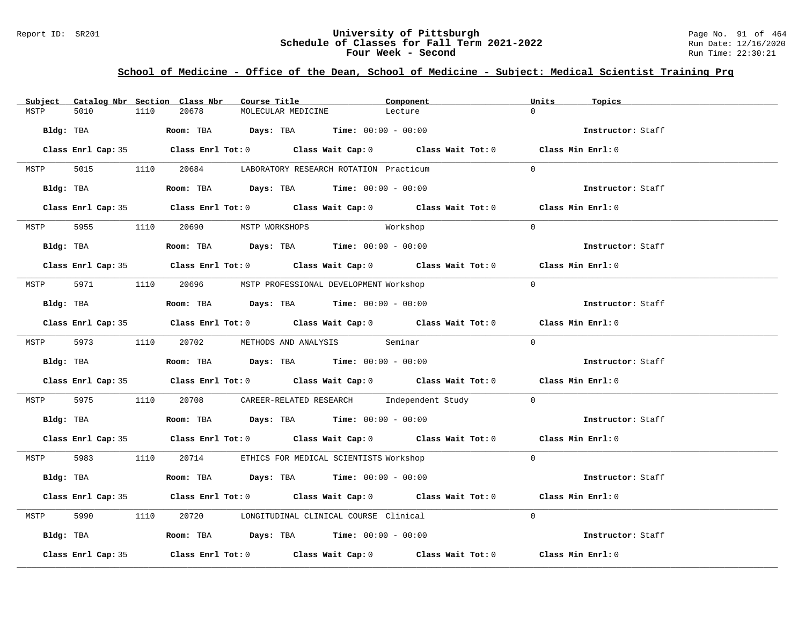### Report ID: SR201 **University of Pittsburgh University of Pittsburgh** Page No. 91 of 464<br>**Schedule of Classes for Fall Term 2021-2022** Run Date: 12/16/2020 **Schedule of Classes for Fall Term 2021-2022** Run Date: 12/16/2020 **Four Week - Second Run Time: 22:30:21**

# **School of Medicine - Office of the Dean, School of Medicine - Subject: Medical Scientist Training Prg**

| Subject |                    |      | Catalog Nbr Section Class Nbr       | Course Title       |                                                                                         | Component                                                                                  | Units    | Topics            |
|---------|--------------------|------|-------------------------------------|--------------------|-----------------------------------------------------------------------------------------|--------------------------------------------------------------------------------------------|----------|-------------------|
| MSTP    | 5010               | 1110 | 20678                               | MOLECULAR MEDICINE |                                                                                         | Lecture                                                                                    | $\Omega$ |                   |
|         |                    |      |                                     |                    | Bldg: TBA                   Room: TBA        Days: TBA        Time: 00:00 - 00:00       |                                                                                            |          | Instructor: Staff |
|         |                    |      |                                     |                    |                                                                                         | Class Enrl Cap: 35 Class Enrl Tot: 0 Class Wait Cap: 0 Class Wait Tot: 0 Class Min Enrl: 0 |          |                   |
| MSTP    |                    |      |                                     |                    | 5015 1110 20684 LABORATORY RESEARCH ROTATION Practicum                                  |                                                                                            | $\Omega$ |                   |
|         |                    |      |                                     |                    | Bldg: TBA                   Room: TBA         Days: TBA         Time: $00:00 - 00:00$   |                                                                                            |          | Instructor: Staff |
|         |                    |      |                                     |                    |                                                                                         | Class Enrl Cap: 35 Class Enrl Tot: 0 Class Wait Cap: 0 Class Wait Tot: 0 Class Min Enrl: 0 |          |                   |
|         |                    |      | MSTP 5955 1110 20690 MSTP WORKSHOPS |                    |                                                                                         | Workshop                                                                                   | $\Omega$ |                   |
|         |                    |      |                                     |                    |                                                                                         |                                                                                            |          | Instructor: Staff |
|         |                    |      |                                     |                    |                                                                                         | Class Enrl Cap: 35 Class Enrl Tot: 0 Class Wait Cap: 0 Class Wait Tot: 0 Class Min Enrl: 0 |          |                   |
|         |                    |      |                                     |                    | MSTP 5971 1110 20696 MSTP PROFESSIONAL DEVELOPMENT Workshop                             |                                                                                            | $\Omega$ |                   |
|         |                    |      |                                     |                    | Bldg: TBA                    Room: TBA         Days: TBA         Time: $00:00 - 00:00$  |                                                                                            |          | Instructor: Staff |
|         |                    |      |                                     |                    |                                                                                         | Class Enrl Cap: 35 Class Enrl Tot: 0 Class Wait Cap: 0 Class Wait Tot: 0 Class Min Enrl: 0 |          |                   |
|         |                    |      |                                     |                    | MSTP 5973 1110 20702 METHODS AND ANALYSIS Seminar                                       |                                                                                            | $\Omega$ |                   |
|         |                    |      |                                     |                    | Bldg: TBA                     Room: TBA         Days: TBA         Time: $00:00 - 00:00$ |                                                                                            |          | Instructor: Staff |
|         |                    |      |                                     |                    |                                                                                         | Class Enrl Cap: 35 Class Enrl Tot: 0 Class Wait Cap: 0 Class Wait Tot: 0 Class Min Enrl: 0 |          |                   |
|         |                    |      |                                     |                    |                                                                                         | MSTP 5975 1110 20708 CAREER-RELATED RESEARCH Independent Study 0                           |          |                   |
|         |                    |      |                                     |                    | Bldg: TBA                    Room: TBA          Days: TBA         Time: $00:00 - 00:00$ |                                                                                            |          | Instructor: Staff |
|         |                    |      |                                     |                    |                                                                                         | Class Enrl Cap: 35 Class Enrl Tot: 0 Class Wait Cap: 0 Class Wait Tot: 0 Class Min Enrl: 0 |          |                   |
|         |                    |      |                                     |                    | MSTP 5983 1110 20714 ETHICS FOR MEDICAL SCIENTISTS Workshop                             |                                                                                            | $\Omega$ |                   |
|         |                    |      |                                     |                    | Bldg: TBA                   Room: TBA         Days: TBA        Time: 00:00 - 00:00      |                                                                                            |          | Instructor: Staff |
|         |                    |      |                                     |                    |                                                                                         | Class Enrl Cap: 35 Class Enrl Tot: 0 Class Wait Cap: 0 Class Wait Tot: 0 Class Min Enrl: 0 |          |                   |
| MSTP    |                    |      |                                     |                    | 5990 1110 20720 LONGITUDINAL CLINICAL COURSE Clinical                                   |                                                                                            | $\Omega$ |                   |
|         |                    |      |                                     |                    | Bldg: TBA                    Room: TBA         Days: TBA         Time: $00:00 - 00:00$  |                                                                                            |          | Instructor: Staff |
|         | Class Enrl Cap: 35 |      |                                     |                    |                                                                                         | Class Enrl Tot: $0$ Class Wait Cap: $0$ Class Wait Tot: $0$ Class Min Enrl: $0$            |          |                   |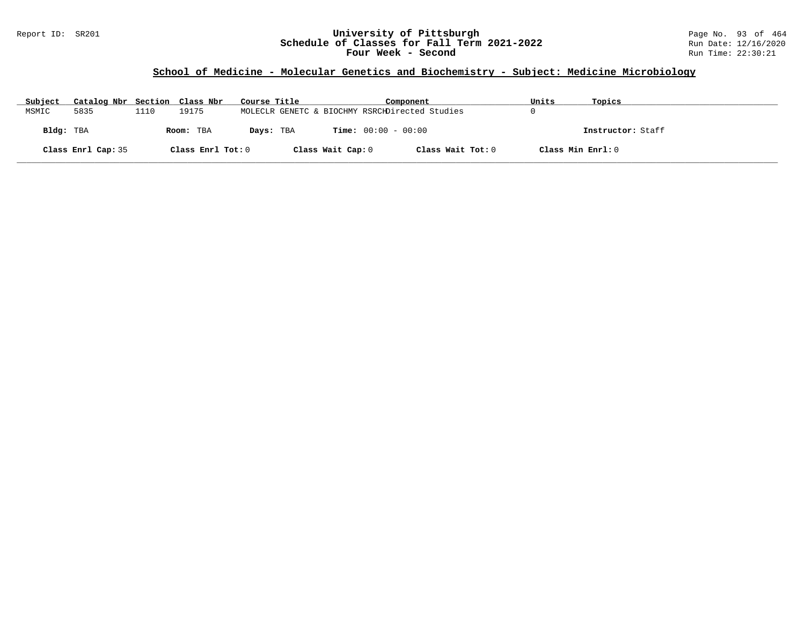### Report ID: SR201 **University of Pittsburgh** Page No. 93 of 464 **Schedule of Classes for Fall Term 2021-2022** Run Date: 12/16/2020 **Four Week - Second Run Time: 22:30:21**

### **School of Medicine - Molecular Genetics and Biochemistry - Subject: Medicine Microbiology**

| Subject            | Catalog Nbr Section Class Nbr |                   | Course Title |                   | Component                                      | Units | Topics            |
|--------------------|-------------------------------|-------------------|--------------|-------------------|------------------------------------------------|-------|-------------------|
| 5835<br>MSMIC      | 1110                          | 19175             |              |                   | MOLECLR GENETC & BIOCHMY RSRCHDirected Studies |       |                   |
| Bldg: TBA          |                               | Room: TBA         | Days: TBA    |                   | <b>Time:</b> $00:00 - 00:00$                   |       | Instructor: Staff |
| Class Enrl Cap: 35 |                               | Class Enrl Tot: 0 |              | Class Wait Cap: 0 | Class Wait Tot: 0                              |       | Class Min Enrl: 0 |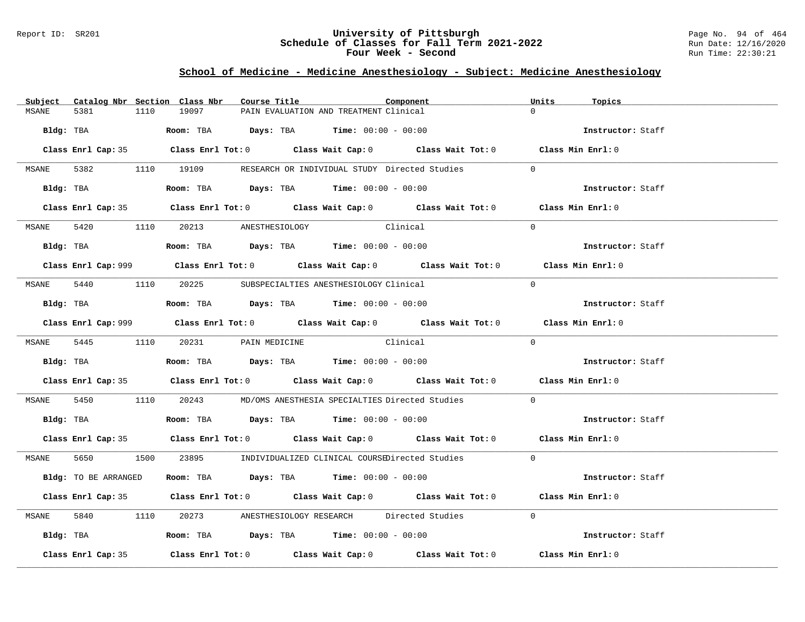#### Report ID: SR201 **University of Pittsburgh** Page No. 94 of 464 **Schedule of Classes for Fall Term 2021-2022** Run Date: 12/16/2020 **Four Week - Second Run Time: 22:30:21**

### **School of Medicine - Medicine Anesthesiology - Subject: Medicine Anesthesiology**

| Subject |                      |      | Catalog Nbr Section Class Nbr        | Course Title |                                                                                              | Component                                                                                  | Units    | Topics            |
|---------|----------------------|------|--------------------------------------|--------------|----------------------------------------------------------------------------------------------|--------------------------------------------------------------------------------------------|----------|-------------------|
| MSANE   | 5381                 | 1110 | 19097                                |              | PAIN EVALUATION AND TREATMENT Clinical                                                       |                                                                                            |          |                   |
|         |                      |      |                                      |              | Bldg: TBA                    Room: TBA         Days: TBA        Time: $00:00 - 00:00$        |                                                                                            |          | Instructor: Staff |
|         |                      |      |                                      |              |                                                                                              | Class Enrl Cap: 35 Class Enrl Tot: 0 Class Wait Cap: 0 Class Wait Tot: 0 Class Min Enrl: 0 |          |                   |
|         |                      |      |                                      |              |                                                                                              | MSANE 5382 1110 19109 RESEARCH OR INDIVIDUAL STUDY Directed Studies                        | $\Omega$ |                   |
|         | Bldg: TBA            |      |                                      |              | Room: TBA $Days:$ TBA $Time: 00:00 - 00:00$                                                  |                                                                                            |          | Instructor: Staff |
|         |                      |      |                                      |              |                                                                                              | Class Enrl Cap: 35 Class Enrl Tot: 0 Class Wait Cap: 0 Class Wait Tot: 0 Class Min Enrl: 0 |          |                   |
|         |                      |      | MSANE 5420 1110 20213 ANESTHESIOLOGY |              | Clinical                                                                                     |                                                                                            | $\Omega$ |                   |
|         |                      |      |                                      |              | <b>Bldg:</b> TBA <b>Room:</b> TBA <b>Days:</b> TBA <b>Time:</b> $00:00 - 00:00$              |                                                                                            |          | Instructor: Staff |
|         |                      |      |                                      |              |                                                                                              |                                                                                            |          | Class Min Enrl: 0 |
|         |                      |      |                                      |              | MSANE 5440 1110 20225 SUBSPECIALTIES ANESTHESIOLOGY Clinical                                 |                                                                                            | $\Omega$ |                   |
|         |                      |      |                                      |              | Bldg: TBA                    Room: TBA         Days: TBA         Time: $00:00 - 00:00$       |                                                                                            |          | Instructor: Staff |
|         |                      |      |                                      |              |                                                                                              | Class Enrl Cap: 999 Class Enrl Tot: 0 Class Wait Cap: 0 Class Wait Tot: 0                  |          | Class Min Enrl: 0 |
|         |                      |      | MSANE 5445 1110 20231 PAIN MEDICINE  |              | Clinical                                                                                     |                                                                                            | $\Omega$ |                   |
|         |                      |      |                                      |              | Bldg: TBA                         Room: TBA          Days: TBA         Time: $00:00 - 00:00$ |                                                                                            |          | Instructor: Staff |
|         |                      |      |                                      |              |                                                                                              | Class Enrl Cap: 35 Class Enrl Tot: 0 Class Wait Cap: 0 Class Wait Tot: 0 Class Min Enrl: 0 |          |                   |
| MSANE   |                      |      |                                      |              |                                                                                              | 5450 1110 20243 MD/OMS ANESTHESIA SPECIALTIES Directed Studies                             | $\Omega$ |                   |
|         |                      |      |                                      |              | Bldg: TBA                       Room: TBA         Days: TBA         Time: 00:00 - 00:00      |                                                                                            |          | Instructor: Staff |
|         |                      |      |                                      |              |                                                                                              | Class Enrl Cap: 35 Class Enrl Tot: 0 Class Wait Cap: 0 Class Wait Tot: 0 Class Min Enrl: 0 |          |                   |
|         |                      |      |                                      |              |                                                                                              | MSANE 5650 1500 23895 INDIVIDUALIZED CLINICAL COURSEDirected Studies                       | $\Omega$ |                   |
|         | Bldg: TO BE ARRANGED |      |                                      |              | Room: TBA $Days:$ TBA $Time: 00:00 - 00:00$                                                  |                                                                                            |          | Instructor: Staff |
|         |                      |      |                                      |              |                                                                                              | Class Enrl Cap: 35 Class Enrl Tot: 0 Class Wait Cap: 0 Class Wait Tot: 0 Class Min Enrl: 0 |          |                   |
| MSANE   |                      |      |                                      |              |                                                                                              | 5840 1110 20273 ANESTHESIOLOGY RESEARCH Directed Studies                                   | $\Omega$ |                   |
|         |                      |      |                                      |              |                                                                                              |                                                                                            |          | Instructor: Staff |
|         | Class Enrl Cap: 35   |      |                                      |              |                                                                                              | Class Enrl Tot: $0$ Class Wait Cap: $0$ Class Wait Tot: $0$ Class Min Enrl: $0$            |          |                   |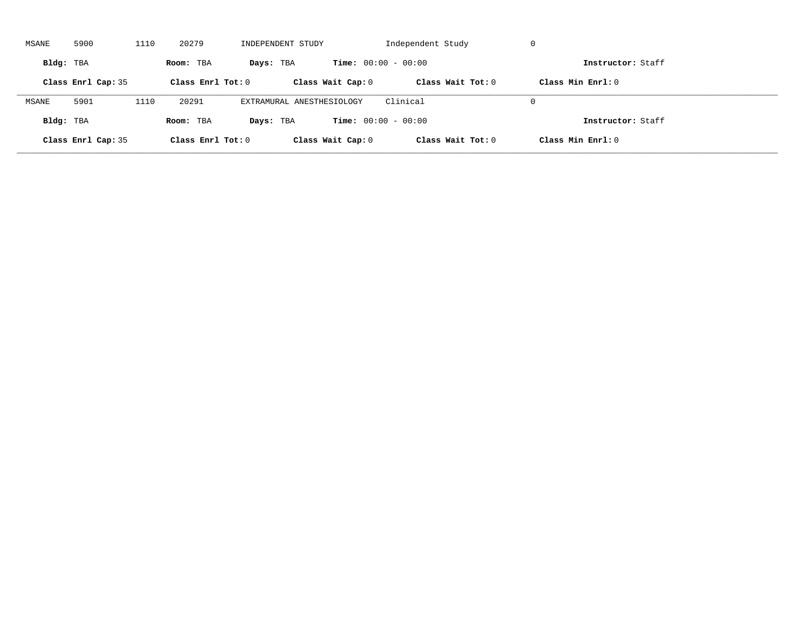| MSANE     | 5900               | 1110 | 20279             | INDEPENDENT STUDY         |                              | Independent Study | -U                |  |
|-----------|--------------------|------|-------------------|---------------------------|------------------------------|-------------------|-------------------|--|
| Bldg: TBA |                    |      | Room: TBA         | Days: TBA                 | <b>Time:</b> $00:00 - 00:00$ |                   | Instructor: Staff |  |
|           | Class Enrl Cap: 35 |      | Class Enrl Tot: 0 |                           | Class Wait Cap: 0            | Class Wait Tot: 0 | Class Min Enrl: 0 |  |
| MSANE     | 5901               | 1110 | 20291             | EXTRAMURAL ANESTHESIOLOGY |                              | Clinical          | $\Omega$          |  |
| Bldg: TBA |                    |      | Room: TBA         | Days: TBA                 | <b>Time:</b> $00:00 - 00:00$ |                   | Instructor: Staff |  |
|           | Class Enrl Cap: 35 |      | Class Enrl Tot: 0 |                           | Class Wait Cap: 0            | Class Wait Tot: 0 | Class Min Enrl: 0 |  |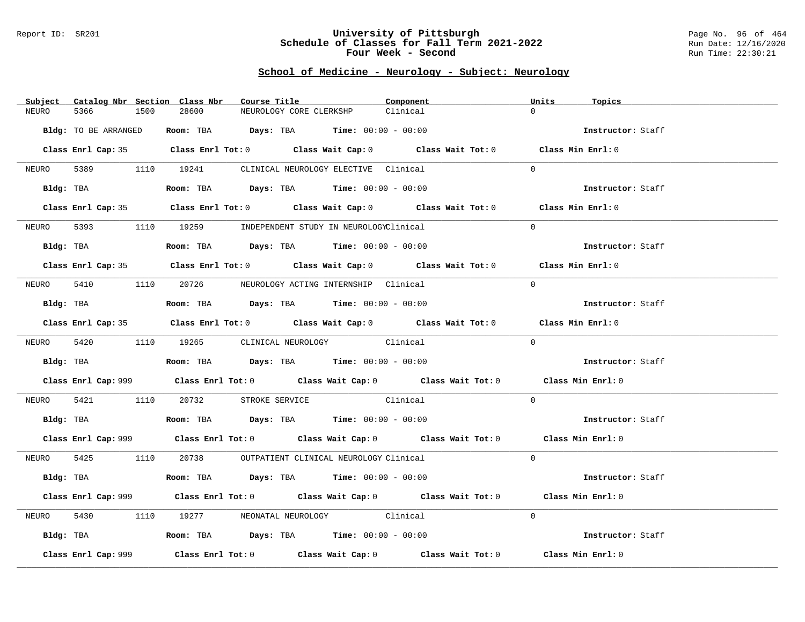#### Report ID: SR201 **University of Pittsburgh** Page No. 96 of 464 **Schedule of Classes for Fall Term 2021-2022** Run Date: 12/16/2020 **Four Week - Second Run Time: 22:30:21**

# **School of Medicine - Neurology - Subject: Neurology**

| Subject    |                      | Catalog Nbr Section Class Nbr | Course Title                                                                                  | Component | Units                                                                                       | Topics            |
|------------|----------------------|-------------------------------|-----------------------------------------------------------------------------------------------|-----------|---------------------------------------------------------------------------------------------|-------------------|
| NEURO      | 5366                 | 28600<br>1500                 | NEUROLOGY CORE CLERKSHP                                                                       | Clinical  | $\Omega$                                                                                    |                   |
|            | Bldg: TO BE ARRANGED |                               | Room: TBA $Days: TBA$ Time: $00:00 - 00:00$                                                   |           |                                                                                             | Instructor: Staff |
|            |                      |                               |                                                                                               |           | Class Enrl Cap: 35 Class Enrl Tot: 0 Class Wait Cap: 0 Class Wait Tot: 0 Class Min Enrl: 0  |                   |
|            |                      |                               | NEURO 5389 1110 19241 CLINICAL NEUROLOGY ELECTIVE Clinical                                    |           | $\Omega$                                                                                    |                   |
|            |                      |                               | Bldg: TBA                    Room: TBA         Days: TBA         Time: 00:00 - 00:00          |           |                                                                                             | Instructor: Staff |
|            |                      |                               |                                                                                               |           | Class Enrl Cap: 35 Class Enrl Tot: 0 Class Wait Cap: 0 Class Wait Tot: 0 Class Min Enrl: 0  |                   |
|            |                      |                               | NEURO 5393 1110 19259 INDEPENDENT STUDY IN NEUROLOGYClinical                                  |           | $\Omega$                                                                                    |                   |
|            |                      |                               | Bldg: TBA                       Room: TBA          Days: TBA         Time: 00:00 - 00:00      |           |                                                                                             | Instructor: Staff |
|            |                      |                               |                                                                                               |           | Class Enrl Cap: 35 Class Enrl Tot: 0 Class Wait Cap: 0 Class Wait Tot: 0 Class Min Enrl: 0  |                   |
|            |                      |                               | NEURO 5410 1110 20726 NEUROLOGY ACTING INTERNSHIP Clinical                                    |           | $\Omega$                                                                                    |                   |
|            |                      |                               | Bldg: TBA                         Room: TBA           Days: TBA           Time: 00:00 - 00:00 |           |                                                                                             | Instructor: Staff |
|            |                      |                               |                                                                                               |           | Class Enrl Cap: 35 Class Enrl Tot: 0 Class Wait Cap: 0 Class Wait Tot: 0 Class Min Enrl: 0  |                   |
|            |                      |                               | NEURO 5420 1110 19265 CLINICAL NEUROLOGY Clinical                                             |           | $\Omega$                                                                                    |                   |
|            |                      |                               | Bldg: TBA                   Room: TBA         Days: TBA         Time: 00:00 - 00:00           |           | Instructor: Staff                                                                           |                   |
|            |                      |                               |                                                                                               |           | Class Enrl Cap: 999 Class Enrl Tot: 0 Class Wait Cap: 0 Class Wait Tot: 0 Class Min Enrl: 0 |                   |
| NEURO 5421 |                      |                               | 1110 20732 STROKE SERVICE Clinical                                                            |           | $\Omega$                                                                                    |                   |
|            |                      |                               | Bldg: TBA                          Room: TBA          Days: TBA         Time: $00:00 - 00:00$ |           |                                                                                             | Instructor: Staff |
|            |                      |                               |                                                                                               |           | Class Enrl Cap: 999 Class Enrl Tot: 0 Class Wait Cap: 0 Class Wait Tot: 0 Class Min Enrl: 0 |                   |
|            |                      |                               | NEURO 5425 1110 20738 OUTPATIENT CLINICAL NEUROLOGY Clinical                                  |           | $\Omega$                                                                                    |                   |
|            |                      |                               | Bldg: TBA                    Room: TBA         Days: TBA         Time: $00:00 - 00:00$        |           |                                                                                             | Instructor: Staff |
|            |                      |                               |                                                                                               |           | Class Enrl Cap: 999 Class Enrl Tot: 0 Class Wait Cap: 0 Class Wait Tot: 0 Class Min Enrl: 0 |                   |
| NEURO      | 5430                 |                               | 1110 19277 NEONATAL NEUROLOGY Clinical                                                        |           | $\Omega$                                                                                    |                   |
|            |                      |                               | Bldg: TBA                   Room: TBA         Days: TBA         Time: 00:00 - 00:00           |           |                                                                                             | Instructor: Staff |
|            | Class Enrl Cap: 999  |                               | Class Enrl Tot: $0$ Class Wait Cap: $0$ Class Wait Tot: $0$                                   |           | Class Min Enrl: 0                                                                           |                   |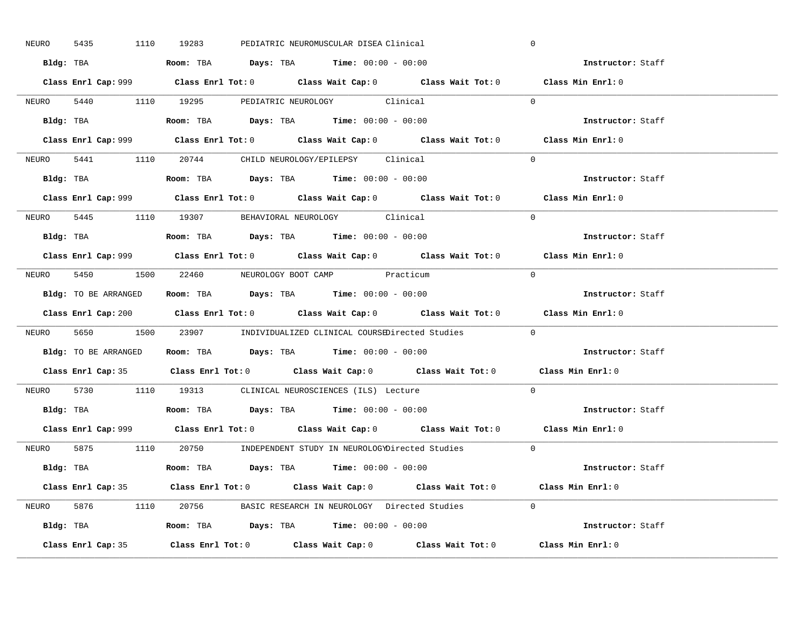| 5435<br>NEURO | 1110 19283<br>PEDIATRIC NEUROMUSCULAR DISEA Clinical                                        | $\mathbf 0$       |
|---------------|---------------------------------------------------------------------------------------------|-------------------|
|               | Bldg: TBA                     Room: TBA         Days: TBA         Time: 00:00 - 00:00       | Instructor: Staff |
|               | Class Enrl Cap: 999 Class Enrl Tot: 0 Class Wait Cap: 0 Class Wait Tot: 0 Class Min Enrl: 0 |                   |
|               | NEURO 5440 1110 19295 PEDIATRIC NEUROLOGY Clinical                                          | $\Omega$          |
|               |                                                                                             | Instructor: Staff |
|               |                                                                                             | Class Min Enrl: 0 |
|               | NEURO 5441 1110 20744 CHILD NEUROLOGY/EPILEPSY Clinical                                     | $\Omega$          |
|               | Bldg: TBA                   Room: TBA         Days: TBA         Time: 00:00 - 00:00         | Instructor: Staff |
|               | Class Enrl Cap: 999 Class Enrl Tot: 0 Class Wait Cap: 0 Class Wait Tot: 0 Class Min Enrl: 0 |                   |
|               | NEURO 5445 1110 19307 BEHAVIORAL NEUROLOGY Clinical                                         | $\Omega$          |
|               | Bldg: TBA                   Room: TBA         Days: TBA         Time: 00:00 - 00:00         | Instructor: Staff |
|               | Class Enrl Cap: 999 Class Enrl Tot: 0 Class Wait Cap: 0 Class Wait Tot: 0 Class Min Enrl: 0 |                   |
|               | NEURO 5450 1500 22460 NEUROLOGY BOOT CAMP Practicum                                         | $\bigcap$         |
|               | Bldg: TO BE ARRANGED ROOM: TBA Days: TBA Time: 00:00 - 00:00                                | Instructor: Staff |
|               | Class Enrl Cap: 200 Class Enrl Tot: 0 Class Wait Cap: 0 Class Wait Tot: 0 Class Min Enrl: 0 |                   |
|               | NEURO 5650 1500 23907 INDIVIDUALIZED CLINICAL COURSEDirected Studies 0                      |                   |
|               |                                                                                             |                   |
|               | Bldg: TO BE ARRANGED Room: TBA Days: TBA Time: 00:00 - 00:00                                | Instructor: Staff |
|               | Class Enrl Cap: 35 Class Enrl Tot: 0 Class Wait Cap: 0 Class Wait Tot: 0 Class Min Enrl: 0  |                   |
| NEURO         | 5730 1110 19313 CLINICAL NEUROSCIENCES (ILS) Lecture                                        | $\Omega$          |
|               | Bldg: TBA                   Room: TBA         Days: TBA         Time: $00:00 - 00:00$       | Instructor: Staff |
|               | Class Enrl Cap: 999 Class Enrl Tot: 0 Class Wait Cap: 0 Class Wait Tot: 0 Class Min Enrl: 0 |                   |
|               | NEURO 5875 1110 20750 INDEPENDENT STUDY IN NEUROLOGYDirected Studies 0                      |                   |
|               | Bldg: TBA                     Room: TBA         Days: TBA         Time: 00:00 - 00:00       | Instructor: Staff |
|               | Class Enrl Cap: 35 Class Enrl Tot: 0 Class Wait Cap: 0 Class Wait Tot: 0 Class Min Enrl: 0  |                   |
|               | NEURO 5876 1110 20756 BASIC RESEARCH IN NEUROLOGY Directed Studies 0                        |                   |
|               |                                                                                             | Instructor: Staff |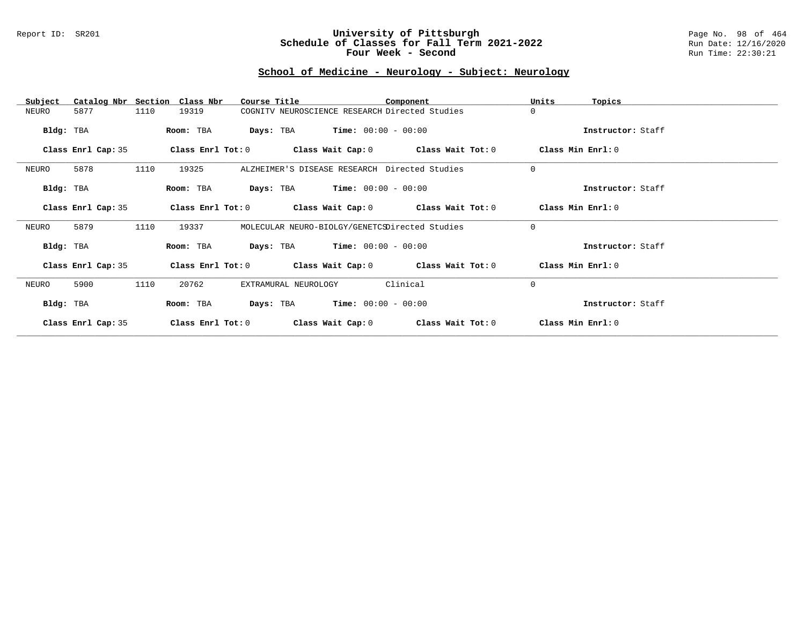#### Report ID: SR201 **University of Pittsburgh** Page No. 98 of 464 **Schedule of Classes for Fall Term 2021-2022** Run Date: 12/16/2020 **Four Week - Second Run Time: 22:30:21**

# **School of Medicine - Neurology - Subject: Neurology**

| Subject            | Catalog Nbr Section Class Nbr | Course Title                                   |                                               | Component                                                   | Units<br>Topics       |  |
|--------------------|-------------------------------|------------------------------------------------|-----------------------------------------------|-------------------------------------------------------------|-----------------------|--|
| 5877<br>NEURO      | 1110<br>19319                 |                                                |                                               | COGNITV NEUROSCIENCE RESEARCH Directed Studies              | $\Omega$              |  |
| Bldg: TBA          | Room: TBA                     |                                                | <b>Days:</b> TBA <b>Time:</b> $00:00 - 00:00$ |                                                             | Instructor: Staff     |  |
| Class Enrl Cap: 35 |                               |                                                |                                               | Class Enrl Tot: $0$ Class Wait Cap: $0$ Class Wait Tot: $0$ | Class Min Enrl: 0     |  |
| 5878<br>NEURO      | 1110<br>19325                 |                                                |                                               | ALZHEIMER'S DISEASE RESEARCH Directed Studies               | $\mathbf 0$           |  |
| Bldg: TBA          | Room: TBA                     |                                                | <b>Days:</b> TBA <b>Time:</b> $00:00 - 00:00$ |                                                             | Instructor: Staff     |  |
| Class Enrl Cap: 35 | Class Enrl Tot: 0             |                                                |                                               | Class Wait Cap: $0$ Class Wait Tot: $0$                     | Class Min Enrl: 0     |  |
| 5879<br>NEURO      | 1110<br>19337                 | MOLECULAR NEURO-BIOLGY/GENETCSDirected Studies |                                               |                                                             | $\Omega$              |  |
| Bldg: TBA          | Room: TBA                     |                                                | <b>Days:</b> TBA <b>Time:</b> $00:00 - 00:00$ |                                                             | Instructor: Staff     |  |
| Class Enrl Cap: 35 |                               |                                                |                                               | Class Enrl Tot: $0$ Class Wait Cap: $0$ Class Wait Tot: $0$ | $Class$ Min $Enrl: 0$ |  |
| NEURO<br>5900      | 1110<br>20762                 | EXTRAMURAL NEUROLOGY                           |                                               | Clinical                                                    | $\Omega$              |  |
| Bldg: TBA          | Room: TBA                     | Days: TBA                                      | $Time: 00:00 - 00:00$                         |                                                             | Instructor: Staff     |  |
| Class Enrl Cap: 35 | Class Enrl Tot: 0             |                                                | Class Wait Cap: 0                             | Class Wait Tot: 0                                           | Class Min Enrl: 0     |  |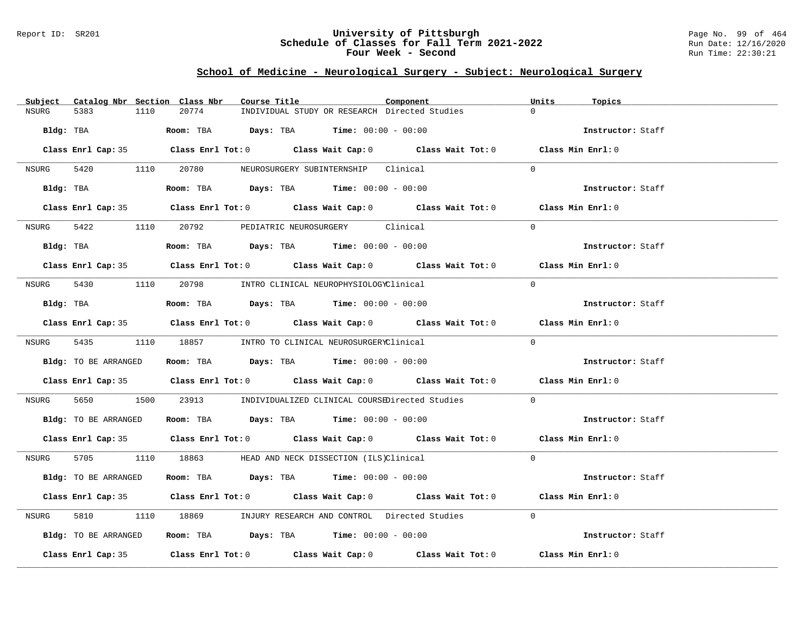#### Report ID: SR201 **University of Pittsburgh** Page No. 99 of 464 **Schedule of Classes for Fall Term 2021-2022** Run Date: 12/16/2020 **Four Week - Second Run Time: 22:30:21**

### **School of Medicine - Neurological Surgery - Subject: Neurological Surgery**

| Catalog Nbr Section Class Nbr<br>Subject | Course Title                                                                               | Component | Units<br>Topics   |
|------------------------------------------|--------------------------------------------------------------------------------------------|-----------|-------------------|
| 1110<br>NSURG<br>5383                    | 20774<br>INDIVIDUAL STUDY OR RESEARCH Directed Studies                                     |           | $\Omega$          |
| Bldg: TBA                                | <b>Room:</b> TBA $Days: TBA$ <b>Time:</b> $00:00 - 00:00$                                  |           | Instructor: Staff |
|                                          | Class Enrl Cap: 35 Class Enrl Tot: 0 Class Wait Cap: 0 Class Wait Tot: 0 Class Min Enrl: 0 |           |                   |
|                                          | NSURG 5420 1110 20780 NEUROSURGERY SUBINTERNSHIP Clinical                                  | $\Omega$  |                   |
| Bldg: TBA                                | Room: TBA $Days:$ TBA $Time: 00:00 - 00:00$                                                |           | Instructor: Staff |
|                                          | Class Enrl Cap: 35 Class Enrl Tot: 0 Class Wait Cap: 0 Class Wait Tot: 0 Class Min Enrl: 0 |           |                   |
| NSURG                                    | 5422 1110 20792 PEDIATRIC NEUROSURGERY Clinical                                            | $\Omega$  |                   |
| Bldg: TBA                                | Room: TBA $Days:$ TBA $Time: 00:00 - 00:00$                                                |           | Instructor: Staff |
|                                          | Class Enrl Cap: 35 Class Enrl Tot: 0 Class Wait Cap: 0 Class Wait Tot: 0 Class Min Enrl: 0 |           |                   |
| NSURG                                    | 5430 1110 20798 INTRO CLINICAL NEUROPHYSIOLOGYClinical                                     | $\Omega$  |                   |
| Bldg: TBA                                | Room: TBA $\rule{1em}{0.15mm}$ Days: TBA Time: $00:00 - 00:00$                             |           | Instructor: Staff |
|                                          | Class Enrl Cap: 35 Class Enrl Tot: 0 Class Wait Cap: 0 Class Wait Tot: 0 Class Min Enrl: 0 |           |                   |
|                                          | NSURG 5435 1110 18857 INTRO TO CLINICAL NEUROSURGERYClinical                               |           | $\Omega$          |
| Bldg: TO BE ARRANGED                     | Room: TBA $Days:$ TBA $Time: 00:00 - 00:00$                                                |           | Instructor: Staff |
|                                          | Class Enrl Cap: 35 Class Enrl Tot: 0 Class Wait Cap: 0 Class Wait Tot: 0 Class Min Enrl: 0 |           |                   |
| NSURG                                    | 5650 1500 23913 INDIVIDUALIZED CLINICAL COURSEDirected Studies                             |           | $\Omega$          |
| Bldg: TO BE ARRANGED                     | Room: TBA $Days:$ TBA Time: $00:00 - 00:00$                                                |           | Instructor: Staff |
|                                          | Class Enrl Cap: 35 Class Enrl Tot: 0 Class Wait Cap: 0 Class Wait Tot: 0 Class Min Enrl: 0 |           |                   |
| NSURG                                    | 5705 1110 18863 HEAD AND NECK DISSECTION (ILS)Clinical                                     |           | $\Omega$          |
| Bldg: TO BE ARRANGED                     | Room: TBA $Days:$ TBA $Time: 00:00 - 00:00$                                                |           | Instructor: Staff |
|                                          | Class Enrl Cap: 35 Class Enrl Tot: 0 Class Wait Cap: 0 Class Wait Tot: 0 Class Min Enrl: 0 |           |                   |
| 5810 78<br>NSURG                         | 1110 18869 INJURY RESEARCH AND CONTROL Directed Studies                                    | $\Omega$  |                   |
| Bldg: TO BE ARRANGED                     | Room: TBA $\rule{1em}{0.15mm}$ Days: TBA Time: $00:00 - 00:00$                             |           | Instructor: Staff |
|                                          | Class Enrl Cap: 35 Class Enrl Tot: 0 Class Wait Cap: 0 Class Wait Tot: 0 Class Min Enrl: 0 |           |                   |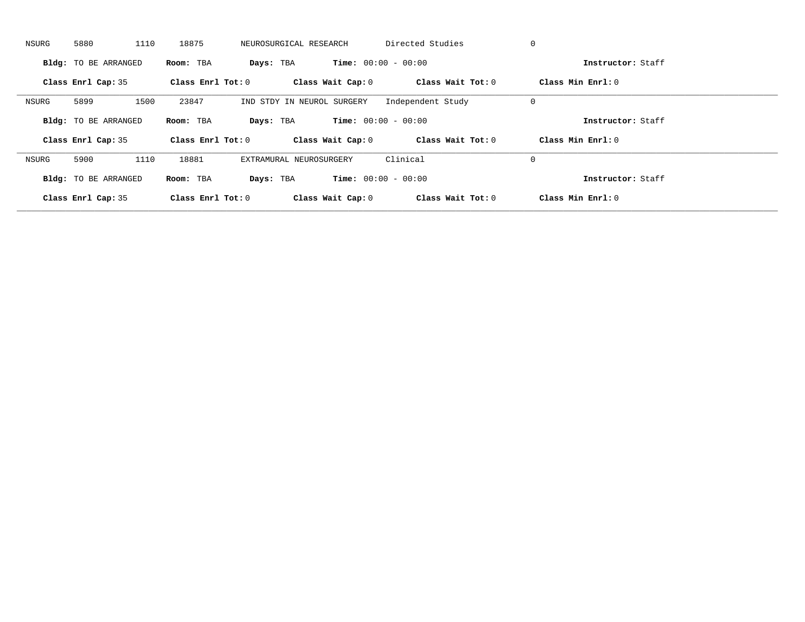| NSURG | 5880                        | 1110<br>18875       | NEUROSURGICAL RESEARCH     | Directed Studies             | 0                   |  |
|-------|-----------------------------|---------------------|----------------------------|------------------------------|---------------------|--|
|       | <b>Bldg:</b> TO BE ARRANGED | Room: TBA           | Days: TBA                  | <b>Time:</b> $00:00 - 00:00$ | Instructor: Staff   |  |
|       | Class Enrl Cap: 35          | Class Enrl Tot: $0$ | Class Wait Cap: 0          | Class Wait Tot: 0            | Class Min Enrl: 0   |  |
| NSURG | 5899                        | 1500<br>23847       | IND STDY IN NEUROL SURGERY | Independent Study            | 0                   |  |
|       | <b>Bldg:</b> TO BE ARRANGED | Room: TBA           | Days: TBA                  | <b>Time:</b> $00:00 - 00:00$ | Instructor: Staff   |  |
|       | Class Enrl Cap: 35          | Class Enrl Tot: 0   | Class Wait Cap: 0          | Class Wait Tot: 0            | Class Min $Enrl: 0$ |  |
| NSURG | 5900                        | 1110<br>18881       | EXTRAMURAL NEUROSURGERY    | Clinical                     | 0                   |  |
|       | <b>Bldg:</b> TO BE ARRANGED | Room: TBA           | Days: TBA                  | <b>Time:</b> $00:00 - 00:00$ | Instructor: Staff   |  |
|       |                             |                     |                            |                              |                     |  |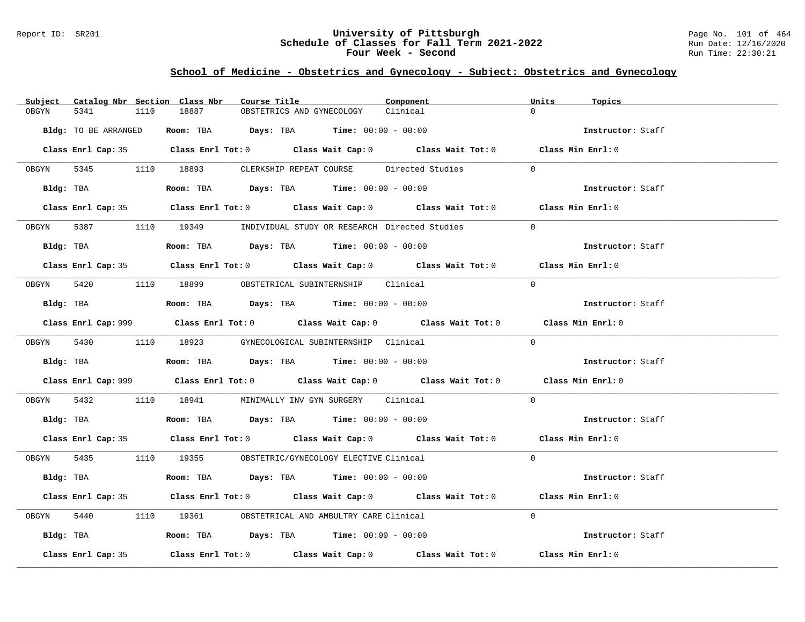#### Report ID: SR201 **University of Pittsburgh** Page No. 101 of 464 **Schedule of Classes for Fall Term 2021-2022** Run Date: 12/16/2020 **Four Week - Second Run Time: 22:30:21**

# **School of Medicine - Obstetrics and Gynecology - Subject: Obstetrics and Gynecology**

|            | Subject Catalog Nbr Section Class Nbr |      |       | Course Title |                                                                                        | Component |                                                                                             | Units    | Topics            |
|------------|---------------------------------------|------|-------|--------------|----------------------------------------------------------------------------------------|-----------|---------------------------------------------------------------------------------------------|----------|-------------------|
| OBGYN      | 5341                                  | 1110 | 18887 |              | OBSTETRICS AND GYNECOLOGY                                                              | Clinical  |                                                                                             | $\cap$   |                   |
|            | Bldg: TO BE ARRANGED                  |      |       |              | Room: TBA $Days:$ TBA $Time: 00:00 - 00:00$                                            |           |                                                                                             |          | Instructor: Staff |
|            |                                       |      |       |              |                                                                                        |           | Class Enrl Cap: 35 Class Enrl Tot: 0 Class Wait Cap: 0 Class Wait Tot: 0 Class Min Enrl: 0  |          |                   |
|            |                                       |      |       |              | OBGYN 5345 1110 18893 CLERKSHIP REPEAT COURSE Directed Studies                         |           |                                                                                             | $\Omega$ |                   |
|            | Bldg: TBA                             |      |       |              | Room: TBA $Days:$ TBA $Time: 00:00 - 00:00$                                            |           |                                                                                             |          | Instructor: Staff |
|            |                                       |      |       |              |                                                                                        |           | Class Enrl Cap: 35 Class Enrl Tot: 0 Class Wait Cap: 0 Class Wait Tot: 0 Class Min Enrl: 0  |          |                   |
|            |                                       |      |       |              | OBGYN 5387 1110 19349 INDIVIDUAL STUDY OR RESEARCH Directed Studies                    |           |                                                                                             | $\Omega$ |                   |
|            |                                       |      |       |              | Bldg: TBA                    Room: TBA         Days: TBA         Time: 00:00 - 00:00   |           |                                                                                             |          | Instructor: Staff |
|            |                                       |      |       |              |                                                                                        |           | Class Enrl Cap: 35 Class Enrl Tot: 0 Class Wait Cap: 0 Class Wait Tot: 0 Class Min Enrl: 0  |          |                   |
|            |                                       |      |       |              | OBGYN 5420 1110 18899 OBSTETRICAL SUBINTERNSHIP Clinical                               |           |                                                                                             | $\Omega$ |                   |
|            |                                       |      |       |              | Bldg: TBA                   Room: TBA         Days: TBA         Time: $00:00 - 00:00$  |           |                                                                                             |          | Instructor: Staff |
|            |                                       |      |       |              |                                                                                        |           | Class Enrl Cap: 999 Class Enrl Tot: 0 Class Wait Cap: 0 Class Wait Tot: 0 Class Min Enrl: 0 |          |                   |
|            |                                       |      |       |              | OBGYN 5430 1110 18923 GYNECOLOGICAL SUBINTERNSHIP Clinical                             |           |                                                                                             | $\Omega$ |                   |
|            |                                       |      |       |              | Bldg: TBA                    Room: TBA         Days: TBA         Time: $00:00 - 00:00$ |           |                                                                                             |          | Instructor: Staff |
|            |                                       |      |       |              |                                                                                        |           | Class Enrl Cap: 999 Class Enrl Tot: 0 Class Wait Cap: 0 Class Wait Tot: 0 Class Min Enrl: 0 |          |                   |
| OBGYN 5432 |                                       |      |       |              | 1110 18941 MINIMALLY INV GYN SURGERY Clinical                                          |           |                                                                                             | $\Omega$ |                   |
|            |                                       |      |       |              | Bldg: TBA                   Room: TBA         Days: TBA        Time: $00:00 - 00:00$   |           |                                                                                             |          | Instructor: Staff |
|            |                                       |      |       |              |                                                                                        |           | Class Enrl Cap: 35 Class Enrl Tot: 0 Class Wait Cap: 0 Class Wait Tot: 0 Class Min Enrl: 0  |          |                   |
|            |                                       |      |       |              | OBGYN 5435 1110 19355 OBSTETRIC/GYNECOLOGY ELECTIVE Clinical                           |           |                                                                                             | $\Omega$ |                   |
|            |                                       |      |       |              | Bldg: TBA                    Room: TBA         Days: TBA         Time: 00:00 - 00:00   |           |                                                                                             |          | Instructor: Staff |
|            |                                       |      |       |              |                                                                                        |           | Class Enrl Cap: 35 Class Enrl Tot: 0 Class Wait Cap: 0 Class Wait Tot: 0 Class Min Enrl: 0  |          |                   |
| OBGYN      | 5440                                  |      |       |              | 1110 19361 OBSTETRICAL AND AMBULTRY CARE Clinical                                      |           |                                                                                             | $\Omega$ |                   |
|            |                                       |      |       |              | Bldg: TBA                   Room: TBA         Days: TBA         Time: 00:00 - 00:00    |           |                                                                                             |          | Instructor: Staff |
|            | Class Enrl Cap: 35                    |      |       |              |                                                                                        |           | Class Enrl Tot: $0$ Class Wait Cap: $0$ Class Wait Tot: $0$                                 |          | Class Min Enrl: 0 |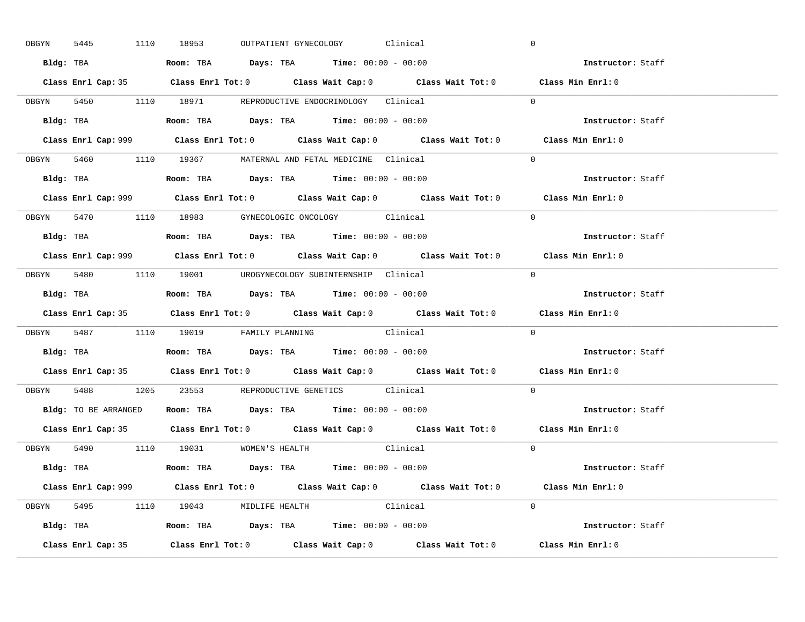|       | 5445<br>OBGYN | 1110 18953                                                                            |  | OUTPATIENT GYNECOLOGY Clinical |                                                                                            | $\mathbf 0$                                                                                 |  |
|-------|---------------|---------------------------------------------------------------------------------------|--|--------------------------------|--------------------------------------------------------------------------------------------|---------------------------------------------------------------------------------------------|--|
|       |               | Bldg: TBA                   Room: TBA         Days: TBA         Time: 00:00 - 00:00   |  |                                |                                                                                            | Instructor: Staff                                                                           |  |
|       |               |                                                                                       |  |                                |                                                                                            | Class Enrl Cap: 35 Class Enrl Tot: 0 Class Wait Cap: 0 Class Wait Tot: 0 Class Min Enrl: 0  |  |
|       |               | OBGYN 5450 1110 18971 REPRODUCTIVE ENDOCRINOLOGY Clinical                             |  |                                |                                                                                            | $\Omega$                                                                                    |  |
|       |               |                                                                                       |  |                                |                                                                                            | Instructor: Staff                                                                           |  |
|       |               |                                                                                       |  |                                | Class Enrl Cap: 999 Class Enrl Tot: 0 Class Wait Cap: 0 Class Wait Tot: 0                  | Class Min Enrl: 0                                                                           |  |
|       |               | OBGYN 5460 1110 19367 MATERNAL AND FETAL MEDICINE Clinical                            |  |                                |                                                                                            | $\Omega$                                                                                    |  |
|       |               | Bldg: TBA                   Room: TBA         Days: TBA         Time: 00:00 - 00:00   |  |                                |                                                                                            | Instructor: Staff                                                                           |  |
|       |               |                                                                                       |  |                                |                                                                                            | Class Enrl Cap: 999 Class Enrl Tot: 0 Class Wait Cap: 0 Class Wait Tot: 0 Class Min Enrl: 0 |  |
|       |               | OBGYN 5470 1110 18983 GYNECOLOGIC ONCOLOGY Clinical                                   |  |                                |                                                                                            | $\Omega$                                                                                    |  |
|       |               | Bldg: TBA                   Room: TBA         Days: TBA         Time: $00:00 - 00:00$ |  |                                |                                                                                            | Instructor: Staff                                                                           |  |
|       |               |                                                                                       |  |                                |                                                                                            | Class Enrl Cap: 999 Class Enrl Tot: 0 Class Wait Cap: 0 Class Wait Tot: 0 Class Min Enrl: 0 |  |
|       |               | OBGYN 5480 1110 19001 UROGYNECOLOGY_SUBINTERNSHIP Clinical                            |  |                                |                                                                                            | $\Omega$                                                                                    |  |
|       |               | Bldg: TBA                   Room: TBA        Days: TBA        Time: 00:00 - 00:00     |  |                                |                                                                                            | Instructor: Staff                                                                           |  |
|       |               |                                                                                       |  |                                |                                                                                            |                                                                                             |  |
|       |               |                                                                                       |  |                                | Class Enrl Cap: 35 Class Enrl Tot: 0 Class Wait Cap: 0 Class Wait Tot: 0 Class Min Enrl: 0 |                                                                                             |  |
|       |               | OBGYN 5487 1110 19019 FAMILY PLANNING Clinical                                        |  |                                |                                                                                            | $\Omega$                                                                                    |  |
|       |               | Bldg: TBA                   Room: TBA         Days: TBA         Time: 00:00 - 00:00   |  |                                |                                                                                            | Instructor: Staff                                                                           |  |
|       |               |                                                                                       |  |                                |                                                                                            | Class Enrl Cap: 35 Class Enrl Tot: 0 Class Wait Cap: 0 Class Wait Tot: 0 Class Min Enrl: 0  |  |
| OBGYN |               | 5488 1205 23553 REPRODUCTIVE GENETICS Clinical                                        |  |                                |                                                                                            | $\Omega$                                                                                    |  |
|       |               | Bldg: TO BE ARRANGED ROOM: TBA Days: TBA Time: 00:00 - 00:00                          |  |                                |                                                                                            | Instructor: Staff                                                                           |  |
|       |               |                                                                                       |  |                                |                                                                                            | Class Enrl Cap: 35 Class Enrl Tot: 0 Class Wait Cap: 0 Class Wait Tot: 0 Class Min Enrl: 0  |  |
|       |               | OBGYN 5490 1110 19031 WOMEN'S HEALTH                                                  |  |                                | Clinical                                                                                   | $\overline{0}$                                                                              |  |
|       |               | <b>Bldg:</b> TBA <b>ROOM:</b> TBA <b>Days:</b> TBA <b>Time:</b> $00:00 - 00:00$       |  |                                |                                                                                            | Instructor: Staff                                                                           |  |
|       |               |                                                                                       |  |                                |                                                                                            | Class Enrl Cap: 999 Class Enrl Tot: 0 Class Wait Cap: 0 Class Wait Tot: 0 Class Min Enrl: 0 |  |
|       |               | OBGYN 5495 1110 19043 MIDLIFE HEALTH Clinical                                         |  |                                |                                                                                            | $\Omega$                                                                                    |  |
|       |               | <b>Bldg:</b> TBA <b>ROOM:</b> TBA <b>Days:</b> TBA <b>Time:</b> $00:00 - 00:00$       |  |                                |                                                                                            | Instructor: Staff                                                                           |  |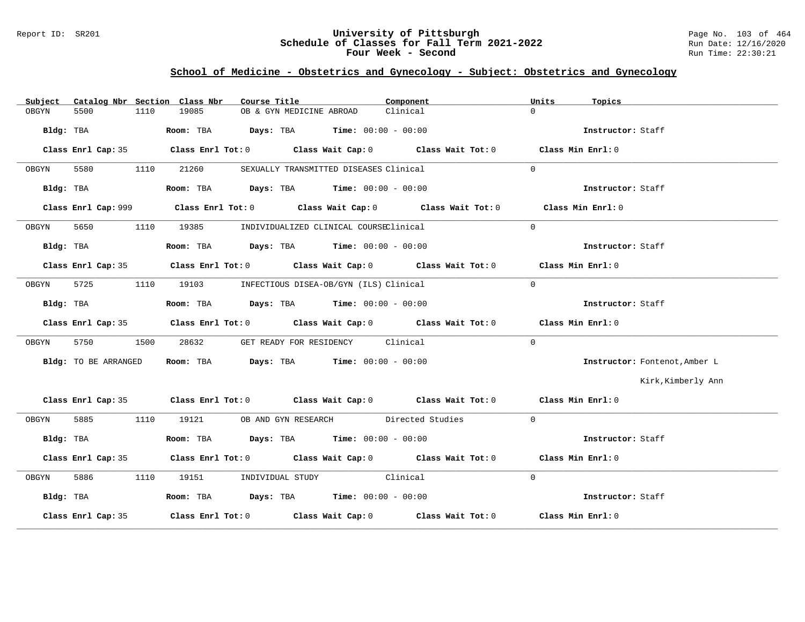#### Report ID: SR201 **University of Pittsburgh** Page No. 103 of 464 **Schedule of Classes for Fall Term 2021-2022** Run Date: 12/16/2020 **Four Week - Second Run Time: 22:30:21**

# **School of Medicine - Obstetrics and Gynecology - Subject: Obstetrics and Gynecology**

| Subject |                      |      | Catalog Nbr Section Class Nbr | Course Title                                                                           | Component                                                                                  | Units    | Topics                        |
|---------|----------------------|------|-------------------------------|----------------------------------------------------------------------------------------|--------------------------------------------------------------------------------------------|----------|-------------------------------|
| OBGYN   | 5500                 | 1110 | 19085                         | OB & GYN MEDICINE ABROAD                                                               | Clinical                                                                                   | $\Omega$ |                               |
|         |                      |      |                               |                                                                                        |                                                                                            |          | Instructor: Staff             |
|         |                      |      |                               |                                                                                        | Class Enrl Cap: 35 Class Enrl Tot: 0 Class Wait Cap: 0 Class Wait Tot: 0 Class Min Enrl: 0 |          |                               |
| OBGYN   | 5580                 |      | 1110 21260                    | SEXUALLY TRANSMITTED DISEASES Clinical                                                 |                                                                                            | $\Omega$ |                               |
|         |                      |      |                               | Bldg: TBA                   Room: TBA         Days: TBA         Time: $00:00 - 00:00$  |                                                                                            |          | Instructor: Staff             |
|         |                      |      |                               |                                                                                        | Class Enrl Cap: 999 Class Enrl Tot: 0 Class Wait Cap: 0 Class Wait Tot: 0                  |          | Class Min Enrl: 0             |
| OBGYN   | 5650                 |      | 1110 19385                    | INDIVIDUALIZED CLINICAL COURSEClinical                                                 |                                                                                            | $\Omega$ |                               |
|         |                      |      |                               |                                                                                        |                                                                                            |          | Instructor: Staff             |
|         |                      |      |                               |                                                                                        | Class Enrl Cap: 35 Class Enrl Tot: 0 Class Wait Cap: 0 Class Wait Tot: 0 Class Min Enrl: 0 |          |                               |
| OBGYN   | 5725                 |      |                               | 1110 19103 INFECTIOUS DISEA-OB/GYN (ILS) Clinical                                      |                                                                                            | $\Omega$ |                               |
|         |                      |      |                               | Bldg: TBA                     Room: TBA          Days: TBA         Time: 00:00 - 00:00 |                                                                                            |          | Instructor: Staff             |
|         |                      |      |                               |                                                                                        | Class Enrl Cap: 35 Class Enrl Tot: 0 Class Wait Cap: 0 Class Wait Tot: 0 Class Min Enrl: 0 |          |                               |
| OBGYN   | 5750                 | 1500 |                               | 28632 GET READY FOR RESIDENCY Clinical                                                 |                                                                                            | $\Omega$ |                               |
|         | Bldg: TO BE ARRANGED |      |                               | Room: TBA $Days:$ TBA Time: $00:00 - 00:00$                                            |                                                                                            |          | Instructor: Fontenot, Amber L |
|         |                      |      |                               |                                                                                        |                                                                                            |          | Kirk, Kimberly Ann            |
|         |                      |      |                               |                                                                                        | Class Enrl Cap: 35 Class Enrl Tot: 0 Class Wait Cap: 0 Class Wait Tot: 0 Class Min Enrl: 0 |          |                               |
| OBGYN   |                      |      |                               | 5885 1110 19121 OB AND GYN RESEARCH Directed Studies                                   |                                                                                            | $\Omega$ |                               |
|         | Bldg: TBA            |      |                               | Room: TBA $\rule{1em}{0.15mm}$ Days: TBA $\rule{1.5mm}{0.15mm}$ Time: $00:00 - 00:00$  |                                                                                            |          | Instructor: Staff             |
|         |                      |      |                               |                                                                                        | Class Enrl Cap: 35 Class Enrl Tot: 0 Class Wait Cap: 0 Class Wait Tot: 0 Class Min Enrl: 0 |          |                               |
| OBGYN   | 5886 700             |      |                               | 1110 19151 INDIVIDUAL STUDY Clinical                                                   |                                                                                            | $\Omega$ |                               |
|         | Bldg: TBA            |      |                               | Room: TBA $Days:$ TBA Time: $00:00 - 00:00$                                            |                                                                                            |          | Instructor: Staff             |
|         |                      |      |                               |                                                                                        | Class Enrl Cap: 35 Class Enrl Tot: 0 Class Wait Cap: 0 Class Wait Tot: 0 Class Min Enrl: 0 |          |                               |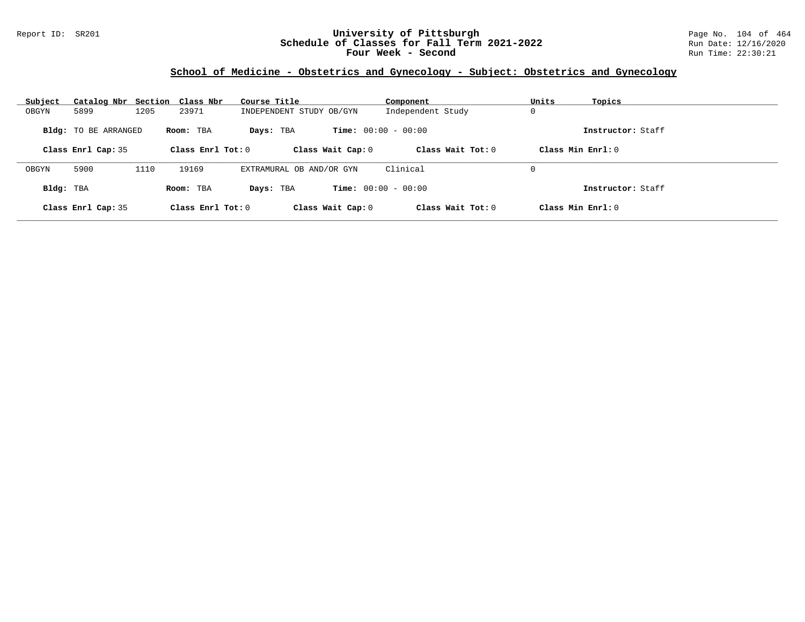### Report ID: SR201 **University of Pittsburgh** Page No. 104 of 464 **Schedule of Classes for Fall Term 2021-2022** Run Date: 12/16/2020 **Four Week - Second Run Time: 22:30:21**

# **School of Medicine - Obstetrics and Gynecology - Subject: Obstetrics and Gynecology**

| Subject   | Catalog Nbr Section Class Nbr |      |                     | Course Title             | Component                    | Units<br>Topics     |  |
|-----------|-------------------------------|------|---------------------|--------------------------|------------------------------|---------------------|--|
| OBGYN     | 5899                          | 1205 | 23971               | INDEPENDENT STUDY OB/GYN | Independent Study            | 0                   |  |
|           | <b>Bldg:</b> TO BE ARRANGED   |      | Room: TBA           | Days: TBA                | <b>Time:</b> $00:00 - 00:00$ | Instructor: Staff   |  |
|           | Class Enrl Cap: 35            |      | Class Enrl Tot: $0$ | Class Wait Cap: 0        | Class Wait $Tot: 0$          | Class Min $Enrl: 0$ |  |
| OBGYN     | 5900                          | 1110 | 19169               | EXTRAMURAL OB AND/OR GYN | Clinical                     | 0                   |  |
| Bldg: TBA |                               |      | Room: TBA           | Days: TBA                | <b>Time:</b> $00:00 - 00:00$ | Instructor: Staff   |  |
|           | Class Enrl Cap: 35            |      | Class Enrl Tot: $0$ | Class Wait Cap: 0        | Class Wait Tot: $0$          | Class Min $Enrl: 0$ |  |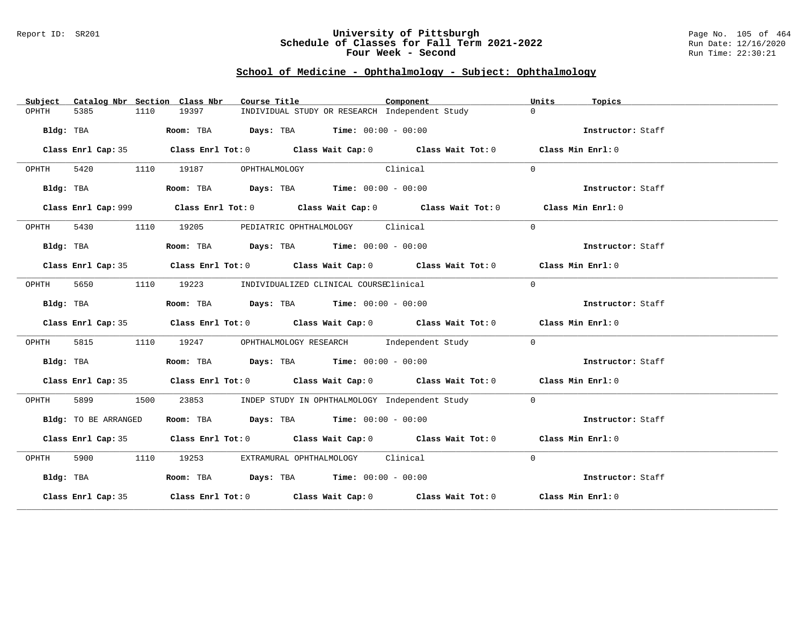#### Report ID: SR201 **University of Pittsburgh** Page No. 105 of 464 **Schedule of Classes for Fall Term 2021-2022** Run Date: 12/16/2020 **Four Week - Second Run Time: 22:30:21**

# **School of Medicine - Ophthalmology - Subject: Ophthalmology**

| Catalog Nbr Section Class Nbr<br>Subject | Course Title                                                                                | Component | Units<br>Topics   |
|------------------------------------------|---------------------------------------------------------------------------------------------|-----------|-------------------|
| 5385<br>1110<br>OPHTH                    | INDIVIDUAL STUDY OR RESEARCH Independent Study<br>19397                                     |           | $\Omega$          |
| Bldg: TBA                                | Room: TBA $Days:$ TBA $Time: 00:00 - 00:00$                                                 |           | Instructor: Staff |
|                                          | Class Enrl Cap: 35 Class Enrl Tot: 0 Class Wait Cap: 0 Class Wait Tot: 0 Class Min Enrl: 0  |           |                   |
| OPHTH                                    | 5420 1110 19187 OPHTHALMOLOGY<br>Clinical                                                   |           | $\Omega$          |
| Bldg: TBA                                | Room: TBA $Days:$ TBA $Time: 00:00 - 00:00$                                                 |           | Instructor: Staff |
|                                          | Class Enrl Cap: 999 Class Enrl Tot: 0 Class Wait Cap: 0 Class Wait Tot: 0 Class Min Enrl: 0 |           |                   |
| OPHTH                                    | 5430 1110 19205 PEDIATRIC OPHTHALMOLOGY Clinical                                            |           | $\Omega$          |
| Bldg: TBA                                | Room: TBA $Days:$ TBA $Time: 00:00 - 00:00$                                                 |           | Instructor: Staff |
|                                          | Class Enrl Cap: 35 Class Enrl Tot: 0 Class Wait Cap: 0 Class Wait Tot: 0 Class Min Enrl: 0  |           |                   |
| 5650<br>OPHTH                            | 1110 19223 INDIVIDUALIZED CLINICAL COURSEClinical                                           |           | $\Omega$          |
| Bldg: TBA                                | Room: TBA $Days:$ TBA $Time: 00:00 - 00:00$                                                 |           | Instructor: Staff |
|                                          | Class Enrl Cap: 35 Class Enrl Tot: 0 Class Wait Cap: 0 Class Wait Tot: 0 Class Min Enrl: 0  |           |                   |
| 5815<br>OPHTH                            | 1110 19247 OPHTHALMOLOGY RESEARCH Independent Study                                         |           | $\Omega$          |
| Bldg: TBA                                | <b>Room:</b> TBA $Days: TBA$ <b>Time:</b> $00:00 - 00:00$                                   |           | Instructor: Staff |
|                                          | Class Enrl Cap: 35 Class Enrl Tot: 0 Class Wait Cap: 0 Class Wait Tot: 0 Class Min Enrl: 0  |           |                   |
| OPHTH<br>1500                            | 23853 MDEP STUDY IN OPHTHALMOLOGY Independent Study                                         |           | $\Omega$          |
| Bldg: TO BE ARRANGED                     | Room: TBA $\rule{1em}{0.15mm}$ Days: TBA Time: $00:00 - 00:00$                              |           | Instructor: Staff |
|                                          | Class Enrl Cap: 35 Class Enrl Tot: 0 Class Wait Cap: 0 Class Wait Tot: 0 Class Min Enrl: 0  |           |                   |
| OPHTH                                    | 5900 1110 19253 EXTRAMURAL OPHTHALMOLOGY Clinical                                           |           | $\Omega$          |
| Bldg: TBA                                | Room: TBA $Days:$ TBA Time: $00:00 - 00:00$                                                 |           | Instructor: Staff |
|                                          | Class Enrl Cap: 35 Class Enrl Tot: 0 Class Wait Cap: 0 Class Wait Tot: 0 Class Min Enrl: 0  |           |                   |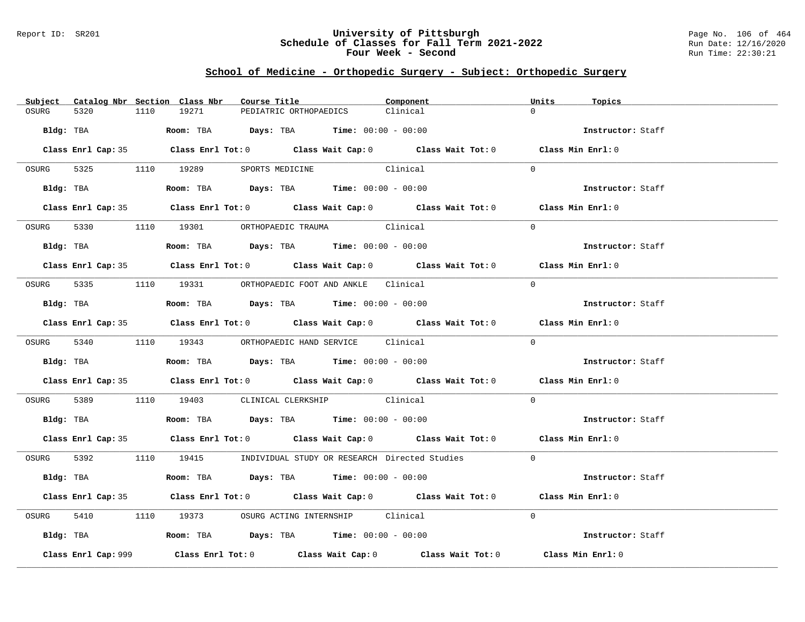#### Report ID: SR201 **University of Pittsburgh** Page No. 106 of 464 **Schedule of Classes for Fall Term 2021-2022** Run Date: 12/16/2020 **Four Week - Second Run Time: 22:30:21**

# **School of Medicine - Orthopedic Surgery - Subject: Orthopedic Surgery**

| Subject Catalog Nbr Section Class Nbr | Course Title                                                                                  | Component | Units<br>Topics   |
|---------------------------------------|-----------------------------------------------------------------------------------------------|-----------|-------------------|
| OSURG<br>5320                         | 19271<br>1110<br>PEDIATRIC ORTHOPAEDICS                                                       | Clinical  | $\cap$            |
| Bldg: TBA                             | <b>Room:</b> TBA $Days: TBA$ <b>Time:</b> $00:00 - 00:00$                                     |           | Instructor: Staff |
|                                       | Class Enrl Cap: 35 Class Enrl Tot: 0 Class Wait Cap: 0 Class Wait Tot: 0 Class Min Enrl: 0    |           |                   |
|                                       | OSURG 5325 1110 19289 SPORTS MEDICINE Clinical                                                |           | $\Omega$          |
|                                       | Bldg: TBA                    Room: TBA         Days: TBA         Time: $00:00 - 00:00$        |           | Instructor: Staff |
|                                       | Class Enrl Cap: 35 Class Enrl Tot: 0 Class Wait Cap: 0 Class Wait Tot: 0 Class Min Enrl: 0    |           |                   |
|                                       | OSURG 5330 1110 19301 ORTHOPAEDIC TRAUMA Clinical                                             |           | $\Omega$          |
|                                       | Bldg: TBA                          Room: TBA          Days: TBA         Time: $00:00 - 00:00$ |           | Instructor: Staff |
|                                       | Class Enrl Cap: 35 Class Enrl Tot: 0 Class Wait Cap: 0 Class Wait Tot: 0 Class Min Enrl: 0    |           |                   |
|                                       | OSURG 5335 1110 19331 ORTHOPAEDIC FOOT AND ANKLE Clinical                                     |           | $\Omega$          |
|                                       | Bldg: TBA                   Room: TBA         Days: TBA         Time: $00:00 - 00:00$         |           | Instructor: Staff |
|                                       | Class Enrl Cap: 35 Class Enrl Tot: 0 Class Wait Cap: 0 Class Wait Tot: 0 Class Min Enrl: 0    |           |                   |
|                                       | OSURG 5340 1110 19343 ORTHOPAEDIC HAND SERVICE Clinical                                       |           | $\Omega$          |
|                                       | Bldg: TBA                   Room: TBA         Days: TBA         Time: $00:00 - 00:00$         |           | Instructor: Staff |
|                                       | Class Enrl Cap: 35 Class Enrl Tot: 0 Class Wait Cap: 0 Class Wait Tot: 0 Class Min Enrl: 0    |           |                   |
|                                       | OSURG 5389 1110 19403 CLINICAL CLERKSHIP Clinical                                             |           | $\Omega$          |
|                                       | Bldg: TBA                   Room: TBA         Days: TBA         Time: $00:00 - 00:00$         |           | Instructor: Staff |
|                                       | Class Enrl Cap: 35 Class Enrl Tot: 0 Class Wait Cap: 0 Class Wait Tot: 0 Class Min Enrl: 0    |           |                   |
|                                       | OSURG 5392 1110 19415 INDIVIDUAL STUDY OR RESEARCH Directed Studies 0                         |           |                   |
|                                       | $Bldg:$ TBA $Room:$ TBA $Days:$ TBA $Time:$ $00:00 - 00:00$                                   |           | Instructor: Staff |
|                                       | Class Enrl Cap: 35 Class Enrl Tot: 0 Class Wait Cap: 0 Class Wait Tot: 0 Class Min Enrl: 0    |           |                   |
| OSURG                                 | 5410 1110 19373 OSURG ACTING INTERNSHIP Clinical                                              |           | $\Omega$          |
|                                       | Bldg: TBA                        Room: TBA           Days: TBA          Time: 00:00 - 00:00   |           | Instructor: Staff |
| Class Enrl Cap: 999                   | Class Enrl Tot: $0$ Class Wait Cap: $0$ Class Wait Tot: $0$                                   |           | Class Min Enrl: 0 |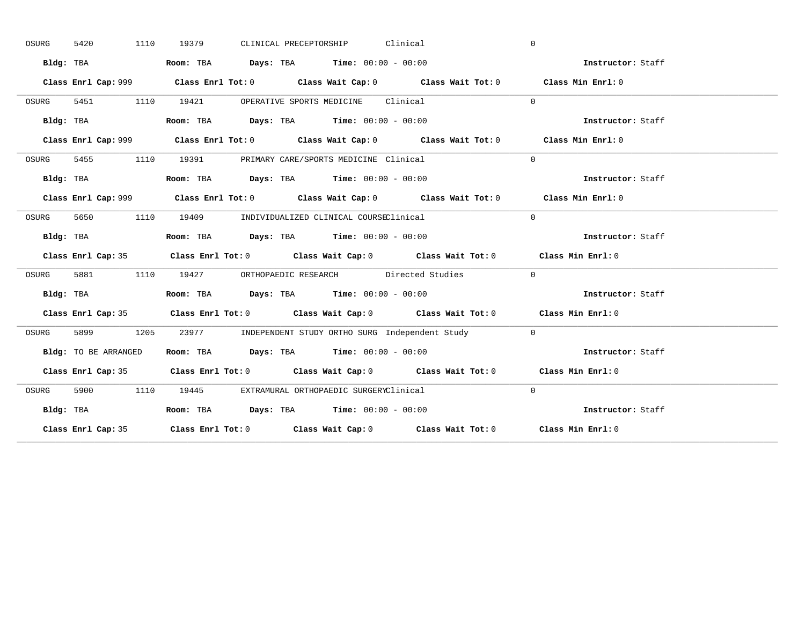| OSURG | 5420<br>1110         | CLINICAL PRECEPTORSHIP Clinical<br>19379                                                    | $\mathbf{0}$ |                   |
|-------|----------------------|---------------------------------------------------------------------------------------------|--------------|-------------------|
|       | Bldg: TBA            | Room: TBA $Days:$ TBA $Time: 00:00 - 00:00$                                                 |              | Instructor: Staff |
|       |                      | Class Enrl Cap: 999 Class Enrl Tot: 0 Class Wait Cap: 0 Class Wait Tot: 0 Class Min Enrl: 0 |              |                   |
| OSURG | 5451 1110            | 19421 OPERATIVE SPORTS MEDICINE Clinical                                                    | $\Omega$     |                   |
|       | Bldg: TBA            | Room: TBA $\rule{1em}{0.15mm}$ Days: TBA $\rule{1.15mm}]{0.15mm}$ Time: $0.000 - 0.0000$    |              | Instructor: Staff |
|       |                      | Class Enrl Cap: 999 Class Enrl Tot: 0 Class Wait Cap: 0 Class Wait Tot: 0 Class Min Enrl: 0 |              |                   |
| OSURG |                      | 5455 1110 19391 PRIMARY CARE/SPORTS MEDICINE Clinical                                       | $\Omega$     |                   |
|       | Bldg: TBA            | Room: TBA $Days:$ TBA $Time: 00:00 - 00:00$                                                 |              | Instructor: Staff |
|       |                      |                                                                                             |              | Class Min Enrl: 0 |
| OSURG | 5650                 | 1110 19409 INDIVIDUALIZED CLINICAL COURSEClinical                                           | $\Omega$     |                   |
|       | Bldg: TBA            | Room: TBA $\rule{1em}{0.15mm}$ Days: TBA $\rule{1.5mm}{0.15mm}$ Time: $00:00 - 00:00$       |              | Instructor: Staff |
|       |                      | Class Enrl Cap: 35 Class Enrl Tot: 0 Class Wait Cap: 0 Class Wait Tot: 0 Class Min Enrl: 0  |              |                   |
| OSURG |                      | 5881 1110 19427 ORTHOPAEDIC RESEARCH Directed Studies                                       | $\Omega$     |                   |
|       |                      |                                                                                             |              |                   |
|       | Bldg: TBA            | Room: TBA $Days:$ TBA $Time: 00:00 - 00:00$                                                 |              | Instructor: Staff |
|       |                      | Class Enrl Cap: 35 Class Enrl Tot: 0 Class Wait Cap: 0 Class Wait Tot: 0 Class Min Enrl: 0  |              |                   |
| OSURG | 5899                 | 1205 23977 INDEPENDENT STUDY ORTHO SURG Independent Study 0                                 |              |                   |
|       | Bldg: TO BE ARRANGED | Room: TBA $\rule{1em}{0.15mm}$ Days: TBA Time: $00:00 - 00:00$                              |              | Instructor: Staff |
|       |                      | Class Enrl Cap: 35 Class Enrl Tot: 0 Class Wait Cap: 0 Class Wait Tot: 0 Class Min Enrl: 0  |              |                   |
| OSURG |                      | 5900 1110 19445 EXTRAMURAL ORTHOPAEDIC SURGERYClinical                                      | $\Omega$     |                   |
|       | Bldg: TBA            | Room: TBA $Days:$ TBA Time: $00:00 - 00:00$                                                 |              | Instructor: Staff |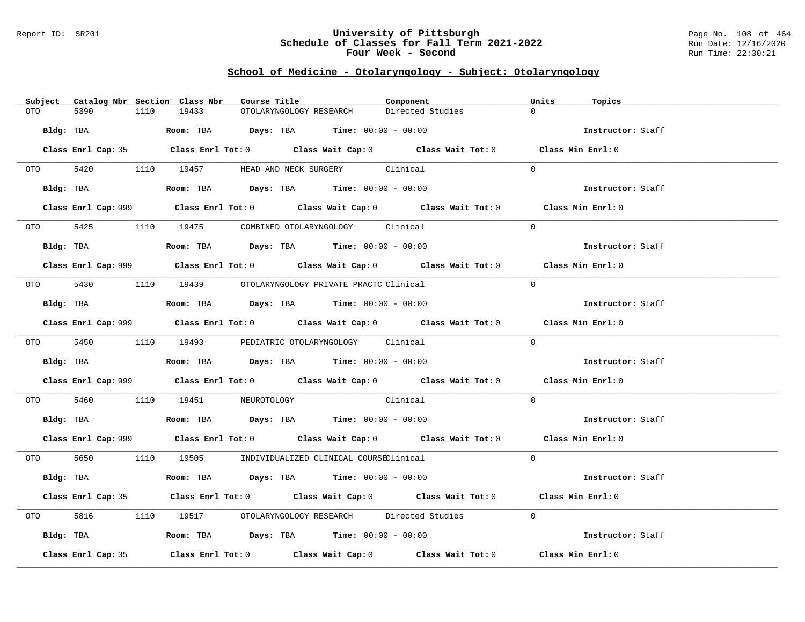#### Report ID: SR201 **University of Pittsburgh** Page No. 108 of 464 **Schedule of Classes for Fall Term 2021-2022** Run Date: 12/16/2020 **Four Week - Second Run Time: 22:30:21**

### **School of Medicine - Otolaryngology - Subject: Otolaryngology**

| Catalog Nbr Section Class Nbr<br>Subject | Course Title                                                                                       | Component        | Units<br>Topics   |
|------------------------------------------|----------------------------------------------------------------------------------------------------|------------------|-------------------|
| 5390<br>1110<br>OTO                      | 19433<br>OTOLARYNGOLOGY RESEARCH                                                                   | Directed Studies | $\Omega$          |
| Bldg: TBA                                | Room: TBA $Days:$ TBA $Time: 00:00 - 00:00$                                                        |                  | Instructor: Staff |
|                                          | Class Enrl Cap: 35 Class Enrl Tot: 0 Class Wait Cap: 0 Class Wait Tot: 0 Class Min Enrl: 0         |                  |                   |
|                                          | OTO 5420 1110 19457 HEAD AND NECK SURGERY Clinical                                                 |                  | $\Omega$          |
| Bldg: TBA                                | Room: TBA $\rule{1em}{0.15mm}$ Days: TBA Time: $00:00 - 00:00$                                     |                  | Instructor: Staff |
|                                          | Class Enrl Cap: 999 Class Enrl Tot: 0 Class Wait Cap: 0 Class Wait Tot: 0 Class Min Enrl: 0        |                  |                   |
|                                          | OTO 5425 1110 19475 COMBINED OTOLARYNGOLOGY Clinical                                               |                  | $\Omega$          |
|                                          | Bldg: TBA                   Room: TBA         Days: TBA         Time: $00:00 - 00:00$              |                  | Instructor: Staff |
|                                          | Class Enrl Cap: 999 Class Enrl Tot: 0 Class Wait Cap: 0 Class Wait Tot: 0 Class Min Enrl: 0        |                  |                   |
|                                          | 0TO 5430 1110 19439 OTOLARYNGOLOGY PRIVATE PRACTC Clinical                                         |                  | $\Omega$          |
| Bldg: TBA                                | Room: TBA $\rule{1em}{0.15mm}$ Days: TBA Time: $00:00 - 00:00$                                     |                  | Instructor: Staff |
|                                          | Class Enrl Cap: 999 Class Enrl Tot: 0 Class Wait Cap: 0 Class Wait Tot: 0 Class Min Enrl: 0        |                  |                   |
|                                          | OTO 5450 1110 19493 PEDIATRIC OTOLARYNGOLOGY Clinical                                              |                  | $\Omega$          |
|                                          | Bldg: TBA                   Room: TBA        Days: TBA        Time: 00:00 - 00:00                  |                  | Instructor: Staff |
|                                          | Class Enrl Cap: 999 Class Enrl Tot: 0 Class Wait Cap: 0 Class Wait Tot: 0 Class Min Enrl: 0        |                  |                   |
| OTO 5460                                 | 1110 19451 NEUROTOLOGY Clinical                                                                    |                  | $\Omega$          |
|                                          | Bldg: TBA                    Room: TBA         Days: TBA         Time: $00:00 - 00:00$             |                  | Instructor: Staff |
|                                          | Class Enrl Cap: 999 Class Enrl Tot: 0 Class Wait Cap: 0 Class Wait Tot: 0 Class Min Enrl: 0        |                  |                   |
|                                          | 0TO 5650 1110 19505 INDIVIDUALIZED CLINICAL COURSEClinical                                         |                  | $\Omega$          |
| Bldg: TBA                                | Room: TBA $Days: TBA$ Time: $00:00 - 00:00$                                                        |                  | Instructor: Staff |
|                                          | Class Enrl Cap: 35 Class Enrl Tot: 0 Class Wait Cap: 0 Class Wait Tot: 0 Class Min Enrl: 0         |                  |                   |
| 5816 7                                   | 1110 19517 OTOLARYNGOLOGY RESEARCH Directed Studies                                                |                  | $\Omega$          |
| Bldg: TBA                                | Room: TBA $Days:$ TBA $Time: 00:00 - 00:00$                                                        |                  | Instructor: Staff |
| Class Enrl Cap: 35                       | Class Enrl Tot: 0 $\qquad$ Class Wait Cap: 0 $\qquad$ Class Wait Tot: 0 $\qquad$ Class Min Enrl: 0 |                  |                   |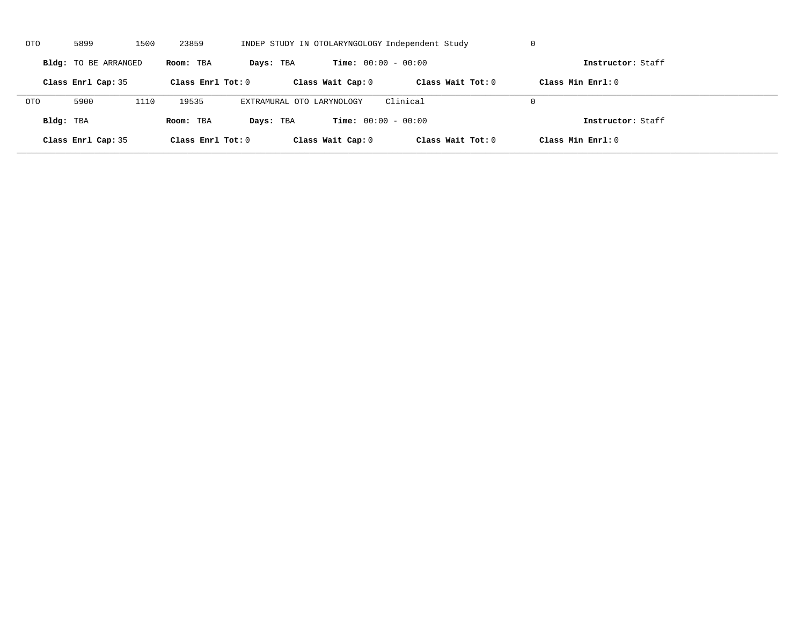| OTO        | 5899                 | 1500 | 23859               |                           |                              | INDEP STUDY IN OTOLARYNGOLOGY Independent Study | U                   |  |
|------------|----------------------|------|---------------------|---------------------------|------------------------------|-------------------------------------------------|---------------------|--|
|            | Bldg: TO BE ARRANGED |      | Room: TBA           | Days: TBA                 | <b>Time:</b> $00:00 - 00:00$ |                                                 | Instructor: Staff   |  |
|            | Class Enrl Cap: 35   |      | Class Enrl Tot: $0$ |                           | Class Wait Cap: 0            | Class Wait $Tot: 0$                             | Class Min $Enrl: 0$ |  |
| <b>OTO</b> | 5900                 | 1110 | 19535               | EXTRAMURAL OTO LARYNOLOGY |                              | Clinical                                        | $\Omega$            |  |
| Bldg: TBA  |                      |      | Room: TBA           | Days: TBA                 | <b>Time:</b> $00:00 - 00:00$ |                                                 | Instructor: Staff   |  |
|            | Class Enrl Cap: 35   |      | Class Enrl Tot: 0   |                           | Class Wait Cap: 0            | Class Wait Tot: 0                               | Class Min Enrl: 0   |  |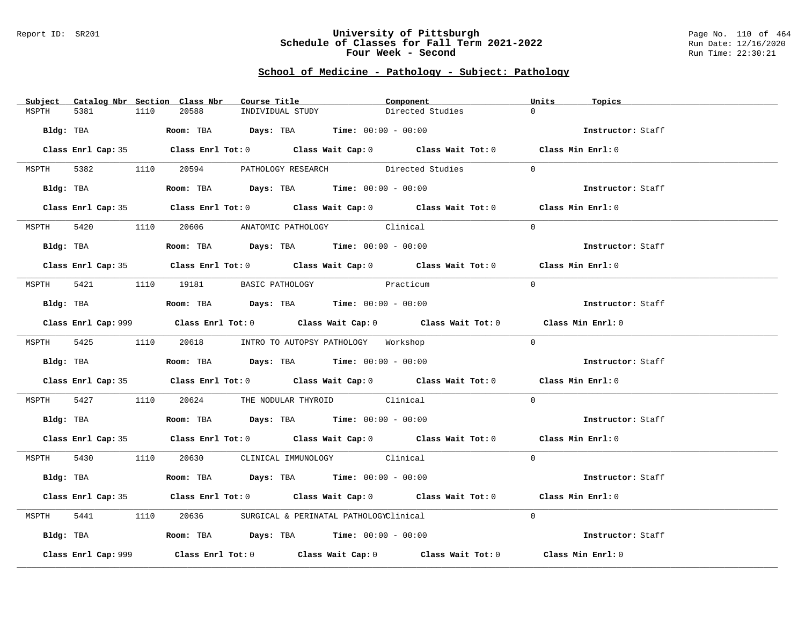#### Report ID: SR201 **University of Pittsburgh** Page No. 110 of 464 **Schedule of Classes for Fall Term 2021-2022** Run Date: 12/16/2020 **Four Week - Second Run Time: 22:30:21**

# **School of Medicine - Pathology - Subject: Pathology**

| Subject Catalog Nbr Section Class Nbr | Course Title <b>Source Search</b>                                                           | Component        | Units<br>Topics   |
|---------------------------------------|---------------------------------------------------------------------------------------------|------------------|-------------------|
| MSPTH<br>5381<br>1110                 | 20588<br>INDIVIDUAL STUDY                                                                   | Directed Studies | $\Omega$          |
|                                       | Bldg: TBA                   Room: TBA        Days: TBA        Time: $00:00 - 00:00$         |                  | Instructor: Staff |
|                                       |                                                                                             |                  |                   |
|                                       | Class Enrl Cap: 35 Class Enrl Tot: 0 Class Wait Cap: 0 Class Wait Tot: 0 Class Min Enrl: 0  |                  |                   |
|                                       | MSPTH 5382 1110 20594 PATHOLOGY RESEARCH Directed Studies 0                                 |                  |                   |
|                                       | Bldg: TBA                    Room: TBA         Days: TBA         Time: 00:00 - 00:00        |                  | Instructor: Staff |
|                                       | Class Enrl Cap: 35 Class Enrl Tot: 0 Class Wait Cap: 0 Class Wait Tot: 0 Class Min Enrl: 0  |                  |                   |
|                                       | MSPTH 5420 1110 20606 ANATOMIC PATHOLOGY Clinical                                           |                  | $\Omega$          |
| Bldg: TBA                             | Room: TBA $Days:$ TBA $Time:$ $00:00 - 00:00$                                               |                  | Instructor: Staff |
|                                       | Class Enrl Cap: 35 Class Enrl Tot: 0 Class Wait Cap: 0 Class Wait Tot: 0 Class Min Enrl: 0  |                  |                   |
|                                       |                                                                                             |                  |                   |
|                                       | MSPTH 5421 1110 19181 BASIC PATHOLOGY                                                       | Practicum        | $\Omega$          |
|                                       | Bldg: TBA                  Room: TBA        Days: TBA        Time: 00:00 - 00:00            |                  | Instructor: Staff |
|                                       | Class Enrl Cap: 999 Class Enrl Tot: 0 Class Wait Cap: 0 Class Wait Tot: 0 Class Min Enrl: 0 |                  |                   |
|                                       | MSPTH 5425 1110 20618 INTRO TO AUTOPSY PATHOLOGY Workshop                                   |                  | $\Omega$          |
|                                       |                                                                                             |                  | Instructor: Staff |
|                                       | Class Enrl Cap: 35 Class Enrl Tot: 0 Class Wait Cap: 0 Class Wait Tot: 0 Class Min Enrl: 0  |                  |                   |
|                                       | MSPTH 5427 1110 20624 THE NODULAR THYROID Clinical                                          |                  | $\Omega$          |
|                                       | Bldg: TBA                   Room: TBA         Days: TBA         Time: $00:00 - 00:00$       |                  | Instructor: Staff |
|                                       | Class Enrl Cap: 35 Class Enrl Tot: 0 Class Wait Cap: 0 Class Wait Tot: 0 Class Min Enrl: 0  |                  |                   |
|                                       | MSPTH 5430 1110 20630 CLINICAL IMMUNOLOGY Clinical                                          |                  | $\Omega$          |
|                                       | Bldg: TBA                   Room: TBA         Days: TBA        Time: $00:00 - 00:00$        |                  | Instructor: Staff |
|                                       | Class Enrl Cap: 35 Class Enrl Tot: 0 Class Wait Cap: 0 Class Wait Tot: 0 Class Min Enrl: 0  |                  |                   |
|                                       | MSPTH 5441 1110 20636 SURGICAL & PERINATAL PATHOLOGYClinical                                |                  | $\Omega$          |
|                                       | Bldg: TBA                         Room: TBA          Days: TBA          Time: 00:00 - 00:00 |                  | Instructor: Staff |
|                                       |                                                                                             |                  |                   |
| Class Enrl Cap: 999                   | Class Enrl Tot: $0$ Class Wait Cap: $0$ Class Wait Tot: $0$                                 |                  | Class Min Enrl: 0 |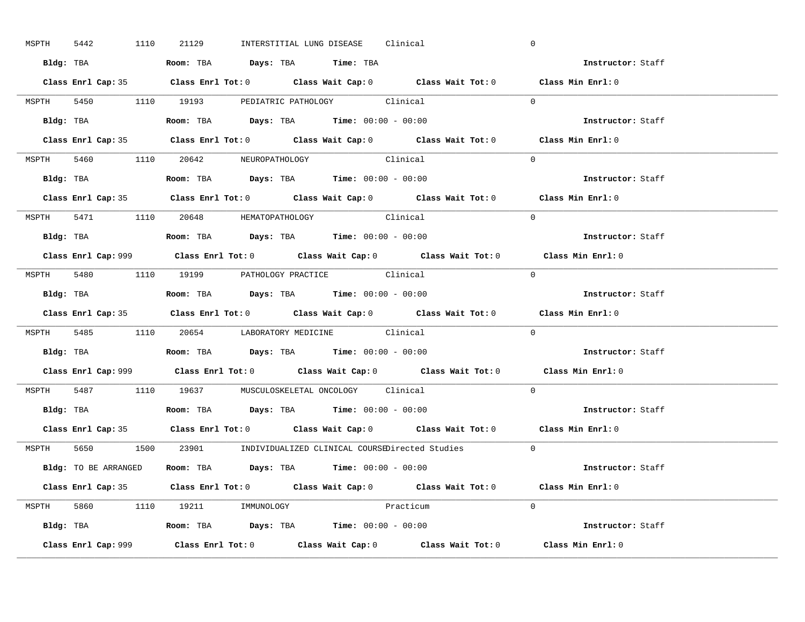| MSPTH 5442 |  | 1110 21129                                                                            |  | INTERSTITIAL LUNG DISEASE Clinical                                              |           |                                                                      | $\mathbf 0$                                                                                 |  |
|------------|--|---------------------------------------------------------------------------------------|--|---------------------------------------------------------------------------------|-----------|----------------------------------------------------------------------|---------------------------------------------------------------------------------------------|--|
|            |  | Bldg: TBA                     Room: TBA         Days: TBA         Time: TBA           |  |                                                                                 |           |                                                                      | Instructor: Staff                                                                           |  |
|            |  |                                                                                       |  |                                                                                 |           |                                                                      | Class Enrl Cap: 35 Class Enrl Tot: 0 Class Wait Cap: 0 Class Wait Tot: 0 Class Min Enrl: 0  |  |
|            |  | MSPTH 5450 1110 19193 PEDIATRIC PATHOLOGY Clinical                                    |  |                                                                                 |           |                                                                      | $\Omega$                                                                                    |  |
|            |  |                                                                                       |  |                                                                                 |           |                                                                      | Instructor: Staff                                                                           |  |
|            |  |                                                                                       |  |                                                                                 |           |                                                                      | Class Enrl Cap: 35 Class Enrl Tot: 0 Class Wait Cap: 0 Class Wait Tot: 0 Class Min Enrl: 0  |  |
|            |  | MSPTH 5460 1110 20642 NEUROPATHOLOGY Clinical                                         |  |                                                                                 |           |                                                                      | $\Omega$                                                                                    |  |
|            |  | Bldg: TBA                   Room: TBA         Days: TBA         Time: 00:00 - 00:00   |  |                                                                                 |           |                                                                      | Instructor: Staff                                                                           |  |
|            |  |                                                                                       |  |                                                                                 |           |                                                                      | Class Enrl Cap: 35 Class Enrl Tot: 0 Class Wait Cap: 0 Class Wait Tot: 0 Class Min Enrl: 0  |  |
|            |  | MSPTH 5471 1110 20648 HEMATOPATHOLOGY Clinical                                        |  |                                                                                 |           |                                                                      | $\Omega$                                                                                    |  |
|            |  | Bldg: TBA                   Room: TBA         Days: TBA         Time: $00:00 - 00:00$ |  |                                                                                 |           |                                                                      | Instructor: Staff                                                                           |  |
|            |  |                                                                                       |  |                                                                                 |           |                                                                      | Class Enrl Cap: 999 Class Enrl Tot: 0 Class Wait Cap: 0 Class Wait Tot: 0 Class Min Enrl: 0 |  |
|            |  | MSPTH 5480 1110 19199 PATHOLOGY PRACTICE Clinical                                     |  |                                                                                 |           |                                                                      | $\Omega$                                                                                    |  |
|            |  | Bldg: TBA                   Room: TBA         Days: TBA         Time: $00:00 - 00:00$ |  |                                                                                 |           |                                                                      | Instructor: Staff                                                                           |  |
|            |  |                                                                                       |  |                                                                                 |           |                                                                      | Class Enrl Cap: 35 Class Enrl Tot: 0 Class Wait Cap: 0 Class Wait Tot: 0 Class Min Enrl: 0  |  |
|            |  | MSPTH 5485 1110 20654 LABORATORY MEDICINE Clinical                                    |  |                                                                                 |           |                                                                      | $\Omega$                                                                                    |  |
|            |  | Bldg: TBA                    Room: TBA         Days: TBA        Time: $00:00 - 00:00$ |  |                                                                                 |           |                                                                      | Instructor: Staff                                                                           |  |
|            |  |                                                                                       |  |                                                                                 |           |                                                                      | Class Enrl Cap: 999 Class Enrl Tot: 0 Class Wait Cap: 0 Class Wait Tot: 0 Class Min Enrl: 0 |  |
|            |  | MSPTH 5487 1110 19637 MUSCULOSKELETAL ONCOLOGY Clinical                               |  |                                                                                 |           |                                                                      | $\Omega$                                                                                    |  |
|            |  | Bldg: TBA                   Room: TBA         Days: TBA         Time: $00:00 - 00:00$ |  |                                                                                 |           |                                                                      | Instructor: Staff                                                                           |  |
|            |  |                                                                                       |  |                                                                                 |           |                                                                      | Class Enrl Cap: 35 Class Enrl Tot: 0 Class Wait Cap: 0 Class Wait Tot: 0 Class Min Enrl: 0  |  |
|            |  |                                                                                       |  |                                                                                 |           | MSPTH 5650 1500 23901 INDIVIDUALIZED CLINICAL COURSEDirected Studies | $\overline{0}$                                                                              |  |
|            |  | Bldg: TO BE ARRANGED Room: TBA Days: TBA Time: 00:00 - 00:00                          |  |                                                                                 |           |                                                                      | Instructor: Staff                                                                           |  |
|            |  |                                                                                       |  |                                                                                 |           |                                                                      | Class Enrl Cap: 35 Class Enrl Tot: 0 Class Wait Cap: 0 Class Wait Tot: 0 Class Min Enrl: 0  |  |
|            |  | MSPTH 5860 1110 19211 IMMUNOLOGY                                                      |  |                                                                                 | Practicum |                                                                      | $\Omega$                                                                                    |  |
|            |  |                                                                                       |  |                                                                                 |           |                                                                      |                                                                                             |  |
|            |  |                                                                                       |  | <b>Bldg:</b> TBA <b>Room:</b> TBA <b>Days:</b> TBA <b>Time:</b> $00:00 - 00:00$ |           |                                                                      | Instructor: Staff                                                                           |  |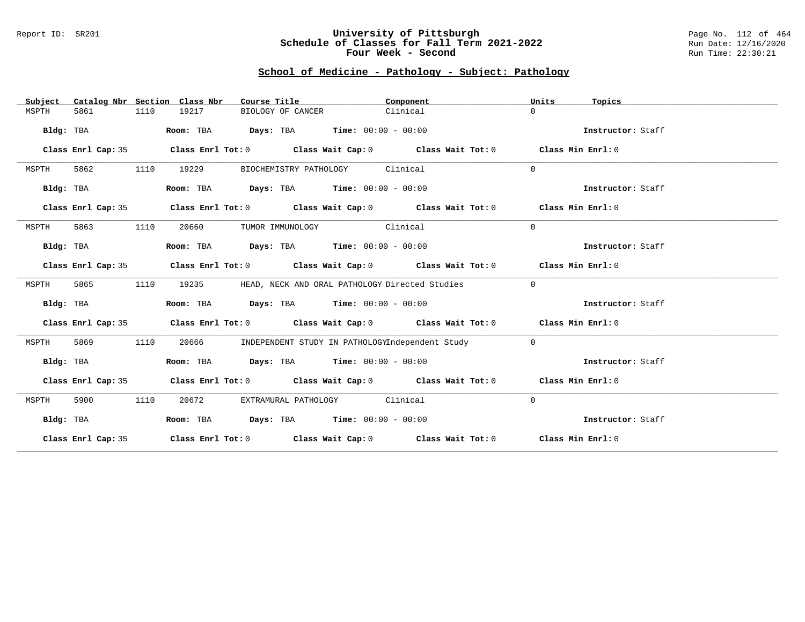### Report ID: SR201 **University of Pittsburgh** Page No. 112 of 464 **Schedule of Classes for Fall Term 2021-2022** Run Date: 12/16/2020 **Four Week - Second Run Time: 22:30:21**

# **School of Medicine - Pathology - Subject: Pathology**

| Subject   |                    |      | Catalog Nbr Section Class Nbr | Course Title                                                   | Component                                                                                          | Units          | Topics            |
|-----------|--------------------|------|-------------------------------|----------------------------------------------------------------|----------------------------------------------------------------------------------------------------|----------------|-------------------|
| MSPTH     | 5861               | 1110 | 19217                         | BIOLOGY OF CANCER                                              | Clinical                                                                                           | $\Omega$       |                   |
| Bldg: TBA |                    |      |                               | Room: TBA $Days: TBA$ Time: $00:00 - 00:00$                    |                                                                                                    |                | Instructor: Staff |
|           | Class Enrl Cap: 35 |      |                               |                                                                | Class Enrl Tot: $0$ Class Wait Cap: $0$ Class Wait Tot: $0$ Class Min Enrl: $0$                    |                |                   |
| MSPTH     | 5862               | 1110 | 19229                         | BIOCHEMISTRY PATHOLOGY Clinical                                |                                                                                                    | $\Omega$       |                   |
| Bldg: TBA |                    |      |                               | Room: TBA $Days:$ TBA $Time: 00:00 - 00:00$                    |                                                                                                    |                | Instructor: Staff |
|           | Class Enrl Cap: 35 |      |                               |                                                                | Class Enrl Tot: $0$ Class Wait Cap: $0$ Class Wait Tot: $0$ Class Min Enrl: $0$                    |                |                   |
| MSPTH     | 5863               | 1110 | 20660                         | TUMOR IMMUNOLOGY Clinical                                      |                                                                                                    | $\Omega$       |                   |
| Bldg: TBA |                    |      |                               | Room: TBA $Days:$ TBA $Time: 00:00 - 00:00$                    |                                                                                                    |                | Instructor: Staff |
|           | Class Enrl Cap: 35 |      |                               |                                                                | Class Enrl Tot: $0$ Class Wait Cap: $0$ Class Wait Tot: $0$ Class Min Enrl: $0$                    |                |                   |
| MSPTH     | 5865               | 1110 | 19235                         | HEAD, NECK AND ORAL PATHOLOGY Directed Studies                 |                                                                                                    | $\Omega$       |                   |
| Bldg: TBA |                    |      |                               | Room: TBA $Days:$ TBA $Time: 00:00 - 00:00$                    |                                                                                                    |                | Instructor: Staff |
|           | Class Enrl Cap: 35 |      |                               |                                                                | Class Enrl Tot: $0$ Class Wait Cap: $0$ Class Wait Tot: $0$ Class Min Enrl: $0$                    |                |                   |
| MSPTH     | 5869               | 1110 | 20666                         |                                                                | INDEPENDENT STUDY IN PATHOLOGYIndependent Study                                                    | $\overline{0}$ |                   |
| Bldg: TBA |                    |      |                               | Room: TBA $\rule{1em}{0.15mm}$ Days: TBA Time: $00:00 - 00:00$ |                                                                                                    |                | Instructor: Staff |
|           | Class Enrl Cap: 35 |      |                               |                                                                | Class Enrl Tot: $0$ Class Wait Cap: $0$ Class Wait Tot: $0$ Class Min Enrl: $0$                    |                |                   |
| MSPTH     | 5900               | 1110 | 20672                         | EXTRAMURAL PATHOLOGY Clinical                                  |                                                                                                    | $\Omega$       |                   |
|           | Bldg: TBA          |      |                               | Room: TBA $Days:$ TBA $Time: 00:00 - 00:00$                    |                                                                                                    |                | Instructor: Staff |
|           | Class Enrl Cap: 35 |      |                               |                                                                | Class Enrl Tot: O $\qquad$ Class Wait Cap: O $\qquad$ Class Wait Tot: O $\qquad$ Class Min Enrl: O |                |                   |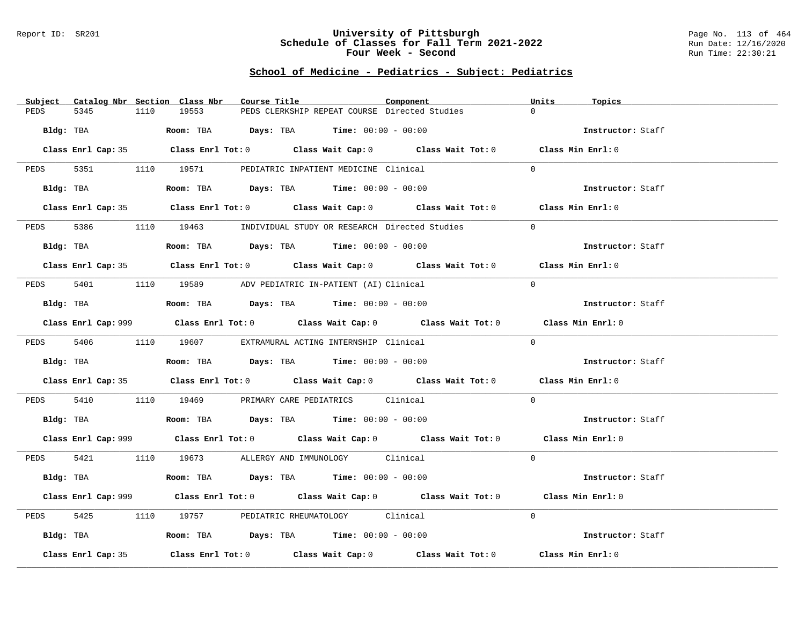#### Report ID: SR201 **University of Pittsburgh** Page No. 113 of 464 **Schedule of Classes for Fall Term 2021-2022** Run Date: 12/16/2020 **Four Week - Second Run Time: 22:30:21**

# **School of Medicine - Pediatrics - Subject: Pediatrics**

| Subject Catalog Nbr Section Class Nbr | Course Title                                                                                | Component | Units<br>Topics   |
|---------------------------------------|---------------------------------------------------------------------------------------------|-----------|-------------------|
| 5345<br>PEDS<br>1110                  | PEDS CLERKSHIP REPEAT COURSE Directed Studies<br>19553                                      |           | $\Omega$          |
| Bldg: TBA                             | Room: TBA $Days:$ TBA $Time: 00:00 - 00:00$                                                 |           | Instructor: Staff |
|                                       | Class Enrl Cap: 35 Class Enrl Tot: 0 Class Wait Cap: 0 Class Wait Tot: 0 Class Min Enrl: 0  |           |                   |
|                                       | PEDS 5351 1110 19571 PEDIATRIC INPATIENT MEDICINE Clinical                                  |           | $\Omega$          |
| Bldg: TBA                             | Room: TBA $Days: TBA$ Time: $00:00 - 00:00$                                                 |           | Instructor: Staff |
|                                       | Class Enrl Cap: 35 Class Enrl Tot: 0 Class Wait Cap: 0 Class Wait Tot: 0 Class Min Enrl: 0  |           |                   |
| PEDS                                  | 5386 1110 19463 INDIVIDUAL STUDY OR RESEARCH Directed Studies                               |           | $\Omega$          |
| Bldg: TBA                             | Room: TBA $Days:$ TBA $Time: 00:00 - 00:00$                                                 |           | Instructor: Staff |
|                                       | Class Enrl Cap: 35 Class Enrl Tot: 0 Class Wait Cap: 0 Class Wait Tot: 0 Class Min Enrl: 0  |           |                   |
|                                       | PEDS 5401 1110 19589 ADV PEDIATRIC IN-PATIENT (AI) Clinical                                 |           | $\Omega$          |
| Bldg: TBA                             | Room: TBA $Days:$ TBA Time: $00:00 - 00:00$                                                 |           | Instructor: Staff |
|                                       | Class Enrl Cap: 999 Class Enrl Tot: 0 Class Wait Cap: 0 Class Wait Tot: 0 Class Min Enrl: 0 |           |                   |
|                                       | PEDS 5406 1110 19607 EXTRAMURAL ACTING INTERNSHIP Clinical                                  |           | $\Omega$          |
| Bldg: TBA                             | Room: TBA $Days:$ TBA Time: $00:00 - 00:00$                                                 |           | Instructor: Staff |
|                                       | Class Enrl Cap: 35 Class Enrl Tot: 0 Class Wait Cap: 0 Class Wait Tot: 0 Class Min Enrl: 0  |           |                   |
| 5410<br>PEDS                          | 1110 19469 PRIMARY CARE PEDIATRICS Clinical                                                 |           | $\Omega$          |
|                                       | Bldg: TBA                     Room: TBA         Days: TBA         Time: 00:00 - 00:00       |           | Instructor: Staff |
|                                       | Class Enrl Cap: 999 Class Enrl Tot: 0 Class Wait Cap: 0 Class Wait Tot: 0 Class Min Enrl: 0 |           |                   |
|                                       | PEDS 5421 1110 19673 ALLERGY AND IMMUNOLOGY Clinical                                        |           | $\Omega$          |
| Bldg: TBA                             | Room: TBA $Days:$ TBA Time: $00:00 - 00:00$                                                 |           | Instructor: Staff |
|                                       | Class Enrl Cap: 999 Class Enrl Tot: 0 Class Wait Cap: 0 Class Wait Tot: 0 Class Min Enrl: 0 |           |                   |
| 5425<br>PEDS                          | 1110 19757 PEDIATRIC RHEUMATOLOGY Clinical                                                  |           | $\Omega$          |
| Bldg: TBA                             | Room: TBA $\rule{1em}{0.15mm}$ Days: TBA Time: $00:00 - 00:00$                              |           | Instructor: Staff |
| Class Enrl Cap: 35                    | Class Enrl Tot: $0$ Class Wait Cap: $0$ Class Wait Tot: $0$                                 |           | Class Min Enrl: 0 |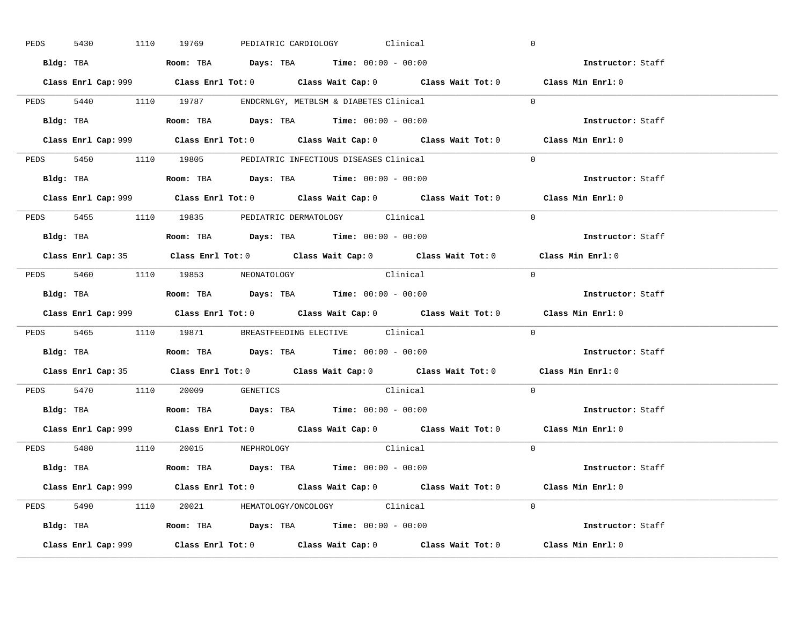| 5430      |  | 1110 19769                                                                             |  | PEDIATRIC CARDIOLOGY Clinical |                                                                                             | $\overline{0}$ |                   |  |
|-----------|--|----------------------------------------------------------------------------------------|--|-------------------------------|---------------------------------------------------------------------------------------------|----------------|-------------------|--|
|           |  | Bldg: TBA                   Room: TBA         Days: TBA         Time: $00:00 - 00:00$  |  |                               |                                                                                             |                | Instructor: Staff |  |
|           |  |                                                                                        |  |                               | Class Enrl Cap: 999 Class Enrl Tot: 0 Class Wait Cap: 0 Class Wait Tot: 0 Class Min Enrl: 0 |                |                   |  |
|           |  | PEDS 5440 1110 19787 ENDCRNLGY, METBLSM & DIABETES Clinical                            |  |                               |                                                                                             | $\Omega$       |                   |  |
|           |  | Bldg: TBA                   Room: TBA         Days: TBA         Time: $00:00 - 00:00$  |  |                               |                                                                                             |                | Instructor: Staff |  |
|           |  |                                                                                        |  |                               | Class Enrl Cap: 999 Class Enrl Tot: 0 Class Wait Cap: 0 Class Wait Tot: 0 Class Min Enrl: 0 |                |                   |  |
|           |  | PEDS 5450 1110 19805 PEDIATRIC INFECTIOUS DISEASES Clinical                            |  |                               |                                                                                             | $\Omega$       |                   |  |
|           |  | Bldg: TBA                    Room: TBA         Days: TBA        Time: $00:00 - 00:00$  |  |                               |                                                                                             |                | Instructor: Staff |  |
|           |  |                                                                                        |  |                               | Class Enrl Cap: 999 Class Enrl Tot: 0 Class Wait Cap: 0 Class Wait Tot: 0 Class Min Enrl: 0 |                |                   |  |
|           |  | PEDS 5455 1110 19835 PEDIATRIC DERMATOLOGY Clinical                                    |  |                               |                                                                                             | $\Omega$       |                   |  |
|           |  | Bldg: TBA                    Room: TBA         Days: TBA         Time: $00:00 - 00:00$ |  |                               |                                                                                             |                | Instructor: Staff |  |
|           |  |                                                                                        |  |                               | Class Enrl Cap: 35 Class Enrl Tot: 0 Class Wait Cap: 0 Class Wait Tot: 0 Class Min Enrl: 0  |                |                   |  |
|           |  | PEDS 5460 1110 19853 NEONATOLOGY                                                       |  |                               | Clinical                                                                                    | $\bigcirc$     |                   |  |
|           |  |                                                                                        |  |                               |                                                                                             |                | Instructor: Staff |  |
|           |  |                                                                                        |  |                               |                                                                                             |                |                   |  |
|           |  |                                                                                        |  |                               | Class Enrl Cap: 999 Class Enrl Tot: 0 Class Wait Cap: 0 Class Wait Tot: 0 Class Min Enrl: 0 |                |                   |  |
|           |  | PEDS 5465 1110 19871 BREASTFEEDING ELECTIVE Clinical                                   |  |                               |                                                                                             | $\mathbf{0}$   |                   |  |
| Bldg: TBA |  | Room: TBA $\rule{1em}{0.15mm}$ Days: TBA Time: $00:00 - 00:00$                         |  |                               |                                                                                             |                | Instructor: Staff |  |
|           |  |                                                                                        |  |                               | Class Enrl Cap: 35 Class Enrl Tot: 0 Class Wait Cap: 0 Class Wait Tot: 0 Class Min Enrl: 0  |                |                   |  |
|           |  | PEDS 5470 1110 20009 GENETICS                                                          |  |                               | Clinical                                                                                    | $\Omega$       |                   |  |
|           |  | Bldg: TBA                    Room: TBA         Days: TBA         Time: $00:00 - 00:00$ |  |                               |                                                                                             |                | Instructor: Staff |  |
|           |  |                                                                                        |  |                               | Class Enrl Cap: 999 Class Enrl Tot: 0 Class Wait Cap: 0 Class Wait Tot: 0 Class Min Enrl: 0 |                |                   |  |
|           |  | PEDS 5480 1110 20015 NEPHROLOGY                                                        |  |                               | Clinical                                                                                    | $\Omega$       |                   |  |
|           |  | Bldg: TBA                   Room: TBA         Days: TBA         Time: 00:00 - 00:00    |  |                               |                                                                                             |                | Instructor: Staff |  |
|           |  |                                                                                        |  |                               | Class Enrl Cap: 999 Class Enrl Tot: 0 Class Wait Cap: 0 Class Wait Tot: 0 Class Min Enrl: 0 |                |                   |  |
|           |  | PEDS 5490 1110 20021 HEMATOLOGY/ONCOLOGY Clinical                                      |  |                               |                                                                                             | $\Omega$       |                   |  |
|           |  | <b>Bldg:</b> TBA <b>ROOM:</b> TBA <b>Days:</b> TBA <b>Time:</b> $00:00 - 00:00$        |  |                               |                                                                                             |                | Instructor: Staff |  |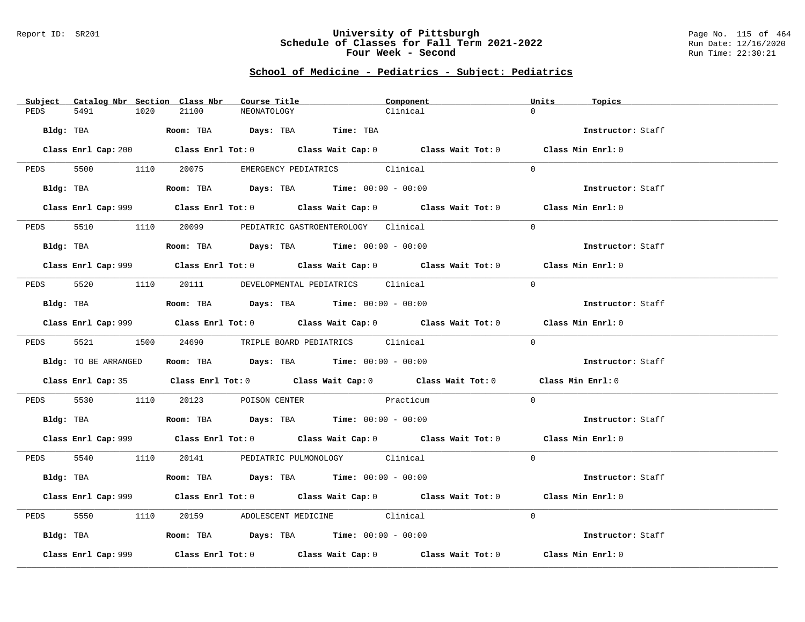### Report ID: SR201 **University of Pittsburgh** Page No. 115 of 464 **Schedule of Classes for Fall Term 2021-2022** Run Date: 12/16/2020 **Four Week - Second Run Time: 22:30:21**

# **School of Medicine - Pediatrics - Subject: Pediatrics**

|      |                      |      | Subject Catalog Nbr Section Class Nbr | Course Title |                                                                                       | Component                                                                                   | Units    | Topics            |  |
|------|----------------------|------|---------------------------------------|--------------|---------------------------------------------------------------------------------------|---------------------------------------------------------------------------------------------|----------|-------------------|--|
| PEDS | 5491                 | 1020 | 21100                                 | NEONATOLOGY  |                                                                                       | Clinical                                                                                    | $\Omega$ |                   |  |
|      |                      |      |                                       |              | Bldg: TBA                    Room: TBA         Days: TBA        Time: TBA             |                                                                                             |          | Instructor: Staff |  |
|      |                      |      |                                       |              |                                                                                       | Class Enrl Cap: 200 Class Enrl Tot: 0 Class Wait Cap: 0 Class Wait Tot: 0 Class Min Enrl: 0 |          |                   |  |
|      |                      |      |                                       |              | PEDS 5500 1110 20075 EMERGENCY PEDIATRICS Clinical                                    |                                                                                             | $\Omega$ |                   |  |
|      |                      |      |                                       |              | Bldg: TBA                  Room: TBA        Days: TBA        Time: 00:00 - 00:00      |                                                                                             |          | Instructor: Staff |  |
|      |                      |      |                                       |              |                                                                                       | Class Enrl Cap: 999 Class Enrl Tot: 0 Class Wait Cap: 0 Class Wait Tot: 0 Class Min Enrl: 0 |          |                   |  |
| PEDS |                      |      |                                       |              | 5510 1110 20099 PEDIATRIC GASTROENTEROLOGY Clinical                                   |                                                                                             | $\Omega$ |                   |  |
|      |                      |      |                                       |              | Bldg: TBA                    Room: TBA         Days: TBA         Time: 00:00 - 00:00  |                                                                                             |          | Instructor: Staff |  |
|      |                      |      |                                       |              |                                                                                       | Class Enrl Cap: 999 Class Enrl Tot: 0 Class Wait Cap: 0 Class Wait Tot: 0 Class Min Enrl: 0 |          |                   |  |
|      |                      |      |                                       |              | PEDS 5520 1110 20111 DEVELOPMENTAL PEDIATRICS Clinical                                |                                                                                             | $\Omega$ |                   |  |
|      | Bldg: TBA            |      |                                       |              | Room: TBA $\rule{1em}{0.15mm}$ Days: TBA Time: $00:00 - 00:00$                        |                                                                                             |          | Instructor: Staff |  |
|      |                      |      |                                       |              |                                                                                       | Class Enrl Cap: 999 Class Enrl Tot: 0 Class Wait Cap: 0 Class Wait Tot: 0 Class Min Enrl: 0 |          |                   |  |
|      |                      |      |                                       |              | PEDS 5521 1500 24690 TRIPLE BOARD PEDIATRICS Clinical                                 |                                                                                             | $\Omega$ |                   |  |
|      | Bldg: TO BE ARRANGED |      |                                       |              | Room: TBA $Days:$ TBA $Time: 00:00 - 00:00$                                           |                                                                                             |          | Instructor: Staff |  |
|      |                      |      |                                       |              |                                                                                       | Class Enrl Cap: 35 Class Enrl Tot: 0 Class Wait Cap: 0 Class Wait Tot: 0 Class Min Enrl: 0  |          |                   |  |
|      |                      |      |                                       |              | PEDS 5530 1110 20123 POISON CENTER Practicum                                          |                                                                                             | $\Omega$ |                   |  |
|      | Bldg: TBA            |      |                                       |              | Room: TBA $Days: TBA$ Time: $00:00 - 00:00$                                           |                                                                                             |          | Instructor: Staff |  |
|      |                      |      |                                       |              |                                                                                       | Class Enrl Cap: 999 Class Enrl Tot: 0 Class Wait Cap: 0 Class Wait Tot: 0 Class Min Enrl: 0 |          |                   |  |
|      |                      |      |                                       |              | PEDS 5540 1110 20141 PEDIATRIC PULMONOLOGY Clinical                                   |                                                                                             | $\Omega$ |                   |  |
|      |                      |      |                                       |              | Bldg: TBA                    Room: TBA         Days: TBA        Time: $00:00 - 00:00$ |                                                                                             |          | Instructor: Staff |  |
|      |                      |      |                                       |              |                                                                                       | Class Enrl Cap: 999 Class Enrl Tot: 0 Class Wait Cap: 0 Class Wait Tot: 0 Class Min Enrl: 0 |          |                   |  |
| PEDS | 5550 1110            |      |                                       |              | 20159 ADOLESCENT MEDICINE Clinical                                                    |                                                                                             | $\Omega$ |                   |  |
|      |                      |      |                                       |              | Bldg: TBA                   Room: TBA        Days: TBA        Time: 00:00 - 00:00     |                                                                                             |          | Instructor: Staff |  |
|      | Class Enrl Cap: 999  |      |                                       |              |                                                                                       | Class Enrl Tot: $0$ Class Wait Cap: $0$ Class Wait Tot: $0$ Class Min Enrl: $0$             |          |                   |  |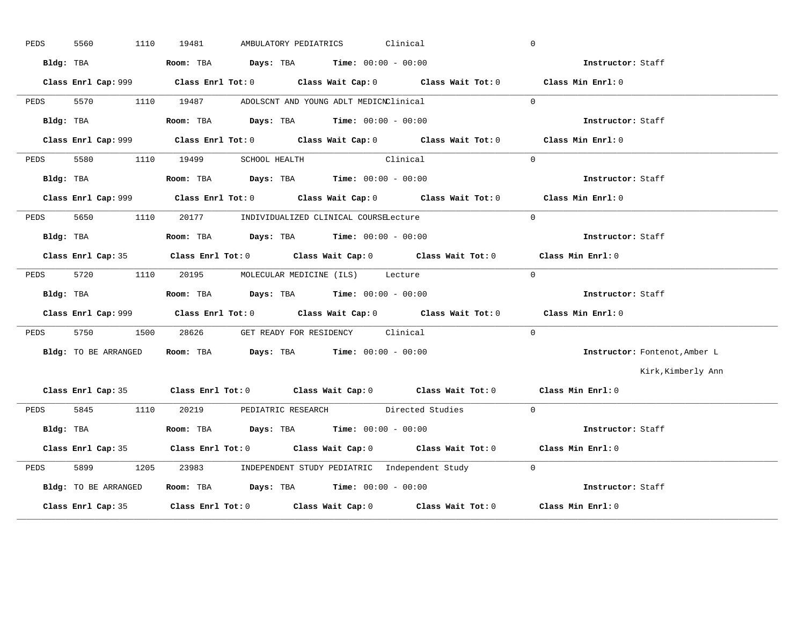| PEDS | 5560<br>1110         | AMBULATORY PEDIATRICS Clinical<br>19481                                                     | $\overline{0}$                |
|------|----------------------|---------------------------------------------------------------------------------------------|-------------------------------|
|      | Bldg: TBA            | <b>Room:</b> TBA $Days: TBA$ <b>Time:</b> $00:00 - 00:00$                                   | <b>Instructor:</b> Staff      |
|      |                      | Class Enrl Cap: 999 Class Enrl Tot: 0 Class Wait Cap: 0 Class Wait Tot: 0 Class Min Enrl: 0 |                               |
| PEDS |                      | 5570 1110 19487 ADOLSCNT AND YOUNG ADLT MEDICNClinical                                      | $\Omega$                      |
|      | Bldg: TBA            | Room: TBA $\rule{1em}{0.15mm}$ Days: TBA Time: $00:00 - 00:00$                              | Instructor: Staff             |
|      |                      | Class Enrl Cap: 999 Class Enrl Tot: 0 Class Wait Cap: 0 Class Wait Tot: 0 Class Min Enrl: 0 |                               |
| PEDS |                      | 5580 1110 19499 SCHOOL HEALTH Clinical                                                      | $\Omega$                      |
|      | Bldg: TBA            | Room: TBA $Days:$ TBA $Time: 00:00 - 00:00$                                                 | Instructor: Staff             |
|      |                      | Class Enrl Cap: 999 Class Enrl Tot: 0 Class Wait Cap: 0 Class Wait Tot: 0 Class Min Enrl: 0 |                               |
|      |                      | PEDS 5650 1110 20177 INDIVIDUALIZED CLINICAL COURSELecture                                  | $\Omega$                      |
|      | Bldg: TBA            | Room: TBA $Days:$ TBA $Time: 00:00 - 00:00$                                                 | Instructor: Staff             |
|      |                      | Class Enrl Cap: 35 Class Enrl Tot: 0 Class Wait Cap: 0 Class Wait Tot: 0 Class Min Enrl: 0  |                               |
| PEDS |                      | 5720 1110 20195 MOLECULAR MEDICINE (ILS) Lecture                                            | $\overline{0}$                |
|      |                      | Bldg: TBA                       Room: TBA          Days: TBA          Time: 00:00 - 00:00   | Instructor: Staff             |
|      |                      | Class Enrl Cap: 999 Class Enrl Tot: 0 Class Wait Cap: 0 Class Wait Tot: 0 Class Min Enrl: 0 |                               |
|      |                      | PEDS 5750 1500 28626 GET READY FOR RESIDENCY Clinical                                       | $\Omega$                      |
|      | Bldg: TO BE ARRANGED | Room: TBA $Days:$ TBA $Time: 00:00 - 00:00$                                                 | Instructor: Fontenot, Amber L |
|      |                      |                                                                                             | Kirk, Kimberly Ann            |
|      |                      | Class Enrl Cap: 35 Class Enrl Tot: 0 Class Wait Cap: 0 Class Wait Tot: 0 Class Min Enrl: 0  |                               |
|      |                      | PEDS 5845 1110 20219 PEDIATRIC RESEARCH Directed Studies 0                                  |                               |
|      | Bldg: TBA            | Room: TBA $\rule{1em}{0.15mm}$ Days: TBA Time: $00:00 - 00:00$                              | Instructor: Staff             |
|      |                      | Class Enrl Cap: 35 Class Enrl Tot: 0 Class Wait Cap: 0 Class Wait Tot: 0 Class Min Enrl: 0  |                               |
| PEDS | 5899                 | 1205 23983 INDEPENDENT STUDY PEDIATRIC Independent Study 0                                  |                               |
|      | Bldg: TO BE ARRANGED | Room: TBA Days: TBA Time: $00:00 - 00:00$                                                   |                               |
|      |                      | Class Enrl Cap: 35 Class Enrl Tot: 0 Class Wait Cap: 0 Class Wait Tot: 0 Class Min Enrl: 0  |                               |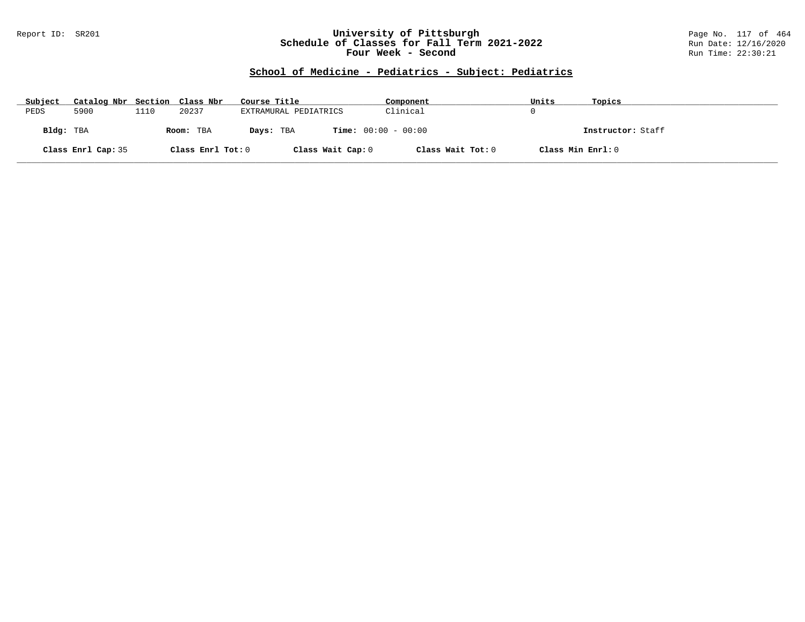### Report ID: SR201 **University of Pittsburgh** Page No. 117 of 464 **Schedule of Classes for Fall Term 2021-2022** Run Date: 12/16/2020 **Four Week - Second Run Time: 22:30:21**

# **School of Medicine - Pediatrics - Subject: Pediatrics**

| Subject   | Catalog Nbr Section Class Nbr |      |                   | Course Title                              | Component         | Units             | Topics            |
|-----------|-------------------------------|------|-------------------|-------------------------------------------|-------------------|-------------------|-------------------|
| PEDS      | 5900                          | 1110 | 20237             | EXTRAMURAL PEDIATRICS                     | Clinical          |                   |                   |
| Bldg: TBA |                               |      | Room: TBA         | <b>Time:</b> $00:00 - 00:00$<br>Days: TBA |                   |                   | Instructor: Staff |
|           | Class Enrl Cap: 35            |      | Class Enrl Tot: 0 | Class Wait Cap: 0                         | Class Wait Tot: 0 | Class Min Enrl: 0 |                   |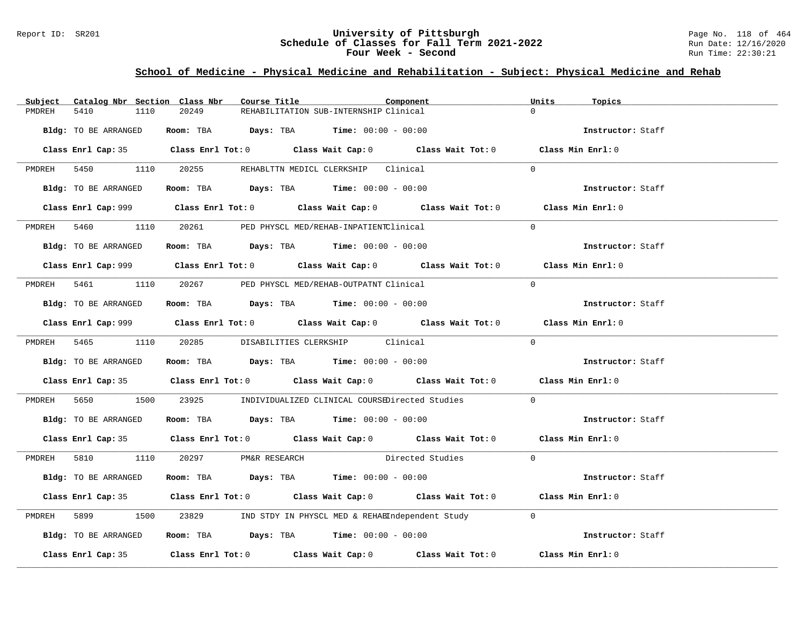### Report ID: SR201 **University of Pittsburgh University of Pittsburgh** Page No. 118 of 464 **Schedule of Classes for Fall Term 2021-2022** Page No. 118 of 464 **Schedule of Classes for Fall Term 2021-2022 Schedule of Classes for Fall Term 2021-2022** Run Date: 12/16/2020 **Four Week - Second Run Time: 22:30:21**

### **School of Medicine - Physical Medicine and Rehabilitation - Subject: Physical Medicine and Rehab**

| Subject              | Catalog Nbr Section Class Nbr<br>Course Title                                                                                                                                                                                                                                                                  | Component                                                                                   | Units<br>Topics   |
|----------------------|----------------------------------------------------------------------------------------------------------------------------------------------------------------------------------------------------------------------------------------------------------------------------------------------------------------|---------------------------------------------------------------------------------------------|-------------------|
| 5410<br>PMDREH       | 1110<br>20249                                                                                                                                                                                                                                                                                                  | REHABILITATION SUB-INTERNSHIP Clinical                                                      | $\Omega$          |
| Bldg: TO BE ARRANGED | Room: TBA $Days:$ TBA Time: $00:00 - 00:00$                                                                                                                                                                                                                                                                    |                                                                                             | Instructor: Staff |
|                      |                                                                                                                                                                                                                                                                                                                | Class Enrl Cap: 35 Class Enrl Tot: 0 Class Wait Cap: 0 Class Wait Tot: 0 Class Min Enrl: 0  |                   |
|                      | PMDREH 5450 1110 20255 REHABLTTN MEDICL CLERKSHIP Clinical                                                                                                                                                                                                                                                     |                                                                                             | $\Omega$          |
| Bldg: TO BE ARRANGED | Room: TBA $Days:$ TBA $Time: 00:00 - 00:00$                                                                                                                                                                                                                                                                    |                                                                                             | Instructor: Staff |
|                      |                                                                                                                                                                                                                                                                                                                |                                                                                             | Class Min Enrl: 0 |
|                      | PMDREH 5460 1110 20261 PED PHYSCL MED/REHAB-INPATIENTClinical                                                                                                                                                                                                                                                  |                                                                                             | $\Omega$          |
| Bldg: TO BE ARRANGED | <b>Room:</b> TBA $\rule{1em}{0.15mm}$ $\rule{1.5mm}{0.15mm}$ $\rule{1.5mm}{0.15mm}$ $\rule{1.5mm}{0.15mm}$ $\rule{1.5mm}{0.15mm}$ $\rule{1.5mm}{0.15mm}$ $\rule{1.5mm}{0.15mm}$ $\rule{1.5mm}{0.15mm}$ $\rule{1.5mm}{0.15mm}$ $\rule{1.5mm}{0.15mm}$ $\rule{1.5mm}{0.15mm}$ $\rule{1.5mm}{0.15mm}$ $\rule{1.5$ |                                                                                             | Instructor: Staff |
|                      |                                                                                                                                                                                                                                                                                                                |                                                                                             | Class Min Enrl: 0 |
|                      | PMDREH 5461 1110 20267 PED PHYSCL MED/REHAB-OUTPATNT Clinical                                                                                                                                                                                                                                                  |                                                                                             | $\overline{0}$    |
| Bldg: TO BE ARRANGED | Room: TBA $Days:$ TBA $Time: 00:00 - 00:00$                                                                                                                                                                                                                                                                    |                                                                                             | Instructor: Staff |
|                      |                                                                                                                                                                                                                                                                                                                | Class Enrl Cap: 999 Class Enrl Tot: 0 Class Wait Cap: 0 Class Wait Tot: 0 Class Min Enrl: 0 |                   |
|                      | PMDREH 5465 1110 20285 DISABILITIES CLERKSHIP Clinical                                                                                                                                                                                                                                                         |                                                                                             | $\Omega$          |
| Bldg: TO BE ARRANGED | Room: TBA $Days: TBA$ Time: $00:00 - 00:00$                                                                                                                                                                                                                                                                    |                                                                                             | Instructor: Staff |
|                      |                                                                                                                                                                                                                                                                                                                | Class Enrl Cap: 35 Class Enrl Tot: 0 Class Wait Cap: 0 Class Wait Tot: 0 Class Min Enrl: 0  |                   |
|                      |                                                                                                                                                                                                                                                                                                                | PMDREH 5650 1500 23925 INDIVIDUALIZED CLINICAL COURSEDirected Studies                       | $\mathbf{0}$      |
| Bldg: TO BE ARRANGED | Room: TBA $Days:$ TBA $Time: 00:00 - 00:00$                                                                                                                                                                                                                                                                    |                                                                                             | Instructor: Staff |
|                      |                                                                                                                                                                                                                                                                                                                | Class Enrl Cap: 35 Class Enrl Tot: 0 Class Wait Cap: 0 Class Wait Tot: 0 Class Min Enrl: 0  |                   |
|                      | PMDREH 5810 1110 20297 PM&R RESEARCH                                                                                                                                                                                                                                                                           | Directed Studies                                                                            | $\Omega$          |
| Bldg: TO BE ARRANGED | Room: TBA $\rule{1em}{0.15mm}$ Days: TBA $\rule{1.15mm}{0.15mm}$ Time: $00:00 - 00:00$                                                                                                                                                                                                                         |                                                                                             | Instructor: Staff |
|                      |                                                                                                                                                                                                                                                                                                                | Class Enrl Cap: 35 Class Enrl Tot: 0 Class Wait Cap: 0 Class Wait Tot: 0 Class Min Enrl: 0  |                   |
| PMDREH 5899          |                                                                                                                                                                                                                                                                                                                | 1500 23829 IND STDY IN PHYSCL MED & REHAEIndependent Study                                  | $\Omega$          |
| Bldg: TO BE ARRANGED | <b>Room:</b> TBA $\rule{1em}{0.15mm}$ <b>Days:</b> TBA <b>Time:</b> $00:00 - 00:00$                                                                                                                                                                                                                            |                                                                                             | Instructor: Staff |
|                      |                                                                                                                                                                                                                                                                                                                | Class Enrl Cap: 35 Class Enrl Tot: 0 Class Wait Cap: 0 Class Wait Tot: 0 Class Min Enrl: 0  |                   |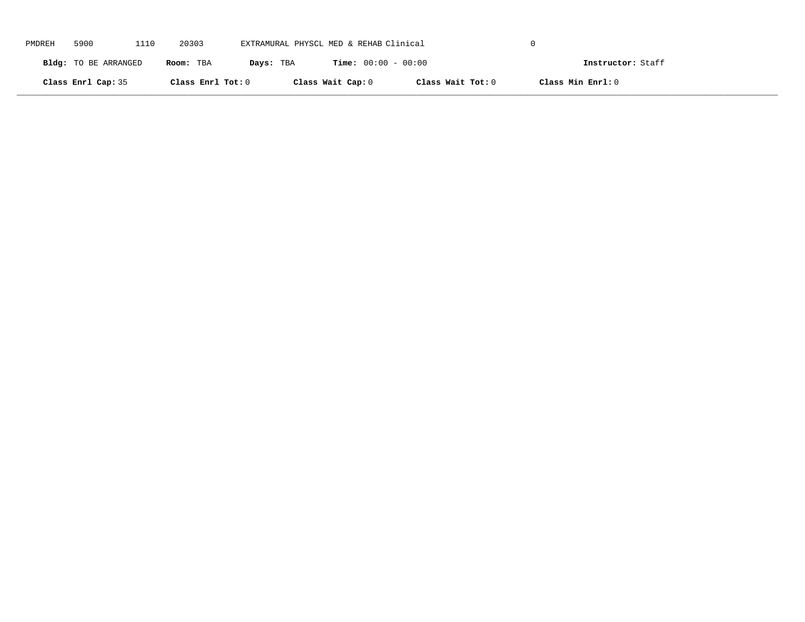| PMDREH | 5900                 | 1110 | 20303             | EXTRAMURAL PHYSCL MED & REHAB Clinical |                              |                   |                   |  |
|--------|----------------------|------|-------------------|----------------------------------------|------------------------------|-------------------|-------------------|--|
|        | Bldg: TO BE ARRANGED |      | Room: TBA         | Days: TBA                              | <b>Time:</b> $00:00 - 00:00$ |                   | Instructor: Staff |  |
|        | Class Enrl Cap: 35   |      | Class Enrl Tot: 0 |                                        | Class Wait Cap: 0            | Class Wait Tot: 0 | Class Min Enrl: 0 |  |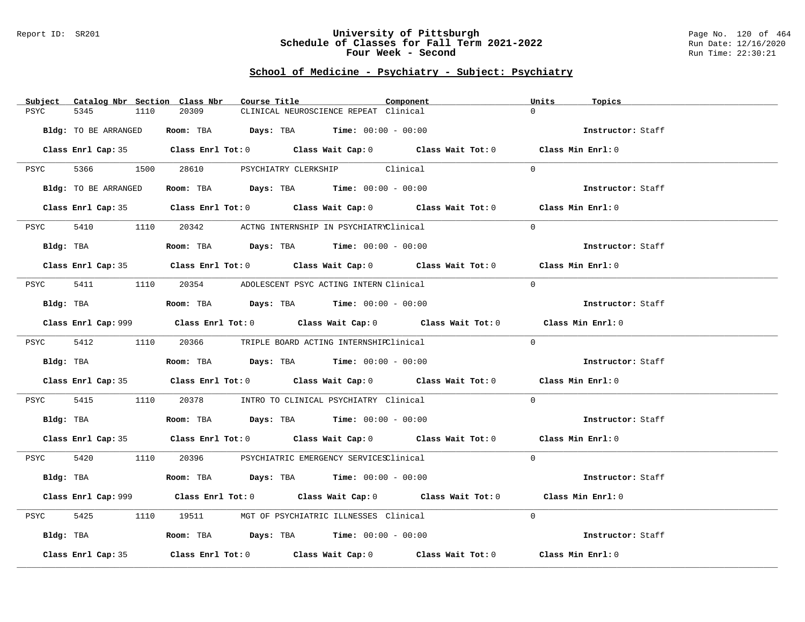#### Report ID: SR201 **University of Pittsburgh** Page No. 120 of 464 **Schedule of Classes for Fall Term 2021-2022** Run Date: 12/16/2020 **Four Week - Second Run Time: 22:30:21**

# **School of Medicine - Psychiatry - Subject: Psychiatry**

| Catalog Nbr Section Class Nbr<br>Subject | Course Title                                                                                   | Component | Units<br>Topics   |
|------------------------------------------|------------------------------------------------------------------------------------------------|-----------|-------------------|
| PSYC<br>5345<br>1110                     | 20309<br>CLINICAL NEUROSCIENCE REPEAT Clinical                                                 | $\Omega$  |                   |
| Bldg: TO BE ARRANGED                     | Room: TBA $Days: TBA$ Time: $00:00 - 00:00$                                                    |           | Instructor: Staff |
|                                          | Class Enrl Cap: 35 Class Enrl Tot: 0 Class Wait Cap: 0 Class Wait Tot: 0 Class Min Enrl: 0     |           |                   |
|                                          | PSYC 5366 1500 28610 PSYCHIATRY CLERKSHIP Clinical                                             | $\Omega$  |                   |
| Bldg: TO BE ARRANGED                     | Room: TBA $Days:$ TBA $Time: 00:00 - 00:00$                                                    |           | Instructor: Staff |
|                                          | Class Enrl Cap: 35 Class Enrl Tot: 0 Class Wait Cap: 0 Class Wait Tot: 0 Class Min Enrl: 0     |           |                   |
| 5410<br>PSYC                             | 1110 20342 ACTNG INTERNSHIP IN PSYCHIATRYClinical                                              | $\Omega$  |                   |
| Bldg: TBA                                | Room: TBA $Days:$ TBA $Time: 00:00 - 00:00$                                                    |           | Instructor: Staff |
|                                          | Class Enrl Cap: 35 Class Enrl Tot: 0 Class Wait Cap: 0 Class Wait Tot: 0 Class Min Enrl: 0     |           |                   |
| PSYC                                     | 5411 1110 20354 ADOLESCENT PSYC ACTING INTERN Clinical                                         | $\Omega$  |                   |
|                                          |                                                                                                |           | Instructor: Staff |
|                                          | Class Enrl Cap: 999 Class Enrl Tot: 0 Class Wait Cap: 0 Class Wait Tot: 0 Class Min Enrl: 0    |           |                   |
|                                          | PSYC 5412 1110 20366 TRIPLE BOARD ACTING INTERNSHIPClinical                                    | $\Omega$  |                   |
| Bldg: TBA                                | <b>Room:</b> TBA $\qquad \qquad$ <b>Days:</b> TBA $\qquad \qquad$ <b>Time:</b> $00:00 - 00:00$ |           | Instructor: Staff |
|                                          | Class Enrl Cap: 35 Class Enrl Tot: 0 Class Wait Cap: 0 Class Wait Tot: 0 Class Min Enrl: 0     |           |                   |
| 5415<br>PSYC                             | 1110 20378 INTRO TO CLINICAL PSYCHIATRY Clinical                                               | $\Omega$  |                   |
|                                          | Bldg: TBA                    Room: TBA         Days: TBA         Time: 00:00 - 00:00           |           | Instructor: Staff |
|                                          | Class Enrl Cap: 35 Class Enrl Tot: 0 Class Wait Cap: 0 Class Wait Tot: 0 Class Min Enrl: 0     |           |                   |
|                                          | PSYC 5420 1110 20396 PSYCHIATRIC EMERGENCY SERVICESClinical                                    | $\Omega$  |                   |
|                                          | Bldg: TBA                   Room: TBA        Days: TBA         Time: $00:00 - 00:00$           |           | Instructor: Staff |
|                                          | Class Enrl Cap: 999 Class Enrl Tot: 0 Class Wait Cap: 0 Class Wait Tot: 0 Class Min Enrl: 0    |           |                   |
| 5425<br>PSYC                             | 1110 19511 MGT OF PSYCHIATRIC ILLNESSES Clinical                                               | $\Omega$  |                   |
|                                          | Bldg: TBA                   Room: TBA         Days: TBA         Time: $00:00 - 00:00$          |           | Instructor: Staff |
| Class Enrl Cap: 35                       | Class Enrl Tot: $0$ Class Wait Cap: $0$ Class Wait Tot: $0$                                    |           | Class Min Enrl: 0 |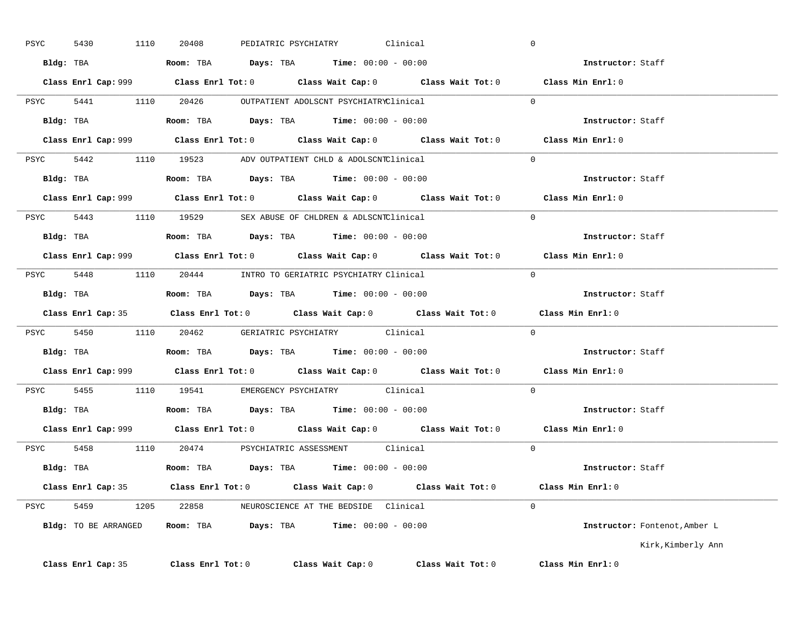| PSYC | 1110<br>5430       | PEDIATRIC PSYCHIATRY<br>20408                                                               | Clinical          |                   | $\overline{0}$                |
|------|--------------------|---------------------------------------------------------------------------------------------|-------------------|-------------------|-------------------------------|
|      |                    | Bldg: TBA                    Room: TBA         Days: TBA         Time: 00:00 - 00:00        |                   |                   | Instructor: Staff             |
|      |                    | Class Enrl Cap: 999 Class Enrl Tot: 0 Class Wait Cap: 0 Class Wait Tot: 0 Class Min Enrl: 0 |                   |                   |                               |
|      |                    | PSYC 5441 1110 20426 OUTPATIENT ADOLSCNT PSYCHIATRYClinical                                 |                   |                   | $\Omega$                      |
|      | Bldg: TBA          | <b>Room:</b> TBA $Days:$ TBA $Time: 00:00 - 00:00$                                          |                   |                   | Instructor: Staff             |
|      |                    | Class Enrl Cap: 999 Class Enrl Tot: 0 Class Wait Cap: 0 Class Wait Tot: 0 Class Min Enrl: 0 |                   |                   |                               |
|      |                    | PSYC 5442 1110 19523 ADV OUTPATIENT CHLD & ADOLSCNTClinical 0                               |                   |                   |                               |
|      |                    | Bldg: TBA                     Room: TBA         Days: TBA         Time: 00:00 - 00:00       |                   |                   | Instructor: Staff             |
|      |                    | Class Enrl Cap: 999 Class Enrl Tot: 0 Class Wait Cap: 0 Class Wait Tot: 0 Class Min Enrl: 0 |                   |                   |                               |
|      |                    | PSYC 5443 1110 19529 SEX ABUSE OF CHLDREN & ADLSCNTClinical                                 |                   |                   | $\sim$ 0                      |
|      |                    | Bldg: TBA                       Room: TBA           Days: TBA          Time: 00:00 - 00:00  |                   |                   | Instructor: Staff             |
|      |                    | Class Enrl Cap: 999 Class Enrl Tot: 0 Class Wait Cap: 0 Class Wait Tot: 0 Class Min Enrl: 0 |                   |                   |                               |
|      |                    | PSYC 5448 1110 20444 INTRO TO GERIATRIC PSYCHIATRY Clinical                                 |                   |                   | $\overline{0}$                |
|      |                    | Bldg: TBA                   Room: TBA         Days: TBA        Time: $00:00 - 00:00$        |                   |                   | Instructor: Staff             |
|      |                    | Class Enrl Cap: 35 Class Enrl Tot: 0 Class Wait Cap: 0 Class Wait Tot: 0                    |                   |                   | Class Min Enrl: 0             |
|      |                    | PSYC 5450 1110 20462 GERIATRIC PSYCHIATRY Clinical 0                                        |                   |                   |                               |
|      |                    | Bldg: TBA                        Room: TBA         Days: TBA         Time: $00:00 - 00:00$  |                   |                   | Instructor: Staff             |
|      |                    | Class Enrl Cap: 999 Class Enrl Tot: 0 Class Wait Cap: 0 Class Wait Tot: 0 Class Min Enrl: 0 |                   |                   |                               |
|      |                    | PSYC 5455 1110 19541 EMERGENCY PSYCHIATRY Clinical                                          |                   |                   | $\Omega$                      |
|      |                    | Bldg: TBA                   Room: TBA        Days: TBA        Time: 00:00 - 00:00           |                   |                   | Instructor: Staff             |
|      |                    | Class Enrl Cap: 999 Class Enrl Tot: 0 Class Wait Cap: 0 Class Wait Tot: 0                   |                   |                   | Class Min $Enrl: 0$           |
|      |                    | PSYC 5458 1110 20474 PSYCHIATRIC ASSESSMENT Clinical                                        |                   |                   | $\Omega$                      |
|      |                    | Bldg: TBA                   Room: TBA         Days: TBA        Time: 00:00 - 00:00          |                   |                   | Instructor: Staff             |
|      |                    | Class Enrl Cap: 35 Class Enrl Tot: 0 Class Wait Cap: 0 Class Wait Tot: 0 Class Min Enrl: 0  |                   |                   |                               |
|      |                    | PSYC 5459 1205 22858 NEUROSCIENCE AT THE BEDSIDE Clinical                                   |                   |                   | $\Omega$                      |
|      |                    | Bldg: TO BE ARRANGED Room: TBA Days: TBA Time: 00:00 - 00:00                                |                   |                   | Instructor: Fontenot, Amber L |
|      |                    |                                                                                             |                   |                   | Kirk, Kimberly Ann            |
|      | Class Enrl Cap: 35 | $Class$ $Enr1$ $Tot: 0$                                                                     | Class Wait Cap: 0 | Class Wait Tot: 0 | Class Min Enrl: 0             |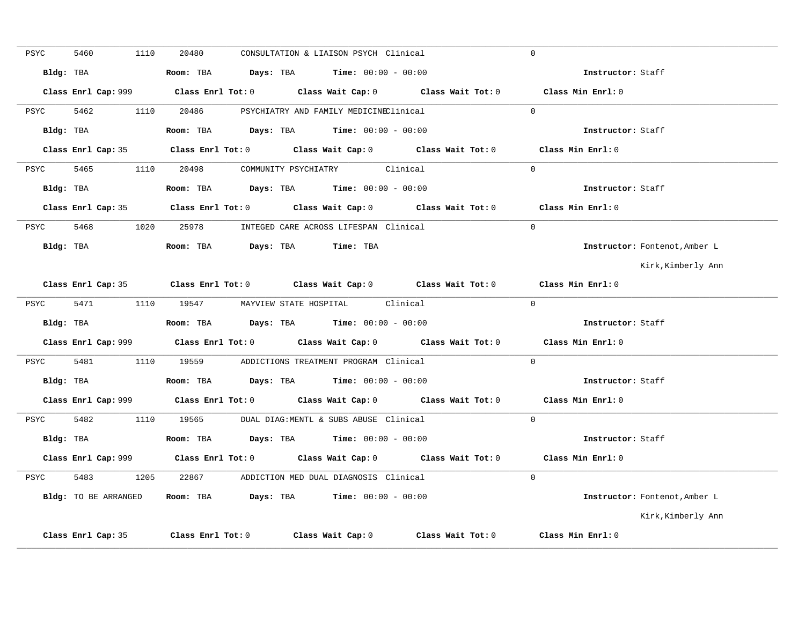| PSYC | 5460                 | 1110 | 20480 | CONSULTATION & LIAISON PSYCH Clinical                                                          |                                                                                             | $\Omega$                                                                                    |
|------|----------------------|------|-------|------------------------------------------------------------------------------------------------|---------------------------------------------------------------------------------------------|---------------------------------------------------------------------------------------------|
|      | Bldg: TBA            |      |       | Room: TBA $Days:$ TBA $Time: 00:00 - 00:00$                                                    |                                                                                             | Instructor: Staff                                                                           |
|      |                      |      |       |                                                                                                |                                                                                             | Class Min Enrl: 0                                                                           |
| PSYC | 5462                 |      |       | 1110  20486  PSYCHIATRY AND FAMILY MEDICINEClinical                                            |                                                                                             | $\Omega$                                                                                    |
|      | Bldg: TBA            |      |       | Room: TBA $\rule{1em}{0.15mm}$ Days: TBA $\rule{1.5mm}{0.15mm}$ Time: $00:00 - 00:00$          |                                                                                             | Instructor: Staff                                                                           |
|      |                      |      |       |                                                                                                | Class Enrl Cap: 35 Class Enrl Tot: 0 Class Wait Cap: 0 Class Wait Tot: 0 Class Min Enrl: 0  |                                                                                             |
|      |                      |      |       | PSYC 5465 1110 20498 COMMUNITY PSYCHIATRY Clinical                                             |                                                                                             | $\Omega$                                                                                    |
|      | Bldg: TBA            |      |       | <b>Room:</b> TBA $\qquad \qquad$ <b>Days:</b> TBA $\qquad \qquad$ <b>Time:</b> $00:00 - 00:00$ |                                                                                             | Instructor: Staff                                                                           |
|      |                      |      |       |                                                                                                | Class Enrl Cap: 35 Class Enrl Tot: 0 Class Wait Cap: 0 Class Wait Tot: 0 Class Min Enrl: 0  |                                                                                             |
|      |                      |      |       | PSYC 5468 1020 25978 INTEGED CARE ACROSS LIFESPAN Clinical                                     |                                                                                             | $\Omega$                                                                                    |
|      |                      |      |       | Bldg: TBA                    Room: TBA         Days: TBA         Time: TBA                     |                                                                                             | Instructor: Fontenot, Amber L                                                               |
|      |                      |      |       |                                                                                                |                                                                                             | Kirk,Kimberly Ann                                                                           |
|      |                      |      |       |                                                                                                | Class Enrl Cap: 35 Class Enrl Tot: 0 Class Wait Cap: 0 Class Wait Tot: 0                    | Class Min Enrl: 0                                                                           |
| PSYC |                      |      |       | 5471 1110 19547 MAYVIEW STATE HOSPITAL Clinical                                                |                                                                                             | $\Omega$                                                                                    |
|      |                      |      |       | Bldg: TBA                    Room: TBA         Days: TBA         Time: 00:00 - 00:00           |                                                                                             | Instructor: Staff                                                                           |
|      |                      |      |       |                                                                                                | Class Enrl Cap: 999 Class Enrl Tot: 0 Class Wait Cap: 0 Class Wait Tot: 0 Class Min Enrl: 0 |                                                                                             |
|      |                      |      |       | PSYC 5481 1110 19559 ADDICTIONS TREATMENT PROGRAM Clinical                                     |                                                                                             | $\Omega$                                                                                    |
|      |                      |      |       |                                                                                                |                                                                                             | Instructor: Staff                                                                           |
|      |                      |      |       |                                                                                                |                                                                                             | Class Enrl Cap: 999 Class Enrl Tot: 0 Class Wait Cap: 0 Class Wait Tot: 0 Class Min Enrl: 0 |
|      |                      |      |       | PSYC 5482 1110 19565 DUAL DIAG:MENTL & SUBS ABUSE Clinical                                     |                                                                                             | $\Omega$                                                                                    |
|      |                      |      |       | Bldg: TBA                    Room: TBA          Days: TBA         Time: 00:00 - 00:00          |                                                                                             | Instructor: Staff                                                                           |
|      |                      |      |       |                                                                                                |                                                                                             | Class Min Enrl: 0                                                                           |
| PSYC |                      |      |       | 5483 1205 22867 ADDICTION MED DUAL DIAGNOSIS Clinical                                          |                                                                                             | $\Omega$                                                                                    |
|      | Bldg: TO BE ARRANGED |      |       | Room: TBA $Days:$ TBA $Time: 00:00 - 00:00$                                                    |                                                                                             | Instructor: Fontenot, Amber L                                                               |
|      |                      |      |       |                                                                                                |                                                                                             | Kirk, Kimberly Ann                                                                          |
|      | Class Enrl Cap: 35   |      |       |                                                                                                | Class Enrl Tot: 0 Class Wait Cap: 0 Class Wait Tot: 0                                       | Class Min Enrl: 0                                                                           |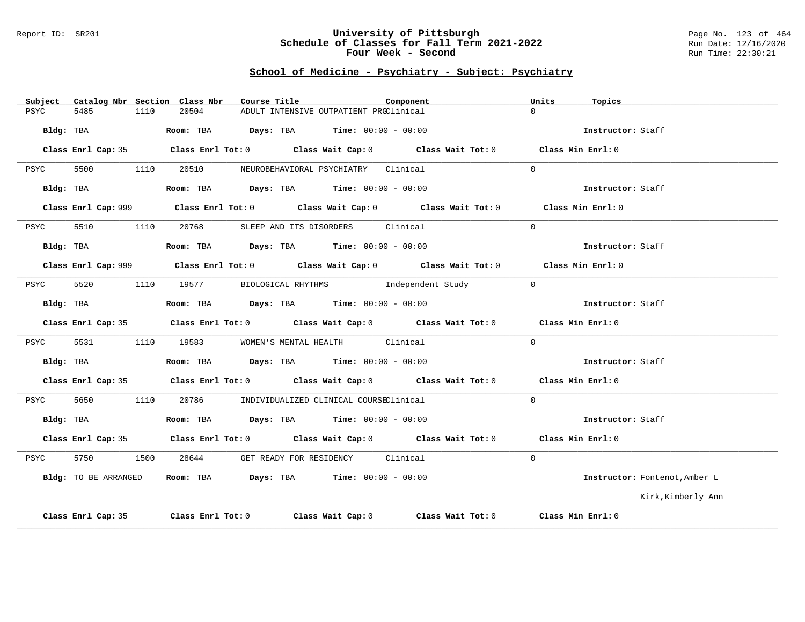#### Report ID: SR201 **University of Pittsburgh** Page No. 123 of 464 **Schedule of Classes for Fall Term 2021-2022** Run Date: 12/16/2020 **Four Week - Second Run Time: 22:30:21**

### **School of Medicine - Psychiatry - Subject: Psychiatry**

| Subject |                    |      | Catalog Nbr Section Class Nbr | Course Title                                                                          |                                        | Component                                                                                   | Units    | Topics                        |
|---------|--------------------|------|-------------------------------|---------------------------------------------------------------------------------------|----------------------------------------|---------------------------------------------------------------------------------------------|----------|-------------------------------|
| PSYC    | 5485               | 1110 | 20504                         |                                                                                       | ADULT INTENSIVE OUTPATIENT PROClinical |                                                                                             | $\cap$   |                               |
|         | Bldg: TBA          |      |                               | Room: TBA $Days:$ TBA $Time: 00:00 - 00:00$                                           |                                        |                                                                                             |          | Instructor: Staff             |
|         | Class Enrl Cap: 35 |      |                               |                                                                                       |                                        | Class Enrl Tot: $0$ Class Wait Cap: $0$ Class Wait Tot: $0$ Class Min Enrl: $0$             |          |                               |
| PSYC    | 5500               | 1110 |                               | 20510 NEUROBEHAVIORAL PSYCHIATRY Clinical                                             |                                        |                                                                                             | $\Omega$ |                               |
|         | Bldg: TBA          |      |                               | Room: TBA $\rule{1em}{0.15mm}$ Days: TBA Time: $00:00 - 00:00$                        |                                        |                                                                                             |          | Instructor: Staff             |
|         |                    |      |                               |                                                                                       |                                        | Class Enrl Cap: 999 Class Enrl Tot: 0 Class Wait Cap: 0 Class Wait Tot: 0 Class Min Enrl: 0 |          |                               |
| PSYC    | 5510               | 1110 |                               | 20768 SLEEP AND ITS DISORDERS Clinical                                                |                                        |                                                                                             | $\Omega$ |                               |
|         |                    |      |                               | Bldg: TBA                   Room: TBA         Days: TBA         Time: $00:00 - 00:00$ |                                        |                                                                                             |          | Instructor: Staff             |
|         |                    |      |                               |                                                                                       |                                        | Class Enrl Cap: 999 Class Enrl Tot: 0 Class Wait Cap: 0 Class Wait Tot: 0 Class Min Enrl: 0 |          |                               |
| PSYC    | 5520               |      |                               |                                                                                       |                                        | 1110 19577 BIOLOGICAL RHYTHMS Independent Study                                             | $\Omega$ |                               |
|         | Bldg: TBA          |      |                               | Room: TBA $Days:$ TBA $Time: 00:00 - 00:00$                                           |                                        |                                                                                             |          | Instructor: Staff             |
|         |                    |      |                               |                                                                                       |                                        | Class Enrl Cap: 35 Class Enrl Tot: 0 Class Wait Cap: 0 Class Wait Tot: 0 Class Min Enrl: 0  |          |                               |
| PSYC    | 5531               |      |                               | 1110 19583 WOMEN'S MENTAL HEALTH Clinical                                             |                                        |                                                                                             | $\Omega$ |                               |
|         | Bldg: TBA          |      |                               | Room: TBA $Days:$ TBA $Time: 00:00 - 00:00$                                           |                                        |                                                                                             |          | Instructor: Staff             |
|         |                    |      |                               |                                                                                       |                                        | Class Enrl Cap: 35 Class Enrl Tot: 0 Class Wait Cap: 0 Class Wait Tot: 0 Class Min Enrl: 0  |          |                               |
| PSYC    | 5650               |      |                               | 1110 20786 INDIVIDUALIZED CLINICAL COURSEClinical                                     |                                        |                                                                                             | $\Omega$ |                               |
|         | Bldg: TBA          |      |                               | Room: TBA $Days:$ TBA $Time: 00:00 - 00:00$                                           |                                        |                                                                                             |          | Instructor: Staff             |
|         |                    |      |                               |                                                                                       |                                        | Class Enrl Cap: 35 Class Enrl Tot: 0 Class Wait Cap: 0 Class Wait Tot: 0 Class Min Enrl: 0  |          |                               |
| PSYC    | 5750               |      | 1500 28644                    |                                                                                       | GET READY FOR RESIDENCY Clinical       |                                                                                             | $\Omega$ |                               |
|         |                    |      |                               | Bldg: TO BE ARRANGED Room: TBA Days: TBA Time: 00:00 - 00:00                          |                                        |                                                                                             |          | Instructor: Fontenot, Amber L |
|         |                    |      |                               |                                                                                       |                                        |                                                                                             |          | Kirk,Kimberly Ann             |
|         | Class Enrl Cap: 35 |      |                               |                                                                                       |                                        | Class Enrl Tot: $0$ Class Wait Cap: $0$ Class Wait Tot: $0$ Class Min Enrl: $0$             |          |                               |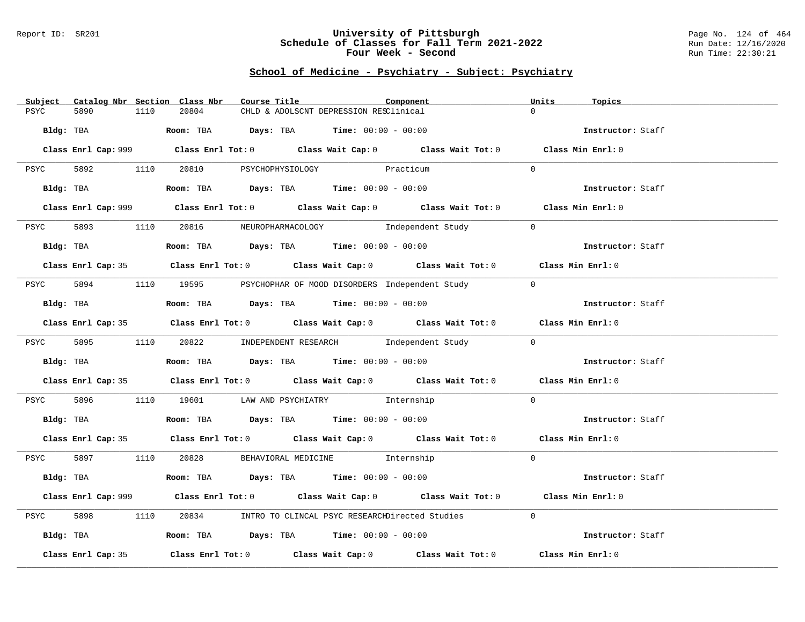#### Report ID: SR201 **University of Pittsburgh** Page No. 124 of 464 **Schedule of Classes for Fall Term 2021-2022** Run Date: 12/16/2020 **Four Week - Second Run Time: 22:30:21**

# **School of Medicine - Psychiatry - Subject: Psychiatry**

| Subject Catalog Nbr Section Class Nbr | Course Title                                                                                       | Component<br>Units | Topics            |
|---------------------------------------|----------------------------------------------------------------------------------------------------|--------------------|-------------------|
| 5890<br>1110<br>PSYC                  | 20804<br>CHLD & ADOLSCNT DEPRESSION RESClinical                                                    | $\Omega$           |                   |
|                                       | Bldg: TBA                    Room: TBA         Days: TBA        Time: 00:00 - 00:00                |                    | Instructor: Staff |
|                                       | Class Enrl Cap: 999 Class Enrl Tot: 0 Class Wait Cap: 0 Class Wait Tot: 0 Class Min Enrl: 0        |                    |                   |
|                                       | PSYC 5892 1110 20810 PSYCHOPHYSIOLOGY Practicum                                                    | $\Omega$           |                   |
|                                       | Bldg: TBA                   Room: TBA        Days: TBA        Time: 00:00 - 00:00                  |                    | Instructor: Staff |
|                                       | Class Enrl Cap: 999 Class Enrl Tot: 0 Class Wait Cap: 0 Class Wait Tot: 0 Class Min Enrl: 0        |                    |                   |
| PSYC                                  | 5893 1110 20816 NEUROPHARMACOLOGY Independent Study                                                | $\overline{0}$     |                   |
| Bldg: TBA                             | Room: TBA $Days:$ TBA $Time:$ $00:00 - 00:00$                                                      |                    | Instructor: Staff |
|                                       | Class Enrl Cap: 35 Class Enrl Tot: 0 Class Wait Cap: 0 Class Wait Tot: 0 Class Min Enrl: 0         |                    |                   |
| PSYC                                  | 5894 1110 19595 PSYCHOPHAR OF MOOD DISORDERS Independent Study                                     | $\overline{0}$     |                   |
| Bldg: TBA                             | Room: TBA $Days:$ TBA $Time: 00:00 - 00:00$                                                        |                    | Instructor: Staff |
|                                       | Class Enrl Cap: 35 Class Enrl Tot: 0 Class Wait Cap: 0 Class Wait Tot: 0 Class Min Enrl: 0         |                    |                   |
|                                       | PSYC 5895 1110 20822 INDEPENDENT RESEARCH Independent Study                                        | $\overline{0}$     |                   |
|                                       | Bldg: TBA                    Room: TBA         Days: TBA         Time: 00:00 - 00:00               |                    | Instructor: Staff |
|                                       | Class Enrl Cap: 35 Class Enrl Tot: 0 Class Wait Cap: 0 Class Wait Tot: 0 Class Min Enrl: 0         |                    |                   |
| 5896<br>PSYC                          | 1110 19601 LAW AND PSYCHIATRY Thernship                                                            | $\Omega$           |                   |
|                                       | Bldg: TBA                    Room: TBA         Days: TBA         Time: 00:00 - 00:00               |                    | Instructor: Staff |
|                                       | Class Enrl Cap: 35 Class Enrl Tot: 0 Class Wait Cap: 0 Class Wait Tot: 0 Class Min Enrl: 0         |                    |                   |
|                                       | PSYC 5897 1110 20828 BEHAVIORAL MEDICINE Internship                                                | $\Omega$           |                   |
|                                       | Bldg: TBA                    Room: TBA         Days: TBA         Time: 00:00 - 00:00               |                    | Instructor: Staff |
|                                       | Class Enrl Cap: 999 Class Enrl Tot: 0 Class Wait Cap: 0 Class Wait Tot: 0 Class Min Enrl: 0        |                    |                   |
| 5898<br>1110<br>PSYC                  | 20834 INTRO TO CLINCAL PSYC RESEARCHDirected Studies                                               | $\Omega$           |                   |
|                                       | Bldg: TBA                    Room: TBA        Days: TBA        Time: 00:00 - 00:00                 |                    | Instructor: Staff |
| Class Enrl Cap: 35                    | Class Enrl Tot: 0 $\qquad$ Class Wait Cap: 0 $\qquad$ Class Wait Tot: 0 $\qquad$ Class Min Enrl: 0 |                    |                   |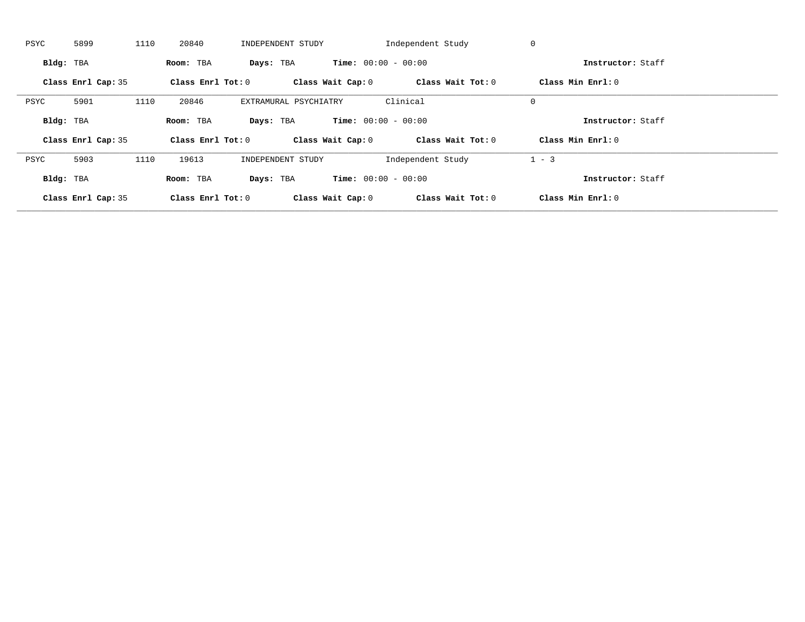| PSYC      | 5899               | 1110 | 20840               | INDEPENDENT STUDY     |                              | Independent Study | 0                 |  |
|-----------|--------------------|------|---------------------|-----------------------|------------------------------|-------------------|-------------------|--|
| Bldg: TBA |                    |      | Room: TBA           | Days: TBA             | <b>Time:</b> $00:00 - 00:00$ |                   | Instructor: Staff |  |
|           | Class Enrl Cap: 35 |      | Class Enrl Tot: $0$ |                       | Class Wait Cap: 0            | Class Wait Tot: 0 | Class Min Enrl: 0 |  |
| PSYC      | 5901               | 1110 | 20846               | EXTRAMURAL PSYCHIATRY |                              | Clinical          | $\mathbf 0$       |  |
| Bldg: TBA |                    |      | Room: TBA           | Days: TBA             | <b>Time:</b> $00:00 - 00:00$ |                   | Instructor: Staff |  |
|           | Class Enrl Cap: 35 |      | Class Enrl Tot: 0   |                       | Class Wait Cap: 0            | Class Wait Tot: 0 | Class Min Enrl: 0 |  |
| PSYC      | 5903               | 1110 | 19613               | INDEPENDENT STUDY     |                              | Independent Study | $1 - 3$           |  |
|           |                    |      |                     |                       |                              |                   |                   |  |
| Bldg: TBA |                    |      | Room: TBA           | Days: TBA             | <b>Time:</b> $00:00 - 00:00$ |                   | Instructor: Staff |  |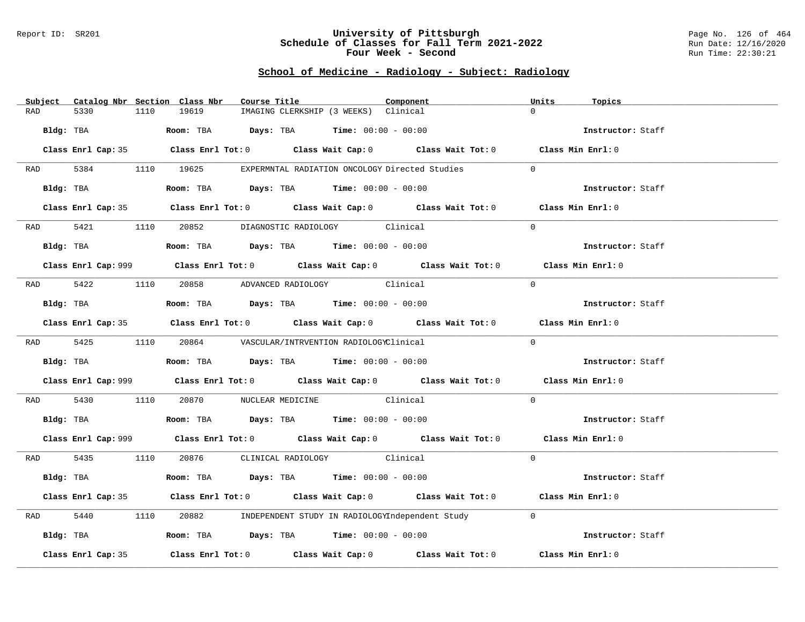#### Report ID: SR201 **University of Pittsburgh** Page No. 126 of 464 **Schedule of Classes for Fall Term 2021-2022** Run Date: 12/16/2020 **Four Week - Second Run Time: 22:30:21**

# **School of Medicine - Radiology - Subject: Radiology**

| Subject Catalog Nbr Section Class Nbr | Course Title                                                                                       | Component | Units<br>Topics   |
|---------------------------------------|----------------------------------------------------------------------------------------------------|-----------|-------------------|
| 5330<br>RAD<br>1110                   | 19619<br>IMAGING CLERKSHIP (3 WEEKS) Clinical                                                      |           | $\Omega$          |
| Bldg: TBA                             | Room: TBA $Days:$ TBA $Time: 00:00 - 00:00$                                                        |           | Instructor: Staff |
|                                       | Class Enrl Cap: 35 Class Enrl Tot: 0 Class Wait Cap: 0 Class Wait Tot: 0 Class Min Enrl: 0         |           |                   |
|                                       | RAD 5384 1110 19625 EXPERMNTAL RADIATION ONCOLOGY Directed Studies                                 |           | $\Omega$          |
| Bldg: TBA                             | Room: TBA $Days:$ TBA Time: $00:00 - 00:00$                                                        |           | Instructor: Staff |
|                                       | Class Enrl Cap: 35 Class Enrl Tot: 0 Class Wait Cap: 0 Class Wait Tot: 0 Class Min Enrl: 0         |           |                   |
|                                       | RAD 5421 1110 20852 DIAGNOSTIC RADIOLOGY Clinical                                                  |           | $\Omega$          |
| Bldg: TBA                             | <b>Room:</b> TBA $Days:$ TBA $Time: 00:00 - 00:00$                                                 |           | Instructor: Staff |
|                                       | Class Enrl Cap: 999 Class Enrl Tot: 0 Class Wait Cap: 0 Class Wait Tot: 0 Class Min Enrl: 0        |           |                   |
|                                       | RAD 5422 1110 20858 ADVANCED RADIOLOGY Clinical                                                    |           | $\Omega$          |
| Bldg: TBA                             | Room: TBA Days: TBA Time: $00:00 - 00:00$                                                          |           | Instructor: Staff |
|                                       | Class Enrl Cap: 35 Class Enrl Tot: 0 Class Wait Cap: 0 Class Wait Tot: 0 Class Min Enrl: 0         |           |                   |
|                                       | RAD 5425 1110 20864 VASCULAR/INTRVENTION RADIOLOGYClinical                                         |           | $\Omega$          |
|                                       | Bldg: TBA                   Room: TBA         Days: TBA        Time: $00:00 - 00:00$               |           | Instructor: Staff |
|                                       | Class Enrl Cap: 999 Class Enrl Tot: 0 Class Wait Cap: 0 Class Wait Tot: 0 Class Min Enrl: 0        |           |                   |
| RAD 5430                              | 1110 20870 NUCLEAR MEDICINE Clinical                                                               |           | $\Omega$          |
|                                       | Bldg: TBA                    Room: TBA         Days: TBA         Time: 00:00 - 00:00               |           | Instructor: Staff |
|                                       | Class Enrl Cap: 999 Class Enrl Tot: 0 Class Wait Cap: 0 Class Wait Tot: 0 Class Min Enrl: 0        |           |                   |
|                                       | RAD 5435 1110 20876 CLINICAL RADIOLOGY Clinical                                                    |           | $\Omega$          |
| Bldg: TBA                             | Room: TBA $Days:$ TBA $Time: 00:00 - 00:00$                                                        |           | Instructor: Staff |
|                                       | Class Enrl Cap: 35 Class Enrl Tot: 0 Class Wait Cap: 0 Class Wait Tot: 0 Class Min Enrl: 0         |           |                   |
| 5440<br>RAD                           | 1110 20882 INDEPENDENT STUDY IN RADIOLOGYIndependent Study                                         |           | $\overline{0}$    |
| Bldg: TBA                             | Room: TBA $Days: TBA$ Time: $00:00 - 00:00$                                                        |           | Instructor: Staff |
| Class Enrl Cap: 35                    | Class Enrl Tot: 0 $\qquad$ Class Wait Cap: 0 $\qquad$ Class Wait Tot: 0 $\qquad$ Class Min Enrl: 0 |           |                   |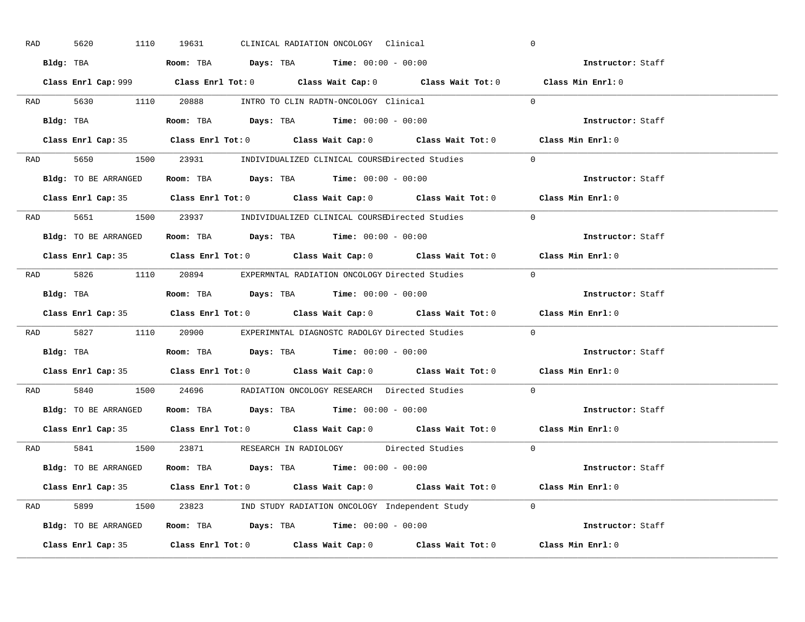| RAD | 5620                 | 1110<br>19631 | CLINICAL RADIATION ONCOLOGY Clinical                                                        |                                                                                            | $\overline{0}$                                                                              |  |
|-----|----------------------|---------------|---------------------------------------------------------------------------------------------|--------------------------------------------------------------------------------------------|---------------------------------------------------------------------------------------------|--|
|     |                      |               | Bldg: TBA                   Room: TBA        Days: TBA        Time: $00:00 - 00:00$         |                                                                                            | Instructor: Staff                                                                           |  |
|     |                      |               |                                                                                             |                                                                                            | Class Enrl Cap: 999 Class Enrl Tot: 0 Class Wait Cap: 0 Class Wait Tot: 0 Class Min Enrl: 0 |  |
|     |                      |               |                                                                                             | RAD 5630 1110 20888 INTRO TO CLIN RADTN-ONCOLOGY Clinical 0                                |                                                                                             |  |
|     |                      |               |                                                                                             |                                                                                            | Instructor: Staff                                                                           |  |
|     |                      |               |                                                                                             | Class Enrl Cap: 35 Class Enrl Tot: 0 Class Wait Cap: 0 Class Wait Tot: 0 Class Min Enrl: 0 |                                                                                             |  |
|     |                      |               |                                                                                             | RAD 5650 1500 23931 INDIVIDUALIZED CLINICAL COURSEDirected Studies 0                       |                                                                                             |  |
|     |                      |               | Bldg: TO BE ARRANGED Room: TBA Days: TBA Time: 00:00 - 00:00                                |                                                                                            | Instructor: Staff                                                                           |  |
|     |                      |               |                                                                                             | Class Enrl Cap: 35 Class Enrl Tot: 0 Class Wait Cap: 0 Class Wait Tot: 0 Class Min Enrl: 0 |                                                                                             |  |
|     |                      |               |                                                                                             | RAD 5651 1500 23937 INDIVIDUALIZED CLINICAL COURSEDirected Studies                         | $\Omega$                                                                                    |  |
|     | Bldg: TO BE ARRANGED |               | Room: TBA $\rule{1em}{0.15mm}$ Days: TBA $\rule{1.5mm}{0.15mm}$ Time: $00:00 - 00:00$       |                                                                                            | Instructor: Staff                                                                           |  |
|     |                      |               |                                                                                             | Class Enrl Cap: 35 Class Enrl Tot: 0 Class Wait Cap: 0 Class Wait Tot: 0 Class Min Enrl: 0 |                                                                                             |  |
|     |                      |               |                                                                                             | RAD 5826 1110 20894 EXPERMNTAL RADIATION ONCOLOGY Directed Studies 0                       |                                                                                             |  |
|     |                      |               | Bldg: TBA                         Room: TBA         Days: TBA         Time: $00:00 - 00:00$ |                                                                                            | Instructor: Staff                                                                           |  |
|     |                      |               |                                                                                             |                                                                                            | Class Enrl Cap: 35 Class Enrl Tot: 0 Class Wait Cap: 0 Class Wait Tot: 0 Class Min Enrl: 0  |  |
|     |                      |               |                                                                                             | RAD 5827 1110 20900 EXPERIMNTAL DIAGNOSTC RADOLGY Directed Studies                         | $\overline{0}$                                                                              |  |
|     |                      |               | Bldg: TBA                       Room: TBA         Days: TBA         Time: $00:00 - 00:00$   |                                                                                            | Instructor: Staff                                                                           |  |
|     |                      |               |                                                                                             | Class Enrl Cap: 35 Class Enrl Tot: 0 Class Wait Cap: 0 Class Wait Tot: 0 Class Min Enrl: 0 |                                                                                             |  |
| RAD |                      |               |                                                                                             | 5840 1500 24696 RADIATION ONCOLOGY RESEARCH Directed Studies                               | $\overline{0}$                                                                              |  |
|     |                      |               | Bldg: TO BE ARRANGED ROOM: TBA Days: TBA Time: 00:00 - 00:00                                |                                                                                            | Instructor: Staff                                                                           |  |
|     |                      |               |                                                                                             | Class Enrl Cap: 35 Class Enrl Tot: 0 Class Wait Cap: 0 Class Wait Tot: 0 Class Min Enrl: 0 |                                                                                             |  |
|     |                      |               |                                                                                             | RAD 5841 1500 23871 RESEARCH IN RADIOLOGY Directed Studies 0                               |                                                                                             |  |
|     |                      |               | Bldg: TO BE ARRANGED Room: TBA Days: TBA Time: 00:00 - 00:00                                |                                                                                            | Instructor: Staff                                                                           |  |
|     |                      |               |                                                                                             | Class Enrl Cap: 35 Class Enrl Tot: 0 Class Wait Cap: 0 Class Wait Tot: 0 Class Min Enrl: 0 |                                                                                             |  |
|     |                      |               |                                                                                             | RAD 5899 1500 23823 IND STUDY RADIATION ONCOLOGY Independent Study 0                       |                                                                                             |  |
|     |                      |               |                                                                                             | Bldg: TO BE ARRANGED Room: TBA Days: TBA Time: 00:00 - 00:00                               | Instructor: Staff                                                                           |  |
|     |                      |               |                                                                                             | Class Enrl Cap: 35 Class Enrl Tot: 0 Class Wait Cap: 0 Class Wait Tot: 0 Class Min Enrl: 0 |                                                                                             |  |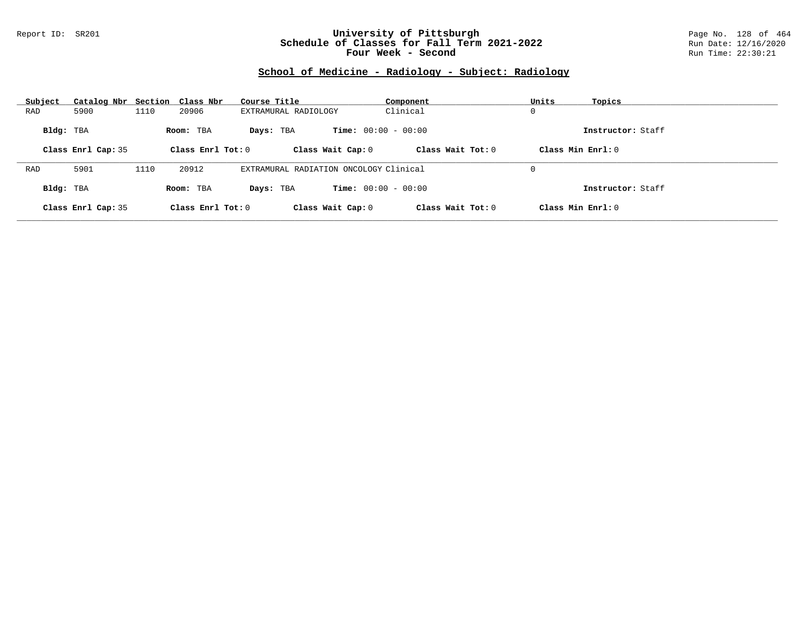### Report ID: SR201 **University of Pittsburgh** Page No. 128 of 464 **Schedule of Classes for Fall Term 2021-2022** Run Date: 12/16/2020 **Four Week - Second Run Time: 22:30:21**

# **School of Medicine - Radiology - Subject: Radiology**

| Subject   | Catalog Nbr Section Class Nbr |      |                   | Course Title                              | Component         | Units<br>Topics   |  |
|-----------|-------------------------------|------|-------------------|-------------------------------------------|-------------------|-------------------|--|
| RAD       | 5900                          | 1110 | 20906             | EXTRAMURAL RADIOLOGY                      | Clinical          | 0                 |  |
| Bldg: TBA |                               |      | Room: TBA         | <b>Time:</b> $00:00 - 00:00$<br>Days: TBA |                   | Instructor: Staff |  |
|           | Class Enrl Cap: 35            |      | Class Enrl Tot: 0 | Class Wait Cap: 0                         | Class Wait Tot: 0 | Class Min Enrl: 0 |  |
|           |                               |      |                   |                                           |                   |                   |  |
| RAD       | 5901                          | 1110 | 20912             | EXTRAMURAL RADIATION ONCOLOGY Clinical    |                   | 0                 |  |
| Bldg: TBA |                               |      | Room: TBA         | <b>Time:</b> $00:00 - 00:00$<br>Days: TBA |                   | Instructor: Staff |  |
|           | Class Enrl Cap: 35            |      | Class Enrl Tot: 0 | Class Wait Cap: 0                         | Class Wait Tot: 0 | Class Min Enrl: 0 |  |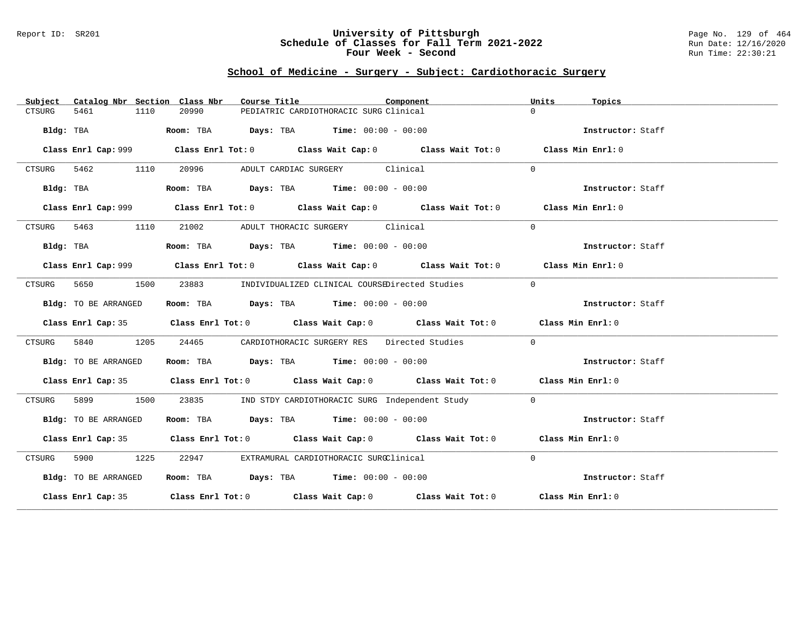### Report ID: SR201 **University of Pittsburgh** Page No. 129 of 464 **Schedule of Classes for Fall Term 2021-2022** Run Date: 12/16/2020 **Four Week - Second Run Time: 22:30:21**

# **School of Medicine - Surgery - Subject: Cardiothoracic Surgery**

| Subject |                      |      | Catalog Nbr Section Class Nbr | Course Title |                                                                | Component                                                                                   | Units          | Topics            |
|---------|----------------------|------|-------------------------------|--------------|----------------------------------------------------------------|---------------------------------------------------------------------------------------------|----------------|-------------------|
| CTSURG  | 5461                 | 1110 | 20990                         |              | PEDIATRIC CARDIOTHORACIC SURG Clinical                         |                                                                                             | $\Omega$       |                   |
|         | Bldg: TBA            |      |                               |              | Room: TBA $Days:$ TBA $Time: 00:00 - 00:00$                    |                                                                                             |                | Instructor: Staff |
|         |                      |      |                               |              |                                                                | Class Enrl Cap: 999 Class Enrl Tot: 0 Class Wait Cap: 0 Class Wait Tot: 0 Class Min Enrl: 0 |                |                   |
|         | CTSURG 5462 1110     |      | 20996                         |              | ADULT CARDIAC SURGERY Clinical                                 |                                                                                             | $\Omega$       |                   |
|         | Bldg: TBA            |      |                               |              | Room: TBA $Days:$ TBA $Time: 00:00 - 00:00$                    |                                                                                             |                | Instructor: Staff |
|         |                      |      |                               |              |                                                                | Class Enrl Cap: 999 Class Enrl Tot: 0 Class Wait Cap: 0 Class Wait Tot: 0 Class Min Enrl: 0 |                |                   |
|         | CTSURG 5463 1110     |      |                               |              | 21002 ADULT THORACIC SURGERY Clinical                          |                                                                                             | $\Omega$       |                   |
|         | Bldg: TBA            |      |                               |              | Room: TBA $\rule{1em}{0.15mm}$ Days: TBA Time: $00:00 - 00:00$ |                                                                                             |                | Instructor: Staff |
|         |                      |      |                               |              |                                                                | Class Enrl Cap: 999 Class Enrl Tot: 0 Class Wait Cap: 0 Class Wait Tot: 0 Class Min Enrl: 0 |                |                   |
| CTSURG  | 5650<br>1500         |      |                               |              |                                                                | 23883 INDIVIDUALIZED CLINICAL COURSEDirected Studies                                        | $\Omega$       |                   |
|         | Bldg: TO BE ARRANGED |      |                               |              | Room: TBA $Days:$ TBA $Time: 00:00 - 00:00$                    |                                                                                             |                | Instructor: Staff |
|         |                      |      |                               |              |                                                                | Class Enrl Cap: 35 Class Enrl Tot: 0 Class Wait Cap: 0 Class Wait Tot: 0 Class Min Enrl: 0  |                |                   |
| CTSURG  | 5840                 | 1205 | 24465                         |              |                                                                | CARDIOTHORACIC SURGERY RES Directed Studies                                                 | $\Omega$       |                   |
|         | Bldg: TO BE ARRANGED |      |                               |              | Room: TBA $Days:$ TBA Time: $00:00 - 00:00$                    |                                                                                             |                | Instructor: Staff |
|         |                      |      |                               |              |                                                                | Class Enrl Cap: 35 Class Enrl Tot: 0 Class Wait Cap: 0 Class Wait Tot: 0 Class Min Enrl: 0  |                |                   |
| CTSURG  | 5899                 | 1500 | 23835                         |              |                                                                | IND STDY CARDIOTHORACIC SURG Independent Study                                              | $\overline{0}$ |                   |
|         | Bldg: TO BE ARRANGED |      |                               |              | Room: TBA $Days:$ TBA $Time: 00:00 - 00:00$                    |                                                                                             |                | Instructor: Staff |
|         |                      |      |                               |              |                                                                | Class Enrl Cap: 35 Class Enrl Tot: 0 Class Wait Cap: 0 Class Wait Tot: 0 Class Min Enrl: 0  |                |                   |
| CTSURG  | 5900 1225            |      | 22947                         |              | EXTRAMURAL CARDIOTHORACIC SURGClinical                         |                                                                                             | $\Omega$       |                   |
|         | Bldg: TO BE ARRANGED |      |                               |              | Room: TBA $Days:$ TBA $Time: 00:00 - 00:00$                    |                                                                                             |                | Instructor: Staff |
|         |                      |      |                               |              |                                                                | Class Enrl Cap: 35 Class Enrl Tot: 0 Class Wait Cap: 0 Class Wait Tot: 0 Class Min Enrl: 0  |                |                   |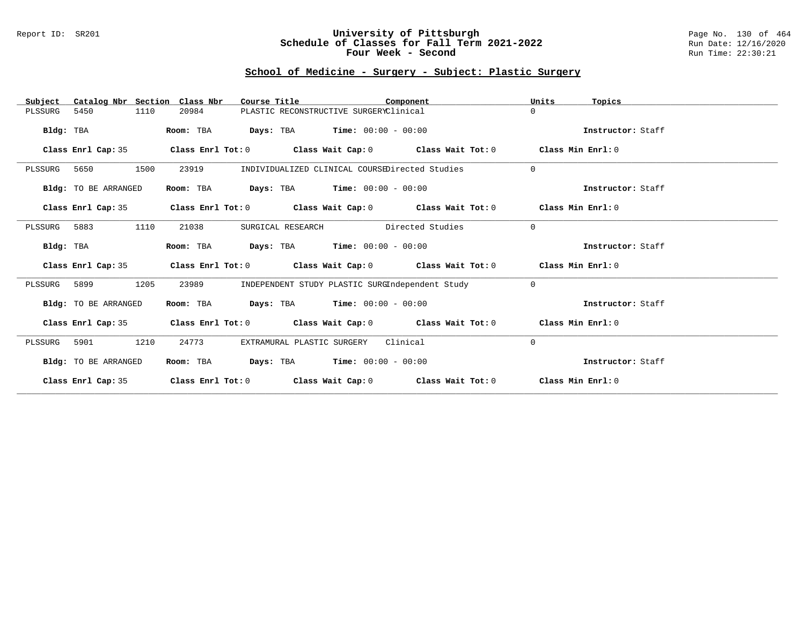### Report ID: SR201 **University of Pittsburgh** Page No. 130 of 464 **Schedule of Classes for Fall Term 2021-2022** Run Date: 12/16/2020 **Four Week - Second Run Time: 22:30:21**

### **School of Medicine - Surgery - Subject: Plastic Surgery**

| Catalog Nbr Section Class Nbr<br>Subject | Course Title                                                                    | Component        | Units<br>Topics   |
|------------------------------------------|---------------------------------------------------------------------------------|------------------|-------------------|
| 5450<br>1110<br>PLSSURG                  | 20984<br>PLASTIC RECONSTRUCTIVE SURGERYClinical                                 |                  | $\Omega$          |
| Bldg: TBA                                | <b>Days:</b> TBA <b>Time:</b> $00:00 - 00:00$<br>Room: TBA                      |                  | Instructor: Staff |
| Class Enrl Cap: 35                       | Class Enrl Tot: $0$ Class Wait Cap: $0$ Class Wait Tot: $0$ Class Min Enrl: $0$ |                  |                   |
| 1500<br>PLSSURG<br>5650                  | INDIVIDUALIZED CLINICAL COURSEDirected Studies<br>23919                         |                  | $\Omega$          |
| Bldg: TO BE ARRANGED                     | <b>Days:</b> TBA <b>Time:</b> $00:00 - 00:00$<br>Room: TBA                      |                  | Instructor: Staff |
| Class Enrl Cap: 35                       | Class Enrl Tot: $0$ Class Wait Cap: $0$ Class Wait Tot: $0$ Class Min Enrl: $0$ |                  |                   |
| 5883<br>1110<br>PLSSURG                  | 21038<br>SURGICAL RESEARCH                                                      | Directed Studies | $\Omega$          |
| Bldg: TBA                                | <b>Days:</b> TBA <b>Time:</b> $00:00 - 00:00$<br>Room: TBA                      |                  | Instructor: Staff |
| Class Enrl Cap: 35                       | Class Enrl Tot: $0$ Class Wait Cap: $0$ Class Wait Tot: $0$ Class Min Enrl: $0$ |                  |                   |
| 1205<br>5899<br>PLSSURG                  | 23989<br>INDEPENDENT STUDY PLASTIC SURGIndependent Study                        |                  | $\mathbf 0$       |
| Bldg: TO BE ARRANGED                     | $\texttt{DayS:}$ TBA $\texttt{Time:}$ 00:00 - 00:00<br>Room: TBA                |                  | Instructor: Staff |
| Class Enrl Cap: 35                       | Class Enrl Tot: $0$ Class Wait Cap: $0$ Class Wait Tot: $0$ Class Min Enrl: $0$ |                  |                   |
| 5901<br>1210<br>PLSSURG                  | 24773<br>EXTRAMURAL PLASTIC SURGERY                                             | Clinical         | 0                 |
| Bldg: TO BE ARRANGED                     | <b>Days:</b> TBA <b>Time:</b> $00:00 - 00:00$<br>Room: TBA                      |                  | Instructor: Staff |
| Class Enrl Cap: 35                       | Class Enrl Tot: $0$ Class Wait Cap: $0$ Class Wait Tot: $0$                     |                  | Class Min Enrl: 0 |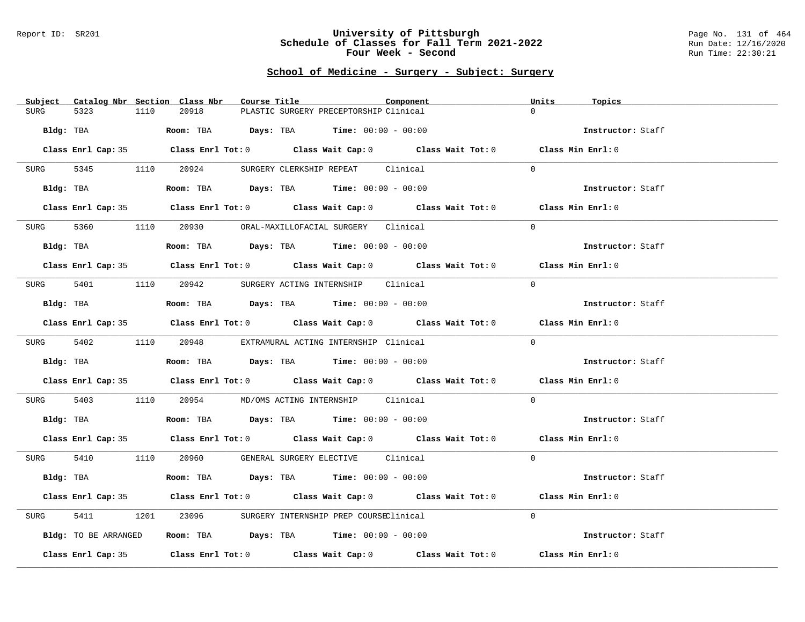#### Report ID: SR201 **University of Pittsburgh** Page No. 131 of 464 **Schedule of Classes for Fall Term 2021-2022** Run Date: 12/16/2020 **Four Week - Second Run Time: 22:30:21**

# **School of Medicine - Surgery - Subject: Surgery**

| Subject Catalog Nbr Section Class Nbr | Course Title                                                                                 | Component | Units<br>Topics   |
|---------------------------------------|----------------------------------------------------------------------------------------------|-----------|-------------------|
| 5323<br>1110<br><b>SURG</b>           | 20918<br>PLASTIC SURGERY PRECEPTORSHIP Clinical                                              |           | $\Omega$          |
| Bldg: TBA                             | Room: TBA $Days:$ TBA Time: $00:00 - 00:00$                                                  |           | Instructor: Staff |
|                                       | Class Enrl Cap: 35 Class Enrl Tot: 0 Class Wait Cap: 0 Class Wait Tot: 0 Class Min Enrl: 0   |           |                   |
| SURG                                  | 5345 1110 20924 SURGERY CLERKSHIP REPEAT Clinical                                            |           | $\Omega$          |
|                                       | $Bldg:$ TBA $Room:$ TBA $Days:$ TBA $Time:$ 00:00 - 00:00                                    |           | Instructor: Staff |
|                                       | Class Enrl Cap: 35 Class Enrl Tot: 0 Class Wait Cap: 0 Class Wait Tot: 0 Class Min Enrl: 0   |           |                   |
|                                       | SURG 5360 1110 20930 ORAL-MAXILLOFACIAL SURGERY Clinical                                     |           | $\Omega$          |
| Bldg: TBA                             | Room: TBA $Days:$ TBA $Time: 00:00 - 00:00$                                                  |           | Instructor: Staff |
|                                       | Class Enrl Cap: 35 Class Enrl Tot: 0 Class Wait Cap: 0 Class Wait Tot: 0 Class Min Enrl: 0   |           |                   |
|                                       | SURG 5401 1110 20942 SURGERY ACTING INTERNSHIP Clinical                                      |           | $\Omega$          |
| Bldg: TBA                             | Room: TBA $Days:$ TBA $Time: 00:00 - 00:00$                                                  |           | Instructor: Staff |
|                                       | Class Enrl Cap: 35 Class Enrl Tot: 0 Class Wait Cap: 0 Class Wait Tot: 0 Class Min Enrl: 0   |           |                   |
|                                       | SURG 5402 1110 20948 EXTRAMURAL ACTING INTERNSHIP Clinical                                   |           | $\Omega$          |
| Bldg: TBA                             | Room: TBA $\rule{1em}{0.15mm}$ Days: TBA Time: $00:00 - 00:00$                               |           | Instructor: Staff |
|                                       | Class Enrl Cap: 35 Class Enrl Tot: 0 Class Wait Cap: 0 Class Wait Tot: 0 Class Min Enrl: 0   |           |                   |
| 5403<br>SURG                          | 1110  20954  MD/OMS ACTING INTERNSHIP  Clinical                                              |           | $\Omega$          |
|                                       | Bldg: TBA                         Room: TBA          Days: TBA         Time: $00:00 - 00:00$ |           | Instructor: Staff |
|                                       | Class Enrl Cap: 35 Class Enrl Tot: 0 Class Wait Cap: 0 Class Wait Tot: 0 Class Min Enrl: 0   |           |                   |
|                                       | SURG 5410 1110 20960 GENERAL SURGERY ELECTIVE Clinical                                       |           | $\Omega$          |
| Bldg: TBA                             | Room: TBA $Days:$ TBA $Time: 00:00 - 00:00$                                                  |           | Instructor: Staff |
|                                       | Class Enrl Cap: 35 Class Enrl Tot: 0 Class Wait Cap: 0 Class Wait Tot: 0 Class Min Enrl: 0   |           |                   |
| 5411<br>SURG                          | 1201 23096 SURGERY INTERNSHIP PREP COURSEClinical                                            |           | $\Omega$          |
| Bldg: TO BE ARRANGED                  | Room: TBA $\rule{1em}{0.15mm}$ Days: TBA Time: $00:00 - 00:00$                               |           | Instructor: Staff |
|                                       | Class Enrl Cap: 35 Class Enrl Tot: 0 Class Wait Cap: 0 Class Wait Tot: 0                     |           | Class Min Enrl: 0 |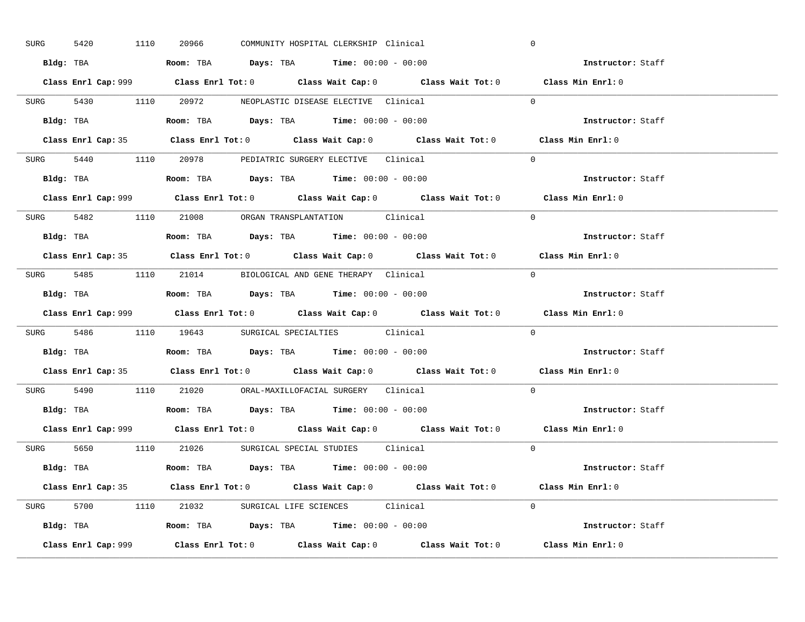| 5420<br>SURG | 1110 20966 | COMMUNITY HOSPITAL CLERKSHIP Clinical                                                       | $\mathbf 0$       |  |
|--------------|------------|---------------------------------------------------------------------------------------------|-------------------|--|
|              |            | Bldg: TBA                      Room: TBA         Days: TBA         Time: 00:00 - 00:00      | Instructor: Staff |  |
|              |            | Class Enrl Cap: 999 Class Enrl Tot: 0 Class Wait Cap: 0 Class Wait Tot: 0 Class Min Enrl: 0 |                   |  |
|              |            | SURG 5430 1110 20972 NEOPLASTIC DISEASE ELECTIVE Clinical                                   | $\Omega$          |  |
|              |            |                                                                                             | Instructor: Staff |  |
|              |            | Class Enrl Cap: 35 Class Enrl Tot: 0 Class Wait Cap: 0 Class Wait Tot: 0 Class Min Enrl: 0  |                   |  |
|              |            | SURG 5440 1110 20978 PEDIATRIC SURGERY ELECTIVE Clinical                                    | $\Omega$          |  |
|              |            | <b>Bldg:</b> TBA <b>ROOM:</b> TBA <b>Days:</b> TBA <b>Time:</b> $00:00 - 00:00$             | Instructor: Staff |  |
|              |            | Class Enrl Cap: 999 Class Enrl Tot: 0 Class Wait Cap: 0 Class Wait Tot: 0 Class Min Enrl: 0 |                   |  |
|              |            | SURG 5482 1110 21008 ORGAN TRANSPLANTATION Clinical                                         | $\Omega$          |  |
|              |            | Bldg: TBA                   Room: TBA         Days: TBA         Time: $00:00 - 00:00$       | Instructor: Staff |  |
|              |            | Class Enrl Cap: 35 Class Enrl Tot: 0 Class Wait Cap: 0 Class Wait Tot: 0 Class Min Enrl: 0  |                   |  |
|              |            | SURG 5485 1110 21014 BIOLOGICAL AND GENE THERAPY Clinical                                   | $\Omega$          |  |
|              |            | Bldg: TBA                   Room: TBA         Days: TBA         Time: $00:00 - 00:00$       | Instructor: Staff |  |
|              |            |                                                                                             | Class Min Enrl: 0 |  |
|              |            | Class Enrl Cap: 999 Class Enrl Tot: 0 Class Wait Cap: 0 Class Wait Tot: 0                   |                   |  |
|              |            | SURG 5486 1110 19643 SURGICAL SPECIALTIES Clinical                                          | $\Omega$          |  |
|              |            | Bldg: TBA                   Room: TBA        Days: TBA        Time: 00:00 - 00:00           | Instructor: Staff |  |
|              |            | Class Enrl Cap: 35 Class Enrl Tot: 0 Class Wait Cap: 0 Class Wait Tot: 0 Class Min Enrl: 0  |                   |  |
|              |            | SURG 5490 1110 21020 ORAL-MAXILLOFACIAL SURGERY Clinical                                    | $\Omega$          |  |
|              |            | Bldg: TBA                   Room: TBA         Days: TBA         Time: $00:00 - 00:00$       | Instructor: Staff |  |
|              |            | Class Enrl Cap: 999 Class Enrl Tot: 0 Class Wait Cap: 0 Class Wait Tot: 0 Class Min Enrl: 0 |                   |  |
|              |            | SURG 5650 1110 21026 SURGICAL SPECIAL STUDIES Clinical                                      | $\Omega$          |  |
|              |            | Bldg: TBA                    Room: TBA         Days: TBA         Time: 00:00 - 00:00        | Instructor: Staff |  |
|              |            | Class Enrl Cap: 35 Class Enrl Tot: 0 Class Wait Cap: 0 Class Wait Tot: 0 Class Min Enrl: 0  |                   |  |
|              |            | SURG 5700 1110 21032 SURGICAL LIFE SCIENCES Clinical                                        | $\Omega$          |  |
|              |            | Bldg: TBA                   Room: TBA         Days: TBA         Time: $00:00 - 00:00$       | Instructor: Staff |  |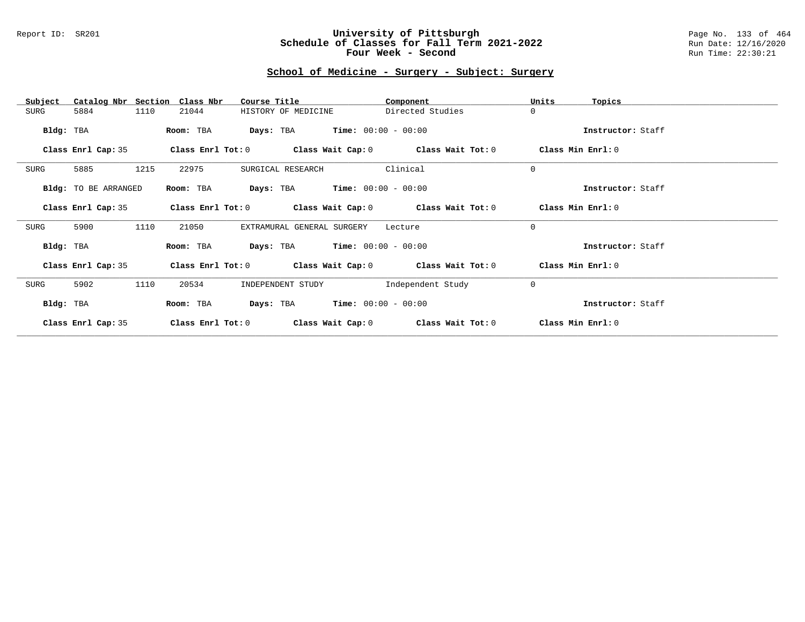### Report ID: SR201 **University of Pittsburgh** Page No. 133 of 464 **Schedule of Classes for Fall Term 2021-2022** Run Date: 12/16/2020 **Four Week - Second Run Time: 22:30:21**

### **School of Medicine - Surgery - Subject: Surgery**

| Catalog Nbr Section<br>Subject | Class Nbr<br>Course Title                                   | Component         | Units<br>Topics   |
|--------------------------------|-------------------------------------------------------------|-------------------|-------------------|
| 1110<br>SURG<br>5884           | 21044<br>HISTORY OF MEDICINE                                | Directed Studies  | $\mathbf 0$       |
| Bldg: TBA                      | <b>Days:</b> TBA <b>Time:</b> $00:00 - 00:00$<br>Room: TBA  |                   | Instructor: Staff |
| Class Enrl Cap: 35             | Class Enrl Tot: $0$ Class Wait Cap: $0$ Class Wait Tot: $0$ |                   | Class Min Enrl: 0 |
| 1215<br>5885<br>SURG           | 22975<br>SURGICAL RESEARCH                                  | Clinical          | $\mathbf 0$       |
| Bldg: TO BE ARRANGED           | <b>Days:</b> TBA <b>Time:</b> $00:00 - 00:00$<br>Room: TBA  |                   | Instructor: Staff |
| Class Enrl Cap: 35             | Class Enrl Tot: $0$ Class Wait Cap: $0$ Class Wait Tot: $0$ |                   | Class Min Enrl: 0 |
| 5900<br>1110<br>SURG           | 21050<br>EXTRAMURAL GENERAL SURGERY                         | Lecture           | $\mathbf 0$       |
| Bldg: TBA                      | <b>Days:</b> TBA <b>Time:</b> $00:00 - 00:00$<br>Room: TBA  |                   | Instructor: Staff |
| Class Enrl Cap: 35             | Class Enrl Tot: $0$ Class Wait Cap: $0$ Class Wait Tot: $0$ |                   | Class Min Enrl: 0 |
| 5902<br>1110<br>SURG           | 20534<br>INDEPENDENT STUDY                                  | Independent Study | $\mathbf 0$       |
| Bldg: TBA                      | $Time: 00:00 - 00:00$<br>Room: TBA<br>Days: TBA             |                   | Instructor: Staff |
| Class Enrl Cap: 35             | Class Enrl Tot: 0<br>Class Wait Cap: 0                      | Class Wait Tot: 0 | Class Min Enrl: 0 |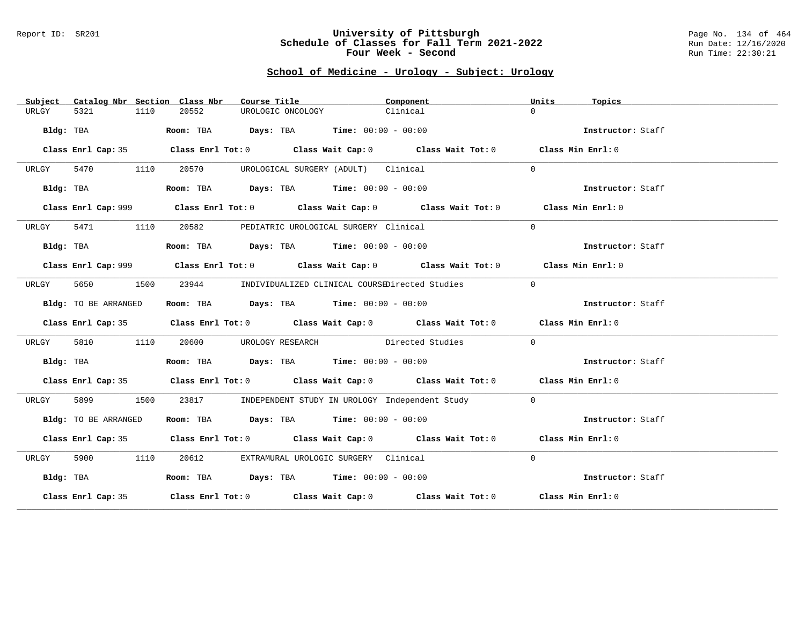#### Report ID: SR201 **University of Pittsburgh** Page No. 134 of 464 **Schedule of Classes for Fall Term 2021-2022** Run Date: 12/16/2020 **Four Week - Second Run Time: 22:30:21**

# **School of Medicine - Urology - Subject: Urology**

| Subject   |                      |      | Catalog Nbr Section Class Nbr | Course Title |                                                                                           | Component |                                                                                             | Units        | Topics            |  |
|-----------|----------------------|------|-------------------------------|--------------|-------------------------------------------------------------------------------------------|-----------|---------------------------------------------------------------------------------------------|--------------|-------------------|--|
| URLGY     | 5321                 | 1110 | 20552                         |              | UROLOGIC ONCOLOGY                                                                         | Clinical  |                                                                                             | $\Omega$     |                   |  |
| Bldg: TBA |                      |      |                               |              | Room: TBA $\rule{1em}{0.15mm}$ Days: TBA Time: $00:00 - 00:00$                            |           |                                                                                             |              | Instructor: Staff |  |
|           | Class Enrl Cap: 35   |      |                               |              |                                                                                           |           | Class Enrl Tot: 0 Class Wait Cap: 0 Class Wait Tot: 0 Class Min Enrl: 0                     |              |                   |  |
| URLGY     | 5470                 | 1110 | 20570                         |              | UROLOGICAL SURGERY (ADULT) Clinical                                                       |           |                                                                                             | $\Omega$     |                   |  |
|           | Bldg: TBA            |      |                               |              | Room: TBA $Days:$ TBA $Time: 00:00 - 00:00$                                               |           |                                                                                             |              | Instructor: Staff |  |
|           |                      |      |                               |              |                                                                                           |           | Class Enrl Cap: 999 Class Enrl Tot: 0 Class Wait Cap: 0 Class Wait Tot: 0 Class Min Enrl: 0 |              |                   |  |
| URLGY     | 5471                 | 1110 | 20582                         |              | PEDIATRIC UROLOGICAL SURGERY Clinical                                                     |           |                                                                                             | $\Omega$     |                   |  |
| Bldg: TBA |                      |      |                               |              | Room: TBA $Days:$ TBA $Time: 00:00 - 00:00$                                               |           |                                                                                             |              | Instructor: Staff |  |
|           |                      |      |                               |              |                                                                                           |           | Class Enrl Cap: 999 Class Enrl Tot: 0 Class Wait Cap: 0 Class Wait Tot: 0 Class Min Enrl: 0 |              |                   |  |
| URLGY     | 5650                 | 1500 |                               |              | 23944 INDIVIDUALIZED CLINICAL COURSEDirected Studies                                      |           |                                                                                             | $\Omega$     |                   |  |
|           | Bldg: TO BE ARRANGED |      |                               |              | Room: TBA $Days:$ TBA $Time: 00:00 - 00:00$                                               |           |                                                                                             |              | Instructor: Staff |  |
|           |                      |      |                               |              |                                                                                           |           | Class Enrl Cap: 35 Class Enrl Tot: 0 Class Wait Cap: 0 Class Wait Tot: 0 Class Min Enrl: 0  |              |                   |  |
| URLGY     | 5810                 | 1110 | 20600                         |              |                                                                                           |           | UROLOGY RESEARCH Directed Studies                                                           | $\mathbf{0}$ |                   |  |
|           | Bldg: TBA            |      |                               |              | Room: TBA $Days:$ TBA $Time: 00:00 - 00:00$                                               |           |                                                                                             |              | Instructor: Staff |  |
|           |                      |      |                               |              |                                                                                           |           | Class Enrl Cap: 35 Class Enrl Tot: 0 Class Wait Cap: 0 Class Wait Tot: 0 Class Min Enrl: 0  |              |                   |  |
| URLGY     | 5899                 | 1500 | 23817                         |              |                                                                                           |           | INDEPENDENT STUDY IN UROLOGY Independent Study                                              | $\Omega$     |                   |  |
|           | Bldg: TO BE ARRANGED |      |                               |              | Room: TBA $\rule{1em}{0.15mm}$ Days: TBA $\rule{1.15mm}]{0.15mm}$ Time: $0.0100 - 0.0100$ |           |                                                                                             |              | Instructor: Staff |  |
|           |                      |      |                               |              |                                                                                           |           | Class Enrl Cap: 35 Class Enrl Tot: 0 Class Wait Cap: 0 Class Wait Tot: 0 Class Min Enrl: 0  |              |                   |  |
| URLGY     | 5900 000             | 1110 | 20612                         |              | EXTRAMURAL UROLOGIC SURGERY Clinical                                                      |           |                                                                                             | $\Omega$     |                   |  |
| Bldg: TBA |                      |      |                               |              | Room: TBA $Days:$ TBA $Time: 00:00 - 00:00$                                               |           |                                                                                             |              | Instructor: Staff |  |
|           |                      |      |                               |              |                                                                                           |           | Class Enrl Cap: 35 Class Enrl Tot: 0 Class Wait Cap: 0 Class Wait Tot: 0 Class Min Enrl: 0  |              |                   |  |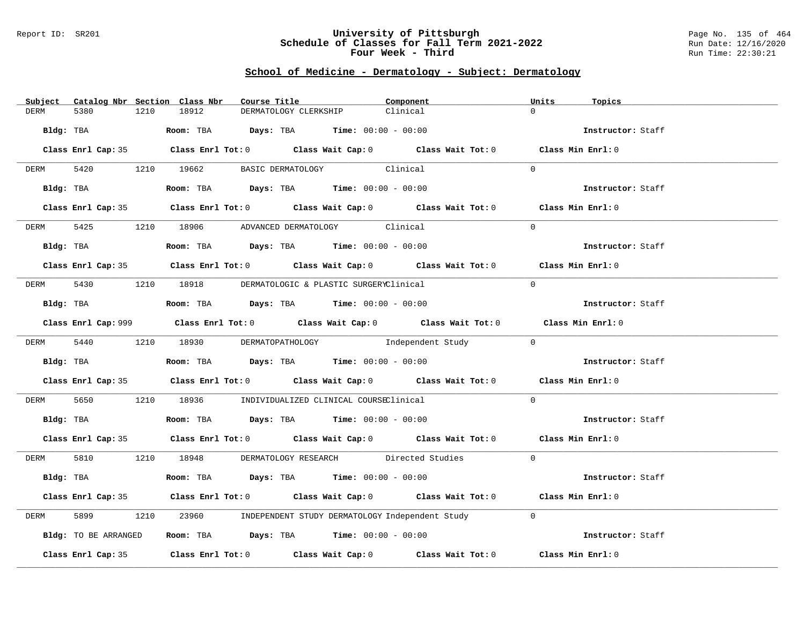#### Report ID: SR201 **University of Pittsburgh** Page No. 135 of 464 **Schedule of Classes for Fall Term 2021-2022** Run Date: 12/16/2020 **Four Week - Third Run Time: 22:30:21**

### **School of Medicine - Dermatology - Subject: Dermatology**

|             |                      | Subject Catalog Nbr Section Class Nbr | Course Title                                                                                | Component |            | Units<br>Topics   |  |
|-------------|----------------------|---------------------------------------|---------------------------------------------------------------------------------------------|-----------|------------|-------------------|--|
| <b>DERM</b> | 5380                 | 1210<br>18912                         | DERMATOLOGY CLERKSHIP                                                                       | Clinical  |            | $\Omega$          |  |
| Bldg: TBA   |                      |                                       | Room: TBA $Days: TBA$ Time: $00:00 - 00:00$                                                 |           |            | Instructor: Staff |  |
|             |                      |                                       | Class Enrl Cap: 35 Class Enrl Tot: 0 Class Wait Cap: 0 Class Wait Tot: 0 Class Min Enrl: 0  |           |            |                   |  |
|             |                      | DERM 5420 1210 19662                  | BASIC DERMATOLOGY Clinical                                                                  |           |            | $\Omega$          |  |
|             | Bldg: TBA            |                                       | Room: TBA $Days:$ TBA $Time: 00:00 - 00:00$                                                 |           |            | Instructor: Staff |  |
|             |                      |                                       | Class Enrl Cap: 35 Class Enrl Tot: 0 Class Wait Cap: 0 Class Wait Tot: 0 Class Min Enrl: 0  |           |            |                   |  |
| DERM        |                      |                                       | 5425 1210 18906 ADVANCED DERMATOLOGY Clinical                                               |           |            | $\Omega$          |  |
|             | Bldg: TBA            |                                       | Room: TBA $Days:$ TBA Time: $00:00 - 00:00$                                                 |           |            | Instructor: Staff |  |
|             |                      |                                       | Class Enrl Cap: 35 Class Enrl Tot: 0 Class Wait Cap: 0 Class Wait Tot: 0 Class Min Enrl: 0  |           |            |                   |  |
| DERM        |                      |                                       | 5430 1210 18918 DERMATOLOGIC & PLASTIC SURGERYClinical                                      |           |            | $\Omega$          |  |
|             |                      |                                       | Bldg: TBA                   Room: TBA         Days: TBA        Time: 00:00 - 00:00          |           |            | Instructor: Staff |  |
|             |                      |                                       | Class Enrl Cap: 999 Class Enrl Tot: 0 Class Wait Cap: 0 Class Wait Tot: 0 Class Min Enrl: 0 |           |            |                   |  |
|             |                      |                                       | DERM 5440 1210 18930 DERMATOPATHOLOGY Independent Study                                     |           | $\bigcirc$ |                   |  |
|             | Bldg: TBA            |                                       | Room: TBA $Days:$ TBA $Time:$ 00:00 - 00:00                                                 |           |            | Instructor: Staff |  |
|             |                      |                                       | Class Enrl Cap: 35 Class Enrl Tot: 0 Class Wait Cap: 0 Class Wait Tot: 0 Class Min Enrl: 0  |           |            |                   |  |
| DERM        | 5650                 |                                       | 1210 18936 INDIVIDUALIZED CLINICAL COURSEClinical                                           |           |            | $\Omega$          |  |
|             |                      |                                       | Bldg: TBA                       Room: TBA          Days: TBA         Time: 00:00 - 00:00    |           |            | Instructor: Staff |  |
|             |                      |                                       | Class Enrl Cap: 35 Class Enrl Tot: 0 Class Wait Cap: 0 Class Wait Tot: 0 Class Min Enrl: 0  |           |            |                   |  |
|             |                      |                                       | DERM 5810 1210 18948 DERMATOLOGY RESEARCH Directed Studies                                  |           |            | $\overline{0}$    |  |
|             |                      |                                       | Bldg: TBA                    Room: TBA         Days: TBA         Time: 00:00 - 00:00        |           |            | Instructor: Staff |  |
|             |                      |                                       | Class Enrl Cap: 35 Class Enrl Tot: 0 Class Wait Cap: 0 Class Wait Tot: 0 Class Min Enrl: 0  |           |            |                   |  |
| DERM        | 5899                 | 1210                                  | 23960 INDEPENDENT STUDY DERMATOLOGY Independent Study                                       |           |            | $\Omega$          |  |
|             | Bldg: TO BE ARRANGED |                                       | Room: TBA $Days:$ TBA $Time: 00:00 - 00:00$                                                 |           |            | Instructor: Staff |  |
|             |                      |                                       | Class Enrl Cap: 35 Class Enrl Tot: 0 Class Wait Cap: 0 Class Wait Tot: 0                    |           |            | Class Min Enrl: 0 |  |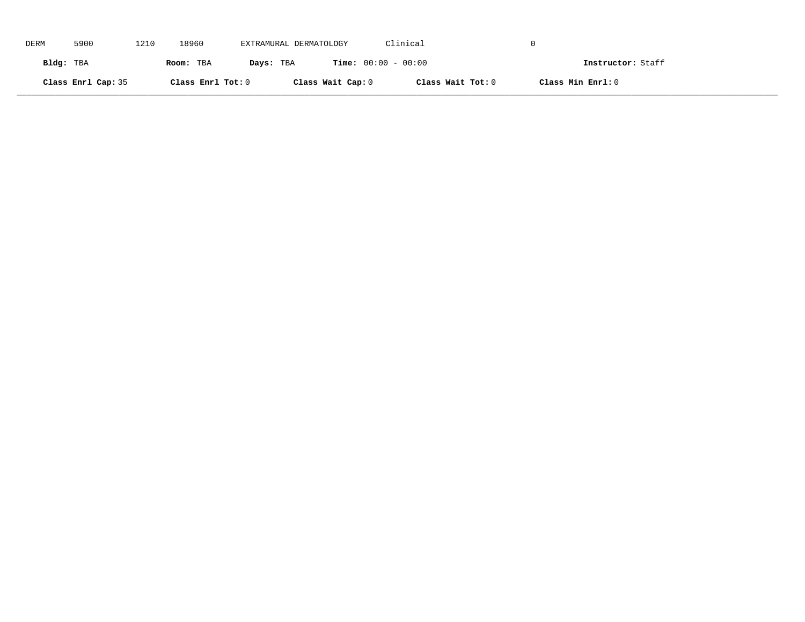| DERM      | 5900               | 1210 | 18960             | EXTRAMURAL DERMATOLOGY |                              | Clinical          |                   |
|-----------|--------------------|------|-------------------|------------------------|------------------------------|-------------------|-------------------|
| Bldg: TBA |                    |      | Room: TBA         | Days: TBA              | <b>Time:</b> $00:00 - 00:00$ |                   | Instructor: Staff |
|           | Class Enrl Cap: 35 |      | Class Enrl Tot: 0 |                        | Class Wait Cap: 0            | Class Wait Tot: 0 | Class Min Enrl: 0 |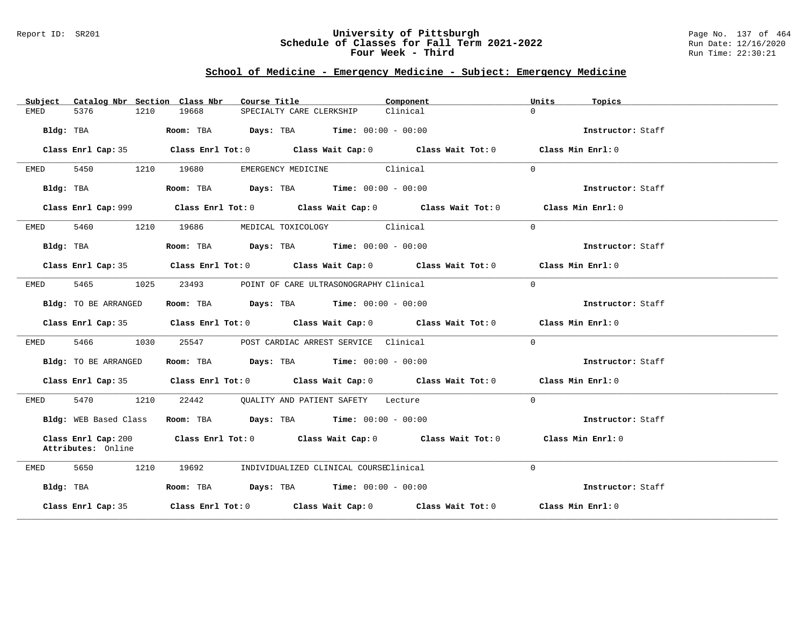### Report ID: SR201 **University of Pittsburgh** Page No. 137 of 464 **Schedule of Classes for Fall Term 2021-2022** Run Date: 12/16/2020 **Four Week - Third Run Time: 22:30:21**

# **School of Medicine - Emergency Medicine - Subject: Emergency Medicine**

|           |                                           |      | Subject Catalog Nbr Section Class Nbr | Course Title <b>Source Search</b> |                                             | Component                                                                                   | Units    | Topics            |
|-----------|-------------------------------------------|------|---------------------------------------|-----------------------------------|---------------------------------------------|---------------------------------------------------------------------------------------------|----------|-------------------|
| EMED      | 5376                                      | 1210 | 19668                                 | SPECIALTY CARE CLERKSHIP          |                                             | Clinical                                                                                    | $\Omega$ |                   |
|           | Bldg: TBA                                 |      |                                       |                                   | Room: TBA $Days:$ TBA $Time: 00:00 - 00:00$ |                                                                                             |          | Instructor: Staff |
|           |                                           |      |                                       |                                   |                                             |                                                                                             |          |                   |
|           | Class Enrl Cap: 35                        |      |                                       |                                   |                                             | Class Enrl Tot: $0$ Class Wait Cap: $0$ Class Wait Tot: $0$ Class Min Enrl: $0$             |          |                   |
| EMED      | 5450                                      |      | 1210 19680                            |                                   | EMERGENCY MEDICINE Clinical                 |                                                                                             | $\Omega$ |                   |
|           | Bldg: TBA                                 |      |                                       |                                   | Room: TBA $Days:$ TBA $Time: 00:00 - 00:00$ |                                                                                             |          | Instructor: Staff |
|           |                                           |      |                                       |                                   |                                             |                                                                                             |          |                   |
|           |                                           |      |                                       |                                   |                                             | Class Enrl Cap: 999 Class Enrl Tot: 0 Class Wait Cap: 0 Class Wait Tot: 0 Class Min Enrl: 0 |          |                   |
| EMED      |                                           |      | 5460 1210 19686                       |                                   | MEDICAL TOXICOLOGY Clinical                 |                                                                                             | $\Omega$ |                   |
|           | Bldg: TBA                                 |      |                                       |                                   | Room: TBA $Days:$ TBA $Time: 00:00 - 00:00$ |                                                                                             |          | Instructor: Staff |
|           |                                           |      |                                       |                                   |                                             | Class Enrl Cap: 35 Class Enrl Tot: 0 Class Wait Cap: 0 Class Wait Tot: 0 Class Min Enrl: 0  |          |                   |
|           |                                           |      |                                       |                                   |                                             |                                                                                             |          |                   |
| EMED      | 5465 1025                                 |      | 23493                                 |                                   | POINT OF CARE ULTRASONOGRAPHY Clinical      |                                                                                             | $\Omega$ |                   |
|           | Bldg: TO BE ARRANGED                      |      |                                       |                                   | Room: TBA $Days:$ TBA $Time: 00:00 - 00:00$ |                                                                                             |          | Instructor: Staff |
|           |                                           |      |                                       |                                   |                                             | Class Enrl Cap: 35 Class Enrl Tot: 0 Class Wait Cap: 0 Class Wait Tot: 0 Class Min Enrl: 0  |          |                   |
| EMED      | 5466 700                                  | 1030 | 25547                                 |                                   | POST CARDIAC ARREST SERVICE Clinical        |                                                                                             | $\Omega$ |                   |
|           | Bldg: TO BE ARRANGED                      |      |                                       |                                   | Room: TBA $Days: TBA$ Time: $00:00 - 00:00$ |                                                                                             |          | Instructor: Staff |
|           |                                           |      |                                       |                                   |                                             | Class Enrl Cap: 35 Class Enrl Tot: 0 Class Wait Cap: 0 Class Wait Tot: 0 Class Min Enrl: 0  |          |                   |
| EMED      | 5470 1210                                 |      |                                       |                                   | 22442 QUALITY AND PATIENT SAFETY Lecture    |                                                                                             | $\Omega$ |                   |
|           | Bldg: WEB Based Class                     |      |                                       |                                   | Room: TBA $Days:$ TBA Time: $00:00 - 00:00$ |                                                                                             |          | Instructor: Staff |
|           | Class Enrl Cap: 200<br>Attributes: Online |      |                                       |                                   |                                             | Class Enrl Tot: $0$ Class Wait Cap: $0$ Class Wait Tot: $0$                                 |          | Class Min Enrl: 0 |
| EMED      | 5650<br>1210                              |      | 19692                                 |                                   | INDIVIDUALIZED CLINICAL COURSEClinical      |                                                                                             | $\Omega$ |                   |
| Bldg: TBA |                                           |      |                                       |                                   | Room: TBA $Days:$ TBA $Time: 00:00 - 00:00$ |                                                                                             |          | Instructor: Staff |
|           | Class Enrl Cap: 35                        |      |                                       |                                   |                                             | Class Enrl Tot: $0$ Class Wait Cap: $0$ Class Wait Tot: $0$ Class Min Enrl: $0$             |          |                   |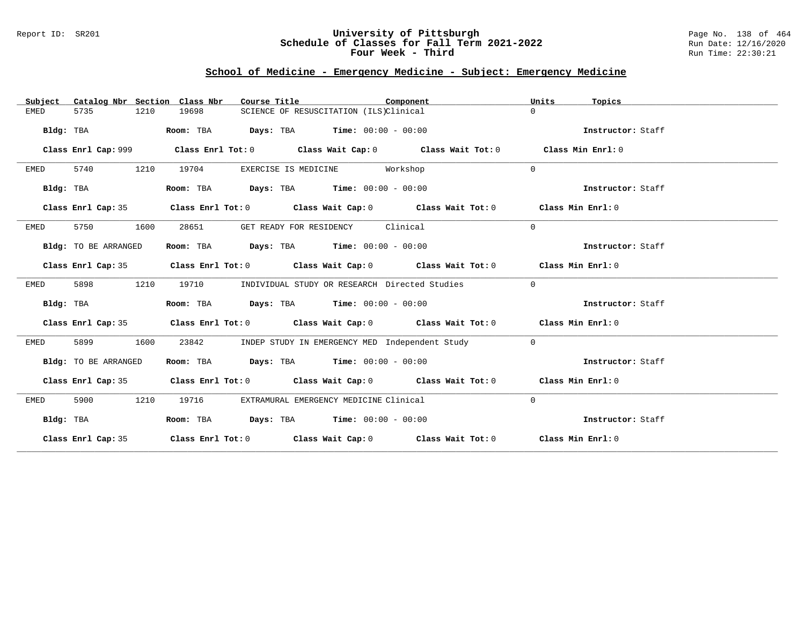### Report ID: SR201 **University of Pittsburgh** Page No. 138 of 464 **Schedule of Classes for Fall Term 2021-2022** Run Date: 12/16/2020 **Four Week - Third Run Time: 22:30:21**

# **School of Medicine - Emergency Medicine - Subject: Emergency Medicine**

| Catalog Nbr Section Class Nbr<br>Subject | Course Title                                                                               | Component | Units<br>Topics   |
|------------------------------------------|--------------------------------------------------------------------------------------------|-----------|-------------------|
| 5735<br>1210<br>EMED                     | 19698<br>SCIENCE OF RESUSCITATION (ILS)Clinical                                            |           | $\Omega$          |
| Bldg: TBA                                | Room: TBA $Days:$ TBA $Time: 00:00 - 00:00$                                                |           | Instructor: Staff |
|                                          |                                                                                            |           | Class Min Enrl: 0 |
| 5740<br>1210<br>EMED                     | 19704<br>EXERCISE IS MEDICINE                                                              | Workshop  | $\mathbf{0}$      |
| Bldg: TBA                                | Room: TBA $Days:$ TBA $Time: 00:00 - 00:00$                                                |           | Instructor: Staff |
| Class Enrl Cap: 35                       | Class Enrl Tot: 0 Class Wait Cap: 0 Class Wait Tot: 0 Class Min Enrl: 0                    |           |                   |
| 5750<br>1600<br>EMED                     | 28651<br>GET READY FOR RESIDENCY                                                           | Clinical  | 0                 |
| Bldg: TO BE ARRANGED                     | Room: TBA $Days: TBA$ Time: $00:00 - 00:00$                                                |           | Instructor: Staff |
|                                          | Class Enrl Cap: 35 Class Enrl Tot: 0 Class Wait Cap: 0 Class Wait Tot: 0 Class Min Enrl: 0 |           |                   |
| 1210<br>EMED<br>5898                     | 19710<br>INDIVIDUAL STUDY OR RESEARCH Directed Studies                                     |           | $\mathbf{0}$      |
| Bldg: TBA                                | Room: TBA $Days:$ TBA $Time: 00:00 - 00:00$                                                |           | Instructor: Staff |
|                                          | Class Enrl Cap: 35 Class Enrl Tot: 0 Class Wait Cap: 0 Class Wait Tot: 0 Class Min Enrl: 0 |           |                   |
| 5899<br>1600<br>EMED                     | 23842<br>INDEP STUDY IN EMERGENCY MED Independent Study                                    |           | $\overline{0}$    |
| Bldg: TO BE ARRANGED                     | Room: TBA Days: TBA Time: $00:00 - 00:00$                                                  |           | Instructor: Staff |
|                                          | Class Enrl Cap: 35 Class Enrl Tot: 0 Class Wait Cap: 0 Class Wait Tot: 0 Class Min Enrl: 0 |           |                   |
| 5900<br>1210<br>EMED                     | 19716<br>EXTRAMURAL EMERGENCY MEDICINE Clinical                                            |           | $\Omega$          |
| Bldg: TBA                                | Room: TBA $Days:$ TBA $Time: 00:00 - 00:00$                                                |           | Instructor: Staff |
|                                          | Class Enrl Cap: 35 Class Enrl Tot: 0 Class Wait Cap: 0 Class Wait Tot: 0 Class Min Enrl: 0 |           |                   |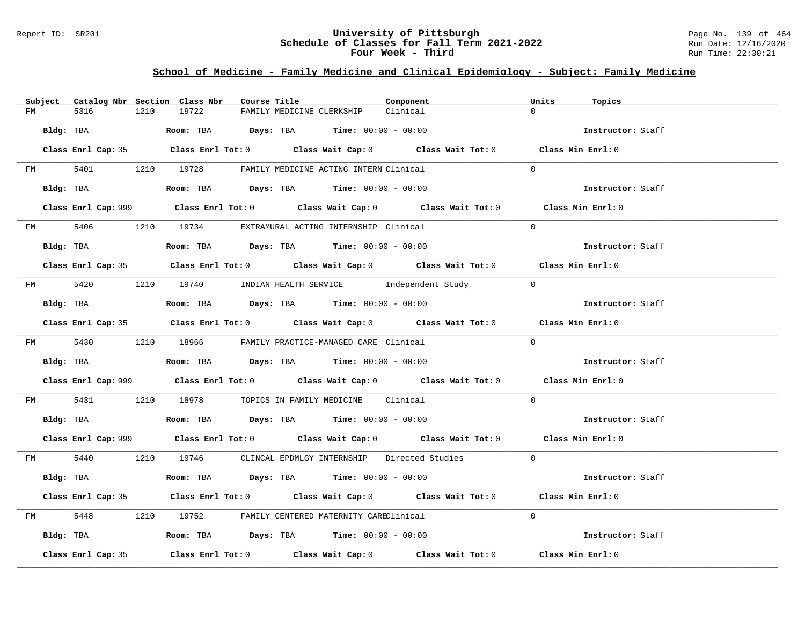### Report ID: SR201 **University of Pittsburgh** Page No. 139 of 464 **Schedule of Classes for Fall Term 2021-2022** Run Date: 12/16/2020 **Four Week - Third Run Time: 22:30:21**

# **School of Medicine - Family Medicine and Clinical Epidemiology - Subject: Family Medicine**

|         | Subject Catalog Nbr Section Class Nbr | Course Title                                                                                | Component | Units<br>Topics   |
|---------|---------------------------------------|---------------------------------------------------------------------------------------------|-----------|-------------------|
| FM      | 5316<br>1210                          | 19722<br>FAMILY MEDICINE CLERKSHIP                                                          | Clinical  | $\Omega$          |
|         | Bldg: TBA                             | Room: TBA $Days: TBA$ Time: $00:00 - 00:00$                                                 |           | Instructor: Staff |
|         |                                       | Class Enrl Cap: 35 Class Enrl Tot: 0 Class Wait Cap: 0 Class Wait Tot: 0 Class Min Enrl: 0  |           |                   |
|         |                                       | FM 5401 1210 19728 FAMILY MEDICINE ACTING INTERN Clinical                                   |           | $\Omega$          |
|         | Bldg: TBA                             | Room: TBA $Days:$ TBA $Time: 00:00 - 00:00$                                                 |           | Instructor: Staff |
|         |                                       | Class Enrl Cap: 999 Class Enrl Tot: 0 Class Wait Cap: 0 Class Wait Tot: 0 Class Min Enrl: 0 |           |                   |
|         |                                       | FM 5406 1210 19734 EXTRAMURAL ACTING INTERNSHIP Clinical                                    |           | $\Omega$          |
|         | Bldg: TBA                             | Room: TBA $Days:$ TBA $Time: 00:00 - 00:00$                                                 |           | Instructor: Staff |
|         |                                       | Class Enrl Cap: 35 Class Enrl Tot: 0 Class Wait Cap: 0 Class Wait Tot: 0 Class Min Enrl: 0  |           |                   |
|         |                                       | FM 5420 1210 19740 INDIAN HEALTH SERVICE Independent Study 0                                |           |                   |
|         | Bldg: TBA                             | Room: TBA $Days:$ TBA Time: $00:00 - 00:00$                                                 |           | Instructor: Staff |
|         |                                       | Class Enrl Cap: 35 Class Enrl Tot: 0 Class Wait Cap: 0 Class Wait Tot: 0 Class Min Enrl: 0  |           |                   |
|         |                                       | FM 5430 1210 18966 FAMILY PRACTICE-MANAGED CARE Clinical                                    |           | $\Omega$          |
|         |                                       | <b>Bldg:</b> TBA <b>Room:</b> TBA <b>Days:</b> TBA <b>Time:</b> $00:00 - 00:00$             |           | Instructor: Staff |
|         |                                       | Class Enrl Cap: 999 Class Enrl Tot: 0 Class Wait Cap: 0 Class Wait Tot: 0 Class Min Enrl: 0 |           |                   |
| FM 5431 |                                       | 1210 18978 TOPICS IN FAMILY MEDICINE Clinical                                               |           | $\Omega$          |
|         |                                       | Bldg: TBA                       Room: TBA          Days: TBA         Time: 00:00 - 00:00    |           | Instructor: Staff |
|         |                                       | Class Enrl Cap: 999 Class Enrl Tot: 0 Class Wait Cap: 0 Class Wait Tot: 0 Class Min Enrl: 0 |           |                   |
|         |                                       | FM 5440 1210 19746 CLINCAL EPDMLGY INTERNSHIP Directed Studies 0                            |           |                   |
|         | Bldg: TBA                             | Room: TBA $Days:$ TBA $Time: 00:00 - 00:00$                                                 |           | Instructor: Staff |
|         |                                       | Class Enrl Cap: 35 Class Enrl Tot: 0 Class Wait Cap: 0 Class Wait Tot: 0 Class Min Enrl: 0  |           |                   |
|         |                                       | FM 5448 1210 19752 FAMILY CENTERED MATERNITY CAREClinical                                   |           | $\Omega$          |
|         |                                       | Bldg: TBA                  Room: TBA        Days: TBA        Time: 00:00 - 00:00            |           | Instructor: Staff |
|         | Class Enrl Cap: 35                    | Class Enrl Tot: $0$ Class Wait Cap: $0$ Class Wait Tot: $0$ Class Min Enrl: $0$             |           |                   |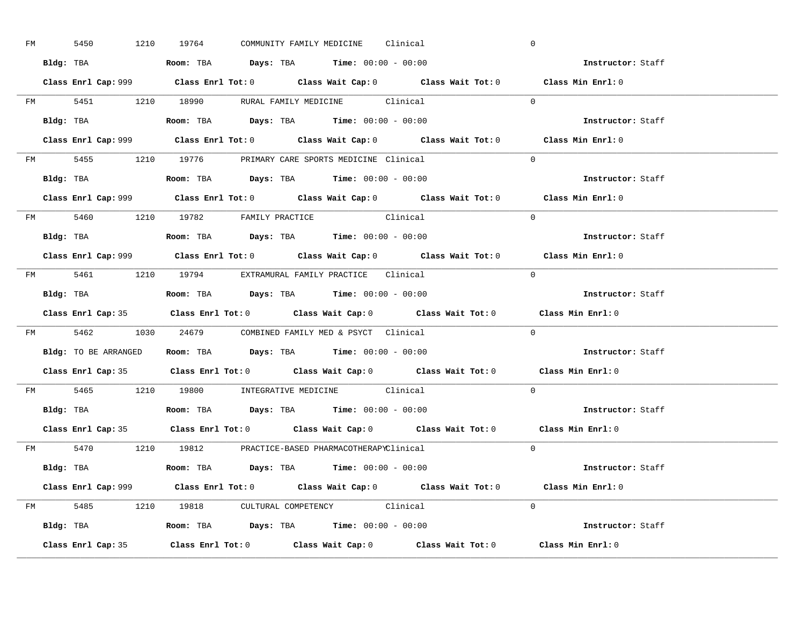| FM | 5450 |           | 1210 19764                                                                                 |  | COMMUNITY FAMILY MEDICINE Clinical |                                                                                            |            | $\overline{0}$                                                                              |  |
|----|------|-----------|--------------------------------------------------------------------------------------------|--|------------------------------------|--------------------------------------------------------------------------------------------|------------|---------------------------------------------------------------------------------------------|--|
|    |      |           | Bldg: TBA                   Room: TBA         Days: TBA         Time: $00:00 - 00:00$      |  |                                    |                                                                                            |            | Instructor: Staff                                                                           |  |
|    |      |           |                                                                                            |  |                                    |                                                                                            |            | Class Enrl Cap: 999 Class Enrl Tot: 0 Class Wait Cap: 0 Class Wait Tot: 0 Class Min Enrl: 0 |  |
|    |      |           |                                                                                            |  |                                    | FM 5451 1210 18990 RURAL FAMILY MEDICINE Clinical 0                                        |            |                                                                                             |  |
|    |      | Bldg: TBA | Room: TBA $Days:$ TBA $Time:$ 00:00 - 00:00                                                |  |                                    |                                                                                            |            | Instructor: Staff                                                                           |  |
|    |      |           |                                                                                            |  |                                    |                                                                                            |            | Class Enrl Cap: 999 Class Enrl Tot: 0 Class Wait Cap: 0 Class Wait Tot: 0 Class Min Enrl: 0 |  |
|    |      |           | FM 5455 1210 19776 PRIMARY CARE SPORTS MEDICINE Clinical                                   |  |                                    |                                                                                            |            | $\Omega$                                                                                    |  |
|    |      |           | Bldg: TBA                    Room: TBA         Days: TBA        Time: $00:00 - 00:00$      |  |                                    |                                                                                            |            | Instructor: Staff                                                                           |  |
|    |      |           |                                                                                            |  |                                    |                                                                                            |            | Class Enrl Cap: 999 Class Enrl Tot: 0 Class Wait Cap: 0 Class Wait Tot: 0 Class Min Enrl: 0 |  |
|    |      |           | FM 5460 1210 19782 FAMILY PRACTICE Clinical                                                |  |                                    |                                                                                            |            | $\Omega$                                                                                    |  |
|    |      |           | Bldg: TBA<br>Room: TBA<br>Days: TBA<br>Time: $00:00 - 00:00$                               |  |                                    |                                                                                            |            | Instructor: Staff                                                                           |  |
|    |      |           |                                                                                            |  |                                    |                                                                                            |            | Class Enrl Cap: 999 Class Enrl Tot: 0 Class Wait Cap: 0 Class Wait Tot: 0 Class Min Enrl: 0 |  |
|    |      |           | FM 5461 1210 19794 EXTRAMURAL FAMILY PRACTICE Clinical                                     |  |                                    |                                                                                            | $\bigcirc$ |                                                                                             |  |
|    |      |           |                                                                                            |  |                                    |                                                                                            |            | Instructor: Staff                                                                           |  |
|    |      |           |                                                                                            |  |                                    |                                                                                            |            |                                                                                             |  |
|    |      |           |                                                                                            |  |                                    |                                                                                            |            | Class Enrl Cap: 35 Class Enrl Tot: 0 Class Wait Cap: 0 Class Wait Tot: 0 Class Min Enrl: 0  |  |
|    |      |           | FM 5462 1030 24679 COMBINED FAMILY MED & PSYCT Clinical                                    |  |                                    |                                                                                            |            | $\overline{0}$                                                                              |  |
|    |      |           | <b>Bldg:</b> TO BE ARRANGED <b>Room:</b> TBA <b>Days:</b> TBA <b>Time:</b> $00:00 - 00:00$ |  |                                    |                                                                                            |            | <b>Instructor:</b> Staff                                                                    |  |
|    |      |           |                                                                                            |  |                                    |                                                                                            |            | Class Enrl Cap: 35 Class Enrl Tot: 0 Class Wait Cap: 0 Class Wait Tot: 0 Class Min Enrl: 0  |  |
|    |      |           | FM 5465 1210 19800 INTEGRATIVE MEDICINE Clinical                                           |  |                                    |                                                                                            |            | $\Omega$                                                                                    |  |
|    |      |           | Bldg: TBA                    Room: TBA         Days: TBA         Time: $00:00 - 00:00$     |  |                                    |                                                                                            |            | Instructor: Staff                                                                           |  |
|    |      |           |                                                                                            |  |                                    | Class Enrl Cap: 35 Class Enrl Tot: 0 Class Wait Cap: 0 Class Wait Tot: 0 Class Min Enrl: 0 |            |                                                                                             |  |
|    |      |           | FM 5470 1210 19812 PRACTICE-BASED PHARMACOTHERAPYClinical                                  |  |                                    |                                                                                            |            | $\Omega$                                                                                    |  |
|    |      |           | Bldg: TBA                   Room: TBA         Days: TBA         Time: 00:00 - 00:00        |  |                                    |                                                                                            |            | Instructor: Staff                                                                           |  |
|    |      |           |                                                                                            |  |                                    |                                                                                            |            | Class Enrl Cap: 999 Class Enrl Tot: 0 Class Wait Cap: 0 Class Wait Tot: 0 Class Min Enrl: 0 |  |
|    |      |           | FM 5485 1210 19818 CULTURAL COMPETENCY Clinical                                            |  |                                    |                                                                                            |            | $\Omega$                                                                                    |  |
|    |      |           | Bldg: TBA                    Room: TBA         Days: TBA         Time: $00:00 - 00:00$     |  |                                    |                                                                                            |            | Instructor: Staff                                                                           |  |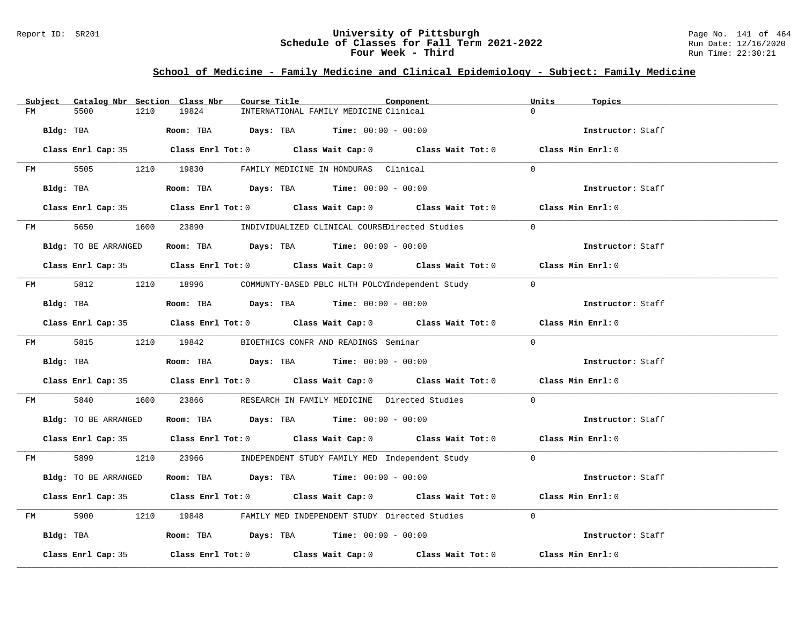### Report ID: SR201 **University of Pittsburgh** Page No. 141 of 464 **Schedule of Classes for Fall Term 2021-2022** Run Date: 12/16/2020 **Four Week - Third Run Time: 22:30:21**

# **School of Medicine - Family Medicine and Clinical Epidemiology - Subject: Family Medicine**

|    | Subject   | Catalog Nbr Section Class Nbr                                                       |      |       | Course Title |                                                      | Component                                                                                  | Units    | Topics            |
|----|-----------|-------------------------------------------------------------------------------------|------|-------|--------------|------------------------------------------------------|--------------------------------------------------------------------------------------------|----------|-------------------|
| FM |           | 5500                                                                                | 1210 | 19824 |              | INTERNATIONAL FAMILY MEDICINE Clinical               |                                                                                            | $\Omega$ |                   |
|    | Bldg: TBA |                                                                                     |      |       |              | Room: TBA $Days: TBA$ Time: $00:00 - 00:00$          |                                                                                            |          | Instructor: Staff |
|    |           |                                                                                     |      |       |              |                                                      | Class Enrl Cap: 35 Class Enrl Tot: 0 Class Wait Cap: 0 Class Wait Tot: 0 Class Min Enrl: 0 |          |                   |
| FM |           |                                                                                     |      |       |              | 5505 1210 19830 FAMILY MEDICINE IN HONDURAS Clinical |                                                                                            | $\Omega$ |                   |
|    |           | Bldg: TBA                                                                           |      |       |              | Room: TBA $Days:$ TBA $Time: 00:00 - 00:00$          |                                                                                            |          | Instructor: Staff |
|    |           |                                                                                     |      |       |              |                                                      | Class Enrl Cap: 35 Class Enrl Tot: 0 Class Wait Cap: 0 Class Wait Tot: 0 Class Min Enrl: 0 |          |                   |
|    |           | FM 5650                                                                             |      |       |              |                                                      | 1600 23890 INDIVIDUALIZED CLINICAL COURSEDirected Studies                                  | $\Omega$ |                   |
|    |           | Bldg: TO BE ARRANGED                                                                |      |       |              | Room: TBA $Days:$ TBA $Time: 00:00 - 00:00$          |                                                                                            |          | Instructor: Staff |
|    |           |                                                                                     |      |       |              |                                                      | Class Enrl Cap: 35 Class Enrl Tot: 0 Class Wait Cap: 0 Class Wait Tot: 0 Class Min Enrl: 0 |          |                   |
|    |           |                                                                                     |      |       |              |                                                      | FM 5812 1210 18996 COMMUNTY-BASED PBLC HLTH POLCYIndependent Study 0                       |          |                   |
|    |           | Bldg: TBA                                                                           |      |       |              | Room: TBA $Days:$ TBA $Time: 00:00 - 00:00$          |                                                                                            |          | Instructor: Staff |
|    |           |                                                                                     |      |       |              |                                                      | Class Enrl Cap: 35 Class Enrl Tot: 0 Class Wait Cap: 0 Class Wait Tot: 0 Class Min Enrl: 0 |          |                   |
|    |           | FM 5815 1210 19842                                                                  |      |       |              | BIOETHICS CONFR AND READINGS Seminar                 |                                                                                            | $\Omega$ |                   |
|    |           | Bldg: TBA                                                                           |      |       |              | Room: TBA $Days:$ TBA $Time: 00:00 - 00:00$          |                                                                                            |          | Instructor: Staff |
|    |           |                                                                                     |      |       |              |                                                      | Class Enrl Cap: 35 Class Enrl Tot: 0 Class Wait Cap: 0 Class Wait Tot: 0 Class Min Enrl: 0 |          |                   |
| FM |           | 5840                                                                                |      |       |              |                                                      | 1600 23866 RESEARCH IN FAMILY MEDICINE Directed Studies                                    | $\Omega$ |                   |
|    |           | Bldg: TO BE ARRANGED                                                                |      |       |              | Room: TBA $Days:$ TBA $Time: 00:00 - 00:00$          |                                                                                            |          | Instructor: Staff |
|    |           |                                                                                     |      |       |              |                                                      | Class Enrl Cap: 35 Class Enrl Tot: 0 Class Wait Cap: 0 Class Wait Tot: 0 Class Min Enrl: 0 |          |                   |
|    |           |                                                                                     |      |       |              |                                                      | FM 5899 1210 23966 INDEPENDENT STUDY FAMILY MED Independent Study 0                        |          |                   |
|    |           | Bldg: TO BE ARRANGED                                                                |      |       |              | Room: TBA $Days:$ TBA $Time: 00:00 - 00:00$          |                                                                                            |          | Instructor: Staff |
|    |           |                                                                                     |      |       |              |                                                      | Class Enrl Cap: 35 Class Enrl Tot: 0 Class Wait Cap: 0 Class Wait Tot: 0 Class Min Enrl: 0 |          |                   |
| FM |           | 5900 000                                                                            |      |       |              |                                                      | 1210 19848 FAMILY MED INDEPENDENT STUDY Directed Studies                                   | $\Omega$ |                   |
|    |           | Bldg: TBA                   Room: TBA        Days: TBA        Time: $00:00 - 00:00$ |      |       |              |                                                      |                                                                                            |          | Instructor: Staff |
|    |           | Class Enrl Cap: 35                                                                  |      |       |              |                                                      | Class Enrl Tot: $0$ Class Wait Cap: $0$ Class Wait Tot: $0$ Class Min Enrl: $0$            |          |                   |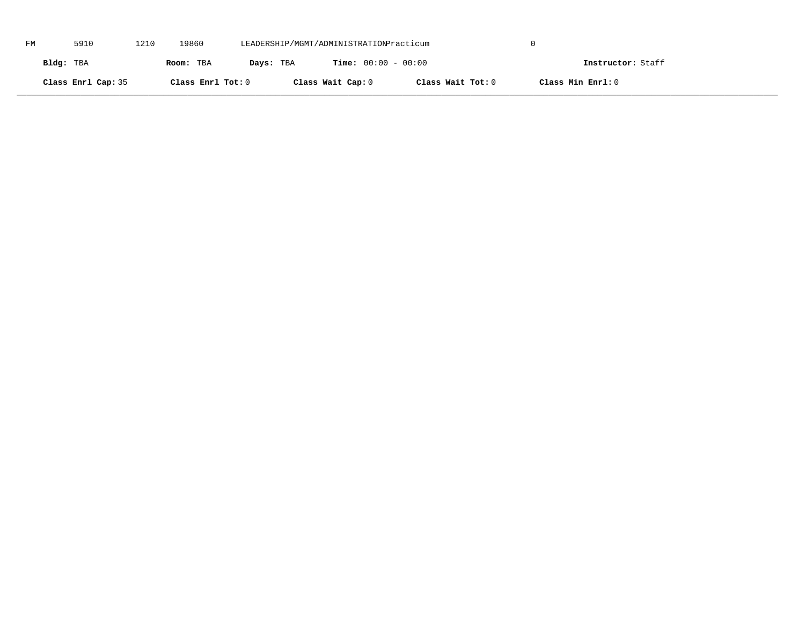| FM | 5910               | 1210 | 19860             | LEADERSHIP/MGMT/ADMINISTRATIONPracticum |                              |                   |                   |  |
|----|--------------------|------|-------------------|-----------------------------------------|------------------------------|-------------------|-------------------|--|
|    | Bldg: TBA          |      | Room: TBA         | Days: TBA                               | <b>Time:</b> $00:00 - 00:00$ |                   | Instructor: Staff |  |
|    | Class Enrl Cap: 35 |      | Class Enrl Tot: 0 |                                         | Class Wait Cap: 0            | Class Wait Tot: 0 | Class Min Enrl: 0 |  |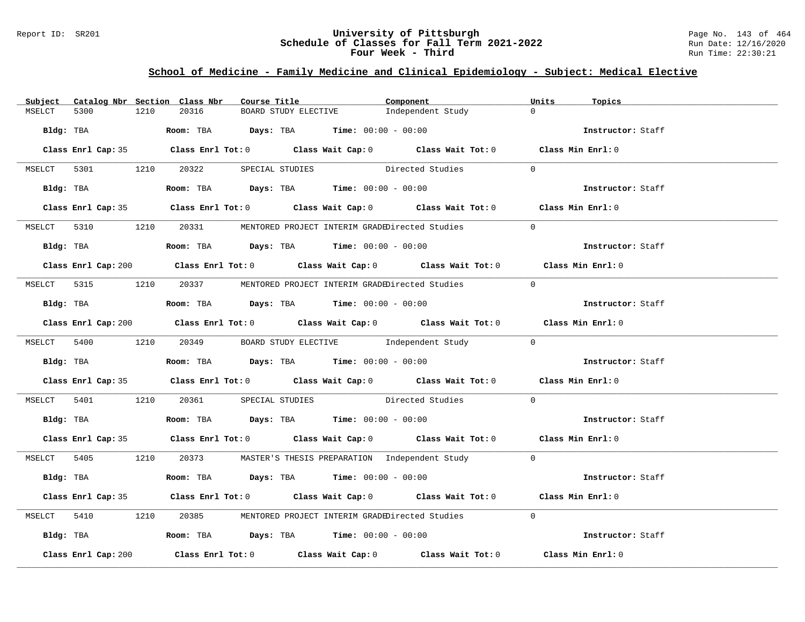### Report ID: SR201 **University of Pittsburgh** Page No. 143 of 464 **Schedule of Classes for Fall Term 2021-2022** Run Date: 12/16/2020 **Four Week - Third Run Time: 22:30:21**

# **School of Medicine - Family Medicine and Clinical Epidemiology - Subject: Medical Elective**

| Subject |                     |      | Catalog Nbr Section Class Nbr | Course Title |                                                                                            | Component                                                                                   | Units          | Topics            |  |
|---------|---------------------|------|-------------------------------|--------------|--------------------------------------------------------------------------------------------|---------------------------------------------------------------------------------------------|----------------|-------------------|--|
| MSELCT  | 5300                | 1210 | 20316                         |              | BOARD STUDY ELECTIVE                                                                       | Independent Study                                                                           | $\Omega$       |                   |  |
|         | Bldg: TBA           |      |                               |              | <b>Room:</b> TBA $\rule{1em}{0.15mm}$ $Days:$ TBA $\qquad$ Time: $00:00 - 00:00$           |                                                                                             |                | Instructor: Staff |  |
|         |                     |      |                               |              |                                                                                            | Class Enrl Cap: 35 Class Enrl Tot: 0 Class Wait Cap: 0 Class Wait Tot: 0 Class Min Enrl: 0  |                |                   |  |
|         |                     |      |                               |              |                                                                                            | MSELCT 5301 1210 20322 SPECIAL STUDIES Directed Studies                                     | $\overline{0}$ |                   |  |
|         |                     |      |                               |              |                                                                                            | Bldg: TBA Room: TBA Days: TBA Time: 00:00 - 00:00                                           |                | Instructor: Staff |  |
|         |                     |      |                               |              |                                                                                            | Class Enrl Cap: 35 Class Enrl Tot: 0 Class Wait Cap: 0 Class Wait Tot: 0 Class Min Enrl: 0  |                |                   |  |
|         |                     |      |                               |              |                                                                                            | MSELCT 5310 1210 20331 MENTORED PROJECT INTERIM GRADEDirected Studies                       | $\Omega$       |                   |  |
|         |                     |      |                               |              | Bldg: TBA                   Room: TBA         Days: TBA        Time: $00:00 - 00:00$       |                                                                                             |                | Instructor: Staff |  |
|         |                     |      |                               |              |                                                                                            | Class Enrl Cap: 200 Class Enrl Tot: 0 Class Wait Cap: 0 Class Wait Tot: 0 Class Min Enrl: 0 |                |                   |  |
|         |                     |      |                               |              |                                                                                            | MSELCT 5315 1210 20337 MENTORED PROJECT INTERIM GRADEDirected Studies                       | $\bigcap$      |                   |  |
|         |                     |      |                               |              | Bldg: TBA                    Room: TBA        Days: TBA        Time: 00:00 - 00:00         |                                                                                             |                | Instructor: Staff |  |
|         |                     |      |                               |              |                                                                                            | Class Enrl Cap: 200 Class Enrl Tot: 0 Class Wait Cap: 0 Class Wait Tot: 0 Class Min Enrl: 0 |                |                   |  |
|         |                     |      |                               |              |                                                                                            | MSELCT 5400 1210 20349 BOARD STUDY ELECTIVE Independent Study 0                             |                |                   |  |
|         |                     |      |                               |              | Bldg: TBA <b>ROOM: TBA Days: TBA Time: 00:00 - 00:00</b>                                   |                                                                                             |                | Instructor: Staff |  |
|         |                     |      |                               |              |                                                                                            | Class Enrl Cap: 35 Class Enrl Tot: 0 Class Wait Cap: 0 Class Wait Tot: 0 Class Min Enrl: 0  |                |                   |  |
|         |                     |      |                               |              |                                                                                            | MSELCT 5401 1210 20361 SPECIAL STUDIES Directed Studies 0                                   |                |                   |  |
|         |                     |      |                               |              | Bldg: TBA                     Room: TBA        Days: TBA        Time: 00:00 - 00:00        |                                                                                             |                | Instructor: Staff |  |
|         |                     |      |                               |              |                                                                                            | Class Enrl Cap: 35 Class Enrl Tot: 0 Class Wait Cap: 0 Class Wait Tot: 0 Class Min Enrl: 0  |                |                   |  |
|         |                     |      |                               |              |                                                                                            | MSELCT 5405 1210 20373 MASTER'S THESIS PREPARATION Independent Study 0                      |                |                   |  |
|         |                     |      |                               |              | Bldg: TBA                     Room: TBA           Days: TBA          Time: $00:00 - 00:00$ |                                                                                             |                | Instructor: Staff |  |
|         |                     |      |                               |              |                                                                                            | Class Enrl Cap: 35 Class Enrl Tot: 0 Class Wait Cap: 0 Class Wait Tot: 0 Class Min Enrl: 0  |                |                   |  |
|         |                     |      |                               |              |                                                                                            | MSELCT 5410 1210 20385 MENTORED PROJECT INTERIM GRADEDirected Studies                       | $\Omega$       |                   |  |
|         |                     |      |                               |              | Bldg: TBA                    Room: TBA         Days: TBA         Time: 00:00 - 00:00       |                                                                                             |                | Instructor: Staff |  |
|         | Class Enrl Cap: 200 |      |                               |              |                                                                                            | Class Enrl Tot: $0$ Class Wait Cap: $0$ Class Wait Tot: $0$                                 |                | Class Min Enrl: 0 |  |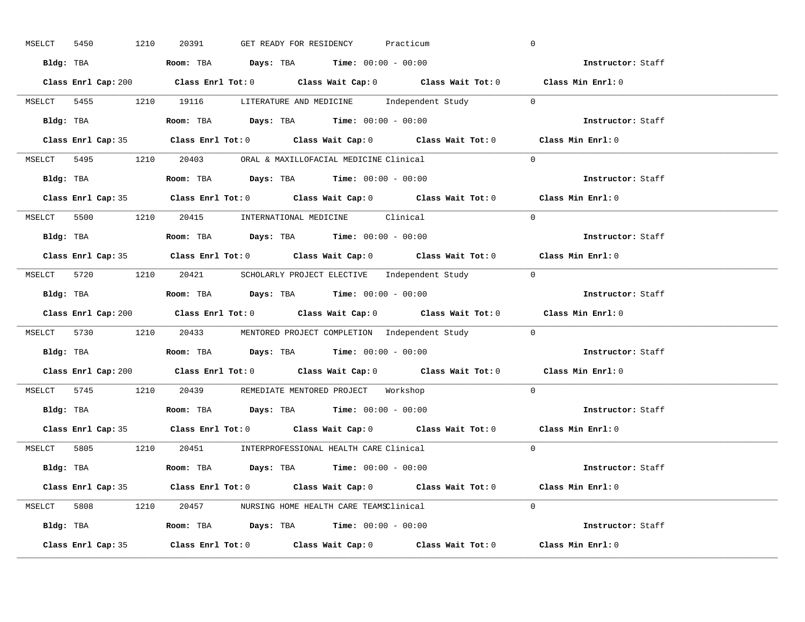| MSELCT | 5450 | 1210               | 20391                                                                                  | GET READY FOR RESIDENCY |  | Practicum |                                                                        | $\overline{0}$                                                                              |
|--------|------|--------------------|----------------------------------------------------------------------------------------|-------------------------|--|-----------|------------------------------------------------------------------------|---------------------------------------------------------------------------------------------|
|        |      |                    | Bldg: TBA                   Room: TBA         Days: TBA         Time: 00:00 - 00:00    |                         |  |           |                                                                        | <b>Example 2</b> Instructor: Staff                                                          |
|        |      |                    |                                                                                        |                         |  |           |                                                                        | Class Enrl Cap: 200 Class Enrl Tot: 0 Class Wait Cap: 0 Class Wait Tot: 0 Class Min Enrl: 0 |
|        |      |                    |                                                                                        |                         |  |           | MSELCT 5455 1210 19116 LITERATURE AND MEDICINE Independent Study 0     |                                                                                             |
|        |      |                    | Bldg: TBA                   Room: TBA         Days: TBA         Time: $00:00 - 00:00$  |                         |  |           |                                                                        | Instructor: Staff                                                                           |
|        |      |                    |                                                                                        |                         |  |           |                                                                        | Class Enrl Cap: 35 Class Enrl Tot: 0 Class Wait Cap: 0 Class Wait Tot: 0 Class Min Enrl: 0  |
|        |      |                    | MSELCT 5495 1210 20403 ORAL & MAXILLOFACIAL MEDICINE Clinical                          |                         |  |           |                                                                        | $\Omega$                                                                                    |
|        |      |                    | Bldg: TBA                    Room: TBA         Days: TBA        Time: $00:00 - 00:00$  |                         |  |           |                                                                        | Instructor: Staff                                                                           |
|        |      |                    |                                                                                        |                         |  |           |                                                                        | Class Enrl Cap: 35 Class Enrl Tot: 0 Class Wait Cap: 0 Class Wait Tot: 0 Class Min Enrl: 0  |
|        |      |                    | MSELCT 5500 1210 20415 INTERNATIONAL MEDICINE Clinical                                 |                         |  |           |                                                                        | $\Omega$                                                                                    |
|        |      |                    | Bldg: TBA                   Room: TBA         Days: TBA         Time: $00:00 - 00:00$  |                         |  |           |                                                                        | Instructor: Staff                                                                           |
|        |      |                    |                                                                                        |                         |  |           |                                                                        | Class Enrl Cap: 35 Class Enrl Tot: 0 Class Wait Cap: 0 Class Wait Tot: 0 Class Min Enrl: 0  |
|        |      |                    |                                                                                        |                         |  |           | MSELCT 5720 1210 20421 SCHOLARLY PROJECT ELECTIVE Independent Study 0  |                                                                                             |
|        |      |                    | Bldg: TBA                    Room: TBA        Days: TBA        Time: 00:00 - 00:00     |                         |  |           |                                                                        | Instructor: Staff                                                                           |
|        |      |                    |                                                                                        |                         |  |           |                                                                        | Class Enrl Cap: 200 Class Enrl Tot: 0 Class Wait Cap: 0 Class Wait Tot: 0 Class Min Enrl: 0 |
|        |      |                    |                                                                                        |                         |  |           | MSELCT 5730 1210 20433 MENTORED PROJECT COMPLETION Independent Study 0 |                                                                                             |
|        |      |                    | Bldg: TBA                    Room: TBA         Days: TBA         Time: 00:00 - 00:00   |                         |  |           |                                                                        | Instructor: Staff                                                                           |
|        |      |                    |                                                                                        |                         |  |           |                                                                        | Class Enrl Cap: 200 Class Enrl Tot: 0 Class Wait Cap: 0 Class Wait Tot: 0 Class Min Enrl: 0 |
|        |      |                    | MSELCT 5745 1210 20439 REMEDIATE MENTORED PROJECT Workshop                             |                         |  |           |                                                                        | $\Omega$                                                                                    |
|        |      |                    | Bldg: TBA                    Room: TBA         Days: TBA         Time: $00:00 - 00:00$ |                         |  |           |                                                                        | Instructor: Staff                                                                           |
|        |      |                    |                                                                                        |                         |  |           |                                                                        | Class Enrl Cap: 35 Class Enrl Tot: 0 Class Wait Cap: 0 Class Wait Tot: 0 Class Min Enrl: 0  |
|        |      |                    | MSELCT 5805 1210 20451 INTERPROFESSIONAL HEALTH CARE Clinical                          |                         |  |           |                                                                        | $\Omega$                                                                                    |
|        |      |                    | Bldg: TBA                   Room: TBA        Days: TBA        Time: 00:00 - 00:00      |                         |  |           |                                                                        | Instructor: Staff                                                                           |
|        |      |                    |                                                                                        |                         |  |           |                                                                        | Class Enrl Cap: 35 Class Enrl Tot: 0 Class Wait Cap: 0 Class Wait Tot: 0 Class Min Enrl: 0  |
|        |      |                    | MSELCT 5808 1210 20457 NURSING HOME HEALTH CARE TEAMSClinical                          |                         |  |           |                                                                        | $\Omega$                                                                                    |
|        |      |                    | Bldg: TBA                    Room: TBA         Days: TBA         Time: 00:00 - 00:00   |                         |  |           |                                                                        | Instructor: Staff                                                                           |
|        |      | Class Enrl Cap: 35 |                                                                                        |                         |  |           |                                                                        | Class Enrl Tot: 0 Class Wait Cap: 0 Class Wait Tot: 0 Class Min Enrl: 0                     |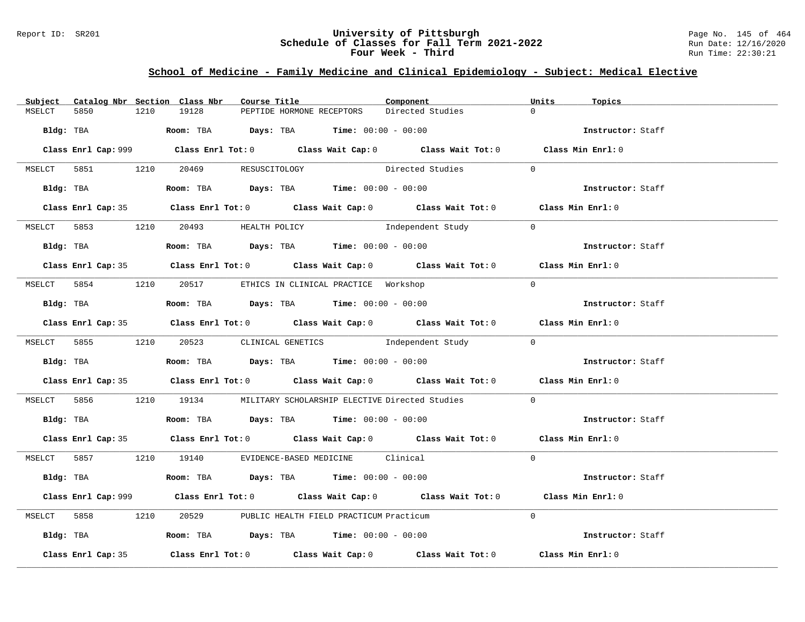## Report ID: SR201 **University of Pittsburgh** Page No. 145 of 464 **Schedule of Classes for Fall Term 2021-2022** Run Date: 12/16/2020 **Four Week - Third Run Time: 22:30:21**

# **School of Medicine - Family Medicine and Clinical Epidemiology - Subject: Medical Elective**

| Subject |                    |      | Catalog Nbr Section Class Nbr        | Course Title |                                                                                         | Component                                                                                          | Units      | Topics            |
|---------|--------------------|------|--------------------------------------|--------------|-----------------------------------------------------------------------------------------|----------------------------------------------------------------------------------------------------|------------|-------------------|
| MSELCT  | 5850               | 1210 | 19128                                |              | PEPTIDE HORMONE RECEPTORS                                                               | Directed Studies                                                                                   | $\Omega$   |                   |
|         | Bldg: TBA          |      |                                      |              | <b>Room:</b> TBA <b>Days:</b> TBA <b>Time:</b> 00:00 - 00:00                            |                                                                                                    |            | Instructor: Staff |
|         |                    |      |                                      |              |                                                                                         | Class Enrl Cap: 999 Class Enrl Tot: 0 Class Wait Cap: 0 Class Wait Tot: 0 Class Min Enrl: 0        |            |                   |
|         |                    |      | MSELCT 5851 1210 20469 RESUSCITOLOGY |              |                                                                                         | Directed Studies                                                                                   | $\Omega$   |                   |
|         |                    |      |                                      |              |                                                                                         |                                                                                                    |            | Instructor: Staff |
|         |                    |      |                                      |              |                                                                                         | Class Enrl Cap: 35 Class Enrl Tot: 0 Class Wait Cap: 0 Class Wait Tot: 0 Class Min Enrl: 0         |            |                   |
|         |                    |      | MSELCT 5853 1210 20493 HEALTH POLICY |              |                                                                                         | Independent Study                                                                                  | $\bigcirc$ |                   |
|         |                    |      |                                      |              | Bldg: TBA                   Room: TBA        Days: TBA        Time: 00:00 - 00:00       |                                                                                                    |            | Instructor: Staff |
|         |                    |      |                                      |              |                                                                                         | Class Enrl Cap: 35 Class Enrl Tot: 0 Class Wait Cap: 0 Class Wait Tot: 0 Class Min Enrl: 0         |            |                   |
|         |                    |      |                                      |              | MSELCT 5854 1210 20517 ETHICS IN CLINICAL PRACTICE Workshop                             |                                                                                                    | $\Omega$   |                   |
|         |                    |      |                                      |              | Bldg: TBA                   Room: TBA         Days: TBA        Time: 00:00 - 00:00      |                                                                                                    |            | Instructor: Staff |
|         |                    |      |                                      |              |                                                                                         | Class Enrl Cap: 35 Class Enrl Tot: 0 Class Wait Cap: 0 Class Wait Tot: 0 Class Min Enrl: 0         |            |                   |
|         |                    |      |                                      |              |                                                                                         | MSELCT 5855 1210 20523 CLINICAL GENETICS Independent Study 0                                       |            |                   |
|         |                    |      |                                      |              |                                                                                         | <b>Bldg:</b> TBA <b>ROOM:</b> TBA <b>Days:</b> TBA <b>Time:</b> $00:00 - 00:00$                    |            | Instructor: Staff |
|         |                    |      |                                      |              |                                                                                         | Class Enrl Cap: 35 Class Enrl Tot: 0 Class Wait Cap: 0 Class Wait Tot: 0 Class Min Enrl: 0         |            |                   |
|         |                    |      |                                      |              |                                                                                         | MSELCT 5856 1210 19134 MILITARY SCHOLARSHIP ELECTIVE Directed Studies                              | $\Omega$   |                   |
|         |                    |      |                                      |              | Bldg: TBA                       Room: TBA         Days: TBA         Time: 00:00 - 00:00 |                                                                                                    |            | Instructor: Staff |
|         |                    |      |                                      |              |                                                                                         | Class Enrl Cap: 35 Class Enrl Tot: 0 Class Wait Cap: 0 Class Wait Tot: 0 Class Min Enrl: 0         |            |                   |
|         |                    |      |                                      |              | MSELCT 5857 1210 19140 EVIDENCE-BASED MEDICINE Clinical                                 |                                                                                                    | $\Omega$   |                   |
|         |                    |      |                                      |              | <b>Bldg:</b> TBA <b>ROOM:</b> TBA <b>Days:</b> TBA <b>Time:</b> $00:00 - 00:00$         |                                                                                                    |            | Instructor: Staff |
|         |                    |      |                                      |              |                                                                                         | Class Enrl Cap: 999 Class Enrl Tot: 0 Class Wait Cap: 0 Class Wait Tot: 0 Class Min Enrl: 0        |            |                   |
|         |                    |      |                                      |              | MSELCT 5858 1210 20529 PUBLIC HEALTH FIELD PRACTICUM Practicum                          |                                                                                                    | $\Omega$   |                   |
|         |                    |      |                                      |              | Bldg: TBA                     Room: TBA          Days: TBA         Time: 00:00 - 00:00  |                                                                                                    |            | Instructor: Staff |
|         | Class Enrl Cap: 35 |      |                                      |              |                                                                                         | Class Enrl Tot: 0 $\qquad$ Class Wait Cap: 0 $\qquad$ Class Wait Tot: 0 $\qquad$ Class Min Enrl: 0 |            |                   |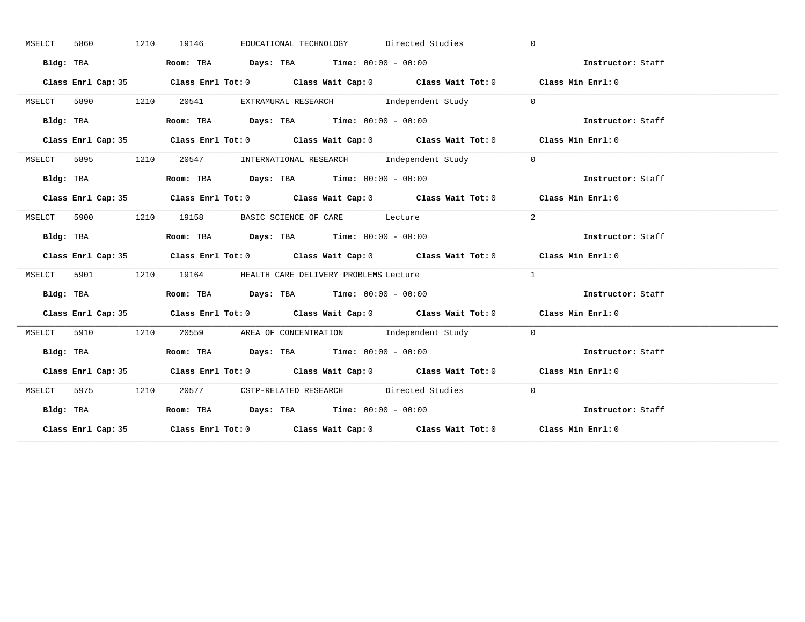| MSELCT | 5860 |           | 1210 | 19146 |                                                                                       | EDUCATIONAL TECHNOLOGY Directed Studies                       | $\Omega$                                                                                   |  |
|--------|------|-----------|------|-------|---------------------------------------------------------------------------------------|---------------------------------------------------------------|--------------------------------------------------------------------------------------------|--|
|        |      | Bldg: TBA |      |       | Room: TBA $Days:$ TBA $Time: 00:00 - 00:00$                                           |                                                               | Instructor: Staff                                                                          |  |
|        |      |           |      |       |                                                                                       |                                                               | Class Enrl Cap: 35 Class Enrl Tot: 0 Class Wait Cap: 0 Class Wait Tot: 0 Class Min Enrl: 0 |  |
| MSELCT |      |           |      |       |                                                                                       | 5890 1210 20541 EXTRAMURAL RESEARCH Independent Study 0       |                                                                                            |  |
|        |      | Bldg: TBA |      |       | Room: TBA Days: TBA Time: $00:00 - 00:00$                                             |                                                               | Instructor: Staff                                                                          |  |
|        |      |           |      |       |                                                                                       |                                                               | Class Enrl Cap: 35 Class Enrl Tot: 0 Class Wait Cap: 0 Class Wait Tot: 0 Class Min Enrl: 0 |  |
| MSELCT |      |           |      |       |                                                                                       | 5895 1210 20547 INTERNATIONAL RESEARCH Independent Study      | $\overline{0}$                                                                             |  |
|        |      | Bldg: TBA |      |       | Room: TBA $Days:$ TBA Time: $00:00 - 00:00$                                           |                                                               | Instructor: Staff                                                                          |  |
|        |      |           |      |       |                                                                                       |                                                               | Class Enrl Cap: 35 Class Enrl Tot: 0 Class Wait Cap: 0 Class Wait Tot: 0 Class Min Enrl: 0 |  |
|        |      |           |      |       | MSELCT 5900 1210 19158 BASIC SCIENCE OF CARE Lecture                                  |                                                               | 2                                                                                          |  |
|        |      | Bldg: TBA |      |       | Room: TBA $Days:$ TBA $Time: 00:00 - 00:00$                                           |                                                               | Instructor: Staff                                                                          |  |
|        |      |           |      |       |                                                                                       |                                                               |                                                                                            |  |
|        |      |           |      |       |                                                                                       |                                                               | Class Enrl Cap: 35 Class Enrl Tot: 0 Class Wait Cap: 0 Class Wait Tot: 0 Class Min Enrl: 0 |  |
|        |      |           |      |       | MSELCT 5901 1210 19164 HEALTH CARE DELIVERY PROBLEMS Lecture                          |                                                               | $\mathbf{1}$                                                                               |  |
|        |      | Bldg: TBA |      |       | Room: TBA $\rule{1em}{0.15mm}$ Days: TBA $\rule{1.5mm}{0.15mm}$ Time: $00:00 - 00:00$ |                                                               | Instructor: Staff                                                                          |  |
|        |      |           |      |       |                                                                                       |                                                               | Class Enrl Cap: 35 Class Enrl Tot: 0 Class Wait Cap: 0 Class Wait Tot: 0 Class Min Enrl: 0 |  |
| MSELCT |      |           |      |       |                                                                                       | 5910 1210 20559 AREA OF CONCENTRATION Independent Study 0     |                                                                                            |  |
|        |      |           |      |       |                                                                                       |                                                               | Bldg: TBA Room: TBA Days: TBA Time: 00:00 - 00:00<br>Thetructor: Staff                     |  |
|        |      |           |      |       |                                                                                       |                                                               | Class Enrl Cap: 35 Class Enrl Tot: 0 Class Wait Cap: 0 Class Wait Tot: 0 Class Min Enrl: 0 |  |
|        |      |           |      |       |                                                                                       | MSELCT 5975 1210 20577 CSTP-RELATED RESEARCH Directed Studies | $\bigcirc$                                                                                 |  |
|        |      | Bldg: TBA |      |       | Room: TBA $Days:$ TBA Time: $00:00 - 00:00$                                           |                                                               | Instructor: Staff                                                                          |  |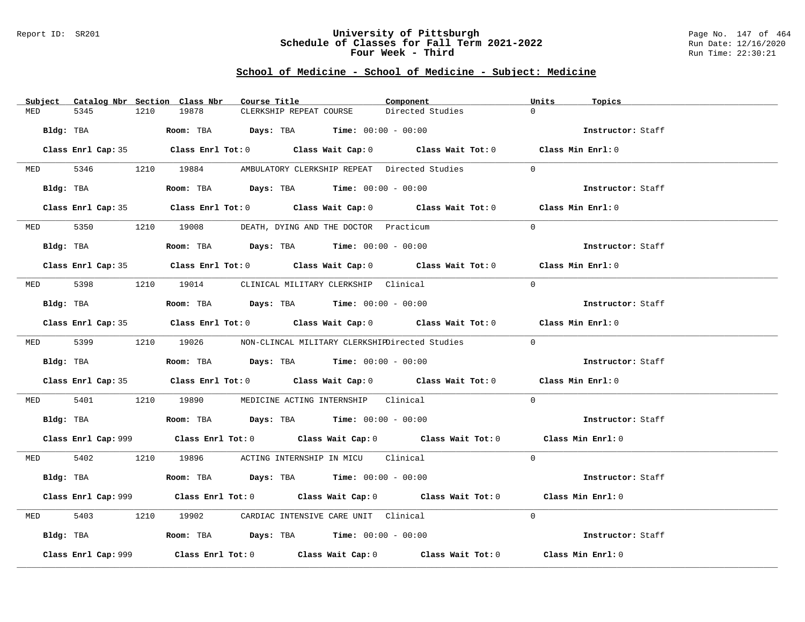### Report ID: SR201 **University of Pittsburgh** Page No. 147 of 464 **Schedule of Classes for Fall Term 2021-2022** Run Date: 12/16/2020 **Four Week - Third Run Time: 22:30:21**

|           | Subject Catalog Nbr Section Class Nbr | Course Title                                                                                | Component        | Units<br>Topics   |
|-----------|---------------------------------------|---------------------------------------------------------------------------------------------|------------------|-------------------|
| MED       | 1210<br>5345                          | 19878<br>CLERKSHIP REPEAT COURSE                                                            | Directed Studies | $\Omega$          |
| Bldg: TBA |                                       | Room: TBA $Days:$ TBA $Time: 00:00 - 00:00$                                                 |                  | Instructor: Staff |
|           |                                       | Class Enrl Cap: 35 Class Enrl Tot: 0 Class Wait Cap: 0 Class Wait Tot: 0 Class Min Enrl: 0  |                  |                   |
|           |                                       | MED 5346 1210 19884 AMBULATORY CLERKSHIP REPEAT Directed Studies                            |                  | $\Omega$          |
|           | Bldg: TBA                             | <b>Room:</b> TBA <b>Days:</b> TBA <b>Time:</b> $00:00 - 00:00$                              |                  | Instructor: Staff |
|           |                                       | Class Enrl Cap: 35 Class Enrl Tot: 0 Class Wait Cap: 0 Class Wait Tot: 0 Class Min Enrl: 0  |                  |                   |
|           |                                       | MED 5350 1210 19008 DEATH, DYING AND THE DOCTOR Practicum                                   |                  | $\Omega$          |
|           | Bldg: TBA                             | Room: TBA $Days: TBA$ Time: $00:00 - 00:00$                                                 |                  | Instructor: Staff |
|           |                                       | Class Enrl Cap: 35 Class Enrl Tot: 0 Class Wait Cap: 0 Class Wait Tot: 0 Class Min Enrl: 0  |                  |                   |
|           |                                       | MED 5398 1210 19014 CLINICAL MILITARY CLERKSHIP Clinical                                    |                  | $\Omega$          |
|           | Bldg: TBA                             | Room: TBA $\rule{1em}{0.15mm}$ Days: TBA Time: $00:00 - 00:00$                              |                  | Instructor: Staff |
|           |                                       | Class Enrl Cap: 35 Class Enrl Tot: 0 Class Wait Cap: 0 Class Wait Tot: 0 Class Min Enrl: 0  |                  |                   |
|           |                                       | MED 5399 1210 19026 NON-CLINCAL MILITARY CLERKSHIEDirected Studies                          |                  | $\Omega$          |
|           | Bldg: TBA                             | Room: TBA $\rule{1em}{0.15mm}$ Days: TBA Time: $00:00 - 00:00$                              |                  | Instructor: Staff |
|           |                                       | Class Enrl Cap: 35 Class Enrl Tot: 0 Class Wait Cap: 0 Class Wait Tot: 0 Class Min Enrl: 0  |                  |                   |
| MED 5401  |                                       | 1210 19890 MEDICINE ACTING INTERNSHIP Clinical                                              |                  | $\Omega$          |
|           |                                       | Bldg: TBA                     Room: TBA          Days: TBA         Time: 00:00 - 00:00      |                  | Instructor: Staff |
|           |                                       | Class Enrl Cap: 999 Class Enrl Tot: 0 Class Wait Cap: 0 Class Wait Tot: 0 Class Min Enrl: 0 |                  |                   |
|           |                                       | MED 5402 1210 19896 ACTING INTERNSHIP IN MICU Clinical                                      |                  | $\Omega$          |
|           |                                       | Bldg: TBA                   Room: TBA         Days: TBA         Time: $00:00 - 00:00$       |                  | Instructor: Staff |
|           |                                       | Class Enrl Cap: 999 Class Enrl Tot: 0 Class Wait Cap: 0 Class Wait Tot: 0 Class Min Enrl: 0 |                  |                   |
| MED       | 5403                                  | 1210 19902 CARDIAC INTENSIVE CARE UNIT Clinical                                             |                  | $\Omega$          |
|           |                                       | Bldg: TBA                    Room: TBA         Days: TBA         Time: 00:00 - 00:00        |                  | Instructor: Staff |
|           | Class Enrl Cap: 999                   | Class Enrl Tot: $0$ Class Wait Cap: $0$ Class Wait Tot: $0$                                 |                  | Class Min Enrl: 0 |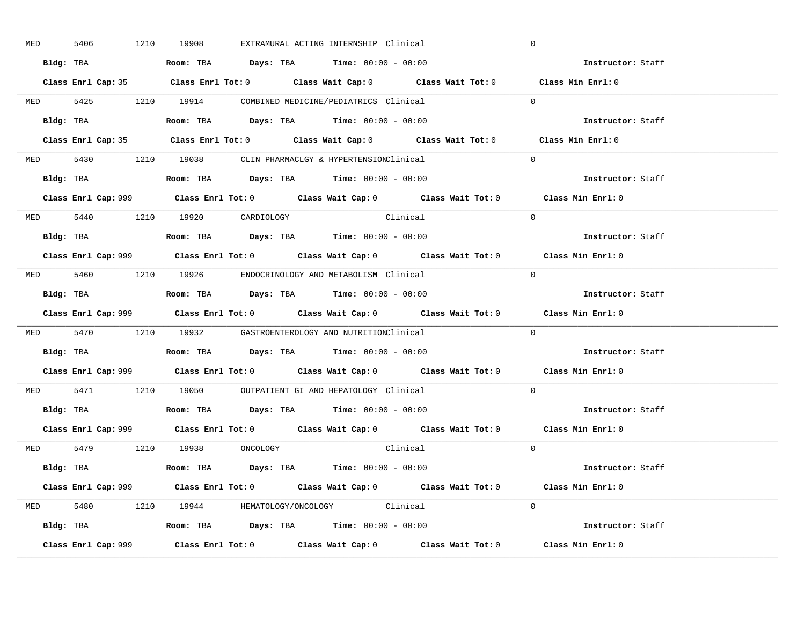| <b>MED</b> | 5406 |           | 1210 19908                     |  | EXTRAMURAL ACTING INTERNSHIP Clinical                                                         |                                                                                             | $\mathbf 0$ |                                                                                             |
|------------|------|-----------|--------------------------------|--|-----------------------------------------------------------------------------------------------|---------------------------------------------------------------------------------------------|-------------|---------------------------------------------------------------------------------------------|
|            |      |           |                                |  | Bldg: TBA                      Room: TBA         Days: TBA         Time: 00:00 - 00:00        |                                                                                             |             | Instructor: Staff                                                                           |
|            |      |           |                                |  |                                                                                               | Class Enrl Cap: 35 Class Enrl Tot: 0 Class Wait Cap: 0 Class Wait Tot: 0 Class Min Enrl: 0  |             |                                                                                             |
|            |      |           |                                |  | MED 5425 1210 19914 COMBINED MEDICINE/PEDIATRICS Clinical                                     |                                                                                             |             | $\Omega$                                                                                    |
|            |      | Bldg: TBA |                                |  | Room: TBA $Days:$ TBA Time: $00:00 - 00:00$                                                   |                                                                                             |             | Instructor: Staff                                                                           |
|            |      |           |                                |  |                                                                                               | Class Enrl Cap: 35 Class Enrl Tot: 0 Class Wait Cap: 0 Class Wait Tot: 0 Class Min Enrl: 0  |             |                                                                                             |
|            |      |           |                                |  | MED 5430 1210 19038 CLIN PHARMACLGY & HYPERTENSIONClinical                                    |                                                                                             |             | $\Omega$                                                                                    |
|            |      |           |                                |  | Bldg: TBA                   Room: TBA         Days: TBA         Time: 00:00 - 00:00           |                                                                                             |             | Instructor: Staff                                                                           |
|            |      |           |                                |  |                                                                                               | Class Enrl Cap: 999 Class Enrl Tot: 0 Class Wait Cap: 0 Class Wait Tot: 0 Class Min Enrl: 0 |             |                                                                                             |
|            |      |           | MED 5440 1210 19920 CARDIOLOGY |  | Clinical                                                                                      |                                                                                             |             | $\Omega$                                                                                    |
|            |      |           |                                |  | Bldg: TBA                   Room: TBA         Days: TBA         Time: 00:00 - 00:00           |                                                                                             |             | Instructor: Staff                                                                           |
|            |      |           |                                |  |                                                                                               | Class Enrl Cap: 999 Class Enrl Tot: 0 Class Wait Cap: 0 Class Wait Tot: 0 Class Min Enrl: 0 |             |                                                                                             |
|            |      |           |                                |  | MED 5460 1210 19926 ENDOCRINOLOGY AND METABOLISM Clinical                                     |                                                                                             |             | $\Omega$                                                                                    |
|            |      |           |                                |  | Bldg: TBA                   Room: TBA         Days: TBA         Time: $00:00 - 00:00$         |                                                                                             |             | Instructor: Staff                                                                           |
|            |      |           |                                |  |                                                                                               | Class Enrl Cap: 999 Class Enrl Tot: 0 Class Wait Cap: 0 Class Wait Tot: 0                   |             | Class Min Enrl: 0                                                                           |
|            |      |           |                                |  | MED 5470 1210 19932 GASTROENTEROLOGY AND NUTRITIONClinical                                    |                                                                                             |             | $\Omega$                                                                                    |
|            |      |           |                                |  | Bldg: TBA                   Room: TBA         Days: TBA         Time: 00:00 - 00:00           |                                                                                             |             | Instructor: Staff                                                                           |
|            |      |           |                                |  |                                                                                               |                                                                                             |             | Class Enrl Cap: 999 Class Enrl Tot: 0 Class Wait Cap: 0 Class Wait Tot: 0 Class Min Enrl: 0 |
|            |      |           |                                |  | MED 5471 1210 19050 OUTPATIENT GI AND HEPATOLOGY Clinical                                     |                                                                                             |             | $\Omega$                                                                                    |
|            |      |           |                                |  | Bldg: TBA                   Room: TBA         Days: TBA         Time: $00:00 - 00:00$         |                                                                                             |             | Instructor: Staff                                                                           |
|            |      |           |                                |  |                                                                                               | Class Enrl Cap: 999 Class Enrl Tot: 0 Class Wait Cap: 0 Class Wait Tot: 0 Class Min Enrl: 0 |             |                                                                                             |
|            |      |           | MED 5479 1210 19938 ONCOLOGY   |  |                                                                                               | Clinical                                                                                    |             | $\overline{0}$                                                                              |
|            |      |           |                                |  | Bldg: TBA                   Room: TBA         Days: TBA         Time: 00:00 - 00:00           |                                                                                             |             | Instructor: Staff                                                                           |
|            |      |           |                                |  |                                                                                               | Class Enrl Cap: 999 Class Enrl Tot: 0 Class Wait Cap: 0 Class Wait Tot: 0 Class Min Enrl: 0 |             |                                                                                             |
|            |      |           |                                |  | MED 5480 1210 19944 HEMATOLOGY/ONCOLOGY Clinical                                              |                                                                                             |             | $\Omega$                                                                                    |
|            |      |           |                                |  | Bldg: TBA                         Room: TBA          Days: TBA          Time: $00:00 - 00:00$ |                                                                                             |             | Instructor: Staff                                                                           |
|            |      |           |                                |  |                                                                                               |                                                                                             |             | Class Min Enrl: 0                                                                           |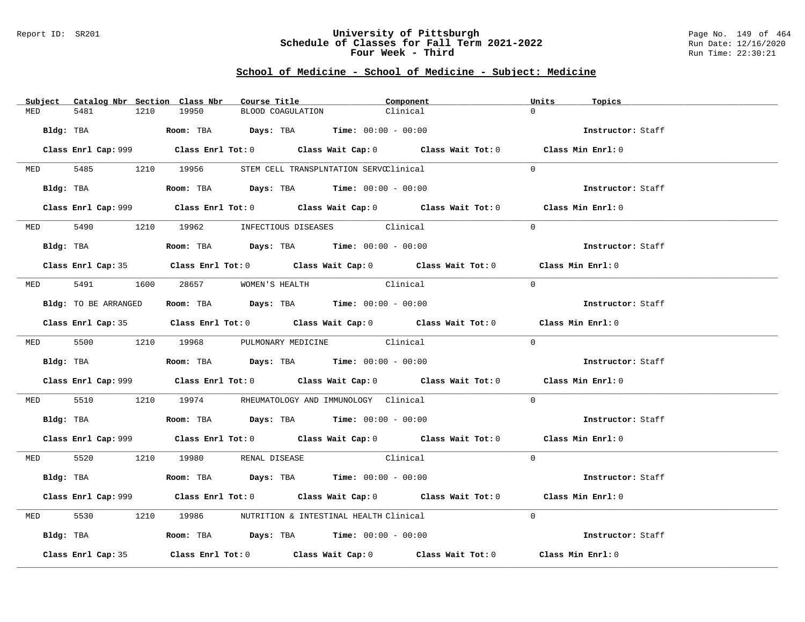### Report ID: SR201 **University of Pittsburgh** Page No. 149 of 464 **Schedule of Classes for Fall Term 2021-2022** Run Date: 12/16/2020 **Four Week - Third Run Time: 22:30:21**

|          | Subject Catalog Nbr Section Class Nbr | Course Title                                                                                   | Component                                                                                   | Units<br>Topics   |
|----------|---------------------------------------|------------------------------------------------------------------------------------------------|---------------------------------------------------------------------------------------------|-------------------|
| MED      | 5481<br>1210                          | 19950<br>BLOOD COAGULATION                                                                     | Clinical                                                                                    | $\cap$            |
|          | Bldg: TBA                             | Room: TBA $Days:$ TBA $Time: 00:00 - 00:00$                                                    |                                                                                             | Instructor: Staff |
|          |                                       |                                                                                                | Class Enrl Cap: 999 Class Enrl Tot: 0 Class Wait Cap: 0 Class Wait Tot: 0 Class Min Enrl: 0 |                   |
|          |                                       | MED 5485 1210 19956 STEM CELL TRANSPLNTATION SERVCClinical                                     |                                                                                             | $\Omega$          |
|          | Bldg: TBA                             | Room: TBA $Days:$ TBA $Time: 00:00 - 00:00$                                                    |                                                                                             | Instructor: Staff |
|          |                                       |                                                                                                | Class Enrl Cap: 999 Class Enrl Tot: 0 Class Wait Cap: 0 Class Wait Tot: 0 Class Min Enrl: 0 |                   |
|          |                                       | MED 5490 1210 19962 INFECTIOUS DISEASES Clinical                                               |                                                                                             | $\Omega$          |
|          | Bldg: TBA                             | Room: TBA $Days: TBA$ Time: $00:00 - 00:00$                                                    |                                                                                             | Instructor: Staff |
|          |                                       |                                                                                                | Class Enrl Cap: 35 Class Enrl Tot: 0 Class Wait Cap: 0 Class Wait Tot: 0 Class Min Enrl: 0  |                   |
|          |                                       | MED 5491 1600 28657 WOMEN'S HEALTH                                                             | Clinical                                                                                    | $\Omega$          |
|          | Bldg: TO BE ARRANGED                  | Room: TBA $Days:$ TBA $Time:$ 00:00 - 00:00                                                    |                                                                                             | Instructor: Staff |
|          |                                       |                                                                                                | Class Enrl Cap: 35 Class Enrl Tot: 0 Class Wait Cap: 0 Class Wait Tot: 0 Class Min Enrl: 0  |                   |
|          |                                       | MED 5500 1210 19968 PULMONARY MEDICINE Clinical                                                |                                                                                             | $\Omega$          |
|          |                                       | Bldg: TBA                          Room: TBA          Days: TBA          Time: $00:00 - 00:00$ |                                                                                             | Instructor: Staff |
|          |                                       |                                                                                                | Class Enrl Cap: 999 Class Enrl Tot: 0 Class Wait Cap: 0 Class Wait Tot: 0 Class Min Enrl: 0 |                   |
| MED 5510 |                                       | 1210  19974   RHEUMATOLOGY AND IMMUNOLOGY Clinical                                             |                                                                                             | $\Omega$          |
|          |                                       | Bldg: TBA                    Room: TBA         Days: TBA         Time: 00:00 - 00:00           |                                                                                             | Instructor: Staff |
|          |                                       |                                                                                                | Class Enrl Cap: 999 Class Enrl Tot: 0 Class Wait Cap: 0 Class Wait Tot: 0 Class Min Enrl: 0 |                   |
|          |                                       | MED 5520 1210 19980 RENAL DISEASE                                                              | <b>Clinical</b>                                                                             | $\Omega$          |
|          |                                       | Bldg: TBA                   Room: TBA         Days: TBA         Time: 00:00 - 00:00            |                                                                                             | Instructor: Staff |
|          |                                       |                                                                                                | Class Enrl Cap: 999 Class Enrl Tot: 0 Class Wait Cap: 0 Class Wait Tot: 0 Class Min Enrl: 0 |                   |
| MED      | 5530                                  | 1210 19986 NUTRITION & INTESTINAL HEALTH Clinical                                              |                                                                                             | $\Omega$          |
|          |                                       | Bldg: TBA                       Room: TBA          Days: TBA          Time: 00:00 - 00:00      |                                                                                             | Instructor: Staff |
|          | Class Enrl Cap: 35                    |                                                                                                | Class Enrl Tot: $0$ Class Wait Cap: $0$ Class Wait Tot: $0$                                 | Class Min Enrl: 0 |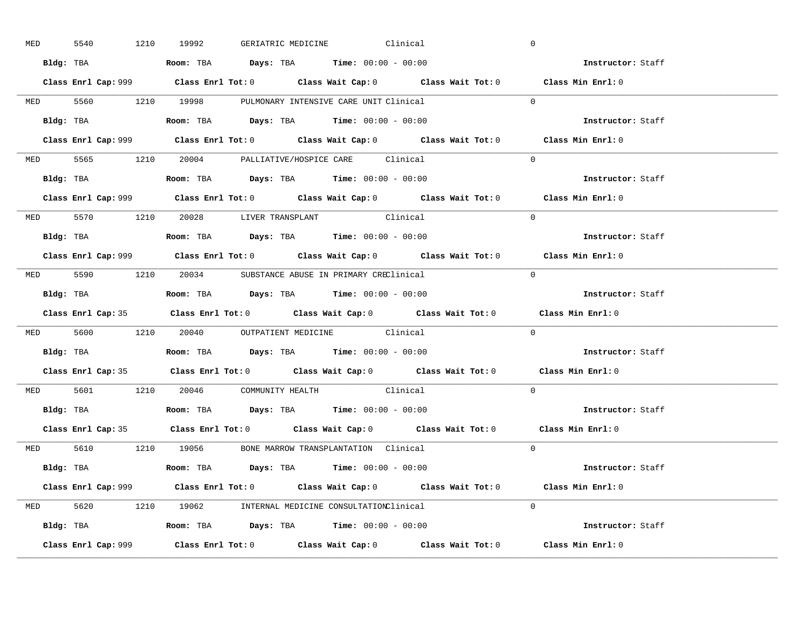| <b>MED</b> | 5540      |           | 1210 19992                                                                            |  | GERIATRIC MEDICINE Clinical                      |                                                                                            | $\overline{0}$                                                                              |  |
|------------|-----------|-----------|---------------------------------------------------------------------------------------|--|--------------------------------------------------|--------------------------------------------------------------------------------------------|---------------------------------------------------------------------------------------------|--|
|            |           |           | Bldg: TBA                   Room: TBA         Days: TBA         Time: $00:00 - 00:00$ |  |                                                  |                                                                                            | Instructor: Staff                                                                           |  |
|            |           |           |                                                                                       |  |                                                  |                                                                                            | Class Enrl Cap: 999 Class Enrl Tot: 0 Class Wait Cap: 0 Class Wait Tot: 0 Class Min Enrl: 0 |  |
|            |           |           | MED 5560 1210 19998 PULMONARY INTENSIVE CARE UNIT Clinical                            |  |                                                  |                                                                                            | $\Omega$                                                                                    |  |
|            |           | Bldg: TBA | Room: TBA $Days:$ TBA $Time:$ 00:00 - 00:00                                           |  |                                                  |                                                                                            | Instructor: Staff                                                                           |  |
|            |           |           |                                                                                       |  |                                                  |                                                                                            | Class Enrl Cap: 999 Class Enrl Tot: 0 Class Wait Cap: 0 Class Wait Tot: 0 Class Min Enrl: 0 |  |
|            |           |           | MED 5565 1210 20004 PALLIATIVE/HOSPICE CARE Clinical                                  |  |                                                  |                                                                                            | $\Omega$                                                                                    |  |
|            |           |           | Bldg: TBA                    Room: TBA         Days: TBA        Time: $00:00 - 00:00$ |  |                                                  |                                                                                            | Instructor: Staff                                                                           |  |
|            |           |           |                                                                                       |  |                                                  |                                                                                            | Class Enrl Cap: 999 Class Enrl Tot: 0 Class Wait Cap: 0 Class Wait Tot: 0 Class Min Enrl: 0 |  |
|            |           |           | MED 5570 1210 20028 LIVER TRANSPLANT Clinical                                         |  |                                                  |                                                                                            | $\Omega$                                                                                    |  |
|            |           |           | <b>Bldg:</b> TBA <b>ROOM:</b> TBA <b>Days:</b> TBA <b>Time:</b> $00:00 - 00:00$       |  |                                                  |                                                                                            | Instructor: Staff                                                                           |  |
|            |           |           |                                                                                       |  |                                                  |                                                                                            | Class Enrl Cap: 999 Class Enrl Tot: 0 Class Wait Cap: 0 Class Wait Tot: 0 Class Min Enrl: 0 |  |
|            |           |           | MED 5590 1210 20034 SUBSTANCE ABUSE IN PRIMARY CREClinical                            |  |                                                  |                                                                                            | $\Omega$                                                                                    |  |
|            |           |           |                                                                                       |  |                                                  |                                                                                            | Instructor: Staff                                                                           |  |
|            |           |           |                                                                                       |  |                                                  |                                                                                            | Class Enrl Cap: 35 Class Enrl Tot: 0 Class Wait Cap: 0 Class Wait Tot: 0 Class Min Enrl: 0  |  |
|            |           |           |                                                                                       |  | MED 5600 1210 20040 OUTPATIENT MEDICINE Clinical |                                                                                            | $\overline{0}$                                                                              |  |
|            |           |           |                                                                                       |  |                                                  |                                                                                            |                                                                                             |  |
|            | Bldg: TBA |           | Room: TBA $Days:$ TBA $Time:$ 00:00 - 00:00                                           |  |                                                  |                                                                                            | Instructor: Staff                                                                           |  |
|            |           |           |                                                                                       |  |                                                  |                                                                                            | Class Enrl Cap: 35 Class Enrl Tot: 0 Class Wait Cap: 0 Class Wait Tot: 0 Class Min Enrl: 0  |  |
|            |           |           | MED 5601 1210 20046 COMMUNITY HEALTH Clinical                                         |  |                                                  |                                                                                            | $\Omega$                                                                                    |  |
|            |           |           | Bldg: TBA                   Room: TBA         Days: TBA         Time: 00:00 - 00:00   |  |                                                  |                                                                                            | Instructor: Staff                                                                           |  |
|            |           |           |                                                                                       |  |                                                  | Class Enrl Cap: 35 Class Enrl Tot: 0 Class Wait Cap: 0 Class Wait Tot: 0 Class Min Enrl: 0 |                                                                                             |  |
|            |           |           | MED 5610 1210 19056 BONE MARROW TRANSPLANTATION Clinical                              |  |                                                  |                                                                                            | $\Omega$                                                                                    |  |
|            |           |           | Bldg: TBA                   Room: TBA         Days: TBA         Time: 00:00 - 00:00   |  |                                                  |                                                                                            | Instructor: Staff                                                                           |  |
|            |           |           |                                                                                       |  |                                                  |                                                                                            | Class Enrl Cap: 999 Class Enrl Tot: 0 Class Wait Cap: 0 Class Wait Tot: 0 Class Min Enrl: 0 |  |
|            |           |           | MED 5620 1210 19062 INTERNAL MEDICINE CONSULTATIONClinical                            |  |                                                  |                                                                                            | $\Omega$                                                                                    |  |
|            |           |           | Bldg: TBA                   Room: TBA         Days: TBA         Time: 00:00 - 00:00   |  |                                                  |                                                                                            | Instructor: Staff                                                                           |  |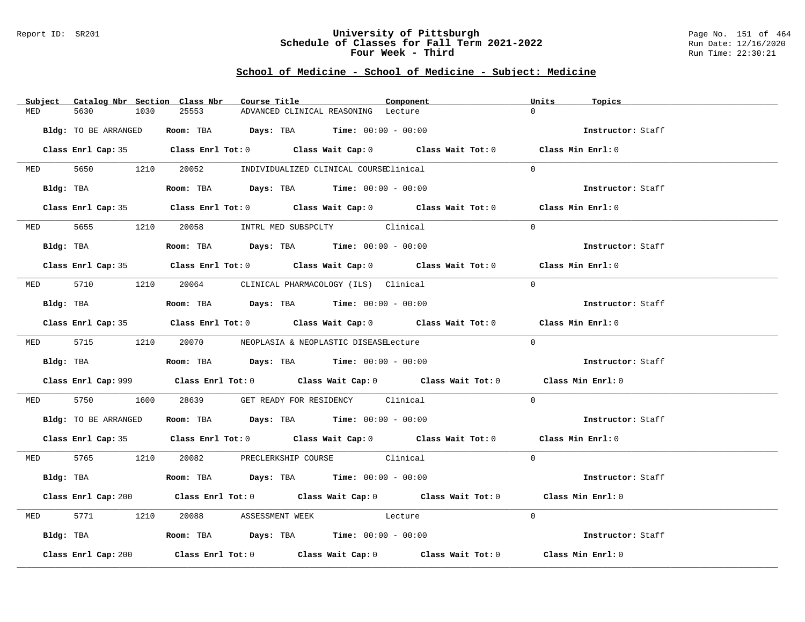### Report ID: SR201 **University of Pittsburgh** Page No. 151 of 464 **Schedule of Classes for Fall Term 2021-2022** Run Date: 12/16/2020 **Four Week - Third Run Time: 22:30:21**

|     | Subject Catalog Nbr Section Class Nbr | Course Title                                                                                | Component | Units<br>Topics   |  |
|-----|---------------------------------------|---------------------------------------------------------------------------------------------|-----------|-------------------|--|
| MED | 5630<br>1030                          | 25553<br>ADVANCED CLINICAL REASONING Lecture                                                |           | $\cap$            |  |
|     | Bldg: TO BE ARRANGED                  | <b>Room:</b> TBA $Days: TBA$ <b>Time:</b> $00:00 - 00:00$                                   |           | Instructor: Staff |  |
|     |                                       | Class Enrl Cap: 35 Class Enrl Tot: 0 Class Wait Cap: 0 Class Wait Tot: 0 Class Min Enrl: 0  |           |                   |  |
|     |                                       | MED 5650 1210 20052 INDIVIDUALIZED CLINICAL COURSEClinical                                  |           | $\Omega$          |  |
|     | Bldg: TBA                             | Room: TBA $Days:$ TBA $Time: 00:00 - 00:00$                                                 |           | Instructor: Staff |  |
|     |                                       | Class Enrl Cap: 35 Class Enrl Tot: 0 Class Wait Cap: 0 Class Wait Tot: 0 Class Min Enrl: 0  |           |                   |  |
|     |                                       | MED 5655 1210 20058 INTRL MED SUBSPCLTY Clinical                                            |           | $\Omega$          |  |
|     |                                       | Bldg: TBA                   Room: TBA         Days: TBA         Time: $00:00 - 00:00$       |           | Instructor: Staff |  |
|     |                                       | Class Enrl Cap: 35 Class Enrl Tot: 0 Class Wait Cap: 0 Class Wait Tot: 0 Class Min Enrl: 0  |           |                   |  |
|     |                                       | MED 5710 1210 20064 CLINICAL PHARMACOLOGY (ILS) Clinical                                    |           | $\Omega$          |  |
|     | Bldg: TBA                             | Room: TBA $Days:$ TBA $Time: 00:00 - 00:00$                                                 |           | Instructor: Staff |  |
|     |                                       | Class Enrl Cap: 35 Class Enrl Tot: 0 Class Wait Cap: 0 Class Wait Tot: 0 Class Min Enrl: 0  |           |                   |  |
|     |                                       | MED 5715 1210 20070 NEOPLASIA & NEOPLASTIC DISEASELecture                                   |           | $\Omega$          |  |
|     |                                       | Bldg: TBA                    Room: TBA         Days: TBA         Time: $00:00 - 00:00$      |           | Instructor: Staff |  |
|     |                                       | Class Enrl Cap: 999 Class Enrl Tot: 0 Class Wait Cap: 0 Class Wait Tot: 0 Class Min Enrl: 0 |           |                   |  |
|     |                                       | MED 5750 1600 28639 GET READY FOR RESIDENCY Clinical                                        |           | $\Omega$          |  |
|     |                                       | Bldg: TO BE ARRANGED Room: TBA Days: TBA Time: 00:00 - 00:00                                |           | Instructor: Staff |  |
|     |                                       | Class Enrl Cap: 35 Class Enrl Tot: 0 Class Wait Cap: 0 Class Wait Tot: 0 Class Min Enrl: 0  |           |                   |  |
|     |                                       | MED 5765 1210 20082 PRECLERKSHIP COURSE Clinical                                            |           | $\Omega$          |  |
|     |                                       | Bldg: TBA                   Room: TBA         Days: TBA         Time: $00:00 - 00:00$       |           | Instructor: Staff |  |
|     |                                       | Class Enrl Cap: 200 Class Enrl Tot: 0 Class Wait Cap: 0 Class Wait Tot: 0 Class Min Enrl: 0 |           |                   |  |
|     | MED 5771 1210                         | 20088 ASSESSMENT WEEK Lecture                                                               |           | $\Omega$          |  |
|     |                                       | Bldg: TBA                   Room: TBA         Days: TBA         Time: 00:00 - 00:00         |           | Instructor: Staff |  |
|     | Class Enrl Cap: 200                   | Class Enrl Tot: $0$ Class Wait Cap: $0$ Class Wait Tot: $0$ Class Min Enrl: $0$             |           |                   |  |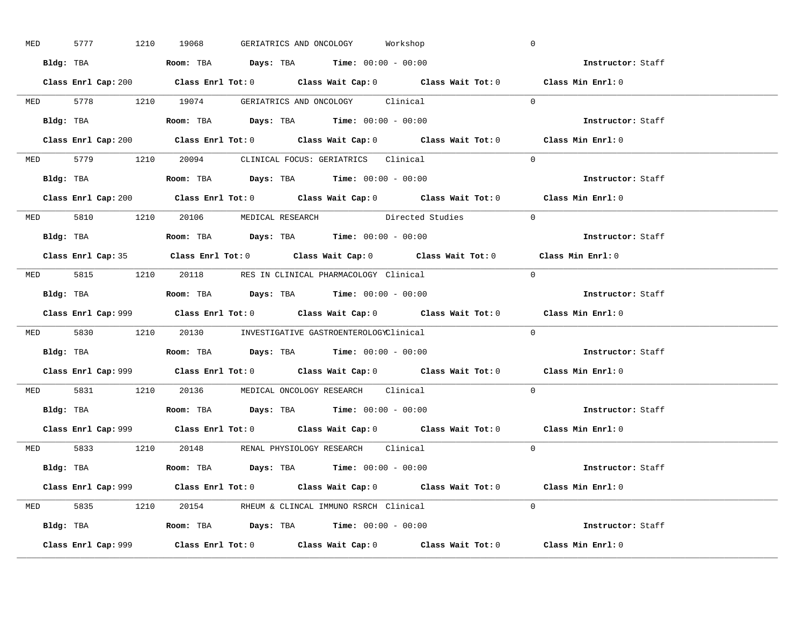| MED | 5777 1210 19068 |                                                                                   | GERIATRICS AND ONCOLOGY Workshop                                                      |                                                                                             | $\mathbb O$       |  |
|-----|-----------------|-----------------------------------------------------------------------------------|---------------------------------------------------------------------------------------|---------------------------------------------------------------------------------------------|-------------------|--|
|     |                 |                                                                                   | Bldg: TBA                   Room: TBA         Days: TBA        Time: 00:00 - 00:00    |                                                                                             | Instructor: Staff |  |
|     |                 |                                                                                   |                                                                                       | Class Enrl Cap: 200 Class Enrl Tot: 0 Class Wait Cap: 0 Class Wait Tot: 0 Class Min Enrl: 0 |                   |  |
|     |                 |                                                                                   | MED 5778 1210 19074 GERIATRICS AND ONCOLOGY Clinical                                  |                                                                                             | $\Omega$          |  |
|     |                 |                                                                                   |                                                                                       |                                                                                             | Instructor: Staff |  |
|     |                 |                                                                                   |                                                                                       | Class Enrl Cap: 200 Class Enrl Tot: 0 Class Wait Cap: 0 Class Wait Tot: 0                   | Class Min Enrl: 0 |  |
|     |                 |                                                                                   | MED 5779 1210 20094 CLINICAL FOCUS: GERIATRICS Clinical                               |                                                                                             | $\Omega$          |  |
|     |                 |                                                                                   | Bldg: TBA                    Room: TBA        Days: TBA        Time: $00:00 - 00:00$  |                                                                                             | Instructor: Staff |  |
|     |                 |                                                                                   |                                                                                       | Class Enrl Cap: 200 Class Enrl Tot: 0 Class Wait Cap: 0 Class Wait Tot: 0 Class Min Enrl: 0 |                   |  |
|     |                 |                                                                                   | MED 5810 1210 20106 MEDICAL RESEARCH Directed Studies                                 |                                                                                             | $\Omega$          |  |
|     |                 |                                                                                   | Bldg: TBA                    Room: TBA         Days: TBA         Time: 00:00 - 00:00  |                                                                                             | Instructor: Staff |  |
|     |                 |                                                                                   |                                                                                       | Class Enrl Cap: 35 Class Enrl Tot: 0 Class Wait Cap: 0 Class Wait Tot: 0 Class Min Enrl: 0  |                   |  |
|     |                 |                                                                                   | MED 5815 1210 20118 RES IN CLINICAL PHARMACOLOGY Clinical                             |                                                                                             | $\bigcap$         |  |
|     |                 |                                                                                   | Bldg: TBA                   Room: TBA         Days: TBA         Time: $00:00 - 00:00$ |                                                                                             | Instructor: Staff |  |
|     |                 |                                                                                   |                                                                                       | Class Enrl Cap: 999 Class Enrl Tot: 0 Class Wait Cap: 0 Class Wait Tot: 0 Class Min Enrl: 0 |                   |  |
|     |                 |                                                                                   | MED 5830 1210 20130 INVESTIGATIVE GASTROENTEROLOGYClinical                            |                                                                                             | $\Omega$          |  |
|     |                 |                                                                                   |                                                                                       |                                                                                             | Instructor: Staff |  |
|     |                 | Bldg: TBA                   Room: TBA        Days: TBA        Time: 00:00 - 00:00 |                                                                                       |                                                                                             |                   |  |
|     |                 |                                                                                   |                                                                                       | Class Enrl Cap: 999 Class Enrl Tot: 0 Class Wait Cap: 0 Class Wait Tot: 0 Class Min Enrl: 0 |                   |  |
|     |                 |                                                                                   | MED 5831 1210 20136 MEDICAL ONCOLOGY RESEARCH Clinical                                |                                                                                             | $\Omega$          |  |
|     |                 |                                                                                   | Bldg: TBA                   Room: TBA         Days: TBA         Time: $00:00 - 00:00$ |                                                                                             | Instructor: Staff |  |
|     |                 |                                                                                   |                                                                                       | Class Enrl Cap: 999 Class Enrl Tot: 0 Class Wait Cap: 0 Class Wait Tot: 0 Class Min Enrl: 0 |                   |  |
|     |                 |                                                                                   | MED 5833 1210 20148 RENAL PHYSIOLOGY RESEARCH Clinical                                |                                                                                             | $\Omega$          |  |
|     |                 |                                                                                   | Bldg: TBA<br>Room: TBA<br>Days: TBA<br>Time: $00:00 - 00:00$                          |                                                                                             | Instructor: Staff |  |
|     |                 |                                                                                   |                                                                                       | Class Enrl Cap: 999 Class Enrl Tot: 0 Class Wait Cap: 0 Class Wait Tot: 0 Class Min Enrl: 0 |                   |  |
|     |                 |                                                                                   | MED 5835 1210 20154 RHEUM & CLINCAL IMMUNO RSRCH Clinical                             |                                                                                             | $\Omega$          |  |
|     |                 |                                                                                   | Bldg: TBA                   Room: TBA         Days: TBA         Time: 00:00 - 00:00   |                                                                                             | Instructor: Staff |  |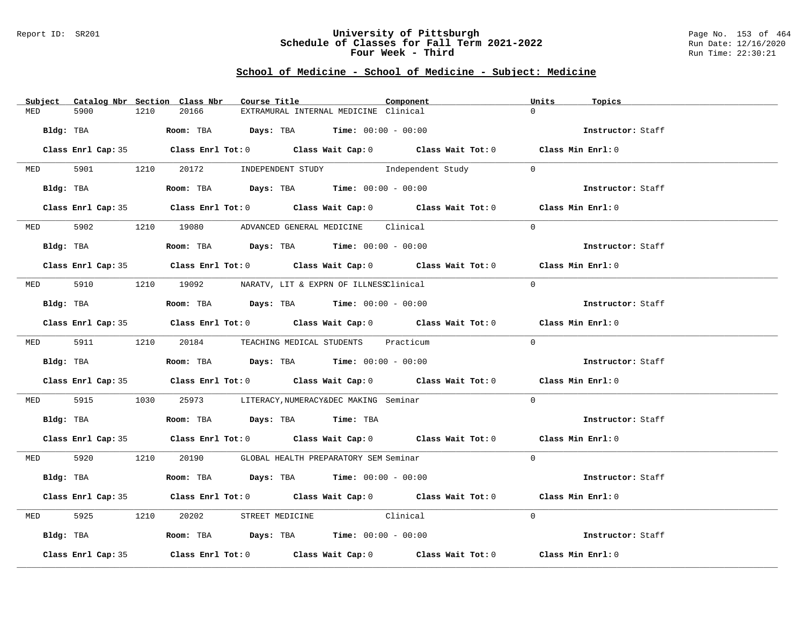### Report ID: SR201 **University of Pittsburgh** Page No. 153 of 464 **Schedule of Classes for Fall Term 2021-2022** Run Date: 12/16/2020 **Four Week - Third Run Time: 22:30:21**

|            |                    |      | Subject Catalog Nbr Section Class Nbr | Course Title                                                                               | Component | Units<br>Topics   |  |
|------------|--------------------|------|---------------------------------------|--------------------------------------------------------------------------------------------|-----------|-------------------|--|
| MED        | 5900               | 1210 | 20166                                 | EXTRAMURAL INTERNAL MEDICINE Clinical                                                      |           | $\Omega$          |  |
| Bldg: TBA  |                    |      |                                       | <b>Room:</b> TBA $Days: TBA$ <b>Time:</b> $00:00 - 00:00$                                  |           | Instructor: Staff |  |
|            |                    |      |                                       | Class Enrl Cap: 35 Class Enrl Tot: 0 Class Wait Cap: 0 Class Wait Tot: 0 Class Min Enrl: 0 |           |                   |  |
| <b>MED</b> |                    |      |                                       | 5901 1210 20172 INDEPENDENT STUDY Independent Study                                        |           | $\Omega$          |  |
|            | Bldg: TBA          |      |                                       | Room: TBA $Days:$ TBA $Time:$ 00:00 - 00:00                                                |           | Instructor: Staff |  |
|            |                    |      |                                       | Class Enrl Cap: 35 Class Enrl Tot: 0 Class Wait Cap: 0 Class Wait Tot: 0 Class Min Enrl: 0 |           |                   |  |
|            |                    |      |                                       | MED 5902 1210 19080 ADVANCED GENERAL MEDICINE Clinical                                     |           | $\Omega$          |  |
|            | Bldg: TBA          |      |                                       | Room: TBA $Days:$ TBA Time: $00:00 - 00:00$                                                |           | Instructor: Staff |  |
|            |                    |      |                                       | Class Enrl Cap: 35 Class Enrl Tot: 0 Class Wait Cap: 0 Class Wait Tot: 0 Class Min Enrl: 0 |           |                   |  |
|            |                    |      |                                       | MED 5910 1210 19092 NARATV, LIT & EXPRN OF ILLNESSClinical                                 |           | $\Omega$          |  |
|            | Bldg: TBA          |      |                                       | Room: TBA $\rule{1em}{0.15mm}$ Days: TBA Time: $00:00 - 00:00$                             |           | Instructor: Staff |  |
|            |                    |      |                                       | Class Enrl Cap: 35 Class Enrl Tot: 0 Class Wait Cap: 0 Class Wait Tot: 0 Class Min Enrl: 0 |           |                   |  |
|            |                    |      |                                       | MED 5911 1210 20184 TEACHING MEDICAL STUDENTS Practicum                                    |           | $\Omega$          |  |
|            | Bldg: TBA          |      |                                       | Room: TBA $\rule{1em}{0.15mm}$ Days: TBA Time: $00:00 - 00:00$                             |           | Instructor: Staff |  |
|            |                    |      |                                       | Class Enrl Cap: 35 Class Enrl Tot: 0 Class Wait Cap: 0 Class Wait Tot: 0 Class Min Enrl: 0 |           |                   |  |
|            |                    |      |                                       | MED 5915 1030 25973 LITERACY, NUMERACY&DEC MAKING Seminar                                  |           | $\overline{0}$    |  |
|            |                    |      |                                       | Bldg: TBA                     Room: TBA         Days: TBA         Time: TBA                |           | Instructor: Staff |  |
|            |                    |      |                                       | Class Enrl Cap: 35 Class Enrl Tot: 0 Class Wait Cap: 0 Class Wait Tot: 0 Class Min Enrl: 0 |           |                   |  |
|            |                    |      |                                       | MED 5920 1210 20190 GLOBAL HEALTH PREPARATORY SEM Seminar                                  |           | $\Omega$          |  |
|            | Bldg: TBA          |      |                                       | Room: TBA $Days: TBA$ Time: $00:00 - 00:00$                                                |           | Instructor: Staff |  |
|            |                    |      |                                       | Class Enrl Cap: 35 Class Enrl Tot: 0 Class Wait Cap: 0 Class Wait Tot: 0 Class Min Enrl: 0 |           |                   |  |
| MED        | 5925               |      | 1210 20202                            | STREET MEDICINE Clinical                                                                   |           | $\Omega$          |  |
|            |                    |      |                                       | Bldg: TBA                       Room: TBA          Days: TBA          Time: 00:00 - 00:00  |           | Instructor: Staff |  |
|            | Class Enrl Cap: 35 |      |                                       | Class Enrl Tot: $0$ Class Wait Cap: $0$ Class Wait Tot: $0$                                |           | Class Min Enrl: 0 |  |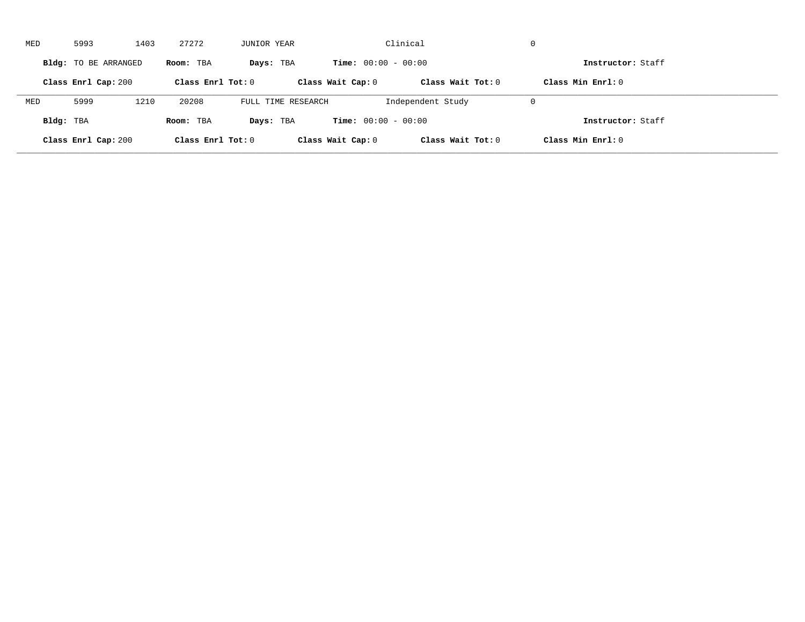| MED       | 5993                 | 1403 | 27272               | JUNIOR YEAR        |                              | Clinical            | $\mathbf 0$         |  |
|-----------|----------------------|------|---------------------|--------------------|------------------------------|---------------------|---------------------|--|
|           | Bldg: TO BE ARRANGED |      | Room: TBA           | Days: TBA          | <b>Time:</b> $00:00 - 00:00$ |                     | Instructor: Staff   |  |
|           | Class Enrl Cap: 200  |      | Class Enrl Tot: $0$ |                    | Class Wait Cap: 0            | Class Wait Tot: $0$ | Class Min $Enr1: 0$ |  |
| MED       | 5999                 | 1210 | 20208               | FULL TIME RESEARCH |                              | Independent Study   | $\mathbf 0$         |  |
| Bldg: TBA |                      |      | Room: TBA           | Days: TBA          | <b>Time:</b> $00:00 - 00:00$ |                     | Instructor: Staff   |  |
|           | Class Enrl Cap: 200  |      | Class Enrl Tot: 0   |                    | Class Wait Cap: 0            | Class Wait Tot: 0   | Class Min Enrl: 0   |  |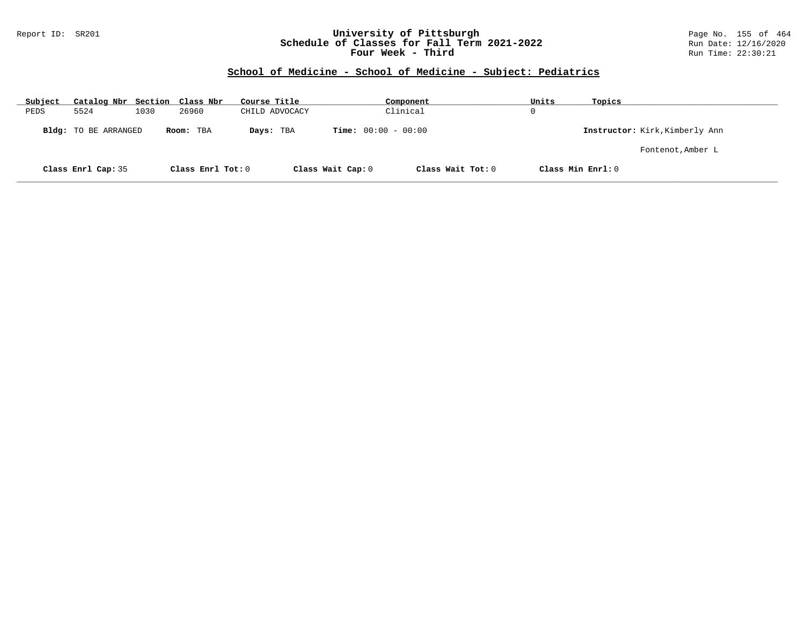## Report ID: SR201 **University of Pittsburgh** Page No. 155 of 464 **Schedule of Classes for Fall Term 2021-2022** Run Date: 12/16/2020 **Four Week - Third Run Time: 22:30:21**

| Subject | Catalog Nbr Section Class Nbr |      |                   | Course Title   | Component                    | Units             | Topics                         |
|---------|-------------------------------|------|-------------------|----------------|------------------------------|-------------------|--------------------------------|
| PEDS    | 5524                          | 1030 | 26960             | CHILD ADVOCACY | Clinical                     | 0                 |                                |
|         | Bldg: TO BE ARRANGED          |      | Room: TBA         | Days: TBA      | <b>Time:</b> $00:00 - 00:00$ |                   | Instructor: Kirk, Kimberly Ann |
|         |                               |      |                   |                |                              |                   | Fontenot, Amber L              |
|         | Class Enrl Cap: 35            |      | Class Enrl Tot: 0 |                | Class Wait Cap: 0            | Class Wait Tot: 0 | Class Min Enrl: 0              |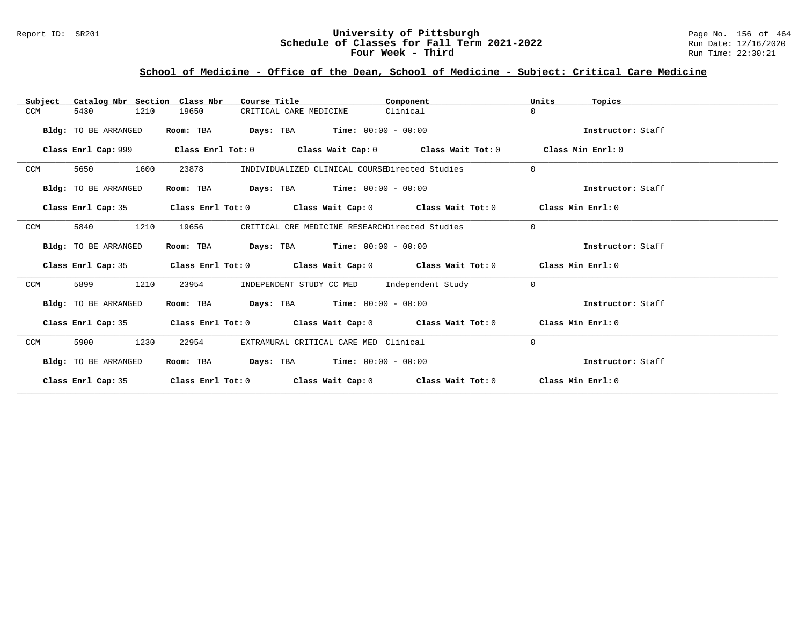## Report ID: SR201 **1988 Chedule of Classes for Fall Term 2021-2022** Page No. 156 of 464<br>**Schedule of Classes for Fall Term 2021-2022** Run Date: 12/16/2020 **Schedule of Classes for Fall Term 2021-2022** Run Date: 12/16/2020 **Four Week - Third Run Time: 22:30:21**

# **School of Medicine - Office of the Dean, School of Medicine - Subject: Critical Care Medicine**

| Catalog Nbr Section Class Nbr<br>Subject | Course Title                                                | Component                                      | Units<br>Topics   |
|------------------------------------------|-------------------------------------------------------------|------------------------------------------------|-------------------|
| 5430<br>1210<br>CCM                      | 19650<br>CRITICAL CARE MEDICINE                             | Clinical                                       | $\Omega$          |
| Bldg: TO BE ARRANGED                     | <b>Days:</b> TBA <b>Time:</b> $00:00 - 00:00$<br>Room: TBA  |                                                | Instructor: Staff |
| Class Enrl Cap: 999                      | Class Enrl Tot: $0$ Class Wait Cap: $0$ Class Wait Tot: $0$ |                                                | Class Min Enrl: 0 |
| CCM<br>5650<br>1600                      | 23878                                                       | INDIVIDUALIZED CLINICAL COURSEDirected Studies | $\Omega$          |
| Bldg: TO BE ARRANGED                     | <b>Days:</b> TBA <b>Time:</b> $00:00 - 00:00$<br>Room: TBA  |                                                | Instructor: Staff |
| Class Enrl Cap: 35                       | Class Enrl Tot: $0$ Class Wait Cap: $0$ Class Wait Tot: $0$ |                                                | Class Min Enrl: 0 |
| 1210<br>5840<br>CCM                      | 19656                                                       | CRITICAL CRE MEDICINE RESEARCHDirected Studies | $\mathbf 0$       |
| Bldg: TO BE ARRANGED                     | <b>Days:</b> TBA <b>Time:</b> $00:00 - 00:00$<br>Room: TBA  |                                                | Instructor: Staff |
| Class Enrl Cap: 35                       | Class Enrl Tot: $0$ Class Wait Cap: $0$ Class Wait Tot: $0$ |                                                | Class Min Enrl: 0 |
| 1210<br>CCM<br>5899                      | 23954                                                       | INDEPENDENT STUDY CC MED Independent Study     | $\Omega$          |
| Bldg: TO BE ARRANGED                     | $Days: TBA$ $Time: 00:00 - 00:00$<br>Room: TBA              |                                                | Instructor: Staff |
| Class Enrl Cap: 35                       | Class Enrl Tot: $0$ Class Wait Cap: $0$ Class Wait Tot: $0$ |                                                | Class Min Enrl: 0 |
| CCM<br>5900<br>1230                      | EXTRAMURAL CRITICAL CARE MED Clinical<br>22954              |                                                | 0                 |
| Bldg: TO BE ARRANGED                     | <b>Days:</b> TBA <b>Time:</b> $00:00 - 00:00$<br>Room: TBA  |                                                | Instructor: Staff |
| Class Enrl Cap: 35                       | Class Enrl Tot: 0                                           | Class Wait Cap: $0$ Class Wait Tot: $0$        | Class Min Enrl: 0 |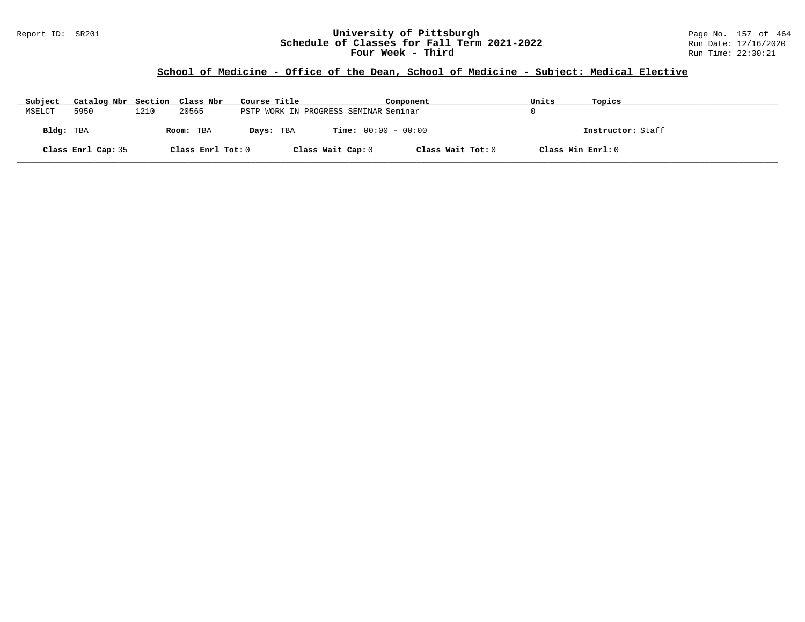## Report ID: SR201 **University of Pittsburgh** Page No. 157 of 464 **Schedule of Classes for Fall Term 2021-2022** Run Date: 12/16/2020 **Four Week - Third Run Time: 22:30:21**

## **School of Medicine - Office of the Dean, School of Medicine - Subject: Medical Elective**

| Subject   | Catalog Nbr Section Class Nbr |      |                   | Course Title |                                       | Component         | Units             | Topics            |
|-----------|-------------------------------|------|-------------------|--------------|---------------------------------------|-------------------|-------------------|-------------------|
| MSELCT    | 5950                          | 1210 | 20565             |              | PSTP WORK IN PROGRESS SEMINAR Seminar |                   |                   |                   |
| Bldg: TBA |                               |      | Room: TBA         | Days: TBA    | <b>Time:</b> $00:00 - 00:00$          |                   |                   | Instructor: Staff |
|           | Class Enrl Cap: 35            |      | Class Enrl Tot: 0 |              | Class Wait Cap: 0                     | Class Wait Tot: 0 | Class Min Enrl: 0 |                   |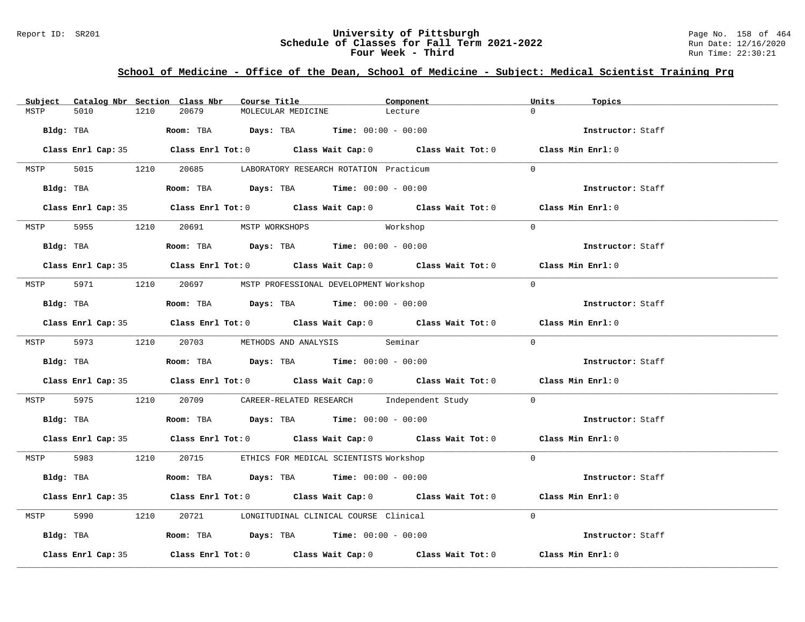## Report ID: SR201 **1988 Chedule of Classes for Fall Term 2021-2022** Page No. 158 of 464<br>**Schedule of Classes for Fall Term 2021-2022** Run Date: 12/16/2020 **Schedule of Classes for Fall Term 2021-2022** Run Date: 12/16/2020 **Four Week - Third Run Time: 22:30:21**

# **School of Medicine - Office of the Dean, School of Medicine - Subject: Medical Scientist Training Prg**

| Subject |                    |      | Catalog Nbr Section Class Nbr       | Course Title       |                                                                                         | Component                                                                                  | Units     | Topics            |
|---------|--------------------|------|-------------------------------------|--------------------|-----------------------------------------------------------------------------------------|--------------------------------------------------------------------------------------------|-----------|-------------------|
| MSTP    | 5010               | 1210 | 20679                               | MOLECULAR MEDICINE |                                                                                         | Lecture                                                                                    | $\Omega$  |                   |
|         |                    |      |                                     |                    | Bldg: TBA                     Room: TBA          Days: TBA         Time: 00:00 - 00:00  |                                                                                            |           | Instructor: Staff |
|         |                    |      |                                     |                    |                                                                                         | Class Enrl Cap: 35 Class Enrl Tot: 0 Class Wait Cap: 0 Class Wait Tot: 0 Class Min Enrl: 0 |           |                   |
| MSTP    |                    |      |                                     |                    | 5015 1210 20685 LABORATORY RESEARCH ROTATION Practicum                                  |                                                                                            | $\Omega$  |                   |
|         |                    |      |                                     |                    | Bldg: TBA                  Room: TBA         Days: TBA         Time: $00:00 - 00:00$    |                                                                                            |           | Instructor: Staff |
|         |                    |      |                                     |                    |                                                                                         | Class Enrl Cap: 35 Class Enrl Tot: 0 Class Wait Cap: 0 Class Wait Tot: 0 Class Min Enrl: 0 |           |                   |
|         |                    |      | MSTP 5955 1210 20691 MSTP WORKSHOPS |                    |                                                                                         | Workshop                                                                                   | $\Omega$  |                   |
|         |                    |      |                                     |                    |                                                                                         |                                                                                            |           | Instructor: Staff |
|         |                    |      |                                     |                    |                                                                                         | Class Enrl Cap: 35 Class Enrl Tot: 0 Class Wait Cap: 0 Class Wait Tot: 0 Class Min Enrl: 0 |           |                   |
|         |                    |      |                                     |                    | MSTP 5971 1210 20697 MSTP PROFESSIONAL DEVELOPMENT Workshop                             |                                                                                            | $\Omega$  |                   |
|         |                    |      |                                     |                    | Bldg: TBA                    Room: TBA         Days: TBA         Time: $00:00 - 00:00$  |                                                                                            |           | Instructor: Staff |
|         |                    |      |                                     |                    |                                                                                         | Class Enrl Cap: 35 Class Enrl Tot: 0 Class Wait Cap: 0 Class Wait Tot: 0 Class Min Enrl: 0 |           |                   |
|         |                    |      |                                     |                    | MSTP 5973 1210 20703 METHODS AND ANALYSIS Seminar                                       |                                                                                            | $\Omega$  |                   |
|         |                    |      |                                     |                    | Bldg: TBA                    Room: TBA         Days: TBA         Time: $00:00 - 00:00$  |                                                                                            |           | Instructor: Staff |
|         |                    |      |                                     |                    |                                                                                         | Class Enrl Cap: 35 Class Enrl Tot: 0 Class Wait Cap: 0 Class Wait Tot: 0 Class Min Enrl: 0 |           |                   |
|         |                    |      |                                     |                    |                                                                                         | MSTP 5975 1210 20709 CAREER-RELATED RESEARCH Independent Study 0                           |           |                   |
|         |                    |      |                                     |                    | Bldg: TBA                    Room: TBA          Days: TBA         Time: $00:00 - 00:00$ |                                                                                            |           | Instructor: Staff |
|         |                    |      |                                     |                    |                                                                                         | Class Enrl Cap: 35 Class Enrl Tot: 0 Class Wait Cap: 0 Class Wait Tot: 0 Class Min Enrl: 0 |           |                   |
|         |                    |      |                                     |                    | MSTP 5983 1210 20715 ETHICS FOR MEDICAL SCIENTISTS Workshop                             |                                                                                            | $\Omega$  |                   |
|         |                    |      |                                     |                    | Bldg: TBA                   Room: TBA         Days: TBA        Time: 00:00 - 00:00      |                                                                                            |           | Instructor: Staff |
|         |                    |      |                                     |                    |                                                                                         | Class Enrl Cap: 35 Class Enrl Tot: 0 Class Wait Cap: 0 Class Wait Tot: 0 Class Min Enrl: 0 |           |                   |
| MSTP    |                    |      |                                     |                    | 5990 1210 20721 LONGITUDINAL CLINICAL COURSE Clinical                                   |                                                                                            | $\bigcap$ |                   |
|         |                    |      |                                     |                    | Bldg: TBA                   Room: TBA         Days: TBA         Time: $00:00 - 00:00$   |                                                                                            |           | Instructor: Staff |
|         | Class Enrl Cap: 35 |      |                                     |                    |                                                                                         | Class Enrl Tot: $0$ Class Wait Cap: $0$ Class Wait Tot: $0$ Class Min Enrl: $0$            |           |                   |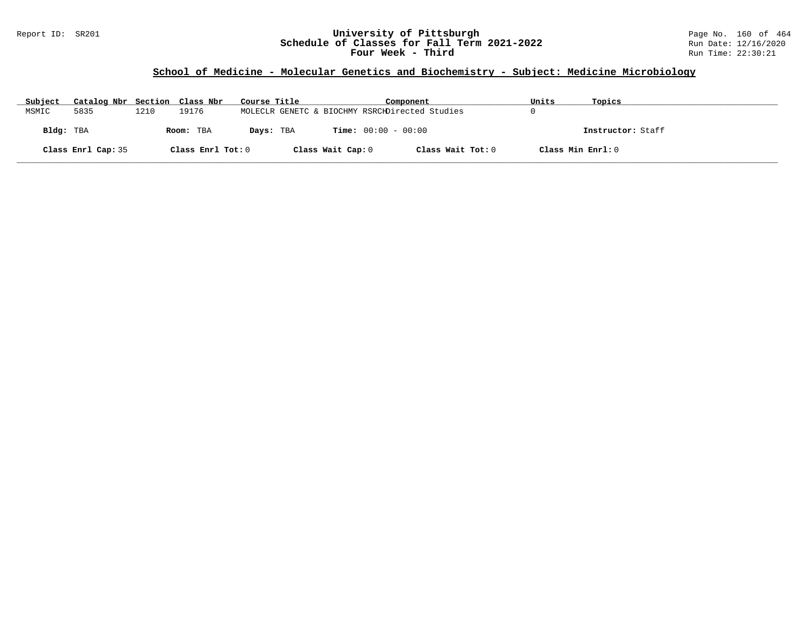## Report ID: SR201 **University of Pittsburgh** Page No. 160 of 464 **Schedule of Classes for Fall Term 2021-2022** Run Date: 12/16/2020 **Four Week - Third Run Time: 22:30:21**

# **School of Medicine - Molecular Genetics and Biochemistry - Subject: Medicine Microbiology**

| Subject   | Catalog Nbr Section Class Nbr |      |                   | Course Title |                   | Component                                      | Units             | Topics            |
|-----------|-------------------------------|------|-------------------|--------------|-------------------|------------------------------------------------|-------------------|-------------------|
| MSMIC     | 5835                          | 1210 | 19176             |              |                   | MOLECLR GENETC & BIOCHMY RSRCHDirected Studies |                   |                   |
| Bldg: TBA |                               |      | Room: TBA         | Days: TBA    |                   | <b>Time:</b> $00:00 - 00:00$                   |                   | Instructor: Staff |
|           | Class Enrl Cap: 35            |      | Class Enrl Tot: 0 |              | Class Wait Cap: 0 | Class Wait Tot: 0                              | Class Min Enrl: 0 |                   |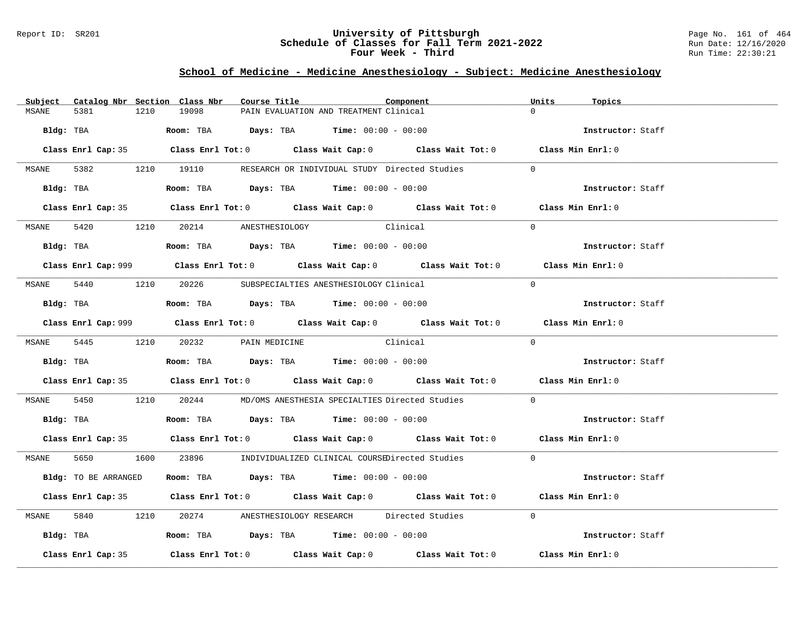### Report ID: SR201 **University of Pittsburgh** Page No. 161 of 464 **Schedule of Classes for Fall Term 2021-2022** Run Date: 12/16/2020 **Four Week - Third Run Time: 22:30:21**

# **School of Medicine - Medicine Anesthesiology - Subject: Medicine Anesthesiology**

| Subject      |                      |      | Catalog Nbr Section Class Nbr        | Course Title |                                                                                        | Component                                                                                   | Units    | Topics            |  |
|--------------|----------------------|------|--------------------------------------|--------------|----------------------------------------------------------------------------------------|---------------------------------------------------------------------------------------------|----------|-------------------|--|
| MSANE        | 5381                 | 1210 | 19098                                |              | PAIN EVALUATION AND TREATMENT Clinical                                                 |                                                                                             |          |                   |  |
|              | Bldg: TBA            |      |                                      |              | <b>Room:</b> TBA $Days: TBA$ <b>Time:</b> $00:00 - 00:00$                              |                                                                                             |          | Instructor: Staff |  |
|              |                      |      |                                      |              |                                                                                        | Class Enrl Cap: 35 Class Enrl Tot: 0 Class Wait Cap: 0 Class Wait Tot: 0 Class Min Enrl: 0  |          |                   |  |
|              |                      |      |                                      |              |                                                                                        | MSANE 5382 1210 19110 RESEARCH OR INDIVIDUAL STUDY Directed Studies                         | $\Omega$ |                   |  |
|              | Bldg: TBA            |      |                                      |              | Room: TBA $Days:$ TBA Time: $00:00 - 00:00$                                            |                                                                                             |          | Instructor: Staff |  |
|              |                      |      |                                      |              |                                                                                        | Class Enrl Cap: 35 Class Enrl Tot: 0 Class Wait Cap: 0 Class Wait Tot: 0 Class Min Enrl: 0  |          |                   |  |
|              |                      |      | MSANE 5420 1210 20214 ANESTHESIOLOGY |              | Clinical                                                                               |                                                                                             | $\Omega$ |                   |  |
|              |                      |      |                                      |              | Bldg: TBA                   Room: TBA         Days: TBA         Time: 00:00 - 00:00    |                                                                                             |          | Instructor: Staff |  |
|              |                      |      |                                      |              |                                                                                        | Class Enrl Cap: 999 Class Enrl Tot: 0 Class Wait Cap: 0 Class Wait Tot: 0 Class Min Enrl: 0 |          |                   |  |
| MSANE 5440   |                      |      |                                      |              | 1210 20226 SUBSPECIALTIES ANESTHESIOLOGY Clinical                                      |                                                                                             | $\Omega$ |                   |  |
|              |                      |      |                                      |              | Bldg: TBA                    Room: TBA         Days: TBA         Time: $00:00 - 00:00$ |                                                                                             |          | Instructor: Staff |  |
|              |                      |      |                                      |              |                                                                                        | Class Enrl Cap: 999 Class Enrl Tot: 0 Class Wait Cap: 0 Class Wait Tot: 0 Class Min Enrl: 0 |          |                   |  |
|              |                      |      | MSANE 5445 1210 20232 PAIN MEDICINE  |              | Clinical                                                                               |                                                                                             | $\Omega$ |                   |  |
|              |                      |      |                                      |              |                                                                                        |                                                                                             |          | Instructor: Staff |  |
|              |                      |      |                                      |              |                                                                                        | Class Enrl Cap: 35 Class Enrl Tot: 0 Class Wait Cap: 0 Class Wait Tot: 0 Class Min Enrl: 0  |          |                   |  |
| MSANE        |                      |      |                                      |              |                                                                                        | 5450 1210 20244 MD/OMS ANESTHESIA SPECIALTIES Directed Studies                              | $\Omega$ |                   |  |
|              |                      |      |                                      |              | Bldg: TBA                    Room: TBA         Days: TBA        Time: 00:00 - 00:00    |                                                                                             |          | Instructor: Staff |  |
|              |                      |      |                                      |              |                                                                                        | Class Enrl Cap: 35 Class Enrl Tot: 0 Class Wait Cap: 0 Class Wait Tot: 0 Class Min Enrl: 0  |          |                   |  |
|              |                      |      |                                      |              |                                                                                        | MSANE 5650 1600 23896 INDIVIDUALIZED CLINICAL COURSEDirected Studies 0                      |          |                   |  |
|              | Bldg: TO BE ARRANGED |      |                                      |              | Room: TBA $Days:$ TBA $Time:$ $00:00 - 00:00$                                          |                                                                                             |          | Instructor: Staff |  |
|              |                      |      |                                      |              |                                                                                        | Class Enrl Cap: 35 Class Enrl Tot: 0 Class Wait Cap: 0 Class Wait Tot: 0 Class Min Enrl: 0  |          |                   |  |
| <b>MSANE</b> |                      |      |                                      |              |                                                                                        | 5840 1210 20274 ANESTHESIOLOGY RESEARCH Directed Studies                                    | $\Omega$ |                   |  |
|              |                      |      |                                      |              | Bldg: TBA                  Room: TBA        Days: TBA        Time: 00:00 - 00:00       |                                                                                             |          | Instructor: Staff |  |
|              | Class Enrl Cap: 35   |      |                                      |              |                                                                                        | Class Enrl Tot: $0$ Class Wait Cap: $0$ Class Wait Tot: $0$ Class Min Enrl: $0$             |          |                   |  |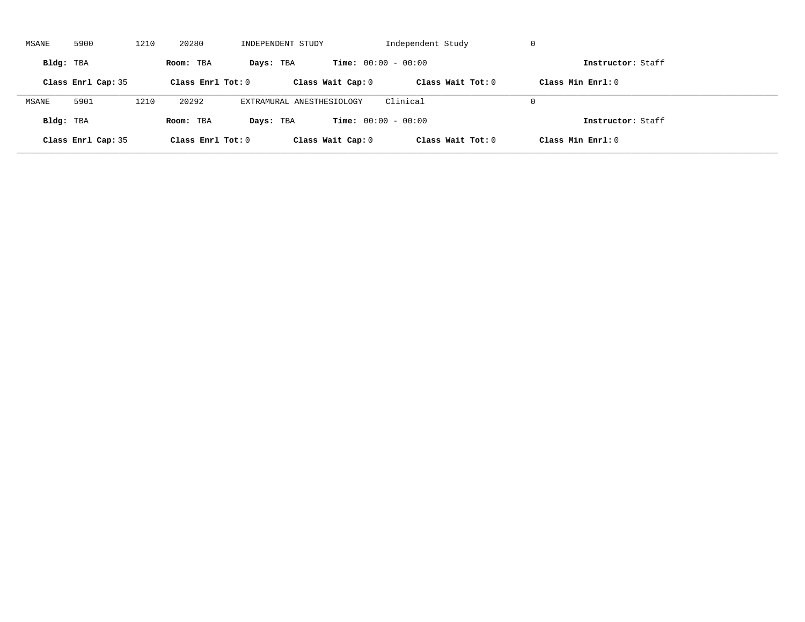| MSANE     | 5900               | 1210 | 20280             | INDEPENDENT STUDY         |                              | Independent Study | -U                |  |
|-----------|--------------------|------|-------------------|---------------------------|------------------------------|-------------------|-------------------|--|
| Bldg: TBA |                    |      | Room: TBA         | Days: TBA                 | <b>Time:</b> $00:00 - 00:00$ |                   | Instructor: Staff |  |
|           | Class Enrl Cap: 35 |      | Class Enrl Tot: 0 |                           | Class Wait Cap: 0            | Class Wait Tot: 0 | Class Min Enrl: 0 |  |
| MSANE     | 5901               | 1210 | 20292             | EXTRAMURAL ANESTHESIOLOGY |                              | Clinical          | $\Omega$          |  |
| Bldg: TBA |                    |      | Room: TBA         | Days: TBA                 | <b>Time:</b> $00:00 - 00:00$ |                   | Instructor: Staff |  |
|           | Class Enrl Cap: 35 |      | Class Enrl Tot: 0 |                           | Class Wait Cap: 0            | Class Wait Tot: 0 | Class Min Enrl: 0 |  |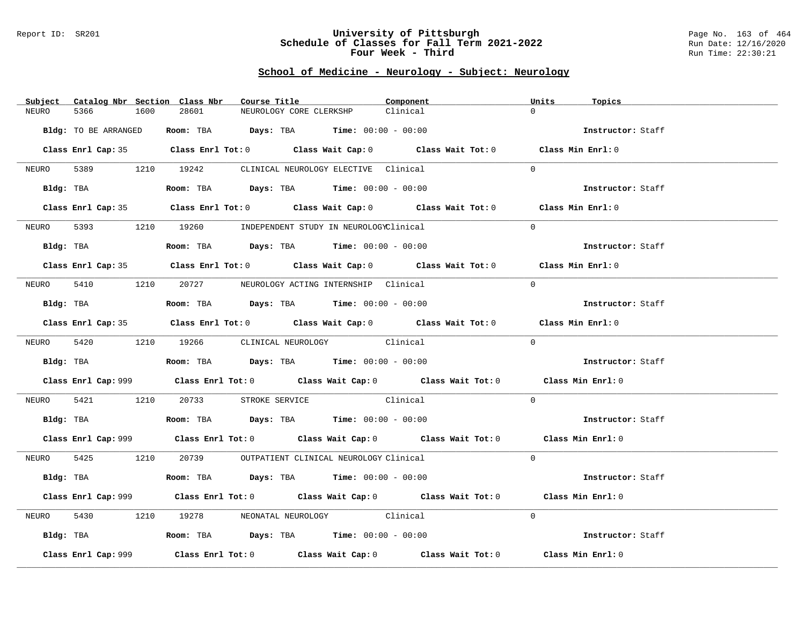#### Report ID: SR201 **University of Pittsburgh** Page No. 163 of 464 **Schedule of Classes for Fall Term 2021-2022** Run Date: 12/16/2020 **Four Week - Third Run Time: 22:30:21**

# **School of Medicine - Neurology - Subject: Neurology**

| Catalog Nbr Section Class Nbr<br>Subject | Course Title                                                                                | Component | Units<br>Topics   |
|------------------------------------------|---------------------------------------------------------------------------------------------|-----------|-------------------|
| NEURO<br>5366<br>1600                    | 28601<br>NEUROLOGY CORE CLERKSHP                                                            | Clinical  | $\Omega$          |
| Bldg: TO BE ARRANGED                     | Room: TBA $Days:$ TBA $Time: 00:00 - 00:00$                                                 |           | Instructor: Staff |
|                                          |                                                                                             |           |                   |
|                                          | Class Enrl Cap: 35 Class Enrl Tot: 0 Class Wait Cap: 0 Class Wait Tot: 0 Class Min Enrl: 0  |           |                   |
|                                          | NEURO 5389 1210 19242 CLINICAL NEUROLOGY ELECTIVE Clinical                                  |           | $\Omega$          |
|                                          | Bldg: TBA                  Room: TBA        Days: TBA        Time: 00:00 - 00:00            |           | Instructor: Staff |
|                                          | Class Enrl Cap: 35 Class Enrl Tot: 0 Class Wait Cap: 0 Class Wait Tot: 0 Class Min Enrl: 0  |           |                   |
| NEURO                                    | 5393 1210 19260 INDEPENDENT STUDY IN NEUROLOGYClinical                                      |           | $\Omega$          |
| Bldg: TBA                                | Room: TBA $Days:$ TBA $Time: 00:00 - 00:00$                                                 |           | Instructor: Staff |
|                                          | Class Enrl Cap: 35 Class Enrl Tot: 0 Class Wait Cap: 0 Class Wait Tot: 0 Class Min Enrl: 0  |           |                   |
|                                          | NEURO 5410 1210 20727 NEUROLOGY ACTING INTERNSHIP Clinical                                  |           | $\Omega$          |
| Bldg: TBA                                | Room: TBA $Days:$ TBA Time: $00:00 - 00:00$                                                 |           | Instructor: Staff |
|                                          | Class Enrl Cap: 35 Class Enrl Tot: 0 Class Wait Cap: 0 Class Wait Tot: 0 Class Min Enrl: 0  |           |                   |
|                                          |                                                                                             |           | $\Omega$          |
|                                          | NEURO 5420 1210 19266 CLINICAL NEUROLOGY Clinical                                           |           |                   |
|                                          | <b>Bldg:</b> TBA <b>ROOM:</b> TBA <b>Days:</b> TBA <b>Time:</b> $00:00 - 00:00$             |           | Instructor: Staff |
|                                          | Class Enrl Cap: 999 Class Enrl Tot: 0 Class Wait Cap: 0 Class Wait Tot: 0 Class Min Enrl: 0 |           |                   |
|                                          | NEURO 5421 1210 20733 STROKE SERVICE Clinical                                               |           | $\overline{0}$    |
|                                          | Bldg: TBA                   Room: TBA         Days: TBA         Time: $00:00 - 00:00$       |           | Instructor: Staff |
|                                          | Class Enrl Cap: 999 Class Enrl Tot: 0 Class Wait Cap: 0 Class Wait Tot: 0 Class Min Enrl: 0 |           |                   |
|                                          | NEURO 5425 1210 20739 OUTPATIENT CLINICAL NEUROLOGY Clinical                                |           | $\Omega$          |
|                                          | Bldg: TBA                   Room: TBA         Days: TBA        Time: $00:00 - 00:00$        |           | Instructor: Staff |
|                                          | Class Enrl Cap: 999 Class Enrl Tot: 0 Class Wait Cap: 0 Class Wait Tot: 0 Class Min Enrl: 0 |           |                   |
| 5430<br>NEURO                            | 1210 19278 NEONATAL NEUROLOGY Clinical                                                      |           | $\Omega$          |
|                                          | Bldg: TBA                   Room: TBA         Days: TBA        Time: 00:00 - 00:00          |           | Instructor: Staff |
| Class Enrl Cap: 999                      | Class Enrl Tot: $0$ Class Wait Cap: $0$ Class Wait Tot: $0$ Class Min Enrl: $0$             |           |                   |
|                                          |                                                                                             |           |                   |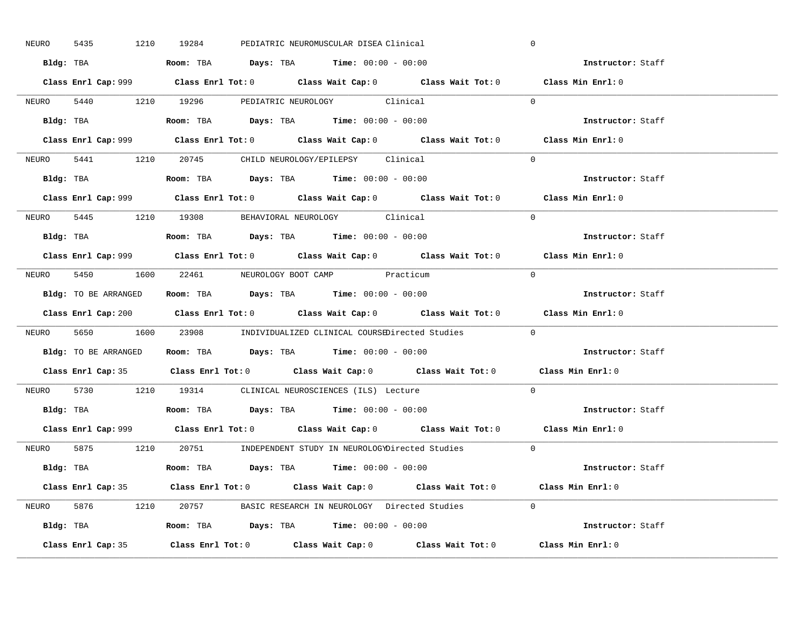| 5435<br>NEURO | 1210 19284                                                                             | PEDIATRIC NEUROMUSCULAR DISEA Clinical                                                      | $\mathbf 0$       |
|---------------|----------------------------------------------------------------------------------------|---------------------------------------------------------------------------------------------|-------------------|
|               | Bldg: TBA                      Room: TBA         Days: TBA         Time: 00:00 - 00:00 |                                                                                             | Instructor: Staff |
|               |                                                                                        | Class Enrl Cap: 999 Class Enrl Tot: 0 Class Wait Cap: 0 Class Wait Tot: 0 Class Min Enrl: 0 |                   |
|               | NEURO 5440 1210 19296 PEDIATRIC NEUROLOGY Clinical                                     |                                                                                             | $\Omega$          |
|               |                                                                                        |                                                                                             | Instructor: Staff |
|               |                                                                                        |                                                                                             | Class Min Enrl: 0 |
|               | NEURO 5441 1210 20745 CHILD NEUROLOGY/EPILEPSY Clinical                                |                                                                                             | $\Omega$          |
|               | Bldg: TBA                   Room: TBA         Days: TBA         Time: 00:00 - 00:00    |                                                                                             | Instructor: Staff |
|               |                                                                                        | Class Enrl Cap: 999 Class Enrl Tot: 0 Class Wait Cap: 0 Class Wait Tot: 0 Class Min Enrl: 0 |                   |
|               | NEURO 5445 1210 19308 BEHAVIORAL NEUROLOGY Clinical                                    |                                                                                             | $\Omega$          |
|               | Bldg: TBA                   Room: TBA         Days: TBA         Time: 00:00 - 00:00    |                                                                                             | Instructor: Staff |
|               |                                                                                        | Class Enrl Cap: 999 Class Enrl Tot: 0 Class Wait Cap: 0 Class Wait Tot: 0 Class Min Enrl: 0 |                   |
|               | NEURO 5450 1600 22461 NEUROLOGY BOOT CAMP Practicum                                    |                                                                                             | $\bigcap$         |
|               | Bldg: TO BE ARRANGED ROOM: TBA Days: TBA Time: 00:00 - 00:00                           |                                                                                             | Instructor: Staff |
|               |                                                                                        | Class Enrl Cap: 200 Class Enrl Tot: 0 Class Wait Cap: 0 Class Wait Tot: 0 Class Min Enrl: 0 |                   |
|               |                                                                                        | NEURO 5650 1600 23908 INDIVIDUALIZED CLINICAL COURSEDirected Studies 0                      |                   |
|               | Bldg: TO BE ARRANGED Room: TBA Days: TBA Time: 00:00 - 00:00                           |                                                                                             | Instructor: Staff |
|               |                                                                                        |                                                                                             |                   |
|               |                                                                                        | Class Enrl Cap: 35 Class Enrl Tot: 0 Class Wait Cap: 0 Class Wait Tot: 0 Class Min Enrl: 0  |                   |
| NEURO         | 5730 1210 19314 CLINICAL NEUROSCIENCES (ILS) Lecture                                   |                                                                                             | $\Omega$          |
|               | Bldg: TBA                   Room: TBA         Days: TBA         Time: $00:00 - 00:00$  |                                                                                             | Instructor: Staff |
|               |                                                                                        | Class Enrl Cap: 999 Class Enrl Tot: 0 Class Wait Cap: 0 Class Wait Tot: 0 Class Min Enrl: 0 |                   |
|               |                                                                                        | NEURO 5875 1210 20751 INDEPENDENT STUDY IN NEUROLOGYDirected Studies 0                      |                   |
|               | Bldg: TBA                     Room: TBA         Days: TBA         Time: 00:00 - 00:00  |                                                                                             | Instructor: Staff |
|               |                                                                                        | Class Enrl Cap: 35 Class Enrl Tot: 0 Class Wait Cap: 0 Class Wait Tot: 0 Class Min Enrl: 0  |                   |
|               |                                                                                        | NEURO 5876 1210 20757 BASIC RESEARCH IN NEUROLOGY Directed Studies 0                        |                   |
|               |                                                                                        |                                                                                             | Instructor: Staff |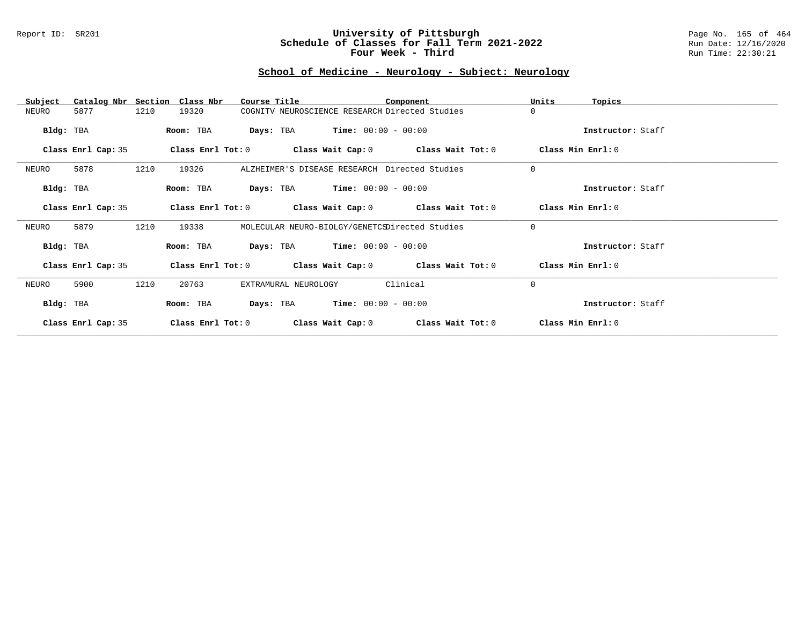### Report ID: SR201 **University of Pittsburgh** Page No. 165 of 464 **Schedule of Classes for Fall Term 2021-2022** Run Date: 12/16/2020 **Four Week - Third Run Time: 22:30:21**

## **School of Medicine - Neurology - Subject: Neurology**

| Subject            | Catalog Nbr Section Class Nbr | Course Title                                   |                                               | Component                                                   | Units             | Topics            |
|--------------------|-------------------------------|------------------------------------------------|-----------------------------------------------|-------------------------------------------------------------|-------------------|-------------------|
| NEURO<br>5877      | 1210<br>19320                 | COGNITV NEUROSCIENCE RESEARCH Directed Studies |                                               |                                                             | 0                 |                   |
| Bldg: TBA          | Room: TBA                     | <b>Days:</b> TBA <b>Time:</b> $00:00 - 00:00$  |                                               |                                                             |                   | Instructor: Staff |
| Class Enrl Cap: 35 | Class Enrl Tot: 0             |                                                |                                               | Class Wait Cap: 0 Class Wait Tot: 0                         |                   | Class Min Enrl: 0 |
| 5878<br>NEURO      | 1210<br>19326                 | ALZHEIMER'S DISEASE RESEARCH Directed Studies  |                                               |                                                             | 0                 |                   |
| Bldg: TBA          | Room: TBA                     | <b>Days:</b> TBA <b>Time:</b> $00:00 - 00:00$  |                                               |                                                             |                   | Instructor: Staff |
| Class Enrl Cap: 35 | Class Enrl Tot: 0             |                                                |                                               | Class Wait Cap: 0 Class Wait Tot: 0                         | Class Min Enrl: 0 |                   |
| 5879<br>NEURO      | 1210<br>19338                 | MOLECULAR NEURO-BIOLGY/GENETCSDirected Studies |                                               |                                                             | $\mathbf 0$       |                   |
| Bldg: TBA          | Room: TBA                     | <b>Days:</b> TBA <b>Time:</b> $00:00 - 00:00$  |                                               |                                                             |                   | Instructor: Staff |
| Class Enrl Cap: 35 |                               |                                                |                                               | Class Enrl Tot: $0$ Class Wait Cap: $0$ Class Wait Tot: $0$ | Class Min Enrl: 0 |                   |
| 5900<br>NEURO      | 1210<br>20763                 | EXTRAMURAL NEUROLOGY                           |                                               | Clinical                                                    | $\mathbf 0$       |                   |
| Bldg: TBA          | Room: TBA                     |                                                | <b>Days:</b> TBA <b>Time:</b> $00:00 - 00:00$ |                                                             |                   | Instructor: Staff |
| Class Enrl Cap: 35 | Class Enrl Tot: 0             | Class Wait Cap: 0                              |                                               | Class Wait Tot: 0                                           |                   | Class Min Enrl: 0 |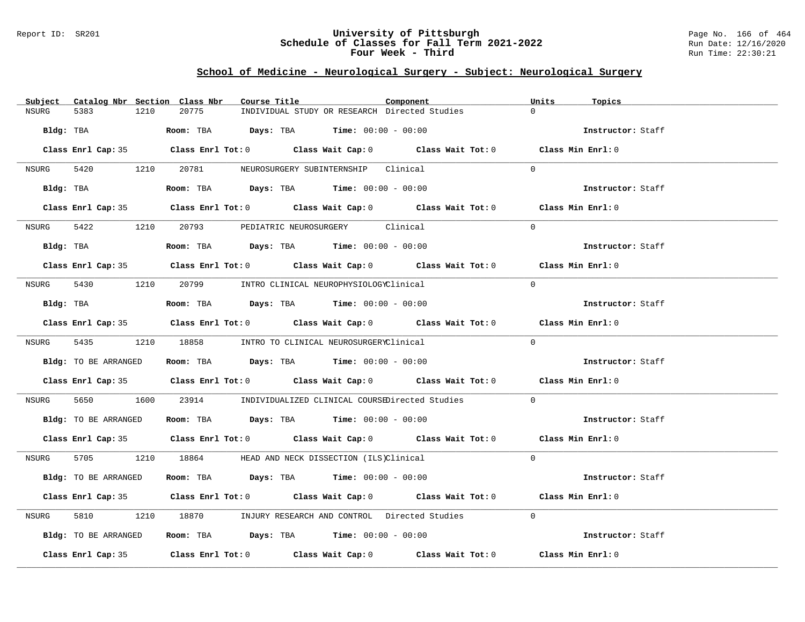### Report ID: SR201 **University of Pittsburgh** Page No. 166 of 464 **Schedule of Classes for Fall Term 2021-2022** Run Date: 12/16/2020 **Four Week - Third Run Time: 22:30:21**

## **School of Medicine - Neurological Surgery - Subject: Neurological Surgery**

| Subject Catalog Nbr Section Class Nbr | Course Title                                                                               | Units<br>Component<br>Topics |  |
|---------------------------------------|--------------------------------------------------------------------------------------------|------------------------------|--|
| <b>NSURG</b><br>5383<br>1210          | 20775<br>INDIVIDUAL STUDY OR RESEARCH Directed Studies                                     | $\cap$                       |  |
| Bldg: TBA                             | <b>Room:</b> TBA $Days: TBA$ <b>Time:</b> $00:00 - 00:00$                                  | Instructor: Staff            |  |
|                                       | Class Enrl Cap: 35 Class Enrl Tot: 0 Class Wait Cap: 0 Class Wait Tot: 0 Class Min Enrl: 0 |                              |  |
|                                       | NSURG 5420 1210 20781 NEUROSURGERY SUBINTERNSHIP Clinical                                  | $\cap$                       |  |
| Bldg: TBA                             | Room: TBA $Days:$ TBA $Time: 00:00 - 00:00$                                                | Instructor: Staff            |  |
|                                       | Class Enrl Cap: 35 Class Enrl Tot: 0 Class Wait Cap: 0 Class Wait Tot: 0 Class Min Enrl: 0 |                              |  |
| NSURG 5422                            | 1210 20793 PEDIATRIC NEUROSURGERY Clinical                                                 | $\Omega$                     |  |
| Bldg: TBA                             | Room: TBA $Days:$ TBA $Time: 00:00 - 00:00$                                                | Instructor: Staff            |  |
|                                       | Class Enrl Cap: 35 Class Enrl Tot: 0 Class Wait Cap: 0 Class Wait Tot: 0 Class Min Enrl: 0 |                              |  |
|                                       | NSURG 5430 1210 20799 INTRO CLINICAL NEUROPHYSIOLOGYClinical                               | $\Omega$                     |  |
| Bldg: TBA                             | <b>Room:</b> TBA $Days: TBA$ <b>Time:</b> $00:00 - 00:00$                                  | Instructor: Staff            |  |
|                                       | Class Enrl Cap: 35 Class Enrl Tot: 0 Class Wait Cap: 0 Class Wait Tot: 0 Class Min Enrl: 0 |                              |  |
|                                       | NSURG 5435 1210 18858 INTRO TO CLINICAL NEUROSURGERYClinical                               | $\Omega$                     |  |
| Bldg: TO BE ARRANGED                  | Room: TBA $\rule{1em}{0.15mm}$ Days: TBA Time: $00:00 - 00:00$                             | Instructor: Staff            |  |
|                                       | Class Enrl Cap: 35 Class Enrl Tot: 0 Class Wait Cap: 0 Class Wait Tot: 0 Class Min Enrl: 0 |                              |  |
| NSURG                                 | 5650 1600 23914 INDIVIDUALIZED CLINICAL COURSEDirected Studies                             | $\Omega$                     |  |
|                                       | Bldg: TO BE ARRANGED Room: TBA Days: TBA Time: 00:00 - 00:00                               | Instructor: Staff            |  |
|                                       | Class Enrl Cap: 35 Class Enrl Tot: 0 Class Wait Cap: 0 Class Wait Tot: 0 Class Min Enrl: 0 |                              |  |
|                                       | NSURG 5705 1210 18864 HEAD AND NECK DISSECTION (ILS)Clinical                               | $\Omega$                     |  |
| Bldg: TO BE ARRANGED                  | Room: TBA $Days:$ TBA $Time: 00:00 - 00:00$                                                | Instructor: Staff            |  |
|                                       | Class Enrl Cap: 35 Class Enrl Tot: 0 Class Wait Cap: 0 Class Wait Tot: 0 Class Min Enrl: 0 |                              |  |
| 5810<br>NSURG                         | 1210 18870 INJURY RESEARCH AND CONTROL Directed Studies 0                                  |                              |  |
| Bldg: TO BE ARRANGED                  | Room: TBA $\rule{1em}{0.15mm}$ Days: TBA Time: $00:00 - 00:00$                             | Instructor: Staff            |  |
|                                       |                                                                                            |                              |  |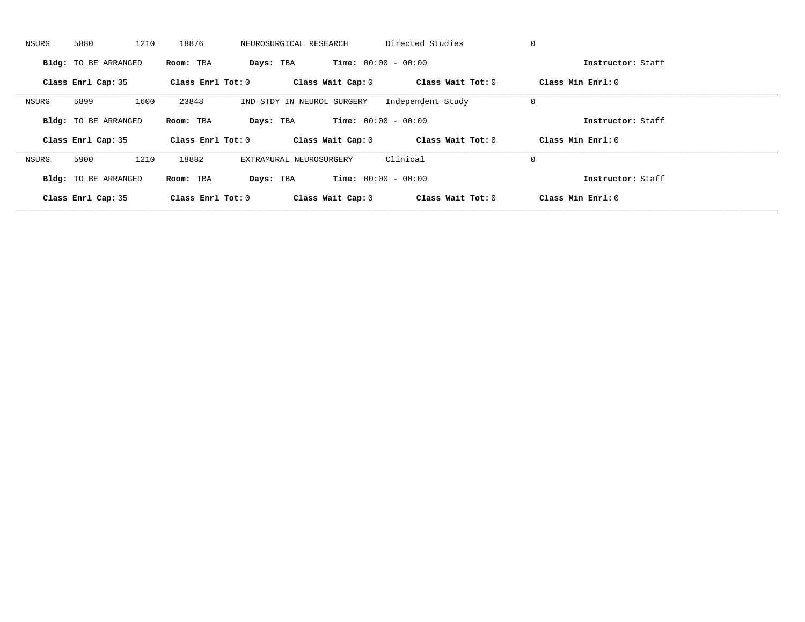| NSURG | 5880                        | 1210      | 18876               | NEUROSURGICAL RESEARCH       | Directed Studies  | 0                   |  |
|-------|-----------------------------|-----------|---------------------|------------------------------|-------------------|---------------------|--|
|       | <b>Bldg:</b> TO BE ARRANGED | Room: TBA | Days: TBA           | <b>Time:</b> $00:00 - 00:00$ |                   | Instructor: Staff   |  |
|       | Class Enrl Cap: 35          |           | Class Enrl Tot: $0$ | Class Wait Cap: 0            | Class Wait Tot: 0 | Class Min Enrl: 0   |  |
| NSURG | 5899                        | 1600      | 23848               | IND STDY IN NEUROL SURGERY   | Independent Study | 0                   |  |
|       | <b>Bldg:</b> TO BE ARRANGED | Room: TBA | Days: TBA           | <b>Time:</b> $00:00 - 00:00$ |                   | Instructor: Staff   |  |
|       | Class Enrl Cap: 35          |           | Class Enrl Tot: 0   | Class Wait Cap: 0            | Class Wait Tot: 0 | Class Min $Enrl: 0$ |  |
| NSURG | 5900                        | 1210      | 18882               | EXTRAMURAL NEUROSURGERY      | Clinical          | 0                   |  |
|       | <b>Bldg:</b> TO BE ARRANGED | Room: TBA | Days: TBA           | <b>Time:</b> $00:00 - 00:00$ |                   | Instructor: Staff   |  |
|       | Class Enrl Cap: 35          |           | Class Enrl Tot: $0$ | Class Wait Cap: 0            | Class Wait Tot: 0 | Class Min Enrl: 0   |  |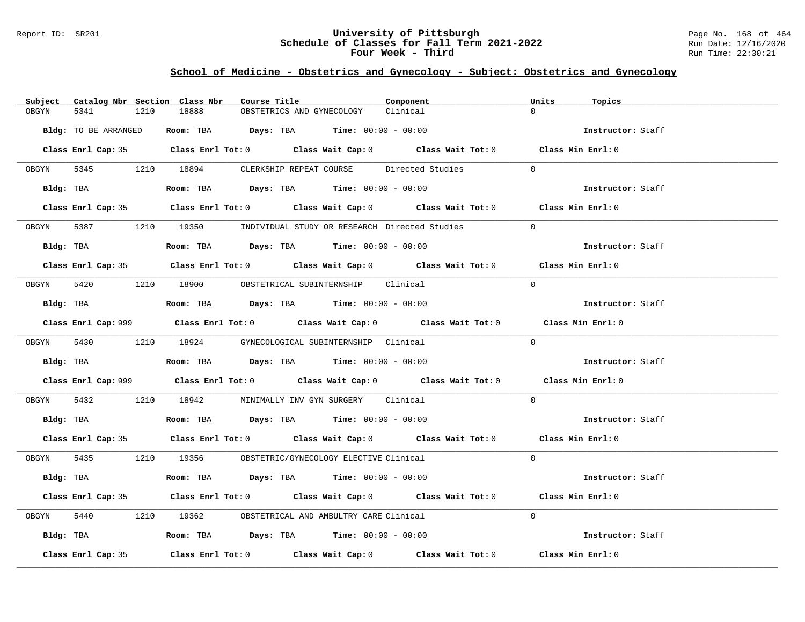### Report ID: SR201 **University of Pittsburgh** Page No. 168 of 464 **Schedule of Classes for Fall Term 2021-2022** Run Date: 12/16/2020 **Four Week - Third Run Time: 22:30:21**

# **School of Medicine - Obstetrics and Gynecology - Subject: Obstetrics and Gynecology**

| Subject    |                      |      | Catalog Nbr Section Class Nbr | Course Title |                                                                                             | Component | Units    | Topics            |  |
|------------|----------------------|------|-------------------------------|--------------|---------------------------------------------------------------------------------------------|-----------|----------|-------------------|--|
| OBGYN      | 5341                 | 1210 | 18888                         |              | OBSTETRICS AND GYNECOLOGY                                                                   | Clinical  | $\Omega$ |                   |  |
|            | Bldg: TO BE ARRANGED |      |                               |              | Room: TBA $Days:$ TBA $Time: 00:00 - 00:00$                                                 |           |          | Instructor: Staff |  |
|            |                      |      |                               |              | Class Enrl Cap: 35 Class Enrl Tot: 0 Class Wait Cap: 0 Class Wait Tot: 0 Class Min Enrl: 0  |           |          |                   |  |
|            |                      |      |                               |              | OBGYN 5345 1210 18894 CLERKSHIP REPEAT COURSE Directed Studies                              |           | $\Omega$ |                   |  |
|            | Bldg: TBA            |      |                               |              | Room: TBA $\rule{1em}{0.15mm}$ Days: TBA $\rule{1.15mm}]{0.15mm}$ Time: $00:00 - 00:00$     |           |          | Instructor: Staff |  |
|            |                      |      |                               |              | Class Enrl Cap: 35 Class Enrl Tot: 0 Class Wait Cap: 0 Class Wait Tot: 0 Class Min Enrl: 0  |           |          |                   |  |
|            |                      |      |                               |              | OBGYN 5387 1210 19350 INDIVIDUAL STUDY OR RESEARCH Directed Studies                         |           | $\Omega$ |                   |  |
|            | Bldg: TBA            |      |                               |              | Room: TBA $Days:$ TBA $Time: 00:00 - 00:00$                                                 |           |          | Instructor: Staff |  |
|            |                      |      |                               |              | Class Enrl Cap: 35 Class Enrl Tot: 0 Class Wait Cap: 0 Class Wait Tot: 0 Class Min Enrl: 0  |           |          |                   |  |
|            |                      |      |                               |              | OBGYN 5420 1210 18900 OBSTETRICAL SUBINTERNSHIP Clinical                                    |           | $\Omega$ |                   |  |
|            |                      |      |                               |              | $Bldg:$ TBA $\qquad \qquad$ Room: TBA Days: TBA  Time: $00:00 - 00:00$                      |           |          | Instructor: Staff |  |
|            |                      |      |                               |              | Class Enrl Cap: 999 Class Enrl Tot: 0 Class Wait Cap: 0 Class Wait Tot: 0 Class Min Enrl: 0 |           |          |                   |  |
|            |                      |      |                               |              | OBGYN 5430 1210 18924 GYNECOLOGICAL SUBINTERNSHIP Clinical                                  |           | $\Omega$ |                   |  |
|            |                      |      |                               |              |                                                                                             |           |          | Instructor: Staff |  |
|            |                      |      |                               |              | Class Enrl Cap: 999 Class Enrl Tot: 0 Class Wait Cap: 0 Class Wait Tot: 0 Class Min Enrl: 0 |           |          |                   |  |
| OBGYN 5432 |                      |      |                               |              | 1210 18942 MINIMALLY INV GYN SURGERY Clinical                                               |           | $\Omega$ |                   |  |
|            |                      |      |                               |              | $Bldg:$ TBA $\qquad \qquad$ Room: TBA Days: TBA  Time: $00:00 - 00:00$                      |           |          | Instructor: Staff |  |
|            |                      |      |                               |              | Class Enrl Cap: 35 Class Enrl Tot: 0 Class Wait Cap: 0 Class Wait Tot: 0 Class Min Enrl: 0  |           |          |                   |  |
|            |                      |      |                               |              | OBGYN 5435 1210 19356 OBSTETRIC/GYNECOLOGY ELECTIVE Clinical                                |           | $\Omega$ |                   |  |
|            |                      |      |                               |              | $Bldq$ : TBA $R$ $Room$ : TBA $Days$ : TBA $Time$ : $00:00 - 00:00$                         |           |          | Instructor: Staff |  |
|            |                      |      |                               |              | Class Enrl Cap: 35 Class Enrl Tot: 0 Class Wait Cap: 0 Class Wait Tot: 0 Class Min Enrl: 0  |           |          |                   |  |
| OBGYN      | 5440                 |      |                               |              | 1210 19362 OBSTETRICAL AND AMBULTRY CARE Clinical                                           |           | $\Omega$ |                   |  |
|            |                      |      |                               |              | Bldg: TBA                   Room: TBA         Days: TBA         Time: $00:00 - 00:00$       |           |          | Instructor: Staff |  |
|            | Class Enrl Cap: 35   |      |                               |              | Class Enrl Tot: $0$ Class Wait Cap: $0$ Class Wait Tot: $0$                                 |           |          | Class Min Enrl: 0 |  |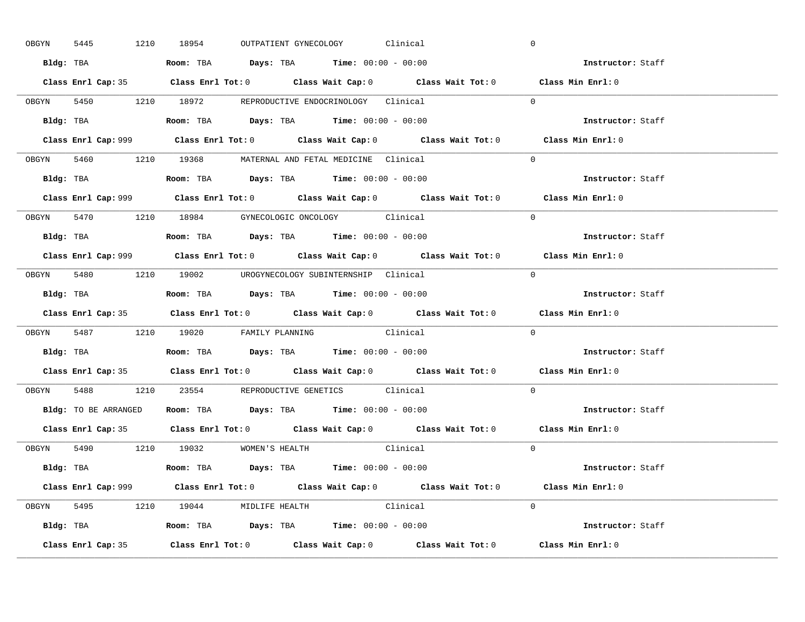|       | 5445<br>OBGYN | 1210 18954 |                                      |  | OUTPATIENT GYNECOLOGY Clinical                                                        |                                                                           | $\mathbf 0$                                                                                 |  |
|-------|---------------|------------|--------------------------------------|--|---------------------------------------------------------------------------------------|---------------------------------------------------------------------------|---------------------------------------------------------------------------------------------|--|
|       |               |            |                                      |  | Bldg: TBA                   Room: TBA        Days: TBA        Time: 00:00 - 00:00     |                                                                           | Instructor: Staff                                                                           |  |
|       |               |            |                                      |  |                                                                                       |                                                                           | Class Enrl Cap: 35 Class Enrl Tot: 0 Class Wait Cap: 0 Class Wait Tot: 0 Class Min Enrl: 0  |  |
|       |               |            |                                      |  | OBGYN 5450 1210 18972 REPRODUCTIVE ENDOCRINOLOGY Clinical                             |                                                                           | $\Omega$                                                                                    |  |
|       |               |            |                                      |  |                                                                                       |                                                                           | Instructor: Staff                                                                           |  |
|       |               |            |                                      |  |                                                                                       | Class Enrl Cap: 999 Class Enrl Tot: 0 Class Wait Cap: 0 Class Wait Tot: 0 | Class Min Enrl: 0                                                                           |  |
|       |               |            |                                      |  | OBGYN 5460 1210 19368 MATERNAL AND FETAL MEDICINE Clinical                            |                                                                           | $\Omega$                                                                                    |  |
|       |               |            |                                      |  | Bldg: TBA                   Room: TBA         Days: TBA         Time: 00:00 - 00:00   |                                                                           | Instructor: Staff                                                                           |  |
|       |               |            |                                      |  |                                                                                       |                                                                           | Class Enrl Cap: 999 Class Enrl Tot: 0 Class Wait Cap: 0 Class Wait Tot: 0 Class Min Enrl: 0 |  |
|       |               |            |                                      |  | OBGYN 5470 1210 18984 GYNECOLOGIC ONCOLOGY Clinical                                   |                                                                           | $\Omega$                                                                                    |  |
|       |               |            |                                      |  | Bldg: TBA                   Room: TBA         Days: TBA         Time: $00:00 - 00:00$ |                                                                           | Instructor: Staff                                                                           |  |
|       |               |            |                                      |  |                                                                                       |                                                                           | Class Enrl Cap: 999 Class Enrl Tot: 0 Class Wait Cap: 0 Class Wait Tot: 0 Class Min Enrl: 0 |  |
|       |               |            |                                      |  |                                                                                       | OBGYN 5480 1210 19002 UROGYNECOLOGY_SUBINTERNSHIP Clinical                | $\Omega$                                                                                    |  |
|       |               |            |                                      |  | Bldg: TBA                   Room: TBA        Days: TBA        Time: 00:00 - 00:00     |                                                                           | Instructor: Staff                                                                           |  |
|       |               |            |                                      |  |                                                                                       |                                                                           | Class Enrl Cap: 35 Class Enrl Tot: 0 Class Wait Cap: 0 Class Wait Tot: 0 Class Min Enrl: 0  |  |
|       |               |            |                                      |  |                                                                                       |                                                                           |                                                                                             |  |
|       |               |            |                                      |  | OBGYN 5487 1210 19020 FAMILY PLANNING Clinical                                        |                                                                           | $\Omega$                                                                                    |  |
|       |               |            |                                      |  | Bldg: TBA                   Room: TBA         Days: TBA         Time: 00:00 - 00:00   |                                                                           | Instructor: Staff                                                                           |  |
|       |               |            |                                      |  |                                                                                       |                                                                           | Class Enrl Cap: 35 Class Enrl Tot: 0 Class Wait Cap: 0 Class Wait Tot: 0 Class Min Enrl: 0  |  |
| OBGYN |               |            |                                      |  | 5488 1210 23554 REPRODUCTIVE GENETICS Clinical                                        |                                                                           | $\Omega$                                                                                    |  |
|       |               |            |                                      |  | Bldg: TO BE ARRANGED ROOM: TBA Days: TBA Time: 00:00 - 00:00                          |                                                                           | Instructor: Staff                                                                           |  |
|       |               |            |                                      |  |                                                                                       |                                                                           | Class Enrl Cap: 35 Class Enrl Tot: 0 Class Wait Cap: 0 Class Wait Tot: 0 Class Min Enrl: 0  |  |
|       |               |            | OBGYN 5490 1210 19032 WOMEN'S HEALTH |  |                                                                                       | Clinical                                                                  | $\overline{0}$                                                                              |  |
|       |               |            |                                      |  | <b>Bldg:</b> TBA <b>ROOM:</b> TBA <b>Days:</b> TBA <b>Time:</b> $00:00 - 00:00$       |                                                                           | Instructor: Staff                                                                           |  |
|       |               |            |                                      |  |                                                                                       |                                                                           | Class Enrl Cap: 999 Class Enrl Tot: 0 Class Wait Cap: 0 Class Wait Tot: 0 Class Min Enrl: 0 |  |
|       |               |            |                                      |  | OBGYN 5495 1210 19044 MIDLIFE HEALTH Clinical                                         |                                                                           | $\Omega$                                                                                    |  |
|       |               |            |                                      |  | <b>Bldg:</b> TBA <b>ROOM:</b> TBA <b>Days:</b> TBA <b>Time:</b> $00:00 - 00:00$       |                                                                           | Instructor: Staff                                                                           |  |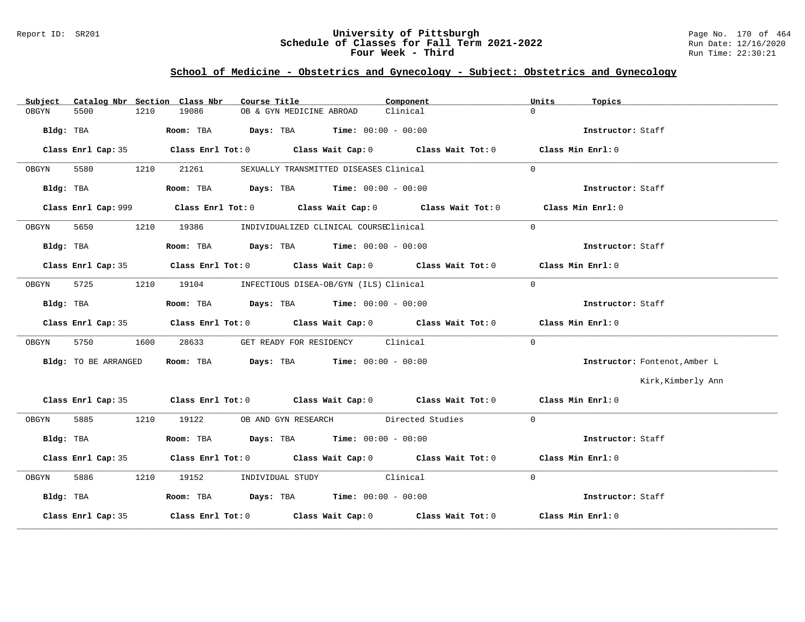## Report ID: SR201 **1988 Manual Construment University of Pittsburgh** Page No. 170 of 464<br>**Schedule of Classes for Fall Term 2021-2022** 2011 Page 12/16/2020 **Schedule of Classes for Fall Term 2021-2022** Run Date: 12/16/2020 **Four Week - Third Run Time: 22:30:21**

# **School of Medicine - Obstetrics and Gynecology - Subject: Obstetrics and Gynecology**

| Subject |                      |      | Catalog Nbr Section Class Nbr | Course Title                                                                                    | Component                                                                                   | Units             | Topics                        |
|---------|----------------------|------|-------------------------------|-------------------------------------------------------------------------------------------------|---------------------------------------------------------------------------------------------|-------------------|-------------------------------|
| OBGYN   | 5500                 | 1210 | 19086                         | OB & GYN MEDICINE ABROAD                                                                        | Clinical                                                                                    | $\Omega$          |                               |
|         |                      |      |                               |                                                                                                 |                                                                                             |                   | Instructor: Staff             |
|         |                      |      |                               |                                                                                                 | Class Enrl Cap: 35 Class Enrl Tot: 0 Class Wait Cap: 0 Class Wait Tot: 0 Class Min Enrl: 0  |                   |                               |
| OBGYN   | 5580                 |      | 1210 21261                    | SEXUALLY TRANSMITTED DISEASES Clinical                                                          |                                                                                             | $\Omega$          |                               |
|         |                      |      |                               | Bldg: TBA                   Room: TBA         Days: TBA         Time: $00:00 - 00:00$           |                                                                                             |                   | Instructor: Staff             |
|         |                      |      |                               |                                                                                                 | Class Enrl Cap: 999 Class Enrl Tot: 0 Class Wait Cap: 0 Class Wait Tot: 0 Class Min Enrl: 0 |                   |                               |
| OBGYN   |                      |      | 5650 1210 19386               | INDIVIDUALIZED CLINICAL COURSEClinical                                                          |                                                                                             | $\Omega$          |                               |
|         |                      |      |                               | Bldg: TBA                           Room: TBA          Days: TBA          Time: $00:00 - 00:00$ |                                                                                             |                   | Instructor: Staff             |
|         |                      |      |                               |                                                                                                 | Class Enrl Cap: 35 Class Enrl Tot: 0 Class Wait Cap: 0 Class Wait Tot: 0 Class Min Enrl: 0  |                   |                               |
| OBGYN   |                      |      |                               | 5725 1210 19104 INFECTIOUS DISEA-OB/GYN (ILS) Clinical                                          |                                                                                             | $\Omega$          |                               |
|         |                      |      |                               | Bldg: TBA                   Room: TBA         Days: TBA         Time: 00:00 - 00:00             |                                                                                             |                   | Instructor: Staff             |
|         |                      |      |                               |                                                                                                 | Class Enrl Cap: 35 Class Enrl Tot: 0 Class Wait Cap: 0 Class Wait Tot: 0 Class Min Enrl: 0  |                   |                               |
| OBGYN   | 5750                 | 1600 |                               | 28633 GET READY FOR RESIDENCY Clinical                                                          |                                                                                             | $\Omega$          |                               |
|         | Bldg: TO BE ARRANGED |      |                               | Room: TBA $Days:$ TBA Time: $00:00 - 00:00$                                                     |                                                                                             |                   | Instructor: Fontenot, Amber L |
|         |                      |      |                               |                                                                                                 |                                                                                             |                   | Kirk, Kimberly Ann            |
|         |                      |      |                               |                                                                                                 | Class Enrl Cap: 35 Class Enrl Tot: 0 Class Wait Cap: 0 Class Wait Tot: 0 Class Min Enrl: 0  |                   |                               |
| OBGYN   |                      |      |                               | 5885 1210 19122 OB AND GYN RESEARCH Directed Studies                                            |                                                                                             | $\Omega$          |                               |
|         | Bldg: TBA            |      |                               | Room: TBA $\rule{1em}{0.15mm}$ Days: TBA Time: $00:00 - 00:00$                                  |                                                                                             |                   | Instructor: Staff             |
|         |                      |      |                               |                                                                                                 | Class Enrl Cap: 35 Class Enrl Tot: 0 Class Wait Cap: 0 Class Wait Tot: 0 Class Min Enrl: 0  |                   |                               |
| OBGYN   |                      |      |                               | 5886 1210 19152 INDIVIDUAL STUDY Clinical                                                       |                                                                                             | $\Omega$          |                               |
|         | Bldg: TBA            |      |                               | Room: TBA $Days:$ TBA Time: $00:00 - 00:00$                                                     |                                                                                             |                   | Instructor: Staff             |
|         | Class Enrl Cap: 35   |      |                               |                                                                                                 | Class Enrl Tot: $0$ Class Wait Cap: $0$ Class Wait Tot: $0$                                 | Class Min Enrl: 0 |                               |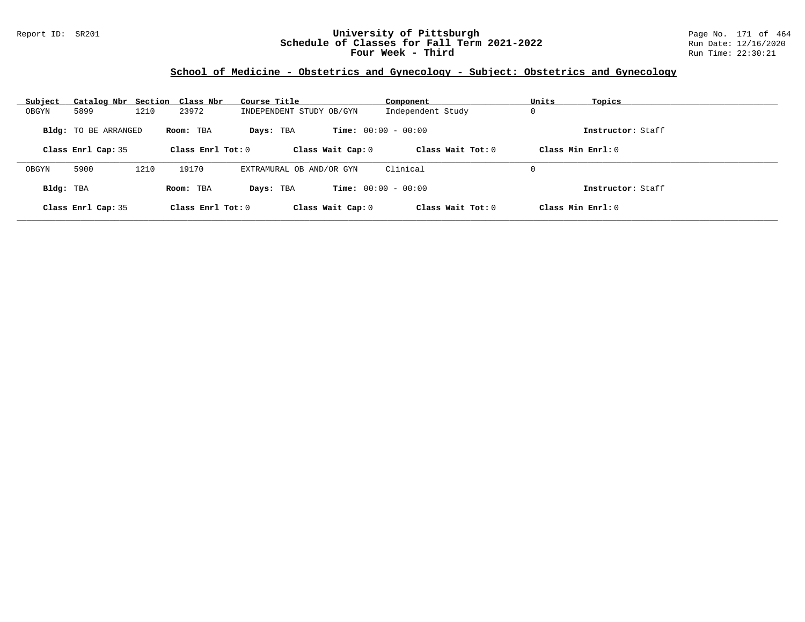## Report ID: SR201 **University of Pittsburgh** Page No. 171 of 464 **Schedule of Classes for Fall Term 2021-2022** Run Date: 12/16/2020 **Four Week - Third Run Time: 22:30:21**

# **School of Medicine - Obstetrics and Gynecology - Subject: Obstetrics and Gynecology**

| Subject   | Catalog Nbr Section Class Nbr |      |                     | Course Title             | Component                    | Units<br>Topics      |  |
|-----------|-------------------------------|------|---------------------|--------------------------|------------------------------|----------------------|--|
| OBGYN     | 5899                          | 1210 | 23972               | INDEPENDENT STUDY OB/GYN | Independent Study            | 0                    |  |
|           | <b>Bldg:</b> TO BE ARRANGED   |      | Room: TBA           | Days: TBA                | <b>Time:</b> $00:00 - 00:00$ | Instructor: Staff    |  |
|           | Class Enrl Cap: 35            |      | Class Enrl Tot: $0$ | Class Wait Cap: 0        | Class Wait Tot: $0$          | Class Min Enrl: 0    |  |
| OBGYN     | 5900                          | 1210 | 19170               | EXTRAMURAL OB AND/OR GYN | Clinical                     | 0                    |  |
| Bldg: TBA |                               |      | Room: TBA           | Days: TBA                | <b>Time:</b> $00:00 - 00:00$ | Instructor: Staff    |  |
|           | Class Enrl Cap: 35            |      | Class Enrl Tot: $0$ | Class Wait Cap: 0        | Class Wait Tot: $0$          | $Class Min Ernst: 0$ |  |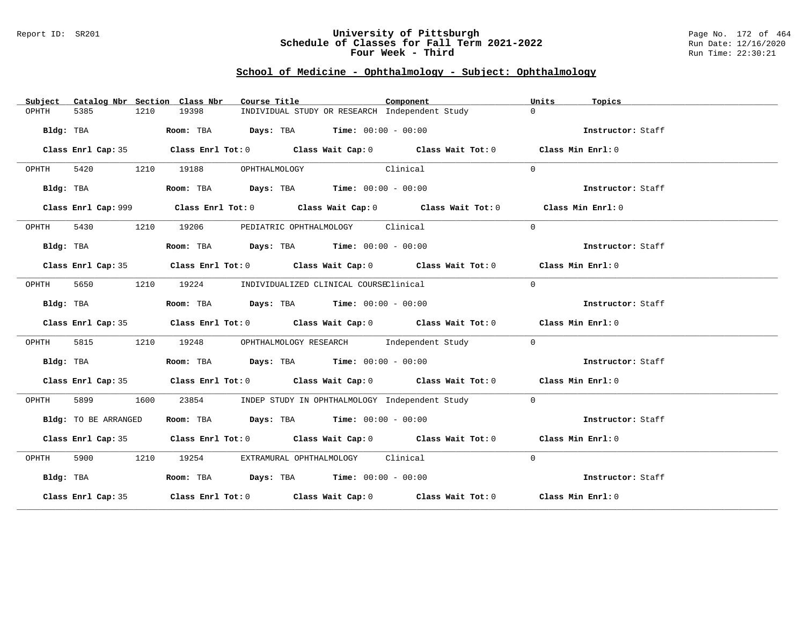### Report ID: SR201 **University of Pittsburgh** Page No. 172 of 464 **Schedule of Classes for Fall Term 2021-2022** Run Date: 12/16/2020 **Four Week - Third Run Time: 22:30:21**

# **School of Medicine - Ophthalmology - Subject: Ophthalmology**

| Subject   |                      |      | Catalog Nbr Section Class Nbr | Course Title                                                   |          | Component                                                                                   | Units          | Topics            |
|-----------|----------------------|------|-------------------------------|----------------------------------------------------------------|----------|---------------------------------------------------------------------------------------------|----------------|-------------------|
| OPHTH     | 5385                 | 1210 | 19398                         |                                                                |          | INDIVIDUAL STUDY OR RESEARCH Independent Study                                              | $\Omega$       |                   |
|           | Bldg: TBA            |      |                               | Room: TBA $Days:$ TBA $Time: 00:00 - 00:00$                    |          |                                                                                             |                | Instructor: Staff |
|           |                      |      |                               |                                                                |          | Class Enrl Cap: 35 Class Enrl Tot: 0 Class Wait Cap: 0 Class Wait Tot: 0 Class Min Enrl: 0  |                |                   |
| OPHTH     |                      |      | 5420 1210 19188               | OPHTHALMOLOGY                                                  | Clinical |                                                                                             | $\Omega$       |                   |
|           | Bldg: TBA            |      |                               | Room: TBA $\rule{1em}{0.15mm}$ Days: TBA Time: $00:00 - 00:00$ |          |                                                                                             |                | Instructor: Staff |
|           |                      |      |                               |                                                                |          | Class Enrl Cap: 999 Class Enrl Tot: 0 Class Wait Cap: 0 Class Wait Tot: 0 Class Min Enrl: 0 |                |                   |
| OPHTH     | 5430                 |      | 1210 19206                    | PEDIATRIC OPHTHALMOLOGY Clinical                               |          |                                                                                             | $\Omega$       |                   |
|           | Bldg: TBA            |      |                               | Room: TBA $Days:$ TBA $Time: 00:00 - 00:00$                    |          |                                                                                             |                | Instructor: Staff |
|           |                      |      |                               |                                                                |          | Class Enrl Cap: 35 Class Enrl Tot: 0 Class Wait Cap: 0 Class Wait Tot: 0 Class Min Enrl: 0  |                |                   |
| OPHTH     | 5650                 |      |                               | 1210 19224 INDIVIDUALIZED CLINICAL COURSEClinical              |          |                                                                                             | $\Omega$       |                   |
|           | Bldg: TBA            |      |                               | Room: TBA $Days:$ TBA $Time:$ $00:00 - 00:00$                  |          |                                                                                             |                | Instructor: Staff |
|           |                      |      |                               |                                                                |          | Class Enrl Cap: 35 Class Enrl Tot: 0 Class Wait Cap: 0 Class Wait Tot: 0 Class Min Enrl: 0  |                |                   |
| OPHTH     | 5815                 |      |                               |                                                                |          | 1210 19248 OPHTHALMOLOGY RESEARCH Independent Study                                         | $\overline{0}$ |                   |
|           | Bldg: TBA            |      |                               | Room: TBA $\rule{1em}{0.15mm}$ Days: TBA Time: $00:00 - 00:00$ |          |                                                                                             |                | Instructor: Staff |
|           |                      |      |                               |                                                                |          | Class Enrl Cap: 35 Class Enrl Tot: 0 Class Wait Cap: 0 Class Wait Tot: 0 Class Min Enrl: 0  |                |                   |
| OPHTH     | 5899 1600            |      |                               |                                                                |          | 23854 INDEP STUDY IN OPHTHALMOLOGY Independent Study                                        | $\Omega$       |                   |
|           | Bldg: TO BE ARRANGED |      |                               | Room: TBA $Days:$ TBA $Time: 00:00 - 00:00$                    |          |                                                                                             |                | Instructor: Staff |
|           |                      |      |                               |                                                                |          | Class Enrl Cap: 35 Class Enrl Tot: 0 Class Wait Cap: 0 Class Wait Tot: 0 Class Min Enrl: 0  |                |                   |
| OPHTH     |                      |      |                               | 5900 1210 19254 EXTRAMURAL OPHTHALMOLOGY Clinical              |          |                                                                                             | $\Omega$       |                   |
| Bldg: TBA |                      |      |                               | Room: TBA $Days:$ TBA $Time: 00:00 - 00:00$                    |          |                                                                                             |                | Instructor: Staff |
|           |                      |      |                               |                                                                |          | Class Enrl Cap: 35 Class Enrl Tot: 0 Class Wait Cap: 0 Class Wait Tot: 0 Class Min Enrl: 0  |                |                   |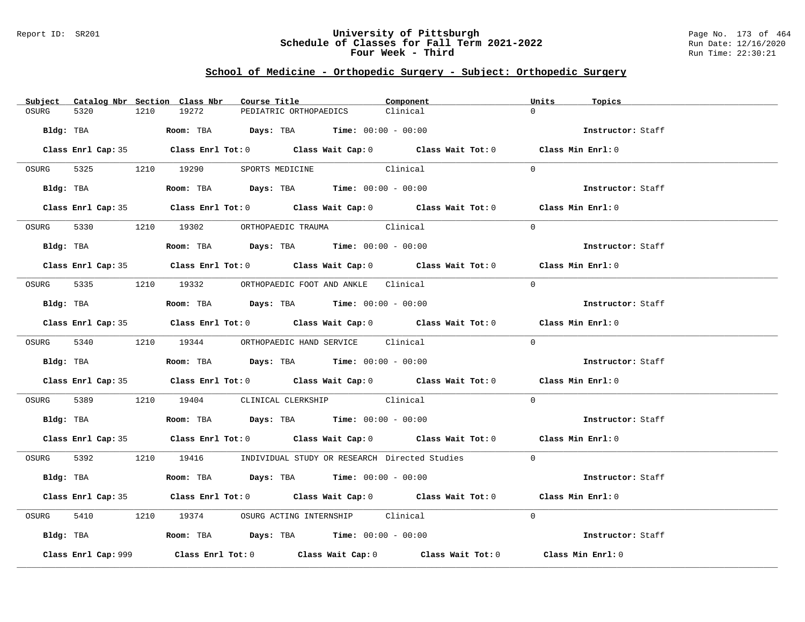### Report ID: SR201 **University of Pittsburgh** Page No. 173 of 464 **Schedule of Classes for Fall Term 2021-2022** Run Date: 12/16/2020 **Four Week - Third Run Time: 22:30:21**

# **School of Medicine - Orthopedic Surgery - Subject: Orthopedic Surgery**

|           |                     |      | Subject Catalog Nbr Section Class Nbr | Course Title                                                                           |          | Component                                                                                  | Units    | Topics            |
|-----------|---------------------|------|---------------------------------------|----------------------------------------------------------------------------------------|----------|--------------------------------------------------------------------------------------------|----------|-------------------|
| OSURG     | 5320                | 1210 | 19272                                 | PEDIATRIC ORTHOPAEDICS                                                                 | Clinical |                                                                                            | $\cap$   |                   |
| Bldg: TBA |                     |      |                                       | <b>Room:</b> TBA $Days:$ TBA $Time: 00:00 - 00:00$                                     |          |                                                                                            |          | Instructor: Staff |
|           |                     |      |                                       |                                                                                        |          | Class Enrl Cap: 35 Class Enrl Tot: 0 Class Wait Cap: 0 Class Wait Tot: 0 Class Min Enrl: 0 |          |                   |
| OSURG     |                     |      |                                       | 5325 1210 19290 SPORTS MEDICINE Clinical                                               |          |                                                                                            | $\Omega$ |                   |
|           | Bldg: TBA           |      |                                       | Room: TBA $\rule{1em}{0.15mm}$ Days: TBA Time: $00:00 - 00:00$                         |          |                                                                                            |          | Instructor: Staff |
|           |                     |      |                                       |                                                                                        |          | Class Enrl Cap: 35 Class Enrl Tot: 0 Class Wait Cap: 0 Class Wait Tot: 0 Class Min Enrl: 0 |          |                   |
| OSURG     |                     |      |                                       | 5330 1210 19302 ORTHOPAEDIC TRAUMA Clinical                                            |          |                                                                                            | $\Omega$ |                   |
|           | Bldg: TBA           |      |                                       | Room: TBA $\rule{1em}{0.15mm}$ Days: TBA Time: $00:00 - 00:00$                         |          |                                                                                            |          | Instructor: Staff |
|           |                     |      |                                       |                                                                                        |          | Class Enrl Cap: 35 Class Enrl Tot: 0 Class Wait Cap: 0 Class Wait Tot: 0 Class Min Enrl: 0 |          |                   |
|           |                     |      |                                       | OSURG 5335 1210 19332 ORTHOPAEDIC FOOT AND ANKLE Clinical                              |          |                                                                                            | $\Omega$ |                   |
|           |                     |      |                                       | Bldg: TBA                    Room: TBA         Days: TBA         Time: $00:00 - 00:00$ |          |                                                                                            |          | Instructor: Staff |
|           |                     |      |                                       |                                                                                        |          | Class Enrl Cap: 35 Class Enrl Tot: 0 Class Wait Cap: 0 Class Wait Tot: 0 Class Min Enrl: 0 |          |                   |
|           |                     |      |                                       | OSURG 5340 1210 19344 ORTHOPAEDIC HAND SERVICE Clinical                                |          |                                                                                            | $\Omega$ |                   |
|           |                     |      |                                       | Bldg: TBA                    Room: TBA         Days: TBA         Time: $00:00 - 00:00$ |          |                                                                                            |          | Instructor: Staff |
|           |                     |      |                                       |                                                                                        |          | Class Enrl Cap: 35 Class Enrl Tot: 0 Class Wait Cap: 0 Class Wait Tot: 0 Class Min Enrl: 0 |          |                   |
| OSURG     |                     |      |                                       | 5389 1210 19404 CLINICAL CLERKSHIP Clinical                                            |          |                                                                                            | $\Omega$ |                   |
|           |                     |      |                                       | Bldg: TBA                   Room: TBA         Days: TBA         Time: 00:00 - 00:00    |          |                                                                                            |          | Instructor: Staff |
|           |                     |      |                                       |                                                                                        |          | Class Enrl Cap: 35 Class Enrl Tot: 0 Class Wait Cap: 0 Class Wait Tot: 0 Class Min Enrl: 0 |          |                   |
|           |                     |      |                                       |                                                                                        |          | OSURG 5392 1210 19416 INDIVIDUAL STUDY OR RESEARCH Directed Studies 0                      |          |                   |
|           | Bldg: TBA           |      |                                       | Room: TBA $Days:$ TBA $Time: 00:00 - 00:00$                                            |          |                                                                                            |          | Instructor: Staff |
|           |                     |      |                                       |                                                                                        |          | Class Enrl Cap: 35 Class Enrl Tot: 0 Class Wait Cap: 0 Class Wait Tot: 0 Class Min Enrl: 0 |          |                   |
| OSURG     |                     |      |                                       | 5410 1210 19374 OSURG ACTING INTERNSHIP Clinical                                       |          |                                                                                            | $\Omega$ |                   |
|           |                     |      |                                       | Bldg: TBA                   Room: TBA         Days: TBA         Time: 00:00 - 00:00    |          |                                                                                            |          | Instructor: Staff |
|           | Class Enrl Cap: 999 |      |                                       |                                                                                        |          | Class Enrl Tot: $0$ Class Wait Cap: $0$ Class Wait Tot: $0$ Class Min Enrl: $0$            |          |                   |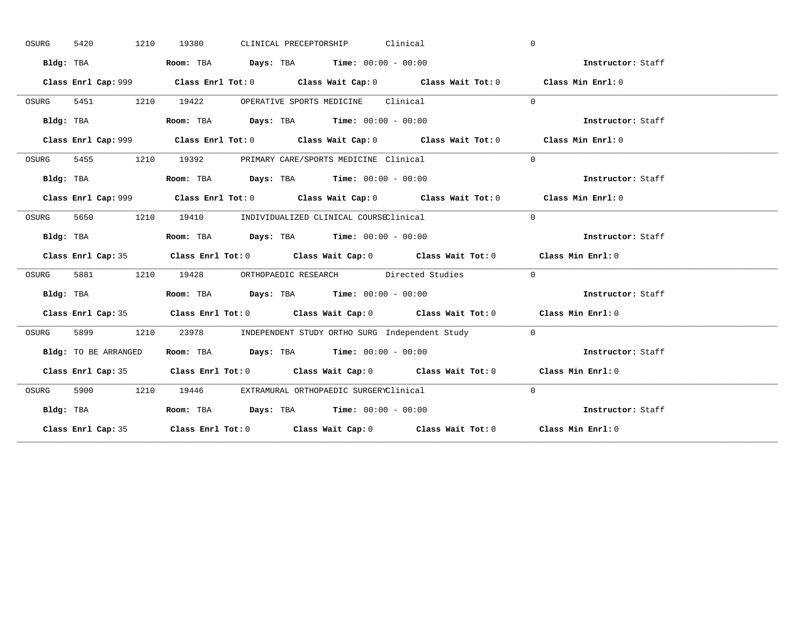| OSURG | 1210<br>5420         | CLINICAL PRECEPTORSHIP Clinical<br>19380                                                    | $\mathbf{0}$      |
|-------|----------------------|---------------------------------------------------------------------------------------------|-------------------|
|       | Bldg: TBA            | Room: TBA $Days:$ TBA $Time: 00:00 - 00:00$                                                 | Instructor: Staff |
|       |                      | Class Enrl Cap: 999 Class Enrl Tot: 0 Class Wait Cap: 0 Class Wait Tot: 0 Class Min Enrl: 0 |                   |
| OSURG |                      | 5451 1210 19422 OPERATIVE SPORTS MEDICINE Clinical                                          | $\Omega$          |
|       | Bldg: TBA            | Room: TBA $Days:$ TBA Time: $00:00 - 00:00$                                                 | Instructor: Staff |
|       |                      | Class Enrl Cap: 999 Class Enrl Tot: 0 Class Wait Cap: 0 Class Wait Tot: 0 Class Min Enrl: 0 |                   |
| OSURG |                      | 5455 1210 19392 PRIMARY CARE/SPORTS MEDICINE Clinical                                       | $\Omega$          |
|       | Bldg: TBA            | Room: TBA $Days:$ TBA $Time: 00:00 - 00:00$                                                 | Instructor: Staff |
|       |                      | Class Enrl Cap: 999 Class Enrl Tot: 0 Class Wait Cap: 0 Class Wait Tot: 0 Class Min Enrl: 0 |                   |
| OSURG | 5650 1210            | 19410 INDIVIDUALIZED CLINICAL COURSEClinical                                                | $\Omega$          |
|       | Bldg: TBA            | Room: TBA $Days:$ TBA $Time: 00:00 - 00:00$                                                 | Instructor: Staff |
|       |                      | Class Enrl Cap: 35 Class Enrl Tot: 0 Class Wait Cap: 0 Class Wait Tot: 0 Class Min Enrl: 0  |                   |
| OSURG |                      | 5881 1210 19428 ORTHOPAEDIC RESEARCH Directed Studies                                       | $\sim$ 0          |
|       | Bldg: TBA            | Room: TBA $\rule{1em}{0.15mm}$ Days: TBA $\rule{1.5mm}{0.15mm}$ Time: $00:00 - 00:00$       | Instructor: Staff |
|       |                      |                                                                                             |                   |
|       |                      | Class Enrl Cap: 35 Class Enrl Tot: 0 Class Wait Cap: 0 Class Wait Tot: 0 Class Min Enrl: 0  |                   |
| OSURG |                      | 5899 1210 23978 INDEPENDENT STUDY ORTHO SURG Independent Study 0                            |                   |
|       | Bldg: TO BE ARRANGED | Room: TBA $Days:$ TBA Time: $00:00 - 00:00$                                                 | Instructor: Staff |
|       |                      | Class Enrl Cap: 35 Class Enrl Tot: 0 Class Wait Cap: 0 Class Wait Tot: 0 Class Min Enrl: 0  |                   |
| OSURG |                      | 5900 1210 19446 EXTRAMURAL ORTHOPAEDIC SURGERYClinical                                      | $\Omega$          |
|       | Bldg: TBA            | Room: TBA $Days:$ TBA $Time: 00:00 - 00:00$                                                 | Instructor: Staff |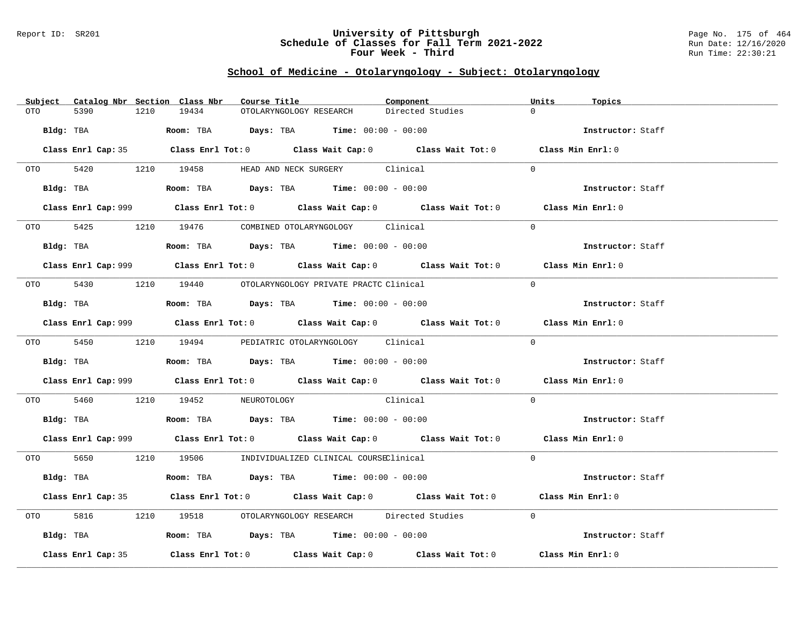### Report ID: SR201 **University of Pittsburgh** Page No. 175 of 464 **Schedule of Classes for Fall Term 2021-2022** Run Date: 12/16/2020 **Four Week - Third Run Time: 22:30:21**

## **School of Medicine - Otolaryngology - Subject: Otolaryngology**

| Subject Catalog Nbr Section Class Nbr | Course Title                                                                                       | Component        | Units<br>Topics   |
|---------------------------------------|----------------------------------------------------------------------------------------------------|------------------|-------------------|
| 5390<br>1210<br>OTO                   | 19434<br>OTOLARYNGOLOGY RESEARCH                                                                   | Directed Studies | $\Omega$          |
| Bldg: TBA                             | Room: TBA $\rule{1em}{0.15mm}$ Days: TBA Time: $00:00 - 00:00$                                     |                  | Instructor: Staff |
|                                       | Class Enrl Cap: 35 Class Enrl Tot: 0 Class Wait Cap: 0 Class Wait Tot: 0 Class Min Enrl: 0         |                  |                   |
|                                       | OTO 5420 1210 19458 HEAD AND NECK SURGERY Clinical                                                 |                  | $\Omega$          |
|                                       | Bldg: TBA                  Room: TBA        Days: TBA        Time: 00:00 - 00:00                   |                  | Instructor: Staff |
|                                       | Class Enrl Cap: 999 Class Enrl Tot: 0 Class Wait Cap: 0 Class Wait Tot: 0 Class Min Enrl: 0        |                  |                   |
|                                       | OTO 5425 1210 19476 COMBINED OTOLARYNGOLOGY Clinical                                               |                  | $\Omega$          |
|                                       | Bldg: TBA                    Room: TBA         Days: TBA        Time: $00:00 - 00:00$              |                  | Instructor: Staff |
|                                       | Class Enrl Cap: 999 Class Enrl Tot: 0 Class Wait Cap: 0 Class Wait Tot: 0 Class Min Enrl: 0        |                  |                   |
|                                       | 0TO 5430 1210 19440 OTOLARYNGOLOGY PRIVATE PRACTC Clinical                                         |                  | $\Omega$          |
|                                       | Bldg: TBA                   Room: TBA         Days: TBA         Time: $00:00 - 00:00$              |                  | Instructor: Staff |
|                                       | Class Enrl Cap: 999 Class Enrl Tot: 0 Class Wait Cap: 0 Class Wait Tot: 0 Class Min Enrl: 0        |                  |                   |
|                                       | OTO 5450 1210 19494 PEDIATRIC OTOLARYNGOLOGY Clinical                                              |                  | $\Omega$          |
|                                       | Bldg: TBA                        Room: TBA         Days: TBA         Time: $00:00 - 00:00$         |                  | Instructor: Staff |
|                                       | Class Enrl Cap: 999 Class Enrl Tot: 0 Class Wait Cap: 0 Class Wait Tot: 0 Class Min Enrl: 0        |                  |                   |
|                                       | OTO 5460 1210 19452 NEUROTOLOGY Clinical                                                           |                  | $\Omega$          |
|                                       | Bldg: TBA                         Room: TBA          Days: TBA         Time: $00:00 - 00:00$       |                  | Instructor: Staff |
|                                       | Class Enrl Cap: 999 Class Enrl Tot: 0 Class Wait Cap: 0 Class Wait Tot: 0 Class Min Enrl: 0        |                  |                   |
|                                       | 0TO 5650 1210 19506 INDIVIDUALIZED CLINICAL COURSEClinical                                         |                  | $\Omega$          |
| Bldg: TBA                             | Room: TBA $Days:$ TBA Time: $00:00 - 00:00$                                                        |                  | Instructor: Staff |
|                                       | Class Enrl Cap: 35 Class Enrl Tot: 0 Class Wait Cap: 0 Class Wait Tot: 0 Class Min Enrl: 0         |                  |                   |
| 5816 700                              | 1210 19518 OTOLARYNGOLOGY RESEARCH Directed Studies                                                |                  | $\Omega$          |
|                                       | Bldg: TBA                   Room: TBA        Days: TBA        Time: 00:00 - 00:00                  |                  | Instructor: Staff |
| Class Enrl Cap: 35                    | Class Enrl Tot: 0 $\qquad$ Class Wait Cap: 0 $\qquad$ Class Wait Tot: 0 $\qquad$ Class Min Enrl: 0 |                  |                   |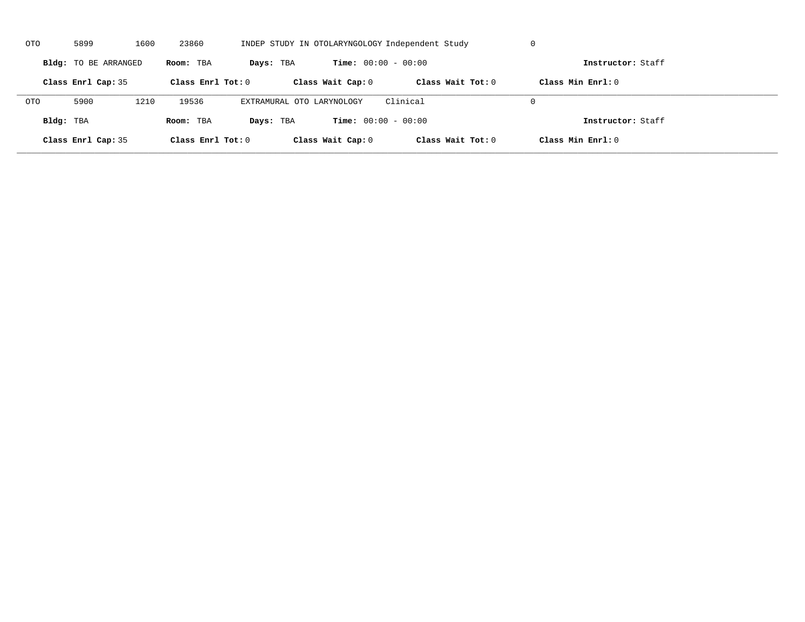| OTO        | 5899                 | 1600 | 23860               | INDEP STUDY IN OTOLARYNGOLOGY Independent Study |                              |                     | U                   |  |
|------------|----------------------|------|---------------------|-------------------------------------------------|------------------------------|---------------------|---------------------|--|
|            | Bldg: TO BE ARRANGED |      | Room: TBA           | Days: TBA                                       | <b>Time:</b> $00:00 - 00:00$ |                     | Instructor: Staff   |  |
|            | Class Enrl Cap: 35   |      | Class Enrl Tot: $0$ |                                                 | Class Wait Cap: 0            | Class Wait $Tot: 0$ | Class Min $Enrl: 0$ |  |
| <b>OTO</b> | 5900                 | 1210 | 19536               | EXTRAMURAL OTO LARYNOLOGY                       |                              | Clinical            | $\Omega$            |  |
| Bldg: TBA  |                      |      | Room: TBA           | Days: TBA                                       | <b>Time:</b> $00:00 - 00:00$ |                     | Instructor: Staff   |  |
|            | Class Enrl Cap: 35   |      | Class Enrl Tot: 0   |                                                 | Class Wait Cap: 0            | Class Wait Tot: 0   | Class Min Enrl: 0   |  |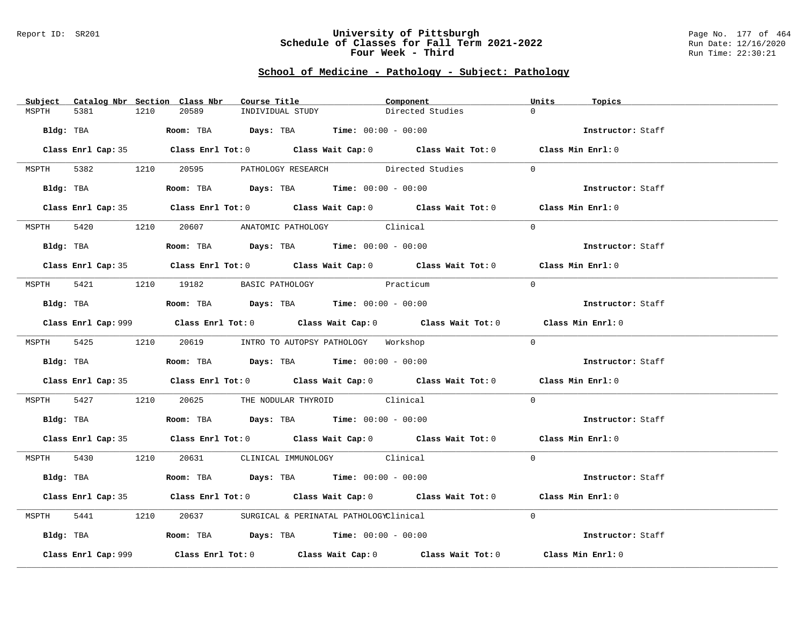#### Report ID: SR201 **University of Pittsburgh** Page No. 177 of 464 **Schedule of Classes for Fall Term 2021-2022** Run Date: 12/16/2020 **Four Week - Third Run Time: 22:30:21**

# **School of Medicine - Pathology - Subject: Pathology**

|               |                     | Subject Catalog Nbr Section Class Nbr | Course Title                                                                                  | Component                                                                                   | Units<br>Topics   |  |
|---------------|---------------------|---------------------------------------|-----------------------------------------------------------------------------------------------|---------------------------------------------------------------------------------------------|-------------------|--|
| 5381<br>MSPTH | 1210                | 20589                                 | INDIVIDUAL STUDY                                                                              | Directed Studies                                                                            | $\Omega$          |  |
|               |                     |                                       | Bldg: TBA                  Room: TBA        Days: TBA        Time: 00:00 - 00:00              |                                                                                             | Instructor: Staff |  |
|               |                     |                                       |                                                                                               | Class Enrl Cap: 35 Class Enrl Tot: 0 Class Wait Cap: 0 Class Wait Tot: 0 Class Min Enrl: 0  |                   |  |
|               |                     |                                       |                                                                                               | MSPTH 5382 1210 20595 PATHOLOGY_RESEARCH Directed Studies                                   | $\Omega$          |  |
|               |                     |                                       | Bldg: TBA                         Room: TBA           Days: TBA           Time: 00:00 - 00:00 |                                                                                             | Instructor: Staff |  |
|               |                     |                                       |                                                                                               | Class Enrl Cap: 35 Class Enrl Tot: 0 Class Wait Cap: 0 Class Wait Tot: 0 Class Min Enrl: 0  |                   |  |
|               |                     |                                       | MSPTH 5420 1210 20607 ANATOMIC PATHOLOGY Clinical                                             |                                                                                             | $\Omega$          |  |
|               | Bldg: TBA           |                                       | Room: TBA $Days:$ TBA $Time: 00:00 - 00:00$                                                   |                                                                                             | Instructor: Staff |  |
|               |                     |                                       |                                                                                               | Class Enrl Cap: 35 Class Enrl Tot: 0 Class Wait Cap: 0 Class Wait Tot: 0 Class Min Enrl: 0  |                   |  |
|               |                     | MSPTH 5421 1210 19182 BASIC PATHOLOGY |                                                                                               | Practicum                                                                                   | $\Omega$          |  |
|               |                     |                                       | Bldg: TBA                    Room: TBA         Days: TBA         Time: 00:00 - 00:00          |                                                                                             | Instructor: Staff |  |
|               |                     |                                       |                                                                                               | Class Enrl Cap: 999 Class Enrl Tot: 0 Class Wait Cap: 0 Class Wait Tot: 0 Class Min Enrl: 0 |                   |  |
|               |                     |                                       | MSPTH 5425 1210 20619 INTRO TO AUTOPSY PATHOLOGY Workshop                                     |                                                                                             | $\Omega$          |  |
|               |                     |                                       | Bldg: TBA                   Room: TBA         Days: TBA        Time: $00:00 - 00:00$          |                                                                                             | Instructor: Staff |  |
|               |                     |                                       |                                                                                               | Class Enrl Cap: 35 Class Enrl Tot: 0 Class Wait Cap: 0 Class Wait Tot: 0 Class Min Enrl: 0  |                   |  |
|               |                     |                                       | MSPTH 5427 1210 20625 THE NODULAR THYROID Clinical                                            |                                                                                             | $\Omega$          |  |
|               |                     |                                       | Bldg: TBA                    Room: TBA         Days: TBA         Time: 00:00 - 00:00          |                                                                                             | Instructor: Staff |  |
|               |                     |                                       |                                                                                               | Class Enrl Cap: 35 Class Enrl Tot: 0 Class Wait Cap: 0 Class Wait Tot: 0 Class Min Enrl: 0  |                   |  |
|               |                     |                                       | MSPTH 5430 1210 20631 CLINICAL IMMUNOLOGY Clinical                                            |                                                                                             | $\Omega$          |  |
|               |                     |                                       | Bldg: TBA                   Room: TBA        Days: TBA        Time: 00:00 - 00:00             |                                                                                             | Instructor: Staff |  |
|               |                     |                                       |                                                                                               | Class Enrl Cap: 35 Class Enrl Tot: 0 Class Wait Cap: 0 Class Wait Tot: 0 Class Min Enrl: 0  |                   |  |
| MSPTH         |                     |                                       | 5441 1210 20637 SURGICAL & PERINATAL PATHOLOGYClinical                                        |                                                                                             | $\Omega$          |  |
|               |                     |                                       | Bldg: TBA                         Room: TBA          Days: TBA          Time: 00:00 - 00:00   |                                                                                             | Instructor: Staff |  |
|               | Class Enrl Cap: 999 |                                       |                                                                                               | Class Enrl Tot: $0$ Class Wait Cap: $0$ Class Wait Tot: $0$ Class Min Enrl: $0$             |                   |  |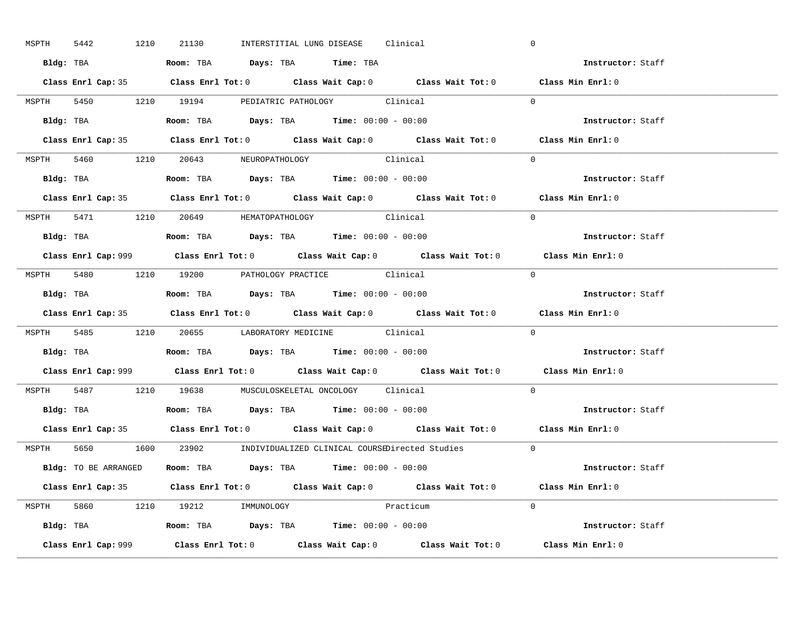| MSPTH 5442 | 1210 | 21130                                                                                 |  | INTERSTITIAL LUNG DISEASE Clinical |           |                                                                      | $\mathbf 0$                                                                                 |  |
|------------|------|---------------------------------------------------------------------------------------|--|------------------------------------|-----------|----------------------------------------------------------------------|---------------------------------------------------------------------------------------------|--|
|            |      | Bldg: TBA                    Room: TBA        Days: TBA         Time: TBA             |  |                                    |           |                                                                      | Instructor: Staff                                                                           |  |
|            |      |                                                                                       |  |                                    |           |                                                                      | Class Enrl Cap: 35 Class Enrl Tot: 0 Class Wait Cap: 0 Class Wait Tot: 0 Class Min Enrl: 0  |  |
|            |      | MSPTH 5450 1210 19194 PEDIATRIC PATHOLOGY Clinical                                    |  |                                    |           |                                                                      | $\Omega$                                                                                    |  |
|            |      |                                                                                       |  |                                    |           |                                                                      | Instructor: Staff                                                                           |  |
|            |      |                                                                                       |  |                                    |           |                                                                      | Class Enrl Cap: 35 Class Enrl Tot: 0 Class Wait Cap: 0 Class Wait Tot: 0 Class Min Enrl: 0  |  |
|            |      | MSPTH 5460 1210 20643 NEUROPATHOLOGY Clinical                                         |  |                                    |           |                                                                      | $\Omega$                                                                                    |  |
|            |      | Bldg: TBA                   Room: TBA         Days: TBA         Time: 00:00 - 00:00   |  |                                    |           |                                                                      | Instructor: Staff                                                                           |  |
|            |      |                                                                                       |  |                                    |           |                                                                      | Class Enrl Cap: 35 Class Enrl Tot: 0 Class Wait Cap: 0 Class Wait Tot: 0 Class Min Enrl: 0  |  |
|            |      | MSPTH 5471 1210 20649 HEMATOPATHOLOGY Clinical                                        |  |                                    |           |                                                                      | $\Omega$                                                                                    |  |
|            |      | Bldg: TBA                   Room: TBA         Days: TBA         Time: $00:00 - 00:00$ |  |                                    |           |                                                                      | Instructor: Staff                                                                           |  |
|            |      |                                                                                       |  |                                    |           |                                                                      | Class Enrl Cap: 999 Class Enrl Tot: 0 Class Wait Cap: 0 Class Wait Tot: 0 Class Min Enrl: 0 |  |
|            |      | MSPTH 5480 1210 19200 PATHOLOGY PRACTICE Clinical                                     |  |                                    |           |                                                                      | $\Omega$                                                                                    |  |
|            |      | Bldg: TBA                   Room: TBA         Days: TBA         Time: $00:00 - 00:00$ |  |                                    |           |                                                                      | Instructor: Staff                                                                           |  |
|            |      |                                                                                       |  |                                    |           |                                                                      | Class Enrl Cap: 35 Class Enrl Tot: 0 Class Wait Cap: 0 Class Wait Tot: 0 Class Min Enrl: 0  |  |
|            |      | MSPTH 5485 1210 20655 LABORATORY MEDICINE Clinical                                    |  |                                    |           |                                                                      | $\Omega$                                                                                    |  |
|            |      | Bldg: TBA                    Room: TBA         Days: TBA        Time: $00:00 - 00:00$ |  |                                    |           |                                                                      | Instructor: Staff                                                                           |  |
|            |      |                                                                                       |  |                                    |           |                                                                      | Class Enrl Cap: 999 Class Enrl Tot: 0 Class Wait Cap: 0 Class Wait Tot: 0 Class Min Enrl: 0 |  |
|            |      | MSPTH 5487 1210 19638 MUSCULOSKELETAL ONCOLOGY Clinical                               |  |                                    |           |                                                                      | $\Omega$                                                                                    |  |
|            |      | Bldg: TBA                   Room: TBA         Days: TBA         Time: $00:00 - 00:00$ |  |                                    |           |                                                                      | Instructor: Staff                                                                           |  |
|            |      |                                                                                       |  |                                    |           |                                                                      | Class Enrl Cap: 35 Class Enrl Tot: 0 Class Wait Cap: 0 Class Wait Tot: 0 Class Min Enrl: 0  |  |
|            |      |                                                                                       |  |                                    |           | MSPTH 5650 1600 23902 INDIVIDUALIZED CLINICAL COURSEDirected Studies | $\overline{0}$                                                                              |  |
|            |      | Bldg: TO BE ARRANGED Room: TBA Days: TBA Time: 00:00 - 00:00                          |  |                                    |           |                                                                      | Instructor: Staff                                                                           |  |
|            |      |                                                                                       |  |                                    |           |                                                                      | Class Enrl Cap: 35 Class Enrl Tot: 0 Class Wait Cap: 0 Class Wait Tot: 0 Class Min Enrl: 0  |  |
|            |      | MSPTH 5860 1210 19212 IMMUNOLOGY                                                      |  |                                    | Practicum |                                                                      | $\Omega$                                                                                    |  |
|            |      |                                                                                       |  |                                    |           |                                                                      |                                                                                             |  |
|            |      | <b>Bldg:</b> TBA <b>Room:</b> TBA <b>Days:</b> TBA <b>Time:</b> $00:00 - 00:00$       |  |                                    |           |                                                                      | Instructor: Staff                                                                           |  |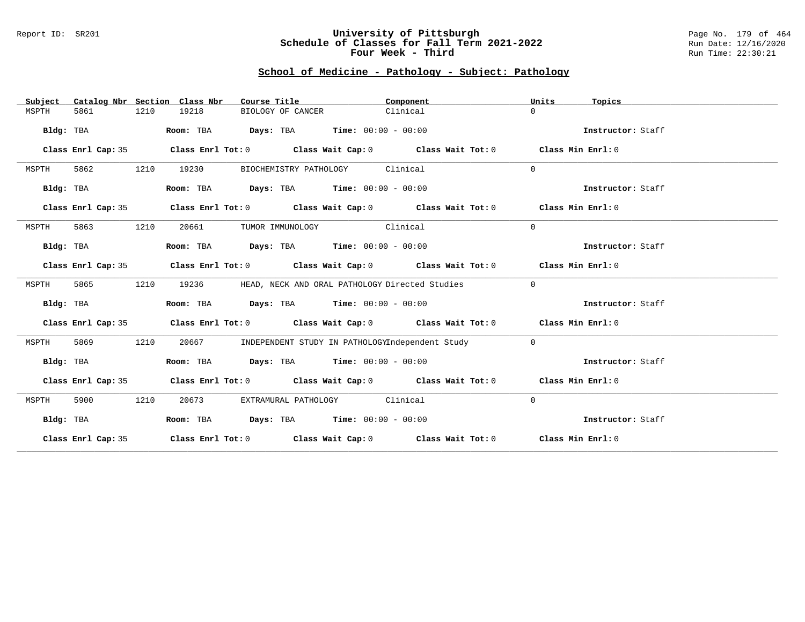### Report ID: SR201 **University of Pittsburgh** Page No. 179 of 464 **Schedule of Classes for Fall Term 2021-2022** Run Date: 12/16/2020 **Four Week - Third Run Time: 22:30:21**

# **School of Medicine - Pathology - Subject: Pathology**

| Subject   |                    |      | Catalog Nbr Section Class Nbr | Course Title |                                                |          | Component                                                                                          | Units          | Topics            |
|-----------|--------------------|------|-------------------------------|--------------|------------------------------------------------|----------|----------------------------------------------------------------------------------------------------|----------------|-------------------|
| MSPTH     | 5861               | 1210 | 19218                         |              | BIOLOGY OF CANCER                              | Clinical |                                                                                                    | $\Omega$       |                   |
| Bldg: TBA |                    |      | Room: TBA                     |              | <b>Days:</b> TBA <b>Time:</b> $00:00 - 00:00$  |          |                                                                                                    |                | Instructor: Staff |
|           | Class Enrl Cap: 35 |      |                               |              |                                                |          | Class Enrl Tot: $0$ Class Wait Cap: $0$ Class Wait Tot: $0$ Class Min Enrl: $0$                    |                |                   |
| MSPTH     | 5862               | 1210 | 19230                         |              | BIOCHEMISTRY PATHOLOGY Clinical                |          |                                                                                                    | $\Omega$       |                   |
| Bldg: TBA |                    |      |                               |              | Room: TBA $Days:$ TBA $Time: 00:00 - 00:00$    |          |                                                                                                    |                | Instructor: Staff |
|           | Class Enrl Cap: 35 |      |                               |              |                                                |          | Class Enrl Tot: $0$ Class Wait Cap: $0$ Class Wait Tot: $0$ Class Min Enrl: $0$                    |                |                   |
| MSPTH     | 5863               | 1210 | 20661                         |              | TUMOR IMMUNOLOGY Clinical                      |          |                                                                                                    | $\Omega$       |                   |
| Bldg: TBA |                    |      |                               |              | Room: TBA $Days:$ TBA $Time: 00:00 - 00:00$    |          |                                                                                                    |                | Instructor: Staff |
|           | Class Enrl Cap: 35 |      |                               |              |                                                |          | Class Enrl Tot: $0$ Class Wait Cap: $0$ Class Wait Tot: $0$ Class Min Enrl: $0$                    |                |                   |
| MSPTH     | 5865               | 1210 | 19236                         |              | HEAD, NECK AND ORAL PATHOLOGY Directed Studies |          |                                                                                                    | $\overline{0}$ |                   |
| Bldg: TBA |                    |      |                               |              | Room: TBA $Days:$ TBA $Time: 00:00 - 00:00$    |          |                                                                                                    |                | Instructor: Staff |
|           | Class Enrl Cap: 35 |      |                               |              |                                                |          | Class Enrl Tot: $0$ Class Wait Cap: $0$ Class Wait Tot: $0$ Class Min Enrl: $0$                    |                |                   |
| MSPTH     | 5869               | 1210 | 20667                         |              |                                                |          | INDEPENDENT STUDY IN PATHOLOGYIndependent Study                                                    | $\circ$        |                   |
| Bldg: TBA |                    |      |                               |              | Room: TBA Days: TBA Time: $00:00 - 00:00$      |          |                                                                                                    |                | Instructor: Staff |
|           | Class Enrl Cap: 35 |      |                               |              |                                                |          | Class Enrl Tot: $0$ Class Wait Cap: $0$ Class Wait Tot: $0$ Class Min Enrl: $0$                    |                |                   |
| MSPTH     | 5900               | 1210 | 20673                         |              | EXTRAMURAL PATHOLOGY Clinical                  |          |                                                                                                    | $\mathbf{0}$   |                   |
| Bldg: TBA |                    |      |                               |              | Room: TBA $Days:$ TBA $Time: 00:00 - 00:00$    |          |                                                                                                    |                | Instructor: Staff |
|           | Class Enrl Cap: 35 |      |                               |              |                                                |          | Class Enrl Tot: O $\qquad$ Class Wait Cap: O $\qquad$ Class Wait Tot: O $\qquad$ Class Min Enrl: O |                |                   |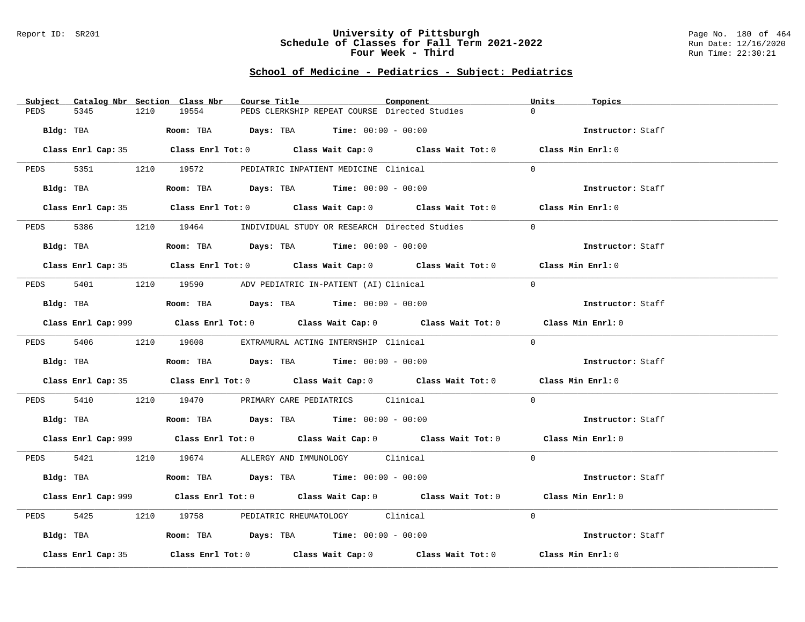### Report ID: SR201 **University of Pittsburgh** Page No. 180 of 464 **Schedule of Classes for Fall Term 2021-2022** Run Date: 12/16/2020 **Four Week - Third Run Time: 22:30:21**

# **School of Medicine - Pediatrics - Subject: Pediatrics**

| Subject                                                                                                        | Catalog Nbr Section Class Nbr<br>Course Title                                                      | Component | Units<br>Topics   |
|----------------------------------------------------------------------------------------------------------------|----------------------------------------------------------------------------------------------------|-----------|-------------------|
| 5345<br>PEDS                                                                                                   | 19554<br>PEDS CLERKSHIP REPEAT COURSE Directed Studies<br>1210                                     |           | $\Omega$          |
| Bldg: TBA                                                                                                      | Room: TBA $Days:$ TBA $Time: 00:00 - 00:00$                                                        |           | Instructor: Staff |
|                                                                                                                | Class Enrl Cap: 35 Class Enrl Tot: 0 Class Wait Cap: 0 Class Wait Tot: 0 Class Min Enrl: 0         |           |                   |
|                                                                                                                | PEDS 5351 1210 19572 PEDIATRIC INPATIENT MEDICINE Clinical                                         |           | $\Omega$          |
| Bldg: TBA                                                                                                      | Room: TBA $Days:$ TBA $Time: 00:00 - 00:00$                                                        |           | Instructor: Staff |
|                                                                                                                | Class Enrl Cap: 35 Class Enrl Tot: 0 Class Wait Cap: 0 Class Wait Tot: 0 Class Min Enrl: 0         |           |                   |
| 5386<br>PEDS                                                                                                   | 1210 19464 INDIVIDUAL STUDY OR RESEARCH Directed Studies                                           |           | $\overline{0}$    |
| Bldg: TBA and the state of the state of the state of the state of the state of the state of the state of the s | Room: TBA $Days:$ TBA $Time: 00:00 - 00:00$                                                        |           | Instructor: Staff |
|                                                                                                                | Class Enrl Cap: 35 Class Enrl Tot: 0 Class Wait Cap: 0 Class Wait Tot: 0 Class Min Enrl: 0         |           |                   |
|                                                                                                                |                                                                                                    |           |                   |
|                                                                                                                | PEDS 5401 1210 19590 ADV PEDIATRIC IN-PATIENT (AI) Clinical                                        |           | $\Omega$          |
| Bldg: TBA                                                                                                      | Room: TBA $Days:$ TBA $Time: 00:00 - 00:00$                                                        |           | Instructor: Staff |
|                                                                                                                | Class Enrl Cap: 999 Class Enrl Tot: 0 Class Wait Cap: 0 Class Wait Tot: 0 Class Min Enrl: 0        |           |                   |
|                                                                                                                | PEDS 5406 1210 19608 EXTRAMURAL ACTING INTERNSHIP Clinical                                         |           | $\Omega$          |
| Bldg: TBA                                                                                                      | Room: TBA $Days:$ TBA Time: $00:00 - 00:00$                                                        |           | Instructor: Staff |
|                                                                                                                | Class Enrl Cap: 35 Class Enrl Tot: 0 Class Wait Cap: 0 Class Wait Tot: 0 Class Min Enrl: 0         |           |                   |
| PEDS                                                                                                           | 5410 1210 19470 PRIMARY CARE PEDIATRICS Clinical                                                   |           | $\Omega$          |
|                                                                                                                | <b>Bldg:</b> TBA <b>Room:</b> TBA <b>Days:</b> TBA <b>Time:</b> $00:00 - 00:00$                    |           | Instructor: Staff |
|                                                                                                                | Class Enrl Cap: 999 Class Enrl Tot: 0 Class Wait Cap: 0 Class Wait Tot: 0 Class Min Enrl: 0        |           |                   |
|                                                                                                                | PEDS 5421 1210 19674 ALLERGY AND IMMUNOLOGY Clinical                                               |           | $\Omega$          |
| Bldg: TBA                                                                                                      | Room: TBA $\rule{1em}{0.15mm}$ Days: TBA Time: $00:00 - 00:00$                                     |           | Instructor: Staff |
|                                                                                                                | Class Enrl Cap: 999 Class Enrl Tot: 0 Class Wait Cap: 0 Class Wait Tot: 0 Class Min Enrl: 0        |           |                   |
| 5425<br>PEDS                                                                                                   | 1210 19758 PEDIATRIC RHEUMATOLOGY Clinical                                                         |           | $\Omega$          |
| Bldg: TBA                                                                                                      | Room: TBA $\rule{1em}{0.15mm}$ Days: TBA Time: $00:00 - 00:00$                                     |           | Instructor: Staff |
| Class Enrl Cap: 35                                                                                             | Class Enrl Tot: 0 $\qquad$ Class Wait Cap: 0 $\qquad$ Class Wait Tot: 0 $\qquad$ Class Min Enrl: 0 |           |                   |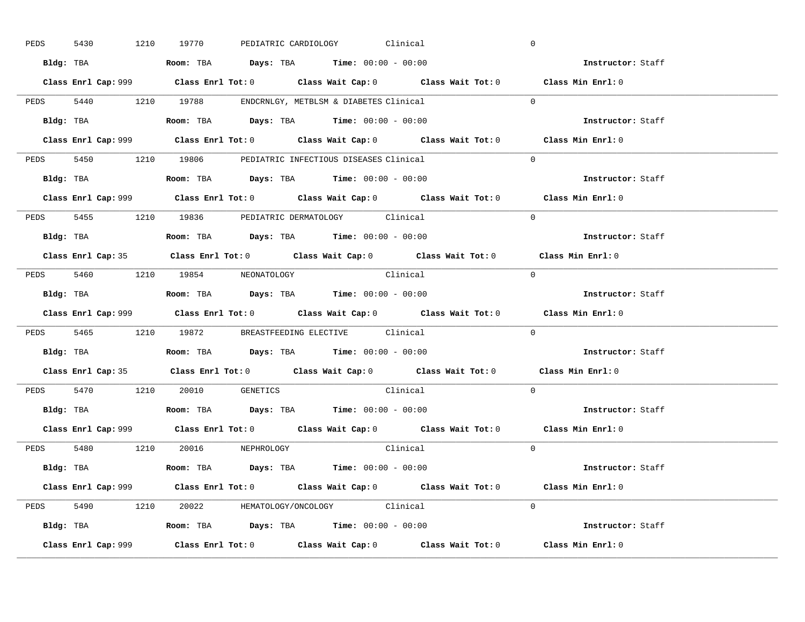| 5430      |           | 1210 19770                                                                             |  | PEDIATRIC CARDIOLOGY Clinical |                                                                                             | $\overline{0}$ |                   |  |
|-----------|-----------|----------------------------------------------------------------------------------------|--|-------------------------------|---------------------------------------------------------------------------------------------|----------------|-------------------|--|
|           |           | Bldg: TBA                   Room: TBA         Days: TBA         Time: $00:00 - 00:00$  |  |                               |                                                                                             |                | Instructor: Staff |  |
|           |           |                                                                                        |  |                               | Class Enrl Cap: 999 Class Enrl Tot: 0 Class Wait Cap: 0 Class Wait Tot: 0 Class Min Enrl: 0 |                |                   |  |
|           |           | PEDS 5440 1210 19788 ENDCRNLGY, METBLSM & DIABETES Clinical                            |  |                               |                                                                                             | $\Omega$       |                   |  |
|           | Bldg: TBA | Room: TBA $Days:$ TBA $Time: 00:00 - 00:00$                                            |  |                               |                                                                                             |                | Instructor: Staff |  |
|           |           |                                                                                        |  |                               | Class Enrl Cap: 999 Class Enrl Tot: 0 Class Wait Cap: 0 Class Wait Tot: 0 Class Min Enrl: 0 |                |                   |  |
|           |           | PEDS 5450 1210 19806 PEDIATRIC INFECTIOUS DISEASES Clinical                            |  |                               |                                                                                             | $\Omega$       |                   |  |
|           |           | Bldg: TBA                    Room: TBA         Days: TBA        Time: $00:00 - 00:00$  |  |                               |                                                                                             |                | Instructor: Staff |  |
|           |           |                                                                                        |  |                               | Class Enrl Cap: 999 Class Enrl Tot: 0 Class Wait Cap: 0 Class Wait Tot: 0 Class Min Enrl: 0 |                |                   |  |
|           |           | PEDS 5455 1210 19836 PEDIATRIC DERMATOLOGY Clinical                                    |  |                               |                                                                                             | $\Omega$       |                   |  |
|           |           | Bldg: TBA                    Room: TBA         Days: TBA         Time: $00:00 - 00:00$ |  |                               |                                                                                             |                | Instructor: Staff |  |
|           |           |                                                                                        |  |                               | Class Enrl Cap: 35 Class Enrl Tot: 0 Class Wait Cap: 0 Class Wait Tot: 0 Class Min Enrl: 0  |                |                   |  |
|           |           | PEDS 5460 1210 19854 NEONATOLOGY                                                       |  |                               | Clinical                                                                                    | $\bigcirc$     |                   |  |
|           |           |                                                                                        |  |                               |                                                                                             |                | Instructor: Staff |  |
|           |           |                                                                                        |  |                               |                                                                                             |                |                   |  |
|           |           |                                                                                        |  |                               | Class Enrl Cap: 999 Class Enrl Tot: 0 Class Wait Cap: 0 Class Wait Tot: 0 Class Min Enrl: 0 |                |                   |  |
|           |           | PEDS 5465 1210 19872 BREASTFEEDING ELECTIVE Clinical                                   |  |                               |                                                                                             | $\mathbf{0}$   |                   |  |
| Bldg: TBA |           | Room: TBA $\rule{1em}{0.15mm}$ Days: TBA Time: $00:00 - 00:00$                         |  |                               |                                                                                             |                | Instructor: Staff |  |
|           |           |                                                                                        |  |                               | Class Enrl Cap: 35 Class Enrl Tot: 0 Class Wait Cap: 0 Class Wait Tot: 0 Class Min Enrl: 0  |                |                   |  |
|           |           | PEDS 5470 1210 20010 GENETICS                                                          |  |                               | Clinical                                                                                    | $\Omega$       |                   |  |
|           |           | Bldg: TBA                    Room: TBA         Days: TBA         Time: $00:00 - 00:00$ |  |                               |                                                                                             |                | Instructor: Staff |  |
|           |           |                                                                                        |  |                               | Class Enrl Cap: 999 Class Enrl Tot: 0 Class Wait Cap: 0 Class Wait Tot: 0 Class Min Enrl: 0 |                |                   |  |
|           |           | PEDS 5480 1210 20016 NEPHROLOGY                                                        |  |                               | Clinical                                                                                    | $\Omega$       |                   |  |
|           |           | Bldg: TBA                   Room: TBA         Days: TBA         Time: 00:00 - 00:00    |  |                               |                                                                                             |                | Instructor: Staff |  |
|           |           |                                                                                        |  |                               | Class Enrl Cap: 999 Class Enrl Tot: 0 Class Wait Cap: 0 Class Wait Tot: 0 Class Min Enrl: 0 |                |                   |  |
|           |           | PEDS 5490 1210 20022 HEMATOLOGY/ONCOLOGY Clinical                                      |  |                               |                                                                                             | $\Omega$       |                   |  |
|           |           | <b>Bldg:</b> TBA <b>ROOM:</b> TBA <b>Days:</b> TBA <b>Time:</b> $00:00 - 00:00$        |  |                               |                                                                                             |                | Instructor: Staff |  |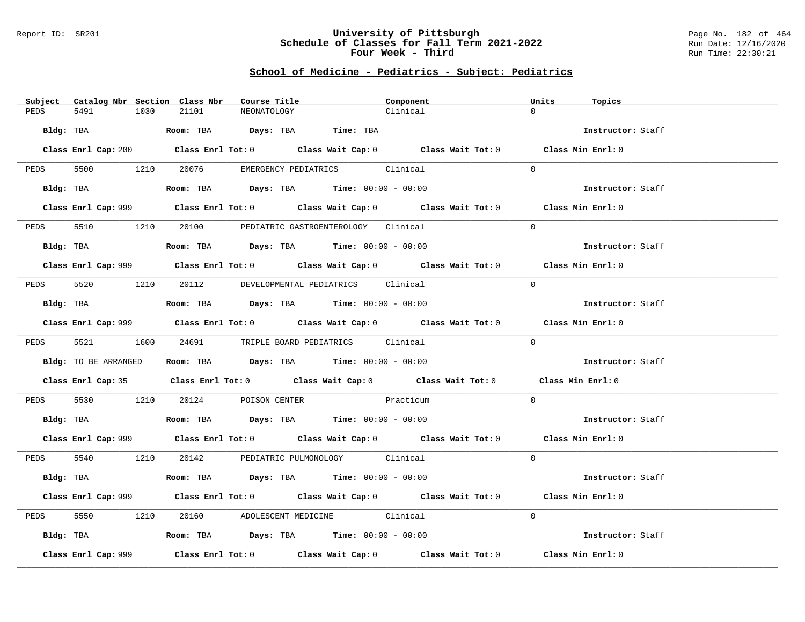#### Report ID: SR201 **University of Pittsburgh** Page No. 182 of 464 **Schedule of Classes for Fall Term 2021-2022** Run Date: 12/16/2020 **Four Week - Third Run Time: 22:30:21**

# **School of Medicine - Pediatrics - Subject: Pediatrics**

| Subject Catalog Nbr Section Class Nbr | Course Title                                                                                | Component                                                                                          | Units<br>Topics   |
|---------------------------------------|---------------------------------------------------------------------------------------------|----------------------------------------------------------------------------------------------------|-------------------|
| 5491<br>PEDS<br>1030                  | 21101<br>NEONATOLOGY                                                                        | Clinical                                                                                           | $\Omega$          |
| Bldg: TBA                             | Room: TBA Days: TBA Time: TBA                                                               |                                                                                                    | Instructor: Staff |
|                                       |                                                                                             | Class Enrl Cap: 200 Class Enrl Tot: 0 Class Wait Cap: 0 Class Wait Tot: 0 Class Min Enrl: 0        |                   |
|                                       | PEDS 5500 1210 20076 EMERGENCY PEDIATRICS Clinical                                          |                                                                                                    | $\bigcap$         |
|                                       | Bldg: TBA                   Room: TBA        Days: TBA        Time: $00:00 - 00:00$         |                                                                                                    | Instructor: Staff |
|                                       |                                                                                             | Class Enrl Cap: 999 Class Enrl Tot: 0 Class Wait Cap: 0 Class Wait Tot: 0 Class Min Enrl: 0        |                   |
| 5510 1210<br>PEDS                     | 20100 PEDIATRIC GASTROENTEROLOGY Clinical                                                   |                                                                                                    | $\Omega$          |
| Bldg: TBA                             | Room: TBA $Days:$ TBA $Time: 00:00 - 00:00$                                                 |                                                                                                    | Instructor: Staff |
|                                       |                                                                                             | Class Enrl Cap: 999 Class Enrl Tot: 0 Class Wait Cap: 0 Class Wait Tot: 0 Class Min Enrl: 0        |                   |
|                                       | PEDS 5520 1210 20112 DEVELOPMENTAL PEDIATRICS Clinical                                      |                                                                                                    | $\Omega$          |
|                                       | Bldg: TBA                   Room: TBA         Days: TBA         Time: 00:00 - 00:00         |                                                                                                    | Instructor: Staff |
|                                       |                                                                                             | Class Enrl Cap: 999 Class Enrl Tot: 0 Class Wait Cap: 0 Class Wait Tot: 0 Class Min Enrl: 0        |                   |
|                                       | PEDS 5521 1600 24691 TRIPLE BOARD PEDIATRICS Clinical                                       |                                                                                                    | $\Omega$          |
| Bldg: TO BE ARRANGED                  | Room: TBA $Days:$ TBA $Time:$ 00:00 - 00:00                                                 |                                                                                                    | Instructor: Staff |
|                                       |                                                                                             | Class Enrl Cap: 35 Class Enrl Tot: 0 Class Wait Cap: 0 Class Wait Tot: 0 Class Min Enrl: 0         |                   |
| PEDS                                  | 5530 1210 20124 POISON CENTER Practicum                                                     |                                                                                                    | $\Omega$          |
|                                       | Bldg: TBA                   Room: TBA         Days: TBA         Time: $00:00 - 00:00$       |                                                                                                    | Instructor: Staff |
|                                       |                                                                                             | Class Enrl Cap: 999 Class Enrl Tot: 0 Class Wait Cap: 0 Class Wait Tot: 0 Class Min Enrl: 0        |                   |
|                                       | PEDS 5540 1210 20142 PEDIATRIC PULMONOLOGY Clinical                                         |                                                                                                    | $\Omega$          |
|                                       | <b>Bldg:</b> TBA <b>ROOM:</b> TBA <b>Days:</b> TBA <b>Time:</b> $00:00 - 00:00$             |                                                                                                    | Instructor: Staff |
|                                       |                                                                                             | Class Enrl Cap: 999 Class Enrl Tot: 0 Class Wait Cap: 0 Class Wait Tot: 0 Class Min Enrl: 0        |                   |
| 5550<br>1210<br>PEDS                  | 20160 ADOLESCENT MEDICINE Clinical                                                          |                                                                                                    | $\Omega$          |
|                                       | Bldg: TBA                        Room: TBA          Days: TBA         Time: $00:00 - 00:00$ |                                                                                                    | Instructor: Staff |
| Class Enrl Cap: 999                   |                                                                                             | Class Enrl Tot: 0 $\qquad$ Class Wait Cap: 0 $\qquad$ Class Wait Tot: 0 $\qquad$ Class Min Enrl: 0 |                   |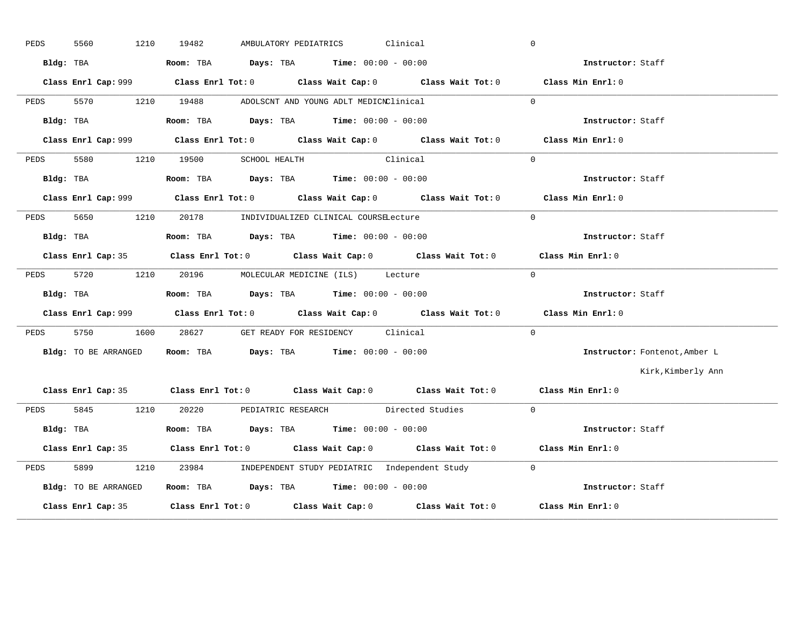| PEDS | 5560<br>1210         | AMBULATORY PEDIATRICS Clinical<br>19482                                                     | $\overline{0}$                |
|------|----------------------|---------------------------------------------------------------------------------------------|-------------------------------|
|      | Bldg: TBA            | <b>Room:</b> TBA $Days: TBA$ <b>Time:</b> $00:00 - 00:00$                                   | <b>Instructor:</b> Staff      |
|      |                      | Class Enrl Cap: 999 Class Enrl Tot: 0 Class Wait Cap: 0 Class Wait Tot: 0 Class Min Enrl: 0 |                               |
| PEDS |                      | 5570 1210 19488 ADOLSCNT AND YOUNG ADLT MEDICNClinical                                      | $\Omega$                      |
|      | Bldg: TBA            | Room: TBA $Days:$ TBA $Time: 00:00 - 00:00$                                                 | Instructor: Staff             |
|      |                      | Class Enrl Cap: 999 Class Enrl Tot: 0 Class Wait Cap: 0 Class Wait Tot: 0 Class Min Enrl: 0 |                               |
| PEDS |                      | 5580 1210 19500 SCHOOL HEALTH Clinical                                                      | $\Omega$                      |
|      | Bldg: TBA            | Room: TBA $Days:$ TBA $Time: 00:00 - 00:00$                                                 | Instructor: Staff             |
|      |                      | Class Enrl Cap: 999 Class Enrl Tot: 0 Class Wait Cap: 0 Class Wait Tot: 0 Class Min Enrl: 0 |                               |
|      |                      | PEDS 5650 1210 20178 INDIVIDUALIZED CLINICAL COURSELecture                                  | $\Omega$                      |
|      | Bldg: TBA            | Room: TBA $Days:$ TBA $Time: 00:00 - 00:00$                                                 | Instructor: Staff             |
|      |                      | Class Enrl Cap: 35 Class Enrl Tot: 0 Class Wait Cap: 0 Class Wait Tot: 0 Class Min Enrl: 0  |                               |
| PEDS |                      | 5720 1210 20196 MOLECULAR MEDICINE (ILS) Lecture                                            | $\overline{0}$                |
|      |                      | Bldg: TBA                       Room: TBA          Days: TBA          Time: 00:00 - 00:00   | Instructor: Staff             |
|      |                      | Class Enrl Cap: 999 Class Enrl Tot: 0 Class Wait Cap: 0 Class Wait Tot: 0 Class Min Enrl: 0 |                               |
|      |                      | PEDS 5750 1600 28627 GET READY FOR RESIDENCY Clinical                                       | $\Omega$                      |
|      | Bldg: TO BE ARRANGED | Room: TBA $Days:$ TBA $Time: 00:00 - 00:00$                                                 | Instructor: Fontenot, Amber L |
|      |                      |                                                                                             | Kirk, Kimberly Ann            |
|      |                      | Class Enrl Cap: 35 Class Enrl Tot: 0 Class Wait Cap: 0 Class Wait Tot: 0 Class Min Enrl: 0  |                               |
|      |                      | PEDS 5845 1210 20220 PEDIATRIC RESEARCH Directed Studies 0                                  |                               |
|      | Bldg: TBA            | Room: TBA $\rule{1em}{0.15mm}$ Days: TBA Time: $00:00 - 00:00$                              | Instructor: Staff             |
|      |                      | Class Enrl Cap: 35 Class Enrl Tot: 0 Class Wait Cap: 0 Class Wait Tot: 0 Class Min Enrl: 0  |                               |
| PEDS | 5899                 | 1210 23984 INDEPENDENT STUDY PEDIATRIC Independent Study 0                                  |                               |
|      | Bldg: TO BE ARRANGED | Room: TBA Days: TBA Time: $00:00 - 00:00$                                                   |                               |
|      |                      | Class Enrl Cap: 35 Class Enrl Tot: 0 Class Wait Cap: 0 Class Wait Tot: 0 Class Min Enrl: 0  |                               |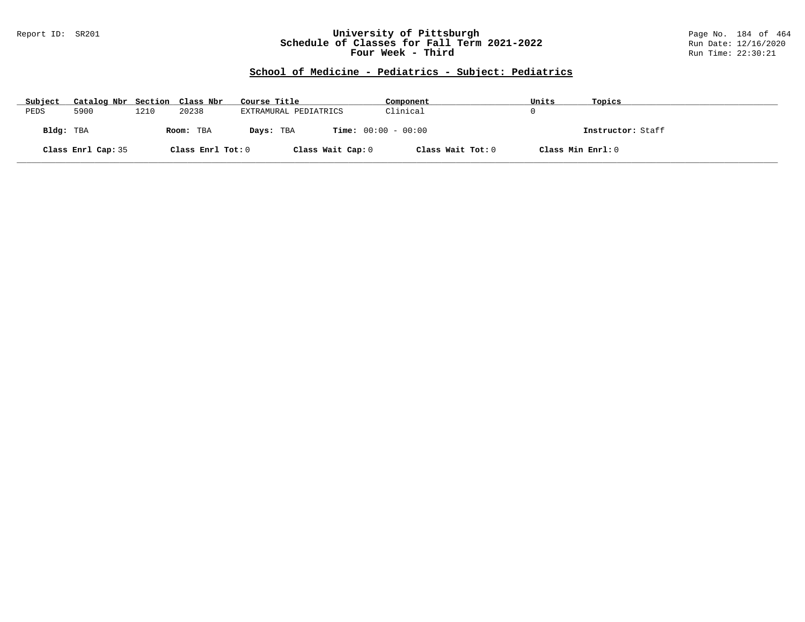### Report ID: SR201 **University of Pittsburgh** Page No. 184 of 464 **Schedule of Classes for Fall Term 2021-2022** Run Date: 12/16/2020 **Four Week - Third Run Time: 22:30:21**

# **School of Medicine - Pediatrics - Subject: Pediatrics**

| Subject   | Catalog Nbr Section Class Nbr |      |                   | Course Title                              | Component         | Units             | Topics            |
|-----------|-------------------------------|------|-------------------|-------------------------------------------|-------------------|-------------------|-------------------|
| PEDS      | 5900                          | 1210 | 20238             | EXTRAMURAL PEDIATRICS                     | Clinical          |                   |                   |
| Bldg: TBA |                               |      | Room: TBA         | <b>Time:</b> $00:00 - 00:00$<br>Days: TBA |                   |                   | Instructor: Staff |
|           | Class Enrl Cap: 35            |      | Class Enrl Tot: 0 | Class Wait Cap: 0                         | Class Wait Tot: 0 | Class Min Enrl: 0 |                   |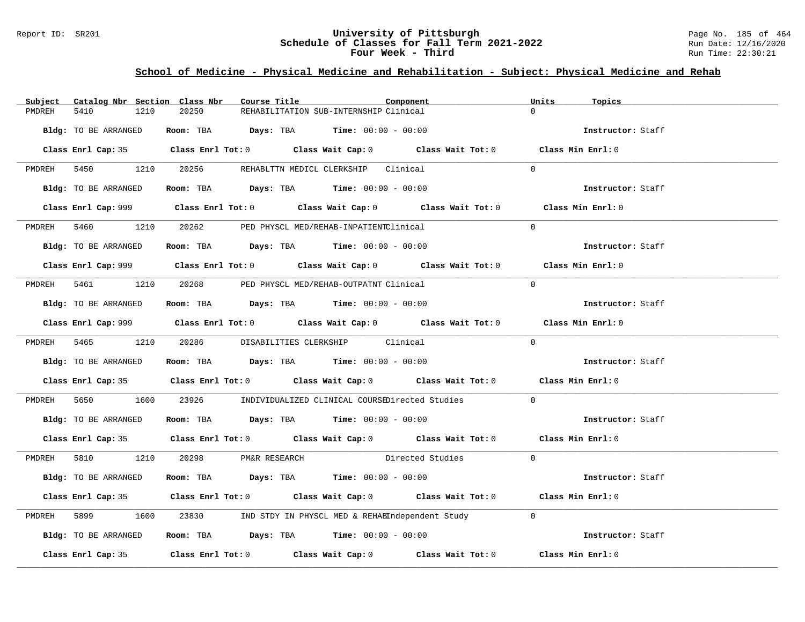### Report ID: SR201 **1988 Manufact Schedule of Classes for Fall Term 2021-2022** Page No. 185 of 464 Page No. 185 of 464<br>**Schedule of Classes for Fall Term 2021-2022** Paul Date: 12/16/2020 **Schedule of Classes for Fall Term 2021-2022** Run Date: 12/16/2020 **Four Week - Third Run Time: 22:30:21**

# **School of Medicine - Physical Medicine and Rehabilitation - Subject: Physical Medicine and Rehab**

| Subject              | Catalog Nbr Section Class Nbr<br>Course Title                                                                                                                                                                                                                                                                  | Component                                                                                   | Units<br>Topics   |
|----------------------|----------------------------------------------------------------------------------------------------------------------------------------------------------------------------------------------------------------------------------------------------------------------------------------------------------------|---------------------------------------------------------------------------------------------|-------------------|
| 5410<br>PMDREH       | 20250<br>1210                                                                                                                                                                                                                                                                                                  | REHABILITATION SUB-INTERNSHIP Clinical                                                      | $\Omega$          |
| Bldg: TO BE ARRANGED | Room: TBA $Days:$ TBA Time: $00:00 - 00:00$                                                                                                                                                                                                                                                                    |                                                                                             | Instructor: Staff |
|                      |                                                                                                                                                                                                                                                                                                                | Class Enrl Cap: 35 Class Enrl Tot: 0 Class Wait Cap: 0 Class Wait Tot: 0 Class Min Enrl: 0  |                   |
|                      | PMDREH 5450 1210 20256 REHABLTTN MEDICL CLERKSHIP Clinical                                                                                                                                                                                                                                                     |                                                                                             | $\Omega$          |
| Bldg: TO BE ARRANGED | Room: TBA $Days:$ TBA $Time: 00:00 - 00:00$                                                                                                                                                                                                                                                                    |                                                                                             | Instructor: Staff |
|                      |                                                                                                                                                                                                                                                                                                                |                                                                                             | Class Min Enrl: 0 |
|                      | PMDREH 5460 1210 20262 PED PHYSCL MED/REHAB-INPATIENTClinical                                                                                                                                                                                                                                                  |                                                                                             | $\Omega$          |
| Bldg: TO BE ARRANGED | <b>Room:</b> TBA $\rule{1em}{0.15mm}$ $\rule{1.5mm}{0.15mm}$ $\rule{1.5mm}{0.15mm}$ $\rule{1.5mm}{0.15mm}$ $\rule{1.5mm}{0.15mm}$ $\rule{1.5mm}{0.15mm}$ $\rule{1.5mm}{0.15mm}$ $\rule{1.5mm}{0.15mm}$ $\rule{1.5mm}{0.15mm}$ $\rule{1.5mm}{0.15mm}$ $\rule{1.5mm}{0.15mm}$ $\rule{1.5mm}{0.15mm}$ $\rule{1.5$ |                                                                                             | Instructor: Staff |
|                      |                                                                                                                                                                                                                                                                                                                |                                                                                             | Class Min Enrl: 0 |
|                      | PMDREH 5461 1210 20268 PED PHYSCL MED/REHAB-OUTPATNT Clinical                                                                                                                                                                                                                                                  |                                                                                             | $\overline{0}$    |
|                      | Bldg: TO BE ARRANGED Room: TBA Days: TBA Time: 00:00 - 00:00                                                                                                                                                                                                                                                   |                                                                                             | Instructor: Staff |
|                      |                                                                                                                                                                                                                                                                                                                | Class Enrl Cap: 999 Class Enrl Tot: 0 Class Wait Cap: 0 Class Wait Tot: 0 Class Min Enrl: 0 |                   |
|                      | PMDREH 5465 1210 20286 DISABILITIES CLERKSHIP Clinical                                                                                                                                                                                                                                                         |                                                                                             | $\Omega$          |
| Bldg: TO BE ARRANGED | Room: TBA $Days: TBA$ Time: $00:00 - 00:00$                                                                                                                                                                                                                                                                    |                                                                                             | Instructor: Staff |
|                      |                                                                                                                                                                                                                                                                                                                | Class Enrl Cap: 35 Class Enrl Tot: 0 Class Wait Cap: 0 Class Wait Tot: 0 Class Min Enrl: 0  |                   |
|                      |                                                                                                                                                                                                                                                                                                                | PMDREH 5650 1600 23926 INDIVIDUALIZED CLINICAL COURSEDirected Studies                       | $\mathbf{0}$      |
| Bldg: TO BE ARRANGED | Room: TBA $Days:$ TBA $Time: 00:00 - 00:00$                                                                                                                                                                                                                                                                    |                                                                                             | Instructor: Staff |
|                      |                                                                                                                                                                                                                                                                                                                | Class Enrl Cap: 35 Class Enrl Tot: 0 Class Wait Cap: 0 Class Wait Tot: 0 Class Min Enrl: 0  |                   |
|                      | PMDREH 5810 1210 20298 PM&R RESEARCH                                                                                                                                                                                                                                                                           | Directed Studies                                                                            | $\Omega$          |
| Bldg: TO BE ARRANGED | Room: TBA $\rule{1em}{0.15mm}$ Days: TBA $\rule{1.15mm}{0.15mm}$ Time: $00:00 - 00:00$                                                                                                                                                                                                                         |                                                                                             | Instructor: Staff |
|                      |                                                                                                                                                                                                                                                                                                                | Class Enrl Cap: 35 Class Enrl Tot: 0 Class Wait Cap: 0 Class Wait Tot: 0 Class Min Enrl: 0  |                   |
| PMDREH 5899          |                                                                                                                                                                                                                                                                                                                | 1600 23830 IND STDY IN PHYSCL MED & REHAEIndependent Study                                  | $\Omega$          |
| Bldg: TO BE ARRANGED | <b>Room:</b> TBA $\rule{1em}{0.15mm}$ <b>Days:</b> TBA <b>Time:</b> $00:00 - 00:00$                                                                                                                                                                                                                            |                                                                                             | Instructor: Staff |
|                      |                                                                                                                                                                                                                                                                                                                | Class Enrl Cap: 35 Class Enrl Tot: 0 Class Wait Cap: 0 Class Wait Tot: 0 Class Min Enrl: 0  |                   |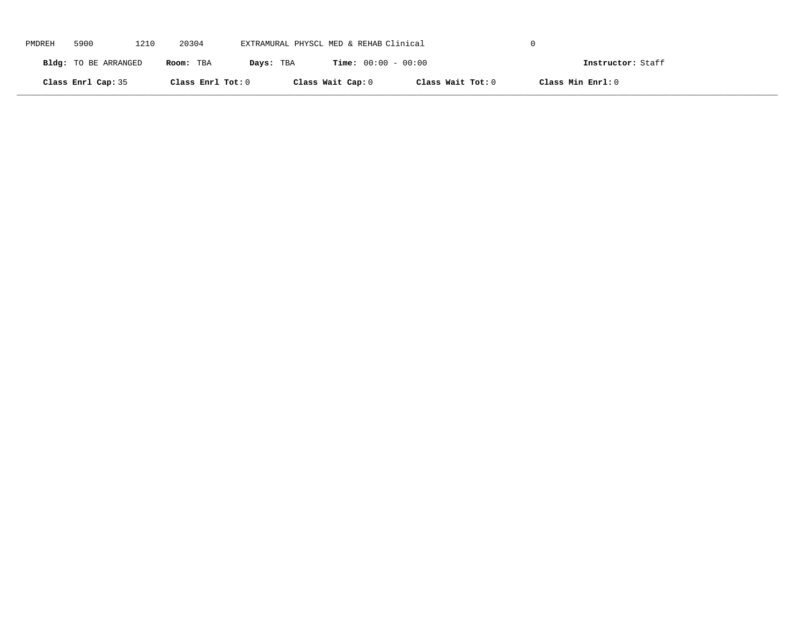| PMDREH | 5900                 | 1210 | 20304             | EXTRAMURAL PHYSCL MED & REHAB Clinical |                              |                   |                   |  |
|--------|----------------------|------|-------------------|----------------------------------------|------------------------------|-------------------|-------------------|--|
|        | Bldg: TO BE ARRANGED |      | Room: TBA         | Days: TBA                              | <b>Time:</b> $00:00 - 00:00$ |                   | Instructor: Staff |  |
|        | Class Enrl Cap: 35   |      | Class Enrl Tot: 0 |                                        | Class Wait Cap: 0            | Class Wait Tot: 0 | Class Min Enrl: 0 |  |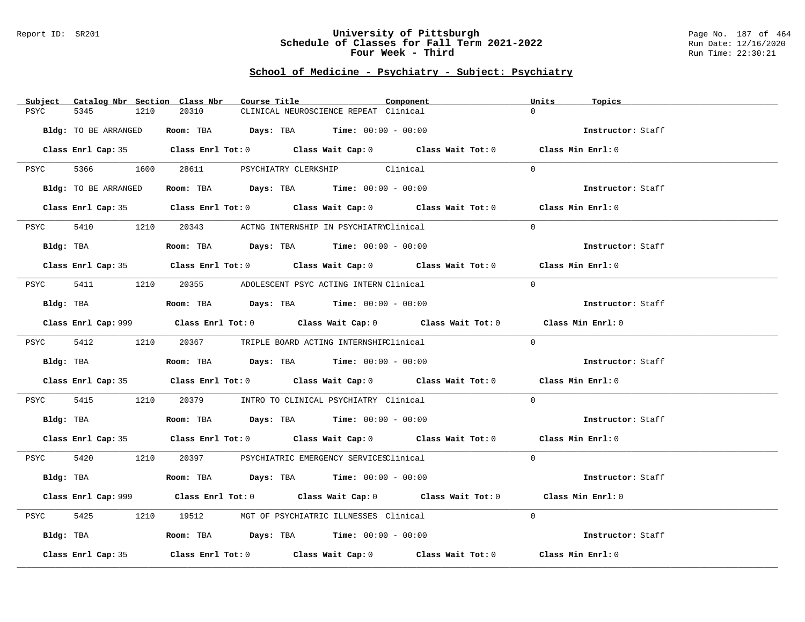#### Report ID: SR201 **University of Pittsburgh** Page No. 187 of 464 **Schedule of Classes for Fall Term 2021-2022** Run Date: 12/16/2020 **Four Week - Third Run Time: 22:30:21**

| $\Omega$<br>20310<br>CLINICAL NEUROSCIENCE REPEAT Clinical<br>PSYC<br>5345<br>1210<br>Room: TBA $Days:$ TBA $Time: 00:00 - 00:00$<br>Bldg: TO BE ARRANGED<br>Instructor: Staff<br>Class Enrl Cap: 35 Class Enrl Tot: 0 Class Wait Cap: 0 Class Wait Tot: 0 Class Min Enrl: 0<br>PSYC 5366 1600 28611 PSYCHIATRY CLERKSHIP Clinical<br>$\Omega$<br>Room: TBA $\rule{1em}{0.15mm}$ Days: TBA Time: $00:00 - 00:00$<br>Bldg: TO BE ARRANGED<br>Instructor: Staff<br>Class Enrl Cap: 35 Class Enrl Tot: 0 Class Wait Cap: 0 Class Wait Tot: 0 Class Min Enrl: 0<br>5410 1210<br>20343 ACTNG INTERNSHIP IN PSYCHIATRYClinical<br>$\Omega$<br>PSYC<br>Room: TBA $Days:$ TBA $Time: 00:00 - 00:00$<br>Bldg: TBA<br>Instructor: Staff<br>Class Enrl Cap: 35 Class Enrl Tot: 0 Class Wait Cap: 0 Class Wait Tot: 0 Class Min Enrl: 0<br>5411 1210 20355 ADOLESCENT PSYC ACTING INTERN Clinical<br>$\Omega$<br>PSYC<br>Room: TBA $Days:$ TBA Time: $00:00 - 00:00$<br>Bldg: TBA<br>Instructor: Staff<br>Class Enrl Cap: 999 Class Enrl Tot: 0 Class Wait Cap: 0 Class Wait Tot: 0 Class Min Enrl: 0<br>$\Omega$<br>PSYC 5412 1210 20367 TRIPLE BOARD ACTING INTERNSHIPClinical<br>Bldg: TBA<br>Room: TBA $Days:$ TBA $Time: 00:00 - 00:00$<br>Instructor: Staff<br>Class Enrl Cap: 35 Class Enrl Tot: 0 Class Wait Cap: 0 Class Wait Tot: 0 Class Min Enrl: 0<br>PSYC 5415 1210 20379 INTRO TO CLINICAL PSYCHIATRY Clinical<br>$\overline{0}$<br>Room: TBA $Days:$ TBA Time: $00:00 - 00:00$<br>Bldg: TBA<br>Instructor: Staff<br>Class Enrl Cap: 35 Class Enrl Tot: 0 Class Wait Cap: 0 Class Wait Tot: 0 Class Min Enrl: 0<br>PSYC 5420 1210 20397 PSYCHIATRIC EMERGENCY SERVICESClinical<br>$\Omega$<br>Room: TBA $Days:$ TBA $Time:$ $00:00 - 00:00$<br>Bldg: TBA<br>Instructor: Staff<br>Class Enrl Cap: 999 Class Enrl Tot: 0 Class Wait Cap: 0 Class Wait Tot: 0 Class Min Enrl: 0<br>1210 19512 MGT OF PSYCHIATRIC ILLNESSES Clinical<br>$\Omega$<br>5425<br>PSYC<br>Room: TBA $\rule{1em}{0.15mm}$ Days: TBA $\rule{1.5mm}{0.15mm}$ Time: $00:00 - 00:00$<br>Bldg: TBA<br>Instructor: Staff<br>Class Enrl Tot: $0$ Class Wait Cap: $0$ Class Wait Tot: $0$<br>Class Min Enrl: 0<br>Class Enrl Cap: 35 | Subject<br>Catalog Nbr Section Class Nbr | Course Title | Component | Units<br>Topics |
|------------------------------------------------------------------------------------------------------------------------------------------------------------------------------------------------------------------------------------------------------------------------------------------------------------------------------------------------------------------------------------------------------------------------------------------------------------------------------------------------------------------------------------------------------------------------------------------------------------------------------------------------------------------------------------------------------------------------------------------------------------------------------------------------------------------------------------------------------------------------------------------------------------------------------------------------------------------------------------------------------------------------------------------------------------------------------------------------------------------------------------------------------------------------------------------------------------------------------------------------------------------------------------------------------------------------------------------------------------------------------------------------------------------------------------------------------------------------------------------------------------------------------------------------------------------------------------------------------------------------------------------------------------------------------------------------------------------------------------------------------------------------------------------------------------------------------------------------------------------------------------------------------------------------------------------------------------------------------------------------------------------------------------------------------------------------------------------------------------------------------------------------------------------------------------------------------|------------------------------------------|--------------|-----------|-----------------|
|                                                                                                                                                                                                                                                                                                                                                                                                                                                                                                                                                                                                                                                                                                                                                                                                                                                                                                                                                                                                                                                                                                                                                                                                                                                                                                                                                                                                                                                                                                                                                                                                                                                                                                                                                                                                                                                                                                                                                                                                                                                                                                                                                                                                      |                                          |              |           |                 |
|                                                                                                                                                                                                                                                                                                                                                                                                                                                                                                                                                                                                                                                                                                                                                                                                                                                                                                                                                                                                                                                                                                                                                                                                                                                                                                                                                                                                                                                                                                                                                                                                                                                                                                                                                                                                                                                                                                                                                                                                                                                                                                                                                                                                      |                                          |              |           |                 |
|                                                                                                                                                                                                                                                                                                                                                                                                                                                                                                                                                                                                                                                                                                                                                                                                                                                                                                                                                                                                                                                                                                                                                                                                                                                                                                                                                                                                                                                                                                                                                                                                                                                                                                                                                                                                                                                                                                                                                                                                                                                                                                                                                                                                      |                                          |              |           |                 |
|                                                                                                                                                                                                                                                                                                                                                                                                                                                                                                                                                                                                                                                                                                                                                                                                                                                                                                                                                                                                                                                                                                                                                                                                                                                                                                                                                                                                                                                                                                                                                                                                                                                                                                                                                                                                                                                                                                                                                                                                                                                                                                                                                                                                      |                                          |              |           |                 |
|                                                                                                                                                                                                                                                                                                                                                                                                                                                                                                                                                                                                                                                                                                                                                                                                                                                                                                                                                                                                                                                                                                                                                                                                                                                                                                                                                                                                                                                                                                                                                                                                                                                                                                                                                                                                                                                                                                                                                                                                                                                                                                                                                                                                      |                                          |              |           |                 |
|                                                                                                                                                                                                                                                                                                                                                                                                                                                                                                                                                                                                                                                                                                                                                                                                                                                                                                                                                                                                                                                                                                                                                                                                                                                                                                                                                                                                                                                                                                                                                                                                                                                                                                                                                                                                                                                                                                                                                                                                                                                                                                                                                                                                      |                                          |              |           |                 |
|                                                                                                                                                                                                                                                                                                                                                                                                                                                                                                                                                                                                                                                                                                                                                                                                                                                                                                                                                                                                                                                                                                                                                                                                                                                                                                                                                                                                                                                                                                                                                                                                                                                                                                                                                                                                                                                                                                                                                                                                                                                                                                                                                                                                      |                                          |              |           |                 |
|                                                                                                                                                                                                                                                                                                                                                                                                                                                                                                                                                                                                                                                                                                                                                                                                                                                                                                                                                                                                                                                                                                                                                                                                                                                                                                                                                                                                                                                                                                                                                                                                                                                                                                                                                                                                                                                                                                                                                                                                                                                                                                                                                                                                      |                                          |              |           |                 |
|                                                                                                                                                                                                                                                                                                                                                                                                                                                                                                                                                                                                                                                                                                                                                                                                                                                                                                                                                                                                                                                                                                                                                                                                                                                                                                                                                                                                                                                                                                                                                                                                                                                                                                                                                                                                                                                                                                                                                                                                                                                                                                                                                                                                      |                                          |              |           |                 |
|                                                                                                                                                                                                                                                                                                                                                                                                                                                                                                                                                                                                                                                                                                                                                                                                                                                                                                                                                                                                                                                                                                                                                                                                                                                                                                                                                                                                                                                                                                                                                                                                                                                                                                                                                                                                                                                                                                                                                                                                                                                                                                                                                                                                      |                                          |              |           |                 |
|                                                                                                                                                                                                                                                                                                                                                                                                                                                                                                                                                                                                                                                                                                                                                                                                                                                                                                                                                                                                                                                                                                                                                                                                                                                                                                                                                                                                                                                                                                                                                                                                                                                                                                                                                                                                                                                                                                                                                                                                                                                                                                                                                                                                      |                                          |              |           |                 |
|                                                                                                                                                                                                                                                                                                                                                                                                                                                                                                                                                                                                                                                                                                                                                                                                                                                                                                                                                                                                                                                                                                                                                                                                                                                                                                                                                                                                                                                                                                                                                                                                                                                                                                                                                                                                                                                                                                                                                                                                                                                                                                                                                                                                      |                                          |              |           |                 |
|                                                                                                                                                                                                                                                                                                                                                                                                                                                                                                                                                                                                                                                                                                                                                                                                                                                                                                                                                                                                                                                                                                                                                                                                                                                                                                                                                                                                                                                                                                                                                                                                                                                                                                                                                                                                                                                                                                                                                                                                                                                                                                                                                                                                      |                                          |              |           |                 |
|                                                                                                                                                                                                                                                                                                                                                                                                                                                                                                                                                                                                                                                                                                                                                                                                                                                                                                                                                                                                                                                                                                                                                                                                                                                                                                                                                                                                                                                                                                                                                                                                                                                                                                                                                                                                                                                                                                                                                                                                                                                                                                                                                                                                      |                                          |              |           |                 |
|                                                                                                                                                                                                                                                                                                                                                                                                                                                                                                                                                                                                                                                                                                                                                                                                                                                                                                                                                                                                                                                                                                                                                                                                                                                                                                                                                                                                                                                                                                                                                                                                                                                                                                                                                                                                                                                                                                                                                                                                                                                                                                                                                                                                      |                                          |              |           |                 |
|                                                                                                                                                                                                                                                                                                                                                                                                                                                                                                                                                                                                                                                                                                                                                                                                                                                                                                                                                                                                                                                                                                                                                                                                                                                                                                                                                                                                                                                                                                                                                                                                                                                                                                                                                                                                                                                                                                                                                                                                                                                                                                                                                                                                      |                                          |              |           |                 |
|                                                                                                                                                                                                                                                                                                                                                                                                                                                                                                                                                                                                                                                                                                                                                                                                                                                                                                                                                                                                                                                                                                                                                                                                                                                                                                                                                                                                                                                                                                                                                                                                                                                                                                                                                                                                                                                                                                                                                                                                                                                                                                                                                                                                      |                                          |              |           |                 |
|                                                                                                                                                                                                                                                                                                                                                                                                                                                                                                                                                                                                                                                                                                                                                                                                                                                                                                                                                                                                                                                                                                                                                                                                                                                                                                                                                                                                                                                                                                                                                                                                                                                                                                                                                                                                                                                                                                                                                                                                                                                                                                                                                                                                      |                                          |              |           |                 |
|                                                                                                                                                                                                                                                                                                                                                                                                                                                                                                                                                                                                                                                                                                                                                                                                                                                                                                                                                                                                                                                                                                                                                                                                                                                                                                                                                                                                                                                                                                                                                                                                                                                                                                                                                                                                                                                                                                                                                                                                                                                                                                                                                                                                      |                                          |              |           |                 |
|                                                                                                                                                                                                                                                                                                                                                                                                                                                                                                                                                                                                                                                                                                                                                                                                                                                                                                                                                                                                                                                                                                                                                                                                                                                                                                                                                                                                                                                                                                                                                                                                                                                                                                                                                                                                                                                                                                                                                                                                                                                                                                                                                                                                      |                                          |              |           |                 |
|                                                                                                                                                                                                                                                                                                                                                                                                                                                                                                                                                                                                                                                                                                                                                                                                                                                                                                                                                                                                                                                                                                                                                                                                                                                                                                                                                                                                                                                                                                                                                                                                                                                                                                                                                                                                                                                                                                                                                                                                                                                                                                                                                                                                      |                                          |              |           |                 |
|                                                                                                                                                                                                                                                                                                                                                                                                                                                                                                                                                                                                                                                                                                                                                                                                                                                                                                                                                                                                                                                                                                                                                                                                                                                                                                                                                                                                                                                                                                                                                                                                                                                                                                                                                                                                                                                                                                                                                                                                                                                                                                                                                                                                      |                                          |              |           |                 |
|                                                                                                                                                                                                                                                                                                                                                                                                                                                                                                                                                                                                                                                                                                                                                                                                                                                                                                                                                                                                                                                                                                                                                                                                                                                                                                                                                                                                                                                                                                                                                                                                                                                                                                                                                                                                                                                                                                                                                                                                                                                                                                                                                                                                      |                                          |              |           |                 |
|                                                                                                                                                                                                                                                                                                                                                                                                                                                                                                                                                                                                                                                                                                                                                                                                                                                                                                                                                                                                                                                                                                                                                                                                                                                                                                                                                                                                                                                                                                                                                                                                                                                                                                                                                                                                                                                                                                                                                                                                                                                                                                                                                                                                      |                                          |              |           |                 |
|                                                                                                                                                                                                                                                                                                                                                                                                                                                                                                                                                                                                                                                                                                                                                                                                                                                                                                                                                                                                                                                                                                                                                                                                                                                                                                                                                                                                                                                                                                                                                                                                                                                                                                                                                                                                                                                                                                                                                                                                                                                                                                                                                                                                      |                                          |              |           |                 |
|                                                                                                                                                                                                                                                                                                                                                                                                                                                                                                                                                                                                                                                                                                                                                                                                                                                                                                                                                                                                                                                                                                                                                                                                                                                                                                                                                                                                                                                                                                                                                                                                                                                                                                                                                                                                                                                                                                                                                                                                                                                                                                                                                                                                      |                                          |              |           |                 |
|                                                                                                                                                                                                                                                                                                                                                                                                                                                                                                                                                                                                                                                                                                                                                                                                                                                                                                                                                                                                                                                                                                                                                                                                                                                                                                                                                                                                                                                                                                                                                                                                                                                                                                                                                                                                                                                                                                                                                                                                                                                                                                                                                                                                      |                                          |              |           |                 |
|                                                                                                                                                                                                                                                                                                                                                                                                                                                                                                                                                                                                                                                                                                                                                                                                                                                                                                                                                                                                                                                                                                                                                                                                                                                                                                                                                                                                                                                                                                                                                                                                                                                                                                                                                                                                                                                                                                                                                                                                                                                                                                                                                                                                      |                                          |              |           |                 |
|                                                                                                                                                                                                                                                                                                                                                                                                                                                                                                                                                                                                                                                                                                                                                                                                                                                                                                                                                                                                                                                                                                                                                                                                                                                                                                                                                                                                                                                                                                                                                                                                                                                                                                                                                                                                                                                                                                                                                                                                                                                                                                                                                                                                      |                                          |              |           |                 |
|                                                                                                                                                                                                                                                                                                                                                                                                                                                                                                                                                                                                                                                                                                                                                                                                                                                                                                                                                                                                                                                                                                                                                                                                                                                                                                                                                                                                                                                                                                                                                                                                                                                                                                                                                                                                                                                                                                                                                                                                                                                                                                                                                                                                      |                                          |              |           |                 |
|                                                                                                                                                                                                                                                                                                                                                                                                                                                                                                                                                                                                                                                                                                                                                                                                                                                                                                                                                                                                                                                                                                                                                                                                                                                                                                                                                                                                                                                                                                                                                                                                                                                                                                                                                                                                                                                                                                                                                                                                                                                                                                                                                                                                      |                                          |              |           |                 |
|                                                                                                                                                                                                                                                                                                                                                                                                                                                                                                                                                                                                                                                                                                                                                                                                                                                                                                                                                                                                                                                                                                                                                                                                                                                                                                                                                                                                                                                                                                                                                                                                                                                                                                                                                                                                                                                                                                                                                                                                                                                                                                                                                                                                      |                                          |              |           |                 |
|                                                                                                                                                                                                                                                                                                                                                                                                                                                                                                                                                                                                                                                                                                                                                                                                                                                                                                                                                                                                                                                                                                                                                                                                                                                                                                                                                                                                                                                                                                                                                                                                                                                                                                                                                                                                                                                                                                                                                                                                                                                                                                                                                                                                      |                                          |              |           |                 |
|                                                                                                                                                                                                                                                                                                                                                                                                                                                                                                                                                                                                                                                                                                                                                                                                                                                                                                                                                                                                                                                                                                                                                                                                                                                                                                                                                                                                                                                                                                                                                                                                                                                                                                                                                                                                                                                                                                                                                                                                                                                                                                                                                                                                      |                                          |              |           |                 |
|                                                                                                                                                                                                                                                                                                                                                                                                                                                                                                                                                                                                                                                                                                                                                                                                                                                                                                                                                                                                                                                                                                                                                                                                                                                                                                                                                                                                                                                                                                                                                                                                                                                                                                                                                                                                                                                                                                                                                                                                                                                                                                                                                                                                      |                                          |              |           |                 |
|                                                                                                                                                                                                                                                                                                                                                                                                                                                                                                                                                                                                                                                                                                                                                                                                                                                                                                                                                                                                                                                                                                                                                                                                                                                                                                                                                                                                                                                                                                                                                                                                                                                                                                                                                                                                                                                                                                                                                                                                                                                                                                                                                                                                      |                                          |              |           |                 |
|                                                                                                                                                                                                                                                                                                                                                                                                                                                                                                                                                                                                                                                                                                                                                                                                                                                                                                                                                                                                                                                                                                                                                                                                                                                                                                                                                                                                                                                                                                                                                                                                                                                                                                                                                                                                                                                                                                                                                                                                                                                                                                                                                                                                      |                                          |              |           |                 |
|                                                                                                                                                                                                                                                                                                                                                                                                                                                                                                                                                                                                                                                                                                                                                                                                                                                                                                                                                                                                                                                                                                                                                                                                                                                                                                                                                                                                                                                                                                                                                                                                                                                                                                                                                                                                                                                                                                                                                                                                                                                                                                                                                                                                      |                                          |              |           |                 |
|                                                                                                                                                                                                                                                                                                                                                                                                                                                                                                                                                                                                                                                                                                                                                                                                                                                                                                                                                                                                                                                                                                                                                                                                                                                                                                                                                                                                                                                                                                                                                                                                                                                                                                                                                                                                                                                                                                                                                                                                                                                                                                                                                                                                      |                                          |              |           |                 |
|                                                                                                                                                                                                                                                                                                                                                                                                                                                                                                                                                                                                                                                                                                                                                                                                                                                                                                                                                                                                                                                                                                                                                                                                                                                                                                                                                                                                                                                                                                                                                                                                                                                                                                                                                                                                                                                                                                                                                                                                                                                                                                                                                                                                      |                                          |              |           |                 |
|                                                                                                                                                                                                                                                                                                                                                                                                                                                                                                                                                                                                                                                                                                                                                                                                                                                                                                                                                                                                                                                                                                                                                                                                                                                                                                                                                                                                                                                                                                                                                                                                                                                                                                                                                                                                                                                                                                                                                                                                                                                                                                                                                                                                      |                                          |              |           |                 |
|                                                                                                                                                                                                                                                                                                                                                                                                                                                                                                                                                                                                                                                                                                                                                                                                                                                                                                                                                                                                                                                                                                                                                                                                                                                                                                                                                                                                                                                                                                                                                                                                                                                                                                                                                                                                                                                                                                                                                                                                                                                                                                                                                                                                      |                                          |              |           |                 |
|                                                                                                                                                                                                                                                                                                                                                                                                                                                                                                                                                                                                                                                                                                                                                                                                                                                                                                                                                                                                                                                                                                                                                                                                                                                                                                                                                                                                                                                                                                                                                                                                                                                                                                                                                                                                                                                                                                                                                                                                                                                                                                                                                                                                      |                                          |              |           |                 |
|                                                                                                                                                                                                                                                                                                                                                                                                                                                                                                                                                                                                                                                                                                                                                                                                                                                                                                                                                                                                                                                                                                                                                                                                                                                                                                                                                                                                                                                                                                                                                                                                                                                                                                                                                                                                                                                                                                                                                                                                                                                                                                                                                                                                      |                                          |              |           |                 |
|                                                                                                                                                                                                                                                                                                                                                                                                                                                                                                                                                                                                                                                                                                                                                                                                                                                                                                                                                                                                                                                                                                                                                                                                                                                                                                                                                                                                                                                                                                                                                                                                                                                                                                                                                                                                                                                                                                                                                                                                                                                                                                                                                                                                      |                                          |              |           |                 |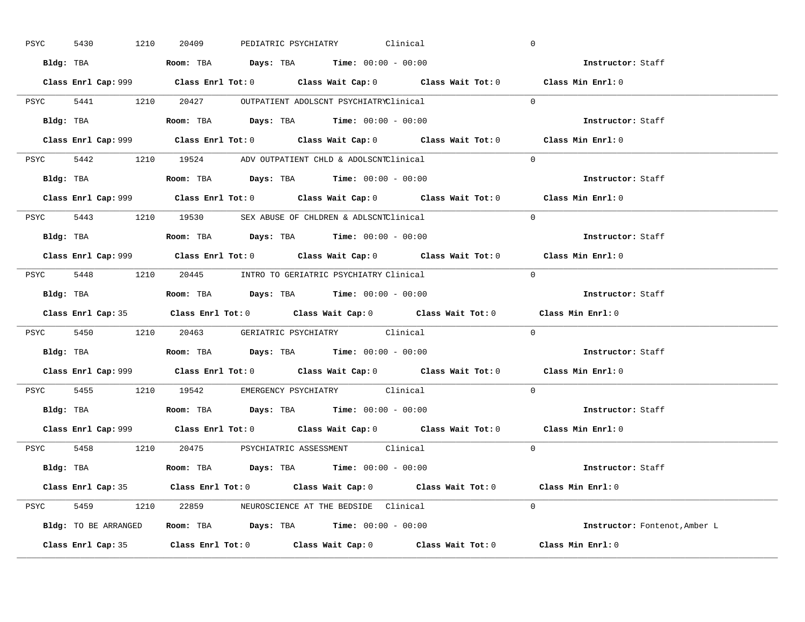| PSYC<br>5430 | 1210      | 20409                                                                                         |  | PEDIATRIC PSYCHIATRY Clinical | $\overline{0}$                                                                              |
|--------------|-----------|-----------------------------------------------------------------------------------------------|--|-------------------------------|---------------------------------------------------------------------------------------------|
|              |           | Bldg: TBA                   Room: TBA         Days: TBA         Time: $00:00 - 00:00$         |  |                               | Instructor: Staff                                                                           |
|              |           |                                                                                               |  |                               | Class Enrl Cap: 999 Class Enrl Tot: 0 Class Wait Cap: 0 Class Wait Tot: 0 Class Min Enrl: 0 |
|              |           | PSYC 5441 1210 20427 OUTPATIENT ADOLSCNT PSYCHIATRYClinical                                   |  |                               | $\Omega$                                                                                    |
|              | Bldg: TBA | Room: TBA $\rule{1em}{0.15mm}$ Days: TBA $\rule{1.5mm}{0.15mm}$ Time: $00:00 - 00:00$         |  |                               | Instructor: Staff                                                                           |
|              |           |                                                                                               |  |                               | Class Enrl Cap: 999 Class Enrl Tot: 0 Class Wait Cap: 0 Class Wait Tot: 0 Class Min Enrl: 0 |
|              |           | PSYC 5442 1210 19524 ADV OUTPATIENT CHLD & ADOLSCNTClinical                                   |  |                               | $\Omega$                                                                                    |
|              |           | Bldg: TBA                    Room: TBA         Days: TBA        Time: $00:00 - 00:00$         |  |                               | Instructor: Staff                                                                           |
|              |           |                                                                                               |  |                               | Class Enrl Cap: 999 Class Enrl Tot: 0 Class Wait Cap: 0 Class Wait Tot: 0 Class Min Enrl: 0 |
|              |           | PSYC 5443 1210 19530 SEX ABUSE OF CHLDREN & ADLSCNTClinical                                   |  |                               | $\Omega$                                                                                    |
|              |           |                                                                                               |  |                               | Instructor: Staff                                                                           |
|              |           |                                                                                               |  |                               | Class Enrl Cap: 999 Class Enrl Tot: 0 Class Wait Cap: 0 Class Wait Tot: 0 Class Min Enrl: 0 |
|              |           | PSYC 5448 1210 20445 INTRO TO GERIATRIC PSYCHIATRY Clinical                                   |  |                               | $\Omega$                                                                                    |
|              |           | Bldg: TBA                          Room: TBA          Days: TBA         Time: $00:00 - 00:00$ |  |                               | Instructor: Staff                                                                           |
|              |           |                                                                                               |  |                               | Class Enrl Cap: 35 Class Enrl Tot: 0 Class Wait Cap: 0 Class Wait Tot: 0 Class Min Enrl: 0  |
|              |           |                                                                                               |  |                               |                                                                                             |
|              |           | PSYC 5450 1210 20463 GERIATRIC PSYCHIATRY Clinical                                            |  |                               | $\mathbf{0}$                                                                                |
|              |           |                                                                                               |  |                               | <b>Instructor:</b> Staff                                                                    |
|              |           |                                                                                               |  |                               | Class Enrl Cap: 999 Class Enrl Tot: 0 Class Wait Cap: 0 Class Wait Tot: 0 Class Min Enrl: 0 |
|              |           | PSYC 5455 1210 19542 EMERGENCY PSYCHIATRY Clinical                                            |  |                               | $\Omega$                                                                                    |
|              |           | Bldg: TBA                    Room: TBA         Days: TBA         Time: $00:00 - 00:00$        |  |                               | Instructor: Staff                                                                           |
|              |           |                                                                                               |  |                               | Class Enrl Cap: 999 Class Enrl Tot: 0 Class Wait Cap: 0 Class Wait Tot: 0 Class Min Enrl: 0 |
|              |           | PSYC 5458 1210 20475 PSYCHIATRIC ASSESSMENT Clinical                                          |  |                               | $\Omega$                                                                                    |
|              |           | Bldg: TBA                   Room: TBA        Days: TBA        Time: 00:00 - 00:00             |  |                               | Instructor: Staff                                                                           |
|              |           |                                                                                               |  |                               | Class Enrl Cap: 35 Class Enrl Tot: 0 Class Wait Cap: 0 Class Wait Tot: 0 Class Min Enrl: 0  |
|              |           | PSYC 5459 1210 22859 NEUROSCIENCE AT THE BEDSIDE Clinical                                     |  |                               | $\Omega$                                                                                    |
|              |           | Bldg: TO BE ARRANGED Room: TBA Days: TBA Time: 00:00 - 00:00                                  |  |                               | Instructor: Fontenot, Amber L                                                               |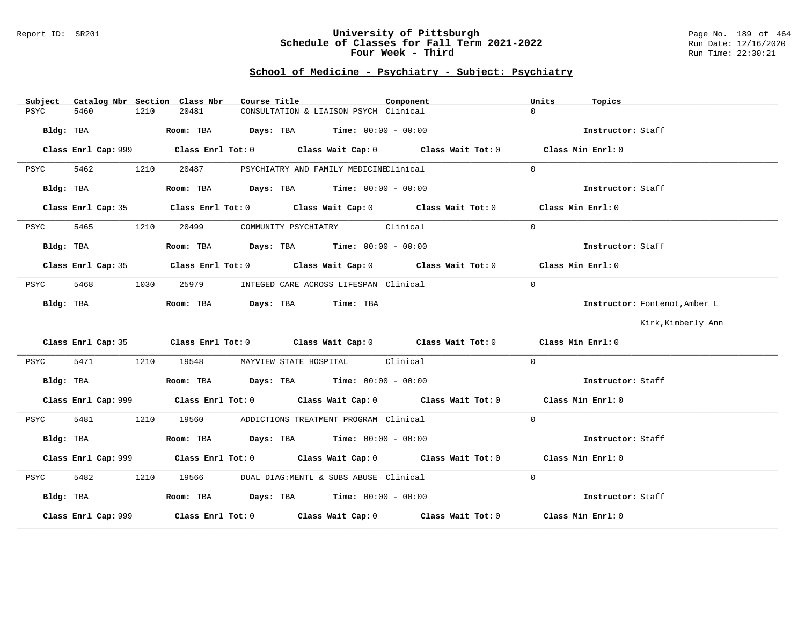#### Report ID: SR201 **University of Pittsburgh** Page No. 189 of 464 **Schedule of Classes for Fall Term 2021-2022** Run Date: 12/16/2020 **Four Week - Third Run Time: 22:30:21**

| Catalog Nbr Section Class Nbr<br>Subject | Course Title                                                                                | Component | Units<br>Topics               |
|------------------------------------------|---------------------------------------------------------------------------------------------|-----------|-------------------------------|
| 5460<br>1210<br>PSYC                     | 20481<br>CONSULTATION & LIAISON PSYCH Clinical                                              |           | $\Omega$                      |
| Bldg: TBA                                | Room: TBA $Days:$ TBA $Time: 00:00 - 00:00$                                                 |           | Instructor: Staff             |
|                                          | Class Enrl Cap: 999 Class Enrl Tot: 0 Class Wait Cap: 0 Class Wait Tot: 0                   |           | Class Min Enrl: 0             |
| 5462<br>1210<br>PSYC                     | 20487<br>PSYCHIATRY AND FAMILY MEDICINEClinical                                             |           | $\Omega$                      |
| Bldg: TBA                                | Room: TBA $Days:$ TBA $Time: 00:00 - 00:00$                                                 |           | Instructor: Staff             |
|                                          | Class Enrl Cap: 35 Class Enrl Tot: 0 Class Wait Cap: 0 Class Wait Tot: 0 Class Min Enrl: 0  |           |                               |
| 5465<br>1210<br>PSYC                     | COMMUNITY PSYCHIATRY Clinical<br>20499                                                      |           | $\Omega$                      |
| Bldg: TBA                                | Room: TBA $Days:$ TBA $Time: 00:00 - 00:00$                                                 |           | Instructor: Staff             |
|                                          | Class Enrl Cap: 35 Class Enrl Tot: 0 Class Wait Cap: 0 Class Wait Tot: 0 Class Min Enrl: 0  |           |                               |
| 5468<br>1030<br>PSYC                     | 25979<br>INTEGED CARE ACROSS LIFESPAN Clinical                                              |           | $\Omega$                      |
| Bldg: TBA                                | Room: TBA Days: TBA Time: TBA                                                               |           | Instructor: Fontenot, Amber L |
|                                          |                                                                                             |           | Kirk, Kimberly Ann            |
|                                          | Class Enrl Cap: 35 Class Enrl Tot: 0 Class Wait Cap: 0 Class Wait Tot: 0 Class Min Enrl: 0  |           |                               |
| 5471<br>PSYC<br>1210                     | 19548 MAYVIEW STATE HOSPITAL Clinical                                                       |           | $\Omega$                      |
| Bldg: TBA                                | Room: TBA $\rule{1em}{0.15mm}$ Days: TBA $\rule{1.15mm}]{0.15mm}$ Time: $0.000 - 0.0000$    |           | Instructor: Staff             |
|                                          | Class Enrl Cap: 999 Class Enrl Tot: 0 Class Wait Cap: 0 Class Wait Tot: 0 Class Min Enrl: 0 |           |                               |
| 5481<br>1210<br>PSYC                     | 19560 ADDICTIONS TREATMENT PROGRAM Clinical                                                 |           | $\Omega$                      |
| Bldg: TBA                                | Room: TBA $Days:$ TBA $Time: 00:00 - 00:00$                                                 |           | Instructor: Staff             |
|                                          |                                                                                             |           | Class Min Enrl: 0             |
| 5482<br>1210<br>PSYC                     | 19566<br>DUAL DIAG:MENTL & SUBS ABUSE Clinical                                              |           | $\Omega$                      |
| Bldg: TBA                                | Room: TBA $\rule{1em}{0.15mm}$ Days: TBA Time: $00:00 - 00:00$                              |           | Instructor: Staff             |
|                                          | Class Enrl Cap: 999 Class Enrl Tot: 0 Class Wait Cap: 0 Class Wait Tot: 0                   |           | Class Min Enrl: 0             |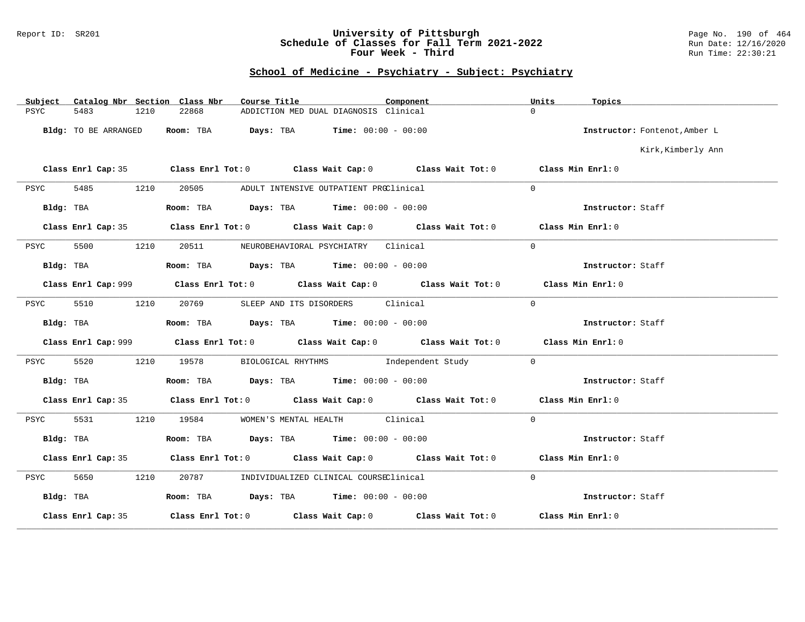#### Report ID: SR201 **University of Pittsburgh** Page No. 190 of 464 **Schedule of Classes for Fall Term 2021-2022** Run Date: 12/16/2020 **Four Week - Third Run Time: 22:30:21**

| Subject   |                      |      | Catalog Nbr Section Class Nbr | Course Title                                                                          | Component                                                                                  | Units             | Topics                        |
|-----------|----------------------|------|-------------------------------|---------------------------------------------------------------------------------------|--------------------------------------------------------------------------------------------|-------------------|-------------------------------|
| PSYC      | 5483                 | 1210 | 22868                         | ADDICTION MED DUAL DIAGNOSIS Clinical                                                 |                                                                                            | $\Omega$          |                               |
|           | Bldg: TO BE ARRANGED |      |                               | Room: TBA $Days: TBA$ Time: $00:00 - 00:00$                                           |                                                                                            |                   | Instructor: Fontenot, Amber L |
|           |                      |      |                               |                                                                                       |                                                                                            |                   | Kirk, Kimberly Ann            |
|           |                      |      |                               |                                                                                       | Class Enrl Cap: 35 Class Enrl Tot: 0 Class Wait Cap: 0 Class Wait Tot: 0 Class Min Enrl: 0 |                   |                               |
| PSYC      | 5485                 | 1210 | 20505                         | ADULT INTENSIVE OUTPATIENT PROClinical                                                |                                                                                            | $\Omega$          |                               |
| Bldg: TBA |                      |      |                               | Room: TBA $Days:$ TBA $Time: 00:00 - 00:00$                                           |                                                                                            |                   | Instructor: Staff             |
|           |                      |      |                               |                                                                                       | Class Enrl Cap: 35 Class Enrl Tot: 0 Class Wait Cap: 0 Class Wait Tot: 0 Class Min Enrl: 0 |                   |                               |
| PSYC      | 5500                 | 1210 | 20511                         | NEUROBEHAVIORAL PSYCHIATRY Clinical                                                   |                                                                                            | $\Omega$          |                               |
|           | Bldg: TBA            |      |                               | Room: TBA $Days:$ TBA $Time: 00:00 - 00:00$                                           |                                                                                            |                   | Instructor: Staff             |
|           |                      |      |                               |                                                                                       | Class Enrl Cap: 999 Class Enrl Tot: 0 Class Wait Cap: 0 Class Wait Tot: 0                  |                   | Class Min Enrl: 0             |
| PSYC      | 5510                 | 1210 | 20769                         | SLEEP AND ITS DISORDERS Clinical                                                      |                                                                                            | $\Omega$          |                               |
| Bldg: TBA |                      |      |                               | Room: TBA $Days:$ TBA $Time: 00:00 - 00:00$                                           |                                                                                            |                   | Instructor: Staff             |
|           |                      |      |                               |                                                                                       |                                                                                            |                   | Class Min Enrl: 0             |
| PSYC      | 5520                 | 1210 |                               |                                                                                       | 19578 BIOLOGICAL RHYTHMS 1ndependent Study                                                 | $\overline{0}$    |                               |
| Bldg: TBA |                      |      |                               | Room: TBA $\rule{1em}{0.15mm}$ Days: TBA $\rule{1.5mm}{0.15mm}$ Time: $00:00 - 00:00$ |                                                                                            |                   | Instructor: Staff             |
|           |                      |      |                               |                                                                                       | Class Enrl Cap: 35 Class Enrl Tot: 0 Class Wait Cap: 0 Class Wait Tot: 0 Class Min Enrl: 0 |                   |                               |
| PSYC      | 5531                 | 1210 |                               | 19584 WOMEN'S MENTAL HEALTH Clinical                                                  |                                                                                            | $\Omega$          |                               |
| Bldg: TBA |                      |      |                               | Room: TBA $\rule{1em}{0.15mm}$ Days: TBA $\rule{1.5mm}{0.15mm}$ Time: $00:00 - 00:00$ |                                                                                            |                   | Instructor: Staff             |
|           | Class Enrl Cap: 35   |      |                               |                                                                                       | Class Enrl Tot: $0$ Class Wait Cap: $0$ Class Wait Tot: $0$ Class Min Enrl: $0$            |                   |                               |
| PSYC      | 5650                 | 1210 |                               | 20787 INDIVIDUALIZED CLINICAL COURSEClinical                                          |                                                                                            | $\Omega$          |                               |
| Bldg: TBA |                      |      |                               | Room: TBA $Days:$ TBA $Time: 00:00 - 00:00$                                           |                                                                                            |                   | Instructor: Staff             |
|           | Class Enrl Cap: 35   |      |                               |                                                                                       | Class Enrl Tot: $0$ Class Wait Cap: $0$ Class Wait Tot: $0$                                | Class Min Enrl: 0 |                               |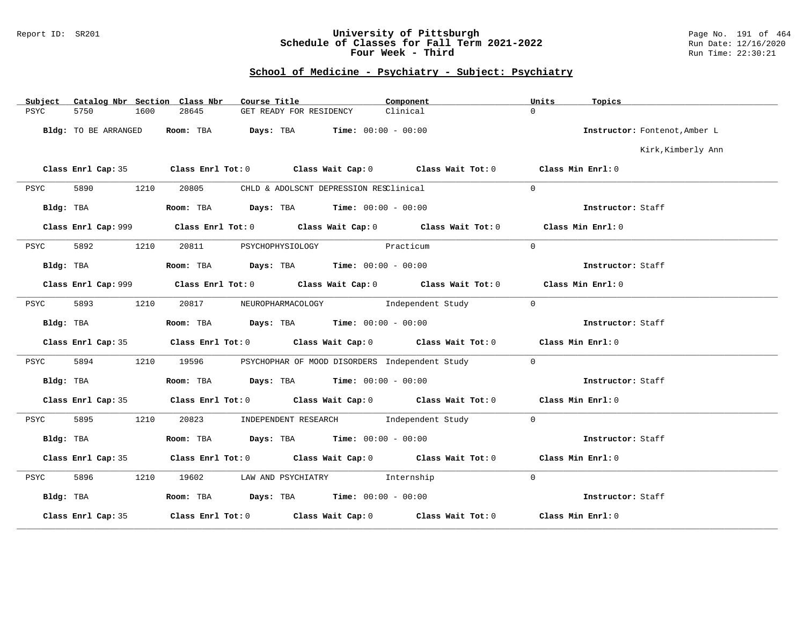#### Report ID: SR201 **University of Pittsburgh** Page No. 191 of 464 **Schedule of Classes for Fall Term 2021-2022** Run Date: 12/16/2020 **Four Week - Third Run Time: 22:30:21**

| Subject   |                      |      | Catalog Nbr Section Class Nbr | Course Title                                                                          |                                        | Component                                                                                          | Units          | Topics                        |
|-----------|----------------------|------|-------------------------------|---------------------------------------------------------------------------------------|----------------------------------------|----------------------------------------------------------------------------------------------------|----------------|-------------------------------|
| PSYC      | 5750                 | 1600 | 28645                         | GET READY FOR RESIDENCY                                                               |                                        | Clinical                                                                                           | $\Omega$       |                               |
|           | Bldg: TO BE ARRANGED |      | Room: TBA                     | $\texttt{Days:}$ TBA $\texttt{Time:}$ 00:00 - 00:00                                   |                                        |                                                                                                    |                | Instructor: Fontenot, Amber L |
|           |                      |      |                               |                                                                                       |                                        |                                                                                                    |                | Kirk, Kimberly Ann            |
|           |                      |      |                               |                                                                                       |                                        | Class Enrl Cap: 35 Class Enrl Tot: 0 Class Wait Cap: 0 Class Wait Tot: 0 Class Min Enrl: 0         |                |                               |
| PSYC      | 5890                 | 1210 | 20805                         |                                                                                       | CHLD & ADOLSCNT DEPRESSION RESClinical |                                                                                                    | $\Omega$       |                               |
|           | Bldg: TBA            |      |                               | Room: TBA $Days:$ TBA $Time: 00:00 - 00:00$                                           |                                        |                                                                                                    |                | Instructor: Staff             |
|           |                      |      |                               |                                                                                       |                                        |                                                                                                    |                | Class Min Enrl: 0             |
| PSYC      | 5892                 | 1210 | 20811                         | PSYCHOPHYSIOLOGY Practicum                                                            |                                        |                                                                                                    | $\Omega$       |                               |
| Bldg: TBA |                      |      |                               | Room: TBA $Days:$ TBA $Time: 00:00 - 00:00$                                           |                                        |                                                                                                    |                | Instructor: Staff             |
|           |                      |      |                               |                                                                                       |                                        |                                                                                                    |                | Class Min Enrl: 0             |
| PSYC      | 5893                 | 1210 |                               |                                                                                       |                                        | 20817 NEUROPHARMACOLOGY Independent Study                                                          | $\Omega$       |                               |
| Bldg: TBA |                      |      |                               | Room: TBA $\rule{1em}{0.15mm}$ Days: TBA $\rule{1.5mm}{0.15mm}$ Time: $00:00 - 00:00$ |                                        |                                                                                                    |                | Instructor: Staff             |
|           | Class Enrl Cap: 35   |      |                               |                                                                                       |                                        | Class Enrl Tot: 0 Class Wait Cap: 0 Class Wait Tot: 0 Class Min Enrl: 0                            |                |                               |
| PSYC      | 5894                 |      |                               |                                                                                       |                                        | 1210 19596 PSYCHOPHAR OF MOOD DISORDERS Independent Study                                          | $\Omega$       |                               |
| Bldg: TBA |                      |      |                               | Room: TBA Days: TBA Time: $00:00 - 00:00$                                             |                                        |                                                                                                    |                | Instructor: Staff             |
|           | Class Enrl Cap: 35   |      |                               |                                                                                       |                                        | Class Enrl Tot: 0 $\qquad$ Class Wait Cap: 0 $\qquad$ Class Wait Tot: 0 $\qquad$ Class Min Enrl: 0 |                |                               |
| PSYC      | 5895                 | 1210 |                               | 20823 INDEPENDENT RESEARCH Independent Study                                          |                                        |                                                                                                    | $\overline{0}$ |                               |
| Bldg: TBA |                      |      |                               | Room: TBA $\rule{1em}{0.15mm}$ Days: TBA Time: $00:00 - 00:00$                        |                                        |                                                                                                    |                | Instructor: Staff             |
|           | Class Enrl Cap: 35   |      |                               |                                                                                       |                                        | Class Enrl Tot: $0$ Class Wait Cap: $0$ Class Wait Tot: $0$ Class Min Enrl: $0$                    |                |                               |
| PSYC      | 5896                 | 1210 |                               | 19602 LAW AND PSYCHIATRY Internship                                                   |                                        |                                                                                                    | $\overline{0}$ |                               |
| Bldg: TBA |                      |      |                               | Room: TBA $\rule{1em}{0.15mm}$ Days: TBA Time: $00:00 - 00:00$                        |                                        |                                                                                                    |                | Instructor: Staff             |
|           | Class Enrl Cap: 35   |      |                               |                                                                                       |                                        | Class Enrl Tot: $0$ Class Wait Cap: $0$ Class Wait Tot: $0$                                        |                | Class Min Enrl: 0             |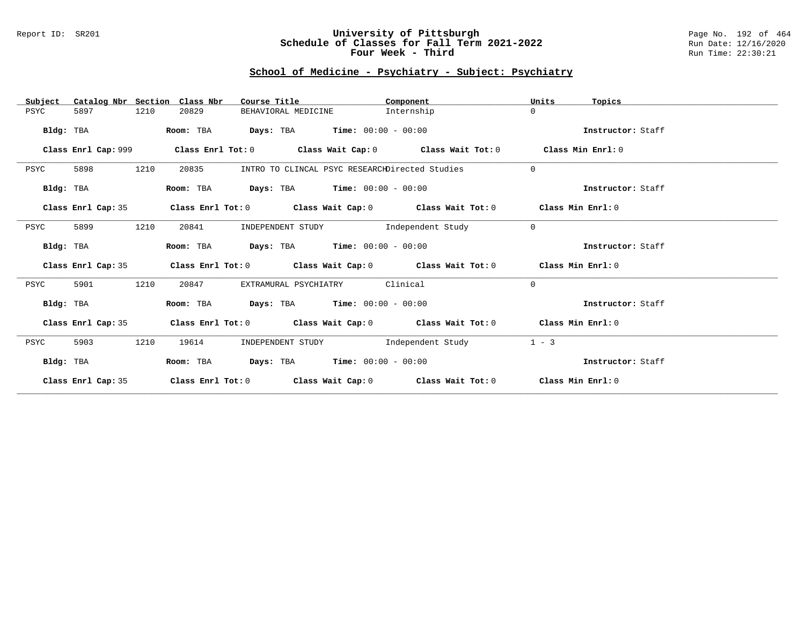#### Report ID: SR201 **University of Pittsburgh** Page No. 192 of 464 **Schedule of Classes for Fall Term 2021-2022** Run Date: 12/16/2020 **Four Week - Third Run Time: 22:30:21**

| Catalog Nbr Section<br>Subject | Class Nbr<br>Course Title                                                                   | Component  | Units<br>Topics   |
|--------------------------------|---------------------------------------------------------------------------------------------|------------|-------------------|
| PSYC<br>5897<br>1210           | 20829<br>BEHAVIORAL MEDICINE                                                                | Internship | $\Omega$          |
| Bldg: TBA                      | <b>Days:</b> TBA <b>Time:</b> $00:00 - 00:00$<br>Room: TBA                                  |            | Instructor: Staff |
| Class Enrl Cap: 999            | Class Enrl Tot: 0 $\,$ Class Wait Cap: 0 $\,$ Class Wait Tot: 0 $\,$ Class Min Enrl: 0 $\,$ |            |                   |
| 1210<br>5898<br>PSYC           | 20835<br>INTRO TO CLINCAL PSYC RESEARCHDirected Studies                                     |            | $\mathbf{0}$      |
| Bldg: TBA                      | <b>Days:</b> TBA <b>Time:</b> $00:00 - 00:00$<br>Room: TBA                                  |            | Instructor: Staff |
| Class Enrl Cap: 35             | Class Enrl Tot: $0$ Class Wait Cap: $0$ Class Wait Tot: $0$ Class Min Enrl: $0$             |            |                   |
| 1210<br>5899<br>PSYC           | INDEPENDENT STUDY 1ndependent Study<br>20841                                                |            | $\mathbf{0}$      |
| Bldg: TBA                      | <b>Days:</b> TBA <b>Time:</b> $00:00 - 00:00$<br>Room: TBA                                  |            | Instructor: Staff |
| Class Enrl Cap: 35             | Class Enrl Tot: $0$ Class Wait Cap: $0$ Class Wait Tot: $0$ Class Min Enrl: $0$             |            |                   |
| 1210<br>5901<br>PSYC           | EXTRAMURAL PSYCHIATRY Clinical<br>20847                                                     |            | $\Omega$          |
| Bldg: TBA                      | Room: TBA Days: TBA Time: $00:00 - 00:00$                                                   |            | Instructor: Staff |
| Class Enrl Cap: 35             | Class Enrl Tot: $0$ Class Wait Cap: $0$ Class Wait Tot: $0$ Class Min Enrl: $0$             |            |                   |
| 1210<br>PSYC<br>5903           | INDEPENDENT STUDY The Independent Study<br>19614                                            |            | $1 - 3$           |
| Bldg: TBA                      | Room: TBA $Days:$ TBA $Time: 00:00 - 00:00$                                                 |            | Instructor: Staff |
| Class Enrl Cap: 35             | Class Enrl Tot: $0$ Class Wait Cap: $0$ Class Wait Tot: $0$ Class Min Enrl: $0$             |            |                   |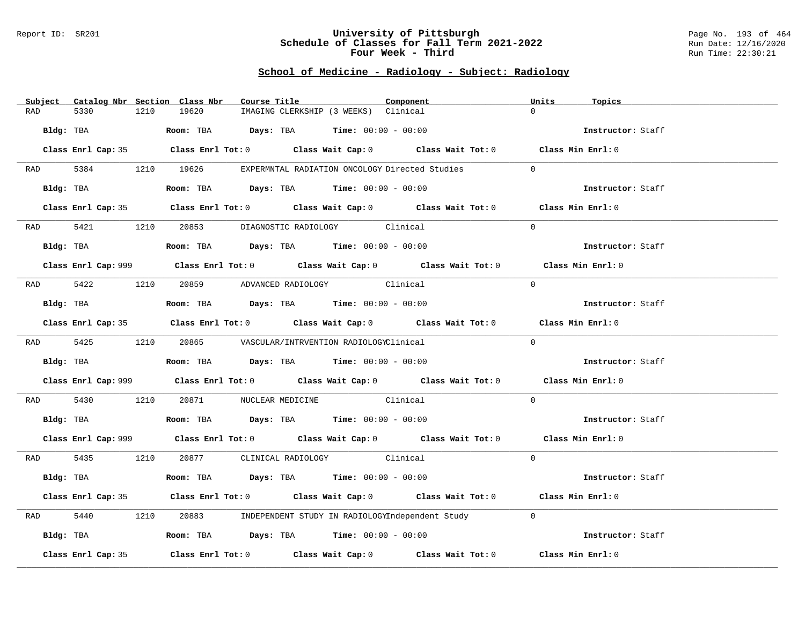#### Report ID: SR201 **University of Pittsburgh** Page No. 193 of 464 **Schedule of Classes for Fall Term 2021-2022** Run Date: 12/16/2020 **Four Week - Third Run Time: 22:30:21**

# **School of Medicine - Radiology - Subject: Radiology**

| Subject Catalog Nbr Section Class Nbr | Course Title                                                                                       | Component | Units<br>Topics   |
|---------------------------------------|----------------------------------------------------------------------------------------------------|-----------|-------------------|
| 5330<br>1210<br>RAD                   | 19620<br>IMAGING CLERKSHIP (3 WEEKS) Clinical                                                      |           | $\Omega$          |
| Bldg: TBA                             | Room: TBA $Days:$ TBA $Time: 00:00 - 00:00$                                                        |           | Instructor: Staff |
|                                       | Class Enrl Cap: 35 Class Enrl Tot: 0 Class Wait Cap: 0 Class Wait Tot: 0 Class Min Enrl: 0         |           |                   |
|                                       | RAD 5384 1210 19626 EXPERMNTAL RADIATION ONCOLOGY Directed Studies                                 |           | $\Omega$          |
| Bldg: TBA                             | Room: TBA $Days:$ TBA Time: $00:00 - 00:00$                                                        |           | Instructor: Staff |
|                                       | Class Enrl Cap: 35 Class Enrl Tot: 0 Class Wait Cap: 0 Class Wait Tot: 0 Class Min Enrl: 0         |           |                   |
|                                       | RAD 5421 1210 20853 DIAGNOSTIC RADIOLOGY Clinical                                                  |           | $\Omega$          |
| Bldg: TBA                             | <b>Room:</b> TBA $Days:$ TBA $Time: 00:00 - 00:00$                                                 |           | Instructor: Staff |
|                                       | Class Enrl Cap: 999 Class Enrl Tot: 0 Class Wait Cap: 0 Class Wait Tot: 0 Class Min Enrl: 0        |           |                   |
|                                       | RAD 5422 1210 20859 ADVANCED RADIOLOGY Clinical                                                    |           | $\Omega$          |
| Bldg: TBA                             | Room: TBA Days: TBA Time: $00:00 - 00:00$                                                          |           | Instructor: Staff |
|                                       | Class Enrl Cap: 35 Class Enrl Tot: 0 Class Wait Cap: 0 Class Wait Tot: 0 Class Min Enrl: 0         |           |                   |
|                                       | RAD 5425 1210 20865 VASCULAR/INTRVENTION RADIOLOGYClinical                                         |           | $\Omega$          |
| Bldg: TBA                             | Room: TBA $\rule{1em}{0.15mm}$ Days: TBA Time: $00:00 - 00:00$                                     |           | Instructor: Staff |
|                                       | Class Enrl Cap: 999 Class Enrl Tot: 0 Class Wait Cap: 0 Class Wait Tot: 0 Class Min Enrl: 0        |           |                   |
| RAD 5430                              | 1210 20871 NUCLEAR MEDICINE Clinical                                                               |           | $\Omega$          |
|                                       | Bldg: TBA                    Room: TBA         Days: TBA         Time: 00:00 - 00:00               |           | Instructor: Staff |
|                                       | Class Enrl Cap: 999 Class Enrl Tot: 0 Class Wait Cap: 0 Class Wait Tot: 0 Class Min Enrl: 0        |           |                   |
|                                       | RAD 5435 1210 20877 CLINICAL RADIOLOGY Clinical                                                    |           | $\Omega$          |
| Bldg: TBA                             | Room: TBA $Days:$ TBA $Time: 00:00 - 00:00$                                                        |           | Instructor: Staff |
|                                       | Class Enrl Cap: 35 Class Enrl Tot: 0 Class Wait Cap: 0 Class Wait Tot: 0 Class Min Enrl: 0         |           |                   |
| 5440<br>1210<br>RAD                   | 20883 INDEPENDENT STUDY IN RADIOLOGYIndependent Study                                              |           | $\overline{0}$    |
| Bldg: TBA                             | Room: TBA $Days:$ TBA Time: $00:00 - 00:00$                                                        |           | Instructor: Staff |
| Class Enrl Cap: 35                    | Class Enrl Tot: 0 $\qquad$ Class Wait Cap: 0 $\qquad$ Class Wait Tot: 0 $\qquad$ Class Min Enrl: 0 |           |                   |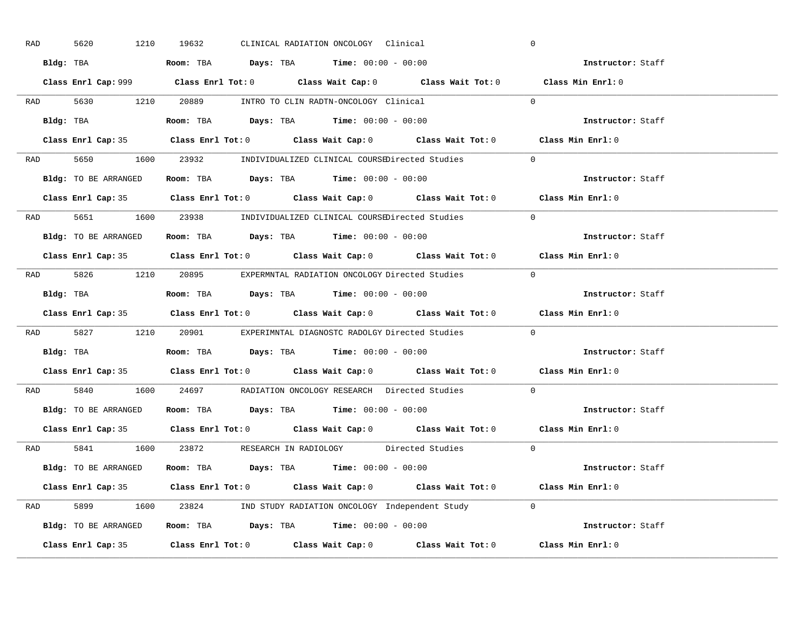| RAD | 5620      | 1210                                                                                       | 19632 |  | CLINICAL RADIATION ONCOLOGY Clinical                                                |                                                                                            | $\overline{0}$                                                                              |  |
|-----|-----------|--------------------------------------------------------------------------------------------|-------|--|-------------------------------------------------------------------------------------|--------------------------------------------------------------------------------------------|---------------------------------------------------------------------------------------------|--|
|     |           | Bldg: TBA                   Room: TBA         Days: TBA        Time: 00:00 - 00:00         |       |  |                                                                                     |                                                                                            | Instructor: Staff                                                                           |  |
|     |           |                                                                                            |       |  |                                                                                     |                                                                                            | Class Enrl Cap: 999 Class Enrl Tot: 0 Class Wait Cap: 0 Class Wait Tot: 0 Class Min Enrl: 0 |  |
|     |           | RAD 5630 1210 20889 INTRO TO CLIN RADTN-ONCOLOGY Clinical                                  |       |  |                                                                                     |                                                                                            | $\overline{0}$                                                                              |  |
|     |           | Bldg: TBA                                                                                  |       |  | Room: TBA $Days:$ TBA $Time: 00:00 - 00:00$                                         |                                                                                            | Instructor: Staff                                                                           |  |
|     |           |                                                                                            |       |  |                                                                                     |                                                                                            | Class Enrl Cap: 35 Class Enrl Tot: 0 Class Wait Cap: 0 Class Wait Tot: 0 Class Min Enrl: 0  |  |
|     |           |                                                                                            |       |  |                                                                                     | RAD 5650 1600 23932 INDIVIDUALIZED CLINICAL COURSEDirected Studies 0                       |                                                                                             |  |
|     |           | <b>Bldg:</b> TO BE ARRANGED <b>Room:</b> TBA <b>Days:</b> TBA <b>Time:</b> $00:00 - 00:00$ |       |  |                                                                                     |                                                                                            | Instructor: Staff                                                                           |  |
|     |           |                                                                                            |       |  |                                                                                     |                                                                                            | Class Enrl Cap: 35 Class Enrl Tot: 0 Class Wait Cap: 0 Class Wait Tot: 0 Class Min Enrl: 0  |  |
|     |           |                                                                                            |       |  |                                                                                     | RAD 5651 1600 23938 INDIVIDUALIZED CLINICAL COURSEDirected Studies                         | $\Omega$                                                                                    |  |
|     |           | Bldg: TO BE ARRANGED Room: TBA Days: TBA Time: 00:00 - 00:00                               |       |  |                                                                                     |                                                                                            | Instructor: Staff                                                                           |  |
|     |           |                                                                                            |       |  |                                                                                     |                                                                                            | Class Enrl Cap: 35 Class Enrl Tot: 0 Class Wait Cap: 0 Class Wait Tot: 0 Class Min Enrl: 0  |  |
|     |           |                                                                                            |       |  |                                                                                     | RAD 5826 1210 20895 EXPERMNTAL RADIATION ONCOLOGY Directed Studies 0                       |                                                                                             |  |
|     |           | Bldg: TBA                   Room: TBA         Days: TBA        Time: 00:00 - 00:00         |       |  |                                                                                     |                                                                                            | Instructor: Staff                                                                           |  |
|     |           |                                                                                            |       |  |                                                                                     |                                                                                            |                                                                                             |  |
|     |           |                                                                                            |       |  |                                                                                     |                                                                                            | Class Enrl Cap: 35 Class Enrl Tot: 0 Class Wait Cap: 0 Class Wait Tot: 0 Class Min Enrl: 0  |  |
|     |           |                                                                                            |       |  |                                                                                     | RAD 5827 1210 20901 EXPERIMNTAL DIAGNOSTC RADOLGY Directed Studies                         | $\Omega$                                                                                    |  |
|     | Bldg: TBA |                                                                                            |       |  | <b>Room:</b> TBA $\rule{1em}{0.15mm}$ <b>Days:</b> TBA <b>Time:</b> $00:00 - 00:00$ |                                                                                            | Instructor: Staff                                                                           |  |
|     |           |                                                                                            |       |  |                                                                                     |                                                                                            | Class Enrl Cap: 35 Class Enrl Tot: 0 Class Wait Cap: 0 Class Wait Tot: 0 Class Min Enrl: 0  |  |
| RAD |           |                                                                                            |       |  |                                                                                     | 5840 1600 24697 RADIATION ONCOLOGY RESEARCH Directed Studies                               | $\Omega$                                                                                    |  |
|     |           | Bldg: TO BE ARRANGED ROOM: TBA Days: TBA Time: 00:00 - 00:00                               |       |  |                                                                                     |                                                                                            | Instructor: Staff                                                                           |  |
|     |           | Class Enrl Cap: 35                                                                         |       |  |                                                                                     |                                                                                            | Class Enrl Tot: $0$ Class Wait Cap: $0$ Class Wait Tot: $0$ Class Min Enrl: $0$             |  |
|     |           |                                                                                            |       |  |                                                                                     | RAD 5841 1600 23872 RESEARCH IN RADIOLOGY Directed Studies 0                               |                                                                                             |  |
|     |           | Bldg: TO BE ARRANGED                                                                       |       |  | Room: TBA $Days:$ TBA $Time: 00:00 - 00:00$                                         |                                                                                            | Instructor: Staff                                                                           |  |
|     |           |                                                                                            |       |  |                                                                                     | Class Enrl Cap: 35 Class Enrl Tot: 0 Class Wait Cap: 0 Class Wait Tot: 0 Class Min Enrl: 0 |                                                                                             |  |
|     |           |                                                                                            |       |  |                                                                                     | RAD 5899 1600 23824 IND STUDY RADIATION ONCOLOGY Independent Study 0                       |                                                                                             |  |
|     |           |                                                                                            |       |  |                                                                                     | Bldg: TO BE ARRANGED Room: TBA Days: TBA Time: 00:00 - 00:00                               | Instructor: Staff                                                                           |  |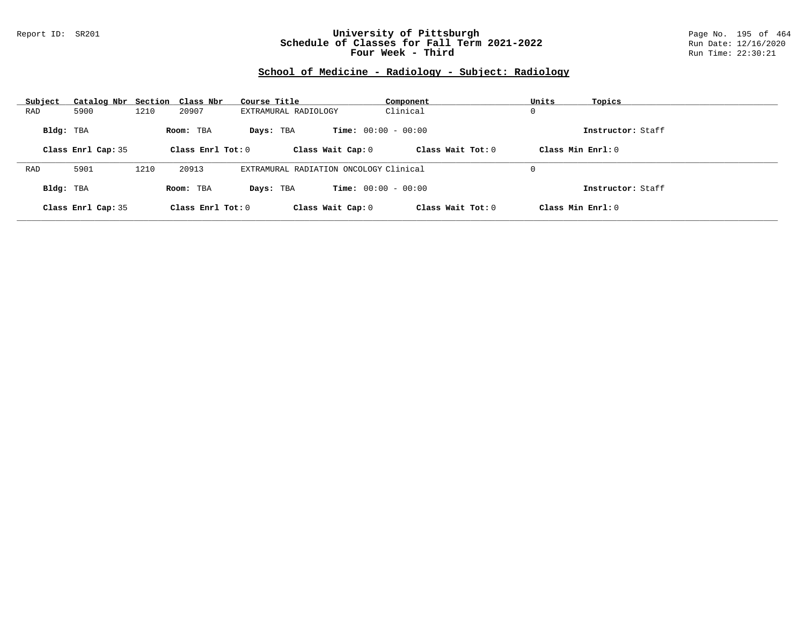#### Report ID: SR201 **University of Pittsburgh** Page No. 195 of 464 **Schedule of Classes for Fall Term 2021-2022** Run Date: 12/16/2020 **Four Week - Third Run Time: 22:30:21**

# **School of Medicine - Radiology - Subject: Radiology**

| Subject   | Catalog Nbr Section Class Nbr |      |                     | Course Title                           | Component                    | Units               | Topics            |
|-----------|-------------------------------|------|---------------------|----------------------------------------|------------------------------|---------------------|-------------------|
| RAD       | 5900                          | 1210 | 20907               | EXTRAMURAL RADIOLOGY                   | Clinical                     | 0                   |                   |
| Bldg: TBA |                               |      | Room: TBA           | Days: TBA                              | <b>Time:</b> $00:00 - 00:00$ |                     | Instructor: Staff |
|           | Class Enrl Cap: 35            |      | Class Enrl Tot: $0$ | Class Wait Cap: 0                      | Class Wait $Tot: 0$          | Class Min $Enrl: 0$ |                   |
|           |                               |      |                     |                                        |                              |                     |                   |
| RAD       | 5901                          | 1210 | 20913               | EXTRAMURAL RADIATION ONCOLOGY Clinical |                              | 0                   |                   |
| Bldg: TBA |                               |      | Room: TBA           | Days: TBA                              | <b>Time:</b> $00:00 - 00:00$ |                     | Instructor: Staff |
|           | Class Enrl Cap: 35            |      | Class Enrl Tot: $0$ | Class Wait Cap: 0                      | Class Wait Tot: 0            | Class Min Enrl: 0   |                   |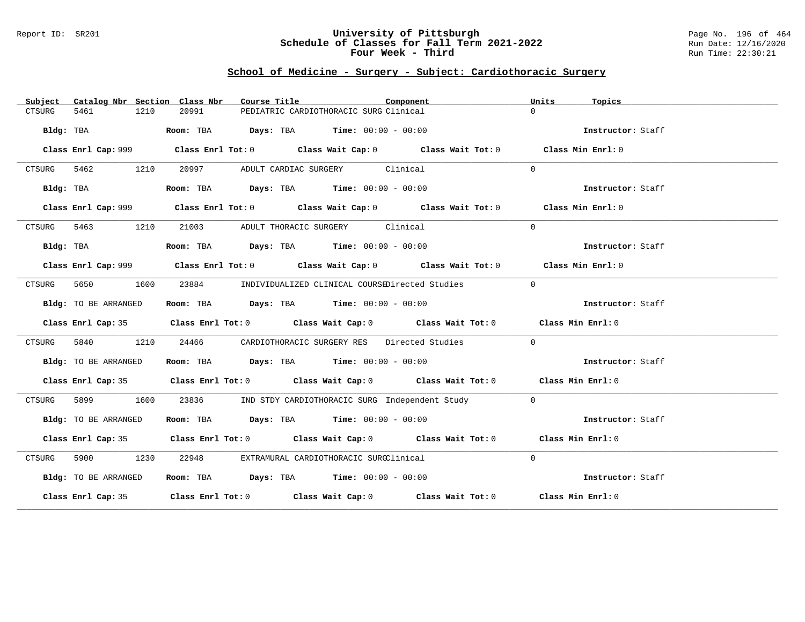#### Report ID: SR201 **University of Pittsburgh** Page No. 196 of 464 **Schedule of Classes for Fall Term 2021-2022** Run Date: 12/16/2020 **Four Week - Third Run Time: 22:30:21**

# **School of Medicine - Surgery - Subject: Cardiothoracic Surgery**

| Subject                    | Catalog Nbr Section Class Nbr<br>Course Title                                               | Component<br>Units<br>Topics |  |
|----------------------------|---------------------------------------------------------------------------------------------|------------------------------|--|
| 5461<br>1210<br>CTSURG     | 20991<br>PEDIATRIC CARDIOTHORACIC SURG Clinical                                             | $\Omega$                     |  |
| Bldg: TBA                  | Room: TBA $Days:$ TBA $Time: 00:00 - 00:00$                                                 | Instructor: Staff            |  |
|                            | Class Enrl Cap: 999 Class Enrl Tot: 0 Class Wait Cap: 0 Class Wait Tot: 0 Class Min Enrl: 0 |                              |  |
| CTSURG<br>5462 546<br>1210 | 20997 — 100<br>ADULT CARDIAC SURGERY Clinical                                               | $\Omega$                     |  |
| Bldg: TBA                  | Room: TBA $Days:$ TBA $Time: 00:00 - 00:00$                                                 | Instructor: Staff            |  |
|                            | Class Enrl Cap: 999 Class Enrl Tot: 0 Class Wait Cap: 0 Class Wait Tot: 0 Class Min Enrl: 0 |                              |  |
| 1210<br>CTSURG 5463        | 21003 ADULT THORACIC SURGERY Clinical                                                       | $\Omega$                     |  |
| Bldg: TBA                  | Room: TBA $Days:$ TBA $Time: 00:00 - 00:00$                                                 | Instructor: Staff            |  |
|                            | Class Enrl Cap: 999 Class Enrl Tot: 0 Class Wait Cap: 0 Class Wait Tot: 0 Class Min Enrl: 0 |                              |  |
| 5650<br>CTSURG             | 1600<br>23884 INDIVIDUALIZED CLINICAL COURSEDirected Studies                                | $\Omega$                     |  |
| Bldg: TO BE ARRANGED       | Room: TBA $Days:$ TBA $Time: 00:00 - 00:00$                                                 | Instructor: Staff            |  |
|                            | Class Enrl Cap: 35 Class Enrl Tot: 0 Class Wait Cap: 0 Class Wait Tot: 0 Class Min Enrl: 0  |                              |  |
| 5840<br>1210<br>CTSURG     | CARDIOTHORACIC SURGERY RES Directed Studies<br>24466                                        | $\Omega$                     |  |
| Bldg: TO BE ARRANGED       | Room: TBA $Days:$ TBA $Time: 00:00 - 00:00$                                                 | Instructor: Staff            |  |
|                            | Class Enrl Cap: 35 Class Enrl Tot: 0 Class Wait Cap: 0 Class Wait Tot: 0 Class Min Enrl: 0  |                              |  |
| 1600<br>CTSURG             | 23836<br>IND STDY CARDIOTHORACIC SURG Independent Study                                     | $\Omega$                     |  |
| Bldg: TO BE ARRANGED       | Room: TBA $Days:$ TBA $Time: 00:00 - 00:00$                                                 | Instructor: Staff            |  |
|                            | Class Enrl Cap: 35 Class Enrl Tot: 0 Class Wait Cap: 0 Class Wait Tot: 0 Class Min Enrl: 0  |                              |  |
| CTSURG<br>5900 1230        | 22948<br>EXTRAMURAL CARDIOTHORACIC SURGClinical                                             | $\Omega$                     |  |
| Bldg: TO BE ARRANGED       | Room: TBA $Days: TBA$ Time: $00:00 - 00:00$                                                 | Instructor: Staff            |  |
|                            | Class Enrl Cap: 35 Class Enrl Tot: 0 Class Wait Cap: 0 Class Wait Tot: 0 Class Min Enrl: 0  |                              |  |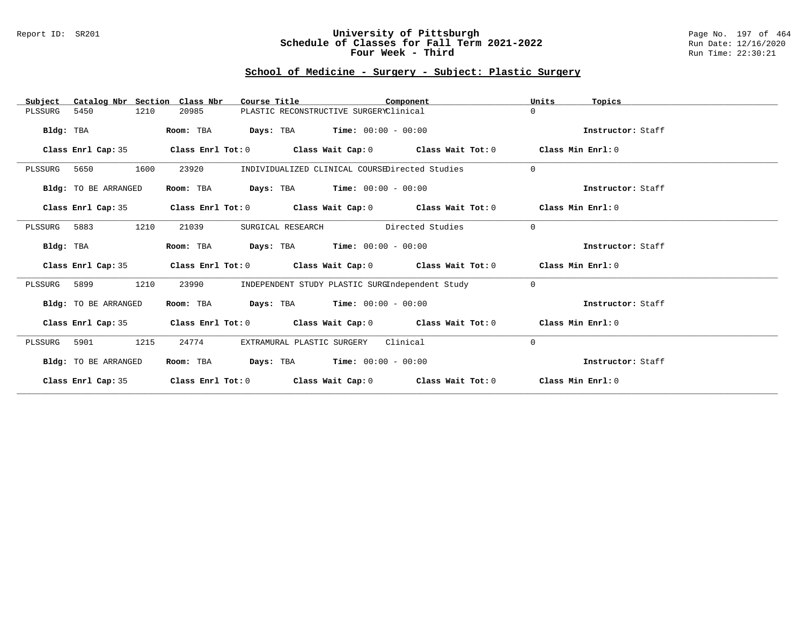#### Report ID: SR201 **University of Pittsburgh** Page No. 197 of 464 **Schedule of Classes for Fall Term 2021-2022** Run Date: 12/16/2020 **Four Week - Third Run Time: 22:30:21**

# **School of Medicine - Surgery - Subject: Plastic Surgery**

| Catalog Nbr Section Class Nbr<br>Subject | Course Title                        | Component                                                                       | Units<br>Topics   |
|------------------------------------------|-------------------------------------|---------------------------------------------------------------------------------|-------------------|
| 5450<br>1210<br>PLSSURG                  | 20985                               | PLASTIC RECONSTRUCTIVE SURGERYClinical                                          | $\Omega$          |
| Bldg: TBA                                | Room: TBA                           | <b>Days:</b> TBA <b>Time:</b> $00:00 - 00:00$                                   | Instructor: Staff |
| Class Enrl Cap: 35                       |                                     | Class Enrl Tot: $0$ Class Wait Cap: $0$ Class Wait Tot: $0$                     | Class Min Enrl: 0 |
| 1600<br>PLSSURG 5650                     | 23920                               | INDIVIDUALIZED CLINICAL COURSEDirected Studies                                  | $\Omega$          |
| Bldg: TO BE ARRANGED                     | Room: TBA                           | <b>Days:</b> TBA <b>Time:</b> $00:00 - 00:00$                                   | Instructor: Staff |
| Class Enrl Cap: 35                       |                                     | Class Enrl Tot: $0$ Class Wait Cap: $0$ Class Wait Tot: $0$                     | Class Min Enrl: 0 |
| PLSSURG 5883<br>1210                     | 21039<br>SURGICAL RESEARCH          | Directed Studies                                                                | $\Omega$          |
| Bldg: TBA                                | Room: TBA                           | $Days: TBA$ Time: $00:00 - 00:00$                                               | Instructor: Staff |
| Class Enrl Cap: 35                       |                                     | Class Enrl Tot: $0$ Class Wait Cap: $0$ Class Wait Tot: $0$                     | Class Min Enrl: 0 |
| PLSSURG 5899<br>1210                     | 23990                               | INDEPENDENT STUDY PLASTIC SURGIndependent Study                                 | $\Omega$          |
| Bldg: TO BE ARRANGED                     | Room: TBA                           | $\texttt{Days:}$ TBA $\texttt{Time:}$ 00:00 - 00:00                             | Instructor: Staff |
| Class Enrl Cap: 35                       |                                     | Class Enrl Tot: $0$ Class Wait Cap: $0$ Class Wait Tot: $0$ Class Min Enrl: $0$ |                   |
| 1215<br>5901<br>PLSSURG                  | 24774<br>EXTRAMURAL PLASTIC SURGERY | Clinical                                                                        | $\Omega$          |
| Bldg: TO BE ARRANGED                     | Room: TBA                           | <b>Days:</b> TBA <b>Time:</b> $00:00 - 00:00$                                   | Instructor: Staff |
| Class Enrl Cap: 35                       |                                     | Class Enrl Tot: $0$ Class Wait Cap: $0$ Class Wait Tot: $0$                     | Class Min Enrl: 0 |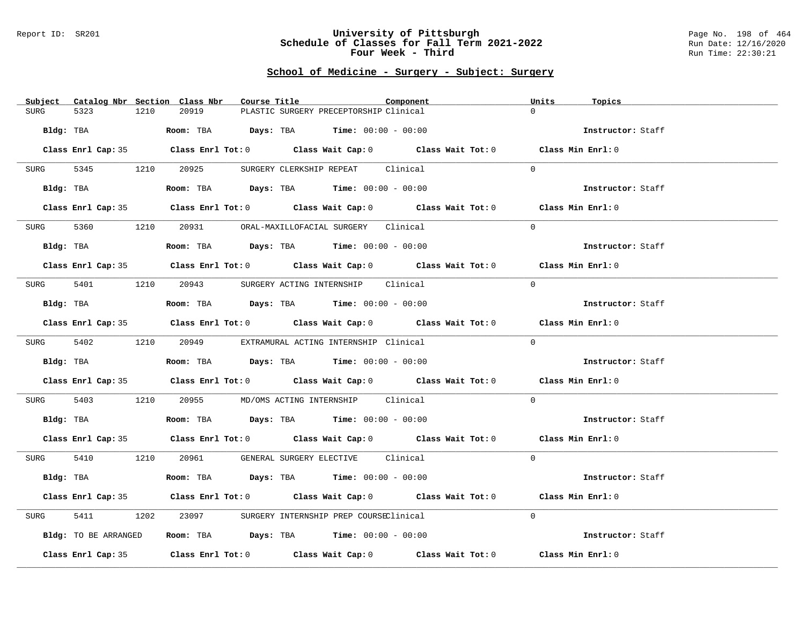#### Report ID: SR201 **University of Pittsburgh** Page No. 198 of 464 **Schedule of Classes for Fall Term 2021-2022** Run Date: 12/16/2020 **Four Week - Third Run Time: 22:30:21**

# **School of Medicine - Surgery - Subject: Surgery**

| Subject Catalog Nbr Section Class Nbr | Course Title                                                                                 | Component | Units<br>Topics   |
|---------------------------------------|----------------------------------------------------------------------------------------------|-----------|-------------------|
| 5323<br>1210<br><b>SURG</b>           | 20919<br>PLASTIC SURGERY PRECEPTORSHIP Clinical                                              |           | $\Omega$          |
| Bldg: TBA                             | Room: TBA $Days:$ TBA Time: $00:00 - 00:00$                                                  |           | Instructor: Staff |
|                                       | Class Enrl Cap: 35 Class Enrl Tot: 0 Class Wait Cap: 0 Class Wait Tot: 0 Class Min Enrl: 0   |           |                   |
| SURG                                  | 5345 1210 20925 SURGERY CLERKSHIP REPEAT Clinical                                            |           | $\Omega$          |
|                                       | <b>Bldg:</b> TBA <b>Room:</b> TBA <b>Days:</b> TBA <b>Time:</b> $00:00 - 00:00$              |           | Instructor: Staff |
|                                       | Class Enrl Cap: 35 Class Enrl Tot: 0 Class Wait Cap: 0 Class Wait Tot: 0 Class Min Enrl: 0   |           |                   |
|                                       | SURG 5360 1210 20931 ORAL-MAXILLOFACIAL SURGERY Clinical                                     |           | $\Omega$          |
| Bldg: TBA                             | Room: TBA $Days:$ TBA $Time: 00:00 - 00:00$                                                  |           | Instructor: Staff |
|                                       | Class Enrl Cap: 35 Class Enrl Tot: 0 Class Wait Cap: 0 Class Wait Tot: 0 Class Min Enrl: 0   |           |                   |
|                                       | SURG 5401 1210 20943 SURGERY ACTING INTERNSHIP Clinical                                      |           | $\Omega$          |
| Bldg: TBA                             | Room: TBA $Days:$ TBA $Time: 00:00 - 00:00$                                                  |           | Instructor: Staff |
|                                       | Class Enrl Cap: 35 Class Enrl Tot: 0 Class Wait Cap: 0 Class Wait Tot: 0 Class Min Enrl: 0   |           |                   |
|                                       | SURG 5402 1210 20949 EXTRAMURAL ACTING INTERNSHIP Clinical                                   |           | $\Omega$          |
| Bldg: TBA                             | Room: TBA $\rule{1em}{0.15mm}$ Days: TBA Time: $00:00 - 00:00$                               |           | Instructor: Staff |
|                                       | Class Enrl Cap: 35 Class Enrl Tot: 0 Class Wait Cap: 0 Class Wait Tot: 0 Class Min Enrl: 0   |           |                   |
| 5403<br>SURG                          | 1210  20955  MD/OMS ACTING INTERNSHIP  Clinical                                              |           | $\Omega$          |
|                                       | Bldg: TBA                         Room: TBA          Days: TBA         Time: $00:00 - 00:00$ |           | Instructor: Staff |
|                                       | Class Enrl Cap: 35 Class Enrl Tot: 0 Class Wait Cap: 0 Class Wait Tot: 0 Class Min Enrl: 0   |           |                   |
|                                       | SURG 5410 1210 20961 GENERAL SURGERY ELECTIVE Clinical                                       |           | $\Omega$          |
| Bldg: TBA                             | Room: TBA $Days:$ TBA $Time: 00:00 - 00:00$                                                  |           | Instructor: Staff |
|                                       | Class Enrl Cap: 35 Class Enrl Tot: 0 Class Wait Cap: 0 Class Wait Tot: 0 Class Min Enrl: 0   |           |                   |
| 5411<br>1202<br>SURG                  | 23097 SURGERY INTERNSHIP PREP COURSEClinical                                                 |           | $\Omega$          |
| Bldg: TO BE ARRANGED                  | Room: TBA $\rule{1em}{0.15mm}$ Days: TBA Time: $00:00 - 00:00$                               |           | Instructor: Staff |
|                                       | Class Enrl Cap: 35 Class Enrl Tot: 0 Class Wait Cap: 0 Class Wait Tot: 0                     |           | Class Min Enrl: 0 |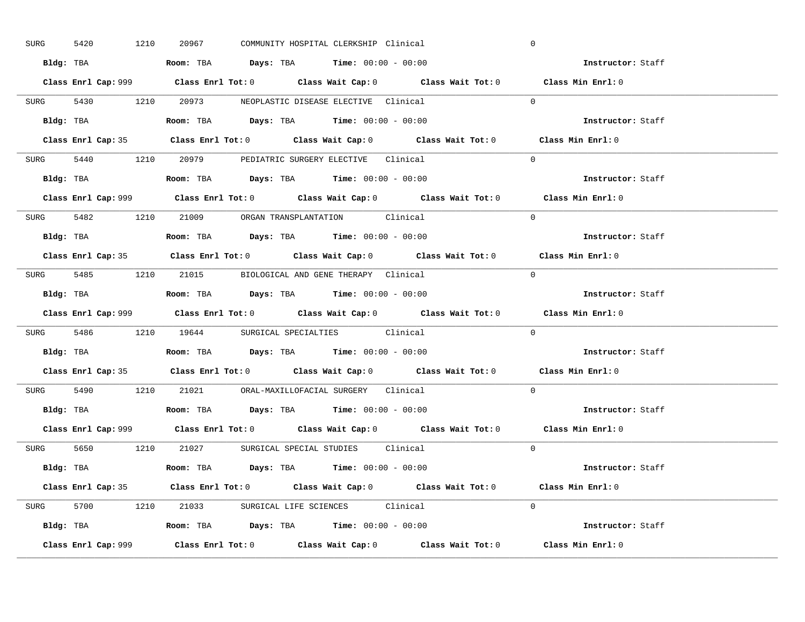| SURG      | 1210<br>5420 | 20967 | COMMUNITY HOSPITAL CLERKSHIP Clinical                                                 |                                                                           | $\mathbf 0$                                                                                 |  |
|-----------|--------------|-------|---------------------------------------------------------------------------------------|---------------------------------------------------------------------------|---------------------------------------------------------------------------------------------|--|
|           |              |       | Bldg: TBA                     Room: TBA         Days: TBA         Time: 00:00 - 00:00 |                                                                           | Instructor: Staff                                                                           |  |
|           |              |       |                                                                                       |                                                                           | Class Enrl Cap: 999 Class Enrl Tot: 0 Class Wait Cap: 0 Class Wait Tot: 0 Class Min Enrl: 0 |  |
|           |              |       | SURG 5430 1210 20973 NEOPLASTIC DISEASE ELECTIVE Clinical                             |                                                                           | $\Omega$                                                                                    |  |
|           |              |       |                                                                                       |                                                                           | Instructor: Staff                                                                           |  |
|           |              |       |                                                                                       |                                                                           | Class Enrl Cap: 35 Class Enrl Tot: 0 Class Wait Cap: 0 Class Wait Tot: 0 Class Min Enrl: 0  |  |
|           |              |       | SURG 5440 1210 20979 PEDIATRIC SURGERY ELECTIVE Clinical                              |                                                                           | $\Omega$                                                                                    |  |
|           |              |       | <b>Bldg:</b> TBA <b>ROOM:</b> TBA <b>Days:</b> TBA <b>Time:</b> $00:00 - 00:00$       |                                                                           | Instructor: Staff                                                                           |  |
|           |              |       |                                                                                       |                                                                           | Class Enrl Cap: 999 Class Enrl Tot: 0 Class Wait Cap: 0 Class Wait Tot: 0 Class Min Enrl: 0 |  |
|           |              |       | SURG 5482 1210 21009 ORGAN TRANSPLANTATION Clinical                                   |                                                                           | $\Omega$                                                                                    |  |
|           |              |       | Bldg: TBA                   Room: TBA         Days: TBA         Time: $00:00 - 00:00$ |                                                                           | Instructor: Staff                                                                           |  |
|           |              |       |                                                                                       |                                                                           | Class Enrl Cap: 35 Class Enrl Tot: 0 Class Wait Cap: 0 Class Wait Tot: 0 Class Min Enrl: 0  |  |
|           |              |       | SURG 5485 1210 21015 BIOLOGICAL AND GENE THERAPY Clinical                             |                                                                           | $\Omega$                                                                                    |  |
|           |              |       | Bldg: TBA                   Room: TBA         Days: TBA         Time: $00:00 - 00:00$ |                                                                           | Instructor: Staff                                                                           |  |
|           |              |       |                                                                                       | Class Enrl Cap: 999 Class Enrl Tot: 0 Class Wait Cap: 0 Class Wait Tot: 0 | Class Min Enrl: 0                                                                           |  |
|           |              |       | SURG 5486 1210 19644 SURGICAL SPECIALTIES Clinical                                    |                                                                           | $\Omega$                                                                                    |  |
|           |              |       |                                                                                       |                                                                           |                                                                                             |  |
| Bldg: TBA |              |       | <b>Room:</b> TBA <b>Days:</b> TBA <b>Time:</b> 00:00 - 00:00                          |                                                                           | Instructor: Staff                                                                           |  |
|           |              |       |                                                                                       |                                                                           | Class Enrl Cap: 35 Class Enrl Tot: 0 Class Wait Cap: 0 Class Wait Tot: 0 Class Min Enrl: 0  |  |
|           |              |       | SURG 5490 1210 21021 ORAL-MAXILLOFACIAL SURGERY Clinical                              |                                                                           | $\Omega$                                                                                    |  |
|           |              |       | Bldg: TBA                   Room: TBA         Days: TBA         Time: $00:00 - 00:00$ |                                                                           | Instructor: Staff                                                                           |  |
|           |              |       |                                                                                       |                                                                           | Class Enrl Cap: 999 Class Enrl Tot: 0 Class Wait Cap: 0 Class Wait Tot: 0 Class Min Enrl: 0 |  |
|           |              |       | SURG 5650 1210 21027 SURGICAL SPECIAL STUDIES Clinical                                |                                                                           | $\Omega$                                                                                    |  |
|           |              |       | Bldg: TBA                    Room: TBA         Days: TBA         Time: 00:00 - 00:00  |                                                                           | Instructor: Staff                                                                           |  |
|           |              |       |                                                                                       |                                                                           | Class Enrl Cap: 35 Class Enrl Tot: 0 Class Wait Cap: 0 Class Wait Tot: 0 Class Min Enrl: 0  |  |
|           |              |       | SURG 5700 1210 21033 SURGICAL LIFE SCIENCES Clinical                                  |                                                                           | $\Omega$                                                                                    |  |
|           |              |       | Bldg: TBA                   Room: TBA         Days: TBA         Time: $00:00 - 00:00$ |                                                                           | Instructor: Staff                                                                           |  |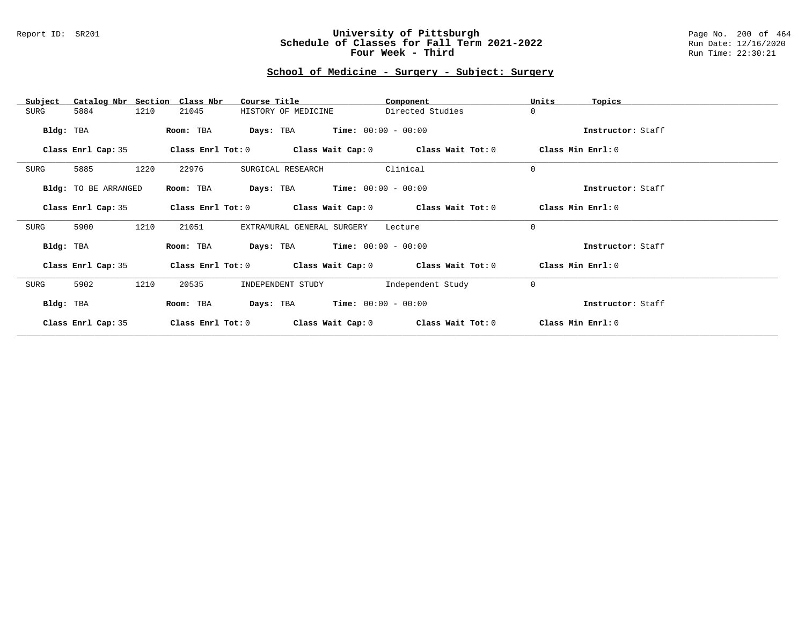#### Report ID: SR201 **University of Pittsburgh** Page No. 200 of 464 **Schedule of Classes for Fall Term 2021-2022** Run Date: 12/16/2020 **Four Week - Third Run Time: 22:30:21**

# **School of Medicine - Surgery - Subject: Surgery**

| Catalog Nbr Section<br>Subject | Class Nbr<br>Course Title                                   | Component             | Units<br>Topics   |
|--------------------------------|-------------------------------------------------------------|-----------------------|-------------------|
| 1210<br>SURG<br>5884           | 21045<br>HISTORY OF MEDICINE                                | Directed Studies      | $\mathbf 0$       |
| Bldg: TBA                      | <b>Days:</b> TBA <b>Time:</b> $00:00 - 00:00$<br>Room: TBA  |                       | Instructor: Staff |
| Class Enrl Cap: 35             | Class Enrl Tot: $0$ Class Wait Cap: $0$ Class Wait Tot: $0$ |                       | Class Min Enrl: 0 |
| 5885<br>1220<br>SURG           | 22976<br>SURGICAL RESEARCH                                  | Clinical              | $\mathbf 0$       |
| Bldg: TO BE ARRANGED           | <b>Days:</b> TBA <b>Time:</b> $00:00 - 00:00$<br>Room: TBA  |                       | Instructor: Staff |
| Class Enrl Cap: 35             | Class Enrl Tot: $0$ Class Wait Cap: $0$ Class Wait Tot: $0$ |                       | Class Min Enrl: 0 |
| 1210<br>5900<br>SURG           | 21051<br>EXTRAMURAL GENERAL SURGERY                         | Lecture               | $\mathbf 0$       |
| Bldg: TBA                      | <b>Days:</b> TBA <b>Time:</b> $00:00 - 00:00$<br>Room: TBA  |                       | Instructor: Staff |
| Class Enrl Cap: 35             | Class Enrl Tot: $0$ Class Wait Cap: $0$ Class Wait Tot: $0$ |                       | Class Min Enrl: 0 |
| 5902<br>1210<br>SURG           | 20535<br>INDEPENDENT STUDY                                  | Independent Study     | $\mathbf 0$       |
| Bldg: TBA                      | Room: TBA<br>Days: TBA                                      | $Time: 00:00 - 00:00$ | Instructor: Staff |
| Class Enrl Cap: 35             | Class Enrl Tot: 0<br>Class Wait Cap: 0                      | Class Wait Tot: 0     | Class Min Enrl: 0 |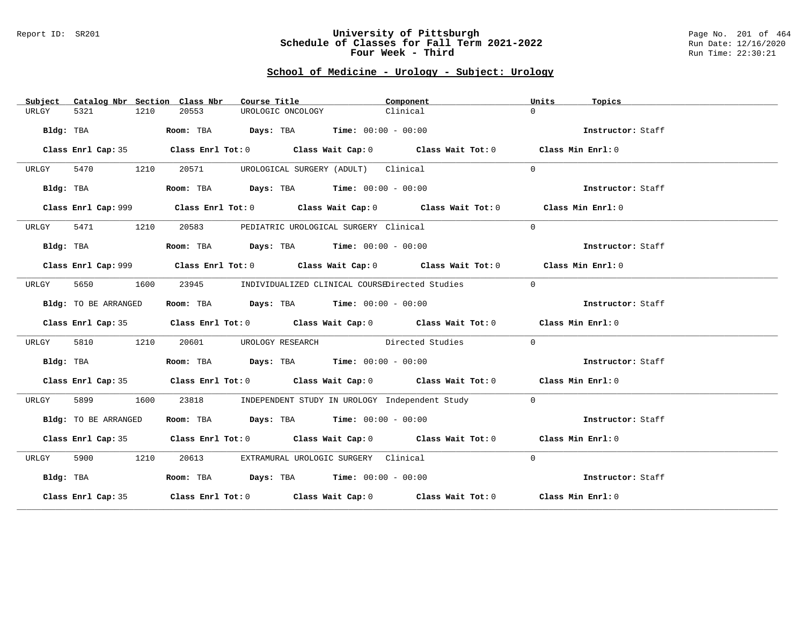#### Report ID: SR201 **University of Pittsburgh** Page No. 201 of 464 **Schedule of Classes for Fall Term 2021-2022** Run Date: 12/16/2020 **Four Week - Third Run Time: 22:30:21**

# **School of Medicine - Urology - Subject: Urology**

| Subject   |                      |      | Catalog Nbr Section Class Nbr | Course Title      |                                                                | Component                                                                                   | Units    | Topics            |
|-----------|----------------------|------|-------------------------------|-------------------|----------------------------------------------------------------|---------------------------------------------------------------------------------------------|----------|-------------------|
| URLGY     | 5321                 | 1210 | 20553                         | UROLOGIC ONCOLOGY |                                                                | Clinical                                                                                    | $\Omega$ |                   |
|           | Bldg: TBA            |      |                               |                   | Room: TBA $Days:$ TBA $Time: 00:00 - 00:00$                    |                                                                                             |          | Instructor: Staff |
|           |                      |      |                               |                   |                                                                | Class Enrl Cap: 35 Class Enrl Tot: 0 Class Wait Cap: 0 Class Wait Tot: 0 Class Min Enrl: 0  |          |                   |
| URLGY     | 5470 1210            |      | 20571                         |                   | UROLOGICAL SURGERY (ADULT) Clinical                            |                                                                                             | $\Omega$ |                   |
|           | Bldg: TBA            |      |                               |                   | Room: TBA $\rule{1em}{0.15mm}$ Days: TBA Time: $00:00 - 00:00$ |                                                                                             |          | Instructor: Staff |
|           |                      |      |                               |                   |                                                                | Class Enrl Cap: 999 Class Enrl Tot: 0 Class Wait Cap: 0 Class Wait Tot: 0 Class Min Enrl: 0 |          |                   |
| URLGY     | 5471 1210            |      |                               |                   | 20583 PEDIATRIC UROLOGICAL SURGERY Clinical                    |                                                                                             | $\Omega$ |                   |
|           | Bldg: TBA            |      |                               |                   | Room: TBA $\rule{1em}{0.15mm}$ Days: TBA Time: $00:00 - 00:00$ |                                                                                             |          | Instructor: Staff |
|           |                      |      |                               |                   |                                                                | Class Enrl Cap: 999 Class Enrl Tot: 0 Class Wait Cap: 0 Class Wait Tot: 0 Class Min Enrl: 0 |          |                   |
| URLGY     | 5650                 | 1600 |                               |                   |                                                                | 23945 INDIVIDUALIZED CLINICAL COURSEDirected Studies                                        | $\Omega$ |                   |
|           | Bldg: TO BE ARRANGED |      |                               |                   | Room: TBA $Days:$ TBA $Time: 00:00 - 00:00$                    |                                                                                             |          | Instructor: Staff |
|           |                      |      |                               |                   |                                                                | Class Enrl Cap: 35 Class Enrl Tot: 0 Class Wait Cap: 0 Class Wait Tot: 0 Class Min Enrl: 0  |          |                   |
| URLGY     | 5810                 | 1210 |                               |                   |                                                                | 20601 UROLOGY RESEARCH Directed Studies                                                     | $\Omega$ |                   |
|           | Bldg: TBA            |      |                               |                   | Room: TBA $\rule{1em}{0.15mm}$ Days: TBA Time: $00:00 - 00:00$ |                                                                                             |          | Instructor: Staff |
|           |                      |      |                               |                   |                                                                | Class Enrl Cap: 35 Class Enrl Tot: 0 Class Wait Cap: 0 Class Wait Tot: 0 Class Min Enrl: 0  |          |                   |
| URLGY     | 5899                 | 1600 |                               |                   |                                                                | 23818 INDEPENDENT STUDY IN UROLOGY Independent Study                                        | $\Omega$ |                   |
|           | Bldg: TO BE ARRANGED |      |                               |                   | Room: TBA $Days:$ TBA $Time: 00:00 - 00:00$                    |                                                                                             |          | Instructor: Staff |
|           |                      |      |                               |                   |                                                                | Class Enrl Cap: 35 Class Enrl Tot: 0 Class Wait Cap: 0 Class Wait Tot: 0 Class Min Enrl: 0  |          |                   |
| URLGY     | 5900 1210            |      |                               |                   | 20613 EXTRAMURAL UROLOGIC SURGERY Clinical                     |                                                                                             | $\Omega$ |                   |
| Bldg: TBA |                      |      |                               |                   | Room: TBA $Days:$ TBA Time: $00:00 - 00:00$                    |                                                                                             |          | Instructor: Staff |
|           |                      |      |                               |                   |                                                                | Class Enrl Cap: 35 Class Enrl Tot: 0 Class Wait Cap: 0 Class Wait Tot: 0 Class Min Enrl: 0  |          |                   |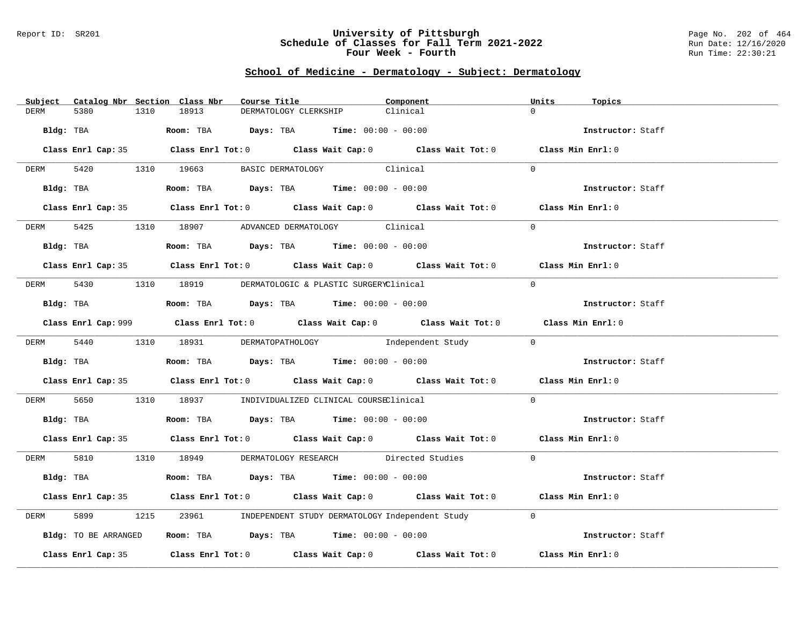#### Report ID: SR201 **University of Pittsburgh** Page No. 202 of 464 **Schedule of Classes for Fall Term 2021-2022** Run Date: 12/16/2020 **Four Week - Fourth Rundall Run Time: 22:30:21**

# **School of Medicine - Dermatology - Subject: Dermatology**

| Subject Catalog Nbr Section Class Nbr | Course Title                                                                                | Component | Units<br>Topics   |
|---------------------------------------|---------------------------------------------------------------------------------------------|-----------|-------------------|
| <b>DERM</b><br>5380<br>1310           | 18913<br>DERMATOLOGY CLERKSHIP                                                              | Clinical  | $\Omega$          |
| Bldg: TBA                             | Room: TBA $\rule{1em}{0.15mm}$ Days: TBA Time: $00:00 - 00:00$                              |           | Instructor: Staff |
|                                       |                                                                                             |           |                   |
|                                       | Class Enrl Cap: 35 Class Enrl Tot: 0 Class Wait Cap: 0 Class Wait Tot: 0 Class Min Enrl: 0  |           |                   |
|                                       | DERM 5420 1310 19663 BASIC DERMATOLOGY Clinical                                             |           | $\Omega$          |
|                                       | Bldg: TBA                  Room: TBA        Days: TBA        Time: 00:00 - 00:00            |           | Instructor: Staff |
|                                       | Class Enrl Cap: 35 Class Enrl Tot: 0 Class Wait Cap: 0 Class Wait Tot: 0 Class Min Enrl: 0  |           |                   |
|                                       | DERM 5425 1310 18907 ADVANCED DERMATOLOGY Clinical                                          |           | $\Omega$          |
| Bldg: TBA                             | Room: TBA $Days:$ TBA $Time: 00:00 - 00:00$                                                 |           | Instructor: Staff |
|                                       |                                                                                             |           |                   |
|                                       | Class Enrl Cap: 35 Class Enrl Tot: 0 Class Wait Cap: 0 Class Wait Tot: 0 Class Min Enrl: 0  |           |                   |
|                                       | DERM 5430 1310 18919 DERMATOLOGIC & PLASTIC SURGERYClinical                                 |           | $\Omega$          |
|                                       | Bldg: TBA                   Room: TBA         Days: TBA         Time: $00:00 - 00:00$       |           | Instructor: Staff |
|                                       | Class Enrl Cap: 999 Class Enrl Tot: 0 Class Wait Cap: 0 Class Wait Tot: 0 Class Min Enrl: 0 |           |                   |
|                                       | DERM 5440 1310 18931 DERMATOPATHOLOGY Independent Study                                     |           | $\bigcap$         |
|                                       | Bldg: TBA Room: TBA Days: TBA Time: 00:00 - 00:00                                           |           | Instructor: Staff |
|                                       |                                                                                             |           |                   |
|                                       | Class Enrl Cap: 35 Class Enrl Tot: 0 Class Wait Cap: 0 Class Wait Tot: 0 Class Min Enrl: 0  |           |                   |
| DERM                                  | 5650 1310 18937 INDIVIDUALIZED CLINICAL COURSEClinical                                      |           | $\Omega$          |
|                                       | Bldg: TBA                    Room: TBA         Days: TBA         Time: $00:00 - 00:00$      |           | Instructor: Staff |
|                                       | Class Enrl Cap: 35 Class Enrl Tot: 0 Class Wait Cap: 0 Class Wait Tot: 0 Class Min Enrl: 0  |           |                   |
|                                       | DERM 5810 1310 18949 DERMATOLOGY RESEARCH Directed Studies                                  |           | $\Omega$          |
| Bldg: TBA                             | Room: TBA $\rule{1em}{0.15mm}$ Days: TBA Time: $00:00 - 00:00$                              |           | Instructor: Staff |
|                                       |                                                                                             |           |                   |
|                                       | Class Enrl Cap: 35 Class Enrl Tot: 0 Class Wait Cap: 0 Class Wait Tot: 0 Class Min Enrl: 0  |           |                   |
| 5899<br>1215<br>DERM                  | 23961 INDEPENDENT STUDY DERMATOLOGY Independent Study                                       |           | $\Omega$          |
| Bldg: TO BE ARRANGED                  | Room: TBA $\rule{1em}{0.15mm}$ Days: TBA $\rule{1.5mm}{0.15mm}$ Time: $00:00 - 00:00$       |           | Instructor: Staff |
|                                       | Class Enrl Cap: 35 Class Enrl Tot: 0 Class Wait Cap: 0 Class Wait Tot: 0                    |           | Class Min Enrl: 0 |
|                                       |                                                                                             |           |                   |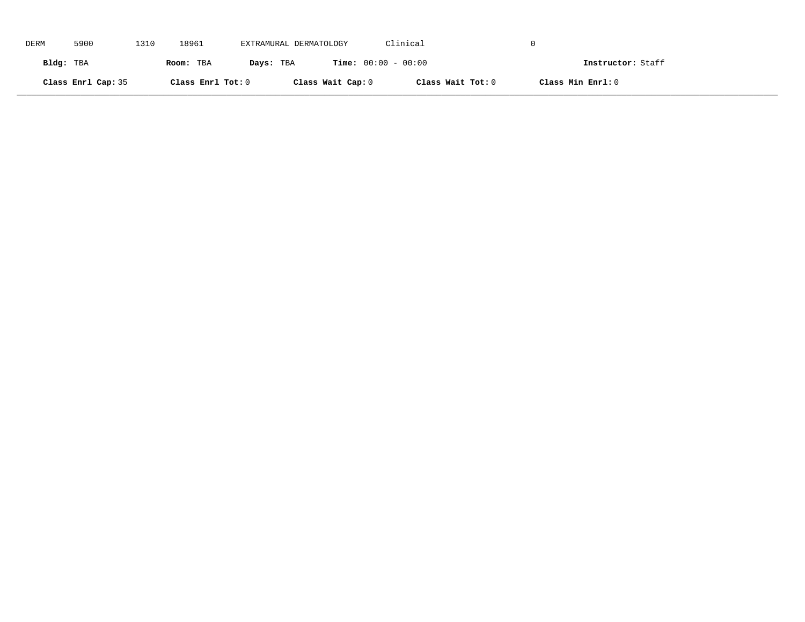| DERM      | 5900               | 1310 | 18961             | EXTRAMURAL DERMATOLOGY |                              | Clinical          |                   |
|-----------|--------------------|------|-------------------|------------------------|------------------------------|-------------------|-------------------|
| Bldg: TBA |                    |      | Room: TBA         | Days: TBA              | <b>Time:</b> $00:00 - 00:00$ |                   | Instructor: Staff |
|           | Class Enrl Cap: 35 |      | Class Enrl Tot: 0 |                        | Class Wait Cap: 0            | Class Wait Tot: 0 | Class Min Enrl: 0 |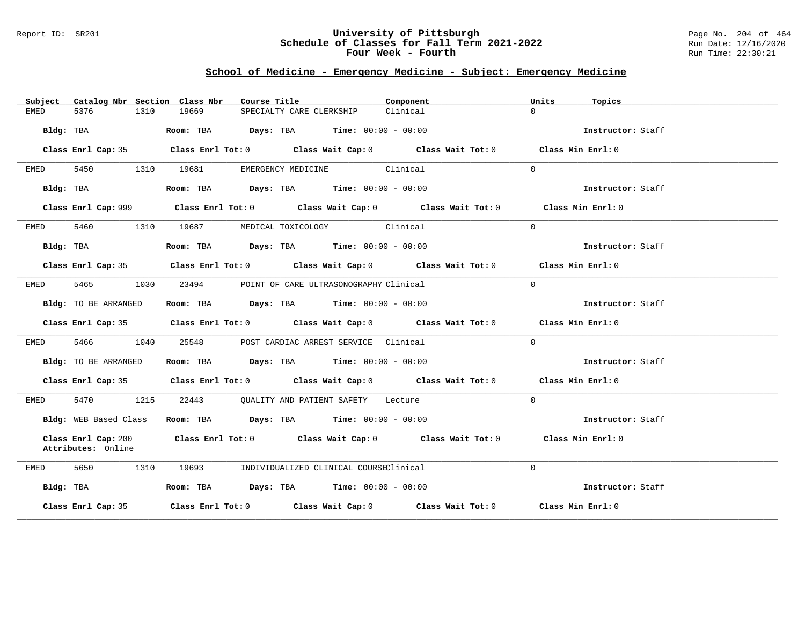#### Report ID: SR201 **University of Pittsburgh** Page No. 204 of 464 **Schedule of Classes for Fall Term 2021-2022** Run Date: 12/16/2020 **Four Week - Fourth Rundall Run Time: 22:30:21**

# **School of Medicine - Emergency Medicine - Subject: Emergency Medicine**

| Subject   |                                           |      | Catalog Nbr Section Class Nbr | Course Title                                                                             |                                        | Component                                                                                   | Units    | Topics            |
|-----------|-------------------------------------------|------|-------------------------------|------------------------------------------------------------------------------------------|----------------------------------------|---------------------------------------------------------------------------------------------|----------|-------------------|
| EMED      | 5376                                      | 1310 | 19669                         | SPECIALTY CARE CLERKSHIP                                                                 |                                        | Clinical                                                                                    | $\Omega$ |                   |
|           | Bldg: TBA                                 |      |                               | Room: TBA $Days:$ TBA $Time: 00:00 - 00:00$                                              |                                        |                                                                                             |          | Instructor: Staff |
|           |                                           |      |                               |                                                                                          |                                        | Class Enrl Cap: 35 Class Enrl Tot: 0 Class Wait Cap: 0 Class Wait Tot: 0 Class Min Enrl: 0  |          |                   |
| EMED      | 5450                                      |      | 1310 19681                    |                                                                                          | EMERGENCY MEDICINE Clinical            |                                                                                             | $\Omega$ |                   |
|           | Bldg: TBA                                 |      |                               | Room: TBA $\rule{1em}{0.15mm}$ Days: TBA Time: $00:00 - 00:00$                           |                                        |                                                                                             |          | Instructor: Staff |
|           |                                           |      |                               |                                                                                          |                                        | Class Enrl Cap: 999 Class Enrl Tot: 0 Class Wait Cap: 0 Class Wait Tot: 0 Class Min Enrl: 0 |          |                   |
| EMED      |                                           |      |                               | 5460 1310 19687 MEDICAL TOXICOLOGY Clinical                                              |                                        |                                                                                             | $\Omega$ |                   |
|           | Bldg: TBA                                 |      |                               | Room: TBA $Days:$ TBA $Time: 00:00 - 00:00$                                              |                                        |                                                                                             |          | Instructor: Staff |
|           |                                           |      |                               |                                                                                          |                                        | Class Enrl Cap: 35 Class Enrl Tot: 0 Class Wait Cap: 0 Class Wait Tot: 0 Class Min Enrl: 0  |          |                   |
| EMED      | 5465 1030                                 |      | 23494                         |                                                                                          | POINT OF CARE ULTRASONOGRAPHY Clinical |                                                                                             | $\Omega$ |                   |
|           | Bldg: TO BE ARRANGED                      |      |                               | Room: TBA $\rule{1em}{0.15mm}$ Days: TBA Time: $00:00 - 00:00$                           |                                        |                                                                                             |          | Instructor: Staff |
|           |                                           |      |                               |                                                                                          |                                        | Class Enrl Cap: 35 Class Enrl Tot: 0 Class Wait Cap: 0 Class Wait Tot: 0 Class Min Enrl: 0  |          |                   |
| EMED      | 5466 1040                                 |      |                               | 25548 POST CARDIAC ARREST SERVICE Clinical                                               |                                        |                                                                                             | $\Omega$ |                   |
|           | Bldg: TO BE ARRANGED                      |      |                               | Room: TBA $Days: TBA$ Time: $00:00 - 00:00$                                              |                                        |                                                                                             |          | Instructor: Staff |
|           |                                           |      |                               |                                                                                          |                                        | Class Enrl Cap: 35 Class Enrl Tot: 0 Class Wait Cap: 0 Class Wait Tot: 0 Class Min Enrl: 0  |          |                   |
| EMED      | 5470 1215                                 |      |                               | 22443 QUALITY AND PATIENT SAFETY Lecture                                                 |                                        |                                                                                             | $\Omega$ |                   |
|           | Bldg: WEB Based Class                     |      |                               | Room: TBA $\rule{1em}{0.15mm}$ Days: TBA $\rule{1.15mm}]{0.15mm}$ Time: $0.000 - 0.0000$ |                                        |                                                                                             |          | Instructor: Staff |
|           | Class Enrl Cap: 200<br>Attributes: Online |      |                               |                                                                                          |                                        | Class Enrl Tot: 0 Class Wait Cap: 0 Class Wait Tot: 0 Class Min Enrl: 0                     |          |                   |
| EMED      | 5650<br>1310                              |      | 19693                         |                                                                                          | INDIVIDUALIZED CLINICAL COURSEClinical |                                                                                             | $\Omega$ |                   |
| Bldg: TBA |                                           |      |                               | Room: TBA $Days: TBA$ Time: $00:00 - 00:00$                                              |                                        |                                                                                             |          | Instructor: Staff |
|           | Class Enrl Cap: 35                        |      |                               |                                                                                          |                                        | Class Enrl Tot: $0$ Class Wait Cap: $0$ Class Wait Tot: $0$ Class Min Enrl: $0$             |          |                   |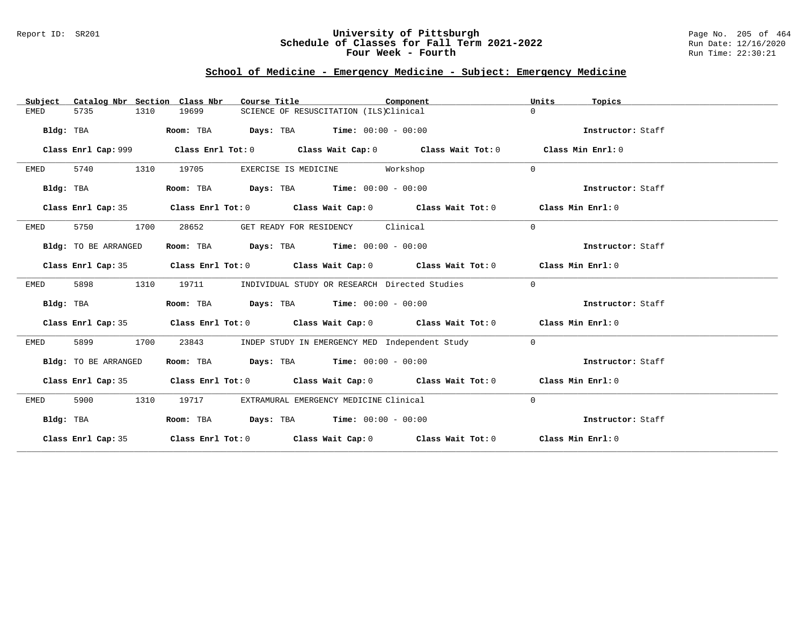### Report ID: SR201 **University of Pittsburgh** Page No. 205 of 464 **Schedule of Classes for Fall Term 2021-2022** Run Date: 12/16/2020 **Four Week - Fourth Rundall Run Time: 22:30:21**

# **School of Medicine - Emergency Medicine - Subject: Emergency Medicine**

| Catalog Nbr Section Class Nbr<br>Subject | Course Title                                                                               | Component | Units<br>Topics   |
|------------------------------------------|--------------------------------------------------------------------------------------------|-----------|-------------------|
| 5735<br>1310<br>EMED                     | 19699<br>SCIENCE OF RESUSCITATION (ILS)Clinical                                            |           | $\Omega$          |
| Bldg: TBA                                | Room: TBA<br><b>Days:</b> TBA <b>Time:</b> $00:00 - 00:00$                                 |           | Instructor: Staff |
| Class Enrl Cap: 999                      | Class Enrl Tot: $0$ Class Wait Cap: $0$ Class Wait Tot: $0$ Class Min Enrl: $0$            |           |                   |
| 5740<br>1310<br>EMED                     | 19705<br>EXERCISE IS MEDICINE                                                              | Workshop  | $\Omega$          |
| Bldg: TBA                                | Room: TBA $Days:$ TBA $Time: 00:00 - 00:00$                                                |           | Instructor: Staff |
| Class Enrl Cap: 35                       | Class Enrl Tot: 0 Class Wait Cap: 0 Class Wait Tot: 0 Class Min Enrl: 0                    |           |                   |
| 5750<br>1700<br>EMED                     | 28652<br>GET READY FOR RESIDENCY Clinical                                                  |           | $\Omega$          |
| Bldg: TO BE ARRANGED                     | Room: TBA $Days:$ TBA $Time: 00:00 - 00:00$                                                |           | Instructor: Staff |
|                                          | Class Enrl Cap: 35 Class Enrl Tot: 0 Class Wait Cap: 0 Class Wait Tot: 0 Class Min Enrl: 0 |           |                   |
| 1310<br>EMED<br>5898                     | 19711<br>INDIVIDUAL STUDY OR RESEARCH Directed Studies                                     |           | $\overline{0}$    |
| Bldg: TBA                                | Room: TBA $Days:$ TBA $Time: 00:00 - 00:00$                                                |           | Instructor: Staff |
|                                          | Class Enrl Cap: 35 Class Enrl Tot: 0 Class Wait Cap: 0 Class Wait Tot: 0 Class Min Enrl: 0 |           |                   |
| 5899<br>1700<br>EMED                     | INDEP STUDY IN EMERGENCY MED Independent Study<br>23843                                    |           | $\overline{0}$    |
| Bldg: TO BE ARRANGED                     | Room: TBA $Days:$ TBA $Time: 00:00 - 00:00$                                                |           | Instructor: Staff |
|                                          | Class Enrl Cap: 35 Class Enrl Tot: 0 Class Wait Cap: 0 Class Wait Tot: 0 Class Min Enrl: 0 |           |                   |
| 5900<br>1310<br>EMED                     | 19717 EXTRAMURAL EMERGENCY MEDICINE Clinical                                               |           | $\Omega$          |
| Bldg: TBA                                | Room: TBA $Days:$ TBA $Time: 00:00 - 00:00$                                                |           | Instructor: Staff |
|                                          | Class Enrl Cap: 35 Class Enrl Tot: 0 Class Wait Cap: 0 Class Wait Tot: 0 Class Min Enrl: 0 |           |                   |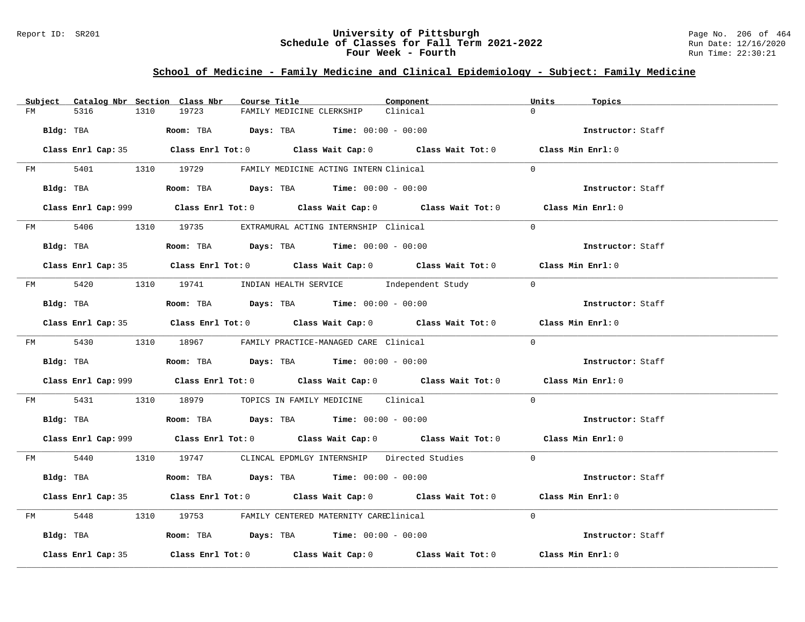#### Report ID: SR201 **University of Pittsburgh** Page No. 206 of 464 **Schedule of Classes for Fall Term 2021-2022** Run Date: 12/16/2020 **Four Week - Fourth Rundall Run Time: 22:30:21**

### **School of Medicine - Family Medicine and Clinical Epidemiology - Subject: Family Medicine**

|         | Subject Catalog Nbr Section Class Nbr | Course Title                                                                                | Component | Units<br>Topics   |
|---------|---------------------------------------|---------------------------------------------------------------------------------------------|-----------|-------------------|
| FM      | 5316<br>1310                          | 19723<br>FAMILY MEDICINE CLERKSHIP                                                          | Clinical  | $\Omega$          |
|         | Bldg: TBA                             | Room: TBA $Days:$ TBA $Time: 00:00 - 00:00$                                                 |           | Instructor: Staff |
|         |                                       | Class Enrl Cap: 35 Class Enrl Tot: 0 Class Wait Cap: 0 Class Wait Tot: 0 Class Min Enrl: 0  |           |                   |
|         |                                       | FM 5401 1310 19729 FAMILY MEDICINE ACTING INTERN Clinical                                   |           | $\Omega$          |
|         | Bldg: TBA                             | Room: TBA $Days:$ TBA $Time: 00:00 - 00:00$                                                 |           | Instructor: Staff |
|         |                                       | Class Enrl Cap: 999 Class Enrl Tot: 0 Class Wait Cap: 0 Class Wait Tot: 0 Class Min Enrl: 0 |           |                   |
|         |                                       | FM 5406 1310 19735 EXTRAMURAL ACTING INTERNSHIP Clinical                                    |           | $\Omega$          |
|         | Bldg: TBA                             | Room: TBA $Days:$ TBA $Time: 00:00 - 00:00$                                                 |           | Instructor: Staff |
|         |                                       | Class Enrl Cap: 35 Class Enrl Tot: 0 Class Wait Cap: 0 Class Wait Tot: 0 Class Min Enrl: 0  |           |                   |
|         |                                       | FM 5420 1310 19741 INDIAN HEALTH SERVICE Independent Study 0                                |           |                   |
|         | Bldg: TBA                             | Room: TBA $Days:$ TBA Time: $00:00 - 00:00$                                                 |           | Instructor: Staff |
|         |                                       | Class Enrl Cap: 35 Class Enrl Tot: 0 Class Wait Cap: 0 Class Wait Tot: 0 Class Min Enrl: 0  |           |                   |
|         |                                       | FM 5430 1310 18967 FAMILY PRACTICE-MANAGED CARE Clinical                                    |           | $\Omega$          |
|         |                                       | <b>Bldg:</b> TBA <b>Room:</b> TBA <b>Days:</b> TBA <b>Time:</b> $00:00 - 00:00$             |           | Instructor: Staff |
|         |                                       | Class Enrl Cap: 999 Class Enrl Tot: 0 Class Wait Cap: 0 Class Wait Tot: 0 Class Min Enrl: 0 |           |                   |
| FM 5431 |                                       | 1310 18979 TOPICS IN FAMILY MEDICINE Clinical                                               |           | $\Omega$          |
|         |                                       | Bldg: TBA                       Room: TBA          Days: TBA         Time: 00:00 - 00:00    |           | Instructor: Staff |
|         |                                       | Class Enrl Cap: 999 Class Enrl Tot: 0 Class Wait Cap: 0 Class Wait Tot: 0 Class Min Enrl: 0 |           |                   |
|         |                                       | FM 5440 1310 19747 CLINCAL EPDMLGY INTERNSHIP Directed Studies 0                            |           |                   |
|         | Bldg: TBA                             | Room: TBA $Days:$ TBA $Time: 00:00 - 00:00$                                                 |           | Instructor: Staff |
|         |                                       | Class Enrl Cap: 35 Class Enrl Tot: 0 Class Wait Cap: 0 Class Wait Tot: 0 Class Min Enrl: 0  |           |                   |
|         |                                       | FM 5448 1310 19753 FAMILY CENTERED MATERNITY CAREClinical                                   |           | $\Omega$          |
|         |                                       | Bldg: TBA                  Room: TBA        Days: TBA        Time: 00:00 - 00:00            |           | Instructor: Staff |
|         | Class Enrl Cap: 35                    | Class Enrl Tot: $0$ Class Wait Cap: $0$ Class Wait Tot: $0$ Class Min Enrl: $0$             |           |                   |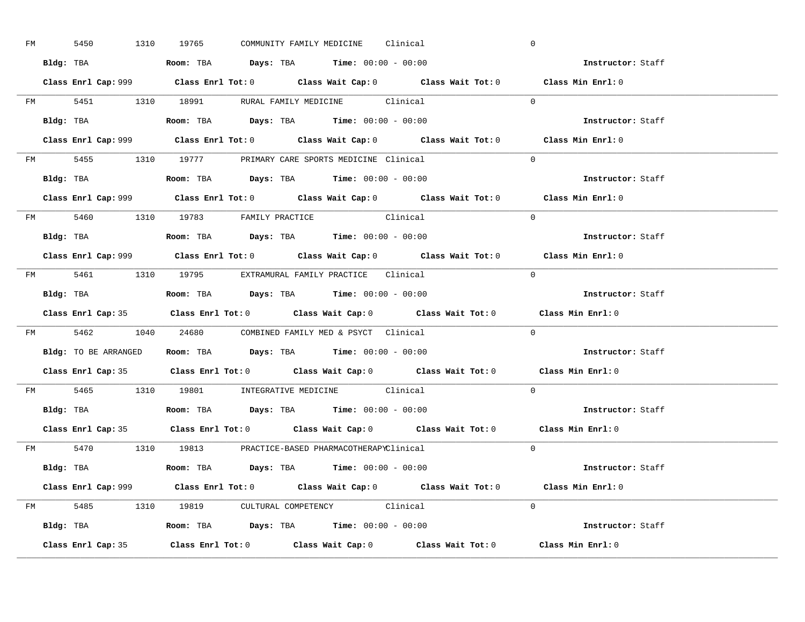| FM | 5450 | 1310 19765 |  | COMMUNITY FAMILY MEDICINE Clinical                                                     |                                                     | $\overline{0}$                                                                              |  |
|----|------|------------|--|----------------------------------------------------------------------------------------|-----------------------------------------------------|---------------------------------------------------------------------------------------------|--|
|    |      |            |  | Bldg: TBA                   Room: TBA         Days: TBA         Time: $00:00 - 00:00$  |                                                     | Instructor: Staff                                                                           |  |
|    |      |            |  |                                                                                        |                                                     | Class Enrl Cap: 999 Class Enrl Tot: 0 Class Wait Cap: 0 Class Wait Tot: 0 Class Min Enrl: 0 |  |
|    |      |            |  |                                                                                        | FM 5451 1310 18991 RURAL FAMILY MEDICINE Clinical 0 |                                                                                             |  |
|    |      |            |  | Bldg: TBA                   Room: TBA         Days: TBA         Time: $00:00 - 00:00$  |                                                     | Instructor: Staff                                                                           |  |
|    |      |            |  |                                                                                        |                                                     | Class Enrl Cap: 999 Class Enrl Tot: 0 Class Wait Cap: 0 Class Wait Tot: 0 Class Min Enrl: 0 |  |
|    |      |            |  | FM 5455 1310 19777 PRIMARY CARE SPORTS MEDICINE Clinical                               |                                                     | $\Omega$                                                                                    |  |
|    |      |            |  | Bldg: TBA                    Room: TBA         Days: TBA        Time: $00:00 - 00:00$  |                                                     | Instructor: Staff                                                                           |  |
|    |      |            |  |                                                                                        |                                                     | Class Enrl Cap: 999 Class Enrl Tot: 0 Class Wait Cap: 0 Class Wait Tot: 0 Class Min Enrl: 0 |  |
|    |      |            |  | FM 5460 1310 19783 FAMILY PRACTICE Clinical                                            |                                                     | $\Omega$                                                                                    |  |
|    |      |            |  | Bldg: TBA<br>Room: TBA<br>Days: TBA<br>Time: $00:00 - 00:00$                           |                                                     | Instructor: Staff                                                                           |  |
|    |      |            |  |                                                                                        |                                                     | Class Enrl Cap: 999 Class Enrl Tot: 0 Class Wait Cap: 0 Class Wait Tot: 0 Class Min Enrl: 0 |  |
|    |      |            |  | FM 5461 1310 19795 EXTRAMURAL FAMILY PRACTICE Clinical                                 |                                                     | $\bigcirc$                                                                                  |  |
|    |      |            |  |                                                                                        |                                                     | Instructor: Staff                                                                           |  |
|    |      |            |  |                                                                                        |                                                     | Class Enrl Cap: 35 Class Enrl Tot: 0 Class Wait Cap: 0 Class Wait Tot: 0 Class Min Enrl: 0  |  |
|    |      |            |  | FM 5462 1040 24680 COMBINED FAMILY MED & PSYCT Clinical                                |                                                     | $\overline{0}$                                                                              |  |
|    |      |            |  | Bldg: TO BE ARRANGED ROOM: TBA Days: TBA Time: 00:00 - 00:00                           |                                                     | <b>Instructor:</b> Staff                                                                    |  |
|    |      |            |  |                                                                                        |                                                     |                                                                                             |  |
|    |      |            |  |                                                                                        |                                                     | Class Enrl Cap: 35 Class Enrl Tot: 0 Class Wait Cap: 0 Class Wait Tot: 0 Class Min Enrl: 0  |  |
|    |      |            |  | FM 5465 1310 19801 INTEGRATIVE MEDICINE Clinical                                       |                                                     | $\Omega$                                                                                    |  |
|    |      |            |  | Bldg: TBA                    Room: TBA         Days: TBA         Time: $00:00 - 00:00$ |                                                     | Instructor: Staff                                                                           |  |
|    |      |            |  |                                                                                        |                                                     | Class Enrl Cap: 35 Class Enrl Tot: 0 Class Wait Cap: 0 Class Wait Tot: 0 Class Min Enrl: 0  |  |
|    |      |            |  | FM 5470 1310 19813 PRACTICE-BASED PHARMACOTHERAPYClinical                              |                                                     | $\Omega$                                                                                    |  |
|    |      |            |  | Bldg: TBA                   Room: TBA         Days: TBA         Time: 00:00 - 00:00    |                                                     | Instructor: Staff                                                                           |  |
|    |      |            |  |                                                                                        |                                                     | Class Enrl Cap: 999 Class Enrl Tot: 0 Class Wait Cap: 0 Class Wait Tot: 0 Class Min Enrl: 0 |  |
|    |      |            |  | FM 5485 1310 19819 CULTURAL COMPETENCY Clinical                                        |                                                     | $\Omega$                                                                                    |  |
|    |      |            |  | Bldg: TBA                    Room: TBA         Days: TBA         Time: $00:00 - 00:00$ |                                                     | Instructor: Staff                                                                           |  |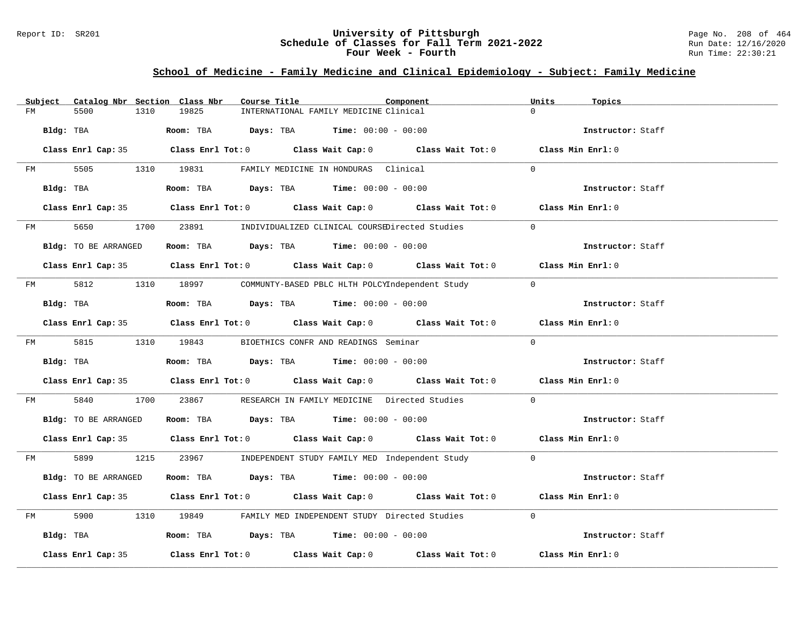#### Report ID: SR201 **University of Pittsburgh** Page No. 208 of 464 **Schedule of Classes for Fall Term 2021-2022** Run Date: 12/16/2020 **Four Week - Fourth Rundall Run Time: 22:30:21**

# **School of Medicine - Family Medicine and Clinical Epidemiology - Subject: Family Medicine**

|    | Subject   |                      |      | Catalog Nbr Section Class Nbr | Course Title |                                                                                     | Component                                                                                  | Units    | Topics            |
|----|-----------|----------------------|------|-------------------------------|--------------|-------------------------------------------------------------------------------------|--------------------------------------------------------------------------------------------|----------|-------------------|
| FM |           | 5500                 | 1310 | 19825                         |              | INTERNATIONAL FAMILY MEDICINE Clinical                                              |                                                                                            | $\Omega$ |                   |
|    | Bldg: TBA |                      |      |                               |              | Room: TBA $Days: TBA$ Time: $00:00 - 00:00$                                         |                                                                                            |          | Instructor: Staff |
|    |           |                      |      |                               |              |                                                                                     | Class Enrl Cap: 35 Class Enrl Tot: 0 Class Wait Cap: 0 Class Wait Tot: 0 Class Min Enrl: 0 |          |                   |
| FM |           |                      |      |                               |              | 5505 1310 19831 FAMILY MEDICINE IN HONDURAS Clinical                                |                                                                                            | $\Omega$ |                   |
|    |           | Bldg: TBA            |      |                               |              | Room: TBA $Days:$ TBA $Time: 00:00 - 00:00$                                         |                                                                                            |          | Instructor: Staff |
|    |           |                      |      |                               |              |                                                                                     | Class Enrl Cap: 35 Class Enrl Tot: 0 Class Wait Cap: 0 Class Wait Tot: 0 Class Min Enrl: 0 |          |                   |
|    |           | FM 5650              |      |                               |              |                                                                                     | 1700 23891 INDIVIDUALIZED CLINICAL COURSEDirected Studies                                  | $\Omega$ |                   |
|    |           | Bldg: TO BE ARRANGED |      |                               |              | Room: TBA $Days:$ TBA $Time: 00:00 - 00:00$                                         |                                                                                            |          | Instructor: Staff |
|    |           |                      |      |                               |              |                                                                                     | Class Enrl Cap: 35 Class Enrl Tot: 0 Class Wait Cap: 0 Class Wait Tot: 0 Class Min Enrl: 0 |          |                   |
|    |           |                      |      |                               |              |                                                                                     | FM 5812 1310 18997 COMMUNTY-BASED PBLC HLTH POLCYIndependent Study 0                       |          |                   |
|    |           | Bldg: TBA            |      |                               |              | Room: TBA $Days:$ TBA $Time: 00:00 - 00:00$                                         |                                                                                            |          | Instructor: Staff |
|    |           |                      |      |                               |              |                                                                                     | Class Enrl Cap: 35 Class Enrl Tot: 0 Class Wait Cap: 0 Class Wait Tot: 0 Class Min Enrl: 0 |          |                   |
|    |           |                      |      |                               |              | FM 5815 1310 19843 BIOETHICS CONFR AND READINGS Seminar                             |                                                                                            | $\Omega$ |                   |
|    |           | Bldg: TBA            |      |                               |              | Room: TBA $Days: TBA$ Time: $00:00 - 00:00$                                         |                                                                                            |          | Instructor: Staff |
|    |           |                      |      |                               |              |                                                                                     | Class Enrl Cap: 35 Class Enrl Tot: 0 Class Wait Cap: 0 Class Wait Tot: 0 Class Min Enrl: 0 |          |                   |
| FM |           | 5840                 |      |                               |              |                                                                                     | 1700 23867 RESEARCH IN FAMILY MEDICINE Directed Studies                                    | $\Omega$ |                   |
|    |           | Bldg: TO BE ARRANGED |      |                               |              | Room: TBA $Days:$ TBA $Time: 00:00 - 00:00$                                         |                                                                                            |          | Instructor: Staff |
|    |           |                      |      |                               |              |                                                                                     | Class Enrl Cap: 35 Class Enrl Tot: 0 Class Wait Cap: 0 Class Wait Tot: 0 Class Min Enrl: 0 |          |                   |
|    |           |                      |      |                               |              |                                                                                     | FM 5899 1215 23967 INDEPENDENT STUDY FAMILY MED Independent Study 0                        |          |                   |
|    |           | Bldg: TO BE ARRANGED |      |                               |              | Room: TBA $Days:$ TBA $Time: 00:00 - 00:00$                                         |                                                                                            |          | Instructor: Staff |
|    |           |                      |      |                               |              |                                                                                     | Class Enrl Cap: 35 Class Enrl Tot: 0 Class Wait Cap: 0 Class Wait Tot: 0 Class Min Enrl: 0 |          |                   |
| FM |           |                      |      |                               |              |                                                                                     | 5900 1310 19849 FAMILY MED INDEPENDENT STUDY Directed Studies                              | $\Omega$ |                   |
|    |           |                      |      |                               |              | Bldg: TBA                   Room: TBA        Days: TBA        Time: $00:00 - 00:00$ |                                                                                            |          | Instructor: Staff |
|    |           | Class Enrl Cap: 35   |      |                               |              |                                                                                     | Class Enrl Tot: $0$ Class Wait Cap: $0$ Class Wait Tot: $0$ Class Min Enrl: $0$            |          |                   |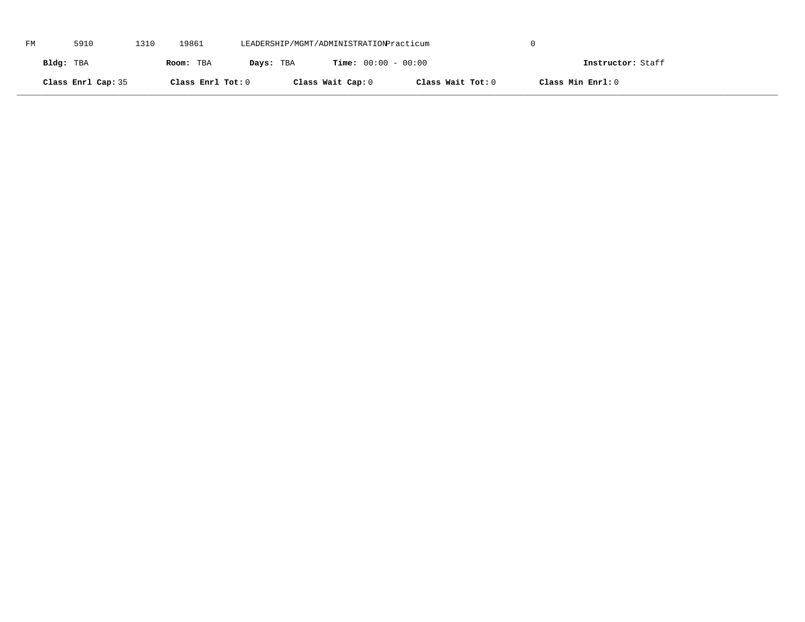| FM | 5910               | 1310 | 19861             | LEADERSHIP/MGMT/ADMINISTRATIONPracticum |                              |                   |                   |  |
|----|--------------------|------|-------------------|-----------------------------------------|------------------------------|-------------------|-------------------|--|
|    | Bldg: TBA          |      | Room: TBA         | Days: TBA                               | <b>Time:</b> $00:00 - 00:00$ |                   | Instructor: Staff |  |
|    | Class Enrl Cap: 35 |      | Class Enrl Tot: 0 |                                         | Class Wait Cap: 0            | Class Wait Tot: 0 | Class Min Enrl: 0 |  |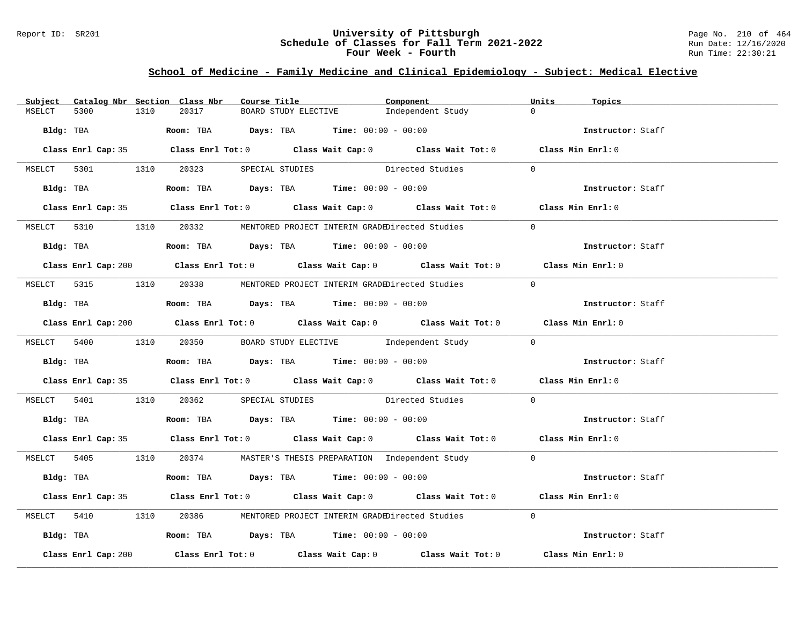### Report ID: SR201 **University of Pittsburgh** Page No. 210 of 464 **Schedule of Classes for Fall Term 2021-2022** Run Date: 12/16/2020 **Four Week - Fourth Rundall Run Time: 22:30:21**

### **School of Medicine - Family Medicine and Clinical Epidemiology - Subject: Medical Elective**

| Subject |                     |      | Catalog Nbr Section Class Nbr | Course Title |                                                                                            | Component                                                                                   | Units          | Topics            |  |
|---------|---------------------|------|-------------------------------|--------------|--------------------------------------------------------------------------------------------|---------------------------------------------------------------------------------------------|----------------|-------------------|--|
| MSELCT  | 5300                | 1310 | 20317                         |              | BOARD STUDY ELECTIVE                                                                       | Independent Study                                                                           | $\Omega$       |                   |  |
|         | Bldg: TBA           |      |                               |              | <b>Room:</b> TBA $\rule{1em}{0.15mm}$ $Days:$ TBA $\qquad$ Time: $00:00 - 00:00$           |                                                                                             |                | Instructor: Staff |  |
|         |                     |      |                               |              |                                                                                            | Class Enrl Cap: 35 Class Enrl Tot: 0 Class Wait Cap: 0 Class Wait Tot: 0 Class Min Enrl: 0  |                |                   |  |
|         |                     |      |                               |              |                                                                                            | MSELCT 5301 1310 20323 SPECIAL STUDIES Directed Studies                                     | $\overline{0}$ |                   |  |
|         |                     |      |                               |              |                                                                                            | Bldg: TBA Room: TBA Days: TBA Time: 00:00 - 00:00                                           |                | Instructor: Staff |  |
|         |                     |      |                               |              |                                                                                            | Class Enrl Cap: 35 Class Enrl Tot: 0 Class Wait Cap: 0 Class Wait Tot: 0 Class Min Enrl: 0  |                |                   |  |
|         |                     |      |                               |              |                                                                                            | MSELCT 5310 1310 20332 MENTORED PROJECT INTERIM GRADEDirected Studies                       | $\Omega$       |                   |  |
|         |                     |      |                               |              | Bldg: TBA                   Room: TBA         Days: TBA        Time: $00:00 - 00:00$       |                                                                                             |                | Instructor: Staff |  |
|         |                     |      |                               |              |                                                                                            | Class Enrl Cap: 200 Class Enrl Tot: 0 Class Wait Cap: 0 Class Wait Tot: 0 Class Min Enrl: 0 |                |                   |  |
|         |                     |      |                               |              |                                                                                            | MSELCT 5315 1310 20338 MENTORED PROJECT INTERIM GRADEDirected Studies                       | $\bigcap$      |                   |  |
|         |                     |      |                               |              | Bldg: TBA                    Room: TBA        Days: TBA        Time: 00:00 - 00:00         |                                                                                             |                | Instructor: Staff |  |
|         |                     |      |                               |              |                                                                                            | Class Enrl Cap: 200 Class Enrl Tot: 0 Class Wait Cap: 0 Class Wait Tot: 0 Class Min Enrl: 0 |                |                   |  |
|         |                     |      |                               |              |                                                                                            | MSELCT 5400 1310 20350 BOARD STUDY ELECTIVE Independent Study 0                             |                |                   |  |
|         |                     |      |                               |              | Bldg: TBA <b>ROOM: TBA Days: TBA Time: 00:00 - 00:00</b>                                   |                                                                                             |                | Instructor: Staff |  |
|         |                     |      |                               |              |                                                                                            | Class Enrl Cap: 35 Class Enrl Tot: 0 Class Wait Cap: 0 Class Wait Tot: 0 Class Min Enrl: 0  |                |                   |  |
|         |                     |      |                               |              |                                                                                            | MSELCT 5401 1310 20362 SPECIAL STUDIES Directed Studies 0                                   |                |                   |  |
|         |                     |      |                               |              | Bldg: TBA                     Room: TBA        Days: TBA        Time: 00:00 - 00:00        |                                                                                             |                | Instructor: Staff |  |
|         |                     |      |                               |              |                                                                                            | Class Enrl Cap: 35 Class Enrl Tot: 0 Class Wait Cap: 0 Class Wait Tot: 0 Class Min Enrl: 0  |                |                   |  |
|         |                     |      |                               |              |                                                                                            | MSELCT 5405 1310 20374 MASTER'S THESIS PREPARATION Independent Study 0                      |                |                   |  |
|         |                     |      |                               |              | Bldg: TBA                     Room: TBA           Days: TBA          Time: $00:00 - 00:00$ |                                                                                             |                | Instructor: Staff |  |
|         |                     |      |                               |              |                                                                                            | Class Enrl Cap: 35 Class Enrl Tot: 0 Class Wait Cap: 0 Class Wait Tot: 0 Class Min Enrl: 0  |                |                   |  |
|         |                     |      |                               |              |                                                                                            | MSELCT 5410 1310 20386 MENTORED PROJECT INTERIM GRADEDirected Studies                       | $\Omega$       |                   |  |
|         |                     |      |                               |              | Bldg: TBA                    Room: TBA         Days: TBA         Time: 00:00 - 00:00       |                                                                                             |                | Instructor: Staff |  |
|         | Class Enrl Cap: 200 |      |                               |              |                                                                                            | Class Enrl Tot: $0$ Class Wait Cap: $0$ Class Wait Tot: $0$                                 |                | Class Min Enrl: 0 |  |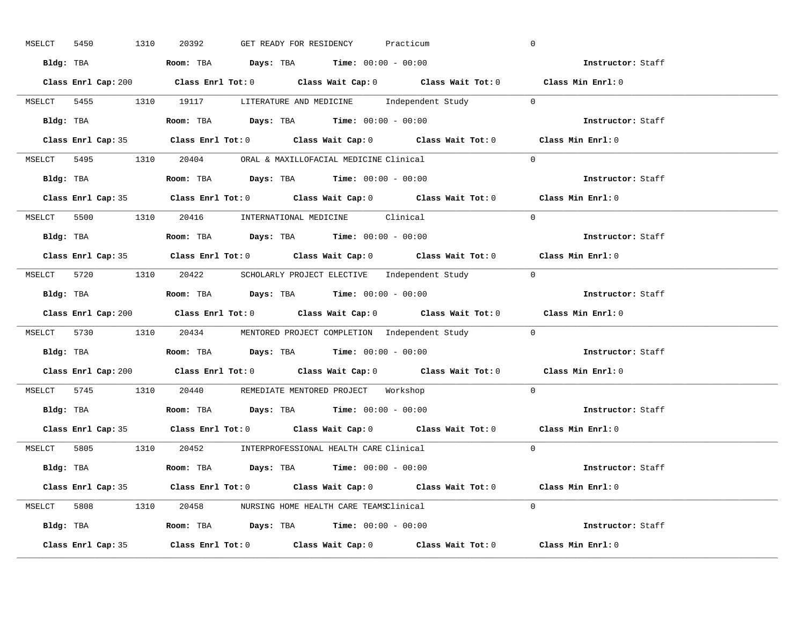| MSELCT             | 5450 | 1310 | 20392                                                                                  | GET READY FOR RESIDENCY |  | Practicum |                                                                        | $\overline{0}$                                                                              |
|--------------------|------|------|----------------------------------------------------------------------------------------|-------------------------|--|-----------|------------------------------------------------------------------------|---------------------------------------------------------------------------------------------|
|                    |      |      | Bldg: TBA                   Room: TBA         Days: TBA         Time: 00:00 - 00:00    |                         |  |           |                                                                        | <b>Example 2</b> Instructor: Staff                                                          |
|                    |      |      |                                                                                        |                         |  |           |                                                                        | Class Enrl Cap: 200 Class Enrl Tot: 0 Class Wait Cap: 0 Class Wait Tot: 0 Class Min Enrl: 0 |
|                    |      |      |                                                                                        |                         |  |           | MSELCT 5455 1310 19117 LITERATURE AND MEDICINE Independent Study 0     |                                                                                             |
|                    |      |      | <b>Bldg:</b> TBA <b>ROOM:</b> TBA <b>Days:</b> TBA <b>Time:</b> $00:00 - 00:00$        |                         |  |           |                                                                        | Instructor: Staff                                                                           |
|                    |      |      |                                                                                        |                         |  |           |                                                                        | Class Enrl Cap: 35 Class Enrl Tot: 0 Class Wait Cap: 0 Class Wait Tot: 0 Class Min Enrl: 0  |
|                    |      |      | MSELCT 5495 1310 20404 ORAL & MAXILLOFACIAL MEDICINE Clinical                          |                         |  |           |                                                                        | $\Omega$                                                                                    |
|                    |      |      | Bldg: TBA                    Room: TBA         Days: TBA        Time: $00:00 - 00:00$  |                         |  |           |                                                                        | Instructor: Staff                                                                           |
|                    |      |      |                                                                                        |                         |  |           |                                                                        | Class Enrl Cap: 35 Class Enrl Tot: 0 Class Wait Cap: 0 Class Wait Tot: 0 Class Min Enrl: 0  |
|                    |      |      | MSELCT 5500 1310 20416 INTERNATIONAL MEDICINE Clinical                                 |                         |  |           |                                                                        | $\Omega$                                                                                    |
|                    |      |      | Bldg: TBA                    Room: TBA         Days: TBA         Time: $00:00 - 00:00$ |                         |  |           |                                                                        | Instructor: Staff                                                                           |
|                    |      |      |                                                                                        |                         |  |           |                                                                        | Class Enrl Cap: 35 Class Enrl Tot: 0 Class Wait Cap: 0 Class Wait Tot: 0 Class Min Enrl: 0  |
|                    |      |      |                                                                                        |                         |  |           | MSELCT 5720 1310 20422 SCHOLARLY PROJECT ELECTIVE Independent Study 0  |                                                                                             |
|                    |      |      | Bldg: TBA                    Room: TBA        Days: TBA        Time: 00:00 - 00:00     |                         |  |           |                                                                        | Instructor: Staff                                                                           |
|                    |      |      |                                                                                        |                         |  |           |                                                                        | Class Enrl Cap: 200 Class Enrl Tot: 0 Class Wait Cap: 0 Class Wait Tot: 0 Class Min Enrl: 0 |
|                    |      |      |                                                                                        |                         |  |           | MSELCT 5730 1310 20434 MENTORED PROJECT COMPLETION Independent Study 0 |                                                                                             |
|                    |      |      |                                                                                        |                         |  |           |                                                                        | Instructor: Staff                                                                           |
|                    |      |      |                                                                                        |                         |  |           |                                                                        | Class Enrl Cap: 200 Class Enrl Tot: 0 Class Wait Cap: 0 Class Wait Tot: 0 Class Min Enrl: 0 |
|                    |      |      | MSELCT 5745 1310 20440 REMEDIATE MENTORED PROJECT Workshop                             |                         |  |           |                                                                        | $\Omega$                                                                                    |
|                    |      |      | Bldg: TBA                   Room: TBA         Days: TBA         Time: 00:00 - 00:00    |                         |  |           |                                                                        | Instructor: Staff                                                                           |
|                    |      |      |                                                                                        |                         |  |           |                                                                        | Class Enrl Cap: 35 Class Enrl Tot: 0 Class Wait Cap: 0 Class Wait Tot: 0 Class Min Enrl: 0  |
|                    |      |      | MSELCT 5805 1310 20452 INTERPROFESSIONAL HEALTH CARE Clinical                          |                         |  |           |                                                                        | $\Omega$                                                                                    |
|                    |      |      | Bldg: TBA                   Room: TBA        Days: TBA        Time: 00:00 - 00:00      |                         |  |           |                                                                        | Instructor: Staff                                                                           |
|                    |      |      |                                                                                        |                         |  |           |                                                                        | Class Enrl Cap: 35 Class Enrl Tot: 0 Class Wait Cap: 0 Class Wait Tot: 0 Class Min Enrl: 0  |
|                    |      |      | MSELCT 5808 1310 20458 NURSING HOME HEALTH CARE TEAMSClinical                          |                         |  |           |                                                                        | $\Omega$                                                                                    |
|                    |      |      | Bldg: TBA                    Room: TBA         Days: TBA         Time: 00:00 - 00:00   |                         |  |           |                                                                        | Instructor: Staff                                                                           |
| Class Enrl Cap: 35 |      |      |                                                                                        |                         |  |           |                                                                        |                                                                                             |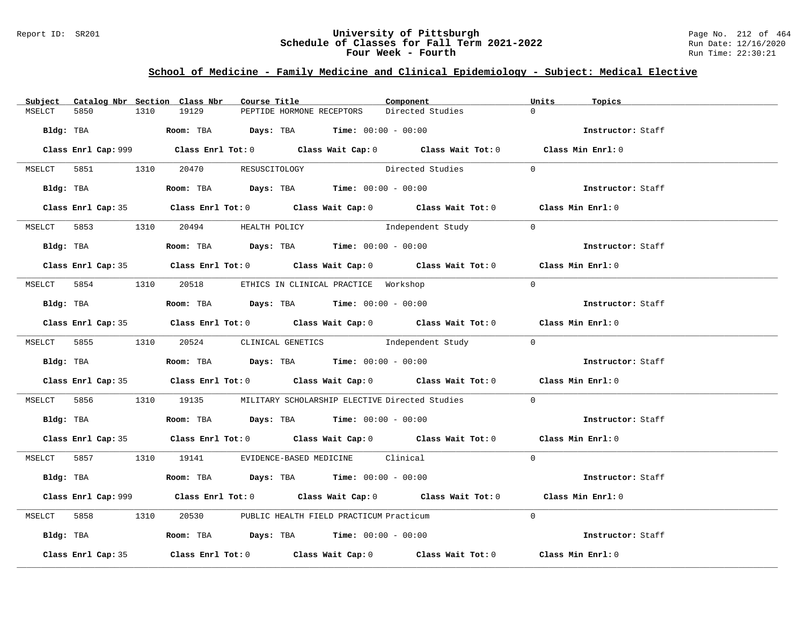### Report ID: SR201 **University of Pittsburgh** Page No. 212 of 464 **Schedule of Classes for Fall Term 2021-2022** Run Date: 12/16/2020 **Four Week - Fourth Rundall Run Time: 22:30:21**

# **School of Medicine - Family Medicine and Clinical Epidemiology - Subject: Medical Elective**

| Subject |                    |      | Catalog Nbr Section Class Nbr        | Course Title |                                                                                       | Component                                                                                   | Units          | Topics            |  |
|---------|--------------------|------|--------------------------------------|--------------|---------------------------------------------------------------------------------------|---------------------------------------------------------------------------------------------|----------------|-------------------|--|
| MSELCT  | 5850               | 1310 | 19129                                |              | PEPTIDE HORMONE RECEPTORS                                                             | Directed Studies                                                                            | $\Omega$       |                   |  |
|         |                    |      |                                      |              | Bldg: TBA                    Room: TBA         Days: TBA        Time: $00:00 - 00:00$ |                                                                                             |                | Instructor: Staff |  |
|         |                    |      |                                      |              |                                                                                       | Class Enrl Cap: 999 Class Enrl Tot: 0 Class Wait Cap: 0 Class Wait Tot: 0 Class Min Enrl: 0 |                |                   |  |
|         |                    |      | MSELCT 5851 1310 20470 RESUSCITOLOGY |              |                                                                                       | Directed Studies                                                                            | $\Omega$       |                   |  |
|         |                    |      |                                      |              | Bldg: TBA                   Room: TBA        Days: TBA        Time: 00:00 - 00:00     |                                                                                             |                | Instructor: Staff |  |
|         |                    |      |                                      |              |                                                                                       | Class Enrl Cap: 35 Class Enrl Tot: 0 Class Wait Cap: 0 Class Wait Tot: 0 Class Min Enrl: 0  |                |                   |  |
|         |                    |      | MSELCT 5853 1310 20494 HEALTH POLICY |              |                                                                                       | Independent Study                                                                           | $\overline{0}$ |                   |  |
|         |                    |      |                                      |              |                                                                                       |                                                                                             |                | Instructor: Staff |  |
|         |                    |      |                                      |              |                                                                                       | Class Enrl Cap: 35 Class Enrl Tot: 0 Class Wait Cap: 0 Class Wait Tot: 0 Class Min Enrl: 0  |                |                   |  |
|         |                    |      |                                      |              | MSELCT 5854 1310 20518 ETHICS IN CLINICAL PRACTICE Workshop                           |                                                                                             | $\Omega$       |                   |  |
|         |                    |      |                                      |              | Bldg: TBA                   Room: TBA         Days: TBA         Time: $00:00 - 00:00$ |                                                                                             |                | Instructor: Staff |  |
|         |                    |      |                                      |              |                                                                                       | Class Enrl Cap: 35 Class Enrl Tot: 0 Class Wait Cap: 0 Class Wait Tot: 0 Class Min Enrl: 0  |                |                   |  |
|         |                    |      |                                      |              |                                                                                       | MSELCT 5855 1310 20524 CLINICAL GENETICS Independent Study 0                                |                |                   |  |
|         |                    |      |                                      |              | Bldg: TBA                    Room: TBA        Days: TBA         Time: 00:00 - 00:00   |                                                                                             |                | Instructor: Staff |  |
|         |                    |      |                                      |              |                                                                                       | Class Enrl Cap: 35 Class Enrl Tot: 0 Class Wait Cap: 0 Class Wait Tot: 0 Class Min Enrl: 0  |                |                   |  |
|         |                    |      |                                      |              |                                                                                       | MSELCT 5856 1310 19135 MILITARY SCHOLARSHIP ELECTIVE Directed Studies                       | $\Omega$       |                   |  |
|         |                    |      |                                      |              | Bldg: TBA                   Room: TBA         Days: TBA        Time: $00:00 - 00:00$  |                                                                                             |                | Instructor: Staff |  |
|         |                    |      |                                      |              |                                                                                       | Class Enrl Cap: 35 Class Enrl Tot: 0 Class Wait Cap: 0 Class Wait Tot: 0 Class Min Enrl: 0  |                |                   |  |
|         |                    |      |                                      |              | MSELCT 5857 1310 19141 EVIDENCE-BASED MEDICINE Clinical                               |                                                                                             | $\Omega$       |                   |  |
|         |                    |      |                                      |              | Bldg: TBA                   Room: TBA         Days: TBA        Time: $00:00 - 00:00$  |                                                                                             |                | Instructor: Staff |  |
|         |                    |      |                                      |              |                                                                                       | Class Enrl Cap: 999 Class Enrl Tot: 0 Class Wait Cap: 0 Class Wait Tot: 0 Class Min Enrl: 0 |                |                   |  |
|         |                    |      |                                      |              | MSELCT 5858 1310 20530 PUBLIC HEALTH FIELD PRACTICUM Practicum                        |                                                                                             | $\Omega$       |                   |  |
|         |                    |      |                                      |              | Bldg: TBA                  Room: TBA        Days: TBA        Time: 00:00 - 00:00      |                                                                                             |                | Instructor: Staff |  |
|         | Class Enrl Cap: 35 |      |                                      |              |                                                                                       | Class Enrl Tot: $0$ Class Wait Cap: $0$ Class Wait Tot: $0$                                 |                | Class Min Enrl: 0 |  |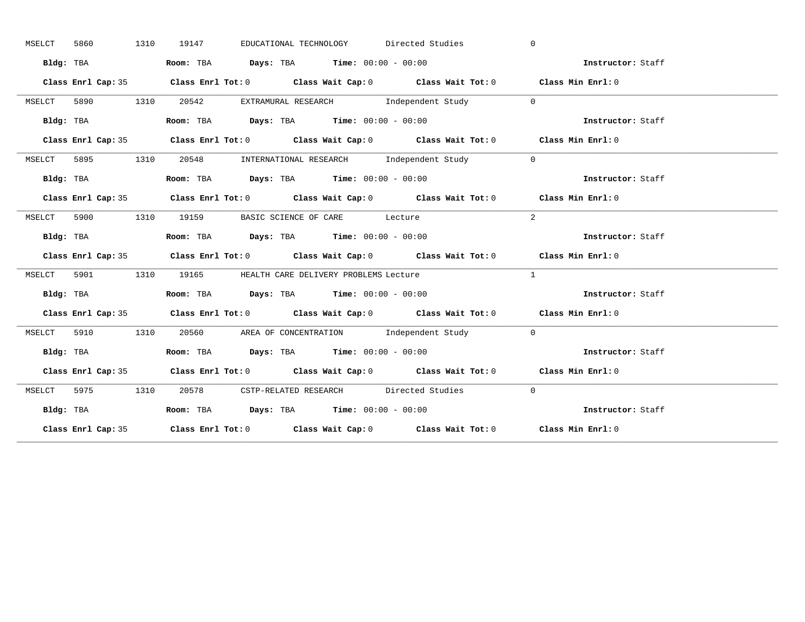|        | 5860 | 1310      | 19147 |                                                                                       | EDUCATIONAL TECHNOLOGY Directed Studies                       | $\Omega$                                                                                   |  |
|--------|------|-----------|-------|---------------------------------------------------------------------------------------|---------------------------------------------------------------|--------------------------------------------------------------------------------------------|--|
|        |      | Bldg: TBA |       | Room: TBA $Days:$ TBA $Time: 00:00 - 00:00$                                           |                                                               | Instructor: Staff                                                                          |  |
|        |      |           |       |                                                                                       |                                                               | Class Enrl Cap: 35 Class Enrl Tot: 0 Class Wait Cap: 0 Class Wait Tot: 0 Class Min Enrl: 0 |  |
| MSELCT |      |           |       |                                                                                       | 5890 1310 20542 EXTRAMURAL RESEARCH Independent Study 0       |                                                                                            |  |
|        |      | Bldg: TBA |       | Room: TBA Days: TBA Time: $00:00 - 00:00$                                             |                                                               | Instructor: Staff                                                                          |  |
|        |      |           |       |                                                                                       |                                                               | Class Enrl Cap: 35 Class Enrl Tot: 0 Class Wait Cap: 0 Class Wait Tot: 0 Class Min Enrl: 0 |  |
| MSELCT |      |           |       |                                                                                       | 5895 1310 20548 INTERNATIONAL RESEARCH Independent Study      | $\overline{0}$                                                                             |  |
|        |      | Bldg: TBA |       | Room: TBA $Days:$ TBA Time: $00:00 - 00:00$                                           |                                                               | Instructor: Staff                                                                          |  |
|        |      |           |       |                                                                                       |                                                               | Class Enrl Cap: 35 Class Enrl Tot: 0 Class Wait Cap: 0 Class Wait Tot: 0 Class Min Enrl: 0 |  |
|        |      |           |       | MSELCT 5900 1310 19159 BASIC SCIENCE OF CARE Lecture                                  |                                                               | 2                                                                                          |  |
|        |      | Bldg: TBA |       | Room: TBA $Days:$ TBA $Time: 00:00 - 00:00$                                           |                                                               | Instructor: Staff                                                                          |  |
|        |      |           |       |                                                                                       |                                                               | Class Enrl Cap: 35 Class Enrl Tot: 0 Class Wait Cap: 0 Class Wait Tot: 0 Class Min Enrl: 0 |  |
|        |      |           |       | MSELCT 5901 1310 19165 HEALTH CARE DELIVERY PROBLEMS Lecture                          |                                                               | $\mathbf{1}$                                                                               |  |
|        |      |           |       |                                                                                       |                                                               |                                                                                            |  |
|        |      | Bldg: TBA |       | Room: TBA $\rule{1em}{0.15mm}$ Days: TBA $\rule{1.5mm}{0.15mm}$ Time: $00:00 - 00:00$ |                                                               | Instructor: Staff                                                                          |  |
|        |      |           |       |                                                                                       |                                                               | Class Enrl Cap: 35 Class Enrl Tot: 0 Class Wait Cap: 0 Class Wait Tot: 0 Class Min Enrl: 0 |  |
| MSELCT |      |           |       |                                                                                       | 5910 1310 20560 AREA OF CONCENTRATION Independent Study 0     |                                                                                            |  |
|        |      |           |       |                                                                                       |                                                               | Bldg: TBA Room: TBA Days: TBA Time: 00:00 - 00:00<br>Thetructor: Staff                     |  |
|        |      |           |       |                                                                                       |                                                               | Class Enrl Cap: 35 Class Enrl Tot: 0 Class Wait Cap: 0 Class Wait Tot: 0 Class Min Enrl: 0 |  |
|        |      |           |       |                                                                                       | MSELCT 5975 1310 20578 CSTP-RELATED RESEARCH Directed Studies | $\bigcirc$                                                                                 |  |
|        |      | Bldg: TBA |       | Room: TBA $Days:$ TBA $Time: 00:00 - 00:00$                                           |                                                               | Instructor: Staff                                                                          |  |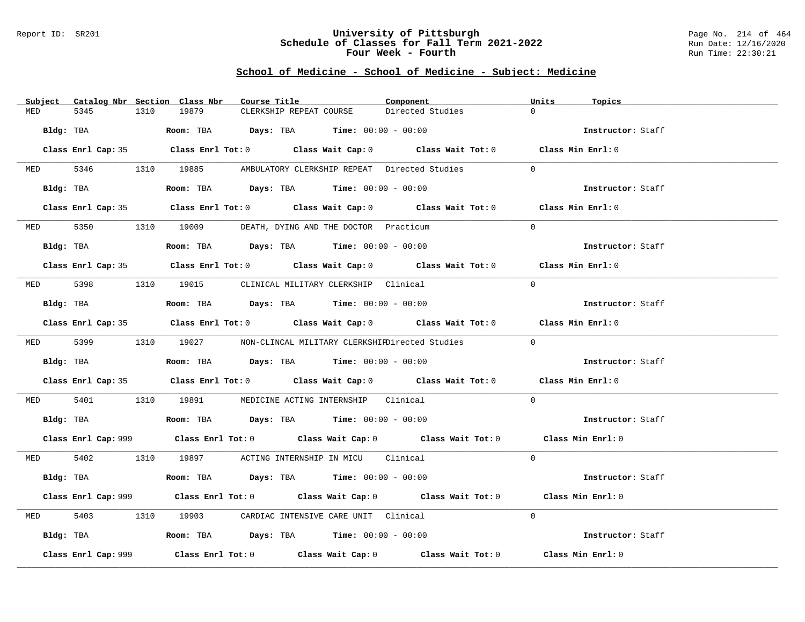#### Report ID: SR201 **University of Pittsburgh** Page No. 214 of 464 **Schedule of Classes for Fall Term 2021-2022** Run Date: 12/16/2020 **Four Week - Fourth Rundall Run Time: 22:30:21**

# **School of Medicine - School of Medicine - Subject: Medicine**

| Subject Catalog Nbr Section Class Nbr | Course Title                                                                                | Units<br>Component           | Topics            |
|---------------------------------------|---------------------------------------------------------------------------------------------|------------------------------|-------------------|
| 5345<br>1310<br>MED                   | 19879<br>CLERKSHIP REPEAT COURSE                                                            | $\Omega$<br>Directed Studies |                   |
| Bldg: TBA                             | <b>Room:</b> TBA $\qquad \qquad$ Days: TBA $\qquad \qquad$ Time: $00:00 - 00:00$            |                              | Instructor: Staff |
|                                       | Class Enrl Cap: 35 Class Enrl Tot: 0 Class Wait Cap: 0 Class Wait Tot: 0 Class Min Enrl: 0  |                              |                   |
|                                       | MED 5346 1310 19885 AMBULATORY CLERKSHIP REPEAT Directed Studies                            | $\Omega$                     |                   |
|                                       | Bldg: TBA                  Room: TBA        Days: TBA        Time: 00:00 - 00:00            |                              | Instructor: Staff |
|                                       | Class Enrl Cap: 35 Class Enrl Tot: 0 Class Wait Cap: 0 Class Wait Tot: 0 Class Min Enrl: 0  |                              |                   |
|                                       | MED 5350 1310 19009 DEATH, DYING AND THE DOCTOR Practicum                                   | $\Omega$                     |                   |
|                                       | Bldg: TBA                   Room: TBA         Days: TBA         Time: $00:00 - 00:00$       |                              | Instructor: Staff |
|                                       | Class Enrl Cap: 35 Class Enrl Tot: 0 Class Wait Cap: 0 Class Wait Tot: 0 Class Min Enrl: 0  |                              |                   |
|                                       | MED 5398 1310 19015 CLINICAL MILITARY CLERKSHIP Clinical                                    | $\Omega$                     |                   |
| Bldg: TBA                             | Room: TBA $Days:$ TBA Time: $00:00 - 00:00$                                                 |                              | Instructor: Staff |
|                                       | Class Enrl Cap: 35 Class Enrl Tot: 0 Class Wait Cap: 0 Class Wait Tot: 0 Class Min Enrl: 0  |                              |                   |
|                                       | MED 5399 1310 19027 NON-CLINCAL MILITARY CLERKSHIEDirected Studies                          | $\Omega$                     |                   |
|                                       | Bldg: TBA                    Room: TBA        Days: TBA        Time: 00:00 - 00:00          |                              | Instructor: Staff |
|                                       | Class Enrl Cap: 35 Class Enrl Tot: 0 Class Wait Cap: 0 Class Wait Tot: 0 Class Min Enrl: 0  |                              |                   |
| MED 5401                              | 1310 19891 MEDICINE ACTING INTERNSHIP Clinical                                              | $\Omega$                     |                   |
|                                       | Bldg: TBA                   Room: TBA         Days: TBA         Time: $00:00 - 00:00$       |                              | Instructor: Staff |
|                                       | Class Enrl Cap: 999 Class Enrl Tot: 0 Class Wait Cap: 0 Class Wait Tot: 0 Class Min Enrl: 0 |                              |                   |
|                                       | MED 5402 1310 19897 ACTING INTERNSHIP IN MICU Clinical                                      | $\Omega$                     |                   |
|                                       | Bldg: TBA                   Room: TBA         Days: TBA        Time: 00:00 - 00:00          |                              | Instructor: Staff |
|                                       | Class Enrl Cap: 999 Class Enrl Tot: 0 Class Wait Cap: 0 Class Wait Tot: 0 Class Min Enrl: 0 |                              |                   |
| 5403<br><b>MED</b>                    | 1310 19903 CARDIAC INTENSIVE CARE UNIT Clinical                                             | $\Omega$                     |                   |
|                                       | Bldg: TBA                    Room: TBA         Days: TBA         Time: 00:00 - 00:00        |                              | Instructor: Staff |
| Class Enrl Cap: 999                   | Class Enrl Tot: $0$ Class Wait Cap: $0$ Class Wait Tot: $0$ Class Min Enrl: $0$             |                              |                   |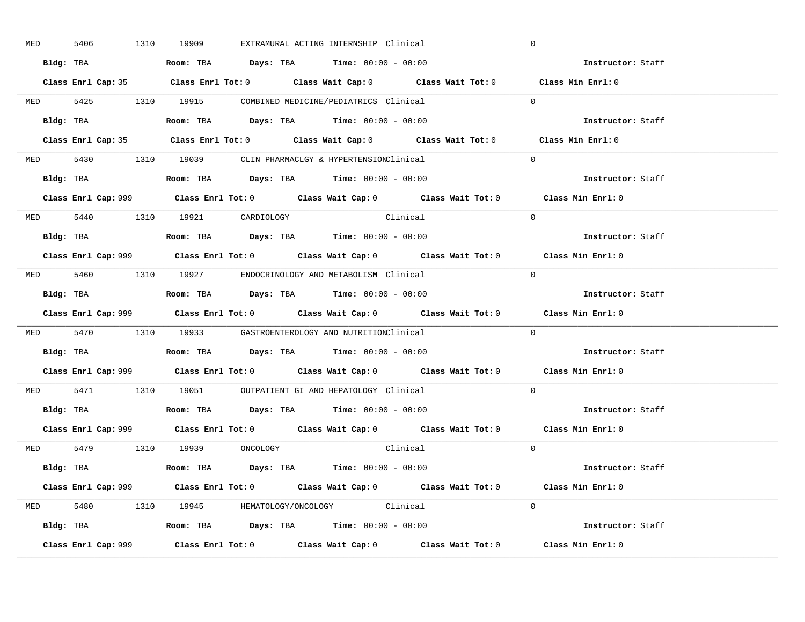| <b>MED</b> | 5406 |           | 1310 19909                     |  | EXTRAMURAL ACTING INTERNSHIP Clinical                                                         | $\overline{0}$                                                                              |
|------------|------|-----------|--------------------------------|--|-----------------------------------------------------------------------------------------------|---------------------------------------------------------------------------------------------|
|            |      |           |                                |  | Bldg: TBA                   Room: TBA         Days: TBA         Time: $00:00 - 00:00$         | Instructor: Staff                                                                           |
|            |      |           |                                |  |                                                                                               | Class Enrl Cap: 35 Class Enrl Tot: 0 Class Wait Cap: 0 Class Wait Tot: 0 Class Min Enrl: 0  |
|            |      |           |                                |  | MED 5425 1310 19915 COMBINED MEDICINE/PEDIATRICS Clinical                                     | $\Omega$                                                                                    |
|            |      | Bldg: TBA |                                |  | Room: TBA $Days:$ TBA $Time: 00:00 - 00:00$                                                   | Instructor: Staff                                                                           |
|            |      |           |                                |  |                                                                                               | Class Enrl Cap: 35 Class Enrl Tot: 0 Class Wait Cap: 0 Class Wait Tot: 0 Class Min Enrl: 0  |
|            |      |           |                                |  | MED 5430 1310 19039 CLIN PHARMACLGY & HYPERTENSIONClinical                                    | $\Omega$                                                                                    |
|            |      |           |                                |  | Bldg: TBA                    Room: TBA         Days: TBA        Time: $00:00 - 00:00$         | Instructor: Staff                                                                           |
|            |      |           |                                |  |                                                                                               | Class Enrl Cap: 999 Class Enrl Tot: 0 Class Wait Cap: 0 Class Wait Tot: 0 Class Min Enrl: 0 |
|            |      |           | MED 5440 1310 19921 CARDIOLOGY |  | Clinical                                                                                      | $\Omega$                                                                                    |
|            |      |           |                                |  | Bldg: TBA<br>Room: TBA<br>Days: TBA<br>Time: $00:00 - 00:00$                                  | Instructor: Staff                                                                           |
|            |      |           |                                |  |                                                                                               | Class Enrl Cap: 999 Class Enrl Tot: 0 Class Wait Cap: 0 Class Wait Tot: 0 Class Min Enrl: 0 |
|            |      |           |                                |  | MED 5460 1310 19927 ENDOCRINOLOGY AND METABOLISM Clinical                                     | $\overline{0}$                                                                              |
|            |      |           |                                |  |                                                                                               | Instructor: Staff                                                                           |
|            |      |           |                                |  |                                                                                               | Class Enrl Cap: 999 Class Enrl Tot: 0 Class Wait Cap: 0 Class Wait Tot: 0 Class Min Enrl: 0 |
|            |      |           |                                |  | MED 5470 1310 19933 GASTROENTEROLOGY AND NUTRITIONClinical                                    | $\Omega$                                                                                    |
|            |      |           |                                |  | Bldg: TBA                    Room: TBA         Days: TBA         Time: 00:00 - 00:00          | <b>Instructor:</b> Staff                                                                    |
|            |      |           |                                |  |                                                                                               | Class Enrl Cap: 999 Class Enrl Tot: 0 Class Wait Cap: 0 Class Wait Tot: 0 Class Min Enrl: 0 |
|            |      |           |                                |  | MED 5471 1310 19051 OUTPATIENT GI AND HEPATOLOGY Clinical                                     | $\Omega$                                                                                    |
|            |      |           |                                |  | Bldg: TBA                    Room: TBA         Days: TBA         Time: $00:00 - 00:00$        | Instructor: Staff                                                                           |
|            |      |           |                                |  |                                                                                               | Class Enrl Cap: 999 Class Enrl Tot: 0 Class Wait Cap: 0 Class Wait Tot: 0 Class Min Enrl: 0 |
|            |      |           | MED 5479 1310 19939 ONCOLOGY   |  | Clinical                                                                                      | $\Omega$                                                                                    |
|            |      |           |                                |  | Bldg: TBA                   Room: TBA         Days: TBA         Time: 00:00 - 00:00           | Instructor: Staff                                                                           |
|            |      |           |                                |  |                                                                                               | Class Enrl Cap: 999 Class Enrl Tot: 0 Class Wait Cap: 0 Class Wait Tot: 0 Class Min Enrl: 0 |
|            |      |           |                                |  | MED 5480 1310 19945 HEMATOLOGY/ONCOLOGY Clinical                                              | $\Omega$                                                                                    |
|            |      |           |                                |  | Bldg: TBA                         Room: TBA          Days: TBA          Time: $00:00 - 00:00$ | Instructor: Staff                                                                           |
|            |      |           |                                |  |                                                                                               | Class Min Enrl: 0                                                                           |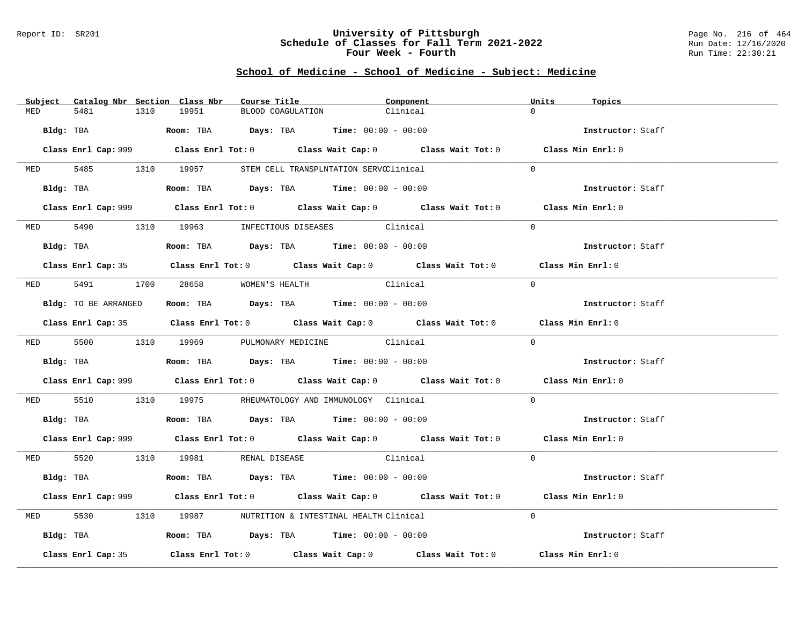### Report ID: SR201 **University of Pittsburgh** Page No. 216 of 464 **Schedule of Classes for Fall Term 2021-2022** Run Date: 12/16/2020 **Four Week - Fourth Rundall Run Time: 22:30:21**

# **School of Medicine - School of Medicine - Subject: Medicine**

|            | Subject Catalog Nbr Section Class Nbr | Course Title                                                                                 | Component                                                                                   | Units<br>Topics   |
|------------|---------------------------------------|----------------------------------------------------------------------------------------------|---------------------------------------------------------------------------------------------|-------------------|
| MED        | 1310<br>5481                          | 19951                                                                                        | BLOOD COAGULATION<br>Clinical                                                               | $\cap$            |
| Bldg: TBA  |                                       | $\texttt{Room:}$ TBA $\texttt{DayS:}$ TBA $\texttt{Time:}$ 00:00 - 00:00                     |                                                                                             | Instructor: Staff |
|            |                                       |                                                                                              | Class Enrl Cap: 999 Class Enrl Tot: 0 Class Wait Cap: 0 Class Wait Tot: 0 Class Min Enrl: 0 |                   |
|            |                                       | MED 5485 1310 19957 STEM CELL TRANSPLNTATION SERVCClinical                                   |                                                                                             | $\Omega$          |
|            |                                       | Bldg: TBA                  Room: TBA        Days: TBA        Time: 00:00 - 00:00             |                                                                                             | Instructor: Staff |
|            |                                       |                                                                                              | Class Enrl Cap: 999 Class Enrl Tot: 0 Class Wait Cap: 0 Class Wait Tot: 0 Class Min Enrl: 0 |                   |
|            |                                       | MED 5490 1310 19963 INFECTIOUS DISEASES Clinical                                             |                                                                                             | $\Omega$          |
|            | Bldg: TBA                             | Room: TBA $Days:$ TBA Time: $00:00 - 00:00$                                                  |                                                                                             | Instructor: Staff |
|            |                                       |                                                                                              | Class Enrl Cap: 35 Class Enrl Tot: 0 Class Wait Cap: 0 Class Wait Tot: 0 Class Min Enrl: 0  |                   |
|            |                                       | MED 5491 1700 28658 WOMEN'S HEALTH                                                           | Clinical                                                                                    | $\Omega$          |
|            |                                       | <b>Bldg:</b> TO BE ARRANGED <b>Room:</b> TBA <b>Days:</b> TBA <b>Time:</b> $00:00 - 00:00$   |                                                                                             | Instructor: Staff |
|            |                                       |                                                                                              | Class Enrl Cap: 35 Class Enrl Tot: 0 Class Wait Cap: 0 Class Wait Tot: 0 Class Min Enrl: 0  |                   |
|            |                                       | MED 5500 1310 19969 PULMONARY MEDICINE Clinical                                              |                                                                                             | $\Omega$          |
|            |                                       |                                                                                              |                                                                                             | Instructor: Staff |
|            |                                       |                                                                                              | Class Enrl Cap: 999 Class Enrl Tot: 0 Class Wait Cap: 0 Class Wait Tot: 0 Class Min Enrl: 0 |                   |
|            |                                       | MED 5510 1310 19975 RHEUMATOLOGYANDIMMUNOLOGYClinical                                        |                                                                                             | $\Omega$          |
|            |                                       | Bldg: TBA                        Room: TBA          Days: TBA          Time: $00:00 - 00:00$ |                                                                                             | Instructor: Staff |
|            |                                       |                                                                                              | Class Enrl Cap: 999 Class Enrl Tot: 0 Class Wait Cap: 0 Class Wait Tot: 0 Class Min Enrl: 0 |                   |
|            |                                       | MED 5520 1310 19981 RENAL DISEASE                                                            | Clinical                                                                                    | $\Omega$          |
|            | Bldg: TBA                             | Room: TBA $\rule{1em}{0.15mm}$ Days: TBA Time: $00:00 - 00:00$                               |                                                                                             | Instructor: Staff |
|            |                                       |                                                                                              | Class Enrl Cap: 999 Class Enrl Tot: 0 Class Wait Cap: 0 Class Wait Tot: 0 Class Min Enrl: 0 |                   |
| <b>MED</b> | 5530                                  | 1310 19987 NUTRITION & INTESTINAL HEALTH Clinical                                            |                                                                                             | $\Omega$          |
|            |                                       | Bldg: TBA                       Room: TBA          Days: TBA          Time: 00:00 - 00:00    |                                                                                             | Instructor: Staff |
|            | Class Enrl Cap: 35                    |                                                                                              | Class Enrl Tot: $0$ Class Wait Cap: $0$ Class Wait Tot: $0$                                 | Class Min Enrl: 0 |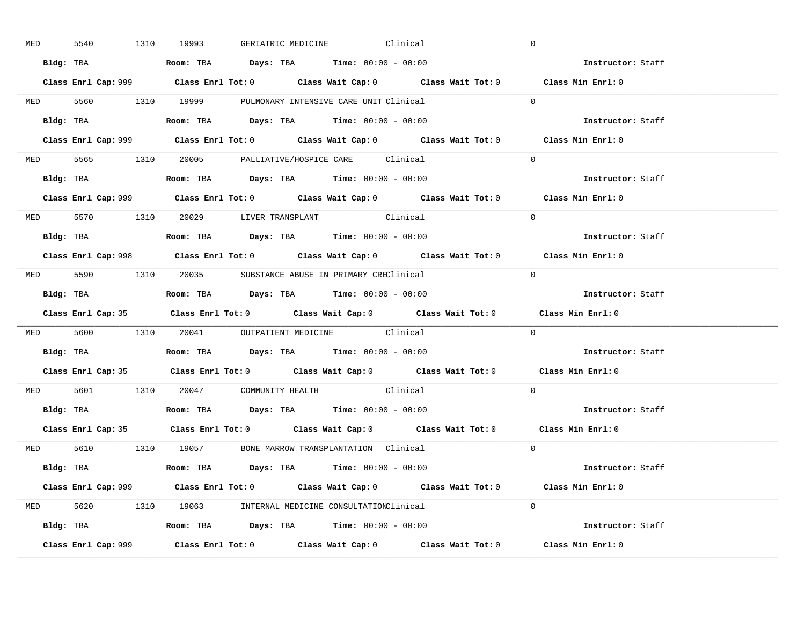| <b>MED</b> | 5540      |           | 1310 19993 GERIATRIC MEDICINE Clinical                                                |  |                                                                                             | $\overline{0}$                                                                              |  |
|------------|-----------|-----------|---------------------------------------------------------------------------------------|--|---------------------------------------------------------------------------------------------|---------------------------------------------------------------------------------------------|--|
|            |           |           | Bldg: TBA                   Room: TBA         Days: TBA         Time: $00:00 - 00:00$ |  |                                                                                             | Instructor: Staff                                                                           |  |
|            |           |           |                                                                                       |  |                                                                                             | Class Enrl Cap: 999 Class Enrl Tot: 0 Class Wait Cap: 0 Class Wait Tot: 0 Class Min Enrl: 0 |  |
|            |           |           | MED 5560 1310 19999 PULMONARY INTENSIVE CARE UNIT Clinical                            |  |                                                                                             | $\overline{0}$                                                                              |  |
|            |           | Bldg: TBA | Room: TBA $Days:$ TBA $Time:$ 00:00 - 00:00                                           |  |                                                                                             | Instructor: Staff                                                                           |  |
|            |           |           |                                                                                       |  |                                                                                             | Class Enrl Cap: 999 Class Enrl Tot: 0 Class Wait Cap: 0 Class Wait Tot: 0 Class Min Enrl: 0 |  |
|            |           |           | MED 5565 1310 20005 PALLIATIVE/HOSPICE CARE Clinical                                  |  |                                                                                             | $\Omega$                                                                                    |  |
|            |           |           | Bldg: TBA                    Room: TBA         Days: TBA        Time: $00:00 - 00:00$ |  |                                                                                             | Instructor: Staff                                                                           |  |
|            |           |           |                                                                                       |  |                                                                                             | Class Enrl Cap: 999 Class Enrl Tot: 0 Class Wait Cap: 0 Class Wait Tot: 0 Class Min Enrl: 0 |  |
|            |           |           | MED 5570 1310 20029 LIVER TRANSPLANT Clinical                                         |  |                                                                                             | $\Omega$                                                                                    |  |
|            |           |           | <b>Bldg:</b> TBA <b>ROOM:</b> TBA <b>Days:</b> TBA <b>Time:</b> $00:00 - 00:00$       |  |                                                                                             | Instructor: Staff                                                                           |  |
|            |           |           |                                                                                       |  |                                                                                             | Class Enrl Cap: 998 Class Enrl Tot: 0 Class Wait Cap: 0 Class Wait Tot: 0 Class Min Enrl: 0 |  |
|            |           |           | MED 5590 1310 20035 SUBSTANCE ABUSE IN PRIMARY CREClinical                            |  |                                                                                             | $\Omega$                                                                                    |  |
|            |           |           |                                                                                       |  |                                                                                             | Instructor: Staff                                                                           |  |
|            |           |           |                                                                                       |  |                                                                                             | Class Enrl Cap: 35 Class Enrl Tot: 0 Class Wait Cap: 0 Class Wait Tot: 0 Class Min Enrl: 0  |  |
|            |           |           |                                                                                       |  |                                                                                             | $\overline{0}$                                                                              |  |
|            |           |           | MED 5600 1310 20041 OUTPATIENT MEDICINE Clinical                                      |  |                                                                                             |                                                                                             |  |
|            | Bldg: TBA |           | Room: TBA $\qquad$ Days: TBA $\qquad$ Time: $00:00 - 00:00$                           |  |                                                                                             | Instructor: Staff                                                                           |  |
|            |           |           |                                                                                       |  | Class Enrl Cap: 35 Class Enrl Tot: 0 Class Wait Cap: 0 Class Wait Tot: 0 Class Min Enrl: 0  |                                                                                             |  |
|            |           |           | MED 5601 1310 20047 COMMUNITY HEALTH Clinical                                         |  |                                                                                             | $\Omega$                                                                                    |  |
|            |           |           | Bldg: TBA                   Room: TBA         Days: TBA         Time: 00:00 - 00:00   |  |                                                                                             | Instructor: Staff                                                                           |  |
|            |           |           |                                                                                       |  | Class Enrl Cap: 35 Class Enrl Tot: 0 Class Wait Cap: 0 Class Wait Tot: 0 Class Min Enrl: 0  |                                                                                             |  |
|            |           |           | MED 5610 1310 19057 BONE MARROW TRANSPLANTATION Clinical                              |  |                                                                                             | $\Omega$                                                                                    |  |
|            |           |           | Bldg: TBA                   Room: TBA         Days: TBA         Time: 00:00 - 00:00   |  |                                                                                             | Instructor: Staff                                                                           |  |
|            |           |           |                                                                                       |  | Class Enrl Cap: 999 Class Enrl Tot: 0 Class Wait Cap: 0 Class Wait Tot: 0 Class Min Enrl: 0 |                                                                                             |  |
|            |           |           | MED 5620 1310 19063 INTERNAL MEDICINE CONSULTATIONClinical                            |  |                                                                                             | $\Omega$                                                                                    |  |
|            |           |           | Bldg: TBA                   Room: TBA         Days: TBA         Time: 00:00 - 00:00   |  |                                                                                             | <b>Instructor:</b> Staff                                                                    |  |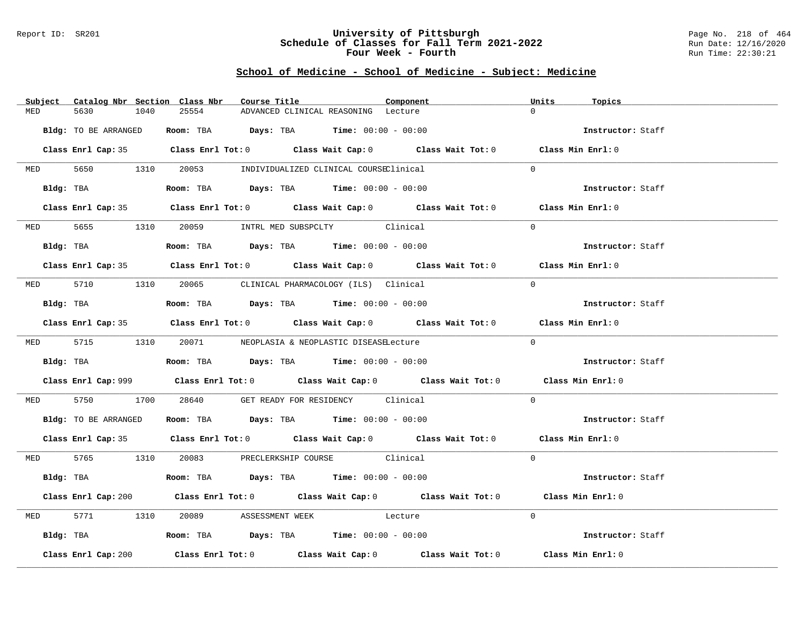#### Report ID: SR201 **University of Pittsburgh** Page No. 218 of 464 **Schedule of Classes for Fall Term 2021-2022** Run Date: 12/16/2020 **Four Week - Fourth Rundall Run Time: 22:30:21**

# **School of Medicine - School of Medicine - Subject: Medicine**

|     | Subject Catalog Nbr Section Class Nbr | Course Title                                                                                | Component | Units<br>Topics   |
|-----|---------------------------------------|---------------------------------------------------------------------------------------------|-----------|-------------------|
| MED | 5630<br>1040                          | 25554<br>ADVANCED CLINICAL REASONING Lecture                                                |           | $\Omega$          |
|     | Bldg: TO BE ARRANGED                  | Room: TBA $Days:$ TBA $Time: 00:00 - 00:00$                                                 |           | Instructor: Staff |
|     |                                       | Class Enrl Cap: 35 Class Enrl Tot: 0 Class Wait Cap: 0 Class Wait Tot: 0 Class Min Enrl: 0  |           |                   |
|     |                                       | MED 5650 1310 20053 INDIVIDUALIZED CLINICAL COURSEClinical                                  |           | $\Omega$          |
|     |                                       | Bldg: TBA                    Room: TBA         Days: TBA         Time: 00:00 - 00:00        |           | Instructor: Staff |
|     |                                       | Class Enrl Cap: 35 Class Enrl Tot: 0 Class Wait Cap: 0 Class Wait Tot: 0 Class Min Enrl: 0  |           |                   |
|     |                                       | MED 5655 1310 20059 INTRL MED SUBSPCLTY Clinical                                            |           | $\Omega$          |
|     |                                       | Bldg: TBA                   Room: TBA         Days: TBA         Time: $00:00 - 00:00$       |           | Instructor: Staff |
|     |                                       | Class Enrl Cap: 35 Class Enrl Tot: 0 Class Wait Cap: 0 Class Wait Tot: 0 Class Min Enrl: 0  |           |                   |
|     |                                       | MED 5710 1310 20065 CLINICAL PHARMACOLOGY (ILS) Clinical                                    |           | $\Omega$          |
|     |                                       | Bldg: TBA                   Room: TBA         Days: TBA         Time: 00:00 - 00:00         |           | Instructor: Staff |
|     |                                       | Class Enrl Cap: 35 Class Enrl Tot: 0 Class Wait Cap: 0 Class Wait Tot: 0 Class Min Enrl: 0  |           |                   |
|     |                                       | MED 5715 1310 20071 NEOPLASIA & NEOPLASTIC DISEASELecture                                   |           | $\Omega$          |
|     |                                       | <b>Bldg:</b> TBA <b>ROOM:</b> TBA <b>Days:</b> TBA <b>Time:</b> 00:00 - 00:00               |           | Instructor: Staff |
|     |                                       | Class Enrl Cap: 999 Class Enrl Tot: 0 Class Wait Cap: 0 Class Wait Tot: 0 Class Min Enrl: 0 |           |                   |
|     |                                       | MED 5750 1700 28640 GET READY FOR RESIDENCY Clinical                                        |           | $\Omega$          |
|     |                                       | Bldg: TO BE ARRANGED Room: TBA Days: TBA Time: 00:00 - 00:00                                |           | Instructor: Staff |
|     |                                       | Class Enrl Cap: 35 Class Enrl Tot: 0 Class Wait Cap: 0 Class Wait Tot: 0 Class Min Enrl: 0  |           |                   |
|     |                                       | MED 5765 1310 20083 PRECLERKSHIP COURSE Clinical                                            |           | $\Omega$          |
|     |                                       | Bldg: TBA                   Room: TBA         Days: TBA         Time: 00:00 - 00:00         |           | Instructor: Staff |
|     |                                       | Class Enrl Cap: 200 Class Enrl Tot: 0 Class Wait Cap: 0 Class Wait Tot: 0 Class Min Enrl: 0 |           |                   |
|     |                                       | MED 5771 1310 20089 ASSESSMENT WEEK Lecture                                                 |           | $\Omega$          |
|     |                                       | Bldg: TBA                   Room: TBA         Days: TBA         Time: 00:00 - 00:00         |           | Instructor: Staff |
|     | Class Enrl Cap: 200                   | Class Enrl Tot: $0$ Class Wait Cap: $0$ Class Wait Tot: $0$ Class Min Enrl: $0$             |           |                   |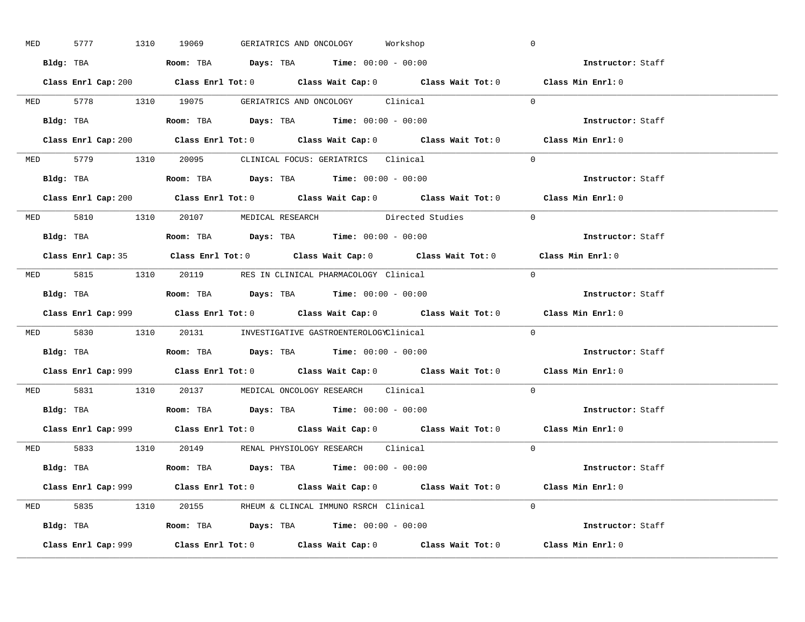| MED |  | 5777 1310 19069                                                                        | GERIATRICS AND ONCOLOGY Workshop |                                                            |                                                                                             | $\mathbb O$ |                   |  |
|-----|--|----------------------------------------------------------------------------------------|----------------------------------|------------------------------------------------------------|---------------------------------------------------------------------------------------------|-------------|-------------------|--|
|     |  | Bldg: TBA                   Room: TBA         Days: TBA        Time: 00:00 - 00:00     |                                  |                                                            |                                                                                             |             | Instructor: Staff |  |
|     |  |                                                                                        |                                  |                                                            | Class Enrl Cap: 200 Class Enrl Tot: 0 Class Wait Cap: 0 Class Wait Tot: 0 Class Min Enrl: 0 |             |                   |  |
|     |  | MED 5778 1310 19075 GERIATRICS AND ONCOLOGY Clinical                                   |                                  |                                                            |                                                                                             | $\Omega$    |                   |  |
|     |  |                                                                                        |                                  |                                                            |                                                                                             |             | Instructor: Staff |  |
|     |  |                                                                                        |                                  |                                                            | Class Enrl Cap: 200 Class Enrl Tot: 0 Class Wait Cap: 0 Class Wait Tot: 0                   |             | Class Min Enrl: 0 |  |
|     |  | MED 5779 1310 20095 CLINICAL FOCUS: GERIATRICS Clinical                                |                                  |                                                            |                                                                                             | $\Omega$    |                   |  |
|     |  | Bldg: TBA                    Room: TBA        Days: TBA        Time: $00:00 - 00:00$   |                                  |                                                            |                                                                                             |             | Instructor: Staff |  |
|     |  |                                                                                        |                                  |                                                            | Class Enrl Cap: 200 Class Enrl Tot: 0 Class Wait Cap: 0 Class Wait Tot: 0 Class Min Enrl: 0 |             |                   |  |
|     |  |                                                                                        |                                  |                                                            | MED 5810 1310 20107 MEDICAL RESEARCH Directed Studies                                       | $\Omega$    |                   |  |
|     |  | Bldg: TBA                    Room: TBA         Days: TBA         Time: $00:00 - 00:00$ |                                  |                                                            |                                                                                             |             | Instructor: Staff |  |
|     |  |                                                                                        |                                  |                                                            | Class Enrl Cap: 35 Class Enrl Tot: 0 Class Wait Cap: 0 Class Wait Tot: 0 Class Min Enrl: 0  |             |                   |  |
|     |  | MED 5815 1310 20119 RES IN CLINICAL PHARMACOLOGY Clinical                              |                                  |                                                            |                                                                                             | $\bigcap$   |                   |  |
|     |  | Bldg: TBA                   Room: TBA         Days: TBA         Time: $00:00 - 00:00$  |                                  |                                                            |                                                                                             |             | Instructor: Staff |  |
|     |  |                                                                                        |                                  |                                                            | Class Enrl Cap: 999 Class Enrl Tot: 0 Class Wait Cap: 0 Class Wait Tot: 0 Class Min Enrl: 0 |             |                   |  |
|     |  |                                                                                        |                                  | MED 5830 1310 20131 INVESTIGATIVE GASTROENTEROLOGYClinical |                                                                                             | $\Omega$    |                   |  |
|     |  |                                                                                        |                                  |                                                            |                                                                                             |             |                   |  |
|     |  | Bldg: TBA                   Room: TBA        Days: TBA        Time: 00:00 - 00:00      |                                  |                                                            |                                                                                             |             | Instructor: Staff |  |
|     |  |                                                                                        |                                  |                                                            | Class Enrl Cap: 999 Class Enrl Tot: 0 Class Wait Cap: 0 Class Wait Tot: 0 Class Min Enrl: 0 |             |                   |  |
|     |  | MED 5831 1310 20137 MEDICAL ONCOLOGY RESEARCH Clinical                                 |                                  |                                                            |                                                                                             | $\Omega$    |                   |  |
|     |  | Bldg: TBA                   Room: TBA         Days: TBA         Time: $00:00 - 00:00$  |                                  |                                                            |                                                                                             |             | Instructor: Staff |  |
|     |  |                                                                                        |                                  |                                                            | Class Enrl Cap: 999 Class Enrl Tot: 0 Class Wait Cap: 0 Class Wait Tot: 0 Class Min Enrl: 0 |             |                   |  |
|     |  | MED 5833 1310 20149 RENAL PHYSIOLOGY RESEARCH Clinical                                 |                                  |                                                            |                                                                                             | $\Omega$    |                   |  |
|     |  | <b>Bldg:</b> TBA <b>ROOM:</b> TBA <b>Days:</b> TBA <b>Time:</b> $00:00 - 00:00$        |                                  |                                                            |                                                                                             |             | Instructor: Staff |  |
|     |  |                                                                                        |                                  |                                                            | Class Enrl Cap: 999 Class Enrl Tot: 0 Class Wait Cap: 0 Class Wait Tot: 0 Class Min Enrl: 0 |             |                   |  |
|     |  | MED 5835 1310 20155 RHEUM & CLINCAL IMMUNO RSRCH Clinical                              |                                  |                                                            |                                                                                             | $\Omega$    |                   |  |
|     |  | Bldg: TBA                   Room: TBA         Days: TBA         Time: 00:00 - 00:00    |                                  |                                                            |                                                                                             |             | Instructor: Staff |  |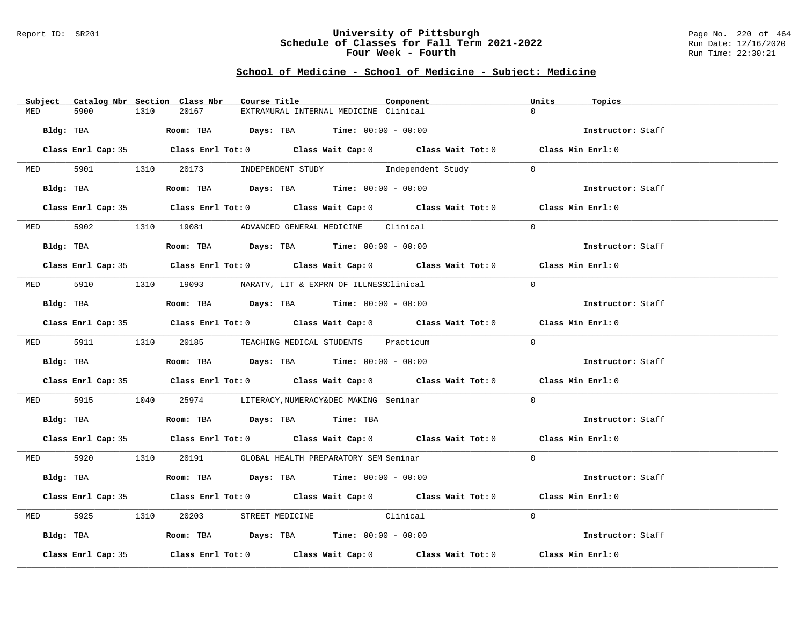#### Report ID: SR201 **University of Pittsburgh** Page No. 220 of 464 **Schedule of Classes for Fall Term 2021-2022** Run Date: 12/16/2020 **Four Week - Fourth Rundall Run Time: 22:30:21**

# **School of Medicine - School of Medicine - Subject: Medicine**

|           |                    |      | Subject Catalog Nbr Section Class Nbr | Course Title |                                                                                             | Component                                                   | Units<br>Topics                                                                            |  |
|-----------|--------------------|------|---------------------------------------|--------------|---------------------------------------------------------------------------------------------|-------------------------------------------------------------|--------------------------------------------------------------------------------------------|--|
| MED       | 5900               | 1310 | 20167                                 |              | EXTRAMURAL INTERNAL MEDICINE Clinical                                                       |                                                             | $\Omega$                                                                                   |  |
| Bldg: TBA |                    |      |                                       |              | Room: TBA $Days:$ TBA $Time: 00:00 - 00:00$                                                 |                                                             | Instructor: Staff                                                                          |  |
|           |                    |      |                                       |              |                                                                                             |                                                             | Class Enrl Cap: 35 Class Enrl Tot: 0 Class Wait Cap: 0 Class Wait Tot: 0 Class Min Enrl: 0 |  |
|           |                    |      |                                       |              | MED 5901 1310 20173 INDEPENDENT STUDY Independent Study                                     |                                                             | $\Omega$                                                                                   |  |
|           | Bldg: TBA          |      |                                       |              | Room: TBA $Days:$ TBA $Time: 00:00 - 00:00$                                                 |                                                             | Instructor: Staff                                                                          |  |
|           |                    |      |                                       |              |                                                                                             |                                                             | Class Enrl Cap: 35 Class Enrl Tot: 0 Class Wait Cap: 0 Class Wait Tot: 0 Class Min Enrl: 0 |  |
|           |                    |      |                                       |              | MED 5902 1310 19081 ADVANCED GENERAL MEDICINE Clinical                                      |                                                             | $\Omega$                                                                                   |  |
|           | Bldg: TBA          |      |                                       |              | Room: TBA $Days:$ TBA $Time: 00:00 - 00:00$                                                 |                                                             | Instructor: Staff                                                                          |  |
|           |                    |      |                                       |              |                                                                                             |                                                             | Class Enrl Cap: 35 Class Enrl Tot: 0 Class Wait Cap: 0 Class Wait Tot: 0 Class Min Enrl: 0 |  |
|           |                    |      |                                       |              | MED 5910 1310 19093 NARATV, LIT & EXPRN OF ILLNESSClinical                                  |                                                             | $\Omega$                                                                                   |  |
|           | Bldg: TBA          |      |                                       |              | Room: TBA $Days:$ TBA $Time: 00:00 - 00:00$                                                 |                                                             | Instructor: Staff                                                                          |  |
|           |                    |      |                                       |              |                                                                                             |                                                             | Class Enrl Cap: 35 Class Enrl Tot: 0 Class Wait Cap: 0 Class Wait Tot: 0 Class Min Enrl: 0 |  |
|           |                    |      |                                       |              | MED 5911 1310 20185 TEACHING MEDICAL STUDENTS Practicum                                     |                                                             | $\Omega$                                                                                   |  |
|           |                    |      |                                       |              | Bldg: TBA                         Room: TBA         Days: TBA         Time: $00:00 - 00:00$ |                                                             | Instructor: Staff                                                                          |  |
|           |                    |      |                                       |              |                                                                                             |                                                             | Class Enrl Cap: 35 Class Enrl Tot: 0 Class Wait Cap: 0 Class Wait Tot: 0 Class Min Enrl: 0 |  |
|           |                    |      |                                       |              | MED 5915 1040 25974 LITERACY, NUMERACY&DEC MAKING Seminar                                   |                                                             | $\Omega$                                                                                   |  |
|           |                    |      |                                       |              | Bldg: TBA                       Room: TBA          Days: TBA          Time: TBA             |                                                             | Instructor: Staff                                                                          |  |
|           |                    |      |                                       |              |                                                                                             |                                                             | Class Enrl Cap: 35 Class Enrl Tot: 0 Class Wait Cap: 0 Class Wait Tot: 0 Class Min Enrl: 0 |  |
|           |                    |      |                                       |              | MED 5920 1310 20191 GLOBAL HEALTH PREPARATORY SEM Seminar                                   |                                                             | $\Omega$                                                                                   |  |
|           | Bldg: TBA          |      |                                       |              | Room: TBA $Days:$ TBA $Time:$ $00:00 - 00:00$                                               |                                                             | Instructor: Staff                                                                          |  |
|           |                    |      |                                       |              |                                                                                             |                                                             | Class Enrl Cap: 35 Class Enrl Tot: 0 Class Wait Cap: 0 Class Wait Tot: 0 Class Min Enrl: 0 |  |
| MED       | 5925               |      | 1310 20203                            |              | STREET MEDICINE Clinical                                                                    |                                                             | $\Omega$                                                                                   |  |
|           |                    |      |                                       |              | Bldg: TBA                    Room: TBA         Days: TBA         Time: 00:00 - 00:00        |                                                             | Instructor: Staff                                                                          |  |
|           | Class Enrl Cap: 35 |      |                                       |              |                                                                                             | Class Enrl Tot: $0$ Class Wait Cap: $0$ Class Wait Tot: $0$ | Class Min Enrl: 0                                                                          |  |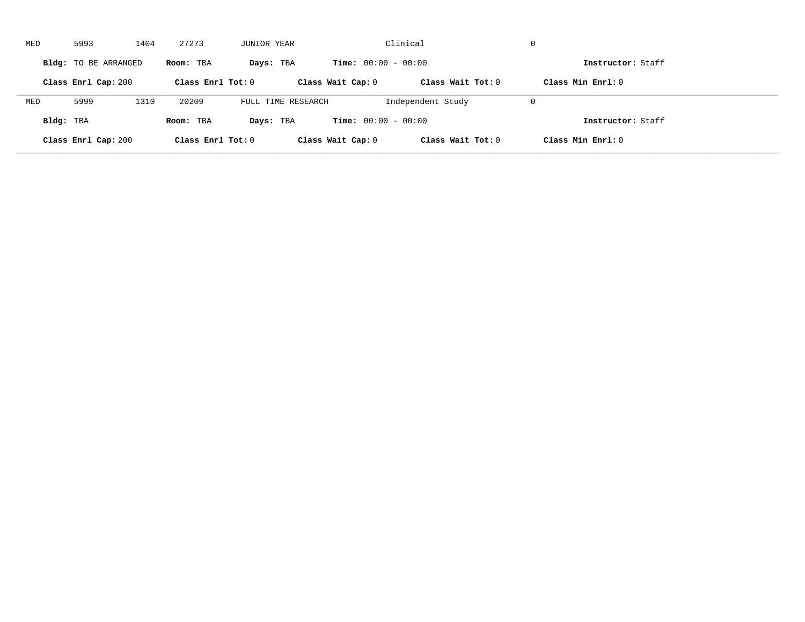| MED       | 5993                 | 1404 | 27273               | JUNIOR YEAR        |                              | Clinical            | $\mathbf 0$         |  |
|-----------|----------------------|------|---------------------|--------------------|------------------------------|---------------------|---------------------|--|
|           | Bldg: TO BE ARRANGED |      | Room: TBA           | Days: TBA          | <b>Time:</b> $00:00 - 00:00$ |                     | Instructor: Staff   |  |
|           | Class Enrl Cap: 200  |      | Class Enrl Tot: $0$ |                    | Class Wait Cap: 0            | Class Wait $Tot: 0$ | Class Min $Enr1: 0$ |  |
| MED       | 5999                 | 1310 | 20209               | FULL TIME RESEARCH |                              | Independent Study   | $\mathbf 0$         |  |
| Bldg: TBA |                      |      | Room: TBA           | Days: TBA          | <b>Time:</b> $00:00 - 00:00$ |                     | Instructor: Staff   |  |
|           | Class Enrl Cap: 200  |      | Class Enrl Tot: 0   |                    | Class Wait Cap: 0            | Class Wait Tot: 0   | Class Min Enrl: 0   |  |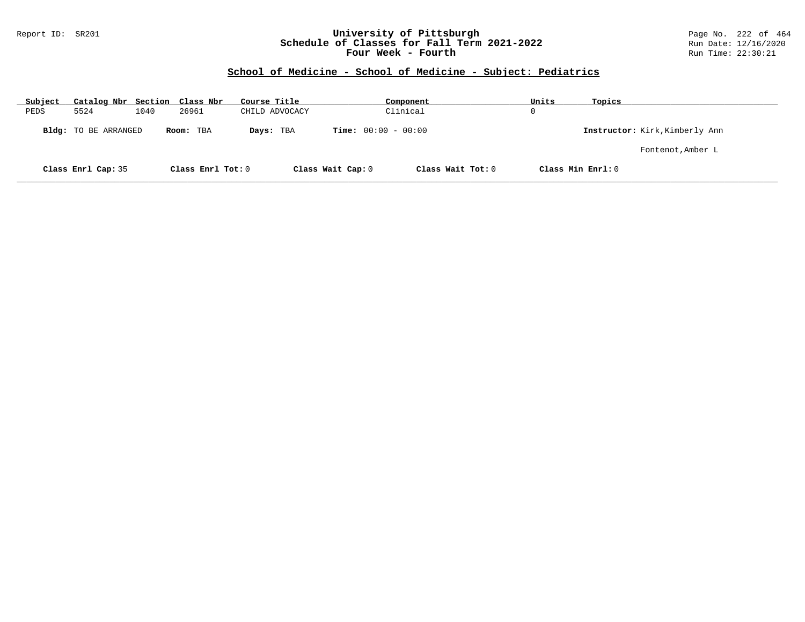#### Report ID: SR201 **University of Pittsburgh** Page No. 222 of 464 **Schedule of Classes for Fall Term 2021-2022** Run Date: 12/16/2020 **Four Week - Fourth Rundall Run Time: 22:30:21**

# **School of Medicine - School of Medicine - Subject: Pediatrics**

| Subject | Catalog Nbr Section Class Nbr |      |                   | Course Title   |                              | Component         | Units | Topics                         |
|---------|-------------------------------|------|-------------------|----------------|------------------------------|-------------------|-------|--------------------------------|
| PEDS    | 5524                          | 1040 | 26961             | CHILD ADVOCACY |                              | Clinical          | 0     |                                |
|         | Bldg: TO BE ARRANGED          |      | Room: TBA         | Days: TBA      | <b>Time:</b> $00:00 - 00:00$ |                   |       | Instructor: Kirk, Kimberly Ann |
|         |                               |      |                   |                |                              |                   |       | Fontenot, Amber L              |
|         | Class Enrl Cap: 35            |      | Class Enrl Tot: 0 |                | Class Wait Cap: 0            | Class Wait Tot: 0 |       | Class Min Enrl: 0              |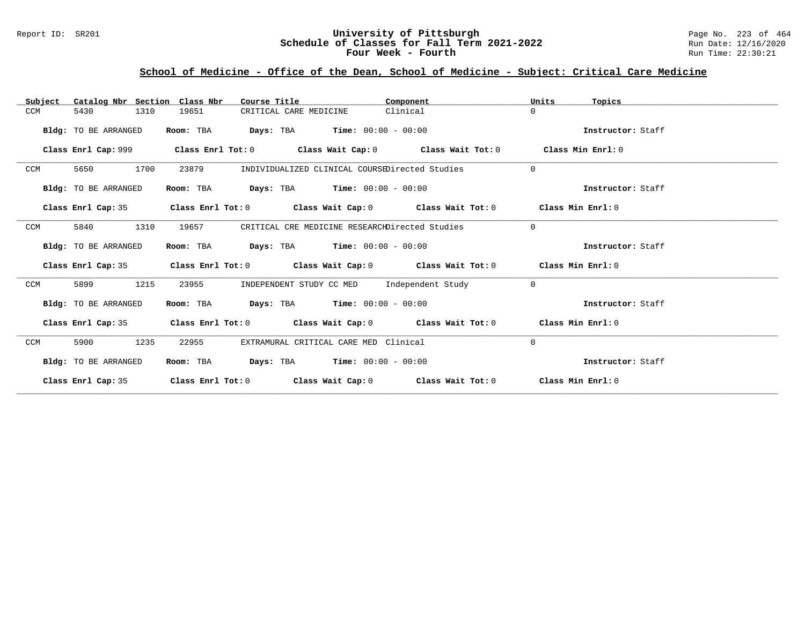### Report ID: SR201 **University of Pittsburgh University of Pittsburgh** Page No. 223 of 464<br>**Schedule of Classes for Fall Term 2021-2022** Run Date: 12/16/2020 **Schedule of Classes for Fall Term 2021-2022** Run Date: 12/16/2020 **Four Week - Fourth Rundall Run Time: 22:30:21**

# **School of Medicine - Office of the Dean, School of Medicine - Subject: Critical Care Medicine**

| Catalog Nbr Section Class Nbr<br>Subject | Course Title                                                                                         | Component | Units<br>Topics   |
|------------------------------------------|------------------------------------------------------------------------------------------------------|-----------|-------------------|
| 1310<br>CCM<br>5430                      | 19651<br>CRITICAL CARE MEDICINE                                                                      | Clinical  | $\Omega$          |
| Bldg: TO BE ARRANGED                     | <b>Days:</b> TBA <b>Time:</b> $00:00 - 00:00$<br>Room: TBA                                           |           | Instructor: Staff |
|                                          | Class Enrl Cap: 999 $\qquad$ Class Enrl Tot: 0 $\qquad$ Class Wait Cap: 0 $\qquad$ Class Wait Tot: 0 |           | Class Min Enrl: 0 |
| 1700<br>CCM<br>5650                      | 23879<br>INDIVIDUALIZED CLINICAL COURSEDirected Studies                                              |           | $\Omega$          |
| Bldg: TO BE ARRANGED                     | <b>Days:</b> TBA <b>Time:</b> $00:00 - 00:00$<br>Room: TBA                                           |           | Instructor: Staff |
|                                          | Class Enrl Cap: 35 Class Enrl Tot: 0 Class Wait Cap: 0 Class Wait Tot: 0 Class Min Enrl: 0           |           |                   |
| 1310<br>CCM<br>5840                      | CRITICAL CRE MEDICINE RESEARCHDirected Studies<br>19657                                              |           | $\Omega$          |
| Bldg: TO BE ARRANGED                     | Room: TBA $Days:$ TBA $Time: 00:00 - 00:00$                                                          |           | Instructor: Staff |
|                                          | Class Enrl Cap: 35 Class Enrl Tot: 0 Class Wait Cap: 0 Class Wait Tot: 0 Class Min Enrl: 0           |           |                   |
| 1215<br>CCM<br>5899                      | INDEPENDENT STUDY CC MED Independent Study<br>23955                                                  |           | $\Omega$          |
| Bldg: TO BE ARRANGED                     | Room: TBA $Days: TBA$ Time: $00:00 - 00:00$                                                          |           | Instructor: Staff |
| Class Enrl Cap: 35                       | Class Enrl Tot: $0$ Class Wait Cap: $0$ Class Wait Tot: $0$ Class Min Enrl: $0$                      |           |                   |
| 1235<br>CCM<br>5900                      | 22955<br>EXTRAMURAL CRITICAL CARE MED Clinical                                                       |           | $\Omega$          |
| Bldg: TO BE ARRANGED                     | <b>Days:</b> TBA <b>Time:</b> $00:00 - 00:00$<br>Room: TBA                                           |           | Instructor: Staff |
| Class Enrl Cap: 35                       | Class Enrl Tot: $0$ Class Wait Cap: $0$ Class Wait Tot: $0$ Class Min Enrl: $0$                      |           |                   |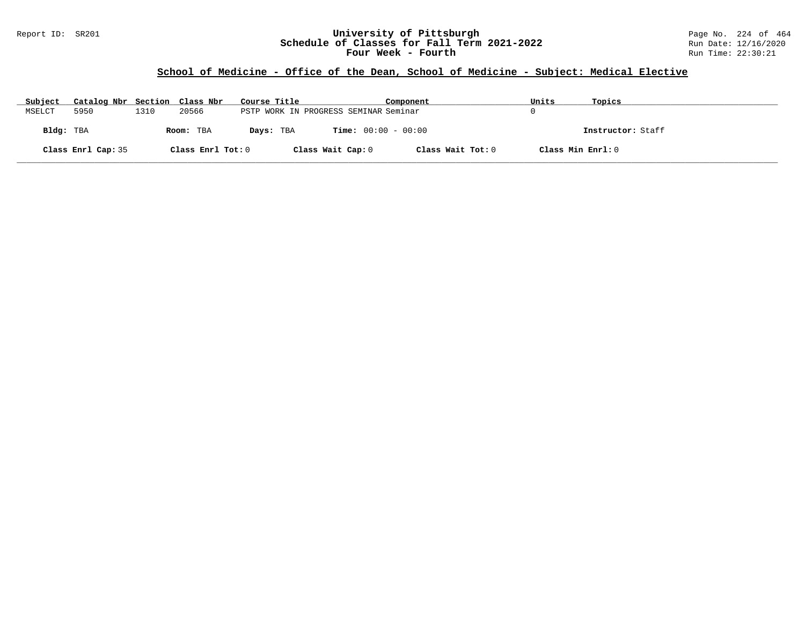#### Report ID: SR201 **University of Pittsburgh** Page No. 224 of 464 **Schedule of Classes for Fall Term 2021-2022** Run Date: 12/16/2020 **Four Week - Fourth Rundall Run Time: 22:30:21**

# **School of Medicine - Office of the Dean, School of Medicine - Subject: Medical Elective**

| Subject   | Catalog Nbr Section Class Nbr |      |                   | Course Title |                                       | Component         | Units             | Topics            |
|-----------|-------------------------------|------|-------------------|--------------|---------------------------------------|-------------------|-------------------|-------------------|
| MSELCT    | 5950                          | 1310 | 20566             |              | PSTP WORK IN PROGRESS SEMINAR Seminar |                   |                   |                   |
| Bldg: TBA |                               |      | Room: TBA         | Days: TBA    | <b>Time:</b> $00:00 - 00:00$          |                   |                   | Instructor: Staff |
|           | Class Enrl Cap: 35            |      | Class Enrl Tot: 0 |              | Class Wait Cap: 0                     | Class Wait Tot: 0 | Class Min Enrl: 0 |                   |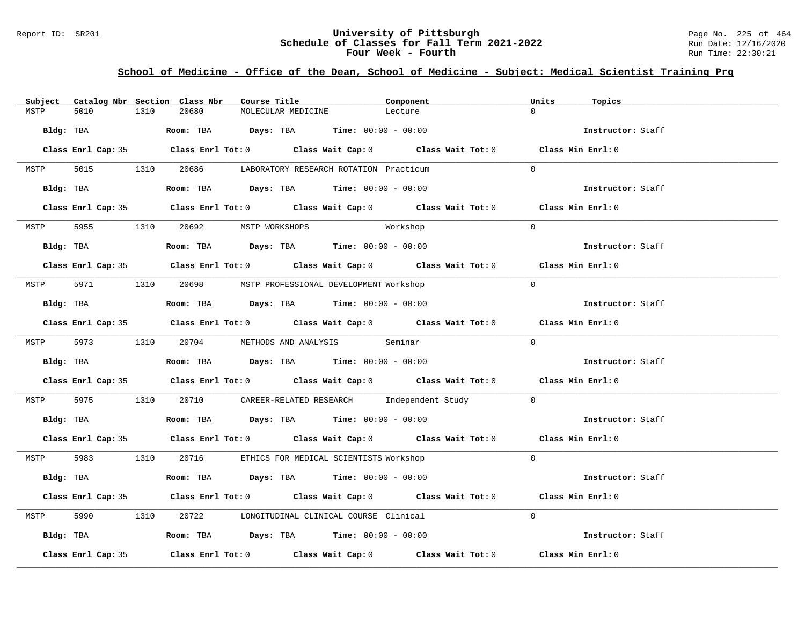### Report ID: SR201 **University of Pittsburgh University of Pittsburgh** Page No. 225 of 464<br>**Schedule of Classes for Fall Term 2021-2022** Run Date: 12/16/2020 **Schedule of Classes for Fall Term 2021-2022** Run Date: 12/16/2020 **Four Week - Fourth Rundall Run Time: 22:30:21**

### **School of Medicine - Office of the Dean, School of Medicine - Subject: Medical Scientist Training Prg**

| Subject |                    |      | Catalog Nbr Section Class Nbr       | Course Title       |                                                                                              | Component                                                                                          | Units     | Topics            |
|---------|--------------------|------|-------------------------------------|--------------------|----------------------------------------------------------------------------------------------|----------------------------------------------------------------------------------------------------|-----------|-------------------|
| MSTP    | 5010               | 1310 | 20680                               | MOLECULAR MEDICINE |                                                                                              | Lecture                                                                                            |           |                   |
|         |                    |      |                                     |                    | Bldg: TBA                   Room: TBA        Days: TBA         Time: $00:00 - 00:00$         |                                                                                                    |           | Instructor: Staff |
|         |                    |      |                                     |                    |                                                                                              | Class Enrl Cap: 35 Class Enrl Tot: 0 Class Wait Cap: 0 Class Wait Tot: 0 Class Min Enrl: 0         |           |                   |
| MSTP    |                    |      |                                     |                    | 5015 1310 20686 LABORATORY RESEARCH ROTATION Practicum                                       |                                                                                                    | $\Omega$  |                   |
|         | Bldg: TBA          |      |                                     |                    | Room: TBA $Days:$ TBA Time: $00:00 - 00:00$                                                  |                                                                                                    |           | Instructor: Staff |
|         |                    |      |                                     |                    |                                                                                              | Class Enrl Cap: 35 Class Enrl Tot: 0 Class Wait Cap: 0 Class Wait Tot: 0 Class Min Enrl: 0         |           |                   |
|         |                    |      | MSTP 5955 1310 20692 MSTP WORKSHOPS |                    | Workshop                                                                                     |                                                                                                    | $\bigcap$ |                   |
|         |                    |      |                                     |                    |                                                                                              |                                                                                                    |           | Instructor: Staff |
|         |                    |      |                                     |                    |                                                                                              | Class Enrl Cap: 35 Class Enrl Tot: 0 Class Wait Cap: 0 Class Wait Tot: 0 Class Min Enrl: 0         |           |                   |
|         |                    |      |                                     |                    | MSTP 5971 1310 20698 MSTP PROFESSIONAL DEVELOPMENT Workshop                                  |                                                                                                    | $\Omega$  |                   |
|         |                    |      |                                     |                    | Bldg: TBA                         Room: TBA          Days: TBA         Time: $00:00 - 00:00$ |                                                                                                    |           | Instructor: Staff |
|         |                    |      |                                     |                    |                                                                                              | Class Enrl Cap: 35 Class Enrl Tot: 0 Class Wait Cap: 0 Class Wait Tot: 0 Class Min Enrl: 0         |           |                   |
|         |                    |      |                                     |                    | MSTP 5973 1310 20704 METHODS AND ANALYSIS Seminar                                            |                                                                                                    | $\Omega$  |                   |
|         |                    |      |                                     |                    | Bldg: TBA                    Room: TBA         Days: TBA         Time: $00:00 - 00:00$       |                                                                                                    |           | Instructor: Staff |
|         |                    |      |                                     |                    |                                                                                              | Class Enrl Cap: 35 Class Enrl Tot: 0 Class Wait Cap: 0 Class Wait Tot: 0 Class Min Enrl: 0         |           |                   |
| MSTP    |                    |      |                                     |                    |                                                                                              | 5975 1310 20710 CAREER-RELATED RESEARCH Independent Study 0                                        |           |                   |
|         |                    |      |                                     |                    | Bldg: TBA                        Room: TBA         Days: TBA         Time: 00:00 - 00:00     |                                                                                                    |           | Instructor: Staff |
|         |                    |      |                                     |                    |                                                                                              | Class Enrl Cap: 35 Class Enrl Tot: 0 Class Wait Cap: 0 Class Wait Tot: 0 Class Min Enrl: 0         |           |                   |
|         |                    |      |                                     |                    | MSTP 5983 1310 20716 ETHICS FOR MEDICAL SCIENTISTS Workshop                                  |                                                                                                    | $\Omega$  |                   |
|         |                    |      |                                     |                    | Bldg: TBA                   Room: TBA        Days: TBA        Time: 00:00 - 00:00            |                                                                                                    |           | Instructor: Staff |
|         |                    |      |                                     |                    |                                                                                              | Class Enrl Cap: 35 Class Enrl Tot: 0 Class Wait Cap: 0 Class Wait Tot: 0 Class Min Enrl: 0         |           |                   |
| MSTP    |                    |      |                                     |                    | 5990 1310 20722 LONGITUDINAL CLINICAL COURSE Clinical                                        |                                                                                                    | $\Omega$  |                   |
|         |                    |      |                                     |                    | Bldg: TBA                    Room: TBA         Days: TBA         Time: $00:00 - 00:00$       |                                                                                                    |           | Instructor: Staff |
|         | Class Enrl Cap: 35 |      |                                     |                    |                                                                                              | Class Enrl Tot: 0 $\qquad$ Class Wait Cap: 0 $\qquad$ Class Wait Tot: 0 $\qquad$ Class Min Enrl: 0 |           |                   |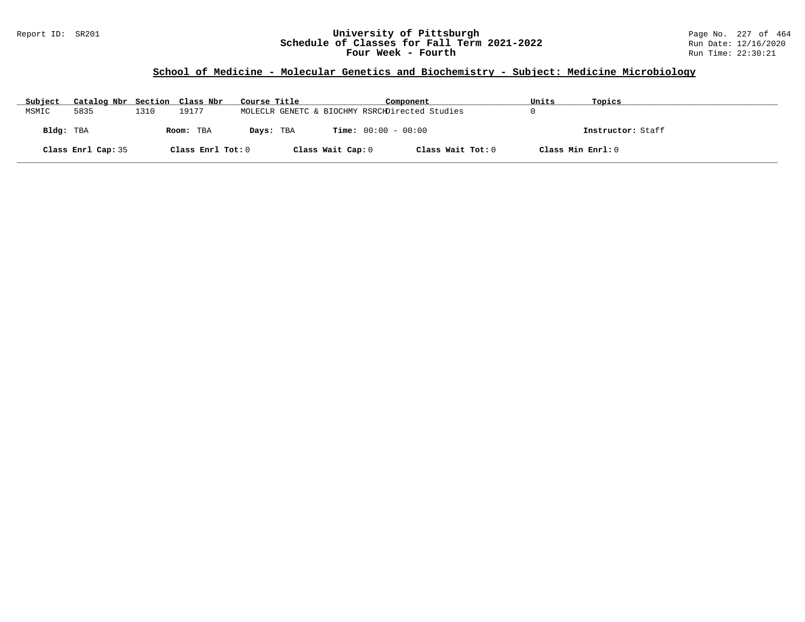#### Report ID: SR201 **University of Pittsburgh** Page No. 227 of 464 **Schedule of Classes for Fall Term 2021-2022** Run Date: 12/16/2020 **Four Week - Fourth Rundall Run Time: 22:30:21**

# **School of Medicine - Molecular Genetics and Biochemistry - Subject: Medicine Microbiology**

| Subject   | Catalog Nbr Section Class Nbr |      |                   | Course Title |                   | Component                                      |                   | Units             | Topics            |
|-----------|-------------------------------|------|-------------------|--------------|-------------------|------------------------------------------------|-------------------|-------------------|-------------------|
| MSMIC     | 5835                          | 1310 | 19177             |              |                   | MOLECLR GENETC & BIOCHMY RSRCHDirected Studies |                   |                   |                   |
| Bldg: TBA |                               |      | Room: TBA         | Days: TBA    |                   | <b>Time:</b> $00:00 - 00:00$                   |                   |                   | Instructor: Staff |
|           | Class Enrl Cap: 35            |      | Class Enrl Tot: 0 |              | Class Wait Cap: 0 |                                                | Class Wait Tot: 0 | Class Min Enrl: 0 |                   |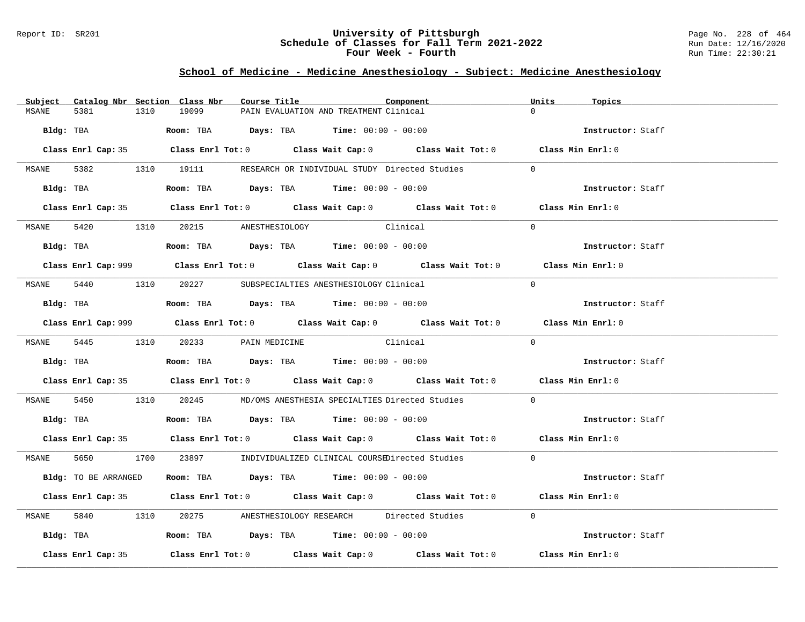#### Report ID: SR201 **University of Pittsburgh** Page No. 228 of 464 **Schedule of Classes for Fall Term 2021-2022** Run Date: 12/16/2020 **Four Week - Fourth Rundall Run Time: 22:30:21**

# **School of Medicine - Medicine Anesthesiology - Subject: Medicine Anesthesiology**

| Subject      |                      |      | Catalog Nbr Section Class Nbr        | Course Title |                                                                                        | Component                                                                                   | Units    | Topics            |  |
|--------------|----------------------|------|--------------------------------------|--------------|----------------------------------------------------------------------------------------|---------------------------------------------------------------------------------------------|----------|-------------------|--|
| MSANE        | 5381                 | 1310 | 19099                                |              | PAIN EVALUATION AND TREATMENT Clinical                                                 |                                                                                             |          |                   |  |
|              | Bldg: TBA            |      |                                      |              | <b>Room:</b> TBA $Days: TBA$ <b>Time:</b> $00:00 - 00:00$                              |                                                                                             |          | Instructor: Staff |  |
|              |                      |      |                                      |              |                                                                                        | Class Enrl Cap: 35 Class Enrl Tot: 0 Class Wait Cap: 0 Class Wait Tot: 0 Class Min Enrl: 0  |          |                   |  |
|              |                      |      |                                      |              |                                                                                        | MSANE 5382 1310 19111 RESEARCH OR INDIVIDUAL STUDY Directed Studies                         | $\Omega$ |                   |  |
|              | Bldg: TBA            |      |                                      |              | Room: TBA $Days:$ TBA $Time: 00:00 - 00:00$                                            |                                                                                             |          | Instructor: Staff |  |
|              |                      |      |                                      |              |                                                                                        | Class Enrl Cap: 35 Class Enrl Tot: 0 Class Wait Cap: 0 Class Wait Tot: 0 Class Min Enrl: 0  |          |                   |  |
|              |                      |      | MSANE 5420 1310 20215 ANESTHESIOLOGY |              | Clinical                                                                               |                                                                                             | $\Omega$ |                   |  |
|              |                      |      |                                      |              | Bldg: TBA                   Room: TBA         Days: TBA         Time: 00:00 - 00:00    |                                                                                             |          | Instructor: Staff |  |
|              |                      |      |                                      |              |                                                                                        | Class Enrl Cap: 999 Class Enrl Tot: 0 Class Wait Cap: 0 Class Wait Tot: 0 Class Min Enrl: 0 |          |                   |  |
|              |                      |      |                                      |              | MSANE 5440 1310 20227 SUBSPECIALTIES ANESTHESIOLOGY Clinical                           |                                                                                             | $\Omega$ |                   |  |
|              |                      |      |                                      |              | Bldg: TBA                    Room: TBA         Days: TBA         Time: $00:00 - 00:00$ |                                                                                             |          | Instructor: Staff |  |
|              |                      |      |                                      |              |                                                                                        | Class Enrl Cap: 999 Class Enrl Tot: 0 Class Wait Cap: 0 Class Wait Tot: 0 Class Min Enrl: 0 |          |                   |  |
|              |                      |      | MSANE 5445 1310 20233 PAIN MEDICINE  |              | Clinical                                                                               |                                                                                             | $\Omega$ |                   |  |
|              |                      |      |                                      |              |                                                                                        |                                                                                             |          | Instructor: Staff |  |
|              |                      |      |                                      |              |                                                                                        | Class Enrl Cap: 35 Class Enrl Tot: 0 Class Wait Cap: 0 Class Wait Tot: 0 Class Min Enrl: 0  |          |                   |  |
| MSANE        |                      |      |                                      |              |                                                                                        | 5450 1310 20245 MD/OMS ANESTHESIA SPECIALTIES Directed Studies                              | $\Omega$ |                   |  |
|              |                      |      |                                      |              | Bldg: TBA                    Room: TBA         Days: TBA        Time: $00:00 - 00:00$  |                                                                                             |          | Instructor: Staff |  |
|              |                      |      |                                      |              |                                                                                        | Class Enrl Cap: 35 Class Enrl Tot: 0 Class Wait Cap: 0 Class Wait Tot: 0 Class Min Enrl: 0  |          |                   |  |
|              |                      |      |                                      |              |                                                                                        | MSANE 5650 1700 23897 INDIVIDUALIZED CLINICAL COURSEDirected Studies 0                      |          |                   |  |
|              | Bldg: TO BE ARRANGED |      |                                      |              | Room: TBA $Days:$ TBA $Time:$ $00:00 - 00:00$                                          |                                                                                             |          | Instructor: Staff |  |
|              |                      |      |                                      |              |                                                                                        | Class Enrl Cap: 35 Class Enrl Tot: 0 Class Wait Cap: 0 Class Wait Tot: 0 Class Min Enrl: 0  |          |                   |  |
| <b>MSANE</b> |                      |      |                                      |              |                                                                                        | 5840 1310 20275 ANESTHESIOLOGY RESEARCH Directed Studies                                    | $\Omega$ |                   |  |
|              |                      |      |                                      |              | Bldg: TBA                  Room: TBA        Days: TBA        Time: 00:00 - 00:00       |                                                                                             |          | Instructor: Staff |  |
|              | Class Enrl Cap: 35   |      |                                      |              |                                                                                        | Class Enrl Tot: $0$ Class Wait Cap: $0$ Class Wait Tot: $0$ Class Min Enrl: $0$             |          |                   |  |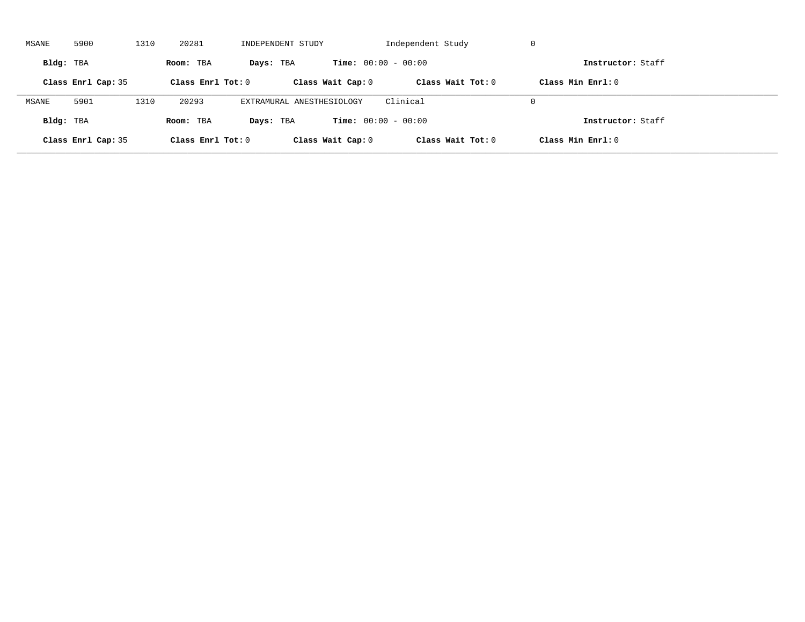| MSANE     | 5900               | 1310 | 20281               | INDEPENDENT STUDY         |                              | Independent Study   | -U                  |  |
|-----------|--------------------|------|---------------------|---------------------------|------------------------------|---------------------|---------------------|--|
| Bldg: TBA |                    |      | Room: TBA           | Days: TBA                 | <b>Time:</b> $00:00 - 00:00$ |                     | Instructor: Staff   |  |
|           | Class Enrl Cap: 35 |      | Class Enrl Tot: $0$ |                           | Class Wait Cap: 0            | Class Wait $Tot: 0$ | Class Min $Enrl: 0$ |  |
| MSANE     | 5901               | 1310 | 20293               | EXTRAMURAL ANESTHESIOLOGY |                              | Clinical            | $\Omega$            |  |
| Bldg: TBA |                    |      | Room: TBA           | Days: TBA                 | <b>Time:</b> $00:00 - 00:00$ |                     | Instructor: Staff   |  |
|           | Class Enrl Cap: 35 |      | Class Enrl Tot: $0$ |                           | Class Wait Cap: 0            | Class Wait Tot: 0   | Class Min Enrl: 0   |  |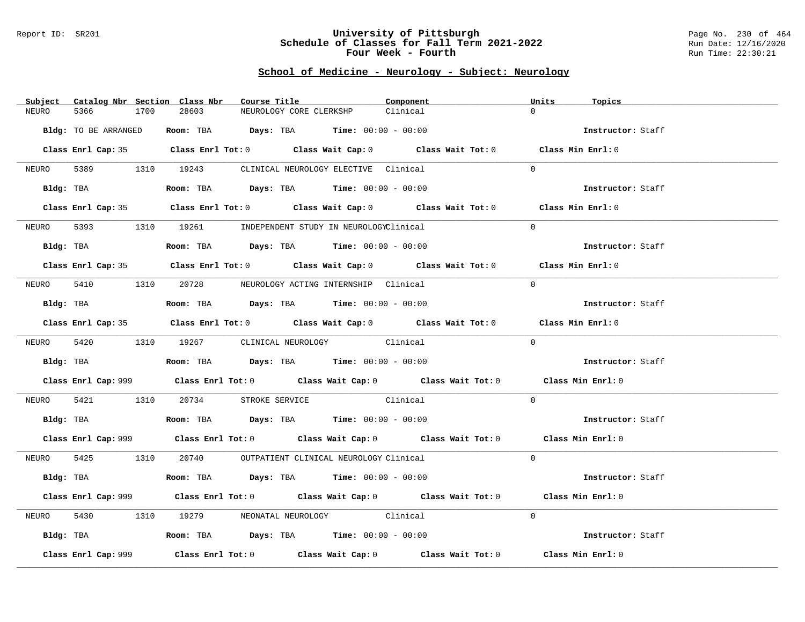#### Report ID: SR201 **University of Pittsburgh** Page No. 230 of 464 **Schedule of Classes for Fall Term 2021-2022** Run Date: 12/16/2020 **Four Week - Fourth Rundall Run Time: 22:30:21**

# **School of Medicine - Neurology - Subject: Neurology**

|       | Subject Catalog Nbr Section Class Nbr |      |       | Course Title |                                                                                               |          | Component                                                                                   | Units    | Topics            |
|-------|---------------------------------------|------|-------|--------------|-----------------------------------------------------------------------------------------------|----------|---------------------------------------------------------------------------------------------|----------|-------------------|
| NEURO | 5366                                  | 1700 | 28603 |              | NEUROLOGY CORE CLERKSHP                                                                       | Clinical |                                                                                             | $\Omega$ |                   |
|       | Bldg: TO BE ARRANGED                  |      |       |              | <b>Room:</b> TBA $\qquad \qquad$ Days: TBA $\qquad \qquad$ Time: $00:00 - 00:00$              |          |                                                                                             |          | Instructor: Staff |
|       |                                       |      |       |              |                                                                                               |          | Class Enrl Cap: 35 Class Enrl Tot: 0 Class Wait Cap: 0 Class Wait Tot: 0 Class Min Enrl: 0  |          |                   |
|       |                                       |      |       |              | NEURO 5389 1310 19243 CLINICAL NEUROLOGY ELECTIVE Clinical                                    |          |                                                                                             | $\Omega$ |                   |
|       |                                       |      |       |              | Bldg: TBA                         Room: TBA          Days: TBA          Time: $00:00 - 00:00$ |          |                                                                                             |          | Instructor: Staff |
|       |                                       |      |       |              |                                                                                               |          | Class Enrl Cap: 35 Class Enrl Tot: 0 Class Wait Cap: 0 Class Wait Tot: 0 Class Min Enrl: 0  |          |                   |
|       |                                       |      |       |              | NEURO 5393 1310 19261 INDEPENDENT STUDY IN NEUROLOGYClinical                                  |          |                                                                                             | $\Omega$ |                   |
|       |                                       |      |       |              | $Bldq$ : TBA $Room$ : TBA $Days$ : TBA $Time$ : 00:00 - 00:00                                 |          |                                                                                             |          | Instructor: Staff |
|       |                                       |      |       |              |                                                                                               |          | Class Enrl Cap: 35 Class Enrl Tot: 0 Class Wait Cap: 0 Class Wait Tot: 0 Class Min Enrl: 0  |          |                   |
|       |                                       |      |       |              | NEURO 5410 1310 20728 NEUROLOGY ACTING INTERNSHIP Clinical                                    |          |                                                                                             | $\Omega$ |                   |
|       | Bldg: TBA                             |      |       |              | Room: TBA $Days:$ TBA Time: $00:00 - 00:00$                                                   |          |                                                                                             |          | Instructor: Staff |
|       |                                       |      |       |              |                                                                                               |          | Class Enrl Cap: 35 Class Enrl Tot: 0 Class Wait Cap: 0 Class Wait Tot: 0 Class Min Enrl: 0  |          |                   |
|       |                                       |      |       |              | NEURO 5420 1310 19267 CLINICAL NEUROLOGY Clinical                                             |          |                                                                                             | $\Omega$ |                   |
|       |                                       |      |       |              | Bldg: TBA                    Room: TBA         Days: TBA         Time: $00:00 - 00:00$        |          |                                                                                             |          | Instructor: Staff |
|       |                                       |      |       |              |                                                                                               |          | Class Enrl Cap: 999 Class Enrl Tot: 0 Class Wait Cap: 0 Class Wait Tot: 0 Class Min Enrl: 0 |          |                   |
|       |                                       |      |       |              | NEURO 5421 1310 20734 STROKE SERVICE Clinical                                                 |          |                                                                                             | $\Omega$ |                   |
|       |                                       |      |       |              |                                                                                               |          |                                                                                             |          | Instructor: Staff |
|       |                                       |      |       |              |                                                                                               |          | Class Enrl Cap: 999 Class Enrl Tot: 0 Class Wait Cap: 0 Class Wait Tot: 0 Class Min Enrl: 0 |          |                   |
|       |                                       |      |       |              | NEURO 5425 1310 20740 OUTPATIENT CLINICAL NEUROLOGY Clinical                                  |          |                                                                                             | $\Omega$ |                   |
|       |                                       |      |       |              | Bldg: TBA                   Room: TBA         Days: TBA        Time: 00:00 - 00:00            |          |                                                                                             |          | Instructor: Staff |
|       |                                       |      |       |              |                                                                                               |          | Class Enrl Cap: 999 Class Enrl Tot: 0 Class Wait Cap: 0 Class Wait Tot: 0 Class Min Enrl: 0 |          |                   |
| NEURO | 5430                                  |      |       |              | 1310 19279 NEONATAL NEUROLOGY Clinical                                                        |          |                                                                                             | $\Omega$ |                   |
|       |                                       |      |       |              | Bldg: TBA                   Room: TBA         Days: TBA         Time: $00:00 - 00:00$         |          |                                                                                             |          | Instructor: Staff |
|       | Class Enrl Cap: 999                   |      |       |              |                                                                                               |          | Class Enrl Tot: $0$ Class Wait Cap: $0$ Class Wait Tot: $0$ Class Min Enrl: $0$             |          |                   |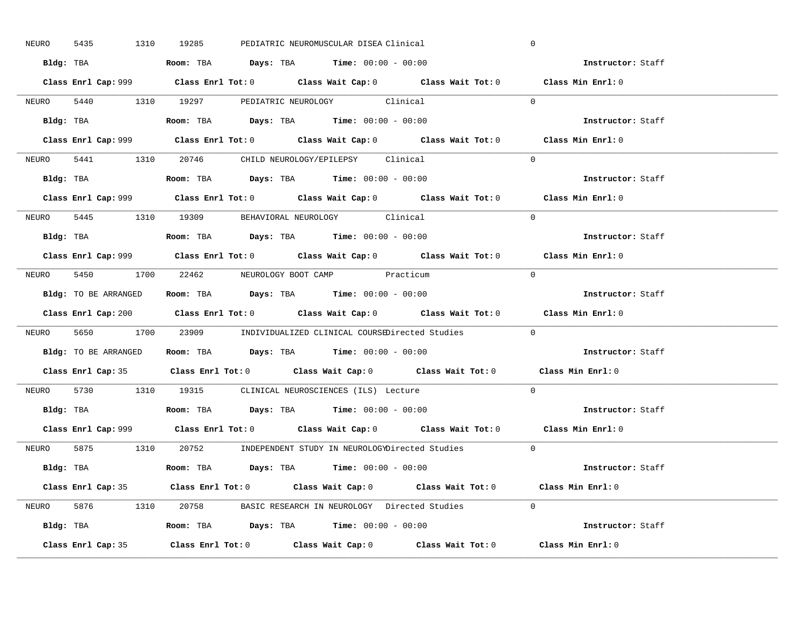| 5435<br>NEURO | 1310 19285<br>PEDIATRIC NEUROMUSCULAR DISEA Clinical                                         | $\mathbf 0$       |
|---------------|----------------------------------------------------------------------------------------------|-------------------|
|               | Bldg: TBA                      Room: TBA         Days: TBA         Time: 00:00 - 00:00       | Instructor: Staff |
|               | Class Enrl Cap: 999 Class Enrl Tot: 0 Class Wait Cap: 0 Class Wait Tot: 0 Class Min Enrl: 0  |                   |
|               | NEURO 5440 1310 19297 PEDIATRIC NEUROLOGY Clinical                                           | $\Omega$          |
|               | Bldg: TBA                         Room: TBA          Days: TBA         Time: $00:00 - 00:00$ | Instructor: Staff |
|               |                                                                                              | Class Min Enrl: 0 |
|               | NEURO 5441 1310 20746 CHILD NEUROLOGY/EPILEPSY Clinical                                      | $\Omega$          |
|               | Bldg: TBA                   Room: TBA         Days: TBA         Time: 00:00 - 00:00          | Instructor: Staff |
|               | Class Enrl Cap: 999 Class Enrl Tot: 0 Class Wait Cap: 0 Class Wait Tot: 0 Class Min Enrl: 0  |                   |
|               | NEURO 5445 1310 19309 BEHAVIORAL NEUROLOGY Clinical                                          | $\Omega$          |
|               | $Bldg:$ TBA $Room:$ TBA $Days:$ TBA $Time:$ $00:00 - 00:00$                                  | Instructor: Staff |
|               | Class Enrl Cap: 999 Class Enrl Tot: 0 Class Wait Cap: 0 Class Wait Tot: 0 Class Min Enrl: 0  |                   |
|               | NEURO 5450 1700 22462 NEUROLOGY BOOT CAMP Practicum                                          | $\bigcap$         |
|               | Bldg: TO BE ARRANGED ROOM: TBA Days: TBA Time: 00:00 - 00:00                                 | Instructor: Staff |
|               | Class Enrl Cap: 200 Class Enrl Tot: 0 Class Wait Cap: 0 Class Wait Tot: 0 Class Min Enrl: 0  |                   |
|               | NEURO 5650 1700 23909 INDIVIDUALIZED CLINICAL COURSEDirected Studies 0                       |                   |
|               |                                                                                              |                   |
|               | Bldg: TO BE ARRANGED Room: TBA Days: TBA Time: 00:00 - 00:00                                 | Instructor: Staff |
|               | Class Enrl Cap: 35 Class Enrl Tot: 0 Class Wait Cap: 0 Class Wait Tot: 0 Class Min Enrl: 0   |                   |
| NEURO         | 5730 1310 19315 CLINICAL NEUROSCIENCES (ILS) Lecture                                         | $\Omega$          |
|               | Bldg: TBA                   Room: TBA         Days: TBA         Time: $00:00 - 00:00$        | Instructor: Staff |
|               | Class Enrl Cap: 999 Class Enrl Tot: 0 Class Wait Cap: 0 Class Wait Tot: 0 Class Min Enrl: 0  |                   |
|               | NEURO 5875 1310 20752 INDEPENDENT STUDY IN NEUROLOGYDirected Studies 0                       |                   |
|               | Bldg: TBA                     Room: TBA         Days: TBA         Time: 00:00 - 00:00        | Instructor: Staff |
|               | Class Enrl Cap: 35 Class Enrl Tot: 0 Class Wait Cap: 0 Class Wait Tot: 0 Class Min Enrl: 0   |                   |
|               | NEURO 5876 1310 20758 BASIC RESEARCH IN NEUROLOGY Directed Studies 0                         |                   |
|               | Bldg: TBA                  Room: TBA         Days: TBA         Time: $00:00 - 00:00$         | Instructor: Staff |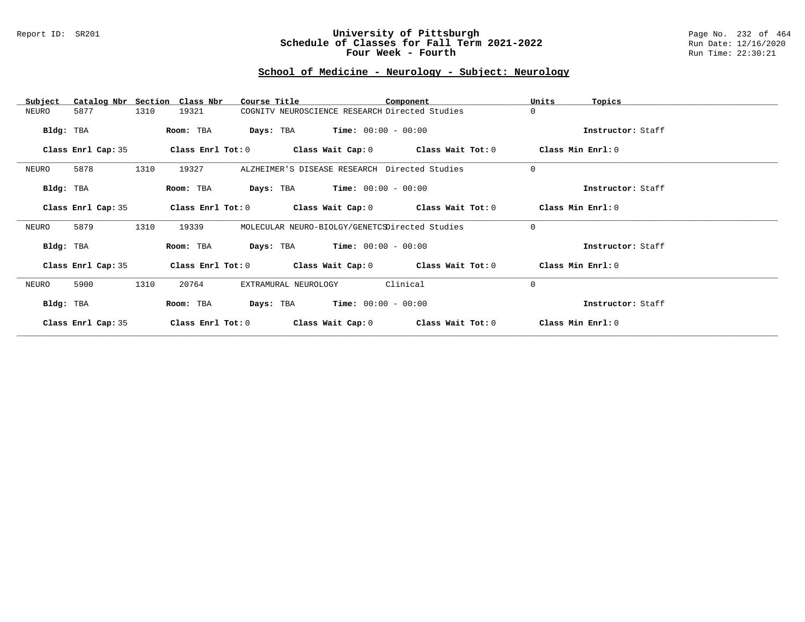#### Report ID: SR201 **University of Pittsburgh** Page No. 232 of 464 **Schedule of Classes for Fall Term 2021-2022** Run Date: 12/16/2020 **Four Week - Fourth Rundall Run Time: 22:30:21**

# **School of Medicine - Neurology - Subject: Neurology**

| Subject            | Catalog Nbr Section Class Nbr | Course Title                                   |                                               | Component                                                   | Units<br>Topics   |  |
|--------------------|-------------------------------|------------------------------------------------|-----------------------------------------------|-------------------------------------------------------------|-------------------|--|
| NEURO<br>5877      | 1310<br>19321                 | COGNITV NEUROSCIENCE RESEARCH Directed Studies |                                               |                                                             | $\Omega$          |  |
| Bldg: TBA          | Room: TBA                     | <b>Days:</b> TBA <b>Time:</b> $00:00 - 00:00$  |                                               |                                                             | Instructor: Staff |  |
| Class Enrl Cap: 35 |                               |                                                |                                               | Class Enrl Tot: $0$ Class Wait Cap: $0$ Class Wait Tot: $0$ | Class Min Enrl: 0 |  |
| 5878<br>NEURO      | 1310<br>19327                 | ALZHEIMER'S DISEASE RESEARCH Directed Studies  |                                               |                                                             | $\mathbf 0$       |  |
| Bldg: TBA          | Room: TBA                     |                                                | <b>Days:</b> TBA <b>Time:</b> $00:00 - 00:00$ |                                                             | Instructor: Staff |  |
| Class Enrl Cap: 35 |                               |                                                |                                               | Class Enrl Tot: $0$ Class Wait Cap: $0$ Class Wait Tot: $0$ | Class Min Enrl: 0 |  |
| 5879<br>NEURO      | 1310<br>19339                 | MOLECULAR NEURO-BIOLGY/GENETCSDirected Studies |                                               |                                                             | $\Omega$          |  |
| Bldg: TBA          | Room: TBA                     |                                                | <b>Days:</b> TBA <b>Time:</b> $00:00 - 00:00$ |                                                             | Instructor: Staff |  |
| Class Enrl Cap: 35 |                               |                                                |                                               | Class Enrl Tot: $0$ Class Wait Cap: $0$ Class Wait Tot: $0$ | Class Min Enrl: 0 |  |
| 5900<br>NEURO      | 1310<br>20764                 | EXTRAMURAL NEUROLOGY                           |                                               | Clinical                                                    | $\Omega$          |  |
| Bldg: TBA          | Room: TBA                     |                                                | <b>Days:</b> TBA <b>Time:</b> $00:00 - 00:00$ |                                                             | Instructor: Staff |  |
| Class Enrl Cap: 35 | Class Enrl Tot: 0             | Class Wait Cap: 0                              |                                               | Class Wait Tot: 0                                           | Class Min Enrl: 0 |  |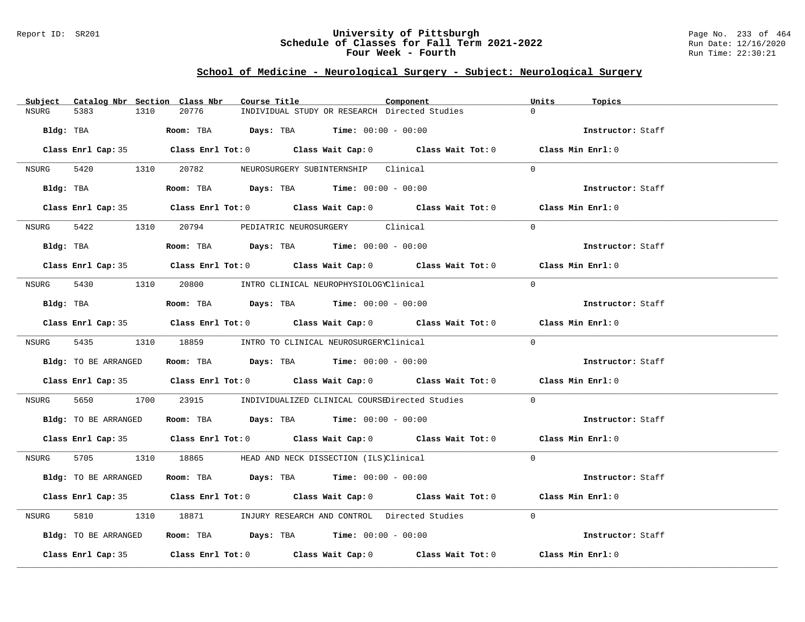#### Report ID: SR201 **University of Pittsburgh** Page No. 233 of 464 **Schedule of Classes for Fall Term 2021-2022** Run Date: 12/16/2020 **Four Week - Fourth Rundall Run Time: 22:30:21**

# **School of Medicine - Neurological Surgery - Subject: Neurological Surgery**

| Subject Catalog Nbr Section Class Nbr | Course Title                                                                               | Component | Units<br>Topics   |
|---------------------------------------|--------------------------------------------------------------------------------------------|-----------|-------------------|
| <b>NSURG</b><br>5383<br>1310          | 20776<br>INDIVIDUAL STUDY OR RESEARCH Directed Studies                                     |           | $\cap$            |
|                                       | Bldg: TBA                    Room: TBA         Days: TBA         Time: 00:00 - 00:00       |           | Instructor: Staff |
|                                       | Class Enrl Cap: 35 Class Enrl Tot: 0 Class Wait Cap: 0 Class Wait Tot: 0 Class Min Enrl: 0 |           |                   |
|                                       | NSURG 5420 1310 20782 NEUROSURGERY SUBINTERNSHIP Clinical                                  |           | $\cap$            |
|                                       | Bldg: TBA                    Room: TBA         Days: TBA         Time: 00:00 - 00:00       |           | Instructor: Staff |
|                                       | Class Enrl Cap: 35 Class Enrl Tot: 0 Class Wait Cap: 0 Class Wait Tot: 0 Class Min Enrl: 0 |           |                   |
|                                       | NSURG 5422 1310 20794 PEDIATRIC NEUROSURGERY Clinical                                      |           | $\Omega$          |
|                                       | Bldg: TBA                      Room: TBA         Days: TBA         Time: 00:00 - 00:00     |           | Instructor: Staff |
|                                       | Class Enrl Cap: 35 Class Enrl Tot: 0 Class Wait Cap: 0 Class Wait Tot: 0 Class Min Enrl: 0 |           |                   |
|                                       | NSURG 5430 1310 20800 INTRO CLINICAL NEUROPHYSIOLOGYClinical                               |           | $\Omega$          |
|                                       | $Bldg:$ TBA $Room:$ TBA $Days:$ TBA $Time:$ 00:00 - 00:00                                  |           | Instructor: Staff |
|                                       | Class Enrl Cap: 35 Class Enrl Tot: 0 Class Wait Cap: 0 Class Wait Tot: 0 Class Min Enrl: 0 |           |                   |
|                                       | NSURG 5435 1310 18859 INTRO TO CLINICAL NEUROSURGERYClinical                               |           | $\Omega$          |
| Bldg: TO BE ARRANGED                  | <b>Room:</b> TBA <b>Days:</b> TBA <b>Time:</b> 00:00 - 00:00                               |           | Instructor: Staff |
|                                       | Class Enrl Cap: 35 Class Enrl Tot: 0 Class Wait Cap: 0 Class Wait Tot: 0 Class Min Enrl: 0 |           |                   |
| NSURG                                 | 5650 1700 23915 INDIVIDUALIZED CLINICAL COURSEDirected Studies                             |           | $\Omega$          |
|                                       | Bldg: TO BE ARRANGED Room: TBA Days: TBA Time: 00:00 - 00:00                               |           | Instructor: Staff |
|                                       | Class Enrl Cap: 35 Class Enrl Tot: 0 Class Wait Cap: 0 Class Wait Tot: 0 Class Min Enrl: 0 |           |                   |
|                                       | NSURG 5705 1310 18865 HEAD AND NECK DISSECTION (ILS)Clinical                               |           | $\Omega$          |
| Bldg: TO BE ARRANGED                  | Room: TBA $Days: TBA$ Time: $00:00 - 00:00$                                                |           | Instructor: Staff |
|                                       | Class Enrl Cap: 35 Class Enrl Tot: 0 Class Wait Cap: 0 Class Wait Tot: 0 Class Min Enrl: 0 |           |                   |
| NSURG                                 | 5810 1810 18871 INJURY RESEARCH AND CONTROL Directed Studies                               |           | $\Omega$          |
| Bldg: TO BE ARRANGED                  | Room: TBA $Days:$ TBA $Time: 00:00 - 00:00$                                                |           | Instructor: Staff |
|                                       | Class Enrl Cap: 35 Class Enrl Tot: 0 Class Wait Cap: 0 Class Wait Tot: 0 Class Min Enrl: 0 |           |                   |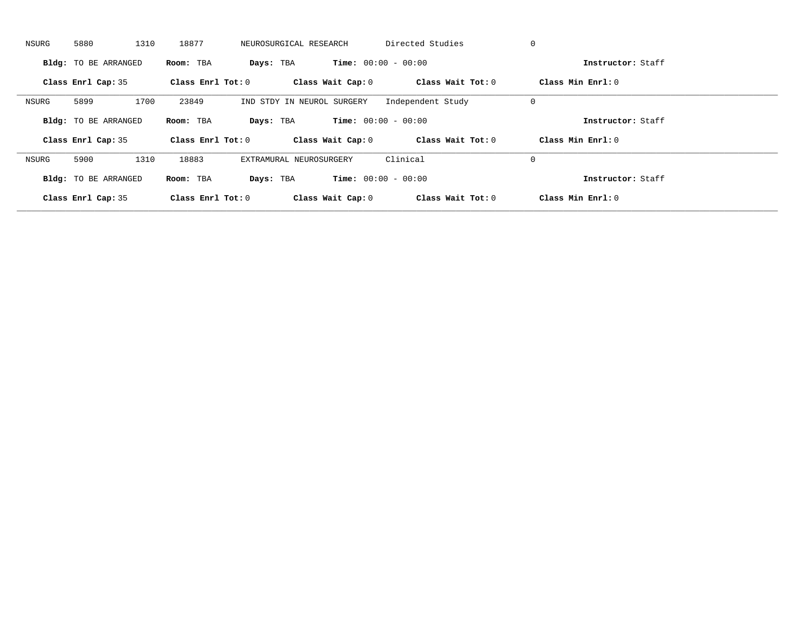| NSURG | 5880                        | 1310 | 18877               | NEUROSURGICAL RESEARCH     | Directed Studies             |                   | 0                   |  |
|-------|-----------------------------|------|---------------------|----------------------------|------------------------------|-------------------|---------------------|--|
|       | <b>Bldg:</b> TO BE ARRANGED |      | Room: TBA           | Days: TBA                  | <b>Time:</b> $00:00 - 00:00$ |                   | Instructor: Staff   |  |
|       | Class Enrl Cap: 35          |      | Class Enrl Tot: $0$ | Class Wait Cap: 0          |                              | Class Wait Tot: 0 | Class Min Enrl: 0   |  |
| NSURG | 5899                        | 1700 | 23849               | IND STDY IN NEUROL SURGERY | Independent Study            |                   | 0                   |  |
|       | <b>Bldg:</b> TO BE ARRANGED |      | Room: TBA           | Days: TBA                  | <b>Time:</b> $00:00 - 00:00$ |                   | Instructor: Staff   |  |
|       | Class Enrl Cap: 35          |      | Class Enrl Tot: 0   | Class Wait Cap: 0          |                              | Class Wait Tot: 0 | Class Min $Enrl: 0$ |  |
| NSURG | 5900                        | 1310 | 18883               | EXTRAMURAL NEUROSURGERY    | Clinical                     |                   | 0                   |  |
|       | <b>Bldg:</b> TO BE ARRANGED |      | Room: TBA           | Days: TBA                  | <b>Time:</b> $00:00 - 00:00$ |                   | Instructor: Staff   |  |
|       | Class Enrl Cap: 35          |      | Class Enrl Tot: $0$ | Class Wait Cap: 0          |                              | Class Wait Tot: 0 | Class Min Enrl: 0   |  |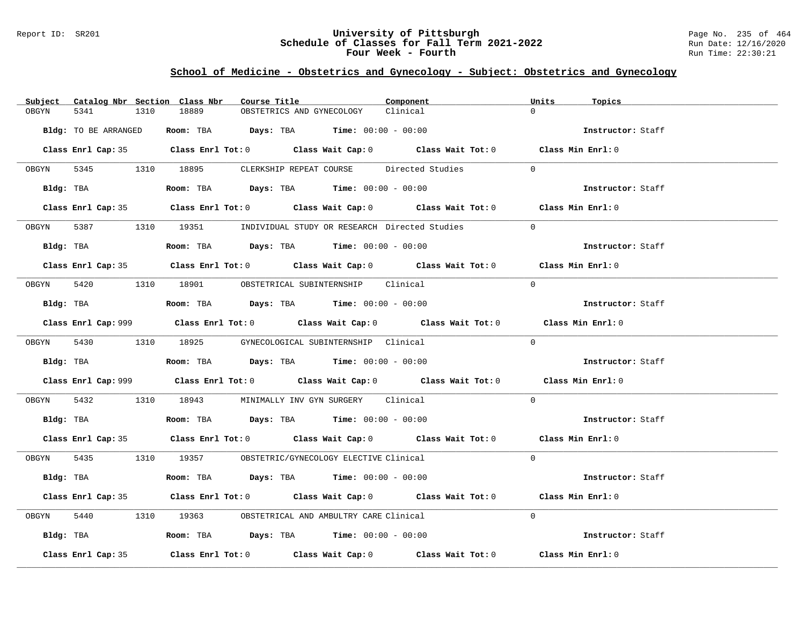#### Report ID: SR201 **University of Pittsburgh** Page No. 235 of 464 **Schedule of Classes for Fall Term 2021-2022** Run Date: 12/16/2020 **Four Week - Fourth Rundall Run Time: 22:30:21**

# **School of Medicine - Obstetrics and Gynecology - Subject: Obstetrics and Gynecology**

|               | Subject Catalog Nbr Section Class Nbr | Course Title                                                                           |                           | Component                                                                                   | Units<br>Topics   |  |
|---------------|---------------------------------------|----------------------------------------------------------------------------------------|---------------------------|---------------------------------------------------------------------------------------------|-------------------|--|
| 5341<br>OBGYN | 1310                                  | 18889                                                                                  | OBSTETRICS AND GYNECOLOGY | Clinical                                                                                    | $\cap$            |  |
|               | Bldg: TO BE ARRANGED                  | Room: TBA $Days:$ TBA $Time: 00:00 - 00:00$                                            |                           |                                                                                             | Instructor: Staff |  |
|               |                                       |                                                                                        |                           | Class Enrl Cap: 35 Class Enrl Tot: 0 Class Wait Cap: 0 Class Wait Tot: 0 Class Min Enrl: 0  |                   |  |
|               |                                       | OBGYN 5345 1310 18895 CLERKSHIP REPEAT COURSE Directed Studies                         |                           |                                                                                             | $\Omega$          |  |
|               | Bldg: TBA                             | Room: TBA $Days:$ TBA $Time: 00:00 - 00:00$                                            |                           |                                                                                             | Instructor: Staff |  |
|               |                                       |                                                                                        |                           | Class Enrl Cap: 35 Class Enrl Tot: 0 Class Wait Cap: 0 Class Wait Tot: 0 Class Min Enrl: 0  |                   |  |
|               |                                       | OBGYN 5387 1310 19351 INDIVIDUAL STUDY OR RESEARCH Directed Studies                    |                           |                                                                                             | $\Omega$          |  |
|               |                                       | Bldg: TBA                    Room: TBA         Days: TBA         Time: 00:00 - 00:00   |                           |                                                                                             | Instructor: Staff |  |
|               |                                       |                                                                                        |                           | Class Enrl Cap: 35 Class Enrl Tot: 0 Class Wait Cap: 0 Class Wait Tot: 0 Class Min Enrl: 0  |                   |  |
|               |                                       | OBGYN 5420 1310 18901 OBSTETRICAL SUBINTERNSHIP Clinical                               |                           |                                                                                             | $\Omega$          |  |
|               |                                       | Bldg: TBA                   Room: TBA         Days: TBA         Time: $00:00 - 00:00$  |                           |                                                                                             | Instructor: Staff |  |
|               |                                       |                                                                                        |                           | Class Enrl Cap: 999 Class Enrl Tot: 0 Class Wait Cap: 0 Class Wait Tot: 0 Class Min Enrl: 0 |                   |  |
|               |                                       | OBGYN 5430 1310 18925 GYNECOLOGICAL SUBINTERNSHIP Clinical                             |                           |                                                                                             | $\Omega$          |  |
|               |                                       | Bldg: TBA                    Room: TBA         Days: TBA         Time: $00:00 - 00:00$ |                           |                                                                                             | Instructor: Staff |  |
|               |                                       |                                                                                        |                           | Class Enrl Cap: 999 Class Enrl Tot: 0 Class Wait Cap: 0 Class Wait Tot: 0 Class Min Enrl: 0 |                   |  |
| OBGYN 5432    |                                       | 1310 18943 MINIMALLY INV GYN SURGERY Clinical                                          |                           |                                                                                             | $\Omega$          |  |
|               |                                       | Bldg: TBA                   Room: TBA         Days: TBA        Time: $00:00 - 00:00$   |                           |                                                                                             | Instructor: Staff |  |
|               |                                       |                                                                                        |                           | Class Enrl Cap: 35 Class Enrl Tot: 0 Class Wait Cap: 0 Class Wait Tot: 0 Class Min Enrl: 0  |                   |  |
|               |                                       | OBGYN 5435 1310 19357 OBSTETRIC/GYNECOLOGY ELECTIVE Clinical                           |                           |                                                                                             | $\Omega$          |  |
|               |                                       | Bldg: TBA                    Room: TBA         Days: TBA         Time: 00:00 - 00:00   |                           |                                                                                             | Instructor: Staff |  |
|               |                                       |                                                                                        |                           | Class Enrl Cap: 35 Class Enrl Tot: 0 Class Wait Cap: 0 Class Wait Tot: 0 Class Min Enrl: 0  |                   |  |
| OBGYN         | 5440                                  | 1310 19363 OBSTETRICAL AND AMBULTRY CARE Clinical                                      |                           |                                                                                             | $\Omega$          |  |
|               |                                       | Bldg: TBA                   Room: TBA         Days: TBA         Time: 00:00 - 00:00    |                           |                                                                                             | Instructor: Staff |  |
|               | Class Enrl Cap: 35                    |                                                                                        |                           | Class Enrl Tot: $0$ Class Wait Cap: $0$ Class Wait Tot: $0$                                 | Class Min Enrl: 0 |  |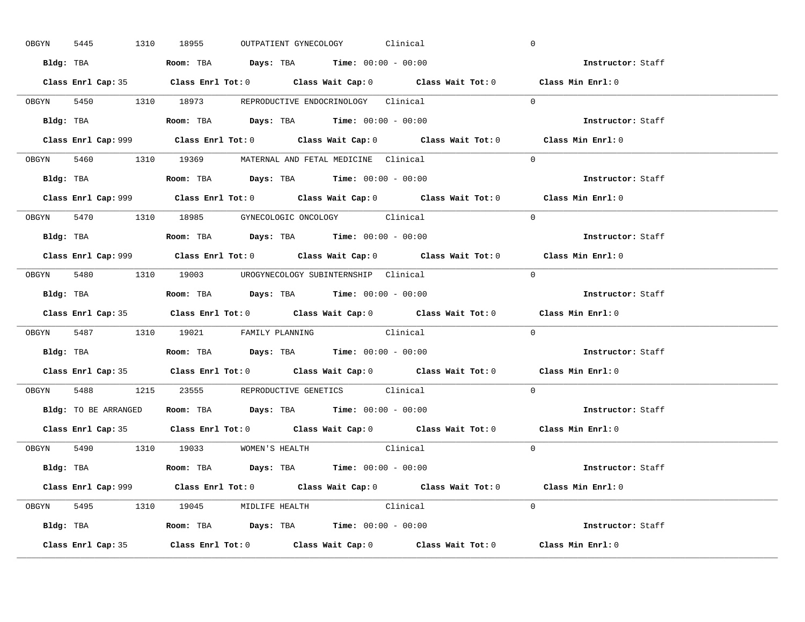| OBGYN | 5445 |  | 1310 18955                                                                            |  | OUTPATIENT GYNECOLOGY Clinical |          |                                                                           | $\mathbf 0$                                                                                 |  |
|-------|------|--|---------------------------------------------------------------------------------------|--|--------------------------------|----------|---------------------------------------------------------------------------|---------------------------------------------------------------------------------------------|--|
|       |      |  | Bldg: TBA                   Room: TBA        Days: TBA        Time: 00:00 - 00:00     |  |                                |          |                                                                           | Instructor: Staff                                                                           |  |
|       |      |  |                                                                                       |  |                                |          |                                                                           | Class Enrl Cap: 35 Class Enrl Tot: 0 Class Wait Cap: 0 Class Wait Tot: 0 Class Min Enrl: 0  |  |
|       |      |  | OBGYN 5450 1310 18973 REPRODUCTIVE ENDOCRINOLOGY Clinical                             |  |                                |          |                                                                           | $\Omega$                                                                                    |  |
|       |      |  |                                                                                       |  |                                |          |                                                                           | Instructor: Staff                                                                           |  |
|       |      |  |                                                                                       |  |                                |          | Class Enrl Cap: 999 Class Enrl Tot: 0 Class Wait Cap: 0 Class Wait Tot: 0 | Class Min Enrl: 0                                                                           |  |
|       |      |  | OBGYN 5460 1310 19369 MATERNAL AND FETAL MEDICINE Clinical                            |  |                                |          |                                                                           | $\Omega$                                                                                    |  |
|       |      |  | Bldg: TBA                   Room: TBA         Days: TBA         Time: 00:00 - 00:00   |  |                                |          |                                                                           | Instructor: Staff                                                                           |  |
|       |      |  |                                                                                       |  |                                |          |                                                                           | Class Enrl Cap: 999 Class Enrl Tot: 0 Class Wait Cap: 0 Class Wait Tot: 0 Class Min Enrl: 0 |  |
|       |      |  | OBGYN 5470 1310 18985 GYNECOLOGIC ONCOLOGY Clinical                                   |  |                                |          |                                                                           | $\Omega$                                                                                    |  |
|       |      |  | Bldg: TBA                   Room: TBA         Days: TBA         Time: $00:00 - 00:00$ |  |                                |          |                                                                           | Instructor: Staff                                                                           |  |
|       |      |  |                                                                                       |  |                                |          |                                                                           | Class Enrl Cap: 999 Class Enrl Tot: 0 Class Wait Cap: 0 Class Wait Tot: 0 Class Min Enrl: 0 |  |
|       |      |  | OBGYN 5480 1310 19003 UROGYNECOLOGY_SUBINTERNSHIP Clinical                            |  |                                |          |                                                                           | $\Omega$                                                                                    |  |
|       |      |  | Bldg: TBA                   Room: TBA        Days: TBA        Time: 00:00 - 00:00     |  |                                |          |                                                                           | Instructor: Staff                                                                           |  |
|       |      |  |                                                                                       |  |                                |          |                                                                           |                                                                                             |  |
|       |      |  |                                                                                       |  |                                |          |                                                                           | Class Enrl Cap: 35 Class Enrl Tot: 0 Class Wait Cap: 0 Class Wait Tot: 0 Class Min Enrl: 0  |  |
|       |      |  | OBGYN 5487 1310 19021 FAMILY PLANNING Clinical                                        |  |                                |          |                                                                           | $\Omega$                                                                                    |  |
|       |      |  | Bldg: TBA                   Room: TBA         Days: TBA         Time: 00:00 - 00:00   |  |                                |          |                                                                           | Instructor: Staff                                                                           |  |
|       |      |  |                                                                                       |  |                                |          |                                                                           | Class Enrl Cap: 35 Class Enrl Tot: 0 Class Wait Cap: 0 Class Wait Tot: 0 Class Min Enrl: 0  |  |
| OBGYN |      |  | 5488 1215 23555 REPRODUCTIVE GENETICS Clinical                                        |  |                                |          |                                                                           | $\Omega$                                                                                    |  |
|       |      |  | Bldg: TO BE ARRANGED ROOM: TBA Days: TBA Time: 00:00 - 00:00                          |  |                                |          |                                                                           | Instructor: Staff                                                                           |  |
|       |      |  |                                                                                       |  |                                |          |                                                                           | Class Enrl Cap: 35 Class Enrl Tot: 0 Class Wait Cap: 0 Class Wait Tot: 0 Class Min Enrl: 0  |  |
|       |      |  | OBGYN 5490 1310 19033 WOMEN'S HEALTH                                                  |  |                                | Clinical |                                                                           | $\overline{0}$                                                                              |  |
|       |      |  | <b>Bldg:</b> TBA <b>ROOM:</b> TBA <b>Days:</b> TBA <b>Time:</b> $00:00 - 00:00$       |  |                                |          |                                                                           | Instructor: Staff                                                                           |  |
|       |      |  |                                                                                       |  |                                |          |                                                                           | Class Enrl Cap: 999 Class Enrl Tot: 0 Class Wait Cap: 0 Class Wait Tot: 0 Class Min Enrl: 0 |  |
|       |      |  | OBGYN 5495 1310 19045 MIDLIFE HEALTH Clinical                                         |  |                                |          |                                                                           | $\Omega$                                                                                    |  |
|       |      |  | <b>Bldg:</b> TBA <b>ROOM:</b> TBA <b>Days:</b> TBA <b>Time:</b> $00:00 - 00:00$       |  |                                |          |                                                                           | Instructor: Staff                                                                           |  |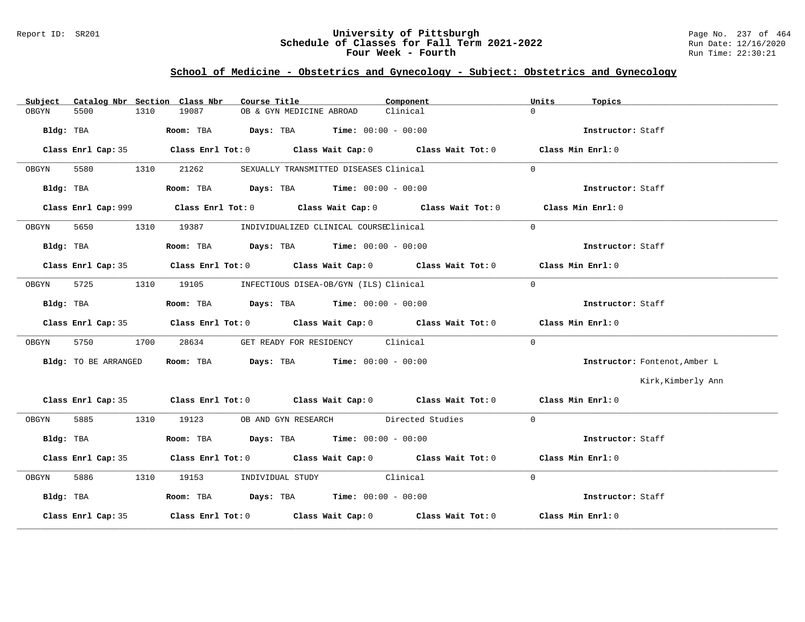#### Report ID: SR201 **University of Pittsburgh** Page No. 237 of 464 **Schedule of Classes for Fall Term 2021-2022** Run Date: 12/16/2020 **Four Week - Fourth Rundall Run Time: 22:30:21**

# **School of Medicine - Obstetrics and Gynecology - Subject: Obstetrics and Gynecology**

| Subject |                      |      | Catalog Nbr Section Class Nbr | Course Title                                                                               | Component                                                                                          | Units          | Topics                        |
|---------|----------------------|------|-------------------------------|--------------------------------------------------------------------------------------------|----------------------------------------------------------------------------------------------------|----------------|-------------------------------|
| OBGYN   | 5500                 | 1310 | 19087                         | OB & GYN MEDICINE ABROAD                                                                   | Clinical                                                                                           | $\Omega$       |                               |
|         |                      |      |                               | Bldg: TBA                   Room: TBA         Days: TBA        Time: 00:00 - 00:00         |                                                                                                    |                | Instructor: Staff             |
|         | Class Enrl Cap: 35   |      |                               |                                                                                            | Class Enrl Tot: 0 $\qquad$ Class Wait Cap: 0 $\qquad$ Class Wait Tot: 0 $\qquad$ Class Min Enrl: 0 |                |                               |
| OBGYN   | 5580                 |      | 1310 21262                    | SEXUALLY TRANSMITTED DISEASES Clinical                                                     |                                                                                                    | $\Omega$       |                               |
|         | Bldg: TBA            |      |                               | Room: TBA $\qquad \qquad$ Days: TBA $\qquad \qquad$ Time: $00:00 - 00:00$                  |                                                                                                    |                | Instructor: Staff             |
|         |                      |      |                               |                                                                                            | Class Enrl Cap: 999 Class Enrl Tot: 0 Class Wait Cap: 0 Class Wait Tot: 0 Class Min Enrl: 0        |                |                               |
| OBGYN   | 5650                 |      |                               | 1310 19387 INDIVIDUALIZED CLINICAL COURSEClinical                                          |                                                                                                    | $\Omega$       |                               |
|         |                      |      |                               |                                                                                            |                                                                                                    |                | Instructor: Staff             |
|         |                      |      |                               |                                                                                            | Class Enrl Cap: 35 Class Enrl Tot: 0 Class Wait Cap: 0 Class Wait Tot: 0 Class Min Enrl: 0         |                |                               |
| OBGYN   | 5725                 |      |                               | 1310 19105 INFECTIOUS DISEA-OB/GYN (ILS) Clinical                                          |                                                                                                    | $\Omega$       |                               |
|         |                      |      |                               | Bldg: TBA                        Room: TBA         Days: TBA         Time: $00:00 - 00:00$ |                                                                                                    |                | Instructor: Staff             |
|         |                      |      |                               |                                                                                            | Class Enrl Cap: 35 Class Enrl Tot: 0 Class Wait Cap: 0 Class Wait Tot: 0 Class Min Enrl: 0         |                |                               |
| OBGYN   | 5750 37              | 1700 | 28634                         | GET READY FOR RESIDENCY Clinical                                                           |                                                                                                    | $\Omega$       |                               |
|         | Bldg: TO BE ARRANGED |      |                               | <b>Room:</b> TBA $Days$ : TBA $Time$ : $00:00 - 00:00$                                     |                                                                                                    |                | Instructor: Fontenot, Amber L |
|         |                      |      |                               |                                                                                            |                                                                                                    |                | Kirk, Kimberly Ann            |
|         |                      |      |                               |                                                                                            | Class Enrl Cap: 35 Class Enrl Tot: 0 Class Wait Cap: 0 Class Wait Tot: 0 Class Min Enrl: 0         |                |                               |
| OBGYN   |                      |      |                               | 5885 1310 19123 OB AND GYN RESEARCH Directed Studies                                       |                                                                                                    | $\overline{0}$ |                               |
|         | Bldg: TBA            |      |                               | Room: TBA $Days:$ TBA $Time: 00:00 - 00:00$                                                |                                                                                                    |                | Instructor: Staff             |
|         |                      |      |                               |                                                                                            | Class Enrl Cap: 35 Class Enrl Tot: 0 Class Wait Cap: 0 Class Wait Tot: 0 Class Min Enrl: 0         |                |                               |
| OBGYN   |                      |      |                               | 5886 1310 19153 INDIVIDUAL STUDY Clinical                                                  |                                                                                                    | $\Omega$       |                               |
|         | Bldg: TBA            |      |                               | Room: TBA $Days:$ TBA Time: $00:00 - 00:00$                                                |                                                                                                    |                | Instructor: Staff             |
|         |                      |      |                               |                                                                                            |                                                                                                    |                |                               |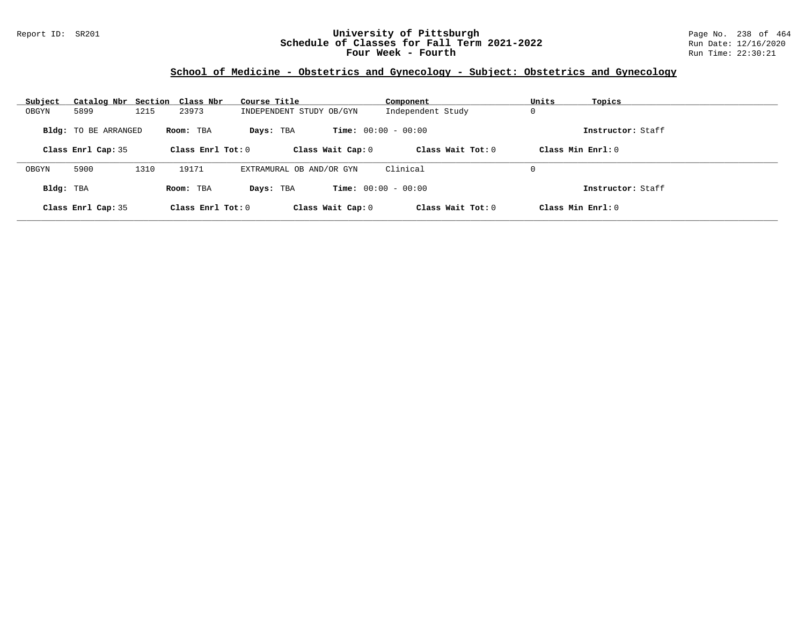### Report ID: SR201 **University of Pittsburgh** Page No. 238 of 464 **Schedule of Classes for Fall Term 2021-2022** Run Date: 12/16/2020 **Four Week - Fourth Rundall Run Time: 22:30:21**

# **School of Medicine - Obstetrics and Gynecology - Subject: Obstetrics and Gynecology**

| Subject   | Catalog Nbr Section Class Nbr |      |                     | Course Title             | Component                    | Units<br>Topics   |  |
|-----------|-------------------------------|------|---------------------|--------------------------|------------------------------|-------------------|--|
| OBGYN     | 5899                          | 1215 | 23973               | INDEPENDENT STUDY OB/GYN | Independent Study            | 0                 |  |
|           | <b>Bldg:</b> TO BE ARRANGED   |      | Room: TBA           | Days: TBA                | <b>Time:</b> $00:00 - 00:00$ | Instructor: Staff |  |
|           | Class Enrl Cap: 35            |      | Class Enrl Tot: $0$ | Class Wait Cap: 0        | Class Wait $Tot: 0$          | Class Min Enrl: 0 |  |
|           |                               |      |                     |                          |                              |                   |  |
| OBGYN     | 5900                          | 1310 | 19171               | EXTRAMURAL OB AND/OR GYN | Clinical                     | 0                 |  |
| Bldg: TBA |                               |      | Room: TBA           | Days: TBA                | <b>Time:</b> $00:00 - 00:00$ | Instructor: Staff |  |
|           | Class Enrl Cap: 35            |      | Class Enrl Tot: 0   | Class Wait Cap: 0        | Class Wait Tot: $0$          | Class Min Enrl: 0 |  |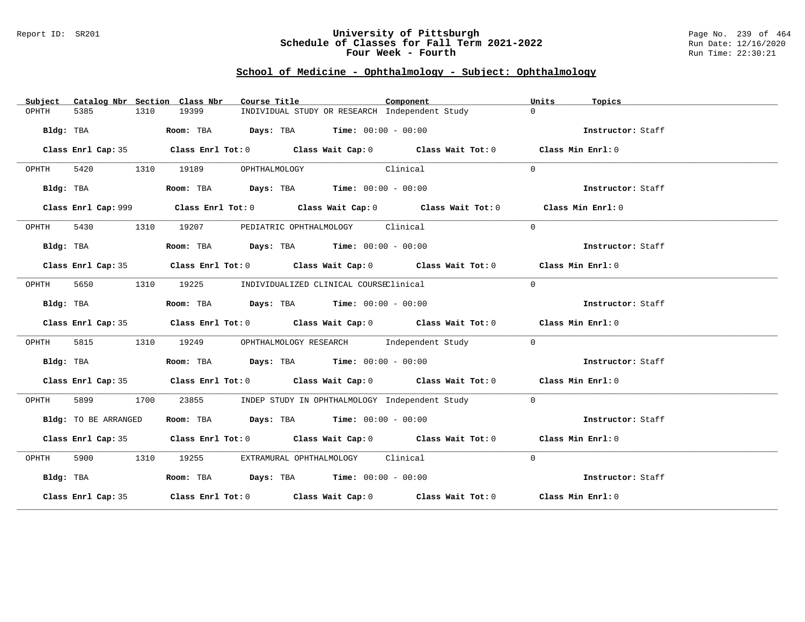#### Report ID: SR201 **University of Pittsburgh** Page No. 239 of 464 **Schedule of Classes for Fall Term 2021-2022** Run Date: 12/16/2020 **Four Week - Fourth Rundall Run Time: 22:30:21**

# **School of Medicine - Ophthalmology - Subject: Ophthalmology**

| Subject   |                      |      | Catalog Nbr Section Class Nbr | Course Title                                                                           |          | Component                                                                                   | Units          | Topics            |
|-----------|----------------------|------|-------------------------------|----------------------------------------------------------------------------------------|----------|---------------------------------------------------------------------------------------------|----------------|-------------------|
| OPHTH     | 5385                 | 1310 | 19399                         | INDIVIDUAL STUDY OR RESEARCH Independent Study                                         |          |                                                                                             | $\Omega$       |                   |
|           | Bldg: TBA            |      |                               | Room: TBA $Days:$ TBA $Time: 00:00 - 00:00$                                            |          |                                                                                             |                | Instructor: Staff |
|           |                      |      |                               |                                                                                        |          | Class Enrl Cap: 35 Class Enrl Tot: 0 Class Wait Cap: 0 Class Wait Tot: 0 Class Min Enrl: 0  |                |                   |
| OPHTH     |                      |      | 5420 1310 19189               | OPHTHALMOLOGY                                                                          | Clinical |                                                                                             | $\Omega$       |                   |
|           | Bldg: TBA            |      |                               | Room: TBA $Days:$ TBA $Time: 00:00 - 00:00$                                            |          |                                                                                             |                | Instructor: Staff |
|           |                      |      |                               |                                                                                        |          | Class Enrl Cap: 999 Class Enrl Tot: 0 Class Wait Cap: 0 Class Wait Tot: 0 Class Min Enrl: 0 |                |                   |
| OPHTH     | 5430                 |      | 1310 19207                    | PEDIATRIC OPHTHALMOLOGY Clinical                                                       |          |                                                                                             | $\Omega$       |                   |
|           | Bldg: TBA            |      |                               | Room: TBA $Days:$ TBA $Time: 00:00 - 00:00$                                            |          |                                                                                             |                | Instructor: Staff |
|           |                      |      |                               |                                                                                        |          | Class Enrl Cap: 35 Class Enrl Tot: 0 Class Wait Cap: 0 Class Wait Tot: 0 Class Min Enrl: 0  |                |                   |
| OPHTH     | 5650                 |      |                               | 1310 19225 INDIVIDUALIZED CLINICAL COURSEClinical                                      |          |                                                                                             | $\Omega$       |                   |
|           | Bldg: TBA            |      |                               | Room: TBA $Days:$ TBA $Time: 00:00 - 00:00$                                            |          |                                                                                             |                | Instructor: Staff |
|           |                      |      |                               |                                                                                        |          | Class Enrl Cap: 35 Class Enrl Tot: 0 Class Wait Cap: 0 Class Wait Tot: 0 Class Min Enrl: 0  |                |                   |
| OPHTH     | 5815                 | 1310 |                               |                                                                                        |          | 19249 OPHTHALMOLOGY RESEARCH Independent Study                                              | $\mathbf{0}$   |                   |
|           | Bldg: TBA            |      |                               | Room: TBA $\rule{1em}{0.15mm}$ Days: TBA $\rule{1.15mm}{0.15mm}$ Time: $00:00 - 00:00$ |          |                                                                                             |                | Instructor: Staff |
|           |                      |      |                               |                                                                                        |          | Class Enrl Cap: 35 Class Enrl Tot: 0 Class Wait Cap: 0 Class Wait Tot: 0 Class Min Enrl: 0  |                |                   |
| OPHTH     | 5899 7               | 1700 | 23855                         | INDEP STUDY IN OPHTHALMOLOGY Independent Study                                         |          |                                                                                             | $\overline{0}$ |                   |
|           | Bldg: TO BE ARRANGED |      |                               | Room: TBA $\rule{1em}{0.15mm}$ Days: TBA $\rule{1.5mm}{0.15mm}$ Time: $00:00 - 00:00$  |          |                                                                                             |                | Instructor: Staff |
|           |                      |      |                               |                                                                                        |          | Class Enrl Cap: 35 Class Enrl Tot: 0 Class Wait Cap: 0 Class Wait Tot: 0 Class Min Enrl: 0  |                |                   |
| OPHTH     |                      |      | 5900 1310 19255               | EXTRAMURAL OPHTHALMOLOGY Clinical                                                      |          |                                                                                             | $\Omega$       |                   |
| Bldg: TBA |                      |      |                               | Room: TBA $Days:$ TBA $Time: 00:00 - 00:00$                                            |          |                                                                                             |                | Instructor: Staff |
|           |                      |      |                               |                                                                                        |          | Class Enrl Cap: 35 Class Enrl Tot: 0 Class Wait Cap: 0 Class Wait Tot: 0 Class Min Enrl: 0  |                |                   |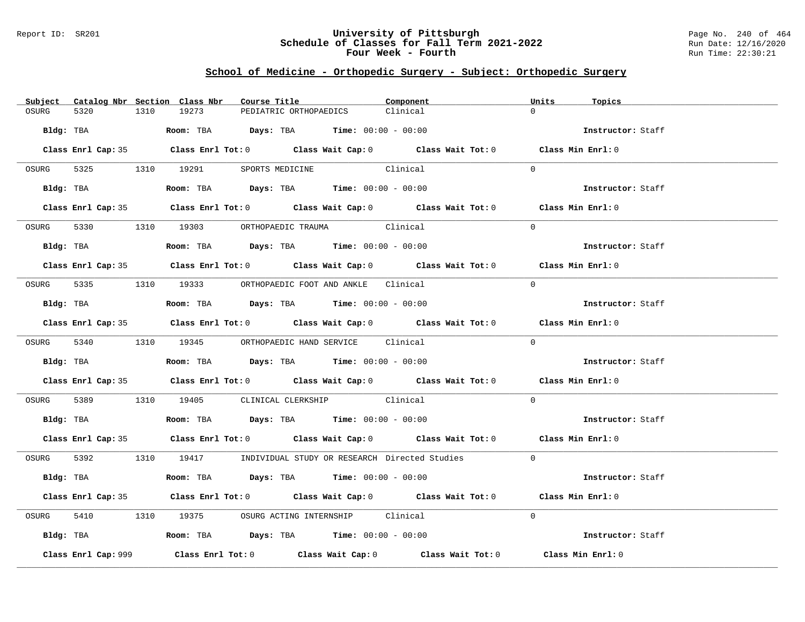#### Report ID: SR201 **University of Pittsburgh** Page No. 240 of 464 **Schedule of Classes for Fall Term 2021-2022** Run Date: 12/16/2020 **Four Week - Fourth Rundall Run Time: 22:30:21**

# **School of Medicine - Orthopedic Surgery - Subject: Orthopedic Surgery**

|           |                     |      | Subject Catalog Nbr Section Class Nbr | Course Title                                                                           |          | Component                                                                                  | Units    | Topics            |
|-----------|---------------------|------|---------------------------------------|----------------------------------------------------------------------------------------|----------|--------------------------------------------------------------------------------------------|----------|-------------------|
| OSURG     | 5320                | 1310 | 19273                                 | PEDIATRIC ORTHOPAEDICS                                                                 | Clinical |                                                                                            | $\cap$   |                   |
| Bldg: TBA |                     |      |                                       | <b>Room:</b> TBA $Days:$ TBA $Time: 00:00 - 00:00$                                     |          |                                                                                            |          | Instructor: Staff |
|           |                     |      |                                       |                                                                                        |          | Class Enrl Cap: 35 Class Enrl Tot: 0 Class Wait Cap: 0 Class Wait Tot: 0 Class Min Enrl: 0 |          |                   |
|           |                     |      |                                       | OSURG 5325 1310 19291 SPORTS MEDICINE Clinical                                         |          |                                                                                            | $\Omega$ |                   |
|           | Bldg: TBA           |      |                                       | Room: TBA $\rule{1em}{0.15mm}$ Days: TBA Time: $00:00 - 00:00$                         |          |                                                                                            |          | Instructor: Staff |
|           |                     |      |                                       |                                                                                        |          | Class Enrl Cap: 35 Class Enrl Tot: 0 Class Wait Cap: 0 Class Wait Tot: 0 Class Min Enrl: 0 |          |                   |
| OSURG     |                     |      |                                       | 5330 1310 19303 ORTHOPAEDIC TRAUMA Clinical                                            |          |                                                                                            | $\Omega$ |                   |
|           | Bldg: TBA           |      |                                       | Room: TBA $Days:$ TBA Time: $00:00 - 00:00$                                            |          |                                                                                            |          | Instructor: Staff |
|           |                     |      |                                       |                                                                                        |          | Class Enrl Cap: 35 Class Enrl Tot: 0 Class Wait Cap: 0 Class Wait Tot: 0 Class Min Enrl: 0 |          |                   |
|           |                     |      |                                       | OSURG 5335 1310 19333 ORTHOPAEDIC FOOT AND ANKLE Clinical                              |          |                                                                                            | $\Omega$ |                   |
|           |                     |      |                                       | Bldg: TBA                    Room: TBA         Days: TBA         Time: $00:00 - 00:00$ |          |                                                                                            |          | Instructor: Staff |
|           |                     |      |                                       |                                                                                        |          | Class Enrl Cap: 35 Class Enrl Tot: 0 Class Wait Cap: 0 Class Wait Tot: 0 Class Min Enrl: 0 |          |                   |
|           |                     |      |                                       | OSURG 5340 1310 19345 ORTHOPAEDIC HAND SERVICE Clinical                                |          |                                                                                            | $\Omega$ |                   |
|           |                     |      |                                       | Bldg: TBA                    Room: TBA         Days: TBA         Time: $00:00 - 00:00$ |          |                                                                                            |          | Instructor: Staff |
|           |                     |      |                                       |                                                                                        |          | Class Enrl Cap: 35 Class Enrl Tot: 0 Class Wait Cap: 0 Class Wait Tot: 0 Class Min Enrl: 0 |          |                   |
| OSURG     |                     |      |                                       | 5389 1310 19405 CLINICAL CLERKSHIP Clinical                                            |          |                                                                                            | $\Omega$ |                   |
|           |                     |      |                                       | Bldg: TBA                   Room: TBA         Days: TBA         Time: 00:00 - 00:00    |          |                                                                                            |          | Instructor: Staff |
|           |                     |      |                                       |                                                                                        |          | Class Enrl Cap: 35 Class Enrl Tot: 0 Class Wait Cap: 0 Class Wait Tot: 0 Class Min Enrl: 0 |          |                   |
|           |                     |      |                                       |                                                                                        |          | OSURG 5392 1310 19417 INDIVIDUAL STUDY OR RESEARCH Directed Studies 0                      |          |                   |
|           | Bldg: TBA           |      |                                       | Room: TBA $Days:$ TBA $Time: 00:00 - 00:00$                                            |          |                                                                                            |          | Instructor: Staff |
|           |                     |      |                                       |                                                                                        |          | Class Enrl Cap: 35 Class Enrl Tot: 0 Class Wait Cap: 0 Class Wait Tot: 0 Class Min Enrl: 0 |          |                   |
| OSURG     |                     |      |                                       | 5410 1310 19375 OSURG ACTING INTERNSHIP Clinical                                       |          |                                                                                            | $\Omega$ |                   |
|           |                     |      |                                       | Bldg: TBA                   Room: TBA         Days: TBA         Time: 00:00 - 00:00    |          |                                                                                            |          | Instructor: Staff |
|           | Class Enrl Cap: 999 |      |                                       |                                                                                        |          | Class Enrl Tot: $0$ Class Wait Cap: $0$ Class Wait Tot: $0$                                |          | Class Min Enrl: 0 |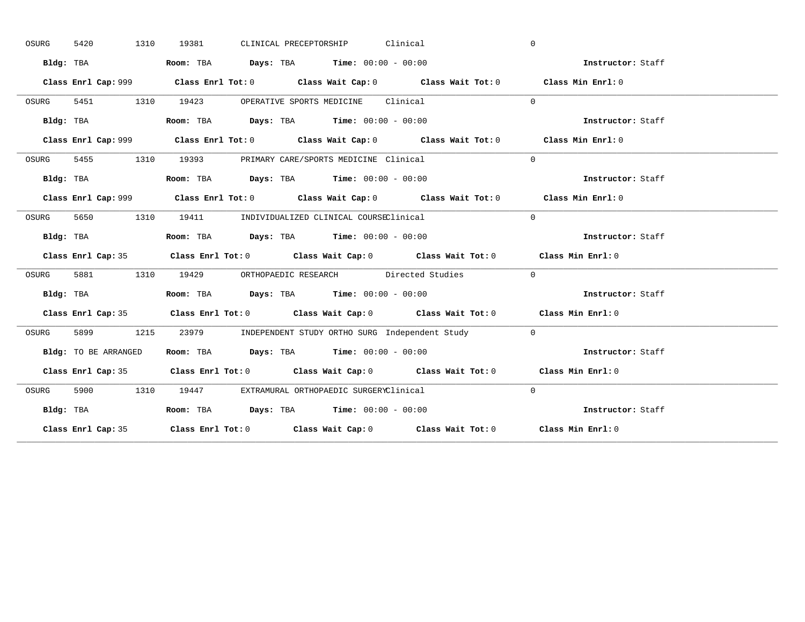| OSURG | 1310<br>5420         | CLINICAL PRECEPTORSHIP Clinical<br>19381                                                     | $\overline{0}$    |
|-------|----------------------|----------------------------------------------------------------------------------------------|-------------------|
|       | Bldg: TBA            | Room: TBA $Days:$ TBA $Time: 00:00 - 00:00$                                                  | Instructor: Staff |
|       |                      | Class Enrl Cap: 999 Class Enrl Tot: 0 Class Wait Cap: 0 Class Wait Tot: 0 Class Min Enrl: 0  |                   |
| OSURG | 5451 1310            | 19423 OPERATIVE SPORTS MEDICINE Clinical                                                     | $\Omega$          |
|       | Bldg: TBA            | Room: TBA $\rule{1em}{0.15mm}$ Days: TBA $\rule{1.15mm}]{0.15mm}$ Time: $0.000 - 0.0000$     | Instructor: Staff |
|       |                      | Class Enrl Cap: 999 Class Enrl Tot: 0 Class Wait Cap: 0 Class Wait Tot: 0 Class Min Enrl: 0  |                   |
| OSURG |                      | 5455 1310 19393 PRIMARY CARE/SPORTS MEDICINE Clinical                                        | $\Omega$          |
|       |                      | Bldg: TBA                        Room: TBA          Days: TBA          Time: $00:00 - 00:00$ | Instructor: Staff |
|       |                      |                                                                                              | Class Min Enrl: 0 |
| OSURG | 5650                 | 1310 19411 INDIVIDUALIZED CLINICAL COURSEClinical                                            | $\Omega$          |
|       | Bldg: TBA            | Room: TBA $Days:$ TBA Time: $00:00 - 00:00$                                                  | Instructor: Staff |
|       |                      | Class Enrl Cap: 35 Class Enrl Tot: 0 Class Wait Cap: 0 Class Wait Tot: 0 Class Min Enrl: 0   |                   |
| OSURG |                      | 5881 1310 19429 ORTHOPAEDIC RESEARCH Directed Studies                                        | $\Omega$          |
|       | Bldg: TBA            | Room: TBA $Days:$ TBA $Time: 00:00 - 00:00$                                                  | Instructor: Staff |
|       |                      | Class Enrl Cap: 35 Class Enrl Tot: 0 Class Wait Cap: 0 Class Wait Tot: 0 Class Min Enrl: 0   |                   |
| OSURG |                      | 5899 1215 23979 INDEPENDENT STUDY ORTHO SURG Independent Study 0                             |                   |
|       | Bldg: TO BE ARRANGED | Room: TBA $\rule{1em}{0.15mm}$ Days: TBA Time: $00:00 - 00:00$                               | Instructor: Staff |
|       |                      | Class Enrl Cap: 35 Class Enrl Tot: 0 Class Wait Cap: 0 Class Wait Tot: 0 Class Min Enrl: 0   |                   |
| OSURG |                      | 5900 1310 19447 EXTRAMURAL ORTHOPAEDIC SURGERYClinical                                       | $\Omega$          |
|       | Bldg: TBA            | Room: TBA $Days:$ TBA Time: $00:00 - 00:00$                                                  | Instructor: Staff |
|       |                      |                                                                                              |                   |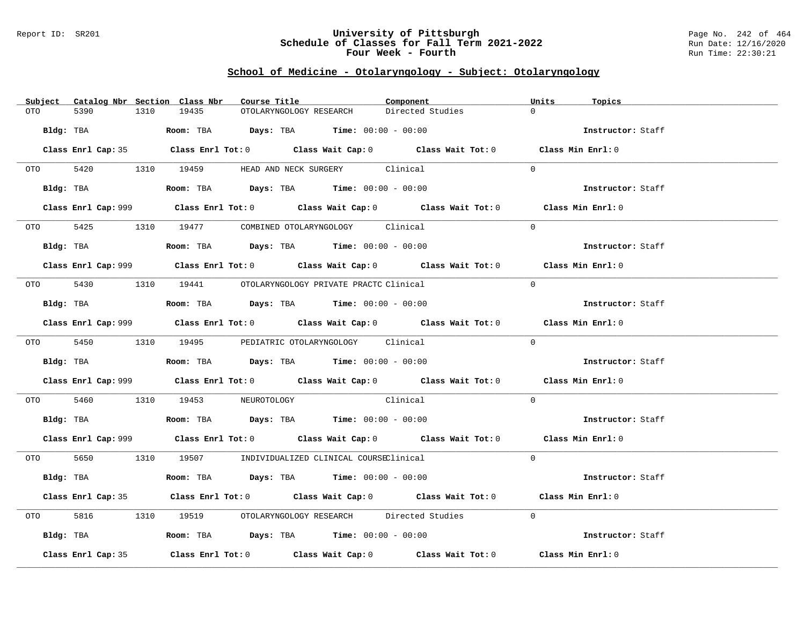#### Report ID: SR201 **University of Pittsburgh** Page No. 242 of 464 **Schedule of Classes for Fall Term 2021-2022** Run Date: 12/16/2020 **Four Week - Fourth Rundall Run Time: 22:30:21**

### **School of Medicine - Otolaryngology - Subject: Otolaryngology**

| Subject            | Catalog Nbr Section Class Nbr<br>Course Title                                                      | Component        | Units<br>Topics   |
|--------------------|----------------------------------------------------------------------------------------------------|------------------|-------------------|
| 5390<br>OTO        | 1310<br>19435<br>OTOLARYNGOLOGY RESEARCH                                                           | Directed Studies | $\Omega$          |
| Bldg: TBA          | Room: TBA $Days:$ TBA $Time: 00:00 - 00:00$                                                        |                  | Instructor: Staff |
|                    | Class Enrl Cap: 35 Class Enrl Tot: 0 Class Wait Cap: 0 Class Wait Tot: 0 Class Min Enrl: 0         |                  |                   |
|                    | OTO 5420 1310 19459 HEAD AND NECK SURGERY Clinical                                                 |                  | $\Omega$          |
| Bldg: TBA          | Room: TBA $\rule{1em}{0.15mm}$ Days: TBA Time: $00:00 - 00:00$                                     |                  | Instructor: Staff |
|                    | Class Enrl Cap: 999 Class Enrl Tot: 0 Class Wait Cap: 0 Class Wait Tot: 0 Class Min Enrl: 0        |                  |                   |
|                    | OTO 5425 1310 19477 COMBINED OTOLARYNGOLOGY Clinical                                               |                  | $\Omega$          |
|                    | Bldg: TBA                   Room: TBA         Days: TBA         Time: $00:00 - 00:00$              |                  | Instructor: Staff |
|                    | Class Enrl Cap: 999 Class Enrl Tot: 0 Class Wait Cap: 0 Class Wait Tot: 0 Class Min Enrl: 0        |                  |                   |
|                    | 0TO 5430 1310 19441 OTOLARYNGOLOGY PRIVATE PRACTC Clinical                                         |                  | $\Omega$          |
|                    | <b>Bldg:</b> TBA <b>ROOM:</b> TBA <b>Days:</b> TBA <b>Time:</b> $00:00 - 00:00$                    |                  | Instructor: Staff |
|                    | Class Enrl Cap: 999 Class Enrl Tot: 0 Class Wait Cap: 0 Class Wait Tot: 0 Class Min Enrl: 0        |                  |                   |
|                    | 0TO 5450 1310 19495 PEDIATRIC OTOLARYNGOLOGY Clinical                                              |                  | $\Omega$          |
|                    | Bldg: TBA                   Room: TBA        Days: TBA        Time: 00:00 - 00:00                  |                  | Instructor: Staff |
|                    | Class Enrl Cap: 999 Class Enrl Tot: 0 Class Wait Cap: 0 Class Wait Tot: 0 Class Min Enrl: 0        |                  |                   |
| OTO 5460           | 1310 19453 NEUROTOLOGY Clinical                                                                    |                  | $\Omega$          |
|                    | Bldg: TBA                    Room: TBA         Days: TBA         Time: $00:00 - 00:00$             |                  | Instructor: Staff |
|                    | Class Enrl Cap: 999 Class Enrl Tot: 0 Class Wait Cap: 0 Class Wait Tot: 0 Class Min Enrl: 0        |                  |                   |
|                    | 0TO 5650 1310 19507 INDIVIDUALIZED CLINICAL COURSEClinical                                         |                  | $\Omega$          |
| Bldg: TBA          | Room: TBA $Days: TBA$ Time: $00:00 - 00:00$                                                        |                  | Instructor: Staff |
|                    | Class Enrl Cap: 35 Class Enrl Tot: 0 Class Wait Cap: 0 Class Wait Tot: 0 Class Min Enrl: 0         |                  |                   |
| 5816 7             | 1310 19519 OTOLARYNGOLOGY RESEARCH Directed Studies                                                |                  | $\Omega$          |
| Bldg: TBA          | Room: TBA $Days:$ TBA $Time: 00:00 - 00:00$                                                        |                  | Instructor: Staff |
| Class Enrl Cap: 35 | Class Enrl Tot: 0 $\qquad$ Class Wait Cap: 0 $\qquad$ Class Wait Tot: 0 $\qquad$ Class Min Enrl: 0 |                  |                   |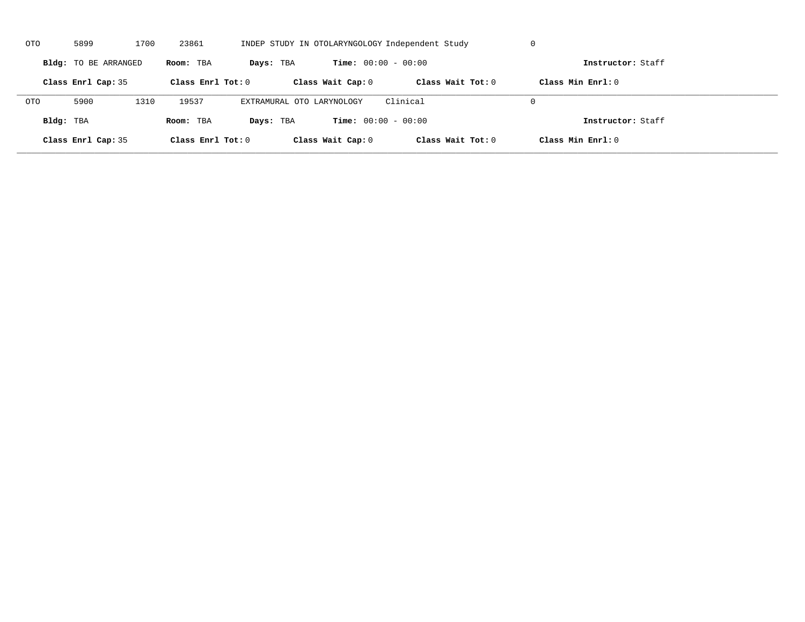| OTO        | 5899                 | 1700 | 23861               |                           |                              | INDEP STUDY IN OTOLARYNGOLOGY Independent Study | U                   |  |
|------------|----------------------|------|---------------------|---------------------------|------------------------------|-------------------------------------------------|---------------------|--|
|            | Bldg: TO BE ARRANGED |      | Room: TBA           | Days: TBA                 | <b>Time:</b> $00:00 - 00:00$ |                                                 | Instructor: Staff   |  |
|            | Class Enrl Cap: 35   |      | Class Enrl Tot: $0$ |                           | Class Wait Cap: 0            | Class Wait $Tot: 0$                             | Class Min $Enrl: 0$ |  |
| <b>OTO</b> | 5900                 | 1310 | 19537               | EXTRAMURAL OTO LARYNOLOGY |                              | Clinical                                        | $\Omega$            |  |
| Bldg: TBA  |                      |      | Room: TBA           | Days: TBA                 | <b>Time:</b> $00:00 - 00:00$ |                                                 | Instructor: Staff   |  |
|            | Class Enrl Cap: 35   |      | Class Enrl Tot: 0   |                           | Class Wait Cap: 0            | Class Wait Tot: 0                               | Class Min Enrl: 0   |  |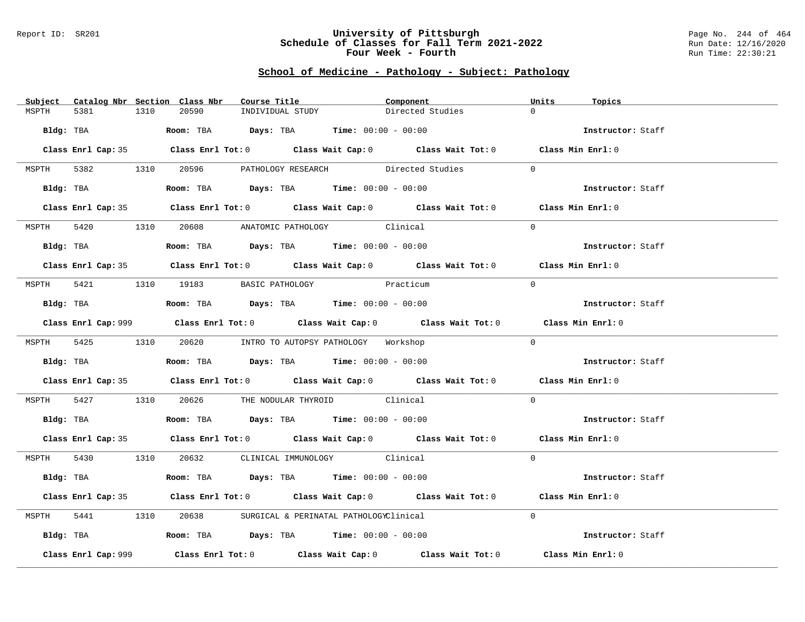#### Report ID: SR201 **University of Pittsburgh** Page No. 244 of 464 **Schedule of Classes for Fall Term 2021-2022** Run Date: 12/16/2020 **Four Week - Fourth Rundall Run Time: 22:30:21**

# **School of Medicine - Pathology - Subject: Pathology**

|                     | Subject Catalog Nbr Section Class Nbr | Course Title <b>Source Search</b>                                                           | Component        | Units<br>Topics   |  |
|---------------------|---------------------------------------|---------------------------------------------------------------------------------------------|------------------|-------------------|--|
| MSPTH<br>5381       | 1310<br>20590                         | INDIVIDUAL STUDY                                                                            | Directed Studies | $\Omega$          |  |
|                     |                                       | Bldg: TBA                   Room: TBA        Days: TBA        Time: $00:00 - 00:00$         |                  | Instructor: Staff |  |
|                     |                                       |                                                                                             |                  |                   |  |
|                     |                                       | Class Enrl Cap: 35 Class Enrl Tot: 0 Class Wait Cap: 0 Class Wait Tot: 0 Class Min Enrl: 0  |                  |                   |  |
|                     |                                       | MSPTH 5382 1310 20596 PATHOLOGY RESEARCH Directed Studies 0                                 |                  |                   |  |
|                     |                                       | Bldg: TBA                    Room: TBA         Days: TBA         Time: 00:00 - 00:00        |                  | Instructor: Staff |  |
|                     |                                       | Class Enrl Cap: 35 Class Enrl Tot: 0 Class Wait Cap: 0 Class Wait Tot: 0 Class Min Enrl: 0  |                  |                   |  |
|                     |                                       | MSPTH 5420 1310 20608 ANATOMIC PATHOLOGY Clinical                                           |                  | $\Omega$          |  |
| Bldg: TBA           |                                       | Room: TBA $Days:$ TBA $Time:$ $00:00 - 00:00$                                               |                  | Instructor: Staff |  |
|                     |                                       | Class Enrl Cap: 35 Class Enrl Tot: 0 Class Wait Cap: 0 Class Wait Tot: 0 Class Min Enrl: 0  |                  |                   |  |
|                     |                                       |                                                                                             |                  |                   |  |
|                     | MSPTH 5421 1310 19183 BASIC PATHOLOGY | Practicum                                                                                   |                  | $\Omega$          |  |
|                     |                                       | Bldg: TBA                  Room: TBA        Days: TBA        Time: 00:00 - 00:00            |                  | Instructor: Staff |  |
|                     |                                       | Class Enrl Cap: 999 Class Enrl Tot: 0 Class Wait Cap: 0 Class Wait Tot: 0 Class Min Enrl: 0 |                  |                   |  |
|                     |                                       | MSPTH 5425 1310 20620 INTRO TO AUTOPSY PATHOLOGY Workshop                                   |                  | $\Omega$          |  |
|                     |                                       |                                                                                             |                  |                   |  |
|                     |                                       |                                                                                             |                  | Instructor: Staff |  |
|                     |                                       | Class Enrl Cap: 35 Class Enrl Tot: 0 Class Wait Cap: 0 Class Wait Tot: 0 Class Min Enrl: 0  |                  |                   |  |
|                     |                                       | MSPTH 5427 1310 20626 THE NODULAR THYROID Clinical                                          |                  | $\Omega$          |  |
|                     |                                       | <b>Bldg:</b> TBA <b>Room:</b> TBA <b>Days:</b> TBA <b>Time:</b> $00:00 - 00:00$             |                  | Instructor: Staff |  |
|                     |                                       | Class Enrl Cap: 35 Class Enrl Tot: 0 Class Wait Cap: 0 Class Wait Tot: 0 Class Min Enrl: 0  |                  |                   |  |
|                     |                                       | MSPTH 5430 1310 20632 CLINICAL IMMUNOLOGY Clinical                                          |                  | $\Omega$          |  |
|                     |                                       | Bldg: TBA                   Room: TBA         Days: TBA        Time: $00:00 - 00:00$        |                  | Instructor: Staff |  |
|                     |                                       | Class Enrl Cap: 35 Class Enrl Tot: 0 Class Wait Cap: 0 Class Wait Tot: 0 Class Min Enrl: 0  |                  |                   |  |
|                     |                                       |                                                                                             |                  |                   |  |
|                     |                                       | MSPTH 5441 1310 20638 SURGICAL & PERINATAL PATHOLOGYClinical                                |                  | $\Omega$          |  |
|                     |                                       | Bldg: TBA                        Room: TBA          Days: TBA         Time: $00:00 - 00:00$ |                  | Instructor: Staff |  |
| Class Enrl Cap: 999 |                                       | Class Enrl Tot: $0$ Class Wait Cap: $0$ Class Wait Tot: $0$                                 |                  | Class Min Enrl: 0 |  |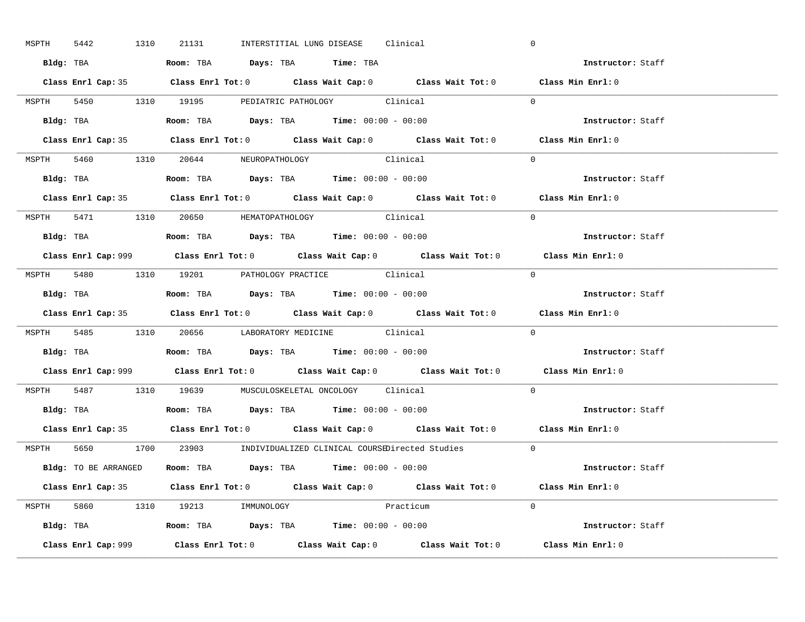| MSPTH 5442 | 1310 | 21131 |                                                                                       | INTERSTITIAL LUNG DISEASE Clinical |                                                                      | $\mathbf 0$                                                                                 |  |
|------------|------|-------|---------------------------------------------------------------------------------------|------------------------------------|----------------------------------------------------------------------|---------------------------------------------------------------------------------------------|--|
|            |      |       | Bldg: TBA                    Room: TBA        Days: TBA         Time: TBA             |                                    |                                                                      | Instructor: Staff                                                                           |  |
|            |      |       |                                                                                       |                                    |                                                                      | Class Enrl Cap: 35 Class Enrl Tot: 0 Class Wait Cap: 0 Class Wait Tot: 0 Class Min Enrl: 0  |  |
|            |      |       | MSPTH 5450 1310 19195 PEDIATRIC PATHOLOGY Clinical                                    |                                    |                                                                      | $\Omega$                                                                                    |  |
|            |      |       |                                                                                       |                                    |                                                                      | Instructor: Staff                                                                           |  |
|            |      |       |                                                                                       |                                    |                                                                      | Class Enrl Cap: 35 Class Enrl Tot: 0 Class Wait Cap: 0 Class Wait Tot: 0 Class Min Enrl: 0  |  |
|            |      |       | MSPTH 5460 1310 20644 NEUROPATHOLOGY Clinical                                         |                                    |                                                                      | $\Omega$                                                                                    |  |
|            |      |       | Bldg: TBA                   Room: TBA         Days: TBA         Time: 00:00 - 00:00   |                                    |                                                                      | Instructor: Staff                                                                           |  |
|            |      |       |                                                                                       |                                    |                                                                      | Class Enrl Cap: 35 Class Enrl Tot: 0 Class Wait Cap: 0 Class Wait Tot: 0 Class Min Enrl: 0  |  |
|            |      |       | MSPTH 5471 1310 20650 HEMATOPATHOLOGY Clinical                                        |                                    |                                                                      | $\Omega$                                                                                    |  |
|            |      |       | Bldg: TBA                   Room: TBA         Days: TBA         Time: $00:00 - 00:00$ |                                    |                                                                      | Instructor: Staff                                                                           |  |
|            |      |       |                                                                                       |                                    |                                                                      | Class Enrl Cap: 999 Class Enrl Tot: 0 Class Wait Cap: 0 Class Wait Tot: 0 Class Min Enrl: 0 |  |
|            |      |       | MSPTH 5480 1310 19201 PATHOLOGY PRACTICE Clinical                                     |                                    |                                                                      | $\Omega$                                                                                    |  |
|            |      |       | Bldg: TBA                   Room: TBA         Days: TBA         Time: $00:00 - 00:00$ |                                    |                                                                      | Instructor: Staff                                                                           |  |
|            |      |       |                                                                                       |                                    |                                                                      | Class Enrl Cap: 35 Class Enrl Tot: 0 Class Wait Cap: 0 Class Wait Tot: 0 Class Min Enrl: 0  |  |
|            |      |       | MSPTH 5485 1310 20656 LABORATORY MEDICINE Clinical                                    |                                    |                                                                      | $\Omega$                                                                                    |  |
|            |      |       | Bldg: TBA                    Room: TBA         Days: TBA        Time: $00:00 - 00:00$ |                                    |                                                                      | Instructor: Staff                                                                           |  |
|            |      |       |                                                                                       |                                    |                                                                      | Class Enrl Cap: 999 Class Enrl Tot: 0 Class Wait Cap: 0 Class Wait Tot: 0 Class Min Enrl: 0 |  |
|            |      |       | MSPTH 5487 1310 19639 MUSCULOSKELETAL ONCOLOGY Clinical                               |                                    |                                                                      | $\Omega$                                                                                    |  |
|            |      |       | Bldg: TBA                   Room: TBA         Days: TBA         Time: $00:00 - 00:00$ |                                    |                                                                      | Instructor: Staff                                                                           |  |
|            |      |       |                                                                                       |                                    |                                                                      | Class Enrl Cap: 35 Class Enrl Tot: 0 Class Wait Cap: 0 Class Wait Tot: 0 Class Min Enrl: 0  |  |
|            |      |       |                                                                                       |                                    | MSPTH 5650 1700 23903 INDIVIDUALIZED CLINICAL COURSEDirected Studies | $\overline{0}$                                                                              |  |
|            |      |       | Bldg: TO BE ARRANGED Room: TBA Days: TBA Time: 00:00 - 00:00                          |                                    |                                                                      | Instructor: Staff                                                                           |  |
|            |      |       |                                                                                       |                                    |                                                                      |                                                                                             |  |
|            |      |       |                                                                                       |                                    |                                                                      | Class Enrl Cap: 35 Class Enrl Tot: 0 Class Wait Cap: 0 Class Wait Tot: 0 Class Min Enrl: 0  |  |
|            |      |       | MSPTH 5860 1310 19213 IMMUNOLOGY                                                      |                                    | Practicum                                                            | $\Omega$                                                                                    |  |
|            |      |       | <b>Bldg:</b> TBA <b>Room:</b> TBA <b>Days:</b> TBA <b>Time:</b> $00:00 - 00:00$       |                                    |                                                                      | Instructor: Staff                                                                           |  |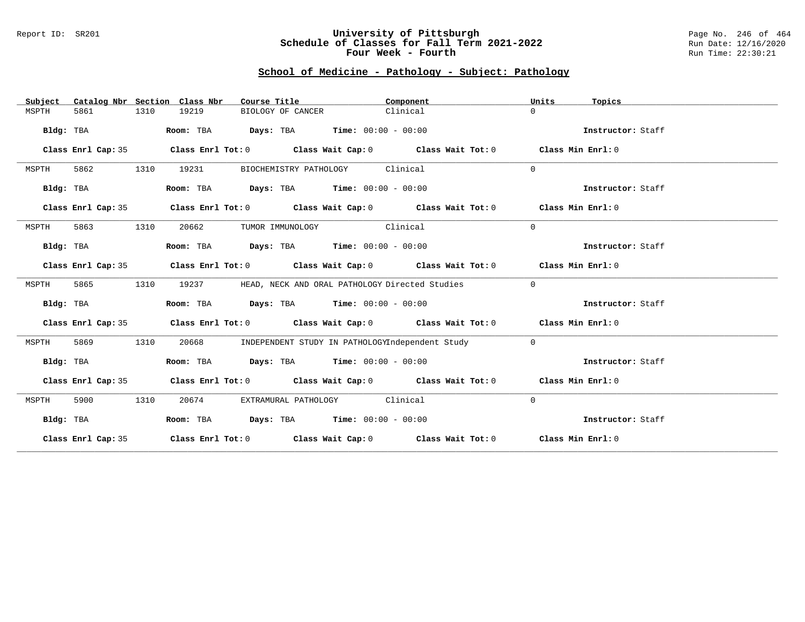#### Report ID: SR201 **University of Pittsburgh** Page No. 246 of 464 **Schedule of Classes for Fall Term 2021-2022** Run Date: 12/16/2020 **Four Week - Fourth Rundall Run Time: 22:30:21**

# **School of Medicine - Pathology - Subject: Pathology**

| Subject   |                    |      | Catalog Nbr Section Class Nbr | Course Title                                        |                                 | Component                                                                                          | Units        | Topics            |
|-----------|--------------------|------|-------------------------------|-----------------------------------------------------|---------------------------------|----------------------------------------------------------------------------------------------------|--------------|-------------------|
| MSPTH     | 5861               | 1310 | 19219                         | BIOLOGY OF CANCER                                   |                                 | Clinical                                                                                           | $\Omega$     |                   |
| Bldg: TBA |                    |      | Room: TBA                     | $\texttt{Days:}$ TBA $\texttt{Time:}$ 00:00 - 00:00 |                                 |                                                                                                    |              | Instructor: Staff |
|           | Class Enrl Cap: 35 |      |                               |                                                     |                                 | Class Enrl Tot: $0$ Class Wait Cap: $0$ Class Wait Tot: $0$ Class Min Enrl: $0$                    |              |                   |
| MSPTH     | 5862               | 1310 | 19231                         |                                                     | BIOCHEMISTRY PATHOLOGY Clinical |                                                                                                    | $\Omega$     |                   |
| Bldg: TBA |                    |      |                               | Room: TBA $Days:$ TBA $Time: 00:00 - 00:00$         |                                 |                                                                                                    |              | Instructor: Staff |
|           | Class Enrl Cap: 35 |      |                               |                                                     |                                 | Class Enrl Tot: $0$ Class Wait Cap: $0$ Class Wait Tot: $0$ Class Min Enrl: $0$                    |              |                   |
| MSPTH     | 5863               | 1310 | 20662                         |                                                     | TUMOR IMMUNOLOGY Clinical       |                                                                                                    | $\Omega$     |                   |
| Bldg: TBA |                    |      |                               | Room: TBA $Days:$ TBA $Time: 00:00 - 00:00$         |                                 |                                                                                                    |              | Instructor: Staff |
|           | Class Enrl Cap: 35 |      |                               |                                                     |                                 | Class Enrl Tot: $0$ Class Wait Cap: $0$ Class Wait Tot: $0$ Class Min Enrl: $0$                    |              |                   |
| MSPTH     | 5865               | 1310 | 19237                         |                                                     |                                 | HEAD, NECK AND ORAL PATHOLOGY Directed Studies                                                     | $\mathbf{0}$ |                   |
| Bldg: TBA |                    |      |                               | Room: TBA $Days:$ TBA $Time: 00:00 - 00:00$         |                                 |                                                                                                    |              | Instructor: Staff |
|           | Class Enrl Cap: 35 |      |                               |                                                     |                                 | Class Enrl Tot: $0$ Class Wait Cap: $0$ Class Wait Tot: $0$ Class Min Enrl: $0$                    |              |                   |
| MSPTH     | 5869               | 1310 | 20668                         |                                                     |                                 | INDEPENDENT STUDY IN PATHOLOGYIndependent Study                                                    | $\circ$      |                   |
| Bldg: TBA |                    |      |                               | Room: TBA Days: TBA Time: $00:00 - 00:00$           |                                 |                                                                                                    |              | Instructor: Staff |
|           | Class Enrl Cap: 35 |      |                               |                                                     |                                 | Class Enrl Tot: 0 $\qquad$ Class Wait Cap: 0 $\qquad$ Class Wait Tot: 0 $\qquad$ Class Min Enrl: 0 |              |                   |
| MSPTH     | 5900               | 1310 | 20674                         |                                                     | EXTRAMURAL PATHOLOGY Clinical   |                                                                                                    | $\mathbf{0}$ |                   |
| Bldg: TBA |                    |      |                               | Room: TBA $Days:$ TBA $Time: 00:00 - 00:00$         |                                 |                                                                                                    |              | Instructor: Staff |
|           | Class Enrl Cap: 35 |      |                               |                                                     |                                 | Class Enrl Tot: O $\qquad$ Class Wait Cap: O $\qquad$ Class Wait Tot: O $\qquad$ Class Min Enrl: O |              |                   |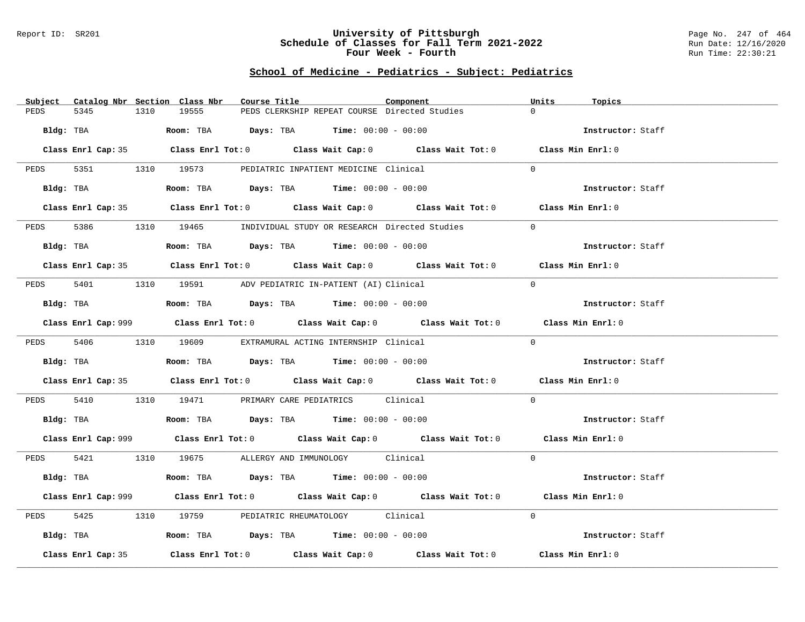#### Report ID: SR201 **University of Pittsburgh** Page No. 247 of 464 **Schedule of Classes for Fall Term 2021-2022** Run Date: 12/16/2020 **Four Week - Fourth Rundall Run Time: 22:30:21**

# **School of Medicine - Pediatrics - Subject: Pediatrics**

| Catalog Nbr Section Class Nbr<br>Subject                                                                       | Course Title                                                                                       | Component | Units<br>Topics   |
|----------------------------------------------------------------------------------------------------------------|----------------------------------------------------------------------------------------------------|-----------|-------------------|
| 5345<br>PEDS<br>1310                                                                                           | 19555<br>PEDS CLERKSHIP REPEAT COURSE Directed Studies                                             |           | $\Omega$          |
| Bldg: TBA                                                                                                      | Room: TBA $Days:$ TBA $Time: 00:00 - 00:00$                                                        |           | Instructor: Staff |
|                                                                                                                | Class Enrl Cap: 35 Class Enrl Tot: 0 Class Wait Cap: 0 Class Wait Tot: 0 Class Min Enrl: 0         |           |                   |
|                                                                                                                | PEDS 5351 1310 19573 PEDIATRIC INPATIENT MEDICINE Clinical                                         |           | $\Omega$          |
| Bldg: TBA                                                                                                      | Room: TBA $Days:$ TBA $Time: 00:00 - 00:00$                                                        |           | Instructor: Staff |
|                                                                                                                | Class Enrl Cap: 35 Class Enrl Tot: 0 Class Wait Cap: 0 Class Wait Tot: 0 Class Min Enrl: 0         |           |                   |
| 5386<br>PEDS                                                                                                   | 1310 19465 INDIVIDUAL STUDY OR RESEARCH Directed Studies                                           |           | $\overline{0}$    |
| Bldg: TBA and the state of the state of the state of the state of the state of the state of the state of the s | Room: TBA $Days:$ TBA $Time: 00:00 - 00:00$                                                        |           | Instructor: Staff |
|                                                                                                                | Class Enrl Cap: 35 Class Enrl Tot: 0 Class Wait Cap: 0 Class Wait Tot: 0 Class Min Enrl: 0         |           |                   |
|                                                                                                                | PEDS 5401 1310 19591 ADV PEDIATRIC IN-PATIENT (AI) Clinical                                        |           | $\Omega$          |
| Bldg: TBA                                                                                                      | Room: TBA $Days:$ TBA $Time: 00:00 - 00:00$                                                        |           | Instructor: Staff |
|                                                                                                                | Class Enrl Cap: 999 Class Enrl Tot: 0 Class Wait Cap: 0 Class Wait Tot: 0 Class Min Enrl: 0        |           |                   |
|                                                                                                                | PEDS 5406 1310 19609 EXTRAMURAL ACTING INTERNSHIP Clinical                                         |           | $\Omega$          |
| Bldg: TBA                                                                                                      | Room: TBA $Days:$ TBA Time: $00:00 - 00:00$                                                        |           | Instructor: Staff |
|                                                                                                                | Class Enrl Cap: 35 Class Enrl Tot: 0 Class Wait Cap: 0 Class Wait Tot: 0 Class Min Enrl: 0         |           |                   |
| PEDS                                                                                                           | 5410 1310 19471 PRIMARY CARE PEDIATRICS Clinical                                                   |           | $\Omega$          |
|                                                                                                                | <b>Bldg:</b> TBA <b>Room:</b> TBA <b>Days:</b> TBA <b>Time:</b> $00:00 - 00:00$                    |           | Instructor: Staff |
|                                                                                                                | Class Enrl Cap: 999 Class Enrl Tot: 0 Class Wait Cap: 0 Class Wait Tot: 0 Class Min Enrl: 0        |           |                   |
|                                                                                                                | PEDS 5421 1310 19675 ALLERGY AND IMMUNOLOGY Clinical                                               |           | $\Omega$          |
| Bldg: TBA                                                                                                      | Room: TBA $\rule{1em}{0.15mm}$ Days: TBA Time: $00:00 - 00:00$                                     |           | Instructor: Staff |
|                                                                                                                | Class Enrl Cap: 999 Class Enrl Tot: 0 Class Wait Cap: 0 Class Wait Tot: 0 Class Min Enrl: 0        |           |                   |
| 5425<br>PEDS                                                                                                   | 1310 19759 PEDIATRIC RHEUMATOLOGY Clinical                                                         |           | $\Omega$          |
| Bldg: TBA                                                                                                      | Room: TBA $\rule{1em}{0.15mm}$ Days: TBA Time: $00:00 - 00:00$                                     |           | Instructor: Staff |
| Class Enrl Cap: 35                                                                                             | Class Enrl Tot: 0 $\qquad$ Class Wait Cap: 0 $\qquad$ Class Wait Tot: 0 $\qquad$ Class Min Enrl: 0 |           |                   |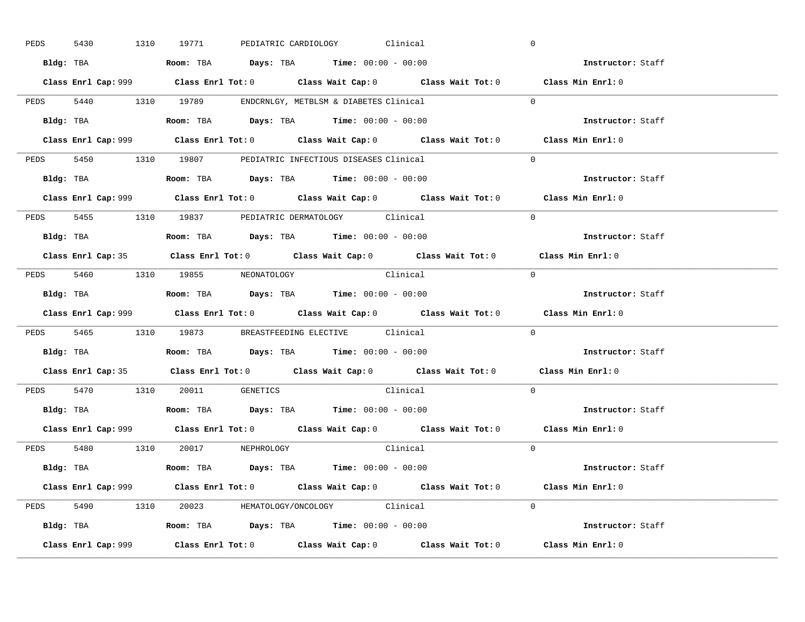| PEDS | 5430      |           | 1310 19771                                                                             |  | PEDIATRIC CARDIOLOGY Clinical |                                                                                             |            | $\overline{0}$    |  |
|------|-----------|-----------|----------------------------------------------------------------------------------------|--|-------------------------------|---------------------------------------------------------------------------------------------|------------|-------------------|--|
|      |           |           | Bldg: TBA                   Room: TBA         Days: TBA         Time: $00:00 - 00:00$  |  |                               |                                                                                             |            | Instructor: Staff |  |
|      |           |           |                                                                                        |  |                               | Class Enrl Cap: 999 Class Enrl Tot: 0 Class Wait Cap: 0 Class Wait Tot: 0 Class Min Enrl: 0 |            |                   |  |
|      |           |           | PEDS 5440 1310 19789 ENDCRNLGY, METBLSM & DIABETES Clinical                            |  |                               |                                                                                             |            | $\Omega$          |  |
|      |           | Bldg: TBA | Room: TBA $Days:$ TBA $Time: 00:00 - 00:00$                                            |  |                               |                                                                                             |            | Instructor: Staff |  |
|      |           |           |                                                                                        |  |                               | Class Enrl Cap: 999 Class Enrl Tot: 0 Class Wait Cap: 0 Class Wait Tot: 0 Class Min Enrl: 0 |            |                   |  |
|      |           |           | PEDS 5450 1310 19807 PEDIATRIC INFECTIOUS DISEASES Clinical                            |  |                               |                                                                                             |            | $\Omega$          |  |
|      |           |           | Bldg: TBA                    Room: TBA         Days: TBA        Time: $00:00 - 00:00$  |  |                               |                                                                                             |            | Instructor: Staff |  |
|      |           |           |                                                                                        |  |                               | Class Enrl Cap: 999 Class Enrl Tot: 0 Class Wait Cap: 0 Class Wait Tot: 0 Class Min Enrl: 0 |            |                   |  |
|      |           |           | PEDS 5455 1310 19837 PEDIATRIC DERMATOLOGY Clinical                                    |  |                               |                                                                                             |            | $\Omega$          |  |
|      |           |           | Bldg: TBA                    Room: TBA         Days: TBA         Time: $00:00 - 00:00$ |  |                               |                                                                                             |            | Instructor: Staff |  |
|      |           |           |                                                                                        |  |                               | Class Enrl Cap: 35 Class Enrl Tot: 0 Class Wait Cap: 0 Class Wait Tot: 0 Class Min Enrl: 0  |            |                   |  |
|      |           |           | PEDS 5460 1310 19855 NEONATOLOGY                                                       |  |                               | Clinical                                                                                    | $\bigcirc$ |                   |  |
|      |           |           |                                                                                        |  |                               |                                                                                             |            | Instructor: Staff |  |
|      |           |           |                                                                                        |  |                               |                                                                                             |            |                   |  |
|      |           |           |                                                                                        |  |                               | Class Enrl Cap: 999 Class Enrl Tot: 0 Class Wait Cap: 0 Class Wait Tot: 0 Class Min Enrl: 0 |            |                   |  |
|      |           |           | PEDS 5465 1310 19873 BREASTFEEDING ELECTIVE Clinical                                   |  |                               |                                                                                             |            | $\overline{0}$    |  |
|      | Bldg: TBA |           | Room: TBA $\rule{1em}{0.15mm}$ Days: TBA Time: $00:00 - 00:00$                         |  |                               |                                                                                             |            | Instructor: Staff |  |
|      |           |           |                                                                                        |  |                               | Class Enrl Cap: 35 Class Enrl Tot: 0 Class Wait Cap: 0 Class Wait Tot: 0 Class Min Enrl: 0  |            |                   |  |
|      |           |           | PEDS 5470 1310 20011 GENETICS                                                          |  |                               | Clinical                                                                                    |            | $\Omega$          |  |
|      |           |           | Bldg: TBA                    Room: TBA         Days: TBA         Time: $00:00 - 00:00$ |  |                               |                                                                                             |            | Instructor: Staff |  |
|      |           |           |                                                                                        |  |                               | Class Enrl Cap: 999 Class Enrl Tot: 0 Class Wait Cap: 0 Class Wait Tot: 0 Class Min Enrl: 0 |            |                   |  |
|      |           |           | PEDS 5480 1310 20017 NEPHROLOGY                                                        |  |                               | Clinical                                                                                    |            | $\Omega$          |  |
|      |           |           | Bldg: TBA                   Room: TBA         Days: TBA         Time: 00:00 - 00:00    |  |                               |                                                                                             |            | Instructor: Staff |  |
|      |           |           |                                                                                        |  |                               | Class Enrl Cap: 999 Class Enrl Tot: 0 Class Wait Cap: 0 Class Wait Tot: 0 Class Min Enrl: 0 |            |                   |  |
|      |           |           | PEDS 5490 1310 20023 HEMATOLOGY/ONCOLOGY Clinical                                      |  |                               |                                                                                             |            | $\Omega$          |  |
|      |           |           | <b>Bldg:</b> TBA <b>ROOM:</b> TBA <b>Days:</b> TBA <b>Time:</b> $00:00 - 00:00$        |  |                               |                                                                                             |            | Instructor: Staff |  |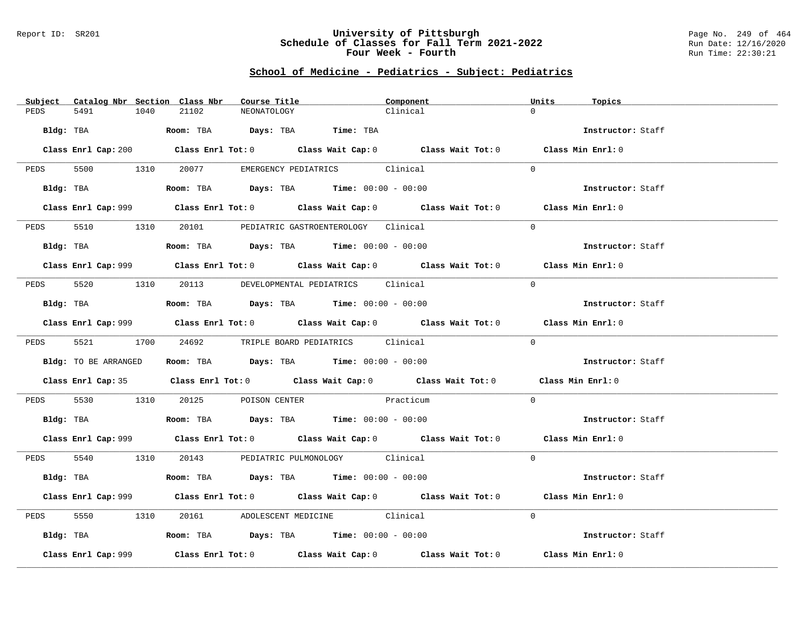#### Report ID: SR201 **University of Pittsburgh** Page No. 249 of 464 **Schedule of Classes for Fall Term 2021-2022** Run Date: 12/16/2020 **Four Week - Fourth Rundall Run Time: 22:30:21**

# **School of Medicine - Pediatrics - Subject: Pediatrics**

|      |                      |      | Subject Catalog Nbr Section Class Nbr | Course Title |                                                                                           | Component                                                                                   | Units    | Topics            |  |
|------|----------------------|------|---------------------------------------|--------------|-------------------------------------------------------------------------------------------|---------------------------------------------------------------------------------------------|----------|-------------------|--|
| PEDS | 5491                 | 1040 | 21102                                 | NEONATOLOGY  |                                                                                           | Clinical                                                                                    | $\Omega$ |                   |  |
|      |                      |      |                                       |              | Bldg: TBA                    Room: TBA         Days: TBA        Time: TBA                 |                                                                                             |          | Instructor: Staff |  |
|      |                      |      |                                       |              |                                                                                           | Class Enrl Cap: 200 Class Enrl Tot: 0 Class Wait Cap: 0 Class Wait Tot: 0 Class Min Enrl: 0 |          |                   |  |
|      |                      |      |                                       |              | PEDS 5500 1310 20077 EMERGENCY PEDIATRICS Clinical                                        |                                                                                             | $\Omega$ |                   |  |
|      | Bldg: TBA            |      |                                       |              | Room: TBA $\rule{1em}{0.15mm}$ Days: TBA $\rule{1.15mm}]{0.15mm}$ Time: $0.0100 - 0.0100$ |                                                                                             |          | Instructor: Staff |  |
|      |                      |      |                                       |              |                                                                                           | Class Enrl Cap: 999 Class Enrl Tot: 0 Class Wait Cap: 0 Class Wait Tot: 0 Class Min Enrl: 0 |          |                   |  |
| PEDS |                      |      |                                       |              | 5510 1310 20101 PEDIATRIC GASTROENTEROLOGY Clinical                                       |                                                                                             | $\Omega$ |                   |  |
|      |                      |      |                                       |              | Bldg: TBA                    Room: TBA         Days: TBA         Time: 00:00 - 00:00      |                                                                                             |          | Instructor: Staff |  |
|      |                      |      |                                       |              |                                                                                           | Class Enrl Cap: 999 Class Enrl Tot: 0 Class Wait Cap: 0 Class Wait Tot: 0 Class Min Enrl: 0 |          |                   |  |
|      |                      |      |                                       |              | PEDS 5520 1310 20113 DEVELOPMENTAL PEDIATRICS Clinical                                    |                                                                                             | $\Omega$ |                   |  |
|      | Bldg: TBA            |      |                                       |              | Room: TBA $\rule{1em}{0.15mm}$ Days: TBA Time: $00:00 - 00:00$                            |                                                                                             |          | Instructor: Staff |  |
|      |                      |      |                                       |              |                                                                                           | Class Enrl Cap: 999 Class Enrl Tot: 0 Class Wait Cap: 0 Class Wait Tot: 0 Class Min Enrl: 0 |          |                   |  |
|      |                      |      |                                       |              | PEDS 5521 1700 24692 TRIPLE BOARD PEDIATRICS Clinical                                     |                                                                                             | $\Omega$ |                   |  |
|      | Bldg: TO BE ARRANGED |      |                                       |              | Room: TBA $Days:$ TBA $Time: 00:00 - 00:00$                                               |                                                                                             |          | Instructor: Staff |  |
|      |                      |      |                                       |              |                                                                                           | Class Enrl Cap: 35 Class Enrl Tot: 0 Class Wait Cap: 0 Class Wait Tot: 0 Class Min Enrl: 0  |          |                   |  |
|      |                      |      |                                       |              | PEDS 5530 1310 20125 POISON CENTER Practicum                                              |                                                                                             | $\Omega$ |                   |  |
|      |                      |      |                                       |              | <b>Bldg:</b> TBA <b>ROOM:</b> TBA <b>Days:</b> TBA <b>Time:</b> $00:00 - 00:00$           |                                                                                             |          | Instructor: Staff |  |
|      |                      |      |                                       |              |                                                                                           | Class Enrl Cap: 999 Class Enrl Tot: 0 Class Wait Cap: 0 Class Wait Tot: 0 Class Min Enrl: 0 |          |                   |  |
|      |                      |      |                                       |              | PEDS 5540 1310 20143 PEDIATRIC PULMONOLOGY Clinical                                       |                                                                                             | $\Omega$ |                   |  |
|      |                      |      |                                       |              | Bldg: TBA                    Room: TBA         Days: TBA        Time: $00:00 - 00:00$     |                                                                                             |          | Instructor: Staff |  |
|      |                      |      |                                       |              |                                                                                           | Class Enrl Cap: 999 Class Enrl Tot: 0 Class Wait Cap: 0 Class Wait Tot: 0 Class Min Enrl: 0 |          |                   |  |
| PEDS | 5550 1310            |      |                                       |              | 20161 ADOLESCENT MEDICINE Clinical                                                        |                                                                                             | $\Omega$ |                   |  |
|      |                      |      |                                       |              | Bldg: TBA                   Room: TBA        Days: TBA        Time: 00:00 - 00:00         |                                                                                             |          | Instructor: Staff |  |
|      | Class Enrl Cap: 999  |      |                                       |              |                                                                                           | Class Enrl Tot: $0$ Class Wait Cap: $0$ Class Wait Tot: $0$ Class Min Enrl: $0$             |          |                   |  |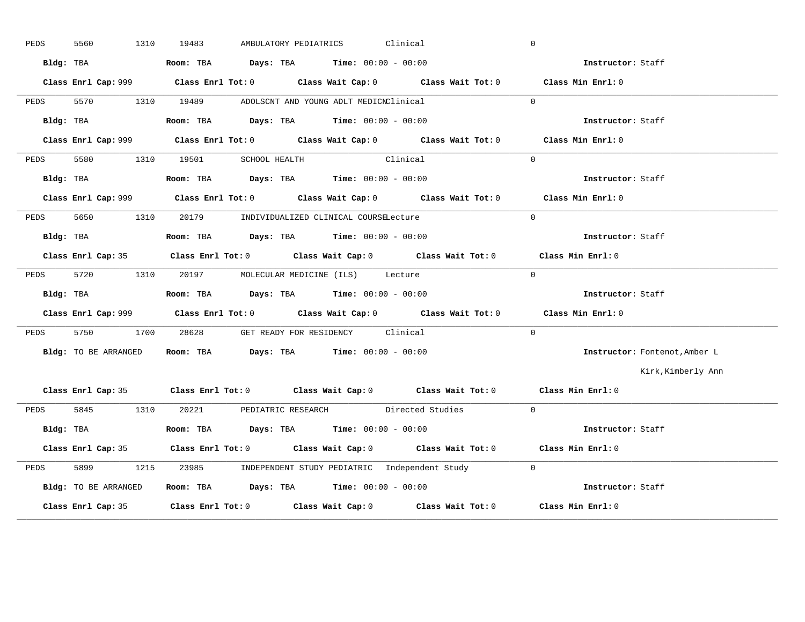| PEDS | 5560<br>1310         | 19483<br>AMBULATORY PEDIATRICS                                                              | Clinical | $\overline{0}$                |
|------|----------------------|---------------------------------------------------------------------------------------------|----------|-------------------------------|
|      | Bldg: TBA            | <b>Room:</b> TBA $Days: TBA$ <b>Time:</b> $00:00 - 00:00$                                   |          | Instructor: Staff             |
|      |                      | Class Enrl Cap: 999 Class Enrl Tot: 0 Class Wait Cap: 0 Class Wait Tot: 0 Class Min Enrl: 0 |          |                               |
|      |                      | PEDS 5570 1310 19489 ADOLSCNT AND YOUNG ADLT MEDICNClinical                                 |          | $\Omega$                      |
|      | Bldg: TBA            | Room: TBA $Days:$ TBA $Time: 00:00 - 00:00$                                                 |          | Instructor: Staff             |
|      |                      | Class Enrl Cap: 999 Class Enrl Tot: 0 Class Wait Cap: 0 Class Wait Tot: 0 Class Min Enrl: 0 |          |                               |
| PEDS |                      | 5580 1310 19501 SCHOOL HEALTH Clinical                                                      |          | $\Omega$                      |
|      | Bldg: TBA            | Room: TBA $Days:$ TBA $Time: 00:00 - 00:00$                                                 |          | Instructor: Staff             |
|      |                      | Class Enrl Cap: 999 Class Enrl Tot: 0 Class Wait Cap: 0 Class Wait Tot: 0 Class Min Enrl: 0 |          |                               |
|      |                      | PEDS 5650 1310 20179 INDIVIDUALIZED CLINICAL COURSELecture                                  |          | $\Omega$                      |
|      | Bldg: TBA            | Room: TBA $Days:$ TBA $Time: 00:00 - 00:00$                                                 |          | Instructor: Staff             |
|      |                      | Class Enrl Cap: 35 Class Enrl Tot: 0 Class Wait Cap: 0 Class Wait Tot: 0 Class Min Enrl: 0  |          |                               |
| PEDS |                      | 5720 1310 20197 MOLECULAR MEDICINE (ILS) Lecture                                            |          | $\overline{0}$                |
|      | Bldg: TBA            | <b>Room:</b> TBA $Days: TBA$ <b>Time:</b> $00:00 - 00:00$                                   |          | Instructor: Staff             |
|      |                      | Class Enrl Cap: 999 Class Enrl Tot: 0 Class Wait Cap: 0 Class Wait Tot: 0 Class Min Enrl: 0 |          |                               |
|      |                      | PEDS 5750 1700 28628 GET READY FOR RESIDENCY Clinical                                       |          | $\Omega$                      |
|      | Bldg: TO BE ARRANGED | Room: TBA $Days:$ TBA $Time: 00:00 - 00:00$                                                 |          | Instructor: Fontenot, Amber L |
|      |                      |                                                                                             |          | Kirk, Kimberly Ann            |
|      |                      | Class Enrl Cap: 35 Class Enrl Tot: 0 Class Wait Cap: 0 Class Wait Tot: 0 Class Min Enrl: 0  |          |                               |
|      |                      | PEDS 5845 1310 20221 PEDIATRIC RESEARCH Directed Studies 0                                  |          |                               |
|      | Bldg: TBA            | Room: TBA $Days:$ TBA $Time: 00:00 - 00:00$                                                 |          | Instructor: Staff             |
|      |                      | Class Enrl Cap: 35 Class Enrl Tot: 0 Class Wait Cap: 0 Class Wait Tot: 0 Class Min Enrl: 0  |          |                               |
| PEDS | 5899                 | 1215 23985 INDEPENDENT STUDY PEDIATRIC Independent Study 0                                  |          |                               |
|      | Bldg: TO BE ARRANGED | Room: TBA Days: TBA Time: $00:00 - 00:00$ and the example of the staff                      |          |                               |
|      |                      | Class Enrl Cap: 35 Class Enrl Tot: 0 Class Wait Cap: 0 Class Wait Tot: 0 Class Min Enrl: 0  |          |                               |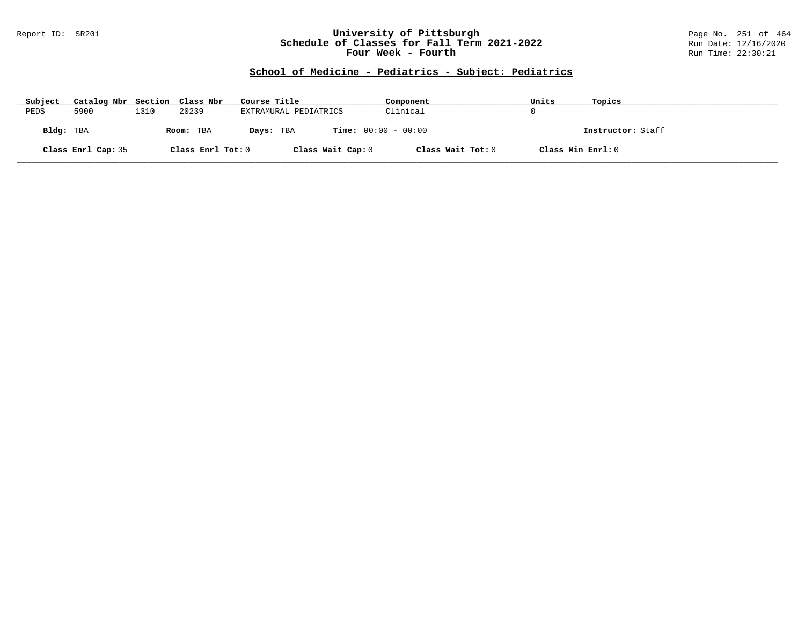#### Report ID: SR201 **University of Pittsburgh** Page No. 251 of 464 **Schedule of Classes for Fall Term 2021-2022** Run Date: 12/16/2020 **Four Week - Fourth Rundall Run Time: 22:30:21**

# **School of Medicine - Pediatrics - Subject: Pediatrics**

| Subject   | Catalog Nbr Section Class Nbr |      |                   | Course Title                              | Component         | Units             | Topics            |
|-----------|-------------------------------|------|-------------------|-------------------------------------------|-------------------|-------------------|-------------------|
| PEDS      | 5900                          | 1310 | 20239             | EXTRAMURAL PEDIATRICS                     | Clinical          |                   |                   |
| Bldg: TBA |                               |      | Room: TBA         | <b>Time:</b> $00:00 - 00:00$<br>Days: TBA |                   |                   | Instructor: Staff |
|           | Class Enrl Cap: 35            |      | Class Enrl Tot: 0 | Class Wait Cap: 0                         | Class Wait Tot: 0 | Class Min Enrl: 0 |                   |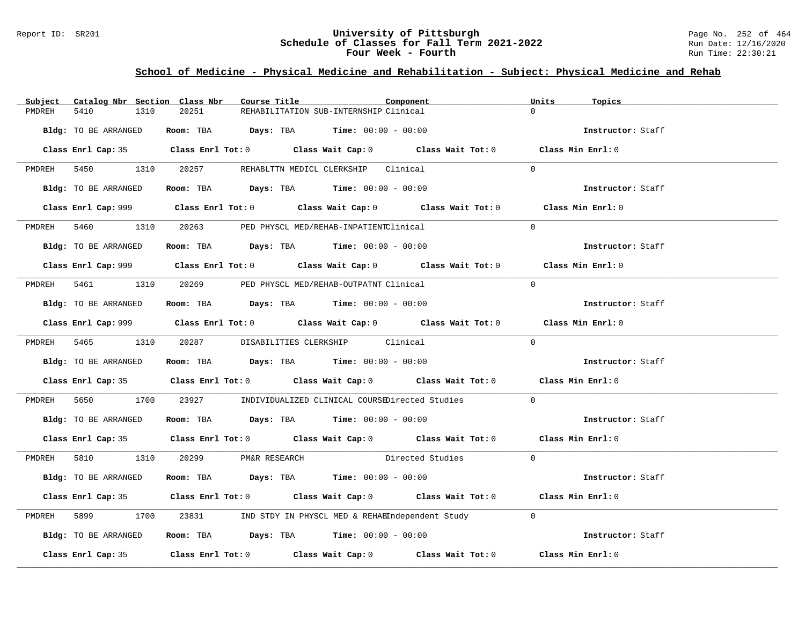### Report ID: SR201 **University of Pittsburgh University of Pittsburgh** Page No. 252 of 464<br>**Schedule of Classes for Fall Term 2021-2022** Run Date: 12/16/2020 **Schedule of Classes for Fall Term 2021-2022** Run Date: 12/16/2020 **Four Week - Fourth Rundall Run Time: 22:30:21**

# **School of Medicine - Physical Medicine and Rehabilitation - Subject: Physical Medicine and Rehab**

| Subject                | Catalog Nbr Section Class Nbr<br>Course Title                                                                                                                                                                                                                                                                  | Component                                                                                   | Units<br>Topics   |
|------------------------|----------------------------------------------------------------------------------------------------------------------------------------------------------------------------------------------------------------------------------------------------------------------------------------------------------------|---------------------------------------------------------------------------------------------|-------------------|
| 5410<br>1310<br>PMDREH | 20251                                                                                                                                                                                                                                                                                                          | REHABILITATION SUB-INTERNSHIP Clinical                                                      | $\Omega$          |
| Bldg: TO BE ARRANGED   | Room: TBA $Days:$ TBA Time: $00:00 - 00:00$                                                                                                                                                                                                                                                                    |                                                                                             | Instructor: Staff |
|                        |                                                                                                                                                                                                                                                                                                                | Class Enrl Cap: 35 Class Enrl Tot: 0 Class Wait Cap: 0 Class Wait Tot: 0 Class Min Enrl: 0  |                   |
|                        | PMDREH 5450 1310 20257 REHABLTTN MEDICL CLERKSHIP Clinical                                                                                                                                                                                                                                                     |                                                                                             | $\Omega$          |
| Bldg: TO BE ARRANGED   | Room: TBA $Days:$ TBA $Time: 00:00 - 00:00$                                                                                                                                                                                                                                                                    |                                                                                             | Instructor: Staff |
|                        |                                                                                                                                                                                                                                                                                                                |                                                                                             | Class Min Enrl: 0 |
|                        | PMDREH 5460 1310 20263 PED PHYSCL MED/REHAB-INPATIENTClinical                                                                                                                                                                                                                                                  |                                                                                             | $\Omega$          |
| Bldg: TO BE ARRANGED   | <b>Room:</b> TBA $\rule{1em}{0.15mm}$ $\rule{1.5mm}{0.15mm}$ $\rule{1.5mm}{0.15mm}$ $\rule{1.5mm}{0.15mm}$ $\rule{1.5mm}{0.15mm}$ $\rule{1.5mm}{0.15mm}$ $\rule{1.5mm}{0.15mm}$ $\rule{1.5mm}{0.15mm}$ $\rule{1.5mm}{0.15mm}$ $\rule{1.5mm}{0.15mm}$ $\rule{1.5mm}{0.15mm}$ $\rule{1.5mm}{0.15mm}$ $\rule{1.5$ |                                                                                             | Instructor: Staff |
|                        |                                                                                                                                                                                                                                                                                                                |                                                                                             | Class Min Enrl: 0 |
|                        | PMDREH 5461 1310 20269 PED PHYSCL MED/REHAB-OUTPATNT Clinical                                                                                                                                                                                                                                                  |                                                                                             | $\overline{0}$    |
| Bldg: TO BE ARRANGED   | Room: TBA $Days:$ TBA $Time: 00:00 - 00:00$                                                                                                                                                                                                                                                                    |                                                                                             | Instructor: Staff |
|                        |                                                                                                                                                                                                                                                                                                                | Class Enrl Cap: 999 Class Enrl Tot: 0 Class Wait Cap: 0 Class Wait Tot: 0 Class Min Enrl: 0 |                   |
|                        | PMDREH 5465 1310 20287 DISABILITIES CLERKSHIP Clinical                                                                                                                                                                                                                                                         |                                                                                             | $\Omega$          |
| Bldg: TO BE ARRANGED   | Room: TBA $Days: TBA$ Time: $00:00 - 00:00$                                                                                                                                                                                                                                                                    |                                                                                             | Instructor: Staff |
|                        |                                                                                                                                                                                                                                                                                                                | Class Enrl Cap: 35 Class Enrl Tot: 0 Class Wait Cap: 0 Class Wait Tot: 0 Class Min Enrl: 0  |                   |
|                        |                                                                                                                                                                                                                                                                                                                | PMDREH 5650 1700 23927 INDIVIDUALIZED CLINICAL COURSEDirected Studies                       | $\mathbf{0}$      |
| Bldg: TO BE ARRANGED   | Room: TBA $Days:$ TBA $Time: 00:00 - 00:00$                                                                                                                                                                                                                                                                    |                                                                                             | Instructor: Staff |
|                        |                                                                                                                                                                                                                                                                                                                | Class Enrl Cap: 35 Class Enrl Tot: 0 Class Wait Cap: 0 Class Wait Tot: 0 Class Min Enrl: 0  |                   |
|                        | PMDREH 5810 1310 20299 PM&R RESEARCH                                                                                                                                                                                                                                                                           | Directed Studies                                                                            | $\Omega$          |
| Bldg: TO BE ARRANGED   | Room: TBA $\rule{1em}{0.15mm}$ Days: TBA $\rule{1.15mm}{0.15mm}$ Time: $00:00 - 00:00$                                                                                                                                                                                                                         |                                                                                             | Instructor: Staff |
|                        |                                                                                                                                                                                                                                                                                                                | Class Enrl Cap: 35 Class Enrl Tot: 0 Class Wait Cap: 0 Class Wait Tot: 0 Class Min Enrl: 0  |                   |
| PMDREH 5899            |                                                                                                                                                                                                                                                                                                                | 1700 23831 IND STDY IN PHYSCL MED & REHAEIndependent Study                                  | $\Omega$          |
| Bldg: TO BE ARRANGED   | <b>Room:</b> TBA $\rule{1em}{0.15mm}$ <b>Days:</b> TBA <b>Time:</b> $00:00 - 00:00$                                                                                                                                                                                                                            |                                                                                             | Instructor: Staff |
|                        |                                                                                                                                                                                                                                                                                                                | Class Enrl Cap: 35 Class Enrl Tot: 0 Class Wait Cap: 0 Class Wait Tot: 0 Class Min Enrl: 0  |                   |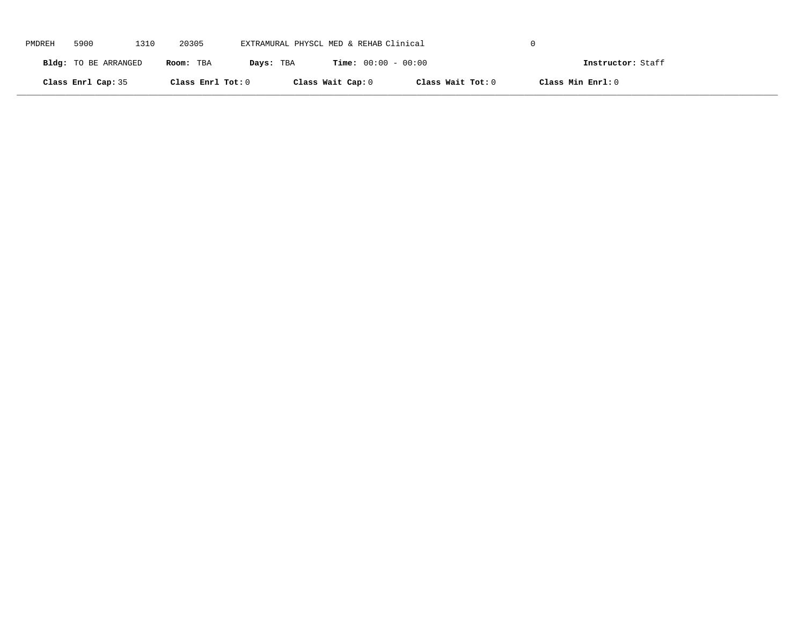| PMDREH | 5900                 | 1310 | 20305             | EXTRAMURAL PHYSCL MED & REHAB Clinical |                              |                   |                   |  |
|--------|----------------------|------|-------------------|----------------------------------------|------------------------------|-------------------|-------------------|--|
|        | Bldg: TO BE ARRANGED |      | Room: TBA         | Days: TBA                              | <b>Time:</b> $00:00 - 00:00$ |                   | Instructor: Staff |  |
|        | Class Enrl Cap: 35   |      | Class Enrl Tot: 0 |                                        | Class Wait Cap: 0            | Class Wait Tot: 0 | Class Min Enrl: 0 |  |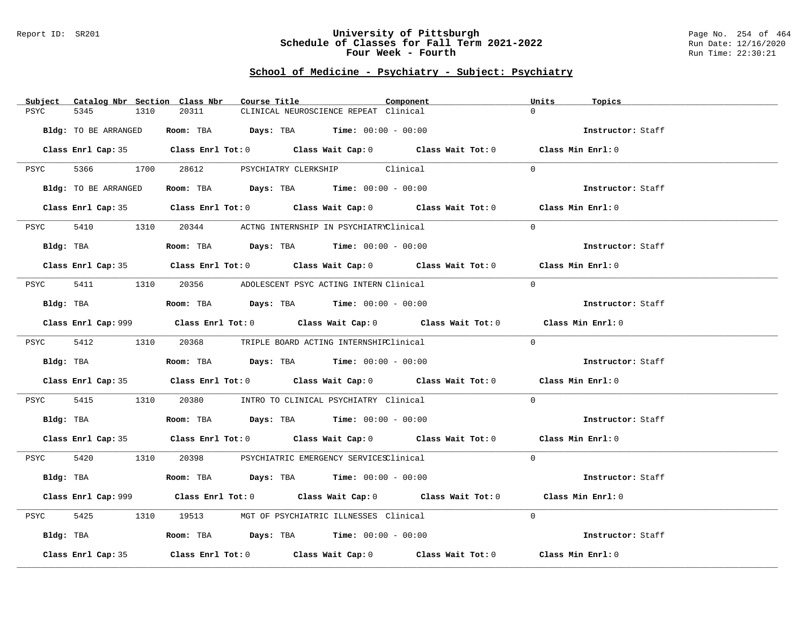#### Report ID: SR201 **University of Pittsburgh** Page No. 254 of 464 **Schedule of Classes for Fall Term 2021-2022** Run Date: 12/16/2020 **Four Week - Fourth Rundall Run Time: 22:30:21**

# **School of Medicine - Psychiatry - Subject: Psychiatry**

| Subject<br>Catalog Nbr Section Class Nbr | Course Title                                                                                | Component | Units<br>Topics   |
|------------------------------------------|---------------------------------------------------------------------------------------------|-----------|-------------------|
| 5345<br>PSYC<br>1310                     | 20311<br>CLINICAL NEUROSCIENCE REPEAT Clinical                                              |           | $\Omega$          |
| Bldg: TO BE ARRANGED                     | Room: TBA $Days: TBA$ Time: $00:00 - 00:00$                                                 |           | Instructor: Staff |
|                                          | Class Enrl Cap: 35 Class Enrl Tot: 0 Class Wait Cap: 0 Class Wait Tot: 0 Class Min Enrl: 0  |           |                   |
| PSYC                                     | 5366 1700 28612 PSYCHIATRY CLERKSHIP Clinical                                               |           | $\Omega$          |
| Bldg: TO BE ARRANGED                     | Room: TBA $\rule{1em}{0.15mm}$ Days: TBA Time: $00:00 - 00:00$                              |           | Instructor: Staff |
|                                          | Class Enrl Cap: 35 Class Enrl Tot: 0 Class Wait Cap: 0 Class Wait Tot: 0 Class Min Enrl: 0  |           |                   |
| 5410<br>PSYC                             | 1310 20344 ACTNG INTERNSHIP IN PSYCHIATRYClinical                                           |           | $\Omega$          |
| Bldg: TBA                                | <b>Room:</b> TBA $Days:$ TBA $Time: 00:00 - 00:00$                                          |           | Instructor: Staff |
|                                          | Class Enrl Cap: 35 Class Enrl Tot: 0 Class Wait Cap: 0 Class Wait Tot: 0 Class Min Enrl: 0  |           |                   |
| PSYC                                     | 5411 1310 20356 ADOLESCENT PSYC ACTING INTERN Clinical                                      |           | $\Omega$          |
| Bldg: TBA                                | Room: TBA $Days:$ TBA Time: $00:00 - 00:00$                                                 |           | Instructor: Staff |
|                                          | Class Enrl Cap: 999 Class Enrl Tot: 0 Class Wait Cap: 0 Class Wait Tot: 0 Class Min Enrl: 0 |           |                   |
|                                          | PSYC 5412 1310 20368 TRIPLE BOARD ACTING INTERNSHIRClinical                                 |           | $\Omega$          |
|                                          | Bldg: TBA                    Room: TBA         Days: TBA         Time: 00:00 - 00:00        |           | Instructor: Staff |
|                                          | Class Enrl Cap: 35 Class Enrl Tot: 0 Class Wait Cap: 0 Class Wait Tot: 0 Class Min Enrl: 0  |           |                   |
| 5415<br>PSYC                             | 1310   20380   INTRO TO CLINICAL PSYCHIATRY Clinical                                        |           | $\Omega$          |
| Bldg: TBA                                | Room: TBA $Days:$ TBA $Time: 00:00 - 00:00$                                                 |           | Instructor: Staff |
|                                          | Class Enrl Cap: 35 Class Enrl Tot: 0 Class Wait Cap: 0 Class Wait Tot: 0 Class Min Enrl: 0  |           |                   |
|                                          | PSYC 5420 1310 20398 PSYCHIATRIC EMERGENCY SERVICESClinical                                 |           | $\Omega$          |
|                                          | Bldg: TBA                   Room: TBA         Days: TBA        Time: 00:00 - 00:00          |           | Instructor: Staff |
|                                          | Class Enrl Cap: 999 Class Enrl Tot: 0 Class Wait Cap: 0 Class Wait Tot: 0                   |           | Class Min Enrl: 0 |
| 5425<br>PSYC                             | 1310 19513 MGT OF PSYCHIATRIC ILLNESSES Clinical                                            |           | $\Omega$          |
|                                          | Bldg: TBA                    Room: TBA         Days: TBA         Time: $00:00 - 00:00$      |           | Instructor: Staff |
| Class Enrl Cap: 35                       | Class Enrl Tot: $0$ Class Wait Cap: $0$ Class Wait Tot: $0$ Class Min Enrl: $0$             |           |                   |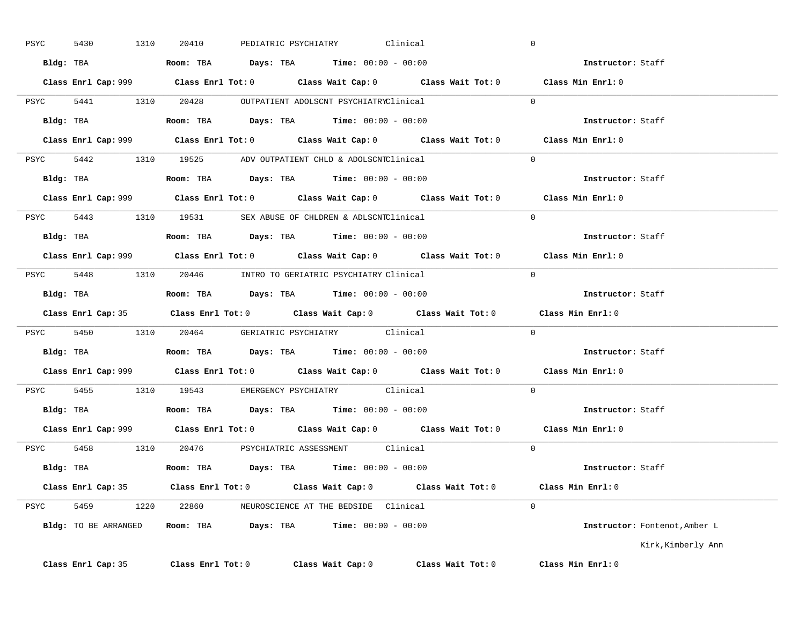| PSYC | 1310<br>5430       | PEDIATRIC PSYCHIATRY<br>20410                                                               | Clinical          |                   | $\overline{0}$                |
|------|--------------------|---------------------------------------------------------------------------------------------|-------------------|-------------------|-------------------------------|
|      |                    | Bldg: TBA                    Room: TBA         Days: TBA         Time: 00:00 - 00:00        |                   |                   | Instructor: Staff             |
|      |                    | Class Enrl Cap: 999 Class Enrl Tot: 0 Class Wait Cap: 0 Class Wait Tot: 0 Class Min Enrl: 0 |                   |                   |                               |
|      |                    | PSYC 5441 1310 20428 OUTPATIENT ADOLSCNT PSYCHIATRYClinical                                 |                   |                   | $\Omega$                      |
|      | Bldg: TBA          | <b>Room:</b> TBA $Days:$ TBA $Time: 00:00 - 00:00$                                          |                   |                   | Instructor: Staff             |
|      |                    | Class Enrl Cap: 999 Class Enrl Tot: 0 Class Wait Cap: 0 Class Wait Tot: 0 Class Min Enrl: 0 |                   |                   |                               |
|      |                    | PSYC 5442 1310 19525 ADV OUTPATIENT CHLD & ADOLSCNTClinical 0                               |                   |                   |                               |
|      |                    | Bldg: TBA                     Room: TBA         Days: TBA         Time: 00:00 - 00:00       |                   |                   | Instructor: Staff             |
|      |                    | Class Enrl Cap: 999 Class Enrl Tot: 0 Class Wait Cap: 0 Class Wait Tot: 0 Class Min Enrl: 0 |                   |                   |                               |
|      |                    | PSYC 5443 1310 19531 SEX ABUSE OF CHLDREN & ADLSCNTClinical                                 |                   | $\sim$ 0          |                               |
|      |                    | Bldg: TBA                   Room: TBA         Days: TBA        Time: $00:00 - 00:00$        |                   |                   | Instructor: Staff             |
|      |                    | Class Enrl Cap: 999 Class Enrl Tot: 0 Class Wait Cap: 0 Class Wait Tot: 0 Class Min Enrl: 0 |                   |                   |                               |
|      |                    | PSYC 5448 1310 20446 INTRO TO GERIATRIC PSYCHIATRY Clinical                                 |                   |                   | $\overline{0}$                |
|      |                    | Bldg: TBA                   Room: TBA         Days: TBA        Time: $00:00 - 00:00$        |                   |                   | Instructor: Staff             |
|      |                    | Class Enrl Cap: 35 Class Enrl Tot: 0 Class Wait Cap: 0 Class Wait Tot: 0                    |                   |                   | Class Min Enrl: 0             |
|      |                    | PSYC 5450 1310 20464 GERIATRIC PSYCHIATRY Clinical 0                                        |                   |                   |                               |
|      |                    | Bldg: TBA                        Room: TBA          Days: TBA         Time: $00:00 - 00:00$ |                   |                   | Instructor: Staff             |
|      |                    | Class Enrl Cap: 999 Class Enrl Tot: 0 Class Wait Cap: 0 Class Wait Tot: 0 Class Min Enrl: 0 |                   |                   |                               |
|      |                    | PSYC 5455 1310 19543 EMERGENCY PSYCHIATRY Clinical                                          |                   |                   | $\Omega$                      |
|      |                    | Bldg: TBA                   Room: TBA        Days: TBA        Time: 00:00 - 00:00           |                   |                   | Instructor: Staff             |
|      |                    | Class Enrl Cap: 999 Class Enrl Tot: 0 Class Wait Cap: 0 Class Wait Tot: 0                   |                   |                   | Class Min Enrl: 0             |
|      |                    | PSYC 5458 1310 20476 PSYCHIATRIC ASSESSMENT Clinical                                        |                   |                   | $\Omega$                      |
|      |                    | Bldg: TBA                   Room: TBA         Days: TBA        Time: 00:00 - 00:00          |                   |                   | Instructor: Staff             |
|      |                    | Class Enrl Cap: 35 Class Enrl Tot: 0 Class Wait Cap: 0 Class Wait Tot: 0 Class Min Enrl: 0  |                   |                   |                               |
|      |                    | PSYC 5459 1220 22860 NEUROSCIENCE AT THE BEDSIDE Clinical                                   |                   |                   | $\Omega$                      |
|      |                    | Bldg: TO BE ARRANGED Room: TBA Days: TBA Time: 00:00 - 00:00                                |                   |                   | Instructor: Fontenot, Amber L |
|      |                    |                                                                                             |                   |                   | Kirk, Kimberly Ann            |
|      | Class Enrl Cap: 35 | $Class$ $Enr1$ $Tot: 0$                                                                     | Class Wait Cap: 0 | Class Wait Tot: 0 | Class Min Enrl: 0             |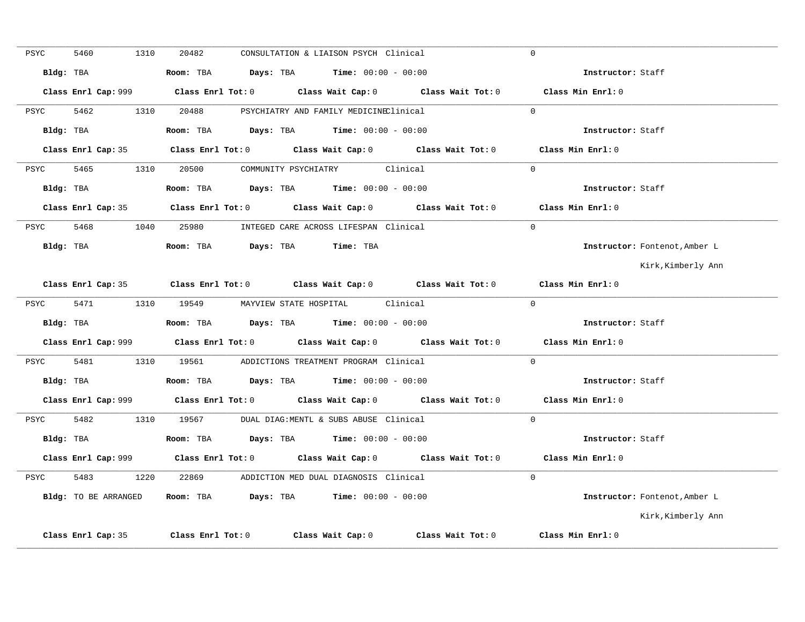| PSYC | 5460                 | 1310 | 20482 | CONSULTATION & LIAISON PSYCH Clinical                                                 |                                                                                             | $\Omega$                      |
|------|----------------------|------|-------|---------------------------------------------------------------------------------------|---------------------------------------------------------------------------------------------|-------------------------------|
|      | Bldg: TBA            |      |       | Room: TBA $Days: TBA$ Time: $00:00 - 00:00$                                           |                                                                                             | Instructor: Staff             |
|      |                      |      |       |                                                                                       |                                                                                             | Class Min Enrl: 0             |
| PSYC | 5462                 |      |       | 1310  20488  PSYCHIATRY AND FAMILY MEDICINEClinical                                   |                                                                                             | $\Omega$                      |
|      | Bldg: TBA            |      |       | Room: TBA $\rule{1em}{0.15mm}$ Days: TBA $\rule{1.5mm}{0.15mm}$ Time: $00:00 - 00:00$ |                                                                                             | Instructor: Staff             |
|      |                      |      |       |                                                                                       | Class Enrl Cap: 35 Class Enrl Tot: 0 Class Wait Cap: 0 Class Wait Tot: 0 Class Min Enrl: 0  |                               |
|      |                      |      |       | PSYC 5465 1310 20500 COMMUNITY PSYCHIATRY Clinical                                    |                                                                                             | $\Omega$                      |
|      |                      |      |       |                                                                                       |                                                                                             |                               |
|      | Bldg: TBA            |      |       | <b>Room:</b> TBA $Days: TBA$ <b>Time:</b> $00:00 - 00:00$                             |                                                                                             | Instructor: Staff             |
|      |                      |      |       |                                                                                       | Class Enrl Cap: 35 Class Enrl Tot: 0 Class Wait Cap: 0 Class Wait Tot: 0 Class Min Enrl: 0  |                               |
|      |                      |      |       | PSYC 5468 1040 25980 INTEGED CARE ACROSS LIFESPAN Clinical                            |                                                                                             | $\Omega$                      |
|      |                      |      |       | Bldg: TBA                    Room: TBA        Days: TBA        Time: TBA              |                                                                                             | Instructor: Fontenot, Amber L |
|      |                      |      |       |                                                                                       |                                                                                             | Kirk,Kimberly Ann             |
|      |                      |      |       |                                                                                       | Class Enrl Cap: 35 Class Enrl Tot: 0 Class Wait Cap: 0 Class Wait Tot: 0                    | Class Min Enrl: 0             |
| PSYC |                      |      |       | 5471 1310 19549 MAYVIEW STATE HOSPITAL Clinical                                       |                                                                                             | $\Omega$                      |
|      |                      |      |       | Bldg: TBA                    Room: TBA         Days: TBA         Time: 00:00 - 00:00  |                                                                                             | Instructor: Staff             |
|      |                      |      |       |                                                                                       | Class Enrl Cap: 999 Class Enrl Tot: 0 Class Wait Cap: 0 Class Wait Tot: 0 Class Min Enrl: 0 |                               |
|      |                      |      |       | PSYC 5481 1310 19561 ADDICTIONS TREATMENT PROGRAM Clinical                            |                                                                                             | $\Omega$                      |
|      |                      |      |       |                                                                                       |                                                                                             | Instructor: Staff             |
|      |                      |      |       |                                                                                       | Class Enrl Cap: 999 Class Enrl Tot: 0 Class Wait Cap: 0 Class Wait Tot: 0 Class Min Enrl: 0 |                               |
|      |                      |      |       | PSYC 5482 1310 19567 DUAL DIAG:MENTL & SUBS ABUSE Clinical                            |                                                                                             | $\Omega$                      |
|      |                      |      |       | Bldg: TBA                    Room: TBA          Days: TBA         Time: 00:00 - 00:00 |                                                                                             | Instructor: Staff             |
|      |                      |      |       |                                                                                       | Class Enrl Cap: 999 Class Enrl Tot: 0 Class Wait Cap: 0 Class Wait Tot: 0 Class Min Enrl: 0 |                               |
| PSYC |                      |      |       | 5483 1220 22869 ADDICTION MED DUAL DIAGNOSIS Clinical                                 |                                                                                             | $\Omega$                      |
|      | Bldg: TO BE ARRANGED |      |       | Room: TBA $Days:$ TBA $Time: 00:00 - 00:00$                                           |                                                                                             | Instructor: Fontenot, Amber L |
|      |                      |      |       |                                                                                       |                                                                                             | Kirk, Kimberly Ann            |
|      | Class Enrl Cap: 35   |      |       |                                                                                       | Class Enrl Tot: 0 Class Wait Cap: 0 Class Wait Tot: 0                                       | Class Min Enrl: 0             |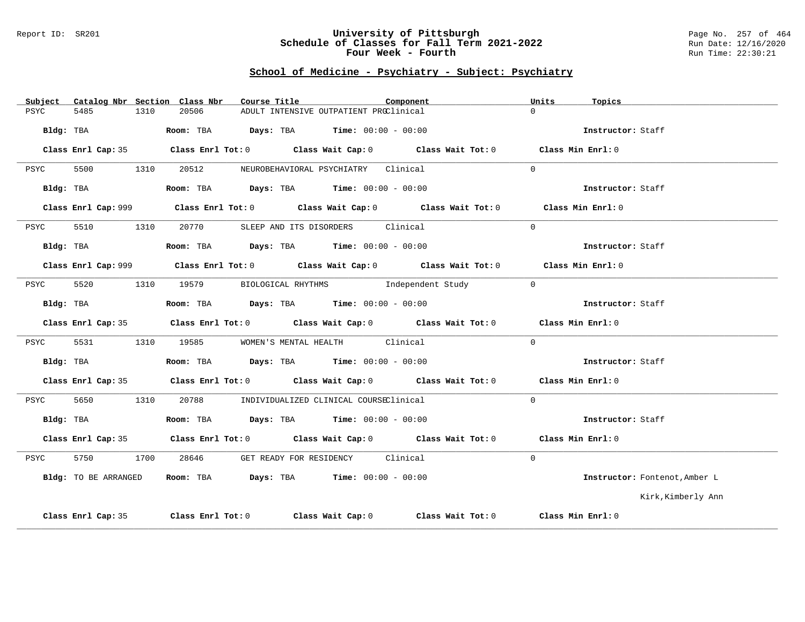#### Report ID: SR201 **University of Pittsburgh** Page No. 257 of 464 **Schedule of Classes for Fall Term 2021-2022** Run Date: 12/16/2020 **Four Week - Fourth Rundall Run Time: 22:30:21**

# **School of Medicine - Psychiatry - Subject: Psychiatry**

| Subject |                      |      | Catalog Nbr Section Class Nbr | Course Title                                                                          |                                        | Component                                                                                   | Units    | Topics                        |
|---------|----------------------|------|-------------------------------|---------------------------------------------------------------------------------------|----------------------------------------|---------------------------------------------------------------------------------------------|----------|-------------------------------|
| PSYC    | 5485                 | 1310 | 20506                         |                                                                                       | ADULT INTENSIVE OUTPATIENT PROClinical |                                                                                             | $\cap$   |                               |
|         | Bldg: TBA            |      |                               | Room: TBA $Days:$ TBA $Time: 00:00 - 00:00$                                           |                                        |                                                                                             |          | Instructor: Staff             |
|         | Class Enrl Cap: 35   |      |                               |                                                                                       |                                        | Class Enrl Tot: $0$ Class Wait Cap: $0$ Class Wait Tot: $0$ Class Min Enrl: $0$             |          |                               |
| PSYC    | 5500                 | 1310 |                               | 20512 NEUROBEHAVIORAL PSYCHIATRY Clinical                                             |                                        |                                                                                             | $\Omega$ |                               |
|         | Bldg: TBA            |      |                               | Room: TBA $\rule{1em}{0.15mm}$ Days: TBA Time: $00:00 - 00:00$                        |                                        |                                                                                             |          | Instructor: Staff             |
|         |                      |      |                               |                                                                                       |                                        | Class Enrl Cap: 999 Class Enrl Tot: 0 Class Wait Cap: 0 Class Wait Tot: 0 Class Min Enrl: 0 |          |                               |
| PSYC    | 5510                 | 1310 |                               | 20770 SLEEP AND ITS DISORDERS Clinical                                                |                                        |                                                                                             | $\Omega$ |                               |
|         |                      |      |                               | Bldg: TBA                   Room: TBA         Days: TBA         Time: $00:00 - 00:00$ |                                        |                                                                                             |          | Instructor: Staff             |
|         |                      |      |                               |                                                                                       |                                        | Class Enrl Cap: 999 Class Enrl Tot: 0 Class Wait Cap: 0 Class Wait Tot: 0 Class Min Enrl: 0 |          |                               |
| PSYC    | 5520                 |      |                               |                                                                                       |                                        | 1310 19579 BIOLOGICAL RHYTHMS Independent Study                                             | $\Omega$ |                               |
|         | Bldg: TBA            |      |                               | Room: TBA $Days:$ TBA $Time: 00:00 - 00:00$                                           |                                        |                                                                                             |          | Instructor: Staff             |
|         |                      |      |                               |                                                                                       |                                        | Class Enrl Cap: 35 Class Enrl Tot: 0 Class Wait Cap: 0 Class Wait Tot: 0 Class Min Enrl: 0  |          |                               |
| PSYC    | 5531                 |      |                               | 1310 19585 WOMEN'S MENTAL HEALTH Clinical                                             |                                        |                                                                                             | $\Omega$ |                               |
|         | Bldg: TBA            |      |                               | Room: TBA $Days:$ TBA $Time: 00:00 - 00:00$                                           |                                        |                                                                                             |          | Instructor: Staff             |
|         |                      |      |                               |                                                                                       |                                        | Class Enrl Cap: 35 Class Enrl Tot: 0 Class Wait Cap: 0 Class Wait Tot: 0 Class Min Enrl: 0  |          |                               |
| PSYC    | 5650                 | 1310 |                               | 20788 MDIVIDUALIZED CLINICAL COURSEClinical                                           |                                        |                                                                                             | $\Omega$ |                               |
|         | Bldg: TBA            |      |                               | Room: TBA $Days:$ TBA $Time: 00:00 - 00:00$                                           |                                        |                                                                                             |          | Instructor: Staff             |
|         |                      |      |                               |                                                                                       |                                        | Class Enrl Cap: 35 Class Enrl Tot: 0 Class Wait Cap: 0 Class Wait Tot: 0 Class Min Enrl: 0  |          |                               |
| PSYC    | 5750                 |      | 1700 28646                    |                                                                                       | GET READY FOR RESIDENCY Clinical       |                                                                                             | $\Omega$ |                               |
|         | Bldg: TO BE ARRANGED |      |                               | <b>Room:</b> TBA $\rho$ <b>Days:</b> TBA <b>Time:</b> $00:00 - 00:00$                 |                                        |                                                                                             |          | Instructor: Fontenot, Amber L |
|         |                      |      |                               |                                                                                       |                                        |                                                                                             |          | Kirk,Kimberly Ann             |
|         |                      |      |                               |                                                                                       |                                        |                                                                                             |          |                               |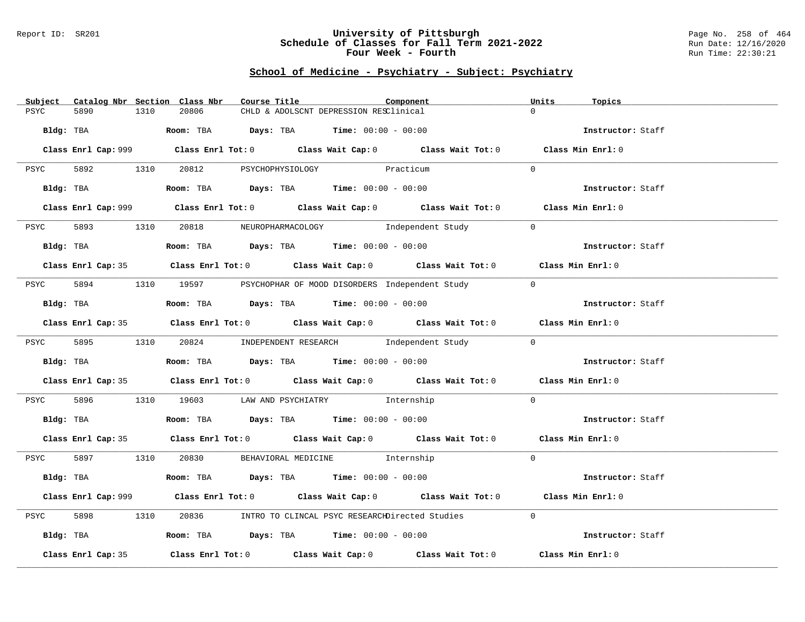#### Report ID: SR201 **University of Pittsburgh** Page No. 258 of 464 **Schedule of Classes for Fall Term 2021-2022** Run Date: 12/16/2020 **Four Week - Fourth Rundall Run Time: 22:30:21**

# **School of Medicine - Psychiatry - Subject: Psychiatry**

| Subject   |                    |      | Catalog Nbr Section Class Nbr                                                              | Course Title |                                        | Component |                                                                                                    | Units          | Topics            |  |
|-----------|--------------------|------|--------------------------------------------------------------------------------------------|--------------|----------------------------------------|-----------|----------------------------------------------------------------------------------------------------|----------------|-------------------|--|
| PSYC      | 5890               | 1310 | 20806                                                                                      |              | CHLD & ADOLSCNT DEPRESSION RESClinical |           |                                                                                                    | $\Omega$       |                   |  |
|           |                    |      |                                                                                            |              |                                        |           |                                                                                                    |                |                   |  |
| Bldg: TBA |                    |      | <b>ROOM:</b> TBA <b>Days:</b> TBA <b>Time:</b> $00:00 - 00:00$                             |              |                                        |           |                                                                                                    |                | Instructor: Staff |  |
|           |                    |      |                                                                                            |              |                                        |           |                                                                                                    |                |                   |  |
|           |                    |      |                                                                                            |              |                                        |           | Class Enrl Cap: 999 Class Enrl Tot: 0 Class Wait Cap: 0 Class Wait Tot: 0 Class Min Enrl: 0        |                |                   |  |
|           |                    |      |                                                                                            |              |                                        |           |                                                                                                    |                |                   |  |
|           |                    |      | PSYC 5892 1310 20812 PSYCHOPHYSIOLOGY Practicum                                            |              |                                        |           |                                                                                                    | $\Omega$       |                   |  |
|           |                    |      |                                                                                            |              |                                        |           |                                                                                                    |                |                   |  |
|           |                    |      | Bldg: TBA                   Room: TBA        Days: TBA        Time: 00:00 - 00:00          |              |                                        |           |                                                                                                    |                | Instructor: Staff |  |
|           |                    |      |                                                                                            |              |                                        |           |                                                                                                    |                |                   |  |
|           |                    |      |                                                                                            |              |                                        |           | Class Enrl Cap: 999 Class Enrl Tot: 0 Class Wait Cap: 0 Class Wait Tot: 0 Class Min Enrl: 0        |                |                   |  |
| PSYC      |                    |      |                                                                                            |              |                                        |           | 5893 1310 20818 NEUROPHARMACOLOGY Independent Study                                                | $\Omega$       |                   |  |
|           |                    |      |                                                                                            |              |                                        |           |                                                                                                    |                |                   |  |
|           | Bldg: TBA          |      | Room: TBA $\rule{1em}{0.15mm}$ Days: TBA $\rule{1.5mm}{0.15mm}$ Time: $00:00 - 00:00$      |              |                                        |           |                                                                                                    |                | Instructor: Staff |  |
|           |                    |      |                                                                                            |              |                                        |           |                                                                                                    |                |                   |  |
|           |                    |      |                                                                                            |              |                                        |           | Class Enrl Cap: 35 Class Enrl Tot: 0 Class Wait Cap: 0 Class Wait Tot: 0 Class Min Enrl: 0         |                |                   |  |
|           |                    |      |                                                                                            |              |                                        |           |                                                                                                    |                |                   |  |
| PSYC      |                    |      |                                                                                            |              |                                        |           | 5894 1310 19597 PSYCHOPHAR OF MOOD DISORDERS Independent Study                                     | $\overline{0}$ |                   |  |
|           |                    |      |                                                                                            |              |                                        |           |                                                                                                    |                |                   |  |
|           | Bldg: TBA          |      | Room: TBA  Days: TBA  Time: $00:00 - 00:00$                                                |              |                                        |           |                                                                                                    |                | Instructor: Staff |  |
|           |                    |      |                                                                                            |              |                                        |           |                                                                                                    |                |                   |  |
|           |                    |      |                                                                                            |              |                                        |           | Class Enrl Cap: 35 Class Enrl Tot: 0 Class Wait Cap: 0 Class Wait Tot: 0 Class Min Enrl: 0         |                |                   |  |
|           |                    |      |                                                                                            |              |                                        |           |                                                                                                    |                |                   |  |
|           |                    |      |                                                                                            |              |                                        |           | PSYC 5895 1310 20824 INDEPENDENT_RESEARCH Independent_Study                                        | $\Omega$       |                   |  |
|           |                    |      |                                                                                            |              |                                        |           |                                                                                                    |                |                   |  |
|           |                    |      | Bldg: TBA                        Room: TBA          Days: TBA          Time: 00:00 - 00:00 |              |                                        |           |                                                                                                    |                | Instructor: Staff |  |
|           |                    |      |                                                                                            |              |                                        |           | Class Enrl Cap: 35 Class Enrl Tot: 0 Class Wait Cap: 0 Class Wait Tot: 0 Class Min Enrl: 0         |                |                   |  |
|           |                    |      |                                                                                            |              |                                        |           |                                                                                                    |                |                   |  |
| PSYC      |                    |      | 5896 1310 19603 LAW AND PSYCHIATRY Internship                                              |              |                                        |           |                                                                                                    | $\overline{0}$ |                   |  |
|           |                    |      |                                                                                            |              |                                        |           |                                                                                                    |                |                   |  |
|           |                    |      | Bldg: TBA                   Room: TBA        Days: TBA        Time: 00:00 - 00:00          |              |                                        |           |                                                                                                    |                | Instructor: Staff |  |
|           |                    |      |                                                                                            |              |                                        |           |                                                                                                    |                |                   |  |
|           |                    |      |                                                                                            |              |                                        |           | Class Enrl Cap: 35 Class Enrl Tot: 0 Class Wait Cap: 0 Class Wait Tot: 0 Class Min Enrl: 0         |                |                   |  |
|           |                    |      |                                                                                            |              |                                        |           |                                                                                                    |                |                   |  |
|           |                    |      | PSYC 5897 1310 20830 BEHAVIORAL MEDICINE Internship                                        |              |                                        |           |                                                                                                    | $\Omega$       |                   |  |
|           |                    |      |                                                                                            |              |                                        |           |                                                                                                    |                |                   |  |
|           |                    |      | Bldg: TBA                    Room: TBA         Days: TBA         Time: 00:00 - 00:00       |              |                                        |           |                                                                                                    |                | Instructor: Staff |  |
|           |                    |      |                                                                                            |              |                                        |           |                                                                                                    |                |                   |  |
|           |                    |      |                                                                                            |              |                                        |           | Class Enrl Cap: 999 Class Enrl Tot: 0 Class Wait Cap: 0 Class Wait Tot: 0 Class Min Enrl: 0        |                |                   |  |
|           |                    |      |                                                                                            |              |                                        |           |                                                                                                    |                |                   |  |
| PSYC      | 5898               | 1310 |                                                                                            |              |                                        |           | 20836 INTRO TO CLINCAL PSYC RESEARCHDirected Studies                                               | $\Omega$       |                   |  |
|           |                    |      |                                                                                            |              |                                        |           |                                                                                                    |                |                   |  |
|           |                    |      | Bldg: TBA                    Room: TBA        Days: TBA        Time: 00:00 - 00:00         |              |                                        |           |                                                                                                    |                | Instructor: Staff |  |
|           | Class Enrl Cap: 35 |      |                                                                                            |              |                                        |           | Class Enrl Tot: 0 $\qquad$ Class Wait Cap: 0 $\qquad$ Class Wait Tot: 0 $\qquad$ Class Min Enrl: 0 |                |                   |  |
|           |                    |      |                                                                                            |              |                                        |           |                                                                                                    |                |                   |  |
|           |                    |      |                                                                                            |              |                                        |           |                                                                                                    |                |                   |  |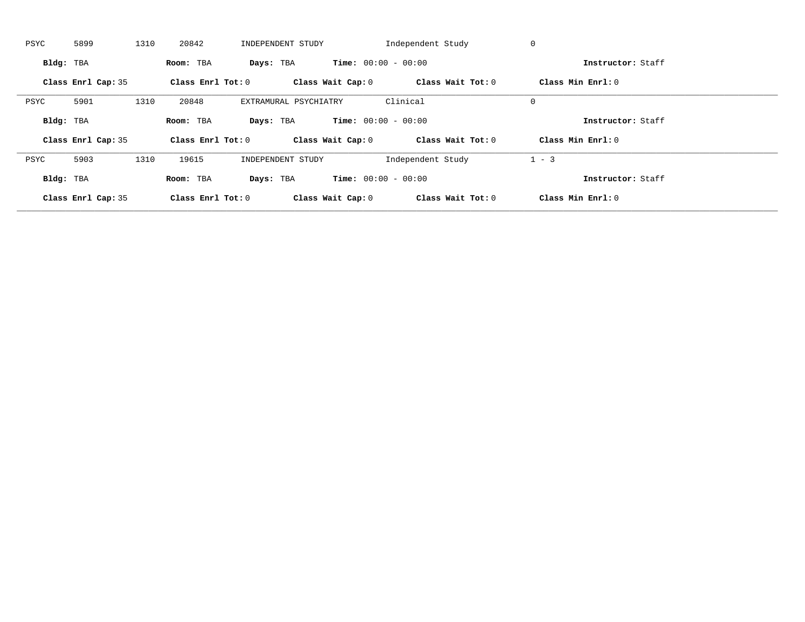| PSYC      | 5899               | 1310 | 20842               | INDEPENDENT STUDY     |                              | Independent Study | 0                 |  |
|-----------|--------------------|------|---------------------|-----------------------|------------------------------|-------------------|-------------------|--|
| Bldg: TBA |                    |      | Room: TBA           | Days: TBA             | <b>Time:</b> $00:00 - 00:00$ |                   | Instructor: Staff |  |
|           | Class Enrl Cap: 35 |      | Class Enrl Tot: $0$ |                       | Class Wait Cap: 0            | Class Wait Tot: 0 | Class Min Enrl: 0 |  |
| PSYC      | 5901               | 1310 | 20848               | EXTRAMURAL PSYCHIATRY |                              | Clinical          | $\mathbf 0$       |  |
| Bldg: TBA |                    |      | Room: TBA           | Days: TBA             | <b>Time:</b> $00:00 - 00:00$ |                   | Instructor: Staff |  |
|           |                    |      |                     |                       |                              |                   |                   |  |
|           | Class Enrl Cap: 35 |      | Class Enrl Tot: 0   |                       | Class Wait Cap: 0            | Class Wait Tot: 0 | Class Min Enrl: 0 |  |
| PSYC      | 5903               | 1310 | 19615               | INDEPENDENT STUDY     |                              | Independent Study | $1 - 3$           |  |
| Bldg: TBA |                    |      | Room: TBA           | Days: TBA             | <b>Time:</b> $00:00 - 00:00$ |                   | Instructor: Staff |  |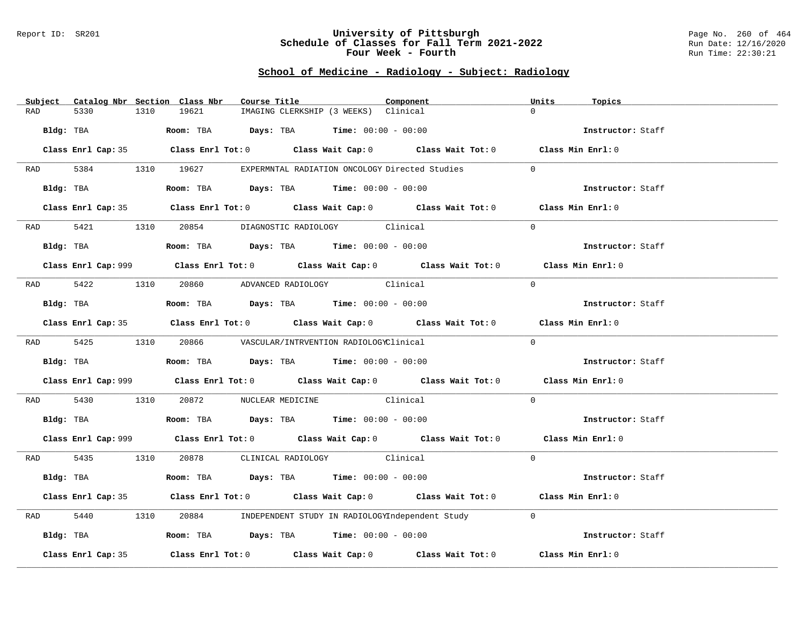#### Report ID: SR201 **University of Pittsburgh** Page No. 260 of 464 **Schedule of Classes for Fall Term 2021-2022** Run Date: 12/16/2020 **Four Week - Fourth Rundall Run Time: 22:30:21**

# **School of Medicine - Radiology - Subject: Radiology**

| Subject Catalog Nbr Section Class Nbr | Course Title                                                                                       | Component | Units<br>Topics   |
|---------------------------------------|----------------------------------------------------------------------------------------------------|-----------|-------------------|
| 5330<br>1310<br>RAD                   | 19621<br>IMAGING CLERKSHIP (3 WEEKS) Clinical                                                      |           | $\Omega$          |
| Bldg: TBA                             | Room: TBA $Days:$ TBA $Time: 00:00 - 00:00$                                                        |           | Instructor: Staff |
|                                       | Class Enrl Cap: 35 Class Enrl Tot: 0 Class Wait Cap: 0 Class Wait Tot: 0 Class Min Enrl: 0         |           |                   |
|                                       | RAD 5384 1310 19627 EXPERMNTAL RADIATION ONCOLOGY Directed Studies                                 |           | $\Omega$          |
| Bldg: TBA                             | Room: TBA $Days:$ TBA Time: $00:00 - 00:00$                                                        |           | Instructor: Staff |
|                                       | Class Enrl Cap: 35 Class Enrl Tot: 0 Class Wait Cap: 0 Class Wait Tot: 0 Class Min Enrl: 0         |           |                   |
|                                       | RAD 5421 1310 20854 DIAGNOSTIC RADIOLOGY Clinical                                                  |           | $\Omega$          |
| Bldg: TBA                             | <b>Room:</b> TBA $Days:$ TBA $Time: 00:00 - 00:00$                                                 |           | Instructor: Staff |
|                                       | Class Enrl Cap: 999 Class Enrl Tot: 0 Class Wait Cap: 0 Class Wait Tot: 0 Class Min Enrl: 0        |           |                   |
|                                       | RAD 5422 1310 20860 ADVANCED RADIOLOGY Clinical                                                    |           | $\Omega$          |
| Bldg: TBA                             | Room: TBA Days: TBA Time: $00:00 - 00:00$                                                          |           | Instructor: Staff |
|                                       | Class Enrl Cap: 35 Class Enrl Tot: 0 Class Wait Cap: 0 Class Wait Tot: 0 Class Min Enrl: 0         |           |                   |
|                                       | RAD 5425 1310 20866 VASCULAR/INTRVENTION RADIOLOGYClinical                                         |           | $\Omega$          |
|                                       | Bldg: TBA                   Room: TBA         Days: TBA        Time: $00:00 - 00:00$               |           | Instructor: Staff |
|                                       | Class Enrl Cap: 999 Class Enrl Tot: 0 Class Wait Cap: 0 Class Wait Tot: 0 Class Min Enrl: 0        |           |                   |
| RAD 5430                              | 1310 20872 NUCLEAR MEDICINE Clinical                                                               |           | $\Omega$          |
|                                       | Bldg: TBA                    Room: TBA         Days: TBA         Time: 00:00 - 00:00               |           | Instructor: Staff |
|                                       | Class Enrl Cap: 999 Class Enrl Tot: 0 Class Wait Cap: 0 Class Wait Tot: 0 Class Min Enrl: 0        |           |                   |
|                                       | RAD 5435 1310 20878 CLINICAL RADIOLOGY Clinical                                                    |           | $\Omega$          |
| Bldg: TBA                             | Room: TBA $Days:$ TBA $Time: 00:00 - 00:00$                                                        |           | Instructor: Staff |
|                                       | Class Enrl Cap: 35 Class Enrl Tot: 0 Class Wait Cap: 0 Class Wait Tot: 0 Class Min Enrl: 0         |           |                   |
| 5440<br>1310<br>RAD                   | 20884 INDEPENDENT STUDY IN RADIOLOGYIndependent Study                                              |           | $\overline{0}$    |
| Bldg: TBA                             | Room: TBA $Days: TBA$ Time: $00:00 - 00:00$                                                        |           | Instructor: Staff |
| Class Enrl Cap: 35                    | Class Enrl Tot: 0 $\qquad$ Class Wait Cap: 0 $\qquad$ Class Wait Tot: 0 $\qquad$ Class Min Enrl: 0 |           |                   |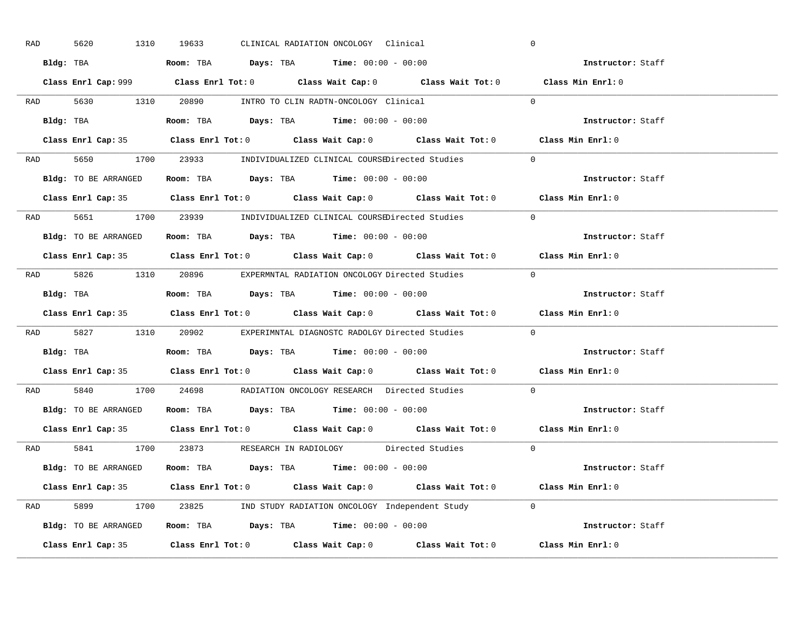| RAD | 5620 | 1310                 | 19633 |  | CLINICAL RADIATION ONCOLOGY Clinical                                                           |                                                                      | $\overline{0}$                                                                              |
|-----|------|----------------------|-------|--|------------------------------------------------------------------------------------------------|----------------------------------------------------------------------|---------------------------------------------------------------------------------------------|
|     |      |                      |       |  | Bldg: TBA                   Room: TBA        Days: TBA        Time: $00:00 - 00:00$            |                                                                      | Instructor: Staff                                                                           |
|     |      |                      |       |  |                                                                                                |                                                                      | Class Enrl Cap: 999 Class Enrl Tot: 0 Class Wait Cap: 0 Class Wait Tot: 0 Class Min Enrl: 0 |
|     |      |                      |       |  |                                                                                                | RAD 5630 1310 20890 INTRO TO CLIN RADTN-ONCOLOGY Clinical 0          |                                                                                             |
|     |      |                      |       |  |                                                                                                |                                                                      | Instructor: Staff                                                                           |
|     |      |                      |       |  |                                                                                                |                                                                      | Class Enrl Cap: 35 Class Enrl Tot: 0 Class Wait Cap: 0 Class Wait Tot: 0 Class Min Enrl: 0  |
|     |      |                      |       |  |                                                                                                | RAD 5650 1700 23933 INDIVIDUALIZED CLINICAL COURSEDirected Studies 0 |                                                                                             |
|     |      |                      |       |  | Bldg: TO BE ARRANGED Room: TBA Days: TBA Time: 00:00 - 00:00                                   |                                                                      | Instructor: Staff                                                                           |
|     |      |                      |       |  |                                                                                                |                                                                      | Class Enrl Cap: 35 Class Enrl Tot: 0 Class Wait Cap: 0 Class Wait Tot: 0 Class Min Enrl: 0  |
|     |      |                      |       |  |                                                                                                | RAD 5651 1700 23939 INDIVIDUALIZED CLINICAL COURSEDirected Studies   | $\Omega$                                                                                    |
|     |      | Bldg: TO BE ARRANGED |       |  | Room: TBA $\rule{1em}{0.15mm}$ Days: TBA $\rule{1.5mm}{0.15mm}$ Time: $00:00 - 00:00$          |                                                                      | Instructor: Staff                                                                           |
|     |      |                      |       |  |                                                                                                |                                                                      | Class Enrl Cap: 35 Class Enrl Tot: 0 Class Wait Cap: 0 Class Wait Tot: 0 Class Min Enrl: 0  |
|     |      |                      |       |  |                                                                                                | RAD 5826 1310 20896 EXPERMNTAL RADIATION ONCOLOGY Directed Studies 0 |                                                                                             |
|     |      |                      |       |  | Bldg: TBA                          Room: TBA          Days: TBA          Time: $00:00 - 00:00$ |                                                                      | Instructor: Staff                                                                           |
|     |      |                      |       |  |                                                                                                |                                                                      | Class Enrl Cap: 35 Class Enrl Tot: 0 Class Wait Cap: 0 Class Wait Tot: 0 Class Min Enrl: 0  |
|     |      |                      |       |  |                                                                                                | RAD 5827 1310 20902 EXPERIMNTAL DIAGNOSTC RADOLGY Directed Studies   | $\overline{0}$                                                                              |
|     |      |                      |       |  | Bldg: TBA                     Room: TBA         Days: TBA         Time: $00:00 - 00:00$        |                                                                      | Instructor: Staff                                                                           |
|     |      |                      |       |  |                                                                                                |                                                                      | Class Enrl Cap: 35 Class Enrl Tot: 0 Class Wait Cap: 0 Class Wait Tot: 0 Class Min Enrl: 0  |
| RAD |      |                      |       |  |                                                                                                | 5840 1700 24698 RADIATION ONCOLOGY RESEARCH Directed Studies         | $\overline{0}$                                                                              |
|     |      |                      |       |  | Bldg: TO BE ARRANGED ROOM: TBA Days: TBA Time: 00:00 - 00:00                                   |                                                                      | Instructor: Staff                                                                           |
|     |      |                      |       |  |                                                                                                |                                                                      | Class Enrl Cap: 35 Class Enrl Tot: 0 Class Wait Cap: 0 Class Wait Tot: 0 Class Min Enrl: 0  |
|     |      |                      |       |  |                                                                                                | RAD 5841 1700 23873 RESEARCH IN RADIOLOGY Directed Studies 0         |                                                                                             |
|     |      |                      |       |  | Bldg: TO BE ARRANGED Room: TBA Days: TBA Time: 00:00 - 00:00                                   |                                                                      | Instructor: Staff                                                                           |
|     |      |                      |       |  |                                                                                                |                                                                      | Class Enrl Cap: 35 Class Enrl Tot: 0 Class Wait Cap: 0 Class Wait Tot: 0 Class Min Enrl: 0  |
|     |      |                      |       |  |                                                                                                | RAD 5899 1700 23825 IND STUDY RADIATION ONCOLOGY Independent Study 0 |                                                                                             |
|     |      |                      |       |  |                                                                                                | Bldg: TO BE ARRANGED Room: TBA Days: TBA Time: 00:00 - 00:00         | Instructor: Staff                                                                           |
|     |      |                      |       |  |                                                                                                |                                                                      | Class Enrl Cap: 35 Class Enrl Tot: 0 Class Wait Cap: 0 Class Wait Tot: 0 Class Min Enrl: 0  |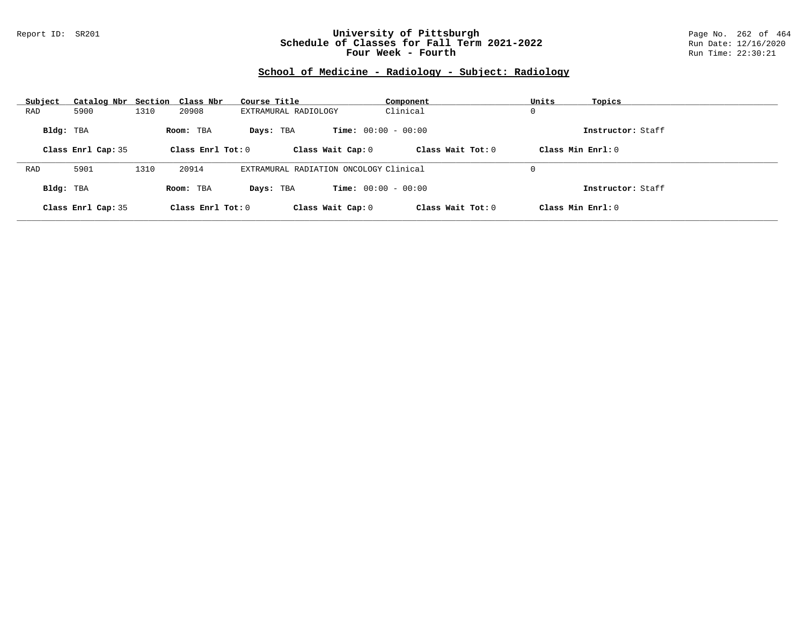## Report ID: SR201 **University of Pittsburgh** Page No. 262 of 464 **Schedule of Classes for Fall Term 2021-2022** Run Date: 12/16/2020 **Four Week - Fourth Rundall Run Time: 22:30:21**

# **School of Medicine - Radiology - Subject: Radiology**

| Subject   | Catalog Nbr Section Class Nbr |      |                     | Course Title                           | Component                    | Units               | Topics            |
|-----------|-------------------------------|------|---------------------|----------------------------------------|------------------------------|---------------------|-------------------|
| RAD       | 5900                          | 1310 | 20908               | EXTRAMURAL RADIOLOGY                   | Clinical                     | 0                   |                   |
| Bldg: TBA |                               |      | Room: TBA           | Davs: TBA                              | <b>Time:</b> $00:00 - 00:00$ |                     | Instructor: Staff |
|           | Class Enrl Cap: 35            |      | Class Enrl Tot: $0$ | Class Wait Cap: 0                      | Class Wait $Tot: 0$          | Class Min $Enrl: 0$ |                   |
|           |                               |      |                     |                                        |                              |                     |                   |
| RAD       | 5901                          | 1310 | 20914               | EXTRAMURAL RADIATION ONCOLOGY Clinical |                              | 0                   |                   |
| Bldg: TBA |                               |      | Room: TBA           | Davs: TBA                              | <b>Time:</b> $00:00 - 00:00$ |                     | Instructor: Staff |
|           | Class Enrl Cap: 35            |      | Class Enrl Tot: 0   | Class Wait Cap: 0                      | Class Wait Tot: 0            | Class Min Enrl: 0   |                   |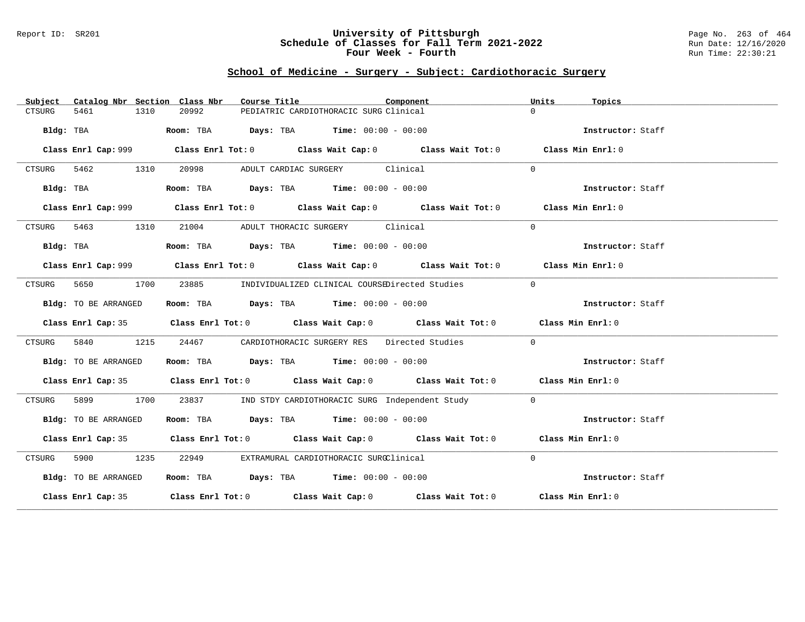### Report ID: SR201 **University of Pittsburgh** Page No. 263 of 464 **Schedule of Classes for Fall Term 2021-2022** Run Date: 12/16/2020 **Four Week - Fourth Rundall Run Time: 22:30:21**

# **School of Medicine - Surgery - Subject: Cardiothoracic Surgery**

| Subject   | Catalog Nbr Section Class Nbr |               | Course Title |                                                                | Component                                            | Units<br>Topics                                                                             |  |
|-----------|-------------------------------|---------------|--------------|----------------------------------------------------------------|------------------------------------------------------|---------------------------------------------------------------------------------------------|--|
| CTSURG    | 5461                          | 20992<br>1310 |              | PEDIATRIC CARDIOTHORACIC SURG Clinical                         |                                                      | $\Omega$                                                                                    |  |
|           |                               |               |              |                                                                |                                                      |                                                                                             |  |
|           | Bldg: TBA                     |               |              | Room: TBA $Days:$ TBA $Time: 00:00 - 00:00$                    |                                                      | Instructor: Staff                                                                           |  |
|           |                               |               |              |                                                                |                                                      |                                                                                             |  |
|           |                               |               |              |                                                                |                                                      | Class Min Enrl: 0                                                                           |  |
|           | CTSURG 5462 1310              | 20998         |              | ADULT CARDIAC SURGERY Clinical                                 |                                                      | $\Omega$                                                                                    |  |
|           | Bldg: TBA                     |               |              | Room: TBA $Days:$ TBA $Time: 00:00 - 00:00$                    |                                                      | Instructor: Staff                                                                           |  |
|           |                               |               |              |                                                                |                                                      | Class Enrl Cap: 999 Class Enrl Tot: 0 Class Wait Cap: 0 Class Wait Tot: 0 Class Min Enrl: 0 |  |
| CTSURG    | 5463 1310                     |               |              | 21004 ADULT THORACIC SURGERY Clinical                          |                                                      | $\Omega$                                                                                    |  |
| Bldg: TBA |                               |               |              | Room: TBA $\rule{1em}{0.15mm}$ Days: TBA Time: $00:00 - 00:00$ |                                                      | Instructor: Staff                                                                           |  |
|           |                               |               |              |                                                                |                                                      |                                                                                             |  |
|           |                               |               |              |                                                                |                                                      | Class Enrl Cap: 999 Class Enrl Tot: 0 Class Wait Cap: 0 Class Wait Tot: 0 Class Min Enrl: 0 |  |
| CTSURG    | 5650                          | 1700          |              |                                                                | 23885 INDIVIDUALIZED CLINICAL COURSEDirected Studies | $\overline{0}$                                                                              |  |
|           | Bldg: TO BE ARRANGED          |               |              | Room: TBA $Days:$ TBA $Time: 00:00 - 00:00$                    |                                                      | Instructor: Staff                                                                           |  |
|           |                               |               |              |                                                                |                                                      | Class Enrl Cap: 35 Class Enrl Tot: 0 Class Wait Cap: 0 Class Wait Tot: 0 Class Min Enrl: 0  |  |
| CTSURG    | 5840                          | 1215          | 24467        |                                                                | CARDIOTHORACIC SURGERY RES Directed Studies          | $\Omega$                                                                                    |  |
|           | Bldg: TO BE ARRANGED          |               |              | Room: TBA $Days:$ TBA $Time: 00:00 - 00:00$                    |                                                      | Instructor: Staff                                                                           |  |
|           |                               |               |              |                                                                |                                                      | Class Enrl Cap: 35 Class Enrl Tot: 0 Class Wait Cap: 0 Class Wait Tot: 0 Class Min Enrl: 0  |  |
| CTSURG    | 5899                          | 1700          |              |                                                                | 23837 IND STDY CARDIOTHORACIC SURG Independent Study | $\Omega$                                                                                    |  |
|           | Bldg: TO BE ARRANGED          |               |              | Room: TBA $Days:$ TBA $Time: 00:00 - 00:00$                    |                                                      | Instructor: Staff                                                                           |  |
|           |                               |               |              |                                                                |                                                      | Class Enrl Cap: 35 Class Enrl Tot: 0 Class Wait Cap: 0 Class Wait Tot: 0 Class Min Enrl: 0  |  |
| CTSURG    | 5900 1235                     |               | 22949        | EXTRAMURAL CARDIOTHORACIC SURGClinical                         |                                                      | $\Omega$                                                                                    |  |
|           | Bldg: TO BE ARRANGED          |               |              | Room: TBA $Days:$ TBA Time: $00:00 - 00:00$                    |                                                      | Instructor: Staff                                                                           |  |
|           |                               |               |              |                                                                |                                                      | Class Enrl Cap: 35 Class Enrl Tot: 0 Class Wait Cap: 0 Class Wait Tot: 0 Class Min Enrl: 0  |  |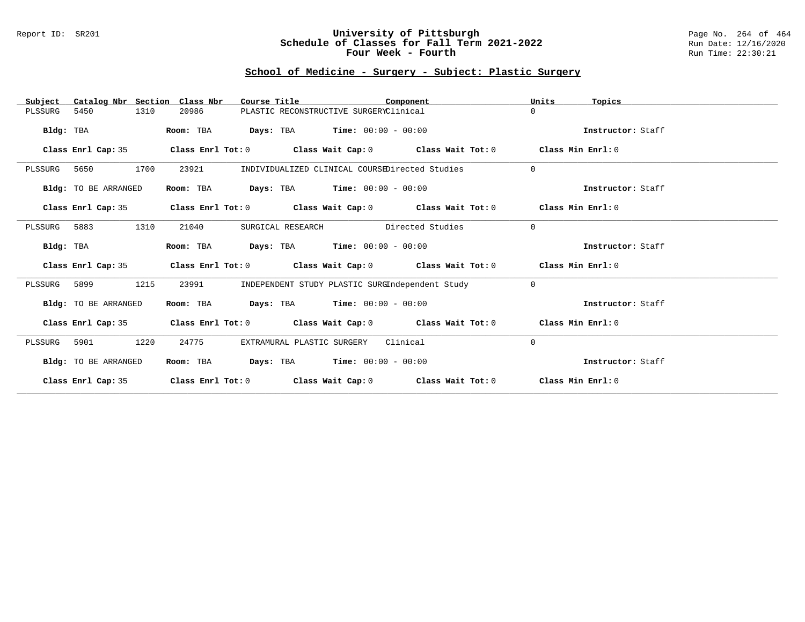## Report ID: SR201 **University of Pittsburgh** Page No. 264 of 464 **Schedule of Classes for Fall Term 2021-2022** Run Date: 12/16/2020 **Four Week - Fourth Rundall Run Time: 22:30:21**

# **School of Medicine - Surgery - Subject: Plastic Surgery**

| Catalog Nbr Section Class Nbr<br>Subject | Course Title                        | Component                                                                       | Units<br>Topics   |
|------------------------------------------|-------------------------------------|---------------------------------------------------------------------------------|-------------------|
| 5450<br>1310<br>PLSSURG                  | 20986                               | PLASTIC RECONSTRUCTIVE SURGERYClinical                                          | $\Omega$          |
| Bldg: TBA                                | Room: TBA                           | <b>Days:</b> TBA <b>Time:</b> $00:00 - 00:00$                                   | Instructor: Staff |
| Class Enrl Cap: 35                       |                                     | Class Enrl Tot: $0$ Class Wait Cap: $0$ Class Wait Tot: $0$ Class Min Enrl: $0$ |                   |
| 1700<br>PLSSURG<br>5650                  | 23921                               | INDIVIDUALIZED CLINICAL COURSEDirected Studies                                  | $\Omega$          |
| Bldg: TO BE ARRANGED                     | Room: TBA                           | <b>Days:</b> TBA <b>Time:</b> $00:00 - 00:00$                                   | Instructor: Staff |
| Class Enrl Cap: 35                       |                                     | Class Enrl Tot: $0$ Class Wait Cap: $0$ Class Wait Tot: $0$ Class Min Enrl: $0$ |                   |
| 1310<br>PLSSURG 5883                     | 21040<br>SURGICAL RESEARCH          | Directed Studies                                                                | $\Omega$          |
| Bldg: TBA                                | Room: TBA                           | <b>Days:</b> TBA <b>Time:</b> $00:00 - 00:00$                                   | Instructor: Staff |
| Class Enrl Cap: 35                       |                                     | Class Enrl Tot: $0$ Class Wait Cap: $0$ Class Wait Tot: $0$ Class Min Enrl: $0$ |                   |
| 1215<br>PLSSURG 5899                     | 23991                               | INDEPENDENT STUDY PLASTIC SURGIndependent Study                                 | $\Omega$          |
| Bldg: TO BE ARRANGED                     | Room: TBA                           | <b>Days:</b> TBA <b>Time:</b> $00:00 - 00:00$                                   | Instructor: Staff |
| Class Enrl Cap: 35                       |                                     | Class Enrl Tot: $0$ Class Wait Cap: $0$ Class Wait Tot: $0$ Class Min Enrl: $0$ |                   |
| 1220<br>PLSSURG<br>5901                  | 24775<br>EXTRAMURAL PLASTIC SURGERY | Clinical                                                                        | 0                 |
| Bldg: TO BE ARRANGED                     | Room: TBA                           | <b>Days:</b> TBA <b>Time:</b> $00:00 - 00:00$                                   | Instructor: Staff |
| Class Enrl Cap: 35                       |                                     | Class Enrl Tot: $0$ Class Wait Cap: $0$ Class Wait Tot: $0$                     | Class Min Enrl: 0 |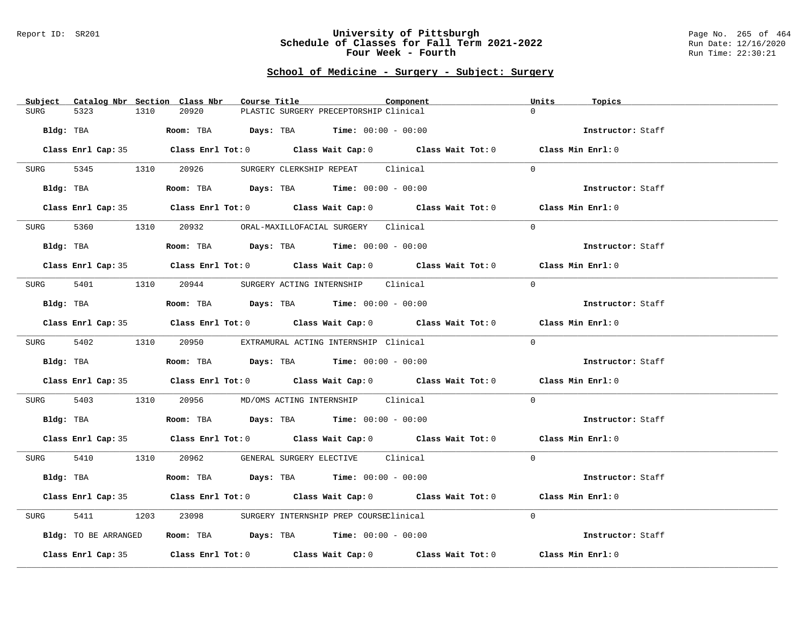#### Report ID: SR201 **University of Pittsburgh** Page No. 265 of 464 **Schedule of Classes for Fall Term 2021-2022** Run Date: 12/16/2020 **Four Week - Fourth Rundall Run Time: 22:30:21**

# **School of Medicine - Surgery - Subject: Surgery**

| Subject Catalog Nbr Section Class Nbr | Course Title                                                                                 | Component | Units<br>Topics   |
|---------------------------------------|----------------------------------------------------------------------------------------------|-----------|-------------------|
| 5323<br>1310<br><b>SURG</b>           | 20920<br>PLASTIC SURGERY PRECEPTORSHIP Clinical                                              |           | $\Omega$          |
| Bldg: TBA                             | Room: TBA $Days:$ TBA Time: $00:00 - 00:00$                                                  |           | Instructor: Staff |
|                                       | Class Enrl Cap: 35 Class Enrl Tot: 0 Class Wait Cap: 0 Class Wait Tot: 0 Class Min Enrl: 0   |           |                   |
| 5345 1310 20926<br>SURG               | SURGERY CLERKSHIP REPEAT Clinical                                                            |           | $\Omega$          |
|                                       | <b>Bldg:</b> TBA <b>Room:</b> TBA <b>Days:</b> TBA <b>Time:</b> $00:00 - 00:00$              |           | Instructor: Staff |
|                                       | Class Enrl Cap: 35 Class Enrl Tot: 0 Class Wait Cap: 0 Class Wait Tot: 0 Class Min Enrl: 0   |           |                   |
|                                       | SURG 5360 1310 20932 ORAL-MAXILLOFACIAL SURGERY Clinical                                     |           | $\Omega$          |
| Bldg: TBA                             | Room: TBA $Days:$ TBA $Time: 00:00 - 00:00$                                                  |           | Instructor: Staff |
|                                       | Class Enrl Cap: 35 Class Enrl Tot: 0 Class Wait Cap: 0 Class Wait Tot: 0 Class Min Enrl: 0   |           |                   |
|                                       | SURG 5401 1310 20944 SURGERY ACTING INTERNSHIP Clinical                                      |           | $\Omega$          |
| Bldg: TBA                             | Room: TBA $Days:$ TBA $Time: 00:00 - 00:00$                                                  |           | Instructor: Staff |
|                                       | Class Enrl Cap: 35 Class Enrl Tot: 0 Class Wait Cap: 0 Class Wait Tot: 0 Class Min Enrl: 0   |           |                   |
|                                       | SURG 5402 1310 20950 EXTRAMURAL ACTING INTERNSHIP Clinical                                   |           | $\Omega$          |
| Bldg: TBA                             | Room: TBA $\rule{1em}{0.15mm}$ Days: TBA Time: $00:00 - 00:00$                               |           | Instructor: Staff |
|                                       | Class Enrl Cap: 35 Class Enrl Tot: 0 Class Wait Cap: 0 Class Wait Tot: 0 Class Min Enrl: 0   |           |                   |
| 5403<br>SURG                          | 1310 20956 MD/OMS ACTING INTERNSHIP Clinical                                                 |           | $\Omega$          |
|                                       | Bldg: TBA                         Room: TBA          Days: TBA         Time: $00:00 - 00:00$ |           | Instructor: Staff |
|                                       | Class Enrl Cap: 35 Class Enrl Tot: 0 Class Wait Cap: 0 Class Wait Tot: 0 Class Min Enrl: 0   |           |                   |
|                                       | SURG 5410 1310 20962 GENERAL SURGERY ELECTIVE Clinical                                       |           | $\Omega$          |
| Bldg: TBA                             | Room: TBA $Days:$ TBA $Time: 00:00 - 00:00$                                                  |           | Instructor: Staff |
|                                       | Class Enrl Cap: 35 Class Enrl Tot: 0 Class Wait Cap: 0 Class Wait Tot: 0 Class Min Enrl: 0   |           |                   |
| 5411<br>SURG                          | 1203 23098 SURGERY INTERNSHIP PREP COURSEClinical                                            |           | $\Omega$          |
| Bldg: TO BE ARRANGED                  | Room: TBA $\rule{1em}{0.15mm}$ Days: TBA Time: $00:00 - 00:00$                               |           | Instructor: Staff |
|                                       | Class Enrl Cap: 35 Class Enrl Tot: 0 Class Wait Cap: 0 Class Wait Tot: 0                     |           | Class Min Enrl: 0 |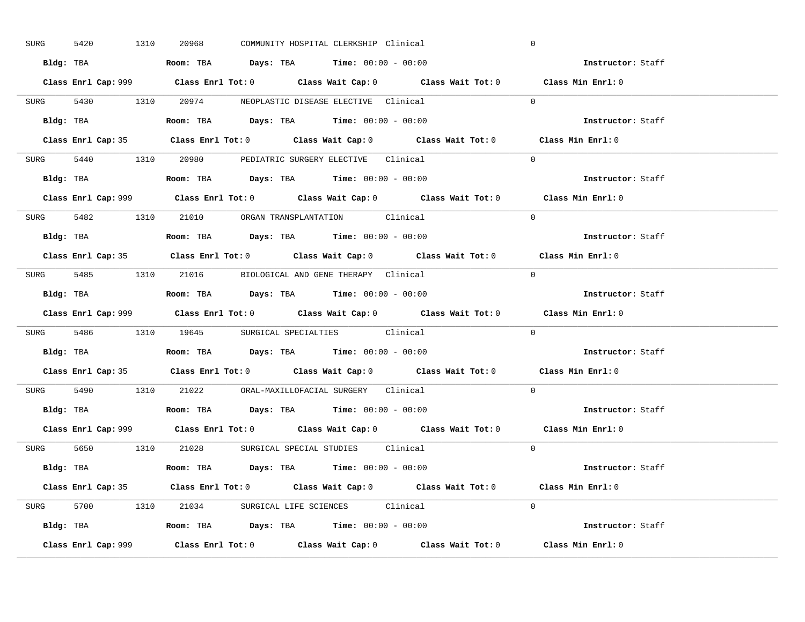| 5420<br>SURG | 1310 | 20968 | COMMUNITY HOSPITAL CLERKSHIP Clinical                                                       | $\mathbf 0$       |  |
|--------------|------|-------|---------------------------------------------------------------------------------------------|-------------------|--|
|              |      |       | Bldg: TBA                      Room: TBA         Days: TBA         Time: 00:00 - 00:00      | Instructor: Staff |  |
|              |      |       | Class Enrl Cap: 999 Class Enrl Tot: 0 Class Wait Cap: 0 Class Wait Tot: 0 Class Min Enrl: 0 |                   |  |
|              |      |       | SURG 5430 1310 20974 NEOPLASTIC DISEASE ELECTIVE Clinical                                   | $\Omega$          |  |
|              |      |       |                                                                                             | Instructor: Staff |  |
|              |      |       | Class Enrl Cap: 35 Class Enrl Tot: 0 Class Wait Cap: 0 Class Wait Tot: 0 Class Min Enrl: 0  |                   |  |
|              |      |       | SURG 5440 1310 20980 PEDIATRIC SURGERY ELECTIVE Clinical                                    | $\Omega$          |  |
|              |      |       | <b>Bldg:</b> TBA <b>ROOM:</b> TBA <b>Days:</b> TBA <b>Time:</b> $00:00 - 00:00$             | Instructor: Staff |  |
|              |      |       | Class Enrl Cap: 999 Class Enrl Tot: 0 Class Wait Cap: 0 Class Wait Tot: 0 Class Min Enrl: 0 |                   |  |
|              |      |       | SURG 5482 1310 21010 ORGAN TRANSPLANTATION Clinical                                         | $\Omega$          |  |
|              |      |       | Bldg: TBA                   Room: TBA         Days: TBA         Time: $00:00 - 00:00$       | Instructor: Staff |  |
|              |      |       | Class Enrl Cap: 35 Class Enrl Tot: 0 Class Wait Cap: 0 Class Wait Tot: 0 Class Min Enrl: 0  |                   |  |
|              |      |       | SURG 5485 1310 21016 BIOLOGICAL AND GENE THERAPY Clinical                                   | $\Omega$          |  |
|              |      |       | Bldg: TBA                   Room: TBA         Days: TBA         Time: $00:00 - 00:00$       | Instructor: Staff |  |
|              |      |       | Class Enrl Cap: 999 Class Enrl Tot: 0 Class Wait Cap: 0 Class Wait Tot: 0                   | Class Min Enrl: 0 |  |
|              |      |       | SURG 5486 1310 19645 SURGICAL SPECIALTIES Clinical                                          | $\Omega$          |  |
|              |      |       |                                                                                             |                   |  |
|              |      |       | Bldg: TBA                   Room: TBA        Days: TBA        Time: 00:00 - 00:00           | Instructor: Staff |  |
|              |      |       | Class Enrl Cap: 35 Class Enrl Tot: 0 Class Wait Cap: 0 Class Wait Tot: 0 Class Min Enrl: 0  |                   |  |
|              |      |       | SURG 5490 1310 21022 ORAL-MAXILLOFACIAL SURGERY Clinical                                    | $\Omega$          |  |
|              |      |       | Bldg: TBA                   Room: TBA         Days: TBA         Time: $00:00 - 00:00$       | Instructor: Staff |  |
|              |      |       | Class Enrl Cap: 999 Class Enrl Tot: 0 Class Wait Cap: 0 Class Wait Tot: 0 Class Min Enrl: 0 |                   |  |
|              |      |       | SURG 5650 1310 21028 SURGICAL SPECIAL STUDIES Clinical                                      | $\Omega$          |  |
|              |      |       | Bldg: TBA                    Room: TBA         Days: TBA         Time: 00:00 - 00:00        | Instructor: Staff |  |
|              |      |       | Class Enrl Cap: 35 Class Enrl Tot: 0 Class Wait Cap: 0 Class Wait Tot: 0 Class Min Enrl: 0  |                   |  |
|              |      |       | SURG 5700 1310 21034 SURGICAL LIFE SCIENCES Clinical                                        | $\Omega$          |  |
|              |      |       | Bldg: TBA                   Room: TBA         Days: TBA         Time: $00:00 - 00:00$       | Instructor: Staff |  |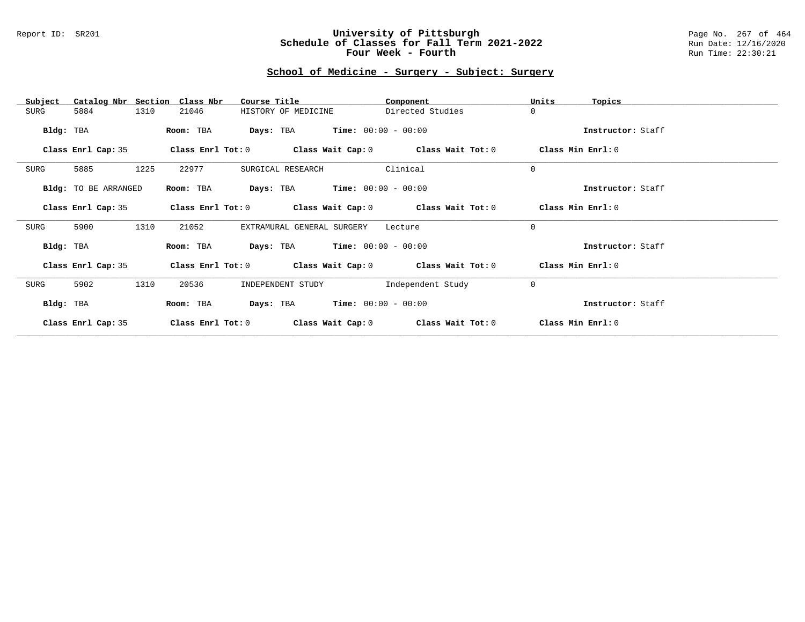## Report ID: SR201 **University of Pittsburgh** Page No. 267 of 464 **Schedule of Classes for Fall Term 2021-2022** Run Date: 12/16/2020 **Four Week - Fourth Rundall Run Time: 22:30:21**

# **School of Medicine - Surgery - Subject: Surgery**

| Catalog Nbr Section<br>Subject | Class Nbr<br>Course Title                                   | Component         | Units<br>Topics   |
|--------------------------------|-------------------------------------------------------------|-------------------|-------------------|
| 1310<br>SURG<br>5884           | HISTORY OF MEDICINE<br>21046                                | Directed Studies  | $\mathbf 0$       |
| Bldg: TBA                      | $Time: 00:00 - 00:00$<br>Room: TBA<br>Days: TBA             |                   | Instructor: Staff |
| Class Enrl Cap: 35             | Class Enrl Tot: $0$ Class Wait Cap: $0$ Class Wait Tot: $0$ |                   | Class Min Enrl: 0 |
| 1225<br>SURG<br>5885           | 22977<br>SURGICAL RESEARCH                                  | Clinical          | $\mathbf 0$       |
| Bldg: TO BE ARRANGED           | <b>Days:</b> TBA <b>Time:</b> $00:00 - 00:00$<br>Room: TBA  |                   | Instructor: Staff |
| Class Enrl Cap: 35             | Class Enrl Tot: $0$ Class Wait Cap: $0$ Class Wait Tot: $0$ |                   | Class Min Enrl: 0 |
| 1310<br>SURG<br>5900           | 21052<br>EXTRAMURAL GENERAL SURGERY                         | Lecture           | $\Omega$          |
| Bldg: TBA                      | <b>Days:</b> TBA <b>Time:</b> $00:00 - 00:00$<br>Room: TBA  |                   | Instructor: Staff |
| Class Enrl Cap: 35             | Class Enrl Tot: $0$ Class Wait Cap: $0$ Class Wait Tot: $0$ |                   | Class Min Enrl: 0 |
| 1310<br>SURG<br>5902           | 20536<br>INDEPENDENT STUDY                                  | Independent Study | $\mathbf 0$       |
| Bldg: TBA                      | $Time: 00:00 - 00:00$<br>Days: TBA<br>Room: TBA             |                   | Instructor: Staff |
| Class Enrl Cap: 35             | Class Enrl Tot: 0<br>Class Wait Cap: 0                      | Class Wait Tot: 0 | Class Min Enrl: 0 |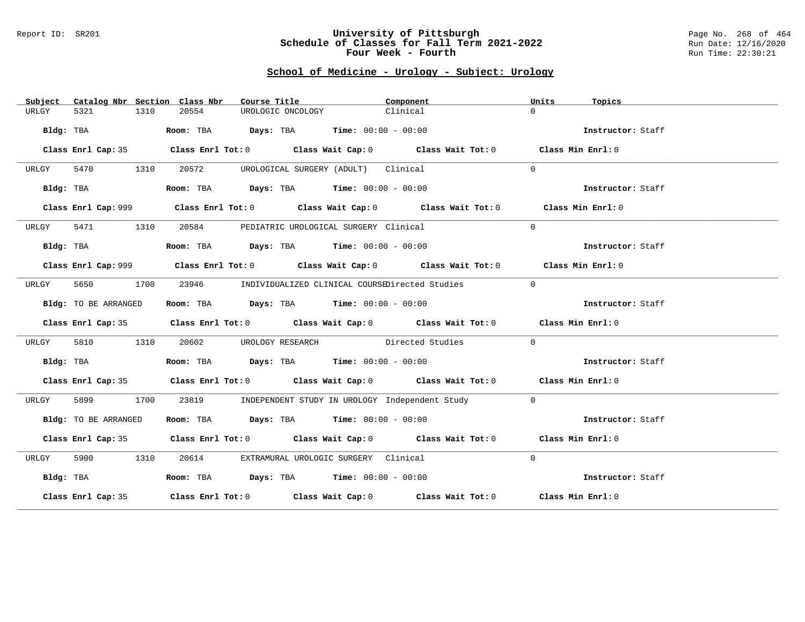#### Report ID: SR201 **University of Pittsburgh** Page No. 268 of 464 **Schedule of Classes for Fall Term 2021-2022** Run Date: 12/16/2020 **Four Week - Fourth Rundall Run Time: 22:30:21**

# **School of Medicine - Urology - Subject: Urology**

| Subject   |                      |      | Catalog Nbr Section Class Nbr | Course Title      |                                                                | Component                                                                                   | Units    | Topics            |  |
|-----------|----------------------|------|-------------------------------|-------------------|----------------------------------------------------------------|---------------------------------------------------------------------------------------------|----------|-------------------|--|
| URLGY     | 5321                 | 1310 | 20554                         | UROLOGIC ONCOLOGY |                                                                | Clinical                                                                                    | $\Omega$ |                   |  |
|           | Bldg: TBA            |      |                               |                   | Room: TBA $Days:$ TBA $Time: 00:00 - 00:00$                    |                                                                                             |          | Instructor: Staff |  |
|           |                      |      |                               |                   |                                                                | Class Enrl Cap: 35 Class Enrl Tot: 0 Class Wait Cap: 0 Class Wait Tot: 0 Class Min Enrl: 0  |          |                   |  |
| URLGY     | 5470<br>1310         |      | 20572                         |                   | UROLOGICAL SURGERY (ADULT) Clinical                            |                                                                                             | $\Omega$ |                   |  |
|           | Bldg: TBA            |      |                               |                   | Room: TBA $Days:$ TBA $Time: 00:00 - 00:00$                    |                                                                                             |          | Instructor: Staff |  |
|           |                      |      |                               |                   |                                                                | Class Enrl Cap: 999 Class Enrl Tot: 0 Class Wait Cap: 0 Class Wait Tot: 0 Class Min Enrl: 0 |          |                   |  |
| URLGY     | 5471 1310            |      |                               |                   | 20584 PEDIATRIC UROLOGICAL SURGERY Clinical                    |                                                                                             | $\Omega$ |                   |  |
|           | Bldg: TBA            |      |                               |                   | Room: TBA $\rule{1em}{0.15mm}$ Days: TBA Time: $00:00 - 00:00$ |                                                                                             |          | Instructor: Staff |  |
|           |                      |      |                               |                   |                                                                | Class Enrl Cap: 999 Class Enrl Tot: 0 Class Wait Cap: 0 Class Wait Tot: 0 Class Min Enrl: 0 |          |                   |  |
| URLGY     | 5650                 | 1700 | 23946                         |                   |                                                                | INDIVIDUALIZED CLINICAL COURSEDirected Studies                                              | $\Omega$ |                   |  |
|           | Bldg: TO BE ARRANGED |      |                               |                   | Room: TBA $Days:$ TBA $Time: 00:00 - 00:00$                    |                                                                                             |          | Instructor: Staff |  |
|           |                      |      |                               |                   |                                                                | Class Enrl Cap: 35 Class Enrl Tot: 0 Class Wait Cap: 0 Class Wait Tot: 0 Class Min Enrl: 0  |          |                   |  |
| URLGY     | 5810                 | 1310 |                               |                   |                                                                | 20602 UROLOGY RESEARCH Directed Studies                                                     | $\Omega$ |                   |  |
|           | Bldg: TBA            |      |                               |                   | Room: TBA $Days: TBA$ Time: $00:00 - 00:00$                    |                                                                                             |          | Instructor: Staff |  |
|           |                      |      |                               |                   |                                                                | Class Enrl Cap: 35 Class Enrl Tot: 0 Class Wait Cap: 0 Class Wait Tot: 0 Class Min Enrl: 0  |          |                   |  |
| URLGY     | 5899                 | 1700 |                               |                   |                                                                | 23819 INDEPENDENT STUDY IN UROLOGY Independent Study                                        | $\Omega$ |                   |  |
|           | Bldg: TO BE ARRANGED |      |                               |                   | Room: TBA $Days:$ TBA $Time: 00:00 - 00:00$                    |                                                                                             |          | Instructor: Staff |  |
|           |                      |      |                               |                   |                                                                | Class Enrl Cap: 35 Class Enrl Tot: 0 Class Wait Cap: 0 Class Wait Tot: 0 Class Min Enrl: 0  |          |                   |  |
| URLGY     | 5900 1310            |      | 20614                         |                   | EXTRAMURAL UROLOGIC SURGERY Clinical                           |                                                                                             | $\Omega$ |                   |  |
| Bldg: TBA |                      |      |                               |                   | Room: TBA $Days:$ TBA Time: $00:00 - 00:00$                    |                                                                                             |          | Instructor: Staff |  |
|           |                      |      |                               |                   |                                                                | Class Enrl Cap: 35 Class Enrl Tot: 0 Class Wait Cap: 0 Class Wait Tot: 0 Class Min Enrl: 0  |          |                   |  |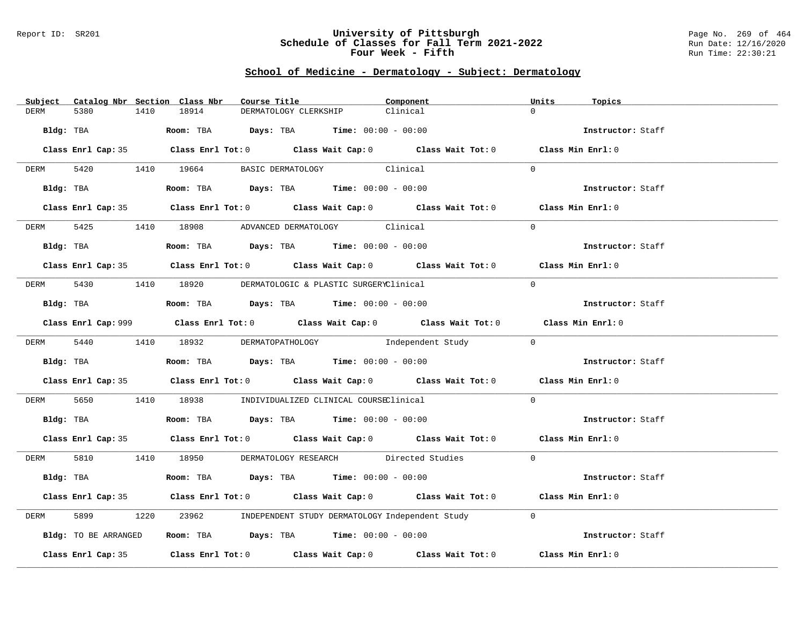#### Report ID: SR201 **University of Pittsburgh** Page No. 269 of 464 **Schedule of Classes for Fall Term 2021-2022** Run Date: 12/16/2020 **Four Week - Fifth** Run Time: 22:30:21

# **School of Medicine - Dermatology - Subject: Dermatology**

| Subject Catalog Nbr Section Class Nbr | Course Title                                                                                | Component | Units<br>Topics   |
|---------------------------------------|---------------------------------------------------------------------------------------------|-----------|-------------------|
| 5380<br>1410<br><b>DERM</b>           | 18914<br>DERMATOLOGY CLERKSHIP                                                              | Clinical  | $\Omega$          |
| Bldg: TBA                             | Room: TBA $Days:$ TBA Time: $00:00 - 00:00$                                                 |           | Instructor: Staff |
|                                       | Class Enrl Cap: 35 Class Enrl Tot: 0 Class Wait Cap: 0 Class Wait Tot: 0 Class Min Enrl: 0  |           |                   |
| DERM 5420 1410 19664                  | BASIC DERMATOLOGY Clinical                                                                  |           | $\Omega$          |
| Bldg: TBA                             | Room: TBA $Days:$ TBA $Time: 00:00 - 00:00$                                                 |           | Instructor: Staff |
|                                       | Class Enrl Cap: 35 Class Enrl Tot: 0 Class Wait Cap: 0 Class Wait Tot: 0 Class Min Enrl: 0  |           |                   |
| DERM                                  | 5425 1410 18908 ADVANCED DERMATOLOGY Clinical                                               |           | $\Omega$          |
| Bldg: TBA                             | Room: TBA $Days:$ TBA $Time: 00:00 - 00:00$                                                 |           | Instructor: Staff |
|                                       | Class Enrl Cap: 35 Class Enrl Tot: 0 Class Wait Cap: 0 Class Wait Tot: 0 Class Min Enrl: 0  |           |                   |
| DERM                                  | 5430 1410 18920 DERMATOLOGIC & PLASTIC SURGERYClinical                                      |           | $\Omega$          |
|                                       | Bldg: TBA                   Room: TBA         Days: TBA        Time: 00:00 - 00:00          |           | Instructor: Staff |
|                                       | Class Enrl Cap: 999 Class Enrl Tot: 0 Class Wait Cap: 0 Class Wait Tot: 0 Class Min Enrl: 0 |           |                   |
|                                       | DERM 5440 1410 18932 DERMATOPATHOLOGY Independent Study                                     |           | $\bigcirc$        |
| Bldg: TBA                             | Room: TBA $Days:$ TBA $Time:$ 00:00 - 00:00                                                 |           | Instructor: Staff |
|                                       | Class Enrl Cap: 35 Class Enrl Tot: 0 Class Wait Cap: 0 Class Wait Tot: 0 Class Min Enrl: 0  |           |                   |
| 5650<br>DERM                          | 1410 18938 INDIVIDUALIZED CLINICAL COURSEClinical                                           |           | $\Omega$          |
|                                       | Bldg: TBA                       Room: TBA          Days: TBA         Time: 00:00 - 00:00    |           | Instructor: Staff |
|                                       | Class Enrl Cap: 35 Class Enrl Tot: 0 Class Wait Cap: 0 Class Wait Tot: 0 Class Min Enrl: 0  |           |                   |
|                                       | DERM 5810 1410 18950 DERMATOLOGY RESEARCH Directed Studies                                  |           | $\overline{0}$    |
| Bldg: TBA                             | Room: TBA $Days:$ TBA Time: $00:00 - 00:00$                                                 |           | Instructor: Staff |
|                                       | Class Enrl Cap: 35 Class Enrl Tot: 0 Class Wait Cap: 0 Class Wait Tot: 0 Class Min Enrl: 0  |           |                   |
| 5899<br>DERM                          | 23962 INDEPENDENT STUDY DERMATOLOGY Independent Study<br>1220                               |           | $\Omega$          |
| Bldg: TO BE ARRANGED                  | Room: TBA $\rule{1em}{0.15mm}$ Days: TBA Time: $00:00 - 00:00$                              |           | Instructor: Staff |
|                                       | Class Enrl Cap: 35 Class Enrl Tot: 0 Class Wait Cap: 0 Class Wait Tot: 0                    |           | Class Min Enrl: 0 |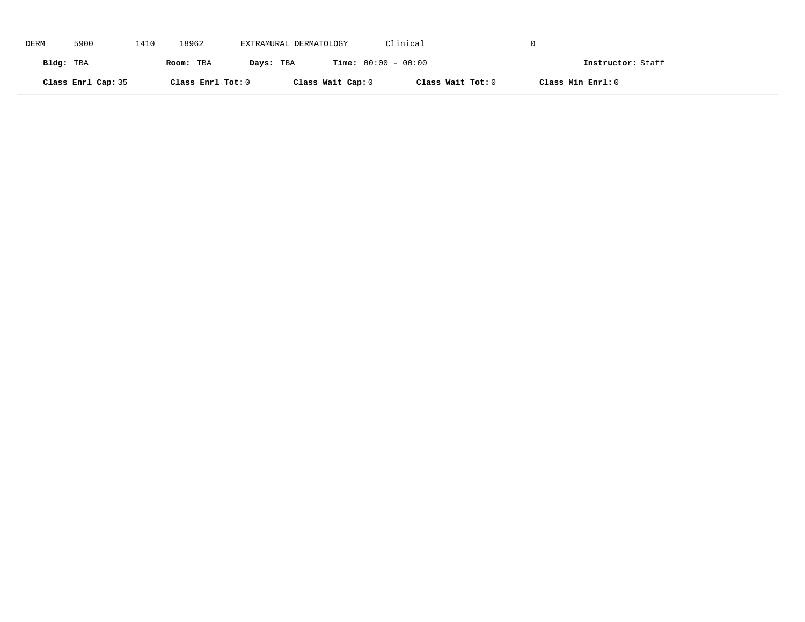| DERM      | 5900               | 1410 | 18962             | EXTRAMURAL DERMATOLOGY |                              | Clinical          |                   |                   |
|-----------|--------------------|------|-------------------|------------------------|------------------------------|-------------------|-------------------|-------------------|
| Bldg: TBA |                    |      | Room: TBA         | Days: TBA              | <b>Time:</b> $00:00 - 00:00$ |                   |                   | Instructor: Staff |
|           | Class Enrl Cap: 35 |      | Class Enrl Tot: 0 |                        | Class Wait Cap: 0            | Class Wait Tot: 0 | Class Min Enrl: 0 |                   |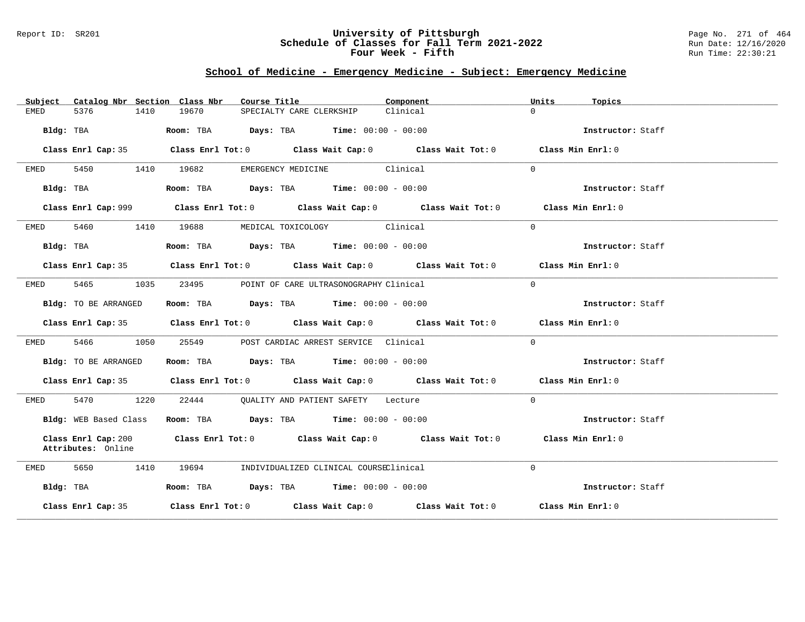### Report ID: SR201 **University of Pittsburgh** Page No. 271 of 464 **Schedule of Classes for Fall Term 2021-2022** Run Date: 12/16/2020 **Four Week - Fifth** Run Time: 22:30:21

# **School of Medicine - Emergency Medicine - Subject: Emergency Medicine**

| Catalog Nbr Section Class Nbr<br>Subject  | Course Title                                                                                | Component | Units<br>Topics   |
|-------------------------------------------|---------------------------------------------------------------------------------------------|-----------|-------------------|
| 5376<br>1410<br>EMED                      | 19670<br>SPECIALTY CARE CLERKSHIP                                                           | Clinical  | $\Omega$          |
| Bldg: TBA                                 | <b>Room:</b> TBA $\qquad \qquad$ Days: TBA $\qquad \qquad$ Time: $00:00 - 00:00$            |           | Instructor: Staff |
| Class Enrl Cap: 35                        | Class Enrl Tot: $0$ Class Wait Cap: $0$ Class Wait Tot: $0$ Class Min Enrl: $0$             |           |                   |
| 5450<br>EMED                              | EMERGENCY MEDICINE Clinical<br>1410<br>19682                                                |           | $\Omega$          |
| Bldg: TBA                                 | Room: TBA $\rule{1em}{0.15mm}$ Days: TBA $\rule{1.5mm}{0.15mm}$ Time: $00:00 - 00:00$       |           | Instructor: Staff |
|                                           | Class Enrl Cap: 999 Class Enrl Tot: 0 Class Wait Cap: 0 Class Wait Tot: 0 Class Min Enrl: 0 |           |                   |
| 5460 1410<br>EMED                         | 19688<br>MEDICAL TOXICOLOGY Clinical                                                        |           | $\Omega$          |
| Bldg: TBA                                 | Room: TBA $Days:$ TBA $Time: 00:00 - 00:00$                                                 |           | Instructor: Staff |
|                                           | Class Enrl Cap: 35 Class Enrl Tot: 0 Class Wait Cap: 0 Class Wait Tot: 0 Class Min Enrl: 0  |           |                   |
| 5465 1035<br>EMED                         | 23495<br>POINT OF CARE ULTRASONOGRAPHY Clinical                                             |           | $\Omega$          |
| Bldg: TO BE ARRANGED                      | Room: TBA $Days:$ TBA $Time: 00:00 - 00:00$                                                 |           | Instructor: Staff |
|                                           | Class Enrl Cap: 35 Class Enrl Tot: 0 Class Wait Cap: 0 Class Wait Tot: 0 Class Min Enrl: 0  |           |                   |
| 5466 1050<br>EMED                         | 25549 POST CARDIAC ARREST SERVICE Clinical                                                  |           | $\Omega$          |
| Bldg: TO BE ARRANGED                      | Room: TBA $Days:$ TBA Time: $00:00 - 00:00$                                                 |           | Instructor: Staff |
|                                           | Class Enrl Cap: 35 Class Enrl Tot: 0 Class Wait Cap: 0 Class Wait Tot: 0 Class Min Enrl: 0  |           |                   |
| 5470 1220<br>EMED                         | 22444 QUALITY AND PATIENT SAFETY Lecture                                                    |           | $\Omega$          |
| Bldg: WEB Based Class                     | Room: TBA $Days:$ TBA $Time: 00:00 - 00:00$                                                 |           | Instructor: Staff |
| Class Enrl Cap: 200<br>Attributes: Online | Class Enrl Tot: $0$ class Wait Cap: $0$ class Wait Tot: $0$                                 |           | Class Min Enrl: 0 |
| 5650<br>1410<br>EMED                      | 19694<br>INDIVIDUALIZED CLINICAL COURSEClinical                                             |           | $\Omega$          |
| Bldg: TBA                                 | Room: TBA $\rule{1em}{0.15mm}$ Days: TBA Time: $00:00 - 00:00$                              |           | Instructor: Staff |
| Class Enrl Cap: 35                        | Class Enrl Tot: $0$ Class Wait Cap: $0$ Class Wait Tot: $0$ Class Min Enrl: $0$             |           |                   |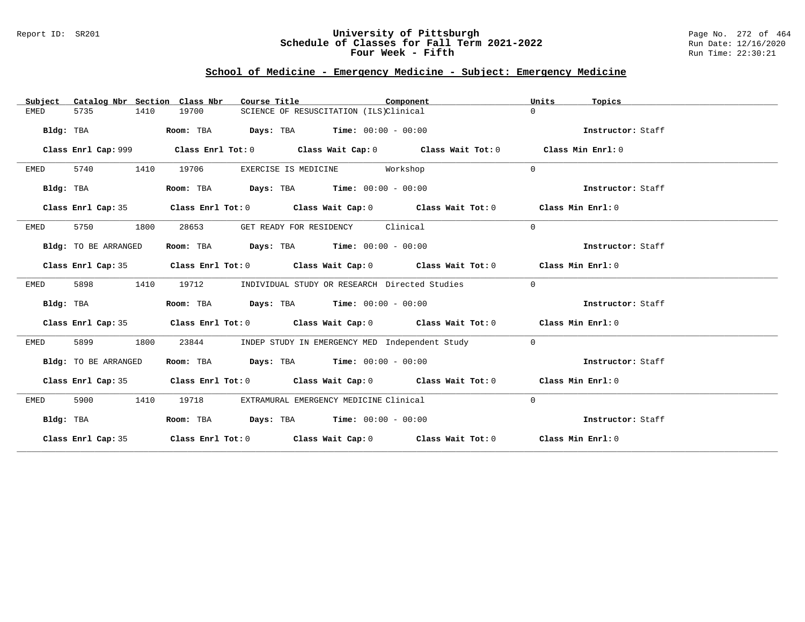## Report ID: SR201 **University of Pittsburgh** Page No. 272 of 464 **Schedule of Classes for Fall Term 2021-2022** Run Date: 12/16/2020 **Four Week - Fifth** Run Time: 22:30:21

# **School of Medicine - Emergency Medicine - Subject: Emergency Medicine**

| Catalog Nbr Section Class Nbr<br>Subject | Course Title                                                                               | Component                                      | Units<br>Topics   |
|------------------------------------------|--------------------------------------------------------------------------------------------|------------------------------------------------|-------------------|
| <b>EMED</b><br>5735<br>1410              | 19700<br>SCIENCE OF RESUSCITATION (ILS)Clinical                                            |                                                | $\Omega$          |
| Bldg: TBA                                | $\texttt{Days:}$ TBA Time: $00:00 - 00:00$<br>Room: TBA                                    |                                                | Instructor: Staff |
| Class Enrl Cap: 999                      | Class Enrl Tot: $0$ Class Wait Cap: $0$ Class Wait Tot: $0$                                |                                                | Class Min Enrl: 0 |
| 5740<br>1410<br>EMED                     | 19706<br>EXERCISE IS MEDICINE Workshop                                                     |                                                | $\Omega$          |
| Bldg: TBA                                | Room: TBA $\rule{1em}{0.15mm}$ Days: TBA $\rule{1.15mm}]{0.15mm}$ Time: $0.000 - 0.0000$   |                                                | Instructor: Staff |
| Class Enrl Cap: 35                       | Class Enrl Tot: $0$ Class Wait Cap: $0$ Class Wait Tot: $0$ Class Min Enrl: $0$            |                                                |                   |
| 5750<br>1800<br>EMED                     | GET READY FOR RESIDENCY Clinical<br>28653                                                  |                                                | $\Omega$          |
| Bldg: TO BE ARRANGED                     | Room: TBA $Days:$ TBA $Time: 00:00 - 00:00$                                                |                                                | Instructor: Staff |
|                                          | Class Enrl Cap: 35 Class Enrl Tot: 0 Class Wait Cap: 0 Class Wait Tot: 0 Class Min Enrl: 0 |                                                |                   |
| 5898<br>1410<br>EMED                     | 19712<br>INDIVIDUAL STUDY OR RESEARCH Directed Studies                                     |                                                | $\mathbf{0}$      |
| Bldg: TBA                                | Room: TBA $Days:$ TBA $Time: 00:00 - 00:00$                                                |                                                | Instructor: Staff |
|                                          | Class Enrl Cap: 35 Class Enrl Tot: 0 Class Wait Cap: 0 Class Wait Tot: 0 Class Min Enrl: 0 |                                                |                   |
| 5899<br>1800<br>EMED                     | 23844                                                                                      | INDEP STUDY IN EMERGENCY MED Independent Study | $\mathbf 0$       |
| Bldg: TO BE ARRANGED                     | Room: TBA $Days:$ TBA $Time: 00:00 - 00:00$                                                |                                                | Instructor: Staff |
|                                          | Class Enrl Cap: 35 Class Enrl Tot: 0 Class Wait Cap: 0 Class Wait Tot: 0 Class Min Enrl: 0 |                                                |                   |
| 5900<br>1410<br>EMED                     | 19718<br>EXTRAMURAL EMERGENCY MEDICINE Clinical                                            |                                                | $\mathbf 0$       |
| Bldg: TBA                                | Room: TBA $Days:$ TBA $Time: 00:00 - 00:00$                                                |                                                | Instructor: Staff |
|                                          | Class Enrl Cap: 35 Class Enrl Tot: 0 Class Wait Cap: 0 Class Wait Tot: 0 Class Min Enrl: 0 |                                                |                   |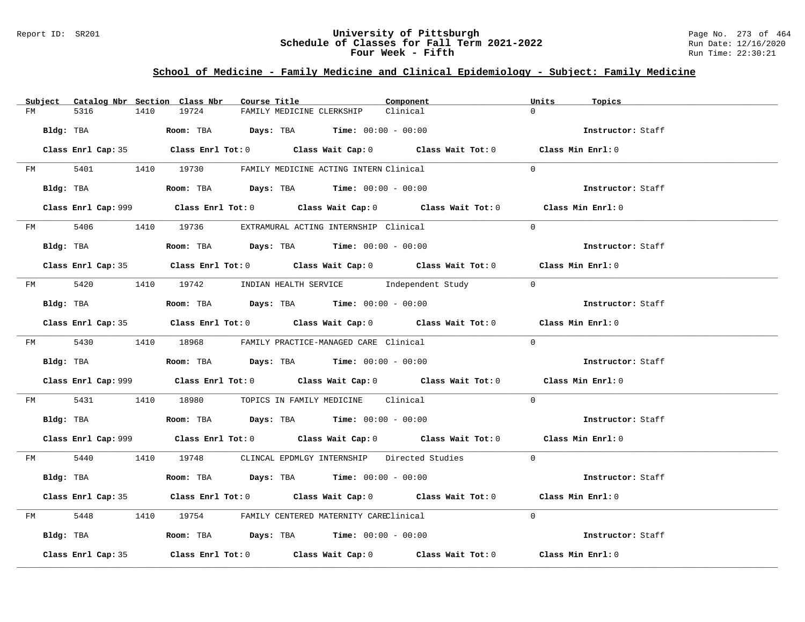## Report ID: SR201 **University of Pittsburgh** Page No. 273 of 464 **Schedule of Classes for Fall Term 2021-2022** Run Date: 12/16/2020 **Four Week - Fifth** Run Time: 22:30:21

# **School of Medicine - Family Medicine and Clinical Epidemiology - Subject: Family Medicine**

|         | Subject Catalog Nbr Section Class Nbr | Course Title                                                                                | Component | Units<br>Topics   |
|---------|---------------------------------------|---------------------------------------------------------------------------------------------|-----------|-------------------|
| FM      | 5316<br>1410                          | 19724<br>FAMILY MEDICINE CLERKSHIP                                                          | Clinical  | $\Omega$          |
|         | Bldg: TBA                             | Room: TBA $Days:$ TBA $Time: 00:00 - 00:00$                                                 |           | Instructor: Staff |
|         |                                       | Class Enrl Cap: 35 Class Enrl Tot: 0 Class Wait Cap: 0 Class Wait Tot: 0 Class Min Enrl: 0  |           |                   |
|         |                                       | FM 5401 1410 19730 FAMILY MEDICINE ACTING INTERN Clinical                                   |           | $\Omega$          |
|         | Bldg: TBA                             | Room: TBA $Days:$ TBA $Time: 00:00 - 00:00$                                                 |           | Instructor: Staff |
|         |                                       | Class Enrl Cap: 999 Class Enrl Tot: 0 Class Wait Cap: 0 Class Wait Tot: 0 Class Min Enrl: 0 |           |                   |
|         |                                       | FM 5406 1410 19736 EXTRAMURAL ACTING INTERNSHIP Clinical                                    |           | $\Omega$          |
|         | Bldg: TBA                             | Room: TBA $Days:$ TBA $Time: 00:00 - 00:00$                                                 |           | Instructor: Staff |
|         |                                       | Class Enrl Cap: 35 Class Enrl Tot: 0 Class Wait Cap: 0 Class Wait Tot: 0 Class Min Enrl: 0  |           |                   |
|         |                                       | FM 5420 1410 19742 INDIAN HEALTH SERVICE Independent Study 0                                |           |                   |
|         | Bldg: TBA                             | Room: TBA $Days:$ TBA Time: $00:00 - 00:00$                                                 |           | Instructor: Staff |
|         |                                       | Class Enrl Cap: 35 Class Enrl Tot: 0 Class Wait Cap: 0 Class Wait Tot: 0 Class Min Enrl: 0  |           |                   |
|         |                                       | FM 5430 1410 18968 FAMILY PRACTICE-MANAGED CARE Clinical                                    |           | $\Omega$          |
|         |                                       | <b>Bldg:</b> TBA <b>Room:</b> TBA <b>Days:</b> TBA <b>Time:</b> $00:00 - 00:00$             |           | Instructor: Staff |
|         |                                       | Class Enrl Cap: 999 Class Enrl Tot: 0 Class Wait Cap: 0 Class Wait Tot: 0 Class Min Enrl: 0 |           |                   |
| FM 5431 |                                       | 1410 18980 TOPICS IN FAMILY MEDICINE Clinical                                               |           | $\Omega$          |
|         |                                       | Bldg: TBA                       Room: TBA          Days: TBA         Time: 00:00 - 00:00    |           | Instructor: Staff |
|         |                                       | Class Enrl Cap: 999 Class Enrl Tot: 0 Class Wait Cap: 0 Class Wait Tot: 0 Class Min Enrl: 0 |           |                   |
|         |                                       | FM 5440 1410 19748 CLINCAL EPDMLGY INTERNSHIP Directed Studies 0                            |           |                   |
|         | Bldg: TBA                             | Room: TBA $Days:$ TBA $Time: 00:00 - 00:00$                                                 |           | Instructor: Staff |
|         |                                       | Class Enrl Cap: 35 Class Enrl Tot: 0 Class Wait Cap: 0 Class Wait Tot: 0 Class Min Enrl: 0  |           |                   |
|         |                                       | FM 5448 1410 19754 FAMILY CENTERED MATERNITY CAREClinical                                   |           | $\Omega$          |
|         |                                       | Bldg: TBA                  Room: TBA        Days: TBA        Time: 00:00 - 00:00            |           | Instructor: Staff |
|         | Class Enrl Cap: 35                    | Class Enrl Tot: $0$ Class Wait Cap: $0$ Class Wait Tot: $0$ Class Min Enrl: $0$             |           |                   |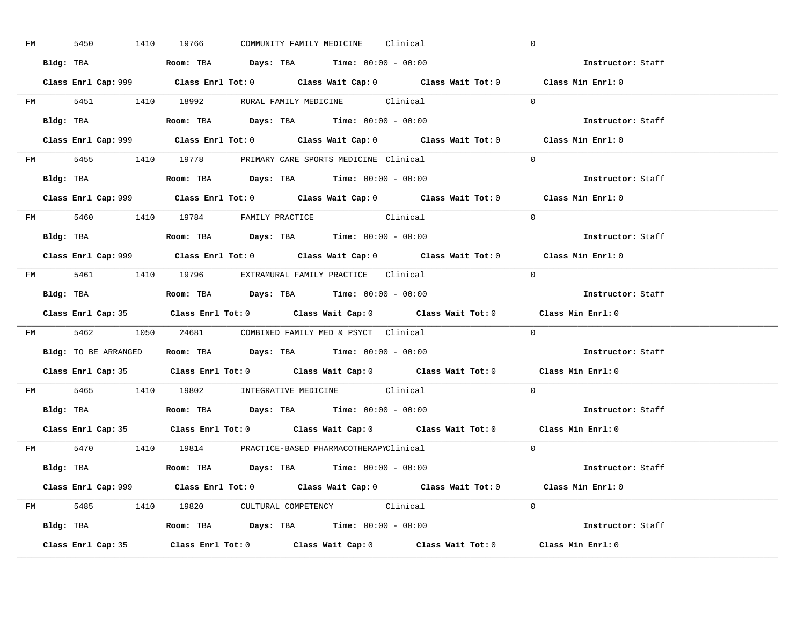| FM | 5450 |  | 1410 19766                                                                             |  | COMMUNITY FAMILY MEDICINE Clinical |                                                                                             | $\overline{0}$ |                          |  |
|----|------|--|----------------------------------------------------------------------------------------|--|------------------------------------|---------------------------------------------------------------------------------------------|----------------|--------------------------|--|
|    |      |  | Bldg: TBA                   Room: TBA         Days: TBA         Time: $00:00 - 00:00$  |  |                                    |                                                                                             |                | Instructor: Staff        |  |
|    |      |  |                                                                                        |  |                                    | Class Enrl Cap: 999 Class Enrl Tot: 0 Class Wait Cap: 0 Class Wait Tot: 0 Class Min Enrl: 0 |                |                          |  |
|    |      |  |                                                                                        |  |                                    | FM 5451 1410 18992 RURAL FAMILY MEDICINE Clinical 0                                         |                |                          |  |
|    |      |  | Bldg: TBA                   Room: TBA         Days: TBA         Time: $00:00 - 00:00$  |  |                                    |                                                                                             |                | Instructor: Staff        |  |
|    |      |  |                                                                                        |  |                                    | Class Enrl Cap: 999 Class Enrl Tot: 0 Class Wait Cap: 0 Class Wait Tot: 0 Class Min Enrl: 0 |                |                          |  |
|    |      |  | FM 5455 1410 19778 PRIMARY CARE SPORTS MEDICINE Clinical                               |  |                                    |                                                                                             |                | $\Omega$                 |  |
|    |      |  | Bldg: TBA                    Room: TBA         Days: TBA        Time: $00:00 - 00:00$  |  |                                    |                                                                                             |                | Instructor: Staff        |  |
|    |      |  |                                                                                        |  |                                    | Class Enrl Cap: 999 Class Enrl Tot: 0 Class Wait Cap: 0 Class Wait Tot: 0 Class Min Enrl: 0 |                |                          |  |
|    |      |  | FM 5460 1410 19784 FAMILY PRACTICE Clinical                                            |  |                                    |                                                                                             |                | $\Omega$                 |  |
|    |      |  | Bldg: TBA<br>Room: TBA<br>Days: TBA<br>Time: $00:00 - 00:00$                           |  |                                    |                                                                                             |                | Instructor: Staff        |  |
|    |      |  |                                                                                        |  |                                    | Class Enrl Cap: 999 Class Enrl Tot: 0 Class Wait Cap: 0 Class Wait Tot: 0 Class Min Enrl: 0 |                |                          |  |
|    |      |  | FM 5461 1410 19796 EXTRAMURAL FAMILY PRACTICE Clinical                                 |  |                                    |                                                                                             | $\bigcirc$     |                          |  |
|    |      |  |                                                                                        |  |                                    |                                                                                             |                | Instructor: Staff        |  |
|    |      |  |                                                                                        |  |                                    |                                                                                             |                |                          |  |
|    |      |  |                                                                                        |  |                                    | Class Enrl Cap: 35 Class Enrl Tot: 0 Class Wait Cap: 0 Class Wait Tot: 0 Class Min Enrl: 0  |                |                          |  |
|    |      |  | FM 5462 1050 24681 COMBINED FAMILY MED & PSYCT Clinical                                |  |                                    |                                                                                             |                | $\overline{0}$           |  |
|    |      |  | Bldg: TO BE ARRANGED ROOM: TBA Days: TBA Time: 00:00 - 00:00                           |  |                                    |                                                                                             |                | <b>Instructor:</b> Staff |  |
|    |      |  |                                                                                        |  |                                    | Class Enrl Cap: 35 Class Enrl Tot: 0 Class Wait Cap: 0 Class Wait Tot: 0 Class Min Enrl: 0  |                |                          |  |
|    |      |  | FM 5465 1410 19802 INTEGRATIVE MEDICINE Clinical                                       |  |                                    |                                                                                             |                | $\Omega$                 |  |
|    |      |  | Bldg: TBA                    Room: TBA         Days: TBA         Time: $00:00 - 00:00$ |  |                                    |                                                                                             |                | Instructor: Staff        |  |
|    |      |  |                                                                                        |  |                                    | Class Enrl Cap: 35 Class Enrl Tot: 0 Class Wait Cap: 0 Class Wait Tot: 0 Class Min Enrl: 0  |                |                          |  |
|    |      |  | FM 5470 1410 19814 PRACTICE-BASED PHARMACOTHERAPYClinical                              |  |                                    |                                                                                             |                | $\Omega$                 |  |
|    |      |  | Bldg: TBA                   Room: TBA         Days: TBA        Time: 00:00 - 00:00     |  |                                    |                                                                                             |                | Instructor: Staff        |  |
|    |      |  |                                                                                        |  |                                    | Class Enrl Cap: 999 Class Enrl Tot: 0 Class Wait Cap: 0 Class Wait Tot: 0 Class Min Enrl: 0 |                |                          |  |
|    |      |  | FM 5485 1410 19820 CULTURAL COMPETENCY Clinical                                        |  |                                    |                                                                                             |                | $\Omega$                 |  |
|    |      |  | Bldg: TBA                    Room: TBA         Days: TBA         Time: $00:00 - 00:00$ |  |                                    |                                                                                             |                | Instructor: Staff        |  |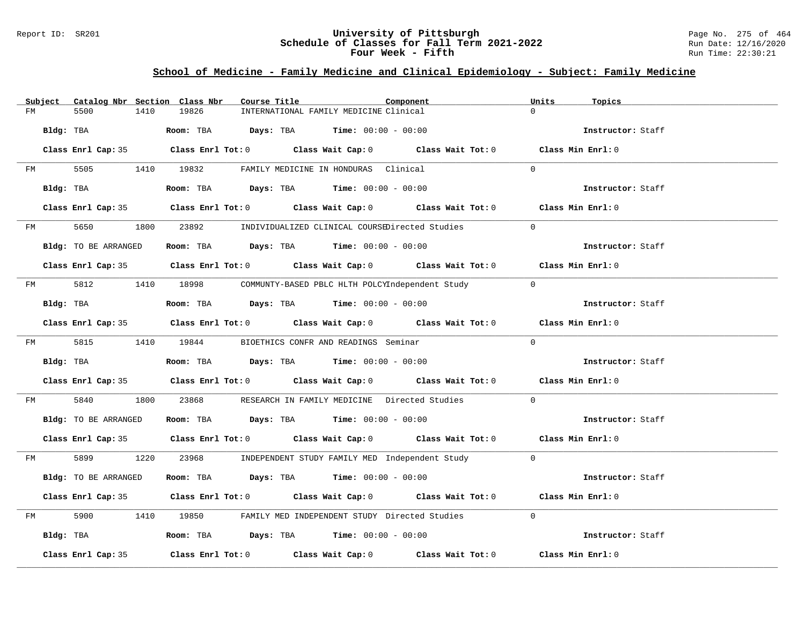## Report ID: SR201 **University of Pittsburgh** Page No. 275 of 464 **Schedule of Classes for Fall Term 2021-2022** Run Date: 12/16/2020 **Four Week - Fifth** Run Time: 22:30:21

# **School of Medicine - Family Medicine and Clinical Epidemiology - Subject: Family Medicine**

|    | Subject   | Catalog Nbr Section Class Nbr                        |      |       | Course Title |                                               | Component                                                                                  | Units    | Topics            |  |
|----|-----------|------------------------------------------------------|------|-------|--------------|-----------------------------------------------|--------------------------------------------------------------------------------------------|----------|-------------------|--|
| FM |           | 5500                                                 | 1410 | 19826 |              | INTERNATIONAL FAMILY MEDICINE Clinical        |                                                                                            | $\Omega$ |                   |  |
|    | Bldg: TBA |                                                      |      |       |              | Room: TBA $Days:$ TBA $Time: 00:00 - 00:00$   |                                                                                            |          | Instructor: Staff |  |
|    |           |                                                      |      |       |              |                                               | Class Enrl Cap: 35 Class Enrl Tot: 0 Class Wait Cap: 0 Class Wait Tot: 0 Class Min Enrl: 0 |          |                   |  |
| FM |           | 5505 1410 19832 FAMILY MEDICINE IN HONDURAS Clinical |      |       |              |                                               |                                                                                            | $\Omega$ |                   |  |
|    |           | Bldg: TBA                                            |      |       |              | Room: TBA $Days:$ TBA $Time: 00:00 - 00:00$   |                                                                                            |          | Instructor: Staff |  |
|    |           |                                                      |      |       |              |                                               | Class Enrl Cap: 35 Class Enrl Tot: 0 Class Wait Cap: 0 Class Wait Tot: 0 Class Min Enrl: 0 |          |                   |  |
|    |           | FM 5650                                              |      |       |              |                                               | 1800 23892 INDIVIDUALIZED CLINICAL COURSEDirected Studies                                  | $\Omega$ |                   |  |
|    |           | Bldg: TO BE ARRANGED                                 |      |       |              | Room: TBA $Days:$ TBA $Time: 00:00 - 00:00$   |                                                                                            |          | Instructor: Staff |  |
|    |           |                                                      |      |       |              |                                               | Class Enrl Cap: 35 Class Enrl Tot: 0 Class Wait Cap: 0 Class Wait Tot: 0 Class Min Enrl: 0 |          |                   |  |
|    |           |                                                      |      |       |              |                                               | FM 5812 1410 18998 COMMUNTY-BASED PBLC HLTH POLCYIndependent Study 0                       |          |                   |  |
|    |           | Bldg: TBA                                            |      |       |              | Room: TBA $Days:$ TBA $Time: 00:00 - 00:00$   |                                                                                            |          | Instructor: Staff |  |
|    |           |                                                      |      |       |              |                                               | Class Enrl Cap: 35 Class Enrl Tot: 0 Class Wait Cap: 0 Class Wait Tot: 0 Class Min Enrl: 0 |          |                   |  |
|    |           | FM 5815 1410 19844                                   |      |       |              | BIOETHICS CONFR AND READINGS Seminar          |                                                                                            | $\Omega$ |                   |  |
|    |           | Bldg: TBA                                            |      |       |              | Room: TBA $Days:$ TBA $Time: 00:00 - 00:00$   |                                                                                            |          | Instructor: Staff |  |
|    |           |                                                      |      |       |              |                                               | Class Enrl Cap: 35 Class Enrl Tot: 0 Class Wait Cap: 0 Class Wait Tot: 0 Class Min Enrl: 0 |          |                   |  |
| FM |           | 5840                                                 |      |       |              |                                               | 1800 23868 RESEARCH IN FAMILY MEDICINE Directed Studies                                    | $\Omega$ |                   |  |
|    |           | Bldg: TO BE ARRANGED                                 |      |       |              | Room: TBA $Days:$ TBA $Time: 00:00 - 00:00$   |                                                                                            |          | Instructor: Staff |  |
|    |           |                                                      |      |       |              |                                               | Class Enrl Cap: 35 Class Enrl Tot: 0 Class Wait Cap: 0 Class Wait Tot: 0 Class Min Enrl: 0 |          |                   |  |
|    |           |                                                      |      |       |              |                                               | FM 5899 1220 23968 INDEPENDENT STUDY FAMILY MED Independent Study 0                        |          |                   |  |
|    |           | Bldg: TO BE ARRANGED                                 |      |       |              | Room: TBA $Days:$ TBA $Time: 00:00 - 00:00$   |                                                                                            |          | Instructor: Staff |  |
|    |           |                                                      |      |       |              |                                               | Class Enrl Cap: 35 Class Enrl Tot: 0 Class Wait Cap: 0 Class Wait Tot: 0 Class Min Enrl: 0 |          |                   |  |
| FM |           |                                                      |      |       |              |                                               | 5900 1410 19850 FAMILY MED INDEPENDENT STUDY Directed Studies                              | $\Omega$ |                   |  |
|    |           | Bldg: TBA                                            |      |       |              | Room: TBA $Days:$ TBA $Time:$ $00:00 - 00:00$ |                                                                                            |          | Instructor: Staff |  |
|    |           | Class Enrl Cap: 35                                   |      |       |              |                                               | Class Enrl Tot: $0$ Class Wait Cap: $0$ Class Wait Tot: $0$ Class Min Enrl: $0$            |          |                   |  |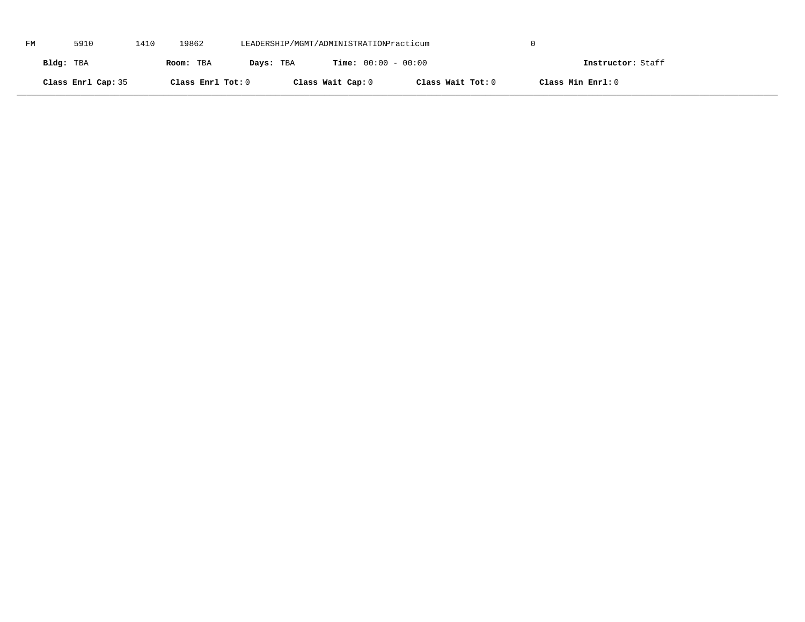| FM | 5910               | 1410 | 19862             | LEADERSHIP/MGMT/ADMINISTRATIONPracticum |                              |                   |                   |  |
|----|--------------------|------|-------------------|-----------------------------------------|------------------------------|-------------------|-------------------|--|
|    | Bldg: TBA          |      | Room: TBA         | Days: TBA                               | <b>Time:</b> $00:00 - 00:00$ |                   | Instructor: Staff |  |
|    | Class Enrl Cap: 35 |      | Class Enrl Tot: 0 |                                         | Class Wait Cap: 0            | Class Wait Tot: 0 | Class Min Enrl: 0 |  |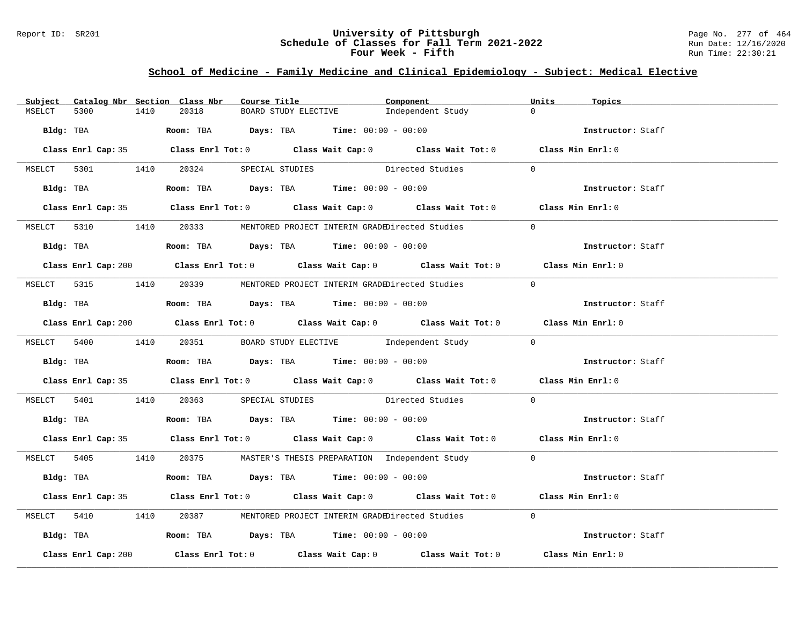## Report ID: SR201 **University of Pittsburgh** Page No. 277 of 464 **Schedule of Classes for Fall Term 2021-2022** Run Date: 12/16/2020 **Four Week - Fifth** Run Time: 22:30:21

# **School of Medicine - Family Medicine and Clinical Epidemiology - Subject: Medical Elective**

| Subject |                     |      | Catalog Nbr Section Class Nbr | Course Title |                                                                                            | Component                                                                                   | Units          | Topics            |  |
|---------|---------------------|------|-------------------------------|--------------|--------------------------------------------------------------------------------------------|---------------------------------------------------------------------------------------------|----------------|-------------------|--|
| MSELCT  | 5300                | 1410 | 20318                         |              | BOARD STUDY ELECTIVE                                                                       | Independent Study                                                                           | $\Omega$       |                   |  |
|         | Bldg: TBA           |      |                               |              | <b>Room:</b> TBA $\rule{1em}{0.15mm}$ $Days:$ TBA $\qquad$ Time: $00:00 - 00:00$           |                                                                                             |                | Instructor: Staff |  |
|         |                     |      |                               |              |                                                                                            | Class Enrl Cap: 35 Class Enrl Tot: 0 Class Wait Cap: 0 Class Wait Tot: 0 Class Min Enrl: 0  |                |                   |  |
|         |                     |      |                               |              |                                                                                            | MSELCT 5301 1410 20324 SPECIAL STUDIES Directed Studies                                     | $\overline{0}$ |                   |  |
|         |                     |      |                               |              |                                                                                            | Bldg: TBA Room: TBA Days: TBA Time: 00:00 - 00:00                                           |                | Instructor: Staff |  |
|         |                     |      |                               |              |                                                                                            | Class Enrl Cap: 35 Class Enrl Tot: 0 Class Wait Cap: 0 Class Wait Tot: 0 Class Min Enrl: 0  |                |                   |  |
|         |                     |      |                               |              |                                                                                            | MSELCT 5310 1410 20333 MENTORED PROJECT INTERIM GRADEDirected Studies                       | $\Omega$       |                   |  |
|         |                     |      |                               |              | Bldg: TBA                   Room: TBA         Days: TBA        Time: $00:00 - 00:00$       |                                                                                             |                | Instructor: Staff |  |
|         |                     |      |                               |              |                                                                                            | Class Enrl Cap: 200 Class Enrl Tot: 0 Class Wait Cap: 0 Class Wait Tot: 0 Class Min Enrl: 0 |                |                   |  |
|         |                     |      |                               |              |                                                                                            | MSELCT 5315 1410 20339 MENTORED PROJECT INTERIM GRADEDirected Studies                       | $\bigcap$      |                   |  |
|         |                     |      |                               |              | Bldg: TBA                    Room: TBA        Days: TBA        Time: 00:00 - 00:00         |                                                                                             |                | Instructor: Staff |  |
|         |                     |      |                               |              |                                                                                            | Class Enrl Cap: 200 Class Enrl Tot: 0 Class Wait Cap: 0 Class Wait Tot: 0 Class Min Enrl: 0 |                |                   |  |
|         |                     |      |                               |              |                                                                                            | MSELCT 5400 1410 20351 BOARD STUDY ELECTIVE Independent Study 0                             |                |                   |  |
|         |                     |      |                               |              | Bldg: TBA <b>ROOM: TBA Days: TBA Time: 00:00 - 00:00</b>                                   |                                                                                             |                | Instructor: Staff |  |
|         |                     |      |                               |              |                                                                                            | Class Enrl Cap: 35 Class Enrl Tot: 0 Class Wait Cap: 0 Class Wait Tot: 0 Class Min Enrl: 0  |                |                   |  |
|         |                     |      |                               |              |                                                                                            | MSELCT 5401 1410 20363 SPECIAL STUDIES Directed Studies 0                                   |                |                   |  |
|         |                     |      |                               |              | Bldg: TBA                     Room: TBA        Days: TBA        Time: 00:00 - 00:00        |                                                                                             |                | Instructor: Staff |  |
|         |                     |      |                               |              |                                                                                            | Class Enrl Cap: 35 Class Enrl Tot: 0 Class Wait Cap: 0 Class Wait Tot: 0 Class Min Enrl: 0  |                |                   |  |
|         |                     |      |                               |              |                                                                                            | MSELCT 5405 1410 20375 MASTER'S THESIS PREPARATION Independent Study 0                      |                |                   |  |
|         |                     |      |                               |              | Bldg: TBA                     Room: TBA           Days: TBA          Time: $00:00 - 00:00$ |                                                                                             |                | Instructor: Staff |  |
|         |                     |      |                               |              |                                                                                            | Class Enrl Cap: 35 Class Enrl Tot: 0 Class Wait Cap: 0 Class Wait Tot: 0 Class Min Enrl: 0  |                |                   |  |
|         |                     |      |                               |              |                                                                                            | MSELCT 5410 1410 20387 MENTORED PROJECT INTERIM GRADEDirected Studies                       | $\Omega$       |                   |  |
|         |                     |      |                               |              | Bldg: TBA                    Room: TBA         Days: TBA         Time: 00:00 - 00:00       |                                                                                             |                | Instructor: Staff |  |
|         | Class Enrl Cap: 200 |      |                               |              |                                                                                            | Class Enrl Tot: $0$ Class Wait Cap: $0$ Class Wait Tot: $0$                                 |                | Class Min Enrl: 0 |  |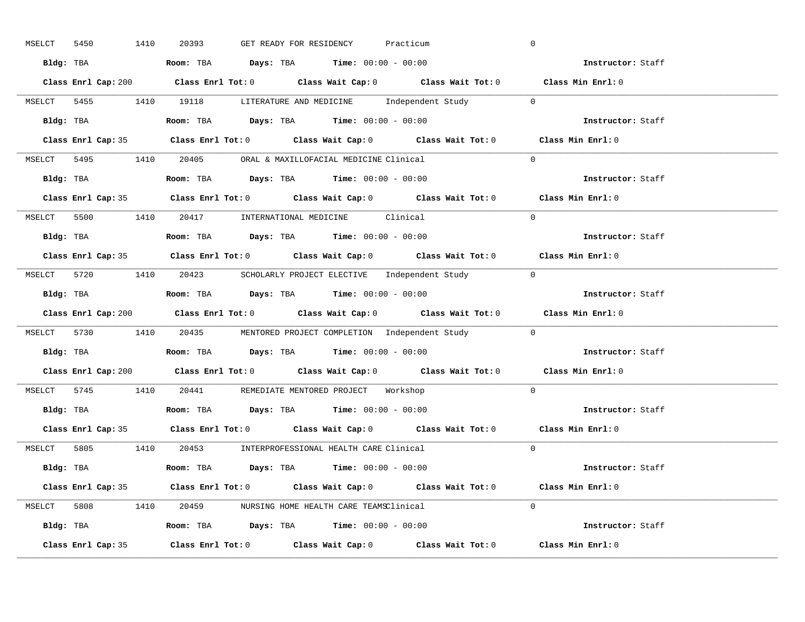| MSELCT 5450 | 1410 | 20393                                                                                  |  | GET READY FOR RESIDENCY | Practicum                                                              | $\overline{0}$                                                                              |  |
|-------------|------|----------------------------------------------------------------------------------------|--|-------------------------|------------------------------------------------------------------------|---------------------------------------------------------------------------------------------|--|
|             |      | Bldg: TBA                   Room: TBA         Days: TBA         Time: 00:00 - 00:00    |  |                         |                                                                        | <b>Example 2</b> Instructor: Staff                                                          |  |
|             |      |                                                                                        |  |                         |                                                                        | Class Enrl Cap: 200 Class Enrl Tot: 0 Class Wait Cap: 0 Class Wait Tot: 0 Class Min Enrl: 0 |  |
|             |      |                                                                                        |  |                         | MSELCT 5455 1410 19118 LITERATURE AND MEDICINE Independent Study 0     |                                                                                             |  |
|             |      | <b>Bldg:</b> TBA <b>ROOM:</b> TBA <b>Days:</b> TBA <b>Time:</b> $00:00 - 00:00$        |  |                         |                                                                        | Instructor: Staff                                                                           |  |
|             |      |                                                                                        |  |                         |                                                                        | Class Enrl Cap: 35 Class Enrl Tot: 0 Class Wait Cap: 0 Class Wait Tot: 0 Class Min Enrl: 0  |  |
|             |      | MSELCT 5495 1410 20405 ORAL & MAXILLOFACIAL MEDICINE Clinical                          |  |                         |                                                                        | $\Omega$                                                                                    |  |
|             |      | Bldg: TBA                    Room: TBA         Days: TBA        Time: $00:00 - 00:00$  |  |                         |                                                                        | Instructor: Staff                                                                           |  |
|             |      |                                                                                        |  |                         |                                                                        | Class Enrl Cap: 35 Class Enrl Tot: 0 Class Wait Cap: 0 Class Wait Tot: 0 Class Min Enrl: 0  |  |
|             |      | MSELCT 5500 1410 20417 INTERNATIONAL MEDICINE Clinical                                 |  |                         |                                                                        | $\Omega$                                                                                    |  |
|             |      | Bldg: TBA                    Room: TBA         Days: TBA         Time: $00:00 - 00:00$ |  |                         |                                                                        | Instructor: Staff                                                                           |  |
|             |      |                                                                                        |  |                         |                                                                        | Class Enrl Cap: 35 Class Enrl Tot: 0 Class Wait Cap: 0 Class Wait Tot: 0 Class Min Enrl: 0  |  |
|             |      |                                                                                        |  |                         | MSELCT 5720 1410 20423 SCHOLARLY PROJECT ELECTIVE Independent Study 0  |                                                                                             |  |
|             |      | Bldg: TBA                    Room: TBA        Days: TBA        Time: 00:00 - 00:00     |  |                         |                                                                        | Instructor: Staff                                                                           |  |
|             |      |                                                                                        |  |                         |                                                                        | Class Enrl Cap: 200 Class Enrl Tot: 0 Class Wait Cap: 0 Class Wait Tot: 0 Class Min Enrl: 0 |  |
|             |      |                                                                                        |  |                         | MSELCT 5730 1410 20435 MENTORED PROJECT COMPLETION Independent Study 0 |                                                                                             |  |
|             |      |                                                                                        |  |                         |                                                                        |                                                                                             |  |
|             |      | Bldg: TBA                    Room: TBA         Days: TBA         Time: 00:00 - 00:00   |  |                         |                                                                        | Instructor: Staff                                                                           |  |
|             |      |                                                                                        |  |                         |                                                                        | Class Enrl Cap: 200 Class Enrl Tot: 0 Class Wait Cap: 0 Class Wait Tot: 0 Class Min Enrl: 0 |  |
|             |      | MSELCT 5745 1410 20441 REMEDIATE MENTORED PROJECT Workshop                             |  |                         |                                                                        | $\Omega$                                                                                    |  |
|             |      | Bldg: TBA                    Room: TBA         Days: TBA         Time: $00:00 - 00:00$ |  |                         |                                                                        | Instructor: Staff                                                                           |  |
|             |      |                                                                                        |  |                         |                                                                        | Class Enrl Cap: 35 Class Enrl Tot: 0 Class Wait Cap: 0 Class Wait Tot: 0 Class Min Enrl: 0  |  |
|             |      | MSELCT 5805 1410 20453 INTERPROFESSIONAL HEALTH CARE Clinical                          |  |                         |                                                                        | $\Omega$                                                                                    |  |
|             |      | Bldg: TBA                   Room: TBA        Days: TBA        Time: 00:00 - 00:00      |  |                         |                                                                        | Instructor: Staff                                                                           |  |
|             |      |                                                                                        |  |                         |                                                                        | Class Enrl Cap: 35 Class Enrl Tot: 0 Class Wait Cap: 0 Class Wait Tot: 0 Class Min Enrl: 0  |  |
|             |      | MSELCT 5808 1410 20459 NURSING HOME HEALTH CARE TEAMSClinical                          |  |                         |                                                                        | $\Omega$                                                                                    |  |
|             |      | Bldg: TBA                    Room: TBA         Days: TBA         Time: 00:00 - 00:00   |  |                         |                                                                        | Instructor: Staff                                                                           |  |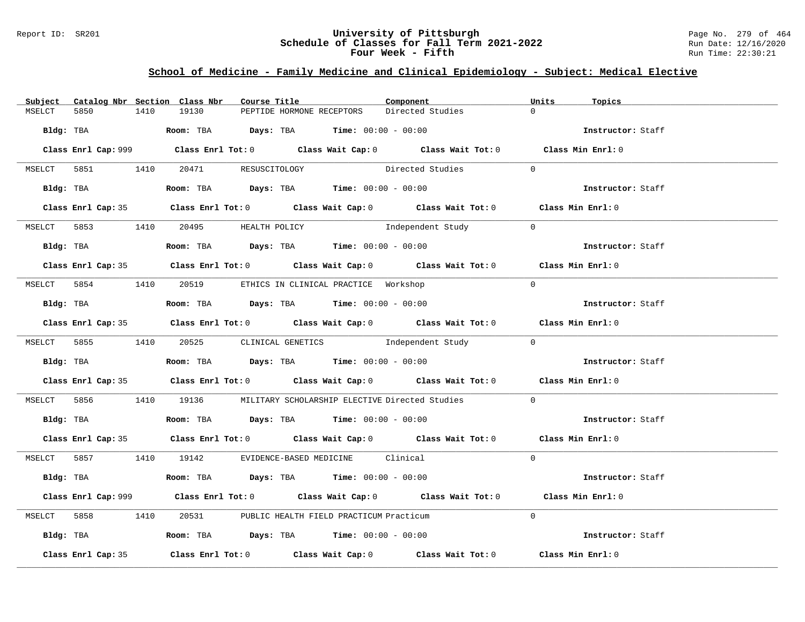## Report ID: SR201 **University of Pittsburgh** Page No. 279 of 464 **Schedule of Classes for Fall Term 2021-2022** Run Date: 12/16/2020 **Four Week - Fifth** Run Time: 22:30:21

# **School of Medicine - Family Medicine and Clinical Epidemiology - Subject: Medical Elective**

| Subject |                    |      | Catalog Nbr Section Class Nbr        | Course Title |                                                                                               | Component                                                                                   |            | Units    | Topics            |  |
|---------|--------------------|------|--------------------------------------|--------------|-----------------------------------------------------------------------------------------------|---------------------------------------------------------------------------------------------|------------|----------|-------------------|--|
| MSELCT  | 5850               | 1410 | 19130                                |              | PEPTIDE HORMONE RECEPTORS                                                                     | Directed Studies                                                                            |            | $\Omega$ |                   |  |
|         |                    |      |                                      |              | Bldg: TBA                     Room: TBA         Days: TBA         Time: 00:00 - 00:00         |                                                                                             |            |          | Instructor: Staff |  |
|         |                    |      |                                      |              |                                                                                               | Class Enrl Cap: 999 Class Enrl Tot: 0 Class Wait Cap: 0 Class Wait Tot: 0 Class Min Enrl: 0 |            |          |                   |  |
|         |                    |      | MSELCT 5851 1410 20471 RESUSCITOLOGY |              |                                                                                               | Directed Studies                                                                            | $\Omega$   |          |                   |  |
|         |                    |      |                                      |              | Bldg: TBA                    Room: TBA         Days: TBA         Time: $00:00 - 00:00$        |                                                                                             |            |          | Instructor: Staff |  |
|         |                    |      |                                      |              |                                                                                               | Class Enrl Cap: 35 Class Enrl Tot: 0 Class Wait Cap: 0 Class Wait Tot: 0 Class Min Enrl: 0  |            |          |                   |  |
|         |                    |      | MSELCT 5853 1410 20495 HEALTH POLICY |              |                                                                                               | Independent Study                                                                           | $\bigcirc$ |          |                   |  |
|         |                    |      |                                      |              | Bldg: TBA                    Room: TBA        Days: TBA        Time: 00:00 - 00:00            |                                                                                             |            |          | Instructor: Staff |  |
|         |                    |      |                                      |              |                                                                                               | Class Enrl Cap: 35 Class Enrl Tot: 0 Class Wait Cap: 0 Class Wait Tot: 0 Class Min Enrl: 0  |            |          |                   |  |
|         |                    |      |                                      |              | MSELCT 5854 1410 20519 ETHICS IN CLINICAL PRACTICE Workshop                                   |                                                                                             | $\Omega$   |          |                   |  |
|         |                    |      |                                      |              | Bldg: TBA                   Room: TBA         Days: TBA         Time: 00:00 - 00:00           |                                                                                             |            |          | Instructor: Staff |  |
|         |                    |      |                                      |              |                                                                                               | Class Enrl Cap: 35 Class Enrl Tot: 0 Class Wait Cap: 0 Class Wait Tot: 0 Class Min Enrl: 0  |            |          |                   |  |
|         |                    |      |                                      |              |                                                                                               | MSELCT 5855 1410 20525 CLINICAL GENETICS Independent Study 0                                |            |          |                   |  |
|         |                    |      |                                      |              | Bldg: TBA                   Room: TBA         Days: TBA         Time: $00:00 - 00:00$         |                                                                                             |            |          | Instructor: Staff |  |
|         |                    |      |                                      |              |                                                                                               | Class Enrl Cap: 35 Class Enrl Tot: 0 Class Wait Cap: 0 Class Wait Tot: 0 Class Min Enrl: 0  |            |          |                   |  |
|         |                    |      |                                      |              |                                                                                               | MSELCT 5856 1410 19136 MILITARY SCHOLARSHIP ELECTIVE Directed Studies                       | $\Omega$   |          |                   |  |
|         |                    |      |                                      |              | Bldg: TBA                         Room: TBA          Days: TBA          Time: $00:00 - 00:00$ |                                                                                             |            |          | Instructor: Staff |  |
|         |                    |      |                                      |              |                                                                                               | Class Enrl Cap: 35 Class Enrl Tot: 0 Class Wait Cap: 0 Class Wait Tot: 0 Class Min Enrl: 0  |            |          |                   |  |
|         |                    |      |                                      |              | MSELCT 5857 1410 19142 EVIDENCE-BASED MEDICINE Clinical                                       |                                                                                             | $\Omega$   |          |                   |  |
|         |                    |      |                                      |              | Bldg: TBA                   Room: TBA         Days: TBA        Time: $00:00 - 00:00$          |                                                                                             |            |          | Instructor: Staff |  |
|         |                    |      |                                      |              |                                                                                               | Class Enrl Cap: 999 Class Enrl Tot: 0 Class Wait Cap: 0 Class Wait Tot: 0 Class Min Enrl: 0 |            |          |                   |  |
|         |                    |      |                                      |              | MSELCT 5858 1410 20531 PUBLIC HEALTH FIELD PRACTICUM Practicum                                |                                                                                             | $\Omega$   |          |                   |  |
|         |                    |      |                                      |              | Bldg: TBA                     Room: TBA          Days: TBA         Time: 00:00 - 00:00        |                                                                                             |            |          | Instructor: Staff |  |
|         | Class Enrl Cap: 35 |      |                                      |              |                                                                                               | Class Enrl Tot: $0$ Class Wait Cap: $0$ Class Wait Tot: $0$                                 |            |          | Class Min Enrl: 0 |  |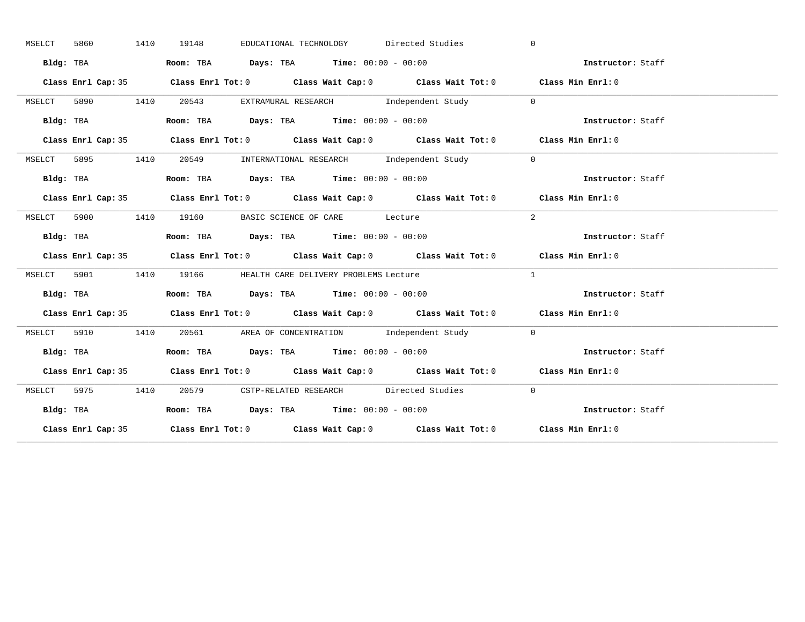| MSELCT | 5860      | 1410 | 19148 | EDUCATIONAL TECHNOLOGY Directed Studies                                                    | $\Omega$                                                               |  |
|--------|-----------|------|-------|--------------------------------------------------------------------------------------------|------------------------------------------------------------------------|--|
|        | Bldg: TBA |      |       | Room: TBA $Days:$ TBA $Time: 00:00 - 00:00$                                                | Instructor: Staff                                                      |  |
|        |           |      |       | Class Enrl Cap: 35 Class Enrl Tot: 0 Class Wait Cap: 0 Class Wait Tot: 0 Class Min Enrl: 0 |                                                                        |  |
| MSELCT |           |      |       | 5890 1410 20543 EXTRAMURAL RESEARCH Independent Study 0                                    |                                                                        |  |
|        | Bldg: TBA |      |       | Room: TBA Days: TBA Time: $00:00 - 00:00$                                                  | Instructor: Staff                                                      |  |
|        |           |      |       | Class Enrl Cap: 35 Class Enrl Tot: 0 Class Wait Cap: 0 Class Wait Tot: 0 Class Min Enrl: 0 |                                                                        |  |
| MSELCT |           |      |       | 5895 1410 20549 INTERNATIONAL RESEARCH Independent Study                                   | $\overline{0}$                                                         |  |
|        | Bldg: TBA |      |       | Room: TBA $Days:$ TBA Time: $00:00 - 00:00$                                                | Instructor: Staff                                                      |  |
|        |           |      |       | Class Enrl Cap: 35 Class Enrl Tot: 0 Class Wait Cap: 0 Class Wait Tot: 0 Class Min Enrl: 0 |                                                                        |  |
|        |           |      |       | MSELCT 5900 1410 19160 BASIC SCIENCE OF CARE Lecture                                       | 2                                                                      |  |
|        | Bldg: TBA |      |       | Room: TBA $Days:$ TBA $Time: 00:00 - 00:00$                                                | Instructor: Staff                                                      |  |
|        |           |      |       | Class Enrl Cap: 35 Class Enrl Tot: 0 Class Wait Cap: 0 Class Wait Tot: 0 Class Min Enrl: 0 |                                                                        |  |
|        |           |      |       | MSELCT 5901 1410 19166 HEALTH CARE DELIVERY PROBLEMS Lecture                               | $\mathbf{1}$                                                           |  |
|        | Bldg: TBA |      |       | Room: TBA $\rule{1em}{0.15mm}$ Days: TBA Time: $00:00 - 00:00$                             | Instructor: Staff                                                      |  |
|        |           |      |       | Class Enrl Cap: 35 Class Enrl Tot: 0 Class Wait Cap: 0 Class Wait Tot: 0 Class Min Enrl: 0 |                                                                        |  |
| MSELCT |           |      |       | 5910 1410 20561 AREA OF CONCENTRATION Independent Study 0                                  |                                                                        |  |
|        |           |      |       |                                                                                            |                                                                        |  |
|        |           |      |       |                                                                                            | Bldg: TBA Room: TBA Days: TBA Time: 00:00 - 00:00<br>Thetructor: Staff |  |
|        |           |      |       | Class Enrl Cap: 35 Class Enrl Tot: 0 Class Wait Cap: 0 Class Wait Tot: 0 Class Min Enrl: 0 |                                                                        |  |
|        |           |      |       | MSELCT 5975 1410 20579 CSTP-RELATED RESEARCH Directed Studies                              | $\bigcirc$                                                             |  |
|        | Bldg: TBA |      |       | Room: TBA $Days:$ TBA Time: $00:00 - 00:00$                                                | Instructor: Staff                                                      |  |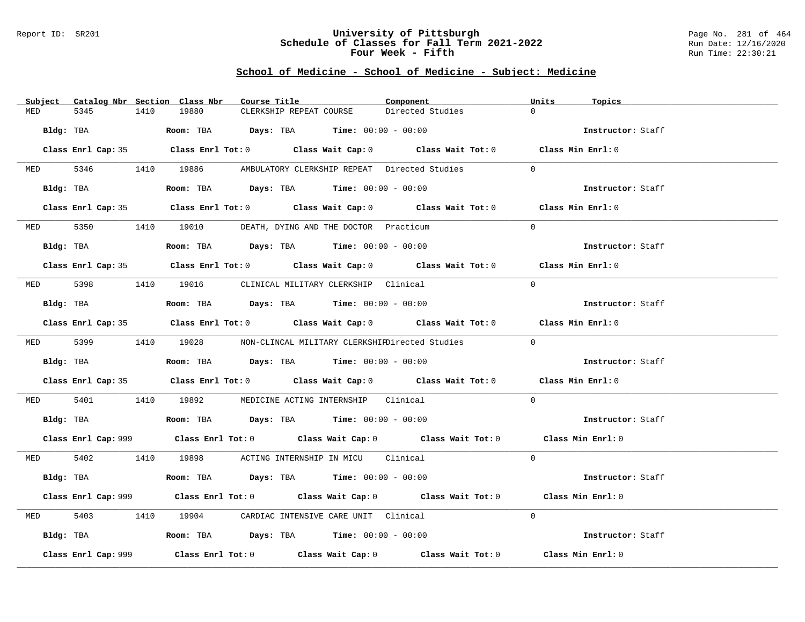## Report ID: SR201 **University of Pittsburgh** Page No. 281 of 464 **Schedule of Classes for Fall Term 2021-2022** Run Date: 12/16/2020 **Four Week - Fifth** Run Time: 22:30:21

| Subject Catalog Nbr Section Class Nbr | Course Title                                                                                | Component        | Units<br>Topics   |
|---------------------------------------|---------------------------------------------------------------------------------------------|------------------|-------------------|
| 5345<br>MED                           | 1410<br>19880<br>CLERKSHIP REPEAT COURSE                                                    | Directed Studies | $\Omega$          |
| Bldg: TBA                             | Room: TBA $Days:$ TBA $Time: 00:00 - 00:00$                                                 |                  | Instructor: Staff |
|                                       | Class Enrl Cap: 35 Class Enrl Tot: 0 Class Wait Cap: 0 Class Wait Tot: 0 Class Min Enrl: 0  |                  |                   |
|                                       | MED 5346 1410 19886 AMBULATORY CLERKSHIP REPEAT Directed Studies                            |                  | $\Omega$          |
| Bldg: TBA                             | Room: TBA $Days:$ TBA $Time: 00:00 - 00:00$                                                 |                  | Instructor: Staff |
|                                       | Class Enrl Cap: 35 Class Enrl Tot: 0 Class Wait Cap: 0 Class Wait Tot: 0 Class Min Enrl: 0  |                  |                   |
|                                       | MED 5350 1410 19010 DEATH, DYING AND THE DOCTOR Practicum                                   |                  | $\Omega$          |
| Bldg: TBA                             | Room: TBA $Days:$ TBA $Time:$ $00:00 - 00:00$                                               |                  | Instructor: Staff |
|                                       | Class Enrl Cap: 35 Class Enrl Tot: 0 Class Wait Cap: 0 Class Wait Tot: 0 Class Min Enrl: 0  |                  |                   |
|                                       | MED 5398 1410 19016 CLINICAL MILITARY CLERKSHIP Clinical                                    |                  | $\Omega$          |
| Bldg: TBA                             | Room: TBA $\rule{1em}{0.15mm}$ Days: TBA Time: $00:00 - 00:00$                              |                  | Instructor: Staff |
|                                       | Class Enrl Cap: 35 Class Enrl Tot: 0 Class Wait Cap: 0 Class Wait Tot: 0 Class Min Enrl: 0  |                  |                   |
|                                       | MED 5399 1410 19028 NON-CLINCAL MILITARY CLERKSHIEDirected Studies                          |                  | $\Omega$          |
|                                       | Bldg: TBA                     Room: TBA         Days: TBA         Time: 00:00 - 00:00       |                  | Instructor: Staff |
|                                       | Class Enrl Cap: 35 Class Enrl Tot: 0 Class Wait Cap: 0 Class Wait Tot: 0 Class Min Enrl: 0  |                  |                   |
|                                       | MED 5401 1410 19892 MEDICINE ACTING INTERNSHIP Clinical                                     |                  | $\Omega$          |
|                                       | Bldg: TBA                    Room: TBA         Days: TBA         Time: $00:00 - 00:00$      |                  | Instructor: Staff |
|                                       | Class Enrl Cap: 999 Class Enrl Tot: 0 Class Wait Cap: 0 Class Wait Tot: 0 Class Min Enrl: 0 |                  |                   |
|                                       | MED 5402 1410 19898 ACTING INTERNSHIP IN MICU Clinical                                      |                  | $\Omega$          |
| Bldg: TBA                             | Room: TBA $\rule{1em}{0.15mm}$ Days: TBA Time: $00:00 - 00:00$                              |                  | Instructor: Staff |
|                                       | Class Enrl Cap: 999 Class Enrl Tot: 0 Class Wait Cap: 0 Class Wait Tot: 0 Class Min Enrl: 0 |                  |                   |
| 5403<br>MED                           | 1410 19904 CARDIAC INTENSIVE CARE UNIT Clinical                                             |                  | $\Omega$          |
|                                       | Bldg: TBA                       Room: TBA          Days: TBA          Time: 00:00 - 00:00   |                  | Instructor: Staff |
| Class Enrl Cap: 999                   | Class Enrl Tot: $0$ Class Wait Cap: $0$ Class Wait Tot: $0$ Class Min Enrl: $0$             |                  |                   |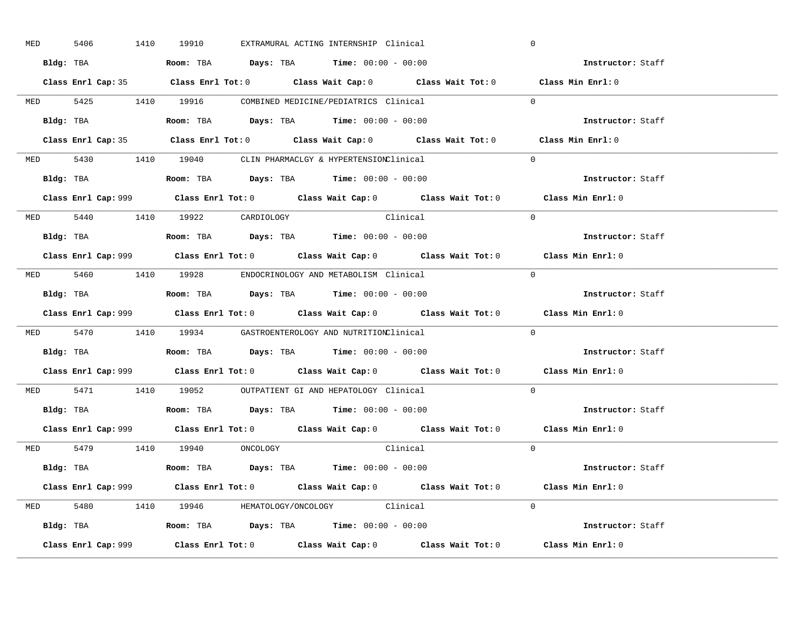| <b>MED</b> | 5406 |  | 1410 19910                     |  | EXTRAMURAL ACTING INTERNSHIP Clinical                                                         |                                                                                            | $\mathbf 0$                                                                                 |
|------------|------|--|--------------------------------|--|-----------------------------------------------------------------------------------------------|--------------------------------------------------------------------------------------------|---------------------------------------------------------------------------------------------|
|            |      |  |                                |  | Bldg: TBA                      Room: TBA         Days: TBA         Time: 00:00 - 00:00        |                                                                                            | Instructor: Staff                                                                           |
|            |      |  |                                |  |                                                                                               | Class Enrl Cap: 35 Class Enrl Tot: 0 Class Wait Cap: 0 Class Wait Tot: 0 Class Min Enrl: 0 |                                                                                             |
|            |      |  |                                |  | MED 5425 1410 19916 COMBINED MEDICINE/PEDIATRICS Clinical                                     |                                                                                            | $\Omega$                                                                                    |
|            |      |  |                                |  | Bldg: TBA                   Room: TBA         Days: TBA         Time: 00:00 - 00:00           |                                                                                            | Instructor: Staff                                                                           |
|            |      |  |                                |  |                                                                                               | Class Enrl Cap: 35 Class Enrl Tot: 0 Class Wait Cap: 0 Class Wait Tot: 0 Class Min Enrl: 0 |                                                                                             |
|            |      |  |                                |  | MED 5430 1410 19040 CLIN PHARMACLGY & HYPERTENSIONClinical                                    |                                                                                            | $\Omega$                                                                                    |
|            |      |  |                                |  | Bldg: TBA                   Room: TBA         Days: TBA         Time: 00:00 - 00:00           |                                                                                            | Instructor: Staff                                                                           |
|            |      |  |                                |  |                                                                                               |                                                                                            | Class Enrl Cap: 999 Class Enrl Tot: 0 Class Wait Cap: 0 Class Wait Tot: 0 Class Min Enrl: 0 |
|            |      |  | MED 5440 1410 19922 CARDIOLOGY |  | Clinical                                                                                      |                                                                                            | $\Omega$                                                                                    |
|            |      |  |                                |  | Bldg: TBA                   Room: TBA         Days: TBA         Time: 00:00 - 00:00           |                                                                                            | Instructor: Staff                                                                           |
|            |      |  |                                |  |                                                                                               |                                                                                            | Class Enrl Cap: 999 Class Enrl Tot: 0 Class Wait Cap: 0 Class Wait Tot: 0 Class Min Enrl: 0 |
|            |      |  |                                |  | MED 5460 1410 19928 ENDOCRINOLOGY AND METABOLISM Clinical                                     |                                                                                            | $\Omega$                                                                                    |
|            |      |  |                                |  | Bldg: TBA                   Room: TBA         Days: TBA         Time: $00:00 - 00:00$         |                                                                                            | Instructor: Staff                                                                           |
|            |      |  |                                |  |                                                                                               |                                                                                            | Class Enrl Cap: 999 Class Enrl Tot: 0 Class Wait Cap: 0 Class Wait Tot: 0 Class Min Enrl: 0 |
|            |      |  |                                |  | MED 5470 1410 19934 GASTROENTEROLOGY AND NUTRITIONClinical                                    |                                                                                            | $\Omega$                                                                                    |
|            |      |  |                                |  | Bldg: TBA                    Room: TBA         Days: TBA         Time: 00:00 - 00:00          |                                                                                            | Instructor: Staff                                                                           |
|            |      |  |                                |  |                                                                                               |                                                                                            | Class Enrl Cap: 999 Class Enrl Tot: 0 Class Wait Cap: 0 Class Wait Tot: 0 Class Min Enrl: 0 |
|            |      |  |                                |  | MED 5471 1410 19052 OUTPATIENT GI AND HEPATOLOGY Clinical                                     |                                                                                            | $\Omega$                                                                                    |
|            |      |  |                                |  | Bldg: TBA                   Room: TBA         Days: TBA         Time: $00:00 - 00:00$         |                                                                                            | Instructor: Staff                                                                           |
|            |      |  |                                |  |                                                                                               |                                                                                            | Class Enrl Cap: 999 Class Enrl Tot: 0 Class Wait Cap: 0 Class Wait Tot: 0 Class Min Enrl: 0 |
|            |      |  | MED 5479 1410 19940 ONCOLOGY   |  |                                                                                               | Clinical                                                                                   | $\overline{0}$                                                                              |
|            |      |  |                                |  | Bldg: TBA                   Room: TBA         Days: TBA         Time: 00:00 - 00:00           |                                                                                            | Instructor: Staff                                                                           |
|            |      |  |                                |  |                                                                                               |                                                                                            | Class Enrl Cap: 999 Class Enrl Tot: 0 Class Wait Cap: 0 Class Wait Tot: 0 Class Min Enrl: 0 |
|            |      |  |                                |  | MED 5480 1410 19946 HEMATOLOGY/ONCOLOGY Clinical                                              |                                                                                            | $\Omega$                                                                                    |
|            |      |  |                                |  | Bldg: TBA                         Room: TBA          Days: TBA          Time: $00:00 - 00:00$ |                                                                                            | Instructor: Staff                                                                           |
|            |      |  |                                |  |                                                                                               |                                                                                            | Class Min Enrl: 0                                                                           |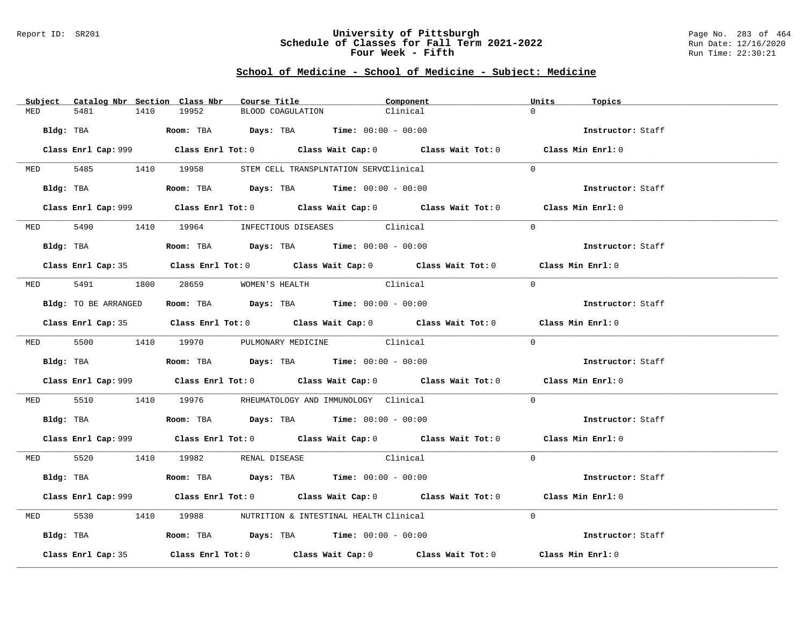## Report ID: SR201 **University of Pittsburgh** Page No. 283 of 464 **Schedule of Classes for Fall Term 2021-2022** Run Date: 12/16/2020 **Four Week - Fifth** Run Time: 22:30:21

|          | Subject Catalog Nbr Section Class Nbr | Course Title                                                                              | Component                                                                                   | Units<br>Topics   |
|----------|---------------------------------------|-------------------------------------------------------------------------------------------|---------------------------------------------------------------------------------------------|-------------------|
| MED      | 5481<br>1410                          | 19952                                                                                     | Clinical<br>BLOOD COAGULATION                                                               | $\cap$            |
|          | Bldg: TBA                             | Room: TBA $Days:$ TBA $Time: 00:00 - 00:00$                                               |                                                                                             | Instructor: Staff |
|          |                                       |                                                                                           | Class Enrl Cap: 999 Class Enrl Tot: 0 Class Wait Cap: 0 Class Wait Tot: 0 Class Min Enrl: 0 |                   |
|          |                                       | MED 5485 1410 19958 STEM CELL TRANSPLNTATION SERVCClinical                                |                                                                                             | $\Omega$          |
|          | Bldg: TBA                             | Room: TBA $Days:$ TBA $Time: 00:00 - 00:00$                                               |                                                                                             | Instructor: Staff |
|          |                                       |                                                                                           | Class Enrl Cap: 999 Class Enrl Tot: 0 Class Wait Cap: 0 Class Wait Tot: 0 Class Min Enrl: 0 |                   |
|          |                                       | MED 5490 1410 19964 INFECTIOUS DISEASES Clinical                                          |                                                                                             | $\Omega$          |
|          | Bldg: TBA                             | Room: TBA $Days: TBA$ Time: $00:00 - 00:00$                                               |                                                                                             | Instructor: Staff |
|          |                                       |                                                                                           | Class Enrl Cap: 35 Class Enrl Tot: 0 Class Wait Cap: 0 Class Wait Tot: 0 Class Min Enrl: 0  |                   |
|          |                                       | MED 5491 1800 28659 WOMEN'S HEALTH                                                        | Clinical                                                                                    | $\Omega$          |
|          | Bldg: TO BE ARRANGED                  | Room: TBA $Days:$ TBA $Time:$ 00:00 - 00:00                                               |                                                                                             | Instructor: Staff |
|          |                                       |                                                                                           | Class Enrl Cap: 35 Class Enrl Tot: 0 Class Wait Cap: 0 Class Wait Tot: 0 Class Min Enrl: 0  |                   |
|          |                                       | MED 5500 1410 19970 PULMONARY MEDICINE Clinical                                           |                                                                                             | $\Omega$          |
|          |                                       | <b>Bldg:</b> TBA <b>ROOM:</b> TBA <b>Days:</b> TBA <b>Time:</b> $00:00 - 00:00$           |                                                                                             | Instructor: Staff |
|          |                                       |                                                                                           | Class Enrl Cap: 999 Class Enrl Tot: 0 Class Wait Cap: 0 Class Wait Tot: 0 Class Min Enrl: 0 |                   |
| MED 5510 |                                       |                                                                                           | 1410  19976   RHEUMATOLOGY AND IMMUNOLOGY Clinical                                          | $\Omega$          |
|          |                                       | Bldg: TBA                    Room: TBA         Days: TBA         Time: 00:00 - 00:00      |                                                                                             | Instructor: Staff |
|          |                                       |                                                                                           | Class Enrl Cap: 999 Class Enrl Tot: 0 Class Wait Cap: 0 Class Wait Tot: 0 Class Min Enrl: 0 |                   |
|          |                                       | MED 5520 1410 19982 RENAL DISEASE                                                         | <b>Clinical</b>                                                                             | $\Omega$          |
|          |                                       | Bldg: TBA                   Room: TBA         Days: TBA         Time: 00:00 - 00:00       |                                                                                             | Instructor: Staff |
|          |                                       |                                                                                           | Class Enrl Cap: 999 Class Enrl Tot: 0 Class Wait Cap: 0 Class Wait Tot: 0 Class Min Enrl: 0 |                   |
| MED      | 5530                                  | 1410 19988 NUTRITION & INTESTINAL HEALTH Clinical                                         |                                                                                             | $\Omega$          |
|          |                                       | Bldg: TBA                       Room: TBA          Days: TBA          Time: 00:00 - 00:00 |                                                                                             | Instructor: Staff |
|          | Class Enrl Cap: 35                    |                                                                                           | Class Enrl Tot: $0$ Class Wait Cap: $0$ Class Wait Tot: $0$                                 | Class Min Enrl: 0 |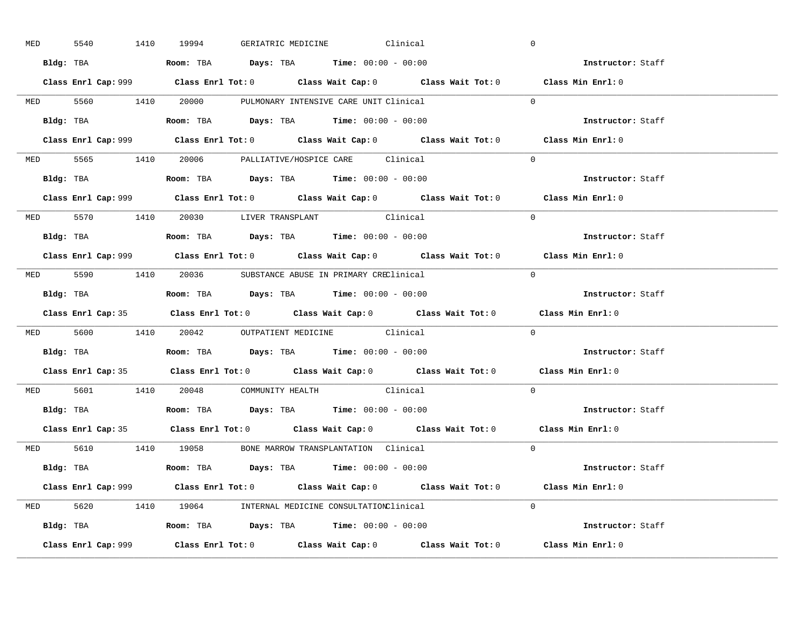| <b>MED</b> | 5540      |           | 1410 19994                                                                            |  | GERIATRIC MEDICINE Clinical |                                                                                            | $\overline{0}$                                                                              |  |
|------------|-----------|-----------|---------------------------------------------------------------------------------------|--|-----------------------------|--------------------------------------------------------------------------------------------|---------------------------------------------------------------------------------------------|--|
|            |           |           | Bldg: TBA                   Room: TBA         Days: TBA         Time: $00:00 - 00:00$ |  |                             |                                                                                            | Instructor: Staff                                                                           |  |
|            |           |           |                                                                                       |  |                             |                                                                                            | Class Enrl Cap: 999 Class Enrl Tot: 0 Class Wait Cap: 0 Class Wait Tot: 0 Class Min Enrl: 0 |  |
|            |           |           | MED 5560 1410 20000 PULMONARY INTENSIVE CARE UNIT Clinical                            |  |                             |                                                                                            | $\Omega$                                                                                    |  |
|            |           | Bldg: TBA | <b>Room:</b> TBA <b>Days:</b> TBA <b>Time:</b> 00:00 - 00:00                          |  |                             |                                                                                            | Instructor: Staff                                                                           |  |
|            |           |           |                                                                                       |  |                             |                                                                                            | Class Enrl Cap: 999 Class Enrl Tot: 0 Class Wait Cap: 0 Class Wait Tot: 0 Class Min Enrl: 0 |  |
|            |           |           | MED 5565 1410 20006 PALLIATIVE/HOSPICE CARE Clinical                                  |  |                             |                                                                                            | $\Omega$                                                                                    |  |
|            |           |           | Bldg: TBA                    Room: TBA         Days: TBA        Time: $00:00 - 00:00$ |  |                             |                                                                                            | Instructor: Staff                                                                           |  |
|            |           |           |                                                                                       |  |                             |                                                                                            | Class Enrl Cap: 999 Class Enrl Tot: 0 Class Wait Cap: 0 Class Wait Tot: 0 Class Min Enrl: 0 |  |
|            |           |           | MED 5570 1410 20030 LIVER TRANSPLANT Clinical                                         |  |                             |                                                                                            | $\Omega$                                                                                    |  |
|            |           |           | <b>Bldg:</b> TBA <b>ROOM:</b> TBA <b>Days:</b> TBA <b>Time:</b> $00:00 - 00:00$       |  |                             |                                                                                            | Instructor: Staff                                                                           |  |
|            |           |           |                                                                                       |  |                             |                                                                                            | Class Enrl Cap: 999 Class Enrl Tot: 0 Class Wait Cap: 0 Class Wait Tot: 0 Class Min Enrl: 0 |  |
|            |           |           | MED 5590 1410 20036 SUBSTANCE ABUSE IN PRIMARY CREClinical                            |  |                             |                                                                                            | $\Omega$                                                                                    |  |
|            |           |           |                                                                                       |  |                             |                                                                                            | Instructor: Staff                                                                           |  |
|            |           |           |                                                                                       |  |                             |                                                                                            | Class Enrl Cap: 35 Class Enrl Tot: 0 Class Wait Cap: 0 Class Wait Tot: 0 Class Min Enrl: 0  |  |
|            |           |           | MED 5600 1410 20042 OUTPATIENT MEDICINE Clinical                                      |  |                             |                                                                                            | $\overline{0}$                                                                              |  |
|            |           |           |                                                                                       |  |                             |                                                                                            |                                                                                             |  |
|            | Bldg: TBA |           | Room: TBA $Days:$ TBA Time: $00:00 - 00:00$                                           |  |                             |                                                                                            | Instructor: Staff                                                                           |  |
|            |           |           |                                                                                       |  |                             |                                                                                            | Class Enrl Cap: 35 Class Enrl Tot: 0 Class Wait Cap: 0 Class Wait Tot: 0 Class Min Enrl: 0  |  |
|            |           |           | MED 5601 1410 20048 COMMUNITY HEALTH Clinical                                         |  |                             |                                                                                            | $\Omega$                                                                                    |  |
|            |           |           | Bldg: TBA                   Room: TBA         Days: TBA         Time: 00:00 - 00:00   |  |                             |                                                                                            | Instructor: Staff                                                                           |  |
|            |           |           |                                                                                       |  |                             | Class Enrl Cap: 35 Class Enrl Tot: 0 Class Wait Cap: 0 Class Wait Tot: 0 Class Min Enrl: 0 |                                                                                             |  |
|            |           |           | MED 5610 1410 19058 BONE MARROW TRANSPLANTATION Clinical                              |  |                             |                                                                                            | $\Omega$                                                                                    |  |
|            |           |           | Bldg: TBA                   Room: TBA         Days: TBA         Time: 00:00 - 00:00   |  |                             |                                                                                            | Instructor: Staff                                                                           |  |
|            |           |           |                                                                                       |  |                             |                                                                                            | Class Enrl Cap: 999 Class Enrl Tot: 0 Class Wait Cap: 0 Class Wait Tot: 0 Class Min Enrl: 0 |  |
|            |           |           | MED 5620 1410 19064 INTERNAL MEDICINE CONSULTATIONClinical                            |  |                             |                                                                                            | $\Omega$                                                                                    |  |
|            |           |           | Bldg: TBA                   Room: TBA         Days: TBA         Time: 00:00 - 00:00   |  |                             |                                                                                            | <b>Instructor:</b> Staff                                                                    |  |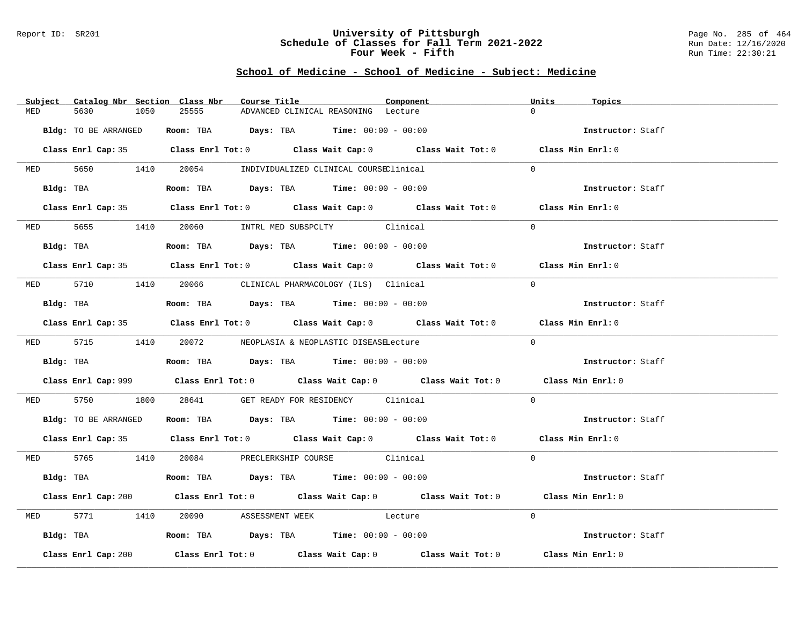## Report ID: SR201 **University of Pittsburgh** Page No. 285 of 464 **Schedule of Classes for Fall Term 2021-2022** Run Date: 12/16/2020 **Four Week - Fifth** Run Time: 22:30:21

|     | Subject Catalog Nbr Section Class Nbr | Course Title                                                                                | Component | Units<br>Topics   |
|-----|---------------------------------------|---------------------------------------------------------------------------------------------|-----------|-------------------|
| MED | 5630<br>1050                          | 25555<br>ADVANCED CLINICAL REASONING Lecture                                                |           | $\Omega$          |
|     | Bldg: TO BE ARRANGED                  | Room: TBA $Days:$ TBA $Time: 00:00 - 00:00$                                                 |           | Instructor: Staff |
|     |                                       | Class Enrl Cap: 35 Class Enrl Tot: 0 Class Wait Cap: 0 Class Wait Tot: 0 Class Min Enrl: 0  |           |                   |
|     |                                       | MED 5650 1410 20054 INDIVIDUALIZED CLINICAL COURSEClinical                                  |           | $\Omega$          |
|     |                                       | Bldg: TBA                    Room: TBA         Days: TBA         Time: 00:00 - 00:00        |           | Instructor: Staff |
|     |                                       | Class Enrl Cap: 35 Class Enrl Tot: 0 Class Wait Cap: 0 Class Wait Tot: 0 Class Min Enrl: 0  |           |                   |
|     |                                       | MED 5655 1410 20060 INTRL MED SUBSPCLTY Clinical                                            |           | $\Omega$          |
|     |                                       | Bldg: TBA                   Room: TBA         Days: TBA         Time: $00:00 - 00:00$       |           | Instructor: Staff |
|     |                                       | Class Enrl Cap: 35 Class Enrl Tot: 0 Class Wait Cap: 0 Class Wait Tot: 0 Class Min Enrl: 0  |           |                   |
|     |                                       | MED 5710 1410 20066 CLINICAL PHARMACOLOGY (ILS) Clinical                                    |           | $\Omega$          |
|     |                                       | Bldg: TBA                   Room: TBA         Days: TBA         Time: 00:00 - 00:00         |           | Instructor: Staff |
|     |                                       | Class Enrl Cap: 35 Class Enrl Tot: 0 Class Wait Cap: 0 Class Wait Tot: 0 Class Min Enrl: 0  |           |                   |
|     |                                       | MED 5715 1410 20072 NEOPLASIA & NEOPLASTIC DISEASELecture                                   |           | $\Omega$          |
|     |                                       | <b>Bldg:</b> TBA <b>ROOM:</b> TBA <b>Days:</b> TBA <b>Time:</b> 00:00 - 00:00               |           | Instructor: Staff |
|     |                                       | Class Enrl Cap: 999 Class Enrl Tot: 0 Class Wait Cap: 0 Class Wait Tot: 0 Class Min Enrl: 0 |           |                   |
|     |                                       | MED 5750 1800 28641 GET READY FOR RESIDENCY Clinical                                        |           | $\Omega$          |
|     |                                       | Bldg: TO BE ARRANGED Room: TBA Days: TBA Time: 00:00 - 00:00                                |           | Instructor: Staff |
|     |                                       | Class Enrl Cap: 35 Class Enrl Tot: 0 Class Wait Cap: 0 Class Wait Tot: 0 Class Min Enrl: 0  |           |                   |
|     |                                       | MED 5765 1410 20084 PRECLERKSHIP COURSE Clinical                                            |           | $\Omega$          |
|     |                                       | Bldg: TBA                   Room: TBA         Days: TBA         Time: 00:00 - 00:00         |           | Instructor: Staff |
|     |                                       | Class Enrl Cap: 200 Class Enrl Tot: 0 Class Wait Cap: 0 Class Wait Tot: 0 Class Min Enrl: 0 |           |                   |
|     |                                       | MED 5771 1410 20090 ASSESSMENT WEEK Lecture                                                 |           | $\Omega$          |
|     |                                       | Bldg: TBA                   Room: TBA         Days: TBA         Time: 00:00 - 00:00         |           | Instructor: Staff |
|     | Class Enrl Cap: 200                   | Class Enrl Tot: $0$ Class Wait Cap: $0$ Class Wait Tot: $0$ Class Min Enrl: $0$             |           |                   |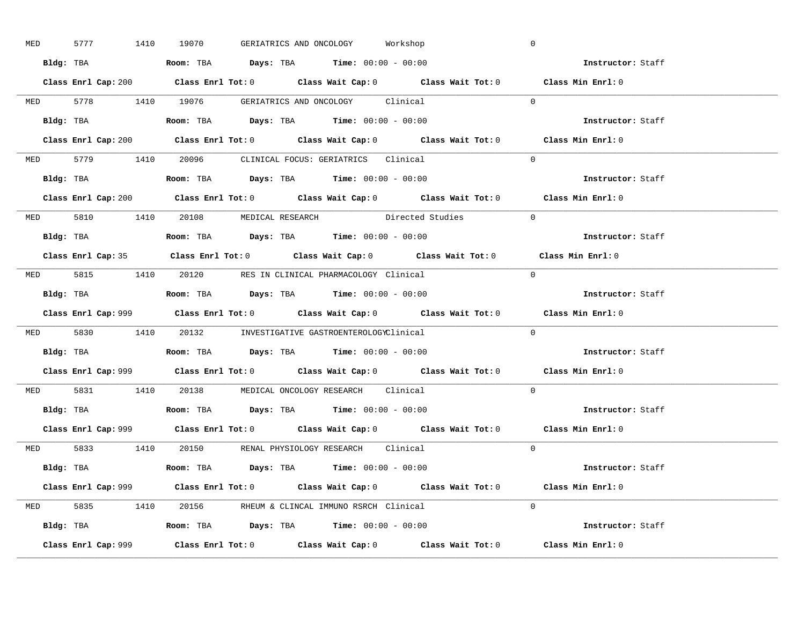| MED | 5777 1410 19070 | GERIATRICS AND ONCOLOGY Workshop                                                      |                                                                                             | $\mathbb O$                                                                                 |  |
|-----|-----------------|---------------------------------------------------------------------------------------|---------------------------------------------------------------------------------------------|---------------------------------------------------------------------------------------------|--|
|     |                 | Bldg: TBA                   Room: TBA         Days: TBA        Time: 00:00 - 00:00    |                                                                                             | Instructor: Staff                                                                           |  |
|     |                 |                                                                                       | Class Enrl Cap: 200 Class Enrl Tot: 0 Class Wait Cap: 0 Class Wait Tot: 0 Class Min Enrl: 0 |                                                                                             |  |
|     |                 | MED 5778 1410 19076 GERIATRICS AND ONCOLOGY Clinical                                  |                                                                                             | $\Omega$                                                                                    |  |
|     |                 |                                                                                       |                                                                                             | Instructor: Staff                                                                           |  |
|     |                 |                                                                                       | Class Enrl Cap: 200 Class Enrl Tot: 0 Class Wait Cap: 0 Class Wait Tot: 0                   | Class Min Enrl: 0                                                                           |  |
|     |                 | MED 5779 1410 20096 CLINICAL FOCUS: GERIATRICS Clinical                               |                                                                                             | $\Omega$                                                                                    |  |
|     |                 | Bldg: TBA                    Room: TBA        Days: TBA        Time: $00:00 - 00:00$  |                                                                                             | Instructor: Staff                                                                           |  |
|     |                 |                                                                                       | Class Enrl Cap: 200 Class Enrl Tot: 0 Class Wait Cap: 0 Class Wait Tot: 0 Class Min Enrl: 0 |                                                                                             |  |
|     |                 | MED 5810 1410 20108 MEDICAL RESEARCH Directed Studies                                 |                                                                                             | $\Omega$                                                                                    |  |
|     |                 | Bldg: TBA                    Room: TBA         Days: TBA         Time: 00:00 - 00:00  |                                                                                             | Instructor: Staff                                                                           |  |
|     |                 |                                                                                       | Class Enrl Cap: 35 Class Enrl Tot: 0 Class Wait Cap: 0 Class Wait Tot: 0 Class Min Enrl: 0  |                                                                                             |  |
|     |                 | MED 5815 1410 20120 RES IN CLINICAL PHARMACOLOGY Clinical                             |                                                                                             | $\bigcap$                                                                                   |  |
|     |                 | Bldg: TBA                   Room: TBA         Days: TBA         Time: $00:00 - 00:00$ |                                                                                             | Instructor: Staff                                                                           |  |
|     |                 |                                                                                       |                                                                                             | Class Enrl Cap: 999 Class Enrl Tot: 0 Class Wait Cap: 0 Class Wait Tot: 0 Class Min Enrl: 0 |  |
|     |                 | MED 5830 1410 20132 INVESTIGATIVE GASTROENTEROLOGYClinical                            |                                                                                             | $\Omega$                                                                                    |  |
|     |                 | Bldg: TBA                   Room: TBA        Days: TBA        Time: 00:00 - 00:00     |                                                                                             | Instructor: Staff                                                                           |  |
|     |                 |                                                                                       |                                                                                             | Class Enrl Cap: 999 Class Enrl Tot: 0 Class Wait Cap: 0 Class Wait Tot: 0 Class Min Enrl: 0 |  |
|     |                 | MED 5831 1410 20138 MEDICAL ONCOLOGY RESEARCH Clinical                                |                                                                                             | $\Omega$                                                                                    |  |
|     |                 | Bldg: TBA                   Room: TBA         Days: TBA         Time: $00:00 - 00:00$ |                                                                                             | Instructor: Staff                                                                           |  |
|     |                 |                                                                                       | Class Enrl Cap: 999 Class Enrl Tot: 0 Class Wait Cap: 0 Class Wait Tot: 0 Class Min Enrl: 0 |                                                                                             |  |
|     |                 | MED 5833 1410 20150 RENAL PHYSIOLOGY RESEARCH Clinical                                |                                                                                             | $\Omega$                                                                                    |  |
|     |                 | <b>Bldg:</b> TBA <b>ROOM:</b> TBA <b>Days:</b> TBA <b>Time:</b> $00:00 - 00:00$       |                                                                                             | Instructor: Staff                                                                           |  |
|     |                 |                                                                                       | Class Enrl Cap: 999 Class Enrl Tot: 0 Class Wait Cap: 0 Class Wait Tot: 0 Class Min Enrl: 0 |                                                                                             |  |
|     |                 | MED 5835 1410 20156 RHEUM & CLINCAL IMMUNO RSRCH Clinical                             |                                                                                             | $\Omega$                                                                                    |  |
|     |                 |                                                                                       |                                                                                             |                                                                                             |  |
|     |                 | Bldg: TBA                   Room: TBA         Days: TBA         Time: 00:00 - 00:00   |                                                                                             | Instructor: Staff                                                                           |  |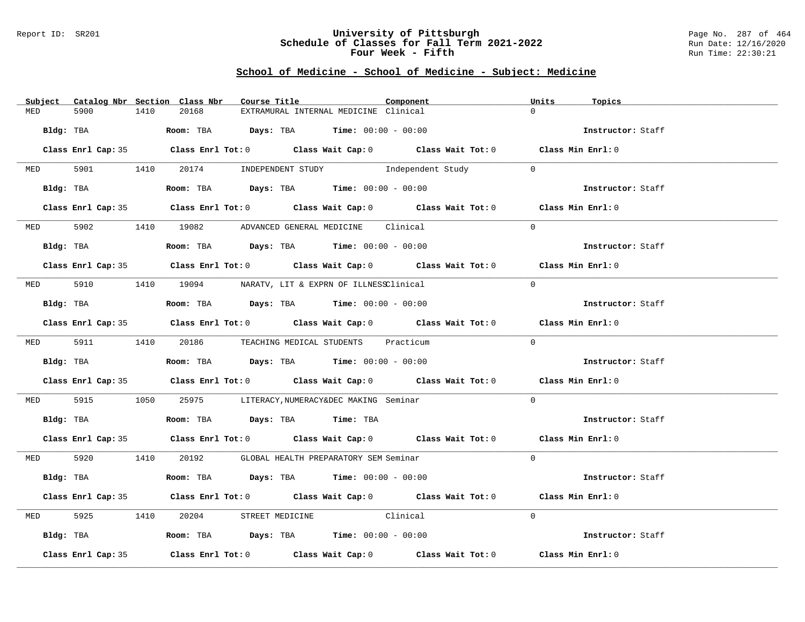## Report ID: SR201 **University of Pittsburgh** Page No. 287 of 464 **Schedule of Classes for Fall Term 2021-2022** Run Date: 12/16/2020 **Four Week - Fifth** Run Time: 22:30:21

|            |                    |      | Subject Catalog Nbr Section Class Nbr | Course Title                                                                          | Component                                                                                  | Units    | Topics            |
|------------|--------------------|------|---------------------------------------|---------------------------------------------------------------------------------------|--------------------------------------------------------------------------------------------|----------|-------------------|
| MED        | 5900               | 1410 | 20168                                 | EXTRAMURAL INTERNAL MEDICINE Clinical                                                 |                                                                                            | $\cap$   |                   |
| Bldg: TBA  |                    |      |                                       | <b>Room:</b> TBA $Days: TBA$ <b>Time:</b> $00:00 - 00:00$                             |                                                                                            |          | Instructor: Staff |
|            |                    |      |                                       |                                                                                       | Class Enrl Cap: 35 Class Enrl Tot: 0 Class Wait Cap: 0 Class Wait Tot: 0 Class Min Enrl: 0 |          |                   |
|            |                    |      |                                       |                                                                                       | MED 5901 1410 20174 INDEPENDENT STUDY Independent Study                                    | $\Omega$ |                   |
|            | Bldg: TBA          |      |                                       |                                                                                       | Room: TBA $Days:$ TBA Time: $00:00 - 00:00$                                                |          | Instructor: Staff |
|            |                    |      |                                       |                                                                                       | Class Enrl Cap: 35 Class Enrl Tot: 0 Class Wait Cap: 0 Class Wait Tot: 0 Class Min Enrl: 0 |          |                   |
|            |                    |      |                                       | MED 5902 1410 19082 ADVANCED GENERAL MEDICINE Clinical                                |                                                                                            | $\Omega$ |                   |
|            |                    |      |                                       | Bldg: TBA                    Room: TBA         Days: TBA         Time: 00:00 - 00:00  |                                                                                            |          | Instructor: Staff |
|            |                    |      |                                       |                                                                                       | Class Enrl Cap: 35 Class Enrl Tot: 0 Class Wait Cap: 0 Class Wait Tot: 0 Class Min Enrl: 0 |          |                   |
|            |                    |      |                                       | MED 5910 1410 19094 NARATV, LIT & EXPRN OF ILLNESSClinical                            |                                                                                            | $\Omega$ |                   |
|            | Bldg: TBA          |      |                                       | Room: TBA $Days:$ TBA Time: $00:00 - 00:00$                                           |                                                                                            |          | Instructor: Staff |
|            |                    |      |                                       |                                                                                       | Class Enrl Cap: 35 Class Enrl Tot: 0 Class Wait Cap: 0 Class Wait Tot: 0 Class Min Enrl: 0 |          |                   |
|            |                    |      |                                       | MED 5911 1410 20186 TEACHING MEDICAL STUDENTS Practicum                               |                                                                                            | $\Omega$ |                   |
|            |                    |      |                                       | Bldg: TBA                    Room: TBA         Days: TBA        Time: $00:00 - 00:00$ |                                                                                            |          | Instructor: Staff |
|            |                    |      |                                       |                                                                                       | Class Enrl Cap: 35 Class Enrl Tot: 0 Class Wait Cap: 0 Class Wait Tot: 0 Class Min Enrl: 0 |          |                   |
|            |                    |      |                                       | MED 5915 1050 25975 LITERACY, NUMERACY&DEC MAKING Seminar                             |                                                                                            | $\Omega$ |                   |
|            |                    |      |                                       | Bldg: TBA                    Room: TBA         Days: TBA         Time: TBA            |                                                                                            |          | Instructor: Staff |
|            |                    |      |                                       |                                                                                       | Class Enrl Cap: 35 Class Enrl Tot: 0 Class Wait Cap: 0 Class Wait Tot: 0 Class Min Enrl: 0 |          |                   |
|            |                    |      |                                       | MED 5920 1410 20192 GLOBAL HEALTH PREPARATORY SEM Seminar                             |                                                                                            | $\Omega$ |                   |
|            |                    |      |                                       | Bldg: TBA                    Room: TBA         Days: TBA         Time: 00:00 - 00:00  |                                                                                            |          | Instructor: Staff |
|            |                    |      |                                       |                                                                                       | Class Enrl Cap: 35 Class Enrl Tot: 0 Class Wait Cap: 0 Class Wait Tot: 0 Class Min Enrl: 0 |          |                   |
| <b>MED</b> | 5925               |      |                                       | 1410 20204 STREET MEDICINE Clinical                                                   |                                                                                            | $\Omega$ |                   |
|            |                    |      |                                       | Bldg: TBA                   Room: TBA         Days: TBA         Time: 00:00 - 00:00   |                                                                                            |          | Instructor: Staff |
|            | Class Enrl Cap: 35 |      |                                       |                                                                                       | Class Enrl Tot: $0$ Class Wait Cap: $0$ Class Wait Tot: $0$                                |          | Class Min Enrl: 0 |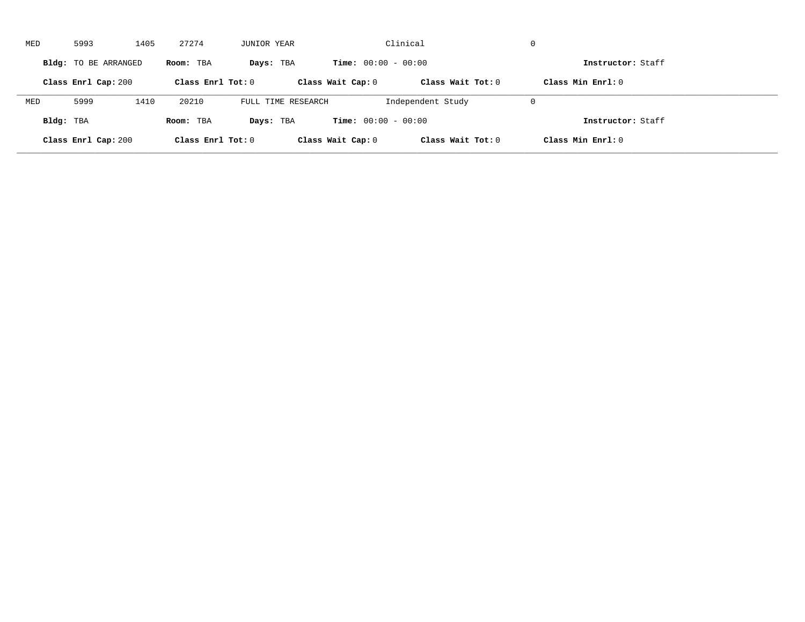| MED       | 5993                 | 1405 | 27274               | JUNIOR YEAR        |                              | Clinical            | $\mathbf 0$         |  |
|-----------|----------------------|------|---------------------|--------------------|------------------------------|---------------------|---------------------|--|
|           | Bldg: TO BE ARRANGED |      | Room: TBA           | Days: TBA          | <b>Time:</b> $00:00 - 00:00$ |                     | Instructor: Staff   |  |
|           | Class Enrl Cap: 200  |      | Class Enrl Tot: $0$ |                    | Class Wait Cap: 0            | Class Wait Tot: $0$ | Class Min $Enr1: 0$ |  |
| MED       | 5999                 | 1410 | 20210               | FULL TIME RESEARCH |                              | Independent Study   | $\mathbf 0$         |  |
| Bldg: TBA |                      |      | Room: TBA           | Days: TBA          | <b>Time:</b> $00:00 - 00:00$ |                     | Instructor: Staff   |  |
|           | Class Enrl Cap: 200  |      | Class Enrl Tot: 0   |                    | Class Wait Cap: 0            | Class Wait Tot: 0   | Class Min Enrl: 0   |  |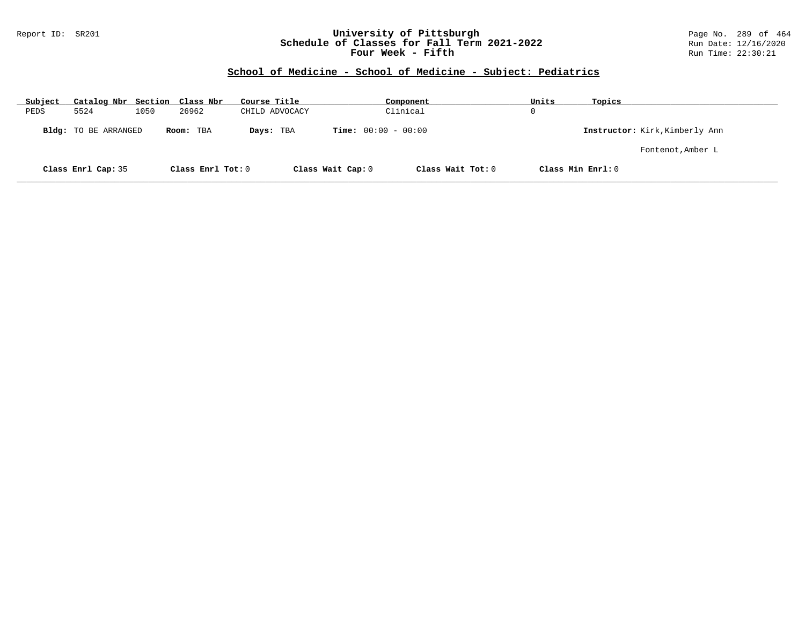#### Report ID: SR201 **University of Pittsburgh** Page No. 289 of 464 **Schedule of Classes for Fall Term 2021-2022** Run Date: 12/16/2020 **Four Week - Fifth** Run Time: 22:30:21

# **School of Medicine - School of Medicine - Subject: Pediatrics**

| Subject | Catalog Nbr Section Class Nbr |      |                   | Course Title   | Component                    |                   | Units | Topics                         |
|---------|-------------------------------|------|-------------------|----------------|------------------------------|-------------------|-------|--------------------------------|
| PEDS    | 5524                          | 1050 | 26962             | CHILD ADVOCACY | Clinical                     |                   | 0     |                                |
|         | Bldg: TO BE ARRANGED          |      | Room: TBA         | Days: TBA      | <b>Time:</b> $00:00 - 00:00$ |                   |       | Instructor: Kirk, Kimberly Ann |
|         |                               |      |                   |                |                              |                   |       | Fontenot, Amber L              |
|         | Class Enrl Cap: 35            |      | Class Enrl Tot: 0 |                | Class Wait Cap: 0            | Class Wait Tot: 0 |       | Class Min Enrl: 0              |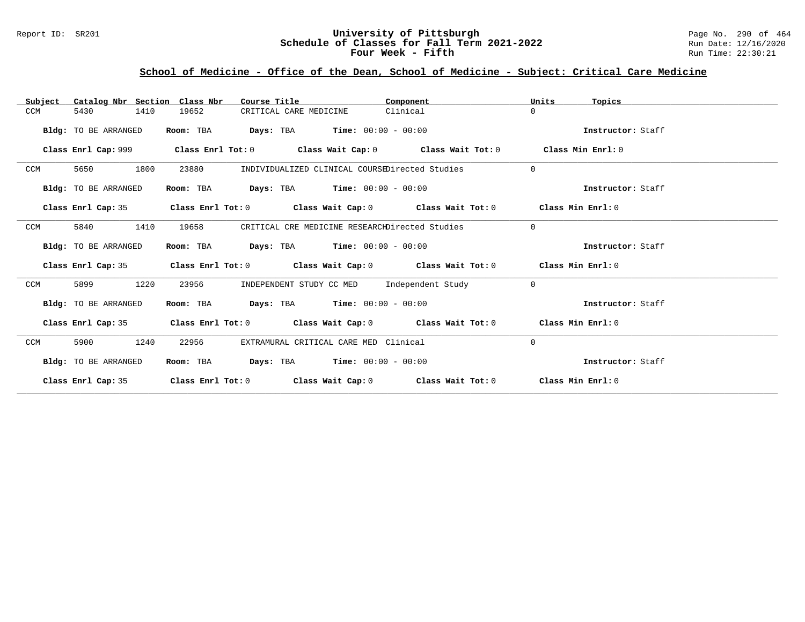### Report ID: SR201 **University of Pittsburgh University of Pittsburgh** Page No. 290 of 464 **Schedule of Classes for Fall Term 2021-2022** Run Date: 12/16/2020 **Schedule of Classes for Fall Term 2021-2022** Run Date: 12/16/2020 **Four Week - Fifth** Run Time: 22:30:21

# **School of Medicine - Office of the Dean, School of Medicine - Subject: Critical Care Medicine**

| Catalog Nbr Section Class Nbr<br>Subject | Course Title                                                                                       | Component                                             | Units<br>Topics   |
|------------------------------------------|----------------------------------------------------------------------------------------------------|-------------------------------------------------------|-------------------|
| 5430<br>1410<br>CCM                      | 19652<br>CRITICAL CARE MEDICINE                                                                    | Clinical                                              | $\Omega$          |
| Bldg: TO BE ARRANGED                     | Room: TBA                                                                                          | <b>Days:</b> TBA <b>Time:</b> $00:00 - 00:00$         | Instructor: Staff |
| Class Enrl Cap: 999                      |                                                                                                    | Class Enrl Tot: 0 Class Wait Cap: 0 Class Wait Tot: 0 | Class Min Enrl: 0 |
| 1800<br>CCM<br>5650                      | 23880                                                                                              | INDIVIDUALIZED CLINICAL COURSEDirected Studies        | $\Omega$          |
| Bldg: TO BE ARRANGED                     | Room: TBA                                                                                          | <b>Days:</b> TBA <b>Time:</b> $00:00 - 00:00$         | Instructor: Staff |
| Class Enrl Cap: 35                       | Class Enrl Tot: 0 $\qquad$ Class Wait Cap: 0 $\qquad$ Class Wait Tot: 0 $\qquad$ Class Min Enrl: 0 |                                                       |                   |
| 5840<br>1410<br>CCM                      | 19658                                                                                              | CRITICAL CRE MEDICINE RESEARCHDirected Studies        | $\Omega$          |
| Bldg: TO BE ARRANGED                     | $\texttt{Davis:}$ TBA $\texttt{Time:}$ 00:00 - 00:00<br>Room: TBA                                  |                                                       | Instructor: Staff |
|                                          | Class Enrl Cap: 35 Class Enrl Tot: 0 Class Wait Cap: 0 Class Wait Tot: 0 Class Min Enrl: 0         |                                                       |                   |
| 1220<br>CCM<br>5899                      | 23956                                                                                              | INDEPENDENT STUDY CC MED Independent Study            | $\Omega$          |
| Bldg: TO BE ARRANGED                     | Room: TBA $Days:$ TBA $Time: 00:00 - 00:00$                                                        |                                                       | Instructor: Staff |
| Class Enrl Cap: 35                       | Class Enrl Tot: $0$ Class Wait Cap: $0$ Class Wait Tot: $0$ Class Min Enrl: $0$                    |                                                       |                   |
| 1240<br>CCM<br>5900                      | 22956                                                                                              | EXTRAMURAL CRITICAL CARE MED Clinical                 | $\Omega$          |
| Bldg: TO BE ARRANGED                     | Room: TBA                                                                                          | $\texttt{DayS:}$ TBA $\texttt{Time:}$ 00:00 - 00:00   | Instructor: Staff |
| Class Enrl Cap: 35                       | Class Enrl Tot: $0$ Class Wait Cap: $0$ Class Wait Tot: $0$ Class Min Enrl: $0$                    |                                                       |                   |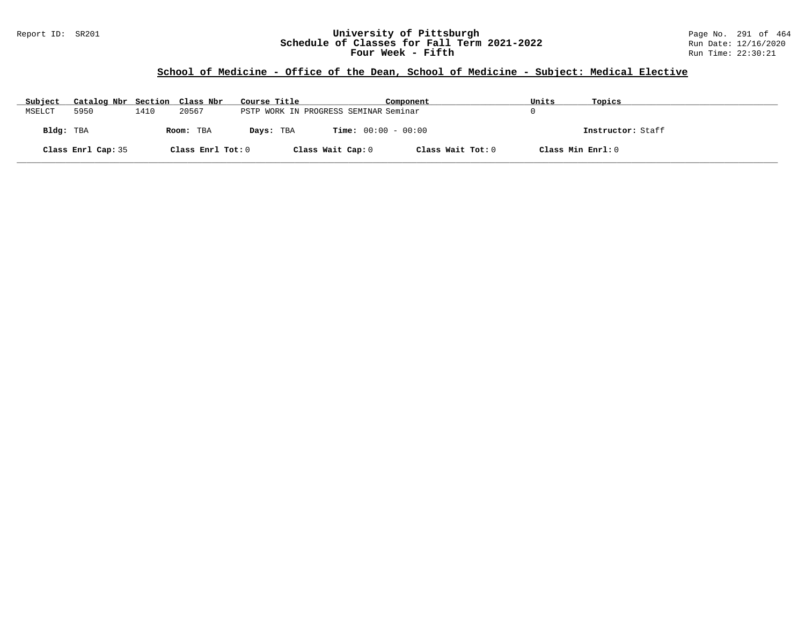#### Report ID: SR201 **University of Pittsburgh** Page No. 291 of 464 **Schedule of Classes for Fall Term 2021-2022** Run Date: 12/16/2020 **Four Week - Fifth** Run Time: 22:30:21

# **School of Medicine - Office of the Dean, School of Medicine - Subject: Medical Elective**

| Subject   | Catalog Nbr Section Class Nbr |      |                   | Course Title |                                       | Component         | Units             | Topics            |
|-----------|-------------------------------|------|-------------------|--------------|---------------------------------------|-------------------|-------------------|-------------------|
| MSELCT    | 5950                          | 1410 | 20567             |              | PSTP WORK IN PROGRESS SEMINAR Seminar |                   |                   |                   |
| Bldg: TBA |                               |      | Room: TBA         | Days: TBA    | <b>Time:</b> $00:00 - 00:00$          |                   |                   | Instructor: Staff |
|           | Class Enrl Cap: 35            |      | Class Enrl Tot: 0 |              | Class Wait Cap: 0                     | Class Wait Tot: 0 | Class Min Enrl: 0 |                   |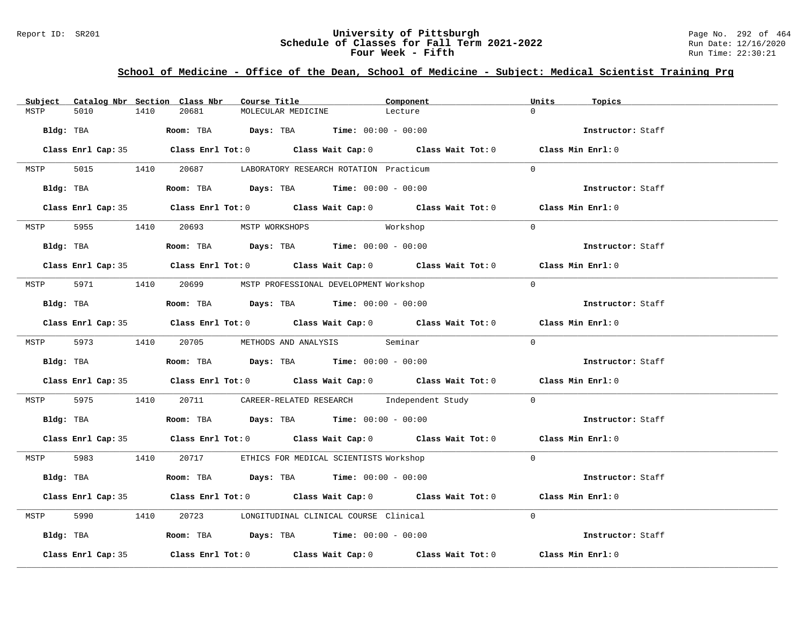#### Report ID: SR201 **University of Pittsburgh** Page No. 292 of 464 **Schedule of Classes for Fall Term 2021-2022** Run Date: 12/16/2020 **Four Week - Fifth** Run Time: 22:30:21

# **School of Medicine - Office of the Dean, School of Medicine - Subject: Medical Scientist Training Prg**

| Subject |                    |      | Catalog Nbr Section Class Nbr  | Course Title |                    |                                                                                         | Component                                                                                          | Units     | Topics            |
|---------|--------------------|------|--------------------------------|--------------|--------------------|-----------------------------------------------------------------------------------------|----------------------------------------------------------------------------------------------------|-----------|-------------------|
| MSTP    | 5010               | 1410 | 20681                          |              | MOLECULAR MEDICINE | Lecture                                                                                 |                                                                                                    | $\cap$    |                   |
|         | Bldg: TBA          |      |                                |              |                    | <b>Room:</b> TBA <b>Days:</b> TBA <b>Time:</b> $00:00 - 00:00$                          |                                                                                                    |           | Instructor: Staff |
|         |                    |      |                                |              |                    |                                                                                         | Class Enrl Cap: 35 Class Enrl Tot: 0 Class Wait Cap: 0 Class Wait Tot: 0 Class Min Enrl: 0         |           |                   |
| MSTP    |                    |      |                                |              |                    | 5015 1410 20687 LABORATORY RESEARCH ROTATION Practicum                                  |                                                                                                    | $\Omega$  |                   |
|         |                    |      |                                |              |                    | Bldg: TBA                   Room: TBA         Days: TBA         Time: 00:00 - 00:00     |                                                                                                    |           | Instructor: Staff |
|         |                    |      |                                |              |                    |                                                                                         | Class Enrl Cap: 35 Class Enrl Tot: 0 Class Wait Cap: 0 Class Wait Tot: 0 Class Min Enrl: 0         |           |                   |
| MSTP    |                    |      | 5955 1410 20693 MSTP WORKSHOPS |              |                    | Workshop                                                                                |                                                                                                    | $\Omega$  |                   |
|         |                    |      |                                |              |                    | Bldg: TBA                   Room: TBA         Days: TBA         Time: $00:00 - 00:00$   |                                                                                                    |           | Instructor: Staff |
|         |                    |      |                                |              |                    |                                                                                         | Class Enrl Cap: 35 Class Enrl Tot: 0 Class Wait Cap: 0 Class Wait Tot: 0 Class Min Enrl: 0         |           |                   |
| MSTP    |                    |      |                                |              |                    | 5971 1410 20699 MSTP PROFESSIONAL DEVELOPMENT Workshop                                  |                                                                                                    | $\bigcap$ |                   |
|         |                    |      |                                |              |                    | Bldg: TBA                    Room: TBA         Days: TBA         Time: $00:00 - 00:00$  |                                                                                                    |           | Instructor: Staff |
|         |                    |      |                                |              |                    |                                                                                         | Class Enrl Cap: 35 Class Enrl Tot: 0 Class Wait Cap: 0 Class Wait Tot: 0 Class Min Enrl: 0         |           |                   |
|         |                    |      |                                |              |                    | MSTP 5973 1410 20705 METHODS AND ANALYSIS Seminar                                       |                                                                                                    | $\Omega$  |                   |
|         |                    |      |                                |              |                    | <b>Bldg:</b> TBA <b>ROOM:</b> TBA <b>Days:</b> TBA <b>Time:</b> $00:00 - 00:00$         |                                                                                                    |           | Instructor: Staff |
|         |                    |      |                                |              |                    |                                                                                         | Class Enrl Cap: 35 Class Enrl Tot: 0 Class Wait Cap: 0 Class Wait Tot: 0 Class Min Enrl: 0         |           |                   |
| MSTP    |                    |      |                                |              |                    |                                                                                         | 5975 1410 20711 CAREER-RELATED RESEARCH Independent Study 0                                        |           |                   |
|         |                    |      |                                |              |                    | Bldg: TBA                       Room: TBA         Days: TBA         Time: 00:00 - 00:00 |                                                                                                    |           | Instructor: Staff |
|         |                    |      |                                |              |                    |                                                                                         | Class Enrl Cap: 35 Class Enrl Tot: 0 Class Wait Cap: 0 Class Wait Tot: 0 Class Min Enrl: 0         |           |                   |
|         |                    |      |                                |              |                    | MSTP 5983 1410 20717 ETHICS FOR MEDICAL SCIENTISTS Workshop                             |                                                                                                    | $\Omega$  |                   |
|         |                    |      |                                |              |                    | Bldg: TBA                    Room: TBA         Days: TBA         Time: $00:00 - 00:00$  |                                                                                                    |           | Instructor: Staff |
|         |                    |      |                                |              |                    |                                                                                         | Class Enrl Cap: 35 Class Enrl Tot: 0 Class Wait Cap: 0 Class Wait Tot: 0 Class Min Enrl: 0         |           |                   |
| MSTP    |                    |      |                                |              |                    | 5990 1410 20723 LONGITUDINAL CLINICAL COURSE Clinical                                   |                                                                                                    | $\Omega$  |                   |
|         |                    |      |                                |              |                    | Bldg: TBA                   Room: TBA         Days: TBA         Time: $00:00 - 00:00$   |                                                                                                    |           | Instructor: Staff |
|         | Class Enrl Cap: 35 |      |                                |              |                    |                                                                                         | Class Enrl Tot: 0 $\qquad$ Class Wait Cap: 0 $\qquad$ Class Wait Tot: 0 $\qquad$ Class Min Enrl: 0 |           |                   |
|         |                    |      |                                |              |                    |                                                                                         |                                                                                                    |           |                   |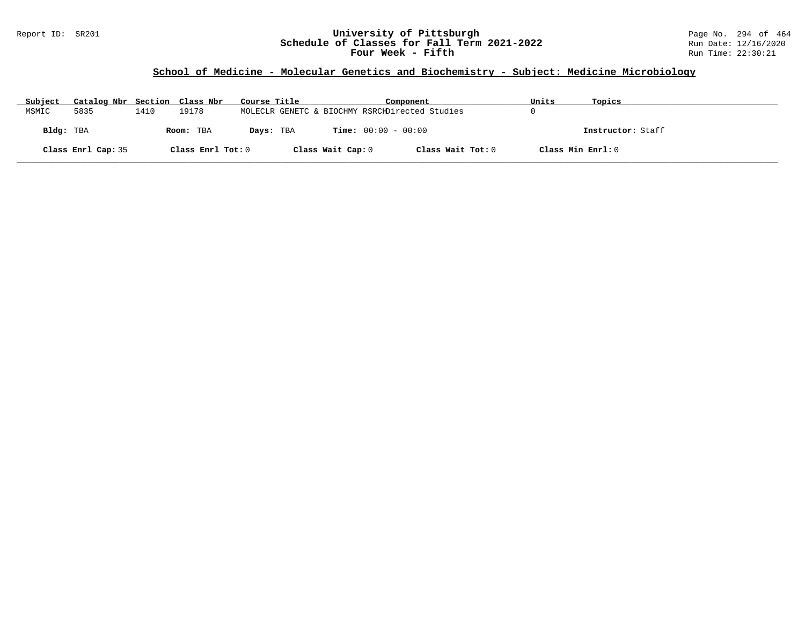#### Report ID: SR201 **University of Pittsburgh** Page No. 294 of 464 **Schedule of Classes for Fall Term 2021-2022** Run Date: 12/16/2020 **Four Week - Fifth** Run Time: 22:30:21

# **School of Medicine - Molecular Genetics and Biochemistry - Subject: Medicine Microbiology**

| Subject   | Catalog Nbr Section Class Nbr |      |                   | Course Title |                   | Component                                      | Units             | Topics            |
|-----------|-------------------------------|------|-------------------|--------------|-------------------|------------------------------------------------|-------------------|-------------------|
| MSMIC     | 5835                          | 1410 | 19178             |              |                   | MOLECLR GENETC & BIOCHMY RSRCHDirected Studies |                   |                   |
| Bldg: TBA |                               |      | Room: TBA         | Days: TBA    |                   | <b>Time:</b> $00:00 - 00:00$                   |                   | Instructor: Staff |
|           | Class Enrl Cap: 35            |      | Class Enrl Tot: 0 |              | Class Wait Cap: 0 | Class Wait Tot: 0                              | Class Min Enrl: 0 |                   |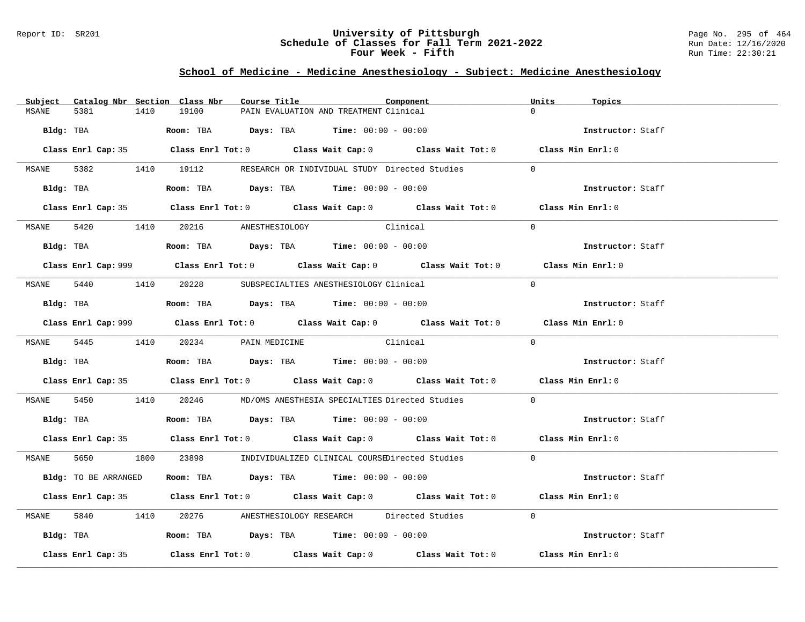#### Report ID: SR201 **University of Pittsburgh** Page No. 295 of 464 **Schedule of Classes for Fall Term 2021-2022** Run Date: 12/16/2020 **Four Week - Fifth** Run Time: 22:30:21

# **School of Medicine - Medicine Anesthesiology - Subject: Medicine Anesthesiology**

| Subject      |                      |      | Catalog Nbr Section Class Nbr        | Course Title |                                                                                        | Component                                                                                   | Units      | Topics            |  |
|--------------|----------------------|------|--------------------------------------|--------------|----------------------------------------------------------------------------------------|---------------------------------------------------------------------------------------------|------------|-------------------|--|
| MSANE        | 5381                 | 1410 | 19100                                |              | PAIN EVALUATION AND TREATMENT Clinical                                                 |                                                                                             |            |                   |  |
|              | Bldg: TBA            |      |                                      |              | <b>Room:</b> TBA $Days: TBA$ <b>Time:</b> $00:00 - 00:00$                              |                                                                                             |            | Instructor: Staff |  |
|              |                      |      |                                      |              |                                                                                        | Class Enrl Cap: 35 Class Enrl Tot: 0 Class Wait Cap: 0 Class Wait Tot: 0 Class Min Enrl: 0  |            |                   |  |
|              |                      |      |                                      |              |                                                                                        | MSANE 5382 1410 19112 RESEARCH OR INDIVIDUAL STUDY Directed Studies                         | $\bigcirc$ |                   |  |
|              | Bldg: TBA            |      |                                      |              | Room: TBA $Days:$ TBA Time: $00:00 - 00:00$                                            |                                                                                             |            | Instructor: Staff |  |
|              |                      |      |                                      |              |                                                                                        | Class Enrl Cap: 35 Class Enrl Tot: 0 Class Wait Cap: 0 Class Wait Tot: 0 Class Min Enrl: 0  |            |                   |  |
|              |                      |      | MSANE 5420 1410 20216 ANESTHESIOLOGY |              | Clinical                                                                               |                                                                                             | $\Omega$   |                   |  |
|              |                      |      |                                      |              | Bldg: TBA                   Room: TBA         Days: TBA         Time: 00:00 - 00:00    |                                                                                             |            | Instructor: Staff |  |
|              |                      |      |                                      |              |                                                                                        | Class Enrl Cap: 999 Class Enrl Tot: 0 Class Wait Cap: 0 Class Wait Tot: 0 Class Min Enrl: 0 |            |                   |  |
|              |                      |      |                                      |              | MSANE 5440 1410 20228 SUBSPECIALTIES ANESTHESIOLOGY Clinical                           |                                                                                             | $\Omega$   |                   |  |
|              |                      |      |                                      |              | Bldg: TBA                    Room: TBA         Days: TBA         Time: $00:00 - 00:00$ |                                                                                             |            | Instructor: Staff |  |
|              |                      |      |                                      |              |                                                                                        | Class Enrl Cap: 999 Class Enrl Tot: 0 Class Wait Cap: 0 Class Wait Tot: 0 Class Min Enrl: 0 |            |                   |  |
|              |                      |      | MSANE 5445 1410 20234 PAIN MEDICINE  |              | Clinical                                                                               |                                                                                             | $\Omega$   |                   |  |
|              |                      |      |                                      |              |                                                                                        |                                                                                             |            | Instructor: Staff |  |
|              |                      |      |                                      |              |                                                                                        | Class Enrl Cap: 35 Class Enrl Tot: 0 Class Wait Cap: 0 Class Wait Tot: 0 Class Min Enrl: 0  |            |                   |  |
| MSANE        |                      |      |                                      |              |                                                                                        | 5450 1410 20246 MD/OMS ANESTHESIA SPECIALTIES Directed Studies                              | $\Omega$   |                   |  |
|              |                      |      |                                      |              | Bldg: TBA                   Room: TBA        Days: TBA        Time: 00:00 - 00:00      |                                                                                             |            | Instructor: Staff |  |
|              |                      |      |                                      |              |                                                                                        | Class Enrl Cap: 35 Class Enrl Tot: 0 Class Wait Cap: 0 Class Wait Tot: 0 Class Min Enrl: 0  |            |                   |  |
|              |                      |      |                                      |              |                                                                                        | MSANE 5650 1800 23898 INDIVIDUALIZED CLINICAL COURSEDirected Studies 0                      |            |                   |  |
|              | Bldg: TO BE ARRANGED |      |                                      |              | Room: TBA $Days:$ TBA $Time:$ $00:00 - 00:00$                                          |                                                                                             |            | Instructor: Staff |  |
|              |                      |      |                                      |              |                                                                                        | Class Enrl Cap: 35 Class Enrl Tot: 0 Class Wait Cap: 0 Class Wait Tot: 0 Class Min Enrl: 0  |            |                   |  |
| <b>MSANE</b> |                      |      |                                      |              |                                                                                        | 5840 1410 20276 ANESTHESIOLOGY RESEARCH Directed Studies                                    | $\Omega$   |                   |  |
|              |                      |      |                                      |              | Bldg: TBA                  Room: TBA        Days: TBA        Time: 00:00 - 00:00       |                                                                                             |            | Instructor: Staff |  |
|              | Class Enrl Cap: 35   |      |                                      |              |                                                                                        | Class Enrl Tot: $0$ Class Wait Cap: $0$ Class Wait Tot: $0$ Class Min Enrl: $0$             |            |                   |  |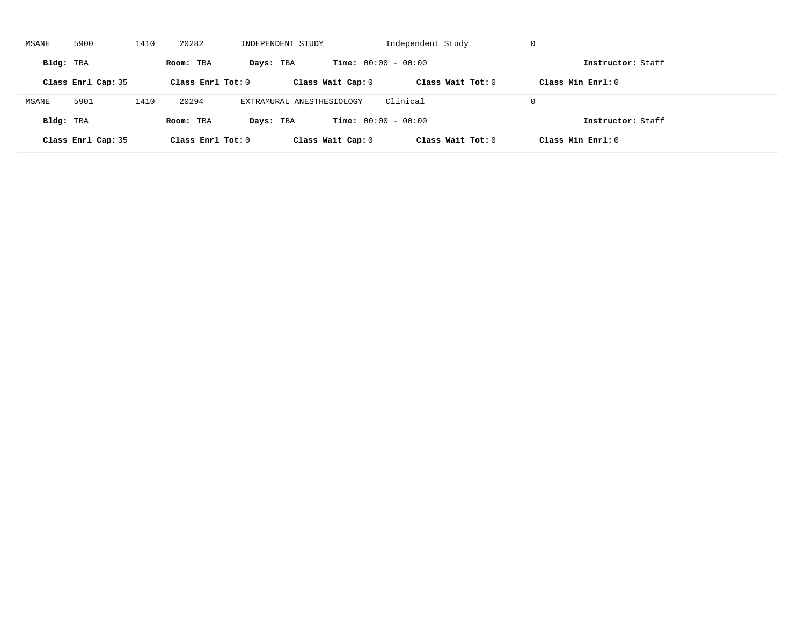| MSANE     | 5900               | 1410 | 20282               | INDEPENDENT STUDY         |                              | Independent Study   | -U                  |  |
|-----------|--------------------|------|---------------------|---------------------------|------------------------------|---------------------|---------------------|--|
| Bldg: TBA |                    |      | Room: TBA           | Days: TBA                 | <b>Time:</b> $00:00 - 00:00$ |                     | Instructor: Staff   |  |
|           | Class Enrl Cap: 35 |      | Class Enrl Tot: $0$ |                           | Class Wait Cap: 0            | Class Wait $Tot: 0$ | Class Min $Enrl: 0$ |  |
| MSANE     | 5901               | 1410 | 20294               | EXTRAMURAL ANESTHESIOLOGY |                              | Clinical            | $\Omega$            |  |
| Bldg: TBA |                    |      | Room: TBA           | Days: TBA                 | <b>Time:</b> $00:00 - 00:00$ |                     | Instructor: Staff   |  |
|           | Class Enrl Cap: 35 |      | Class Enrl Tot: $0$ |                           | Class Wait Cap: 0            | Class Wait Tot: 0   | Class Min Enrl: 0   |  |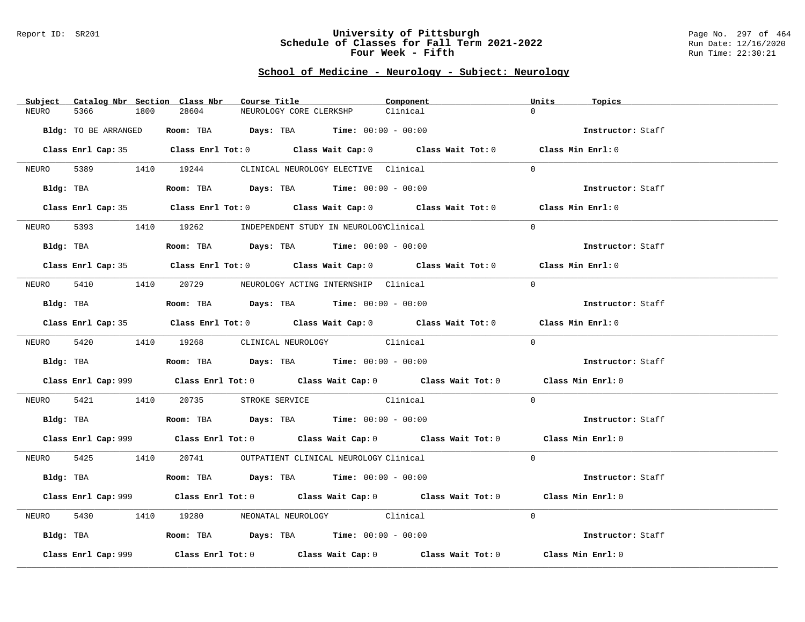#### Report ID: SR201 **University of Pittsburgh** Page No. 297 of 464 **Schedule of Classes for Fall Term 2021-2022** Run Date: 12/16/2020 **Four Week - Fifth** Run Time: 22:30:21

# **School of Medicine - Neurology - Subject: Neurology**

| Catalog Nbr Section Class Nbr<br>Subject | Course Title                                                                                | Component | Units<br>Topics   |
|------------------------------------------|---------------------------------------------------------------------------------------------|-----------|-------------------|
| NEURO<br>5366<br>1800                    | 28604<br>NEUROLOGY CORE CLERKSHP                                                            | Clinical  | $\Omega$          |
| Bldg: TO BE ARRANGED                     | Room: TBA $\rule{1em}{0.15mm}$ Days: TBA Time: $00:00 - 00:00$                              |           | Instructor: Staff |
|                                          |                                                                                             |           |                   |
|                                          | Class Enrl Cap: 35 Class Enrl Tot: 0 Class Wait Cap: 0 Class Wait Tot: 0 Class Min Enrl: 0  |           |                   |
|                                          | NEURO 5389 1410 19244 CLINICAL NEUROLOGY ELECTIVE Clinical                                  |           | $\Omega$          |
|                                          | Bldg: TBA                   Room: TBA         Days: TBA        Time: 00:00 - 00:00          |           | Instructor: Staff |
|                                          | Class Enrl Cap: 35 Class Enrl Tot: 0 Class Wait Cap: 0 Class Wait Tot: 0 Class Min Enrl: 0  |           |                   |
| NEURO                                    | 5393 1410 19262 INDEPENDENT STUDY IN NEUROLOGYClinical                                      |           | $\Omega$          |
| Bldg: TBA                                | Room: TBA $Days:$ TBA $Time: 00:00 - 00:00$                                                 |           | Instructor: Staff |
|                                          | Class Enrl Cap: 35 Class Enrl Tot: 0 Class Wait Cap: 0 Class Wait Tot: 0 Class Min Enrl: 0  |           |                   |
|                                          | NEURO 5410 1410 20729 NEUROLOGY ACTING INTERNSHIP Clinical                                  |           | $\Omega$          |
| Bldg: TBA                                | Room: TBA $\rule{1em}{0.15mm}$ Days: TBA Time: $00:00 - 00:00$                              |           | Instructor: Staff |
|                                          | Class Enrl Cap: 35 Class Enrl Tot: 0 Class Wait Cap: 0 Class Wait Tot: 0 Class Min Enrl: 0  |           |                   |
|                                          | NEURO 5420 1410 19268 CLINICAL NEUROLOGY Clinical                                           |           | $\Omega$          |
|                                          | <b>Bldg:</b> TBA <b>ROOM:</b> TBA <b>Days:</b> TBA <b>Time:</b> $00:00 - 00:00$             |           | Instructor: Staff |
|                                          | Class Enrl Cap: 999 Class Enrl Tot: 0 Class Wait Cap: 0 Class Wait Tot: 0 Class Min Enrl: 0 |           |                   |
|                                          | NEURO 5421 1410 20735 STROKE SERVICE Clinical                                               |           | $\Omega$          |
|                                          | Bldg: TBA                    Room: TBA         Days: TBA         Time: $00:00 - 00:00$      |           | Instructor: Staff |
|                                          | Class Enrl Cap: 999 Class Enrl Tot: 0 Class Wait Cap: 0 Class Wait Tot: 0 Class Min Enrl: 0 |           |                   |
|                                          | NEURO 5425 1410 20741 OUTPATIENT CLINICAL NEUROLOGY Clinical                                |           | $\Omega$          |
|                                          | Bldg: TBA                   Room: TBA         Days: TBA         Time: $00:00 - 00:00$       |           | Instructor: Staff |
|                                          | Class Enrl Cap: 999 Class Enrl Tot: 0 Class Wait Cap: 0 Class Wait Tot: 0 Class Min Enrl: 0 |           |                   |
| NEURO                                    | 5430 1410 19280 NEONATAL NEUROLOGY Clinical                                                 |           | $\Omega$          |
|                                          | Bldg: TBA                        Room: TBA          Days: TBA         Time: $00:00 - 00:00$ |           | Instructor: Staff |
| Class Enrl Cap: 999                      | Class Enrl Tot: $0$ Class Wait Cap: $0$ Class Wait Tot: $0$ Class Min Enrl: $0$             |           |                   |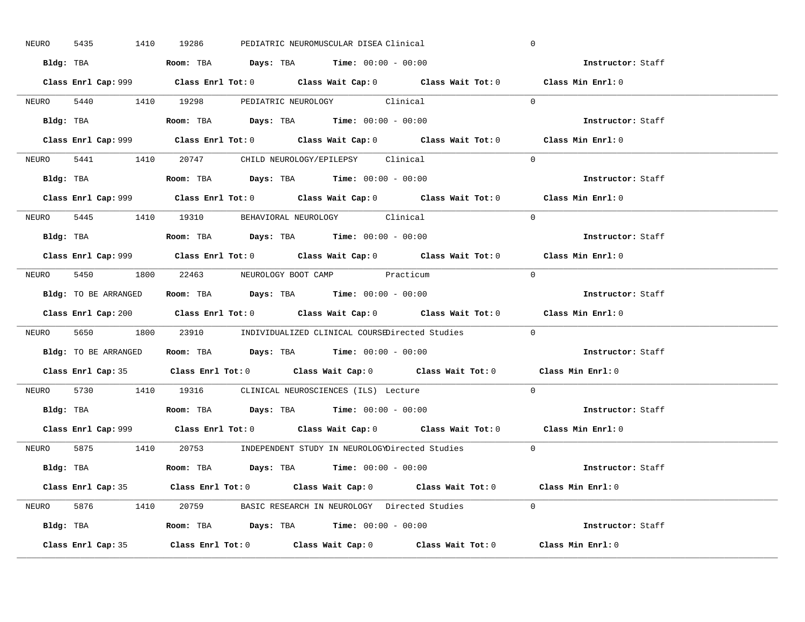| 5435<br>NEURO | 1410 19286<br>PEDIATRIC NEUROMUSCULAR DISEA Clinical                                        | $\mathbf 0$       |
|---------------|---------------------------------------------------------------------------------------------|-------------------|
|               | Bldg: TBA                    Room: TBA         Days: TBA        Time: 00:00 - 00:00         | Instructor: Staff |
|               | Class Enrl Cap: 999 Class Enrl Tot: 0 Class Wait Cap: 0 Class Wait Tot: 0 Class Min Enrl: 0 |                   |
|               | NEURO 5440 1410 19298 PEDIATRIC NEUROLOGY Clinical                                          | $\Omega$          |
|               |                                                                                             | Instructor: Staff |
|               | Class Enrl Cap: 999 Class Enrl Tot: 0 Class Wait Cap: 0 Class Wait Tot: 0                   | Class Min Enrl: 0 |
|               | NEURO 5441 1410 20747 CHILD NEUROLOGY/EPILEPSY Clinical                                     | $\Omega$          |
|               | Bldg: TBA                   Room: TBA         Days: TBA         Time: 00:00 - 00:00         | Instructor: Staff |
|               | Class Enrl Cap: 999 Class Enrl Tot: 0 Class Wait Cap: 0 Class Wait Tot: 0 Class Min Enrl: 0 |                   |
|               | NEURO 5445 1410 19310 BEHAVIORAL NEUROLOGY Clinical                                         | $\Omega$          |
|               | Bldg: TBA                  Room: TBA         Days: TBA         Time: 00:00 - 00:00          | Instructor: Staff |
|               | Class Enrl Cap: 999 Class Enrl Tot: 0 Class Wait Cap: 0 Class Wait Tot: 0 Class Min Enrl: 0 |                   |
|               | NEURO 5450 1800 22463 NEUROLOGY BOOT CAMP Practicum                                         | $\bigcap$         |
|               | Bldg: TO BE ARRANGED ROOM: TBA Days: TBA Time: 00:00 - 00:00                                | Instructor: Staff |
|               | Class Enrl Cap: 200 Class Enrl Tot: 0 Class Wait Cap: 0 Class Wait Tot: 0 Class Min Enrl: 0 |                   |
|               | NEURO 5650 1800 23910 INDIVIDUALIZED CLINICAL COURSEDirected Studies 0                      |                   |
|               |                                                                                             |                   |
|               | Bldg: TO BE ARRANGED Room: TBA Days: TBA Time: 00:00 - 00:00                                | Instructor: Staff |
|               | Class Enrl Cap: 35 Class Enrl Tot: 0 Class Wait Cap: 0 Class Wait Tot: 0 Class Min Enrl: 0  |                   |
| NEURO         | 5730 1410 19316 CLINICAL NEUROSCIENCES (ILS) Lecture                                        | $\Omega$          |
|               | Bldg: TBA                   Room: TBA         Days: TBA         Time: $00:00 - 00:00$       | Instructor: Staff |
|               | Class Enrl Cap: 999 Class Enrl Tot: 0 Class Wait Cap: 0 Class Wait Tot: 0 Class Min Enrl: 0 |                   |
|               | NEURO 5875 1410 20753 INDEPENDENT STUDY IN NEUROLOGYDirected Studies 0                      |                   |
|               | Bldg: TBA                     Room: TBA         Days: TBA         Time: 00:00 - 00:00       | Instructor: Staff |
|               | Class Enrl Cap: 35 Class Enrl Tot: 0 Class Wait Cap: 0 Class Wait Tot: 0 Class Min Enrl: 0  |                   |
|               | NEURO 5876 1410 20759 BASIC RESEARCH IN NEUROLOGY Directed Studies 0                        |                   |
|               | Bldg: TBA                  Room: TBA         Days: TBA         Time: $00:00 - 00:00$        | Instructor: Staff |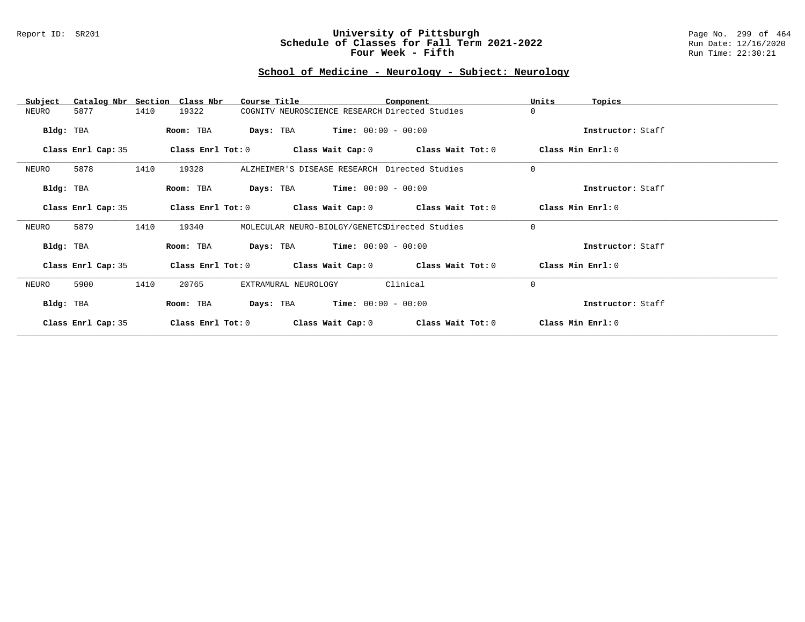#### Report ID: SR201 **University of Pittsburgh** Page No. 299 of 464 **Schedule of Classes for Fall Term 2021-2022** Run Date: 12/16/2020 **Four Week - Fifth** Run Time: 22:30:21

# **School of Medicine - Neurology - Subject: Neurology**

| Subject            | Catalog Nbr Section Class Nbr | Course Title                                                | Component         | Units<br>Topics   |
|--------------------|-------------------------------|-------------------------------------------------------------|-------------------|-------------------|
| 5877<br>NEURO      | 1410<br>19322                 | COGNITV NEUROSCIENCE RESEARCH Directed Studies              |                   | 0                 |
| Bldg: TBA          | Room: TBA                     | <b>Days:</b> TBA <b>Time:</b> $00:00 - 00:00$               |                   | Instructor: Staff |
| Class Enrl Cap: 35 | Class Enrl Tot: 0             | Class Wait Cap: $0$ Class Wait Tot: $0$                     |                   | Class Min Enrl: 0 |
| 5878<br>NEURO      | 1410<br>19328                 | ALZHEIMER'S DISEASE RESEARCH Directed Studies               |                   | $\mathbf 0$       |
| Bldg: TBA          | Room: TBA                     | <b>Days:</b> TBA <b>Time:</b> $00:00 - 00:00$               |                   | Instructor: Staff |
| Class Enrl Cap: 35 |                               | Class Enrl Tot: $0$ Class Wait Cap: $0$ Class Wait Tot: $0$ |                   | Class Min Enrl: 0 |
| 5879<br>NEURO      | 1410<br>19340                 | MOLECULAR NEURO-BIOLGY/GENETCSDirected Studies              |                   | $\mathbf 0$       |
| Bldg: TBA          | Room: TBA                     | <b>Days:</b> TBA <b>Time:</b> $00:00 - 00:00$               |                   | Instructor: Staff |
| Class Enrl Cap: 35 |                               | Class Enrl Tot: $0$ Class Wait Cap: $0$ Class Wait Tot: $0$ |                   | Class Min Enrl: 0 |
| NEURO<br>5900      | 1410<br>20765                 | EXTRAMURAL NEUROLOGY                                        | Clinical          | $\mathbf 0$       |
| Bldg: TBA          | Room: TBA                     | <b>Days:</b> TBA <b>Time:</b> $00:00 - 00:00$               |                   | Instructor: Staff |
| Class Enrl Cap: 35 | Class Enrl Tot: $0$           | Class Wait Cap: 0                                           | Class Wait Tot: 0 | Class Min Enrl: 0 |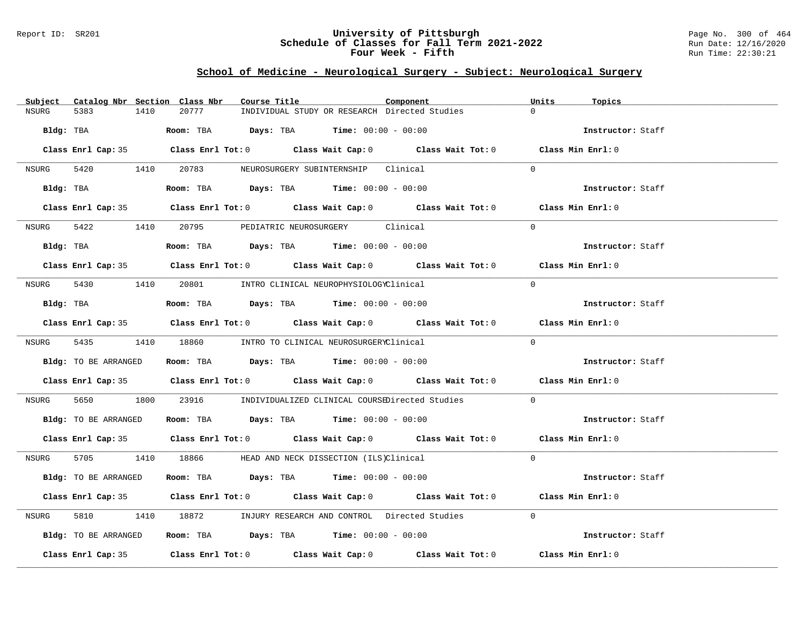#### Report ID: SR201 **University of Pittsburgh** Page No. 300 of 464 **Schedule of Classes for Fall Term 2021-2022** Run Date: 12/16/2020 **Four Week - Fifth** Run Time: 22:30:21

# **School of Medicine - Neurological Surgery - Subject: Neurological Surgery**

| Subject Catalog Nbr Section Class Nbr | Course Title                                                                               | Component | Units<br>Topics   |
|---------------------------------------|--------------------------------------------------------------------------------------------|-----------|-------------------|
| 1410<br>NSURG<br>5383                 | 20777<br>INDIVIDUAL STUDY OR RESEARCH Directed Studies                                     |           | $\cap$            |
| Bldg: TBA                             | <b>Room:</b> TBA $Days:$ TBA $Time: 00:00 - 00:00$                                         |           | Instructor: Staff |
|                                       | Class Enrl Cap: 35 Class Enrl Tot: 0 Class Wait Cap: 0 Class Wait Tot: 0 Class Min Enrl: 0 |           |                   |
|                                       | NSURG 5420 1410 20783 NEUROSURGERY SUBINTERNSHIP Clinical                                  |           | $\Omega$          |
| Bldg: TBA                             | Room: TBA $Days:$ TBA $Time: 00:00 - 00:00$                                                |           | Instructor: Staff |
|                                       | Class Enrl Cap: 35 Class Enrl Tot: 0 Class Wait Cap: 0 Class Wait Tot: 0 Class Min Enrl: 0 |           |                   |
| NSURG                                 | 5422 1410 20795 PEDIATRIC NEUROSURGERY Clinical                                            |           | $\Omega$          |
| Bldg: TBA                             | Room: TBA $Days:$ TBA Time: $00:00 - 00:00$                                                |           | Instructor: Staff |
|                                       | Class Enrl Cap: 35 Class Enrl Tot: 0 Class Wait Cap: 0 Class Wait Tot: 0 Class Min Enrl: 0 |           |                   |
|                                       | NSURG 5430 1410 20801 INTRO CLINICAL NEUROPHYSIOLOGYClinical                               |           | $\Omega$          |
| Bldg: TBA                             | Room: TBA $Days:$ TBA Time: $00:00 - 00:00$                                                |           | Instructor: Staff |
|                                       | Class Enrl Cap: 35 Class Enrl Tot: 0 Class Wait Cap: 0 Class Wait Tot: 0 Class Min Enrl: 0 |           |                   |
|                                       | NSURG 5435 1410 18860 INTRO TO CLINICAL NEUROSURGERYClinical                               |           | $\Omega$          |
| Bldg: TO BE ARRANGED                  | Room: TBA $\rule{1em}{0.15mm}$ Days: TBA Time: $00:00 - 00:00$                             |           | Instructor: Staff |
|                                       | Class Enrl Cap: 35 Class Enrl Tot: 0 Class Wait Cap: 0 Class Wait Tot: 0 Class Min Enrl: 0 |           |                   |
| NSURG                                 | 5650 1800 23916 INDIVIDUALIZED CLINICAL COURSEDirected Studies                             |           | $\Omega$          |
| Bldg: TO BE ARRANGED                  | Room: TBA $\qquad \qquad$ Days: TBA $\qquad \qquad$ Time: $00:00 - 00:00$                  |           | Instructor: Staff |
|                                       | Class Enrl Cap: 35 Class Enrl Tot: 0 Class Wait Cap: 0 Class Wait Tot: 0 Class Min Enrl: 0 |           |                   |
|                                       | NSURG 5705 1410 18866 HEAD AND NECK DISSECTION (ILS)Clinical                               |           | $\Omega$          |
| Bldg: TO BE ARRANGED                  | Room: TBA $Days:$ TBA $Time: 00:00 - 00:00$                                                |           | Instructor: Staff |
|                                       | Class Enrl Cap: 35 Class Enrl Tot: 0 Class Wait Cap: 0 Class Wait Tot: 0 Class Min Enrl: 0 |           |                   |
| 5810<br>NSURG                         | 1410 18872 INJURY RESEARCH AND CONTROL Directed Studies                                    |           | $\Omega$          |
| Bldg: TO BE ARRANGED                  | Room: TBA $\rule{1em}{0.15mm}$ Days: TBA Time: $00:00 - 00:00$                             |           | Instructor: Staff |
|                                       | Class Enrl Cap: 35 Class Enrl Tot: 0 Class Wait Cap: 0 Class Wait Tot: 0 Class Min Enrl: 0 |           |                   |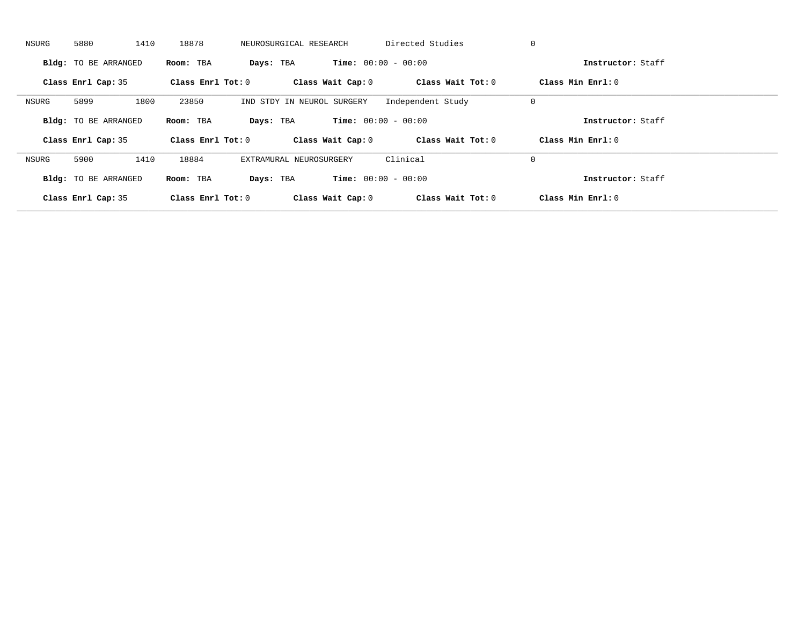| NSURG | 5880<br>1410                | 18878               | NEUROSURGICAL RESEARCH     | Directed Studies             | 0                   |  |
|-------|-----------------------------|---------------------|----------------------------|------------------------------|---------------------|--|
|       | Bldg: TO BE ARRANGED        | Room: TBA           | Days: TBA                  | <b>Time:</b> $00:00 - 00:00$ | Instructor: Staff   |  |
|       | Class Enrl Cap: 35          | Class Enrl Tot: 0   | Class Wait Cap: 0          | Class Wait Tot: 0            | Class Min Enrl: 0   |  |
| NSURG | 5899<br>1800                | 23850               | IND STDY IN NEUROL SURGERY | Independent Study            | 0                   |  |
|       | Bldg: TO BE ARRANGED        | Room: TBA           | Days: TBA                  | <b>Time:</b> $00:00 - 00:00$ | Instructor: Staff   |  |
|       | Class Enrl Cap: 35          | Class Enrl Tot: 0   | Class Wait Cap: 0          | Class Wait Tot: 0            | Class Min $Enrl: 0$ |  |
| NSURG | 1410<br>5900                | 18884               | EXTRAMURAL NEUROSURGERY    | Clinical                     | 0                   |  |
|       | <b>Bldg:</b> TO BE ARRANGED | Room: TBA           | Days: TBA                  | <b>Time:</b> $00:00 - 00:00$ | Instructor: Staff   |  |
|       | Class Enrl Cap: 35          | Class Enrl Tot: $0$ | Class Wait Cap: 0          | Class Wait Tot: 0            | Class Min Enrl: 0   |  |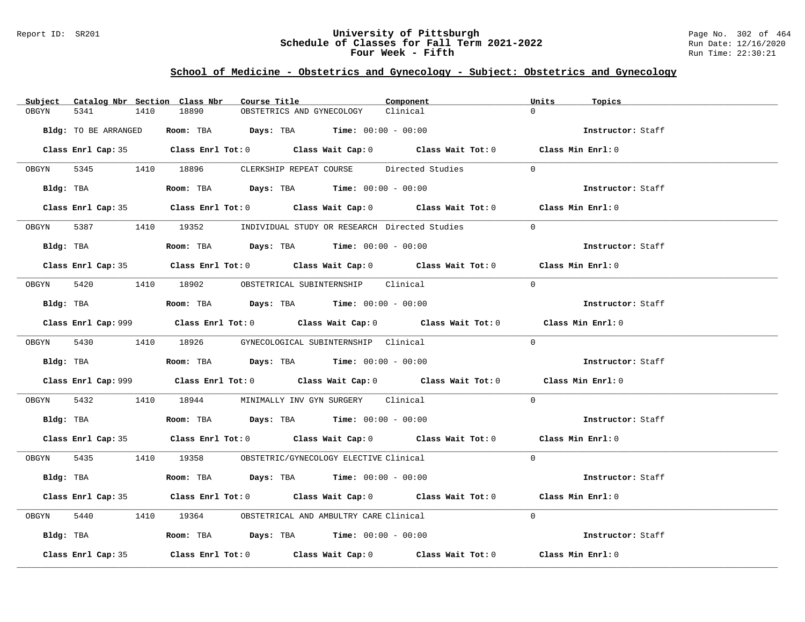#### Report ID: SR201 **University of Pittsburgh** Page No. 302 of 464 **Schedule of Classes for Fall Term 2021-2022** Run Date: 12/16/2020 **Four Week - Fifth** Run Time: 22:30:21

# **School of Medicine - Obstetrics and Gynecology - Subject: Obstetrics and Gynecology**

| Subject    |                      |      | Catalog Nbr Section Class Nbr | Course Title |                           |                                                                                       | Component                                                                                   | Units    | Topics            |  |
|------------|----------------------|------|-------------------------------|--------------|---------------------------|---------------------------------------------------------------------------------------|---------------------------------------------------------------------------------------------|----------|-------------------|--|
| OBGYN      | 5341                 | 1410 | 18890                         |              | OBSTETRICS AND GYNECOLOGY |                                                                                       | Clinical                                                                                    | $\Omega$ |                   |  |
|            | Bldg: TO BE ARRANGED |      |                               |              |                           | Room: TBA $Days:$ TBA $Time: 00:00 - 00:00$                                           |                                                                                             |          | Instructor: Staff |  |
|            |                      |      |                               |              |                           |                                                                                       | Class Enrl Cap: 35 Class Enrl Tot: 0 Class Wait Cap: 0 Class Wait Tot: 0 Class Min Enrl: 0  |          |                   |  |
|            |                      |      |                               |              |                           |                                                                                       | OBGYN 5345 1410 18896 CLERKSHIP REPEAT COURSE Directed Studies                              | $\Omega$ |                   |  |
|            | Bldg: TBA            |      |                               |              |                           | Room: TBA $\rule{1em}{0.15mm}$ Days: TBA Time: $00:00 - 00:00$                        |                                                                                             |          | Instructor: Staff |  |
|            |                      |      |                               |              |                           |                                                                                       | Class Enrl Cap: 35 Class Enrl Tot: 0 Class Wait Cap: 0 Class Wait Tot: 0 Class Min Enrl: 0  |          |                   |  |
|            |                      |      |                               |              |                           |                                                                                       | OBGYN 5387 1410 19352 INDIVIDUAL STUDY OR RESEARCH Directed Studies                         | $\Omega$ |                   |  |
|            | Bldg: TBA            |      |                               |              |                           | Room: TBA $Days:$ TBA $Time: 00:00 - 00:00$                                           |                                                                                             |          | Instructor: Staff |  |
|            |                      |      |                               |              |                           |                                                                                       | Class Enrl Cap: 35 Class Enrl Tot: 0 Class Wait Cap: 0 Class Wait Tot: 0 Class Min Enrl: 0  |          |                   |  |
|            |                      |      |                               |              |                           | OBGYN 5420 1410 18902 OBSTETRICAL SUBINTERNSHIP Clinical                              |                                                                                             | $\Omega$ |                   |  |
|            |                      |      |                               |              |                           | $Bldg:$ TBA $\qquad \qquad$ Room: TBA Days: TBA  Time: $00:00 - 00:00$                |                                                                                             |          | Instructor: Staff |  |
|            |                      |      |                               |              |                           |                                                                                       | Class Enrl Cap: 999 Class Enrl Tot: 0 Class Wait Cap: 0 Class Wait Tot: 0 Class Min Enrl: 0 |          |                   |  |
|            |                      |      |                               |              |                           | OBGYN 5430 1410 18926 GYNECOLOGICAL SUBINTERNSHIP Clinical                            |                                                                                             | $\Omega$ |                   |  |
|            |                      |      |                               |              |                           | Bldg: TBA                   Room: TBA         Days: TBA         Time: $00:00 - 00:00$ |                                                                                             |          | Instructor: Staff |  |
|            |                      |      |                               |              |                           |                                                                                       | Class Enrl Cap: 999 Class Enrl Tot: 0 Class Wait Cap: 0 Class Wait Tot: 0 Class Min Enrl: 0 |          |                   |  |
| OBGYN 5432 |                      |      |                               |              |                           | 1410 18944 MINIMALLY INV GYN SURGERY Clinical                                         |                                                                                             | $\Omega$ |                   |  |
|            |                      |      |                               |              |                           | $Bldg:$ TBA $\qquad \qquad$ Room: TBA Days: TBA  Time: $00:00 - 00:00$                |                                                                                             |          | Instructor: Staff |  |
|            |                      |      |                               |              |                           |                                                                                       | Class Enrl Cap: 35 Class Enrl Tot: 0 Class Wait Cap: 0 Class Wait Tot: 0 Class Min Enrl: 0  |          |                   |  |
|            |                      |      |                               |              |                           | OBGYN 5435 1410 19358 OBSTETRIC/GYNECOLOGY ELECTIVE Clinical                          |                                                                                             | $\Omega$ |                   |  |
|            |                      |      |                               |              |                           | $Bldq$ : TBA $R$ $Room$ : TBA $Days$ : TBA $Time$ : $00:00 - 00:00$                   |                                                                                             |          | Instructor: Staff |  |
|            |                      |      |                               |              |                           |                                                                                       | Class Enrl Cap: 35 Class Enrl Tot: 0 Class Wait Cap: 0 Class Wait Tot: 0 Class Min Enrl: 0  |          |                   |  |
| OBGYN      | 5440                 |      |                               |              |                           | 1410 19364 OBSTETRICAL AND AMBULTRY CARE Clinical                                     |                                                                                             | $\Omega$ |                   |  |
|            |                      |      |                               |              |                           | Bldg: TBA                   Room: TBA         Days: TBA         Time: $00:00 - 00:00$ |                                                                                             |          | Instructor: Staff |  |
|            | Class Enrl Cap: 35   |      |                               |              |                           |                                                                                       | Class Enrl Tot: $0$ Class Wait Cap: $0$ Class Wait Tot: $0$                                 |          | Class Min Enrl: 0 |  |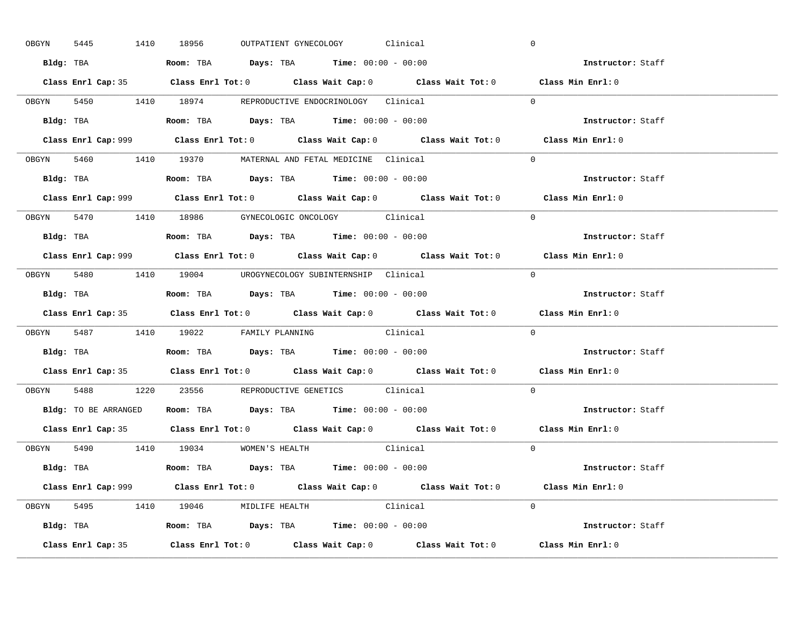|       | OBGYN<br>5445 |                    | 1410 18956                           |  | OUTPATIENT GYNECOLOGY Clinical                                                         |                                                                                             | $\overline{0}$ |                                                                                            |  |
|-------|---------------|--------------------|--------------------------------------|--|----------------------------------------------------------------------------------------|---------------------------------------------------------------------------------------------|----------------|--------------------------------------------------------------------------------------------|--|
|       |               |                    |                                      |  | Bldg: TBA                   Room: TBA         Days: TBA         Time: $00:00 - 00:00$  |                                                                                             |                | Instructor: Staff                                                                          |  |
|       |               |                    |                                      |  |                                                                                        | Class Enrl Cap: 35 Class Enrl Tot: 0 Class Wait Cap: 0 Class Wait Tot: 0 Class Min Enrl: 0  |                |                                                                                            |  |
|       |               |                    |                                      |  |                                                                                        | OBGYN 5450 1410 18974 REPRODUCTIVE ENDOCRINOLOGY Clinical                                   | $\Omega$       |                                                                                            |  |
|       |               | Bldg: TBA          |                                      |  | Room: TBA $Days:$ TBA $Time: 00:00 - 00:00$                                            |                                                                                             |                | Instructor: Staff                                                                          |  |
|       |               |                    |                                      |  |                                                                                        | Class Enrl Cap: 999 Class Enrl Tot: 0 Class Wait Cap: 0 Class Wait Tot: 0 Class Min Enrl: 0 |                |                                                                                            |  |
|       |               |                    |                                      |  | OBGYN 5460 1410 19370 MATERNAL AND FETAL MEDICINE Clinical                             |                                                                                             | $\Omega$       |                                                                                            |  |
|       |               |                    |                                      |  | Bldg: TBA                    Room: TBA         Days: TBA        Time: $00:00 - 00:00$  |                                                                                             |                | Instructor: Staff                                                                          |  |
|       |               |                    |                                      |  |                                                                                        | Class Enrl Cap: 999 Class Enrl Tot: 0 Class Wait Cap: 0 Class Wait Tot: 0 Class Min Enrl: 0 |                |                                                                                            |  |
|       |               |                    |                                      |  | OBGYN 5470 1410 18986 GYNECOLOGIC ONCOLOGY Clinical                                    |                                                                                             | $\Omega$       |                                                                                            |  |
|       |               |                    |                                      |  | Bldg: TBA                    Room: TBA         Days: TBA         Time: $00:00 - 00:00$ |                                                                                             |                | Instructor: Staff                                                                          |  |
|       |               |                    |                                      |  |                                                                                        | Class Enrl Cap: 999 Class Enrl Tot: 0 Class Wait Cap: 0 Class Wait Tot: 0 Class Min Enrl: 0 |                |                                                                                            |  |
|       |               |                    |                                      |  | OBGYN 5480 1410 19004 UROGYNECOLOGY_SUBINTERNSHIP Clinical                             |                                                                                             | $\Omega$       |                                                                                            |  |
|       |               |                    |                                      |  |                                                                                        |                                                                                             |                | Instructor: Staff                                                                          |  |
|       |               |                    |                                      |  |                                                                                        |                                                                                             |                | Class Enrl Cap: 35 Class Enrl Tot: 0 Class Wait Cap: 0 Class Wait Tot: 0 Class Min Enrl: 0 |  |
|       |               |                    |                                      |  |                                                                                        |                                                                                             |                |                                                                                            |  |
|       |               |                    |                                      |  | OBGYN 5487 1410 19022 FAMILY PLANNING Clinical                                         |                                                                                             | $\overline{0}$ |                                                                                            |  |
|       | Bldg: TBA     |                    |                                      |  | Room: TBA $Days:$ TBA Time: $00:00 - 00:00$                                            |                                                                                             |                | <b>Instructor:</b> Staff                                                                   |  |
|       |               |                    |                                      |  |                                                                                        | Class Enrl Cap: 35 Class Enrl Tot: 0 Class Wait Cap: 0 Class Wait Tot: 0 Class Min Enrl: 0  |                |                                                                                            |  |
| OBGYN |               |                    |                                      |  | 5488 1220 23556 REPRODUCTIVE GENETICS Clinical                                         |                                                                                             | $\Omega$       |                                                                                            |  |
|       |               |                    |                                      |  | Bldg: TO BE ARRANGED Room: TBA Days: TBA Time: 00:00 - 00:00                           |                                                                                             |                | Instructor: Staff                                                                          |  |
|       |               | Class Enrl Cap: 35 |                                      |  |                                                                                        | Class Enrl Tot: $0$ Class Wait Cap: $0$ Class Wait Tot: $0$ Class Min Enrl: $0$             |                |                                                                                            |  |
|       |               |                    | OBGYN 5490 1410 19034 WOMEN'S HEALTH |  |                                                                                        | Clinical                                                                                    | $\Omega$       |                                                                                            |  |
|       |               |                    |                                      |  | Bldg: TBA                   Room: TBA         Days: TBA        Time: $00:00 - 00:00$   |                                                                                             |                | Instructor: Staff                                                                          |  |
|       |               |                    |                                      |  |                                                                                        | Class Enrl Cap: 999 Class Enrl Tot: 0 Class Wait Cap: 0 Class Wait Tot: 0 Class Min Enrl: 0 |                |                                                                                            |  |
|       |               |                    | OBGYN 5495 1410 19046 MIDLIFE HEALTH |  | Clinical                                                                               |                                                                                             | $\Omega$       |                                                                                            |  |
|       |               |                    |                                      |  | Bldg: TBA                   Room: TBA         Days: TBA         Time: 00:00 - 00:00    |                                                                                             |                | Instructor: Staff                                                                          |  |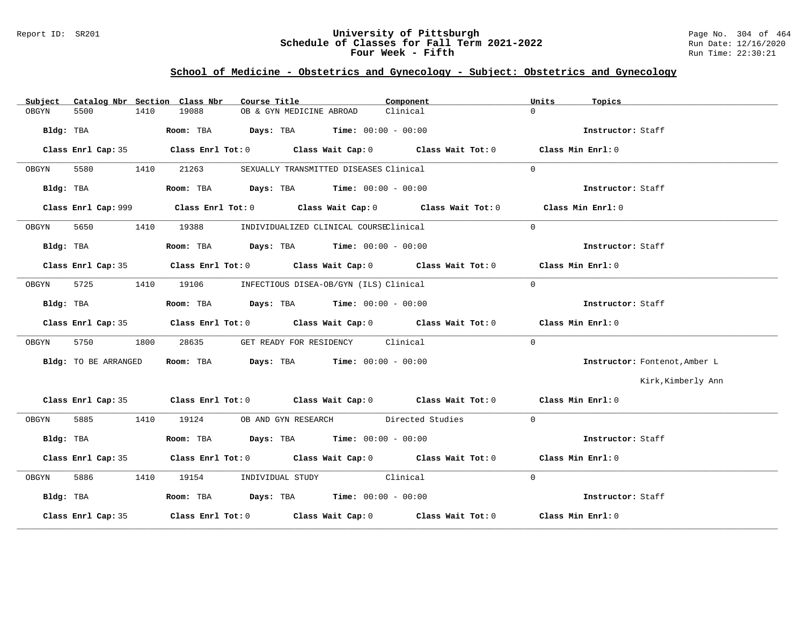### Report ID: SR201 **1988 Machines 1998 Machines 2011 Term 2021-2022** Page No. 304 of 464<br>**Schedule of Classes for Fall Term 2021-2022** 2011 Run Date: 12/16/2020 **Schedule of Classes for Fall Term 2021-2022** Run Date: 12/16/2020 **Four Week - Fifth** Run Time: 22:30:21

# **School of Medicine - Obstetrics and Gynecology - Subject: Obstetrics and Gynecology**

| Subject |                      |      | Catalog Nbr Section Class Nbr | Course Title                                                                                  | Component                                                                                  | Units             | Topics                        |
|---------|----------------------|------|-------------------------------|-----------------------------------------------------------------------------------------------|--------------------------------------------------------------------------------------------|-------------------|-------------------------------|
| OBGYN   | 5500                 | 1410 | 19088                         | OB & GYN MEDICINE ABROAD                                                                      | Clinical                                                                                   | $\Omega$          |                               |
|         |                      |      |                               | Bldg: TBA                          Room: TBA          Days: TBA         Time: $00:00 - 00:00$ |                                                                                            |                   | Instructor: Staff             |
|         |                      |      |                               |                                                                                               | Class Enrl Cap: 35 Class Enrl Tot: 0 Class Wait Cap: 0 Class Wait Tot: 0 Class Min Enrl: 0 |                   |                               |
| OBGYN   |                      |      | 5580 1410 21263               | SEXUALLY TRANSMITTED DISEASES Clinical                                                        |                                                                                            | $\Omega$          |                               |
|         | Bldg: TBA            |      |                               | Room: TBA $\rule{1em}{0.15mm}$ Days: TBA $\rule{1.5mm}{0.15mm}$ Time: $00:00 - 00:00$         |                                                                                            |                   | Instructor: Staff             |
|         |                      |      |                               |                                                                                               |                                                                                            | Class Min Enrl: 0 |                               |
| OBGYN   | 5650                 |      | 1410 19388                    | INDIVIDUALIZED CLINICAL COURSEClinical                                                        |                                                                                            | $\Omega$          |                               |
|         | Bldg: TBA            |      |                               | Room: TBA $Days:$ TBA $Time: 00:00 - 00:00$                                                   |                                                                                            |                   | Instructor: Staff             |
|         |                      |      |                               |                                                                                               | Class Enrl Cap: 35 Class Enrl Tot: 0 Class Wait Cap: 0 Class Wait Tot: 0 Class Min Enrl: 0 |                   |                               |
| OBGYN   |                      |      |                               | 5725 1410 19106 INFECTIOUS DISEA-OB/GYN (ILS) Clinical                                        |                                                                                            | $\Omega$          |                               |
|         | Bldg: TBA            |      |                               | Room: TBA $Days:$ TBA Time: $00:00 - 00:00$                                                   |                                                                                            |                   | Instructor: Staff             |
|         |                      |      |                               |                                                                                               | Class Enrl Cap: 35 Class Enrl Tot: 0 Class Wait Cap: 0 Class Wait Tot: 0 Class Min Enrl: 0 |                   |                               |
| OBGYN   | 5750                 | 1800 | 28635                         | GET READY FOR RESIDENCY Clinical                                                              |                                                                                            | $\Omega$          |                               |
|         | Bldg: TO BE ARRANGED |      |                               | Room: TBA $Days:$ TBA Time: $00:00 - 00:00$                                                   |                                                                                            |                   | Instructor: Fontenot, Amber L |
|         |                      |      |                               |                                                                                               |                                                                                            |                   | Kirk, Kimberly Ann            |
|         |                      |      |                               |                                                                                               | Class Enrl Cap: 35 Class Enrl Tot: 0 Class Wait Cap: 0 Class Wait Tot: 0 Class Min Enrl: 0 |                   |                               |
| OBGYN   |                      |      |                               | 5885 1410 19124 OB AND GYN RESEARCH Directed Studies                                          |                                                                                            | $\Omega$          |                               |
|         | Bldg: TBA            |      |                               | Room: TBA $\rule{1em}{0.15mm}$ Days: TBA Time: $00:00 - 00:00$                                |                                                                                            |                   | Instructor: Staff             |
|         |                      |      |                               |                                                                                               | Class Enrl Cap: 35 Class Enrl Tot: 0 Class Wait Cap: 0 Class Wait Tot: 0 Class Min Enrl: 0 |                   |                               |
| OBGYN   |                      |      |                               | 5886 1410 19154 INDIVIDUAL STUDY Clinical                                                     |                                                                                            | $\Omega$          |                               |
|         | Bldg: TBA            |      |                               | Room: TBA $Days:$ TBA Time: $00:00 - 00:00$                                                   |                                                                                            |                   | Instructor: Staff             |
|         | Class Enrl Cap: 35   |      |                               |                                                                                               | Class Enrl Tot: $0$ Class Wait Cap: $0$ Class Wait Tot: $0$ Class Min Enrl: $0$            |                   |                               |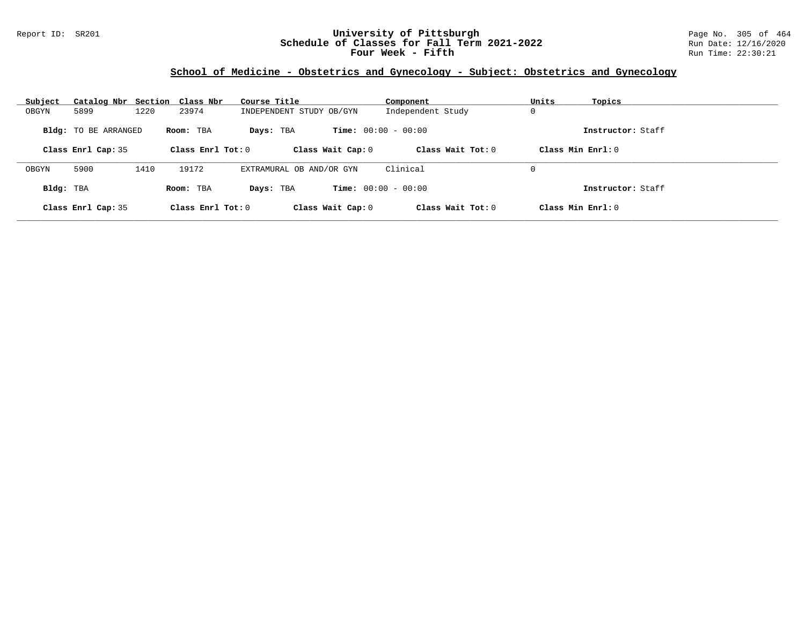### Report ID: SR201 **University of Pittsburgh** Page No. 305 of 464 **Schedule of Classes for Fall Term 2021-2022** Run Date: 12/16/2020 **Four Week - Fifth** Run Time: 22:30:21

# **School of Medicine - Obstetrics and Gynecology - Subject: Obstetrics and Gynecology**

| Subject   | Catalog Nbr Section Class Nbr |      |                     | Course Title             | Component                    | Units<br>Topics      |  |
|-----------|-------------------------------|------|---------------------|--------------------------|------------------------------|----------------------|--|
| OBGYN     | 5899                          | 1220 | 23974               | INDEPENDENT STUDY OB/GYN | Independent Study            | 0                    |  |
|           | <b>Bldg:</b> TO BE ARRANGED   |      | Room: TBA           | Days: TBA                | <b>Time:</b> $00:00 - 00:00$ | Instructor: Staff    |  |
|           | Class Enrl Cap: 35            |      | Class Enrl Tot: $0$ | Class Wait Cap: 0        | Class Wait Tot: $0$          | Class Min Enrl: 0    |  |
| OBGYN     | 5900                          | 1410 | 19172               | EXTRAMURAL OB AND/OR GYN | Clinical                     | 0                    |  |
| Bldg: TBA |                               |      | Room: TBA           | Days: TBA                | <b>Time:</b> $00:00 - 00:00$ | Instructor: Staff    |  |
|           | Class Enrl Cap: 35            |      | Class Enrl Tot: $0$ | Class Wait Cap: 0        | Class Wait Tot: $0$          | $Class Min Ernst: 0$ |  |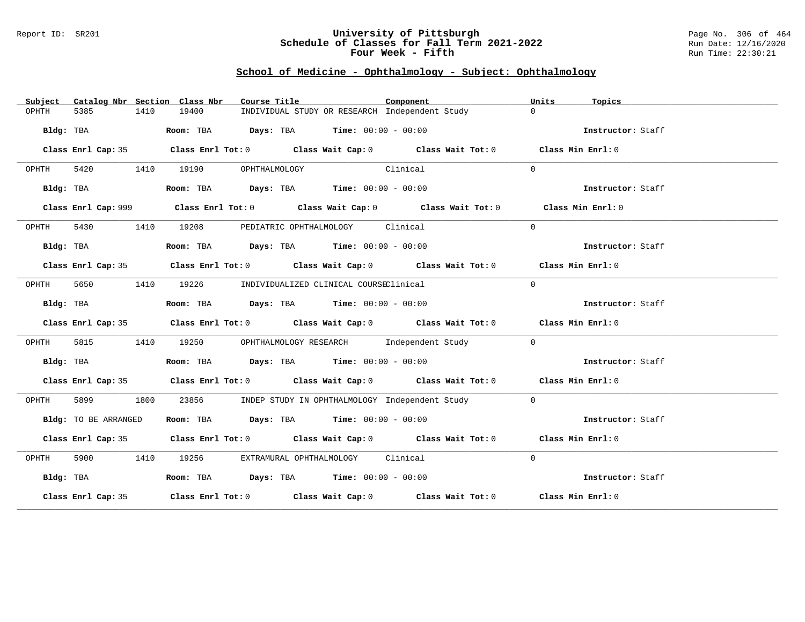#### Report ID: SR201 **University of Pittsburgh** Page No. 306 of 464 **Schedule of Classes for Fall Term 2021-2022** Run Date: 12/16/2020 **Four Week - Fifth** Run Time: 22:30:21

# **School of Medicine - Ophthalmology - Subject: Ophthalmology**

| Subject   |                      |      | Catalog Nbr Section Class Nbr | Course Title                                                                                | Component | Units<br>Topics   |  |
|-----------|----------------------|------|-------------------------------|---------------------------------------------------------------------------------------------|-----------|-------------------|--|
| OPHTH     | 5385                 | 1410 | 19400                         | INDIVIDUAL STUDY OR RESEARCH Independent Study                                              |           | $\Omega$          |  |
|           | Bldg: TBA            |      |                               | Room: TBA $Days:$ TBA $Time: 00:00 - 00:00$                                                 |           | Instructor: Staff |  |
|           |                      |      |                               | Class Enrl Cap: 35 Class Enrl Tot: 0 Class Wait Cap: 0 Class Wait Tot: 0 Class Min Enrl: 0  |           |                   |  |
| OPHTH     |                      |      | 5420 1410 19190               | Clinical<br>OPHTHALMOLOGY                                                                   |           | $\Omega$          |  |
|           | Bldg: TBA            |      |                               | Room: TBA $Days:$ TBA $Time: 00:00 - 00:00$                                                 |           | Instructor: Staff |  |
|           |                      |      |                               | Class Enrl Cap: 999 Class Enrl Tot: 0 Class Wait Cap: 0 Class Wait Tot: 0 Class Min Enrl: 0 |           |                   |  |
| OPHTH     | 5430                 |      | 1410 19208                    | PEDIATRIC OPHTHALMOLOGY Clinical                                                            |           | $\Omega$          |  |
|           | Bldg: TBA            |      |                               | Room: TBA $\rule{1em}{0.15mm}$ Days: TBA $\rule{1.5mm}{0.15mm}$ Time: $00:00 - 00:00$       |           | Instructor: Staff |  |
|           |                      |      |                               | Class Enrl Cap: 35 Class Enrl Tot: 0 Class Wait Cap: 0 Class Wait Tot: 0 Class Min Enrl: 0  |           |                   |  |
| OPHTH     | 5650                 |      |                               | 1410 19226 INDIVIDUALIZED CLINICAL COURSEClinical                                           |           | $\Omega$          |  |
|           | Bldg: TBA            |      |                               | Room: TBA $Days:$ TBA $Time: 00:00 - 00:00$                                                 |           | Instructor: Staff |  |
|           |                      |      |                               | Class Enrl Cap: 35 Class Enrl Tot: 0 Class Wait Cap: 0 Class Wait Tot: 0 Class Min Enrl: 0  |           |                   |  |
| OPHTH     | 5815                 | 1410 |                               | 19250 OPHTHALMOLOGY RESEARCH Independent Study                                              |           | $\mathbf{0}$      |  |
|           | Bldg: TBA            |      |                               | Room: TBA $\rule{1em}{0.15mm}$ Days: TBA $\rule{1.15mm}{0.15mm}$ Time: $00:00 - 00:00$      |           | Instructor: Staff |  |
|           |                      |      |                               | Class Enrl Cap: 35 Class Enrl Tot: 0 Class Wait Cap: 0 Class Wait Tot: 0 Class Min Enrl: 0  |           |                   |  |
| OPHTH     | 5899 1800            |      | 23856                         | INDEP STUDY IN OPHTHALMOLOGY Independent Study                                              |           | $\overline{0}$    |  |
|           | Bldg: TO BE ARRANGED |      |                               | Room: TBA $Days:$ TBA $Time: 00:00 - 00:00$                                                 |           | Instructor: Staff |  |
|           |                      |      |                               | Class Enrl Cap: 35 Class Enrl Tot: 0 Class Wait Cap: 0 Class Wait Tot: 0 Class Min Enrl: 0  |           |                   |  |
| OPHTH     |                      |      | 5900 1410 19256               | EXTRAMURAL OPHTHALMOLOGY Clinical                                                           |           | $\Omega$          |  |
| Bldg: TBA |                      |      |                               | Room: TBA $Days:$ TBA $Time: 00:00 - 00:00$                                                 |           | Instructor: Staff |  |
|           |                      |      |                               | Class Enrl Cap: 35 Class Enrl Tot: 0 Class Wait Cap: 0 Class Wait Tot: 0 Class Min Enrl: 0  |           |                   |  |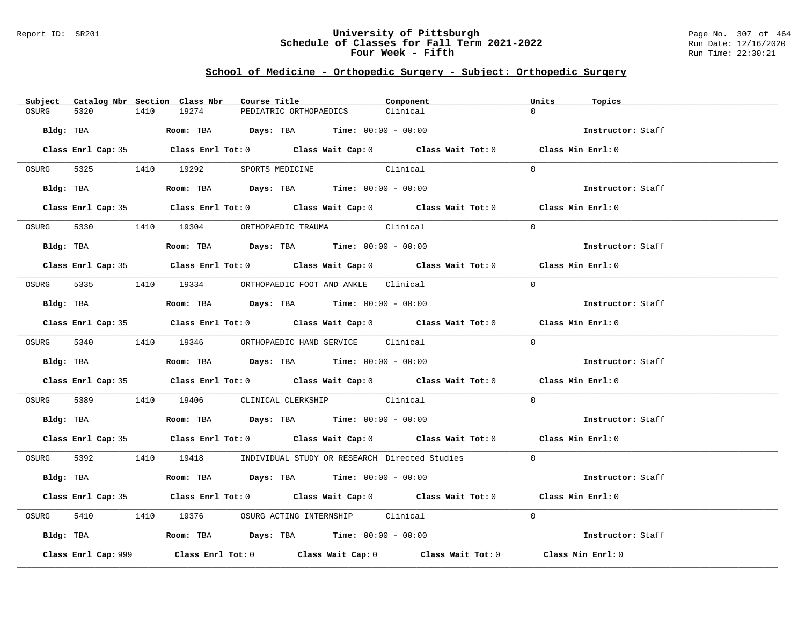#### Report ID: SR201 **University of Pittsburgh** Page No. 307 of 464 **Schedule of Classes for Fall Term 2021-2022** Run Date: 12/16/2020 **Four Week - Fifth** Run Time: 22:30:21

# **School of Medicine - Orthopedic Surgery - Subject: Orthopedic Surgery**

|           |                     |      | Subject Catalog Nbr Section Class Nbr | Course Title                                                                                 | Component                                                                                  | Units    | Topics            |
|-----------|---------------------|------|---------------------------------------|----------------------------------------------------------------------------------------------|--------------------------------------------------------------------------------------------|----------|-------------------|
| OSURG     | 5320                | 1410 | 19274                                 | PEDIATRIC ORTHOPAEDICS                                                                       | Clinical                                                                                   | $\cap$   |                   |
| Bldg: TBA |                     |      |                                       | <b>Room:</b> TBA $Days:$ TBA $Time: 00:00 - 00:00$                                           |                                                                                            |          | Instructor: Staff |
|           |                     |      |                                       |                                                                                              | Class Enrl Cap: 35 Class Enrl Tot: 0 Class Wait Cap: 0 Class Wait Tot: 0 Class Min Enrl: 0 |          |                   |
|           |                     |      |                                       | OSURG 5325 1410 19292 SPORTS MEDICINE Clinical                                               |                                                                                            | $\Omega$ |                   |
|           |                     |      |                                       | Bldg: TBA                   Room: TBA         Days: TBA         Time: $00:00 - 00:00$        |                                                                                            |          | Instructor: Staff |
|           |                     |      |                                       |                                                                                              | Class Enrl Cap: 35 Class Enrl Tot: 0 Class Wait Cap: 0 Class Wait Tot: 0 Class Min Enrl: 0 |          |                   |
| OSURG     |                     |      |                                       | 5330 1410 19304 ORTHOPAEDIC TRAUMA Clinical                                                  |                                                                                            | $\Omega$ |                   |
|           |                     |      |                                       | Bldg: TBA                   Room: TBA         Days: TBA         Time: 00:00 - 00:00          |                                                                                            |          | Instructor: Staff |
|           |                     |      |                                       |                                                                                              | Class Enrl Cap: 35 Class Enrl Tot: 0 Class Wait Cap: 0 Class Wait Tot: 0 Class Min Enrl: 0 |          |                   |
|           |                     |      |                                       | OSURG 5335 1410 19334 ORTHOPAEDIC FOOT AND ANKLE Clinical                                    |                                                                                            | $\Omega$ |                   |
|           |                     |      |                                       | Bldg: TBA                    Room: TBA         Days: TBA         Time: $00:00 - 00:00$       |                                                                                            |          | Instructor: Staff |
|           |                     |      |                                       |                                                                                              | Class Enrl Cap: 35 Class Enrl Tot: 0 Class Wait Cap: 0 Class Wait Tot: 0 Class Min Enrl: 0 |          |                   |
|           |                     |      |                                       | OSURG 5340 1410 19346 ORTHOPAEDIC HAND SERVICE Clinical                                      |                                                                                            | $\Omega$ |                   |
|           |                     |      |                                       | Bldg: TBA                    Room: TBA         Days: TBA         Time: $00:00 - 00:00$       |                                                                                            |          | Instructor: Staff |
|           |                     |      |                                       |                                                                                              | Class Enrl Cap: 35 Class Enrl Tot: 0 Class Wait Cap: 0 Class Wait Tot: 0 Class Min Enrl: 0 |          |                   |
|           |                     |      |                                       | OSURG 5389 1410 19406 CLINICAL CLERKSHIP Clinical                                            |                                                                                            | $\Omega$ |                   |
|           |                     |      |                                       | Bldg: TBA                        Room: TBA          Days: TBA          Time: $00:00 - 00:00$ |                                                                                            |          | Instructor: Staff |
|           |                     |      |                                       |                                                                                              | Class Enrl Cap: 35 Class Enrl Tot: 0 Class Wait Cap: 0 Class Wait Tot: 0 Class Min Enrl: 0 |          |                   |
|           |                     |      |                                       |                                                                                              | OSURG 5392 1410 19418 INDIVIDUAL STUDY OR RESEARCH Directed Studies 0                      |          |                   |
|           | Bldg: TBA           |      |                                       | Room: TBA $Days:$ TBA $Time: 00:00 - 00:00$                                                  |                                                                                            |          | Instructor: Staff |
|           |                     |      |                                       |                                                                                              | Class Enrl Cap: 35 Class Enrl Tot: 0 Class Wait Cap: 0 Class Wait Tot: 0 Class Min Enrl: 0 |          |                   |
| OSURG     |                     |      |                                       | 5410 19376 OSURG ACTING INTERNSHIP Clinical                                                  |                                                                                            | $\Omega$ |                   |
|           |                     |      |                                       | Bldg: TBA                   Room: TBA         Days: TBA         Time: 00:00 - 00:00          |                                                                                            |          | Instructor: Staff |
|           | Class Enrl Cap: 999 |      |                                       |                                                                                              | Class Enrl Tot: $0$ Class Wait Cap: $0$ Class Wait Tot: $0$                                |          | Class Min Enrl: 0 |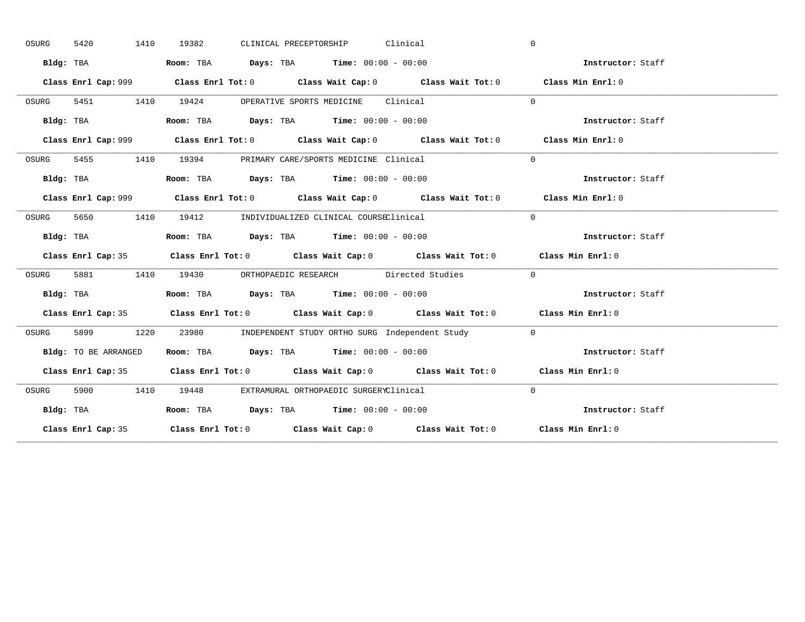| OSURG | 5420<br>1410         | CLINICAL PRECEPTORSHIP Clinical<br>19382                                                    | $\mathbf{0}$      |
|-------|----------------------|---------------------------------------------------------------------------------------------|-------------------|
|       | Bldg: TBA            | Room: TBA $Days:$ TBA $Time: 00:00 - 00:00$                                                 | Instructor: Staff |
|       |                      | Class Enrl Cap: 999 Class Enrl Tot: 0 Class Wait Cap: 0 Class Wait Tot: 0 Class Min Enrl: 0 |                   |
| OSURG |                      | 5451 1410 19424 OPERATIVE SPORTS MEDICINE Clinical                                          | $\Omega$          |
|       | Bldg: TBA            | Room: TBA $Days:$ TBA Time: $00:00 - 00:00$                                                 | Instructor: Staff |
|       |                      | Class Enrl Cap: 999 Class Enrl Tot: 0 Class Wait Cap: 0 Class Wait Tot: 0 Class Min Enrl: 0 |                   |
| OSURG |                      | 5455 1410 19394 PRIMARY CARE/SPORTS MEDICINE Clinical                                       | $\Omega$          |
|       | Bldg: TBA            | Room: TBA $Days:$ TBA $Time: 00:00 - 00:00$                                                 | Instructor: Staff |
|       |                      | Class Enrl Cap: 999 Class Enrl Tot: 0 Class Wait Cap: 0 Class Wait Tot: 0 Class Min Enrl: 0 |                   |
| OSURG | 5650 1410            | 19412 INDIVIDUALIZED CLINICAL COURSEClinical                                                | $\Omega$          |
|       | Bldg: TBA            | Room: TBA $Days:$ TBA $Time: 00:00 - 00:00$                                                 | Instructor: Staff |
|       |                      | Class Enrl Cap: 35 Class Enrl Tot: 0 Class Wait Cap: 0 Class Wait Tot: 0 Class Min Enrl: 0  |                   |
| OSURG |                      | 5881 1410 19430 ORTHOPAEDIC RESEARCH Directed Studies                                       | $\sim$ 0          |
|       | Bldg: TBA            | Room: TBA $\rule{1em}{0.15mm}$ Days: TBA $\rule{1.5mm}{0.15mm}$ Time: $00:00 - 00:00$       | Instructor: Staff |
|       |                      | Class Enrl Cap: 35 Class Enrl Tot: 0 Class Wait Cap: 0 Class Wait Tot: 0 Class Min Enrl: 0  |                   |
| OSURG |                      | 5899 1220 23980 INDEPENDENT STUDY ORTHO SURG Independent Study 0                            |                   |
|       |                      |                                                                                             |                   |
|       | Bldg: TO BE ARRANGED | Room: TBA $Days:$ TBA Time: $00:00 - 00:00$                                                 | Instructor: Staff |
|       |                      | Class Enrl Cap: 35 Class Enrl Tot: 0 Class Wait Cap: 0 Class Wait Tot: 0 Class Min Enrl: 0  |                   |
| OSURG |                      | 5900 1410 19448 EXTRAMURAL ORTHOPAEDIC SURGERYClinical                                      | $\Omega$          |
|       | Bldg: TBA            | Room: TBA $Days:$ TBA $Time: 00:00 - 00:00$                                                 | Instructor: Staff |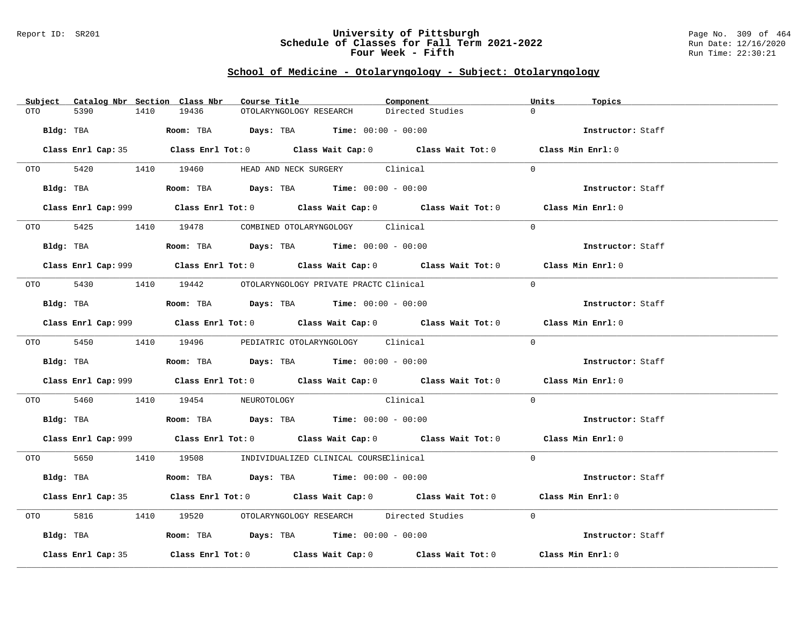#### Report ID: SR201 **University of Pittsburgh** Page No. 309 of 464 **Schedule of Classes for Fall Term 2021-2022** Run Date: 12/16/2020 **Four Week - Fifth** Run Time: 22:30:21

### **School of Medicine - Otolaryngology - Subject: Otolaryngology**

| Subject Catalog Nbr Section Class Nbr | Course Title                                                                                       | Component        | Units<br>Topics   |
|---------------------------------------|----------------------------------------------------------------------------------------------------|------------------|-------------------|
| 5390<br>1410<br>OTO                   | 19436<br>OTOLARYNGOLOGY RESEARCH                                                                   | Directed Studies | $\Omega$          |
| Bldg: TBA                             | Room: TBA $Days:$ TBA $Time: 00:00 - 00:00$                                                        |                  | Instructor: Staff |
|                                       | Class Enrl Cap: 35 Class Enrl Tot: 0 Class Wait Cap: 0 Class Wait Tot: 0 Class Min Enrl: 0         |                  |                   |
|                                       | OTO 5420 1410 19460 HEAD AND NECK SURGERY Clinical                                                 |                  | $\Omega$          |
|                                       | Bldg: TBA                    Room: TBA         Days: TBA         Time: $00:00 - 00:00$             |                  | Instructor: Staff |
|                                       | Class Enrl Cap: 999 Class Enrl Tot: 0 Class Wait Cap: 0 Class Wait Tot: 0 Class Min Enrl: 0        |                  |                   |
| OTO 5425                              | 1410 19478 COMBINED OTOLARYNGOLOGY Clinical                                                        |                  | $\Omega$          |
| Bldg: TBA                             | <b>Room:</b> TBA $\qquad \qquad$ Days: TBA $\qquad \qquad$ Time: $00:00 - 00:00$                   |                  | Instructor: Staff |
|                                       | Class Enrl Cap: 999 Class Enrl Tot: 0 Class Wait Cap: 0 Class Wait Tot: 0 Class Min Enrl: 0        |                  |                   |
|                                       | 0TO 5430 1410 19442 OTOLARYNGOLOGY PRIVATE PRACTC Clinical                                         |                  | $\Omega$          |
| Bldg: TBA                             | Room: TBA $Days:$ TBA Time: $00:00 - 00:00$                                                        |                  | Instructor: Staff |
|                                       | Class Enrl Cap: 999 Class Enrl Tot: 0 Class Wait Cap: 0 Class Wait Tot: 0 Class Min Enrl: 0        |                  |                   |
|                                       | OTO 5450 1410 19496 PEDIATRIC OTOLARYNGOLOGY Clinical                                              |                  | $\Omega$          |
|                                       | Bldg: TBA                    Room: TBA         Days: TBA         Time: $00:00 - 00:00$             |                  | Instructor: Staff |
|                                       | Class Enrl Cap: 999 Class Enrl Tot: 0 Class Wait Cap: 0 Class Wait Tot: 0 Class Min Enrl: 0        |                  |                   |
| OTO 5460                              | 1410 19454 NEUROTOLOGY Clinical                                                                    |                  | $\Omega$          |
|                                       | Bldg: TBA                        Room: TBA          Days: TBA         Time: $00:00 - 00:00$        |                  | Instructor: Staff |
|                                       | Class Enrl Cap: 999 Class Enrl Tot: 0 Class Wait Cap: 0 Class Wait Tot: 0 Class Min Enrl: 0        |                  |                   |
|                                       | 0TO 5650 1410 19508 INDIVIDUALIZED CLINICAL COURSEClinical                                         |                  | $\Omega$          |
| Bldg: TBA                             | Room: TBA $Days:$ TBA $Time: 00:00 - 00:00$                                                        |                  | Instructor: Staff |
|                                       | Class Enrl Cap: 35 Class Enrl Tot: 0 Class Wait Cap: 0 Class Wait Tot: 0 Class Min Enrl: 0         |                  |                   |
| 5816<br>OTO DIE                       | 1410 19520 OTOLARYNGOLOGY RESEARCH Directed Studies                                                |                  | $\Omega$          |
|                                       | Bldg: TBA                    Room: TBA        Days: TBA        Time: 00:00 - 00:00                 |                  | Instructor: Staff |
| Class Enrl Cap: 35                    | Class Enrl Tot: 0 $\qquad$ Class Wait Cap: 0 $\qquad$ Class Wait Tot: 0 $\qquad$ Class Min Enrl: 0 |                  |                   |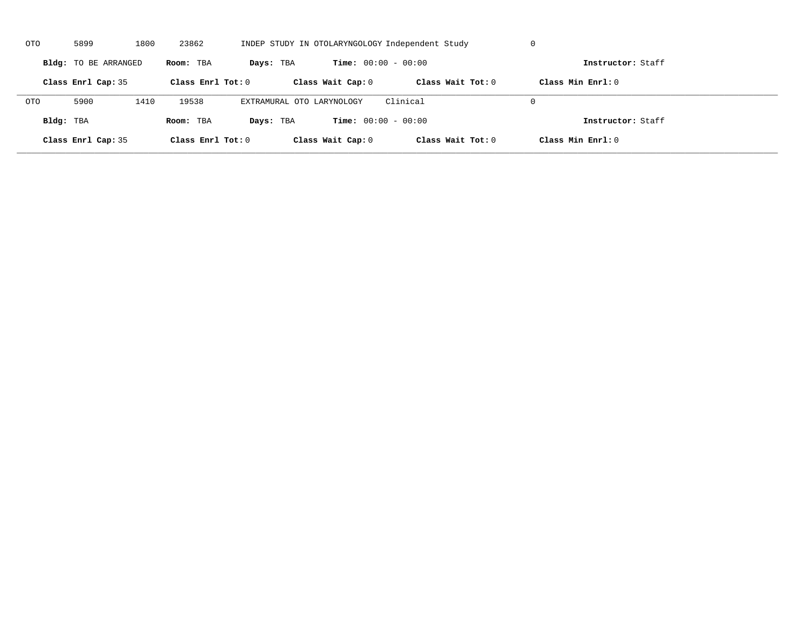| OTO        | 5899                 | 1800 | 23862               | INDEP STUDY IN OTOLARYNGOLOGY Independent Study |                              | U                   |                     |  |
|------------|----------------------|------|---------------------|-------------------------------------------------|------------------------------|---------------------|---------------------|--|
|            | Bldg: TO BE ARRANGED |      | Room: TBA           | Days: TBA                                       | <b>Time:</b> $00:00 - 00:00$ |                     | Instructor: Staff   |  |
|            | Class Enrl Cap: 35   |      | Class Enrl Tot: $0$ |                                                 | Class Wait Cap: 0            | Class Wait $Tot: 0$ | Class Min $Enrl: 0$ |  |
| <b>OTO</b> | 5900                 | 1410 | 19538               | EXTRAMURAL OTO LARYNOLOGY                       |                              | Clinical            | $\Omega$            |  |
| Bldg: TBA  |                      |      | Room: TBA           | Days: TBA                                       | <b>Time:</b> $00:00 - 00:00$ |                     | Instructor: Staff   |  |
|            | Class Enrl Cap: 35   |      | Class Enrl Tot: 0   |                                                 | Class Wait Cap: 0            | Class Wait Tot: 0   | Class Min Enrl: 0   |  |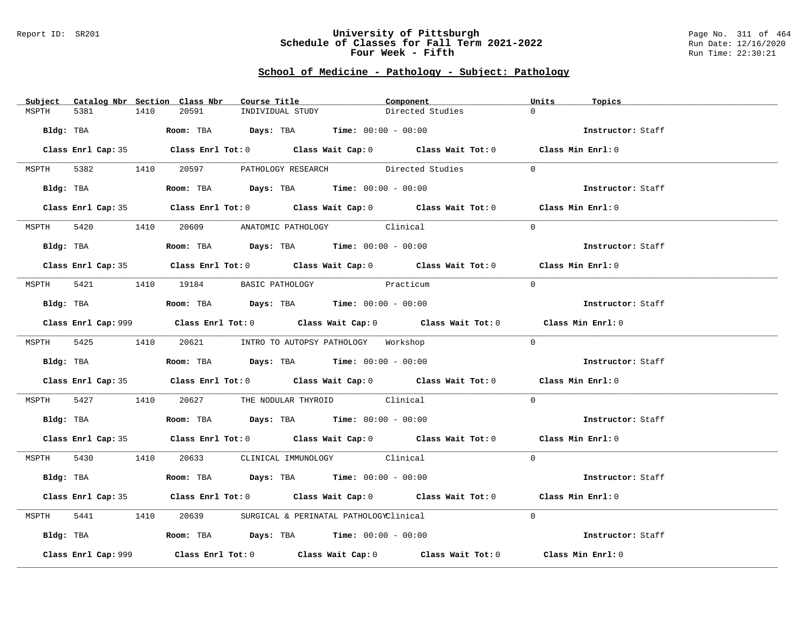#### Report ID: SR201 **University of Pittsburgh** Page No. 311 of 464 **Schedule of Classes for Fall Term 2021-2022** Run Date: 12/16/2020 **Four Week - Fifth** Run Time: 22:30:21

# **School of Medicine - Pathology - Subject: Pathology**

| Subject |                     |      | Catalog Nbr Section Class Nbr | Course Title <b>Seats</b>                                                             |           | Component                                                                                   | Units    | Topics            |
|---------|---------------------|------|-------------------------------|---------------------------------------------------------------------------------------|-----------|---------------------------------------------------------------------------------------------|----------|-------------------|
| MSPTH   | 5381                | 1410 | 20591                         | INDIVIDUAL STUDY                                                                      |           | Directed Studies                                                                            | $\Omega$ |                   |
|         |                     |      |                               | Bldg: TBA                    Room: TBA        Days: TBA        Time: 00:00 - 00:00    |           |                                                                                             |          | Instructor: Staff |
|         |                     |      |                               |                                                                                       |           |                                                                                             |          |                   |
|         |                     |      |                               |                                                                                       |           | Class Enrl Cap: 35 Class Enrl Tot: 0 Class Wait Cap: 0 Class Wait Tot: 0 Class Min Enrl: 0  |          |                   |
|         |                     |      |                               |                                                                                       |           | MSPTH 5382 1410 20597 PATHOLOGY RESEARCH Directed Studies 0                                 |          |                   |
|         | Bldg: TBA           |      |                               | Room: TBA Days: TBA Time: $00:00 - 00:00$                                             |           |                                                                                             |          | Instructor: Staff |
|         |                     |      |                               |                                                                                       |           | Class Enrl Cap: 35 Class Enrl Tot: 0 Class Wait Cap: 0 Class Wait Tot: 0 Class Min Enrl: 0  |          |                   |
|         |                     |      |                               | MSPTH 5420 1410 20609 ANATOMIC PATHOLOGY Clinical                                     |           |                                                                                             | $\Omega$ |                   |
|         | Bldg: TBA           |      |                               | Room: TBA $\rule{1em}{0.15mm}$ Days: TBA $\rule{1.5mm}{0.15mm}$ Time: $00:00 - 00:00$ |           |                                                                                             |          | Instructor: Staff |
|         |                     |      |                               |                                                                                       |           |                                                                                             |          |                   |
|         |                     |      |                               |                                                                                       |           | Class Enrl Cap: 35 Class Enrl Tot: 0 Class Wait Cap: 0 Class Wait Tot: 0 Class Min Enrl: 0  |          |                   |
| MSPTH   |                     |      |                               | 5421 1410 19184 BASIC PATHOLOGY                                                       | Practicum |                                                                                             | $\Omega$ |                   |
|         |                     |      |                               | Bldg: TBA                    Room: TBA         Days: TBA         Time: 00:00 - 00:00  |           |                                                                                             |          | Instructor: Staff |
|         |                     |      |                               |                                                                                       |           | Class Enrl Cap: 999 Class Enrl Tot: 0 Class Wait Cap: 0 Class Wait Tot: 0 Class Min Enrl: 0 |          |                   |
|         |                     |      |                               | MSPTH 5425 1410 20621 INTRO TO AUTOPSY PATHOLOGY Workshop                             |           |                                                                                             | $\Omega$ |                   |
|         | Bldg: TBA           |      |                               | Room: TBA $\rule{1em}{0.15mm}$ Days: TBA Time: $00:00 - 00:00$                        |           |                                                                                             |          | Instructor: Staff |
|         |                     |      |                               |                                                                                       |           | Class Enrl Cap: 35 Class Enrl Tot: 0 Class Wait Cap: 0 Class Wait Tot: 0 Class Min Enrl: 0  |          |                   |
|         |                     |      |                               | MSPTH 5427 1410 20627 THE NODULAR THYROID Clinical                                    |           |                                                                                             | $\Omega$ |                   |
|         |                     |      |                               | Bldg: TBA                   Room: TBA         Days: TBA         Time: $00:00 - 00:00$ |           |                                                                                             |          | Instructor: Staff |
|         |                     |      |                               |                                                                                       |           | Class Enrl Cap: 35 Class Enrl Tot: 0 Class Wait Cap: 0 Class Wait Tot: 0 Class Min Enrl: 0  |          |                   |
|         |                     |      |                               | MSPTH 5430 1410 20633 CLINICAL IMMUNOLOGY Clinical                                    |           |                                                                                             | $\Omega$ |                   |
|         |                     |      |                               | Bldg: TBA                    Room: TBA         Days: TBA        Time: 00:00 - 00:00   |           |                                                                                             |          | Instructor: Staff |
|         |                     |      |                               |                                                                                       |           | Class Enrl Cap: 35 Class Enrl Tot: 0 Class Wait Cap: 0 Class Wait Tot: 0 Class Min Enrl: 0  |          |                   |
| MSPTH   |                     |      |                               | 5441 1410 20639 SURGICAL & PERINATAL PATHOLOGYClinical                                |           |                                                                                             | $\Omega$ |                   |
|         |                     |      |                               | Bldg: TBA                   Room: TBA        Days: TBA        Time: 00:00 - 00:00     |           |                                                                                             |          | Instructor: Staff |
|         | Class Enrl Cap: 999 |      |                               |                                                                                       |           | Class Enrl Tot: $0$ Class Wait Cap: $0$ Class Wait Tot: $0$ Class Min Enrl: $0$             |          |                   |
|         |                     |      |                               |                                                                                       |           |                                                                                             |          |                   |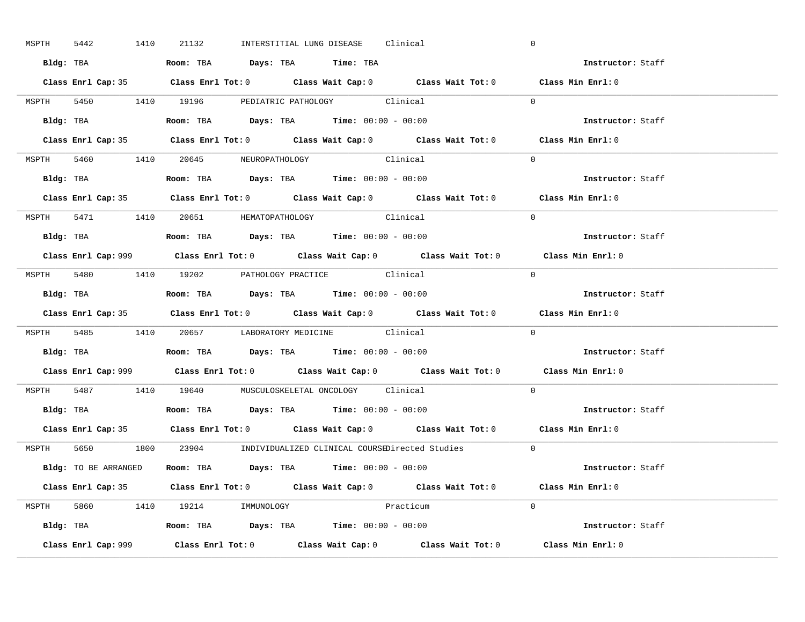| MSPTH 5442 | 1410 | 21132                                                                                 |  | INTERSTITIAL LUNG DISEASE Clinical |           |                                                                      | $\mathbf 0$                                                                                 |  |
|------------|------|---------------------------------------------------------------------------------------|--|------------------------------------|-----------|----------------------------------------------------------------------|---------------------------------------------------------------------------------------------|--|
|            |      | Bldg: TBA                     Room: TBA         Days: TBA         Time: TBA           |  |                                    |           |                                                                      | Instructor: Staff                                                                           |  |
|            |      |                                                                                       |  |                                    |           |                                                                      | Class Enrl Cap: 35 Class Enrl Tot: 0 Class Wait Cap: 0 Class Wait Tot: 0 Class Min Enrl: 0  |  |
|            |      | MSPTH 5450 1410 19196 PEDIATRIC PATHOLOGY Clinical                                    |  |                                    |           |                                                                      | $\Omega$                                                                                    |  |
|            |      |                                                                                       |  |                                    |           |                                                                      | Instructor: Staff                                                                           |  |
|            |      |                                                                                       |  |                                    |           |                                                                      | Class Enrl Cap: 35 Class Enrl Tot: 0 Class Wait Cap: 0 Class Wait Tot: 0 Class Min Enrl: 0  |  |
|            |      | MSPTH 5460 1410 20645 NEUROPATHOLOGY Clinical                                         |  |                                    |           |                                                                      | $\Omega$                                                                                    |  |
|            |      | Bldg: TBA                   Room: TBA         Days: TBA         Time: 00:00 - 00:00   |  |                                    |           |                                                                      | Instructor: Staff                                                                           |  |
|            |      |                                                                                       |  |                                    |           |                                                                      | Class Enrl Cap: 35 Class Enrl Tot: 0 Class Wait Cap: 0 Class Wait Tot: 0 Class Min Enrl: 0  |  |
|            |      | MSPTH 5471 1410 20651 HEMATOPATHOLOGY Clinical                                        |  |                                    |           |                                                                      | $\Omega$                                                                                    |  |
|            |      | Bldg: TBA                   Room: TBA         Days: TBA         Time: $00:00 - 00:00$ |  |                                    |           |                                                                      | Instructor: Staff                                                                           |  |
|            |      |                                                                                       |  |                                    |           |                                                                      | Class Enrl Cap: 999 Class Enrl Tot: 0 Class Wait Cap: 0 Class Wait Tot: 0 Class Min Enrl: 0 |  |
|            |      | MSPTH 5480 1410 19202 PATHOLOGY PRACTICE Clinical                                     |  |                                    |           |                                                                      | $\Omega$                                                                                    |  |
|            |      | Bldg: TBA                   Room: TBA         Days: TBA         Time: $00:00 - 00:00$ |  |                                    |           |                                                                      | Instructor: Staff                                                                           |  |
|            |      |                                                                                       |  |                                    |           |                                                                      | Class Enrl Cap: 35 Class Enrl Tot: 0 Class Wait Cap: 0 Class Wait Tot: 0 Class Min Enrl: 0  |  |
|            |      |                                                                                       |  |                                    |           |                                                                      | $\Omega$                                                                                    |  |
|            |      | MSPTH 5485 1410 20657 LABORATORY MEDICINE Clinical                                    |  |                                    |           |                                                                      |                                                                                             |  |
|            |      | Bldg: TBA                    Room: TBA         Days: TBA        Time: $00:00 - 00:00$ |  |                                    |           |                                                                      | Instructor: Staff                                                                           |  |
|            |      |                                                                                       |  |                                    |           |                                                                      | Class Enrl Cap: 999 Class Enrl Tot: 0 Class Wait Cap: 0 Class Wait Tot: 0 Class Min Enrl: 0 |  |
|            |      | MSPTH 5487 1410 19640 MUSCULOSKELETAL ONCOLOGY Clinical                               |  |                                    |           |                                                                      | $\Omega$                                                                                    |  |
|            |      | Bldg: TBA                   Room: TBA         Days: TBA         Time: $00:00 - 00:00$ |  |                                    |           |                                                                      | Instructor: Staff                                                                           |  |
|            |      |                                                                                       |  |                                    |           |                                                                      | Class Enrl Cap: 35 Class Enrl Tot: 0 Class Wait Cap: 0 Class Wait Tot: 0 Class Min Enrl: 0  |  |
|            |      |                                                                                       |  |                                    |           | MSPTH 5650 1800 23904 INDIVIDUALIZED CLINICAL COURSEDirected Studies | $\overline{0}$                                                                              |  |
|            |      | Bldg: TO BE ARRANGED Room: TBA Days: TBA Time: 00:00 - 00:00                          |  |                                    |           |                                                                      | Instructor: Staff                                                                           |  |
|            |      |                                                                                       |  |                                    |           |                                                                      | Class Enrl Cap: 35 Class Enrl Tot: 0 Class Wait Cap: 0 Class Wait Tot: 0 Class Min Enrl: 0  |  |
|            |      | MSPTH 5860 1410 19214 IMMUNOLOGY                                                      |  |                                    | Practicum |                                                                      | $\Omega$                                                                                    |  |
|            |      | <b>Bldg:</b> TBA <b>Room:</b> TBA <b>Days:</b> TBA <b>Time:</b> $00:00 - 00:00$       |  |                                    |           |                                                                      | Instructor: Staff                                                                           |  |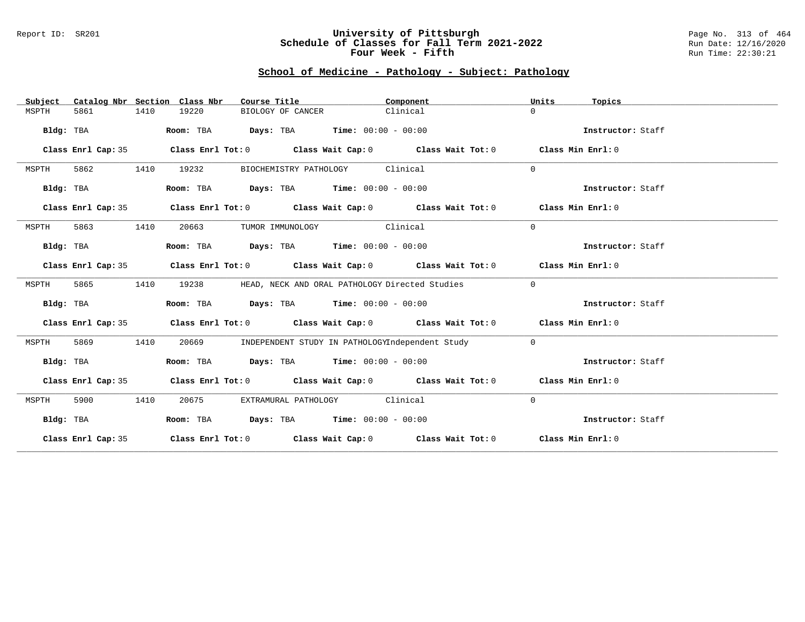#### Report ID: SR201 **University of Pittsburgh** Page No. 313 of 464 **Schedule of Classes for Fall Term 2021-2022** Run Date: 12/16/2020 **Four Week - Fifth** Run Time: 22:30:21

### **School of Medicine - Pathology - Subject: Pathology**

| Subject   |                    |      | Catalog Nbr Section Class Nbr | Course Title     |                                                                | Component                                                                                          | Units          | Topics            |
|-----------|--------------------|------|-------------------------------|------------------|----------------------------------------------------------------|----------------------------------------------------------------------------------------------------|----------------|-------------------|
| MSPTH     | 5861               | 1410 | 19220                         |                  | BIOLOGY OF CANCER                                              | Clinical                                                                                           | $\cap$         |                   |
|           |                    |      |                               |                  |                                                                |                                                                                                    |                | Instructor: Staff |
| Bldg: TBA |                    |      |                               |                  | Room: TBA $Days:$ TBA $Time: 00:00 - 00:00$                    |                                                                                                    |                |                   |
|           | Class Enrl Cap: 35 |      |                               |                  |                                                                | Class Enrl Tot: $0$ Class Wait Cap: $0$ Class Wait Tot: $0$ Class Min Enrl: $0$                    |                |                   |
| MSPTH     | 5862               | 1410 | 19232                         |                  | BIOCHEMISTRY PATHOLOGY Clinical                                |                                                                                                    | $\Omega$       |                   |
| Bldg: TBA |                    |      |                               |                  | Room: TBA $\rule{1em}{0.15mm}$ Days: TBA Time: $00:00 - 00:00$ |                                                                                                    |                | Instructor: Staff |
|           | Class Enrl Cap: 35 |      |                               |                  |                                                                | Class Enrl Tot: $0$ Class Wait Cap: $0$ Class Wait Tot: $0$ Class Min Enrl: $0$                    |                |                   |
| MSPTH     | 5863               | 1410 | 20663                         | TUMOR IMMUNOLOGY | Clinical                                                       |                                                                                                    | $\mathbf 0$    |                   |
| Bldg: TBA |                    |      |                               |                  | Room: TBA $Days:$ TBA $Time: 00:00 - 00:00$                    |                                                                                                    |                | Instructor: Staff |
|           | Class Enrl Cap: 35 |      |                               |                  |                                                                | Class Enrl Tot: $0$ Class Wait Cap: $0$ Class Wait Tot: $0$ Class Min Enrl: $0$                    |                |                   |
| MSPTH     | 5865               | 1410 | 19238                         |                  |                                                                | HEAD, NECK AND ORAL PATHOLOGY Directed Studies                                                     | $\mathbf{0}$   |                   |
| Bldg: TBA |                    |      |                               |                  | Room: TBA $\rule{1em}{0.15mm}$ Days: TBA Time: $00:00 - 00:00$ |                                                                                                    |                | Instructor: Staff |
|           | Class Enrl Cap: 35 |      |                               |                  |                                                                | Class Enrl Tot: $0$ Class Wait Cap: $0$ Class Wait Tot: $0$ Class Min Enrl: $0$                    |                |                   |
| MSPTH     | 5869               | 1410 | 20669                         |                  |                                                                | INDEPENDENT STUDY IN PATHOLOGYIndependent Study                                                    | $\overline{0}$ |                   |
| Bldg: TBA |                    |      |                               |                  | Room: TBA $\rule{1em}{0.15mm}$ Days: TBA Time: $00:00 - 00:00$ |                                                                                                    |                | Instructor: Staff |
|           | Class Enrl Cap: 35 |      |                               |                  |                                                                | Class Enrl Tot: 0 $\qquad$ Class Wait Cap: 0 $\qquad$ Class Wait Tot: 0 $\qquad$ Class Min Enrl: 0 |                |                   |
| MSPTH     | 5900               | 1410 | 20675                         |                  | EXTRAMURAL PATHOLOGY Clinical                                  |                                                                                                    | $\mathbf 0$    |                   |
| Bldg: TBA |                    |      |                               |                  | Room: TBA $Days:$ TBA Time: $00:00 - 00:00$                    |                                                                                                    |                | Instructor: Staff |
|           |                    |      |                               |                  |                                                                | Class Enrl Cap: 35 Class Enrl Tot: 0 Class Wait Cap: 0 Class Wait Tot: 0 Class Min Enrl: 0         |                |                   |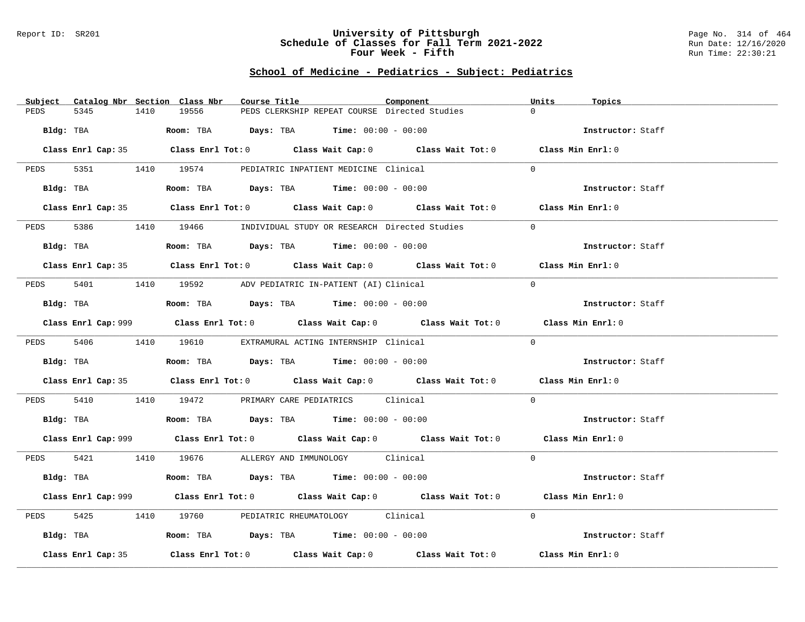#### Report ID: SR201 **University of Pittsburgh** Page No. 314 of 464 **Schedule of Classes for Fall Term 2021-2022** Run Date: 12/16/2020 **Four Week - Fifth** Run Time: 22:30:21

# **School of Medicine - Pediatrics - Subject: Pediatrics**

| Subject<br>Catalog Nbr Section Class Nbr | Course Title                                                                                | Component | Units<br>Topics   |
|------------------------------------------|---------------------------------------------------------------------------------------------|-----------|-------------------|
| PEDS<br>5345<br>1410                     | 19556<br>PEDS CLERKSHIP REPEAT COURSE Directed Studies                                      |           | $\Omega$          |
| Bldg: TBA                                | Room: TBA Days: TBA Time: $00:00 - 00:00$                                                   |           | Instructor: Staff |
|                                          |                                                                                             |           |                   |
|                                          | Class Enrl Cap: 35 Class Enrl Tot: 0 Class Wait Cap: 0 Class Wait Tot: 0 Class Min Enrl: 0  |           |                   |
|                                          | PEDS 5351 1410 19574 PEDIATRIC INPATIENT MEDICINE Clinical                                  |           | $\Omega$          |
| Bldg: TBA                                | Room: TBA $\rule{1em}{0.15mm}$ Days: TBA $\rule{1.15mm}]{0.15mm}$ Time: $00:00 - 00:00$     |           | Instructor: Staff |
|                                          | Class Enrl Cap: 35 Class Enrl Tot: 0 Class Wait Cap: 0 Class Wait Tot: 0 Class Min Enrl: 0  |           |                   |
| PEDS                                     | 5386 1410 19466 INDIVIDUAL STUDY OR RESEARCH Directed Studies                               |           | $\Omega$          |
| Bldg: TBA                                | Room: TBA $Days:$ TBA $Time: 00:00 - 00:00$                                                 |           | Instructor: Staff |
|                                          | Class Enrl Cap: 35 Class Enrl Tot: 0 Class Wait Cap: 0 Class Wait Tot: 0 Class Min Enrl: 0  |           |                   |
|                                          |                                                                                             |           |                   |
| PEDS                                     | 5401 1410 19592 ADV PEDIATRIC IN-PATIENT (AI) Clinical                                      |           | $\Omega$          |
| Bldg: TBA                                | Room: TBA $Days:$ TBA Time: $00:00 - 00:00$                                                 |           | Instructor: Staff |
|                                          | Class Enrl Cap: 999 Class Enrl Tot: 0 Class Wait Cap: 0 Class Wait Tot: 0 Class Min Enrl: 0 |           |                   |
|                                          | PEDS 5406 1410 19610 EXTRAMURAL ACTING INTERNSHIP Clinical                                  |           | $\Omega$          |
| Bldg: TBA                                | Room: TBA $Days:$ TBA $Time: 00:00 - 00:00$                                                 |           | Instructor: Staff |
|                                          | Class Enrl Cap: 35 Class Enrl Tot: 0 Class Wait Cap: 0 Class Wait Tot: 0 Class Min Enrl: 0  |           |                   |
|                                          | PEDS 5410 1410 19472 PRIMARY CARE PEDIATRICS Clinical                                       |           | $\overline{0}$    |
|                                          |                                                                                             |           | Instructor: Staff |
|                                          | Class Enrl Cap: 999 Class Enrl Tot: 0 Class Wait Cap: 0 Class Wait Tot: 0 Class Min Enrl: 0 |           |                   |
|                                          | PEDS 5421 1410 19676 ALLERGY AND IMMUNOLOGY Clinical                                        |           | $\Omega$          |
| Bldg: TBA                                | Room: TBA $Days:$ TBA Time: $00:00 - 00:00$                                                 |           | Instructor: Staff |
|                                          | Class Enrl Cap: 999 Class Enrl Tot: 0 Class Wait Cap: 0 Class Wait Tot: 0 Class Min Enrl: 0 |           |                   |
| 5425<br>PEDS                             | 1410 19760 PEDIATRIC RHEUMATOLOGY Clinical                                                  |           | $\Omega$          |
| Bldg: TBA                                | Room: TBA $\rule{1em}{0.15mm}$ Days: TBA Time: $00:00 - 00:00$                              |           | Instructor: Staff |
|                                          |                                                                                             |           |                   |
| Class Enrl Cap: 35                       | Class Enrl Tot: $0$ Class Wait Cap: $0$ Class Wait Tot: $0$                                 |           | Class Min Enrl: 0 |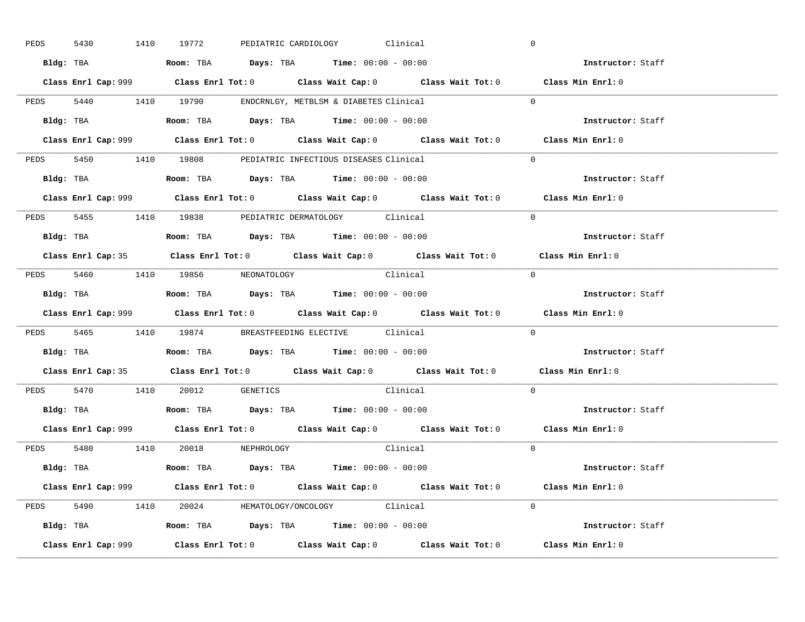| PEDS | 5430      |           | 1410 19772                                                                             |  | PEDIATRIC CARDIOLOGY Clinical |                                                                                             |            | $\overline{0}$           |  |
|------|-----------|-----------|----------------------------------------------------------------------------------------|--|-------------------------------|---------------------------------------------------------------------------------------------|------------|--------------------------|--|
|      |           |           | Bldg: TBA                   Room: TBA         Days: TBA         Time: $00:00 - 00:00$  |  |                               |                                                                                             |            | Instructor: Staff        |  |
|      |           |           |                                                                                        |  |                               | Class Enrl Cap: 999 Class Enrl Tot: 0 Class Wait Cap: 0 Class Wait Tot: 0 Class Min Enrl: 0 |            |                          |  |
|      |           |           | PEDS 5440 1410 19790 ENDCRNLGY, METBLSM & DIABETES Clinical                            |  |                               |                                                                                             |            | $\Omega$                 |  |
|      |           | Bldg: TBA | Room: TBA $Days:$ TBA $Time: 00:00 - 00:00$                                            |  |                               |                                                                                             |            | Instructor: Staff        |  |
|      |           |           |                                                                                        |  |                               | Class Enrl Cap: 999 Class Enrl Tot: 0 Class Wait Cap: 0 Class Wait Tot: 0 Class Min Enrl: 0 |            |                          |  |
|      |           |           | PEDS 5450 1410 19808 PEDIATRIC INFECTIOUS DISEASES Clinical                            |  |                               |                                                                                             |            | $\Omega$                 |  |
|      |           |           | Bldg: TBA                    Room: TBA         Days: TBA        Time: $00:00 - 00:00$  |  |                               |                                                                                             |            | Instructor: Staff        |  |
|      |           |           |                                                                                        |  |                               | Class Enrl Cap: 999 Class Enrl Tot: 0 Class Wait Cap: 0 Class Wait Tot: 0 Class Min Enrl: 0 |            |                          |  |
|      |           |           | PEDS 5455 1410 19838 PEDIATRIC DERMATOLOGY Clinical                                    |  |                               |                                                                                             |            | $\Omega$                 |  |
|      |           |           | Bldg: TBA                    Room: TBA         Days: TBA         Time: $00:00 - 00:00$ |  |                               |                                                                                             |            | Instructor: Staff        |  |
|      |           |           |                                                                                        |  |                               | Class Enrl Cap: 35 Class Enrl Tot: 0 Class Wait Cap: 0 Class Wait Tot: 0 Class Min Enrl: 0  |            |                          |  |
|      |           |           | PEDS 5460 1410 19856 NEONATOLOGY                                                       |  |                               | Clinical                                                                                    | $\bigcirc$ |                          |  |
|      |           |           |                                                                                        |  |                               |                                                                                             |            | Instructor: Staff        |  |
|      |           |           |                                                                                        |  |                               |                                                                                             |            |                          |  |
|      |           |           |                                                                                        |  |                               | Class Enrl Cap: 999 Class Enrl Tot: 0 Class Wait Cap: 0 Class Wait Tot: 0 Class Min Enrl: 0 |            |                          |  |
|      |           |           | PEDS 5465 1410 19874 BREASTFEEDING ELECTIVE Clinical                                   |  |                               |                                                                                             |            | $\mathbf{0}$             |  |
|      | Bldg: TBA |           | Room: TBA $\rule{1em}{0.15mm}$ Days: TBA Time: $00:00 - 00:00$                         |  |                               |                                                                                             |            | <b>Instructor:</b> Staff |  |
|      |           |           |                                                                                        |  |                               | Class Enrl Cap: 35 Class Enrl Tot: 0 Class Wait Cap: 0 Class Wait Tot: 0 Class Min Enrl: 0  |            |                          |  |
|      |           |           | PEDS 5470 1410 20012 GENETICS                                                          |  |                               | Clinical                                                                                    |            | $\Omega$                 |  |
|      |           |           | Bldg: TBA                    Room: TBA         Days: TBA         Time: $00:00 - 00:00$ |  |                               |                                                                                             |            | Instructor: Staff        |  |
|      |           |           |                                                                                        |  |                               | Class Enrl Cap: 999 Class Enrl Tot: 0 Class Wait Cap: 0 Class Wait Tot: 0 Class Min Enrl: 0 |            |                          |  |
|      |           |           | PEDS 5480 1410 20018 NEPHROLOGY                                                        |  |                               | Clinical                                                                                    |            | $\Omega$                 |  |
|      |           |           | Bldg: TBA                   Room: TBA         Days: TBA         Time: 00:00 - 00:00    |  |                               |                                                                                             |            | Instructor: Staff        |  |
|      |           |           |                                                                                        |  |                               | Class Enrl Cap: 999 Class Enrl Tot: 0 Class Wait Cap: 0 Class Wait Tot: 0 Class Min Enrl: 0 |            |                          |  |
|      |           |           | PEDS 5490 1410 20024 HEMATOLOGY/ONCOLOGY Clinical                                      |  |                               |                                                                                             |            | $\Omega$                 |  |
|      |           |           | <b>Bldg:</b> TBA <b>ROOM:</b> TBA <b>Days:</b> TBA <b>Time:</b> $00:00 - 00:00$        |  |                               |                                                                                             |            | Instructor: Staff        |  |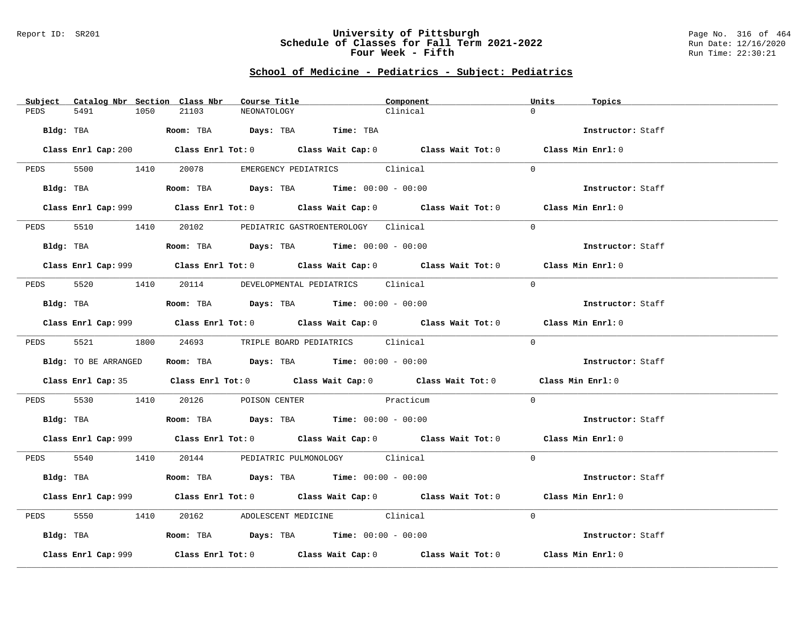#### Report ID: SR201 **University of Pittsburgh** Page No. 316 of 464 **Schedule of Classes for Fall Term 2021-2022** Run Date: 12/16/2020 **Four Week - Fifth** Run Time: 22:30:21

# **School of Medicine - Pediatrics - Subject: Pediatrics**

| Subject Catalog Nbr Section Class Nbr | Course Title                                                                                       | Component | Units<br>Topics   |
|---------------------------------------|----------------------------------------------------------------------------------------------------|-----------|-------------------|
| 5491<br>PEDS<br>1050                  | 21103<br>NEONATOLOGY                                                                               | Clinical  | $\Omega$          |
| Bldg: TBA                             | Room: TBA Days: TBA Time: TBA                                                                      |           | Instructor: Staff |
|                                       | Class Enrl Cap: 200 Class Enrl Tot: 0 Class Wait Cap: 0 Class Wait Tot: 0 Class Min Enrl: 0        |           |                   |
|                                       | PEDS 5500 1410 20078 EMERGENCY PEDIATRICS Clinical                                                 |           | $\Omega$          |
|                                       | Bldg: TBA                   Room: TBA        Days: TBA        Time: $00:00 - 00:00$                |           | Instructor: Staff |
|                                       | Class Enrl Cap: 999 Class Enrl Tot: 0 Class Wait Cap: 0 Class Wait Tot: 0 Class Min Enrl: 0        |           |                   |
| 5510 1410<br>PEDS                     | 20102 PEDIATRIC GASTROENTEROLOGY Clinical                                                          |           | $\Omega$          |
| Bldg: TBA                             | Room: TBA $Days:$ TBA $Time: 00:00 - 00:00$                                                        |           | Instructor: Staff |
|                                       | Class Enrl Cap: 999 Class Enrl Tot: 0 Class Wait Cap: 0 Class Wait Tot: 0 Class Min Enrl: 0        |           |                   |
|                                       | PEDS 5520 1410 20114 DEVELOPMENTAL PEDIATRICS Clinical                                             |           | $\Omega$          |
|                                       | Bldg: TBA                   Room: TBA         Days: TBA         Time: 00:00 - 00:00                |           | Instructor: Staff |
|                                       | Class Enrl Cap: 999 Class Enrl Tot: 0 Class Wait Cap: 0 Class Wait Tot: 0 Class Min Enrl: 0        |           |                   |
|                                       | PEDS 5521 1800 24693 TRIPLE BOARD PEDIATRICS Clinical                                              |           | $\Omega$          |
| Bldg: TO BE ARRANGED                  | Room: TBA $Days:$ TBA $Time:$ 00:00 - 00:00                                                        |           | Instructor: Staff |
|                                       | Class Enrl Cap: 35 Class Enrl Tot: 0 Class Wait Cap: 0 Class Wait Tot: 0 Class Min Enrl: 0         |           |                   |
| PEDS                                  | 5530 1410 20126 POISON CENTER Practicum                                                            |           | $\Omega$          |
|                                       | <b>Bldg:</b> TBA <b>Room:</b> TBA <b>Days:</b> TBA <b>Time:</b> $00:00 - 00:00$                    |           | Instructor: Staff |
|                                       | Class Enrl Cap: 999 Class Enrl Tot: 0 Class Wait Cap: 0 Class Wait Tot: 0 Class Min Enrl: 0        |           |                   |
|                                       | PEDS 5540 1410 20144 PEDIATRIC PULMONOLOGY Clinical                                                |           | $\Omega$          |
|                                       | <b>Bldg:</b> TBA <b>ROOM:</b> TBA <b>Days:</b> TBA <b>Time:</b> $00:00 - 00:00$                    |           | Instructor: Staff |
|                                       | Class Enrl Cap: 999 Class Enrl Tot: 0 Class Wait Cap: 0 Class Wait Tot: 0 Class Min Enrl: 0        |           |                   |
| 5550 1410<br>PEDS                     | 20162 ADOLESCENT MEDICINE Clinical                                                                 |           | $\Omega$          |
|                                       | Bldg: TBA                        Room: TBA          Days: TBA         Time: $00:00 - 00:00$        |           | Instructor: Staff |
| Class Enrl Cap: 999                   | Class Enrl Tot: 0 $\qquad$ Class Wait Cap: 0 $\qquad$ Class Wait Tot: 0 $\qquad$ Class Min Enrl: 0 |           |                   |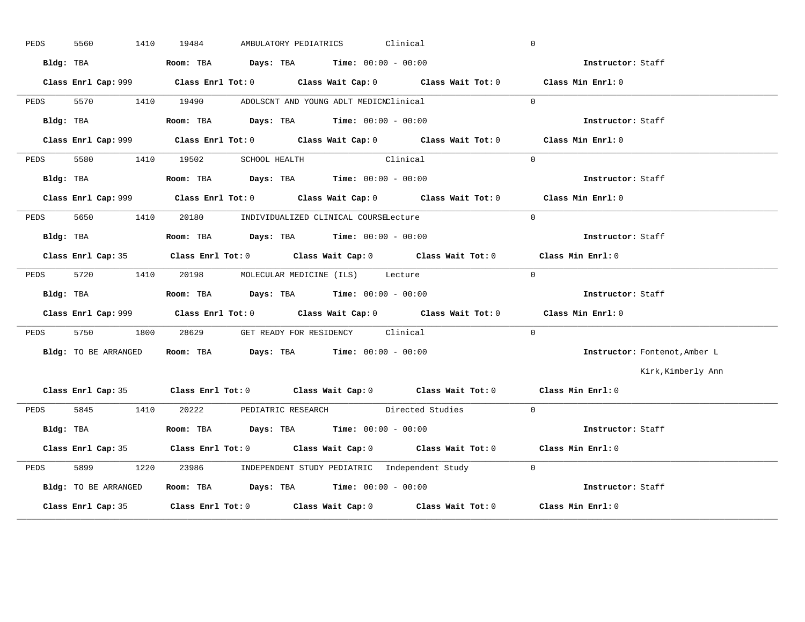| PEDS | 5560<br>1410         | AMBULATORY PEDIATRICS Clinical<br>19484                                                     | $\overline{0}$ |                               |
|------|----------------------|---------------------------------------------------------------------------------------------|----------------|-------------------------------|
|      | Bldg: TBA            | <b>Room:</b> TBA $Days: TBA$ <b>Time:</b> $00:00 - 00:00$                                   |                | <b>Instructor:</b> Staff      |
|      |                      | Class Enrl Cap: 999 Class Enrl Tot: 0 Class Wait Cap: 0 Class Wait Tot: 0 Class Min Enrl: 0 |                |                               |
| PEDS |                      | 5570 1410 19490 ADOLSCNT AND YOUNG ADLT MEDICNClinical                                      | $\Omega$       |                               |
|      | Bldg: TBA            | Room: TBA $\rule{1em}{0.15mm}$ Days: TBA Time: $00:00 - 00:00$                              |                | Instructor: Staff             |
|      |                      | Class Enrl Cap: 999 Class Enrl Tot: 0 Class Wait Cap: 0 Class Wait Tot: 0 Class Min Enrl: 0 |                |                               |
| PEDS |                      | 5580 1410 19502 SCHOOL HEALTH Clinical                                                      | $\Omega$       |                               |
|      | Bldg: TBA            | Room: TBA $Days:$ TBA $Time: 00:00 - 00:00$                                                 |                | Instructor: Staff             |
|      |                      | Class Enrl Cap: 999 Class Enrl Tot: 0 Class Wait Cap: 0 Class Wait Tot: 0 Class Min Enrl: 0 |                |                               |
|      |                      | PEDS 5650 1410 20180 INDIVIDUALIZED CLINICAL COURSELecture                                  | $\Omega$       |                               |
|      | Bldg: TBA            | Room: TBA $Days:$ TBA $Time: 00:00 - 00:00$                                                 |                | Instructor: Staff             |
|      |                      | Class Enrl Cap: 35 Class Enrl Tot: 0 Class Wait Cap: 0 Class Wait Tot: 0 Class Min Enrl: 0  |                |                               |
| PEDS | 5720 1410            | 20198 MOLECULAR MEDICINE (ILS) Lecture                                                      | $\overline{0}$ |                               |
|      |                      | Bldg: TBA                       Room: TBA          Days: TBA          Time: 00:00 - 00:00   |                | Instructor: Staff             |
|      |                      | Class Enrl Cap: 999 Class Enrl Tot: 0 Class Wait Cap: 0 Class Wait Tot: 0 Class Min Enrl: 0 |                |                               |
|      |                      | PEDS 5750 1800 28629 GET READY FOR RESIDENCY Clinical                                       | $\Omega$       |                               |
|      | Bldg: TO BE ARRANGED | Room: TBA $Days:$ TBA $Time: 00:00 - 00:00$                                                 |                | Instructor: Fontenot, Amber L |
|      |                      |                                                                                             |                | Kirk, Kimberly Ann            |
|      |                      | Class Enrl Cap: 35 Class Enrl Tot: 0 Class Wait Cap: 0 Class Wait Tot: 0 Class Min Enrl: 0  |                |                               |
|      |                      | PEDS 5845 1410 20222 PEDIATRIC RESEARCH Directed Studies 0                                  |                |                               |
|      | Bldg: TBA            | Room: TBA $\rule{1em}{0.15mm}$ Days: TBA Time: $00:00 - 00:00$                              |                | Instructor: Staff             |
|      |                      | Class Enrl Cap: 35 Class Enrl Tot: 0 Class Wait Cap: 0 Class Wait Tot: 0 Class Min Enrl: 0  |                |                               |
| PEDS | 5899                 | 1220 23986 INDEPENDENT STUDY PEDIATRIC Independent Study 0                                  |                |                               |
|      | Bldg: TO BE ARRANGED | Room: TBA Days: TBA Time: $00:00 - 00:00$                                                   |                |                               |
|      |                      | Class Enrl Cap: 35 Class Enrl Tot: 0 Class Wait Cap: 0 Class Wait Tot: 0 Class Min Enrl: 0  |                |                               |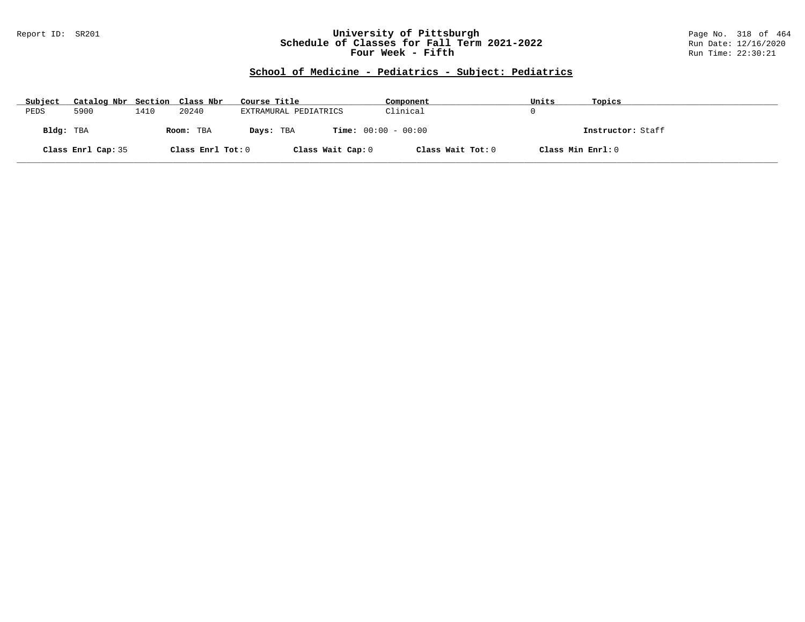#### Report ID: SR201 **University of Pittsburgh** Page No. 318 of 464 **Schedule of Classes for Fall Term 2021-2022** Run Date: 12/16/2020 **Four Week - Fifth** Run Time: 22:30:21

# **School of Medicine - Pediatrics - Subject: Pediatrics**

| Subject   |                    |                        | Catalog Nbr Section Class Nbr<br>Course Title |                              | Component         | Units             | Topics |
|-----------|--------------------|------------------------|-----------------------------------------------|------------------------------|-------------------|-------------------|--------|
| PEDS      | 5900               | 1410                   | 20240                                         | EXTRAMURAL PEDIATRICS        | Clinical          |                   |        |
| Bldg: TBA |                    | Room: TBA<br>Days: TBA |                                               | <b>Time:</b> $00:00 - 00:00$ |                   | Instructor: Staff |        |
|           | Class Enrl Cap: 35 |                        | Class Enrl Tot: 0                             | Class Wait Cap: 0            | Class Wait Tot: 0 | Class Min Enrl: 0 |        |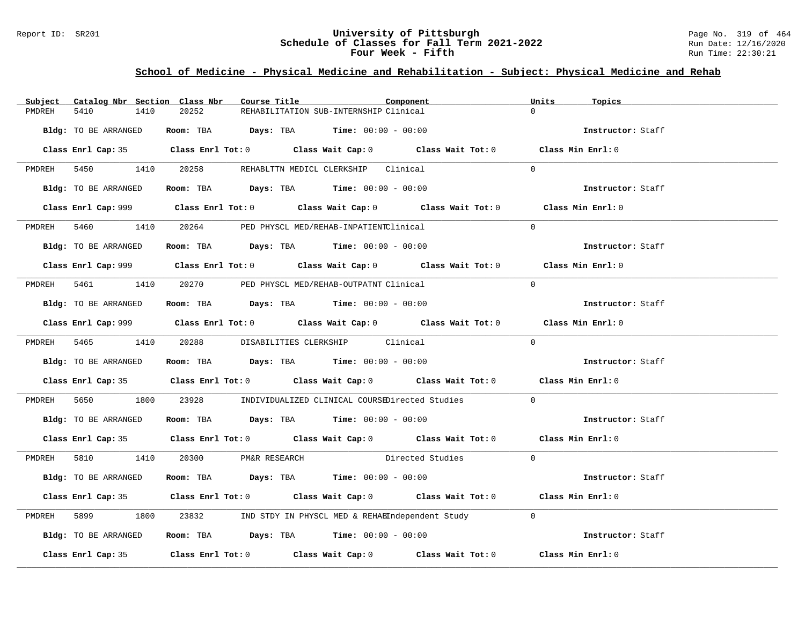### Report ID: SR201 **University of Pittsburgh University of Pittsburgh** Page No. 319 of 464 **Schedule of Classes for Fall Term 2021-2022** Page No. 319 of 464 **Schedule of Classes for Fall Term 2021-2022 Schedule of Classes for Fall Term 2021-2022** Run Date: 12/16/2020 **Four Week - Fifth** Run Time: 22:30:21

# **School of Medicine - Physical Medicine and Rehabilitation - Subject: Physical Medicine and Rehab**

| Catalog Nbr Section Class Nbr<br>Subject | Course Title                                                                                | Component          | Units<br>Topics   |
|------------------------------------------|---------------------------------------------------------------------------------------------|--------------------|-------------------|
| 5410<br>1410<br>PMDREH                   | 20252<br>REHABILITATION SUB-INTERNSHIP Clinical                                             |                    | $\Omega$          |
| Bldg: TO BE ARRANGED                     | Room: TBA $Days:$ TBA Time: $00:00 - 00:00$                                                 |                    | Instructor: Staff |
|                                          | Class Enrl Cap: 35 Class Enrl Tot: 0 Class Wait Cap: 0 Class Wait Tot: 0 Class Min Enrl: 0  |                    |                   |
|                                          | PMDREH 5450 1410 20258 REHABLTTN MEDICL CLERKSHIP Clinical                                  |                    | $\Omega$          |
| Bldg: TO BE ARRANGED                     | Room: TBA $Days:$ TBA $Time: 00:00 - 00:00$                                                 |                    | Instructor: Staff |
|                                          |                                                                                             |                    | Class Min Enrl: 0 |
|                                          | PMDREH 5460 1410 20264 PED PHYSCL MED/REHAB-INPATIENTClinical                               |                    | $\Omega$          |
| Bldg: TO BE ARRANGED                     | Room: TBA $Days:$ TBA $Time: 00:00 - 00:00$                                                 |                    | Instructor: Staff |
|                                          |                                                                                             |                    | Class Min Enrl: 0 |
|                                          | PMDREH 5461 1410 20270 PED PHYSCL MED/REHAB-OUTPATNT Clinical                               |                    | $\Omega$          |
|                                          | Bldg: TO BE ARRANGED Room: TBA Days: TBA Time: 00:00 - 00:00                                |                    | Instructor: Staff |
|                                          | Class Enrl Cap: 999 Class Enrl Tot: 0 Class Wait Cap: 0 Class Wait Tot: 0 Class Min Enrl: 0 |                    |                   |
|                                          | PMDREH 5465 1410 20288 DISABILITIES CLERKSHIP Clinical                                      |                    | $\Omega$          |
| Bldg: TO BE ARRANGED                     | Room: TBA $Days:$ TBA Time: $00:00 - 00:00$                                                 |                    | Instructor: Staff |
|                                          | Class Enrl Cap: 35 Class Enrl Tot: 0 Class Wait Cap: 0 Class Wait Tot: 0 Class Min Enrl: 0  |                    |                   |
| PMDREH                                   | 5650 1800 23928 INDIVIDUALIZED CLINICAL COURSEDirected Studies 0                            |                    |                   |
| Bldg: TO BE ARRANGED                     | Room: TBA $Days:$ TBA $Time: 00:00 - 00:00$                                                 |                    | Instructor: Staff |
|                                          | Class Enrl Cap: 35 Class Enrl Tot: 0 Class Wait Cap: 0 Class Wait Tot: 0 Class Min Enrl: 0  |                    |                   |
|                                          | PMDREH 5810 1410 20300 PM&R RESEARCH                                                        | Directed Studies 0 |                   |
| Bldg: TO BE ARRANGED                     | Room: TBA $\rule{1em}{0.15mm}$ Days: TBA $\rule{1.15mm}{0.15mm}$ Time: $00:00 - 00:00$      |                    | Instructor: Staff |
|                                          | Class Enrl Cap: 35 Class Enrl Tot: 0 Class Wait Cap: 0 Class Wait Tot: 0 Class Min Enrl: 0  |                    |                   |
| PMDREH 5899                              | 1800 23832 IND STDY IN PHYSCL MED & REHABIndependent Study 0                                |                    |                   |
| Bldg: TO BE ARRANGED                     | Room: TBA $\rule{1em}{0.15mm}$ Days: TBA Time: $00:00 - 00:00$                              |                    | Instructor: Staff |
|                                          | Class Enrl Cap: 35 Class Enrl Tot: 0 Class Wait Cap: 0 Class Wait Tot: 0 Class Min Enrl: 0  |                    |                   |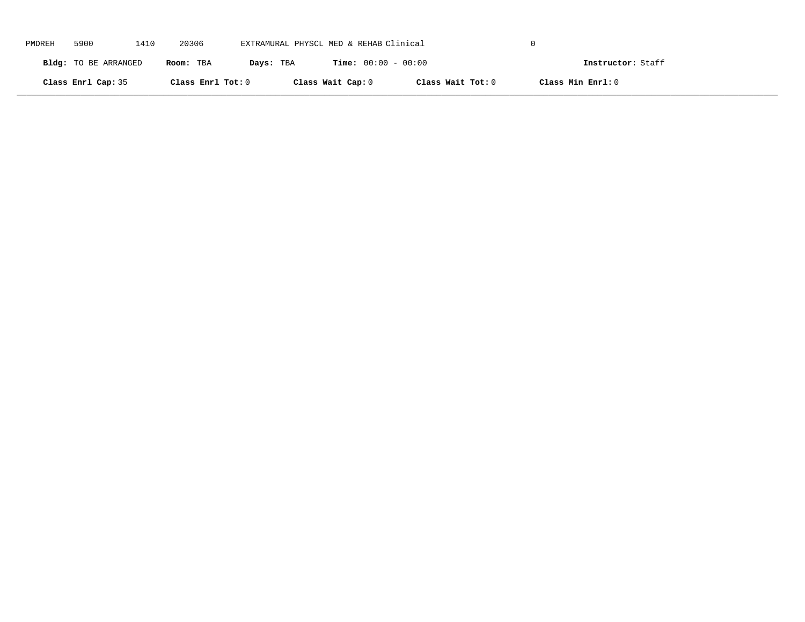| PMDREH | 5900                 | 1410 | 20306             | EXTRAMURAL PHYSCL MED & REHAB Clinical |                              |                   |                   |  |
|--------|----------------------|------|-------------------|----------------------------------------|------------------------------|-------------------|-------------------|--|
|        | Bldg: TO BE ARRANGED |      | Room: TBA         | Days: TBA                              | <b>Time:</b> $00:00 - 00:00$ |                   | Instructor: Staff |  |
|        | Class Enrl Cap: 35   |      | Class Enrl Tot: 0 |                                        | Class Wait Cap: 0            | Class Wait Tot: 0 | Class Min Enrl: 0 |  |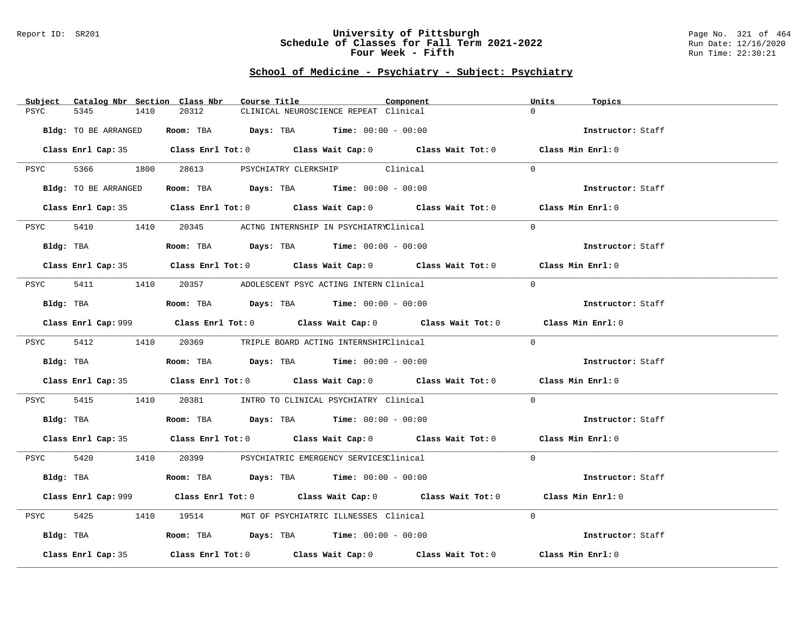#### Report ID: SR201 **University of Pittsburgh** Page No. 321 of 464 **Schedule of Classes for Fall Term 2021-2022** Run Date: 12/16/2020 **Four Week - Fifth** Run Time: 22:30:21

# **School of Medicine - Psychiatry - Subject: Psychiatry**

| Subject Catalog Nbr Section Class Nbr | Course Title                                                                                | Component | Units<br>Topics   |
|---------------------------------------|---------------------------------------------------------------------------------------------|-----------|-------------------|
| 5345<br>PSYC<br>1410                  | 20312<br>CLINICAL NEUROSCIENCE REPEAT Clinical                                              |           | $\Omega$          |
| Bldg: TO BE ARRANGED                  | Room: TBA $Days: TBA$ Time: $00:00 - 00:00$                                                 |           | Instructor: Staff |
|                                       | Class Enrl Cap: 35 Class Enrl Tot: 0 Class Wait Cap: 0 Class Wait Tot: 0 Class Min Enrl: 0  |           |                   |
| PSYC                                  | 5366 1800 28613 PSYCHIATRY CLERKSHIP Clinical                                               |           | $\Omega$          |
| Bldg: TO BE ARRANGED                  | Room: TBA $Days:$ TBA $Time: 00:00 - 00:00$                                                 |           | Instructor: Staff |
|                                       | Class Enrl Cap: 35 Class Enrl Tot: 0 Class Wait Cap: 0 Class Wait Tot: 0 Class Min Enrl: 0  |           |                   |
| 5410 1410<br>PSYC                     | 20345 ACTNG INTERNSHIP IN PSYCHIATRYClinical                                                |           | $\Omega$          |
| Bldg: TBA                             | <b>Room:</b> TBA $Days:$ TBA $Time: 00:00 - 00:00$                                          |           | Instructor: Staff |
|                                       | Class Enrl Cap: 35 Class Enrl Tot: 0 Class Wait Cap: 0 Class Wait Tot: 0 Class Min Enrl: 0  |           |                   |
| PSYC                                  | 5411 1410 20357 ADOLESCENT PSYC ACTING INTERN Clinical                                      |           | $\Omega$          |
| Bldg: TBA                             | Room: TBA $Days:$ TBA Time: $00:00 - 00:00$                                                 |           | Instructor: Staff |
|                                       | Class Enrl Cap: 999 Class Enrl Tot: 0 Class Wait Cap: 0 Class Wait Tot: 0 Class Min Enrl: 0 |           |                   |
|                                       | PSYC 5412 1410 20369 TRIPLE BOARD ACTING INTERNSHIRClinical                                 |           | $\Omega$          |
| Bldg: TBA                             | Room: TBA $Days:$ TBA $Time: 00:00 - 00:00$                                                 |           | Instructor: Staff |
|                                       | Class Enrl Cap: 35 Class Enrl Tot: 0 Class Wait Cap: 0 Class Wait Tot: 0 Class Min Enrl: 0  |           |                   |
| 5415<br>PSYC                          | 1410   20381   INTRO TO CLINICAL PSYCHIATRY Clinical                                        |           | $\Omega$          |
| Bldg: TBA                             | Room: TBA $Days: TBA$ Time: $00:00 - 00:00$                                                 |           | Instructor: Staff |
|                                       | Class Enrl Cap: 35 Class Enrl Tot: 0 Class Wait Cap: 0 Class Wait Tot: 0 Class Min Enrl: 0  |           |                   |
|                                       | PSYC 5420 1410 20399 PSYCHIATRIC EMERGENCY SERVICESClinical                                 |           | $\Omega$          |
|                                       | Bldg: TBA                   Room: TBA         Days: TBA        Time: 00:00 - 00:00          |           | Instructor: Staff |
|                                       | Class Enrl Cap: 999 Class Enrl Tot: 0 Class Wait Cap: 0 Class Wait Tot: 0                   |           | Class Min Enrl: 0 |
| 5425<br>PSYC                          | 1410 19514 MGT OF PSYCHIATRIC ILLNESSES Clinical                                            |           | $\Omega$          |
| Bldg: TBA                             | <b>ROOM:</b> TBA <b>Days:</b> TBA <b>Time:</b> $00:00 - 00:00$                              |           | Instructor: Staff |
| Class Enrl Cap: 35                    | Class Enrl Tot: $0$ Class Wait Cap: $0$ Class Wait Tot: $0$ Class Min Enrl: $0$             |           |                   |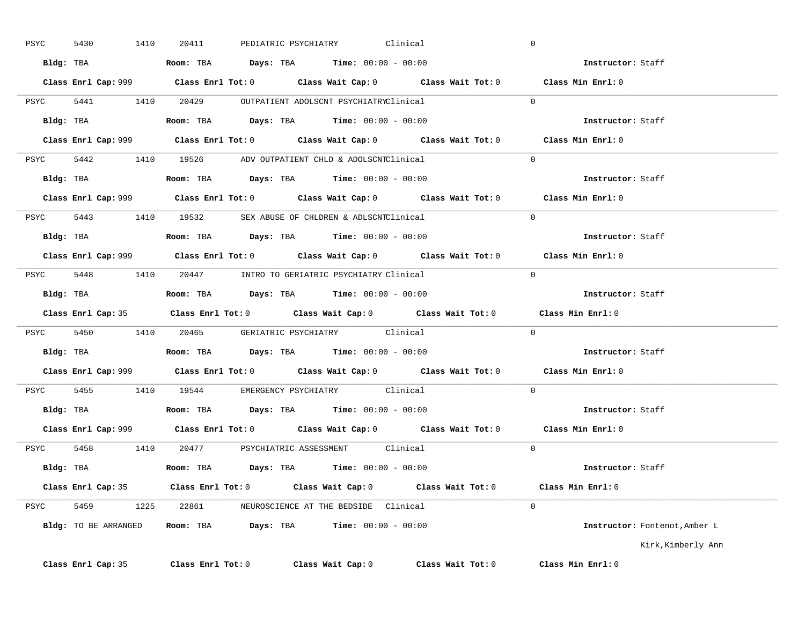| PSYC | 1410<br>5430       | PEDIATRIC PSYCHIATRY<br>20411                                                               | Clinical          |                   | $\overline{0}$                |
|------|--------------------|---------------------------------------------------------------------------------------------|-------------------|-------------------|-------------------------------|
|      |                    | Bldg: TBA                    Room: TBA         Days: TBA         Time: 00:00 - 00:00        |                   |                   | Instructor: Staff             |
|      |                    | Class Enrl Cap: 999 Class Enrl Tot: 0 Class Wait Cap: 0 Class Wait Tot: 0 Class Min Enrl: 0 |                   |                   |                               |
|      |                    | PSYC 5441 1410 20429 OUTPATIENT ADOLSCNT PSYCHIATRYClinical                                 |                   |                   | $\Omega$                      |
|      |                    | Bldg: TBA                       Room: TBA          Days: TBA         Time: $00:00 - 00:00$  |                   |                   | Instructor: Staff             |
|      |                    | Class Enrl Cap: 999 Class Enrl Tot: 0 Class Wait Cap: 0 Class Wait Tot: 0 Class Min Enrl: 0 |                   |                   |                               |
|      |                    | PSYC 5442 1410 19526 ADV OUTPATIENT CHLD & ADOLSCNTClinical 0                               |                   |                   |                               |
|      |                    | Bldg: TBA                     Room: TBA         Days: TBA         Time: 00:00 - 00:00       |                   |                   | Instructor: Staff             |
|      |                    | Class Enrl Cap: 999 Class Enrl Tot: 0 Class Wait Cap: 0 Class Wait Tot: 0 Class Min Enrl: 0 |                   |                   |                               |
|      |                    | PSYC 5443 1410 19532 SEX ABUSE OF CHLDREN & ADLSCNTClinical                                 |                   | $\sim$ 0          |                               |
|      |                    | Bldg: TBA                        Room: TBA           Days: TBA          Time: 00:00 - 00:00 |                   |                   | Instructor: Staff             |
|      |                    | Class Enrl Cap: 999 Class Enrl Tot: 0 Class Wait Cap: 0 Class Wait Tot: 0 Class Min Enrl: 0 |                   |                   |                               |
|      |                    | PSYC 5448 1410 20447 INTRO TO GERIATRIC PSYCHIATRY Clinical                                 |                   |                   | $\overline{0}$                |
|      |                    | Bldg: TBA                   Room: TBA         Days: TBA        Time: $00:00 - 00:00$        |                   |                   | Instructor: Staff             |
|      |                    | Class Enrl Cap: 35 Class Enrl Tot: 0 Class Wait Cap: 0 Class Wait Tot: 0                    |                   |                   | Class Min Enrl: 0             |
|      |                    | PSYC 5450 1410 20465 GERIATRIC PSYCHIATRY Clinical 0                                        |                   |                   |                               |
|      |                    | Bldg: TBA                        Room: TBA          Days: TBA         Time: $00:00 - 00:00$ |                   |                   | Instructor: Staff             |
|      |                    | Class Enrl Cap: 999 Class Enrl Tot: 0 Class Wait Cap: 0 Class Wait Tot: 0 Class Min Enrl: 0 |                   |                   |                               |
|      |                    | PSYC 5455 1410 19544 EMERGENCY PSYCHIATRY Clinical                                          |                   |                   | $\Omega$                      |
|      |                    | Bldg: TBA                   Room: TBA        Days: TBA        Time: 00:00 - 00:00           |                   |                   | Instructor: Staff             |
|      |                    | Class Enrl Cap: 999 Class Enrl Tot: 0 Class Wait Cap: 0 Class Wait Tot: 0                   |                   |                   | Class Min $Enrl: 0$           |
|      |                    | PSYC 5458 1410 20477 PSYCHIATRIC ASSESSMENT Clinical                                        |                   |                   | $\Omega$                      |
|      |                    | Bldg: TBA                   Room: TBA         Days: TBA        Time: 00:00 - 00:00          |                   |                   | Instructor: Staff             |
|      |                    | Class Enrl Cap: 35 Class Enrl Tot: 0 Class Wait Cap: 0 Class Wait Tot: 0 Class Min Enrl: 0  |                   |                   |                               |
|      |                    | PSYC 5459 1225 22861 NEUROSCIENCE AT THE BEDSIDE Clinical                                   |                   |                   | $\Omega$                      |
|      |                    | Bldg: TO BE ARRANGED Room: TBA Days: TBA Time: 00:00 - 00:00                                |                   |                   | Instructor: Fontenot, Amber L |
|      |                    |                                                                                             |                   |                   | Kirk, Kimberly Ann            |
|      | Class Enrl Cap: 35 | $Class$ $Enr1$ $Tot: 0$                                                                     | Class Wait Cap: 0 | Class Wait Tot: 0 | Class Min Enrl: 0             |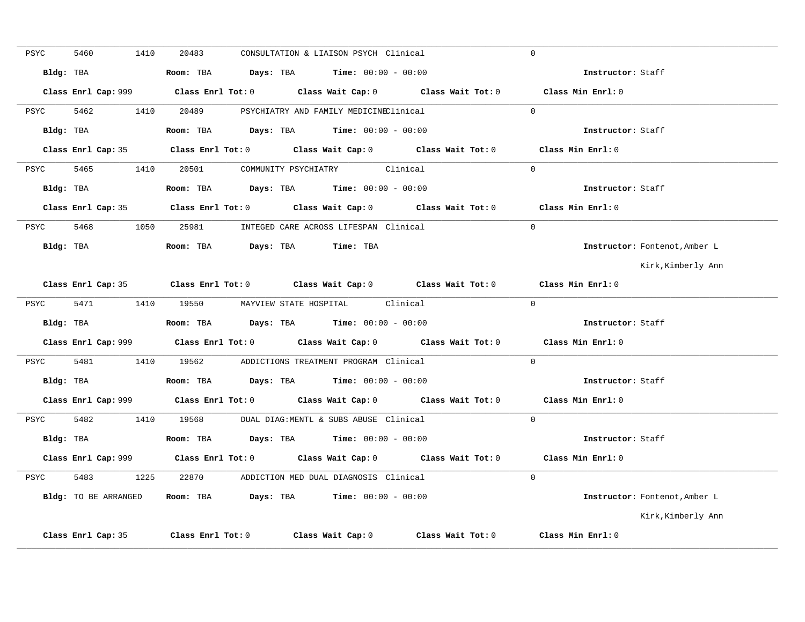| PSYC | 5460                 | 1410 | 20483 | CONSULTATION & LIAISON PSYCH Clinical                                                 |                                                                                             | $\Omega$                      |
|------|----------------------|------|-------|---------------------------------------------------------------------------------------|---------------------------------------------------------------------------------------------|-------------------------------|
|      | Bldg: TBA            |      |       | Room: TBA $Days:$ TBA $Time: 00:00 - 00:00$                                           |                                                                                             | Instructor: Staff             |
|      |                      |      |       |                                                                                       |                                                                                             | Class Min Enrl: 0             |
| PSYC | 5462                 |      |       | 1410  20489  PSYCHIATRY AND FAMILY MEDICINEClinical                                   |                                                                                             | $\Omega$                      |
|      | Bldg: TBA            |      |       | Room: TBA $\rule{1em}{0.15mm}$ Days: TBA $\rule{1.5mm}{0.15mm}$ Time: $00:00 - 00:00$ |                                                                                             | Instructor: Staff             |
|      |                      |      |       |                                                                                       | Class Enrl Cap: 35 Class Enrl Tot: 0 Class Wait Cap: 0 Class Wait Tot: 0 Class Min Enrl: 0  |                               |
|      |                      |      |       | PSYC 5465 1410 20501 COMMUNITY PSYCHIATRY Clinical                                    |                                                                                             | $\Omega$                      |
|      | Bldg: TBA            |      |       | Room: TBA $Days: TBA$ Time: $00:00 - 00:00$                                           |                                                                                             | Instructor: Staff             |
|      |                      |      |       |                                                                                       | Class Enrl Cap: 35 Class Enrl Tot: 0 Class Wait Cap: 0 Class Wait Tot: 0 Class Min Enrl: 0  |                               |
|      |                      |      |       | PSYC 5468 1050 25981 INTEGED CARE ACROSS LIFESPAN Clinical                            |                                                                                             | $\Omega$                      |
|      |                      |      |       | Bldg: TBA                    Room: TBA        Days: TBA        Time: TBA              |                                                                                             | Instructor: Fontenot, Amber L |
|      |                      |      |       |                                                                                       |                                                                                             | Kirk,Kimberly Ann             |
|      |                      |      |       |                                                                                       | Class Enrl Cap: 35 Class Enrl Tot: 0 Class Wait Cap: 0 Class Wait Tot: 0                    | Class Min Enrl: 0             |
| PSYC |                      |      |       | 5471 1410 19550 MAYVIEW STATE HOSPITAL Clinical                                       |                                                                                             | $\Omega$                      |
|      |                      |      |       | Bldg: TBA                    Room: TBA         Days: TBA         Time: 00:00 - 00:00  |                                                                                             | Instructor: Staff             |
|      |                      |      |       |                                                                                       | Class Enrl Cap: 999 Class Enrl Tot: 0 Class Wait Cap: 0 Class Wait Tot: 0 Class Min Enrl: 0 |                               |
|      |                      |      |       | PSYC 5481 1410 19562 ADDICTIONS TREATMENT PROGRAM Clinical                            |                                                                                             | $\Omega$                      |
|      |                      |      |       |                                                                                       |                                                                                             | Instructor: Staff             |
|      |                      |      |       |                                                                                       | Class Enrl Cap: 999 Class Enrl Tot: 0 Class Wait Cap: 0 Class Wait Tot: 0 Class Min Enrl: 0 |                               |
|      |                      |      |       | PSYC 5482 1410 19568 DUAL DIAG:MENTL & SUBS ABUSE Clinical                            |                                                                                             | $\Omega$                      |
|      |                      |      |       | Bldg: TBA                    Room: TBA          Days: TBA         Time: 00:00 - 00:00 |                                                                                             | Instructor: Staff             |
|      |                      |      |       |                                                                                       | Class Enrl Cap: 999 Class Enrl Tot: 0 Class Wait Cap: 0 Class Wait Tot: 0 Class Min Enrl: 0 |                               |
| PSYC |                      |      |       | 5483 1225 22870 ADDICTION MED DUAL DIAGNOSIS Clinical                                 |                                                                                             | $\Omega$                      |
|      | Bldg: TO BE ARRANGED |      |       | Room: TBA $Days:$ TBA $Time: 00:00 - 00:00$                                           |                                                                                             | Instructor: Fontenot, Amber L |
|      |                      |      |       |                                                                                       |                                                                                             | Kirk, Kimberly Ann            |
|      | Class Enrl Cap: 35   |      |       |                                                                                       | Class Enrl Tot: 0 Class Wait Cap: 0 Class Wait Tot: 0                                       | Class Min Enrl: 0             |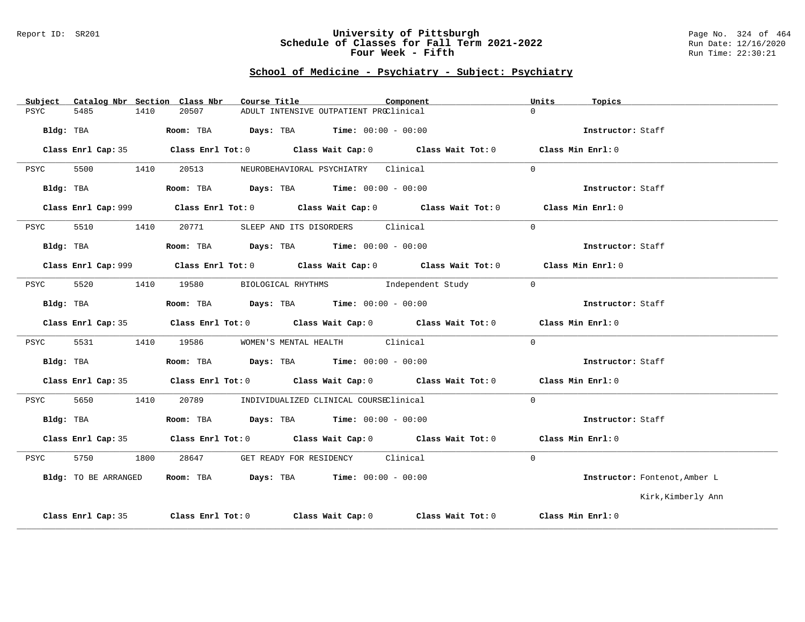#### Report ID: SR201 **University of Pittsburgh** Page No. 324 of 464 **Schedule of Classes for Fall Term 2021-2022** Run Date: 12/16/2020 **Four Week - Fifth** Run Time: 22:30:21

### **School of Medicine - Psychiatry - Subject: Psychiatry**

| Subject |                      |      | Catalog Nbr Section Class Nbr | Course Title                                                          |                                        | Component                                                                                   | Units    | Topics                        |
|---------|----------------------|------|-------------------------------|-----------------------------------------------------------------------|----------------------------------------|---------------------------------------------------------------------------------------------|----------|-------------------------------|
| PSYC    | 5485                 | 1410 | 20507                         |                                                                       | ADULT INTENSIVE OUTPATIENT PROClinical |                                                                                             | $\cap$   |                               |
|         | Bldg: TBA            |      |                               | Room: TBA $Days:$ TBA $Time: 00:00 - 00:00$                           |                                        |                                                                                             |          | Instructor: Staff             |
|         | Class Enrl Cap: 35   |      |                               |                                                                       |                                        | Class Enrl Tot: $0$ Class Wait Cap: $0$ Class Wait Tot: $0$ Class Min Enrl: $0$             |          |                               |
| PSYC    | 5500                 | 1410 |                               | 20513 NEUROBEHAVIORAL PSYCHIATRY Clinical                             |                                        |                                                                                             | $\Omega$ |                               |
|         | Bldg: TBA            |      |                               | Room: TBA $\rule{1em}{0.15mm}$ Days: TBA Time: $00:00 - 00:00$        |                                        |                                                                                             |          | Instructor: Staff             |
|         |                      |      |                               |                                                                       |                                        | Class Enrl Cap: 999 Class Enrl Tot: 0 Class Wait Cap: 0 Class Wait Tot: 0 Class Min Enrl: 0 |          |                               |
| PSYC    | 5510                 | 1410 |                               | 20771 SLEEP AND ITS DISORDERS Clinical                                |                                        |                                                                                             | $\Omega$ |                               |
|         | Bldg: TBA            |      |                               | Room: TBA $Days:$ TBA $Time: 00:00 - 00:00$                           |                                        |                                                                                             |          | Instructor: Staff             |
|         |                      |      |                               |                                                                       |                                        | Class Enrl Cap: 999 Class Enrl Tot: 0 Class Wait Cap: 0 Class Wait Tot: 0 Class Min Enrl: 0 |          |                               |
| PSYC    | 5520                 |      |                               |                                                                       |                                        | 1410 19580 BIOLOGICAL RHYTHMS Independent Study                                             | $\Omega$ |                               |
|         | Bldg: TBA            |      |                               | Room: TBA $Days:$ TBA $Time: 00:00 - 00:00$                           |                                        |                                                                                             |          | Instructor: Staff             |
|         |                      |      |                               |                                                                       |                                        | Class Enrl Cap: 35 Class Enrl Tot: 0 Class Wait Cap: 0 Class Wait Tot: 0 Class Min Enrl: 0  |          |                               |
| PSYC    | 5531                 |      |                               | 1410 19586 WOMEN'S MENTAL HEALTH Clinical                             |                                        |                                                                                             | $\Omega$ |                               |
|         | Bldg: TBA            |      |                               | Room: TBA $Days:$ TBA $Time: 00:00 - 00:00$                           |                                        |                                                                                             |          | Instructor: Staff             |
|         |                      |      |                               |                                                                       |                                        | Class Enrl Cap: 35 Class Enrl Tot: 0 Class Wait Cap: 0 Class Wait Tot: 0 Class Min Enrl: 0  |          |                               |
| PSYC    | 5650                 | 1410 |                               | 20789 INDIVIDUALIZED CLINICAL COURSEClinical                          |                                        |                                                                                             | $\Omega$ |                               |
|         | Bldg: TBA            |      |                               | Room: TBA $Days:$ TBA $Time: 00:00 - 00:00$                           |                                        |                                                                                             |          | Instructor: Staff             |
|         |                      |      |                               |                                                                       |                                        | Class Enrl Cap: 35 Class Enrl Tot: 0 Class Wait Cap: 0 Class Wait Tot: 0 Class Min Enrl: 0  |          |                               |
| PSYC    | 5750                 | 1800 | 28647                         |                                                                       | GET READY FOR RESIDENCY Clinical       |                                                                                             | $\Omega$ |                               |
|         | Bldg: TO BE ARRANGED |      |                               | <b>Room:</b> TBA $\rho$ <b>Days:</b> TBA <b>Time:</b> $00:00 - 00:00$ |                                        |                                                                                             |          | Instructor: Fontenot, Amber L |
|         |                      |      |                               |                                                                       |                                        |                                                                                             |          | Kirk,Kimberly Ann             |
|         | Class Enrl Cap: 35   |      |                               |                                                                       |                                        | Class Enrl Tot: $0$ Class Wait Cap: $0$ Class Wait Tot: $0$ Class Min Enrl: $0$             |          |                               |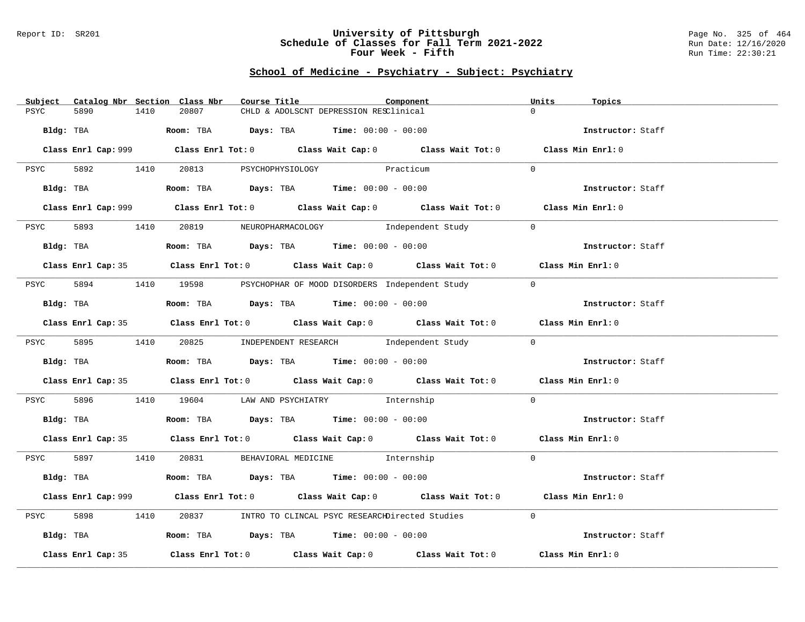#### Report ID: SR201 **University of Pittsburgh** Page No. 325 of 464 **Schedule of Classes for Fall Term 2021-2022** Run Date: 12/16/2020 **Four Week - Fifth** Run Time: 22:30:21

# **School of Medicine - Psychiatry - Subject: Psychiatry**

| Catalog Nbr Section Class Nbr<br>Subject | Course Title<br>Component                                                                          | Units<br>Topics   |
|------------------------------------------|----------------------------------------------------------------------------------------------------|-------------------|
| 1410<br>PSYC<br>5890                     | 20807<br>CHLD & ADOLSCNT DEPRESSION RESClinical                                                    | $\Omega$          |
|                                          |                                                                                                    |                   |
| Bldg: TBA                                | Room: TBA $Days:$ TBA $Time: 00:00 - 00:00$                                                        | Instructor: Staff |
|                                          |                                                                                                    |                   |
|                                          | Class Enrl Cap: 999 Class Enrl Tot: 0 Class Wait Cap: 0 Class Wait Tot: 0 Class Min Enrl: 0        |                   |
|                                          |                                                                                                    |                   |
|                                          | PSYC 5892 1410 20813 PSYCHOPHYSIOLOGY Practicum                                                    | $\Omega$          |
|                                          |                                                                                                    |                   |
|                                          | Bldg: TBA                   Room: TBA        Days: TBA        Time: 00:00 - 00:00                  | Instructor: Staff |
|                                          |                                                                                                    |                   |
|                                          | Class Enrl Cap: 999 Class Enrl Tot: 0 Class Wait Cap: 0 Class Wait Tot: 0 Class Min Enrl: 0        |                   |
|                                          | 20819 NEUROPHARMACOLOGY Independent Study                                                          | $\Omega$          |
| 5893 1410<br>PSYC                        |                                                                                                    |                   |
| Bldg: TBA                                | Room: TBA $Days:$ TBA $Time: 00:00 - 00:00$                                                        | Instructor: Staff |
|                                          |                                                                                                    |                   |
|                                          | Class Enrl Cap: 35 Class Enrl Tot: 0 Class Wait Cap: 0 Class Wait Tot: 0 Class Min Enrl: 0         |                   |
|                                          |                                                                                                    |                   |
| PSYC                                     | 5894 1410 19598 PSYCHOPHAR OF MOOD DISORDERS Independent Study                                     | $\overline{0}$    |
|                                          |                                                                                                    |                   |
| Bldg: TBA                                | Room: TBA Days: TBA Time: $00:00 - 00:00$                                                          | Instructor: Staff |
|                                          |                                                                                                    |                   |
|                                          | Class Enrl Cap: 35 Class Enrl Tot: 0 Class Wait Cap: 0 Class Wait Tot: 0 Class Min Enrl: 0         |                   |
|                                          |                                                                                                    |                   |
|                                          | PSYC 5895 1410 20825 INDEPENDENT RESEARCH      Independent Study                                   | $\Omega$          |
|                                          |                                                                                                    |                   |
| Bldg: TBA                                | Room: TBA $\rule{1em}{0.15mm}$ Days: TBA Time: $00:00 - 00:00$                                     | Instructor: Staff |
|                                          |                                                                                                    |                   |
|                                          | Class Enrl Cap: 35 Class Enrl Tot: 0 Class Wait Cap: 0 Class Wait Tot: 0 Class Min Enrl: 0         |                   |
|                                          |                                                                                                    |                   |
|                                          | PSYC 5896 1410 19604 LAW AND PSYCHIATRY Internship                                                 | $\overline{0}$    |
|                                          |                                                                                                    |                   |
| Bldg: TBA                                | Room: TBA $\rule{1em}{0.15mm}$ Days: TBA Time: $00:00 - 00:00$                                     | Instructor: Staff |
|                                          |                                                                                                    |                   |
|                                          | Class Enrl Cap: 35 Class Enrl Tot: 0 Class Wait Cap: 0 Class Wait Tot: 0 Class Min Enrl: 0         |                   |
|                                          |                                                                                                    | $\Omega$          |
|                                          | PSYC 5897 1410 20831 BEHAVIORAL MEDICINE Internship                                                |                   |
|                                          | Bldg: TBA                    Room: TBA        Days: TBA         Time: 00:00 - 00:00                | Instructor: Staff |
|                                          |                                                                                                    |                   |
|                                          | Class Enrl Cap: 999 Class Enrl Tot: 0 Class Wait Cap: 0 Class Wait Tot: 0 Class Min Enrl: 0        |                   |
|                                          |                                                                                                    |                   |
| 5898<br>1410<br>PSYC                     | 20837 INTRO TO CLINCAL PSYC RESEARCHDirected Studies                                               | $\Omega$          |
|                                          |                                                                                                    |                   |
| Bldg: TBA                                | Room: TBA $\rule{1em}{0.15mm}$ Days: TBA Time: $00:00 - 00:00$                                     | Instructor: Staff |
|                                          |                                                                                                    |                   |
| Class Enrl Cap: 35                       | Class Enrl Tot: 0 $\qquad$ Class Wait Cap: 0 $\qquad$ Class Wait Tot: 0 $\qquad$ Class Min Enrl: 0 |                   |
|                                          |                                                                                                    |                   |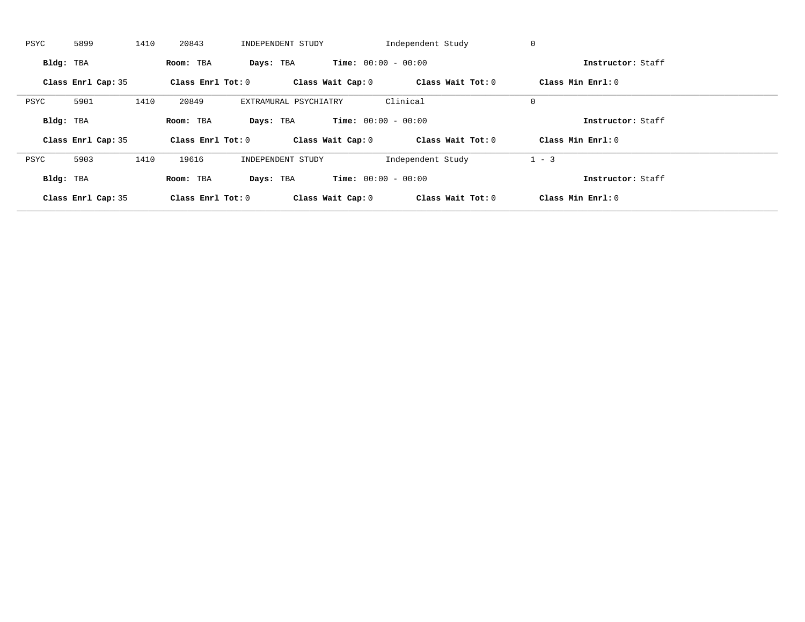| PSYC      | 5899               | 1410 | 20843               | INDEPENDENT STUDY     |                              | Independent Study | 0                 |  |
|-----------|--------------------|------|---------------------|-----------------------|------------------------------|-------------------|-------------------|--|
| Bldg: TBA |                    |      | Room: TBA           | Days: TBA             | <b>Time:</b> $00:00 - 00:00$ |                   | Instructor: Staff |  |
|           | Class Enrl Cap: 35 |      | Class Enrl Tot: $0$ |                       | Class Wait Cap: 0            | Class Wait Tot: 0 | Class Min Enrl: 0 |  |
| PSYC      | 5901               | 1410 | 20849               | EXTRAMURAL PSYCHIATRY |                              | Clinical          | $\mathbf 0$       |  |
| Bldg: TBA |                    |      | Room: TBA           | Days: TBA             | <b>Time:</b> $00:00 - 00:00$ |                   | Instructor: Staff |  |
|           | Class Enrl Cap: 35 |      | Class Enrl Tot: 0   |                       | Class Wait Cap: 0            | Class Wait Tot: 0 | Class Min Enrl: 0 |  |
| PSYC      | 5903               | 1410 | 19616               | INDEPENDENT STUDY     |                              | Independent Study | $1 - 3$           |  |
|           |                    |      |                     |                       |                              |                   |                   |  |
| Bldg: TBA |                    |      | Room: TBA           | Days: TBA             | <b>Time:</b> $00:00 - 00:00$ |                   | Instructor: Staff |  |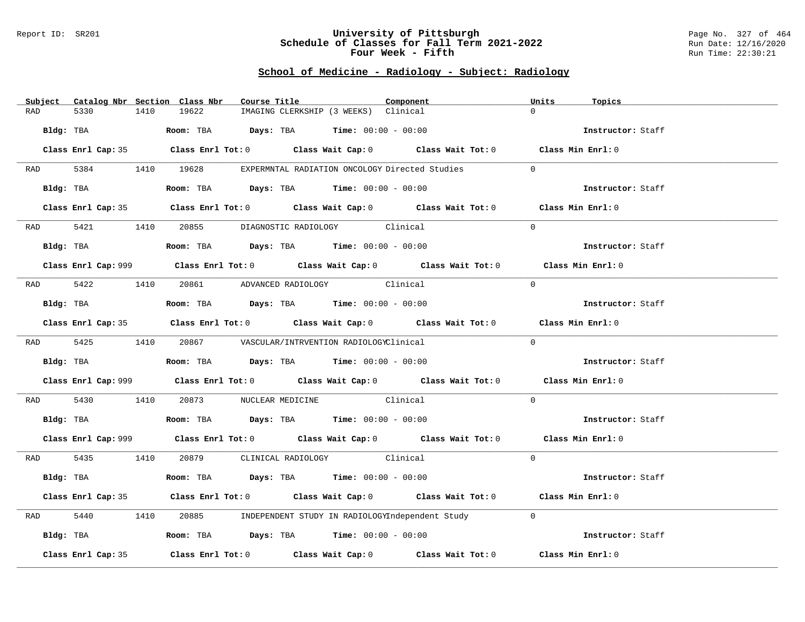#### Report ID: SR201 **University of Pittsburgh** Page No. 327 of 464 **Schedule of Classes for Fall Term 2021-2022** Run Date: 12/16/2020 **Four Week - Fifth** Run Time: 22:30:21

# **School of Medicine - Radiology - Subject: Radiology**

|           |                    |      | Subject Catalog Nbr Section Class Nbr | Course Title |                                                                                        | Component                                                                                          | Units    | Topics            |  |
|-----------|--------------------|------|---------------------------------------|--------------|----------------------------------------------------------------------------------------|----------------------------------------------------------------------------------------------------|----------|-------------------|--|
| RAD       | 5330               | 1410 | 19622                                 |              | IMAGING CLERKSHIP (3 WEEKS) Clinical                                                   |                                                                                                    | $\Omega$ |                   |  |
| Bldg: TBA |                    |      |                                       |              | Room: TBA $Days:$ TBA $Time: 00:00 - 00:00$                                            |                                                                                                    |          | Instructor: Staff |  |
|           |                    |      |                                       |              |                                                                                        | Class Enrl Cap: 35 Class Enrl Tot: 0 Class Wait Cap: 0 Class Wait Tot: 0 Class Min Enrl: 0         |          |                   |  |
|           |                    |      |                                       |              |                                                                                        | RAD 5384 1410 19628 EXPERMNTAL RADIATION ONCOLOGY Directed Studies                                 | $\Omega$ |                   |  |
|           | Bldg: TBA          |      |                                       |              | Room: TBA $Days:$ TBA $Time: 00:00 - 00:00$                                            |                                                                                                    |          | Instructor: Staff |  |
|           |                    |      |                                       |              |                                                                                        | Class Enrl Cap: 35 Class Enrl Tot: 0 Class Wait Cap: 0 Class Wait Tot: 0 Class Min Enrl: 0         |          |                   |  |
|           |                    |      |                                       |              | RAD 5421 1410 20855 DIAGNOSTIC RADIOLOGY Clinical                                      |                                                                                                    | $\Omega$ |                   |  |
|           |                    |      |                                       |              | Bldg: TBA                   Room: TBA        Days: TBA        Time: 00:00 - 00:00      |                                                                                                    |          | Instructor: Staff |  |
|           |                    |      |                                       |              |                                                                                        | Class Enrl Cap: 999 Class Enrl Tot: 0 Class Wait Cap: 0 Class Wait Tot: 0 Class Min Enrl: 0        |          |                   |  |
|           |                    |      |                                       |              | RAD 5422 1410 20861 ADVANCED RADIOLOGY Clinical                                        |                                                                                                    | $\Omega$ |                   |  |
|           | Bldg: TBA          |      |                                       |              | Room: TBA $Days: TBA$ Time: $00:00 - 00:00$                                            |                                                                                                    |          | Instructor: Staff |  |
|           |                    |      |                                       |              |                                                                                        | Class Enrl Cap: 35 Class Enrl Tot: 0 Class Wait Cap: 0 Class Wait Tot: 0 Class Min Enrl: 0         |          |                   |  |
|           |                    |      |                                       |              | RAD 5425 1410 20867 VASCULAR/INTRVENTION RADIOLOGYClinical                             |                                                                                                    | $\Omega$ |                   |  |
|           |                    |      |                                       |              | Bldg: TBA                    Room: TBA         Days: TBA         Time: 00:00 - 00:00   |                                                                                                    |          | Instructor: Staff |  |
|           |                    |      |                                       |              |                                                                                        | Class Enrl Cap: 999 Class Enrl Tot: 0 Class Wait Cap: 0 Class Wait Tot: 0 Class Min Enrl: 0        |          |                   |  |
| RAD       | 5430               |      |                                       |              | 1410 20873 NUCLEAR MEDICINE Clinical                                                   |                                                                                                    | $\Omega$ |                   |  |
|           |                    |      |                                       |              | Bldg: TBA                    Room: TBA         Days: TBA         Time: $00:00 - 00:00$ |                                                                                                    |          | Instructor: Staff |  |
|           |                    |      |                                       |              |                                                                                        | Class Enrl Cap: 999 Class Enrl Tot: 0 Class Wait Cap: 0 Class Wait Tot: 0 Class Min Enrl: 0        |          |                   |  |
|           |                    |      |                                       |              | RAD 5435 1410 20879 CLINICAL RADIOLOGY Clinical                                        |                                                                                                    | $\Omega$ |                   |  |
|           | Bldg: TBA          |      |                                       |              | Room: TBA $\rule{1em}{0.15mm}$ Days: TBA Time: $00:00 - 00:00$                         |                                                                                                    |          | Instructor: Staff |  |
|           |                    |      |                                       |              |                                                                                        | Class Enrl Cap: 35 Class Enrl Tot: 0 Class Wait Cap: 0 Class Wait Tot: 0 Class Min Enrl: 0         |          |                   |  |
| RAD       | 5440               | 1410 |                                       |              |                                                                                        | 20885 INDEPENDENT STUDY IN RADIOLOGYIndependent Study                                              | $\Omega$ |                   |  |
|           |                    |      |                                       |              | Bldg: TBA                   Room: TBA         Days: TBA         Time: $00:00 - 00:00$  |                                                                                                    |          | Instructor: Staff |  |
|           | Class Enrl Cap: 35 |      |                                       |              |                                                                                        | Class Enrl Tot: 0 $\qquad$ Class Wait Cap: 0 $\qquad$ Class Wait Tot: 0 $\qquad$ Class Min Enrl: 0 |          |                   |  |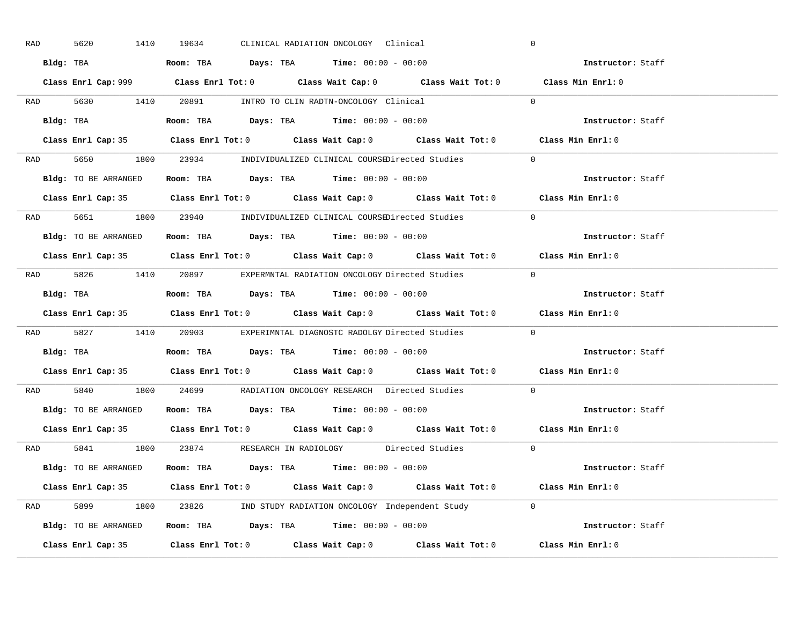| RAD | 5620                                                                                       | 1410 | 19634 |  | CLINICAL RADIATION ONCOLOGY Clinical                                                |                                                                      | $\overline{0}$                                                                              |                   |
|-----|--------------------------------------------------------------------------------------------|------|-------|--|-------------------------------------------------------------------------------------|----------------------------------------------------------------------|---------------------------------------------------------------------------------------------|-------------------|
|     | Bldg: TBA                   Room: TBA         Days: TBA        Time: 00:00 - 00:00         |      |       |  |                                                                                     |                                                                      |                                                                                             | Instructor: Staff |
|     |                                                                                            |      |       |  |                                                                                     |                                                                      | Class Enrl Cap: 999 Class Enrl Tot: 0 Class Wait Cap: 0 Class Wait Tot: 0 Class Min Enrl: 0 |                   |
|     | RAD 5630 1410 20891 INTRO TO CLIN RADTN-ONCOLOGY Clinical                                  |      |       |  |                                                                                     |                                                                      | $\overline{0}$                                                                              |                   |
|     | Bldg: TBA                                                                                  |      |       |  | Room: TBA $Days:$ TBA $Time: 00:00 - 00:00$                                         |                                                                      |                                                                                             | Instructor: Staff |
|     |                                                                                            |      |       |  |                                                                                     |                                                                      | Class Enrl Cap: 35 Class Enrl Tot: 0 Class Wait Cap: 0 Class Wait Tot: 0 Class Min Enrl: 0  |                   |
|     |                                                                                            |      |       |  |                                                                                     | RAD 5650 1800 23934 INDIVIDUALIZED CLINICAL COURSEDirected Studies 0 |                                                                                             |                   |
|     | <b>Bldg:</b> TO BE ARRANGED <b>Room:</b> TBA <b>Days:</b> TBA <b>Time:</b> $00:00 - 00:00$ |      |       |  |                                                                                     |                                                                      |                                                                                             | Instructor: Staff |
|     |                                                                                            |      |       |  |                                                                                     |                                                                      | Class Enrl Cap: 35 Class Enrl Tot: 0 Class Wait Cap: 0 Class Wait Tot: 0 Class Min Enrl: 0  |                   |
|     |                                                                                            |      |       |  |                                                                                     | RAD 5651 1800 23940 INDIVIDUALIZED CLINICAL COURSEDirected Studies   | $\Omega$                                                                                    |                   |
|     | Bldg: TO BE ARRANGED Room: TBA Days: TBA Time: 00:00 - 00:00                               |      |       |  |                                                                                     |                                                                      |                                                                                             | Instructor: Staff |
|     |                                                                                            |      |       |  |                                                                                     |                                                                      | Class Enrl Cap: 35 Class Enrl Tot: 0 Class Wait Cap: 0 Class Wait Tot: 0 Class Min Enrl: 0  |                   |
|     |                                                                                            |      |       |  |                                                                                     | RAD 5826 1410 20897 EXPERMNTAL RADIATION ONCOLOGY Directed Studies 0 |                                                                                             |                   |
|     | Bldg: TBA                   Room: TBA         Days: TBA        Time: 00:00 - 00:00         |      |       |  |                                                                                     |                                                                      |                                                                                             | Instructor: Staff |
|     |                                                                                            |      |       |  |                                                                                     |                                                                      |                                                                                             |                   |
|     |                                                                                            |      |       |  |                                                                                     |                                                                      | Class Enrl Cap: 35 Class Enrl Tot: 0 Class Wait Cap: 0 Class Wait Tot: 0 Class Min Enrl: 0  |                   |
|     |                                                                                            |      |       |  |                                                                                     | RAD 5827 1410 20903 EXPERIMNTAL DIAGNOSTC RADOLGY Directed Studies   | $\Omega$                                                                                    |                   |
|     | Bldg: TBA                                                                                  |      |       |  | <b>Room:</b> TBA $\rule{1em}{0.15mm}$ <b>Days:</b> TBA <b>Time:</b> $00:00 - 00:00$ |                                                                      |                                                                                             | Instructor: Staff |
|     |                                                                                            |      |       |  |                                                                                     |                                                                      | Class Enrl Cap: 35 Class Enrl Tot: 0 Class Wait Cap: 0 Class Wait Tot: 0 Class Min Enrl: 0  |                   |
| RAD |                                                                                            |      |       |  |                                                                                     | 5840 1800 24699 RADIATION ONCOLOGY RESEARCH Directed Studies         | $\Omega$                                                                                    |                   |
|     | Bldg: TO BE ARRANGED ROOM: TBA Days: TBA Time: 00:00 - 00:00                               |      |       |  |                                                                                     |                                                                      | Instructor: Staff                                                                           |                   |
|     | Class Enrl Cap: 35                                                                         |      |       |  |                                                                                     |                                                                      | Class Enrl Tot: $0$ Class Wait Cap: $0$ Class Wait Tot: $0$ Class Min Enrl: $0$             |                   |
|     |                                                                                            |      |       |  |                                                                                     | RAD 5841 1800 23874 RESEARCH IN RADIOLOGY Directed Studies 0         |                                                                                             |                   |
|     | Bldg: TO BE ARRANGED                                                                       |      |       |  | Room: TBA $Days:$ TBA $Time: 00:00 - 00:00$                                         |                                                                      | Instructor: Staff                                                                           |                   |
|     |                                                                                            |      |       |  |                                                                                     |                                                                      | Class Enrl Cap: 35 Class Enrl Tot: 0 Class Wait Cap: 0 Class Wait Tot: 0 Class Min Enrl: 0  |                   |
|     |                                                                                            |      |       |  |                                                                                     | RAD 5899 1800 23826 IND STUDY RADIATION ONCOLOGY Independent Study 0 |                                                                                             |                   |
|     |                                                                                            |      |       |  |                                                                                     | Bldg: TO BE ARRANGED Room: TBA Days: TBA Time: 00:00 - 00:00         |                                                                                             | Instructor: Staff |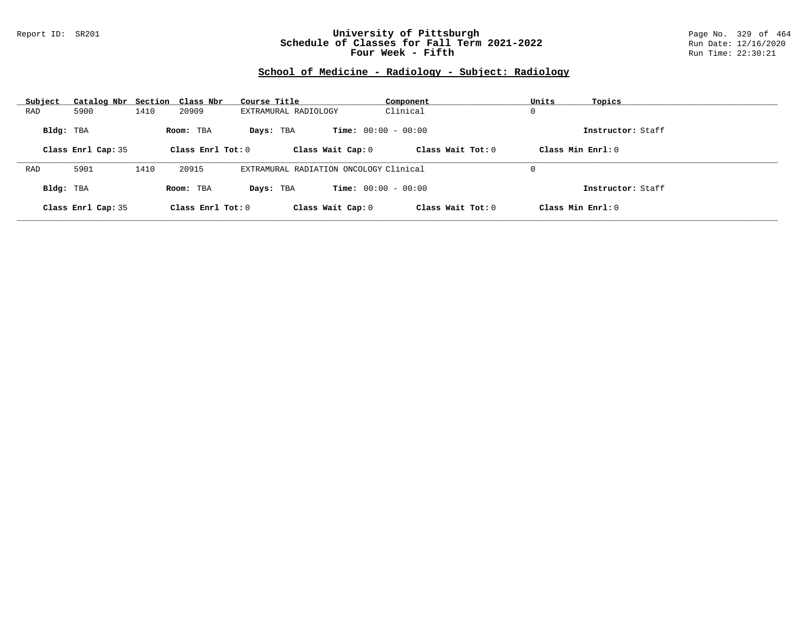### Report ID: SR201 **University of Pittsburgh** Page No. 329 of 464 **Schedule of Classes for Fall Term 2021-2022** Run Date: 12/16/2020 **Four Week - Fifth** Run Time: 22:30:21

# **School of Medicine - Radiology - Subject: Radiology**

| Subject   | Catalog Nbr Section Class Nbr |      |                     | Course Title                           | Component                    | Units<br>Topics     |  |
|-----------|-------------------------------|------|---------------------|----------------------------------------|------------------------------|---------------------|--|
| RAD       | 5900                          | 1410 | 20909               | EXTRAMURAL RADIOLOGY                   | Clinical                     | 0                   |  |
| Bldg: TBA |                               |      | Room: TBA           | Davs: TBA                              | <b>Time:</b> $00:00 - 00:00$ | Instructor: Staff   |  |
|           | Class Enrl Cap: 35            |      | Class Enrl Tot: $0$ | Class Wait Cap: 0                      | Class Wait $Tot: 0$          | Class Min $Enrl: 0$ |  |
|           |                               |      |                     |                                        |                              |                     |  |
| RAD       | 5901                          | 1410 | 20915               | EXTRAMURAL RADIATION ONCOLOGY Clinical |                              | 0                   |  |
| Bldg: TBA |                               |      | Room: TBA           | Davs: TBA                              | <b>Time:</b> $00:00 - 00:00$ | Instructor: Staff   |  |
|           | Class Enrl Cap: 35            |      | Class Enrl Tot: 0   | Class Wait Cap: 0                      | Class Wait Tot: 0            | Class Min Enrl: 0   |  |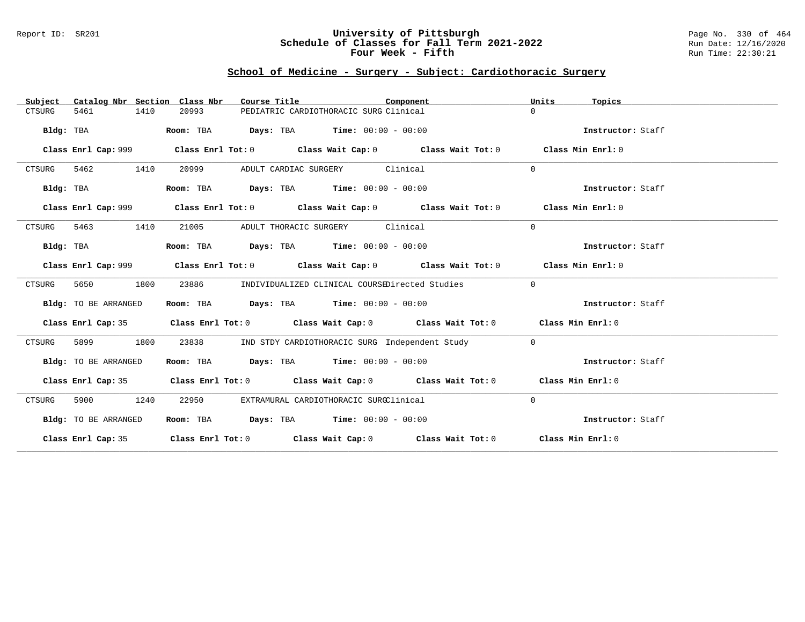### Report ID: SR201 **University of Pittsburgh** Page No. 330 of 464 **Schedule of Classes for Fall Term 2021-2022** Run Date: 12/16/2020 **Four Week - Fifth** Run Time: 22:30:21

## **School of Medicine - Surgery - Subject: Cardiothoracic Surgery**

| Catalog Nbr Section Class Nbr<br>Subject | Course Title                                | Component                                                                                   | Units<br>Topics   |
|------------------------------------------|---------------------------------------------|---------------------------------------------------------------------------------------------|-------------------|
| 5461<br>1410<br>CTSURG                   | 20993                                       | PEDIATRIC CARDIOTHORACIC SURG Clinical                                                      | $\Omega$          |
| Bldg: TBA                                | Room: TBA                                   | <b>Days:</b> TBA <b>Time:</b> $00:00 - 00:00$                                               | Instructor: Staff |
| Class Enrl Cap: 999                      |                                             | Class Enrl Tot: $0$ Class Wait Cap: $0$ Class Wait Tot: $0$                                 | Class Min Enrl: 0 |
| 5462<br>1410<br>CTSURG                   | 20999                                       | ADULT CARDIAC SURGERY Clinical                                                              | $\Omega$          |
| Bldg: TBA                                | Room: TBA                                   | $\texttt{Days:}$ TBA $\texttt{Time:}$ 00:00 - 00:00                                         | Instructor: Staff |
| Class Enrl Cap: 999                      |                                             | Class Enrl Tot: $0$ Class Wait Cap: $0$ Class Wait Tot: $0$                                 | Class Min Enrl: 0 |
| 1410<br>CTSURG<br>5463                   | 21005                                       | ADULT THORACIC SURGERY Clinical                                                             | $\Omega$          |
| Bldg: TBA                                | Room: TBA $Days:$ TBA $Time: 00:00 - 00:00$ |                                                                                             | Instructor: Staff |
|                                          |                                             | Class Enrl Cap: 999 Class Enrl Tot: 0 Class Wait Cap: 0 Class Wait Tot: 0 Class Min Enrl: 0 |                   |
| 5650<br>1800<br>CTSURG                   | 23886                                       | INDIVIDUALIZED CLINICAL COURSEDirected Studies                                              | $\overline{0}$    |
| Bldg: TO BE ARRANGED                     | Room: TBA $Days:$ TBA $Time: 00:00 - 00:00$ |                                                                                             | Instructor: Staff |
|                                          |                                             | Class Enrl Cap: 35 Class Enrl Tot: 0 Class Wait Cap: 0 Class Wait Tot: 0 Class Min Enrl: 0  |                   |
| CTSURG<br>5899<br>1800                   | 23838                                       | IND STDY CARDIOTHORACIC SURG Independent Study                                              | $\overline{0}$    |
| Bldg: TO BE ARRANGED                     | Room: TBA $Days:$ TBA $Time: 00:00 - 00:00$ |                                                                                             | Instructor: Staff |
|                                          |                                             | Class Enrl Cap: 35 Class Enrl Tot: 0 Class Wait Cap: 0 Class Wait Tot: 0 Class Min Enrl: 0  |                   |
| CTSURG<br>5900<br>1240                   | 22950                                       | EXTRAMURAL CARDIOTHORACIC SURGClinical                                                      | $\mathbf 0$       |
| Bldg: TO BE ARRANGED                     | Room: TBA $Days:$ TBA $Time: 00:00 - 00:00$ |                                                                                             | Instructor: Staff |
|                                          |                                             | Class Enrl Cap: 35 Class Enrl Tot: 0 Class Wait Cap: 0 Class Wait Tot: 0 Class Min Enrl: 0  |                   |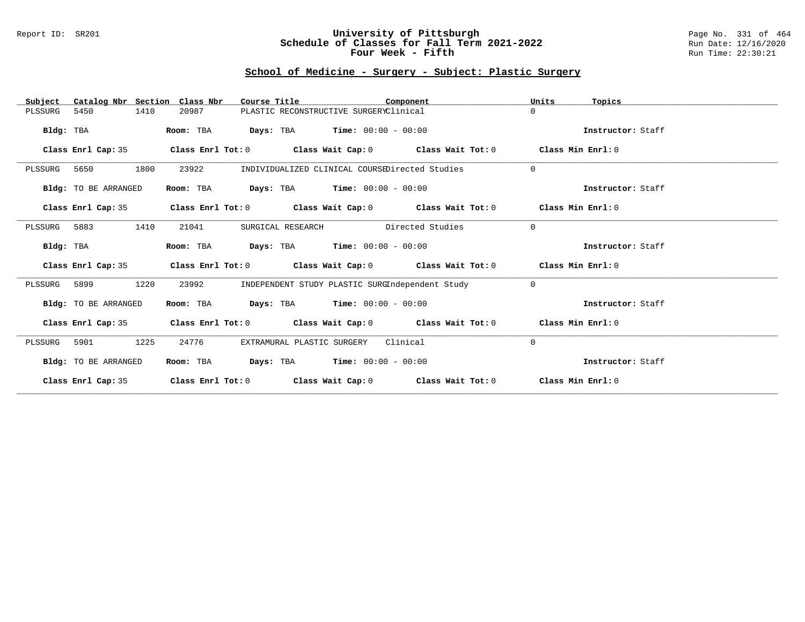### Report ID: SR201 **University of Pittsburgh** Page No. 331 of 464 **Schedule of Classes for Fall Term 2021-2022** Run Date: 12/16/2020 **Four Week - Fifth** Run Time: 22:30:21

# **School of Medicine - Surgery - Subject: Plastic Surgery**

| Catalog Nbr Section Class Nbr<br>Subject | Course Title                                                                    | Component                                            | Units<br>Topics   |
|------------------------------------------|---------------------------------------------------------------------------------|------------------------------------------------------|-------------------|
| 5450<br>1410<br>PLSSURG                  | 20987                                                                           | PLASTIC RECONSTRUCTIVE SURGERYClinical               | $\Omega$          |
| Bldg: TBA                                | Room: TBA                                                                       | <b>Days:</b> TBA <b>Time:</b> $00:00 - 00:00$        | Instructor: Staff |
| Class Enrl Cap: 35                       | Class Enrl Tot: $0$ Class Wait Cap: $0$ Class Wait Tot: $0$                     |                                                      | Class Min Enrl: 0 |
| 1800<br>PLSSURG 5650                     | 23922                                                                           | INDIVIDUALIZED CLINICAL COURSEDirected Studies       | $\Omega$          |
| Bldg: TO BE ARRANGED                     | Room: TBA                                                                       | <b>Days:</b> TBA <b>Time:</b> $00:00 - 00:00$        | Instructor: Staff |
| Class Enrl Cap: 35                       | Class Enrl Tot: $0$ Class Wait Cap: $0$ Class Wait Tot: $0$                     |                                                      | Class Min Enrl: 0 |
| PLSSURG 5883<br>1410                     | 21041<br>SURGICAL RESEARCH                                                      | Directed Studies                                     | $\Omega$          |
| Bldg: TBA                                | Room: TBA                                                                       | $\texttt{Davis:}$ TBA $\texttt{Time:}$ 00:00 - 00:00 | Instructor: Staff |
| Class Enrl Cap: 35                       | Class Enrl Tot: $0$ Class Wait Cap: $0$ Class Wait Tot: $0$                     |                                                      | Class Min Enrl: 0 |
| 1220<br>PLSSURG 5899                     | 23992                                                                           | INDEPENDENT STUDY PLASTIC SURGIndependent Study      | $\Omega$          |
| Bldg: TO BE ARRANGED                     | Room: TBA                                                                       | $\texttt{Days:}$ TBA $\texttt{Time:}$ 00:00 - 00:00  | Instructor: Staff |
| Class Enrl Cap: 35                       | Class Enrl Tot: $0$ Class Wait Cap: $0$ Class Wait Tot: $0$ Class Min Enrl: $0$ |                                                      |                   |
| 1225<br>5901<br>PLSSURG                  | 24776<br>EXTRAMURAL PLASTIC SURGERY                                             | Clinical                                             | $\Omega$          |
| Bldg: TO BE ARRANGED                     | Room: TBA                                                                       | <b>Days:</b> TBA <b>Time:</b> $00:00 - 00:00$        | Instructor: Staff |
| Class Enrl Cap: 35                       | Class Enrl Tot: $0$ Class Wait Cap: $0$ Class Wait Tot: $0$                     |                                                      | Class Min Enrl: 0 |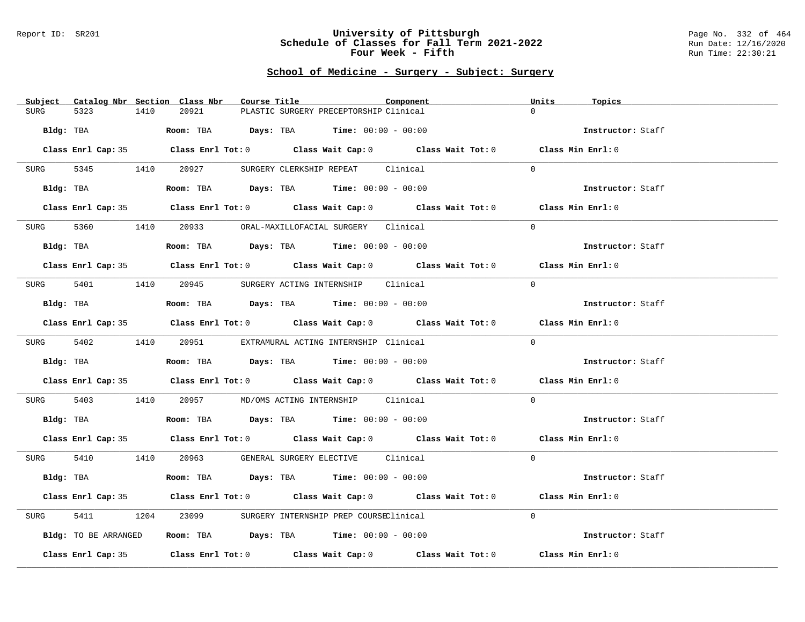#### Report ID: SR201 **University of Pittsburgh** Page No. 332 of 464 **Schedule of Classes for Fall Term 2021-2022** Run Date: 12/16/2020 **Four Week - Fifth** Run Time: 22:30:21

# **School of Medicine - Surgery - Subject: Surgery**

| Subject Catalog Nbr Section Class Nbr | Course Title                                                                                 | Component | Units<br>Topics   |
|---------------------------------------|----------------------------------------------------------------------------------------------|-----------|-------------------|
| 5323<br>1410<br><b>SURG</b>           | 20921<br>PLASTIC SURGERY PRECEPTORSHIP Clinical                                              |           | $\Omega$          |
| Bldg: TBA                             | Room: TBA $Days:$ TBA Time: $00:00 - 00:00$                                                  |           | Instructor: Staff |
|                                       | Class Enrl Cap: 35 Class Enrl Tot: 0 Class Wait Cap: 0 Class Wait Tot: 0 Class Min Enrl: 0   |           |                   |
| SURG                                  | 5345 1410 20927 SURGERY CLERKSHIP REPEAT Clinical                                            |           | $\Omega$          |
|                                       | $Bldg:$ TBA $Room:$ TBA $Days:$ TBA $Time:$ $00:00 - 00:00$                                  |           | Instructor: Staff |
|                                       | Class Enrl Cap: 35 Class Enrl Tot: 0 Class Wait Cap: 0 Class Wait Tot: 0 Class Min Enrl: 0   |           |                   |
|                                       | SURG 5360 1410 20933 ORAL-MAXILLOFACIAL SURGERY Clinical                                     |           | $\Omega$          |
| Bldg: TBA                             | Room: TBA $Days:$ TBA $Time: 00:00 - 00:00$                                                  |           | Instructor: Staff |
|                                       | Class Enrl Cap: 35 Class Enrl Tot: 0 Class Wait Cap: 0 Class Wait Tot: 0 Class Min Enrl: 0   |           |                   |
|                                       | SURG 5401 1410 20945 SURGERY ACTING INTERNSHIP Clinical                                      |           | $\Omega$          |
| Bldg: TBA                             | Room: TBA $Days:$ TBA $Time: 00:00 - 00:00$                                                  |           | Instructor: Staff |
|                                       | Class Enrl Cap: 35 Class Enrl Tot: 0 Class Wait Cap: 0 Class Wait Tot: 0 Class Min Enrl: 0   |           |                   |
|                                       | SURG 5402 1410 20951 EXTRAMURAL ACTING INTERNSHIP Clinical                                   |           | $\Omega$          |
| Bldg: TBA                             | Room: TBA $Days:$ TBA Time: $00:00 - 00:00$                                                  |           | Instructor: Staff |
|                                       | Class Enrl Cap: 35 Class Enrl Tot: 0 Class Wait Cap: 0 Class Wait Tot: 0 Class Min Enrl: 0   |           |                   |
| 5403<br>SURG                          | 1410  20957  MD/OMS ACTING INTERNSHIP  Clinical                                              |           | $\Omega$          |
|                                       | Bldg: TBA                         Room: TBA          Days: TBA         Time: $00:00 - 00:00$ |           | Instructor: Staff |
|                                       | Class Enrl Cap: 35 Class Enrl Tot: 0 Class Wait Cap: 0 Class Wait Tot: 0 Class Min Enrl: 0   |           |                   |
|                                       | SURG 5410 1410 20963 GENERAL SURGERY ELECTIVE Clinical                                       |           | $\Omega$          |
| Bldg: TBA                             | Room: TBA $Days:$ TBA $Time: 00:00 - 00:00$                                                  |           | Instructor: Staff |
|                                       | Class Enrl Cap: 35 Class Enrl Tot: 0 Class Wait Cap: 0 Class Wait Tot: 0 Class Min Enrl: 0   |           |                   |
| 5411<br>SURG                          | 1204 23099 SURGERY INTERNSHIP PREP COURSEClinical                                            |           | $\Omega$          |
| Bldg: TO BE ARRANGED                  | Room: TBA $\rule{1em}{0.15mm}$ Days: TBA Time: $00:00 - 00:00$                               |           | Instructor: Staff |
|                                       | Class Enrl Cap: 35 Class Enrl Tot: 0 Class Wait Cap: 0 Class Wait Tot: 0                     |           | Class Min Enrl: 0 |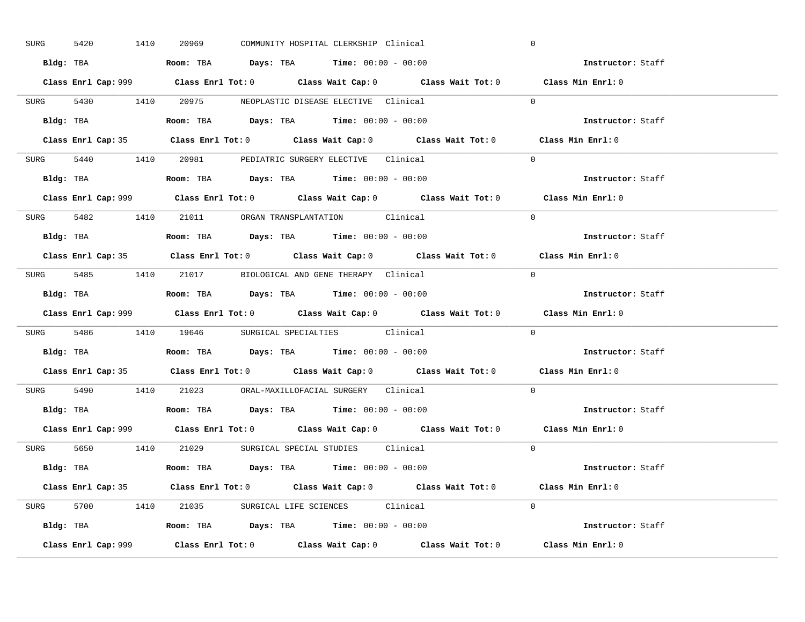| SURG      | 1410<br>5420 | 20969                                                                                  | COMMUNITY HOSPITAL CLERKSHIP Clinical |                                                                                             | $\mathbf 0$       |  |
|-----------|--------------|----------------------------------------------------------------------------------------|---------------------------------------|---------------------------------------------------------------------------------------------|-------------------|--|
|           |              | Bldg: TBA                      Room: TBA         Days: TBA         Time: 00:00 - 00:00 |                                       |                                                                                             | Instructor: Staff |  |
|           |              |                                                                                        |                                       | Class Enrl Cap: 999 Class Enrl Tot: 0 Class Wait Cap: 0 Class Wait Tot: 0 Class Min Enrl: 0 |                   |  |
|           |              | SURG 5430 1410 20975 NEOPLASTIC DISEASE ELECTIVE Clinical                              |                                       |                                                                                             | $\Omega$          |  |
|           |              |                                                                                        |                                       |                                                                                             | Instructor: Staff |  |
|           |              |                                                                                        |                                       | Class Enrl Cap: 35 Class Enrl Tot: 0 Class Wait Cap: 0 Class Wait Tot: 0 Class Min Enrl: 0  |                   |  |
|           |              | SURG 5440 1410 20981 PEDIATRIC SURGERY ELECTIVE Clinical                               |                                       |                                                                                             | $\Omega$          |  |
|           |              | Bldg: TBA $\qquad$ Room: TBA Days: TBA Time: $00:00 - 00:00$                           |                                       |                                                                                             | Instructor: Staff |  |
|           |              |                                                                                        |                                       | Class Enrl Cap: 999 Class Enrl Tot: 0 Class Wait Cap: 0 Class Wait Tot: 0 Class Min Enrl: 0 |                   |  |
|           |              | SURG 5482 1410 21011 ORGAN TRANSPLANTATION Clinical                                    |                                       |                                                                                             | $\Omega$          |  |
|           |              | Bldg: TBA                   Room: TBA         Days: TBA         Time: $00:00 - 00:00$  |                                       |                                                                                             | Instructor: Staff |  |
|           |              |                                                                                        |                                       | Class Enrl Cap: 35 Class Enrl Tot: 0 Class Wait Cap: 0 Class Wait Tot: 0 Class Min Enrl: 0  |                   |  |
|           |              | SURG 5485 1410 21017 BIOLOGICAL AND GENE THERAPY Clinical                              |                                       |                                                                                             | $\Omega$          |  |
|           |              | Bldg: TBA                   Room: TBA         Days: TBA         Time: $00:00 - 00:00$  |                                       |                                                                                             | Instructor: Staff |  |
|           |              |                                                                                        |                                       | Class Enrl Cap: 999 Class Enrl Tot: 0 Class Wait Cap: 0 Class Wait Tot: 0 Class Min Enrl: 0 |                   |  |
|           |              | SURG 5486 1410 19646 SURGICAL SPECIALTIES Clinical                                     |                                       |                                                                                             | $\Omega$          |  |
|           |              |                                                                                        |                                       |                                                                                             |                   |  |
| Bldg: TBA |              | <b>Room:</b> TBA <b>Days:</b> TBA <b>Time:</b> 00:00 - 00:00                           |                                       |                                                                                             | Instructor: Staff |  |
|           |              |                                                                                        |                                       | Class Enrl Cap: 35 Class Enrl Tot: 0 Class Wait Cap: 0 Class Wait Tot: 0 Class Min Enrl: 0  |                   |  |
|           |              | SURG 5490 1410 21023 ORAL-MAXILLOFACIAL SURGERY Clinical                               |                                       |                                                                                             | $\Omega$          |  |
|           |              | Bldg: TBA                   Room: TBA         Days: TBA         Time: $00:00 - 00:00$  |                                       |                                                                                             | Instructor: Staff |  |
|           |              |                                                                                        |                                       | Class Enrl Cap: 999 Class Enrl Tot: 0 Class Wait Cap: 0 Class Wait Tot: 0 Class Min Enrl: 0 |                   |  |
|           |              | SURG 5650 1410 21029 SURGICAL SPECIAL STUDIES Clinical                                 |                                       |                                                                                             | $\Omega$          |  |
|           |              | Bldg: TBA                    Room: TBA         Days: TBA         Time: 00:00 - 00:00   |                                       |                                                                                             | Instructor: Staff |  |
|           |              |                                                                                        |                                       | Class Enrl Cap: 35 Class Enrl Tot: 0 Class Wait Cap: 0 Class Wait Tot: 0 Class Min Enrl: 0  |                   |  |
|           |              | SURG 5700 1410 21035 SURGICAL LIFE SCIENCES Clinical                                   |                                       |                                                                                             | $\Omega$          |  |
|           |              | Bldg: TBA                   Room: TBA         Days: TBA         Time: $00:00 - 00:00$  |                                       |                                                                                             | Instructor: Staff |  |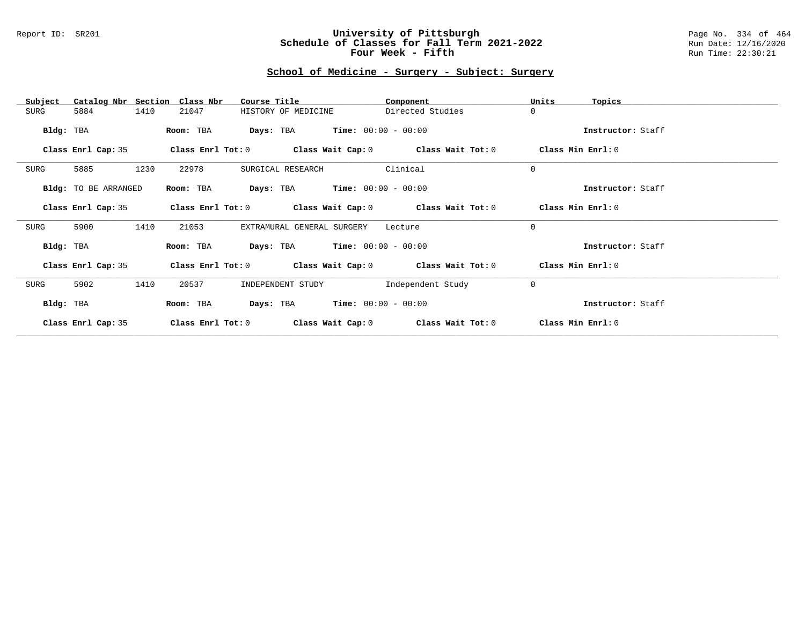### Report ID: SR201 **University of Pittsburgh** Page No. 334 of 464 **Schedule of Classes for Fall Term 2021-2022** Run Date: 12/16/2020 **Four Week - Fifth** Run Time: 22:30:21

# **School of Medicine - Surgery - Subject: Surgery**

| Catalog Nbr Section<br>Subject | Class Nbr<br>Course Title                                   | Component         | Units<br>Topics   |
|--------------------------------|-------------------------------------------------------------|-------------------|-------------------|
| 1410<br>SURG<br>5884           | HISTORY OF MEDICINE<br>21047                                | Directed Studies  | $\mathbf 0$       |
| Bldg: TBA                      | $Time: 00:00 - 00:00$<br>Room: TBA<br>Days: TBA             |                   | Instructor: Staff |
|                                |                                                             |                   |                   |
| Class Enrl Cap: 35             | Class Enrl Tot: $0$ Class Wait Cap: $0$ Class Wait Tot: $0$ |                   | Class Min Enrl: 0 |
| 1230<br>SURG<br>5885           | 22978<br>SURGICAL RESEARCH                                  | Clinical          | $\mathbf 0$       |
| Bldg: TO BE ARRANGED           | <b>Days:</b> TBA <b>Time:</b> $00:00 - 00:00$<br>Room: TBA  |                   | Instructor: Staff |
| Class Enrl Cap: 35             | Class Enrl Tot: $0$ Class Wait Cap: $0$ Class Wait Tot: $0$ |                   | Class Min Enrl: 0 |
| 1410<br>SURG<br>5900           | 21053<br>EXTRAMURAL GENERAL SURGERY                         | Lecture           | $\Omega$          |
| Bldg: TBA                      | <b>Days:</b> TBA <b>Time:</b> $00:00 - 00:00$<br>Room: TBA  |                   | Instructor: Staff |
| Class Enrl Cap: 35             | Class Enrl Tot: $0$ Class Wait Cap: $0$ Class Wait Tot: $0$ |                   | Class Min Enrl: 0 |
| 1410<br>SURG<br>5902           | 20537<br>INDEPENDENT STUDY                                  | Independent Study | $\mathbf 0$       |
| Bldg: TBA                      | $Time: 00:00 - 00:00$<br>Days: TBA<br>Room: TBA             |                   | Instructor: Staff |
| Class Enrl Cap: 35             | Class Enrl Tot: 0<br>Class Wait Cap: 0                      | Class Wait Tot: 0 | Class Min Enrl: 0 |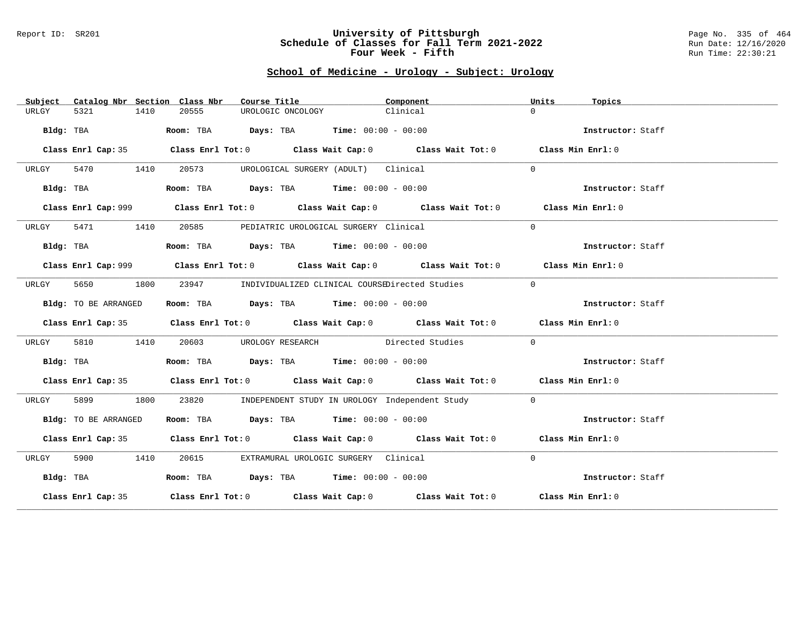#### Report ID: SR201 **University of Pittsburgh** Page No. 335 of 464 **Schedule of Classes for Fall Term 2021-2022** Run Date: 12/16/2020 **Four Week - Fifth** Run Time: 22:30:21

# **School of Medicine - Urology - Subject: Urology**

| Subject   |                      |      | Catalog Nbr Section Class Nbr | Course Title      |                                                                | Component                                                                                   | Units    | Topics            |  |
|-----------|----------------------|------|-------------------------------|-------------------|----------------------------------------------------------------|---------------------------------------------------------------------------------------------|----------|-------------------|--|
| URLGY     | 5321                 | 1410 | 20555                         | UROLOGIC ONCOLOGY |                                                                | Clinical                                                                                    | $\Omega$ |                   |  |
|           | Bldg: TBA            |      |                               |                   | Room: TBA $Days:$ TBA $Time: 00:00 - 00:00$                    |                                                                                             |          | Instructor: Staff |  |
|           |                      |      |                               |                   |                                                                | Class Enrl Cap: 35 Class Enrl Tot: 0 Class Wait Cap: 0 Class Wait Tot: 0 Class Min Enrl: 0  |          |                   |  |
| URLGY     | 5470 1410            |      | 20573                         |                   | UROLOGICAL SURGERY (ADULT) Clinical                            |                                                                                             | $\Omega$ |                   |  |
|           | Bldg: TBA            |      |                               |                   | Room: TBA $\rule{1em}{0.15mm}$ Days: TBA Time: $00:00 - 00:00$ |                                                                                             |          | Instructor: Staff |  |
|           |                      |      |                               |                   |                                                                | Class Enrl Cap: 999 Class Enrl Tot: 0 Class Wait Cap: 0 Class Wait Tot: 0 Class Min Enrl: 0 |          |                   |  |
| URLGY     | 5471 1410            |      |                               |                   | 20585 PEDIATRIC UROLOGICAL SURGERY Clinical                    |                                                                                             | $\Omega$ |                   |  |
|           | Bldg: TBA            |      |                               |                   | Room: TBA $\rule{1em}{0.15mm}$ Days: TBA Time: $00:00 - 00:00$ |                                                                                             |          | Instructor: Staff |  |
|           |                      |      |                               |                   |                                                                | Class Enrl Cap: 999 Class Enrl Tot: 0 Class Wait Cap: 0 Class Wait Tot: 0 Class Min Enrl: 0 |          |                   |  |
| URLGY     | 5650                 | 1800 |                               |                   |                                                                | 23947 INDIVIDUALIZED CLINICAL COURSEDirected Studies                                        | $\Omega$ |                   |  |
|           | Bldg: TO BE ARRANGED |      |                               |                   | Room: TBA $Days:$ TBA $Time: 00:00 - 00:00$                    |                                                                                             |          | Instructor: Staff |  |
|           |                      |      |                               |                   |                                                                | Class Enrl Cap: 35 Class Enrl Tot: 0 Class Wait Cap: 0 Class Wait Tot: 0 Class Min Enrl: 0  |          |                   |  |
| URLGY     | 5810                 | 1410 |                               |                   |                                                                | 20603 UROLOGY RESEARCH Directed Studies                                                     | $\Omega$ |                   |  |
|           | Bldg: TBA            |      |                               |                   | Room: TBA $\rule{1em}{0.15mm}$ Days: TBA Time: $00:00 - 00:00$ |                                                                                             |          | Instructor: Staff |  |
|           |                      |      |                               |                   |                                                                | Class Enrl Cap: 35 Class Enrl Tot: 0 Class Wait Cap: 0 Class Wait Tot: 0 Class Min Enrl: 0  |          |                   |  |
| URLGY     | 5899                 | 1800 |                               |                   |                                                                | 23820 INDEPENDENT STUDY IN UROLOGY Independent Study                                        | $\Omega$ |                   |  |
|           | Bldg: TO BE ARRANGED |      |                               |                   | Room: TBA $Days:$ TBA $Time: 00:00 - 00:00$                    |                                                                                             |          | Instructor: Staff |  |
|           |                      |      |                               |                   |                                                                | Class Enrl Cap: 35 Class Enrl Tot: 0 Class Wait Cap: 0 Class Wait Tot: 0 Class Min Enrl: 0  |          |                   |  |
| URLGY     | 5900 1410            |      | 20615                         |                   | EXTRAMURAL UROLOGIC SURGERY Clinical                           |                                                                                             | $\Omega$ |                   |  |
| Bldg: TBA |                      |      |                               |                   | Room: TBA $Days:$ TBA Time: $00:00 - 00:00$                    |                                                                                             |          | Instructor: Staff |  |
|           |                      |      |                               |                   |                                                                | Class Enrl Cap: 35 Class Enrl Tot: 0 Class Wait Cap: 0 Class Wait Tot: 0 Class Min Enrl: 0  |          |                   |  |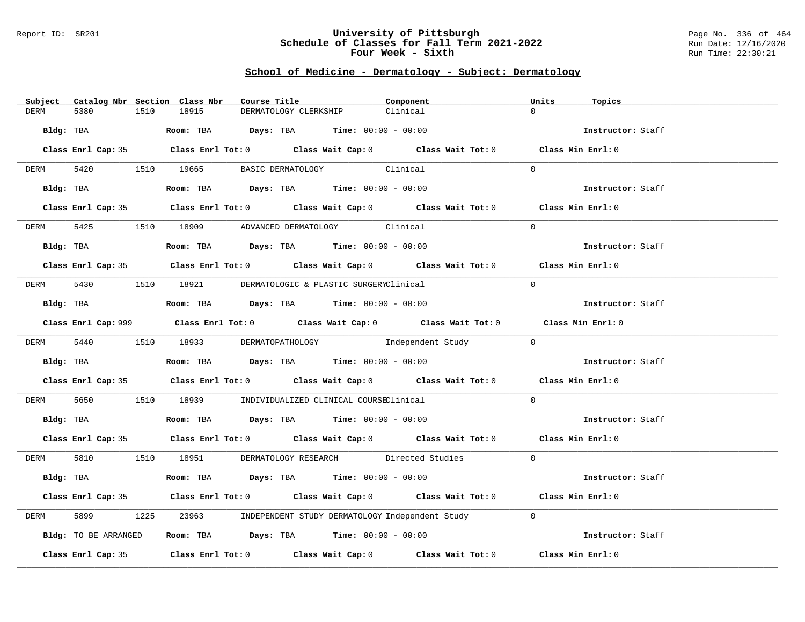#### Report ID: SR201 **University of Pittsburgh** Page No. 336 of 464 **Schedule of Classes for Fall Term 2021-2022** Run Date: 12/16/2020 **Four Week - Sixth** Run Time: 22:30:21

## **School of Medicine - Dermatology - Subject: Dermatology**

| Subject Catalog Nbr Section Class Nbr | Course Title                                                                                | Component | Units<br>Topics   |
|---------------------------------------|---------------------------------------------------------------------------------------------|-----------|-------------------|
| 5380<br>1510<br><b>DERM</b>           | 18915<br>DERMATOLOGY CLERKSHIP                                                              | Clinical  | $\Omega$          |
| Bldg: TBA                             | Room: TBA $Days:$ TBA Time: $00:00 - 00:00$                                                 |           | Instructor: Staff |
|                                       | Class Enrl Cap: 35 Class Enrl Tot: 0 Class Wait Cap: 0 Class Wait Tot: 0 Class Min Enrl: 0  |           |                   |
| DERM 5420 1510 19665                  | BASIC DERMATOLOGY Clinical                                                                  |           | $\Omega$          |
| Bldg: TBA                             | Room: TBA $Days:$ TBA $Time: 00:00 - 00:00$                                                 |           | Instructor: Staff |
|                                       | Class Enrl Cap: 35 Class Enrl Tot: 0 Class Wait Cap: 0 Class Wait Tot: 0 Class Min Enrl: 0  |           |                   |
|                                       | DERM 5425 1510 18909 ADVANCED DERMATOLOGY Clinical                                          |           | $\Omega$          |
| Bldg: TBA                             | Room: TBA $Days:$ TBA $Time:$ $00:00 - 00:00$                                               |           | Instructor: Staff |
|                                       | Class Enrl Cap: 35 Class Enrl Tot: 0 Class Wait Cap: 0 Class Wait Tot: 0 Class Min Enrl: 0  |           |                   |
|                                       | DERM 5430 1510 18921 DERMATOLOGIC & PLASTIC SURGERYClinical                                 |           | $\Omega$          |
|                                       | Bldg: TBA                   Room: TBA        Days: TBA        Time: 00:00 - 00:00           |           | Instructor: Staff |
|                                       | Class Enrl Cap: 999 Class Enrl Tot: 0 Class Wait Cap: 0 Class Wait Tot: 0 Class Min Enrl: 0 |           |                   |
|                                       | DERM 5440 1510 18933 DERMATOPATHOLOGY Independent Study 0                                   |           |                   |
|                                       | Bldg: TBA                   Room: TBA         Days: TBA         Time: $00:00 - 00:00$       |           | Instructor: Staff |
|                                       | Class Enrl Cap: 35 Class Enrl Tot: 0 Class Wait Cap: 0 Class Wait Tot: 0 Class Min Enrl: 0  |           |                   |
| 5650<br>DERM                          | 1510 18939 INDIVIDUALIZED CLINICAL COURSEClinical                                           |           | $\Omega$          |
|                                       | Bldg: TBA                    Room: TBA         Days: TBA         Time: $00:00 - 00:00$      |           | Instructor: Staff |
|                                       | Class Enrl Cap: 35 Class Enrl Tot: 0 Class Wait Cap: 0 Class Wait Tot: 0 Class Min Enrl: 0  |           |                   |
|                                       | DERM 5810 1510 18951 DERMATOLOGY RESEARCH Directed Studies 0                                |           |                   |
| Bldg: TBA                             | Room: TBA $\rule{1em}{0.15mm}$ Days: TBA Time: $00:00 - 00:00$                              |           | Instructor: Staff |
|                                       | Class Enrl Cap: 35 Class Enrl Tot: 0 Class Wait Cap: 0 Class Wait Tot: 0 Class Min Enrl: 0  |           |                   |
| 5899<br>DERM                          | 23963 INDEPENDENT STUDY DERMATOLOGY Independent Study<br>1225                               |           | $\Omega$          |
| Bldg: TO BE ARRANGED                  | Room: TBA $Days:$ TBA $Time: 00:00 - 00:00$                                                 |           | Instructor: Staff |
|                                       | Class Enrl Cap: 35 Class Enrl Tot: 0 Class Wait Cap: 0 Class Wait Tot: 0                    |           | Class Min Enrl: 0 |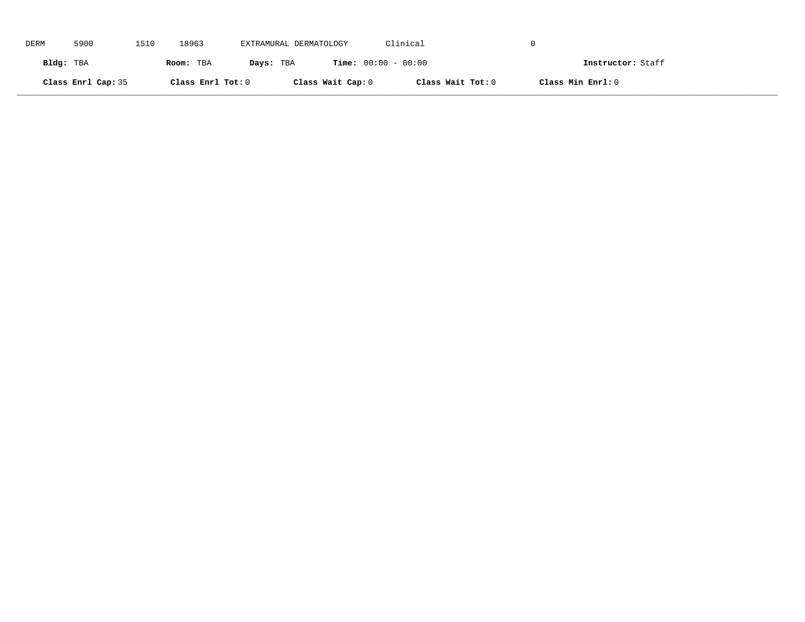| DERM      | 5900               | 1510 | 18963             | EXTRAMURAL DERMATOLOGY |                              | Clinical          |                   |
|-----------|--------------------|------|-------------------|------------------------|------------------------------|-------------------|-------------------|
| Bldg: TBA |                    |      | Room: TBA         | Days: TBA              | <b>Time:</b> $00:00 - 00:00$ |                   | Instructor: Staff |
|           | Class Enrl Cap: 35 |      | Class Enrl Tot: 0 |                        | Class Wait Cap: 0            | Class Wait Tot: 0 | Class Min Enrl: 0 |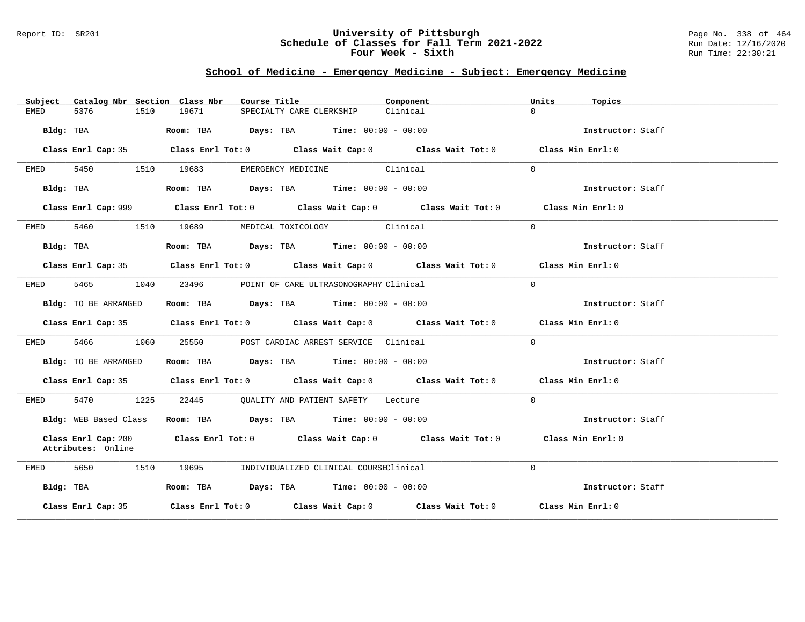#### Report ID: SR201 **University of Pittsburgh** Page No. 338 of 464 **Schedule of Classes for Fall Term 2021-2022** Run Date: 12/16/2020 **Four Week - Sixth** Run Time: 22:30:21

## **School of Medicine - Emergency Medicine - Subject: Emergency Medicine**

| Catalog Nbr Section Class Nbr<br>Subject  | Course Title                                                                                | Component            | Units<br>Topics   |
|-------------------------------------------|---------------------------------------------------------------------------------------------|----------------------|-------------------|
| 5376<br>1510<br>EMED                      | 19671<br>SPECIALTY CARE CLERKSHIP                                                           | $\Omega$<br>Clinical |                   |
| Bldg: TBA                                 | <b>Room:</b> TBA $\qquad \qquad$ Days: TBA $\qquad \qquad$ Time: $00:00 - 00:00$            |                      | Instructor: Staff |
| Class Enrl Cap: 35                        | Class Enrl Tot: $0$ Class Wait Cap: $0$ Class Wait Tot: $0$ Class Min Enrl: $0$             |                      |                   |
| 5450<br>1510<br>EMED                      | EMERGENCY MEDICINE Clinical<br>19683                                                        | $\Omega$             |                   |
| Bldg: TBA                                 | Room: TBA $\rule{1em}{0.15mm}$ Days: TBA $\rule{1.5mm}{0.15mm}$ Time: $00:00 - 00:00$       |                      | Instructor: Staff |
|                                           | Class Enrl Cap: 999 Class Enrl Tot: 0 Class Wait Cap: 0 Class Wait Tot: 0 Class Min Enrl: 0 |                      |                   |
| 5460 1510 19689<br>EMED                   | MEDICAL TOXICOLOGY Clinical                                                                 | $\Omega$             |                   |
| Bldg: TBA                                 | Room: TBA $Days:$ TBA $Time: 00:00 - 00:00$                                                 |                      | Instructor: Staff |
|                                           | Class Enrl Cap: 35 Class Enrl Tot: 0 Class Wait Cap: 0 Class Wait Tot: 0 Class Min Enrl: 0  |                      |                   |
| 5465 746<br>1040<br>EMED                  | 23496<br>POINT OF CARE ULTRASONOGRAPHY Clinical                                             | $\Omega$             |                   |
| Bldg: TO BE ARRANGED                      | Room: TBA $Days:$ TBA $Time: 00:00 - 00:00$                                                 |                      | Instructor: Staff |
|                                           | Class Enrl Cap: 35 Class Enrl Tot: 0 Class Wait Cap: 0 Class Wait Tot: 0 Class Min Enrl: 0  |                      |                   |
| 5466 746<br>1060<br>EMED                  | 25550 POST CARDIAC ARREST SERVICE Clinical                                                  | $\Omega$             |                   |
| Bldg: TO BE ARRANGED                      | Room: TBA $Days:$ TBA Time: $00:00 - 00:00$                                                 |                      | Instructor: Staff |
|                                           | Class Enrl Cap: 35 Class Enrl Tot: 0 Class Wait Cap: 0 Class Wait Tot: 0 Class Min Enrl: 0  |                      |                   |
| 5470 1225<br>EMED                         | 22445 QUALITY AND PATIENT SAFETY Lecture                                                    | $\Omega$             |                   |
| Bldg: WEB Based Class                     | Room: TBA $Days:$ TBA $Time: 00:00 - 00:00$                                                 |                      | Instructor: Staff |
| Class Enrl Cap: 200<br>Attributes: Online | Class Enrl Tot: $0$ class Wait Cap: $0$ class Wait Tot: $0$                                 |                      | Class Min Enrl: 0 |
| 5650<br>1510<br>EMED                      | 19695<br>INDIVIDUALIZED CLINICAL COURSEClinical                                             | $\Omega$             |                   |
| Bldg: TBA                                 | Room: TBA $\rule{1em}{0.15mm}$ Days: TBA Time: $00:00 - 00:00$                              |                      | Instructor: Staff |
| Class Enrl Cap: 35                        | Class Enrl Tot: $0$ Class Wait Cap: $0$ Class Wait Tot: $0$ Class Min Enrl: $0$             |                      |                   |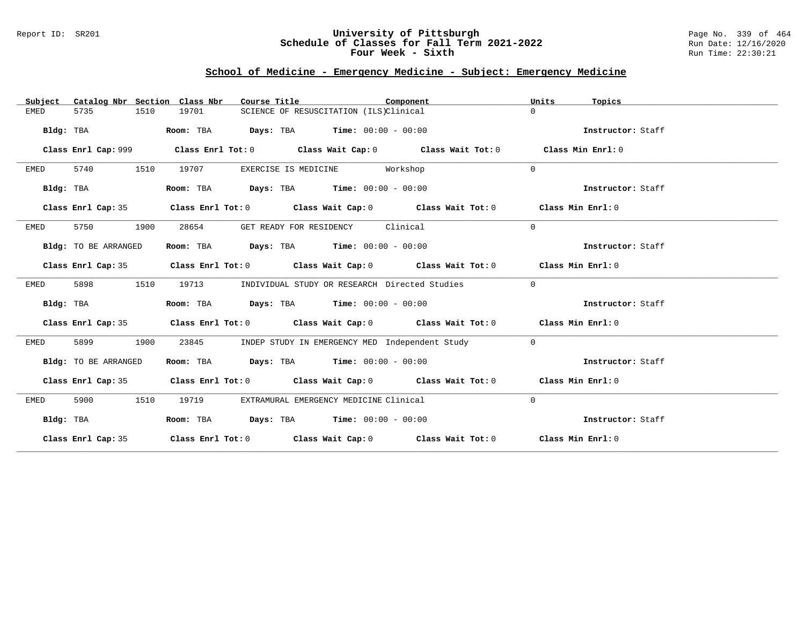### Report ID: SR201 **University of Pittsburgh** Page No. 339 of 464 **Schedule of Classes for Fall Term 2021-2022** Run Date: 12/16/2020 **Four Week - Sixth** Run Time: 22:30:21

# **School of Medicine - Emergency Medicine - Subject: Emergency Medicine**

| Catalog Nbr Section Class Nbr<br>Subject | Course Title                                                                               | Component                                      | Units<br>Topics   |
|------------------------------------------|--------------------------------------------------------------------------------------------|------------------------------------------------|-------------------|
| <b>EMED</b><br>5735<br>1510              | 19701<br>SCIENCE OF RESUSCITATION (ILS)Clinical                                            |                                                | $\Omega$          |
| Bldg: TBA                                | $\texttt{Days:}$ TBA $\texttt{Time:}$ 00:00 - 00:00<br>Room: TBA                           |                                                | Instructor: Staff |
| Class Enrl Cap: 999                      | Class Enrl Tot: $0$ Class Wait Cap: $0$ Class Wait Tot: $0$                                |                                                | Class Min Enrl: 0 |
| 5740<br>1510<br>EMED                     | 19707<br>EXERCISE IS MEDICINE Workshop                                                     |                                                | $\Omega$          |
| Bldg: TBA                                | Room: TBA $\rule{1em}{0.15mm}$ Days: TBA $\rule{1.15mm}]{0.15mm}$ Time: $0.000 - 0.0000$   |                                                | Instructor: Staff |
| Class Enrl Cap: 35                       | Class Enrl Tot: $0$ Class Wait Cap: $0$ Class Wait Tot: $0$ Class Min Enrl: $0$            |                                                |                   |
| 5750<br>1900<br>EMED                     | GET READY FOR RESIDENCY Clinical<br>28654                                                  |                                                | $\Omega$          |
| Bldg: TO BE ARRANGED                     | Room: TBA $Days:$ TBA $Time: 00:00 - 00:00$                                                |                                                | Instructor: Staff |
|                                          | Class Enrl Cap: 35 Class Enrl Tot: 0 Class Wait Cap: 0 Class Wait Tot: 0 Class Min Enrl: 0 |                                                |                   |
| 5898<br>1510<br>EMED                     | 19713<br>INDIVIDUAL STUDY OR RESEARCH Directed Studies                                     |                                                | $\overline{0}$    |
| Bldg: TBA                                | Room: TBA $Days:$ TBA $Time: 00:00 - 00:00$                                                |                                                | Instructor: Staff |
|                                          | Class Enrl Cap: 35 Class Enrl Tot: 0 Class Wait Cap: 0 Class Wait Tot: 0 Class Min Enrl: 0 |                                                |                   |
| 5899<br>1900<br>EMED                     | 23845                                                                                      | INDEP STUDY IN EMERGENCY MED Independent Study | $\overline{0}$    |
| Bldg: TO BE ARRANGED                     | Room: TBA $Days:$ TBA $Time: 00:00 - 00:00$                                                |                                                | Instructor: Staff |
|                                          | Class Enrl Cap: 35 Class Enrl Tot: 0 Class Wait Cap: 0 Class Wait Tot: 0 Class Min Enrl: 0 |                                                |                   |
| 5900<br>1510<br>EMED                     | 19719<br>EXTRAMURAL EMERGENCY MEDICINE Clinical                                            |                                                | $\mathbf 0$       |
| Bldg: TBA                                | Room: TBA $Days:$ TBA $Time: 00:00 - 00:00$                                                |                                                | Instructor: Staff |
|                                          | Class Enrl Cap: 35 Class Enrl Tot: 0 Class Wait Cap: 0 Class Wait Tot: 0 Class Min Enrl: 0 |                                                |                   |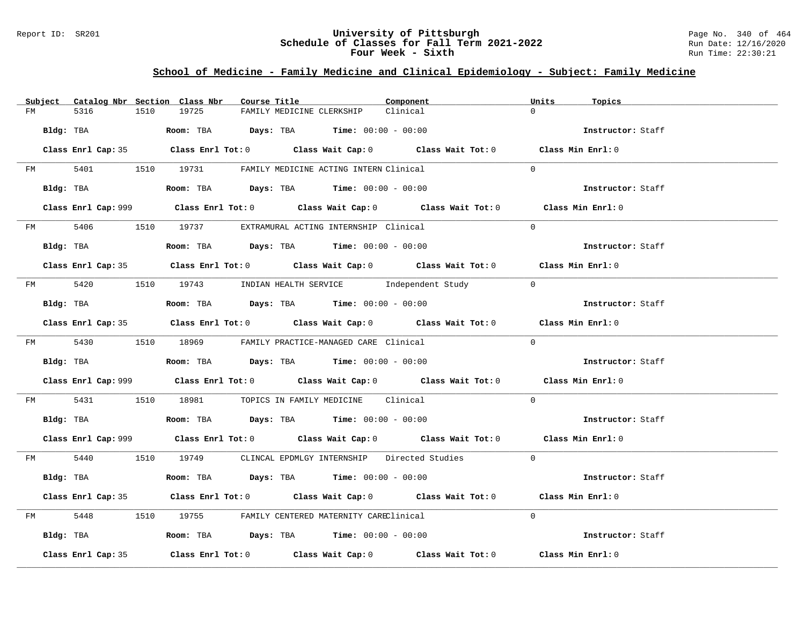### Report ID: SR201 **University of Pittsburgh** Page No. 340 of 464 **Schedule of Classes for Fall Term 2021-2022** Run Date: 12/16/2020 **Four Week - Sixth** Run Time: 22:30:21

## **School of Medicine - Family Medicine and Clinical Epidemiology - Subject: Family Medicine**

|                    | Subject Catalog Nbr Section Class Nbr | Course Title                                                                                | Component | Units<br>Topics   |  |
|--------------------|---------------------------------------|---------------------------------------------------------------------------------------------|-----------|-------------------|--|
| 5316<br>FM         | 19725<br>1510                         | FAMILY MEDICINE CLERKSHIP                                                                   | Clinical  | $\Omega$          |  |
| Bldg: TBA          |                                       | Room: TBA $Days:$ TBA Time: $00:00 - 00:00$                                                 |           | Instructor: Staff |  |
|                    |                                       | Class Enrl Cap: 35 Class Enrl Tot: 0 Class Wait Cap: 0 Class Wait Tot: 0 Class Min Enrl: 0  |           |                   |  |
|                    |                                       | FM 5401 1510 19731 FAMILY MEDICINE ACTING INTERN Clinical                                   |           | $\Omega$          |  |
| Bldg: TBA          |                                       | Room: TBA $Days:$ TBA Time: $00:00 - 00:00$                                                 |           | Instructor: Staff |  |
|                    |                                       | Class Enrl Cap: 999 Class Enrl Tot: 0 Class Wait Cap: 0 Class Wait Tot: 0 Class Min Enrl: 0 |           |                   |  |
|                    |                                       | FM 5406 1510 19737 EXTRAMURAL ACTING INTERNSHIP Clinical                                    |           | $\Omega$          |  |
| Bldg: TBA          |                                       | Room: TBA $Days:$ TBA $Time: 00:00 - 00:00$                                                 |           | Instructor: Staff |  |
|                    |                                       | Class Enrl Cap: 35 Class Enrl Tot: 0 Class Wait Cap: 0 Class Wait Tot: 0 Class Min Enrl: 0  |           |                   |  |
|                    |                                       | FM 5420 1510 19743 INDIAN HEALTH SERVICE Independent Study                                  |           | $\overline{0}$    |  |
| Bldg: TBA          |                                       | Room: TBA $Days:$ TBA Time: $00:00 - 00:00$                                                 |           | Instructor: Staff |  |
|                    |                                       | Class Enrl Cap: 35 Class Enrl Tot: 0 Class Wait Cap: 0 Class Wait Tot: 0 Class Min Enrl: 0  |           |                   |  |
|                    |                                       | FM 5430 1510 18969 FAMILY PRACTICE-MANAGED CARE Clinical                                    |           | $\Omega$          |  |
|                    |                                       | Bldg: TBA                   Room: TBA         Days: TBA         Time: $00:00 - 00:00$       |           | Instructor: Staff |  |
|                    |                                       | Class Enrl Cap: 999 Class Enrl Tot: 0 Class Wait Cap: 0 Class Wait Tot: 0 Class Min Enrl: 0 |           |                   |  |
|                    |                                       | FM 5431 1510 18981 TOPICS IN FAMILY MEDICINE Clinical                                       |           | $\Omega$          |  |
|                    |                                       | Bldg: TBA                    Room: TBA         Days: TBA         Time: $00:00 - 00:00$      |           | Instructor: Staff |  |
|                    |                                       | Class Enrl Cap: 999 Class Enrl Tot: 0 Class Wait Cap: 0 Class Wait Tot: 0 Class Min Enrl: 0 |           |                   |  |
|                    |                                       | FM 5440 1510 19749 CLINCAL EPDMLGY INTERNSHIP Directed Studies 0                            |           |                   |  |
| Bldg: TBA          |                                       | Room: TBA $Days:$ TBA $Time: 00:00 - 00:00$                                                 |           | Instructor: Staff |  |
|                    |                                       | Class Enrl Cap: 35 Class Enrl Tot: 0 Class Wait Cap: 0 Class Wait Tot: 0 Class Min Enrl: 0  |           |                   |  |
|                    |                                       | FM 5448 1510 19755 FAMILY CENTERED MATERNITY CAREClinical                                   |           | $\Omega$          |  |
|                    |                                       | Bldg: TBA                  Room: TBA        Days: TBA        Time: 00:00 - 00:00            |           | Instructor: Staff |  |
| Class Enrl Cap: 35 |                                       | Class Enrl Tot: $0$ Class Wait Cap: $0$ Class Wait Tot: $0$                                 |           | Class Min Enrl: 0 |  |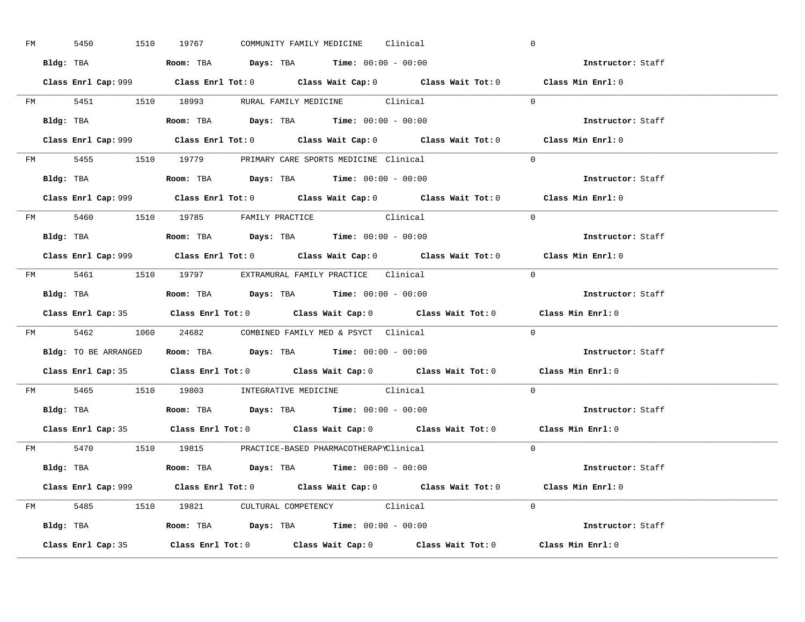| FM | 5450 | 1510 19767 |  | COMMUNITY FAMILY MEDICINE Clinical                                                     |                                                     | $\overline{0}$                                                                              |                          |
|----|------|------------|--|----------------------------------------------------------------------------------------|-----------------------------------------------------|---------------------------------------------------------------------------------------------|--------------------------|
|    |      |            |  | Bldg: TBA                   Room: TBA         Days: TBA         Time: $00:00 - 00:00$  |                                                     | Instructor: Staff                                                                           |                          |
|    |      |            |  |                                                                                        |                                                     | Class Enrl Cap: 999 Class Enrl Tot: 0 Class Wait Cap: 0 Class Wait Tot: 0 Class Min Enrl: 0 |                          |
|    |      |            |  |                                                                                        | FM 5451 1510 18993 RURAL FAMILY MEDICINE Clinical 0 |                                                                                             |                          |
|    |      |            |  | Bldg: TBA                   Room: TBA         Days: TBA         Time: $00:00 - 00:00$  |                                                     |                                                                                             | Instructor: Staff        |
|    |      |            |  |                                                                                        |                                                     | Class Enrl Cap: 999 Class Enrl Tot: 0 Class Wait Cap: 0 Class Wait Tot: 0 Class Min Enrl: 0 |                          |
|    |      |            |  | FM 5455 1510 19779 PRIMARY CARE SPORTS MEDICINE Clinical                               |                                                     | $\Omega$                                                                                    |                          |
|    |      |            |  | Bldg: TBA                    Room: TBA         Days: TBA        Time: $00:00 - 00:00$  |                                                     |                                                                                             | Instructor: Staff        |
|    |      |            |  |                                                                                        |                                                     | Class Enrl Cap: 999 Class Enrl Tot: 0 Class Wait Cap: 0 Class Wait Tot: 0 Class Min Enrl: 0 |                          |
|    |      |            |  | FM 5460 1510 19785 FAMILY PRACTICE Clinical                                            |                                                     | $\Omega$                                                                                    |                          |
|    |      |            |  | Bldg: TBA<br>Room: TBA<br>Days: TBA<br>Time: $00:00 - 00:00$                           |                                                     |                                                                                             | Instructor: Staff        |
|    |      |            |  |                                                                                        |                                                     | Class Enrl Cap: 999 Class Enrl Tot: 0 Class Wait Cap: 0 Class Wait Tot: 0 Class Min Enrl: 0 |                          |
|    |      |            |  | FM 5461 1510 19797 EXTRAMURAL FAMILY PRACTICE Clinical                                 |                                                     | $\bigcirc$                                                                                  |                          |
|    |      |            |  |                                                                                        |                                                     |                                                                                             | Instructor: Staff        |
|    |      |            |  |                                                                                        |                                                     | Class Enrl Cap: 35 Class Enrl Tot: 0 Class Wait Cap: 0 Class Wait Tot: 0 Class Min Enrl: 0  |                          |
|    |      |            |  | FM 5462 1060 24682 COMBINED FAMILY MED & PSYCT Clinical                                |                                                     | $\overline{0}$                                                                              |                          |
|    |      |            |  | Bldg: TO BE ARRANGED ROOM: TBA Days: TBA Time: 00:00 - 00:00                           |                                                     |                                                                                             | <b>Instructor:</b> Staff |
|    |      |            |  |                                                                                        |                                                     |                                                                                             |                          |
|    |      |            |  |                                                                                        |                                                     | Class Enrl Cap: 35 Class Enrl Tot: 0 Class Wait Cap: 0 Class Wait Tot: 0 Class Min Enrl: 0  |                          |
|    |      |            |  | FM 5465 1510 19803 INTEGRATIVE MEDICINE Clinical                                       |                                                     | $\Omega$                                                                                    |                          |
|    |      |            |  | Bldg: TBA                    Room: TBA         Days: TBA         Time: $00:00 - 00:00$ |                                                     |                                                                                             | Instructor: Staff        |
|    |      |            |  |                                                                                        |                                                     | Class Enrl Cap: 35 Class Enrl Tot: 0 Class Wait Cap: 0 Class Wait Tot: 0 Class Min Enrl: 0  |                          |
|    |      |            |  | FM 5470 1510 19815 PRACTICE-BASED PHARMACOTHERAPYClinical                              |                                                     | $\Omega$                                                                                    |                          |
|    |      |            |  | Bldg: TBA                   Room: TBA         Days: TBA         Time: 00:00 - 00:00    |                                                     |                                                                                             | Instructor: Staff        |
|    |      |            |  |                                                                                        |                                                     | Class Enrl Cap: 999 Class Enrl Tot: 0 Class Wait Cap: 0 Class Wait Tot: 0 Class Min Enrl: 0 |                          |
|    |      |            |  | FM 5485 1510 19821 CULTURAL COMPETENCY Clinical                                        |                                                     | $\Omega$                                                                                    |                          |
|    |      |            |  | <b>Bldg:</b> TBA <b>ROOM:</b> TBA <b>Days:</b> TBA <b>Time:</b> $00:00 - 00:00$        |                                                     |                                                                                             | Instructor: Staff        |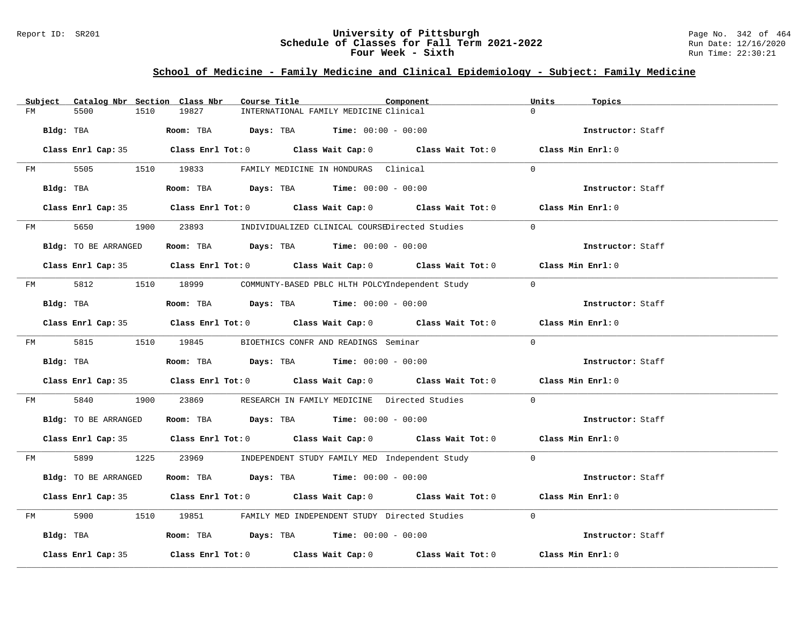### Report ID: SR201 **University of Pittsburgh** Page No. 342 of 464 **Schedule of Classes for Fall Term 2021-2022** Run Date: 12/16/2020 **Four Week - Sixth** Run Time: 22:30:21

## **School of Medicine - Family Medicine and Clinical Epidemiology - Subject: Family Medicine**

|    | Subject   |                      |      | Catalog Nbr Section Class Nbr | Course Title |                                                      | Component                                                                                  | Units          | Topics            |  |
|----|-----------|----------------------|------|-------------------------------|--------------|------------------------------------------------------|--------------------------------------------------------------------------------------------|----------------|-------------------|--|
| FM |           | 5500                 | 1510 | 19827                         |              | INTERNATIONAL FAMILY MEDICINE Clinical               |                                                                                            | $\Omega$       |                   |  |
|    | Bldg: TBA |                      |      |                               |              | Room: TBA $Days:$ TBA $Time: 00:00 - 00:00$          |                                                                                            |                | Instructor: Staff |  |
|    |           |                      |      |                               |              |                                                      | Class Enrl Cap: 35 Class Enrl Tot: 0 Class Wait Cap: 0 Class Wait Tot: 0 Class Min Enrl: 0 |                |                   |  |
|    | FM        |                      |      |                               |              | 5505 1510 19833 FAMILY MEDICINE IN HONDURAS Clinical |                                                                                            | $\Omega$       |                   |  |
|    |           | Bldg: TBA            |      |                               |              | Room: TBA $Days:$ TBA $Time: 00:00 - 00:00$          |                                                                                            |                | Instructor: Staff |  |
|    |           |                      |      |                               |              |                                                      | Class Enrl Cap: 35 Class Enrl Tot: 0 Class Wait Cap: 0 Class Wait Tot: 0 Class Min Enrl: 0 |                |                   |  |
|    |           |                      |      |                               |              |                                                      | FM 5650 1900 23893 INDIVIDUALIZED CLINICAL COURSEDirected Studies                          | $\Omega$       |                   |  |
|    |           | Bldg: TO BE ARRANGED |      |                               |              | Room: TBA $Days:$ TBA $Time: 00:00 - 00:00$          |                                                                                            |                | Instructor: Staff |  |
|    |           |                      |      |                               |              |                                                      | Class Enrl Cap: 35 Class Enrl Tot: 0 Class Wait Cap: 0 Class Wait Tot: 0 Class Min Enrl: 0 |                |                   |  |
|    |           |                      |      |                               |              |                                                      | FM 5812 1510 18999 COMMUNTY-BASED PBLC HLTH POLCYIndependent Study                         | $\overline{0}$ |                   |  |
|    |           | Bldg: TBA            |      |                               |              | Room: TBA $Days:$ TBA $Time: 00:00 - 00:00$          |                                                                                            |                | Instructor: Staff |  |
|    |           |                      |      |                               |              |                                                      | Class Enrl Cap: 35 Class Enrl Tot: 0 Class Wait Cap: 0 Class Wait Tot: 0 Class Min Enrl: 0 |                |                   |  |
|    |           | FM 5815 1510 19845   |      |                               |              | BIOETHICS CONFR AND READINGS Seminar                 |                                                                                            | $\Omega$       |                   |  |
|    |           | Bldg: TBA            |      |                               |              | Room: TBA $Days:$ TBA $Time: 00:00 - 00:00$          |                                                                                            |                | Instructor: Staff |  |
|    |           |                      |      |                               |              |                                                      | Class Enrl Cap: 35 Class Enrl Tot: 0 Class Wait Cap: 0 Class Wait Tot: 0 Class Min Enrl: 0 |                |                   |  |
| FM |           | 5840                 |      |                               |              |                                                      | 1900 23869 RESEARCH IN FAMILY MEDICINE Directed Studies                                    | $\Omega$       |                   |  |
|    |           | Bldg: TO BE ARRANGED |      |                               |              | Room: TBA $Days:$ TBA $Time: 00:00 - 00:00$          |                                                                                            |                | Instructor: Staff |  |
|    |           |                      |      |                               |              |                                                      | Class Enrl Cap: 35 Class Enrl Tot: 0 Class Wait Cap: 0 Class Wait Tot: 0 Class Min Enrl: 0 |                |                   |  |
|    |           |                      |      |                               |              |                                                      | FM 5899 1225 23969 INDEPENDENT STUDY FAMILY MED Independent Study 0                        |                |                   |  |
|    |           | Bldg: TO BE ARRANGED |      |                               |              | Room: TBA $Days:$ TBA $Time: 00:00 - 00:00$          |                                                                                            |                | Instructor: Staff |  |
|    |           |                      |      |                               |              |                                                      | Class Enrl Cap: 35 Class Enrl Tot: 0 Class Wait Cap: 0 Class Wait Tot: 0 Class Min Enrl: 0 |                |                   |  |
| FM |           |                      |      |                               |              |                                                      | 5900 1510 19851 FAMILY MED INDEPENDENT STUDY Directed Studies                              | $\Omega$       |                   |  |
|    |           | Bldg: TBA            |      |                               |              | Room: TBA $Days:$ TBA $Time:$ $00:00 - 00:00$        |                                                                                            |                | Instructor: Staff |  |
|    |           | Class Enrl Cap: 35   |      |                               |              |                                                      | Class Enrl Tot: $0$ Class Wait Cap: $0$ Class Wait Tot: $0$ Class Min Enrl: $0$            |                |                   |  |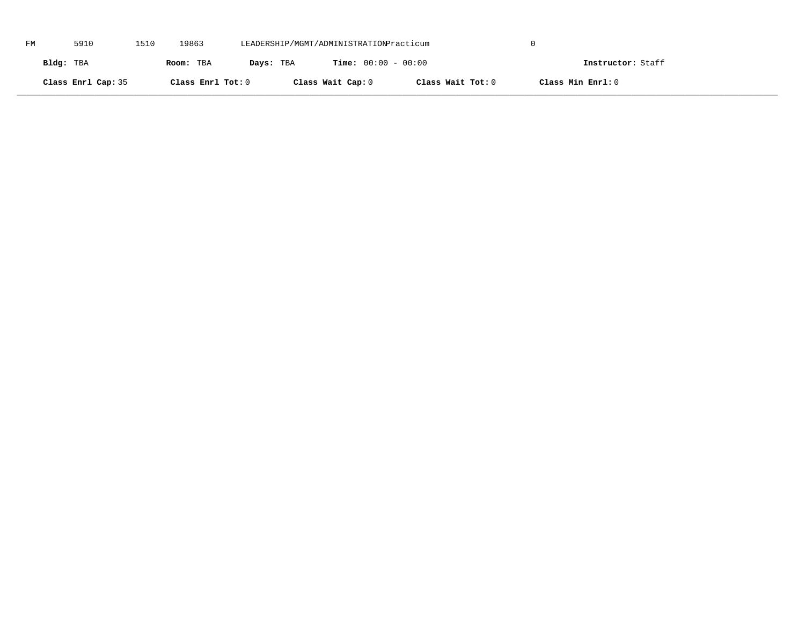| FM | 5910               | 1510 | 19863             | LEADERSHIP/MGMT/ADMINISTRATIONPracticum |                              |                   |                   |  |
|----|--------------------|------|-------------------|-----------------------------------------|------------------------------|-------------------|-------------------|--|
|    | Bldg: TBA          |      | Room: TBA         | Days: TBA                               | <b>Time:</b> $00:00 - 00:00$ |                   | Instructor: Staff |  |
|    | Class Enrl Cap: 35 |      | Class Enrl Tot: 0 |                                         | Class Wait Cap: 0            | Class Wait Tot: 0 | Class Min Enrl: 0 |  |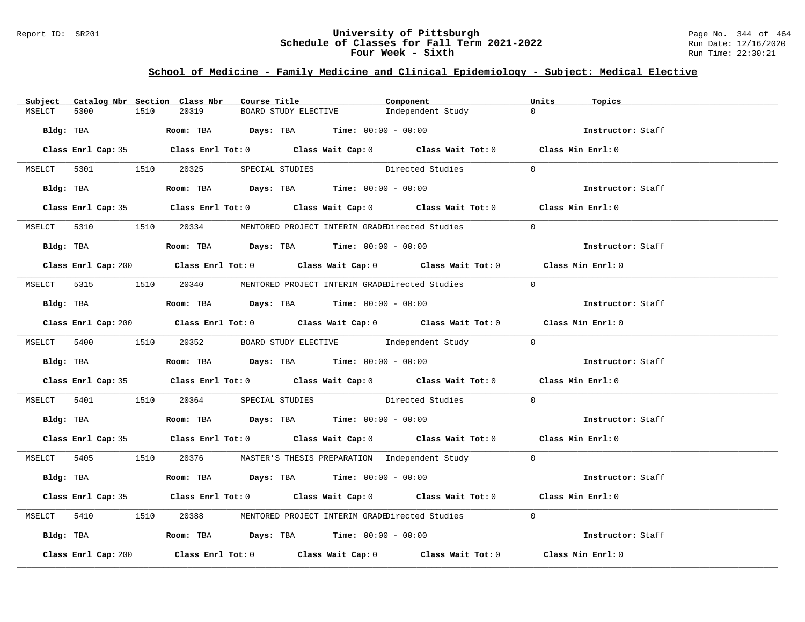### Report ID: SR201 **University of Pittsburgh** Page No. 344 of 464 **Schedule of Classes for Fall Term 2021-2022** Run Date: 12/16/2020 **Four Week - Sixth** Run Time: 22:30:21

# **School of Medicine - Family Medicine and Clinical Epidemiology - Subject: Medical Elective**

| Subject |                     |      | Catalog Nbr Section Class Nbr | Course Title |                                                                                            | Component                                                                                   | Units          | Topics            |  |
|---------|---------------------|------|-------------------------------|--------------|--------------------------------------------------------------------------------------------|---------------------------------------------------------------------------------------------|----------------|-------------------|--|
| MSELCT  | 5300                | 1510 | 20319                         |              | BOARD STUDY ELECTIVE                                                                       | Independent Study                                                                           | $\Omega$       |                   |  |
|         | Bldg: TBA           |      |                               |              | <b>Room:</b> TBA $\rule{1em}{0.15mm}$ $Days:$ TBA $\qquad$ Time: $00:00 - 00:00$           |                                                                                             |                | Instructor: Staff |  |
|         |                     |      |                               |              |                                                                                            | Class Enrl Cap: 35 Class Enrl Tot: 0 Class Wait Cap: 0 Class Wait Tot: 0 Class Min Enrl: 0  |                |                   |  |
|         |                     |      |                               |              |                                                                                            | MSELCT 5301 1510 20325 SPECIAL STUDIES Directed Studies                                     | $\overline{0}$ |                   |  |
|         |                     |      |                               |              |                                                                                            | Bldg: TBA Room: TBA Days: TBA Time: 00:00 - 00:00                                           |                | Instructor: Staff |  |
|         |                     |      |                               |              |                                                                                            | Class Enrl Cap: 35 Class Enrl Tot: 0 Class Wait Cap: 0 Class Wait Tot: 0 Class Min Enrl: 0  |                |                   |  |
|         |                     |      |                               |              |                                                                                            | MSELCT 5310 1510 20334 MENTORED PROJECT INTERIM GRADEDirected Studies                       | $\Omega$       |                   |  |
|         |                     |      |                               |              | Bldg: TBA                   Room: TBA         Days: TBA        Time: $00:00 - 00:00$       |                                                                                             |                | Instructor: Staff |  |
|         |                     |      |                               |              |                                                                                            | Class Enrl Cap: 200 Class Enrl Tot: 0 Class Wait Cap: 0 Class Wait Tot: 0 Class Min Enrl: 0 |                |                   |  |
|         |                     |      |                               |              |                                                                                            | MSELCT 5315 1510 20340 MENTORED PROJECT INTERIM GRADEDirected Studies                       | $\bigcap$      |                   |  |
|         |                     |      |                               |              | Bldg: TBA                    Room: TBA        Days: TBA        Time: 00:00 - 00:00         |                                                                                             |                | Instructor: Staff |  |
|         |                     |      |                               |              |                                                                                            | Class Enrl Cap: 200 Class Enrl Tot: 0 Class Wait Cap: 0 Class Wait Tot: 0 Class Min Enrl: 0 |                |                   |  |
|         |                     |      |                               |              |                                                                                            | MSELCT 5400 1510 20352 BOARD STUDY ELECTIVE Independent Study 0                             |                |                   |  |
|         |                     |      |                               |              | Bldg: TBA <b>ROOM: TBA Days: TBA Time: 00:00 - 00:00</b>                                   |                                                                                             |                | Instructor: Staff |  |
|         |                     |      |                               |              |                                                                                            | Class Enrl Cap: 35 Class Enrl Tot: 0 Class Wait Cap: 0 Class Wait Tot: 0 Class Min Enrl: 0  |                |                   |  |
|         |                     |      |                               |              |                                                                                            | MSELCT 5401 1510 20364 SPECIAL STUDIES Directed Studies 0                                   |                |                   |  |
|         |                     |      |                               |              | Bldg: TBA                     Room: TBA        Days: TBA        Time: 00:00 - 00:00        |                                                                                             |                | Instructor: Staff |  |
|         |                     |      |                               |              |                                                                                            | Class Enrl Cap: 35 Class Enrl Tot: 0 Class Wait Cap: 0 Class Wait Tot: 0 Class Min Enrl: 0  |                |                   |  |
|         |                     |      |                               |              |                                                                                            | MSELCT 5405 1510 20376 MASTER'S THESIS PREPARATION Independent Study 0                      |                |                   |  |
|         |                     |      |                               |              | Bldg: TBA                     Room: TBA           Days: TBA          Time: $00:00 - 00:00$ |                                                                                             |                | Instructor: Staff |  |
|         |                     |      |                               |              |                                                                                            | Class Enrl Cap: 35 Class Enrl Tot: 0 Class Wait Cap: 0 Class Wait Tot: 0 Class Min Enrl: 0  |                |                   |  |
|         |                     |      |                               |              |                                                                                            | MSELCT 5410 1510 20388 MENTORED PROJECT INTERIM GRADEDirected Studies                       | $\Omega$       |                   |  |
|         |                     |      |                               |              | Bldg: TBA                    Room: TBA         Days: TBA         Time: 00:00 - 00:00       |                                                                                             |                | Instructor: Staff |  |
|         | Class Enrl Cap: 200 |      |                               |              |                                                                                            | Class Enrl Tot: $0$ Class Wait Cap: $0$ Class Wait Tot: $0$                                 |                | Class Min Enrl: 0 |  |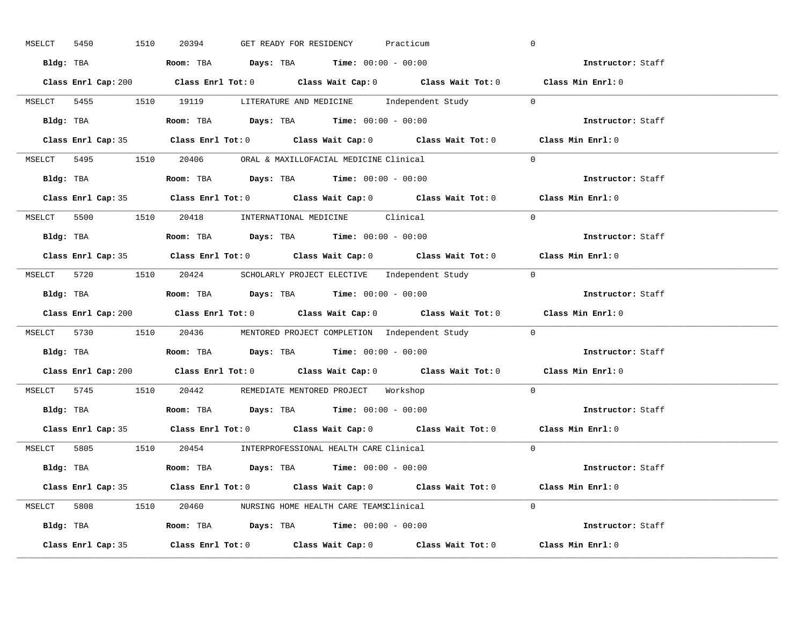| 5450<br>MSELCT | 1510 | 20394                                                                                  | GET READY FOR RESIDENCY |  | Practicum                                                                          | $\overline{0}$                                                                              |  |
|----------------|------|----------------------------------------------------------------------------------------|-------------------------|--|------------------------------------------------------------------------------------|---------------------------------------------------------------------------------------------|--|
|                |      | Bldg: TBA                   Room: TBA         Days: TBA         Time: 00:00 - 00:00    |                         |  |                                                                                    | <b>Example 2</b> Instructor: Staff                                                          |  |
|                |      |                                                                                        |                         |  |                                                                                    | Class Enrl Cap: 200 Class Enrl Tot: 0 Class Wait Cap: 0 Class Wait Tot: 0 Class Min Enrl: 0 |  |
|                |      |                                                                                        |                         |  | MSELCT 5455 1510 19119 LITERATURE AND MEDICINE Independent Study 0                 |                                                                                             |  |
|                |      | <b>Bldg:</b> TBA <b>ROOM:</b> TBA <b>Days:</b> TBA <b>Time:</b> $00:00 - 00:00$        |                         |  |                                                                                    | Instructor: Staff                                                                           |  |
|                |      |                                                                                        |                         |  |                                                                                    | Class Enrl Cap: 35 Class Enrl Tot: 0 Class Wait Cap: 0 Class Wait Tot: 0 Class Min Enrl: 0  |  |
|                |      |                                                                                        |                         |  | MSELCT 5495 1510 20406 ORAL & MAXILLOFACIAL MEDICINE Clinical                      | $\Omega$                                                                                    |  |
|                |      | Bldg: TBA                    Room: TBA         Days: TBA        Time: $00:00 - 00:00$  |                         |  |                                                                                    | Instructor: Staff                                                                           |  |
|                |      |                                                                                        |                         |  |                                                                                    | Class Enrl Cap: 35 Class Enrl Tot: 0 Class Wait Cap: 0 Class Wait Tot: 0 Class Min Enrl: 0  |  |
|                |      |                                                                                        |                         |  | MSELCT 5500 1510 20418 INTERNATIONAL MEDICINE Clinical                             | $\Omega$                                                                                    |  |
|                |      | Bldg: TBA                   Room: TBA         Days: TBA         Time: $00:00 - 00:00$  |                         |  |                                                                                    | Instructor: Staff                                                                           |  |
|                |      |                                                                                        |                         |  |                                                                                    | Class Enrl Cap: 35 Class Enrl Tot: 0 Class Wait Cap: 0 Class Wait Tot: 0 Class Min Enrl: 0  |  |
|                |      |                                                                                        |                         |  | MSELCT 5720 1510 20424 SCHOLARLY PROJECT ELECTIVE Independent Study 0              |                                                                                             |  |
|                |      |                                                                                        |                         |  | Bldg: TBA                    Room: TBA        Days: TBA        Time: 00:00 - 00:00 | Instructor: Staff                                                                           |  |
|                |      |                                                                                        |                         |  |                                                                                    | Class Enrl Cap: 200 Class Enrl Tot: 0 Class Wait Cap: 0 Class Wait Tot: 0 Class Min Enrl: 0 |  |
|                |      |                                                                                        |                         |  | MSELCT 5730 1510 20436 MENTORED PROJECT COMPLETION Independent Study 0             |                                                                                             |  |
|                |      | Bldg: TBA                    Room: TBA         Days: TBA         Time: 00:00 - 00:00   |                         |  |                                                                                    | Instructor: Staff                                                                           |  |
|                |      |                                                                                        |                         |  |                                                                                    |                                                                                             |  |
|                |      |                                                                                        |                         |  |                                                                                    | Class Enrl Cap: 200 Class Enrl Tot: 0 Class Wait Cap: 0 Class Wait Tot: 0 Class Min Enrl: 0 |  |
|                |      |                                                                                        |                         |  | MSELCT 5745 1510 20442 REMEDIATE MENTORED PROJECT Workshop                         | $\Omega$                                                                                    |  |
|                |      | Bldg: TBA                    Room: TBA         Days: TBA         Time: $00:00 - 00:00$ |                         |  |                                                                                    | Instructor: Staff                                                                           |  |
|                |      |                                                                                        |                         |  |                                                                                    | Class Enrl Cap: 35 Class Enrl Tot: 0 Class Wait Cap: 0 Class Wait Tot: 0 Class Min Enrl: 0  |  |
|                |      |                                                                                        |                         |  | MSELCT 5805 1510 20454 INTERPROFESSIONAL HEALTH CARE Clinical                      | $\Omega$                                                                                    |  |
|                |      | Bldg: TBA                   Room: TBA        Days: TBA        Time: 00:00 - 00:00      |                         |  |                                                                                    | Instructor: Staff                                                                           |  |
|                |      |                                                                                        |                         |  |                                                                                    | Class Enrl Cap: 35 Class Enrl Tot: 0 Class Wait Cap: 0 Class Wait Tot: 0 Class Min Enrl: 0  |  |
|                |      | MSELCT 5808 1510 20460 NURSING HOME HEALTH CARE TEAMSClinical                          |                         |  |                                                                                    | $\Omega$                                                                                    |  |
|                |      | Bldg: TBA                    Room: TBA         Days: TBA         Time: 00:00 - 00:00   |                         |  |                                                                                    | Instructor: Staff                                                                           |  |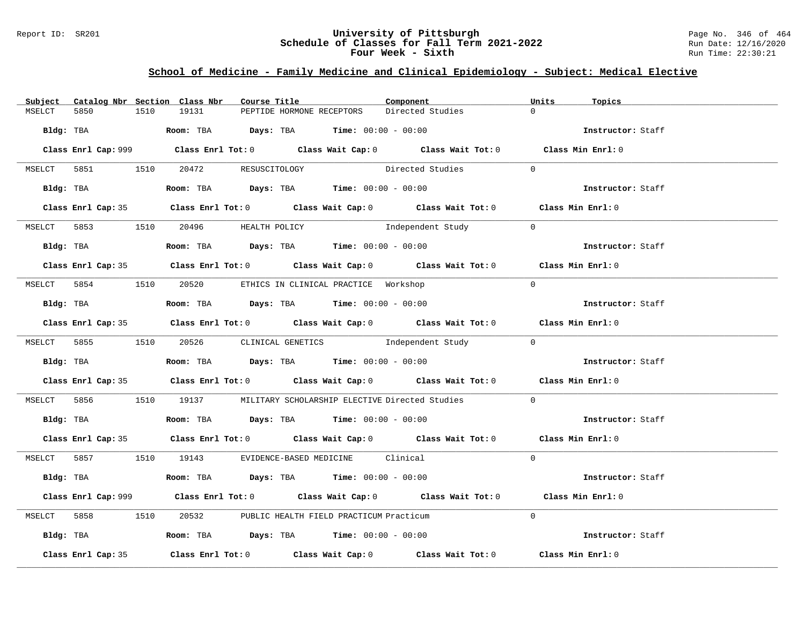### Report ID: SR201 **University of Pittsburgh** Page No. 346 of 464 **Schedule of Classes for Fall Term 2021-2022** Run Date: 12/16/2020 **Four Week - Sixth** Run Time: 22:30:21

# **School of Medicine - Family Medicine and Clinical Epidemiology - Subject: Medical Elective**

|        |                    |      | Subject Catalog Nbr Section Class Nbr | Course Title |                                                                                                | Component                                                                                   | Units          | Topics            |
|--------|--------------------|------|---------------------------------------|--------------|------------------------------------------------------------------------------------------------|---------------------------------------------------------------------------------------------|----------------|-------------------|
| MSELCT | 5850               | 1510 | 19131                                 |              | PEPTIDE HORMONE RECEPTORS                                                                      | Directed Studies                                                                            | $\Omega$       |                   |
|        |                    |      |                                       |              | Bldg: TBA                   Room: TBA        Days: TBA        Time: 00:00 - 00:00              |                                                                                             |                | Instructor: Staff |
|        |                    |      |                                       |              |                                                                                                | Class Enrl Cap: 999 Class Enrl Tot: 0 Class Wait Cap: 0 Class Wait Tot: 0 Class Min Enrl: 0 |                |                   |
|        |                    |      | MSELCT 5851 1510 20472 RESUSCITOLOGY  |              |                                                                                                | Directed Studies                                                                            | $\Omega$       |                   |
|        |                    |      |                                       |              | Bldg: TBA                    Room: TBA         Days: TBA         Time: 00:00 - 00:00           |                                                                                             |                | Instructor: Staff |
|        |                    |      |                                       |              |                                                                                                | Class Enrl Cap: 35 Class Enrl Tot: 0 Class Wait Cap: 0 Class Wait Tot: 0 Class Min Enrl: 0  |                |                   |
|        |                    |      | MSELCT 5853 1510 20496 HEALTH POLICY  |              |                                                                                                | Independent Study                                                                           | $\overline{0}$ |                   |
|        |                    |      |                                       |              |                                                                                                |                                                                                             |                | Instructor: Staff |
|        |                    |      |                                       |              |                                                                                                | Class Enrl Cap: 35 Class Enrl Tot: 0 Class Wait Cap: 0 Class Wait Tot: 0 Class Min Enrl: 0  |                |                   |
|        |                    |      |                                       |              | MSELCT 5854 1510 20520 ETHICS IN CLINICAL PRACTICE Workshop                                    |                                                                                             | $\Omega$       |                   |
|        |                    |      |                                       |              | Bldg: TBA                    Room: TBA         Days: TBA         Time: $00:00 - 00:00$         |                                                                                             |                | Instructor: Staff |
|        |                    |      |                                       |              |                                                                                                | Class Enrl Cap: 35 Class Enrl Tot: 0 Class Wait Cap: 0 Class Wait Tot: 0 Class Min Enrl: 0  |                |                   |
|        |                    |      |                                       |              |                                                                                                | MSELCT 5855 1510 20526 CLINICAL GENETICS Independent Study 0                                |                |                   |
|        |                    |      |                                       |              | Bldg: TBA                          Room: TBA          Days: TBA          Time: $00:00 - 00:00$ |                                                                                             |                | Instructor: Staff |
|        |                    |      |                                       |              |                                                                                                | Class Enrl Cap: 35 Class Enrl Tot: 0 Class Wait Cap: 0 Class Wait Tot: 0 Class Min Enrl: 0  |                |                   |
|        |                    |      |                                       |              |                                                                                                | MSELCT 5856 1510 19137 MILITARY SCHOLARSHIP ELECTIVE Directed Studies                       | $\overline{0}$ |                   |
|        |                    |      |                                       |              | Bldg: TBA                   Room: TBA         Days: TBA        Time: 00:00 - 00:00             |                                                                                             |                | Instructor: Staff |
|        |                    |      |                                       |              |                                                                                                | Class Enrl Cap: 35 Class Enrl Tot: 0 Class Wait Cap: 0 Class Wait Tot: 0 Class Min Enrl: 0  |                |                   |
|        |                    |      |                                       |              | MSELCT 5857 1510 19143 EVIDENCE-BASED MEDICINE Clinical                                        |                                                                                             | $\Omega$       |                   |
|        |                    |      |                                       |              | Bldg: TBA                    Room: TBA         Days: TBA         Time: 00:00 - 00:00           |                                                                                             |                | Instructor: Staff |
|        |                    |      |                                       |              |                                                                                                | Class Enrl Cap: 999 Class Enrl Tot: 0 Class Wait Cap: 0 Class Wait Tot: 0 Class Min Enrl: 0 |                |                   |
|        |                    |      |                                       |              | MSELCT 5858 1510 20532 PUBLIC HEALTH FIELD PRACTICUM Practicum                                 |                                                                                             | $\Omega$       |                   |
|        |                    |      |                                       |              | Bldg: TBA                  Room: TBA        Days: TBA        Time: 00:00 - 00:00               |                                                                                             |                | Instructor: Staff |
|        | Class Enrl Cap: 35 |      |                                       |              |                                                                                                | Class Enrl Tot: $0$ Class Wait Cap: $0$ Class Wait Tot: $0$                                 |                | Class Min Enrl: 0 |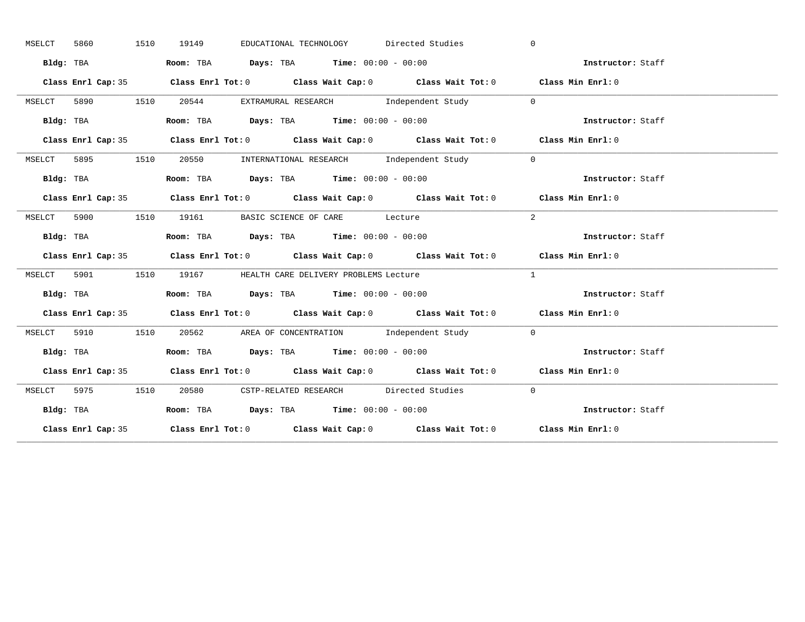| MSELCT | 5860      | 1510 | 19149 | EDUCATIONAL TECHNOLOGY Directed Studies                                                    |  | $\Omega$                                                               |  |
|--------|-----------|------|-------|--------------------------------------------------------------------------------------------|--|------------------------------------------------------------------------|--|
|        | Bldg: TBA |      |       | Room: TBA $Days:$ TBA $Time: 00:00 - 00:00$                                                |  | Instructor: Staff                                                      |  |
|        |           |      |       | Class Enrl Cap: 35 Class Enrl Tot: 0 Class Wait Cap: 0 Class Wait Tot: 0 Class Min Enrl: 0 |  |                                                                        |  |
| MSELCT |           |      |       | 5890 1510 20544 EXTRAMURAL RESEARCH Independent Study 0                                    |  |                                                                        |  |
|        | Bldg: TBA |      |       | Room: TBA Days: TBA Time: $00:00 - 00:00$                                                  |  | Instructor: Staff                                                      |  |
|        |           |      |       | Class Enrl Cap: 35 Class Enrl Tot: 0 Class Wait Cap: 0 Class Wait Tot: 0 Class Min Enrl: 0 |  |                                                                        |  |
| MSELCT |           |      |       | 5895 1510 20550 INTERNATIONAL RESEARCH Independent Study                                   |  | $\overline{0}$                                                         |  |
|        | Bldg: TBA |      |       | Room: TBA $Days:$ TBA Time: $00:00 - 00:00$                                                |  | Instructor: Staff                                                      |  |
|        |           |      |       | Class Enrl Cap: 35 Class Enrl Tot: 0 Class Wait Cap: 0 Class Wait Tot: 0 Class Min Enrl: 0 |  |                                                                        |  |
|        |           |      |       | MSELCT 5900 1510 19161 BASIC SCIENCE OF CARE Lecture                                       |  | 2                                                                      |  |
|        | Bldg: TBA |      |       | Room: TBA $Days:$ TBA $Time: 00:00 - 00:00$                                                |  | Instructor: Staff                                                      |  |
|        |           |      |       | Class Enrl Cap: 35 Class Enrl Tot: 0 Class Wait Cap: 0 Class Wait Tot: 0 Class Min Enrl: 0 |  |                                                                        |  |
|        |           |      |       | MSELCT 5901 1510 19167 HEALTH CARE DELIVERY PROBLEMS Lecture                               |  | $\mathbf{1}$                                                           |  |
|        | Bldg: TBA |      |       | Room: TBA $\rule{1em}{0.15mm}$ Days: TBA $\rule{1.5mm}{0.15mm}$ Time: $00:00 - 00:00$      |  | Instructor: Staff                                                      |  |
|        |           |      |       |                                                                                            |  |                                                                        |  |
|        |           |      |       | Class Enrl Cap: 35 Class Enrl Tot: 0 Class Wait Cap: 0 Class Wait Tot: 0 Class Min Enrl: 0 |  |                                                                        |  |
| MSELCT |           |      |       | 5910 1510 20562 AREA OF CONCENTRATION Independent Study 0                                  |  |                                                                        |  |
|        |           |      |       |                                                                                            |  | Bldg: TBA Room: TBA Days: TBA Time: 00:00 - 00:00<br>Thetructor: Staff |  |
|        |           |      |       | Class Enrl Cap: 35 Class Enrl Tot: 0 Class Wait Cap: 0 Class Wait Tot: 0 Class Min Enrl: 0 |  |                                                                        |  |
|        |           |      |       | MSELCT 5975 1510 20580 CSTP-RELATED RESEARCH Directed Studies                              |  | $\bigcirc$                                                             |  |
|        | Bldg: TBA |      |       | Room: TBA $Days:$ TBA $Time: 00:00 - 00:00$                                                |  | Instructor: Staff                                                      |  |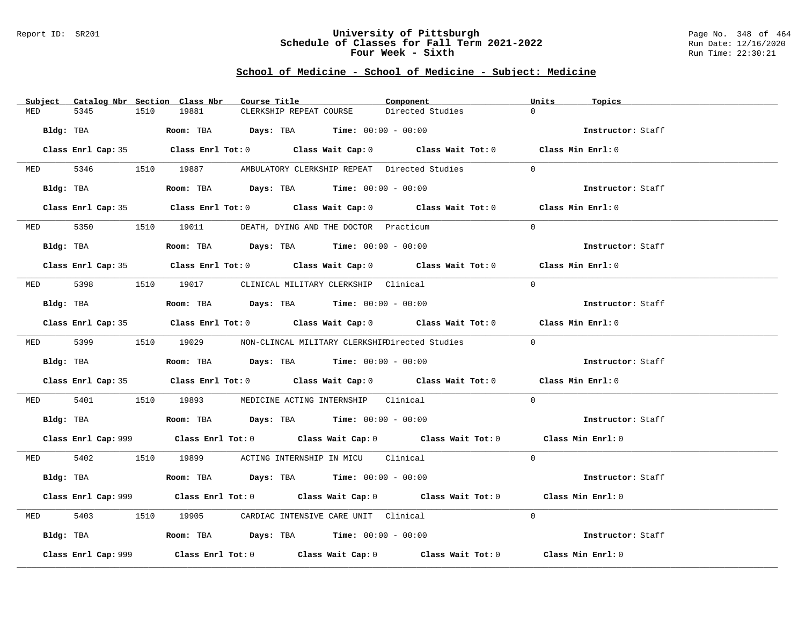### Report ID: SR201 **University of Pittsburgh** Page No. 348 of 464 **Schedule of Classes for Fall Term 2021-2022** Run Date: 12/16/2020 **Four Week - Sixth** Run Time: 22:30:21

| Subject Catalog Nbr Section Class Nbr | Course Title                                                                                 | Component        | Units<br>Topics   |
|---------------------------------------|----------------------------------------------------------------------------------------------|------------------|-------------------|
| 5345<br>1510<br>MED                   | 19881<br>CLERKSHIP REPEAT COURSE                                                             | Directed Studies | $\Omega$          |
| Bldg: TBA                             | <b>Room:</b> TBA $\qquad \qquad$ Days: TBA $\qquad \qquad$ Time: $00:00 - 00:00$             |                  | Instructor: Staff |
|                                       | Class Enrl Cap: 35 Class Enrl Tot: 0 Class Wait Cap: 0 Class Wait Tot: 0 Class Min Enrl: 0   |                  |                   |
|                                       | MED 5346 1510 19887 AMBULATORY CLERKSHIP REPEAT Directed Studies                             |                  | $\Omega$          |
| Bldg: TBA                             | Room: TBA $\rule{1em}{0.15mm}$ Days: TBA Time: $00:00 - 00:00$                               |                  | Instructor: Staff |
|                                       | Class Enrl Cap: 35 Class Enrl Tot: 0 Class Wait Cap: 0 Class Wait Tot: 0 Class Min Enrl: 0   |                  |                   |
|                                       | MED 5350 1510 19011 DEATH, DYING AND THE DOCTOR Practicum                                    |                  | $\Omega$          |
| Bldg: TBA                             | Room: TBA $\rule{1em}{0.15mm}$ Days: TBA Time: $00:00 - 00:00$                               |                  | Instructor: Staff |
|                                       | Class Enrl Cap: 35 Class Enrl Tot: 0 Class Wait Cap: 0 Class Wait Tot: 0 Class Min Enrl: 0   |                  |                   |
|                                       | MED 5398 1510 19017 CLINICAL MILITARY CLERKSHIP Clinical                                     |                  | $\Omega$          |
| Bldg: TBA                             | Room: TBA $Days:$ TBA $Time: 00:00 - 00:00$                                                  |                  | Instructor: Staff |
|                                       | Class Enrl Cap: 35 Class Enrl Tot: 0 Class Wait Cap: 0 Class Wait Tot: 0 Class Min Enrl: 0   |                  |                   |
|                                       | MED 5399 1510 19029 NON-CLINCAL MILITARY CLERKSHIEDirected Studies                           |                  | $\Omega$          |
|                                       | Bldg: TBA                    Room: TBA         Days: TBA        Time: 00:00 - 00:00          |                  | Instructor: Staff |
|                                       | Class Enrl Cap: 35 Class Enrl Tot: 0 Class Wait Cap: 0 Class Wait Tot: 0 Class Min Enrl: 0   |                  |                   |
| MED 5401                              | 1510 19893 MEDICINE ACTING INTERNSHIP Clinical                                               |                  | $\Omega$          |
|                                       | Bldg: TBA                         Room: TBA          Days: TBA         Time: $00:00 - 00:00$ |                  | Instructor: Staff |
|                                       | Class Enrl Cap: 999 Class Enrl Tot: 0 Class Wait Cap: 0 Class Wait Tot: 0 Class Min Enrl: 0  |                  |                   |
|                                       | MED 5402 1510 19899 ACTING INTERNSHIP IN MICU Clinical                                       |                  | $\Omega$          |
| Bldg: TBA                             | Room: TBA $\rule{1em}{0.15mm}$ Days: TBA Time: $00:00 - 00:00$                               |                  | Instructor: Staff |
|                                       | Class Enrl Cap: 999 Class Enrl Tot: 0 Class Wait Cap: 0 Class Wait Tot: 0 Class Min Enrl: 0  |                  |                   |
| 5403<br>MED                           | 1510 19905 CARDIAC INTENSIVE CARE UNIT Clinical                                              |                  | $\Omega$          |
|                                       | Bldg: TBA                        Room: TBA          Days: TBA         Time: $00:00 - 00:00$  |                  | Instructor: Staff |
| Class Enrl Cap: 999                   | Class Enrl Tot: $0$ Class Wait Cap: $0$ Class Wait Tot: $0$ Class Min Enrl: $0$              |                  |                   |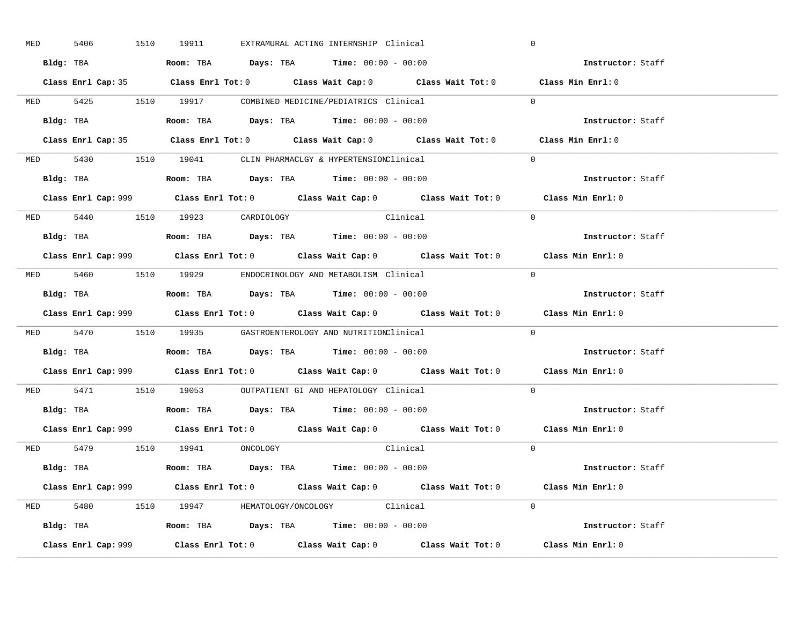| <b>MED</b> | 5406 |  | 1510 19911                     |  | EXTRAMURAL ACTING INTERNSHIP Clinical                                                         |                                                                                             | $\mathbf 0$    |                                                                                             |
|------------|------|--|--------------------------------|--|-----------------------------------------------------------------------------------------------|---------------------------------------------------------------------------------------------|----------------|---------------------------------------------------------------------------------------------|
|            |      |  |                                |  | Bldg: TBA                      Room: TBA         Days: TBA         Time: 00:00 - 00:00        |                                                                                             |                | Instructor: Staff                                                                           |
|            |      |  |                                |  |                                                                                               | Class Enrl Cap: 35 Class Enrl Tot: 0 Class Wait Cap: 0 Class Wait Tot: 0 Class Min Enrl: 0  |                |                                                                                             |
|            |      |  |                                |  | MED 5425 1510 19917 COMBINED MEDICINE/PEDIATRICS Clinical                                     |                                                                                             |                | $\Omega$                                                                                    |
|            |      |  |                                |  | Bldg: TBA                   Room: TBA         Days: TBA         Time: 00:00 - 00:00           |                                                                                             |                | Instructor: Staff                                                                           |
|            |      |  |                                |  |                                                                                               | Class Enrl Cap: 35 Class Enrl Tot: 0 Class Wait Cap: 0 Class Wait Tot: 0 Class Min Enrl: 0  |                |                                                                                             |
|            |      |  |                                |  | MED 5430 1510 19041 CLIN PHARMACLGY & HYPERTENSIONClinical                                    |                                                                                             |                | $\Omega$                                                                                    |
|            |      |  |                                |  | Bldg: TBA                   Room: TBA         Days: TBA         Time: 00:00 - 00:00           |                                                                                             |                | Instructor: Staff                                                                           |
|            |      |  |                                |  |                                                                                               | Class Enrl Cap: 999 Class Enrl Tot: 0 Class Wait Cap: 0 Class Wait Tot: 0 Class Min Enrl: 0 |                |                                                                                             |
|            |      |  | MED 5440 1510 19923 CARDIOLOGY |  | Clinical                                                                                      |                                                                                             |                | $\Omega$                                                                                    |
|            |      |  |                                |  | Bldg: TBA                   Room: TBA         Days: TBA         Time: 00:00 - 00:00           |                                                                                             |                | Instructor: Staff                                                                           |
|            |      |  |                                |  |                                                                                               | Class Enrl Cap: 999 Class Enrl Tot: 0 Class Wait Cap: 0 Class Wait Tot: 0 Class Min Enrl: 0 |                |                                                                                             |
|            |      |  |                                |  | MED 5460 1510 19929 ENDOCRINOLOGY AND METABOLISM Clinical                                     |                                                                                             |                | $\Omega$                                                                                    |
|            |      |  |                                |  | Bldg: TBA                   Room: TBA         Days: TBA         Time: $00:00 - 00:00$         |                                                                                             |                | Instructor: Staff                                                                           |
|            |      |  |                                |  |                                                                                               |                                                                                             |                | Class Enrl Cap: 999 Class Enrl Tot: 0 Class Wait Cap: 0 Class Wait Tot: 0 Class Min Enrl: 0 |
|            |      |  |                                |  | MED 5470 1510 19935 GASTROENTEROLOGY AND NUTRITIONClinical                                    |                                                                                             |                | $\Omega$                                                                                    |
|            |      |  |                                |  | Bldg: TBA                    Room: TBA         Days: TBA         Time: 00:00 - 00:00          |                                                                                             |                | Instructor: Staff                                                                           |
|            |      |  |                                |  |                                                                                               |                                                                                             |                | Class Enrl Cap: 999 Class Enrl Tot: 0 Class Wait Cap: 0 Class Wait Tot: 0 Class Min Enrl: 0 |
|            |      |  |                                |  | MED 5471 1510 19053 OUTPATIENT GI AND HEPATOLOGY Clinical                                     |                                                                                             |                | $\Omega$                                                                                    |
|            |      |  |                                |  | Bldg: TBA                   Room: TBA         Days: TBA         Time: $00:00 - 00:00$         |                                                                                             |                | Instructor: Staff                                                                           |
|            |      |  |                                |  |                                                                                               | Class Enrl Cap: 999 Class Enrl Tot: 0 Class Wait Cap: 0 Class Wait Tot: 0 Class Min Enrl: 0 |                |                                                                                             |
|            |      |  | MED 5479 1510 19941 ONCOLOGY   |  |                                                                                               | Clinical                                                                                    | $\overline{0}$ |                                                                                             |
|            |      |  |                                |  | Bldg: TBA                   Room: TBA         Days: TBA         Time: 00:00 - 00:00           |                                                                                             |                | Instructor: Staff                                                                           |
|            |      |  |                                |  |                                                                                               | Class Enrl Cap: 999 Class Enrl Tot: 0 Class Wait Cap: 0 Class Wait Tot: 0 Class Min Enrl: 0 |                |                                                                                             |
|            |      |  |                                |  | MED 5480 1510 19947 HEMATOLOGY/ONCOLOGY Clinical                                              |                                                                                             |                | $\Omega$                                                                                    |
|            |      |  |                                |  | Bldg: TBA                         Room: TBA          Days: TBA          Time: $00:00 - 00:00$ |                                                                                             |                | Instructor: Staff                                                                           |
|            |      |  |                                |  |                                                                                               |                                                                                             |                | Class Min Enrl: 0                                                                           |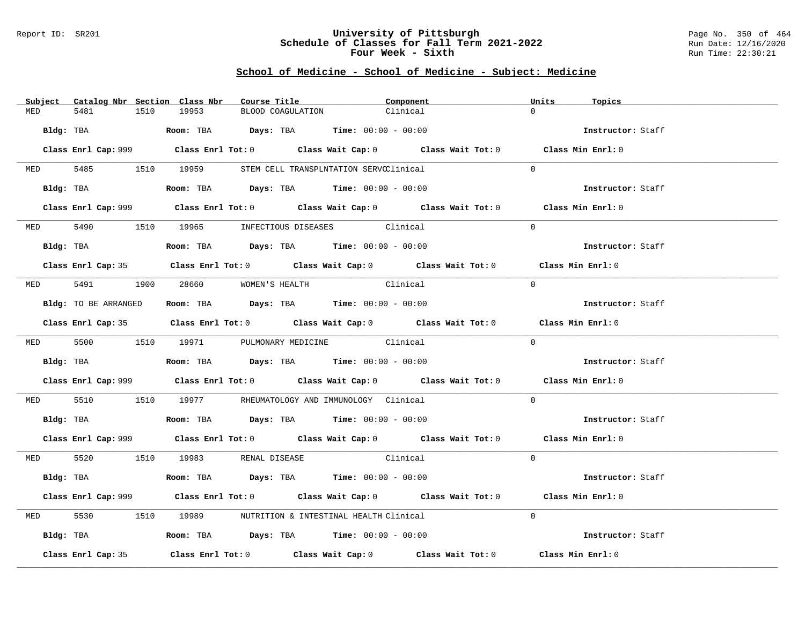### Report ID: SR201 **University of Pittsburgh** Page No. 350 of 464 **Schedule of Classes for Fall Term 2021-2022** Run Date: 12/16/2020 **Four Week - Sixth** Run Time: 22:30:21

|            | Subject Catalog Nbr Section Class Nbr | Course Title                                                                                 | Component                                                                                   | Units<br>Topics   |
|------------|---------------------------------------|----------------------------------------------------------------------------------------------|---------------------------------------------------------------------------------------------|-------------------|
| MED        | 1510<br>5481                          | 19953                                                                                        | BLOOD COAGULATION<br>Clinical                                                               | $\cap$            |
| Bldg: TBA  |                                       | Room: TBA $Days: TBA$ Time: $00:00 - 00:00$                                                  |                                                                                             | Instructor: Staff |
|            |                                       |                                                                                              | Class Enrl Cap: 999 Class Enrl Tot: 0 Class Wait Cap: 0 Class Wait Tot: 0 Class Min Enrl: 0 |                   |
|            |                                       | MED 5485 1510 19959 STEM CELL TRANSPLNTATION SERVCClinical                                   |                                                                                             | $\Omega$          |
|            |                                       | Bldg: TBA                  Room: TBA        Days: TBA        Time: 00:00 - 00:00             |                                                                                             | Instructor: Staff |
|            |                                       |                                                                                              | Class Enrl Cap: 999 Class Enrl Tot: 0 Class Wait Cap: 0 Class Wait Tot: 0 Class Min Enrl: 0 |                   |
|            |                                       | MED 5490 1510 19965 INFECTIOUS DISEASES Clinical                                             |                                                                                             | $\Omega$          |
|            | Bldg: TBA                             | Room: TBA $Days:$ TBA Time: $00:00 - 00:00$                                                  |                                                                                             | Instructor: Staff |
|            |                                       |                                                                                              | Class Enrl Cap: 35 Class Enrl Tot: 0 Class Wait Cap: 0 Class Wait Tot: 0 Class Min Enrl: 0  |                   |
|            |                                       | MED 5491 1900 28660 WOMEN'S HEALTH                                                           | Clinical                                                                                    | $\Omega$          |
|            | Bldg: TO BE ARRANGED                  | Room: TBA $Days:$ TBA $Time:$ 00:00 - 00:00                                                  |                                                                                             | Instructor: Staff |
|            |                                       |                                                                                              | Class Enrl Cap: 35 Class Enrl Tot: 0 Class Wait Cap: 0 Class Wait Tot: 0 Class Min Enrl: 0  |                   |
|            |                                       | MED 5500 1510 19971 PULMONARY MEDICINE Clinical                                              |                                                                                             | $\Omega$          |
|            |                                       |                                                                                              |                                                                                             | Instructor: Staff |
|            |                                       |                                                                                              | Class Enrl Cap: 999 Class Enrl Tot: 0 Class Wait Cap: 0 Class Wait Tot: 0 Class Min Enrl: 0 |                   |
|            |                                       | MED 5510 1510 19977 RHEUMATOLOGYANDIMMUNOLOGYClinical                                        |                                                                                             | $\Omega$          |
|            |                                       | Bldg: TBA                        Room: TBA          Days: TBA          Time: $00:00 - 00:00$ |                                                                                             | Instructor: Staff |
|            |                                       |                                                                                              | Class Enrl Cap: 999 Class Enrl Tot: 0 Class Wait Cap: 0 Class Wait Tot: 0 Class Min Enrl: 0 |                   |
|            |                                       | MED 5520 1510 19983 RENAL DISEASE                                                            | Clinical                                                                                    | $\Omega$          |
|            |                                       | Bldg: TBA                   Room: TBA         Days: TBA         Time: $00:00 - 00:00$        |                                                                                             | Instructor: Staff |
|            |                                       |                                                                                              | Class Enrl Cap: 999 Class Enrl Tot: 0 Class Wait Cap: 0 Class Wait Tot: 0 Class Min Enrl: 0 |                   |
| <b>MED</b> | 5530                                  | 1510 19989 NUTRITION & INTESTINAL HEALTH Clinical                                            |                                                                                             | $\Omega$          |
|            |                                       | Bldg: TBA                       Room: TBA          Days: TBA          Time: 00:00 - 00:00    |                                                                                             | Instructor: Staff |
|            | Class Enrl Cap: 35                    |                                                                                              | Class Enrl Tot: $0$ Class Wait Cap: $0$ Class Wait Tot: $0$                                 | Class Min Enrl: 0 |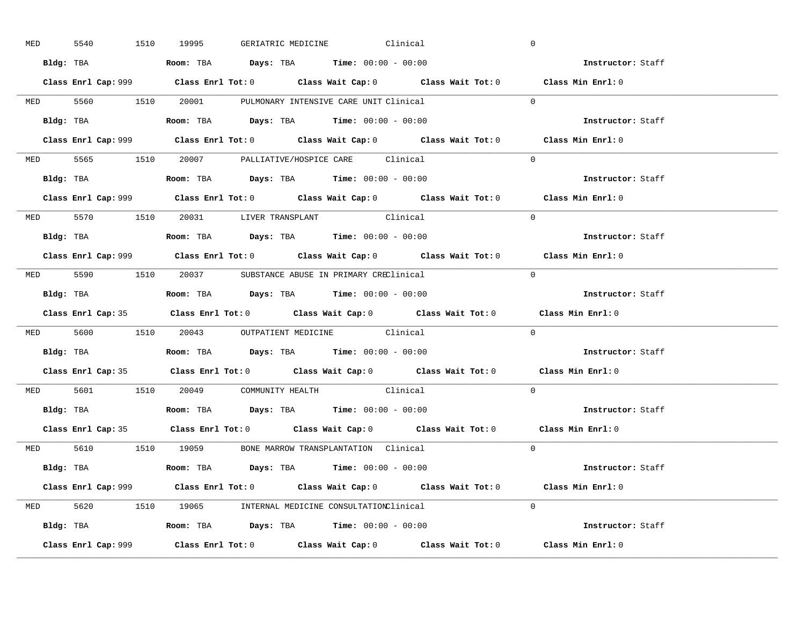| <b>MED</b> | 5540      |           | 1510 19995                                                                            |  | GERIATRIC MEDICINE Clinical                      | $\overline{0}$                                                                              |  |
|------------|-----------|-----------|---------------------------------------------------------------------------------------|--|--------------------------------------------------|---------------------------------------------------------------------------------------------|--|
|            |           |           | Bldg: TBA                   Room: TBA         Days: TBA         Time: $00:00 - 00:00$ |  |                                                  | Instructor: Staff                                                                           |  |
|            |           |           |                                                                                       |  |                                                  | Class Enrl Cap: 999 Class Enrl Tot: 0 Class Wait Cap: 0 Class Wait Tot: 0 Class Min Enrl: 0 |  |
|            |           |           | MED 5560 1510 20001 PULMONARY INTENSIVE CARE UNIT Clinical                            |  |                                                  | $\overline{0}$                                                                              |  |
|            |           | Bldg: TBA | Room: TBA $Days:$ TBA $Time:$ 00:00 - 00:00                                           |  |                                                  | Instructor: Staff                                                                           |  |
|            |           |           |                                                                                       |  |                                                  | Class Enrl Cap: 999 Class Enrl Tot: 0 Class Wait Cap: 0 Class Wait Tot: 0 Class Min Enrl: 0 |  |
|            |           |           | MED 5565 1510 20007 PALLIATIVE/HOSPICE CARE Clinical                                  |  |                                                  | $\Omega$                                                                                    |  |
|            |           |           | Bldg: TBA                    Room: TBA         Days: TBA        Time: $00:00 - 00:00$ |  |                                                  | Instructor: Staff                                                                           |  |
|            |           |           |                                                                                       |  |                                                  | Class Enrl Cap: 999 Class Enrl Tot: 0 Class Wait Cap: 0 Class Wait Tot: 0 Class Min Enrl: 0 |  |
|            |           |           | MED 5570 1510 20031 LIVER TRANSPLANT Clinical                                         |  |                                                  | $\Omega$                                                                                    |  |
|            |           |           | <b>Bldg:</b> TBA <b>ROOM:</b> TBA <b>Days:</b> TBA <b>Time:</b> $00:00 - 00:00$       |  |                                                  | Instructor: Staff                                                                           |  |
|            |           |           |                                                                                       |  |                                                  | Class Enrl Cap: 999 Class Enrl Tot: 0 Class Wait Cap: 0 Class Wait Tot: 0 Class Min Enrl: 0 |  |
|            |           |           | MED 5590 1510 20037 SUBSTANCE ABUSE IN PRIMARY CREClinical                            |  |                                                  | $\Omega$                                                                                    |  |
|            |           |           |                                                                                       |  |                                                  | Instructor: Staff                                                                           |  |
|            |           |           |                                                                                       |  |                                                  | Class Enrl Cap: 35 Class Enrl Tot: 0 Class Wait Cap: 0 Class Wait Tot: 0 Class Min Enrl: 0  |  |
|            |           |           |                                                                                       |  | MED 5600 1510 20043 OUTPATIENT MEDICINE Clinical | $\overline{0}$                                                                              |  |
|            |           |           |                                                                                       |  |                                                  |                                                                                             |  |
|            | Bldg: TBA |           | Room: TBA $Days:$ TBA Time: $00:00 - 00:00$                                           |  |                                                  | Instructor: Staff                                                                           |  |
|            |           |           |                                                                                       |  |                                                  | Class Enrl Cap: 35 Class Enrl Tot: 0 Class Wait Cap: 0 Class Wait Tot: 0 Class Min Enrl: 0  |  |
|            |           |           | MED 5601 1510 20049 COMMUNITY HEALTH Clinical                                         |  |                                                  | $\Omega$                                                                                    |  |
|            |           |           | Bldg: TBA                   Room: TBA         Days: TBA         Time: 00:00 - 00:00   |  |                                                  | Instructor: Staff                                                                           |  |
|            |           |           |                                                                                       |  |                                                  | Class Enrl Cap: 35 Class Enrl Tot: 0 Class Wait Cap: 0 Class Wait Tot: 0 Class Min Enrl: 0  |  |
|            |           |           | MED 5610 1510 19059 BONE MARROW TRANSPLANTATION Clinical                              |  |                                                  | $\Omega$                                                                                    |  |
|            |           |           | Bldg: TBA                   Room: TBA         Days: TBA         Time: 00:00 - 00:00   |  |                                                  | Instructor: Staff                                                                           |  |
|            |           |           |                                                                                       |  |                                                  | Class Enrl Cap: 999 Class Enrl Tot: 0 Class Wait Cap: 0 Class Wait Tot: 0 Class Min Enrl: 0 |  |
|            |           |           | MED 5620 1510 19065 INTERNAL MEDICINE CONSULTATIONClinical                            |  |                                                  | $\Omega$                                                                                    |  |
|            |           |           | Bldg: TBA                   Room: TBA         Days: TBA        Time: 00:00 - 00:00    |  |                                                  | <b>Instructor:</b> Staff                                                                    |  |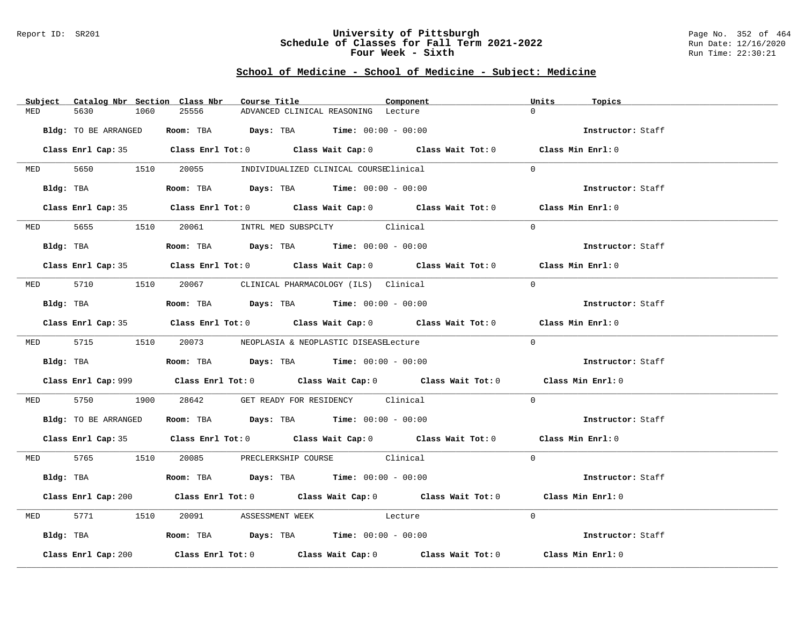### Report ID: SR201 **University of Pittsburgh** Page No. 352 of 464 **Schedule of Classes for Fall Term 2021-2022** Run Date: 12/16/2020 **Four Week - Sixth** Run Time: 22:30:21

|     | Subject Catalog Nbr Section Class Nbr | Course Title                                                                                | Component | Units<br>Topics   |
|-----|---------------------------------------|---------------------------------------------------------------------------------------------|-----------|-------------------|
| MED | 5630<br>1060                          | 25556<br>ADVANCED CLINICAL REASONING Lecture                                                |           | $\Omega$          |
|     | Bldg: TO BE ARRANGED                  | Room: TBA $Days:$ TBA $Time: 00:00 - 00:00$                                                 |           | Instructor: Staff |
|     |                                       | Class Enrl Cap: 35 Class Enrl Tot: 0 Class Wait Cap: 0 Class Wait Tot: 0 Class Min Enrl: 0  |           |                   |
|     |                                       | MED 5650 1510 20055 INDIVIDUALIZED CLINICAL COURSEClinical                                  |           | $\Omega$          |
|     |                                       | Bldg: TBA                    Room: TBA         Days: TBA         Time: 00:00 - 00:00        |           | Instructor: Staff |
|     |                                       | Class Enrl Cap: 35 Class Enrl Tot: 0 Class Wait Cap: 0 Class Wait Tot: 0 Class Min Enrl: 0  |           |                   |
|     |                                       | MED 5655 1510 20061 INTRL MED SUBSPCLTY Clinical                                            |           | $\Omega$          |
|     |                                       | Bldg: TBA                   Room: TBA         Days: TBA         Time: $00:00 - 00:00$       |           | Instructor: Staff |
|     |                                       | Class Enrl Cap: 35 Class Enrl Tot: 0 Class Wait Cap: 0 Class Wait Tot: 0 Class Min Enrl: 0  |           |                   |
|     |                                       | MED 5710 1510 20067 CLINICAL PHARMACOLOGY (ILS) Clinical                                    |           | $\Omega$          |
|     |                                       | Bldg: TBA                   Room: TBA         Days: TBA         Time: 00:00 - 00:00         |           | Instructor: Staff |
|     |                                       | Class Enrl Cap: 35 Class Enrl Tot: 0 Class Wait Cap: 0 Class Wait Tot: 0 Class Min Enrl: 0  |           |                   |
|     |                                       | MED 5715 1510 20073 NEOPLASIA & NEOPLASTIC DISEASELecture                                   |           | $\Omega$          |
|     |                                       | <b>Bldg:</b> TBA <b>ROOM:</b> TBA <b>Days:</b> TBA <b>Time:</b> 00:00 - 00:00               |           | Instructor: Staff |
|     |                                       | Class Enrl Cap: 999 Class Enrl Tot: 0 Class Wait Cap: 0 Class Wait Tot: 0 Class Min Enrl: 0 |           |                   |
|     |                                       | MED 5750 1900 28642 GET READY FOR RESIDENCY Clinical                                        |           | $\Omega$          |
|     |                                       | Bldg: TO BE ARRANGED Room: TBA Days: TBA Time: 00:00 - 00:00                                |           | Instructor: Staff |
|     |                                       | Class Enrl Cap: 35 Class Enrl Tot: 0 Class Wait Cap: 0 Class Wait Tot: 0 Class Min Enrl: 0  |           |                   |
|     |                                       | MED 5765 1510 20085 PRECLERKSHIP COURSE Clinical                                            |           | $\Omega$          |
|     |                                       | Bldg: TBA                   Room: TBA         Days: TBA         Time: 00:00 - 00:00         |           | Instructor: Staff |
|     |                                       | Class Enrl Cap: 200 Class Enrl Tot: 0 Class Wait Cap: 0 Class Wait Tot: 0 Class Min Enrl: 0 |           |                   |
|     |                                       | MED 5771 1510 20091 ASSESSMENT WEEK Lecture                                                 |           | $\Omega$          |
|     |                                       | Bldg: TBA                   Room: TBA         Days: TBA         Time: 00:00 - 00:00         |           | Instructor: Staff |
|     | Class Enrl Cap: 200                   | Class Enrl Tot: $0$ Class Wait Cap: $0$ Class Wait Tot: $0$ Class Min Enrl: $0$             |           |                   |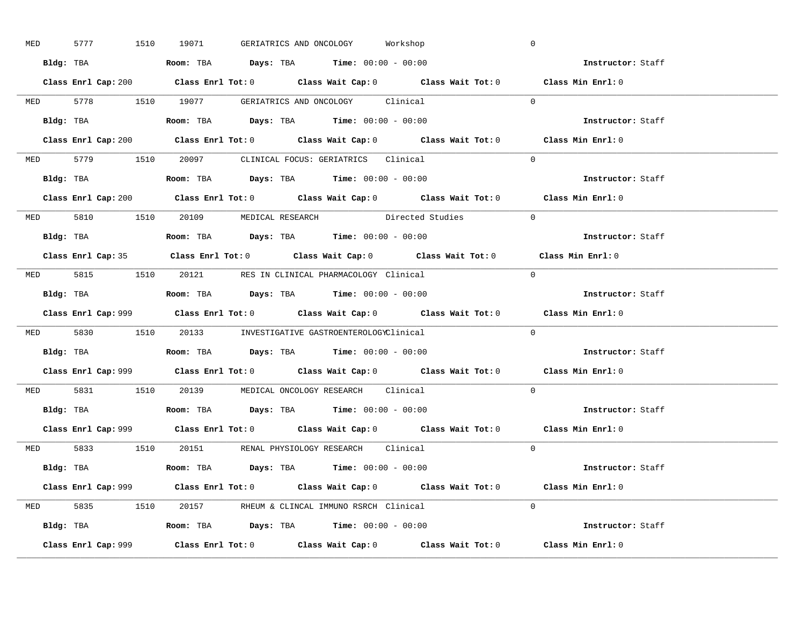| <b>MED</b> |  |                                                                                            |  | 5777 1510 19071 GERIATRICS AND ONCOLOGY Workshop        |                                                                         | $\overline{0}$                                                                              |  |
|------------|--|--------------------------------------------------------------------------------------------|--|---------------------------------------------------------|-------------------------------------------------------------------------|---------------------------------------------------------------------------------------------|--|
|            |  | Bldg: TBA                   Room: TBA         Days: TBA         Time: $00:00 - 00:00$      |  |                                                         |                                                                         | <b>Example 2</b> Instructor: Staff                                                          |  |
|            |  |                                                                                            |  |                                                         |                                                                         | Class Enrl Cap: 200 Class Enrl Tot: 0 Class Wait Cap: 0 Class Wait Tot: 0 Class Min Enrl: 0 |  |
|            |  |                                                                                            |  |                                                         | MED 5778 1510 19077 GERIATRICS AND ONCOLOGY Clinical 0                  |                                                                                             |  |
|            |  | Bldg: TBA                   Room: TBA         Days: TBA         Time: $00:00 - 00:00$      |  |                                                         |                                                                         | Instructor: Staff                                                                           |  |
|            |  |                                                                                            |  |                                                         |                                                                         | Class Enrl Cap: 200 Class Enrl Tot: 0 Class Wait Cap: 0 Class Wait Tot: 0 Class Min Enrl: 0 |  |
|            |  |                                                                                            |  | MED 5779 1510 20097 CLINICAL FOCUS: GERIATRICS Clinical |                                                                         | $\Omega$                                                                                    |  |
|            |  | Bldg: TBA                     Room: TBA         Days: TBA        Time: 00:00 - 00:00       |  |                                                         |                                                                         | Instructor: Staff                                                                           |  |
|            |  |                                                                                            |  |                                                         |                                                                         | Class Enrl Cap: 200 Class Enrl Tot: 0 Class Wait Cap: 0 Class Wait Tot: 0 Class Min Enrl: 0 |  |
|            |  |                                                                                            |  |                                                         | MED 5810 1510 20109 MEDICAL RESEARCH Directed Studies<br>$\overline{0}$ |                                                                                             |  |
|            |  | Bldg: TBA                    Room: TBA         Days: TBA         Time: $00:00 - 00:00$     |  |                                                         |                                                                         | Instructor: Staff                                                                           |  |
|            |  |                                                                                            |  |                                                         |                                                                         | Class Enrl Cap: 35 Class Enrl Tot: 0 Class Wait Cap: 0 Class Wait Tot: 0 Class Min Enrl: 0  |  |
|            |  | MED 5815 1510 20121 RES IN CLINICAL PHARMACOLOGY Clinical                                  |  |                                                         | $\bigcirc$                                                              |                                                                                             |  |
|            |  | <b>Bldg:</b> TBA <b>ROOM:</b> TBA <b>Days:</b> TBA <b>Time:</b> $00:00 - 00:00$            |  |                                                         |                                                                         | Instructor: Staff                                                                           |  |
|            |  |                                                                                            |  |                                                         |                                                                         | Class Enrl Cap: 999 Class Enrl Tot: 0 Class Wait Cap: 0 Class Wait Tot: 0 Class Min Enrl: 0 |  |
|            |  | MED 5830 1510 20133 INVESTIGATIVE GASTROENTEROLOGYClinical                                 |  |                                                         | $\Omega$                                                                |                                                                                             |  |
|            |  | Bldg: TBA                    Room: TBA         Days: TBA        Time: $00:00 - 00:00$      |  |                                                         |                                                                         | Instructor: Staff                                                                           |  |
|            |  |                                                                                            |  |                                                         |                                                                         | Class Enrl Cap: 999 Class Enrl Tot: 0 Class Wait Cap: 0 Class Wait Tot: 0 Class Min Enrl: 0 |  |
|            |  | MED 5831 1510 20139 MEDICAL ONCOLOGY RESEARCH Clinical                                     |  |                                                         | $\Omega$                                                                |                                                                                             |  |
|            |  | Bldg: TBA                   Room: TBA         Days: TBA         Time: $00:00 - 00:00$      |  |                                                         |                                                                         | Instructor: Staff                                                                           |  |
|            |  |                                                                                            |  |                                                         |                                                                         | Class Enrl Cap: 999 Class Enrl Tot: 0 Class Wait Cap: 0 Class Wait Tot: 0 Class Min Enrl: 0 |  |
|            |  | MED 5833 1510 20151 RENAL PHYSIOLOGY RESEARCH Clinical                                     |  |                                                         | $\Omega$                                                                |                                                                                             |  |
|            |  | Bldg: TBA                       Room: TBA           Days: TBA          Time: 00:00 - 00:00 |  |                                                         |                                                                         | Instructor: Staff                                                                           |  |
|            |  |                                                                                            |  |                                                         |                                                                         |                                                                                             |  |
|            |  |                                                                                            |  |                                                         |                                                                         | Class Enrl Cap: 999 Class Enrl Tot: 0 Class Wait Cap: 0 Class Wait Tot: 0 Class Min Enrl: 0 |  |
|            |  | MED 5835 1510 20157 RHEUM & CLINCAL IMMUNO RSRCH Clinical                                  |  |                                                         | $\Omega$                                                                |                                                                                             |  |
|            |  | Bldg: TBA                    Room: TBA         Days: TBA        Time: $00:00 - 00:00$      |  |                                                         |                                                                         | Instructor: Staff                                                                           |  |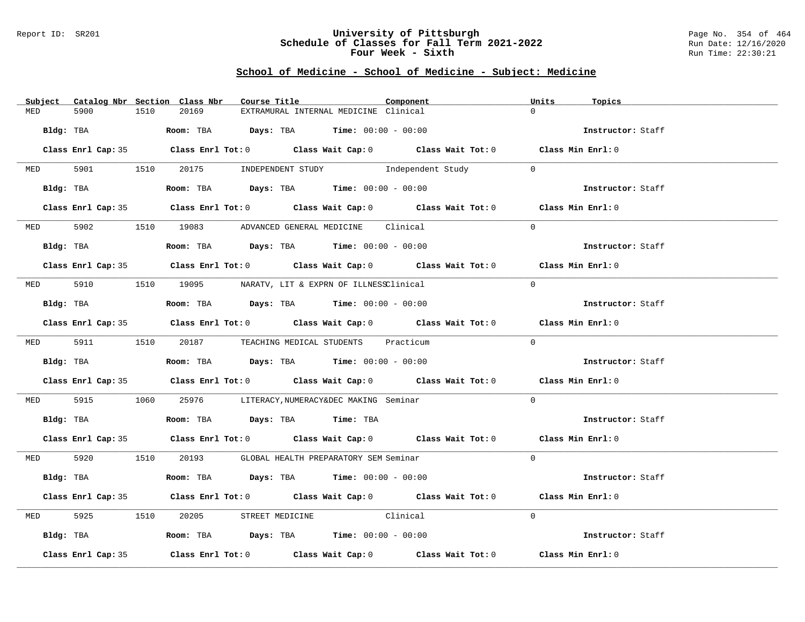### Report ID: SR201 **University of Pittsburgh** Page No. 354 of 464 **Schedule of Classes for Fall Term 2021-2022** Run Date: 12/16/2020 **Four Week - Sixth** Run Time: 22:30:21

| Subject Catalog Nbr Section Class Nbr | Course Title                                                                                       | Component | Units<br>Topics   |
|---------------------------------------|----------------------------------------------------------------------------------------------------|-----------|-------------------|
| 1510<br>MED<br>5900                   | 20169<br>EXTRAMURAL INTERNAL MEDICINE Clinical                                                     |           | $\Omega$          |
| Bldg: TBA                             | Room: TBA $Days:$ TBA $Time: 00:00 - 00:00$                                                        |           | Instructor: Staff |
|                                       | Class Enrl Cap: 35 Class Enrl Tot: 0 Class Wait Cap: 0 Class Wait Tot: 0 Class Min Enrl: 0         |           |                   |
|                                       | MED 5901 1510 20175 INDEPENDENT STUDY Independent Study 0                                          |           |                   |
| Bldg: TBA                             | Room: TBA $Days:$ TBA $Time:$ $00:00 - 00:00$                                                      |           | Instructor: Staff |
|                                       | Class Enrl Cap: 35 Class Enrl Tot: 0 Class Wait Cap: 0 Class Wait Tot: 0 Class Min Enrl: 0         |           |                   |
|                                       | MED 5902 1510 19083 ADVANCED GENERAL MEDICINE Clinical                                             |           | $\Omega$          |
| Bldg: TBA                             | Room: TBA $Days:$ TBA $Time: 00:00 - 00:00$                                                        |           | Instructor: Staff |
|                                       | Class Enrl Cap: 35 Class Enrl Tot: 0 Class Wait Cap: 0 Class Wait Tot: 0 Class Min Enrl: 0         |           |                   |
|                                       | MED 5910 1510 19095 NARATV, LIT & EXPRN OF ILLNESSClinical                                         |           | $\Omega$          |
| Bldg: TBA                             | Room: TBA $\rule{1em}{0.15mm}$ Days: TBA Time: $00:00 - 00:00$                                     |           | Instructor: Staff |
|                                       | Class Enrl Cap: 35 Class Enrl Tot: 0 Class Wait Cap: 0 Class Wait Tot: 0 Class Min Enrl: 0         |           |                   |
|                                       | MED 5911 1510 20187 TEACHING MEDICAL STUDENTS Practicum                                            |           | $\Omega$          |
|                                       | Bldg: TBA                    Room: TBA         Days: TBA        Time: 00:00 - 00:00                |           | Instructor: Staff |
|                                       | Class Enrl Cap: 35 Class Enrl Tot: 0 Class Wait Cap: 0 Class Wait Tot: 0 Class Min Enrl: 0         |           |                   |
|                                       | MED 5915 1060 25976 LITERACY, NUMERACY&DEC MAKING Seminar                                          |           | $\Omega$          |
|                                       | Bldg: TBA                    Room: TBA        Days: TBA        Time: TBA                           |           | Instructor: Staff |
|                                       | Class Enrl Cap: 35 Class Enrl Tot: 0 Class Wait Cap: 0 Class Wait Tot: 0 Class Min Enrl: 0         |           |                   |
|                                       | MED 5920 1510 20193 GLOBAL HEALTH PREPARATORY SEM Seminar                                          |           | $\Omega$          |
| Bldg: TBA                             | Room: TBA $Days:$ TBA Time: $00:00 - 00:00$                                                        |           | Instructor: Staff |
|                                       | Class Enrl Cap: 35 Class Enrl Tot: 0 Class Wait Cap: 0 Class Wait Tot: 0 Class Min Enrl: 0         |           |                   |
| <b>MED</b>                            | 1510 20205 STREET MEDICINE Clinical                                                                |           | $\Omega$          |
|                                       | Bldg: TBA                    Room: TBA          Days: TBA         Time: 00:00 - 00:00              |           | Instructor: Staff |
| Class Enrl Cap: 35                    | Class Enrl Tot: 0 $\qquad$ Class Wait Cap: 0 $\qquad$ Class Wait Tot: 0 $\qquad$ Class Min Enrl: 0 |           |                   |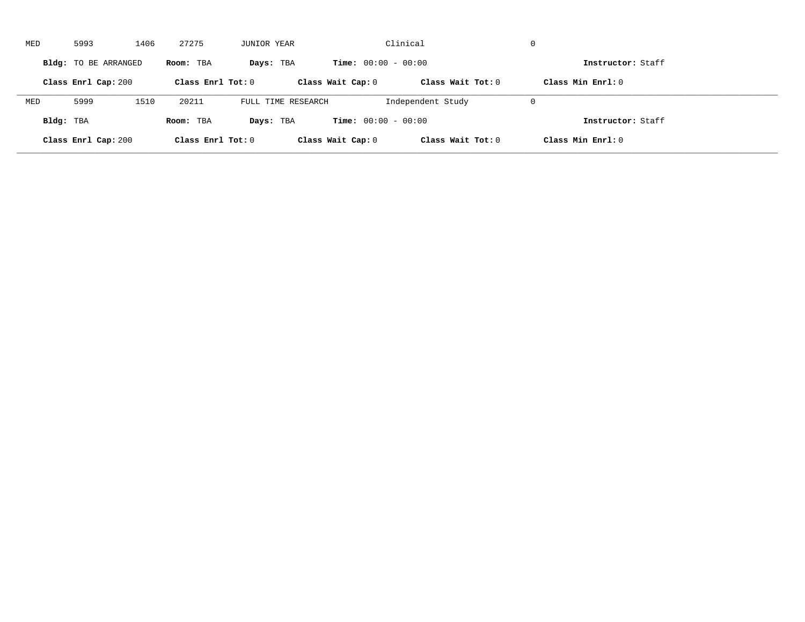| MED       | 5993                 | 1406 | 27275               | JUNIOR YEAR        |                              | Clinical            | $\mathbf 0$         |  |
|-----------|----------------------|------|---------------------|--------------------|------------------------------|---------------------|---------------------|--|
|           | Bldg: TO BE ARRANGED |      | Room: TBA           | Days: TBA          | <b>Time:</b> $00:00 - 00:00$ |                     | Instructor: Staff   |  |
|           | Class Enrl Cap: 200  |      | Class Enrl Tot: $0$ |                    | Class Wait Cap: 0            | Class Wait $Tot: 0$ | Class Min $Enr1: 0$ |  |
| MED       | 5999                 | 1510 | 20211               | FULL TIME RESEARCH |                              | Independent Study   | $\mathbf 0$         |  |
| Bldg: TBA |                      |      | Room: TBA           | Days: TBA          | <b>Time:</b> $00:00 - 00:00$ |                     | Instructor: Staff   |  |
|           | Class Enrl Cap: 200  |      | Class Enrl Tot: 0   |                    | Class Wait Cap: 0            | Class Wait Tot: 0   | Class Min Enrl: 0   |  |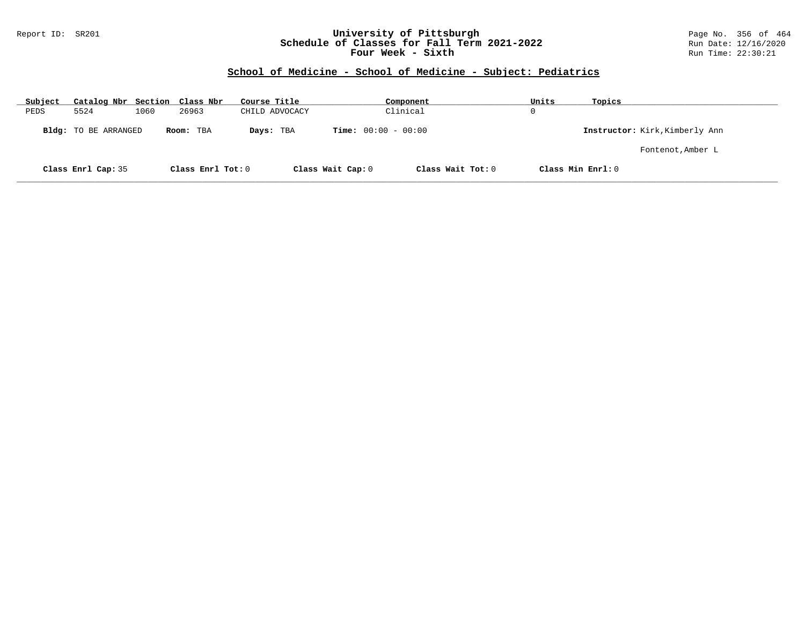### Report ID: SR201 **University of Pittsburgh** Page No. 356 of 464 **Schedule of Classes for Fall Term 2021-2022** Run Date: 12/16/2020 **Four Week - Sixth** Run Time: 22:30:21

| Subject | Catalog Nbr Section Class Nbr |      |                   | Course Title   | Component                    |                   | Units             | Topics                         |
|---------|-------------------------------|------|-------------------|----------------|------------------------------|-------------------|-------------------|--------------------------------|
| PEDS    | 5524                          | 1060 | 26963             | CHILD ADVOCACY | Clinical                     |                   | 0                 |                                |
|         | Bldg: TO BE ARRANGED          |      | Room: TBA         | Days: TBA      | <b>Time:</b> $00:00 - 00:00$ |                   |                   | Instructor: Kirk, Kimberly Ann |
|         |                               |      |                   |                |                              |                   |                   | Fontenot, Amber L              |
|         | Class Enrl Cap: 35            |      | Class Enrl Tot: 0 |                | Class Wait Cap: 0            | Class Wait Tot: 0 | Class Min Enrl: 0 |                                |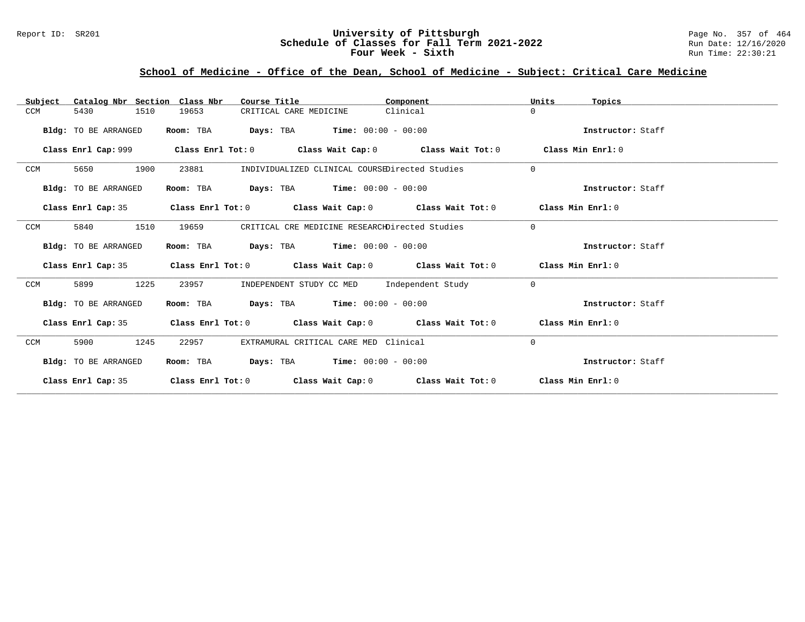### Report ID: SR201 **University of Pittsburgh University of Pittsburgh** Page No. 357 of 464<br>**Schedule of Classes for Fall Term 2021-2022** Run Date: 12/16/2020 **Schedule of Classes for Fall Term 2021-2022** Run Date: 12/16/2020 **Four Week - Sixth** Run Time: 22:30:21

# **School of Medicine - Office of the Dean, School of Medicine - Subject: Critical Care Medicine**

| Catalog Nbr Section Class Nbr<br>Subject | Course Title                                                                                         | Component | Units<br>Topics   |
|------------------------------------------|------------------------------------------------------------------------------------------------------|-----------|-------------------|
| 1510<br>CCM<br>5430                      | 19653<br>CRITICAL CARE MEDICINE                                                                      | Clinical  | $\Omega$          |
| Bldg: TO BE ARRANGED                     | <b>Days:</b> TBA <b>Time:</b> $00:00 - 00:00$<br>Room: TBA                                           |           | Instructor: Staff |
|                                          | Class Enrl Cap: 999 $\qquad$ Class Enrl Tot: 0 $\qquad$ Class Wait Cap: 0 $\qquad$ Class Wait Tot: 0 |           | Class Min Enrl: 0 |
| 1900<br>CCM<br>5650                      | 23881<br>INDIVIDUALIZED CLINICAL COURSEDirected Studies                                              |           | $\Omega$          |
| Bldg: TO BE ARRANGED                     | $\texttt{Days:}$ TBA $\texttt{Time:}$ 00:00 - 00:00<br>Room: TBA                                     |           | Instructor: Staff |
|                                          | Class Enrl Cap: 35 Class Enrl Tot: 0 Class Wait Cap: 0 Class Wait Tot: 0 Class Min Enrl: 0           |           |                   |
| 1510<br>CCM<br>5840                      | CRITICAL CRE MEDICINE RESEARCHDirected Studies<br>19659                                              |           | $\Omega$          |
| Bldg: TO BE ARRANGED                     | Room: TBA $Days:$ TBA $Time: 00:00 - 00:00$                                                          |           | Instructor: Staff |
|                                          | Class Enrl Cap: 35 Class Enrl Tot: 0 Class Wait Cap: 0 Class Wait Tot: 0 Class Min Enrl: 0           |           |                   |
| 1225<br>CCM<br>5899                      | INDEPENDENT STUDY CC MED Independent Study<br>23957                                                  |           | $\Omega$          |
| Bldg: TO BE ARRANGED                     | Room: TBA $Days: TBA$ Time: $00:00 - 00:00$                                                          |           | Instructor: Staff |
| Class Enrl Cap: 35                       | Class Enrl Tot: $0$ Class Wait Cap: $0$ Class Wait Tot: $0$ Class Min Enrl: $0$                      |           |                   |
| 1245<br>CCM<br>5900                      | EXTRAMURAL CRITICAL CARE MED Clinical<br>22957                                                       |           | $\Omega$          |
| <b>Bldg:</b> TO BE ARRANGED              | <b>Days:</b> TBA <b>Time:</b> $00:00 - 00:00$<br>Room: TBA                                           |           | Instructor: Staff |
| Class Enrl Cap: 35                       | Class Enrl Tot: $0$ Class Wait Cap: $0$ Class Wait Tot: $0$ Class Min Enrl: $0$                      |           |                   |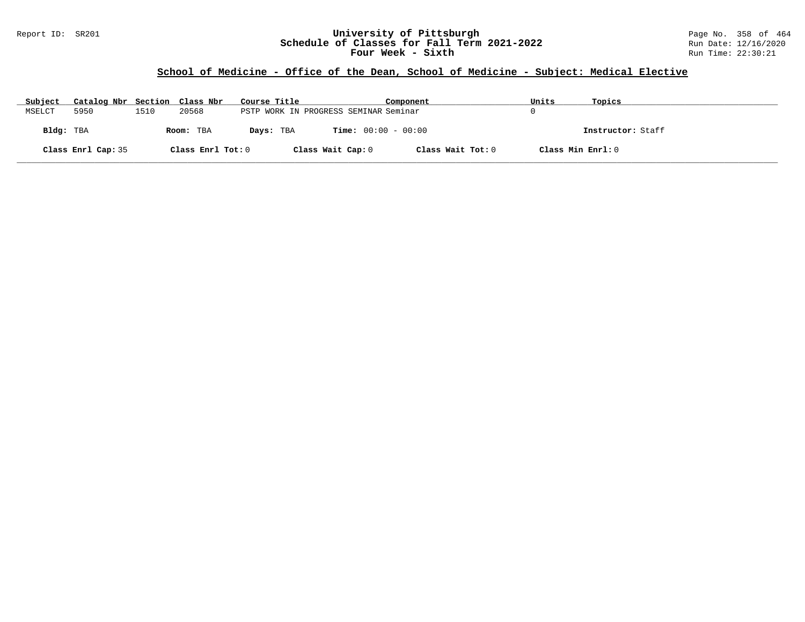### Report ID: SR201 **University of Pittsburgh** Page No. 358 of 464 **Schedule of Classes for Fall Term 2021-2022** Run Date: 12/16/2020 **Four Week - Sixth** Run Time: 22:30:21

# **School of Medicine - Office of the Dean, School of Medicine - Subject: Medical Elective**

| Subject   | Catalog Nbr Section Class Nbr |      |                   | Course Title |                                       | Component         | Units             | Topics            |
|-----------|-------------------------------|------|-------------------|--------------|---------------------------------------|-------------------|-------------------|-------------------|
| MSELCT    | 5950                          | 1510 | 20568             |              | PSTP WORK IN PROGRESS SEMINAR Seminar |                   |                   |                   |
| Bldg: TBA |                               |      | Room: TBA         | Days: TBA    | <b>Time:</b> $00:00 - 00:00$          |                   |                   | Instructor: Staff |
|           | Class Enrl Cap: 35            |      | Class Enrl Tot: 0 |              | Class Wait Cap: 0                     | Class Wait Tot: 0 | Class Min Enrl: 0 |                   |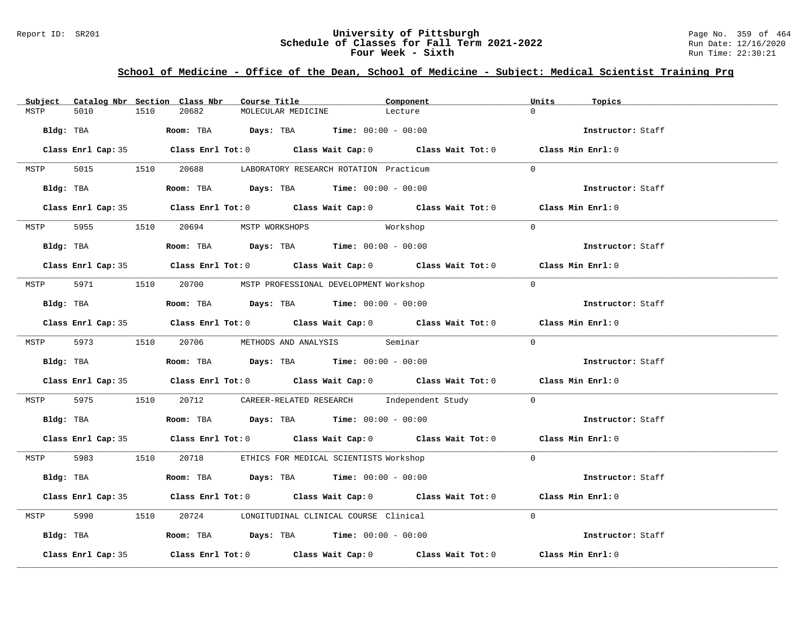### Report ID: SR201 **1988 Chedule of Classes for Fall Term 2021-2022** Page No. 359 of 464<br>**Schedule of Classes for Fall Term 2021-2022** Run Date: 12/16/2020 **Schedule of Classes for Fall Term 2021-2022** Run Date: 12/16/2020 **Four Week - Sixth** Run Time: 22:30:21

# **School of Medicine - Office of the Dean, School of Medicine - Subject: Medical Scientist Training Prg**

| Subject |                    |      | Catalog Nbr Section Class Nbr       | Course Title       |                                                                                                 | Component                                                                                  | Units    | Topics            |
|---------|--------------------|------|-------------------------------------|--------------------|-------------------------------------------------------------------------------------------------|--------------------------------------------------------------------------------------------|----------|-------------------|
| MSTP    | 5010               | 1510 | 20682                               | MOLECULAR MEDICINE |                                                                                                 | Lecture                                                                                    | $\Omega$ |                   |
|         |                    |      |                                     |                    | Bldg: TBA                       Room: TBA          Days: TBA         Time: $00:00 - 00:00$      |                                                                                            |          | Instructor: Staff |
|         |                    |      |                                     |                    |                                                                                                 | Class Enrl Cap: 35 Class Enrl Tot: 0 Class Wait Cap: 0 Class Wait Tot: 0 Class Min Enrl: 0 |          |                   |
| MSTP    |                    |      |                                     |                    | 5015 1510 20688 LABORATORY RESEARCH ROTATION Practicum                                          |                                                                                            | $\Omega$ |                   |
|         |                    |      |                                     |                    | Bldg: TBA                   Room: TBA        Days: TBA        Time: 00:00 - 00:00               |                                                                                            |          | Instructor: Staff |
|         |                    |      |                                     |                    | Class Enrl Cap: 35 Class Enrl Tot: 0 Class Wait Cap: 0 Class Wait Tot: 0 Class Min Enrl: 0      |                                                                                            |          |                   |
|         |                    |      | MSTP 5955 1510 20694 MSTP WORKSHOPS |                    |                                                                                                 | Workshop                                                                                   | $\Omega$ |                   |
|         |                    |      |                                     |                    | Bldg: TBA                   Room: TBA         Days: TBA         Time: $00:00 - 00:00$           |                                                                                            |          | Instructor: Staff |
|         |                    |      |                                     |                    |                                                                                                 | Class Enrl Cap: 35 Class Enrl Tot: 0 Class Wait Cap: 0 Class Wait Tot: 0 Class Min Enrl: 0 |          |                   |
|         |                    |      |                                     |                    | MSTP 5971 1510 20700 MSTP PROFESSIONAL DEVELOPMENT Workshop                                     |                                                                                            | $\Omega$ |                   |
|         | Bldg: TBA          |      |                                     |                    | Room: TBA $Days:$ TBA $Time: 00:00 - 00:00$                                                     |                                                                                            |          | Instructor: Staff |
|         |                    |      |                                     |                    |                                                                                                 | Class Enrl Cap: 35 Class Enrl Tot: 0 Class Wait Cap: 0 Class Wait Tot: 0 Class Min Enrl: 0 |          |                   |
|         |                    |      |                                     |                    | MSTP 5973 1510 20706 METHODS AND ANALYSIS Seminar                                               |                                                                                            | $\Omega$ |                   |
|         |                    |      |                                     |                    | <b>Bldg:</b> TBA <b>ROOM:</b> TBA <b>Days:</b> TBA <b>Time:</b> $00:00 - 00:00$                 |                                                                                            |          | Instructor: Staff |
|         |                    |      |                                     |                    |                                                                                                 | Class Enrl Cap: 35 Class Enrl Tot: 0 Class Wait Cap: 0 Class Wait Tot: 0 Class Min Enrl: 0 |          |                   |
|         |                    |      |                                     |                    |                                                                                                 | MSTP 5975 1510 20712 CAREER-RELATED RESEARCH Independent Study 0                           |          |                   |
|         |                    |      |                                     |                    | Bldg: TBA                        Room: TBA            Days: TBA           Time: $00:00 - 00:00$ |                                                                                            |          | Instructor: Staff |
|         |                    |      |                                     |                    |                                                                                                 | Class Enrl Cap: 35 Class Enrl Tot: 0 Class Wait Cap: 0 Class Wait Tot: 0 Class Min Enrl: 0 |          |                   |
|         |                    |      |                                     |                    | MSTP 5983 1510 20718 ETHICS FOR MEDICAL SCIENTISTS Workshop                                     |                                                                                            | $\Omega$ |                   |
|         |                    |      |                                     |                    | Bldg: TBA                    Room: TBA         Days: TBA         Time: 00:00 - 00:00            |                                                                                            |          | Instructor: Staff |
|         |                    |      |                                     |                    |                                                                                                 | Class Enrl Cap: 35 Class Enrl Tot: 0 Class Wait Cap: 0 Class Wait Tot: 0 Class Min Enrl: 0 |          |                   |
| MSTP    |                    |      |                                     |                    | 5990 1510 20724 LONGITUDINAL CLINICAL COURSE Clinical                                           |                                                                                            | $\Omega$ |                   |
|         |                    |      |                                     |                    | Bldg: TBA                    Room: TBA         Days: TBA         Time: $00:00 - 00:00$          |                                                                                            |          | Instructor: Staff |
|         | Class Enrl Cap: 35 |      |                                     |                    |                                                                                                 | Class Enrl Tot: $0$ Class Wait Cap: $0$ Class Wait Tot: $0$ Class Min Enrl: $0$            |          |                   |
|         |                    |      |                                     |                    |                                                                                                 |                                                                                            |          |                   |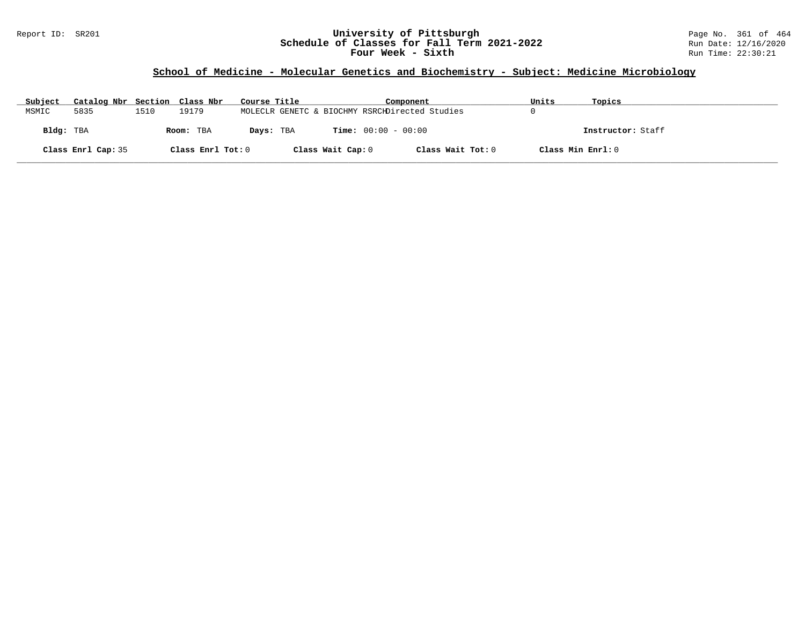### Report ID: SR201 **University of Pittsburgh** Page No. 361 of 464 **Schedule of Classes for Fall Term 2021-2022** Run Date: 12/16/2020 **Four Week - Sixth** Run Time: 22:30:21

### **School of Medicine - Molecular Genetics and Biochemistry - Subject: Medicine Microbiology**

| Subject   | Catalog Nbr Section Class Nbr |      |                   | Course Title |                   | Component                                      | Units             | Topics            |
|-----------|-------------------------------|------|-------------------|--------------|-------------------|------------------------------------------------|-------------------|-------------------|
| MSMIC     | 5835                          | 1510 | 19179             |              |                   | MOLECLR GENETC & BIOCHMY RSRCHDirected Studies |                   |                   |
| Bldg: TBA |                               |      | Room: TBA         | Days: TBA    |                   | <b>Time:</b> $00:00 - 00:00$                   |                   | Instructor: Staff |
|           | Class Enrl Cap: 35            |      | Class Enrl Tot: 0 |              | Class Wait Cap: 0 | Class Wait Tot: 0                              | Class Min Enrl: 0 |                   |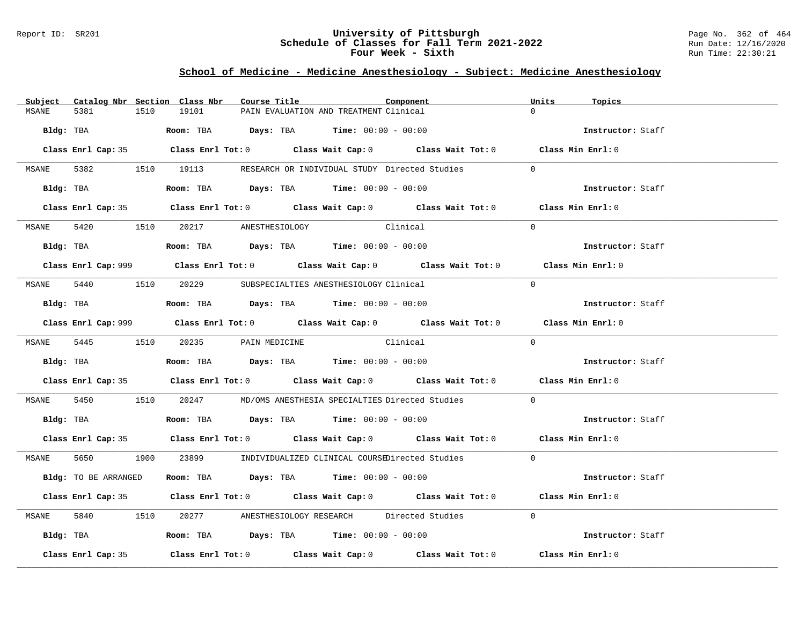### Report ID: SR201 **University of Pittsburgh** Page No. 362 of 464 **Schedule of Classes for Fall Term 2021-2022** Run Date: 12/16/2020 **Four Week - Sixth** Run Time: 22:30:21

# **School of Medicine - Medicine Anesthesiology - Subject: Medicine Anesthesiology**

| Catalog Nbr Section Class Nbr<br>Subject | Component<br>Course Title                                                                   | Units<br>Topics   |
|------------------------------------------|---------------------------------------------------------------------------------------------|-------------------|
| 5381<br>1510<br>MSANE                    | 19101<br>PAIN EVALUATION AND TREATMENT Clinical                                             | $\Omega$          |
|                                          | Bldg: TBA                    Room: TBA         Days: TBA         Time: 00:00 - 00:00        | Instructor: Staff |
|                                          | Class Enrl Cap: 35 Class Enrl Tot: 0 Class Wait Cap: 0 Class Wait Tot: 0 Class Min Enrl: 0  |                   |
|                                          | MSANE 5382 1510 19113 RESEARCH OR INDIVIDUAL STUDY Directed Studies                         | $\overline{0}$    |
|                                          | Bldg: TBA                    Room: TBA         Days: TBA         Time: 00:00 - 00:00        | Instructor: Staff |
|                                          | Class Enrl Cap: 35 Class Enrl Tot: 0 Class Wait Cap: 0 Class Wait Tot: 0 Class Min Enrl: 0  |                   |
|                                          | Clinical<br>MSANE 5420 1510 20217 ANESTHESIOLOGY                                            | $\Omega$          |
|                                          | Bldg: TBA                   Room: TBA         Days: TBA         Time: 00:00 - 00:00         | Instructor: Staff |
|                                          | Class Enrl Cap: 999 Class Enrl Tot: 0 Class Wait Cap: 0 Class Wait Tot: 0 Class Min Enrl: 0 |                   |
|                                          | MSANE 5440 1510 20229 SUBSPECIALTIES ANESTHESIOLOGY Clinical                                | $\Omega$          |
|                                          | Bldg: TBA                   Room: TBA         Days: TBA         Time: $00:00 - 00:00$       | Instructor: Staff |
|                                          | Class Enrl Cap: 999 Class Enrl Tot: 0 Class Wait Cap: 0 Class Wait Tot: 0 Class Min Enrl: 0 |                   |
|                                          | MSANE 5445 1510 20235 PAIN MEDICINE Clinical                                                | $\Omega$          |
|                                          | Bldg: TBA                   Room: TBA         Days: TBA         Time: 00:00 - 00:00         | Instructor: Staff |
|                                          | Class Enrl Cap: 35 Class Enrl Tot: 0 Class Wait Cap: 0 Class Wait Tot: 0 Class Min Enrl: 0  |                   |
|                                          | MSANE 5450 1510 20247 MD/OMS ANESTHESIA SPECIALTIES Directed Studies                        | $\overline{0}$    |
|                                          | Bldg: TBA                    Room: TBA          Days: TBA         Time: 00:00 - 00:00       | Instructor: Staff |
|                                          | Class Enrl Cap: 35 Class Enrl Tot: 0 Class Wait Cap: 0 Class Wait Tot: 0 Class Min Enrl: 0  |                   |
|                                          | MSANE 5650 1900 23899 INDIVIDUALIZED CLINICAL COURSEDirected Studies 0                      |                   |
| Bldg: TO BE ARRANGED                     | Room: TBA $Days:$ TBA $Time: 00:00 - 00:00$                                                 | Instructor: Staff |
|                                          | Class Enrl Cap: 35 Class Enrl Tot: 0 Class Wait Cap: 0 Class Wait Tot: 0 Class Min Enrl: 0  |                   |
| MSANE                                    | 5840 1510 20277 ANESTHESIOLOGY RESEARCH Directed Studies 0                                  |                   |
|                                          | Bldg: TBA                  Room: TBA        Days: TBA        Time: 00:00 - 00:00            | Instructor: Staff |
| Class Enrl Cap: 35                       | Class Enrl Tot: $0$ Class Wait Cap: $0$ Class Wait Tot: $0$ Class Min Enrl: $0$             |                   |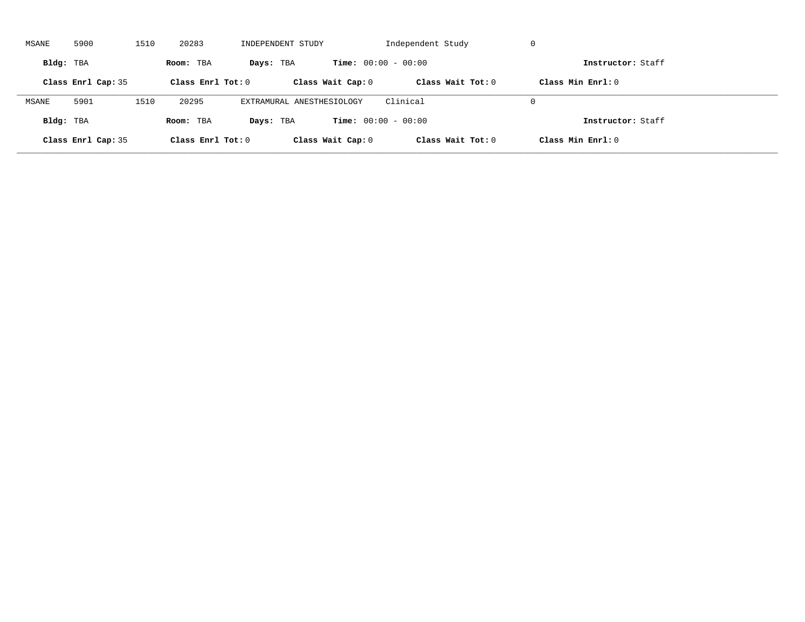| MSANE     | 5900               | 1510 | 20283               | INDEPENDENT STUDY         |                              | Independent Study   | -U                  |  |
|-----------|--------------------|------|---------------------|---------------------------|------------------------------|---------------------|---------------------|--|
| Bldg: TBA |                    |      | Room: TBA           | Days: TBA                 | <b>Time:</b> $00:00 - 00:00$ |                     | Instructor: Staff   |  |
|           | Class Enrl Cap: 35 |      | Class Enrl Tot: $0$ |                           | Class Wait Cap: 0            | Class Wait $Tot: 0$ | Class Min $Enrl: 0$ |  |
| MSANE     | 5901               | 1510 | 20295               | EXTRAMURAL ANESTHESIOLOGY |                              | Clinical            | $\Omega$            |  |
| Bldg: TBA |                    |      | Room: TBA           | Days: TBA                 | <b>Time:</b> $00:00 - 00:00$ |                     | Instructor: Staff   |  |
|           | Class Enrl Cap: 35 |      | Class Enrl Tot: $0$ |                           | Class Wait Cap: 0            | Class Wait Tot: 0   | Class Min Enrl: 0   |  |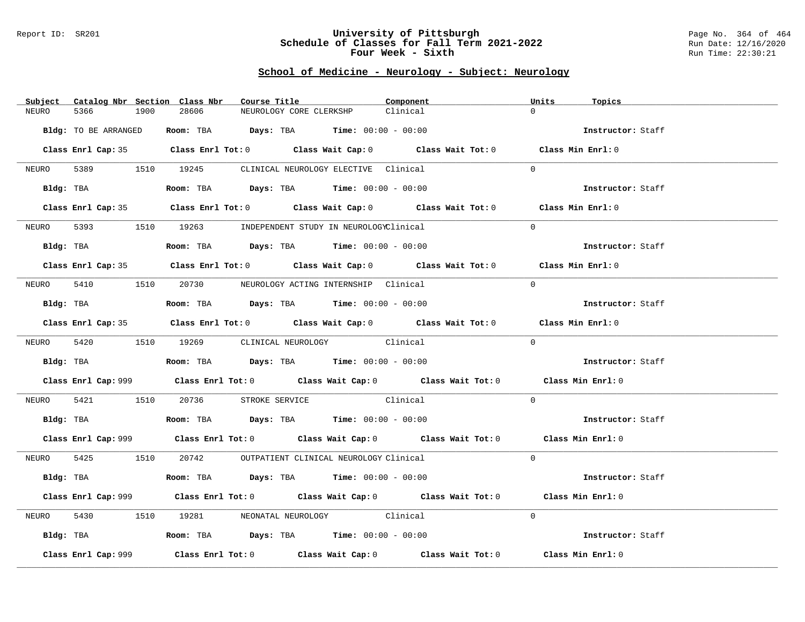#### Report ID: SR201 **University of Pittsburgh** Page No. 364 of 464 **Schedule of Classes for Fall Term 2021-2022** Run Date: 12/16/2020 **Four Week - Sixth** Run Time: 22:30:21

# **School of Medicine - Neurology - Subject: Neurology**

| Catalog Nbr Section Class Nbr<br>Subject | Course Title                                                                                            | Component | Units<br>Topics   |
|------------------------------------------|---------------------------------------------------------------------------------------------------------|-----------|-------------------|
| NEURO<br>5366<br>1900                    | 28606<br>NEUROLOGY CORE CLERKSHP                                                                        | Clinical  | $\Omega$          |
| Bldg: TO BE ARRANGED                     | Room: TBA $Days:$ TBA $Time: 00:00 - 00:00$                                                             |           | Instructor: Staff |
|                                          |                                                                                                         |           |                   |
|                                          | Class Enrl Cap: 35 Class Enrl Tot: 0 Class Wait Cap: 0 Class Wait Tot: 0 Class Min Enrl: 0              |           |                   |
|                                          | NEURO 5389 1510 19245 CLINICAL NEUROLOGY ELECTIVE Clinical                                              |           | $\Omega$          |
|                                          | Bldg: TBA                  Room: TBA        Days: TBA        Time: 00:00 - 00:00                        |           | Instructor: Staff |
|                                          | Class Enrl Cap: 35 Class Enrl Tot: 0 Class Wait Cap: 0 Class Wait Tot: 0 Class Min Enrl: 0              |           |                   |
| NEURO                                    | 5393 1510 19263 INDEPENDENT STUDY IN NEUROLOGYClinical                                                  |           | $\Omega$          |
| Bldg: TBA                                | Room: TBA $Days:$ TBA $Time: 00:00 - 00:00$                                                             |           | Instructor: Staff |
|                                          | Class Enrl Cap: 35 Class Enrl Tot: 0 Class Wait Cap: 0 Class Wait Tot: 0 Class Min Enrl: 0              |           |                   |
|                                          | NEURO 5410 1510 20730 NEUROLOGY ACTING INTERNSHIP Clinical                                              |           | $\Omega$          |
| Bldg: TBA                                | Room: TBA $Days:$ TBA Time: $00:00 - 00:00$                                                             |           | Instructor: Staff |
|                                          | Class Enrl Cap: 35 Class Enrl Tot: 0 Class Wait Cap: 0 Class Wait Tot: 0 Class Min Enrl: 0              |           |                   |
|                                          |                                                                                                         |           | $\Omega$          |
|                                          | NEURO 5420 1510 19269 CLINICAL NEUROLOGY Clinical                                                       |           |                   |
|                                          | Bldg: TBA                                Room: TBA            Days: TBA           Time: $00:00 - 00:00$ |           | Instructor: Staff |
|                                          | Class Enrl Cap: 999 Class Enrl Tot: 0 Class Wait Cap: 0 Class Wait Tot: 0 Class Min Enrl: 0             |           |                   |
|                                          | NEURO 5421 1510 20736 STROKE SERVICE Clinical                                                           |           | $\overline{0}$    |
|                                          | Bldg: TBA                   Room: TBA         Days: TBA         Time: $00:00 - 00:00$                   |           | Instructor: Staff |
|                                          | Class Enrl Cap: 999 Class Enrl Tot: 0 Class Wait Cap: 0 Class Wait Tot: 0 Class Min Enrl: 0             |           |                   |
|                                          | NEURO 5425 1510 20742 OUTPATIENT CLINICAL NEUROLOGY Clinical                                            |           | $\Omega$          |
|                                          | Bldg: TBA                   Room: TBA         Days: TBA        Time: $00:00 - 00:00$                    |           | Instructor: Staff |
|                                          | Class Enrl Cap: 999 Class Enrl Tot: 0 Class Wait Cap: 0 Class Wait Tot: 0 Class Min Enrl: 0             |           |                   |
| NEURO                                    | 5430 1510 19281 NEONATAL NEUROLOGY Clinical                                                             |           | $\Omega$          |
|                                          | Bldg: TBA                   Room: TBA         Days: TBA        Time: 00:00 - 00:00                      |           | Instructor: Staff |
| Class Enrl Cap: 999                      | Class Enrl Tot: $0$ Class Wait Cap: $0$ Class Wait Tot: $0$ Class Min Enrl: $0$                         |           |                   |
|                                          |                                                                                                         |           |                   |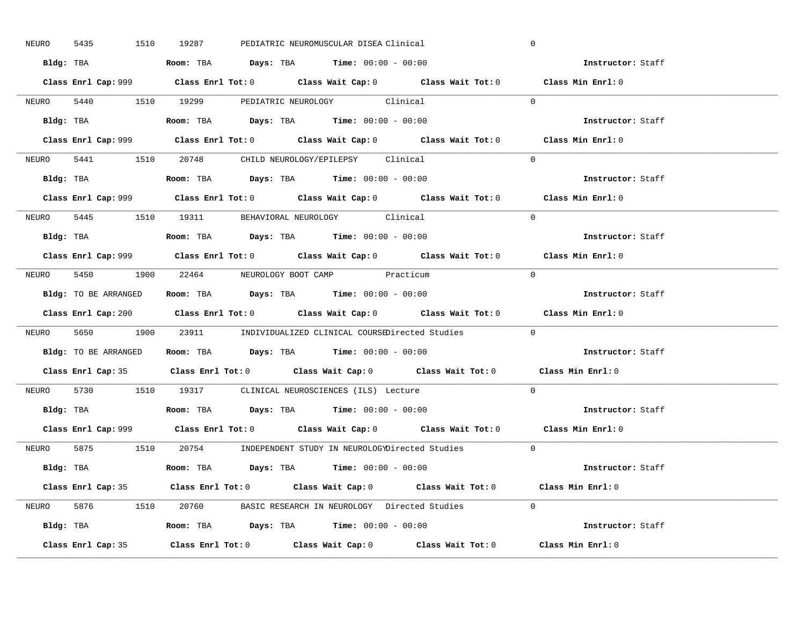| 5435<br>NEURO | 1510 19287<br>PEDIATRIC NEUROMUSCULAR DISEA Clinical                                        | $\mathbf 0$       |
|---------------|---------------------------------------------------------------------------------------------|-------------------|
|               | Bldg: TBA                    Room: TBA         Days: TBA        Time: 00:00 - 00:00         | Instructor: Staff |
|               | Class Enrl Cap: 999 Class Enrl Tot: 0 Class Wait Cap: 0 Class Wait Tot: 0 Class Min Enrl: 0 |                   |
|               | NEURO 5440 1510 19299 PEDIATRIC NEUROLOGY Clinical                                          | $\Omega$          |
|               |                                                                                             | Instructor: Staff |
|               |                                                                                             | Class Min Enrl: 0 |
|               | NEURO 5441 1510 20748 CHILD NEUROLOGY/EPILEPSY Clinical                                     | $\Omega$          |
|               | Bldg: TBA                   Room: TBA         Days: TBA         Time: 00:00 - 00:00         | Instructor: Staff |
|               | Class Enrl Cap: 999 Class Enrl Tot: 0 Class Wait Cap: 0 Class Wait Tot: 0 Class Min Enrl: 0 |                   |
|               | NEURO 5445 1510 19311 BEHAVIORAL NEUROLOGY Clinical                                         | $\Omega$          |
|               | Bldg: TBA                   Room: TBA         Days: TBA         Time: 00:00 - 00:00         | Instructor: Staff |
|               | Class Enrl Cap: 999 Class Enrl Tot: 0 Class Wait Cap: 0 Class Wait Tot: 0 Class Min Enrl: 0 |                   |
|               | NEURO 5450 1900 22464 NEUROLOGY BOOT CAMP Practicum                                         | $\bigcap$         |
|               | Bldg: TO BE ARRANGED ROOM: TBA Days: TBA Time: 00:00 - 00:00                                | Instructor: Staff |
|               | Class Enrl Cap: 200 Class Enrl Tot: 0 Class Wait Cap: 0 Class Wait Tot: 0 Class Min Enrl: 0 |                   |
|               | NEURO 5650 1900 23911 INDIVIDUALIZED CLINICAL COURSEDirected Studies 0                      |                   |
|               |                                                                                             |                   |
|               | Bldg: TO BE ARRANGED Room: TBA Days: TBA Time: 00:00 - 00:00                                | Instructor: Staff |
|               | Class Enrl Cap: 35 Class Enrl Tot: 0 Class Wait Cap: 0 Class Wait Tot: 0 Class Min Enrl: 0  |                   |
| NEURO         | 5730 1510 19317 CLINICAL NEUROSCIENCES (ILS) Lecture                                        | $\Omega$          |
|               | Bldg: TBA                   Room: TBA         Days: TBA         Time: $00:00 - 00:00$       | Instructor: Staff |
|               | Class Enrl Cap: 999 Class Enrl Tot: 0 Class Wait Cap: 0 Class Wait Tot: 0 Class Min Enrl: 0 |                   |
|               | NEURO 5875 1510 20754 INDEPENDENT STUDY IN NEUROLOGYDirected Studies 0                      |                   |
|               | Bldg: TBA                     Room: TBA         Days: TBA         Time: 00:00 - 00:00       | Instructor: Staff |
|               | Class Enrl Cap: 35 Class Enrl Tot: 0 Class Wait Cap: 0 Class Wait Tot: 0 Class Min Enrl: 0  |                   |
|               | NEURO 5876 1510 20760 BASIC RESEARCH IN NEUROLOGY Directed Studies 0                        |                   |
|               | Bldg: TBA                  Room: TBA         Days: TBA         Time: $00:00 - 00:00$        | Instructor: Staff |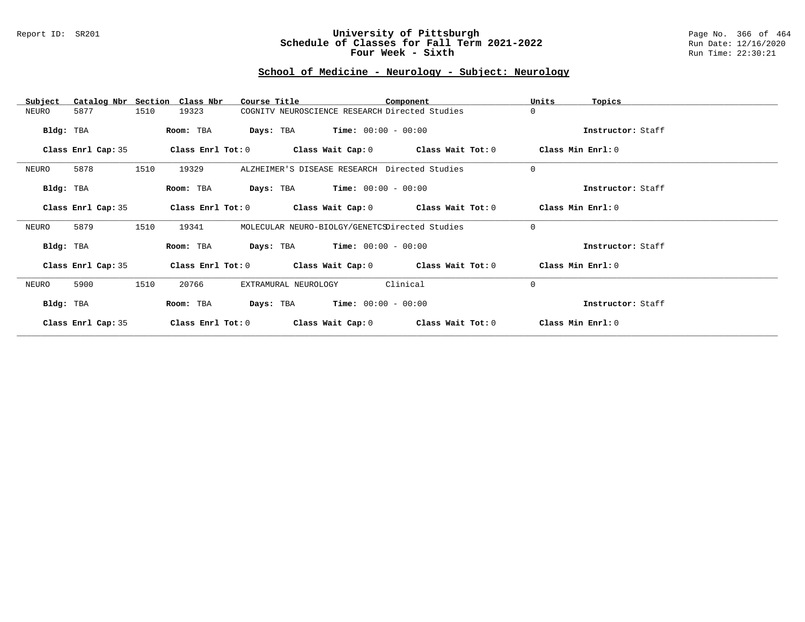### Report ID: SR201 **University of Pittsburgh** Page No. 366 of 464 **Schedule of Classes for Fall Term 2021-2022** Run Date: 12/16/2020 **Four Week - Sixth** Run Time: 22:30:21

# **School of Medicine - Neurology - Subject: Neurology**

| Subject            | Catalog Nbr Section Class Nbr | Course Title                                                | Component         | Units<br>Topics   |
|--------------------|-------------------------------|-------------------------------------------------------------|-------------------|-------------------|
| NEURO<br>5877      | 1510<br>19323                 | COGNITV NEUROSCIENCE RESEARCH Directed Studies              |                   | 0                 |
| Bldg: TBA          | Room: TBA                     | <b>Days:</b> TBA <b>Time:</b> $00:00 - 00:00$               |                   | Instructor: Staff |
| Class Enrl Cap: 35 | Class Enrl Tot: 0             | Class Wait Cap: 0 Class Wait Tot: 0                         |                   | Class Min Enrl: 0 |
| 5878<br>NEURO      | 1510<br>19329                 | ALZHEIMER'S DISEASE RESEARCH Directed Studies               |                   | 0                 |
| Bldg: TBA          | Room: TBA                     | <b>Days:</b> TBA <b>Time:</b> $00:00 - 00:00$               |                   | Instructor: Staff |
| Class Enrl Cap: 35 | Class Enrl Tot: 0             | Class Wait Cap: 0 Class Wait Tot: 0                         |                   | Class Min Enrl: 0 |
| 5879<br>NEURO      | 1510<br>19341                 | MOLECULAR NEURO-BIOLGY/GENETCSDirected Studies              |                   | $\mathbf 0$       |
| Bldg: TBA          | Room: TBA                     | <b>Days:</b> TBA <b>Time:</b> $00:00 - 00:00$               |                   | Instructor: Staff |
| Class Enrl Cap: 35 |                               | Class Enrl Tot: $0$ Class Wait Cap: $0$ Class Wait Tot: $0$ |                   | Class Min Enrl: 0 |
| 5900<br>NEURO      | 1510<br>20766                 | EXTRAMURAL NEUROLOGY                                        | Clinical          | $\mathbf 0$       |
| Bldg: TBA          | Room: TBA                     | <b>Days:</b> TBA <b>Time:</b> $00:00 - 00:00$               |                   | Instructor: Staff |
| Class Enrl Cap: 35 | Class Enrl Tot: 0             | Class Wait Cap: 0                                           | Class Wait Tot: 0 | Class Min Enrl: 0 |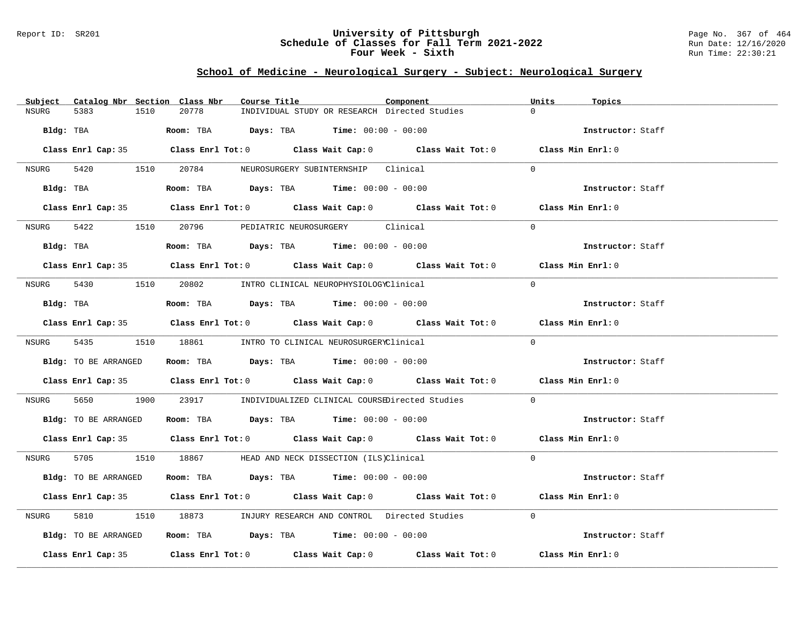#### Report ID: SR201 **University of Pittsburgh** Page No. 367 of 464 **Schedule of Classes for Fall Term 2021-2022** Run Date: 12/16/2020 **Four Week - Sixth** Run Time: 22:30:21

# **School of Medicine - Neurological Surgery - Subject: Neurological Surgery**

| Subject Catalog Nbr Section Class Nbr | Course Title                                                                               | Component | Units<br>Topics   |
|---------------------------------------|--------------------------------------------------------------------------------------------|-----------|-------------------|
| <b>NSURG</b><br>5383<br>1510          | INDIVIDUAL STUDY OR RESEARCH Directed Studies<br>20778                                     |           | $\cap$            |
|                                       | Bldg: TBA                    Room: TBA         Days: TBA         Time: 00:00 - 00:00       |           | Instructor: Staff |
|                                       | Class Enrl Cap: 35 Class Enrl Tot: 0 Class Wait Cap: 0 Class Wait Tot: 0 Class Min Enrl: 0 |           |                   |
|                                       | NSURG 5420 1510 20784 NEUROSURGERY SUBINTERNSHIP Clinical                                  |           | $\cap$            |
|                                       | Bldg: TBA                    Room: TBA         Days: TBA         Time: 00:00 - 00:00       |           | Instructor: Staff |
|                                       | Class Enrl Cap: 35 Class Enrl Tot: 0 Class Wait Cap: 0 Class Wait Tot: 0 Class Min Enrl: 0 |           |                   |
|                                       | NSURG 5422 1510 20796 PEDIATRIC NEUROSURGERY Clinical                                      |           | $\Omega$          |
|                                       | Bldg: TBA                      Room: TBA         Days: TBA         Time: 00:00 - 00:00     |           | Instructor: Staff |
|                                       | Class Enrl Cap: 35 Class Enrl Tot: 0 Class Wait Cap: 0 Class Wait Tot: 0 Class Min Enrl: 0 |           |                   |
|                                       | NSURG 5430 1510 20802 INTRO CLINICAL NEUROPHYSIOLOGYClinical                               |           | $\Omega$          |
|                                       | $Bldg:$ TBA $Room:$ TBA $Days:$ TBA $Time:$ 00:00 - 00:00                                  |           | Instructor: Staff |
|                                       | Class Enrl Cap: 35 Class Enrl Tot: 0 Class Wait Cap: 0 Class Wait Tot: 0 Class Min Enrl: 0 |           |                   |
|                                       | NSURG 5435 1510 18861 INTRO TO CLINICAL NEUROSURGERYClinical                               |           | $\Omega$          |
| Bldg: TO BE ARRANGED                  | <b>Room:</b> TBA <b>Days:</b> TBA <b>Time:</b> 00:00 - 00:00                               |           | Instructor: Staff |
|                                       | Class Enrl Cap: 35 Class Enrl Tot: 0 Class Wait Cap: 0 Class Wait Tot: 0 Class Min Enrl: 0 |           |                   |
| NSURG                                 | 5650 1900 23917 INDIVIDUALIZED CLINICAL COURSEDirected Studies                             |           | $\Omega$          |
|                                       | Bldg: TO BE ARRANGED Room: TBA Days: TBA Time: 00:00 - 00:00                               |           | Instructor: Staff |
|                                       | Class Enrl Cap: 35 Class Enrl Tot: 0 Class Wait Cap: 0 Class Wait Tot: 0 Class Min Enrl: 0 |           |                   |
|                                       | NSURG 5705 1510 18867 HEAD AND NECK DISSECTION (ILS)Clinical                               |           | $\Omega$          |
| Bldg: TO BE ARRANGED                  | Room: TBA $Days: TBA$ Time: $00:00 - 00:00$                                                |           | Instructor: Staff |
|                                       | Class Enrl Cap: 35 Class Enrl Tot: 0 Class Wait Cap: 0 Class Wait Tot: 0 Class Min Enrl: 0 |           |                   |
| NSURG                                 | 5810 18973 INJURY RESEARCH AND CONTROL Directed Studies                                    |           | $\Omega$          |
| Bldg: TO BE ARRANGED                  | Room: TBA $Days:$ TBA $Time: 00:00 - 00:00$                                                |           | Instructor: Staff |
|                                       | Class Enrl Cap: 35 Class Enrl Tot: 0 Class Wait Cap: 0 Class Wait Tot: 0 Class Min Enrl: 0 |           |                   |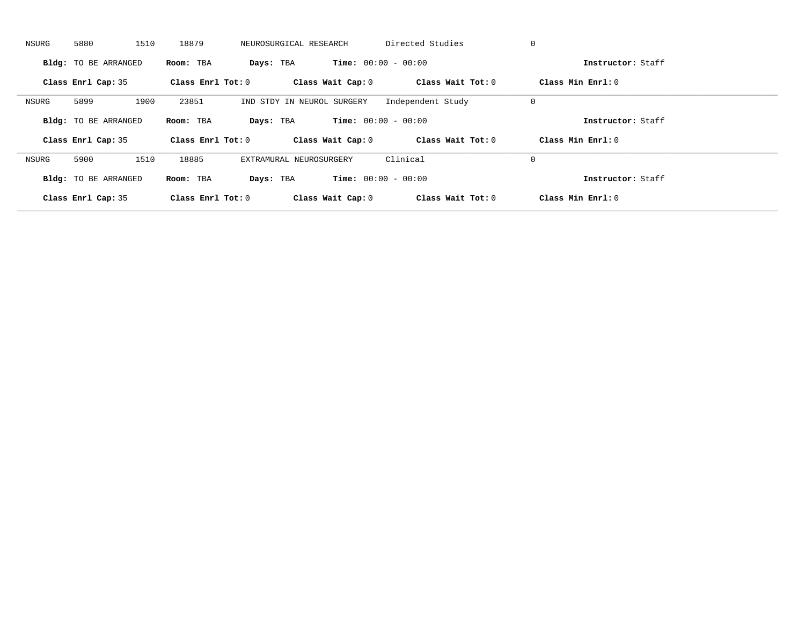| NSURG | 5880                        | 1510<br>18879       | NEUROSURGICAL RESEARCH     | Directed Studies             | 0                 |                     |
|-------|-----------------------------|---------------------|----------------------------|------------------------------|-------------------|---------------------|
|       | <b>Bldg:</b> TO BE ARRANGED | Room: TBA           | Days: TBA                  | <b>Time:</b> $00:00 - 00:00$ |                   | Instructor: Staff   |
|       | Class Enrl Cap: 35          | Class Enrl Tot: $0$ |                            | Class Wait Cap: 0            | Class Wait Tot: 0 | Class Min Enrl: 0   |
| NSURG | 5899                        | 1900<br>23851       | IND STDY IN NEUROL SURGERY | Independent Study            | 0                 |                     |
|       | <b>Bldg:</b> TO BE ARRANGED | Room: TBA           | Days: TBA                  | <b>Time:</b> $00:00 - 00:00$ |                   | Instructor: Staff   |
|       | Class Enrl Cap: 35          | Class Enrl Tot: 0   |                            | Class Wait Cap: 0            | Class Wait Tot: 0 | Class Min $Enrl: 0$ |
| NSURG | 5900                        | 1510<br>18885       | EXTRAMURAL NEUROSURGERY    | Clinical                     | 0                 |                     |
|       | <b>Bldg:</b> TO BE ARRANGED | Room: TBA           | Days: TBA                  | <b>Time:</b> $00:00 - 00:00$ |                   | Instructor: Staff   |
|       | Class Enrl Cap: 35          | Class Enrl Tot: $0$ | Class Wait Cap: 0          |                              | Class Wait Tot: 0 | Class Min Enrl: 0   |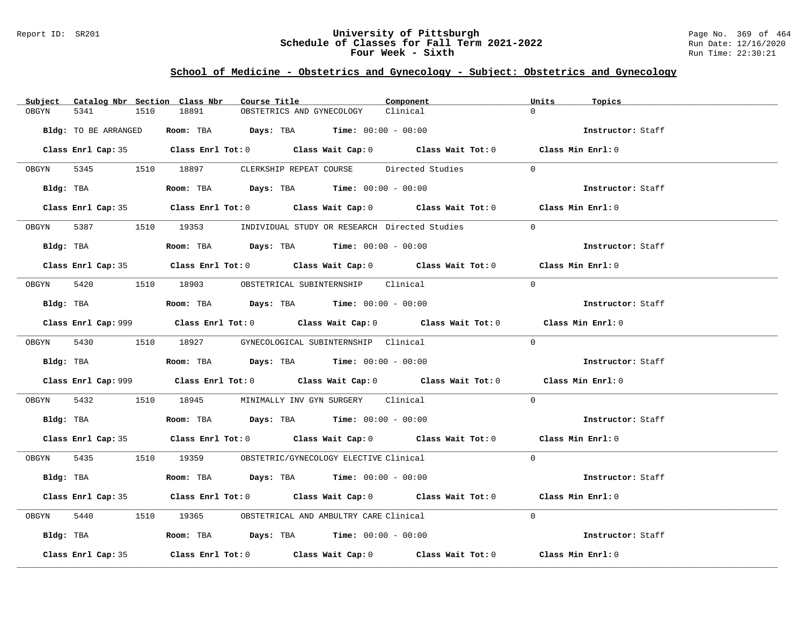### Report ID: SR201 **University of Pittsburgh** Page No. 369 of 464 **Schedule of Classes for Fall Term 2021-2022** Run Date: 12/16/2020 **Four Week - Sixth** Run Time: 22:30:21

# **School of Medicine - Obstetrics and Gynecology - Subject: Obstetrics and Gynecology**

| Subject    |                      |      | Catalog Nbr Section Class Nbr | Course Title |                                                                                       | Component                                                                                   | Units    | Topics            |  |
|------------|----------------------|------|-------------------------------|--------------|---------------------------------------------------------------------------------------|---------------------------------------------------------------------------------------------|----------|-------------------|--|
| OBGYN      | 5341                 | 1510 | 18891                         |              | OBSTETRICS AND GYNECOLOGY                                                             | Clinical                                                                                    | $\Omega$ |                   |  |
|            | Bldg: TO BE ARRANGED |      |                               |              | Room: TBA $Days:$ TBA $Time: 00:00 - 00:00$                                           |                                                                                             |          | Instructor: Staff |  |
|            |                      |      |                               |              |                                                                                       | Class Enrl Cap: 35 Class Enrl Tot: 0 Class Wait Cap: 0 Class Wait Tot: 0 Class Min Enrl: 0  |          |                   |  |
|            |                      |      |                               |              |                                                                                       | OBGYN 5345 1510 18897 CLERKSHIP REPEAT COURSE Directed Studies                              | $\Omega$ |                   |  |
|            | Bldg: TBA            |      |                               |              | Room: TBA $\rule{1em}{0.15mm}$ Days: TBA Time: $00:00 - 00:00$                        |                                                                                             |          | Instructor: Staff |  |
|            |                      |      |                               |              |                                                                                       | Class Enrl Cap: 35 Class Enrl Tot: 0 Class Wait Cap: 0 Class Wait Tot: 0 Class Min Enrl: 0  |          |                   |  |
|            |                      |      |                               |              |                                                                                       | OBGYN 5387 1510 19353 INDIVIDUAL STUDY OR RESEARCH Directed Studies                         | $\Omega$ |                   |  |
|            | Bldg: TBA            |      |                               |              | Room: TBA $Days:$ TBA $Time: 00:00 - 00:00$                                           |                                                                                             |          | Instructor: Staff |  |
|            |                      |      |                               |              |                                                                                       | Class Enrl Cap: 35 Class Enrl Tot: 0 Class Wait Cap: 0 Class Wait Tot: 0 Class Min Enrl: 0  |          |                   |  |
|            |                      |      |                               |              | OBGYN 5420 1510 18903 OBSTETRICAL SUBINTERNSHIP Clinical                              |                                                                                             | $\Omega$ |                   |  |
|            |                      |      |                               |              | $Bldg:$ TBA $\qquad \qquad$ Room: TBA Days: TBA  Time: $00:00 - 00:00$                |                                                                                             |          | Instructor: Staff |  |
|            |                      |      |                               |              |                                                                                       | Class Enrl Cap: 999 Class Enrl Tot: 0 Class Wait Cap: 0 Class Wait Tot: 0 Class Min Enrl: 0 |          |                   |  |
|            |                      |      |                               |              | OBGYN 5430 1510 18927 GYNECOLOGICAL SUBINTERNSHIP Clinical                            |                                                                                             | $\Omega$ |                   |  |
|            |                      |      |                               |              | Bldg: TBA                   Room: TBA         Days: TBA         Time: $00:00 - 00:00$ |                                                                                             |          | Instructor: Staff |  |
|            |                      |      |                               |              |                                                                                       | Class Enrl Cap: 999 Class Enrl Tot: 0 Class Wait Cap: 0 Class Wait Tot: 0 Class Min Enrl: 0 |          |                   |  |
| OBGYN 5432 |                      |      |                               |              | 1510 18945 MINIMALLY INV GYN SURGERY Clinical                                         |                                                                                             | $\Omega$ |                   |  |
|            |                      |      |                               |              | $Bldg:$ TBA $\qquad \qquad$ Room: TBA Days: TBA  Time: $00:00 - 00:00$                |                                                                                             |          | Instructor: Staff |  |
|            |                      |      |                               |              |                                                                                       | Class Enrl Cap: 35 Class Enrl Tot: 0 Class Wait Cap: 0 Class Wait Tot: 0 Class Min Enrl: 0  |          |                   |  |
|            |                      |      |                               |              | OBGYN 5435 1510 19359 OBSTETRIC/GYNECOLOGY ELECTIVE Clinical                          |                                                                                             | $\Omega$ |                   |  |
|            |                      |      |                               |              | $Bldq$ : TBA $R$ $Room$ : TBA $Days$ : TBA $Time$ : $00:00 - 00:00$                   |                                                                                             |          | Instructor: Staff |  |
|            |                      |      |                               |              |                                                                                       | Class Enrl Cap: 35 Class Enrl Tot: 0 Class Wait Cap: 0 Class Wait Tot: 0 Class Min Enrl: 0  |          |                   |  |
| OBGYN      | 5440                 |      |                               |              | 1510 19365 OBSTETRICAL AND AMBULTRY CARE Clinical                                     |                                                                                             | $\Omega$ |                   |  |
|            |                      |      |                               |              | Bldg: TBA                   Room: TBA         Days: TBA         Time: $00:00 - 00:00$ |                                                                                             |          | Instructor: Staff |  |
|            | Class Enrl Cap: 35   |      |                               |              |                                                                                       | Class Enrl Tot: $0$ Class Wait Cap: $0$ Class Wait Tot: $0$                                 |          | Class Min Enrl: 0 |  |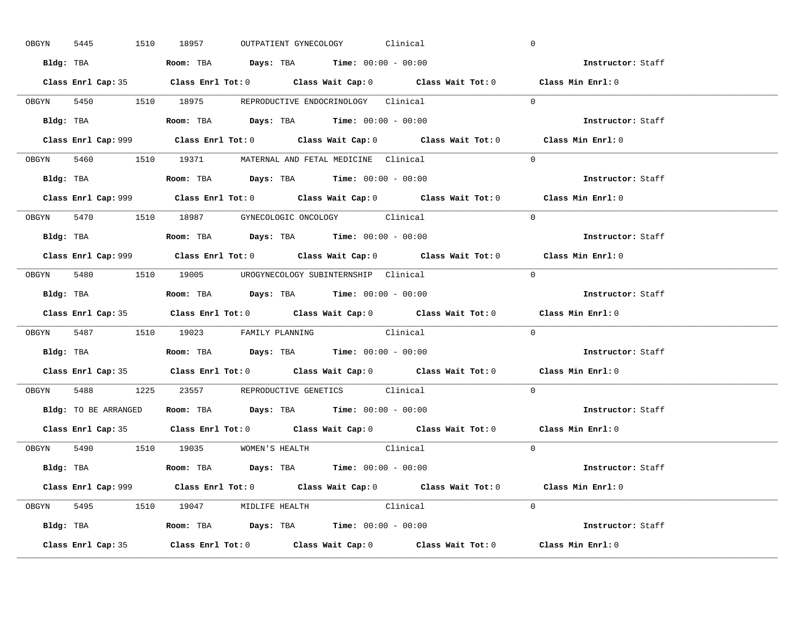|       | 5445<br>OBGYN | 1510 18957                                                                            |  | OUTPATIENT GYNECOLOGY Clinical |                                                                                            | $\mathbf 0$                                                                                 |  |
|-------|---------------|---------------------------------------------------------------------------------------|--|--------------------------------|--------------------------------------------------------------------------------------------|---------------------------------------------------------------------------------------------|--|
|       |               | Bldg: TBA                   Room: TBA         Days: TBA         Time: 00:00 - 00:00   |  |                                |                                                                                            | Instructor: Staff                                                                           |  |
|       |               |                                                                                       |  |                                |                                                                                            | Class Enrl Cap: 35 Class Enrl Tot: 0 Class Wait Cap: 0 Class Wait Tot: 0 Class Min Enrl: 0  |  |
|       |               | OBGYN 5450 1510 18975 REPRODUCTIVE ENDOCRINOLOGY Clinical                             |  |                                |                                                                                            | $\Omega$                                                                                    |  |
|       |               |                                                                                       |  |                                |                                                                                            | Instructor: Staff                                                                           |  |
|       |               |                                                                                       |  |                                | Class Enrl Cap: 999 Class Enrl Tot: 0 Class Wait Cap: 0 Class Wait Tot: 0                  | Class Min Enrl: 0                                                                           |  |
|       |               | OBGYN 5460 1510 19371 MATERNAL AND FETAL MEDICINE Clinical                            |  |                                |                                                                                            | $\Omega$                                                                                    |  |
|       |               | Bldg: TBA                   Room: TBA         Days: TBA         Time: 00:00 - 00:00   |  |                                |                                                                                            | Instructor: Staff                                                                           |  |
|       |               |                                                                                       |  |                                |                                                                                            | Class Enrl Cap: 999 Class Enrl Tot: 0 Class Wait Cap: 0 Class Wait Tot: 0 Class Min Enrl: 0 |  |
|       |               | OBGYN 5470 1510 18987 GYNECOLOGIC ONCOLOGY Clinical                                   |  |                                |                                                                                            | $\Omega$                                                                                    |  |
|       |               | Bldg: TBA                   Room: TBA         Days: TBA         Time: $00:00 - 00:00$ |  |                                |                                                                                            | Instructor: Staff                                                                           |  |
|       |               |                                                                                       |  |                                |                                                                                            | Class Enrl Cap: 999 Class Enrl Tot: 0 Class Wait Cap: 0 Class Wait Tot: 0 Class Min Enrl: 0 |  |
|       |               | OBGYN 5480 1510 19005 UROGYNECOLOGY_SUBINTERNSHIP Clinical                            |  |                                |                                                                                            | $\Omega$                                                                                    |  |
|       |               | Bldg: TBA                   Room: TBA        Days: TBA        Time: 00:00 - 00:00     |  |                                |                                                                                            | Instructor: Staff                                                                           |  |
|       |               |                                                                                       |  |                                |                                                                                            |                                                                                             |  |
|       |               |                                                                                       |  |                                | Class Enrl Cap: 35 Class Enrl Tot: 0 Class Wait Cap: 0 Class Wait Tot: 0 Class Min Enrl: 0 |                                                                                             |  |
|       |               | OBGYN 5487 1510 19023 FAMILY PLANNING Clinical                                        |  |                                |                                                                                            | $\Omega$                                                                                    |  |
|       |               | <b>Bldg:</b> TBA <b>ROOM:</b> TBA <b>Days:</b> TBA <b>Time:</b> $00:00 - 00:00$       |  |                                |                                                                                            | Instructor: Staff                                                                           |  |
|       |               |                                                                                       |  |                                |                                                                                            | Class Enrl Cap: 35 Class Enrl Tot: 0 Class Wait Cap: 0 Class Wait Tot: 0 Class Min Enrl: 0  |  |
| OBGYN |               | 5488 1225 23557 REPRODUCTIVE GENETICS Clinical                                        |  |                                |                                                                                            | $\Omega$                                                                                    |  |
|       |               | Bldg: TO BE ARRANGED ROOM: TBA Days: TBA Time: 00:00 - 00:00                          |  |                                |                                                                                            | Instructor: Staff                                                                           |  |
|       |               |                                                                                       |  |                                |                                                                                            | Class Enrl Cap: 35 Class Enrl Tot: 0 Class Wait Cap: 0 Class Wait Tot: 0 Class Min Enrl: 0  |  |
|       |               | OBGYN 5490 1510 19035 WOMEN'S HEALTH                                                  |  |                                | Clinical                                                                                   | $\overline{0}$                                                                              |  |
|       |               | <b>Bldg:</b> TBA <b>ROOM:</b> TBA <b>Days:</b> TBA <b>Time:</b> $00:00 - 00:00$       |  |                                |                                                                                            | Instructor: Staff                                                                           |  |
|       |               |                                                                                       |  |                                |                                                                                            | Class Enrl Cap: 999 Class Enrl Tot: 0 Class Wait Cap: 0 Class Wait Tot: 0 Class Min Enrl: 0 |  |
|       |               | OBGYN 5495 1510 19047 MIDLIFE HEALTH Clinical                                         |  |                                |                                                                                            | $\Omega$                                                                                    |  |
|       |               | <b>Bldg:</b> TBA <b>ROOM:</b> TBA <b>Days:</b> TBA <b>Time:</b> $00:00 - 00:00$       |  |                                |                                                                                            | Instructor: Staff                                                                           |  |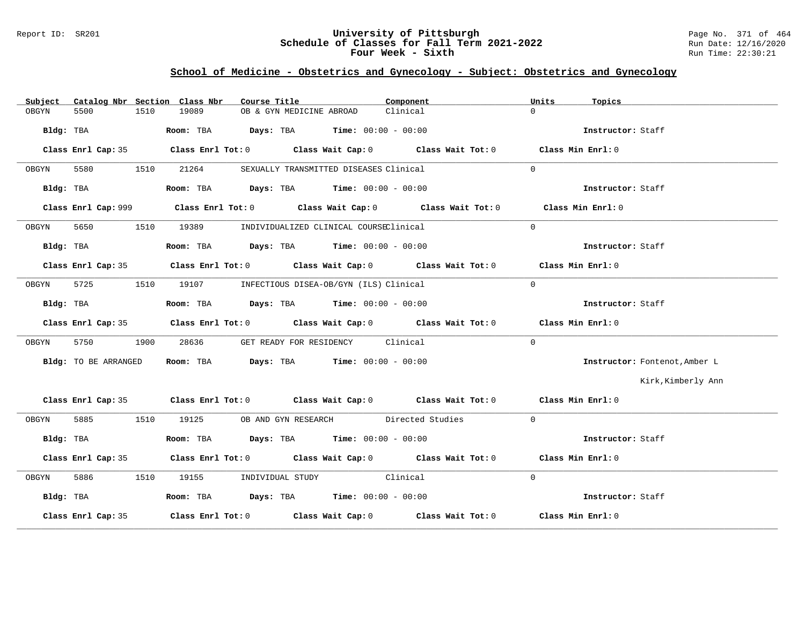### Report ID: SR201 **University of Pittsburgh** Page No. 371 of 464 **Schedule of Classes for Fall Term 2021-2022** Run Date: 12/16/2020 **Four Week - Sixth** Run Time: 22:30:21

# **School of Medicine - Obstetrics and Gynecology - Subject: Obstetrics and Gynecology**

| Subject |                      |      | Catalog Nbr Section Class Nbr | Course Title             |                                                                                             | Component                                                                                   | Units    | Topics                        |
|---------|----------------------|------|-------------------------------|--------------------------|---------------------------------------------------------------------------------------------|---------------------------------------------------------------------------------------------|----------|-------------------------------|
| OBGYN   | 5500                 | 1510 | 19089                         | OB & GYN MEDICINE ABROAD |                                                                                             | Clinical                                                                                    | $\cap$   |                               |
|         |                      |      |                               |                          | Bldg: TBA                        Room: TBA          Days: TBA         Time: $00:00 - 00:00$ |                                                                                             |          | Instructor: Staff             |
|         | Class Enrl Cap: 35   |      |                               |                          |                                                                                             | Class Enrl Tot: $0$ Class Wait Cap: $0$ Class Wait Tot: $0$ Class Min Enrl: $0$             |          |                               |
| OBGYN   | 5580                 | 1510 | 21264                         |                          | SEXUALLY TRANSMITTED DISEASES Clinical                                                      |                                                                                             | $\Omega$ |                               |
|         |                      |      |                               |                          | Bldg: TBA                        Room: TBA          Days: TBA         Time: $00:00 - 00:00$ |                                                                                             |          | Instructor: Staff             |
|         |                      |      |                               |                          |                                                                                             | Class Enrl Cap: 999 Class Enrl Tot: 0 Class Wait Cap: 0 Class Wait Tot: 0 Class Min Enrl: 0 |          |                               |
| OBGYN   | 5650                 | 1510 | 19389                         |                          | INDIVIDUALIZED CLINICAL COURSEClinical                                                      |                                                                                             | $\Omega$ |                               |
|         | Bldg: TBA            |      |                               |                          | Room: TBA $\rule{1em}{0.15mm}$ Days: TBA $\rule{1.15mm}]{0.15mm}$ Time: $0.000 - 0.0000$    |                                                                                             |          | Instructor: Staff             |
|         |                      |      |                               |                          |                                                                                             | Class Enrl Cap: 35 Class Enrl Tot: 0 Class Wait Cap: 0 Class Wait Tot: 0 Class Min Enrl: 0  |          |                               |
| OBGYN   | 5725                 |      |                               |                          | 1510 19107 INFECTIOUS DISEA-OB/GYN (ILS) Clinical                                           |                                                                                             | $\Omega$ |                               |
|         | Bldg: TBA            |      |                               |                          | Room: TBA $Days:$ TBA $Time: 00:00 - 00:00$                                                 |                                                                                             |          | Instructor: Staff             |
|         |                      |      |                               |                          |                                                                                             | Class Enrl Cap: 35 Class Enrl Tot: 0 Class Wait Cap: 0 Class Wait Tot: 0 Class Min Enrl: 0  |          |                               |
| OBGYN   | 5750                 | 1900 | 28636                         |                          | GET READY FOR RESIDENCY Clinical                                                            |                                                                                             | $\Omega$ |                               |
|         |                      |      |                               |                          |                                                                                             |                                                                                             |          |                               |
|         | Bldg: TO BE ARRANGED |      |                               |                          | Room: TBA $Days:$ TBA $Time: 00:00 - 00:00$                                                 |                                                                                             |          | Instructor: Fontenot, Amber L |
|         |                      |      |                               |                          |                                                                                             |                                                                                             |          | Kirk, Kimberly Ann            |
|         |                      |      |                               |                          |                                                                                             | Class Enrl Cap: 35 Class Enrl Tot: 0 Class Wait Cap: 0 Class Wait Tot: 0 Class Min Enrl: 0  |          |                               |
| OBGYN   |                      |      |                               |                          |                                                                                             | 5885 1510 19125 OB AND GYN RESEARCH Directed Studies                                        | $\Omega$ |                               |
|         | Bldg: TBA            |      |                               |                          | Room: TBA $Days:$ TBA $Time: 00:00 - 00:00$                                                 |                                                                                             |          | Instructor: Staff             |
|         |                      |      |                               |                          |                                                                                             | Class Enrl Cap: 35 Class Enrl Tot: 0 Class Wait Cap: 0 Class Wait Tot: 0 Class Min Enrl: 0  |          |                               |
| OBGYN   | 5886                 |      |                               |                          | 1510 19155 INDIVIDUAL STUDY Clinical                                                        |                                                                                             | $\Omega$ |                               |
|         | Bldg: TBA            |      |                               |                          | Room: TBA $Days:$ TBA Time: $00:00 - 00:00$                                                 |                                                                                             |          | Instructor: Staff             |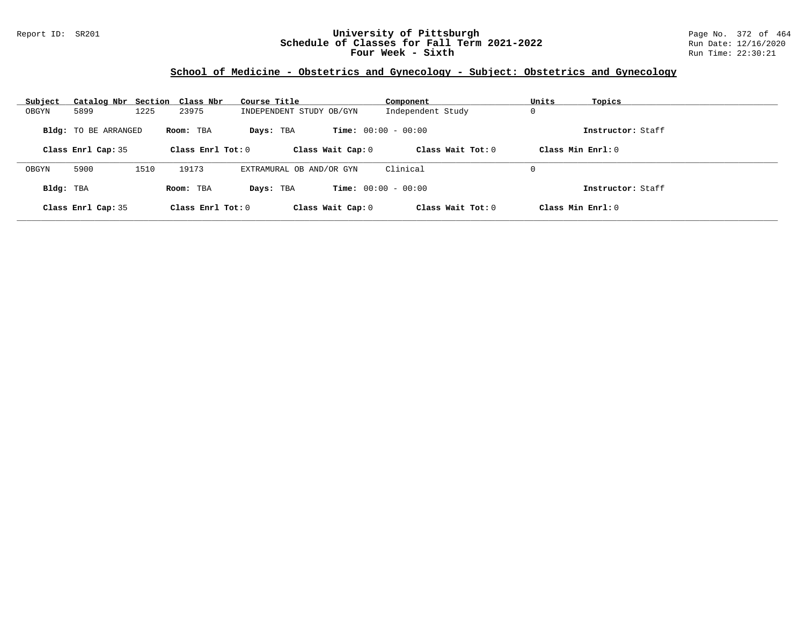### Report ID: SR201 **University of Pittsburgh** Page No. 372 of 464 **Schedule of Classes for Fall Term 2021-2022** Run Date: 12/16/2020 **Four Week - Sixth** Run Time: 22:30:21

# **School of Medicine - Obstetrics and Gynecology - Subject: Obstetrics and Gynecology**

| Subject   | Catalog Nbr Section Class Nbr |      |                     | Course Title             | Component                    | Units<br>Topics     |  |
|-----------|-------------------------------|------|---------------------|--------------------------|------------------------------|---------------------|--|
| OBGYN     | 5899                          | 1225 | 23975               | INDEPENDENT STUDY OB/GYN | Independent Study            | 0                   |  |
|           | <b>Bldg:</b> TO BE ARRANGED   |      | Room: TBA           | Days: TBA                | <b>Time:</b> $00:00 - 00:00$ | Instructor: Staff   |  |
|           | Class Enrl Cap: 35            |      | Class Enrl Tot: $0$ | Class Wait Cap: 0        | Class Wait $Tot: 0$          | Class Min $Enrl: 0$ |  |
| OBGYN     | 5900                          | 1510 | 19173               | EXTRAMURAL OB AND/OR GYN | Clinical                     | 0                   |  |
| Bldg: TBA |                               |      | Room: TBA           | Days: TBA                | <b>Time:</b> $00:00 - 00:00$ | Instructor: Staff   |  |
|           | Class Enrl Cap: 35            |      | Class Enrl Tot: $0$ | Class Wait Cap: 0        | Class Wait Tot: $0$          | Class Min $Enrl: 0$ |  |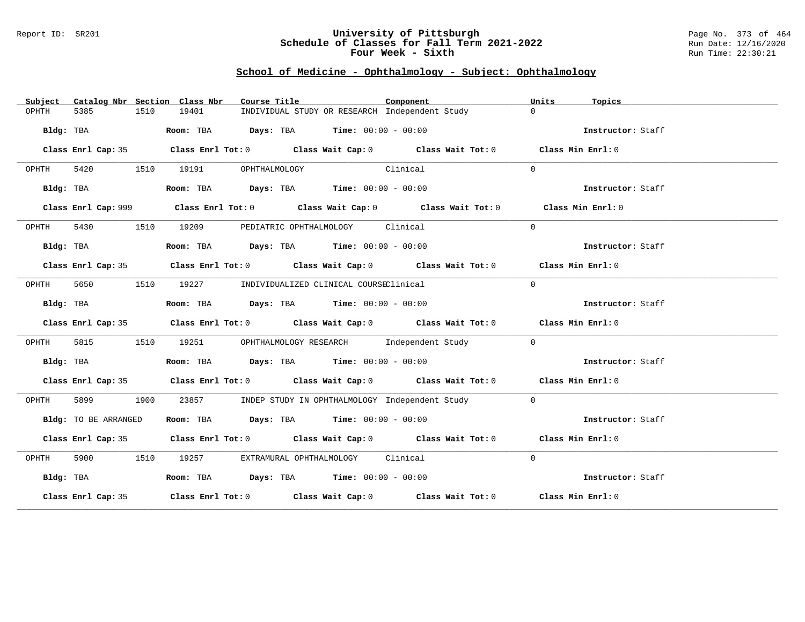#### Report ID: SR201 **University of Pittsburgh** Page No. 373 of 464 **Schedule of Classes for Fall Term 2021-2022** Run Date: 12/16/2020 **Four Week - Sixth** Run Time: 22:30:21

# **School of Medicine - Ophthalmology - Subject: Ophthalmology**

| Subject   |                      |      | Catalog Nbr Section Class Nbr | Course Title                                                                           |          | Component                                                                                   | Units          | Topics            |
|-----------|----------------------|------|-------------------------------|----------------------------------------------------------------------------------------|----------|---------------------------------------------------------------------------------------------|----------------|-------------------|
| OPHTH     | 5385                 | 1510 | 19401                         | INDIVIDUAL STUDY OR RESEARCH Independent Study                                         |          |                                                                                             | $\Omega$       |                   |
|           | Bldg: TBA            |      |                               | Room: TBA $Days:$ TBA $Time: 00:00 - 00:00$                                            |          |                                                                                             |                | Instructor: Staff |
|           |                      |      |                               |                                                                                        |          | Class Enrl Cap: 35 Class Enrl Tot: 0 Class Wait Cap: 0 Class Wait Tot: 0 Class Min Enrl: 0  |                |                   |
| OPHTH     |                      |      | 5420 1510 19191               | OPHTHALMOLOGY                                                                          | Clinical |                                                                                             | $\Omega$       |                   |
|           | Bldg: TBA            |      |                               | Room: TBA $Days:$ TBA $Time: 00:00 - 00:00$                                            |          |                                                                                             |                | Instructor: Staff |
|           |                      |      |                               |                                                                                        |          | Class Enrl Cap: 999 Class Enrl Tot: 0 Class Wait Cap: 0 Class Wait Tot: 0 Class Min Enrl: 0 |                |                   |
| OPHTH     | 5430                 |      | 1510 19209                    | PEDIATRIC OPHTHALMOLOGY Clinical                                                       |          |                                                                                             | $\Omega$       |                   |
|           | Bldg: TBA            |      |                               | Room: TBA $Days:$ TBA $Time: 00:00 - 00:00$                                            |          |                                                                                             |                | Instructor: Staff |
|           |                      |      |                               |                                                                                        |          | Class Enrl Cap: 35 Class Enrl Tot: 0 Class Wait Cap: 0 Class Wait Tot: 0 Class Min Enrl: 0  |                |                   |
| OPHTH     | 5650                 |      |                               | 1510 19227 INDIVIDUALIZED CLINICAL COURSEClinical                                      |          |                                                                                             | $\Omega$       |                   |
|           | Bldg: TBA            |      |                               | Room: TBA $Days:$ TBA $Time: 00:00 - 00:00$                                            |          |                                                                                             |                | Instructor: Staff |
|           |                      |      |                               |                                                                                        |          | Class Enrl Cap: 35 Class Enrl Tot: 0 Class Wait Cap: 0 Class Wait Tot: 0 Class Min Enrl: 0  |                |                   |
| OPHTH     | 5815                 | 1510 |                               |                                                                                        |          | 19251 OPHTHALMOLOGY RESEARCH Independent Study                                              | $\mathbf{0}$   |                   |
|           | Bldg: TBA            |      |                               | Room: TBA $\rule{1em}{0.15mm}$ Days: TBA $\rule{1.15mm}{0.15mm}$ Time: $00:00 - 00:00$ |          |                                                                                             |                | Instructor: Staff |
|           |                      |      |                               |                                                                                        |          | Class Enrl Cap: 35 Class Enrl Tot: 0 Class Wait Cap: 0 Class Wait Tot: 0 Class Min Enrl: 0  |                |                   |
| OPHTH     | 5899 1900            |      | 23857                         |                                                                                        |          | INDEP STUDY IN OPHTHALMOLOGY Independent Study                                              | $\overline{0}$ |                   |
|           | Bldg: TO BE ARRANGED |      |                               | Room: TBA $Days:$ TBA $Time: 00:00 - 00:00$                                            |          |                                                                                             |                | Instructor: Staff |
|           |                      |      |                               |                                                                                        |          | Class Enrl Cap: 35 Class Enrl Tot: 0 Class Wait Cap: 0 Class Wait Tot: 0 Class Min Enrl: 0  |                |                   |
| OPHTH     |                      |      |                               | 5900 1510 19257 EXTRAMURAL OPHTHALMOLOGY Clinical                                      |          |                                                                                             | $\Omega$       |                   |
| Bldg: TBA |                      |      |                               | Room: TBA $Days:$ TBA $Time: 00:00 - 00:00$                                            |          |                                                                                             |                | Instructor: Staff |
|           |                      |      |                               |                                                                                        |          | Class Enrl Cap: 35 Class Enrl Tot: 0 Class Wait Cap: 0 Class Wait Tot: 0 Class Min Enrl: 0  |                |                   |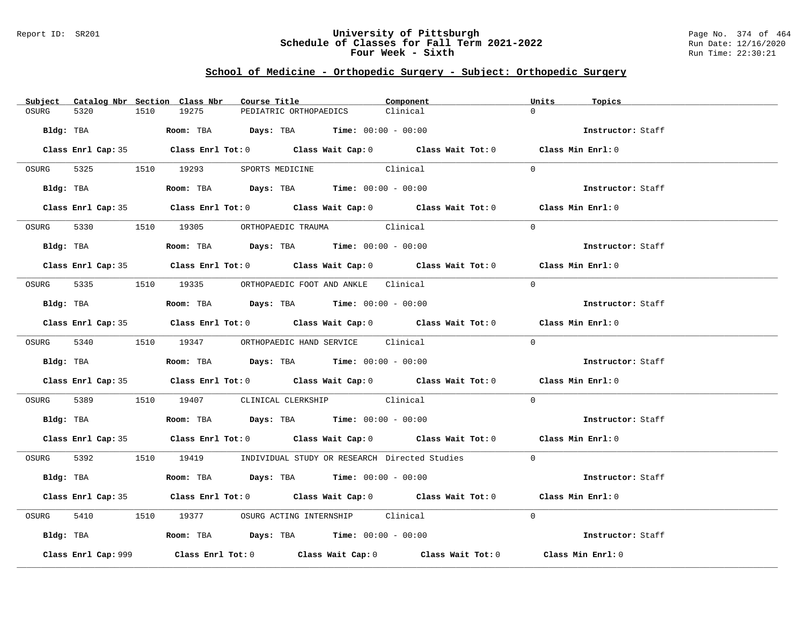### Report ID: SR201 **University of Pittsburgh** Page No. 374 of 464 **Schedule of Classes for Fall Term 2021-2022** Run Date: 12/16/2020 **Four Week - Sixth** Run Time: 22:30:21

# **School of Medicine - Orthopedic Surgery - Subject: Orthopedic Surgery**

|       |                     |      | Subject Catalog Nbr Section Class Nbr | Course Title                                                                           | Component                                                                                  | Units    | Topics            |
|-------|---------------------|------|---------------------------------------|----------------------------------------------------------------------------------------|--------------------------------------------------------------------------------------------|----------|-------------------|
| OSURG | 5320                | 1510 | 19275                                 | PEDIATRIC ORTHOPAEDICS                                                                 | Clinical                                                                                   | $\cap$   |                   |
|       |                     |      |                                       | Bldg: TBA                    Room: TBA         Days: TBA         Time: 00:00 - 00:00   |                                                                                            |          | Instructor: Staff |
|       |                     |      |                                       |                                                                                        | Class Enrl Cap: 35 Class Enrl Tot: 0 Class Wait Cap: 0 Class Wait Tot: 0 Class Min Enrl: 0 |          |                   |
|       |                     |      |                                       | OSURG 5325 1510 19293 SPORTS MEDICINE Clinical                                         |                                                                                            | $\Omega$ |                   |
|       |                     |      |                                       | Bldg: TBA                    Room: TBA         Days: TBA         Time: $00:00 - 00:00$ |                                                                                            |          | Instructor: Staff |
|       |                     |      |                                       |                                                                                        | Class Enrl Cap: 35 Class Enrl Tot: 0 Class Wait Cap: 0 Class Wait Tot: 0 Class Min Enrl: 0 |          |                   |
|       |                     |      |                                       | OSURG 5330 1510 19305 ORTHOPAEDIC TRAUMA Clinical                                      |                                                                                            | $\Omega$ |                   |
|       |                     |      |                                       | Bldg: TBA                   Room: TBA         Days: TBA         Time: 00:00 - 00:00    |                                                                                            |          | Instructor: Staff |
|       |                     |      |                                       |                                                                                        | Class Enrl Cap: 35 Class Enrl Tot: 0 Class Wait Cap: 0 Class Wait Tot: 0 Class Min Enrl: 0 |          |                   |
|       |                     |      |                                       | OSURG 5335 1510 19335 ORTHOPAEDIC FOOT AND ANKLE Clinical                              |                                                                                            | $\Omega$ |                   |
|       |                     |      |                                       | Bldg: TBA                    Room: TBA         Days: TBA         Time: $00:00 - 00:00$ |                                                                                            |          | Instructor: Staff |
|       |                     |      |                                       |                                                                                        | Class Enrl Cap: 35 Class Enrl Tot: 0 Class Wait Cap: 0 Class Wait Tot: 0 Class Min Enrl: 0 |          |                   |
|       |                     |      |                                       | OSURG 5340 1510 19347 ORTHOPAEDIC HAND SERVICE Clinical                                |                                                                                            | $\Omega$ |                   |
|       |                     |      |                                       | Bldg: TBA                    Room: TBA         Days: TBA         Time: $00:00 - 00:00$ |                                                                                            |          | Instructor: Staff |
|       |                     |      |                                       |                                                                                        | Class Enrl Cap: 35 Class Enrl Tot: 0 Class Wait Cap: 0 Class Wait Tot: 0 Class Min Enrl: 0 |          |                   |
|       |                     |      |                                       | OSURG 5389 1510 19407 CLINICAL CLERKSHIP Clinical                                      |                                                                                            | $\Omega$ |                   |
|       |                     |      |                                       | Bldg: TBA                    Room: TBA         Days: TBA         Time: $00:00 - 00:00$ |                                                                                            |          | Instructor: Staff |
|       |                     |      |                                       |                                                                                        | Class Enrl Cap: 35 Class Enrl Tot: 0 Class Wait Cap: 0 Class Wait Tot: 0 Class Min Enrl: 0 |          |                   |
|       |                     |      |                                       |                                                                                        | OSURG 5392 1510 19419 INDIVIDUAL STUDY OR RESEARCH Directed Studies 0                      |          |                   |
|       |                     |      |                                       | Bldg: TBA                     Room: TBA         Days: TBA         Time: 00:00 - 00:00  |                                                                                            |          | Instructor: Staff |
|       |                     |      |                                       |                                                                                        | Class Enrl Cap: 35 Class Enrl Tot: 0 Class Wait Cap: 0 Class Wait Tot: 0 Class Min Enrl: 0 |          |                   |
| OSURG |                     |      |                                       | 5410 1510 19377 OSURG ACTING INTERNSHIP Clinical                                       |                                                                                            | $\Omega$ |                   |
|       |                     |      |                                       | Bldg: TBA                   Room: TBA         Days: TBA         Time: 00:00 - 00:00    |                                                                                            |          | Instructor: Staff |
|       | Class Enrl Cap: 999 |      |                                       |                                                                                        | Class Enrl Tot: $0$ Class Wait Cap: $0$ Class Wait Tot: $0$                                |          | Class Min Enrl: 0 |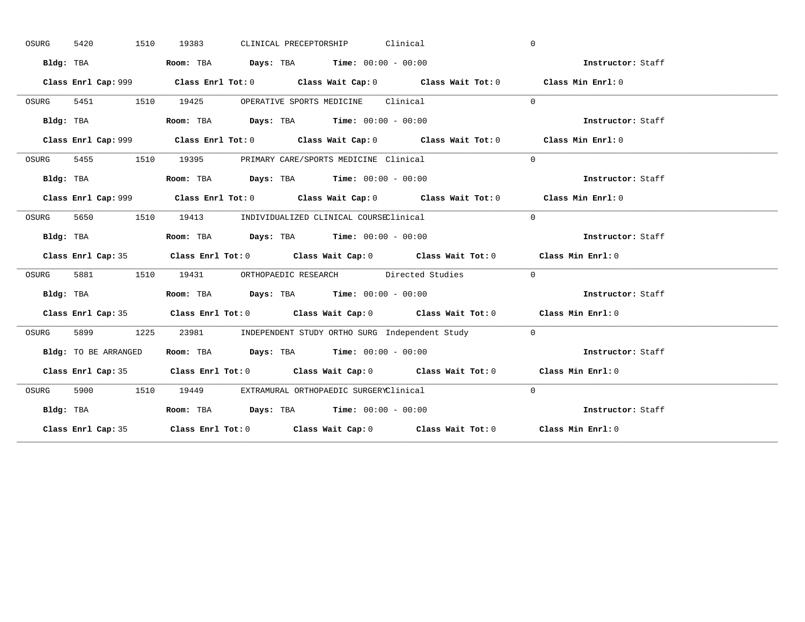| OSURG | 1510<br>5420         | CLINICAL PRECEPTORSHIP Clinical<br>19383                                                    | $\mathbf 0$       |
|-------|----------------------|---------------------------------------------------------------------------------------------|-------------------|
|       | Bldg: TBA            | Room: TBA $Days:$ TBA $Time: 00:00 - 00:00$                                                 | Instructor: Staff |
|       |                      | Class Enrl Cap: 999 Class Enrl Tot: 0 Class Wait Cap: 0 Class Wait Tot: 0 Class Min Enrl: 0 |                   |
| OSURG |                      | 5451 1510 19425 OPERATIVE SPORTS MEDICINE Clinical                                          | $\Omega$          |
|       | Bldg: TBA            | Room: TBA $Days:$ TBA Time: $00:00 - 00:00$                                                 | Instructor: Staff |
|       |                      | Class Enrl Cap: 999 Class Enrl Tot: 0 Class Wait Cap: 0 Class Wait Tot: 0 Class Min Enrl: 0 |                   |
| OSURG |                      | 5455 1510 19395 PRIMARY CARE/SPORTS MEDICINE Clinical                                       | $\Omega$          |
|       | Bldg: TBA            | Room: TBA $Days:$ TBA $Time: 00:00 - 00:00$                                                 | Instructor: Staff |
|       |                      | Class Enrl Cap: 999 Class Enrl Tot: 0 Class Wait Cap: 0 Class Wait Tot: 0 Class Min Enrl: 0 |                   |
| OSURG |                      | 5650 1510 19413 INDIVIDUALIZED CLINICAL COURSEClinical                                      | $\Omega$          |
|       | Bldg: TBA            | Room: TBA $Days:$ TBA $Time: 00:00 - 00:00$                                                 | Instructor: Staff |
|       |                      | Class Enrl Cap: 35 Class Enrl Tot: 0 Class Wait Cap: 0 Class Wait Tot: 0 Class Min Enrl: 0  |                   |
| OSURG |                      | 5881 1510 19431 ORTHOPAEDIC RESEARCH Directed Studies 0                                     |                   |
|       | Bldg: TBA            | Room: TBA $\rule{1em}{0.15mm}$ Days: TBA $\rule{1.5mm}{0.15mm}$ Time: $00:00 - 00:00$       | Instructor: Staff |
|       |                      | Class Enrl Cap: 35 Class Enrl Tot: 0 Class Wait Cap: 0 Class Wait Tot: 0 Class Min Enrl: 0  |                   |
| OSURG |                      | 5899 1225 23981 INDEPENDENT STUDY ORTHO SURG Independent Study 0                            |                   |
|       |                      |                                                                                             |                   |
|       | Bldg: TO BE ARRANGED | Room: TBA $Days:$ TBA Time: $00:00 - 00:00$                                                 | Instructor: Staff |
|       |                      | Class Enrl Cap: 35 Class Enrl Tot: 0 Class Wait Cap: 0 Class Wait Tot: 0 Class Min Enrl: 0  |                   |
| OSURG |                      | 5900 1510 19449 EXTRAMURAL ORTHOPAEDIC SURGERYClinical                                      | $\Omega$          |
|       | Bldg: TBA            | Room: TBA $Days:$ TBA $Time: 00:00 - 00:00$                                                 | Instructor: Staff |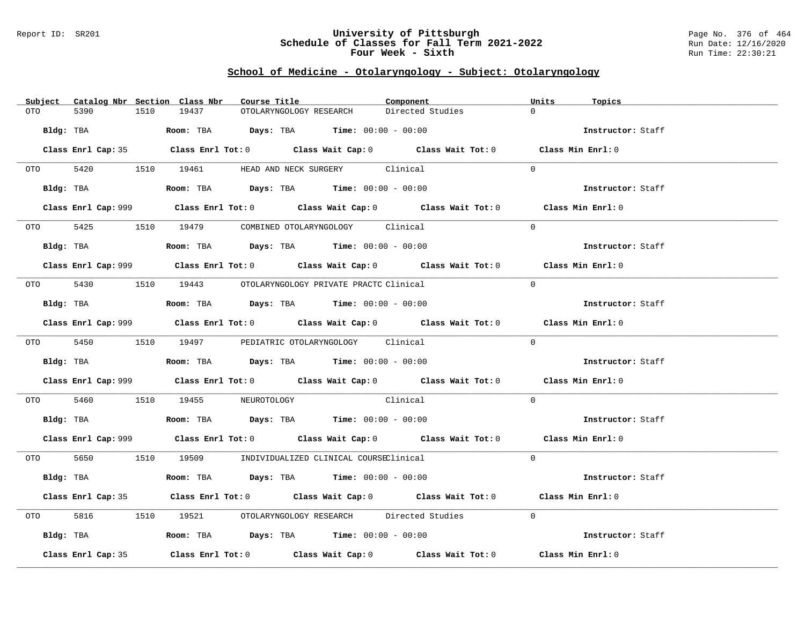### Report ID: SR201 **University of Pittsburgh** Page No. 376 of 464 **Schedule of Classes for Fall Term 2021-2022** Run Date: 12/16/2020 **Four Week - Sixth** Run Time: 22:30:21

### **School of Medicine - Otolaryngology - Subject: Otolaryngology**

| Subject            |           | Catalog Nbr Section Class Nbr | Course Title                                                                           | Component                                                                                          | Units<br>Topics          |
|--------------------|-----------|-------------------------------|----------------------------------------------------------------------------------------|----------------------------------------------------------------------------------------------------|--------------------------|
| 5390<br>OTO        | 1510      | 19437                         | OTOLARYNGOLOGY RESEARCH                                                                | Directed Studies                                                                                   | $\Omega$                 |
|                    |           |                               |                                                                                        |                                                                                                    |                          |
| Bldg: TBA          |           |                               | Room: TBA $\rule{1em}{0.15mm}$ Days: TBA Time: $00:00 - 00:00$                         |                                                                                                    | Instructor: Staff        |
|                    |           |                               |                                                                                        |                                                                                                    |                          |
|                    |           |                               |                                                                                        | Class Enrl Cap: 35 Class Enrl Tot: 0 Class Wait Cap: 0 Class Wait Tot: 0 Class Min Enrl: 0         |                          |
|                    |           |                               | OTO 5420 1510 19461 HEAD AND NECK SURGERY Clinical                                     |                                                                                                    | $\Omega$                 |
|                    |           |                               |                                                                                        |                                                                                                    |                          |
|                    |           |                               | Bldg: TBA                  Room: TBA        Days: TBA        Time: 00:00 - 00:00       |                                                                                                    | Instructor: Staff        |
|                    |           |                               |                                                                                        |                                                                                                    |                          |
|                    |           |                               |                                                                                        | Class Enrl Cap: 999 Class Enrl Tot: 0 Class Wait Cap: 0 Class Wait Tot: 0 Class Min Enrl: 0        |                          |
|                    |           |                               |                                                                                        |                                                                                                    |                          |
|                    |           |                               | OTO 5425 1510 19479 COMBINED OTOLARYNGOLOGY Clinical                                   |                                                                                                    | $\Omega$                 |
|                    |           |                               |                                                                                        |                                                                                                    |                          |
|                    | Bldg: TBA |                               | Room: TBA $Days:$ TBA $Time:$ $00:00 - 00:00$                                          |                                                                                                    | Instructor: Staff        |
|                    |           |                               |                                                                                        | Class Enrl Cap: 999 Class Enrl Tot: 0 Class Wait Cap: 0 Class Wait Tot: 0 Class Min Enrl: 0        |                          |
|                    |           |                               |                                                                                        |                                                                                                    |                          |
|                    |           |                               | 0TO 5430 1510 19443 OTOLARYNGOLOGY PRIVATE PRACTC Clinical                             |                                                                                                    | $\Omega$                 |
|                    |           |                               |                                                                                        |                                                                                                    |                          |
|                    | Bldg: TBA |                               | Room: TBA $\rule{1em}{0.15mm}$ Days: TBA Time: $00:00 - 00:00$                         |                                                                                                    | <b>Instructor:</b> Staff |
|                    |           |                               |                                                                                        |                                                                                                    |                          |
|                    |           |                               |                                                                                        | Class Enrl Cap: 999 Class Enrl Tot: 0 Class Wait Cap: 0 Class Wait Tot: 0 Class Min Enrl: 0        |                          |
|                    |           |                               |                                                                                        |                                                                                                    | $\Omega$                 |
|                    |           |                               | 0TO 5450 1510 19497 PEDIATRIC OTOLARYNGOLOGY Clinical                                  |                                                                                                    |                          |
|                    | Bldg: TBA |                               | Room: TBA $Days:$ TBA $Time: 00:00 - 00:00$                                            |                                                                                                    | Instructor: Staff        |
|                    |           |                               |                                                                                        |                                                                                                    |                          |
|                    |           |                               |                                                                                        | Class Enrl Cap: 999 Class Enrl Tot: 0 Class Wait Cap: 0 Class Wait Tot: 0 Class Min Enrl: 0        |                          |
|                    |           |                               |                                                                                        |                                                                                                    |                          |
|                    |           |                               | OTO 5460 1510 19455 NEUROTOLOGY Clinical                                               |                                                                                                    | $\overline{0}$           |
|                    |           |                               |                                                                                        |                                                                                                    |                          |
|                    |           |                               | Bldg: TBA                    Room: TBA         Days: TBA         Time: $00:00 - 00:00$ |                                                                                                    | Instructor: Staff        |
|                    |           |                               |                                                                                        |                                                                                                    |                          |
|                    |           |                               |                                                                                        | Class Enrl Cap: 999 Class Enrl Tot: 0 Class Wait Cap: 0 Class Wait Tot: 0 Class Min Enrl: 0        |                          |
|                    |           |                               | 0TO 5650 1510 19509 INDIVIDUALIZED CLINICAL COURSEClinical                             |                                                                                                    | $\Omega$                 |
|                    |           |                               |                                                                                        |                                                                                                    |                          |
|                    | Bldg: TBA |                               | Room: TBA $Days:$ TBA $Time: 00:00 - 00:00$                                            |                                                                                                    | Instructor: Staff        |
|                    |           |                               |                                                                                        |                                                                                                    |                          |
|                    |           |                               |                                                                                        | Class Enrl Cap: 35 Class Enrl Tot: 0 Class Wait Cap: 0 Class Wait Tot: 0 Class Min Enrl: 0         |                          |
|                    |           |                               |                                                                                        |                                                                                                    |                          |
| OTO 5816           |           |                               |                                                                                        | 1510 19521 OTOLARYNGOLOGY RESEARCH Directed Studies                                                | $\Omega$                 |
|                    |           |                               |                                                                                        |                                                                                                    |                          |
|                    | Bldg: TBA |                               | Room: TBA $\rule{1em}{0.15mm}$ Days: TBA Time: $00:00 - 00:00$                         |                                                                                                    | Instructor: Staff        |
| Class Enrl Cap: 35 |           |                               |                                                                                        | Class Enrl Tot: 0 $\qquad$ Class Wait Cap: 0 $\qquad$ Class Wait Tot: 0 $\qquad$ Class Min Enrl: 0 |                          |
|                    |           |                               |                                                                                        |                                                                                                    |                          |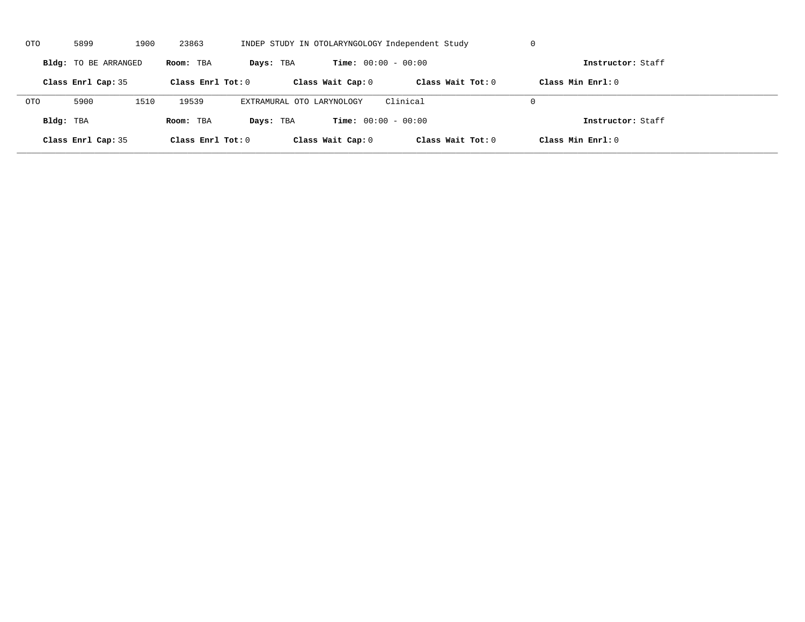| OTO        | 5899                 | 1900 | 23863               |                           |                              | INDEP STUDY IN OTOLARYNGOLOGY Independent Study | U                   |  |
|------------|----------------------|------|---------------------|---------------------------|------------------------------|-------------------------------------------------|---------------------|--|
|            | Bldg: TO BE ARRANGED |      | Room: TBA           | Days: TBA                 | <b>Time:</b> $00:00 - 00:00$ |                                                 | Instructor: Staff   |  |
|            | Class Enrl Cap: 35   |      | Class Enrl Tot: $0$ |                           | Class Wait Cap: 0            | Class Wait $Tot: 0$                             | Class Min $Enrl: 0$ |  |
| <b>OTO</b> | 5900                 | 1510 | 19539               | EXTRAMURAL OTO LARYNOLOGY |                              | Clinical                                        | $\Omega$            |  |
| Bldg: TBA  |                      |      | Room: TBA           | Days: TBA                 | <b>Time:</b> $00:00 - 00:00$ |                                                 | Instructor: Staff   |  |
|            | Class Enrl Cap: 35   |      | Class Enrl Tot: 0   |                           | Class Wait Cap: 0            | Class Wait Tot: 0                               | Class Min Enrl: 0   |  |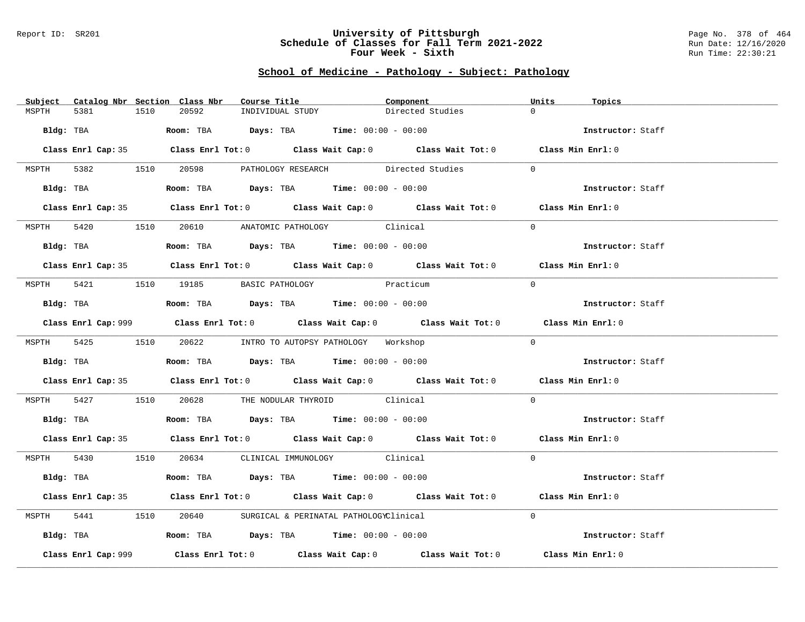#### Report ID: SR201 **University of Pittsburgh** Page No. 378 of 464 **Schedule of Classes for Fall Term 2021-2022** Run Date: 12/16/2020 **Four Week - Sixth** Run Time: 22:30:21

# **School of Medicine - Pathology - Subject: Pathology**

| Subject Catalog Nbr Section Class Nbr | Course Title <b>Source Search</b>                                                           | Component        | Units<br>Topics   |
|---------------------------------------|---------------------------------------------------------------------------------------------|------------------|-------------------|
| MSPTH<br>5381<br>1510                 | 20592<br>INDIVIDUAL STUDY                                                                   | Directed Studies | $\Omega$          |
|                                       | Bldg: TBA                   Room: TBA        Days: TBA        Time: $00:00 - 00:00$         |                  | Instructor: Staff |
|                                       |                                                                                             |                  |                   |
|                                       | Class Enrl Cap: 35 Class Enrl Tot: 0 Class Wait Cap: 0 Class Wait Tot: 0 Class Min Enrl: 0  |                  |                   |
|                                       | MSPTH 5382 1510 20598 PATHOLOGY RESEARCH Directed Studies 0                                 |                  |                   |
|                                       | Bldg: TBA                    Room: TBA         Days: TBA         Time: 00:00 - 00:00        |                  | Instructor: Staff |
|                                       | Class Enrl Cap: 35 Class Enrl Tot: 0 Class Wait Cap: 0 Class Wait Tot: 0 Class Min Enrl: 0  |                  |                   |
|                                       | MSPTH 5420 1510 20610 ANATOMIC PATHOLOGY Clinical                                           |                  | $\Omega$          |
| Bldg: TBA                             | Room: TBA $Days:$ TBA $Time:$ $00:00 - 00:00$                                               |                  | Instructor: Staff |
|                                       | Class Enrl Cap: 35 Class Enrl Tot: 0 Class Wait Cap: 0 Class Wait Tot: 0 Class Min Enrl: 0  |                  |                   |
|                                       |                                                                                             |                  |                   |
|                                       | MSPTH 5421 1510 19185 BASIC PATHOLOGY                                                       | Practicum        | $\Omega$          |
|                                       | Bldg: TBA                  Room: TBA        Days: TBA        Time: 00:00 - 00:00            |                  | Instructor: Staff |
|                                       | Class Enrl Cap: 999 Class Enrl Tot: 0 Class Wait Cap: 0 Class Wait Tot: 0 Class Min Enrl: 0 |                  |                   |
|                                       | MSPTH 5425 1510 20622 INTRO TO AUTOPSY PATHOLOGY Workshop                                   |                  | $\Omega$          |
|                                       |                                                                                             |                  | Instructor: Staff |
|                                       | Class Enrl Cap: 35 Class Enrl Tot: 0 Class Wait Cap: 0 Class Wait Tot: 0 Class Min Enrl: 0  |                  |                   |
|                                       | MSPTH 5427 1510 20628 THE NODULAR THYROID Clinical                                          |                  | $\Omega$          |
|                                       | Bldg: TBA                   Room: TBA         Days: TBA         Time: $00:00 - 00:00$       |                  | Instructor: Staff |
|                                       | Class Enrl Cap: 35 Class Enrl Tot: 0 Class Wait Cap: 0 Class Wait Tot: 0 Class Min Enrl: 0  |                  |                   |
|                                       | MSPTH 5430 1510 20634 CLINICAL IMMUNOLOGY Clinical                                          |                  | $\Omega$          |
|                                       | Bldg: TBA                    Room: TBA         Days: TBA         Time: 00:00 - 00:00        |                  | Instructor: Staff |
|                                       | Class Enrl Cap: 35 Class Enrl Tot: 0 Class Wait Cap: 0 Class Wait Tot: 0 Class Min Enrl: 0  |                  |                   |
|                                       |                                                                                             |                  |                   |
|                                       | MSPTH 5441 1510 20640 SURGICAL & PERINATAL PATHOLOGYClinical                                |                  | $\Omega$          |
|                                       | Bldg: TBA                         Room: TBA          Days: TBA          Time: 00:00 - 00:00 |                  | Instructor: Staff |
| Class Enrl Cap: 999                   | Class Enrl Tot: $0$ Class Wait Cap: $0$ Class Wait Tot: $0$                                 |                  | Class Min Enrl: 0 |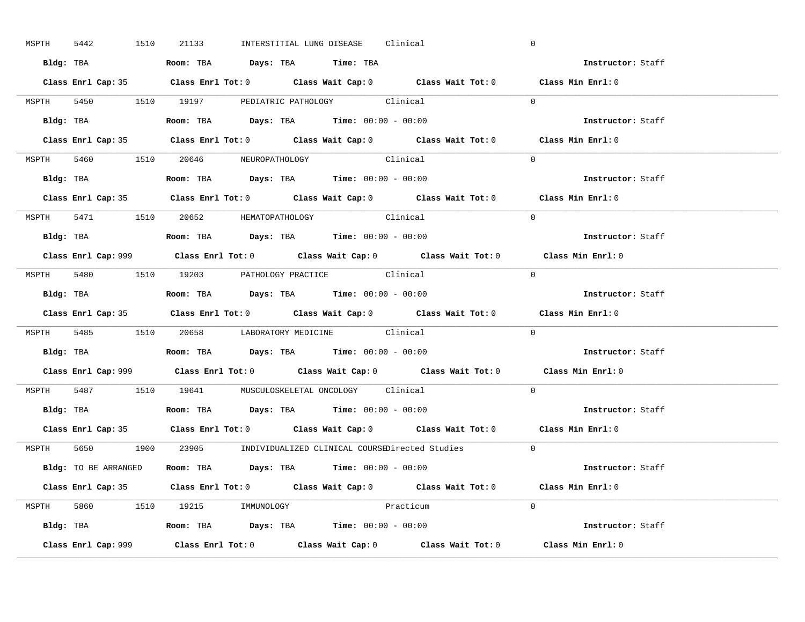| MSPTH | 5442 | 1510      | 21133 |                                  | INTERSTITIAL LUNG DISEASE Clinical                                                     |           | $\mathbf 0$                                                                                 |  |
|-------|------|-----------|-------|----------------------------------|----------------------------------------------------------------------------------------|-----------|---------------------------------------------------------------------------------------------|--|
|       |      | Bldg: TBA |       |                                  | Room: TBA Days: TBA Time: TBA                                                          |           | Instructor: Staff                                                                           |  |
|       |      |           |       |                                  |                                                                                        |           | Class Enrl Cap: 35 Class Enrl Tot: 0 Class Wait Cap: 0 Class Wait Tot: 0 Class Min Enrl: 0  |  |
|       |      |           |       |                                  | MSPTH 5450 1510 19197 PEDIATRIC PATHOLOGY Clinical                                     |           | $\Omega$                                                                                    |  |
|       |      |           |       |                                  |                                                                                        |           | Instructor: Staff                                                                           |  |
|       |      |           |       |                                  |                                                                                        |           | Class Enrl Cap: 35 Class Enrl Tot: 0 Class Wait Cap: 0 Class Wait Tot: 0 Class Min Enrl: 0  |  |
|       |      |           |       |                                  | MSPTH 5460 1510 20646 NEUROPATHOLOGY Clinical                                          |           | $\Omega$                                                                                    |  |
|       |      |           |       |                                  | Bldg: TBA                    Room: TBA         Days: TBA         Time: $00:00 - 00:00$ |           | Instructor: Staff                                                                           |  |
|       |      |           |       |                                  |                                                                                        |           | Class Enrl Cap: 35 Class Enrl Tot: 0 Class Wait Cap: 0 Class Wait Tot: 0 Class Min Enrl: 0  |  |
|       |      |           |       |                                  | MSPTH 5471 1510 20652 HEMATOPATHOLOGY Clinical                                         |           | $\Omega$                                                                                    |  |
|       |      |           |       |                                  | Bldg: TBA                   Room: TBA         Days: TBA         Time: $00:00 - 00:00$  |           | Instructor: Staff                                                                           |  |
|       |      |           |       |                                  |                                                                                        |           | Class Enrl Cap: 999 Class Enrl Tot: 0 Class Wait Cap: 0 Class Wait Tot: 0 Class Min Enrl: 0 |  |
|       |      |           |       |                                  | MSPTH 5480 1510 19203 PATHOLOGY PRACTICE Clinical                                      |           | $\Omega$                                                                                    |  |
|       |      |           |       |                                  | Bldg: TBA                   Room: TBA         Days: TBA         Time: $00:00 - 00:00$  |           | Instructor: Staff                                                                           |  |
|       |      |           |       |                                  |                                                                                        |           | Class Enrl Cap: 35 Class Enrl Tot: 0 Class Wait Cap: 0 Class Wait Tot: 0 Class Min Enrl: 0  |  |
|       |      |           |       |                                  |                                                                                        |           |                                                                                             |  |
|       |      |           |       |                                  | MSPTH 5485 1510 20658 LABORATORY MEDICINE Clinical                                     |           | $\Omega$                                                                                    |  |
|       |      |           |       |                                  |                                                                                        |           | Instructor: Staff                                                                           |  |
|       |      |           |       |                                  |                                                                                        |           | Class Enrl Cap: 999 Class Enrl Tot: 0 Class Wait Cap: 0 Class Wait Tot: 0 Class Min Enrl: 0 |  |
|       |      |           |       |                                  | MSPTH 5487 1510 19641 MUSCULOSKELETAL ONCOLOGY Clinical                                |           | $\Omega$                                                                                    |  |
|       |      |           |       |                                  | Bldg: TBA<br>Room: TBA<br>Days: TBA<br>Time: $00:00 - 00:00$                           |           | Instructor: Staff                                                                           |  |
|       |      |           |       |                                  |                                                                                        |           | Class Enrl Cap: 35 Class Enrl Tot: 0 Class Wait Cap: 0 Class Wait Tot: 0 Class Min Enrl: 0  |  |
|       |      |           |       |                                  | MSPTH 5650 1900 23905 INDIVIDUALIZED CLINICAL COURSEDirected Studies                   |           | $\Omega$                                                                                    |  |
|       |      |           |       |                                  | Bldg: TO BE ARRANGED Room: TBA Days: TBA Time: 00:00 - 00:00                           |           | Instructor: Staff                                                                           |  |
|       |      |           |       |                                  |                                                                                        |           | Class Enrl Cap: 35 Class Enrl Tot: 0 Class Wait Cap: 0 Class Wait Tot: 0 Class Min Enrl: 0  |  |
|       |      |           |       | MSPTH 5860 1510 19215 IMMUNOLOGY |                                                                                        | Practicum | $\Omega$                                                                                    |  |
|       |      |           |       |                                  | <b>Bldg:</b> TBA <b>Room:</b> TBA <b>Days:</b> TBA <b>Time:</b> $00:00 - 00:00$        |           | Instructor: Staff                                                                           |  |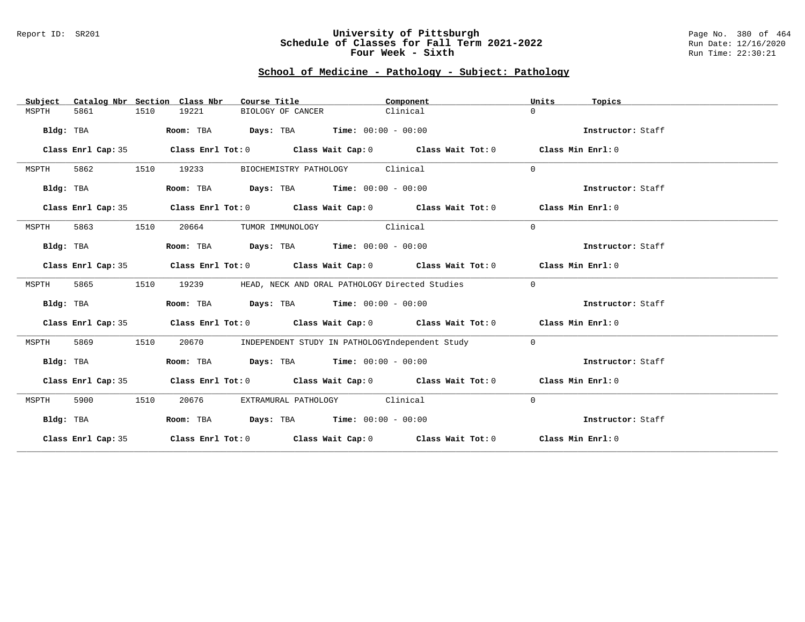### Report ID: SR201 **University of Pittsburgh** Page No. 380 of 464 **Schedule of Classes for Fall Term 2021-2022** Run Date: 12/16/2020 **Four Week - Sixth** Run Time: 22:30:21

# **School of Medicine - Pathology - Subject: Pathology**

| Subject   |                    |      | Catalog Nbr Section Class Nbr | Course Title                                        | Component                                                                                          | Units        | Topics            |
|-----------|--------------------|------|-------------------------------|-----------------------------------------------------|----------------------------------------------------------------------------------------------------|--------------|-------------------|
| MSPTH     | 5861               | 1510 | 19221                         | BIOLOGY OF CANCER                                   | Clinical                                                                                           | $\Omega$     |                   |
| Bldg: TBA |                    |      | Room: TBA                     | $\texttt{Days:}$ TBA $\texttt{Time:}$ 00:00 - 00:00 |                                                                                                    |              | Instructor: Staff |
|           |                    |      |                               |                                                     |                                                                                                    |              |                   |
|           | Class Enrl Cap: 35 |      |                               |                                                     | Class Enrl Tot: $0$ Class Wait Cap: $0$ Class Wait Tot: $0$ Class Min Enrl: $0$                    |              |                   |
| MSPTH     | 5862               | 1510 | 19233                         | BIOCHEMISTRY PATHOLOGY Clinical                     |                                                                                                    | $\Omega$     |                   |
| Bldg: TBA |                    |      |                               | Room: TBA $Days:$ TBA $Time: 00:00 - 00:00$         |                                                                                                    |              | Instructor: Staff |
|           | Class Enrl Cap: 35 |      |                               |                                                     | Class Enrl Tot: $0$ Class Wait Cap: $0$ Class Wait Tot: $0$ Class Min Enrl: $0$                    |              |                   |
| MSPTH     | 5863               | 1510 | 20664                         | TUMOR IMMUNOLOGY Clinical                           |                                                                                                    | $\Omega$     |                   |
| Bldg: TBA |                    |      |                               | Room: TBA $Days:$ TBA $Time: 00:00 - 00:00$         |                                                                                                    |              | Instructor: Staff |
|           | Class Enrl Cap: 35 |      |                               |                                                     | Class Enrl Tot: $0$ Class Wait Cap: $0$ Class Wait Tot: $0$ Class Min Enrl: $0$                    |              |                   |
| MSPTH     | 5865               | 1510 | 19239                         | HEAD, NECK AND ORAL PATHOLOGY Directed Studies      |                                                                                                    | $\mathbf{0}$ |                   |
| Bldg: TBA |                    |      |                               | Room: TBA $Days:$ TBA $Time: 00:00 - 00:00$         |                                                                                                    |              | Instructor: Staff |
|           | Class Enrl Cap: 35 |      |                               |                                                     | Class Enrl Tot: $0$ Class Wait Cap: $0$ Class Wait Tot: $0$ Class Min Enrl: $0$                    |              |                   |
| MSPTH     | 5869               | 1510 | 20670                         | INDEPENDENT STUDY IN PATHOLOGYIndependent Study     |                                                                                                    | $\circ$      |                   |
| Bldg: TBA |                    |      |                               | Room: TBA Days: TBA Time: $00:00 - 00:00$           |                                                                                                    |              | Instructor: Staff |
|           | Class Enrl Cap: 35 |      |                               |                                                     | Class Enrl Tot: $0$ Class Wait Cap: $0$ Class Wait Tot: $0$ Class Min Enrl: $0$                    |              |                   |
| MSPTH     | 5900               | 1510 | 20676                         | EXTRAMURAL PATHOLOGY Clinical                       |                                                                                                    | $\mathbf{0}$ |                   |
| Bldg: TBA |                    |      |                               | Room: TBA Days: TBA Time: $00:00 - 00:00$           |                                                                                                    |              | Instructor: Staff |
|           | Class Enrl Cap: 35 |      |                               |                                                     | Class Enrl Tot: O $\qquad$ Class Wait Cap: O $\qquad$ Class Wait Tot: O $\qquad$ Class Min Enrl: O |              |                   |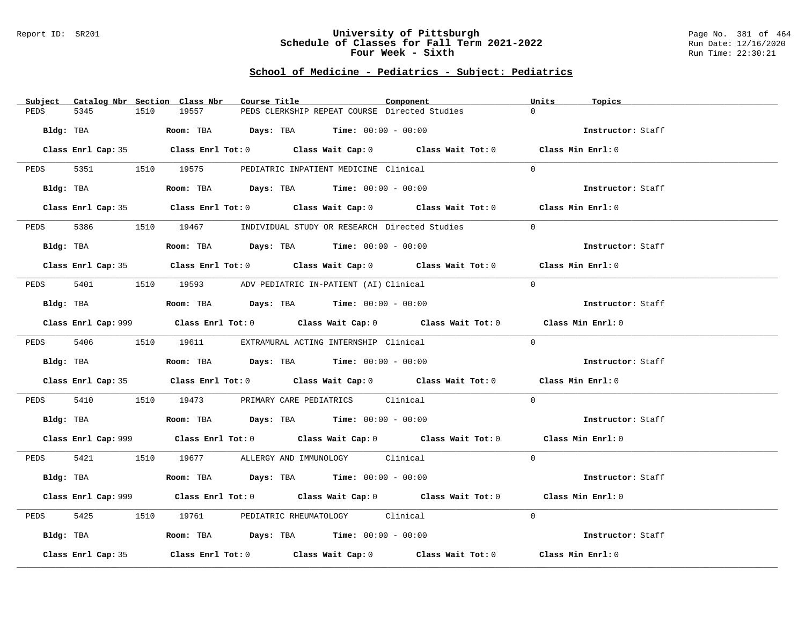### Report ID: SR201 **University of Pittsburgh** Page No. 381 of 464 **Schedule of Classes for Fall Term 2021-2022** Run Date: 12/16/2020 **Four Week - Sixth** Run Time: 22:30:21

# **School of Medicine - Pediatrics - Subject: Pediatrics**

| Catalog Nbr Section Class Nbr<br>Subject | Course Title                                                                                       | Component | Units<br>Topics   |
|------------------------------------------|----------------------------------------------------------------------------------------------------|-----------|-------------------|
| 5345<br>PEDS<br>1510                     | 19557<br>PEDS CLERKSHIP REPEAT COURSE Directed Studies                                             |           | $\Omega$          |
| Bldg: TBA                                | Room: TBA $Days:$ TBA $Time: 00:00 - 00:00$                                                        |           | Instructor: Staff |
|                                          | Class Enrl Cap: 35 Class Enrl Tot: 0 Class Wait Cap: 0 Class Wait Tot: 0 Class Min Enrl: 0         |           |                   |
|                                          | PEDS 5351 1510 19575 PEDIATRIC INPATIENT MEDICINE Clinical                                         |           | $\Omega$          |
| Bldg: TBA                                | Room: TBA $Days:$ TBA $Time: 00:00 - 00:00$                                                        |           | Instructor: Staff |
|                                          | Class Enrl Cap: 35 Class Enrl Tot: 0 Class Wait Cap: 0 Class Wait Tot: 0 Class Min Enrl: 0         |           |                   |
| 5386<br>PEDS                             | 1510 19467 INDIVIDUAL STUDY OR RESEARCH Directed Studies                                           |           | $\Omega$          |
| Bldg: TBA                                | Room: TBA $Days:$ TBA $Time: 00:00 - 00:00$                                                        |           | Instructor: Staff |
|                                          | Class Enrl Cap: 35 Class Enrl Tot: 0 Class Wait Cap: 0 Class Wait Tot: 0 Class Min Enrl: 0         |           |                   |
|                                          | PEDS 5401 1510 19593 ADV PEDIATRIC IN-PATIENT (AI) Clinical                                        |           | $\Omega$          |
| Bldg: TBA                                | Room: TBA $Days:$ TBA Time: $00:00 - 00:00$                                                        |           | Instructor: Staff |
|                                          | Class Enrl Cap: 999 Class Enrl Tot: 0 Class Wait Cap: 0 Class Wait Tot: 0 Class Min Enrl: 0        |           |                   |
|                                          | PEDS 5406 1510 19611 EXTRAMURAL ACTING INTERNSHIP Clinical                                         |           | $\Omega$          |
| Bldg: TBA                                | Room: TBA $Days:$ TBA Time: $00:00 - 00:00$                                                        |           | Instructor: Staff |
|                                          | Class Enrl Cap: 35 Class Enrl Tot: 0 Class Wait Cap: 0 Class Wait Tot: 0 Class Min Enrl: 0         |           |                   |
| PEDS                                     | 5410 19173 PRIMARY CARE PEDIATRICS Clinical                                                        |           | $\Omega$          |
|                                          | <b>Bldg:</b> TBA <b>Room:</b> TBA <b>Days:</b> TBA <b>Time:</b> $00:00 - 00:00$                    |           | Instructor: Staff |
|                                          | Class Enrl Cap: 999 Class Enrl Tot: 0 Class Wait Cap: 0 Class Wait Tot: 0 Class Min Enrl: 0        |           |                   |
|                                          | PEDS 5421 1510 19677 ALLERGY AND IMMUNOLOGY Clinical                                               |           | $\Omega$          |
| Bldg: TBA                                | Room: TBA $Days:$ TBA $Time: 00:00 - 00:00$                                                        |           | Instructor: Staff |
|                                          | Class Enrl Cap: 999 Class Enrl Tot: 0 Class Wait Cap: 0 Class Wait Tot: 0 Class Min Enrl: 0        |           |                   |
| 5425<br>PEDS                             | 1510 19761 PEDIATRIC RHEUMATOLOGY Clinical                                                         |           | $\Omega$          |
| Bldg: TBA                                | Room: TBA $\rule{1em}{0.15mm}$ Days: TBA Time: $00:00 - 00:00$                                     |           | Instructor: Staff |
| Class Enrl Cap: 35                       | Class Enrl Tot: 0 $\qquad$ Class Wait Cap: 0 $\qquad$ Class Wait Tot: 0 $\qquad$ Class Min Enrl: 0 |           |                   |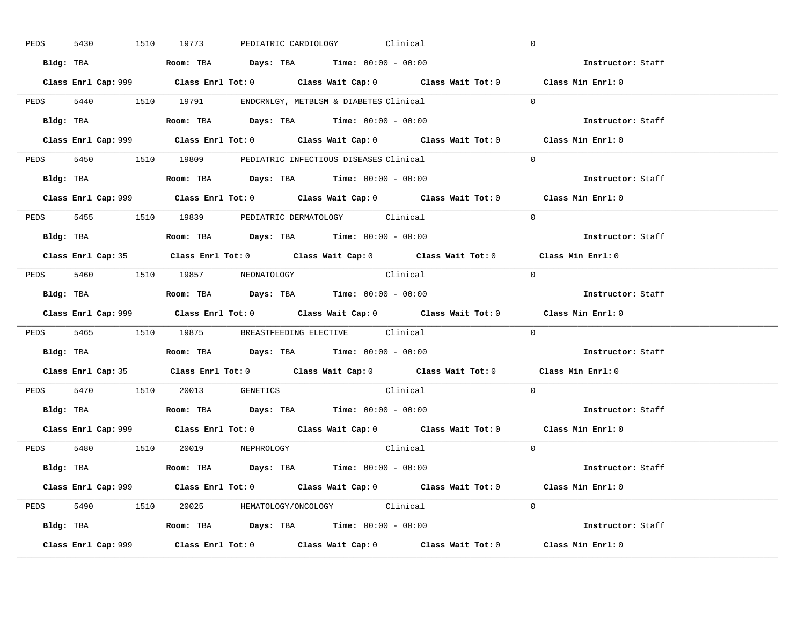| 5430      |  | 1510 19773                                                                             |  | PEDIATRIC CARDIOLOGY Clinical |                                                                                             | $\overline{0}$ |                   |  |
|-----------|--|----------------------------------------------------------------------------------------|--|-------------------------------|---------------------------------------------------------------------------------------------|----------------|-------------------|--|
|           |  | Bldg: TBA                   Room: TBA         Days: TBA         Time: $00:00 - 00:00$  |  |                               |                                                                                             |                | Instructor: Staff |  |
|           |  |                                                                                        |  |                               | Class Enrl Cap: 999 Class Enrl Tot: 0 Class Wait Cap: 0 Class Wait Tot: 0 Class Min Enrl: 0 |                |                   |  |
|           |  | PEDS 5440 1510 19791 ENDCRNLGY, METBLSM & DIABETES Clinical                            |  |                               |                                                                                             | $\Omega$       |                   |  |
|           |  | Bldg: TBA                   Room: TBA         Days: TBA         Time: $00:00 - 00:00$  |  |                               |                                                                                             |                | Instructor: Staff |  |
|           |  |                                                                                        |  |                               | Class Enrl Cap: 999 Class Enrl Tot: 0 Class Wait Cap: 0 Class Wait Tot: 0 Class Min Enrl: 0 |                |                   |  |
|           |  | PEDS 5450 1510 19809 PEDIATRIC INFECTIOUS DISEASES Clinical                            |  |                               |                                                                                             | $\Omega$       |                   |  |
|           |  | Bldg: TBA                    Room: TBA         Days: TBA        Time: $00:00 - 00:00$  |  |                               |                                                                                             |                | Instructor: Staff |  |
|           |  |                                                                                        |  |                               | Class Enrl Cap: 999 Class Enrl Tot: 0 Class Wait Cap: 0 Class Wait Tot: 0 Class Min Enrl: 0 |                |                   |  |
|           |  | PEDS 5455 1510 19839 PEDIATRIC DERMATOLOGY Clinical                                    |  |                               |                                                                                             | $\Omega$       |                   |  |
|           |  | Bldg: TBA                    Room: TBA         Days: TBA         Time: $00:00 - 00:00$ |  |                               |                                                                                             |                | Instructor: Staff |  |
|           |  |                                                                                        |  |                               | Class Enrl Cap: 35 Class Enrl Tot: 0 Class Wait Cap: 0 Class Wait Tot: 0 Class Min Enrl: 0  |                |                   |  |
|           |  | PEDS 5460 1510 19857 NEONATOLOGY                                                       |  |                               | Clinical                                                                                    | $\bigcirc$     |                   |  |
|           |  |                                                                                        |  |                               |                                                                                             |                | Instructor: Staff |  |
|           |  |                                                                                        |  |                               |                                                                                             |                |                   |  |
|           |  |                                                                                        |  |                               | Class Enrl Cap: 999 Class Enrl Tot: 0 Class Wait Cap: 0 Class Wait Tot: 0 Class Min Enrl: 0 |                |                   |  |
|           |  | PEDS 5465 1510 19875 BREASTFEEDING ELECTIVE Clinical                                   |  |                               |                                                                                             | $\overline{0}$ |                   |  |
| Bldg: TBA |  | Room: TBA $\rule{1em}{0.15mm}$ Days: TBA Time: $00:00 - 00:00$                         |  |                               |                                                                                             |                | Instructor: Staff |  |
|           |  |                                                                                        |  |                               | Class Enrl Cap: 35 Class Enrl Tot: 0 Class Wait Cap: 0 Class Wait Tot: 0 Class Min Enrl: 0  |                |                   |  |
|           |  | PEDS 5470 1510 20013 GENETICS                                                          |  |                               | Clinical                                                                                    | $\Omega$       |                   |  |
|           |  | Bldg: TBA                    Room: TBA         Days: TBA         Time: $00:00 - 00:00$ |  |                               |                                                                                             |                | Instructor: Staff |  |
|           |  |                                                                                        |  |                               | Class Enrl Cap: 999 Class Enrl Tot: 0 Class Wait Cap: 0 Class Wait Tot: 0 Class Min Enrl: 0 |                |                   |  |
|           |  | PEDS 5480 1510 20019 NEPHROLOGY                                                        |  |                               | Clinical                                                                                    | $\Omega$       |                   |  |
|           |  | Bldg: TBA                   Room: TBA         Days: TBA         Time: 00:00 - 00:00    |  |                               |                                                                                             |                | Instructor: Staff |  |
|           |  |                                                                                        |  |                               | Class Enrl Cap: 999 Class Enrl Tot: 0 Class Wait Cap: 0 Class Wait Tot: 0 Class Min Enrl: 0 |                |                   |  |
|           |  | PEDS 5490 1510 20025 HEMATOLOGY/ONCOLOGY Clinical                                      |  |                               |                                                                                             | $\Omega$       |                   |  |
|           |  | <b>Bldg:</b> TBA <b>ROOM:</b> TBA <b>Days:</b> TBA <b>Time:</b> $00:00 - 00:00$        |  |                               |                                                                                             |                | Instructor: Staff |  |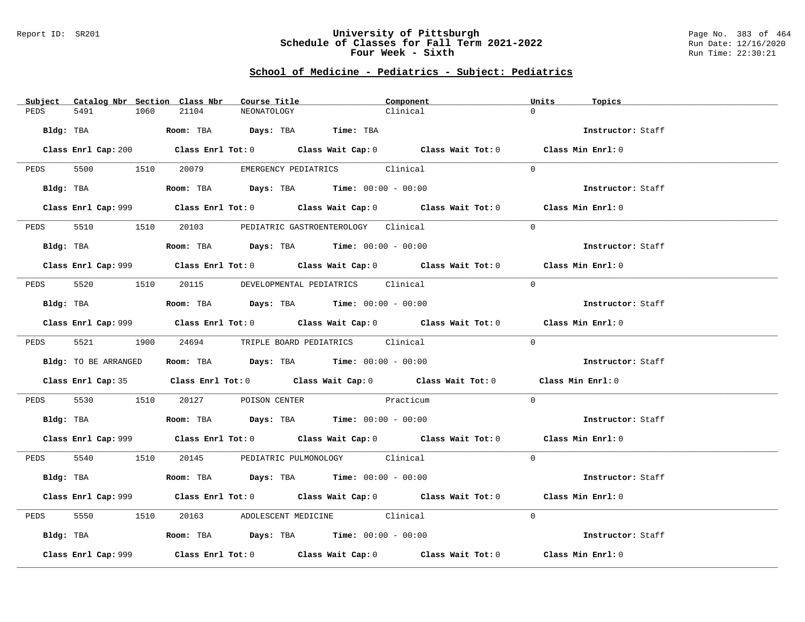### Report ID: SR201 **University of Pittsburgh** Page No. 383 of 464 **Schedule of Classes for Fall Term 2021-2022** Run Date: 12/16/2020 **Four Week - Sixth** Run Time: 22:30:21

# **School of Medicine - Pediatrics - Subject: Pediatrics**

| Subject Catalog Nbr Section Class Nbr | Course Title                                                                                       | Component | Units<br>Topics   |
|---------------------------------------|----------------------------------------------------------------------------------------------------|-----------|-------------------|
| 5491<br>PEDS<br>1060                  | 21104<br>NEONATOLOGY                                                                               | Clinical  | $\Omega$          |
| Bldg: TBA                             | Room: TBA Days: TBA Time: TBA                                                                      |           | Instructor: Staff |
|                                       | Class Enrl Cap: 200 Class Enrl Tot: 0 Class Wait Cap: 0 Class Wait Tot: 0 Class Min Enrl: 0        |           |                   |
|                                       | PEDS 5500 1510 20079 EMERGENCY PEDIATRICS Clinical                                                 |           | $\bigcap$         |
|                                       | Bldg: TBA                   Room: TBA        Days: TBA        Time: $00:00 - 00:00$                |           | Instructor: Staff |
|                                       | Class Enrl Cap: 999 Class Enrl Tot: 0 Class Wait Cap: 0 Class Wait Tot: 0 Class Min Enrl: 0        |           |                   |
| 5510 1510<br>PEDS                     | 20103 PEDIATRIC GASTROENTEROLOGY Clinical                                                          |           | $\Omega$          |
| Bldg: TBA                             | Room: TBA $Days:$ TBA $Time: 00:00 - 00:00$                                                        |           | Instructor: Staff |
|                                       | Class Enrl Cap: 999 Class Enrl Tot: 0 Class Wait Cap: 0 Class Wait Tot: 0 Class Min Enrl: 0        |           |                   |
|                                       | PEDS 5520 1510 20115 DEVELOPMENTAL PEDIATRICS Clinical                                             |           | $\Omega$          |
|                                       | Bldg: TBA                   Room: TBA         Days: TBA         Time: 00:00 - 00:00                |           | Instructor: Staff |
|                                       | Class Enrl Cap: 999 Class Enrl Tot: 0 Class Wait Cap: 0 Class Wait Tot: 0 Class Min Enrl: 0        |           |                   |
|                                       | PEDS 5521 1900 24694 TRIPLE BOARD PEDIATRICS Clinical                                              |           | $\Omega$          |
| Bldg: TO BE ARRANGED                  | Room: TBA $Days:$ TBA $Time:$ 00:00 - 00:00                                                        |           | Instructor: Staff |
|                                       | Class Enrl Cap: 35 Class Enrl Tot: 0 Class Wait Cap: 0 Class Wait Tot: 0 Class Min Enrl: 0         |           |                   |
| PEDS                                  | 5530 1510 20127 POISON CENTER Practicum                                                            |           | $\Omega$          |
|                                       | Bldg: TBA                   Room: TBA         Days: TBA         Time: $00:00 - 00:00$              |           | Instructor: Staff |
|                                       | Class Enrl Cap: 999 Class Enrl Tot: 0 Class Wait Cap: 0 Class Wait Tot: 0 Class Min Enrl: 0        |           |                   |
|                                       | PEDS 5540 1510 20145 PEDIATRIC PULMONOLOGY Clinical                                                |           | $\Omega$          |
|                                       | <b>Bldg:</b> TBA <b>ROOM:</b> TBA <b>Days:</b> TBA <b>Time:</b> $00:00 - 00:00$                    |           | Instructor: Staff |
|                                       | Class Enrl Cap: 999 Class Enrl Tot: 0 Class Wait Cap: 0 Class Wait Tot: 0 Class Min Enrl: 0        |           |                   |
| 5550<br>1510<br>PEDS                  | 20163 ADOLESCENT MEDICINE Clinical                                                                 |           | $\Omega$          |
|                                       | Bldg: TBA                        Room: TBA          Days: TBA         Time: $00:00 - 00:00$        |           | Instructor: Staff |
| Class Enrl Cap: 999                   | Class Enrl Tot: 0 $\qquad$ Class Wait Cap: 0 $\qquad$ Class Wait Tot: 0 $\qquad$ Class Min Enrl: 0 |           |                   |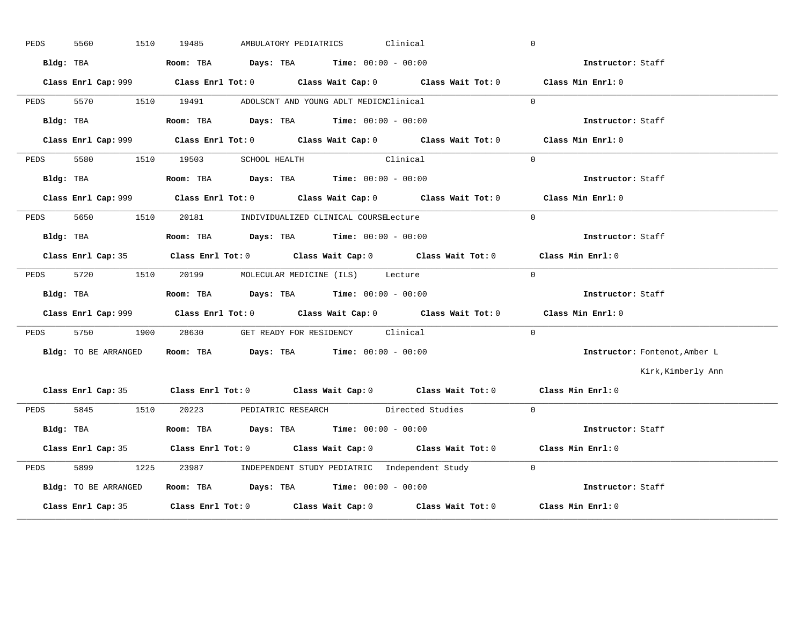| PEDS | 5560<br>1510         | Clinical<br>19485<br>AMBULATORY PEDIATRICS                                                  | $\overline{0}$                |
|------|----------------------|---------------------------------------------------------------------------------------------|-------------------------------|
|      | Bldg: TBA            | <b>Room:</b> TBA $Days: TBA$ <b>Time:</b> $00:00 - 00:00$                                   | Instructor: Staff             |
|      |                      | Class Enrl Cap: 999 Class Enrl Tot: 0 Class Wait Cap: 0 Class Wait Tot: 0 Class Min Enrl: 0 |                               |
|      |                      | PEDS 5570 1510 19491 ADOLSCNT AND YOUNG ADLT MEDICNClinical                                 | $\Omega$                      |
|      | Bldg: TBA            | Room: TBA $Days:$ TBA $Time: 00:00 - 00:00$                                                 | Instructor: Staff             |
|      |                      | Class Enrl Cap: 999 Class Enrl Tot: 0 Class Wait Cap: 0 Class Wait Tot: 0 Class Min Enrl: 0 |                               |
| PEDS |                      | 5580 1510 19503 SCHOOL HEALTH Clinical                                                      | $\Omega$                      |
|      | Bldg: TBA            | Room: TBA $Days:$ TBA $Time: 00:00 - 00:00$                                                 | Instructor: Staff             |
|      |                      | Class Enrl Cap: 999 Class Enrl Tot: 0 Class Wait Cap: 0 Class Wait Tot: 0 Class Min Enrl: 0 |                               |
|      |                      | PEDS 5650 1510 20181 INDIVIDUALIZED CLINICAL COURSELecture                                  | $\Omega$                      |
|      | Bldg: TBA            | Room: TBA $Days:$ TBA $Time: 00:00 - 00:00$                                                 | Instructor: Staff             |
|      |                      | Class Enrl Cap: 35 Class Enrl Tot: 0 Class Wait Cap: 0 Class Wait Tot: 0 Class Min Enrl: 0  |                               |
| PEDS |                      | 5720 1510 20199 MOLECULAR MEDICINE (ILS) Lecture                                            | $\overline{0}$                |
|      | Bldg: TBA            | <b>Room:</b> TBA $Days: TBA$ <b>Time:</b> $00:00 - 00:00$                                   | Instructor: Staff             |
|      |                      | Class Enrl Cap: 999 Class Enrl Tot: 0 Class Wait Cap: 0 Class Wait Tot: 0 Class Min Enrl: 0 |                               |
|      |                      | PEDS 5750 1900 28630 GET READY FOR RESIDENCY Clinical                                       | $\Omega$                      |
|      | Bldg: TO BE ARRANGED | Room: TBA $Days:$ TBA $Time: 00:00 - 00:00$                                                 | Instructor: Fontenot, Amber L |
|      |                      |                                                                                             | Kirk, Kimberly Ann            |
|      |                      | Class Enrl Cap: 35 Class Enrl Tot: 0 Class Wait Cap: 0 Class Wait Tot: 0 Class Min Enrl: 0  |                               |
|      |                      | PEDS 5845 1510 20223 PEDIATRIC RESEARCH Directed Studies 0                                  |                               |
|      | Bldg: TBA            | Room: TBA $Days:$ TBA $Time: 00:00 - 00:00$                                                 | Instructor: Staff             |
|      |                      | Class Enrl Cap: 35 Class Enrl Tot: 0 Class Wait Cap: 0 Class Wait Tot: 0 Class Min Enrl: 0  |                               |
| PEDS | 5899 7               | 1225 23987 INDEPENDENT STUDY PEDIATRIC Independent Study 0                                  |                               |
|      | Bldg: TO BE ARRANGED | Room: TBA Days: TBA Time: $00:00 - 00:00$                                                   |                               |
|      |                      | Class Enrl Cap: 35 Class Enrl Tot: 0 Class Wait Cap: 0 Class Wait Tot: 0 Class Min Enrl: 0  |                               |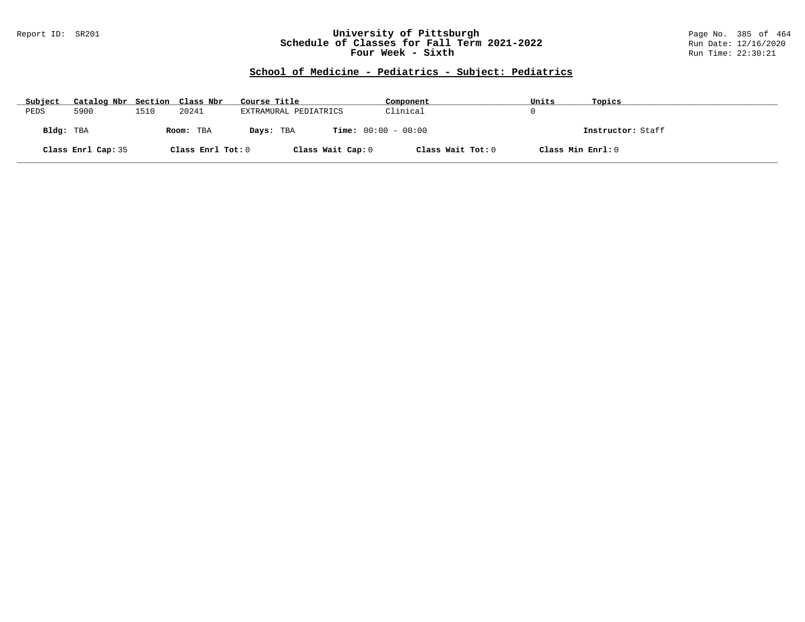### Report ID: SR201 **University of Pittsburgh** Page No. 385 of 464 **Schedule of Classes for Fall Term 2021-2022** Run Date: 12/16/2020 **Four Week - Sixth** Run Time: 22:30:21

# **School of Medicine - Pediatrics - Subject: Pediatrics**

| Subject   | Catalog Nbr Section Class Nbr |      |                   | Course Title                              | Component         | Units             | Topics            |
|-----------|-------------------------------|------|-------------------|-------------------------------------------|-------------------|-------------------|-------------------|
| PEDS      | 5900                          | 1510 | 20241             | EXTRAMURAL PEDIATRICS                     | Clinical          |                   |                   |
| Bldg: TBA |                               |      | Room: TBA         | <b>Time:</b> $00:00 - 00:00$<br>Days: TBA |                   |                   | Instructor: Staff |
|           | Class Enrl Cap: 35            |      | Class Enrl Tot: 0 | Class Wait Cap: 0                         | Class Wait Tot: 0 | Class Min Enrl: 0 |                   |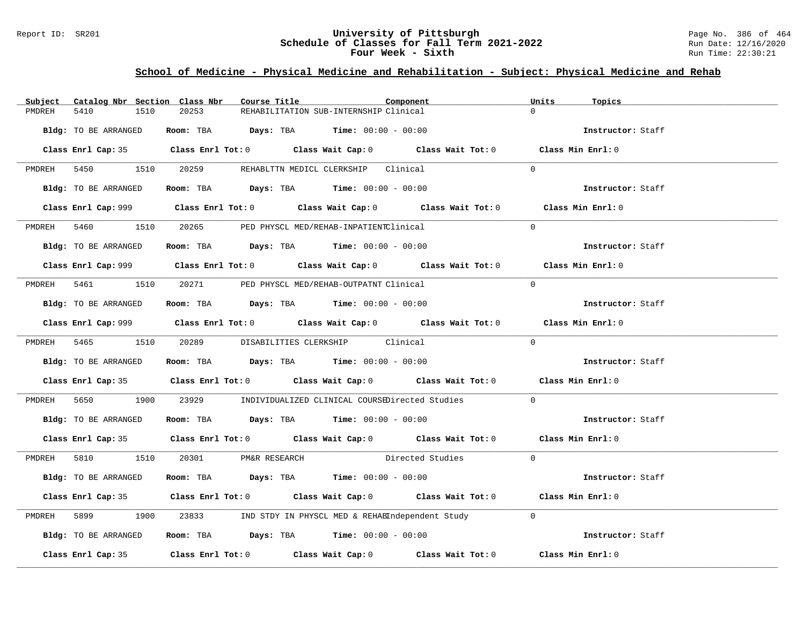### Report ID: SR201 **University of Pittsburgh University of Pittsburgh** Page No. 386 of 464 **Schedule of Classes for Fall Term 2021-2022** Page No. 386 of 464 **Schedule of Classes for Fall Term 2021-2022 Schedule of Classes for Fall Term 2021-2022** Run Date: 12/16/2020 **Four Week - Sixth** Run Time: 22:30:21

### **School of Medicine - Physical Medicine and Rehabilitation - Subject: Physical Medicine and Rehab**

| Subject | Catalog Nbr Section Class Nbr | Course Title                                                                                | Component                              |                    | Units<br>Topics   |  |
|---------|-------------------------------|---------------------------------------------------------------------------------------------|----------------------------------------|--------------------|-------------------|--|
| PMDREH  | 5410<br>1510                  | 20253                                                                                       | REHABILITATION SUB-INTERNSHIP Clinical |                    | $\Omega$          |  |
|         | Bldg: TO BE ARRANGED          | Room: TBA $\rule{1em}{0.15mm}$ Days: TBA Time: $00:00 - 00:00$                              |                                        |                    | Instructor: Staff |  |
|         |                               | Class Enrl Cap: 35 Class Enrl Tot: 0 Class Wait Cap: 0 Class Wait Tot: 0 Class Min Enrl: 0  |                                        |                    |                   |  |
|         |                               | PMDREH 5450 1510 20259 REHABLTTN MEDICL CLERKSHIP Clinical                                  |                                        |                    | $\Omega$          |  |
|         | Bldg: TO BE ARRANGED          | Room: TBA $Days:$ TBA $Time: 00:00 - 00:00$                                                 |                                        |                    | Instructor: Staff |  |
|         |                               | Class Enrl Cap: 999 Class Enrl Tot: 0 Class Wait Cap: 0 Class Wait Tot: 0 Class Min Enrl: 0 |                                        |                    |                   |  |
|         |                               | PMDREH 5460 1510 20265 PED PHYSCL MED/REHAB-INPATIENTClinical                               |                                        |                    | $\Omega$          |  |
|         | Bldg: TO BE ARRANGED          | Room: TBA $\rule{1em}{0.15mm}$ Days: TBA Time: $00:00 - 00:00$                              |                                        |                    | Instructor: Staff |  |
|         |                               | Class Enrl Cap: 999 Class Enrl Tot: 0 Class Wait Cap: 0 Class Wait Tot: 0 Class Min Enrl: 0 |                                        |                    |                   |  |
|         |                               | PMDREH 5461 1510 20271 PED PHYSCL MED/REHAB-OUTPATNT Clinical                               |                                        |                    | $\Omega$          |  |
|         | Bldg: TO BE ARRANGED          | Room: TBA $\rule{1em}{0.15mm}$ Days: TBA $\rule{1.5mm}{0.15mm}$ Time: $00:00 - 00:00$       |                                        |                    | Instructor: Staff |  |
|         |                               | Class Enrl Cap: 999 Class Enrl Tot: 0 Class Wait Cap: 0 Class Wait Tot: 0 Class Min Enrl: 0 |                                        |                    |                   |  |
|         |                               | PMDREH 5465 1510 20289 DISABILITIES CLERKSHIP Clinical                                      |                                        |                    | $\Omega$          |  |
|         | Bldg: TO BE ARRANGED          | Room: TBA $Days:$ TBA $Time: 00:00 - 00:00$                                                 |                                        |                    | Instructor: Staff |  |
|         |                               | Class Enrl Cap: 35 Class Enrl Tot: 0 Class Wait Cap: 0 Class Wait Tot: 0 Class Min Enrl: 0  |                                        |                    |                   |  |
| PMDREH  | 5650                          | 1900 23929 INDIVIDUALIZED CLINICAL COURSEDirected Studies 0                                 |                                        |                    |                   |  |
|         | Bldg: TO BE ARRANGED          | Room: TBA $\rule{1em}{0.15mm}$ Days: TBA $\rule{1.15mm}]{0.15mm}$ Time: $00:00 - 00:00$     |                                        |                    | Instructor: Staff |  |
|         |                               | Class Enrl Cap: 35 Class Enrl Tot: 0 Class Wait Cap: 0 Class Wait Tot: 0 Class Min Enrl: 0  |                                        |                    |                   |  |
|         |                               | PMDREH 5810 1510 20301 PM&R RESEARCH                                                        |                                        | Directed Studies 0 |                   |  |
|         | Bldg: TO BE ARRANGED          | Room: TBA $\rule{1em}{0.15mm}$ Days: TBA Time: $00:00 - 00:00$                              |                                        |                    | Instructor: Staff |  |
|         |                               | Class Enrl Cap: 35 Class Enrl Tot: 0 Class Wait Cap: 0 Class Wait Tot: 0 Class Min Enrl: 0  |                                        |                    |                   |  |
| PMDREH  | 5899 7                        | 1900 23833 IND STDY IN PHYSCL MED & REHABIndependent Study 0                                |                                        |                    |                   |  |
|         | Bldg: TO BE ARRANGED          | Room: TBA $\rule{1em}{0.15mm}$ Days: TBA $\rule{1.5mm}{0.15mm}$ Time: $00:00 - 00:00$       |                                        |                    | Instructor: Staff |  |
|         |                               | Class Enrl Cap: 35 Class Enrl Tot: 0 Class Wait Cap: 0 Class Wait Tot: 0 Class Min Enrl: 0  |                                        |                    |                   |  |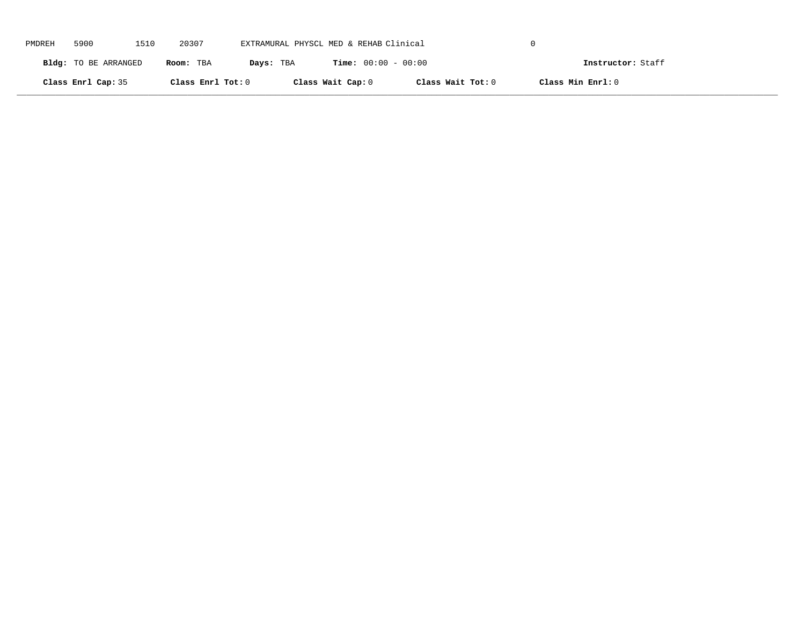| PMDREH | 5900                 | 1510 | 20307             | EXTRAMURAL PHYSCL MED & REHAB Clinical |                              |                   |                   |  |
|--------|----------------------|------|-------------------|----------------------------------------|------------------------------|-------------------|-------------------|--|
|        | Bldg: TO BE ARRANGED |      | Room: TBA         | Days: TBA                              | <b>Time:</b> $00:00 - 00:00$ |                   | Instructor: Staff |  |
|        | Class Enrl Cap: 35   |      | Class Enrl Tot: 0 |                                        | Class Wait Cap: 0            | Class Wait Tot: 0 | Class Min Enrl: 0 |  |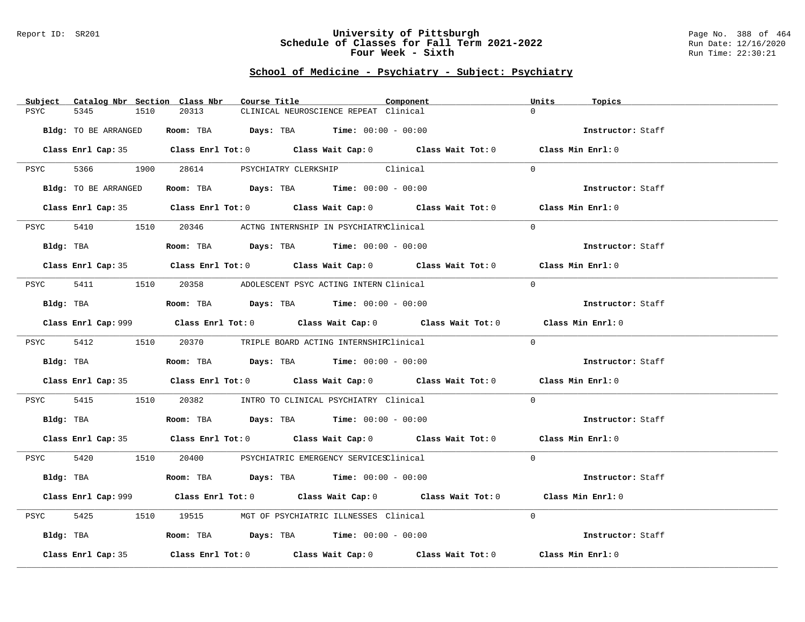#### Report ID: SR201 **University of Pittsburgh** Page No. 388 of 464 **Schedule of Classes for Fall Term 2021-2022** Run Date: 12/16/2020 **Four Week - Sixth** Run Time: 22:30:21

# **School of Medicine - Psychiatry - Subject: Psychiatry**

| Subject<br>Catalog Nbr Section Class Nbr | Course Title                                                                                | Component | Units<br>Topics   |
|------------------------------------------|---------------------------------------------------------------------------------------------|-----------|-------------------|
| 5345<br>PSYC<br>1510                     | 20313<br>CLINICAL NEUROSCIENCE REPEAT Clinical                                              |           | $\Omega$          |
| Bldg: TO BE ARRANGED                     | Room: TBA $Days: TBA$ Time: $00:00 - 00:00$                                                 |           | Instructor: Staff |
|                                          | Class Enrl Cap: 35 Class Enrl Tot: 0 Class Wait Cap: 0 Class Wait Tot: 0 Class Min Enrl: 0  |           |                   |
| PSYC                                     | 5366 1900 28614 PSYCHIATRY CLERKSHIP Clinical                                               |           | $\Omega$          |
| Bldg: TO BE ARRANGED                     | Room: TBA $Days:$ TBA $Time: 00:00 - 00:00$                                                 |           | Instructor: Staff |
|                                          | Class Enrl Cap: 35 Class Enrl Tot: 0 Class Wait Cap: 0 Class Wait Tot: 0 Class Min Enrl: 0  |           |                   |
| PSYC                                     | 5410 1510 20346 ACTNG INTERNSHIP IN PSYCHIATRYClinical                                      |           | $\Omega$          |
| Bldg: TBA                                | <b>Room:</b> TBA $Days:$ TBA $Time: 00:00 - 00:00$                                          |           | Instructor: Staff |
|                                          | Class Enrl Cap: 35 Class Enrl Tot: 0 Class Wait Cap: 0 Class Wait Tot: 0 Class Min Enrl: 0  |           |                   |
| PSYC                                     | 5411 1510 20358 ADOLESCENT PSYC ACTING INTERN Clinical                                      |           | $\Omega$          |
| Bldg: TBA                                | Room: TBA $Days:$ TBA Time: $00:00 - 00:00$                                                 |           | Instructor: Staff |
|                                          | Class Enrl Cap: 999 Class Enrl Tot: 0 Class Wait Cap: 0 Class Wait Tot: 0 Class Min Enrl: 0 |           |                   |
|                                          | PSYC 5412 1510 20370 TRIPLE BOARD ACTING INTERNSHIRClinical                                 |           | $\Omega$          |
| Bldg: TBA                                | Room: TBA $Days:$ TBA $Time: 00:00 - 00:00$                                                 |           | Instructor: Staff |
|                                          | Class Enrl Cap: 35 Class Enrl Tot: 0 Class Wait Cap: 0 Class Wait Tot: 0 Class Min Enrl: 0  |           |                   |
| 5415<br>PSYC                             | 1510   20382   INTRO TO CLINICAL PSYCHIATRY Clinical                                        |           | $\Omega$          |
| Bldg: TBA                                | Room: TBA $Days: TBA$ Time: $00:00 - 00:00$                                                 |           | Instructor: Staff |
|                                          | Class Enrl Cap: 35 Class Enrl Tot: 0 Class Wait Cap: 0 Class Wait Tot: 0 Class Min Enrl: 0  |           |                   |
|                                          | PSYC 5420 1510 20400 PSYCHIATRIC EMERGENCY SERVICESClinical                                 |           | $\Omega$          |
|                                          | Bldg: TBA                   Room: TBA         Days: TBA        Time: 00:00 - 00:00          |           | Instructor: Staff |
|                                          | Class Enrl Cap: 999 Class Enrl Tot: 0 Class Wait Cap: 0 Class Wait Tot: 0                   |           | Class Min Enrl: 0 |
| 5425<br>PSYC                             | 1510 19515 MGT OF PSYCHIATRIC ILLNESSES Clinical                                            |           | $\Omega$          |
|                                          | Bldg: TBA                   Room: TBA         Days: TBA         Time: $00:00 - 00:00$       |           | Instructor: Staff |
| Class Enrl Cap: 35                       | Class Enrl Tot: $0$ Class Wait Cap: $0$ Class Wait Tot: $0$ Class Min Enrl: $0$             |           |                   |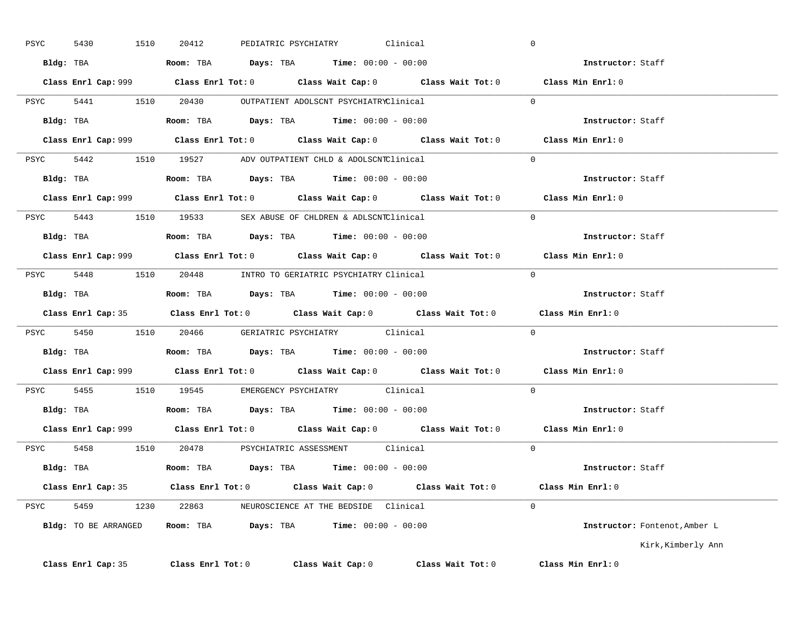| PSYC      | 1510<br>5430       | PEDIATRIC PSYCHIATRY<br>20412                                                               | Clinical          |                   | $\overline{0}$                |
|-----------|--------------------|---------------------------------------------------------------------------------------------|-------------------|-------------------|-------------------------------|
|           |                    | Bldg: TBA                     Room: TBA         Days: TBA         Time: 00:00 - 00:00       |                   |                   | Instructor: Staff             |
|           |                    | Class Enrl Cap: 999 Class Enrl Tot: 0 Class Wait Cap: 0 Class Wait Tot: 0 Class Min Enrl: 0 |                   |                   |                               |
|           |                    | PSYC 5441 1510 20430 OUTPATIENT ADOLSCNT PSYCHIATRYClinical                                 |                   |                   | $\Omega$                      |
| Bldg: TBA |                    | <b>Room:</b> TBA $Days:$ TBA $Time: 00:00 - 00:00$                                          |                   |                   | Instructor: Staff             |
|           |                    | Class Enrl Cap: 999 Class Enrl Tot: 0 Class Wait Cap: 0 Class Wait Tot: 0 Class Min Enrl: 0 |                   |                   |                               |
|           |                    | PSYC 5442 1510 19527 ADV OUTPATIENT CHLD & ADOLSCNTClinical 0                               |                   |                   |                               |
|           |                    | Bldg: TBA                     Room: TBA         Days: TBA         Time: 00:00 - 00:00       |                   |                   | Instructor: Staff             |
|           |                    | Class Enrl Cap: 999 Class Enrl Tot: 0 Class Wait Cap: 0 Class Wait Tot: 0 Class Min Enrl: 0 |                   |                   |                               |
|           |                    | PSYC 5443 1510 19533 SEX ABUSE OF CHLDREN & ADLSCNTClinical                                 |                   | $\sim$ 0          |                               |
|           |                    | Bldg: TBA                   Room: TBA         Days: TBA        Time: $00:00 - 00:00$        |                   |                   | Instructor: Staff             |
|           |                    | Class Enrl Cap: 999 Class Enrl Tot: 0 Class Wait Cap: 0 Class Wait Tot: 0 Class Min Enrl: 0 |                   |                   |                               |
|           |                    | PSYC 5448 1510 20448 INTRO TO GERIATRIC PSYCHIATRY Clinical                                 |                   |                   | $\overline{0}$                |
|           |                    | Bldg: TBA                   Room: TBA         Days: TBA        Time: $00:00 - 00:00$        |                   |                   | Instructor: Staff             |
|           |                    | Class Enrl Cap: 35 Class Enrl Tot: 0 Class Wait Cap: 0 Class Wait Tot: 0                    |                   |                   | Class Min Enrl: 0             |
|           |                    | PSYC 5450 1510 20466 GERIATRIC PSYCHIATRY Clinical 0                                        |                   |                   |                               |
|           |                    | Bldg: TBA                        Room: TBA         Days: TBA         Time: $00:00 - 00:00$  |                   |                   | Instructor: Staff             |
|           |                    | Class Enrl Cap: 999 Class Enrl Tot: 0 Class Wait Cap: 0 Class Wait Tot: 0 Class Min Enrl: 0 |                   |                   |                               |
|           |                    | PSYC 5455 1510 19545 EMERGENCY PSYCHIATRY Clinical                                          |                   |                   | $\Omega$                      |
|           |                    | Bldg: TBA                   Room: TBA        Days: TBA        Time: 00:00 - 00:00           |                   |                   | Instructor: Staff             |
|           |                    | Class Enrl Cap: 999 Class Enrl Tot: 0 Class Wait Cap: 0 Class Wait Tot: 0                   |                   |                   | Class Min Enrl: 0             |
|           |                    | PSYC 5458 1510 20478 PSYCHIATRIC ASSESSMENT Clinical                                        |                   |                   | $\Omega$                      |
|           |                    | Bldg: TBA                   Room: TBA        Days: TBA        Time: 00:00 - 00:00           |                   |                   | Instructor: Staff             |
|           |                    | Class Enrl Cap: 35 Class Enrl Tot: 0 Class Wait Cap: 0 Class Wait Tot: 0 Class Min Enrl: 0  |                   |                   |                               |
|           |                    | PSYC 5459 1230 22863 NEUROSCIENCE AT THE BEDSIDE Clinical                                   |                   |                   | $\Omega$                      |
|           |                    | Bldg: TO BE ARRANGED Room: TBA Days: TBA Time: 00:00 - 00:00                                |                   |                   | Instructor: Fontenot, Amber L |
|           |                    |                                                                                             |                   |                   | Kirk, Kimberly Ann            |
|           | Class Enrl Cap: 35 | $Class$ $Enr1$ $Tot: 0$                                                                     | Class Wait Cap: 0 | Class Wait Tot: 0 | Class Min Enrl: 0             |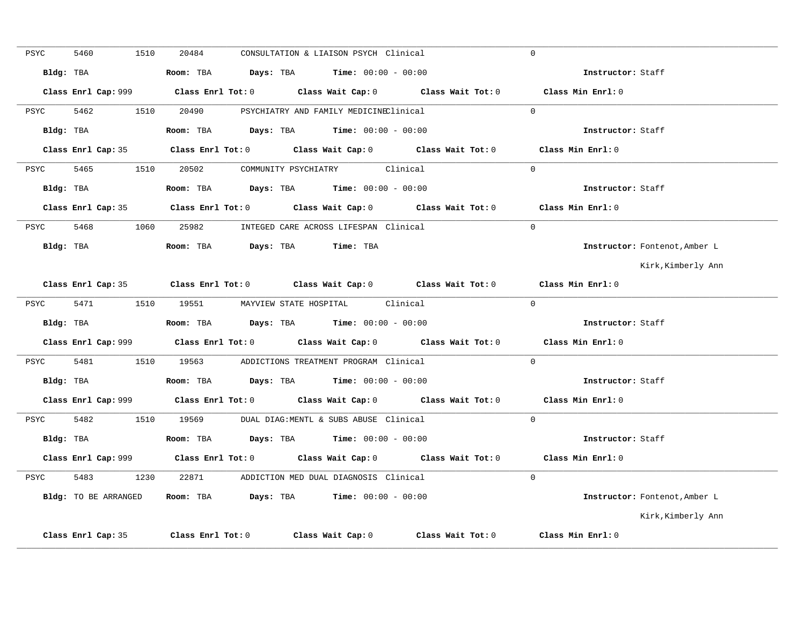| PSYC | 5460                 | 1510 | 20484 | CONSULTATION & LIAISON PSYCH Clinical                                                          |                                                                                             | $\Omega$                      |
|------|----------------------|------|-------|------------------------------------------------------------------------------------------------|---------------------------------------------------------------------------------------------|-------------------------------|
|      | Bldg: TBA            |      |       | Room: TBA $Days: TBA$ Time: $00:00 - 00:00$                                                    |                                                                                             | Instructor: Staff             |
|      |                      |      |       |                                                                                                |                                                                                             | Class Min Enrl: 0             |
| PSYC | 5462                 |      |       | 1510  20490  PSYCHIATRY AND FAMILY MEDICINEClinical                                            |                                                                                             | $\Omega$                      |
|      | Bldg: TBA            |      |       | Room: TBA $\rule{1em}{0.15mm}$ Days: TBA $\rule{1.5mm}{0.15mm}$ Time: $00:00 - 00:00$          |                                                                                             | Instructor: Staff             |
|      |                      |      |       |                                                                                                | Class Enrl Cap: 35 Class Enrl Tot: 0 Class Wait Cap: 0 Class Wait Tot: 0 Class Min Enrl: 0  |                               |
|      |                      |      |       | PSYC 5465 1510 20502 COMMUNITY PSYCHIATRY Clinical                                             |                                                                                             | $\Omega$                      |
|      | Bldg: TBA            |      |       | <b>Room:</b> TBA $\qquad \qquad$ <b>Days:</b> TBA $\qquad \qquad$ <b>Time:</b> $00:00 - 00:00$ |                                                                                             | Instructor: Staff             |
|      |                      |      |       |                                                                                                | Class Enrl Cap: 35 Class Enrl Tot: 0 Class Wait Cap: 0 Class Wait Tot: 0 Class Min Enrl: 0  |                               |
|      |                      |      |       | PSYC 5468 1060 25982 INTEGED CARE ACROSS LIFESPAN Clinical                                     |                                                                                             | $\Omega$                      |
|      |                      |      |       | Bldg: TBA                    Room: TBA        Days: TBA        Time: TBA                       |                                                                                             | Instructor: Fontenot, Amber L |
|      |                      |      |       |                                                                                                |                                                                                             | Kirk,Kimberly Ann             |
|      |                      |      |       |                                                                                                | Class Enrl Cap: 35 Class Enrl Tot: 0 Class Wait Cap: 0 Class Wait Tot: 0                    | Class Min Enrl: 0             |
| PSYC |                      |      |       | 5471 1510 19551 MAYVIEW STATE HOSPITAL Clinical                                                |                                                                                             | $\Omega$                      |
|      |                      |      |       | Bldg: TBA                    Room: TBA         Days: TBA         Time: 00:00 - 00:00           |                                                                                             | Instructor: Staff             |
|      |                      |      |       |                                                                                                | Class Enrl Cap: 999 Class Enrl Tot: 0 Class Wait Cap: 0 Class Wait Tot: 0 Class Min Enrl: 0 |                               |
|      |                      |      |       | PSYC 5481 1510 19563 ADDICTIONS TREATMENT PROGRAM Clinical                                     |                                                                                             | $\Omega$                      |
|      |                      |      |       |                                                                                                |                                                                                             | Instructor: Staff             |
|      |                      |      |       |                                                                                                | Class Enrl Cap: 999 Class Enrl Tot: 0 Class Wait Cap: 0 Class Wait Tot: 0 Class Min Enrl: 0 |                               |
|      |                      |      |       | PSYC 5482 1510 19569 DUAL DIAG:MENTL & SUBS ABUSE Clinical                                     |                                                                                             | $\Omega$                      |
|      |                      |      |       | Bldg: TBA                    Room: TBA          Days: TBA         Time: 00:00 - 00:00          |                                                                                             | Instructor: Staff             |
|      |                      |      |       |                                                                                                | Class Enrl Cap: 999 Class Enrl Tot: 0 Class Wait Cap: 0 Class Wait Tot: 0 Class Min Enrl: 0 |                               |
| PSYC |                      |      |       | 5483 1230 22871 ADDICTION MED DUAL DIAGNOSIS Clinical                                          |                                                                                             | $\Omega$                      |
|      | Bldg: TO BE ARRANGED |      |       | Room: TBA $Days:$ TBA $Time: 00:00 - 00:00$                                                    |                                                                                             | Instructor: Fontenot, Amber L |
|      |                      |      |       |                                                                                                |                                                                                             | Kirk, Kimberly Ann            |
|      | Class Enrl Cap: 35   |      |       |                                                                                                | Class Enrl Tot: 0 Class Wait Cap: 0 Class Wait Tot: 0                                       | Class Min Enrl: 0             |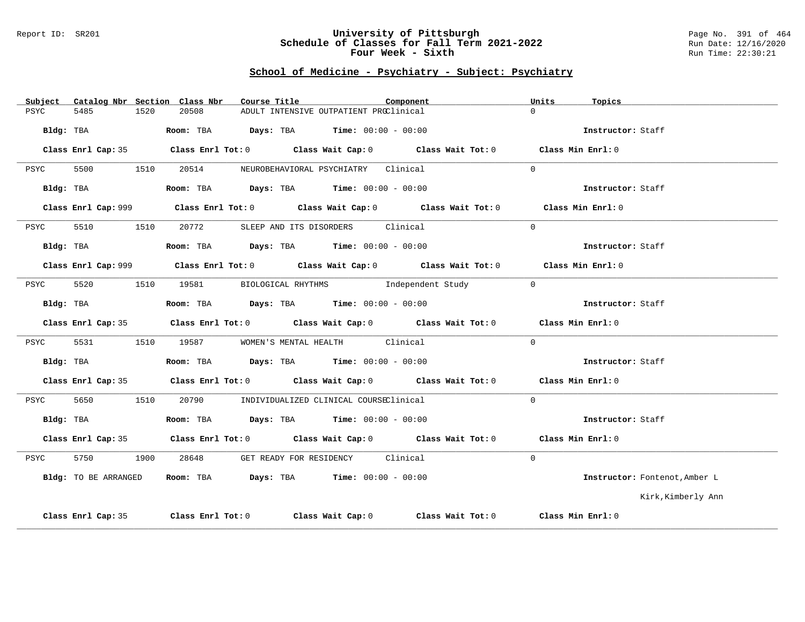#### Report ID: SR201 **University of Pittsburgh** Page No. 391 of 464 **Schedule of Classes for Fall Term 2021-2022** Run Date: 12/16/2020 **Four Week - Sixth** Run Time: 22:30:21

### **School of Medicine - Psychiatry - Subject: Psychiatry**

| Subject |                      |      | Catalog Nbr Section Class Nbr | Course Title                                                                          |                                        | Component                                                                                   | Units    | Topics                        |
|---------|----------------------|------|-------------------------------|---------------------------------------------------------------------------------------|----------------------------------------|---------------------------------------------------------------------------------------------|----------|-------------------------------|
| PSYC    | 5485                 | 1520 | 20508                         |                                                                                       | ADULT INTENSIVE OUTPATIENT PROClinical |                                                                                             | $\cap$   |                               |
|         | Bldg: TBA            |      |                               | Room: TBA $\rule{1em}{0.15mm}$ Days: TBA Time: $00:00 - 00:00$                        |                                        |                                                                                             |          | Instructor: Staff             |
|         | Class Enrl Cap: 35   |      |                               |                                                                                       |                                        | Class Enrl Tot: $0$ Class Wait Cap: $0$ Class Wait Tot: $0$ Class Min Enrl: $0$             |          |                               |
| PSYC    | 5500                 | 1510 |                               | 20514 NEUROBEHAVIORAL PSYCHIATRY Clinical                                             |                                        |                                                                                             | $\Omega$ |                               |
|         | Bldg: TBA            |      |                               | Room: TBA $\rule{1em}{0.15mm}$ Days: TBA Time: $00:00 - 00:00$                        |                                        |                                                                                             |          | Instructor: Staff             |
|         |                      |      |                               |                                                                                       |                                        | Class Enrl Cap: 999 Class Enrl Tot: 0 Class Wait Cap: 0 Class Wait Tot: 0 Class Min Enrl: 0 |          |                               |
| PSYC    | 5510                 | 1510 |                               | 20772 SLEEP AND ITS DISORDERS Clinical                                                |                                        |                                                                                             | $\Omega$ |                               |
|         |                      |      |                               | Bldg: TBA                   Room: TBA         Days: TBA         Time: $00:00 - 00:00$ |                                        |                                                                                             |          | Instructor: Staff             |
|         |                      |      |                               |                                                                                       |                                        | Class Enrl Cap: 999 Class Enrl Tot: 0 Class Wait Cap: 0 Class Wait Tot: 0 Class Min Enrl: 0 |          |                               |
| PSYC    | 5520                 |      |                               |                                                                                       |                                        | 1510 19581 BIOLOGICAL RHYTHMS Independent Study                                             | $\Omega$ |                               |
|         | Bldg: TBA            |      |                               | Room: TBA $Days:$ TBA $Time: 00:00 - 00:00$                                           |                                        |                                                                                             |          | Instructor: Staff             |
|         |                      |      |                               |                                                                                       |                                        | Class Enrl Cap: 35 Class Enrl Tot: 0 Class Wait Cap: 0 Class Wait Tot: 0 Class Min Enrl: 0  |          |                               |
| PSYC    | 5531                 |      |                               | 1510 19587 WOMEN'S MENTAL HEALTH Clinical                                             |                                        |                                                                                             | $\Omega$ |                               |
|         | Bldg: TBA            |      |                               | Room: TBA $Days:$ TBA $Time: 00:00 - 00:00$                                           |                                        |                                                                                             |          | Instructor: Staff             |
|         |                      |      |                               |                                                                                       |                                        | Class Enrl Cap: 35 Class Enrl Tot: 0 Class Wait Cap: 0 Class Wait Tot: 0 Class Min Enrl: 0  |          |                               |
| PSYC    | 5650                 | 1510 |                               | 20790 INDIVIDUALIZED CLINICAL COURSEClinical                                          |                                        |                                                                                             | $\Omega$ |                               |
|         | Bldg: TBA            |      |                               | Room: TBA $Days:$ TBA $Time: 00:00 - 00:00$                                           |                                        |                                                                                             |          | Instructor: Staff             |
|         |                      |      |                               |                                                                                       |                                        | Class Enrl Cap: 35 Class Enrl Tot: 0 Class Wait Cap: 0 Class Wait Tot: 0 Class Min Enrl: 0  |          |                               |
| PSYC    | 5750                 | 1900 | 28648                         |                                                                                       | GET READY FOR RESIDENCY Clinical       |                                                                                             | $\Omega$ |                               |
|         | Bldg: TO BE ARRANGED |      |                               | <b>Room:</b> TBA $\rho$ <b>Days:</b> TBA <b>Time:</b> $00:00 - 00:00$                 |                                        |                                                                                             |          | Instructor: Fontenot, Amber L |
|         |                      |      |                               |                                                                                       |                                        |                                                                                             |          | Kirk,Kimberly Ann             |
|         | Class Enrl Cap: 35   |      |                               |                                                                                       |                                        | Class Enrl Tot: $0$ Class Wait Cap: $0$ Class Wait Tot: $0$ Class Min Enrl: $0$             |          |                               |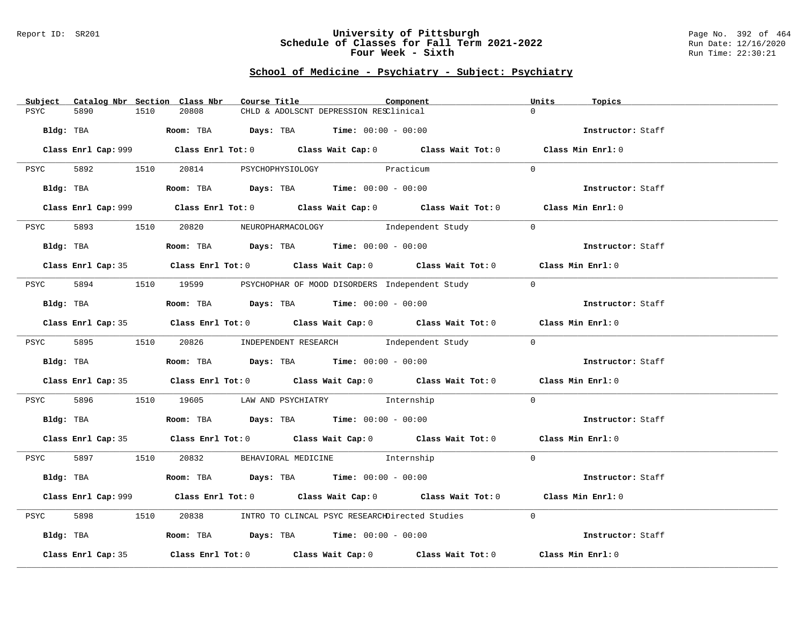#### Report ID: SR201 **University of Pittsburgh** Page No. 392 of 464 **Schedule of Classes for Fall Term 2021-2022** Run Date: 12/16/2020 **Four Week - Sixth** Run Time: 22:30:21

# **School of Medicine - Psychiatry - Subject: Psychiatry**

| Catalog Nbr Section Class Nbr<br>Subject | Course Title<br>Component                                                                          | Units<br>Topics   |
|------------------------------------------|----------------------------------------------------------------------------------------------------|-------------------|
| PSYC<br>5890<br>1510                     | 20808<br>CHLD & ADOLSCNT DEPRESSION RESClinical                                                    | $\Omega$          |
|                                          |                                                                                                    |                   |
| Bldg: TBA                                | Room: TBA $Days:$ TBA $Time: 00:00 - 00:00$                                                        | Instructor: Staff |
|                                          |                                                                                                    |                   |
|                                          | Class Enrl Cap: 999 Class Enrl Tot: 0 Class Wait Cap: 0 Class Wait Tot: 0 Class Min Enrl: 0        |                   |
|                                          |                                                                                                    |                   |
|                                          | PSYC 5892 1510 20814 PSYCHOPHYSIOLOGY Practicum                                                    | $\Omega$          |
|                                          |                                                                                                    |                   |
|                                          | Bldg: TBA                   Room: TBA        Days: TBA        Time: 00:00 - 00:00                  | Instructor: Staff |
|                                          |                                                                                                    |                   |
|                                          | Class Enrl Cap: 999 Class Enrl Tot: 0 Class Wait Cap: 0 Class Wait Tot: 0 Class Min Enrl: 0        |                   |
|                                          | 20820 NEUROPHARMACOLOGY Independent Study                                                          | $\Omega$          |
| 5893 1510<br>PSYC                        |                                                                                                    |                   |
| Bldg: TBA                                | Room: TBA $Days:$ TBA $Time: 00:00 - 00:00$                                                        | Instructor: Staff |
|                                          |                                                                                                    |                   |
|                                          | Class Enrl Cap: 35 Class Enrl Tot: 0 Class Wait Cap: 0 Class Wait Tot: 0 Class Min Enrl: 0         |                   |
|                                          |                                                                                                    |                   |
| PSYC                                     | 5894 1510 19599 PSYCHOPHAR OF MOOD DISORDERS Independent Study                                     | $\overline{0}$    |
|                                          |                                                                                                    |                   |
| Bldg: TBA                                | Room: TBA Days: TBA Time: $00:00 - 00:00$                                                          | Instructor: Staff |
|                                          |                                                                                                    |                   |
|                                          | Class Enrl Cap: 35 Class Enrl Tot: 0 Class Wait Cap: 0 Class Wait Tot: 0 Class Min Enrl: 0         |                   |
|                                          |                                                                                                    |                   |
|                                          | PSYC 5895 1510 20826 INDEPENDENT RESEARCH      Independent Study                                   | $\Omega$          |
|                                          |                                                                                                    |                   |
| Bldg: TBA                                | Room: TBA $\rule{1em}{0.15mm}$ Days: TBA Time: $00:00 - 00:00$                                     | Instructor: Staff |
|                                          |                                                                                                    |                   |
|                                          | Class Enrl Cap: 35 Class Enrl Tot: 0 Class Wait Cap: 0 Class Wait Tot: 0 Class Min Enrl: 0         |                   |
|                                          |                                                                                                    |                   |
|                                          | PSYC 5896 1510 19605 LAW AND PSYCHIATRY Internship                                                 | $\overline{0}$    |
|                                          |                                                                                                    |                   |
| Bldg: TBA                                | Room: TBA $\rule{1em}{0.15mm}$ Days: TBA $\rule{1.5mm}{0.15mm}$ Time: $00:00 - 00:00$              | Instructor: Staff |
|                                          |                                                                                                    |                   |
|                                          | Class Enrl Cap: 35 Class Enrl Tot: 0 Class Wait Cap: 0 Class Wait Tot: 0 Class Min Enrl: 0         |                   |
|                                          | PSYC 5897 1510 20832 BEHAVIORAL MEDICINE Internship                                                | $\Omega$          |
|                                          |                                                                                                    |                   |
|                                          | Bldg: TBA                    Room: TBA        Days: TBA         Time: 00:00 - 00:00                | Instructor: Staff |
|                                          |                                                                                                    |                   |
|                                          | Class Enrl Cap: 999 Class Enrl Tot: 0 Class Wait Cap: 0 Class Wait Tot: 0 Class Min Enrl: 0        |                   |
|                                          |                                                                                                    |                   |
| 5898<br>1510<br>PSYC                     | 20838 INTRO TO CLINCAL PSYC RESEARCHDirected Studies                                               | $\Omega$          |
|                                          |                                                                                                    |                   |
| Bldg: TBA                                | Room: TBA $\rule{1em}{0.15mm}$ Days: TBA Time: $00:00 - 00:00$                                     | Instructor: Staff |
|                                          |                                                                                                    |                   |
| Class Enrl Cap: 35                       | Class Enrl Tot: 0 $\qquad$ Class Wait Cap: 0 $\qquad$ Class Wait Tot: 0 $\qquad$ Class Min Enrl: 0 |                   |
|                                          |                                                                                                    |                   |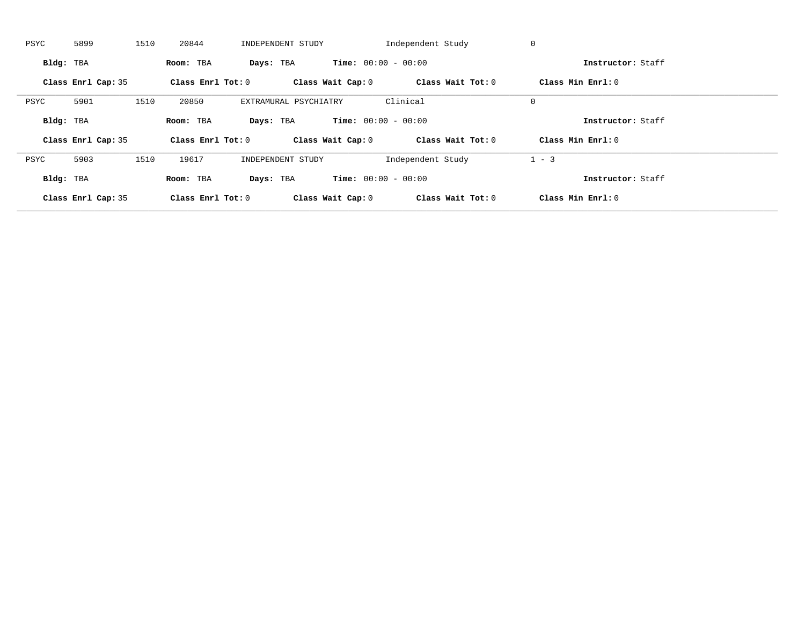| PSYC      | 5899               | 1510 | 20844               | INDEPENDENT STUDY     |                              | Independent Study | 0                 |  |
|-----------|--------------------|------|---------------------|-----------------------|------------------------------|-------------------|-------------------|--|
| Bldg: TBA |                    |      | Room: TBA           | Days: TBA             | <b>Time:</b> $00:00 - 00:00$ |                   | Instructor: Staff |  |
|           | Class Enrl Cap: 35 |      | Class Enrl Tot: $0$ |                       | Class Wait Cap: 0            | Class Wait Tot: 0 | Class Min Enrl: 0 |  |
| PSYC      | 5901               | 1510 | 20850               | EXTRAMURAL PSYCHIATRY |                              | Clinical          | $\mathbf 0$       |  |
| Bldg: TBA |                    |      | Room: TBA           | Days: TBA             | <b>Time:</b> $00:00 - 00:00$ |                   | Instructor: Staff |  |
|           | Class Enrl Cap: 35 |      | Class Enrl Tot: 0   |                       | Class Wait Cap: 0            | Class Wait Tot: 0 | Class Min Enrl: 0 |  |
| PSYC      | 5903               | 1510 | 19617               | INDEPENDENT STUDY     |                              | Independent Study | $1 - 3$           |  |
|           |                    |      |                     |                       |                              |                   |                   |  |
| Bldg: TBA |                    |      | Room: TBA           | Days: TBA             | <b>Time:</b> $00:00 - 00:00$ |                   | Instructor: Staff |  |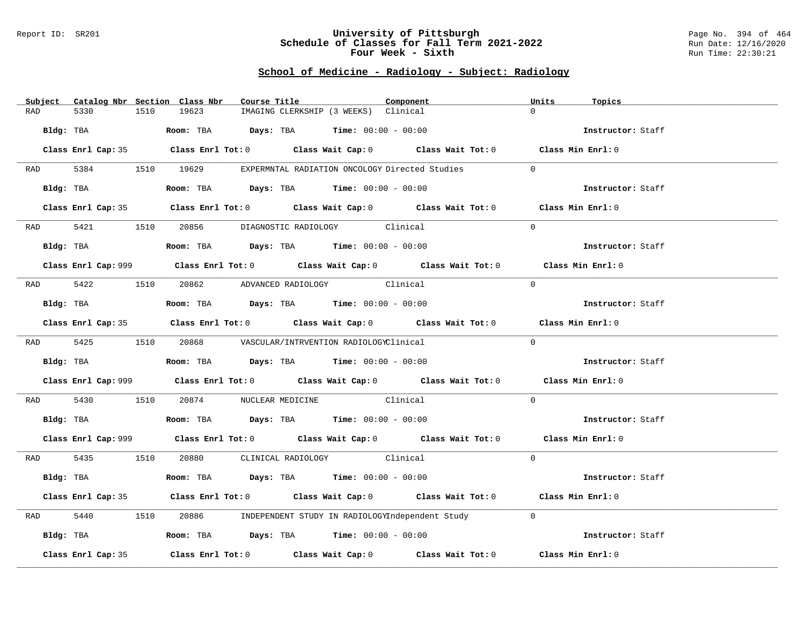#### Report ID: SR201 **University of Pittsburgh** Page No. 394 of 464 **Schedule of Classes for Fall Term 2021-2022** Run Date: 12/16/2020 **Four Week - Sixth** Run Time: 22:30:21

# **School of Medicine - Radiology - Subject: Radiology**

| Subject Catalog Nbr Section Class Nbr | Course Title                                                                                       | Component | Units<br>Topics   |
|---------------------------------------|----------------------------------------------------------------------------------------------------|-----------|-------------------|
| 5330<br>1510<br>RAD                   | 19623<br>IMAGING CLERKSHIP (3 WEEKS) Clinical                                                      |           | $\Omega$          |
| Bldg: TBA                             | Room: TBA $Days:$ TBA $Time: 00:00 - 00:00$                                                        |           | Instructor: Staff |
|                                       | Class Enrl Cap: 35 Class Enrl Tot: 0 Class Wait Cap: 0 Class Wait Tot: 0 Class Min Enrl: 0         |           |                   |
|                                       | RAD 5384 1510 19629 EXPERMNTAL RADIATION ONCOLOGY Directed Studies                                 |           | $\Omega$          |
| Bldg: TBA                             | Room: TBA $Days:$ TBA Time: $00:00 - 00:00$                                                        |           | Instructor: Staff |
|                                       | Class Enrl Cap: 35 Class Enrl Tot: 0 Class Wait Cap: 0 Class Wait Tot: 0 Class Min Enrl: 0         |           |                   |
|                                       | RAD 5421 1510 20856 DIAGNOSTIC RADIOLOGY Clinical                                                  |           | $\Omega$          |
| Bldg: TBA                             | <b>Room:</b> TBA $Days:$ TBA $Time: 00:00 - 00:00$                                                 |           | Instructor: Staff |
|                                       | Class Enrl Cap: 999 Class Enrl Tot: 0 Class Wait Cap: 0 Class Wait Tot: 0 Class Min Enrl: 0        |           |                   |
|                                       | RAD 5422 1510 20862 ADVANCED RADIOLOGY Clinical                                                    |           | $\Omega$          |
| Bldg: TBA                             | Room: TBA Days: TBA Time: $00:00 - 00:00$                                                          |           | Instructor: Staff |
|                                       | Class Enrl Cap: 35 Class Enrl Tot: 0 Class Wait Cap: 0 Class Wait Tot: 0 Class Min Enrl: 0         |           |                   |
|                                       | RAD 5425 1510 20868 VASCULAR/INTRVENTION RADIOLOGYClinical                                         |           | $\Omega$          |
|                                       | Bldg: TBA                   Room: TBA         Days: TBA        Time: $00:00 - 00:00$               |           | Instructor: Staff |
|                                       | Class Enrl Cap: 999 Class Enrl Tot: 0 Class Wait Cap: 0 Class Wait Tot: 0 Class Min Enrl: 0        |           |                   |
| RAD 5430                              | 1510 20874 NUCLEAR MEDICINE Clinical                                                               |           | $\Omega$          |
|                                       | Bldg: TBA                    Room: TBA         Days: TBA         Time: 00:00 - 00:00               |           | Instructor: Staff |
|                                       | Class Enrl Cap: 999 Class Enrl Tot: 0 Class Wait Cap: 0 Class Wait Tot: 0 Class Min Enrl: 0        |           |                   |
|                                       | RAD 5435 1510 20880 CLINICAL RADIOLOGY Clinical                                                    |           | $\Omega$          |
| Bldg: TBA                             | Room: TBA $Days:$ TBA $Time: 00:00 - 00:00$                                                        |           | Instructor: Staff |
|                                       | Class Enrl Cap: 35 Class Enrl Tot: 0 Class Wait Cap: 0 Class Wait Tot: 0 Class Min Enrl: 0         |           |                   |
| 5440<br>RAD                           | 1510 20886 INDEPENDENT STUDY IN RADIOLOGYIndependent Study                                         |           | $\overline{0}$    |
| Bldg: TBA                             | Room: TBA $Days: TBA$ Time: $00:00 - 00:00$                                                        |           | Instructor: Staff |
| Class Enrl Cap: 35                    | Class Enrl Tot: 0 $\qquad$ Class Wait Cap: 0 $\qquad$ Class Wait Tot: 0 $\qquad$ Class Min Enrl: 0 |           |                   |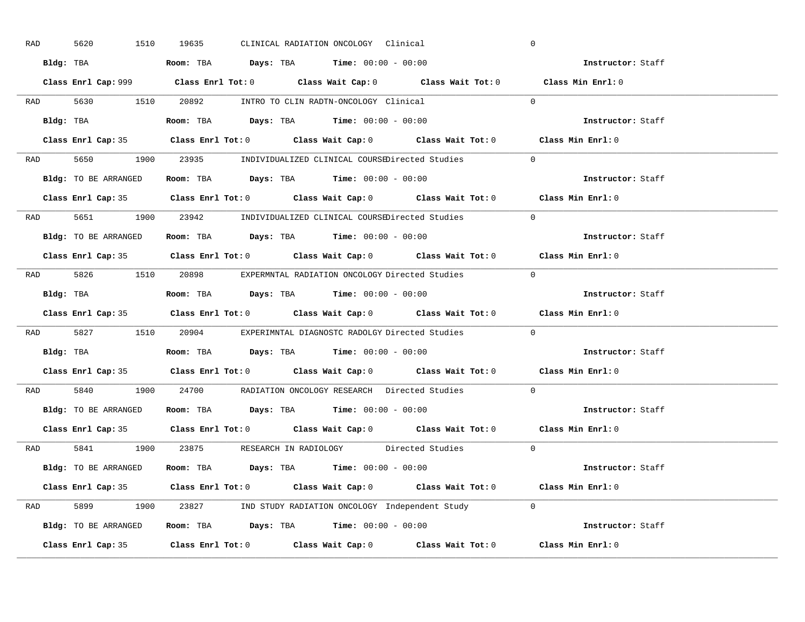| RAD |           | 5620<br>1510                                                                               | 19635 |  | CLINICAL RADIATION ONCOLOGY Clinical                                                |                                                                                            | $\overline{0}$                                                                              |  |
|-----|-----------|--------------------------------------------------------------------------------------------|-------|--|-------------------------------------------------------------------------------------|--------------------------------------------------------------------------------------------|---------------------------------------------------------------------------------------------|--|
|     |           | Bldg: TBA                   Room: TBA         Days: TBA        Time: 00:00 - 00:00         |       |  |                                                                                     |                                                                                            | Instructor: Staff                                                                           |  |
|     |           |                                                                                            |       |  |                                                                                     |                                                                                            | Class Enrl Cap: 999 Class Enrl Tot: 0 Class Wait Cap: 0 Class Wait Tot: 0 Class Min Enrl: 0 |  |
|     |           | RAD 5630 1510 20892 INTRO TO CLIN RADTN-ONCOLOGY Clinical                                  |       |  |                                                                                     |                                                                                            | $\overline{0}$                                                                              |  |
|     |           | Bldg: TBA                                                                                  |       |  | Room: TBA $Days:$ TBA $Time: 00:00 - 00:00$                                         |                                                                                            | Instructor: Staff                                                                           |  |
|     |           |                                                                                            |       |  |                                                                                     | Class Enrl Cap: 35 Class Enrl Tot: 0 Class Wait Cap: 0 Class Wait Tot: 0 Class Min Enrl: 0 |                                                                                             |  |
|     |           |                                                                                            |       |  |                                                                                     | RAD 5650 1900 23935 INDIVIDUALIZED CLINICAL COURSEDirected Studies 0                       |                                                                                             |  |
|     |           | <b>Bldg:</b> TO BE ARRANGED <b>Room:</b> TBA <b>Days:</b> TBA <b>Time:</b> $00:00 - 00:00$ |       |  |                                                                                     |                                                                                            | Instructor: Staff                                                                           |  |
|     |           |                                                                                            |       |  |                                                                                     | Class Enrl Cap: 35 Class Enrl Tot: 0 Class Wait Cap: 0 Class Wait Tot: 0 Class Min Enrl: 0 |                                                                                             |  |
|     |           |                                                                                            |       |  |                                                                                     | RAD 5651 1900 23942 INDIVIDUALIZED CLINICAL COURSEDirected Studies                         | $\Omega$                                                                                    |  |
|     |           | Bldg: TO BE ARRANGED Room: TBA Days: TBA Time: 00:00 - 00:00                               |       |  |                                                                                     |                                                                                            | Instructor: Staff                                                                           |  |
|     |           |                                                                                            |       |  |                                                                                     | Class Enrl Cap: 35 Class Enrl Tot: 0 Class Wait Cap: 0 Class Wait Tot: 0 Class Min Enrl: 0 |                                                                                             |  |
|     |           |                                                                                            |       |  |                                                                                     | RAD 5826 1510 20898 EXPERMNTAL RADIATION ONCOLOGY Directed Studies 0                       |                                                                                             |  |
|     |           | Bldg: TBA                   Room: TBA         Days: TBA        Time: 00:00 - 00:00         |       |  |                                                                                     |                                                                                            | Instructor: Staff                                                                           |  |
|     |           |                                                                                            |       |  |                                                                                     |                                                                                            |                                                                                             |  |
|     |           |                                                                                            |       |  |                                                                                     |                                                                                            | Class Enrl Cap: 35 Class Enrl Tot: 0 Class Wait Cap: 0 Class Wait Tot: 0 Class Min Enrl: 0  |  |
|     |           |                                                                                            |       |  |                                                                                     | RAD 5827 1510 20904 EXPERIMNTAL DIAGNOSTC RADOLGY Directed Studies                         | $\Omega$                                                                                    |  |
|     | Bldg: TBA |                                                                                            |       |  | <b>Room:</b> TBA $\rule{1em}{0.15mm}$ <b>Days:</b> TBA <b>Time:</b> $00:00 - 00:00$ |                                                                                            | Instructor: Staff                                                                           |  |
|     |           |                                                                                            |       |  |                                                                                     |                                                                                            | Class Enrl Cap: 35 Class Enrl Tot: 0 Class Wait Cap: 0 Class Wait Tot: 0 Class Min Enrl: 0  |  |
| RAD |           |                                                                                            |       |  |                                                                                     | 5840 1900 24700 RADIATION ONCOLOGY RESEARCH Directed Studies                               | $\Omega$                                                                                    |  |
|     |           | Bldg: TO BE ARRANGED ROOM: TBA Days: TBA Time: 00:00 - 00:00                               |       |  |                                                                                     |                                                                                            | Instructor: Staff                                                                           |  |
|     |           | Class Enrl Cap: 35                                                                         |       |  |                                                                                     | Class Enrl Tot: $0$ Class Wait Cap: $0$ Class Wait Tot: $0$ Class Min Enrl: $0$            |                                                                                             |  |
|     |           |                                                                                            |       |  |                                                                                     | RAD 5841 1900 23875 RESEARCH IN RADIOLOGY Directed Studies 0                               |                                                                                             |  |
|     |           | Bldg: TO BE ARRANGED                                                                       |       |  | Room: TBA $Days:$ TBA $Time: 00:00 - 00:00$                                         |                                                                                            | Instructor: Staff                                                                           |  |
|     |           |                                                                                            |       |  |                                                                                     | Class Enrl Cap: 35 Class Enrl Tot: 0 Class Wait Cap: 0 Class Wait Tot: 0 Class Min Enrl: 0 |                                                                                             |  |
|     |           |                                                                                            |       |  |                                                                                     | RAD 5899 1900 23827 IND STUDY RADIATION ONCOLOGY Independent Study 0                       |                                                                                             |  |
|     |           |                                                                                            |       |  |                                                                                     | <b>Bldg:</b> TO BE ARRANGED <b>ROOM:</b> TBA <b>Days:</b> TBA <b>Time:</b> $00:00 - 00:00$ | Instructor: Staff                                                                           |  |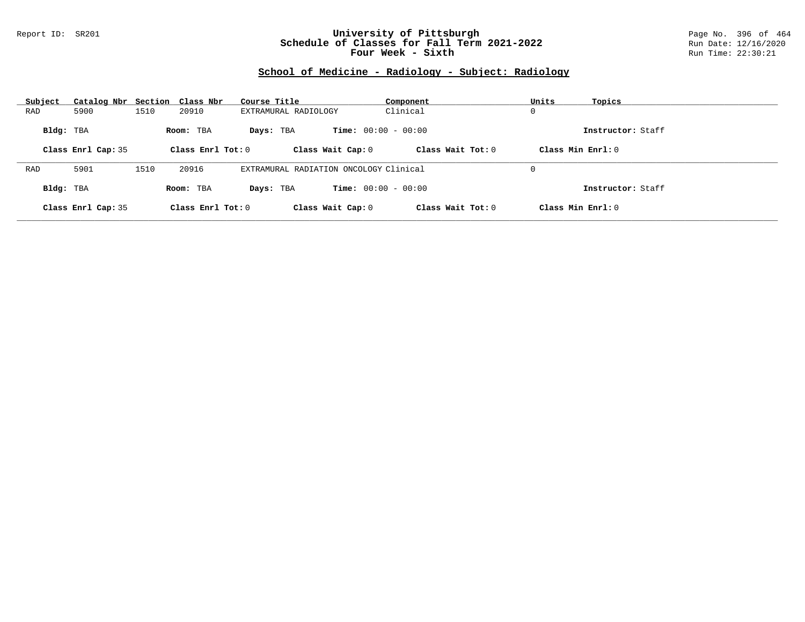### Report ID: SR201 **University of Pittsburgh** Page No. 396 of 464 **Schedule of Classes for Fall Term 2021-2022** Run Date: 12/16/2020 **Four Week - Sixth** Run Time: 22:30:21

# **School of Medicine - Radiology - Subject: Radiology**

| Subject   | Catalog Nbr Section Class Nbr |      |                     | Course Title                           | Component                    | Units               | Topics            |
|-----------|-------------------------------|------|---------------------|----------------------------------------|------------------------------|---------------------|-------------------|
| RAD       | 5900                          | 1510 | 20910               | EXTRAMURAL RADIOLOGY                   | Clinical                     | 0                   |                   |
| Bldg: TBA |                               |      | Room: TBA           | Davs: TBA                              | <b>Time:</b> $00:00 - 00:00$ |                     | Instructor: Staff |
|           | Class Enrl Cap: 35            |      | Class Enrl Tot: $0$ | Class Wait Cap: 0                      | Class Wait $Tot: 0$          | Class Min $Enrl: 0$ |                   |
|           |                               |      |                     |                                        |                              |                     |                   |
| RAD       | 5901                          | 1510 | 20916               | EXTRAMURAL RADIATION ONCOLOGY Clinical |                              | 0                   |                   |
| Bldg: TBA |                               |      | Room: TBA           | Davs: TBA                              | <b>Time:</b> $00:00 - 00:00$ |                     | Instructor: Staff |
|           | Class Enrl Cap: 35            |      | Class Enrl Tot: 0   | Class Wait Cap: 0                      | Class Wait Tot: 0            | Class Min Enrl: 0   |                   |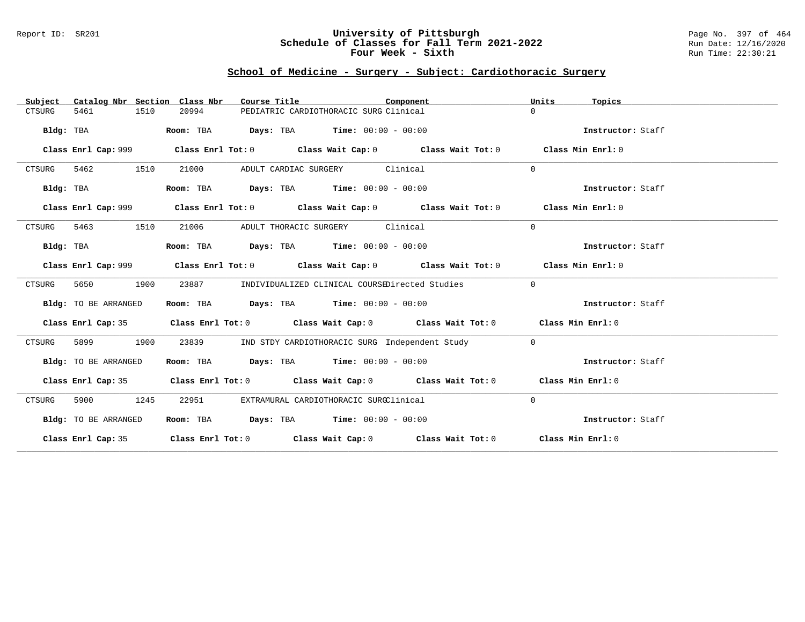#### Report ID: SR201 **University of Pittsburgh** Page No. 397 of 464 **Schedule of Classes for Fall Term 2021-2022** Run Date: 12/16/2020 **Four Week - Sixth** Run Time: 22:30:21

### **School of Medicine - Surgery - Subject: Cardiothoracic Surgery**

| Catalog Nbr Section Class Nbr<br>Subject | Course Title                                                                               | Component                                      | Units<br>Topics   |
|------------------------------------------|--------------------------------------------------------------------------------------------|------------------------------------------------|-------------------|
| 5461<br>1510<br>CTSURG                   | 20994<br>PEDIATRIC CARDIOTHORACIC SURG Clinical                                            |                                                | $\Omega$          |
| Bldg: TBA                                | Room: TBA<br><b>Days:</b> TBA <b>Time:</b> $00:00 - 00:00$                                 |                                                | Instructor: Staff |
|                                          | Class Enrl Cap: 999 Class Enrl Tot: 0 Class Wait Cap: 0 Class Wait Tot: 0                  |                                                | Class Min Enrl: 0 |
| 5462<br>1510<br>CTSURG                   | 21000<br>ADULT CARDIAC SURGERY Clinical                                                    |                                                | $\mathbf 0$       |
| Bldg: TBA                                | <b>Days:</b> TBA <b>Time:</b> $00:00 - 00:00$<br>Room: TBA                                 |                                                | Instructor: Staff |
|                                          |                                                                                            |                                                | Class Min Enrl: 0 |
| 5463<br>1510<br>CTSURG                   | 21006<br>ADULT THORACIC SURGERY                                                            | Clinical                                       | $\mathbf{0}$      |
| Bldg: TBA                                | $\texttt{Days:}$ TBA $\texttt{Time:}$ 00:00 - 00:00<br>Room: TBA                           |                                                | Instructor: Staff |
|                                          |                                                                                            |                                                | Class Min Enrl: 0 |
| 1900<br>5650<br>CTSURG                   | 23887<br>INDIVIDUALIZED CLINICAL COURSEDirected Studies                                    |                                                | $\mathbf 0$       |
| Bldg: TO BE ARRANGED                     | Room: TBA $\rule{1em}{0.15mm}$ Days: TBA $\rule{1.15mm}]{0.15mm}$ Time: $0.000 - 0.000$    |                                                | Instructor: Staff |
|                                          | Class Enrl Cap: 35 Class Enrl Tot: 0 Class Wait Cap: 0 Class Wait Tot: 0 Class Min Enrl: 0 |                                                |                   |
| 5899<br>1900<br>CTSURG                   | 23839                                                                                      | IND STDY CARDIOTHORACIC SURG Independent Study | $\mathbf 0$       |
| Bldg: TO BE ARRANGED                     | Room: TBA $Days:$ TBA $Time: 00:00 - 00:00$                                                |                                                | Instructor: Staff |
|                                          | Class Enrl Cap: 35 Class Enrl Tot: 0 Class Wait Cap: 0 Class Wait Tot: 0 Class Min Enrl: 0 |                                                |                   |
| 5900<br>1245<br>CTSURG                   | 22951<br>EXTRAMURAL CARDIOTHORACIC SURGClinical                                            |                                                | $\Omega$          |
| Bldg: TO BE ARRANGED                     | Room: TBA $Days:$ TBA $Time: 00:00 - 00:00$                                                |                                                | Instructor: Staff |
|                                          | Class Enrl Cap: 35 Class Enrl Tot: 0 Class Wait Cap: 0 Class Wait Tot: 0 Class Min Enrl: 0 |                                                |                   |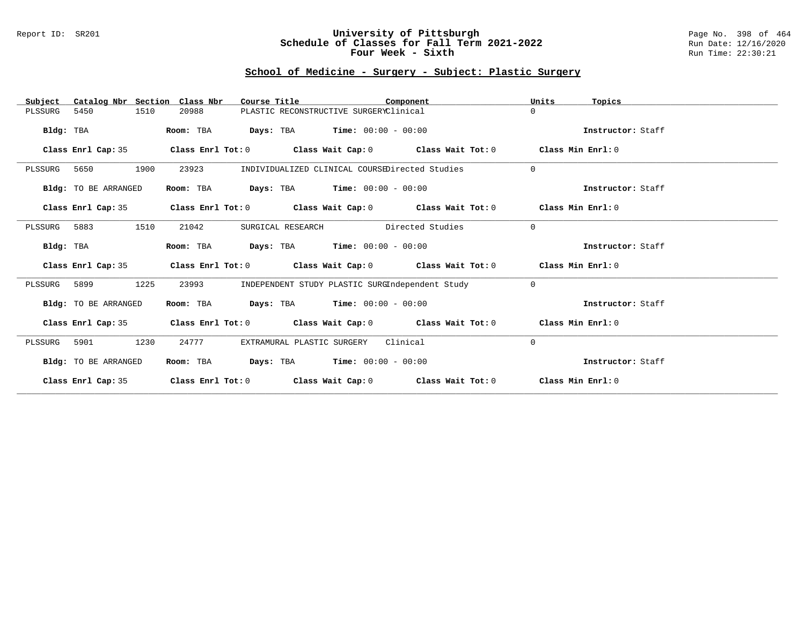#### Report ID: SR201 **University of Pittsburgh** Page No. 398 of 464 **Schedule of Classes for Fall Term 2021-2022** Run Date: 12/16/2020 **Four Week - Sixth** Run Time: 22:30:21

### **School of Medicine - Surgery - Subject: Plastic Surgery**

| Catalog Nbr Section Class Nbr<br>Subject | Course Title                                                                    | Component                                           | Units<br>Topics   |
|------------------------------------------|---------------------------------------------------------------------------------|-----------------------------------------------------|-------------------|
| 5450<br>1510<br>PLSSURG                  | 20988                                                                           | PLASTIC RECONSTRUCTIVE SURGERYClinical              | $\Omega$          |
| Bldg: TBA                                | Room: TBA                                                                       | <b>Days:</b> TBA <b>Time:</b> $00:00 - 00:00$       | Instructor: Staff |
| Class Enrl Cap: 35                       | Class Enrl Tot: $0$ Class Wait Cap: $0$ Class Wait Tot: $0$                     |                                                     | Class Min Enrl: 0 |
| 1900<br>PLSSURG 5650                     | 23923                                                                           | INDIVIDUALIZED CLINICAL COURSEDirected Studies      | $\Omega$          |
| Bldg: TO BE ARRANGED                     | Room: TBA                                                                       | <b>Days:</b> TBA <b>Time:</b> $00:00 - 00:00$       | Instructor: Staff |
| Class Enrl Cap: 35                       | Class Enrl Tot: $0$ Class Wait Cap: $0$ Class Wait Tot: $0$                     |                                                     | Class Min Enrl: 0 |
| PLSSURG 5883<br>1510                     | 21042<br>SURGICAL RESEARCH                                                      | Directed Studies                                    | $\Omega$          |
| Bldg: TBA                                | Room: TBA                                                                       | $Days: TBA$ Time: $00:00 - 00:00$                   | Instructor: Staff |
| Class Enrl Cap: 35                       | Class Enrl Tot: $0$ Class Wait Cap: $0$ Class Wait Tot: $0$                     |                                                     | Class Min Enrl: 0 |
| 1225<br>PLSSURG 5899                     | 23993                                                                           | INDEPENDENT STUDY PLASTIC SURGIndependent Study     | $\Omega$          |
| Bldg: TO BE ARRANGED                     | Room: TBA                                                                       | $\texttt{Days:}$ TBA $\texttt{Time:}$ 00:00 - 00:00 | Instructor: Staff |
| Class Enrl Cap: 35                       | Class Enrl Tot: $0$ Class Wait Cap: $0$ Class Wait Tot: $0$ Class Min Enrl: $0$ |                                                     |                   |
| 1230<br>5901<br>PLSSURG                  | 24777<br>EXTRAMURAL PLASTIC SURGERY                                             | Clinical                                            | $\Omega$          |
| Bldg: TO BE ARRANGED                     | Room: TBA                                                                       | <b>Days:</b> TBA <b>Time:</b> $00:00 - 00:00$       | Instructor: Staff |
| Class Enrl Cap: 35                       | Class Enrl Tot: $0$ Class Wait Cap: $0$ Class Wait Tot: $0$                     |                                                     | Class Min Enrl: 0 |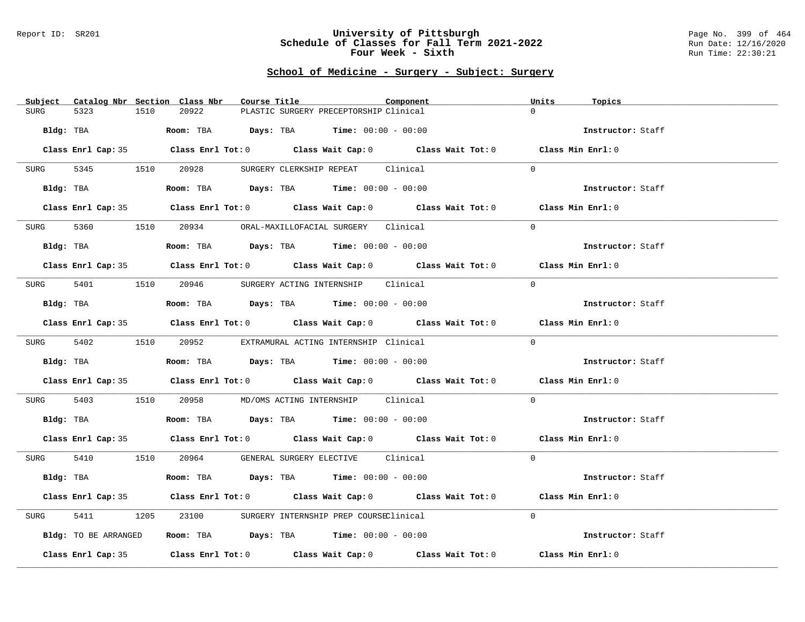#### Report ID: SR201 **University of Pittsburgh** Page No. 399 of 464 **Schedule of Classes for Fall Term 2021-2022** Run Date: 12/16/2020 **Four Week - Sixth** Run Time: 22:30:21

### **School of Medicine - Surgery - Subject: Surgery**

| Subject Catalog Nbr Section Class Nbr | Course Title                                                                                 | Component | Units<br>Topics   |
|---------------------------------------|----------------------------------------------------------------------------------------------|-----------|-------------------|
| 5323<br>1510<br><b>SURG</b>           | 20922<br>PLASTIC SURGERY PRECEPTORSHIP Clinical                                              |           | $\Omega$          |
| Bldg: TBA                             | Room: TBA $Days:$ TBA $Time: 00:00 - 00:00$                                                  |           | Instructor: Staff |
|                                       | Class Enrl Cap: 35 Class Enrl Tot: 0 Class Wait Cap: 0 Class Wait Tot: 0 Class Min Enrl: 0   |           |                   |
| 5345 1510 20928<br>SURG               | SURGERY CLERKSHIP REPEAT Clinical                                                            |           | $\Omega$          |
|                                       | <b>Bldg:</b> TBA <b>Room:</b> TBA <b>Days:</b> TBA <b>Time:</b> $00:00 - 00:00$              |           | Instructor: Staff |
|                                       | Class Enrl Cap: 35 Class Enrl Tot: 0 Class Wait Cap: 0 Class Wait Tot: 0 Class Min Enrl: 0   |           |                   |
|                                       | SURG 5360 1510 20934 ORAL-MAXILLOFACIAL SURGERY Clinical                                     |           | $\Omega$          |
| Bldg: TBA                             | Room: TBA $Days:$ TBA $Time: 00:00 - 00:00$                                                  |           | Instructor: Staff |
|                                       | Class Enrl Cap: 35 Class Enrl Tot: 0 Class Wait Cap: 0 Class Wait Tot: 0 Class Min Enrl: 0   |           |                   |
|                                       | SURG 5401 1510 20946 SURGERY ACTING INTERNSHIP Clinical                                      |           | $\Omega$          |
| Bldg: TBA                             | Room: TBA $Days:$ TBA $Time: 00:00 - 00:00$                                                  |           | Instructor: Staff |
|                                       | Class Enrl Cap: 35 Class Enrl Tot: 0 Class Wait Cap: 0 Class Wait Tot: 0 Class Min Enrl: 0   |           |                   |
|                                       | SURG 5402 1510 20952 EXTRAMURAL ACTING INTERNSHIP Clinical                                   |           | $\Omega$          |
| Bldg: TBA                             | Room: TBA $\rule{1em}{0.15mm}$ Days: TBA Time: $00:00 - 00:00$                               |           | Instructor: Staff |
|                                       | Class Enrl Cap: 35 Class Enrl Tot: 0 Class Wait Cap: 0 Class Wait Tot: 0 Class Min Enrl: 0   |           |                   |
| 5403<br>SURG                          | 1510  20958  MD/OMS ACTING INTERNSHIP  Clinical                                              |           | $\Omega$          |
|                                       | Bldg: TBA                         Room: TBA          Days: TBA         Time: $00:00 - 00:00$ |           | Instructor: Staff |
|                                       | Class Enrl Cap: 35 Class Enrl Tot: 0 Class Wait Cap: 0 Class Wait Tot: 0 Class Min Enrl: 0   |           |                   |
|                                       | SURG 5410 1510 20964 GENERAL SURGERY ELECTIVE Clinical                                       |           | $\Omega$          |
| Bldg: TBA                             | Room: TBA $Days:$ TBA $Time: 00:00 - 00:00$                                                  |           | Instructor: Staff |
|                                       | Class Enrl Cap: 35 Class Enrl Tot: 0 Class Wait Cap: 0 Class Wait Tot: 0 Class Min Enrl: 0   |           |                   |
| 5411<br>SURG                          | 1205 23100 SURGERY INTERNSHIP PREP COURSEClinical                                            |           | $\Omega$          |
| Bldg: TO BE ARRANGED                  | Room: TBA $\rule{1em}{0.15mm}$ Days: TBA Time: $00:00 - 00:00$                               |           | Instructor: Staff |
|                                       | Class Enrl Cap: 35 Class Enrl Tot: 0 Class Wait Cap: 0 Class Wait Tot: 0                     |           | Class Min Enrl: 0 |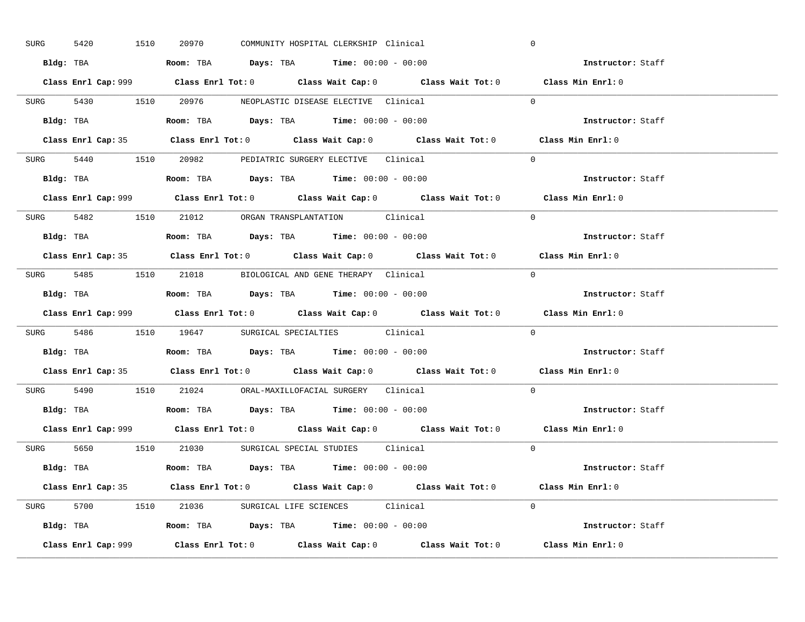| 5420<br>SURG | 1510<br>20970 |                                                                                        | COMMUNITY HOSPITAL CLERKSHIP Clinical       |                                                                                             | $\mathbf 0$       |  |
|--------------|---------------|----------------------------------------------------------------------------------------|---------------------------------------------|---------------------------------------------------------------------------------------------|-------------------|--|
|              |               | Bldg: TBA                      Room: TBA         Days: TBA         Time: 00:00 - 00:00 |                                             |                                                                                             | Instructor: Staff |  |
|              |               |                                                                                        |                                             | Class Enrl Cap: 999 Class Enrl Tot: 0 Class Wait Cap: 0 Class Wait Tot: 0 Class Min Enrl: 0 |                   |  |
|              |               | SURG 5430 1510 20976 NEOPLASTIC DISEASE ELECTIVE Clinical                              |                                             |                                                                                             | $\Omega$          |  |
|              |               |                                                                                        |                                             |                                                                                             | Instructor: Staff |  |
|              |               |                                                                                        |                                             | Class Enrl Cap: 35 Class Enrl Tot: 0 Class Wait Cap: 0 Class Wait Tot: 0 Class Min Enrl: 0  |                   |  |
|              |               | SURG 5440 1510 20982 PEDIATRIC SURGERY ELECTIVE Clinical                               |                                             |                                                                                             | $\Omega$          |  |
|              |               | <b>Bldg:</b> TBA <b>ROOM:</b> TBA <b>Days:</b> TBA <b>Time:</b> $00:00 - 00:00$        |                                             |                                                                                             | Instructor: Staff |  |
|              |               |                                                                                        |                                             | Class Enrl Cap: 999 Class Enrl Tot: 0 Class Wait Cap: 0 Class Wait Tot: 0 Class Min Enrl: 0 |                   |  |
|              |               | SURG 5482 1510 21012 ORGAN TRANSPLANTATION Clinical                                    |                                             |                                                                                             | $\Omega$          |  |
|              |               | Bldg: TBA                   Room: TBA         Days: TBA         Time: $00:00 - 00:00$  |                                             |                                                                                             | Instructor: Staff |  |
|              |               |                                                                                        |                                             | Class Enrl Cap: 35 Class Enrl Tot: 0 Class Wait Cap: 0 Class Wait Tot: 0 Class Min Enrl: 0  |                   |  |
|              |               | SURG 5485 1510 21018 BIOLOGICAL AND GENE THERAPY Clinical                              |                                             |                                                                                             | $\Omega$          |  |
|              |               | Bldg: TBA                   Room: TBA         Days: TBA         Time: $00:00 - 00:00$  |                                             |                                                                                             | Instructor: Staff |  |
|              |               |                                                                                        |                                             | Class Enrl Cap: 999 Class Enrl Tot: 0 Class Wait Cap: 0 Class Wait Tot: 0                   | Class Min Enrl: 0 |  |
|              |               | SURG 5486 1510 19647 SURGICAL SPECIALTIES Clinical                                     |                                             |                                                                                             | $\Omega$          |  |
|              |               |                                                                                        | Room: TBA $Days:$ TBA Time: $00:00 - 00:00$ |                                                                                             | Instructor: Staff |  |
| Bldg: TBA    |               |                                                                                        |                                             |                                                                                             |                   |  |
|              |               |                                                                                        |                                             | Class Enrl Cap: 35 Class Enrl Tot: 0 Class Wait Cap: 0 Class Wait Tot: 0 Class Min Enrl: 0  |                   |  |
|              |               | SURG 5490 1510 21024 ORAL-MAXILLOFACIAL SURGERY Clinical                               |                                             |                                                                                             | $\Omega$          |  |
|              |               | Bldg: TBA                   Room: TBA         Days: TBA         Time: $00:00 - 00:00$  |                                             |                                                                                             | Instructor: Staff |  |
|              |               |                                                                                        |                                             | Class Enrl Cap: 999 Class Enrl Tot: 0 Class Wait Cap: 0 Class Wait Tot: 0 Class Min Enrl: 0 |                   |  |
|              |               | SURG 5650 1510 21030 SURGICAL SPECIAL STUDIES Clinical                                 |                                             |                                                                                             | $\Omega$          |  |
|              |               | Bldg: TBA                    Room: TBA         Days: TBA         Time: 00:00 - 00:00   |                                             |                                                                                             | Instructor: Staff |  |
|              |               |                                                                                        |                                             | Class Enrl Cap: 35 Class Enrl Tot: 0 Class Wait Cap: 0 Class Wait Tot: 0 Class Min Enrl: 0  |                   |  |
|              |               | SURG 5700 1510 21036 SURGICAL LIFE SCIENCES Clinical                                   |                                             |                                                                                             | $\Omega$          |  |
|              |               | Bldg: TBA                   Room: TBA         Days: TBA         Time: $00:00 - 00:00$  |                                             |                                                                                             | Instructor: Staff |  |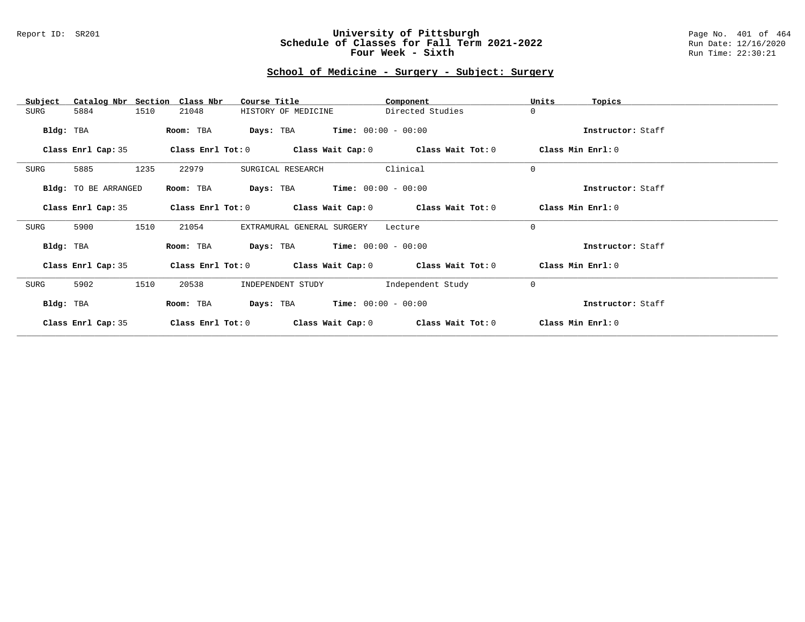#### Report ID: SR201 **University of Pittsburgh** Page No. 401 of 464 **Schedule of Classes for Fall Term 2021-2022** Run Date: 12/16/2020 **Four Week - Sixth** Run Time: 22:30:21

### **School of Medicine - Surgery - Subject: Surgery**

| Catalog Nbr Section<br>Subject | Class Nbr<br>Course Title                                   | Component         | Units<br>Topics   |
|--------------------------------|-------------------------------------------------------------|-------------------|-------------------|
| 1510<br>SURG<br>5884           | HISTORY OF MEDICINE<br>21048                                | Directed Studies  | $\mathbf 0$       |
| Bldg: TBA                      | $Time: 00:00 - 00:00$<br>Room: TBA<br>Days: TBA             |                   | Instructor: Staff |
| Class Enrl Cap: 35             | Class Enrl Tot: $0$ Class Wait Cap: $0$ Class Wait Tot: $0$ |                   | Class Min Enrl: 0 |
| 1235<br>SURG<br>5885           | 22979<br>SURGICAL RESEARCH                                  | Clinical          | $\mathbf 0$       |
| Bldg: TO BE ARRANGED           | <b>Days:</b> TBA <b>Time:</b> $00:00 - 00:00$<br>Room: TBA  |                   | Instructor: Staff |
| Class Enrl Cap: 35             | Class Enrl Tot: $0$ Class Wait Cap: $0$ Class Wait Tot: $0$ |                   | Class Min Enrl: 0 |
| 1510<br>SURG<br>5900           | 21054<br>EXTRAMURAL GENERAL SURGERY                         | Lecture           | $\Omega$          |
| Bldg: TBA                      | <b>Days:</b> TBA <b>Time:</b> $00:00 - 00:00$<br>Room: TBA  |                   | Instructor: Staff |
| Class Enrl Cap: 35             | Class Enrl Tot: $0$ Class Wait Cap: $0$ Class Wait Tot: $0$ |                   | Class Min Enrl: 0 |
| 1510<br>SURG<br>5902           | 20538<br>INDEPENDENT STUDY                                  | Independent Study | $\mathbf 0$       |
| Bldg: TBA                      | $Time: 00:00 - 00:00$<br>Days: TBA<br>Room: TBA             |                   | Instructor: Staff |
| Class Enrl Cap: 35             | Class Enrl Tot: 0<br>Class Wait Cap: 0                      | Class Wait Tot: 0 | Class Min Enrl: 0 |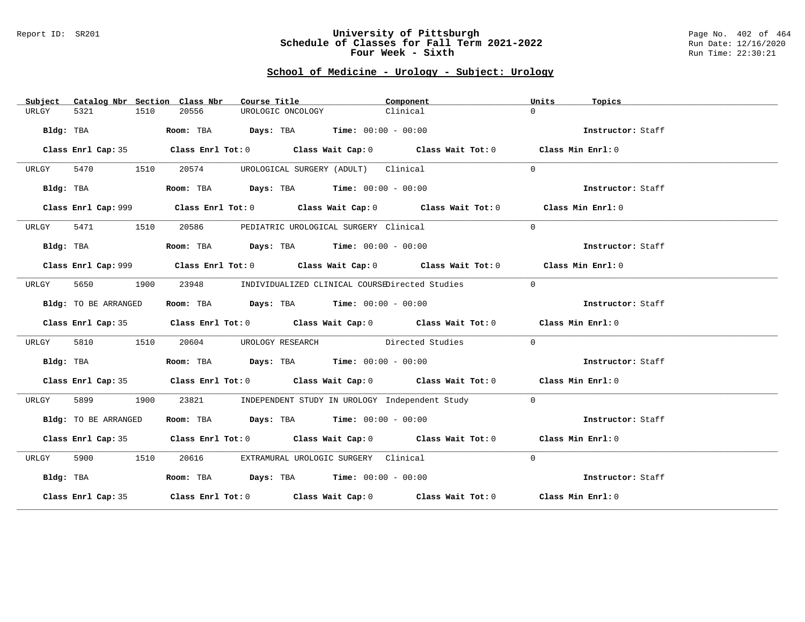#### Report ID: SR201 **University of Pittsburgh** Page No. 402 of 464 **Schedule of Classes for Fall Term 2021-2022** Run Date: 12/16/2020 **Four Week - Sixth** Run Time: 22:30:21

# **School of Medicine - Urology - Subject: Urology**

| Subject   |                      |      | Catalog Nbr Section Class Nbr | Course Title |                                                                | Component |                                                                                             | Units    | Topics            |  |
|-----------|----------------------|------|-------------------------------|--------------|----------------------------------------------------------------|-----------|---------------------------------------------------------------------------------------------|----------|-------------------|--|
| URLGY     | 5321                 | 1510 | 20556                         |              | UROLOGIC ONCOLOGY                                              | Clinical  |                                                                                             | $\Omega$ |                   |  |
|           | Bldg: TBA            |      |                               |              | Room: TBA $Days:$ TBA $Time: 00:00 - 00:00$                    |           |                                                                                             |          | Instructor: Staff |  |
|           |                      |      |                               |              |                                                                |           | Class Enrl Cap: 35 Class Enrl Tot: 0 Class Wait Cap: 0 Class Wait Tot: 0 Class Min Enrl: 0  |          |                   |  |
| URLGY     | 5470 1510            |      | 20574                         |              | UROLOGICAL SURGERY (ADULT) Clinical                            |           |                                                                                             | $\Omega$ |                   |  |
|           | Bldg: TBA            |      |                               |              | Room: TBA $Days:$ TBA $Time: 00:00 - 00:00$                    |           |                                                                                             |          | Instructor: Staff |  |
|           |                      |      |                               |              |                                                                |           | Class Enrl Cap: 999 Class Enrl Tot: 0 Class Wait Cap: 0 Class Wait Tot: 0 Class Min Enrl: 0 |          |                   |  |
| URLGY     | 5471 1510            |      |                               |              | 20586 PEDIATRIC UROLOGICAL SURGERY Clinical                    |           |                                                                                             | $\Omega$ |                   |  |
|           | Bldg: TBA            |      |                               |              | Room: TBA $\rule{1em}{0.15mm}$ Days: TBA Time: $00:00 - 00:00$ |           |                                                                                             |          | Instructor: Staff |  |
|           |                      |      |                               |              |                                                                |           | Class Enrl Cap: 999 Class Enrl Tot: 0 Class Wait Cap: 0 Class Wait Tot: 0 Class Min Enrl: 0 |          |                   |  |
| URLGY     | 5650                 | 1900 | 23948                         |              |                                                                |           | INDIVIDUALIZED CLINICAL COURSEDirected Studies                                              | $\Omega$ |                   |  |
|           | Bldg: TO BE ARRANGED |      |                               |              | Room: TBA $Days:$ TBA $Time: 00:00 - 00:00$                    |           |                                                                                             |          | Instructor: Staff |  |
|           |                      |      |                               |              |                                                                |           | Class Enrl Cap: 35 Class Enrl Tot: 0 Class Wait Cap: 0 Class Wait Tot: 0 Class Min Enrl: 0  |          |                   |  |
| URLGY     | 5810                 | 1510 |                               |              |                                                                |           | 20604 UROLOGY RESEARCH Directed Studies                                                     | $\Omega$ |                   |  |
|           | Bldg: TBA            |      |                               |              | Room: TBA $Days: TBA$ Time: $00:00 - 00:00$                    |           |                                                                                             |          | Instructor: Staff |  |
|           |                      |      |                               |              |                                                                |           | Class Enrl Cap: 35 Class Enrl Tot: 0 Class Wait Cap: 0 Class Wait Tot: 0 Class Min Enrl: 0  |          |                   |  |
| URLGY     | 5899                 | 1900 |                               |              |                                                                |           | 23821 INDEPENDENT STUDY IN UROLOGY Independent Study                                        | $\Omega$ |                   |  |
|           | Bldg: TO BE ARRANGED |      |                               |              | Room: TBA $Days:$ TBA $Time: 00:00 - 00:00$                    |           |                                                                                             |          | Instructor: Staff |  |
|           |                      |      |                               |              |                                                                |           | Class Enrl Cap: 35 Class Enrl Tot: 0 Class Wait Cap: 0 Class Wait Tot: 0 Class Min Enrl: 0  |          |                   |  |
| URLGY     | 5900 1510            |      | 20616                         |              | EXTRAMURAL UROLOGIC SURGERY Clinical                           |           |                                                                                             | $\Omega$ |                   |  |
| Bldg: TBA |                      |      |                               |              | Room: TBA $Days:$ TBA Time: $00:00 - 00:00$                    |           |                                                                                             |          | Instructor: Staff |  |
|           |                      |      |                               |              |                                                                |           | Class Enrl Cap: 35 Class Enrl Tot: 0 Class Wait Cap: 0 Class Wait Tot: 0 Class Min Enrl: 0  |          |                   |  |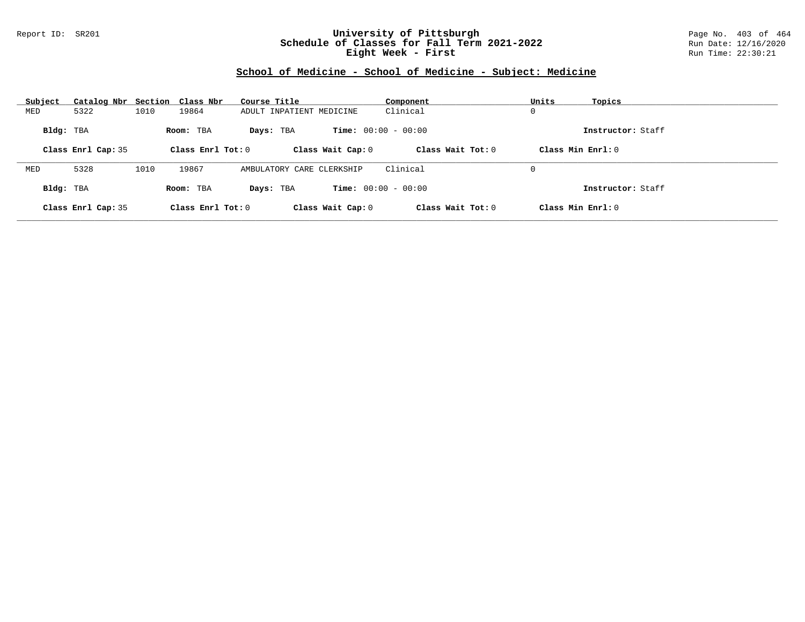#### Report ID: SR201 **University of Pittsburgh** Page No. 403 of 464 **Schedule of Classes for Fall Term 2021-2022** Run Date: 12/16/2020 **Eight Week - First** Run Time: 22:30:21

# **School of Medicine - School of Medicine - Subject: Medicine**

| Subject   | Catalog Nbr Section Class Nbr |      |                     | Course Title              | Component                    | Units               | Topics            |
|-----------|-------------------------------|------|---------------------|---------------------------|------------------------------|---------------------|-------------------|
| MED       | 5322                          | 1010 | 19864               | ADULT INPATIENT MEDICINE  | Clinical                     | 0                   |                   |
| Bldg: TBA |                               |      | Room: TBA           | Days: TBA                 | <b>Time:</b> $00:00 - 00:00$ |                     | Instructor: Staff |
|           | Class Enrl Cap: 35            |      | Class Enrl Tot: $0$ | Class Wait Cap: 0         | Class Wait Tot: 0            | Class Min Enrl: 0   |                   |
|           |                               |      |                     |                           |                              |                     |                   |
| MED       | 5328                          | 1010 | 19867               | AMBULATORY CARE CLERKSHIP | Clinical                     | 0                   |                   |
| Bldg: TBA |                               |      | Room: TBA           | Days: TBA                 | <b>Time:</b> $00:00 - 00:00$ |                     | Instructor: Staff |
|           | Class Enrl Cap: 35            |      | Class Enrl Tot: $0$ | Class Wait Cap: 0         | Class Wait $Tot: 0$          | Class Min $Enrl: 0$ |                   |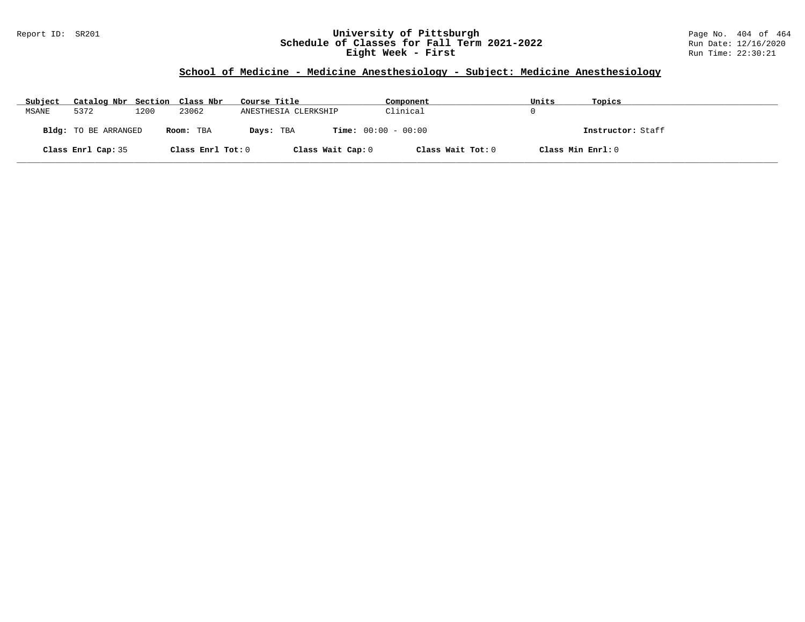#### Report ID: SR201 **University of Pittsburgh** Page No. 404 of 464 **Schedule of Classes for Fall Term 2021-2022** Run Date: 12/16/2020 **Eight Week - First** Run Time: 22:30:21

# **School of Medicine - Medicine Anesthesiology - Subject: Medicine Anesthesiology**

| Subject | Catalog Nbr Section Class Nbr |      |                   | Course Title                              | Component         | Units             | Topics            |
|---------|-------------------------------|------|-------------------|-------------------------------------------|-------------------|-------------------|-------------------|
| MSANE   | 5372                          | 1200 | 23062             | ANESTHESIA CLERKSHIP                      | Clinical          |                   |                   |
|         | <b>Bldg:</b> TO BE ARRANGED   |      | Room: TBA         | <b>Time:</b> $00:00 - 00:00$<br>Days: TBA |                   |                   | Instructor: Staff |
|         | Class Enrl Cap: 35            |      | Class Enrl Tot: 0 | Class Wait Cap: 0                         | Class Wait Tot: 0 | Class Min Enrl: 0 |                   |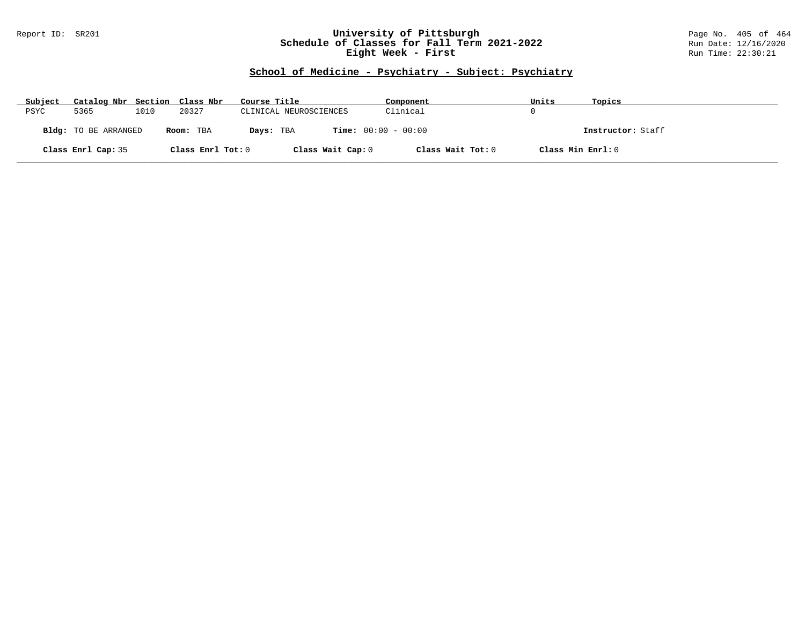#### Report ID: SR201 **University of Pittsburgh** Page No. 405 of 464 **Schedule of Classes for Fall Term 2021-2022** Run Date: 12/16/2020 **Eight Week - First** Run Time: 22:30:21

# **School of Medicine - Psychiatry - Subject: Psychiatry**

| Subject | Catalog Nbr Section Class Nbr |      |                   | Course Title                              | Component         | Units             | Topics            |
|---------|-------------------------------|------|-------------------|-------------------------------------------|-------------------|-------------------|-------------------|
| PSYC    | 5365                          | 1010 | 20327             | CLINICAL NEUROSCIENCES                    | Clinical          |                   |                   |
|         | <b>Bldg:</b> TO BE ARRANGED   |      | Room: TBA         | <b>Time:</b> $00:00 - 00:00$<br>Days: TBA |                   |                   | Instructor: Staff |
|         | Class Enrl Cap: 35            |      | Class Enrl Tot: 0 | Class Wait Cap: 0                         | Class Wait Tot: 0 | Class Min Enrl: 0 |                   |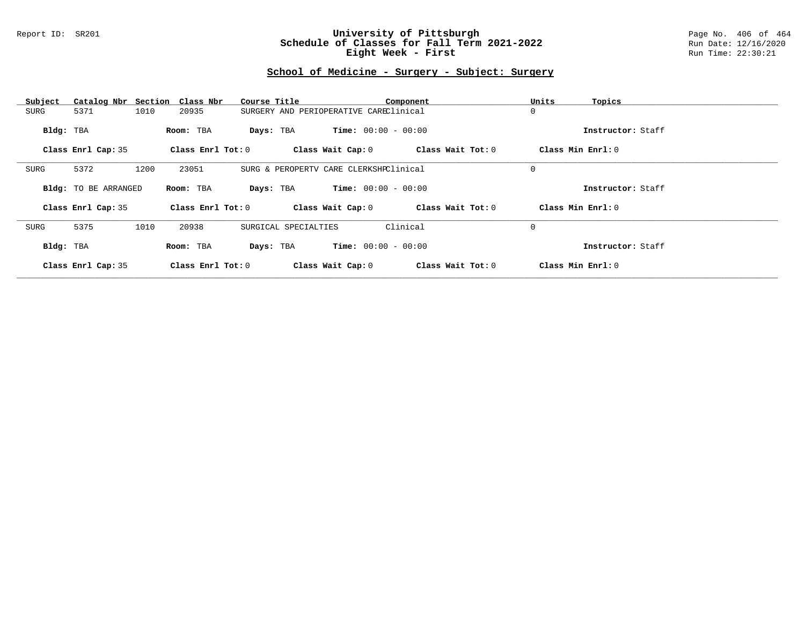#### Report ID: SR201 **University of Pittsburgh** Page No. 406 of 464 **Schedule of Classes for Fall Term 2021-2022** Run Date: 12/16/2020 **Eight Week - First** Run Time: 22:30:21

### **School of Medicine - Surgery - Subject: Surgery**

| Subject   |                             |      | Catalog Nbr Section Class Nbr | Course Title         |                                        | Component         | Units       | Topics            |
|-----------|-----------------------------|------|-------------------------------|----------------------|----------------------------------------|-------------------|-------------|-------------------|
| SURG      | 5371                        | 1010 | 20935                         |                      | SURGERY AND PERIOPERATIVE CAREClinical |                   | 0           |                   |
| Bldg: TBA |                             |      | Room: TBA                     | Days: TBA            | <b>Time:</b> $00:00 - 00:00$           |                   |             | Instructor: Staff |
|           | Class Enrl Cap: 35          |      | Class Enrl Tot: 0             |                      | Class Wait Cap: 0                      | Class Wait Tot: 0 |             | Class Min Enrl: 0 |
| SURG      | 5372                        | 1200 | 23051                         |                      | SURG & PEROPERTV CARE CLERKSHPClinical |                   | $\mathbf 0$ |                   |
|           | <b>Bldg:</b> TO BE ARRANGED |      | Room: TBA                     | Days: TBA            | $Time: 00:00 - 00:00$                  |                   |             | Instructor: Staff |
|           | Class Enrl Cap: 35          |      | Class $Enrl$ Tot: $0$         |                      | Class Wait Cap: 0                      | Class Wait Tot: 0 |             | Class Min Enrl: 0 |
| SURG      | 5375                        | 1010 | 20938                         | SURGICAL SPECIALTIES |                                        | Clinical          | $\mathbf 0$ |                   |
| Bldg: TBA |                             |      | Room: TBA                     | Days: TBA            | <b>Time:</b> $00:00 - 00:00$           |                   |             | Instructor: Staff |
|           | Class Enrl Cap: 35          |      | Class Enrl Tot: 0             |                      | Class Wait Cap: 0                      | Class Wait Tot: 0 |             | Class Min Enrl: 0 |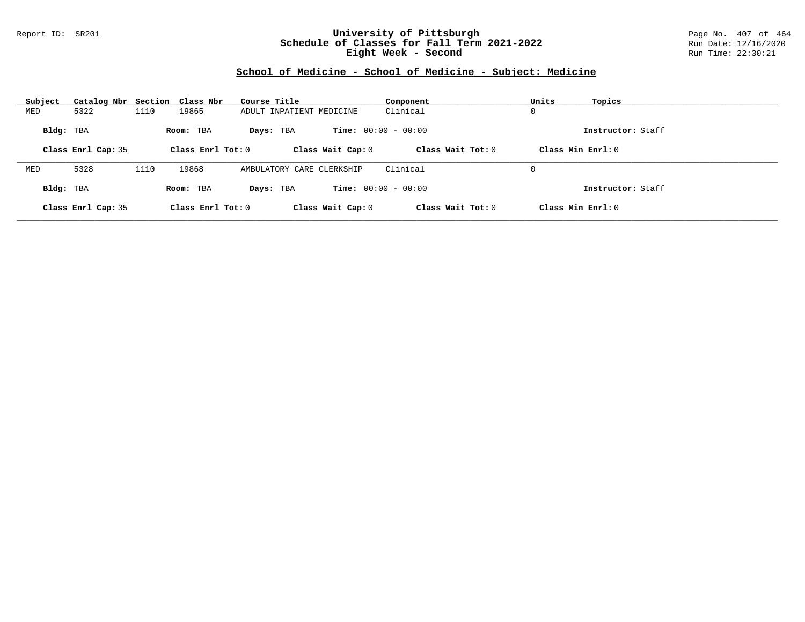#### Report ID: SR201 **University of Pittsburgh** Page No. 407 of 464 **Schedule of Classes for Fall Term 2021-2022** Run Date: 12/16/2020 **Eight Week - Second** Run Time: 22:30:21

# **School of Medicine - School of Medicine - Subject: Medicine**

| Subject   | Catalog Nbr Section Class Nbr |      |                     | Course Title              | Component                    | Units             | Topics            |
|-----------|-------------------------------|------|---------------------|---------------------------|------------------------------|-------------------|-------------------|
| MED       | 5322                          | 1110 | 19865               | ADULT INPATIENT MEDICINE  | Clinical                     | 0                 |                   |
| Bldg: TBA |                               |      | Room: TBA           | Days: TBA                 | <b>Time:</b> $00:00 - 00:00$ |                   | Instructor: Staff |
|           | Class Enrl Cap: 35            |      | Class Enrl Tot: $0$ | Class Wait Cap: 0         | Class Wait $Tot: 0$          | Class Min Enrl: 0 |                   |
|           |                               |      |                     |                           |                              |                   |                   |
| MED       | 5328                          | 1110 | 19868               | AMBULATORY CARE CLERKSHIP | Clinical                     | 0                 |                   |
| Bldg: TBA |                               |      | Room: TBA           | Days: TBA                 | <b>Time:</b> $00:00 - 00:00$ |                   | Instructor: Staff |
|           | Class Enrl Cap: 35            |      | Class Enrl Tot: $0$ | Class Wait Cap: 0         | Class Wait Tot: 0            | Class Min Enrl: 0 |                   |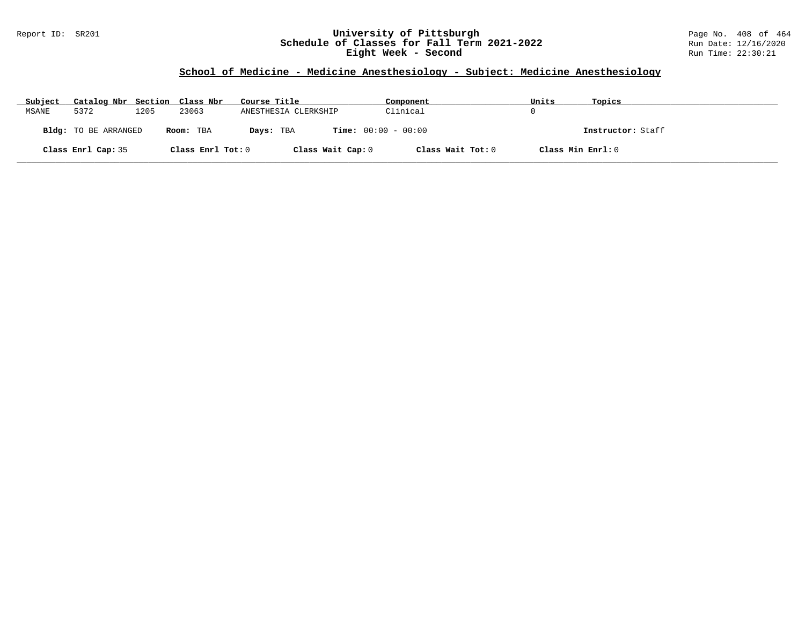#### Report ID: SR201 **University of Pittsburgh** Page No. 408 of 464 **Schedule of Classes for Fall Term 2021-2022** Run Date: 12/16/2020 **Eight Week - Second** Run Time: 22:30:21

# **School of Medicine - Medicine Anesthesiology - Subject: Medicine Anesthesiology**

| Subject | Catalog Nbr Section Class Nbr |      |                   | Course Title                              | Component         | Units | Topics            |
|---------|-------------------------------|------|-------------------|-------------------------------------------|-------------------|-------|-------------------|
| MSANE   | 5372                          | 1205 | 23063             | ANESTHESIA CLERKSHIP                      | Clinical          |       |                   |
|         | Bldg: TO BE ARRANGED          |      | Room: TBA         | <b>Time:</b> $00:00 - 00:00$<br>Days: TBA |                   |       | Instructor: Staff |
|         | Class Enrl Cap: 35            |      | Class Enrl Tot: 0 | Class Wait Cap: 0                         | Class Wait Tot: 0 |       | Class Min Enrl: 0 |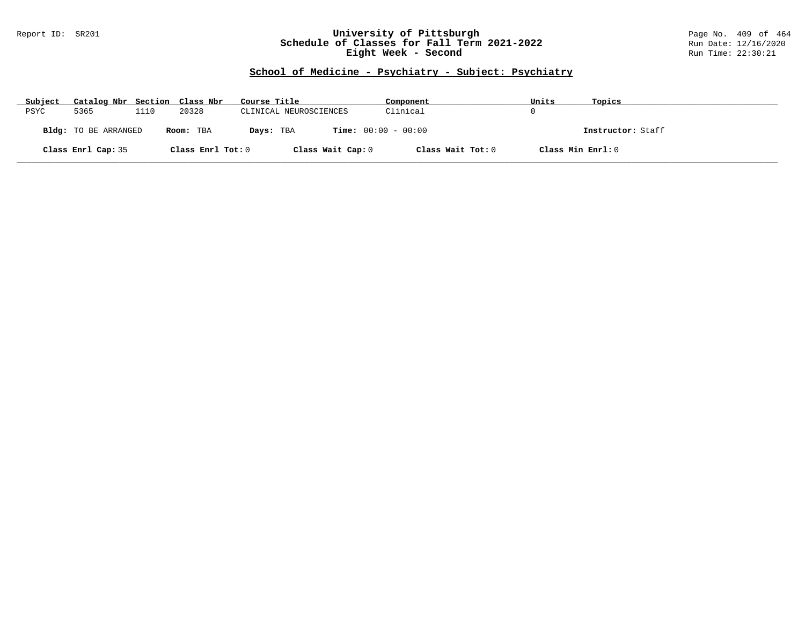#### Report ID: SR201 **University of Pittsburgh** Page No. 409 of 464 **Schedule of Classes for Fall Term 2021-2022** Run Date: 12/16/2020 **Eight Week - Second** Run Time: 22:30:21

### **School of Medicine - Psychiatry - Subject: Psychiatry**

| Subject | Catalog Nbr Section Class Nbr |      |                   | Course Title           | Component                    | Units             | Topics            |
|---------|-------------------------------|------|-------------------|------------------------|------------------------------|-------------------|-------------------|
| PSYC    | 5365                          | 1110 | 20328             | CLINICAL NEUROSCIENCES | Clinical                     |                   |                   |
|         | <b>Bldg:</b> TO BE ARRANGED   |      | Room: TBA         | Days: TBA              | <b>Time:</b> $00:00 - 00:00$ |                   | Instructor: Staff |
|         | Class Enrl Cap: 35            |      | Class Enrl Tot: 0 |                        | Class Wait Cap: 0            | Class Wait Tot: 0 | Class Min Enrl: 0 |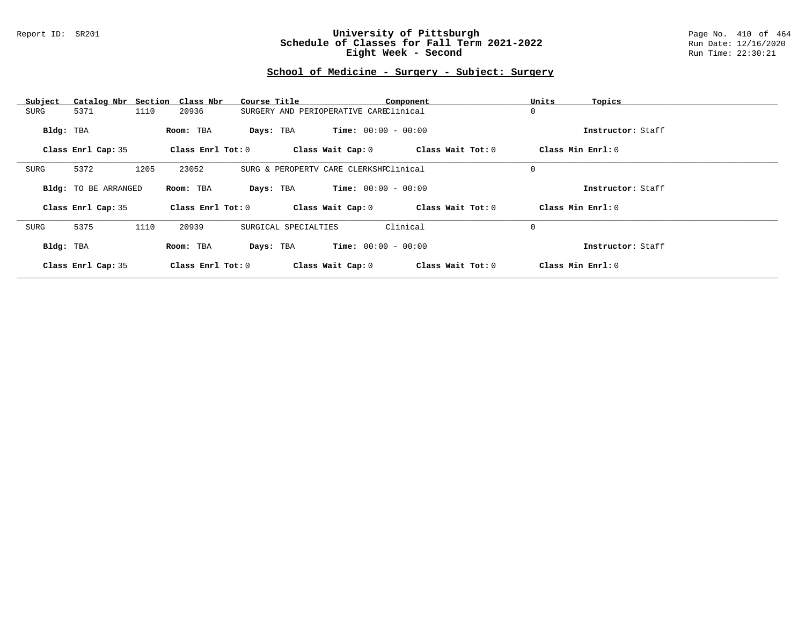#### Report ID: SR201 **University of Pittsburgh** Page No. 410 of 464 **Schedule of Classes for Fall Term 2021-2022** Run Date: 12/16/2020 **Eight Week - Second** Run Time: 22:30:21

### **School of Medicine - Surgery - Subject: Surgery**

| Subject   | Catalog Nbr Section Class Nbr |      |                     | Course Title                           |                              | Component         | Units             | Topics            |
|-----------|-------------------------------|------|---------------------|----------------------------------------|------------------------------|-------------------|-------------------|-------------------|
| SURG      | 5371                          | 1110 | 20936               | SURGERY AND PERIOPERATIVE CAREClinical |                              |                   | 0                 |                   |
| Bldg: TBA |                               |      | Room: TBA           | Days: TBA                              | <b>Time:</b> $00:00 - 00:00$ |                   |                   | Instructor: Staff |
|           | Class Enrl Cap: 35            |      | Class Enrl Tot: 0   |                                        | Class Wait Cap: 0            | Class Wait Tot: 0 | Class Min Enrl: 0 |                   |
| SURG      | 5372                          | 1205 | 23052               | SURG & PEROPERTV CARE CLERKSHPClinical |                              |                   | 0                 |                   |
|           | <b>Bldg:</b> TO BE ARRANGED   |      | Room: TBA           | Days: TBA                              | <b>Time:</b> $00:00 - 00:00$ |                   |                   | Instructor: Staff |
|           | Class Enrl Cap: 35            |      | Class Enrl Tot: 0   |                                        | Class Wait Cap: 0            | Class Wait Tot: 0 | Class Min Enrl: 0 |                   |
| SURG      | 5375                          | 1110 | 20939               | SURGICAL SPECIALTIES                   |                              | Clinical          | $\mathbf 0$       |                   |
| Bldg: TBA |                               |      | Room: TBA           | Days: TBA                              | <b>Time:</b> $00:00 - 00:00$ |                   |                   | Instructor: Staff |
|           | Class Enrl Cap: 35            |      | Class $Enr1 Tot: 0$ |                                        | Class Wait Cap: 0            | Class Wait Tot: 0 | Class Min Enrl: 0 |                   |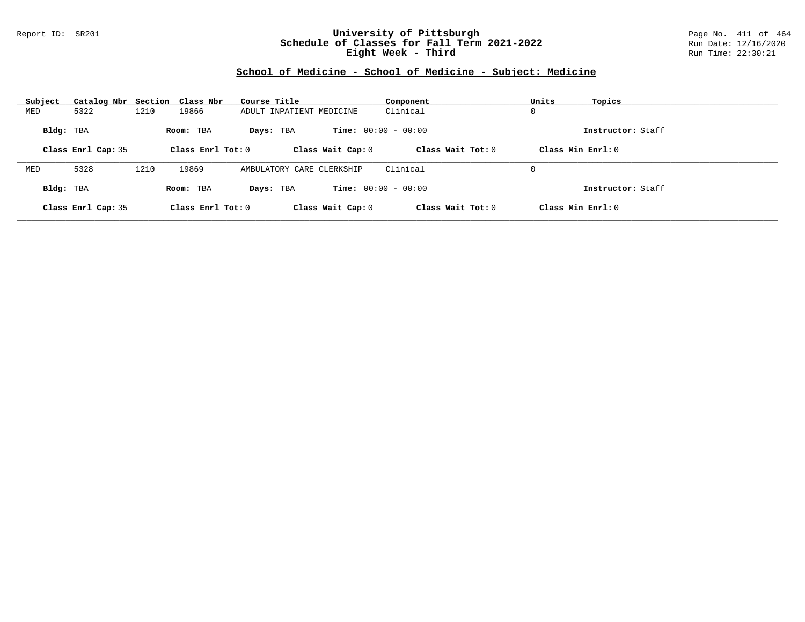#### Report ID: SR201 **University of Pittsburgh** Page No. 411 of 464 **Schedule of Classes for Fall Term 2021-2022** Run Date: 12/16/2020 **Eight Week - Third** Run Time: 22:30:21

# **School of Medicine - School of Medicine - Subject: Medicine**

| Subject   | Catalog Nbr Section Class Nbr |      |                     | Course Title              | Component                    | Units<br>Topics     |  |
|-----------|-------------------------------|------|---------------------|---------------------------|------------------------------|---------------------|--|
| MED       | 5322                          | 1210 | 19866               | ADULT INPATIENT MEDICINE  | Clinical                     | 0                   |  |
| Bldg: TBA |                               |      | Room: TBA           | Days: TBA                 | <b>Time:</b> $00:00 - 00:00$ | Instructor: Staff   |  |
|           | Class Enrl Cap: 35            |      | Class Enrl Tot: $0$ | Class Wait Cap: 0         | Class Wait Tot: 0            | Class Min Enrl: 0   |  |
|           |                               |      |                     |                           |                              |                     |  |
| MED       | 5328                          | 1210 | 19869               | AMBULATORY CARE CLERKSHIP | Clinical                     | 0                   |  |
| Bldg: TBA |                               |      | Room: TBA           | Days: TBA                 | <b>Time:</b> $00:00 - 00:00$ | Instructor: Staff   |  |
|           | Class Enrl Cap: 35            |      | Class Enrl Tot: $0$ | Class Wait Cap: 0         | Class Wait $Tot: 0$          | Class Min $Enrl: 0$ |  |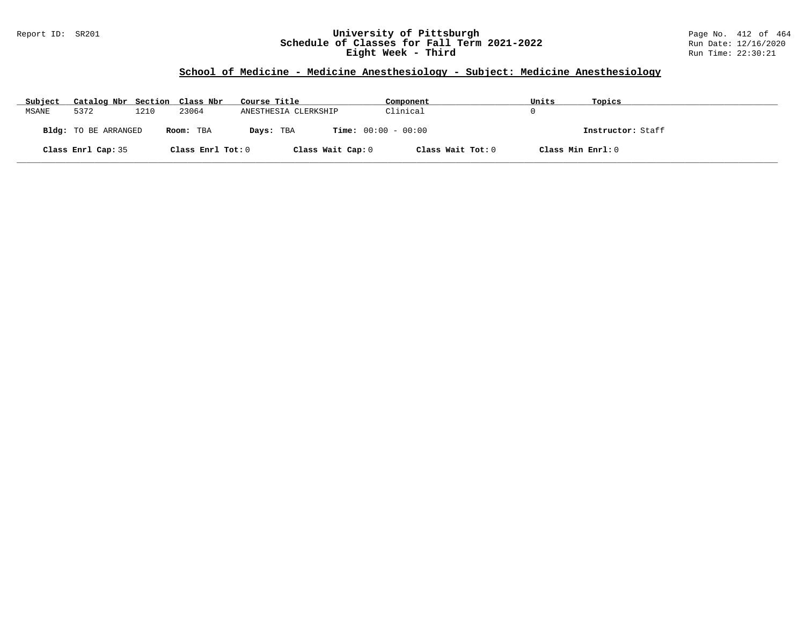#### Report ID: SR201 **University of Pittsburgh** Page No. 412 of 464 **Schedule of Classes for Fall Term 2021-2022** Run Date: 12/16/2020 **Eight Week - Third** Run Time: 22:30:21

# **School of Medicine - Medicine Anesthesiology - Subject: Medicine Anesthesiology**

| Subject | Catalog Nbr Section Class Nbr |      |                   | Course Title         | Component                    | Units             | Topics            |
|---------|-------------------------------|------|-------------------|----------------------|------------------------------|-------------------|-------------------|
| MSANE   | 5372                          | 1210 | 23064             | ANESTHESIA CLERKSHIP | Clinical                     |                   |                   |
|         | Bldg: TO BE ARRANGED          |      | Room: TBA         | Days: TBA            | <b>Time:</b> $00:00 - 00:00$ |                   | Instructor: Staff |
|         | Class Enrl Cap: 35            |      | Class Enrl Tot: 0 | Class Wait Cap: 0    | Class Wait Tot: 0            | Class Min Enrl: 0 |                   |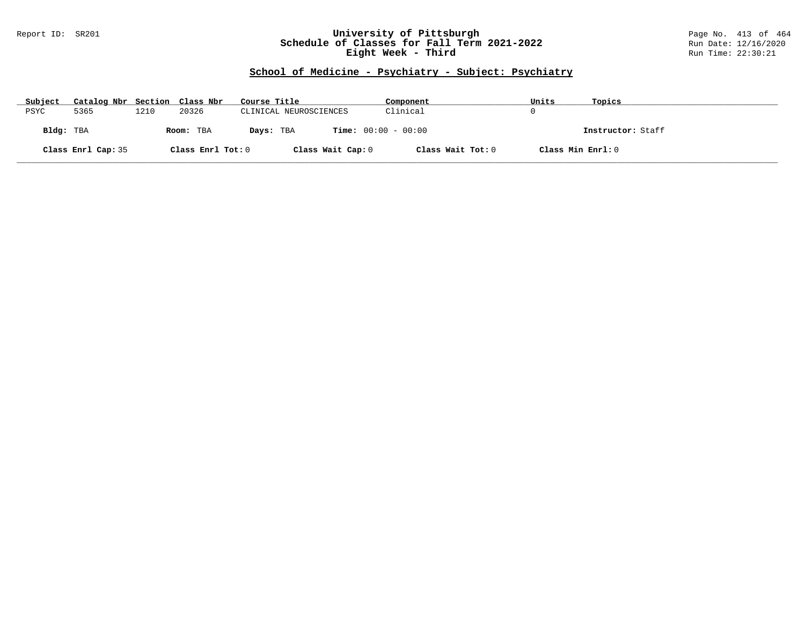#### Report ID: SR201 **University of Pittsburgh** Page No. 413 of 464 **Schedule of Classes for Fall Term 2021-2022** Run Date: 12/16/2020 **Eight Week - Third** Run Time: 22:30:21

# **School of Medicine - Psychiatry - Subject: Psychiatry**

| Subject   | Catalog Nbr Section Class Nbr |      |                   | Course Title           | Component                    | Units             | Topics            |
|-----------|-------------------------------|------|-------------------|------------------------|------------------------------|-------------------|-------------------|
| PSYC      | 5365                          | 1210 | 20326             | CLINICAL NEUROSCIENCES | Clinical                     |                   |                   |
| Bldg: TBA |                               |      | Room: TBA         | Days: TBA              | <b>Time:</b> $00:00 - 00:00$ |                   | Instructor: Staff |
|           | Class Enrl Cap: 35            |      | Class Enrl Tot: 0 | Class Wait Cap: 0      | Class Wait Tot: 0            | Class Min Enrl: 0 |                   |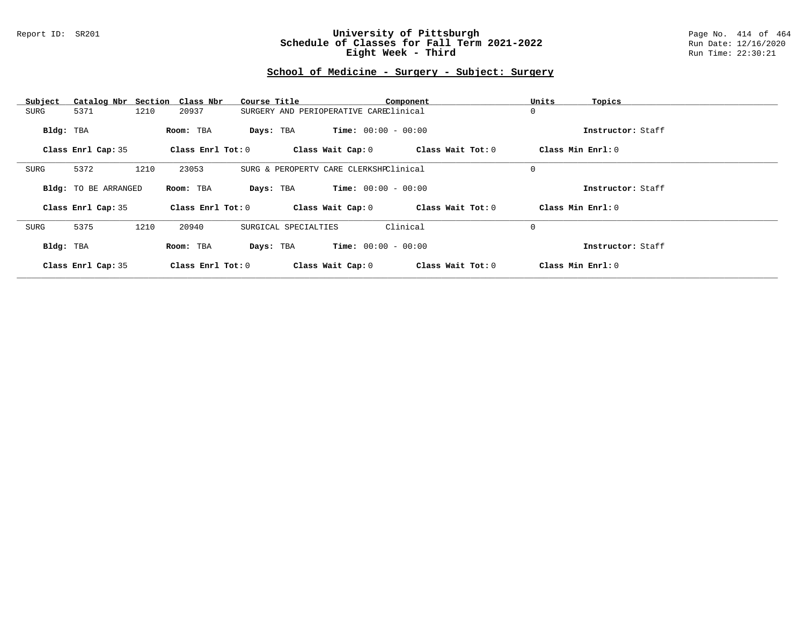#### Report ID: SR201 **University of Pittsburgh** Page No. 414 of 464 **Schedule of Classes for Fall Term 2021-2022** Run Date: 12/16/2020 **Eight Week - Third** Run Time: 22:30:21

### **School of Medicine - Surgery - Subject: Surgery**

| Subject   | Catalog Nbr Section Class Nbr |      |                     | Course Title                           |                              | Component         | Units<br>Topics   |  |
|-----------|-------------------------------|------|---------------------|----------------------------------------|------------------------------|-------------------|-------------------|--|
| SURG      | 5371                          | 1210 | 20937               | SURGERY AND PERIOPERATIVE CAREClinical |                              |                   | $\mathbf 0$       |  |
| Bldg: TBA |                               |      | Room: TBA           | Days: TBA                              | <b>Time:</b> $00:00 - 00:00$ |                   | Instructor: Staff |  |
|           | Class Enrl Cap: 35            |      | Class Enrl Tot: 0   |                                        | Class Wait Cap: 0            | Class Wait Tot: 0 | Class Min Enrl: 0 |  |
| SURG      | 5372                          | 1210 | 23053               | SURG & PEROPERTV CARE CLERKSHPClinical |                              |                   | 0                 |  |
|           | <b>Bldg:</b> TO BE ARRANGED   |      | Room: TBA           | Days: TBA                              | <b>Time:</b> $00:00 - 00:00$ |                   | Instructor: Staff |  |
|           | Class Enrl Cap: 35            |      | Class Enrl Tot: 0   |                                        | Class Wait Cap: 0            | Class Wait Tot: 0 | Class Min Enrl: 0 |  |
| SURG      | 5375                          | 1210 | 20940               | SURGICAL SPECIALTIES                   |                              | Clinical          | $\mathbf 0$       |  |
| Bldg: TBA |                               |      | Room: TBA           | Days: TBA                              | <b>Time:</b> $00:00 - 00:00$ |                   | Instructor: Staff |  |
|           | Class Enrl Cap: 35            |      | Class $Enr1 Tot: 0$ |                                        | Class Wait Cap: 0            | Class Wait Tot: 0 | Class Min Enrl: 0 |  |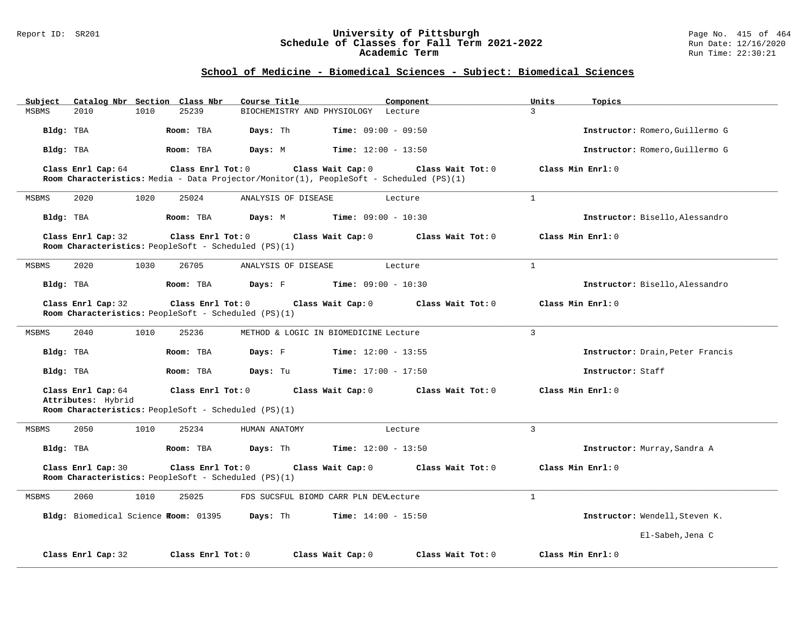#### Report ID: SR201 **University of Pittsburgh** Page No. 415 of 464 **Schedule of Classes for Fall Term 2021-2022** Run Date: 12/16/2020 **Academic Term** Run Time: 22:30:21

### **School of Medicine - Biomedical Sciences - Subject: Biomedical Sciences**

| Subject      |                                          | Catalog Nbr Section Class Nbr        | Course Title                                                                                                 |                                       | Component         | Units          | Topics                           |
|--------------|------------------------------------------|--------------------------------------|--------------------------------------------------------------------------------------------------------------|---------------------------------------|-------------------|----------------|----------------------------------|
| <b>MSBMS</b> | 2010                                     | 1010<br>25239                        |                                                                                                              | BIOCHEMISTRY AND PHYSIOLOGY Lecture   |                   | $\mathcal{L}$  |                                  |
| Bldg: TBA    |                                          | Room: TBA                            | Days: Th                                                                                                     | <b>Time:</b> $09:00 - 09:50$          |                   |                | Instructor: Romero, Guillermo G  |
| Bldg: TBA    |                                          | Room: TBA                            | Days: M                                                                                                      | <b>Time:</b> $12:00 - 13:50$          |                   |                | Instructor: Romero, Guillermo G  |
|              | Class Enrl Cap: 64                       |                                      | Class Enrl Tot: 0<br>Room Characteristics: Media - Data Projector/Monitor(1), PeopleSoft - Scheduled (PS)(1) | Class Wait Cap: 0                     | Class Wait Tot: 0 |                | Class Min Enrl: 0                |
| MSBMS        | 2020                                     | 1020<br>25024                        | ANALYSIS OF DISEASE                                                                                          | Lecture                               |                   | $\mathbf{1}$   |                                  |
| Bldg: TBA    |                                          | Room: TBA                            | Days: M                                                                                                      | <b>Time:</b> $09:00 - 10:30$          |                   |                | Instructor: Bisello, Alessandro  |
|              | Class Enrl Cap: 32                       |                                      | Class Enrl Tot: 0<br>Room Characteristics: PeopleSoft - Scheduled (PS)(1)                                    | Class Wait Cap: 0                     | Class Wait Tot: 0 |                | Class Min Enrl: 0                |
| MSBMS        | 2020                                     | 26705<br>1030                        | ANALYSIS OF DISEASE                                                                                          | Lecture                               |                   | $\mathbf{1}$   |                                  |
| Bldg: TBA    |                                          | Room: TBA                            | Days: F                                                                                                      | <b>Time:</b> $09:00 - 10:30$          |                   |                | Instructor: Bisello, Alessandro  |
|              | Class Enrl Cap: 32                       |                                      | Class Enrl Tot: $0$<br>Room Characteristics: PeopleSoft - Scheduled (PS)(1)                                  | Class Wait Cap: 0                     | Class Wait Tot: 0 |                | Class Min Enrl: 0                |
| MSBMS        | 2040                                     | 1010<br>25236                        |                                                                                                              | METHOD & LOGIC IN BIOMEDICINE Lecture |                   | $\overline{3}$ |                                  |
| Bldg: TBA    |                                          | Room: TBA                            | Days: F                                                                                                      | <b>Time:</b> $12:00 - 13:55$          |                   |                | Instructor: Drain, Peter Francis |
| Bldg: TBA    |                                          | Room: TBA                            | Days: Tu                                                                                                     | $Time: 17:00 - 17:50$                 |                   |                | Instructor: Staff                |
|              | Class Enrl Cap: 64<br>Attributes: Hybrid |                                      | $Class$ $Enr1$ $Tot: 0$<br>Room Characteristics: PeopleSoft - Scheduled (PS)(1)                              | Class Wait Cap: 0                     | Class Wait Tot: 0 |                | Class Min Enrl: 0                |
| <b>MSBMS</b> | 2050                                     | 1010<br>25234                        | HUMAN ANATOMY                                                                                                | Lecture                               |                   | $\overline{3}$ |                                  |
| Bldg: TBA    |                                          | Room: TBA                            | Days: Th                                                                                                     | <b>Time:</b> $12:00 - 13:50$          |                   |                | Instructor: Murray, Sandra A     |
|              | Class Enrl Cap: 30                       |                                      | Class Enrl Tot: 0<br>Room Characteristics: PeopleSoft - Scheduled (PS)(1)                                    | Class Wait Cap: 0                     | Class Wait Tot: 0 |                | Class Min Enrl: 0                |
| MSBMS        | 2060                                     | 1010<br>25025                        |                                                                                                              | FDS SUCSFUL BIOMD CARR PLN DEVLecture |                   | $\mathbf{1}$   |                                  |
|              |                                          | Bldg: Biomedical Science Room: 01395 | Days: Th                                                                                                     | <b>Time:</b> $14:00 - 15:50$          |                   |                | Instructor: Wendell, Steven K.   |
|              |                                          |                                      |                                                                                                              |                                       |                   |                | El-Sabeh, Jena C                 |
|              | Class Enrl Cap: 32                       |                                      | Class Enrl Tot: 0                                                                                            | Class Wait Cap: 0                     | Class Wait Tot: 0 |                | Class Min Enrl: 0                |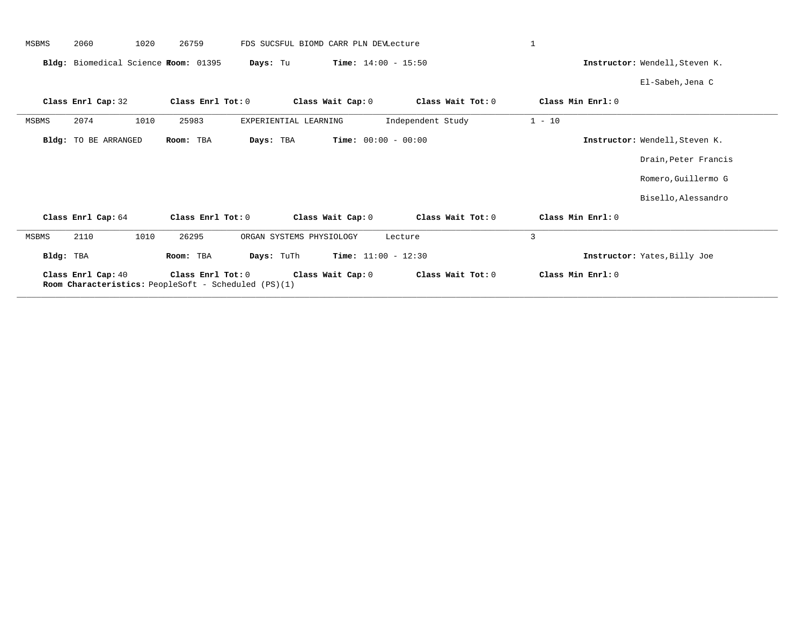| MSBMS     | 2060<br>1020                         | 26759                                                                            | FDS SUCSFUL BIOMD CARR PLN DEVLecture |                              | $\mathbf{1}$      |                                |
|-----------|--------------------------------------|----------------------------------------------------------------------------------|---------------------------------------|------------------------------|-------------------|--------------------------------|
|           | Bldg: Biomedical Science Room: 01395 |                                                                                  | Days: Tu                              | <b>Time:</b> $14:00 - 15:50$ |                   | Instructor: Wendell, Steven K. |
|           |                                      |                                                                                  |                                       |                              |                   | El-Sabeh, Jena C               |
|           | Class Enrl Cap: 32                   | Class Enrl Tot: 0                                                                | Class Wait Cap: 0                     | Class Wait Tot: 0            | Class Min Enrl: 0 |                                |
| MSBMS     | 1010<br>2074                         | 25983                                                                            | EXPERIENTIAL LEARNING                 | Independent Study            | $1 - 10$          |                                |
|           | <b>Bldg:</b> TO BE ARRANGED          | Room: TBA                                                                        | Days: TBA                             | <b>Time:</b> $00:00 - 00:00$ |                   | Instructor: Wendell, Steven K. |
|           |                                      |                                                                                  |                                       |                              |                   | Drain, Peter Francis           |
|           |                                      |                                                                                  |                                       |                              |                   | Romero, Guillermo G            |
|           |                                      |                                                                                  |                                       |                              |                   | Bisello, Alessandro            |
|           | Class Enrl Cap: 64                   | Class Enrl Tot: 0                                                                | Class Wait Cap: 0                     | Class Wait Tot: 0            | Class Min Enrl: 0 |                                |
| MSBMS     | 2110<br>1010                         | 26295                                                                            | ORGAN SYSTEMS PHYSIOLOGY              | Lecture                      | 3                 |                                |
| Bldg: TBA |                                      | Room: TBA                                                                        | Days: TuTh                            | <b>Time:</b> $11:00 - 12:30$ |                   | Instructor: Yates, Billy Joe   |
|           | Class Enrl Cap: 40                   | Class Enrl Tot: 0<br><b>Room Characteristics:</b> PeopleSoft - Scheduled (PS)(1) | Class Wait Cap: 0                     | Class Wait Tot: 0            | Class Min Enrl: 0 |                                |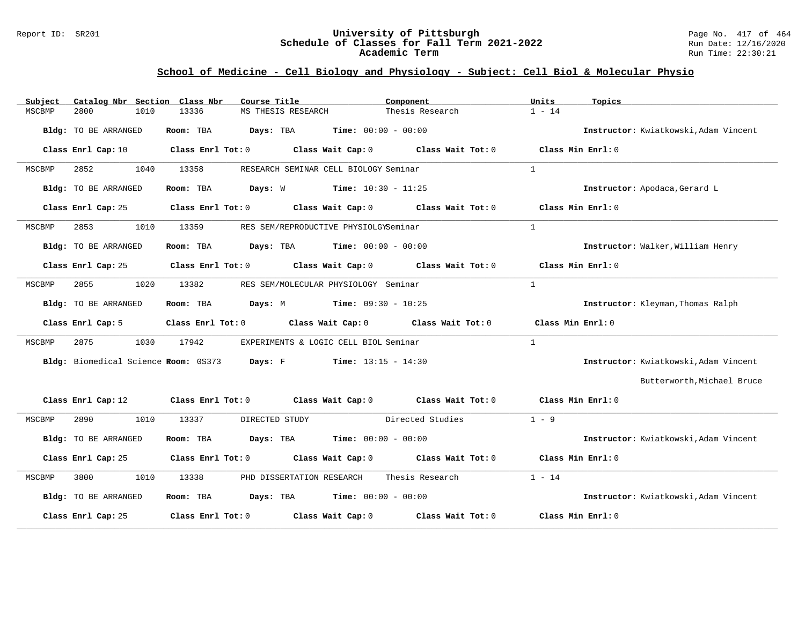### Report ID: SR201 **1988 Machines 1989 Machines 2011 Controller Schedule of Classes for Fall Term 2021-2022** Page No. 417 of 464 **Schedule of Classes for Fall Term 2021-2022** Run Date: 12/16/2020 **Academic Term** Run Time: 22:30:21

# **School of Medicine - Cell Biology and Physiology - Subject: Cell Biol & Molecular Physio**

| Catalog Nbr Section Class Nbr<br>Subject | Course Title                                                                               | Component                    | Units<br>Topics                       |
|------------------------------------------|--------------------------------------------------------------------------------------------|------------------------------|---------------------------------------|
| 2800<br>1010<br>MSCBMP                   | 13336<br>MS THESIS RESEARCH                                                                | Thesis Research              | $1 - 14$                              |
| Bldg: TO BE ARRANGED                     | Room: TBA<br>Days: TBA                                                                     | <b>Time:</b> $00:00 - 00:00$ | Instructor: Kwiatkowski, Adam Vincent |
| Class Enrl Cap: 10                       | Class Enrl Tot: 0 Class Wait Cap: 0 Class Wait Tot: 0                                      |                              | Class Min Enrl: 0                     |
| 1040<br>2852<br>MSCBMP                   | 13358<br>RESEARCH SEMINAR CELL BIOLOGY Seminar                                             |                              | $\mathbf{1}$                          |
| Bldg: TO BE ARRANGED                     | <b>Days:</b> W <b>Time:</b> $10:30 - 11:25$<br>Room: TBA                                   |                              | Instructor: Apodaca, Gerard L         |
| Class Enrl Cap: 25                       | Class Enrl Tot: 0 Class Wait Cap: 0 Class Wait Tot: 0                                      |                              | Class Min Enrl: 0                     |
| 2853<br>1010<br>MSCBMP                   | 13359<br>RES SEM/REPRODUCTIVE PHYSIOLGYSeminar                                             |                              | $\mathbf{1}$                          |
| Bldg: TO BE ARRANGED                     | Room: TBA<br><b>Days:</b> TBA <b>Time:</b> $00:00 - 00:00$                                 |                              | Instructor: Walker, William Henry     |
| Class Enrl Cap: 25                       | Class Enrl Tot: 0 Class Wait Cap: 0 Class Wait Tot: 0                                      |                              | Class Min $Enrl: 0$                   |
| 1020<br>MSCBMP<br>2855                   | 13382<br>RES SEM/MOLECULAR PHYSIOLOGY Seminar                                              |                              | $\mathbf{1}$                          |
| Bldg: TO BE ARRANGED                     | Room: TBA<br><b>Days:</b> M <b>Time:</b> $09:30 - 10:25$                                   |                              | Instructor: Kleyman, Thomas Ralph     |
| Class Enrl Cap: 5                        | Class Enrl Tot: 0 Class Wait Cap: 0 Class Wait Tot: 0                                      |                              | Class Min $Enr1:0$                    |
| 2875<br>1030<br>MSCBMP                   | 17942<br>EXPERIMENTS & LOGIC CELL BIOL Seminar                                             |                              | $\mathbf{1}$                          |
|                                          | Bldg: Biomedical Science Room: 0S373 Days: F Time: 13:15 - 14:30                           |                              | Instructor: Kwiatkowski, Adam Vincent |
|                                          |                                                                                            |                              | Butterworth, Michael Bruce            |
|                                          | Class Enrl Cap: 12 Class Enrl Tot: 0 Class Wait Cap: 0 Class Wait Tot: 0 Class Min Enrl: 0 |                              |                                       |
| 2890<br>1010<br>MSCBMP                   | 13337<br>DIRECTED STUDY                                                                    | Directed Studies             | $1 - 9$                               |
| Bldg: TO BE ARRANGED                     | Room: TBA $Days:$ TBA $Time: 00:00 - 00:00$                                                |                              | Instructor: Kwiatkowski, Adam Vincent |
| Class Enrl Cap: 25                       | Class Enrl Tot: 0 Class Wait Cap: 0 Class Wait Tot: 0                                      |                              | Class Min Enrl: 0                     |
| 3800<br>1010<br>MSCBMP                   | 13338<br>PHD DISSERTATION RESEARCH                                                         | Thesis Research              | $1 - 14$                              |
| Bldg: TO BE ARRANGED                     | Room: TBA $Days:$ TBA $Time: 00:00 - 00:00$                                                |                              | Instructor: Kwiatkowski, Adam Vincent |
| Class Enrl Cap: 25                       | Class Enrl Tot: $0$ Class Wait Cap: $0$ Class Wait Tot: $0$                                |                              | Class Min Enrl: 0                     |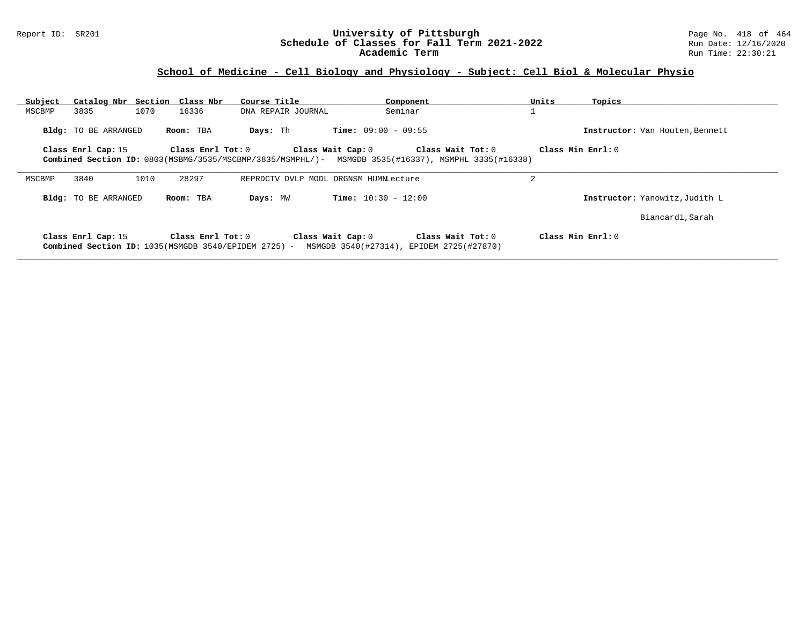# **School of Medicine - Cell Biology and Physiology - Subject: Cell Biol & Molecular Physio**

| Subject |                             | Catalog Nbr Section Class Nbr                                             | Course Title                                                                                        | Component                                                     |                   | Units             | Topics                          |
|---------|-----------------------------|---------------------------------------------------------------------------|-----------------------------------------------------------------------------------------------------|---------------------------------------------------------------|-------------------|-------------------|---------------------------------|
| MSCBMP  | 3835                        | 1070<br>16336                                                             | DNA REPAIR JOURNAL                                                                                  | Seminar                                                       |                   |                   |                                 |
|         | Bldg: TO BE ARRANGED        | Room: TBA                                                                 | Days: Th                                                                                            | <b>Time:</b> $09:00 - 09:55$                                  |                   |                   | Instructor: Van Houten, Bennett |
|         | Class Enrl Cap: 15          | Class Enrl Tot: 0                                                         |                                                                                                     | Class Wait Cap: 0                                             | Class Wait Tot: 0 | Class Min Enrl: 0 |                                 |
|         |                             |                                                                           | Combined Section ID: 0803(MSBMG/3535/MSCBMP/3835/MSMPHL/)- MSMGDB 3535(#16337), MSMPHL 3335(#16338) |                                                               |                   |                   |                                 |
| MSCBMP  | 3840                        | 1010<br>28297                                                             |                                                                                                     | REPRDCTV DVLP MODL ORGNSM HUMNLecture                         |                   | 2                 |                                 |
|         | <b>Bldg:</b> TO BE ARRANGED | Room: TBA                                                                 | Days: MW                                                                                            | <b>Time:</b> $10:30 - 12:00$                                  |                   |                   | Instructor: Yanowitz, Judith L  |
|         |                             |                                                                           |                                                                                                     |                                                               |                   |                   | Biancardi, Sarah                |
|         | Class Enrl Cap: 15          | Class Enrl Tot: 0<br>Combined Section ID: 1035(MSMGDB 3540/EPIDEM 2725) - |                                                                                                     | Class Wait Cap: 0<br>MSMGDB 3540(#27314), EPIDEM 2725(#27870) | Class Wait Tot: 0 | Class Min Enrl: 0 |                                 |

**\_\_\_\_\_\_\_\_\_\_\_\_\_\_\_\_\_\_\_\_\_\_\_\_\_\_\_\_\_\_\_\_\_\_\_\_\_\_\_\_\_\_\_\_\_\_\_\_\_\_\_\_\_\_\_\_\_\_\_\_\_\_\_\_\_\_\_\_\_\_\_\_\_\_\_\_\_\_\_\_\_\_\_\_\_\_\_\_\_\_\_\_\_\_\_\_\_\_\_\_\_\_\_\_\_\_\_\_\_\_\_\_\_\_\_\_\_\_\_\_\_\_\_\_\_\_\_\_\_\_\_\_\_\_\_\_\_\_\_\_\_\_\_\_\_\_\_\_\_\_\_\_\_\_\_\_**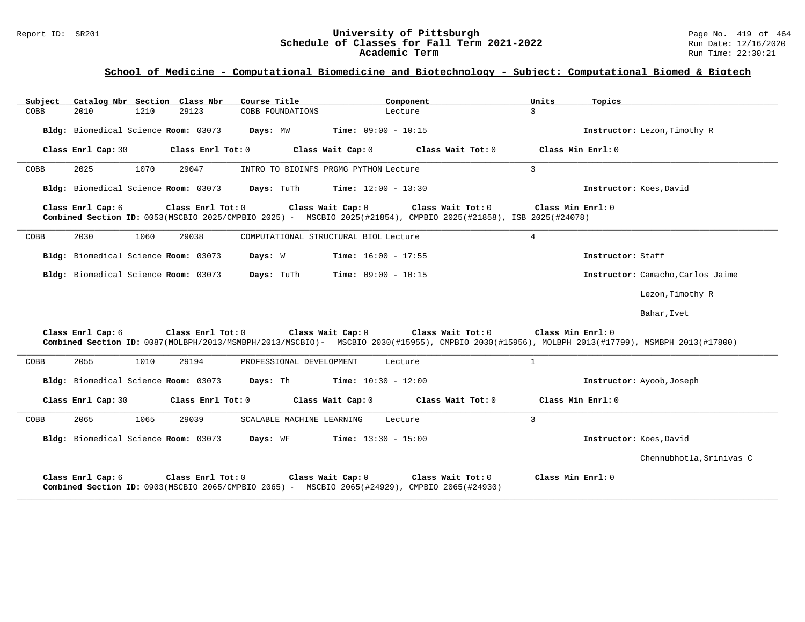# Report ID: SR201 **University of Pittsburgh** Page No. 419 of 464 Schedule of Classes for Fall Term 2021-2022<br>Academic Term

### **School of Medicine - Computational Biomedicine and Biotechnology - Subject: Computational Biomed & Biotech**

| Subject | Catalog Nbr Section Class Nbr        |      |                   | Course Title                                                                                                                         |                                                | Component                           | Units               | Topics                  |                                                                                                                                               |
|---------|--------------------------------------|------|-------------------|--------------------------------------------------------------------------------------------------------------------------------------|------------------------------------------------|-------------------------------------|---------------------|-------------------------|-----------------------------------------------------------------------------------------------------------------------------------------------|
| COBB    | 2010                                 | 1210 | 29123             | COBB FOUNDATIONS                                                                                                                     |                                                | Lecture                             | $\mathcal{L}$       |                         |                                                                                                                                               |
|         | Bldg: Biomedical Science Room: 03073 |      |                   |                                                                                                                                      | <b>Days:</b> MW <b>Time:</b> $09:00 - 10:15$   |                                     |                     |                         | Instructor: Lezon, Timothy R                                                                                                                  |
|         | Class Enrl Cap: 30                   |      | Class Enrl Tot: 0 |                                                                                                                                      | Class Wait Cap: 0                              | $Class$ Wait Tot: $0$               | Class Min $Err1:0$  |                         |                                                                                                                                               |
| COBB    | 2025                                 | 1070 | 29047             |                                                                                                                                      | INTRO TO BIOINFS PRGMG PYTHON Lecture          |                                     | $\mathcal{L}$       |                         |                                                                                                                                               |
|         |                                      |      |                   | Bldg: Biomedical Science Room: 03073 Days: TuTh Time: 12:00 - 13:30                                                                  |                                                |                                     |                     | Instructor: Koes, David |                                                                                                                                               |
|         | Class Enrl Cap:6                     |      | Class Enrl Tot: 0 | Class Wait Cap: 0<br>Combined Section ID: 0053(MSCBIO 2025/CMPBIO 2025) - MSCBIO 2025(#21854), CMPBIO 2025(#21858), ISB 2025(#24078) |                                                | Class Wait Tot: 0                   | Class Min Enrl: 0   |                         |                                                                                                                                               |
| COBB    | 2030                                 | 1060 | 29038             |                                                                                                                                      | COMPUTATIONAL STRUCTURAL BIOL Lecture          |                                     | $\overline{4}$      |                         |                                                                                                                                               |
|         | Bldg: Biomedical Science Room: 03073 |      |                   | Days: W                                                                                                                              | <b>Time:</b> $16:00 - 17:55$                   |                                     |                     | Instructor: Staff       |                                                                                                                                               |
|         | Bldg: Biomedical Science Room: 03073 |      |                   |                                                                                                                                      | <b>Days:</b> TuTh <b>Time:</b> $09:00 - 10:15$ |                                     |                     |                         | Instructor: Camacho, Carlos Jaime                                                                                                             |
|         |                                      |      |                   |                                                                                                                                      |                                                |                                     |                     |                         | Lezon, Timothy R                                                                                                                              |
|         |                                      |      |                   |                                                                                                                                      |                                                |                                     |                     |                         | Bahar, Ivet                                                                                                                                   |
|         | Class Enrl Cap: 6                    |      |                   | Class Enrl Tot: 0 Class Wait Cap: 0                                                                                                  |                                                | Class Wait Tot: 0                   | Class Min Enrl: $0$ |                         | Combined Section ID: 0087(MOLBPH/2013/MSMBPH/2013/MSCBIO)- MSCBIO 2030(#15955), CMPBIO 2030(#15956), MOLBPH 2013(#17799), MSMBPH 2013(#17800) |
| COBB    | 2055                                 | 1010 | 29194             | PROFESSIONAL DEVELOPMENT                                                                                                             |                                                | Lecture                             | $\mathbf{1}$        |                         |                                                                                                                                               |
|         |                                      |      |                   | Bldg: Biomedical Science Room: 03073 Days: Th                                                                                        | <b>Time:</b> $10:30 - 12:00$                   |                                     |                     |                         | Instructor: Ayoob, Joseph                                                                                                                     |
|         | Class Enrl Cap: 30                   |      | Class Enrl Tot: 0 | Class Wait Cap: 0                                                                                                                    |                                                | Class Wait Tot: 0 Class Min Enrl: 0 |                     |                         |                                                                                                                                               |
| COBB    | 2065                                 | 1065 | 29039             | SCALABLE MACHINE LEARNING                                                                                                            |                                                | Lecture                             | 3                   |                         |                                                                                                                                               |
|         |                                      |      |                   | Bldg: Biomedical Science Room: 03073 Days: WF                                                                                        | $Time: 13:30 - 15:00$                          |                                     |                     | Instructor: Koes, David |                                                                                                                                               |
|         |                                      |      |                   |                                                                                                                                      |                                                |                                     |                     |                         | Chennubhotla, Srinivas C                                                                                                                      |
|         | Class Enrl Cap: 6                    |      | Class Enrl Tot: 0 | Class Wait Cap: 0<br>Combined Section ID: 0903(MSCBIO 2065/CMPBIO 2065) - MSCBIO 2065(#24929), CMPBIO 2065(#24930)                   |                                                | Class Wait Tot: 0                   | Class Min Enrl: 0   |                         |                                                                                                                                               |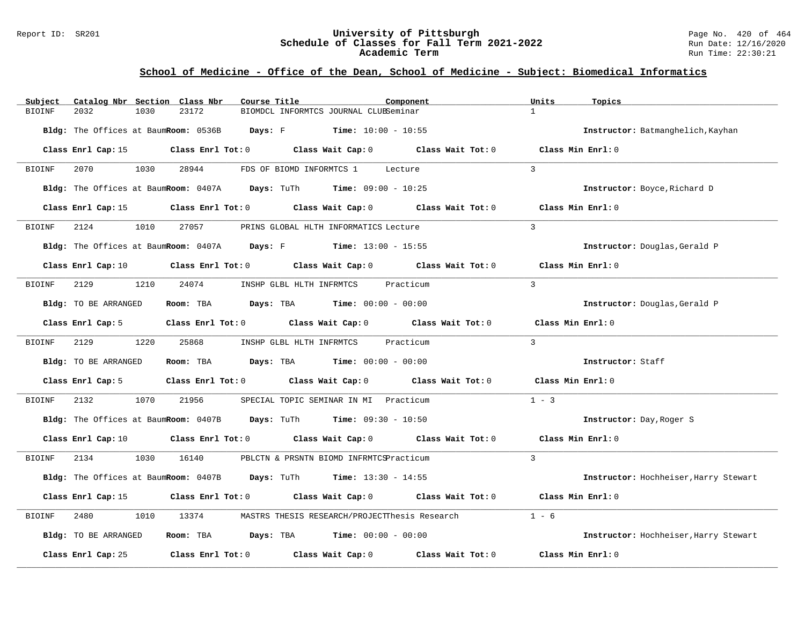### Report ID: SR201 **1988 Manual Construct Constructs University of Pittsburgh** Page No. 420 of 464 Page No. 420 of 464<br>**Schedule of Classes for Fall Term 2021-2022** Page 12/16/2020 **Schedule of Classes for Fall Term 2021-2022** Run Date: 12/16/2020 **Academic Term** Run Time: 22:30:21

# **School of Medicine - Office of the Dean, School of Medicine - Subject: Biomedical Informatics**

| Subject | Catalog Nbr Section Class Nbr                                       |      |       | Course Title |                                                                                  |  | Component                                                                                                                      | Units          | Topics                                |
|---------|---------------------------------------------------------------------|------|-------|--------------|----------------------------------------------------------------------------------|--|--------------------------------------------------------------------------------------------------------------------------------|----------------|---------------------------------------|
| BIOINF  | 2032                                                                | 1030 | 23172 |              | BIOMDCL INFORMTCS JOURNAL CLUBSeminar                                            |  |                                                                                                                                | $\mathbf{1}$   |                                       |
|         | Bldg: The Offices at BaumRoom: 0536B Days: F Time: 10:00 - 10:55    |      |       |              |                                                                                  |  |                                                                                                                                |                | Instructor: Batmanghelich, Kayhan     |
|         |                                                                     |      |       |              |                                                                                  |  | Class Enrl Cap: 15 Class Enrl Tot: 0 Class Wait Cap: 0 Class Wait Tot: 0 Class Min Enrl: 0                                     |                |                                       |
| BIOINF  | 2070 1030                                                           |      | 28944 |              | FDS OF BIOMD INFORMTCS 1 Lecture                                                 |  |                                                                                                                                | $\mathcal{L}$  |                                       |
|         | Bldg: The Offices at BaumRoom: 0407A Days: TuTh Time: 09:00 - 10:25 |      |       |              |                                                                                  |  |                                                                                                                                |                | Instructor: Boyce, Richard D          |
|         |                                                                     |      |       |              |                                                                                  |  | Class Enrl Cap: 15 $\qquad$ Class Enrl Tot: 0 $\qquad$ Class Wait Cap: 0 $\qquad$ Class Wait Tot: 0                            |                | Class Min Enrl: 0                     |
| BIOINF  | 2124 1010 27057 PRINS GLOBAL HLTH INFORMATICS Lecture               |      |       |              |                                                                                  |  |                                                                                                                                | $\mathcal{L}$  |                                       |
|         | Bldg: The Offices at BaumRoom: 0407A Days: F Time: 13:00 - 15:55    |      |       |              |                                                                                  |  |                                                                                                                                |                | Instructor: Douglas, Gerald P         |
|         |                                                                     |      |       |              |                                                                                  |  | Class Enrl Cap: 10 $\qquad$ Class Enrl Tot: 0 $\qquad$ Class Wait Cap: 0 $\qquad$ Class Wait Tot: 0                            |                | Class Min Enrl: 0                     |
| BIOINF  | 2129                                                                |      |       |              | 1210 24074 INSHP GLBL HLTH INFRMTCS Practicum                                    |  |                                                                                                                                | $\overline{3}$ |                                       |
|         | Bldg: TO BE ARRANGED                                                |      |       |              | Room: TBA $Days:$ TBA $Time: 00:00 - 00:00$                                      |  |                                                                                                                                |                | Instructor: Douglas, Gerald P         |
|         |                                                                     |      |       |              |                                                                                  |  | Class Enrl Cap: 5 Class Enrl Tot: 0 Class Wait Cap: 0 Class Wait Tot: 0 Class Min Enrl: 0                                      |                |                                       |
| BIOINF  | 2129 1220                                                           |      | 25868 |              | INSHP GLBL HLTH INFRMTCS Practicum                                               |  |                                                                                                                                | $\overline{3}$ |                                       |
|         | Bldg: TO BE ARRANGED                                                |      |       |              | <b>Room:</b> TBA $\qquad \qquad$ Days: TBA $\qquad \qquad$ Time: $00:00 - 00:00$ |  |                                                                                                                                |                | Instructor: Staff                     |
|         |                                                                     |      |       |              |                                                                                  |  | Class Enrl Cap: 5 Class Enrl Tot: 0 Class Wait Cap: 0 Class Wait Tot: 0 Class Min Enrl: 0                                      |                |                                       |
| BIOINF  | 2132                                                                | 1070 | 21956 |              | SPECIAL TOPIC SEMINAR IN MI Practicum                                            |  |                                                                                                                                | $1 - 3$        |                                       |
|         | Bldg: The Offices at BaumRoom: 0407B Days: TuTh Time: 09:30 - 10:50 |      |       |              |                                                                                  |  |                                                                                                                                |                | Instructor: Day, Roger S              |
|         |                                                                     |      |       |              |                                                                                  |  | Class Enrl Cap: 10 $\qquad$ Class Enrl Tot: 0 $\qquad$ Class Wait Cap: 0 $\qquad$ Class Wait Tot: 0 $\qquad$ Class Min Enrl: 0 |                |                                       |
| BIOINF  | 2134 1030 16140 PBLCTN & PRSNTN BIOMD INFRMTCSPracticum             |      |       |              |                                                                                  |  |                                                                                                                                | $\overline{3}$ |                                       |
|         | Bldg: The Offices at BaumRoom: 0407B Days: TuTh Time: 13:30 - 14:55 |      |       |              |                                                                                  |  |                                                                                                                                |                | Instructor: Hochheiser, Harry Stewart |
|         |                                                                     |      |       |              |                                                                                  |  | Class Enrl Cap: 15 Class Enrl Tot: 0 Class Wait Cap: 0 Class Wait Tot: 0 Class Min Enrl: 0                                     |                |                                       |
| BIOINF  | 2480                                                                | 1010 |       |              |                                                                                  |  | 13374 MASTRS THESIS RESEARCH/PROJECTThesis Research                                                                            | $1 - 6$        |                                       |
|         | Bldg: TO BE ARRANGED                                                |      |       |              | Room: TBA $\rule{1em}{0.15mm}$ Days: TBA Time: $00:00 - 00:00$                   |  |                                                                                                                                |                | Instructor: Hochheiser, Harry Stewart |
|         | Class Enrl Cap: 25                                                  |      |       |              |                                                                                  |  | Class Enrl Tot: $0$ Class Wait Cap: $0$ Class Wait Tot: $0$                                                                    |                | Class Min Enrl: 0                     |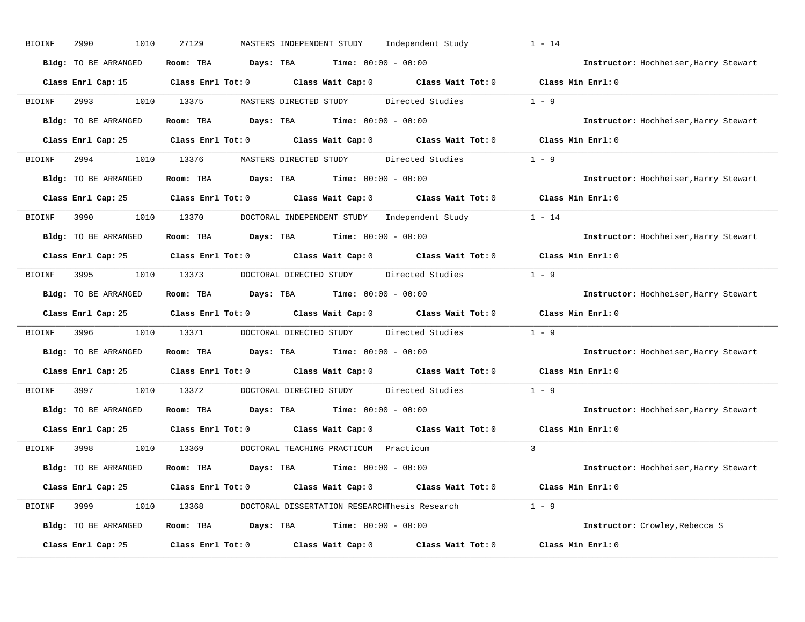| <b>BIOINF</b> | 2990<br>1010         | MASTERS INDEPENDENT STUDY<br>27129<br>Independent Study                                    | $1 - 14$                              |
|---------------|----------------------|--------------------------------------------------------------------------------------------|---------------------------------------|
|               | Bldg: TO BE ARRANGED | Room: TBA $Days:$ TBA $Time: 00:00 - 00:00$                                                | Instructor: Hochheiser, Harry Stewart |
|               |                      | Class Enrl Cap: 15 Class Enrl Tot: 0 Class Wait Cap: 0 Class Wait Tot: 0 Class Min Enrl: 0 |                                       |
| BIOINF        |                      | 1010 13375<br>MASTERS DIRECTED STUDY Directed Studies                                      | $1 - 9$                               |
|               | Bldg: TO BE ARRANGED | Room: TBA $Days:$ TBA $Time: 00:00 - 00:00$                                                | Instructor: Hochheiser, Harry Stewart |
|               |                      | Class Enrl Cap: 25 Class Enrl Tot: 0 Class Wait Cap: 0 Class Wait Tot: 0 Class Min Enrl: 0 |                                       |
| BIOINF        |                      | 2994 1010 13376 MASTERS DIRECTED STUDY Directed Studies 1 - 9                              |                                       |
|               | Bldg: TO BE ARRANGED | Room: TBA $Days:$ TBA $Time: 00:00 - 00:00$                                                | Instructor: Hochheiser, Harry Stewart |
|               |                      | Class Enrl Cap: 25 Class Enrl Tot: 0 Class Wait Cap: 0 Class Wait Tot: 0 Class Min Enrl: 0 |                                       |
| BIOINF        |                      | 3990 1010 13370 DOCTORAL INDEPENDENT STUDY Independent Study 1 - 14                        |                                       |
|               | Bldg: TO BE ARRANGED | Room: TBA $Days: TBA$ Time: $00:00 - 00:00$                                                | Instructor: Hochheiser, Harry Stewart |
|               |                      | Class Enrl Cap: 25 Class Enrl Tot: 0 Class Wait Cap: 0 Class Wait Tot: 0 Class Min Enrl: 0 |                                       |
| BIOINF        |                      | 3995 1010 13373 DOCTORAL DIRECTED STUDY Directed Studies                                   | $1 - 9$                               |
|               | Bldg: TO BE ARRANGED | Room: TBA $Days:$ TBA $Time: 00:00 - 00:00$                                                | Instructor: Hochheiser, Harry Stewart |
|               | Class Enrl Cap: 25   | Class Enrl Tot: 0 Class Wait Cap: 0 Class Wait Tot: 0                                      | Class Min Enrl: 0                     |
| <b>BIOINF</b> | 3996<br>1010         | 13371 DOCTORAL DIRECTED STUDY Directed Studies                                             | $1 - 9$                               |
|               | Bldg: TO BE ARRANGED | Room: TBA $Days:$ TBA $Time: 00:00 - 00:00$                                                | Instructor: Hochheiser, Harry Stewart |
|               |                      | Class Enrl Cap: 25 Class Enrl Tot: 0 Class Wait Cap: 0 Class Wait Tot: 0                   | Class Min Enrl: 0                     |
| BIOINF        | 3997 399<br>1010     | 13372<br>DOCTORAL DIRECTED STUDY<br>Directed Studies                                       | $1 - 9$                               |
|               | Bldg: TO BE ARRANGED | Room: TBA $\rule{1em}{0.15mm}$ Days: TBA $\rule{1.15mm}]{0.15mm}$ Time: $0.000 - 0.0000$   | Instructor: Hochheiser, Harry Stewart |
|               | Class Enrl Cap: 25   | Class Enrl Tot: 0 Class Wait Cap: 0 Class Wait Tot: 0                                      | Class Min Enrl: 0                     |
| BIOINF        | 3998                 | 1010 13369<br>DOCTORAL TEACHING PRACTICUM Practicum                                        | $\mathcal{L}$                         |
|               | Bldg: TO BE ARRANGED | Room: TBA $Days:$ TBA $Time: 00:00 - 00:00$                                                | Instructor: Hochheiser, Harry Stewart |
|               |                      | Class Enrl Cap: 25 Class Enrl Tot: 0 Class Wait Cap: 0 Class Wait Tot: 0 Class Min Enrl: 0 |                                       |
| BIOINF        |                      | 3999 1010 13368 DOCTORAL DISSERTATION RESEARCHThesis Research 1 - 9                        |                                       |
|               | Bldg: TO BE ARRANGED | Room: TBA $Days: TBA$ Time: $00:00 - 00:00$                                                | Instructor: Crowley, Rebecca S        |
|               | Class Enrl Cap: 25   | Class Enrl Tot: $0$ Class Wait Cap: $0$ Class Wait Tot: $0$                                | Class Min Enrl: 0                     |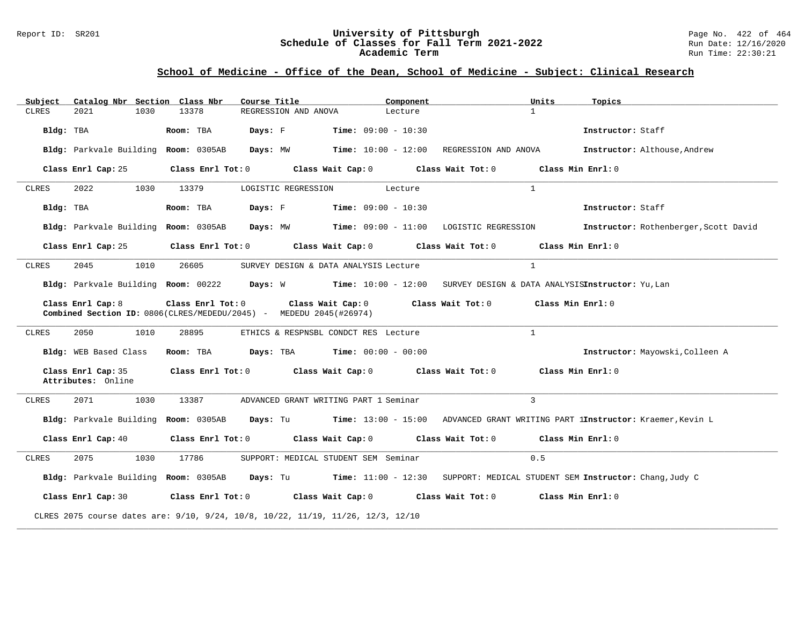#### Report ID: SR201 **University of Pittsburgh** Page No. 422 of 464 **Schedule of Classes for Fall Term 2021-2022** Run Date: 12/16/2020 **Academic Term** Run Time: 22:30:21

| Subject      | Catalog Nbr Section Class Nbr            |                   | Course Title                                                                                              | Component             |                                            | Units<br>Topics                                                                                                             |                                       |
|--------------|------------------------------------------|-------------------|-----------------------------------------------------------------------------------------------------------|-----------------------|--------------------------------------------|-----------------------------------------------------------------------------------------------------------------------------|---------------------------------------|
| <b>CLRES</b> | 1030<br>2021                             | 13378             | REGRESSION AND ANOVA                                                                                      | Lecture               |                                            | $\mathbf{1}$                                                                                                                |                                       |
| Bldg: TBA    |                                          | Room: TBA         | Days: F                                                                                                   | $Time: 09:00 - 10:30$ |                                            | Instructor: Staff                                                                                                           |                                       |
|              | Bldg: Parkvale Building Room: 0305AB     |                   | Days: MW                                                                                                  |                       | $Time: 10:00 - 12:00$ REGRESSION AND ANOVA | Instructor: Althouse, Andrew                                                                                                |                                       |
|              | Class Enrl Cap: 25                       |                   | Class Enrl Tot: $0$ Class Wait Cap: $0$ Class Wait Tot: $0$ Class Min Enrl: $0$                           |                       |                                            |                                                                                                                             |                                       |
| CLRES        | 2022<br>1030                             | 13379             | LOGISTIC REGRESSION                                                                                       | Lecture               |                                            | $\mathbf{1}$                                                                                                                |                                       |
| Bldg: TBA    |                                          | Room: TBA         | Days: F                                                                                                   | $Time: 09:00 - 10:30$ |                                            | Instructor: Staff                                                                                                           |                                       |
|              | Bldg: Parkvale Building Room: 0305AB     |                   | Days: MW           Time: 09:00 - 11:00 LOGISTIC REGRESSION                                                |                       |                                            |                                                                                                                             | Instructor: Rothenberger, Scott David |
|              | Class Enrl Cap: 25                       |                   | Class Enrl Tot: 0 Class Wait Cap: 0                                                                       |                       | Class Wait Tot: 0 Class Min Enrl: 0        |                                                                                                                             |                                       |
| CLRES        | 2045<br>1010                             | 26605             | SURVEY DESIGN & DATA ANALYSIS Lecture                                                                     |                       |                                            | $\mathbf{1}$                                                                                                                |                                       |
|              |                                          |                   |                                                                                                           |                       |                                            | Bldg: Parkvale Building Room: 00222 Days: W Time: 10:00 - 12:00 SURVEY DESIGN & DATA ANALYSISInstructor: Yu, Lan            |                                       |
|              | Class Enrl Cap: 8                        |                   | Class Enrl Tot: 0 Class Wait Cap: 0<br>Combined Section ID: 0806(CLRES/MEDEDU/2045) - MEDEDU 2045(#26974) |                       | Class Wait Tot: 0 Class Min Enrl: 0        |                                                                                                                             |                                       |
| CLRES        | 2050<br>1010                             | 28895             | ETHICS & RESPNSBL CONDCT RES Lecture                                                                      |                       |                                            | $\overline{1}$                                                                                                              |                                       |
|              | Bldg: WEB Based Class                    | Room: TBA         | <b>Days:</b> TBA <b>Time:</b> $00:00 - 00:00$                                                             |                       |                                            | Instructor: Mayowski, Colleen A                                                                                             |                                       |
|              | Class Enrl Cap: 35<br>Attributes: Online |                   | Class Enrl Tot: 0 Class Wait Cap: 0 Class Wait Tot: 0                                                     |                       |                                            | Class Min Enrl: 0                                                                                                           |                                       |
| <b>CLRES</b> | 2071<br>1030                             | 13387             | ADVANCED GRANT WRITING PART 1 Seminar                                                                     |                       |                                            | 3                                                                                                                           |                                       |
|              |                                          |                   |                                                                                                           |                       |                                            | Bldg: Parkvale Building Room: 0305AB Days: Tu Time: 13:00 - 15:00 ADVANCED GRANT WRITING PART 1Instructor: Kraemer, Kevin L |                                       |
|              | Class Enrl Cap: 40                       | Class Enrl Tot: 0 | Class Wait Cap: $0$ Class Wait Tot: $0$                                                                   |                       |                                            | Class Min Enrl: 0                                                                                                           |                                       |
| CLRES        | 2075<br>1030                             | 17786             | SUPPORT: MEDICAL STUDENT SEM Seminar                                                                      |                       |                                            | 0.5                                                                                                                         |                                       |
|              |                                          |                   |                                                                                                           |                       |                                            | Bldg: Parkvale Building Room: 0305AB Days: Tu Time: 11:00 - 12:30 SUPPORT: MEDICAL STUDENT SEM Instructor: Chang, Judy C    |                                       |
|              | Class Enrl Cap: 30                       |                   | Class Enrl Tot: $0$ Class Wait Cap: $0$ Class Wait Tot: $0$ Class Min Enrl: $0$                           |                       |                                            |                                                                                                                             |                                       |
|              |                                          |                   | CLRES 2075 course dates are: 9/10, 9/24, 10/8, 10/22, 11/19, 11/26, 12/3, 12/10                           |                       |                                            |                                                                                                                             |                                       |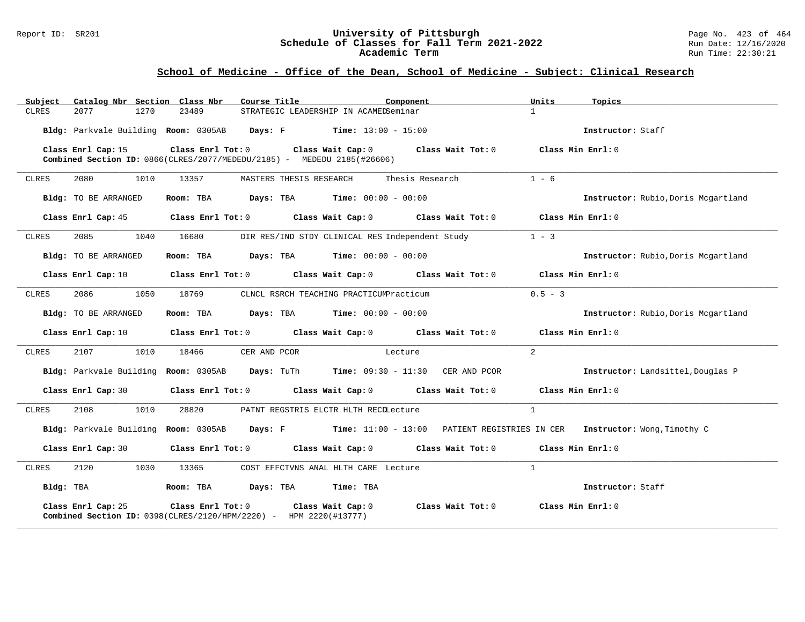#### Report ID: SR201 **University of Pittsburgh** Page No. 423 of 464 **Schedule of Classes for Fall Term 2021-2022** Run Date: 12/16/2020 **Academic Term** Run Time: 22:30:21

| Catalog Nbr Section Class Nbr<br>Subject | Course Title<br>Component                                                                                                                                  | Units<br>Topics                     |
|------------------------------------------|------------------------------------------------------------------------------------------------------------------------------------------------------------|-------------------------------------|
| 2077<br>1270<br><b>CLRES</b>             | 23489<br>STRATEGIC LEADERSHIP IN ACAMEDSeminar                                                                                                             | $\mathbf{1}$                        |
|                                          | Bldg: Parkvale Building Room: 0305AB Days: F Time: 13:00 - 15:00                                                                                           | Instructor: Staff                   |
| Class Enrl Cap: 15                       | Class Enrl Tot: $0$ Class Wait Cap: $0$ Class Wait Tot: $0$ Class Min Enrl: $0$<br>Combined Section ID: 0866(CLRES/2077/MEDEDU/2185) - MEDEDU 2185(#26606) |                                     |
| 1010<br><b>CLRES</b><br>2080             | 13357<br>MASTERS THESIS RESEARCH<br>Thesis Research                                                                                                        | $1 - 6$                             |
| Bldg: TO BE ARRANGED                     | Room: TBA<br><b>Days:</b> TBA <b>Time:</b> $00:00 - 00:00$                                                                                                 | Instructor: Rubio, Doris Mcgartland |
| Class Enrl Cap: 45                       | Class Enrl Tot: $0$ Class Wait Cap: $0$ Class Wait Tot: $0$ Class Min Enrl: $0$                                                                            |                                     |
| 2085<br>1040<br>CLRES                    | DIR RES/IND STDY CLINICAL RES Independent Study<br>16680                                                                                                   | $1 - 3$                             |
| Bldg: TO BE ARRANGED                     | $\texttt{Davis:}$ TBA $\texttt{Time:}$ 00:00 - 00:00<br>Room: TBA                                                                                          | Instructor: Rubio, Doris Mcgartland |
| Class Enrl Cap: 10                       | Class Enrl Tot: $0$ Class Wait Cap: $0$ Class Wait Tot: $0$ Class Min Enrl: $0$                                                                            |                                     |
| <b>CLRES</b><br>2086<br>1050             | CLNCL RSRCH TEACHING PRACTICUMPracticum<br>18769                                                                                                           | $0.5 - 3$                           |
| Bldg: TO BE ARRANGED                     | $\texttt{Davis:}$ TBA $\texttt{Time:}$ 00:00 - 00:00<br>Room: TBA                                                                                          | Instructor: Rubio, Doris Mcgartland |
| Class Enrl Cap: 10                       | Class Enrl Tot: 0 Class Wait Cap: 0 Class Wait Tot: 0                                                                                                      | Class Min Enrl: 0                   |
| 2107<br>1010<br>CLRES                    | 18466<br>CER AND PCOR<br>Lecture                                                                                                                           | 2                                   |
|                                          | Bldg: Parkvale Building Room: 0305AB Days: TuTh Time: 09:30 - 11:30 CER AND PCOR                                                                           | Instructor: Landsittel, Douglas P   |
| Class Enrl Cap: 30                       | Class Enrl Tot: $0$ Class Wait Cap: $0$ Class Wait Tot: $0$ Class Min Enrl: $0$                                                                            |                                     |
| 2108<br>1010<br>CLRES                    | 28820<br>PATNT REGSTRIS ELCTR HLTH RECLLecture                                                                                                             | $\mathbf{1}$                        |
|                                          | Bldg: Parkvale Building Room: 0305AB Days: F Time: 11:00 - 13:00 PATIENT REGISTRIES IN CER Instructor: Wong, Timothy C                                     |                                     |
| Class Enrl Cap: 30                       | Class Enrl Tot: $0$ Class Wait Cap: $0$ Class Wait Tot: $0$ Class Min Enrl: $0$                                                                            |                                     |
| 2120<br>1030<br>CLRES                    | 13365<br>COST EFFCTVNS ANAL HLTH CARE Lecture                                                                                                              | $\mathbf{1}$                        |
| Bldg: TBA                                | Room: TBA Days: TBA Time: TBA                                                                                                                              | Instructor: Staff                   |
| Class Enrl Cap: 25                       | Class Enrl Tot: 0<br>Class Wait Cap: 0<br>Class Wait Tot:0<br>Combined Section ID: 0398(CLRES/2120/HPM/2220) - HPM 2220(#13777)                            | Class Min Enrl: 0                   |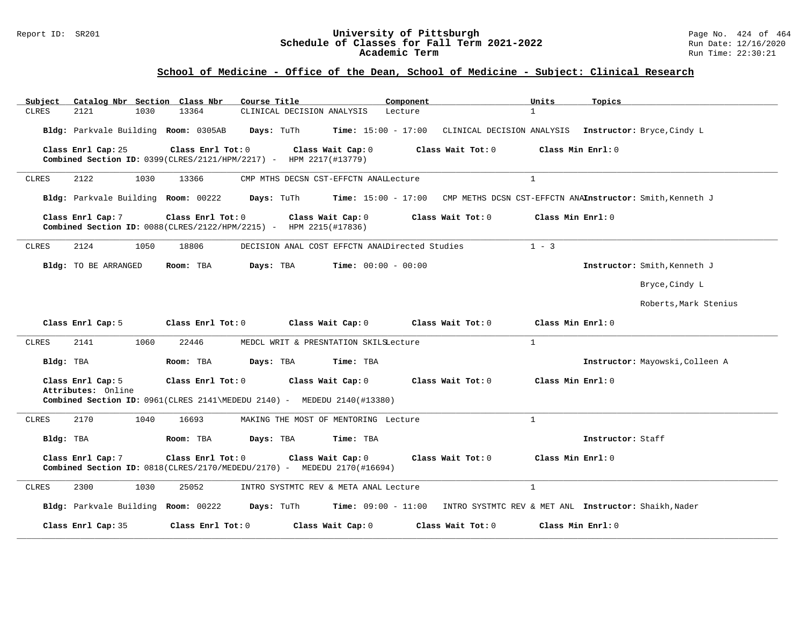#### Report ID: SR201 **University of Pittsburgh** Page No. 424 of 464 **Schedule of Classes for Fall Term 2021-2022** Run Date: 12/16/2020 **Academic Term** Run Time: 22:30:21

| Catalog Nbr Section Class Nbr<br>Subject                                                                                                                                                   | Course Title                                                                                                | Component                    | Units<br>Topics                                           |  |  |  |
|--------------------------------------------------------------------------------------------------------------------------------------------------------------------------------------------|-------------------------------------------------------------------------------------------------------------|------------------------------|-----------------------------------------------------------|--|--|--|
| <b>CLRES</b><br>2121<br>1030                                                                                                                                                               | 13364<br>CLINICAL DECISION ANALYSIS                                                                         | Lecture                      | $\mathbf{1}$                                              |  |  |  |
| Bldg: Parkvale Building Room: 0305AB                                                                                                                                                       | Days: TuTh                                                                                                  | <b>Time:</b> $15:00 - 17:00$ | CLINICAL DECISION ANALYSIS Instructor: Bryce, Cindy L     |  |  |  |
| Class Enrl Cap: 25                                                                                                                                                                         | Class Enrl Tot: 0<br>Class Wait Cap: 0<br>Combined Section ID: 0399(CLRES/2121/HPM/2217) - HPM 2217(#13779) | Class Wait Tot: 0            | Class Min Enrl: 0                                         |  |  |  |
| 2122<br>1030<br>CLRES                                                                                                                                                                      | CMP MTHS DECSN CST-EFFCTN ANAILecture<br>13366                                                              |                              | $\mathbf{1}$                                              |  |  |  |
| Bldg: Parkvale Building Room: 00222                                                                                                                                                        | Days: TuTh                                                                                                  | $Time: 15:00 - 17:00$        | CMP METHS DCSN CST-EFFCTN ANAInstructor: Smith, Kenneth J |  |  |  |
| Class Enrl Cap: 7                                                                                                                                                                          | Class Enrl Tot: 0<br>Class Wait Cap: 0<br>Combined Section ID: 0088(CLRES/2122/HPM/2215) - HPM 2215(#17836) | Class Wait Tot: 0            | Class Min Enrl: 0                                         |  |  |  |
| 2124<br>1050<br><b>CLRES</b>                                                                                                                                                               | DECISION ANAL COST EFFCTN ANAIDirected Studies<br>18806                                                     |                              | $1 - 3$                                                   |  |  |  |
| Bldg: TO BE ARRANGED                                                                                                                                                                       | Room: TBA<br>Days: TBA                                                                                      | <b>Time:</b> $00:00 - 00:00$ | Instructor: Smith, Kenneth J                              |  |  |  |
|                                                                                                                                                                                            |                                                                                                             |                              | Bryce, Cindy L                                            |  |  |  |
|                                                                                                                                                                                            |                                                                                                             |                              | Roberts, Mark Stenius                                     |  |  |  |
| Class Enrl Cap: 5                                                                                                                                                                          | Class Enrl Tot: 0<br>Class Wait Cap: 0                                                                      | Class Wait Tot: $0$          | Class Min Enrl: 0                                         |  |  |  |
| 2141<br>1060<br>CLRES                                                                                                                                                                      | 22446<br>MEDCL WRIT & PRESNTATION SKILSLecture                                                              |                              | $\mathbf{1}$                                              |  |  |  |
| Bldg: TBA                                                                                                                                                                                  | Room: TBA<br>Days: TBA<br>Time: TBA                                                                         |                              | Instructor: Mayowski, Colleen A                           |  |  |  |
| Class Enrl Cap: 5                                                                                                                                                                          | Class Enrl Tot: 0<br>Class Wait Cap: 0                                                                      | Class Wait Tot: 0            | Class Min Enrl: 0                                         |  |  |  |
| Attributes: Online                                                                                                                                                                         | Combined Section ID: 0961(CLRES 2141\MEDEDU 2140) - MEDEDU 2140(#13380)                                     |                              |                                                           |  |  |  |
| 2170<br>1040<br><b>CLRES</b>                                                                                                                                                               | 16693<br>MAKING THE MOST OF MENTORING Lecture                                                               |                              | $\mathbf{1}$                                              |  |  |  |
| Bldg: TBA                                                                                                                                                                                  | Room: TBA<br>Days: TBA<br>Time: TBA                                                                         |                              | Instructor: Staff                                         |  |  |  |
| Class Min Enrl: 0<br>Class Enrl Cap: 7<br>Class Enrl Tot: 0<br>Class Wait Cap: 0<br>Class Wait Tot: 0<br><b>Combined Section ID:</b> $0818$ (CLRES/2170/MEDEDU/2170) - MEDEDU 2170(#16694) |                                                                                                             |                              |                                                           |  |  |  |
| CLRES<br>2300<br>1030                                                                                                                                                                      | 25052<br>INTRO SYSTMTC REV & META ANAL Lecture                                                              |                              | $\mathbf{1}$                                              |  |  |  |
| Bldg: Parkvale Building Room: 00222                                                                                                                                                        | Days: TuTh                                                                                                  | <b>Time:</b> $09:00 - 11:00$ | INTRO SYSTMTC REV & MET ANL Instructor: Shaikh, Nader     |  |  |  |
| Class Enrl Cap: 35                                                                                                                                                                         | Class Enrl Tot: 0<br>Class Wait Cap: 0                                                                      | Class Wait Tot: 0            | Class Min Enrl: 0                                         |  |  |  |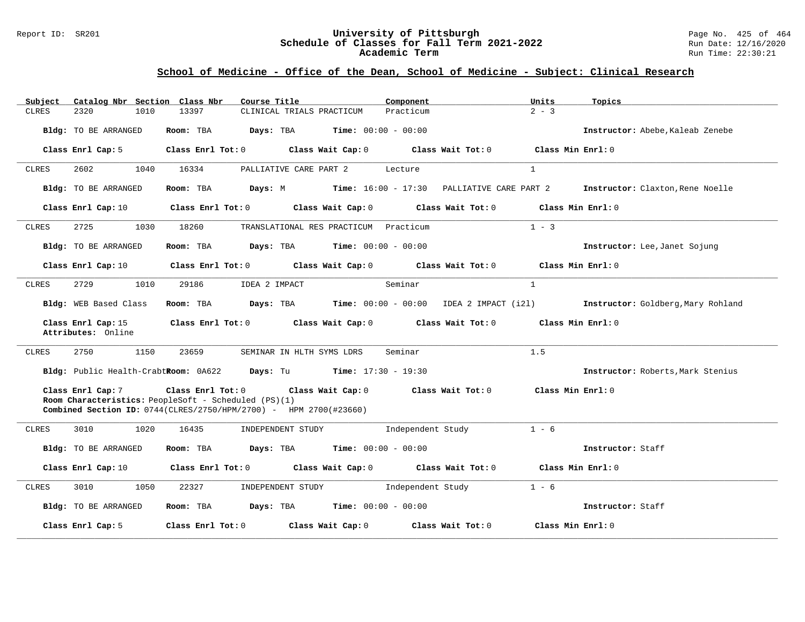#### Report ID: SR201 **University of Pittsburgh** Page No. 425 of 464 **Schedule of Classes for Fall Term 2021-2022** Run Date: 12/16/2020 **Academic Term** Run Time: 22:30:21

| Subject      | Catalog Nbr Section Class Nbr            | Course Title                                                                                                                                                     |                                               | Component                                                           | Units             | Topics                                                                                         |
|--------------|------------------------------------------|------------------------------------------------------------------------------------------------------------------------------------------------------------------|-----------------------------------------------|---------------------------------------------------------------------|-------------------|------------------------------------------------------------------------------------------------|
| <b>CLRES</b> | 2320<br>1010                             | 13397                                                                                                                                                            | CLINICAL TRIALS PRACTICUM                     | Practicum                                                           | $2 - 3$           |                                                                                                |
|              | Bldg: TO BE ARRANGED                     | Room: TBA                                                                                                                                                        | <b>Days:</b> TBA <b>Time:</b> $00:00 - 00:00$ |                                                                     |                   | Instructor: Abebe, Kaleab Zenebe                                                               |
|              | Class Enrl Cap: 5                        | Class Enrl Tot: 0 Class Wait Cap: 0 Class Wait Tot: 0                                                                                                            |                                               |                                                                     | Class Min Enrl: 0 |                                                                                                |
| CLRES        | 2602<br>1040                             | 16334                                                                                                                                                            | PALLIATIVE CARE PART 2                        | Lecture                                                             | $\mathbf{1}$      |                                                                                                |
|              | Bldg: TO BE ARRANGED                     | Room: TBA                                                                                                                                                        |                                               | Days: M              Time: 16:00 - 17:30     PALLIATIVE CARE PART 2 |                   | Instructor: Claxton, Rene Noelle                                                               |
|              | Class Enrl Cap: 10                       | Class Enrl Tot: $0$ class Wait Cap: $0$ class Wait Tot: $0$ class Min Enrl: $0$                                                                                  |                                               |                                                                     |                   |                                                                                                |
| CLRES        | 2725<br>1030                             | 18260                                                                                                                                                            | TRANSLATIONAL RES PRACTICUM Practicum         |                                                                     | $1 - 3$           |                                                                                                |
|              | <b>Bldg:</b> TO BE ARRANGED              | Room: TBA                                                                                                                                                        | <b>Days:</b> TBA <b>Time:</b> $00:00 - 00:00$ |                                                                     |                   | Instructor: Lee, Janet Sojung                                                                  |
|              | Class Enrl Cap: 10                       | Class Enrl Tot: $0$ Class Wait Cap: $0$ Class Wait Tot: $0$ Class Min Enrl: $0$                                                                                  |                                               |                                                                     |                   |                                                                                                |
| CLRES        | 2729<br>1010                             | 29186<br>IDEA 2 IMPACT                                                                                                                                           |                                               | Seminar                                                             | $\mathbf{1}$      |                                                                                                |
|              | Bldg: WEB Based Class                    |                                                                                                                                                                  |                                               |                                                                     |                   | Room: TBA Days: TBA Time: 00:00 - 00:00 IDEA 2 IMPACT (121) Instructor: Goldberg, Mary Rohland |
|              | Class Enrl Cap: 15<br>Attributes: Online |                                                                                                                                                                  |                                               | Class Enrl Tot: 0 Class Wait Cap: 0 Class Wait Tot: 0               | Class Min Enrl: 0 |                                                                                                |
| CLRES        | 2750<br>1150                             | 23659                                                                                                                                                            | SEMINAR IN HLTH SYMS LDRS                     | Seminar                                                             | 1.5               |                                                                                                |
|              |                                          | Bldg: Public Health-CrabtRoom: 0A622 Days: Tu Time: 17:30 - 19:30                                                                                                |                                               |                                                                     |                   | Instructor: Roberts, Mark Stenius                                                              |
|              | Class Enrl Cap: 7                        | Class Enrl Tot: 0 Class Wait Cap: 0<br>Room Characteristics: PeopleSoft - Scheduled (PS)(1)<br>Combined Section ID: 0744(CLRES/2750/HPM/2700) - HPM 2700(#23660) |                                               | Class Wait Tot: 0                                                   | Class Min Enrl: 0 |                                                                                                |
| CLRES        | 3010<br>1020                             | 16435                                                                                                                                                            | INDEPENDENT STUDY                             | Independent Study                                                   | $1 - 6$           |                                                                                                |
|              | Bldg: TO BE ARRANGED                     | Room: TBA $Days:$ TBA $Time: 00:00 - 00:00$                                                                                                                      |                                               |                                                                     |                   | Instructor: Staff                                                                              |
|              | Class Enrl Cap: 10                       | Class Enrl Tot: $0$ Class Wait Cap: $0$ Class Wait Tot: $0$                                                                                                      |                                               |                                                                     | Class Min Enrl: 0 |                                                                                                |
| CLRES        | 3010<br>1050                             | 22327                                                                                                                                                            | INDEPENDENT STUDY Independent Study           |                                                                     | $1 - 6$           |                                                                                                |
|              | Bldg: TO BE ARRANGED                     | Room: TBA $Days: TBA$ Time: $00:00 - 00:00$                                                                                                                      |                                               |                                                                     |                   | Instructor: Staff                                                                              |
|              | Class Enrl Cap: 5                        | Class Enrl Tot: 0 Class Wait Cap: 0                                                                                                                              |                                               | Class Wait Tot: 0                                                   | Class Min Enrl: 0 |                                                                                                |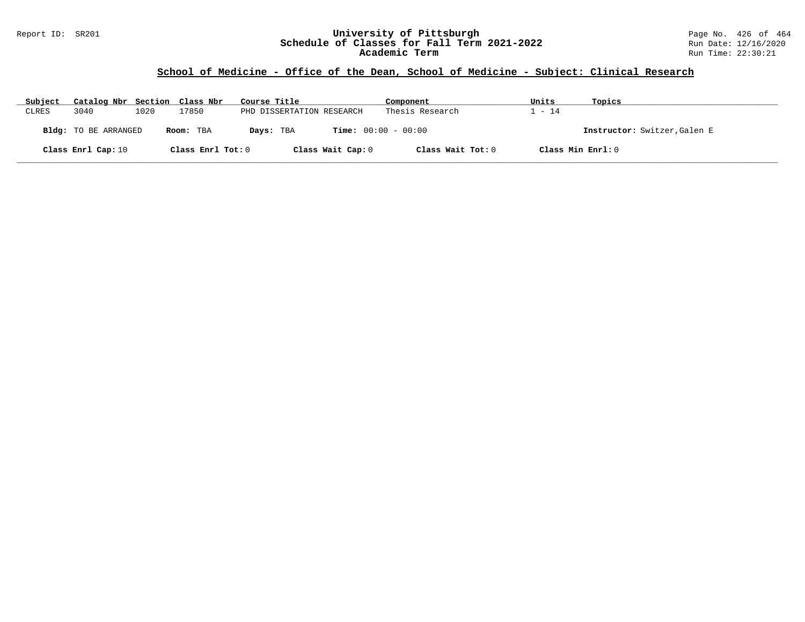#### Report ID: SR201 **University of Pittsburgh** Page No. 426 of 464 **Schedule of Classes for Fall Term 2021-2022** Run Date: 12/16/2020 **Academic Term** Run Time: 22:30:21

| Subject      | Catalog Nbr Section Class Nbr |      |                   | Course Title              | Component                    | Units             | Topics                       |
|--------------|-------------------------------|------|-------------------|---------------------------|------------------------------|-------------------|------------------------------|
| <b>CLRES</b> | 3040                          | 1020 | 17850             | PHD DISSERTATION RESEARCH | Thesis Research              | $-14$             |                              |
|              | <b>Bldg:</b> TO BE ARRANGED   |      | Room: TBA         | Days: TBA                 | <b>Time:</b> $00:00 - 00:00$ |                   | Instructor: Switzer, Galen E |
|              | Class Enrl Cap: 10            |      | Class Enrl Tot: 0 | Class Wait Cap: 0         | Class Wait Tot: 0            | Class Min Enrl: 0 |                              |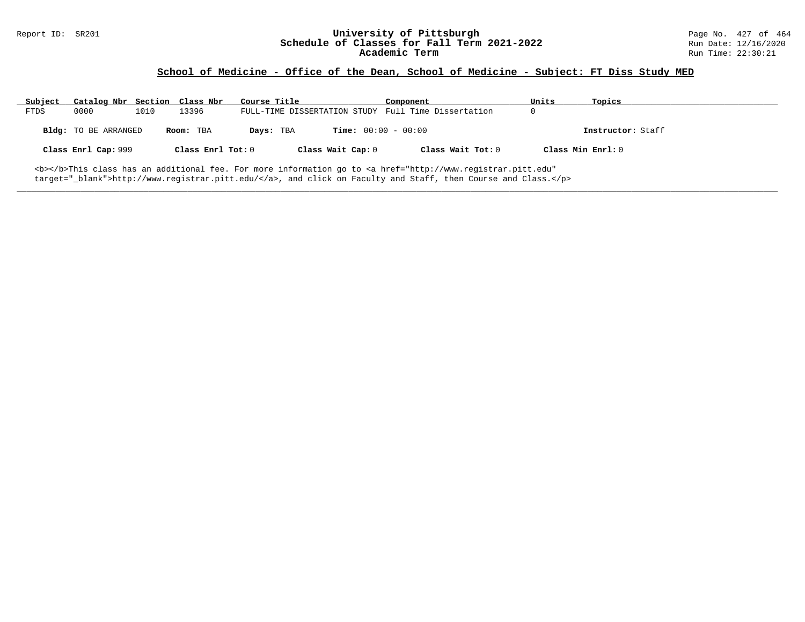# Report ID: SR201 **1988 Manual Construment University of Pittsburgh** Page No. 427 of 464<br>**Schedule of Classes for Fall Term 2021-2022** 2011 Page 12/16/2020 Schedule of Classes for Fall Term 2021-2022<br>Academic Term

### **School of Medicine - Office of the Dean, School of Medicine - Subject: FT Diss Study MED**

| Subject                                                                                                                      | Catalog Nbr Section Class Nbr |      |                   | Course Title |                              | Component                                           | Units | Topics            |
|------------------------------------------------------------------------------------------------------------------------------|-------------------------------|------|-------------------|--------------|------------------------------|-----------------------------------------------------|-------|-------------------|
| FTDS                                                                                                                         | 0000                          | 1010 | 13396             |              |                              | FULL-TIME DISSERTATION STUDY Full Time Dissertation | 0     |                   |
|                                                                                                                              | Bldg: TO BE ARRANGED          |      | Room: TBA         | Days: TBA    | <b>Time:</b> $00:00 - 00:00$ |                                                     |       | Instructor: Staff |
|                                                                                                                              | Class Enrl Cap: 999           |      | Class Enrl Tot: 0 |              | Class Wait Cap: 0            | Class Wait Tot: 0                                   |       | Class Min Enrl: 0 |
| <b></b> This class has an additional fee. For more information go to <a <="" href="http://www.registrar.pitt.edu" td=""></a> |                               |      |                   |              |                              |                                                     |       |                   |

**\_\_\_\_\_\_\_\_\_\_\_\_\_\_\_\_\_\_\_\_\_\_\_\_\_\_\_\_\_\_\_\_\_\_\_\_\_\_\_\_\_\_\_\_\_\_\_\_\_\_\_\_\_\_\_\_\_\_\_\_\_\_\_\_\_\_\_\_\_\_\_\_\_\_\_\_\_\_\_\_\_\_\_\_\_\_\_\_\_\_\_\_\_\_\_\_\_\_\_\_\_\_\_\_\_\_\_\_\_\_\_\_\_\_\_\_\_\_\_\_\_\_\_\_\_\_\_\_\_\_\_\_\_\_\_\_\_\_\_\_\_\_\_\_\_\_\_\_\_\_\_\_\_\_\_\_**

target="\_blank">http://www.registrar.pitt.edu/</a>, and click on Faculty and Staff, then Course and Class.</p>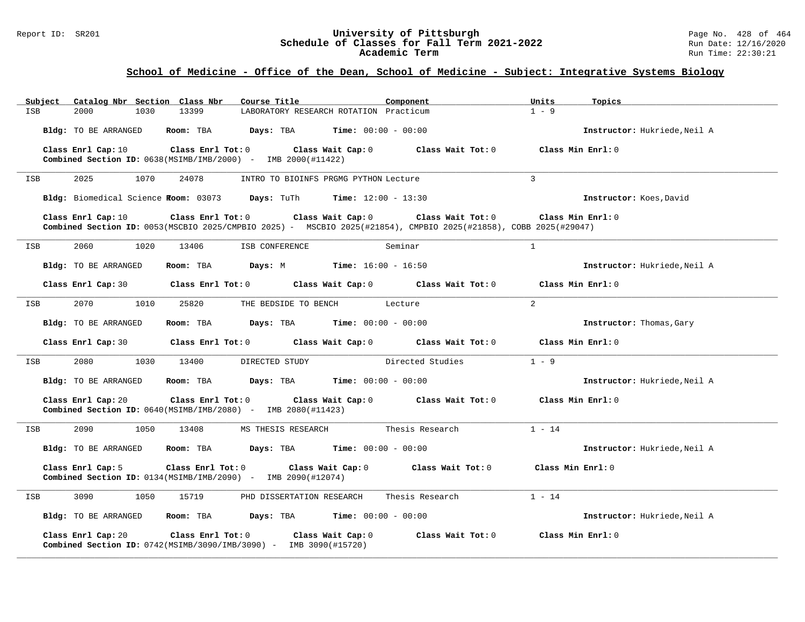#### Report ID: SR201 **1988 Chedule of Classes for Fall Term 2021-2022** Page No. 428 of 464<br>**Schedule of Classes for Fall Term 2021-2022** Run Date: 12/16/2020 **Schedule of Classes for Fall Term 2021-2022** Run Date: 12/16/2020 **Academic Term** Run Time: 22:30:21

# **School of Medicine - Office of the Dean, School of Medicine - Subject: Integrative Systems Biology**

| Catalog Nbr Section Class Nbr<br>Subject | Course Title                                                                                                                                               | Component<br>Units                  | Topics                       |
|------------------------------------------|------------------------------------------------------------------------------------------------------------------------------------------------------------|-------------------------------------|------------------------------|
| <b>ISB</b><br>2000<br>1030               | 13399<br>LABORATORY RESEARCH ROTATION Practicum                                                                                                            | $1 - 9$                             |                              |
| Bldg: TO BE ARRANGED                     | Room: TBA<br>Days: TBA<br>$Time: 00:00 - 00:00$                                                                                                            |                                     | Instructor: Hukriede, Neil A |
| Class Enrl Cap: 10                       | Class Enrl Tot: 0<br>Class Wait Cap: 0<br><b>Combined Section ID:</b> $0638(MSIMB/IMB/2000)$ - IMB $2000(H11422)$                                          | Class Wait Tot: 0                   | Class Min Enrl: 0            |
| 2025<br>1070<br>ISB                      | 24078<br>INTRO TO BIOINFS PRGMG PYTHON Lecture                                                                                                             | 3                                   |                              |
|                                          | Bldg: Biomedical Science Room: 03073 Days: TuTh Time: 12:00 - 13:30                                                                                        |                                     | Instructor: Koes, David      |
| Class Enrl Cap: 10                       | Class Enrl Tot: 0<br>Class Wait Cap: 0<br>Combined Section ID: 0053(MSCBIO 2025/CMPBIO 2025) - MSCBIO 2025(#21854), CMPBIO 2025(#21858), COBB 2025(#29047) | Class Wait Tot: 0                   | Class Min Enrl: 0            |
| 2060<br>1020<br>ISB                      | 13406<br>ISB CONFERENCE                                                                                                                                    | $\mathbf{1}$<br>Seminar             |                              |
| Bldg: TO BE ARRANGED                     | Room: TBA<br><b>Days:</b> M <b>Time:</b> $16:00 - 16:50$                                                                                                   |                                     | Instructor: Hukriede, Neil A |
| Class Enrl Cap: 30                       | Class Enrl Tot: 0                                                                                                                                          | Class Wait Cap: 0 Class Wait Tot: 0 | Class Min Enrl: 0            |
| 2070<br>1010<br>ISB                      | 25820<br>THE BEDSIDE TO BENCH                                                                                                                              | $\overline{2}$<br>Lecture           |                              |
| Bldg: TO BE ARRANGED                     | <b>Days:</b> TBA <b>Time:</b> $00:00 - 00:00$<br>Room: TBA                                                                                                 |                                     | Instructor: Thomas, Gary     |
| Class Enrl Cap: 30                       | Class Enrl Tot: 0<br>Class Wait Cap: 0                                                                                                                     | Class Wait Tot: 0                   | Class Min Enrl: 0            |
| 2080<br>1030<br>ISB                      | 13400<br>DIRECTED STUDY                                                                                                                                    | $1 - 9$<br>Directed Studies         |                              |
| Bldg: TO BE ARRANGED                     | Room: TBA<br><b>Days:</b> TBA <b>Time:</b> $00:00 - 00:00$                                                                                                 |                                     | Instructor: Hukriede, Neil A |
| Class Enrl Cap: 20                       | Class Enrl Tot: 0<br>Class Wait Cap: 0<br><b>Combined Section ID:</b> $0640(MSIMB/IMB/2080)$ - IMB $2080(H11423)$                                          | Class Wait Tot: 0                   | Class Min Enrl: 0            |
| 2090<br>1050<br>ISB                      | 13408<br>MS THESIS RESEARCH                                                                                                                                | $1 - 14$<br>Thesis Research         |                              |
| Bldg: TO BE ARRANGED                     | $\texttt{Davis:}$ TBA $\texttt{Time:}$ 00:00 - 00:00<br>Room: TBA                                                                                          |                                     | Instructor: Hukriede, Neil A |
| Class Enrl Cap: 5                        | Class Enrl Tot: 0<br>Class Wait Cap: 0<br><b>Combined Section ID:</b> $0134(MSIMB/IMB/2090)$ - IMB $2090(H12074)$                                          | Class Wait Tot: 0                   | Class Min Enrl: 0            |
| 3090<br>1050<br>ISB                      | 15719<br>PHD DISSERTATION RESEARCH                                                                                                                         | $1 - 14$<br>Thesis Research         |                              |
| Bldg: TO BE ARRANGED                     | Room: TBA<br>Days: TBA                                                                                                                                     | <b>Time:</b> $00:00 - 00:00$        | Instructor: Hukriede, Neil A |
| Class Enrl Cap: 20                       | Class Enrl Tot: 0<br>Class Wait Cap: 0<br>Combined Section ID: 0742(MSIMB/3090/IMB/3090) - IMB 3090(#15720)                                                | Class Wait Tot: 0                   | Class Min Enrl: 0            |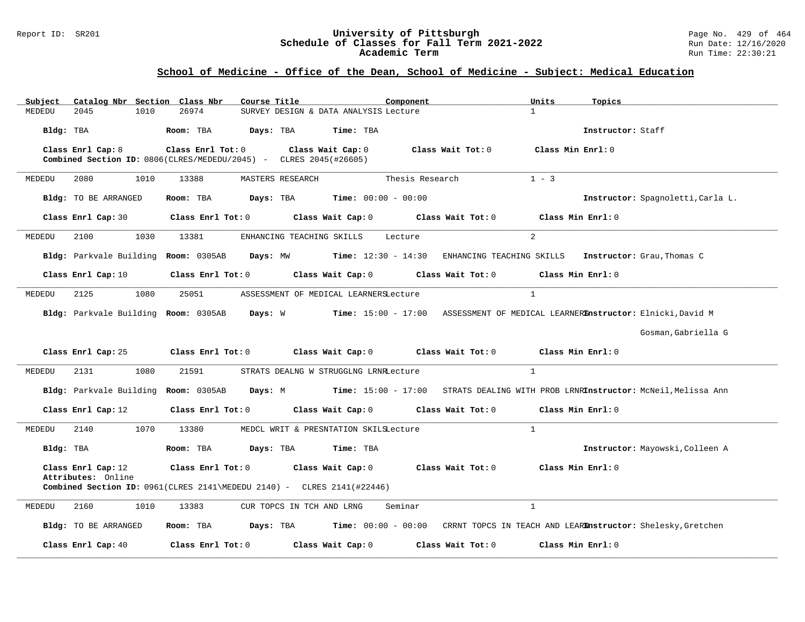#### Report ID: SR201 **University of Pittsburgh** Page No. 429 of 464 **Schedule of Classes for Fall Term 2021-2022** Run Date: 12/16/2020 **Academic Term** Run Time: 22:30:21

### **School of Medicine - Office of the Dean, School of Medicine - Subject: Medical Education**

| Catalog Nbr Section Class Nbr<br>Subject | Course Title                                                                                                          | Component<br>Units                      | Topics                                                                        |
|------------------------------------------|-----------------------------------------------------------------------------------------------------------------------|-----------------------------------------|-------------------------------------------------------------------------------|
| 2045<br>1010<br>MEDEDU                   | 26974<br>SURVEY DESIGN & DATA ANALYSIS Lecture                                                                        | $\mathbf{1}$                            |                                                                               |
| Bldg: TBA                                | Room: TBA<br>Days: TBA<br>Time: TBA                                                                                   |                                         | Instructor: Staff                                                             |
| Class Enrl Cap: 8                        | Class Enrl Tot: 0<br>Class Wait Cap: 0<br>Combined Section ID: 0806(CLRES/MEDEDU/2045) - CLRES 2045(#26605)           | Class Wait Tot: $0$                     | Class Min Enrl: 0                                                             |
| MEDEDU<br>2080<br>1010                   | 13388<br>MASTERS RESEARCH                                                                                             | $1 - 3$<br>Thesis Research              |                                                                               |
| Bldg: TO BE ARRANGED                     | Room: TBA<br><b>Days:</b> TBA <b>Time:</b> $00:00 - 00:00$                                                            |                                         | Instructor: Spagnoletti, Carla L.                                             |
| Class Enrl Cap: 30                       | Class Enrl Tot: 0<br>Class Wait Cap: 0                                                                                | Class Wait Tot: 0                       | Class Min Enrl: 0                                                             |
| 2100<br>1030<br>MEDEDU                   | 13381<br>ENHANCING TEACHING SKILLS                                                                                    | 2<br>Lecture                            |                                                                               |
| Bldg: Parkvale Building Room: 0305AB     | $Time: 12:30 - 14:30$<br>Days: MW                                                                                     |                                         | ENHANCING TEACHING SKILLS Instructor: Grau, Thomas C                          |
| Class Enrl Cap: 10                       | Class Enrl Tot: 0<br>Class Wait Cap: 0                                                                                | Class Wait $Tot: 0$ Class Min Enrl: $0$ |                                                                               |
| 2125<br>1080<br>MEDEDU                   | 25051<br>ASSESSMENT OF MEDICAL LEARNERSLecture                                                                        | $\mathbf{1}$                            |                                                                               |
| Bldg: Parkvale Building Room: 0305AB     | Days: W                                                                                                               |                                         | Time: 15:00 - 17:00 ASSESSMENT OF MEDICAL LEARNEREnstructor: Elnicki, David M |
|                                          |                                                                                                                       |                                         | Gosman, Gabriella G                                                           |
| Class Enrl Cap: 25                       | Class Enrl Tot: 0<br>Class Wait Cap: 0                                                                                | Class Wait Tot: 0                       | Class Min Enrl: 0                                                             |
| 2131<br>1080<br>MEDEDU                   | 21591<br>STRATS DEALNG W STRUGGLNG LRNRLecture                                                                        | $\mathbf{1}$                            |                                                                               |
| Bldg: Parkvale Building Room: 0305AB     | <b>Days:</b> M $\qquad$ Time: $15:00 - 17:00$                                                                         |                                         | STRATS DEALING WITH PROB LRNRInstructor: McNeil, Melissa Ann                  |
| Class Enrl Cap: 12                       | Class Wait Cap: 0<br>$Class$ $Enr1$ $Tot: 0$                                                                          | Class Wait Tot: 0 Class Min Enrl: 0     |                                                                               |
| 1070<br>2140<br>MEDEDU                   | 13380<br>MEDCL WRIT & PRESNTATION SKILSLecture                                                                        | $\mathbf{1}$                            |                                                                               |
| Bldg: TBA                                | Room: TBA<br>Days: TBA<br>Time: TBA                                                                                   |                                         | Instructor: Mayowski, Colleen A                                               |
| Class Enrl Cap: 12<br>Attributes: Online | Class Enrl Tot: 0<br>Class Wait Cap: 0<br>Combined Section ID: $0961$ (CLRES 2141 \MEDEDU 2140) - CLRES 2141 (#22446) | Class Wait Tot: 0                       | Class Min Enrl: 0                                                             |
|                                          |                                                                                                                       |                                         |                                                                               |
| 2160<br>1010<br>MEDEDU                   | 13383<br>CUR TOPCS IN TCH AND LRNG                                                                                    | Seminar<br>$\mathbf{1}$                 |                                                                               |
| Bldg: TO BE ARRANGED                     | Room: TBA<br><b>Days:</b> TBA <b>Time:</b> $00:00 - 00:00$                                                            |                                         | CRRNT TOPCS IN TEACH AND LEARIMStructor: Shelesky, Gretchen                   |
| Class Enrl Cap: 40                       | Class Enrl Tot: 0<br>Class Wait Cap: 0                                                                                | Class Wait Tot: 0                       | Class Min Enrl: 0                                                             |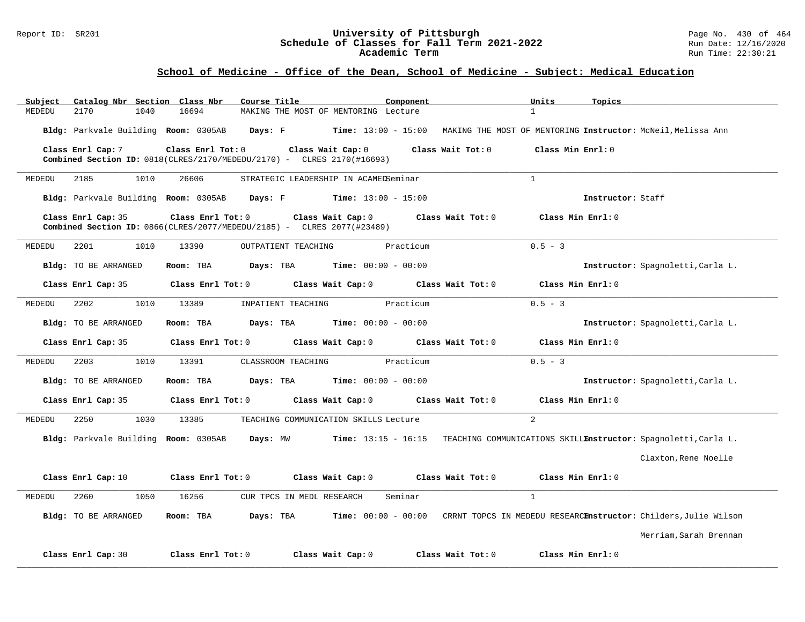#### Report ID: SR201 **University of Pittsburgh** Page No. 430 of 464 **Schedule of Classes for Fall Term 2021-2022** Run Date: 12/16/2020 **Academic Term** Run Time: 22:30:21

### **School of Medicine - Office of the Dean, School of Medicine - Subject: Medical Education**

| Subject              | Catalog Nbr Section Class Nbr        | Course Title                                                                                          | Component             | Units<br>Topics                                                                    |                                   |
|----------------------|--------------------------------------|-------------------------------------------------------------------------------------------------------|-----------------------|------------------------------------------------------------------------------------|-----------------------------------|
| 2170<br>MEDEDU       | 16694<br>1040                        | MAKING THE MOST OF MENTORING Lecture                                                                  |                       | $\mathbf{1}$                                                                       |                                   |
|                      | Bldg: Parkvale Building Room: 0305AB | Davs: F                                                                                               |                       | Time: 13:00 - 15:00 MAKING THE MOST OF MENTORING Instructor: McNeil, Melissa Ann   |                                   |
| Class Enrl Cap: 7    | Class Enrl Tot: 0                    | Class Wait Cap: 0<br><b>Combined Section ID:</b> $0818$ (CLRES/2170/MEDEDU/2170) - CLRES 2170(#16693) | Class Wait Tot: 0     | Class Min Enrl: 0                                                                  |                                   |
| 2185<br>MEDEDU       | 1010<br>26606                        | STRATEGIC LEADERSHIP IN ACAMEDSeminar                                                                 |                       | $\mathbf{1}$                                                                       |                                   |
|                      |                                      | Bldg: Parkvale Building Room: 0305AB Days: F Time: 13:00 - 15:00                                      |                       | Instructor: Staff                                                                  |                                   |
| Class Enrl Cap: 35   | Class Enrl Tot: 0                    | Class Wait Cap: 0<br><b>Combined Section ID:</b> $0866$ (CLRES/2077/MEDEDU/2185) - CLRES 2077(#23489) | Class Wait Tot: 0     | Class Min Enrl: 0                                                                  |                                   |
| MEDEDU<br>2201       | 1010<br>13390                        | OUTPATIENT TEACHING                                                                                   | Practicum             | $0.5 - 3$                                                                          |                                   |
| Bldg: TO BE ARRANGED | Room: TBA                            | <b>Days:</b> TBA <b>Time:</b> $00:00 - 00:00$                                                         |                       |                                                                                    | Instructor: Spagnoletti, Carla L. |
| Class Enrl Cap: 35   | Class Enrl Tot: 0                    | Class Wait Cap: 0                                                                                     | Class Wait Tot: 0     | Class Min Enrl: 0                                                                  |                                   |
| MEDEDU<br>2202       | 1010<br>13389                        | INPATIENT TEACHING                                                                                    | Practicum             | $0.5 - 3$                                                                          |                                   |
| Bldg: TO BE ARRANGED | Room: TBA                            | Days: TBA                                                                                             | $Time: 00:00 - 00:00$ |                                                                                    | Instructor: Spagnoletti, Carla L. |
| Class Enrl Cap: 35   | Class Enrl Tot: 0                    | Class Wait Cap: 0                                                                                     | Class Wait Tot: 0     | Class Min Enrl: 0                                                                  |                                   |
| 2203<br>MEDEDU       | 1010<br>13391                        | CLASSROOM TEACHING                                                                                    | Practicum             | $0.5 - 3$                                                                          |                                   |
| Bldg: TO BE ARRANGED | Room: TBA                            | <b>Days:</b> TBA <b>Time:</b> $00:00 - 00:00$                                                         |                       |                                                                                    | Instructor: Spagnoletti, Carla L. |
| Class Enrl Cap: 35   | Class Enrl Tot: 0                    | Class Wait Cap: 0                                                                                     | Class Wait Tot: 0     | Class Min Enrl: 0                                                                  |                                   |
| 2250<br>MEDEDU       | 1030<br>13385                        | TEACHING COMMUNICATION SKILLS Lecture                                                                 |                       | $\overline{2}$                                                                     |                                   |
|                      | Bldg: Parkvale Building Room: 0305AB | Days: MW                                                                                              |                       | Time: 13:15 - 16:15 TEACHING COMMUNICATIONS SKILLEnstructor: Spagnoletti, Carla L. |                                   |
|                      |                                      |                                                                                                       |                       |                                                                                    | Claxton, Rene Noelle              |
| Class Enrl Cap: 10   | Class Enrl Tot: 0                    | Class Wait Cap: 0                                                                                     | Class Wait Tot: 0     | Class Min Enrl: 0                                                                  |                                   |
| 2260<br>MEDEDU       | 1050<br>16256                        | CUR TPCS IN MEDL RESEARCH                                                                             | Seminar               | $\mathbf{1}$                                                                       |                                   |
| Bldg: TO BE ARRANGED | Room: TBA                            | Days: TBA                                                                                             | $Time: 00:00 - 00:00$ | CRRNT TOPCS IN MEDEDU RESEARCHAStructor: Childers, Julie Wilson                    |                                   |
|                      |                                      |                                                                                                       |                       |                                                                                    | Merriam, Sarah Brennan            |
| Class Enrl Cap: 30   | Class Enrl Tot: 0                    | Class Wait Cap: 0                                                                                     | Class Wait Tot: 0     | Class Min Enrl: 0                                                                  |                                   |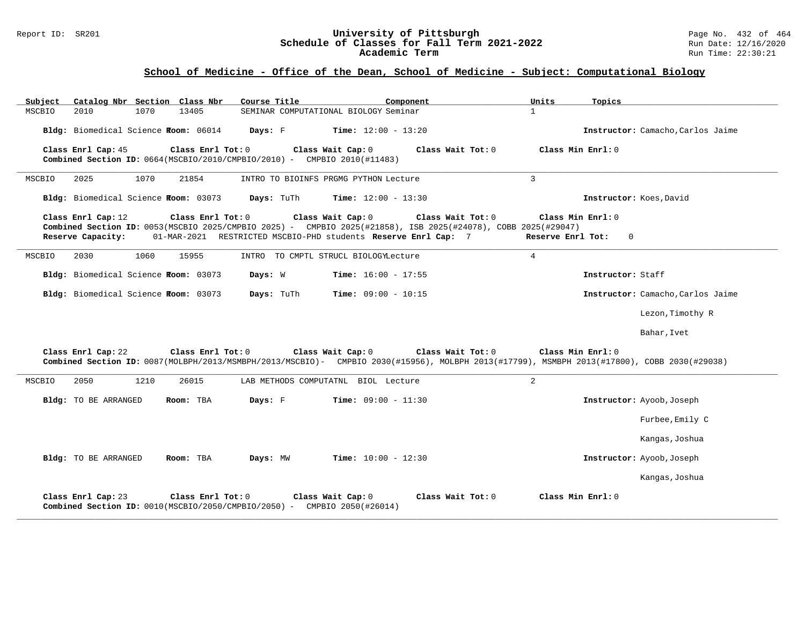#### Report ID: SR201 **1988 Manual Contention Contention Contention Contention Contention Contention Contention Conte**<br> **Schedule of Classes for Fall Term 2021-2022** 1999 Manuate: 12/16/2020 **Schedule of Classes for Fall Term 2021-2022** Run Date: 12/16/2020 **Academic Term** Run Time: 22:30:21

# **School of Medicine - Office of the Dean, School of Medicine - Subject: Computational Biology**

| Subject                                                                                                                                                                                                                                                                                                                                         |                                      |      | Catalog Nbr Section Class Nbr | Course Title                                                                      | Component                                                                                                                                                        | Units           | Topics                            |
|-------------------------------------------------------------------------------------------------------------------------------------------------------------------------------------------------------------------------------------------------------------------------------------------------------------------------------------------------|--------------------------------------|------|-------------------------------|-----------------------------------------------------------------------------------|------------------------------------------------------------------------------------------------------------------------------------------------------------------|-----------------|-----------------------------------|
| MSCBIO                                                                                                                                                                                                                                                                                                                                          | 2010                                 | 1070 | 13405                         |                                                                                   | SEMINAR COMPUTATIONAL BIOLOGY Seminar                                                                                                                            | $\mathbf{1}$    |                                   |
|                                                                                                                                                                                                                                                                                                                                                 | Bldg: Biomedical Science Room: 06014 |      |                               | Days: F                                                                           | <b>Time:</b> $12:00 - 13:20$                                                                                                                                     |                 | Instructor: Camacho, Carlos Jaime |
|                                                                                                                                                                                                                                                                                                                                                 | Class Enrl Cap: 45                   |      | Class Enrl Tot: 0             | Combined Section ID: 0664(MSCBIO/2010/CMPBIO/2010) - CMPBIO 2010(#11483)          | Class Wait Cap: 0<br>Class Wait Tot: 0                                                                                                                           |                 | Class Min Enrl: 0                 |
| MSCBIO                                                                                                                                                                                                                                                                                                                                          | 2025                                 | 1070 | 21854                         |                                                                                   | INTRO TO BIOINFS PRGMG PYTHON Lecture                                                                                                                            | 3               |                                   |
|                                                                                                                                                                                                                                                                                                                                                 | Bldg: Biomedical Science Room: 03073 |      |                               | Days: TuTh                                                                        | <b>Time:</b> $12:00 - 13:30$                                                                                                                                     |                 | Instructor: Koes, David           |
| Class Enrl Tot: 0<br>Class Wait Cap: 0<br>Class Wait Tot: 0<br>Class Min Enrl: 0<br>Class Enrl Cap: 12<br>Combined Section ID: 0053(MSCBIO 2025/CMPBIO 2025) - CMPBIO 2025(#21858), ISB 2025(#24078), COBB 2025(#29047)<br>01-MAR-2021 RESTRICTED MSCBIO-PHD students Reserve Enrl Cap: 7<br>Reserve Capacity:<br>Reserve Enrl Tot:<br>$\Omega$ |                                      |      |                               |                                                                                   |                                                                                                                                                                  |                 |                                   |
| MSCBIO                                                                                                                                                                                                                                                                                                                                          | 2030                                 | 1060 | 15955                         |                                                                                   | INTRO TO CMPTL STRUCL BIOLOGYLecture                                                                                                                             | $4\overline{ }$ |                                   |
|                                                                                                                                                                                                                                                                                                                                                 | Bldg: Biomedical Science Room: 03073 |      |                               | Days: W                                                                           | <b>Time:</b> $16:00 - 17:55$                                                                                                                                     |                 | Instructor: Staff                 |
|                                                                                                                                                                                                                                                                                                                                                 | Bldg: Biomedical Science Room: 03073 |      |                               | Days: TuTh                                                                        | <b>Time:</b> $09:00 - 10:15$                                                                                                                                     |                 | Instructor: Camacho, Carlos Jaime |
|                                                                                                                                                                                                                                                                                                                                                 |                                      |      |                               |                                                                                   |                                                                                                                                                                  |                 | Lezon, Timothy R                  |
|                                                                                                                                                                                                                                                                                                                                                 |                                      |      |                               |                                                                                   |                                                                                                                                                                  |                 | Bahar, Ivet                       |
|                                                                                                                                                                                                                                                                                                                                                 | Class Enrl Cap: 22                   |      | Class Enrl Tot: 0             | Class Wait Cap: 0                                                                 | Class Wait Tot: 0<br>Combined Section ID: 0087(MOLBPH/2013/MSMBPH/2013/MSCBIO)- CMPBIO 2030(#15956), MOLBPH 2013(#17799), MSMBPH 2013(#17800), COBB 2030(#29038) |                 | Class Min Enrl: 0                 |
| MSCBIO                                                                                                                                                                                                                                                                                                                                          | 2050                                 | 1210 | 26015                         |                                                                                   | LAB METHODS COMPUTATNL BIOL Lecture                                                                                                                              | 2               |                                   |
|                                                                                                                                                                                                                                                                                                                                                 | Bldg: TO BE ARRANGED                 |      | Room: TBA                     | Days: F                                                                           | $Time: 09:00 - 11:30$                                                                                                                                            |                 | Instructor: Ayoob, Joseph         |
|                                                                                                                                                                                                                                                                                                                                                 |                                      |      |                               |                                                                                   |                                                                                                                                                                  |                 | Furbee, Emily C                   |
|                                                                                                                                                                                                                                                                                                                                                 |                                      |      |                               |                                                                                   |                                                                                                                                                                  |                 | Kangas, Joshua                    |
|                                                                                                                                                                                                                                                                                                                                                 | Bldg: TO BE ARRANGED                 |      | Room: TBA                     | Days: MW                                                                          | $Time: 10:00 - 12:30$                                                                                                                                            |                 | Instructor: Ayoob, Joseph         |
|                                                                                                                                                                                                                                                                                                                                                 |                                      |      |                               |                                                                                   |                                                                                                                                                                  |                 | Kangas, Joshua                    |
|                                                                                                                                                                                                                                                                                                                                                 | Class Enrl Cap: 23                   |      | Class Enrl Tot: 0             | <b>Combined Section ID:</b> $0010(MSCBIO/2050/CMPBIO/2050) -$ CMPBIO 2050(#26014) | Class Wait Cap: 0<br>Class Wait $Tot: 0$                                                                                                                         |                 | Class Min Enrl: 0                 |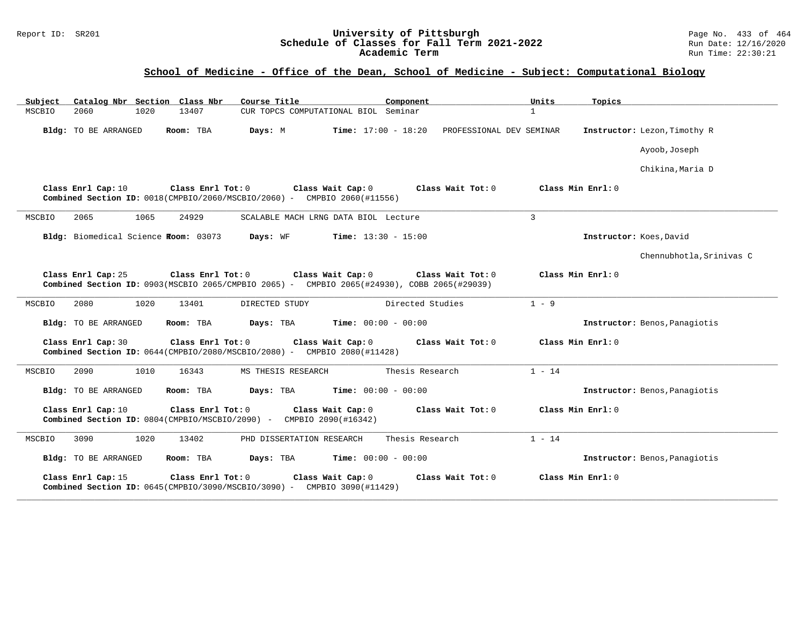### **School of Medicine - Office of the Dean, School of Medicine - Subject: Computational Biology**

| Subject<br>Catalog Nbr Section Class Nbr | Course Title                                                                                                                          | Component                                                | Units<br>Topics               |  |
|------------------------------------------|---------------------------------------------------------------------------------------------------------------------------------------|----------------------------------------------------------|-------------------------------|--|
| MSCBIO<br>2060<br>1020                   | CUR TOPCS COMPUTATIONAL BIOL Seminar<br>13407                                                                                         |                                                          | $\mathbf{1}$                  |  |
| Bldg: TO BE ARRANGED                     | Days: M<br>Room: TBA                                                                                                                  | <b>Time:</b> $17:00 - 18:20$<br>PROFESSIONAL DEV SEMINAR | Instructor: Lezon, Timothy R  |  |
|                                          |                                                                                                                                       |                                                          | Ayoob, Joseph                 |  |
|                                          |                                                                                                                                       |                                                          | Chikina, Maria D              |  |
| Class Enrl Cap: 10                       | Class Wait Cap: 0<br>Class Enrl Tot: 0<br><b>Combined Section ID:</b> $0018$ (CMPBIO/2060/MSCBIO/2060) - CMPBIO 2060(#11556)          | Class Wait Tot: 0                                        | Class Min Enrl: 0             |  |
| 1065<br>2065<br>MSCBIO                   | 24929<br>SCALABLE MACH LRNG DATA BIOL Lecture                                                                                         |                                                          | 3                             |  |
| Bldg: Biomedical Science Room: 03073     | Days: WF                                                                                                                              | <b>Time:</b> $13:30 - 15:00$                             | Instructor: Koes, David       |  |
|                                          |                                                                                                                                       |                                                          | Chennubhotla, Srinivas C      |  |
| Class Enrl Cap: 25                       | Class Wait Cap: 0<br>Class Enrl Tot: 0<br>Combined Section ID: 0903(MSCBIO 2065/CMPBIO 2065) - CMPBIO 2065(#24930), COBB 2065(#29039) | Class Wait Tot: 0                                        | Class Min Enrl: 0             |  |
| MSCBIO<br>2080<br>1020                   | 13401<br>DIRECTED STUDY                                                                                                               | Directed Studies                                         | $1 - 9$                       |  |
| Bldg: TO BE ARRANGED                     | Room: TBA<br>Days: TBA                                                                                                                | <b>Time:</b> $00:00 - 00:00$                             | Instructor: Benos, Panagiotis |  |
| Class Enrl Cap: 30                       | Class Enrl Tot: 0<br>Class Wait Cap: 0<br>Combined Section ID: $0644$ (CMPBIO/2080/MSCBIO/2080) - CMPBIO 2080(#11428)                 | Class Wait Tot: 0                                        | Class Min Enrl: 0             |  |
| 2090<br>1010<br>MSCBIO                   | 16343<br>MS THESIS RESEARCH                                                                                                           | Thesis Research                                          | $1 - 14$                      |  |
| Bldg: TO BE ARRANGED                     | Days: TBA<br>Room: TBA                                                                                                                | <b>Time:</b> $00:00 - 00:00$                             | Instructor: Benos, Panagiotis |  |
| Class Enrl Cap: 10                       | Class Enrl Tot: 0<br>Class Wait Cap: 0<br>Combined Section ID: 0804(CMPBIO/MSCBIO/2090) - CMPBIO 2090(#16342)                         | Class Wait Tot: 0                                        | Class Min Enrl: 0             |  |
| MSCBIO<br>3090<br>1020                   | 13402<br>PHD DISSERTATION RESEARCH                                                                                                    | Thesis Research                                          | $1 - 14$                      |  |
| Bldg: TO BE ARRANGED                     | Room: TBA<br>Days: TBA                                                                                                                | <b>Time:</b> $00:00 - 00:00$                             | Instructor: Benos, Panagiotis |  |
| Class Enrl Cap: 15                       | Class Enrl Tot: 0<br>Class Wait Cap: 0<br>Combined Section ID: 0645(CMPBIO/3090/MSCBIO/3090) - CMPBIO 3090(#11429)                    | Class Wait Tot: 0                                        | Class Min Enrl: 0             |  |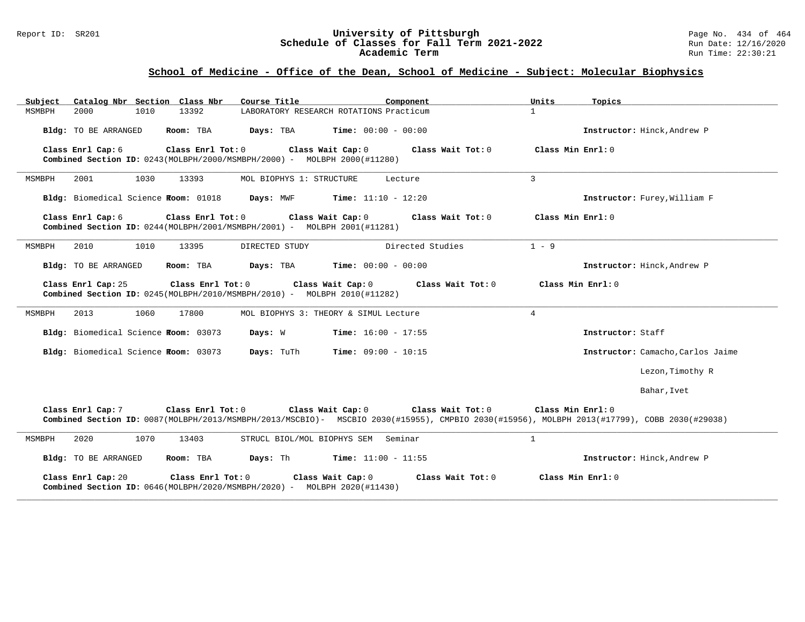### Report ID: SR201 **1988 Machines 1998 Machines 2011 Term 2021-2022** Page No. 434 of 464<br>**Schedule of Classes for Fall Term 2021-2022** 2014 Run Date: 12/16/2020 **Schedule of Classes for Fall Term 2021-2022** Run Date: 12/16/2020 **Academic Term** Run Time: 22:30:21

# **School of Medicine - Office of the Dean, School of Medicine - Subject: Molecular Biophysics**

| Catalog Nbr Section Class Nbr<br>Subject                                                                                    | Course Title<br>Component                                                                                                                                                             | Units<br>Topics                   |
|-----------------------------------------------------------------------------------------------------------------------------|---------------------------------------------------------------------------------------------------------------------------------------------------------------------------------------|-----------------------------------|
| MSMBPH<br>1010<br>13392<br>2000                                                                                             | LABORATORY RESEARCH ROTATIONS Practicum                                                                                                                                               | $\mathbf{1}$                      |
| Bldg: TO BE ARRANGED<br>Room: TBA                                                                                           | <b>Time:</b> $00:00 - 00:00$<br>Days: TBA                                                                                                                                             | Instructor: Hinck, Andrew P       |
| Class Enrl Cap: 6<br>Class Enrl Tot: 0<br><b>Combined Section ID:</b> $0243(MOLEPH/2000/MSMBPH/2000) - MOLEPH 2000(H11280)$ | Class Wait Cap: 0<br>Class Wait Tot: 0                                                                                                                                                | Class Min Enrl: 0                 |
| MSMBPH<br>2001<br>1030<br>13393                                                                                             | MOL BIOPHYS 1: STRUCTURE<br>Lecture                                                                                                                                                   | $\mathbf{3}$                      |
| Bldg: Biomedical Science Room: 01018                                                                                        | Days: MWF<br><b>Time:</b> $11:10 - 12:20$                                                                                                                                             | Instructor: Furey, William F      |
| Class Enrl Cap: 6<br>Class Enrl Tot: 0<br><b>Combined Section ID:</b> $0244(MOLEPH/2001/MSMBPH/2001) - MOLEPH 2001(H11281)$ | Class Wait Cap: 0<br>Class Wait Tot: 0                                                                                                                                                | Class Min Enrl: 0                 |
| 2010<br>1010<br>13395<br>MSMBPH                                                                                             | Directed Studies<br>DIRECTED STUDY                                                                                                                                                    | $1 - 9$                           |
| Bldg: TO BE ARRANGED<br>Room: TBA                                                                                           | Days: TBA<br><b>Time:</b> $00:00 - 00:00$                                                                                                                                             | Instructor: Hinck, Andrew P       |
| Class Enrl Tot: 0<br>Class Enrl Cap: 25<br>Combined Section ID: 0245(MOLBPH/2010/MSMBPH/2010) - MOLBPH 2010(#11282)         | Class Wait Cap: 0<br>Class Wait Tot: 0                                                                                                                                                | Class Min Enrl: 0                 |
| 2013<br>1060<br>17800<br>MSMBPH                                                                                             | MOL BIOPHYS 3: THEORY & SIMUL Lecture                                                                                                                                                 | $\overline{4}$                    |
| Bldg: Biomedical Science Room: 03073                                                                                        | Days: W<br><b>Time:</b> $16:00 - 17:55$                                                                                                                                               | Instructor: Staff                 |
| Bldg: Biomedical Science Room: 03073                                                                                        | <b>Time:</b> $09:00 - 10:15$<br>Days: TuTh                                                                                                                                            | Instructor: Camacho, Carlos Jaime |
|                                                                                                                             |                                                                                                                                                                                       | Lezon, Timothy R                  |
|                                                                                                                             |                                                                                                                                                                                       | Bahar, Ivet                       |
| Class Enrl Cap: 7<br>Class Enrl Tot: 0                                                                                      | Class Wait Cap: 0<br>Class Wait Tot: 0<br>Combined Section ID: 0087(MOLBPH/2013/MSMBPH/2013/MSCBIO)- MSCBIO 2030(#15955), CMPBIO 2030(#15956), MOLBPH 2013(#17799), COBB 2030(#29038) | Class Min Enrl: 0                 |
| MSMBPH<br>2020<br>1070<br>13403                                                                                             | STRUCL BIOL/MOL BIOPHYS SEM Seminar                                                                                                                                                   | $\mathbf{1}$                      |
| Bldg: TO BE ARRANGED<br>Room: TBA                                                                                           | Days: Th<br><b>Time:</b> $11:00 - 11:55$                                                                                                                                              | Instructor: Hinck, Andrew P       |
| Class Enrl Cap: 20<br>Class Enrl Tot: 0<br>Combined Section ID: 0646(MOLBPH/2020/MSMBPH/2020) - MOLBPH 2020(#11430)         | Class Wait Cap: 0<br>Class Wait $Tot: 0$                                                                                                                                              | Class Min Enrl: 0                 |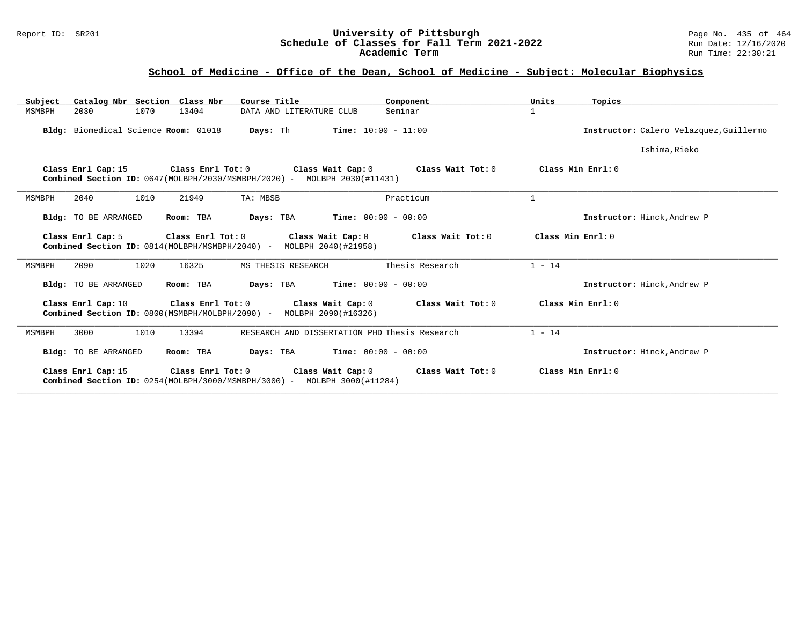### Report ID: SR201 **1988 Chedule of Classes for Fall Term 2021-2022** Page No. 435 of 464<br>**Schedule of Classes for Fall Term 2021-2022** Run Date: 12/16/2020 **Schedule of Classes for Fall Term 2021-2022** Run Date: 12/16/2020 **Academic Term** Run Time: 22:30:21

### **School of Medicine - Office of the Dean, School of Medicine - Subject: Molecular Biophysics**

| Catalog Nbr Section Class Nbr<br>Subject                                                                                                        | Course Title                                  | Component                                                                       | Units<br>Topics                         |
|-------------------------------------------------------------------------------------------------------------------------------------------------|-----------------------------------------------|---------------------------------------------------------------------------------|-----------------------------------------|
| 2030<br>1070<br>13404<br>MSMBPH                                                                                                                 | DATA AND LITERATURE CLUB                      | Seminar                                                                         | $\mathbf{1}$                            |
| Bldg: Biomedical Science Room: 01018                                                                                                            | <b>Days:</b> Th                               | $Time: 10:00 - 11:00$                                                           | Instructor: Calero Velazquez, Guillermo |
|                                                                                                                                                 |                                               |                                                                                 | Ishima, Rieko                           |
| Class Enrl Cap: 15<br><b>Combined Section ID:</b> $0647(MOLBPH/2030/MSMBPH/2020)$ - MOLBPH 2030(#11431)                                         |                                               | Class Enrl Tot: $0$ Class Wait Cap: $0$ Class Wait Tot: $0$ Class Min Enrl: $0$ |                                         |
| 2040<br>1010<br>21949<br>MSMBPH                                                                                                                 | TA: MBSB                                      | Practicum                                                                       | $\mathbf{1}$                            |
| Bldg: TO BE ARRANGED<br>Room: TBA                                                                                                               | <b>Days:</b> TBA <b>Time:</b> $00:00 - 00:00$ |                                                                                 | Instructor: Hinck, Andrew P             |
| Class Enrl Tot: 0<br>Class Enrl Cap: 5<br>Combined Section ID: 0814(MOLBPH/MSMBPH/2040) - MOLBPH 2040(#21958)                                   | Class Wait Cap: 0                             | Class Wait Tot: 0                                                               | Class Min Enrl: 0                       |
| 2090<br>1020<br>16325<br>MSMBPH                                                                                                                 | MS THESIS RESEARCH                            | Thesis Research                                                                 | $1 - 14$                                |
| Bldg: TO BE ARRANGED<br>Room: TBA                                                                                                               | <b>Days:</b> TBA <b>Time:</b> $00:00 - 00:00$ |                                                                                 | Instructor: Hinck, Andrew P             |
| Class Enrl Cap: 10 Class Enrl Tot: 0 Class Wait Cap: 0 Class Wait Tot: 0<br>Combined Section ID: 0800(MSMBPH/MOLBPH/2090) - MOLBPH 2090(#16326) |                                               |                                                                                 | Class Min Enrl: 0                       |
| 3000<br>1010<br>13394<br>MSMBPH                                                                                                                 | RESEARCH AND DISSERTATION PHD Thesis Research |                                                                                 | $1 - 14$                                |
| Bldg: TO BE ARRANGED<br>Room: TBA                                                                                                               | <b>Days:</b> TBA <b>Time:</b> $00:00 - 00:00$ |                                                                                 | Instructor: Hinck, Andrew P             |
| Class Enrl Tot: 0<br>Class Enrl Cap: 15<br><b>Combined Section ID:</b> $0254(MOLBPH/3000/MSMBPH/3000)$ - MOLBPH 3000(#11284)                    |                                               | Class Wait Cap: $0$ Class Wait Tot: $0$ Class Min Enrl: $0$                     |                                         |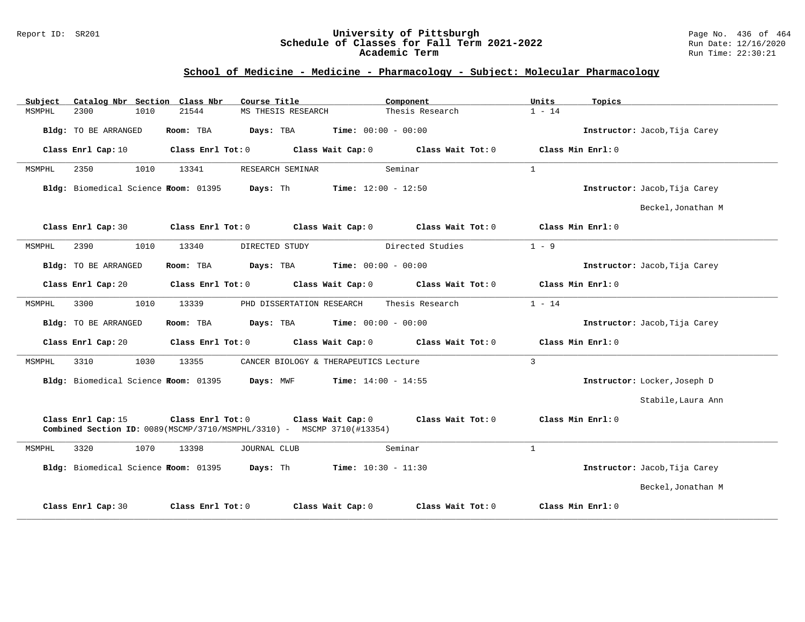#### Report ID: SR201 **University of Pittsburgh** Page No. 436 of 464 **Schedule of Classes for Fall Term 2021-2022** Run Date: 12/16/2020 **Academic Term** Run Time: 22:30:21

# **School of Medicine - Medicine - Pharmacology - Subject: Molecular Pharmacology**

| Subject | Catalog Nbr Section Class Nbr         |      |                         | Course Title                                                                                         |                              | Component                           | Units        | Topics                        |
|---------|---------------------------------------|------|-------------------------|------------------------------------------------------------------------------------------------------|------------------------------|-------------------------------------|--------------|-------------------------------|
| MSMPHL  | 2300                                  | 1010 | 21544                   | MS THESIS RESEARCH                                                                                   |                              | Thesis Research                     | $1 - 14$     |                               |
|         | Bldg: TO BE ARRANGED                  |      | Room: TBA               | Days: TBA                                                                                            | <b>Time:</b> $00:00 - 00:00$ |                                     |              | Instructor: Jacob, Tija Carey |
|         | Class Enrl Cap: 10                    |      | Class Enrl Tot: 0       |                                                                                                      | Class Wait Cap: 0            | Class Wait Tot: 0                   |              | Class Min Enrl: 0             |
| MSMPHL  | 2350                                  | 1010 | 13341                   | RESEARCH SEMINAR                                                                                     |                              | Seminar                             | $\mathbf{1}$ |                               |
|         | Bldg: Biomedical Science Froom: 01395 |      |                         | Days: Th                                                                                             | <b>Time:</b> $12:00 - 12:50$ |                                     |              | Instructor: Jacob, Tija Carey |
|         |                                       |      |                         |                                                                                                      |                              |                                     |              | Beckel, Jonathan M            |
|         | Class Enrl Cap: 30                    |      | $Class$ $Enrl$ $Tot: 0$ | Class Wait Cap: 0                                                                                    |                              | Class Wait Tot: 0                   |              | Class Min Enrl: 0             |
| MSMPHL  | 2390                                  | 1010 | 13340                   | DIRECTED STUDY                                                                                       |                              | Directed Studies                    | $1 - 9$      |                               |
|         | Bldg: TO BE ARRANGED                  |      | Room: TBA               | Days: TBA                                                                                            | $Time: 00:00 - 00:00$        |                                     |              | Instructor: Jacob, Tija Carey |
|         | Class Enrl Cap: 20                    |      | Class Enrl Tot: 0       |                                                                                                      | Class Wait Cap: 0            | Class Wait Tot: 0                   |              | Class Min Enrl: 0             |
| MSMPHL  | 3300                                  | 1010 | 13339                   | PHD DISSERTATION RESEARCH                                                                            |                              | Thesis Research                     | $1 - 14$     |                               |
|         | Bldg: TO BE ARRANGED                  |      | Room: TBA               | Days: TBA                                                                                            | <b>Time:</b> $00:00 - 00:00$ |                                     |              | Instructor: Jacob, Tija Carey |
|         | Class Enrl Cap: 20                    |      | Class Enrl Tot: 0       |                                                                                                      |                              | Class Wait Cap: 0 Class Wait Tot: 0 |              | Class Min Enrl: 0             |
| MSMPHL  | 3310                                  | 1030 | 13355                   | CANCER BIOLOGY & THERAPEUTICS Lecture                                                                |                              |                                     | $\mathbf{3}$ |                               |
|         |                                       |      |                         | Bldg: Biomedical Science Room: 01395 Days: MWF                                                       | $Time: 14:00 - 14:55$        |                                     |              | Instructor: Locker, Joseph D  |
|         |                                       |      |                         |                                                                                                      |                              |                                     |              | Stabile, Laura Ann            |
|         | Class Enrl Cap: 15                    |      | Class Enrl Tot: 0       | Class Wait Cap: 0<br><b>Combined Section ID:</b> $0089(MSCMP/3710/MSMPHL/3310)$ - MSCMP 3710(#13354) |                              | Class Wait Tot: 0                   |              | Class Min Enrl: 0             |
| MSMPHL  | 3320                                  | 1070 | 13398                   | JOURNAL CLUB                                                                                         |                              | Seminar                             | $\mathbf{1}$ |                               |
|         |                                       |      |                         | Bldg: Biomedical Science Room: 01395 Days: Th Time: 10:30 - 11:30                                    |                              |                                     |              | Instructor: Jacob, Tija Carey |
|         |                                       |      |                         |                                                                                                      |                              |                                     |              | Beckel, Jonathan M            |
|         | Class Enrl Cap: 30                    |      | Class Enrl Tot: 0       |                                                                                                      | Class Wait Cap: 0            | Class Wait Tot: 0                   |              | Class Min Enrl: 0             |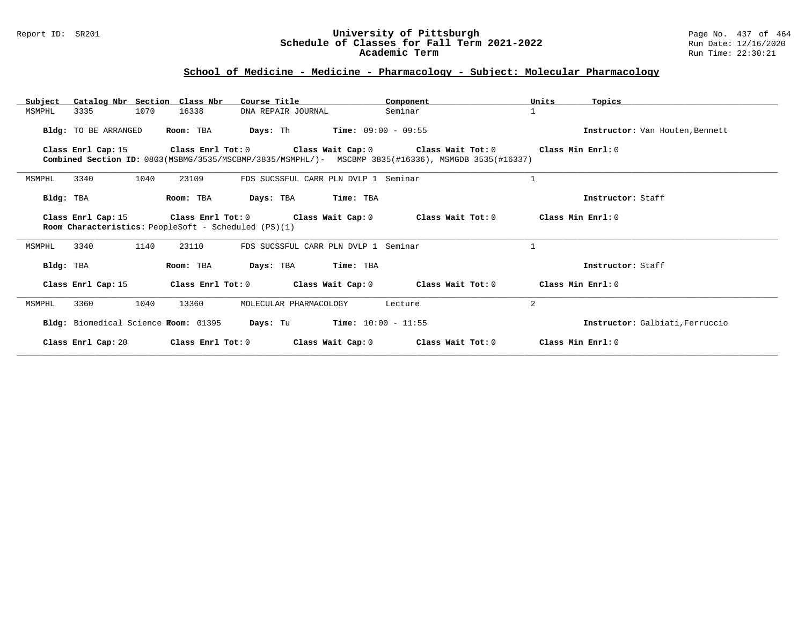#### Report ID: SR201 **University of Pittsburgh** Page No. 437 of 464 **Schedule of Classes for Fall Term 2021-2022** Run Date: 12/16/2020 **Academic Term** Run Time: 22:30:21

# **School of Medicine - Medicine - Pharmacology - Subject: Molecular Pharmacology**

| Subject   |                      |      | Catalog Nbr Section Class Nbr        | Course Title                                         |                                              | Component                                                                                                                                  | Units             | Topics                          |
|-----------|----------------------|------|--------------------------------------|------------------------------------------------------|----------------------------------------------|--------------------------------------------------------------------------------------------------------------------------------------------|-------------------|---------------------------------|
| MSMPHL    | 3335                 | 1070 | 16338                                | DNA REPAIR JOURNAL                                   |                                              | Seminar                                                                                                                                    |                   |                                 |
|           | Bldg: TO BE ARRANGED |      | Room: TBA                            | <b>Days:</b> Th                                      | $Time: 09:00 - 09:55$                        |                                                                                                                                            |                   | Instructor: Van Houten, Bennett |
|           | Class Enrl Cap: 15   |      | Class Enrl Tot: 0                    |                                                      |                                              | Class Wait Cap: 0 Class Wait Tot: 0<br>Combined Section ID: 0803(MSBMG/3535/MSCBMP/3835/MSMPHL/)- MSCBMP 3835(#16336), MSMGDB 3535(#16337) | Class Min Enri: 0 |                                 |
| MSMPHL    | 3340                 | 1040 | 23109                                |                                                      | FDS SUCSSFUL CARR PLN DVLP 1 Seminar         |                                                                                                                                            | $\mathbf{1}$      |                                 |
| Bldg: TBA |                      |      | Room: TBA                            | Days: TBA                                            | Time: TBA                                    |                                                                                                                                            |                   | Instructor: Staff               |
|           | Class Enrl Cap: 15   |      | Class Enrl Tot: 0                    | Room Characteristics: PeopleSoft - Scheduled (PS)(1) | Class Wait Cap: 0                            | Class Wait Tot: 0                                                                                                                          | Class Min Enrl: 0 |                                 |
| MSMPHL    | 3340                 | 1140 | 23110                                |                                                      | FDS SUCSSFUL CARR PLN DVLP 1 Seminar         |                                                                                                                                            |                   |                                 |
| Bldg: TBA |                      |      | Room: TBA                            | Days: TBA                                            | Time: TBA                                    |                                                                                                                                            |                   | Instructor: Staff               |
|           | Class Enrl Cap: 15   |      | Class Enrl Tot: 0                    |                                                      | Class Wait Cap: 0                            | Class Wait Tot: 0                                                                                                                          |                   | Class Min Enrl: 0               |
| MSMPHL    | 3360                 | 1040 | 13360                                | MOLECULAR PHARMACOLOGY                               |                                              | Lecture                                                                                                                                    | 2                 |                                 |
|           |                      |      | Bldg: Biomedical Science Room: 01395 |                                                      | <b>Days:</b> Tu <b>Time:</b> $10:00 - 11:55$ |                                                                                                                                            |                   | Instructor: Galbiati, Ferruccio |
|           | Class Enrl Cap: 20   |      | Class Enrl Tot: 0                    |                                                      | Class Wait Cap: 0                            | Class Wait Tot: 0                                                                                                                          |                   | Class Min Enrl: 0               |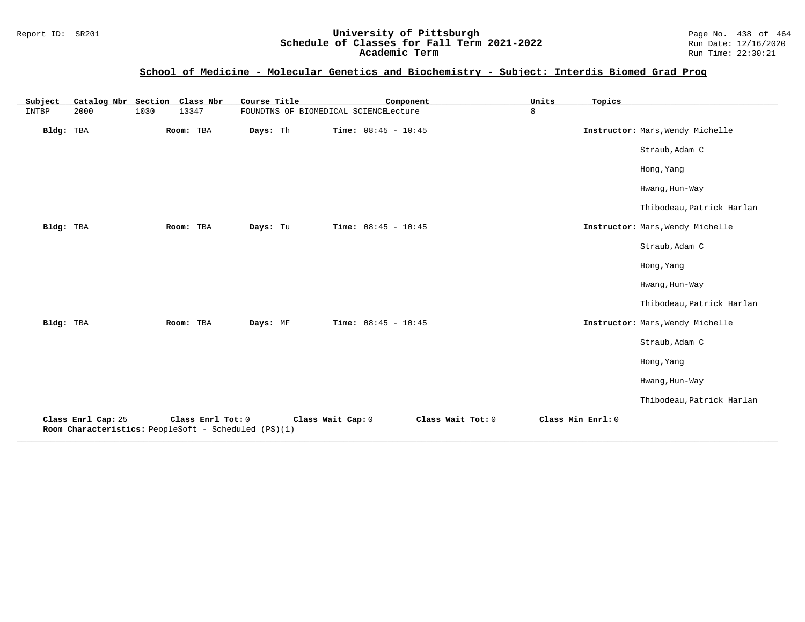#### Report ID: SR201 **University of Pittsburgh** Page No. 438 of 464 **Schedule of Classes for Fall Term 2021-2022** Run Date: 12/16/2020 **Academic Term** Run Time: 22:30:21

# **School of Medicine - Molecular Genetics and Biochemistry - Subject: Interdis Biomed Grad Prog**

| Subject   | Catalog Nbr Section Class Nbr                                              |      |                   | Course Title |                                       |                       | Component         | Units             | Topics |                                  |
|-----------|----------------------------------------------------------------------------|------|-------------------|--------------|---------------------------------------|-----------------------|-------------------|-------------------|--------|----------------------------------|
| INTBP     | 2000                                                                       | 1030 | 13347             |              | FOUNDTNS OF BIOMEDICAL SCIENCELecture |                       |                   | 8                 |        |                                  |
| Bldg: TBA |                                                                            |      | Room: TBA         | Days: Th     |                                       | Time: $08:45 - 10:45$ |                   |                   |        | Instructor: Mars, Wendy Michelle |
|           |                                                                            |      |                   |              |                                       |                       |                   |                   |        | Straub, Adam C                   |
|           |                                                                            |      |                   |              |                                       |                       |                   |                   |        | Hong, Yang                       |
|           |                                                                            |      |                   |              |                                       |                       |                   |                   |        | Hwang, Hun-Way                   |
|           |                                                                            |      |                   |              |                                       |                       |                   |                   |        | Thibodeau, Patrick Harlan        |
| Bldg: TBA |                                                                            |      | Room: TBA         | Days: Tu     |                                       | Time: $08:45 - 10:45$ |                   |                   |        | Instructor: Mars, Wendy Michelle |
|           |                                                                            |      |                   |              |                                       |                       |                   |                   |        | Straub, Adam C                   |
|           |                                                                            |      |                   |              |                                       |                       |                   |                   |        | Hong, Yang                       |
|           |                                                                            |      |                   |              |                                       |                       |                   |                   |        | Hwang, Hun-Way                   |
|           |                                                                            |      |                   |              |                                       |                       |                   |                   |        | Thibodeau, Patrick Harlan        |
| Bldg: TBA |                                                                            |      | Room: TBA         | Days: MF     |                                       | Time: $08:45 - 10:45$ |                   |                   |        | Instructor: Mars, Wendy Michelle |
|           |                                                                            |      |                   |              |                                       |                       |                   |                   |        | Straub, Adam C                   |
|           |                                                                            |      |                   |              |                                       |                       |                   |                   |        | Hong, Yang                       |
|           |                                                                            |      |                   |              |                                       |                       |                   |                   |        | Hwang, Hun-Way                   |
|           |                                                                            |      |                   |              |                                       |                       |                   |                   |        | Thibodeau, Patrick Harlan        |
|           | Class Enrl Cap: 25<br>Room Characteristics: PeopleSoft - Scheduled (PS)(1) |      | Class Enrl Tot: 0 |              | Class Wait Cap: 0                     |                       | Class Wait Tot: 0 | Class Min Enrl: 0 |        |                                  |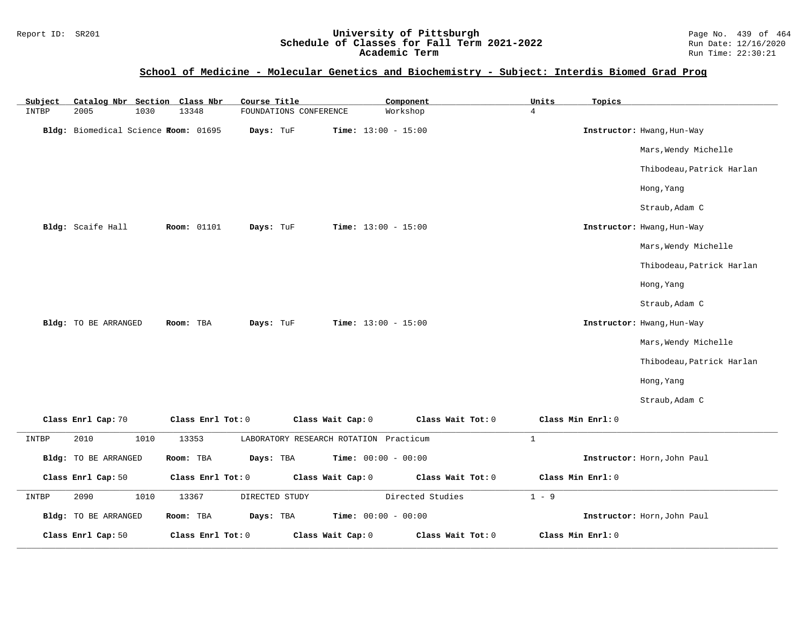### Report ID: SR201 **1988 Chedule of Classes for Fall Term 2021-2022** Page No. 439 of 464<br>**Schedule of Classes for Fall Term 2021-2022** Run Date: 12/16/2020 **Schedule of Classes for Fall Term 2021-2022** Run Date: 12/16/2020 **Academic Term** Run Time: 22:30:21

### **School of Medicine - Molecular Genetics and Biochemistry - Subject: Interdis Biomed Grad Prog**

| Subject | Catalog Nbr Section Class Nbr        |      |                    | Course Title   |                        |                                        | Component                    |                   | Units          | Topics            |                             |
|---------|--------------------------------------|------|--------------------|----------------|------------------------|----------------------------------------|------------------------------|-------------------|----------------|-------------------|-----------------------------|
| INTBP   | 2005                                 | 1030 | 13348              |                | FOUNDATIONS CONFERENCE |                                        | Workshop                     |                   | $\overline{4}$ |                   |                             |
|         | Bldg: Biomedical Science Room: 01695 |      |                    | Days: TuF      |                        |                                        | <b>Time:</b> $13:00 - 15:00$ |                   |                |                   | Instructor: Hwang, Hun-Way  |
|         |                                      |      |                    |                |                        |                                        |                              |                   |                |                   | Mars, Wendy Michelle        |
|         |                                      |      |                    |                |                        |                                        |                              |                   |                |                   | Thibodeau, Patrick Harlan   |
|         |                                      |      |                    |                |                        |                                        |                              |                   |                |                   | Hong, Yang                  |
|         |                                      |      |                    |                |                        |                                        |                              |                   |                |                   | Straub, Adam C              |
|         | Bldg: Scaife Hall                    |      | <b>Room: 01101</b> | Days: TuF      |                        |                                        | <b>Time:</b> $13:00 - 15:00$ |                   |                |                   | Instructor: Hwang, Hun-Way  |
|         |                                      |      |                    |                |                        |                                        |                              |                   |                |                   | Mars, Wendy Michelle        |
|         |                                      |      |                    |                |                        |                                        |                              |                   |                |                   | Thibodeau, Patrick Harlan   |
|         |                                      |      |                    |                |                        |                                        |                              |                   |                |                   | Hong, Yang                  |
|         |                                      |      |                    |                |                        |                                        |                              |                   |                |                   | Straub, Adam C              |
|         | Bldg: TO BE ARRANGED                 |      | Room: TBA          | Days: TuF      |                        |                                        | <b>Time:</b> $13:00 - 15:00$ |                   |                |                   | Instructor: Hwang, Hun-Way  |
|         |                                      |      |                    |                |                        |                                        |                              |                   |                |                   | Mars, Wendy Michelle        |
|         |                                      |      |                    |                |                        |                                        |                              |                   |                |                   | Thibodeau, Patrick Harlan   |
|         |                                      |      |                    |                |                        |                                        |                              |                   |                |                   | Hong, Yang                  |
|         |                                      |      |                    |                |                        |                                        |                              |                   |                |                   | Straub, Adam C              |
|         | Class Enrl Cap: 70                   |      | Class Enrl Tot: 0  |                |                        | Class Wait Cap: 0                      |                              | Class Wait Tot: 0 |                | Class Min Enrl: 0 |                             |
| INTBP   | 2010                                 | 1010 | 13353              |                |                        | LABORATORY RESEARCH ROTATION Practicum |                              |                   | $\mathbf{1}$   |                   |                             |
|         | Bldg: TO BE ARRANGED                 |      | Room: TBA          | Days: TBA      |                        |                                        | Time: $00:00 - 00:00$        |                   |                |                   | Instructor: Horn, John Paul |
|         | Class Enrl Cap: 50                   |      | Class Enrl Tot: 0  |                |                        | Class Wait Cap: 0                      |                              | Class Wait Tot: 0 |                | Class Min Enrl: 0 |                             |
| INTBP   | 2090                                 | 1010 | 13367              | DIRECTED STUDY |                        |                                        | Directed Studies             |                   | $1 - 9$        |                   |                             |
|         | Bldg: TO BE ARRANGED                 |      | Room: TBA          | Days: TBA      |                        |                                        | Time: $00:00 - 00:00$        |                   |                |                   | Instructor: Horn, John Paul |
|         | Class Enrl Cap: 50                   |      | Class Enrl Tot: 0  |                |                        | Class Wait Cap: 0                      |                              | Class Wait Tot: 0 |                | Class Min Enrl: 0 |                             |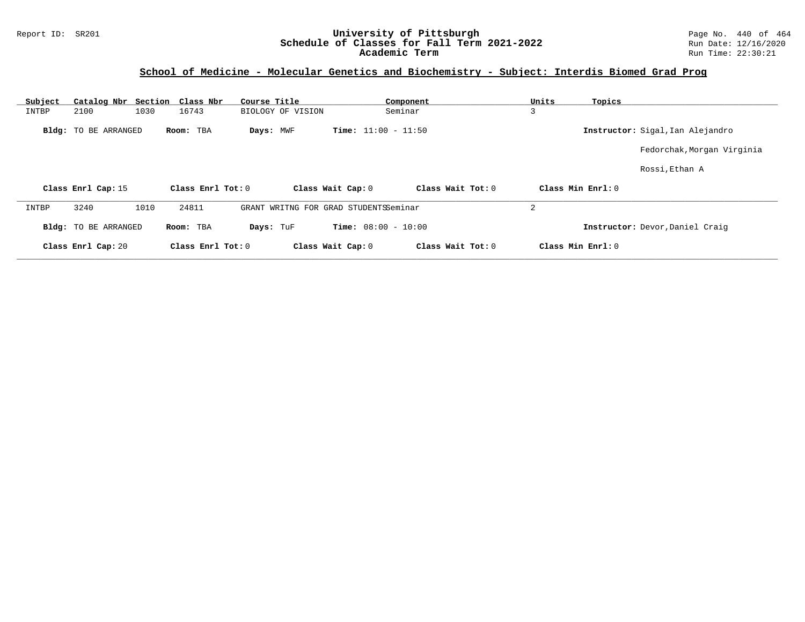# **School of Medicine - Molecular Genetics and Biochemistry - Subject: Interdis Biomed Grad Prog**

| Subject | Catalog Nbr Section Class Nbr |      |                   | Course Title |                   |                                       | Component         | Units | Topics            |                                  |
|---------|-------------------------------|------|-------------------|--------------|-------------------|---------------------------------------|-------------------|-------|-------------------|----------------------------------|
| INTBP   | 2100                          | 1030 | 16743             |              | BIOLOGY OF VISION |                                       | Seminar           | 3     |                   |                                  |
|         | <b>Bldg:</b> TO BE ARRANGED   |      | Room: TBA         | Days: MWF    |                   | <b>Time:</b> $11:00 - 11:50$          |                   |       |                   | Instructor: Sigal, Ian Alejandro |
|         |                               |      |                   |              |                   |                                       |                   |       |                   | Fedorchak, Morgan Virginia       |
|         |                               |      |                   |              |                   |                                       |                   |       |                   | Rossi, Ethan A                   |
|         | Class Enrl Cap: 15            |      | Class Enrl Tot: 0 |              |                   | Class Wait Cap: 0                     | Class Wait Tot: 0 |       | Class Min Enrl: 0 |                                  |
| INTBP   | 3240                          | 1010 | 24811             |              |                   | GRANT WRITNG FOR GRAD STUDENTSSeminar |                   | 2     |                   |                                  |
|         | Bldg: TO BE ARRANGED          |      | Room: TBA         | Days: TuF    |                   | <b>Time:</b> $08:00 - 10:00$          |                   |       |                   | Instructor: Devor, Daniel Craig  |
|         | Class Enrl Cap: 20            |      | Class Enrl Tot: 0 |              |                   | Class Wait Cap: 0                     | Class Wait Tot: 0 |       | Class Min Enrl: 0 |                                  |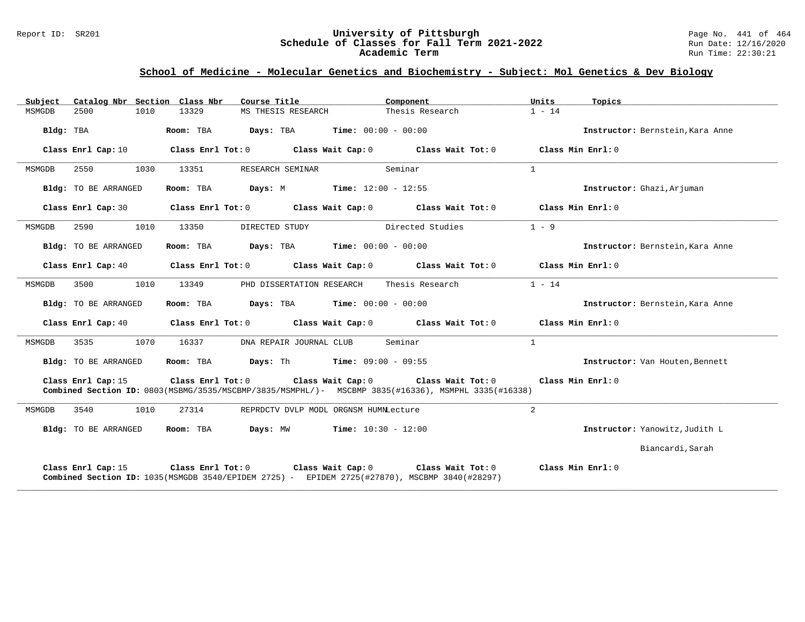#### Report ID: SR201 **University of Pittsburgh** Page No. 441 of 464 **Schedule of Classes for Fall Term 2021-2022** Run Date: 12/16/2020 **Academic Term** Run Time: 22:30:21

# **School of Medicine - Molecular Genetics and Biochemistry - Subject: Mol Genetics & Dev Biology**

| Subject   |                      |      | Catalog Nbr Section Class Nbr | Course Title <b>Source Search</b>                             | Component                                                                                                                                                                              | Units          | Topics                           |
|-----------|----------------------|------|-------------------------------|---------------------------------------------------------------|----------------------------------------------------------------------------------------------------------------------------------------------------------------------------------------|----------------|----------------------------------|
| MSMGDB    | 2500                 | 1010 | 13329                         | MS THESIS RESEARCH                                            | Thesis Research                                                                                                                                                                        | $1 - 14$       |                                  |
| Bldg: TBA |                      |      |                               | Room: TBA $Days:$ TBA $Time: 00:00 - 00:00$                   |                                                                                                                                                                                        |                | Instructor: Bernstein, Kara Anne |
|           | Class Enrl Cap: 10   |      |                               |                                                               | Class Enrl Tot: $0$ Class Wait Cap: $0$ Class Wait Tot: $0$ Class Min Enrl: $0$                                                                                                        |                |                                  |
| MSMGDB    | 2550                 | 1030 | 13351                         | RESEARCH SEMINAR                                              | Seminar                                                                                                                                                                                | $\mathbf{1}$   |                                  |
|           | Bldg: TO BE ARRANGED |      |                               | Room: TBA $Days: M$ Time: $12:00 - 12:55$                     |                                                                                                                                                                                        |                | Instructor: Ghazi, Arjuman       |
|           | Class Enrl Cap: 30   |      |                               |                                                               | Class Enrl Tot: $0$ Class Wait Cap: $0$ Class Wait Tot: $0$ Class Min Enrl: $0$                                                                                                        |                |                                  |
| MSMGDB    | 2590                 | 1010 | 13350                         | DIRECTED STUDY                                                | Directed Studies                                                                                                                                                                       | $1 - 9$        |                                  |
|           | Bldg: TO BE ARRANGED |      |                               | Room: TBA $Days:$ TBA $Time: 00:00 - 00:00$                   |                                                                                                                                                                                        |                | Instructor: Bernstein, Kara Anne |
|           | Class Enrl Cap: 40   |      |                               |                                                               | Class Enrl Tot: $0$ Class Wait Cap: $0$ Class Wait Tot: $0$ Class Min Enrl: $0$                                                                                                        |                |                                  |
| MSMGDB    | 3500                 | 1010 | 13349                         | PHD DISSERTATION RESEARCH                                     | Thesis Research                                                                                                                                                                        | $1 - 14$       |                                  |
|           | Bldg: TO BE ARRANGED |      | Room: TBA                     | $\texttt{Davis:}$ TBA $\texttt{Time:}$ 00:00 - 00:00          |                                                                                                                                                                                        |                | Instructor: Bernstein, Kara Anne |
|           |                      |      |                               |                                                               | Class Enrl Cap: 40 Class Enrl Tot: 0 Class Wait Cap: 0 Class Wait Tot: 0 Class Min Enrl: 0                                                                                             |                |                                  |
| MSMGDB    | 3535                 | 1070 | 16337                         | DNA REPAIR JOURNAL CLUB                                       | Seminar                                                                                                                                                                                | $\mathbf{1}$   |                                  |
|           | Bldg: TO BE ARRANGED |      |                               | <b>Room:</b> TBA <b>Days:</b> Th <b>Time:</b> $09:00 - 09:55$ |                                                                                                                                                                                        |                | Instructor: Van Houten, Bennett  |
|           | Class Enrl Cap: 15   |      |                               |                                                               | Class Enrl Tot: $0$ Class Wait Cap: $0$ Class Wait Tot: $0$ Class Min Enrl: $0$<br>Combined Section ID: 0803(MSBMG/3535/MSCBMP/3835/MSMPHL/)- MSCBMP 3835(#16336), MSMPHL 3335(#16338) |                |                                  |
| MSMGDB    | 3540                 | 1010 | 27314                         | REPRDCTV DVLP MODL ORGNSM HUMNLecture                         |                                                                                                                                                                                        | $\overline{2}$ |                                  |
|           | Bldg: TO BE ARRANGED |      | Room: TBA                     | <b>Days:</b> MW <b>Time:</b> $10:30 - 12:00$                  |                                                                                                                                                                                        |                | Instructor: Yanowitz, Judith L   |
|           |                      |      |                               |                                                               |                                                                                                                                                                                        |                | Biancardi, Sarah                 |
|           | Class Enrl Cap: 15   |      |                               |                                                               | Class Enrl Tot: $0$ Class Wait Cap: $0$ Class Wait Tot: $0$ Class Min Enrl: $0$<br>Combined Section ID: 1035 (MSMGDB 3540/EPIDEM 2725) - EPIDEM 2725 (#27870), MSCBMP 3840 (#28297)    |                |                                  |

**\_\_\_\_\_\_\_\_\_\_\_\_\_\_\_\_\_\_\_\_\_\_\_\_\_\_\_\_\_\_\_\_\_\_\_\_\_\_\_\_\_\_\_\_\_\_\_\_\_\_\_\_\_\_\_\_\_\_\_\_\_\_\_\_\_\_\_\_\_\_\_\_\_\_\_\_\_\_\_\_\_\_\_\_\_\_\_\_\_\_\_\_\_\_\_\_\_\_\_\_\_\_\_\_\_\_\_\_\_\_\_\_\_\_\_\_\_\_\_\_\_\_\_\_\_\_\_\_\_\_\_\_\_\_\_\_\_\_\_\_\_\_\_\_\_\_\_\_\_\_\_\_\_\_\_\_**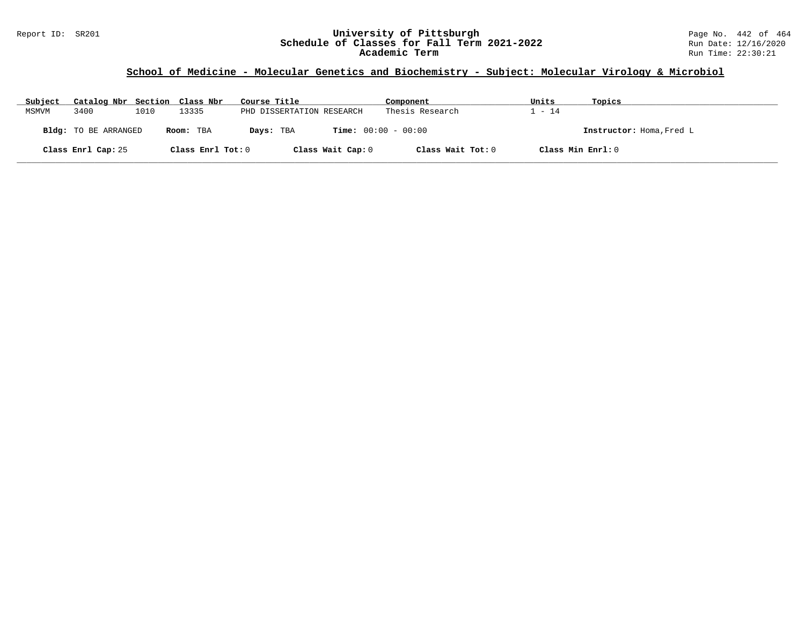# Report ID: SR201 **1988 Manusia Content Content Content Content Content Content Content Content Content Content**<br>
Schedule of Classes for Fall Term 2021-2022 1999 Manus Date: 12/16/2020 Schedule of Classes for Fall Term 2021-2022<br>Academic Term

# **School of Medicine - Molecular Genetics and Biochemistry - Subject: Molecular Virology & Microbiol**

| Subject | Catalog Nbr Section Class Nbr |      |                   | Course Title              | Component                    | Units | Topics                   |
|---------|-------------------------------|------|-------------------|---------------------------|------------------------------|-------|--------------------------|
| MSMVM   | 3400                          | 1010 | 13335             | PHD DISSERTATION RESEARCH | Thesis Research              | $-14$ |                          |
|         | <b>Bldg:</b> TO BE ARRANGED   |      | Room: TBA         | Days: TBA                 | <b>Time:</b> $00:00 - 00:00$ |       | Instructor: Homa, Fred L |
|         | Class Enrl Cap: 25            |      | Class Enrl Tot: 0 | Class Wait Cap: 0         | Class Wait Tot: 0            |       | Class Min Enrl: 0        |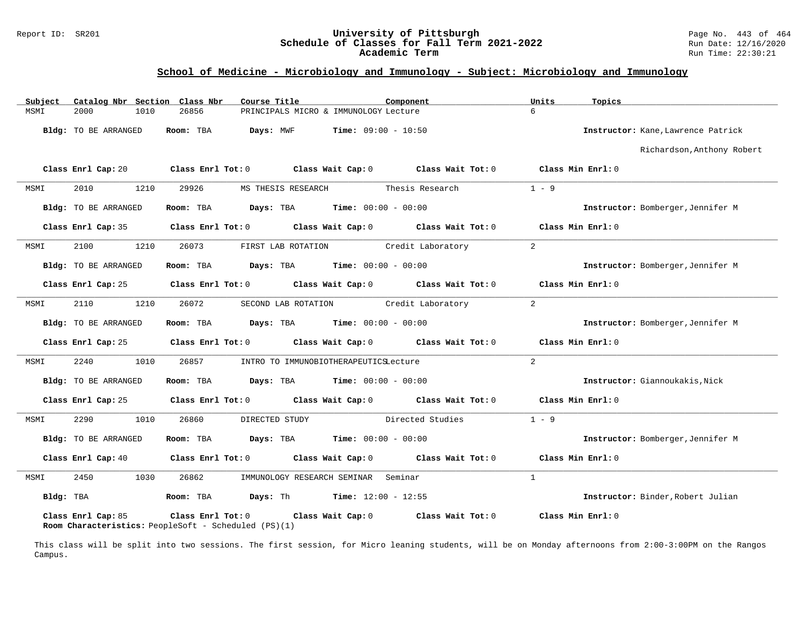# Report ID: SR201 **1988 Chedule of Classes for Fall Term 2021-2022** Page No. 443 of 464 Page No. 443 of 464 Page No<br>**Schedule of Classes for Fall Term 2021-2022** Run Date: 12/16/2020 Schedule of Classes for Fall Term 2021-2022<br>Academic Term

### **School of Medicine - Microbiology and Immunology - Subject: Microbiology and Immunology**

| Subject                     | Catalog Nbr Section Class Nbr<br>Course Title                                               | Component                                                                                  | Units<br>Topics                    |
|-----------------------------|---------------------------------------------------------------------------------------------|--------------------------------------------------------------------------------------------|------------------------------------|
| 2000<br>1010<br>MSMI        | 26856                                                                                       | PRINCIPALS MICRO & IMMUNOLOGY Lecture                                                      | 6                                  |
| <b>Bldg:</b> TO BE ARRANGED | Room: TBA<br>Days: MWF                                                                      | $Time: 09:00 - 10:50$                                                                      | Instructor: Kane, Lawrence Patrick |
|                             |                                                                                             |                                                                                            | Richardson, Anthony Robert         |
|                             |                                                                                             | Class Enrl Cap: 20 Class Enrl Tot: 0 Class Wait Cap: 0 Class Wait Tot: 0 Class Min Enrl: 0 |                                    |
| 2010<br>MSMI<br>1210        | 29926<br>MS THESIS RESEARCH                                                                 | Thesis Research                                                                            | $1 - 9$                            |
| Bldg: TO BE ARRANGED        | Room: TBA                                                                                   | <b>Days:</b> TBA <b>Time:</b> $00:00 - 00:00$                                              | Instructor: Bomberger, Jennifer M  |
| Class Enrl Cap: 35          |                                                                                             | Class Enrl Tot: $0$ Class Wait Cap: $0$ Class Wait Tot: $0$ Class Min Enrl: $0$            |                                    |
| 2100<br>1210<br>MSMI        | 26073<br>FIRST LAB ROTATION                                                                 | Credit Laboratory                                                                          | $\overline{a}$                     |
| Bldg: TO BE ARRANGED        | Room: TBA                                                                                   | <b>Days:</b> TBA <b>Time:</b> $00:00 - 00:00$                                              | Instructor: Bomberger, Jennifer M  |
| Class Enrl Cap: 25          |                                                                                             | Class Enrl Tot: 0 Class Wait Cap: 0 Class Wait Tot: 0                                      | Class Min Enrl: 0                  |
| 2110<br>1210<br>MSMI        | 26072                                                                                       | SECOND LAB ROTATION Credit Laboratory                                                      | $\overline{2}$                     |
| Bldg: TO BE ARRANGED        | Room: TBA                                                                                   | <b>Days:</b> TBA <b>Time:</b> $00:00 - 00:00$                                              | Instructor: Bomberger, Jennifer M  |
| Class Enrl Cap: 25          |                                                                                             | Class Enrl Tot: $0$ Class Wait Cap: $0$ Class Wait Tot: $0$                                | Class Min Enrl: 0                  |
| 2240<br>1010<br>MSMI        | 26857                                                                                       | INTRO TO IMMUNOBIOTHERAPEUTICSLecture                                                      | $\overline{2}$                     |
| Bldg: TO BE ARRANGED        | Room: TBA                                                                                   | <b>Days:</b> TBA <b>Time:</b> $00:00 - 00:00$                                              | Instructor: Giannoukakis, Nick     |
| Class Enrl Cap: 25          |                                                                                             | Class Enrl Tot: 0 Class Wait Cap: 0 Class Wait Tot: 0                                      | Class Min Enrl: 0                  |
| 2290<br>1010<br>MSMI        | DIRECTED STUDY<br>26860                                                                     | Directed Studies                                                                           | $1 - 9$                            |
| Bldg: TO BE ARRANGED        | Room: TBA                                                                                   | <b>Days:</b> TBA <b>Time:</b> $00:00 - 00:00$                                              | Instructor: Bomberger, Jennifer M  |
| Class Enrl Cap: 40          | Class Wait Cap: 0<br>Class Enrl Tot: 0                                                      | Class Wait Tot: 0                                                                          | Class Min Enrl: 0                  |
| 2450<br>1030<br>MSMI        | 26862                                                                                       | IMMUNOLOGY RESEARCH SEMINAR Seminar                                                        | $\mathbf{1}$                       |
| Bldg: TBA                   | Room: TBA                                                                                   | <b>Days:</b> Th <b>Time:</b> $12:00 - 12:55$                                               | Instructor: Binder, Robert Julian  |
| Class Enrl Cap: 85          | Class Enrl Tot: 0 Class Wait Cap: 0<br>Room Characteristics: PeopleSoft - Scheduled (PS)(1) | Class Wait Tot: 0                                                                          | Class Min Enrl: 0                  |

This class will be split into two sessions. The first session, for Micro leaning students, will be on Monday afternoons from 2:00-3:00PM on the Rangos Campus.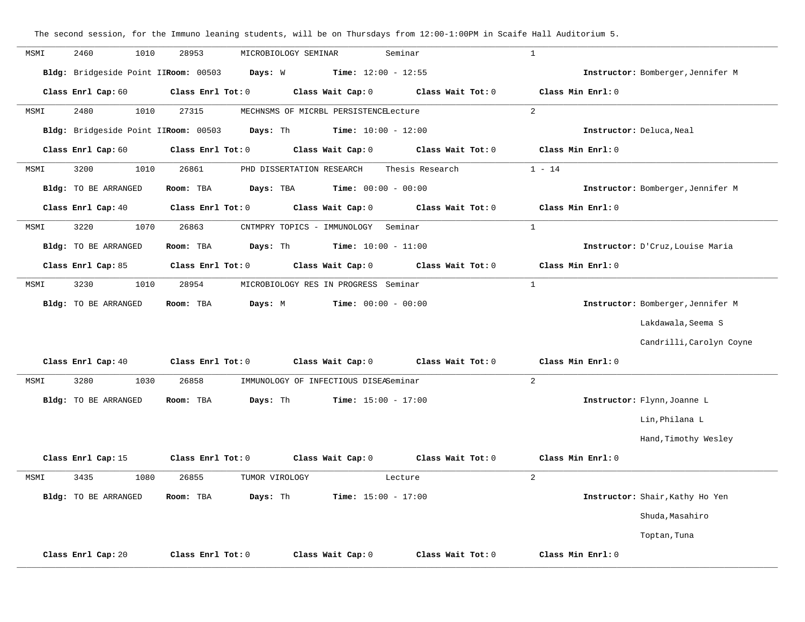**\_\_\_\_\_\_\_\_\_\_\_\_\_\_\_\_\_\_\_\_\_\_\_\_\_\_\_\_\_\_\_\_\_\_\_\_\_\_\_\_\_\_\_\_\_\_\_\_\_\_\_\_\_\_\_\_\_\_\_\_\_\_\_\_\_\_\_\_\_\_\_\_\_\_\_\_\_\_\_\_\_\_\_\_\_\_\_\_\_\_\_\_\_\_\_\_\_\_\_\_\_\_\_\_\_\_\_\_\_\_\_\_\_\_\_\_\_\_\_\_\_\_\_\_\_\_\_\_\_\_\_\_\_\_\_\_\_\_\_\_\_\_\_\_\_\_\_\_\_\_\_\_\_\_\_\_** MSMI 2460 1010 28953 MICROBIOLOGY SEMINAR Seminar 1 **Bldg:** Bridgeside Point II **Room:** 00503 **Days:** W **Time:** 12:00 - 12:55 **Instructor:** Bomberger,Jennifer M **Class Enrl Cap:** 60 **Class Enrl Tot:** 0 **Class Wait Cap:** 0 **Class Wait Tot:** 0 **Class Min Enrl:** 0 **\_\_\_\_\_\_\_\_\_\_\_\_\_\_\_\_\_\_\_\_\_\_\_\_\_\_\_\_\_\_\_\_\_\_\_\_\_\_\_\_\_\_\_\_\_\_\_\_\_\_\_\_\_\_\_\_\_\_\_\_\_\_\_\_\_\_\_\_\_\_\_\_\_\_\_\_\_\_\_\_\_\_\_\_\_\_\_\_\_\_\_\_\_\_\_\_\_\_\_\_\_\_\_\_\_\_\_\_\_\_\_\_\_\_\_\_\_\_\_\_\_\_\_\_\_\_\_\_\_\_\_\_\_\_\_\_\_\_\_\_\_\_\_\_\_\_\_\_\_\_\_\_\_\_\_\_** MSMI 2480 1010 27315 MECHNSMS OF MICRBL PERSISTENCELecture 2 **Bldg:** Bridgeside Point II **Room:** 00503 **Days:** Th **Time:** 10:00 - 12:00 **Instructor:** Deluca,Neal **Class Enrl Cap:** 60 **Class Enrl Tot:** 0 **Class Wait Cap:** 0 **Class Wait Tot:** 0 **Class Min Enrl:** 0 **\_\_\_\_\_\_\_\_\_\_\_\_\_\_\_\_\_\_\_\_\_\_\_\_\_\_\_\_\_\_\_\_\_\_\_\_\_\_\_\_\_\_\_\_\_\_\_\_\_\_\_\_\_\_\_\_\_\_\_\_\_\_\_\_\_\_\_\_\_\_\_\_\_\_\_\_\_\_\_\_\_\_\_\_\_\_\_\_\_\_\_\_\_\_\_\_\_\_\_\_\_\_\_\_\_\_\_\_\_\_\_\_\_\_\_\_\_\_\_\_\_\_\_\_\_\_\_\_\_\_\_\_\_\_\_\_\_\_\_\_\_\_\_\_\_\_\_\_\_\_\_\_\_\_\_\_** MSMI 3200 1010 26861 PHD DISSERTATION RESEARCH Thesis Research 1 - 14 **Bldg:** TO BE ARRANGED **Room:** TBA **Days:** TBA **Time:** 00:00 - 00:00 **Instructor:** Bomberger,Jennifer M **Class Enrl Cap:** 40 **Class Enrl Tot:** 0 **Class Wait Cap:** 0 **Class Wait Tot:** 0 **Class Min Enrl:** 0 **\_\_\_\_\_\_\_\_\_\_\_\_\_\_\_\_\_\_\_\_\_\_\_\_\_\_\_\_\_\_\_\_\_\_\_\_\_\_\_\_\_\_\_\_\_\_\_\_\_\_\_\_\_\_\_\_\_\_\_\_\_\_\_\_\_\_\_\_\_\_\_\_\_\_\_\_\_\_\_\_\_\_\_\_\_\_\_\_\_\_\_\_\_\_\_\_\_\_\_\_\_\_\_\_\_\_\_\_\_\_\_\_\_\_\_\_\_\_\_\_\_\_\_\_\_\_\_\_\_\_\_\_\_\_\_\_\_\_\_\_\_\_\_\_\_\_\_\_\_\_\_\_\_\_\_\_** MSMI 3220 1070 26863 CNTMPRY TOPICS - IMMUNOLOGY Seminar 1 **Bldg:** TO BE ARRANGED **Room:** TBA **Days:** Th **Time:** 10:00 - 11:00 **Instructor:** D'Cruz,Louise Maria **Class Enrl Cap:** 85 **Class Enrl Tot:** 0 **Class Wait Cap:** 0 **Class Wait Tot:** 0 **Class Min Enrl:** 0 **\_\_\_\_\_\_\_\_\_\_\_\_\_\_\_\_\_\_\_\_\_\_\_\_\_\_\_\_\_\_\_\_\_\_\_\_\_\_\_\_\_\_\_\_\_\_\_\_\_\_\_\_\_\_\_\_\_\_\_\_\_\_\_\_\_\_\_\_\_\_\_\_\_\_\_\_\_\_\_\_\_\_\_\_\_\_\_\_\_\_\_\_\_\_\_\_\_\_\_\_\_\_\_\_\_\_\_\_\_\_\_\_\_\_\_\_\_\_\_\_\_\_\_\_\_\_\_\_\_\_\_\_\_\_\_\_\_\_\_\_\_\_\_\_\_\_\_\_\_\_\_\_\_\_\_\_** MSMI 3230 1010 28954 MICROBIOLOGY RES IN PROGRESS Seminar 1 **Bldg:** TO BE ARRANGED **Room:** TBA **Days:** M **Time:** 00:00 - 00:00 **Instructor:** Bomberger,Jennifer M Lakdawala, Seema S Candrilli,Carolyn Coyne **Class Enrl Cap:** 40 **Class Enrl Tot:** 0 **Class Wait Cap:** 0 **Class Wait Tot:** 0 **Class Min Enrl:** 0 **\_\_\_\_\_\_\_\_\_\_\_\_\_\_\_\_\_\_\_\_\_\_\_\_\_\_\_\_\_\_\_\_\_\_\_\_\_\_\_\_\_\_\_\_\_\_\_\_\_\_\_\_\_\_\_\_\_\_\_\_\_\_\_\_\_\_\_\_\_\_\_\_\_\_\_\_\_\_\_\_\_\_\_\_\_\_\_\_\_\_\_\_\_\_\_\_\_\_\_\_\_\_\_\_\_\_\_\_\_\_\_\_\_\_\_\_\_\_\_\_\_\_\_\_\_\_\_\_\_\_\_\_\_\_\_\_\_\_\_\_\_\_\_\_\_\_\_\_\_\_\_\_\_\_\_\_** MSMI 3280 1030 26858 IMMUNOLOGY OF INFECTIOUS DISEASeminar 2 **Bldg:** TO BE ARRANGED **Room:** TBA **Days:** Th **Time:** 15:00 - 17:00 **Instructor:** Flynn,Joanne L Lin,Philana L Hand,Timothy Wesley **Class Enrl Cap:** 15 **Class Enrl Tot:** 0 **Class Wait Cap:** 0 **Class Wait Tot:** 0 **Class Min Enrl:** 0 **\_\_\_\_\_\_\_\_\_\_\_\_\_\_\_\_\_\_\_\_\_\_\_\_\_\_\_\_\_\_\_\_\_\_\_\_\_\_\_\_\_\_\_\_\_\_\_\_\_\_\_\_\_\_\_\_\_\_\_\_\_\_\_\_\_\_\_\_\_\_\_\_\_\_\_\_\_\_\_\_\_\_\_\_\_\_\_\_\_\_\_\_\_\_\_\_\_\_\_\_\_\_\_\_\_\_\_\_\_\_\_\_\_\_\_\_\_\_\_\_\_\_\_\_\_\_\_\_\_\_\_\_\_\_\_\_\_\_\_\_\_\_\_\_\_\_\_\_\_\_\_\_\_\_\_\_** MSMI 3435 1080 26855 TUMOR VIROLOGY Lecture 2 **Bldg:** TO BE ARRANGED **Room:** TBA **Days:** Th **Time:** 15:00 - 17:00 **Instructor:** Shair,Kathy Ho Yen Shuda, Masahiro Toptan,Tuna **Class Enrl Cap:** 20 **Class Enrl Tot:** 0 **Class Wait Cap:** 0 **Class Wait Tot:** 0 **Class Min Enrl:** 0 **\_\_\_\_\_\_\_\_\_\_\_\_\_\_\_\_\_\_\_\_\_\_\_\_\_\_\_\_\_\_\_\_\_\_\_\_\_\_\_\_\_\_\_\_\_\_\_\_\_\_\_\_\_\_\_\_\_\_\_\_\_\_\_\_\_\_\_\_\_\_\_\_\_\_\_\_\_\_\_\_\_\_\_\_\_\_\_\_\_\_\_\_\_\_\_\_\_\_\_\_\_\_\_\_\_\_\_\_\_\_\_\_\_\_\_\_\_\_\_\_\_\_\_\_\_\_\_\_\_\_\_\_\_\_\_\_\_\_\_\_\_\_\_\_\_\_\_\_\_\_\_\_\_\_\_\_**

The second session, for the Immuno leaning students, will be on Thursdays from 12:00-1:00PM in Scaife Hall Auditorium 5.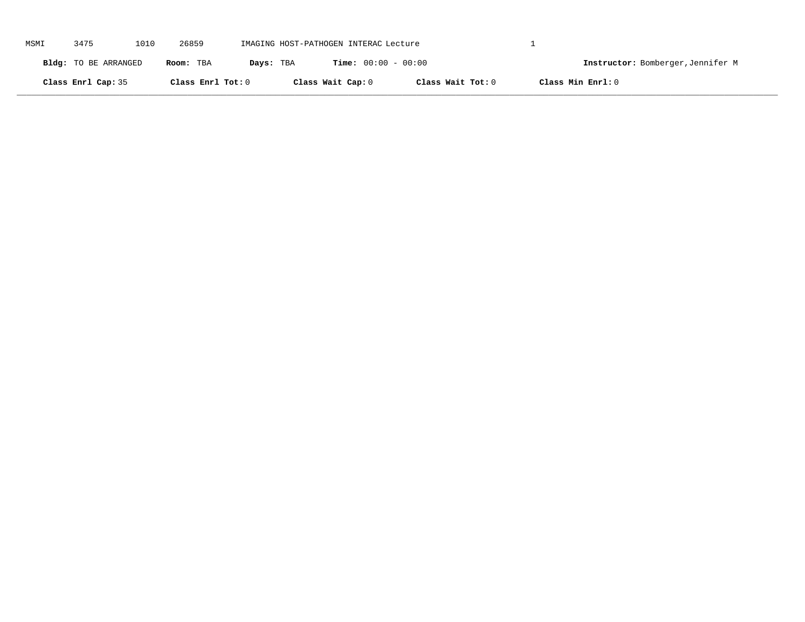| MSMI | 3475                 | 1010 | 26859             | IMAGING HOST-PATHOGEN INTERAC Lecture |                              |                   |                   |                                   |
|------|----------------------|------|-------------------|---------------------------------------|------------------------------|-------------------|-------------------|-----------------------------------|
|      | Bldg: TO BE ARRANGED |      | Room: TBA         | Days: TBA                             | <b>Time:</b> $00:00 - 00:00$ |                   |                   | Instructor: Bomberger, Jennifer M |
|      | Class Enrl Cap: 35   |      | Class Enrl Tot: 0 |                                       | Class Wait Cap: 0            | Class Wait Tot: 0 | Class Min Enrl: 0 |                                   |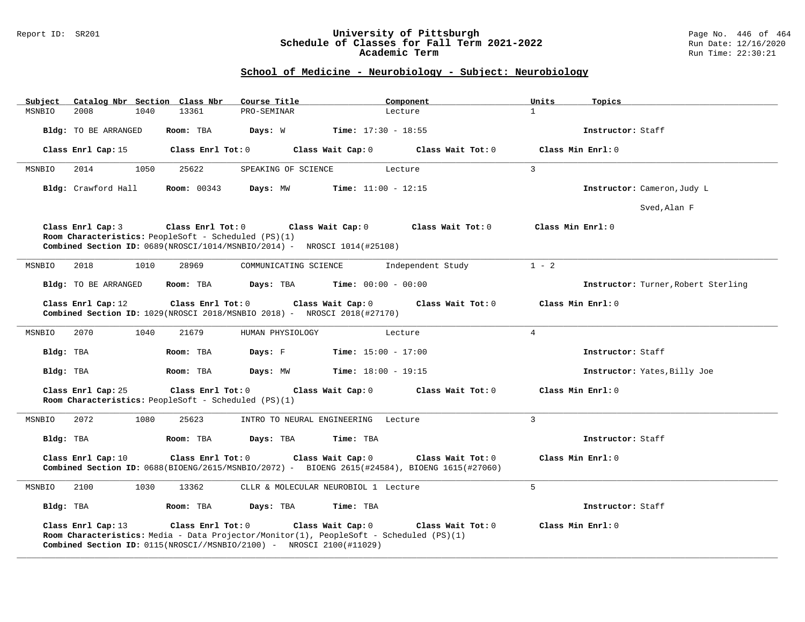#### Report ID: SR201 **University of Pittsburgh** Page No. 446 of 464 **Schedule of Classes for Fall Term 2021-2022** Run Date: 12/16/2020 **Academic Term** Run Time: 22:30:21

# **School of Medicine - Neurobiology - Subject: Neurobiology**

| Catalog Nbr Section Class Nbr<br>Subject<br>2008<br>1040                                                                                                                                                                                  | Course Title<br>13361<br>PRO-SEMINAR                                                                                                                                                                               | Component                    | Units<br>Topics<br>$\mathbf{1}$     |  |  |  |  |  |  |
|-------------------------------------------------------------------------------------------------------------------------------------------------------------------------------------------------------------------------------------------|--------------------------------------------------------------------------------------------------------------------------------------------------------------------------------------------------------------------|------------------------------|-------------------------------------|--|--|--|--|--|--|
| MSNBIO                                                                                                                                                                                                                                    |                                                                                                                                                                                                                    | Lecture                      |                                     |  |  |  |  |  |  |
| Bldg: TO BE ARRANGED                                                                                                                                                                                                                      | Room: TBA<br>Days: W                                                                                                                                                                                               | <b>Time:</b> $17:30 - 18:55$ | Instructor: Staff                   |  |  |  |  |  |  |
| Class Enrl Cap: 15                                                                                                                                                                                                                        | Class Enrl Tot: 0<br>Class Wait Cap: 0                                                                                                                                                                             | Class Wait Tot: 0            | Class Min Enrl: 0                   |  |  |  |  |  |  |
| 2014<br>1050<br>MSNBIO                                                                                                                                                                                                                    | 25622<br>SPEAKING OF SCIENCE                                                                                                                                                                                       | Lecture                      | $\overline{3}$                      |  |  |  |  |  |  |
| Bldg: Crawford Hall                                                                                                                                                                                                                       | <b>Room:</b> 00343<br>Days: MW                                                                                                                                                                                     | <b>Time:</b> $11:00 - 12:15$ | Instructor: Cameron, Judy L         |  |  |  |  |  |  |
|                                                                                                                                                                                                                                           |                                                                                                                                                                                                                    |                              | Sved, Alan F                        |  |  |  |  |  |  |
| Class Enrl Cap: 3<br>Class Enrl Tot: 0<br>Class Wait Cap: 0<br>Class Wait Tot: 0<br>Class Min Enrl: 0<br>Room Characteristics: PeopleSoft - Scheduled (PS)(1)<br>Combined Section ID: 0689(NROSCI/1014/MSNBIO/2014) - NROSCI 1014(#25108) |                                                                                                                                                                                                                    |                              |                                     |  |  |  |  |  |  |
| 2018<br>1010<br>MSNBIO                                                                                                                                                                                                                    | 28969<br>COMMUNICATING SCIENCE                                                                                                                                                                                     | Independent Study            | $1 - 2$                             |  |  |  |  |  |  |
| Bldg: TO BE ARRANGED                                                                                                                                                                                                                      | Room: TBA<br>Days: TBA                                                                                                                                                                                             | <b>Time:</b> $00:00 - 00:00$ | Instructor: Turner, Robert Sterling |  |  |  |  |  |  |
| Class Enrl Cap: 12                                                                                                                                                                                                                        | Class Enrl Tot: 0<br>Class Wait Cap: 0<br>Combined Section ID: 1029(NROSCI 2018/MSNBIO 2018) - NROSCI 2018(#27170)                                                                                                 | Class Wait Tot: 0            | Class Min Enrl: 0                   |  |  |  |  |  |  |
| 1040<br>MSNBIO<br>2070                                                                                                                                                                                                                    | 21679<br>HUMAN PHYSIOLOGY                                                                                                                                                                                          | Lecture                      | $\overline{4}$                      |  |  |  |  |  |  |
| Bldg: TBA                                                                                                                                                                                                                                 | Days: F<br>Room: TBA                                                                                                                                                                                               | <b>Time:</b> $15:00 - 17:00$ | Instructor: Staff                   |  |  |  |  |  |  |
| Bldg: TBA                                                                                                                                                                                                                                 | Room: TBA<br>Days: MW                                                                                                                                                                                              | <b>Time:</b> $18:00 - 19:15$ | Instructor: Yates, Billy Joe        |  |  |  |  |  |  |
| Class Enrl Cap: 25                                                                                                                                                                                                                        | Class Enrl Tot: 0<br>Class Wait Cap: 0<br>Room Characteristics: PeopleSoft - Scheduled (PS)(1)                                                                                                                     | Class Wait Tot: 0            | Class Min Enrl: 0                   |  |  |  |  |  |  |
| 1080<br>MSNBIO<br>2072                                                                                                                                                                                                                    | 25623<br>INTRO TO NEURAL ENGINEERING Lecture                                                                                                                                                                       |                              | 3                                   |  |  |  |  |  |  |
| Bldg: TBA                                                                                                                                                                                                                                 | Room: TBA<br>Days: TBA                                                                                                                                                                                             | Time: TBA                    | Instructor: Staff                   |  |  |  |  |  |  |
| Class Enrl Cap: 10                                                                                                                                                                                                                        | Class Enrl Tot: 0<br>Class Wait Cap: 0<br>Combined Section ID: 0688(BIOENG/2615/MSNBIO/2072) - BIOENG 2615(#24584), BIOENG 1615(#27060)                                                                            | Class Wait Tot: 0            | Class Min Enrl: 0                   |  |  |  |  |  |  |
| 2100<br>1030<br>MSNBIO                                                                                                                                                                                                                    | 13362<br>CLLR & MOLECULAR NEUROBIOL 1 Lecture                                                                                                                                                                      |                              | $5^{\circ}$                         |  |  |  |  |  |  |
| Bldg: TBA                                                                                                                                                                                                                                 | Room: TBA<br>Days: TBA                                                                                                                                                                                             | Time: TBA                    | Instructor: Staff                   |  |  |  |  |  |  |
| Class Enrl Cap: 13                                                                                                                                                                                                                        | Class Wait Cap: 0<br>Class Enrl Tot: 0<br>Room Characteristics: Media - Data Projector/Monitor(1), PeopleSoft - Scheduled (PS)(1)<br><b>Combined Section ID:</b> $0115(NROSCI//MSNBIO/2100)$ - NROSCI 2100(#11029) | Class Wait Tot: 0            | Class Min Enrl: 0                   |  |  |  |  |  |  |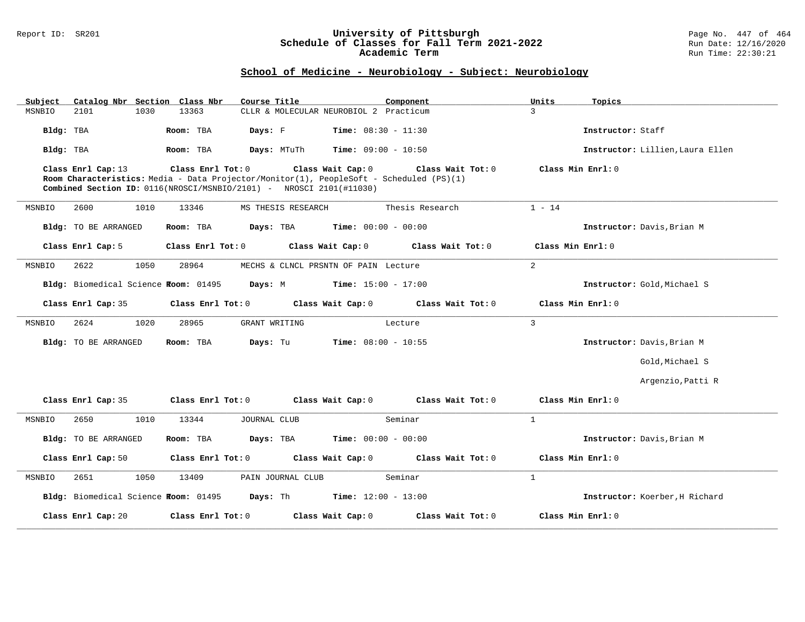#### Report ID: SR201 **University of Pittsburgh** Page No. 447 of 464 **Schedule of Classes for Fall Term 2021-2022** Run Date: 12/16/2020 **Academic Term** Run Time: 22:30:21

### **School of Medicine - Neurobiology - Subject: Neurobiology**

| Subject                              | Catalog Nbr Section Class Nbr<br>Course Title                                                                                                                                                            | Component                                     | Units<br>Topics                  |
|--------------------------------------|----------------------------------------------------------------------------------------------------------------------------------------------------------------------------------------------------------|-----------------------------------------------|----------------------------------|
| 2101<br>MSNBIO                       | 1030<br>13363                                                                                                                                                                                            | CLLR & MOLECULAR NEUROBIOL 2 Practicum        | $\mathbf{R}$                     |
| Bldg: TBA                            | Room: TBA<br>Days: F                                                                                                                                                                                     | <b>Time:</b> $08:30 - 11:30$                  | Instructor: Staff                |
| Bldg: TBA                            | Room: TBA<br>Days: MTuTh                                                                                                                                                                                 | $Time: 09:00 - 10:50$                         | Instructor: Lillien, Laura Ellen |
| Class Enrl Cap: 13                   | Class Enrl Tot: 0<br>Class Wait Cap: 0<br>Room Characteristics: Media - Data Projector/Monitor(1), PeopleSoft - Scheduled (PS)(1)<br>Combined Section ID: 0116(NROSCI/MSNBIO/2101) - NROSCI 2101(#11030) | Class Wait Tot: 0                             | Class Min Enrl: 0                |
| MSNBIO<br>2600                       | 1010<br>13346<br>MS THESIS RESEARCH                                                                                                                                                                      | Thesis Research                               | $1 - 14$                         |
| Bldg: TO BE ARRANGED                 | Room: TBA                                                                                                                                                                                                | <b>Days:</b> TBA <b>Time:</b> $00:00 - 00:00$ | Instructor: Davis, Brian M       |
| Class Enrl Cap: 5                    | Class Enrl Tot: 0                                                                                                                                                                                        | Class Wait Cap: 0<br>Class Wait Tot: 0        | Class Min Enrl: 0                |
| 2622<br>MSNBIO                       | 1050<br>28964                                                                                                                                                                                            | MECHS & CLNCL PRSNTN OF PAIN Lecture          | 2                                |
| Bldg: Biomedical Science Room: 01495 | Days: M                                                                                                                                                                                                  | $Time: 15:00 - 17:00$                         | Instructor: Gold, Michael S      |
| Class Enrl Cap: 35                   | Class Enrl Tot: 0                                                                                                                                                                                        | Class Wait Cap: 0<br>Class Wait Tot: 0        | Class Min Enrl: 0                |
| 2624<br>MSNBIO                       | 1020<br>28965<br>GRANT WRITING                                                                                                                                                                           | Lecture                                       | $\overline{3}$                   |
| <b>Bldg:</b> TO BE ARRANGED          | Days: Tu<br>Room: TBA                                                                                                                                                                                    | <b>Time:</b> $08:00 - 10:55$                  | Instructor: Davis, Brian M       |
|                                      |                                                                                                                                                                                                          |                                               | Gold, Michael S                  |
|                                      |                                                                                                                                                                                                          |                                               | Argenzio, Patti R                |
| Class Enrl Cap: 35                   | Class Enrl Tot: 0<br>Class Wait Cap: 0                                                                                                                                                                   | Class Wait Tot: 0                             | Class Min Enrl: 0                |
| 2650<br>MSNBIO                       | 1010<br>13344<br>JOURNAL CLUB                                                                                                                                                                            | Seminar                                       | $\mathbf{1}$                     |
| <b>Bldg:</b> TO BE ARRANGED          | Room: TBA<br>Days: TBA                                                                                                                                                                                   | <b>Time:</b> $00:00 - 00:00$                  | Instructor: Davis, Brian M       |
| Class Enrl Cap: 50                   | Class Enrl Tot: 0                                                                                                                                                                                        | Class Wait Cap: 0<br>Class Wait Tot: 0        | Class Min Enrl: 0                |
| MSNBIO<br>2651                       | 1050<br>13409<br>PAIN JOURNAL CLUB                                                                                                                                                                       | Seminar                                       | $\mathbf{1}$                     |
|                                      | <b>Bldg:</b> Biomedical Science <b>Room:</b> 01495 <b>Days:</b> Th <b>Time:</b> $12:00 - 13:00$                                                                                                          |                                               | Instructor: Koerber, H Richard   |
| Class Enrl Cap: 20                   | Class Enrl Tot: 0                                                                                                                                                                                        | Class Wait Cap: 0<br>Class Wait Tot: 0        | Class Min Enrl: 0                |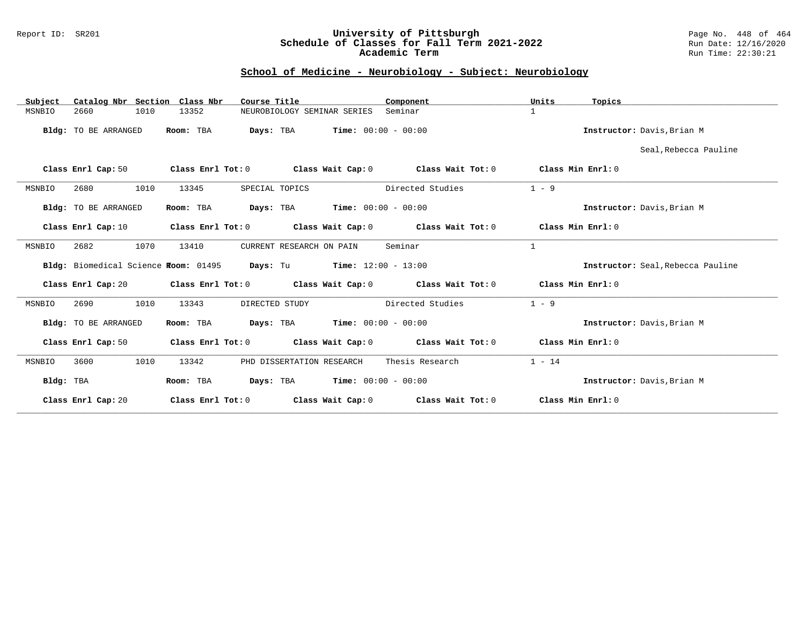#### Report ID: SR201 **University of Pittsburgh** Page No. 448 of 464 **Schedule of Classes for Fall Term 2021-2022** Run Date: 12/16/2020 **Academic Term** Run Time: 22:30:21

# **School of Medicine - Neurobiology - Subject: Neurobiology**

| Subject                | Catalog Nbr Section Class Nbr<br>Course Title                     | Component                                                                                          | Units<br>Topics                   |
|------------------------|-------------------------------------------------------------------|----------------------------------------------------------------------------------------------------|-----------------------------------|
| 2660<br>1010<br>MSNBIO | 13352<br>NEUROBIOLOGY SEMINAR SERIES                              | Seminar                                                                                            | $\mathbf{1}$                      |
| Bldg: TO BE ARRANGED   | Room: TBA                                                         | <b>Days:</b> TBA <b>Time:</b> $00:00 - 00:00$                                                      | Instructor: Davis, Brian M        |
|                        |                                                                   |                                                                                                    | Seal, Rebecca Pauline             |
| Class Enrl Cap: 50     |                                                                   | Class Enrl Tot: 0 $\qquad$ Class Wait Cap: 0 $\qquad$ Class Wait Tot: 0 $\qquad$ Class Min Enrl: 0 |                                   |
| 2680<br>1010<br>MSNBIO | 13345<br>SPECIAL TOPICS                                           | Directed Studies                                                                                   | $1 - 9$                           |
| Bldg: TO BE ARRANGED   | Room: TBA                                                         | <b>Days:</b> TBA <b>Time:</b> $00:00 - 00:00$                                                      | Instructor: Davis, Brian M        |
| Class Enrl Cap: 10     |                                                                   | Class Enrl Tot: $0$ Class Wait Cap: $0$ Class Wait Tot: $0$ Class Min Enrl: $0$                    |                                   |
| 2682<br>1070<br>MSNBIO | 13410<br>CURRENT RESEARCH ON PAIN                                 | Seminar                                                                                            | $\mathbf{1}$                      |
|                        | Bldg: Biomedical Science Room: 01495 Days: Tu Time: 12:00 - 13:00 |                                                                                                    | Instructor: Seal, Rebecca Pauline |
|                        |                                                                   | Class Enrl Cap: 20 Class Enrl Tot: 0 Class Wait Cap: 0 Class Wait Tot: 0 Class Min Enrl: 0         |                                   |
| 2690<br>1010<br>MSNBIO | 13343<br>DIRECTED STUDY                                           | Directed Studies                                                                                   | $1 - 9$                           |
| Bldg: TO BE ARRANGED   | Room: TBA                                                         | <b>Days:</b> TBA <b>Time:</b> $00:00 - 00:00$                                                      | Instructor: Davis, Brian M        |
|                        |                                                                   | Class Enrl Cap: 50 Class Enrl Tot: 0 Class Wait Cap: 0 Class Wait Tot: 0                           | Class Min Enrl: 0                 |
| 3600<br>1010<br>MSNBIO | PHD DISSERTATION RESEARCH<br>13342                                | Thesis Research                                                                                    | $1 - 14$                          |
| Bldg: TBA              | Room: TBA                                                         | <b>Days:</b> TBA <b>Time:</b> $00:00 - 00:00$                                                      | Instructor: Davis, Brian M        |
| Class Enrl Cap: 20     |                                                                   | Class Enrl Tot: $0$ Class Wait Cap: $0$ Class Wait Tot: $0$                                        | Class Min Enrl: 0                 |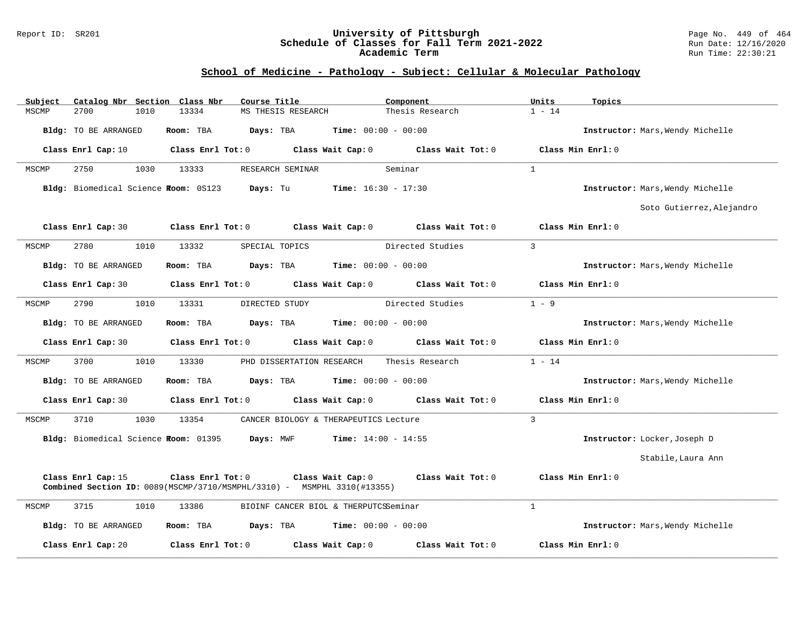#### Report ID: SR201 **University of Pittsburgh** Page No. 449 of 464 **Schedule of Classes for Fall Term 2021-2022** Run Date: 12/16/2020 **Academic Term** Run Time: 22:30:21

# **School of Medicine - Pathology - Subject: Cellular & Molecular Pathology**

| Subject | Catalog Nbr Section Class Nbr                  |                         | Course Title                                                                                          | Component                                                                       | Units<br>Topics                  |  |
|---------|------------------------------------------------|-------------------------|-------------------------------------------------------------------------------------------------------|---------------------------------------------------------------------------------|----------------------------------|--|
| MSCMP   | 2700<br>1010                                   | 13334                   | MS THESIS RESEARCH                                                                                    | Thesis Research                                                                 | $1 - 14$                         |  |
|         | <b>Bldg:</b> TO BE ARRANGED                    | Room: TBA               | Days: TBA                                                                                             | <b>Time:</b> $00:00 - 00:00$                                                    | Instructor: Mars, Wendy Michelle |  |
|         | Class Enrl Cap: 10                             |                         |                                                                                                       | Class Enrl Tot: $0$ Class Wait Cap: $0$ Class Wait Tot: $0$ Class Min Enrl: $0$ |                                  |  |
| MSCMP   | 1030<br>2750                                   | 13333                   | RESEARCH SEMINAR                                                                                      | Seminar                                                                         | $\mathbf{1}$                     |  |
|         |                                                |                         | Bldg: Biomedical Science Room: 0S123 Days: Tu Time: 16:30 - 17:30                                     |                                                                                 | Instructor: Mars, Wendy Michelle |  |
|         |                                                |                         |                                                                                                       |                                                                                 | Soto Gutierrez, Alejandro        |  |
|         | Class Enrl Cap: 30                             |                         |                                                                                                       | Class Enrl Tot: $0$ Class Wait Cap: $0$ Class Wait Tot: $0$                     | Class Min Enrl: 0                |  |
| MSCMP   | 2780<br>1010                                   | 13332                   | SPECIAL TOPICS                                                                                        | Directed Studies                                                                | $\overline{3}$                   |  |
|         | <b>Bldg:</b> TO BE ARRANGED                    | Room: TBA               | Days: TBA                                                                                             | <b>Time:</b> $00:00 - 00:00$                                                    | Instructor: Mars, Wendy Michelle |  |
|         | Class Enrl Cap: 30                             | Class Enrl Tot: 0       | Class Wait Cap: 0                                                                                     | Class Wait Tot: 0                                                               | Class Min Enrl: 0                |  |
| MSCMP   | 2790<br>1010                                   | 13331                   | DIRECTED STUDY                                                                                        | Directed Studies                                                                | $1 - 9$                          |  |
|         | <b>Bldg:</b> TO BE ARRANGED                    | Room: TBA               | <b>Days:</b> TBA <b>Time:</b> $00:00 - 00:00$                                                         |                                                                                 | Instructor: Mars, Wendy Michelle |  |
|         | Class Enrl Cap: 30                             | Class Enrl Tot: 0       | Class Wait Cap: 0                                                                                     | Class Wait Tot: 0                                                               | Class Min Enrl: 0                |  |
| MSCMP   | 3700<br>1010                                   | 13330                   | PHD DISSERTATION RESEARCH                                                                             | Thesis Research                                                                 | $1 - 14$                         |  |
|         | Bldg: TO BE ARRANGED                           | Room: TBA               | <b>Days:</b> TBA <b>Time:</b> $00:00 - 00:00$                                                         |                                                                                 | Instructor: Mars, Wendy Michelle |  |
|         | Class Enrl Cap: 30                             | $Class$ $Enr1$ $Tot: 0$ | Class Wait Cap: 0                                                                                     | Class Wait Tot: 0                                                               | Class Min Enrl: 0                |  |
| MSCMP   | 3710<br>1030                                   | 13354                   | CANCER BIOLOGY & THERAPEUTICS Lecture                                                                 |                                                                                 | $\overline{3}$                   |  |
|         | Bldg: Biomedical Science Foom: 01395 Days: MWF |                         |                                                                                                       | <b>Time:</b> $14:00 - 14:55$                                                    | Instructor: Locker, Joseph D     |  |
|         |                                                |                         |                                                                                                       |                                                                                 | Stabile, Laura Ann               |  |
|         | Class Enrl Cap: 15                             | Class Enrl Tot: 0       | Class Wait Cap: 0<br><b>Combined Section ID:</b> $0089(MSCMP/3710/MSMPHL/3310)$ - MSMPHL 3310(#13355) | Class Wait Tot: 0                                                               | Class Min Enrl: 0                |  |
| MSCMP   | 3715<br>1010                                   | 13386                   | BIOINF CANCER BIOL & THERPUTCSSeminar                                                                 |                                                                                 | $\mathbf{1}$                     |  |
|         | Bldg: TO BE ARRANGED                           | Room: TBA               | Days: TBA<br>$Time: 00:00 - 00:00$                                                                    |                                                                                 | Instructor: Mars, Wendy Michelle |  |
|         | Class Enrl Cap: 20                             | Class Enrl Tot: 0       | Class Wait Cap: 0                                                                                     | Class Wait Tot: 0                                                               | Class Min Enrl: 0                |  |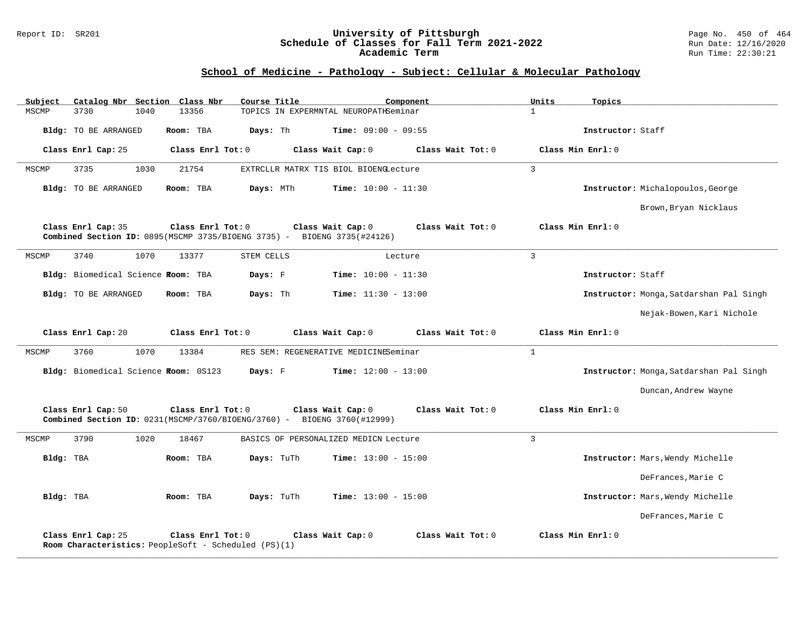#### Report ID: SR201 **University of Pittsburgh** Page No. 450 of 464 **Schedule of Classes for Fall Term 2021-2022** Run Date: 12/16/2020 **Academic Term** Run Time: 22:30:21

# **School of Medicine - Pathology - Subject: Cellular & Molecular Pathology**

| Subject   |                             | Catalog Nbr Section Class Nbr        |                                                                                              | Course Title |                                       | Component         |                | Units             | Topics            |                                         |
|-----------|-----------------------------|--------------------------------------|----------------------------------------------------------------------------------------------|--------------|---------------------------------------|-------------------|----------------|-------------------|-------------------|-----------------------------------------|
| MSCMP     | 3730                        | 1040<br>13356                        |                                                                                              |              | TOPICS IN EXPERMNTAL NEUROPATHSeminar |                   | $\mathbf{1}$   |                   |                   |                                         |
|           | <b>Bldg:</b> TO BE ARRANGED | Room: TBA                            |                                                                                              | Days: Th     | Time: $09:00 - 09:55$                 |                   |                |                   | Instructor: Staff |                                         |
|           | Class Enrl Cap: 25          |                                      | Class Enrl Tot: 0                                                                            |              | Class Wait Cap: 0                     | Class Wait Tot: 0 |                | Class Min Enrl: 0 |                   |                                         |
| MSCMP     | 3735                        | 1030<br>21754                        |                                                                                              |              | EXTRCLLR MATRX TIS BIOL BIOENGLecture |                   | $\overline{3}$ |                   |                   |                                         |
|           | <b>Bldg:</b> TO BE ARRANGED | Room: TBA                            |                                                                                              | Days: MTh    | <b>Time:</b> $10:00 - 11:30$          |                   |                |                   |                   | Instructor: Michalopoulos, George       |
|           |                             |                                      |                                                                                              |              |                                       |                   |                |                   |                   | Brown, Bryan Nicklaus                   |
|           | Class Enrl Cap: 35          |                                      | Class Enrl Tot: 0<br>Combined Section ID: 0895(MSCMP 3735/BIOENG 3735) - BIOENG 3735(#24126) |              | Class Wait Cap: 0                     | Class Wait Tot: 0 |                | Class Min Enrl: 0 |                   |                                         |
| MSCMP     | 3740                        | 1070<br>13377                        |                                                                                              | STEM CELLS   | Lecture                               |                   | 3              |                   |                   |                                         |
|           |                             | Bldg: Biomedical Science Room: TBA   |                                                                                              | Days: F      | <b>Time:</b> $10:00 - 11:30$          |                   |                |                   | Instructor: Staff |                                         |
|           | Bldg: TO BE ARRANGED        | Room: TBA                            |                                                                                              | Days: Th     | <b>Time:</b> $11:30 - 13:00$          |                   |                |                   |                   | Instructor: Monga, Satdarshan Pal Singh |
|           |                             |                                      |                                                                                              |              |                                       |                   |                |                   |                   | Nejak-Bowen, Kari Nichole               |
|           | Class Enrl Cap: 20          |                                      | Class Enrl Tot: 0                                                                            |              | Class Wait Cap: 0                     | Class Wait Tot: 0 |                | Class Min Enrl: 0 |                   |                                         |
| MSCMP     | 3760                        | 1070<br>13384                        |                                                                                              |              | RES SEM: REGENERATIVE MEDICINESeminar |                   | $\mathbf{1}$   |                   |                   |                                         |
|           |                             | Bldg: Biomedical Science Room: 0S123 |                                                                                              | Days: F      | <b>Time:</b> $12:00 - 13:00$          |                   |                |                   |                   | Instructor: Monga, Satdarshan Pal Singh |
|           |                             |                                      |                                                                                              |              |                                       |                   |                |                   |                   | Duncan, Andrew Wayne                    |
|           | Class Enrl Cap: 50          |                                      | Class Enrl Tot: 0<br>Combined Section ID: 0231(MSCMP/3760/BIOENG/3760) - BIOENG 3760(#12999) |              | Class Wait Cap: 0                     | Class Wait Tot: 0 |                | Class Min Enrl: 0 |                   |                                         |
| MSCMP     | 3790                        | 1020<br>18467                        |                                                                                              |              | BASICS OF PERSONALIZED MEDICN Lecture |                   | $\overline{3}$ |                   |                   |                                         |
| Bldg: TBA |                             | Room: TBA                            |                                                                                              | Days: TuTh   | Time: $13:00 - 15:00$                 |                   |                |                   |                   | Instructor: Mars, Wendy Michelle        |
|           |                             |                                      |                                                                                              |              |                                       |                   |                |                   |                   | DeFrances, Marie C                      |
| Bldg: TBA |                             | Room: TBA                            |                                                                                              | Days: TuTh   | <b>Time:</b> $13:00 - 15:00$          |                   |                |                   |                   | Instructor: Mars, Wendy Michelle        |
|           |                             |                                      |                                                                                              |              |                                       |                   |                |                   |                   | DeFrances, Marie C                      |
|           | Class Enrl Cap: 25          |                                      | Class Enrl Tot: 0<br>Room Characteristics: PeopleSoft - Scheduled (PS)(1)                    |              | Class Wait Cap: 0                     | Class Wait Tot: 0 |                | Class Min Enrl: 0 |                   |                                         |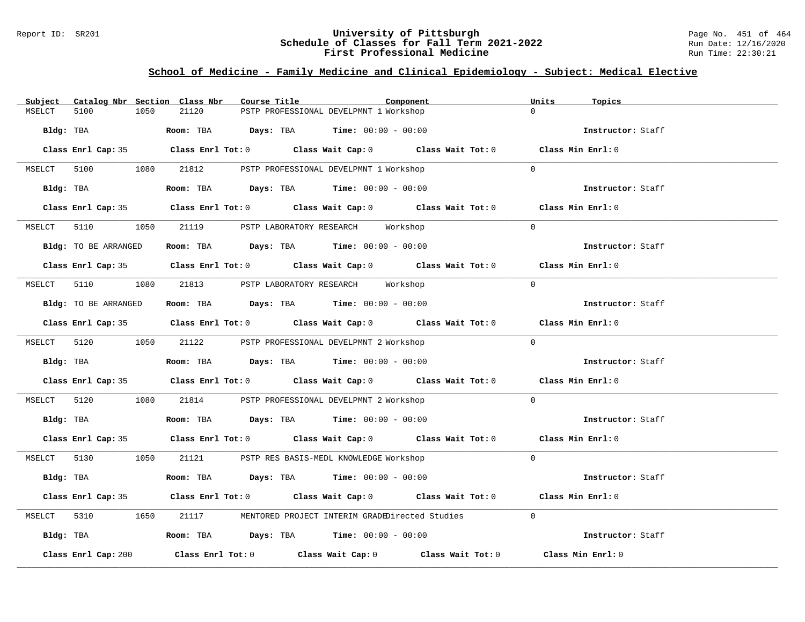#### Report ID: SR201 **University of Pittsburgh** Page No. 451 of 464 **Schedule of Classes for Fall Term 2021-2022** Run Date: 12/16/2020 **First Professional Medicine Research State Control** Run Time: 22:30:21

# **School of Medicine - Family Medicine and Clinical Epidemiology - Subject: Medical Elective**

| Subject     |                      |      | Catalog Nbr Section Class Nbr | Course Title |                                                                                       | Component                                                                                  | Units    | Topics            |  |
|-------------|----------------------|------|-------------------------------|--------------|---------------------------------------------------------------------------------------|--------------------------------------------------------------------------------------------|----------|-------------------|--|
| MSELCT      | 5100                 | 1050 | 21120                         |              | PSTP PROFESSIONAL DEVELPMNT 1 Workshop                                                |                                                                                            | $\cap$   |                   |  |
| Bldg: TBA   |                      |      |                               |              | Room: TBA $Days:$ TBA $Time: 00:00 - 00:00$                                           |                                                                                            |          | Instructor: Staff |  |
|             |                      |      |                               |              |                                                                                       | Class Enrl Cap: 35 Class Enrl Tot: 0 Class Wait Cap: 0 Class Wait Tot: 0 Class Min Enrl: 0 |          |                   |  |
|             |                      |      |                               |              | MSELCT 5100 1080 21812 PSTP PROFESSIONAL DEVELPMNT 1 Workshop                         |                                                                                            | $\Omega$ |                   |  |
|             | Bldg: TBA            |      |                               |              | Room: TBA $Days:$ TBA $Time: 00:00 - 00:00$                                           |                                                                                            |          | Instructor: Staff |  |
|             |                      |      |                               |              |                                                                                       | Class Enrl Cap: 35 Class Enrl Tot: 0 Class Wait Cap: 0 Class Wait Tot: 0 Class Min Enrl: 0 |          |                   |  |
| MSELCT      | 5110                 |      |                               |              | 1050 21119 PSTP LABORATORY RESEARCH Workshop                                          |                                                                                            | $\Omega$ |                   |  |
|             | Bldg: TO BE ARRANGED |      |                               |              | Room: TBA $\rule{1em}{0.15mm}$ Days: TBA $\rule{1.5mm}{0.15mm}$ Time: $00:00 - 00:00$ |                                                                                            |          | Instructor: Staff |  |
|             |                      |      |                               |              |                                                                                       | Class Enrl Cap: 35 Class Enrl Tot: 0 Class Wait Cap: 0 Class Wait Tot: 0 Class Min Enrl: 0 |          |                   |  |
|             |                      |      |                               |              | MSELCT 5110 1080 21813 PSTP LABORATORY RESEARCH Workshop                              |                                                                                            | $\Omega$ |                   |  |
|             | Bldg: TO BE ARRANGED |      |                               |              | Room: TBA $\rule{1em}{0.15mm}$ Days: TBA Time: $00:00 - 00:00$                        |                                                                                            |          | Instructor: Staff |  |
|             |                      |      |                               |              |                                                                                       | Class Enrl Cap: 35 Class Enrl Tot: 0 Class Wait Cap: 0 Class Wait Tot: 0 Class Min Enrl: 0 |          |                   |  |
|             |                      |      |                               |              | MSELCT 5120 1050 21122 PSTP PROFESSIONAL DEVELPMNT 2 Workshop                         |                                                                                            | $\Omega$ |                   |  |
|             |                      |      |                               |              | Bldg: TBA                   Room: TBA         Days: TBA         Time: $00:00 - 00:00$ |                                                                                            |          | Instructor: Staff |  |
|             |                      |      |                               |              |                                                                                       | Class Enrl Cap: 35 Class Enrl Tot: 0 Class Wait Cap: 0 Class Wait Tot: 0 Class Min Enrl: 0 |          |                   |  |
| MSELCT 5120 |                      |      |                               |              | 1080 21814 PSTP PROFESSIONAL DEVELPMNT 2 Workshop                                     |                                                                                            | $\Omega$ |                   |  |
|             |                      |      |                               |              |                                                                                       |                                                                                            |          | Instructor: Staff |  |
|             |                      |      |                               |              |                                                                                       | Class Enrl Cap: 35 Class Enrl Tot: 0 Class Wait Cap: 0 Class Wait Tot: 0 Class Min Enrl: 0 |          |                   |  |
|             |                      |      |                               |              | MSELCT 5130 1050 21121 PSTP RES BASIS-MEDL KNOWLEDGE Workshop                         |                                                                                            | $\Omega$ |                   |  |
|             |                      |      |                               |              | Bldg: TBA                     Room: TBA         Days: TBA        Time: 00:00 - 00:00  |                                                                                            |          | Instructor: Staff |  |
|             |                      |      |                               |              |                                                                                       | Class Enrl Cap: 35 Class Enrl Tot: 0 Class Wait Cap: 0 Class Wait Tot: 0 Class Min Enrl: 0 |          |                   |  |
| MSELCT 5310 |                      |      |                               |              |                                                                                       | 1650 21117 MENTORED PROJECT INTERIM GRADEDirected Studies                                  | $\Omega$ |                   |  |
|             |                      |      |                               |              | Bldg: TBA                   Room: TBA         Days: TBA        Time: $00:00 - 00:00$  |                                                                                            |          | Instructor: Staff |  |
|             | Class Enrl Cap: 200  |      |                               |              |                                                                                       | Class Enrl Tot: $0$ Class Wait Cap: $0$ Class Wait Tot: $0$                                |          | Class Min Enrl: 0 |  |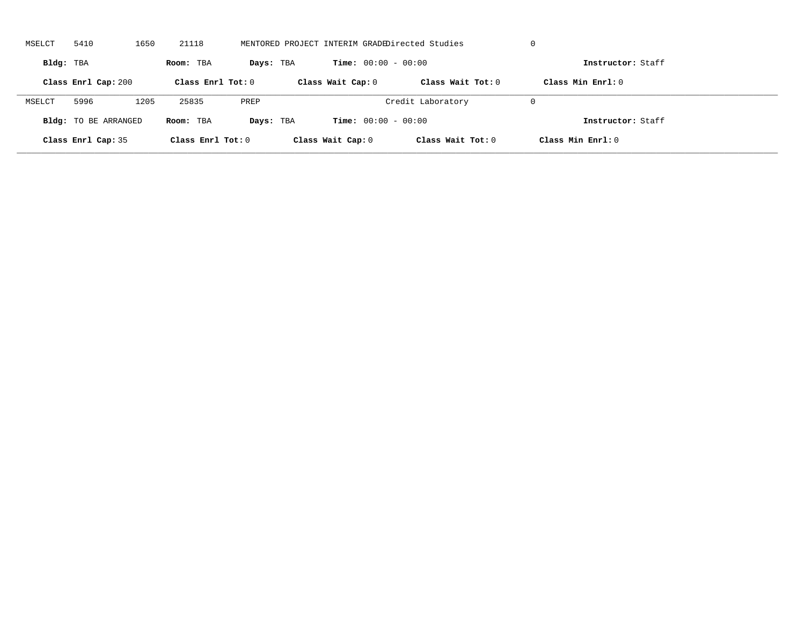| MSELCT    | 5410                        | 1650 | 21118             |           | MENTORED PROJECT INTERIM GRADEDirected Studies |                              |                     | U                   |
|-----------|-----------------------------|------|-------------------|-----------|------------------------------------------------|------------------------------|---------------------|---------------------|
| Bldg: TBA |                             |      | Room: TBA         | Days: TBA |                                                | <b>Time:</b> $00:00 - 00:00$ |                     | Instructor: Staff   |
|           | Class Enrl Cap: 200         |      | Class Enrl Tot: 0 |           | Class Wait Cap: 0                              |                              | Class Wait Tot: $0$ | Class Min $Enrl: 0$ |
| MSELCT    | 5996                        | 1205 | 25835             | PREP      |                                                | Credit Laboratory            |                     | U                   |
|           | <b>Bldg:</b> TO BE ARRANGED |      | Room: TBA         | Days: TBA |                                                | <b>Time:</b> $00:00 - 00:00$ |                     | Instructor: Staff   |
|           | Class Enrl Cap: 35          |      | Class Enrl Tot: 0 |           | Class Wait Cap: 0                              |                              | Class Wait Tot: 0   | Class Min Enrl: 0   |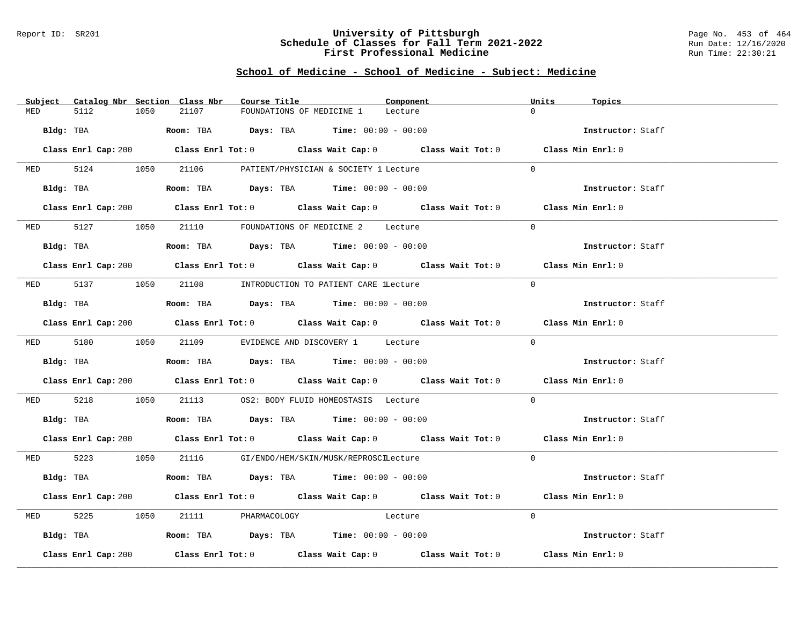#### Report ID: SR201 **University of Pittsburgh** Page No. 453 of 464 **Schedule of Classes for Fall Term 2021-2022** Run Date: 12/16/2020 **First Professional Medicine Research State Control** Run Time: 22:30:21

# **School of Medicine - School of Medicine - Subject: Medicine**

| Subject Catalog Nbr Section Class Nbr | Course Title                                                                                   | Component | Units<br>Topics   |
|---------------------------------------|------------------------------------------------------------------------------------------------|-----------|-------------------|
| 5112<br>1050<br>MED                   | 21107<br>FOUNDATIONS OF MEDICINE 1                                                             | Lecture   | $\Omega$          |
| Bldg: TBA                             | <b>Room:</b> TBA $\qquad \qquad$ <b>Days:</b> TBA $\qquad \qquad$ <b>Time:</b> $00:00 - 00:00$ |           | Instructor: Staff |
|                                       | Class Enrl Cap: 200 Class Enrl Tot: 0 Class Wait Cap: 0 Class Wait Tot: 0 Class Min Enrl: 0    |           |                   |
| 5124 1050<br><b>MED</b>               | 21106<br>PATIENT/PHYSICIAN & SOCIETY 1 Lecture                                                 |           | $\Omega$          |
|                                       | Bldg: TBA                    Room: TBA         Days: TBA         Time: 00:00 - 00:00           |           | Instructor: Staff |
|                                       | Class Enrl Cap: 200 Class Enrl Tot: 0 Class Wait Cap: 0 Class Wait Tot: 0 Class Min Enrl: 0    |           |                   |
| MED 5127 1050                         | 21110 FOUNDATIONS OF MEDICINE 2 Lecture                                                        |           | $\Omega$          |
| Bldg: TBA                             | <b>Room:</b> TBA $\qquad \qquad$ Days: TBA $\qquad \qquad$ Time: $00:00 - 00:00$               |           | Instructor: Staff |
|                                       | Class Enrl Cap: 200 Class Enrl Tot: 0 Class Wait Cap: 0 Class Wait Tot: 0 Class Min Enrl: 0    |           |                   |
|                                       | MED 5137 1050 21108 INTRODUCTION TO PATIENT CARE lLecture                                      |           | $\Omega$          |
| Bldg: TBA                             | Room: TBA $Days:$ TBA Time: $00:00 - 00:00$                                                    |           | Instructor: Staff |
|                                       | Class Enrl Cap: 200 Class Enrl Tot: 0 Class Wait Cap: 0 Class Wait Tot: 0 Class Min Enrl: 0    |           |                   |
|                                       | MED 5180 1050 21109 EVIDENCE AND DISCOVERY 1 Lecture                                           |           | $\Omega$          |
| Bldg: TBA                             | Room: TBA $\rule{1em}{0.15mm}$ Days: TBA Time: $00:00 - 00:00$                                 |           | Instructor: Staff |
|                                       | Class Enrl Cap: 200 Class Enrl Tot: 0 Class Wait Cap: 0 Class Wait Tot: 0 Class Min Enrl: 0    |           |                   |
| MED 5218<br>1050                      | 21113 OS2: BODY FLUID HOMEOSTASIS Lecture                                                      |           | $\Omega$          |
| Bldg: TBA                             | Room: TBA $\rule{1em}{0.15mm}$ Days: TBA Time: $00:00 - 00:00$                                 |           | Instructor: Staff |
|                                       | Class Enrl Cap: 200 Class Enrl Tot: 0 Class Wait Cap: 0 Class Wait Tot: 0 Class Min Enrl: 0    |           |                   |
|                                       | MED 5223 1050 21116 GI/ENDO/HEM/SKIN/MUSK/REPROSCILecture                                      |           | $\Omega$          |
| Bldg: TBA                             | Room: TBA $Days:$ TBA $Time:$ $00:00 - 00:00$                                                  |           | Instructor: Staff |
|                                       | Class Enrl Cap: 200 Class Enrl Tot: 0 Class Wait Cap: 0 Class Wait Tot: 0 Class Min Enrl: 0    |           |                   |
| 5225<br>1050<br>MED                   | 21111 PHARMACOLOGY Lecture                                                                     |           | $\Omega$          |
|                                       | Bldg: TBA                    Room: TBA         Days: TBA         Time: $00:00 - 00:00$         |           | Instructor: Staff |
| Class Enrl Cap: 200                   | Class Enrl Tot: $0$ Class Wait Cap: $0$ Class Wait Tot: $0$ Class Min Enrl: $0$                |           |                   |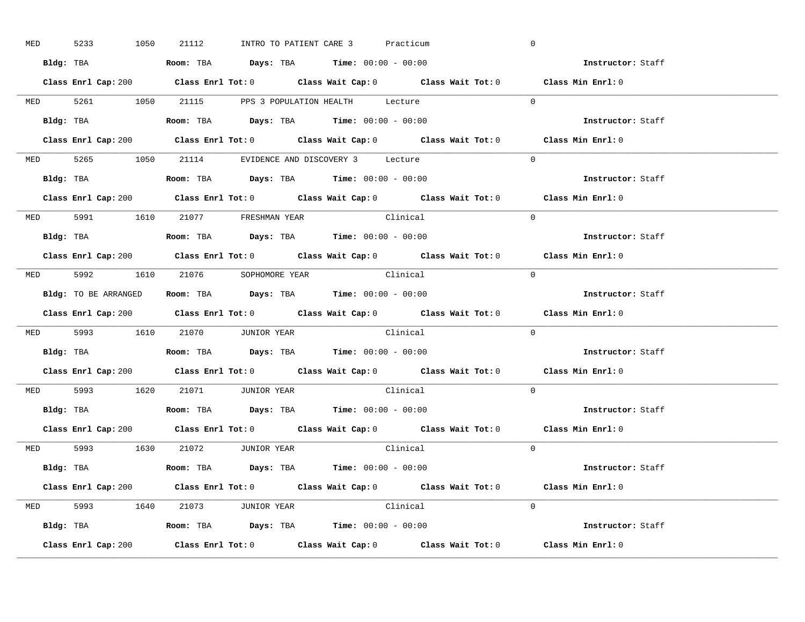| <b>MED</b> | 5233 | 1050                                                                      | 21112                                                                                       | INTRO TO PATIENT CARE 3 |          | Practicum | $\overline{0}$ |                                                                                             |
|------------|------|---------------------------------------------------------------------------|---------------------------------------------------------------------------------------------|-------------------------|----------|-----------|----------------|---------------------------------------------------------------------------------------------|
|            |      |                                                                           | Bldg: TBA                  Room: TBA         Days: TBA         Time: 00:00 - 00:00          |                         |          |           |                | Instructor: Staff                                                                           |
|            |      |                                                                           |                                                                                             |                         |          |           |                | Class Enrl Cap: 200 Class Enrl Tot: 0 Class Wait Cap: 0 Class Wait Tot: 0 Class Min Enrl: 0 |
|            |      |                                                                           | MED 5261 1050 21115 PPS 3 POPULATION HEALTH Lecture                                         |                         |          |           | $\overline{0}$ |                                                                                             |
|            |      |                                                                           | Bldg: TBA                   Room: TBA         Days: TBA         Time: $00:00 - 00:00$       |                         |          |           |                | Instructor: Staff                                                                           |
|            |      |                                                                           |                                                                                             |                         |          |           |                | Class Enrl Cap: 200 Class Enrl Tot: 0 Class Wait Cap: 0 Class Wait Tot: 0 Class Min Enrl: 0 |
|            |      |                                                                           | MED 5265 1050 21114 EVIDENCE AND DISCOVERY 3 Lecture                                        |                         |          |           | $\Omega$       |                                                                                             |
|            |      |                                                                           | Bldg: TBA                    Room: TBA         Days: TBA        Time: $00:00 - 00:00$       |                         |          |           |                | Instructor: Staff                                                                           |
|            |      |                                                                           |                                                                                             |                         |          |           |                | Class Enrl Cap: 200 Class Enrl Tot: 0 Class Wait Cap: 0 Class Wait Tot: 0 Class Min Enrl: 0 |
|            |      |                                                                           | MED 5991 1610 21077 FRESHMAN YEAR                                                           |                         | Clinical |           | $\Omega$       |                                                                                             |
|            |      |                                                                           | Bldg: TBA                    Room: TBA           Days: TBA          Time: $00:00 - 00:00$   |                         |          |           |                | Instructor: Staff                                                                           |
|            |      |                                                                           |                                                                                             |                         |          |           |                | Class Enrl Cap: 200 Class Enrl Tot: 0 Class Wait Cap: 0 Class Wait Tot: 0 Class Min Enrl: 0 |
|            |      |                                                                           | MED 5992 1610 21076 SOPHOMORE YEAR                                                          |                         |          | Clinical  | $\bigcirc$     |                                                                                             |
|            |      |                                                                           | <b>Bldg:</b> TO BE ARRANGED <b>Room:</b> TBA <b>Days:</b> TBA <b>Time:</b> $00:00 - 00:00$  |                         |          |           |                | Instructor: Staff                                                                           |
|            |      |                                                                           |                                                                                             |                         |          |           |                | Class Enrl Cap: 200 Class Enrl Tot: 0 Class Wait Cap: 0 Class Wait Tot: 0 Class Min Enrl: 0 |
|            |      |                                                                           | MED 5993 1610 21070 JUNIOR YEAR Clinical                                                    |                         |          |           | $\overline{0}$ |                                                                                             |
|            |      |                                                                           | Bldg: TBA                    Room: TBA         Days: TBA         Time: $00:00 - 00:00$      |                         |          |           |                | Instructor: Staff                                                                           |
|            |      |                                                                           |                                                                                             |                         |          |           |                | Class Enrl Cap: 200 Class Enrl Tot: 0 Class Wait Cap: 0 Class Wait Tot: 0 Class Min Enrl: 0 |
|            |      |                                                                           | MED 5993 1620 21071 JUNIOR YEAR                                                             |                         | Clinical |           | $\Omega$       |                                                                                             |
|            |      |                                                                           | Bldg: TBA                   Room: TBA         Days: TBA         Time: $00:00 - 00:00$       |                         |          |           |                | Instructor: Staff                                                                           |
|            |      |                                                                           |                                                                                             |                         |          |           |                | Class Enrl Cap: 200 Class Enrl Tot: 0 Class Wait Cap: 0 Class Wait Tot: 0 Class Min Enrl: 0 |
|            |      |                                                                           | MED 5993 1630 21072 JUNIOR YEAR                                                             |                         |          | Clinical  | $\Omega$       |                                                                                             |
|            |      |                                                                           | Bldg: TBA                        Room: TBA           Days: TBA          Time: 00:00 - 00:00 |                         |          |           |                | Instructor: Staff                                                                           |
|            |      |                                                                           |                                                                                             |                         |          |           |                | Class Enrl Cap: 200 Class Enrl Tot: 0 Class Wait Cap: 0 Class Wait Tot: 0 Class Min Enrl: 0 |
|            |      |                                                                           | MED 5993 1640 21073 JUNIOR YEAR                                                             |                         | Clinical |           | $\Omega$       |                                                                                             |
|            |      |                                                                           | <b>Bldg:</b> TBA <b>Room:</b> TBA <b>Days:</b> TBA <b>Time:</b> $00:00 - 00:00$             |                         |          |           |                | Instructor: Staff                                                                           |
|            |      | Class Enrl Cap: 200 Class Enrl Tot: 0 Class Wait Cap: 0 Class Wait Tot: 0 |                                                                                             |                         |          |           |                | Class Min Enrl: 0                                                                           |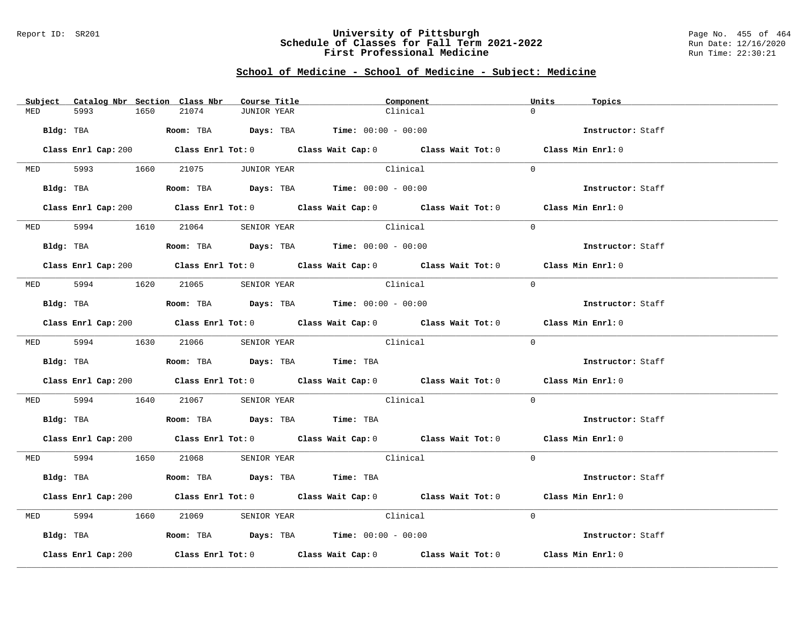#### Report ID: SR201 **University of Pittsburgh** Page No. 455 of 464 **Schedule of Classes for Fall Term 2021-2022** Run Date: 12/16/2020 **First Professional Medicine Research State Control** Run Time: 22:30:21

# **School of Medicine - School of Medicine - Subject: Medicine**

|            | Subject Catalog Nbr Section Class Nbr | Course Title                                                                                | Component                                                                                   | Units<br>Topics   |
|------------|---------------------------------------|---------------------------------------------------------------------------------------------|---------------------------------------------------------------------------------------------|-------------------|
| MED        | 5993<br>1650                          | 21074<br>JUNIOR YEAR                                                                        | Clinical                                                                                    | $\Omega$          |
|            |                                       |                                                                                             |                                                                                             |                   |
|            | Bldg: TBA                             |                                                                                             | <b>Room:</b> TBA $Days: TBA$ <b>Time:</b> $00:00 - 00:00$                                   | Instructor: Staff |
|            |                                       |                                                                                             | Class Enrl Cap: 200 Class Enrl Tot: 0 Class Wait Cap: 0 Class Wait Tot: 0 Class Min Enrl: 0 |                   |
|            |                                       | MED 5993 1660 21075 JUNIOR YEAR                                                             | Clinical                                                                                    | $\Omega$          |
|            |                                       |                                                                                             |                                                                                             |                   |
|            |                                       | Bldg: TBA                    Room: TBA         Days: TBA         Time: 00:00 - 00:00        |                                                                                             | Instructor: Staff |
|            |                                       |                                                                                             | Class Enrl Cap: 200 Class Enrl Tot: 0 Class Wait Cap: 0 Class Wait Tot: 0 Class Min Enrl: 0 |                   |
|            | MED 5994 1610 21064                   | SENIOR YEAR                                                                                 | Clinical                                                                                    | $\Omega$          |
|            |                                       | $Bldg:$ TBA $\qquad \qquad$ Room: TBA Days: TBA  Time: $00:00 - 00:00$                      |                                                                                             | Instructor: Staff |
|            |                                       |                                                                                             | Class Enrl Cap: 200 Class Enrl Tot: 0 Class Wait Cap: 0 Class Wait Tot: 0 Class Min Enrl: 0 |                   |
|            |                                       | MED 5994 1620 21065 SENIOR YEAR                                                             | Clinical                                                                                    | $\Omega$          |
|            | Bldg: TBA                             |                                                                                             | Room: TBA $Days:$ TBA $Time:$ 00:00 - 00:00                                                 | Instructor: Staff |
|            |                                       |                                                                                             | Class Enrl Cap: 200 Class Enrl Tot: 0 Class Wait Cap: 0 Class Wait Tot: 0 Class Min Enrl: 0 |                   |
|            |                                       |                                                                                             |                                                                                             | $\Omega$          |
|            |                                       | MED 5994 1630 21066 SENIOR YEAR                                                             | Clinical                                                                                    |                   |
|            |                                       | Bldg: TBA                   Room: TBA         Days: TBA        Time: TBA                    |                                                                                             | Instructor: Staff |
|            |                                       |                                                                                             | Class Enrl Cap: 200 Class Enrl Tot: 0 Class Wait Cap: 0 Class Wait Tot: 0 Class Min Enrl: 0 |                   |
|            |                                       |                                                                                             | MED 5994 1640 21067 SENIOR YEAR Clinical                                                    | $\Omega$          |
|            |                                       | Bldg: TBA                   Room: TBA        Days: TBA         Time: TBA                    |                                                                                             | Instructor: Staff |
|            |                                       |                                                                                             | Class Enrl Cap: 200 Class Enrl Tot: 0 Class Wait Cap: 0 Class Wait Tot: 0 Class Min Enrl: 0 |                   |
|            |                                       | MED 5994 1650 21068 SENIOR YEAR                                                             | Clinical                                                                                    | $\Omega$          |
|            |                                       | Bldg: TBA                         Room: TBA          Days: TBA          Time: TBA           |                                                                                             | Instructor: Staff |
|            |                                       |                                                                                             | Class Enrl Cap: 200 Class Enrl Tot: 0 Class Wait Cap: 0 Class Wait Tot: 0 Class Min Enrl: 0 |                   |
| <b>MED</b> | 5994 700                              | 1660<br>21069                                                                               | SENIOR YEAR Clinical                                                                        | $\Omega$          |
|            |                                       | Bldg: TBA                        Room: TBA          Days: TBA         Time: $00:00 - 00:00$ |                                                                                             | Instructor: Staff |
|            | Class Enrl Cap: 200                   |                                                                                             | Class Enrl Tot: $0$ Class Wait Cap: $0$ Class Wait Tot: $0$                                 | Class Min Enrl: 0 |
|            |                                       |                                                                                             |                                                                                             |                   |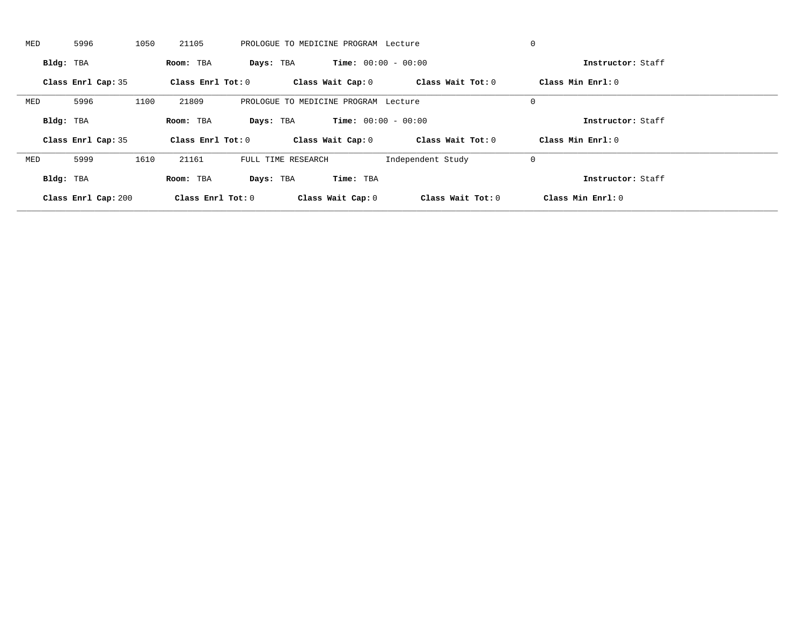| MED       | 5996               | 1050 | 21105               |           | PROLOGUE TO MEDICINE PROGRAM Lecture |                              |                   | 0                   |  |
|-----------|--------------------|------|---------------------|-----------|--------------------------------------|------------------------------|-------------------|---------------------|--|
| Bldg: TBA |                    |      | Room: TBA           | Days: TBA |                                      | <b>Time:</b> $00:00 - 00:00$ |                   | Instructor: Staff   |  |
|           | Class Enrl Cap: 35 |      | Class Enrl Tot: $0$ |           | Class Wait Cap: 0                    |                              | Class Wait Tot: 0 | Class Min Enrl: 0   |  |
| MED       | 5996               | 1100 | 21809               |           | PROLOGUE TO MEDICINE PROGRAM Lecture |                              |                   | $\mathbf 0$         |  |
| Bldg: TBA |                    |      | Room: TBA           | Days: TBA |                                      | <b>Time:</b> $00:00 - 00:00$ |                   | Instructor: Staff   |  |
|           | Class Enrl Cap: 35 |      | Class Enrl Tot: 0   |           | Class Wait Cap: 0                    |                              | Class Wait Tot: 0 | Class Min $Enrl: 0$ |  |
| MED       | 5999               | 1610 | 21161               |           | FULL TIME RESEARCH                   |                              | Independent Study | 0                   |  |
| Bldg: TBA |                    |      |                     |           |                                      | Time: TBA                    |                   | Instructor: Staff   |  |
|           |                    |      | Room: TBA           | Days: TBA |                                      |                              |                   |                     |  |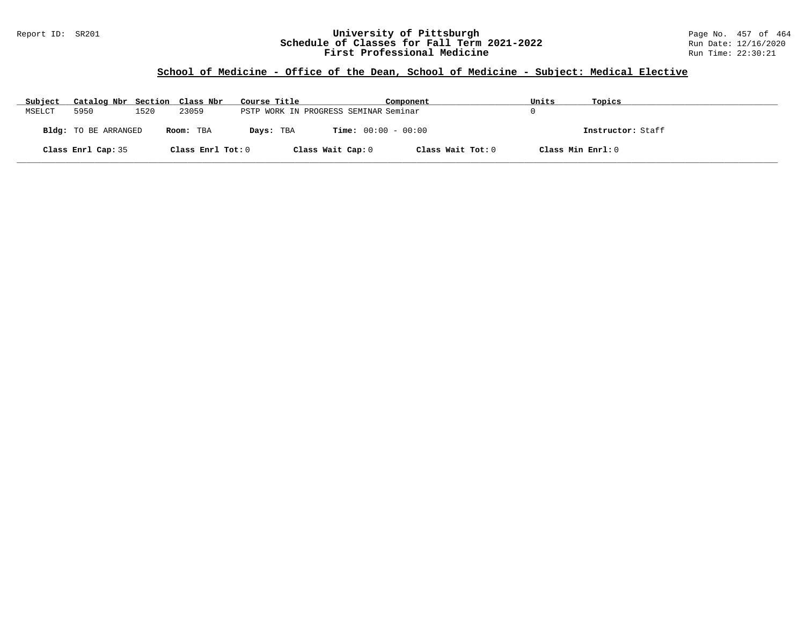#### Report ID: SR201 **University of Pittsburgh** Page No. 457 of 464 **Schedule of Classes for Fall Term 2021-2022** Run Date: 12/16/2020 **First Professional Medicine Research State Control** Run Time: 22:30:21

# **School of Medicine - Office of the Dean, School of Medicine - Subject: Medical Elective**

| Subject | Catalog Nbr Section Class Nbr |      |                   | Course Title                          | Component                    | Units             | Topics            |
|---------|-------------------------------|------|-------------------|---------------------------------------|------------------------------|-------------------|-------------------|
| MSELCT  | 5950                          | 1520 | 23059             | PSTP WORK IN PROGRESS SEMINAR Seminar |                              |                   |                   |
|         | Bldg: TO BE ARRANGED          |      | Room: TBA         | Days: TBA                             | <b>Time:</b> $00:00 - 00:00$ |                   | Instructor: Staff |
|         | Class Enrl Cap: 35            |      | Class Enrl Tot: 0 | Class Wait Cap: 0                     | Class Wait Tot: 0            | Class Min Enrl: 0 |                   |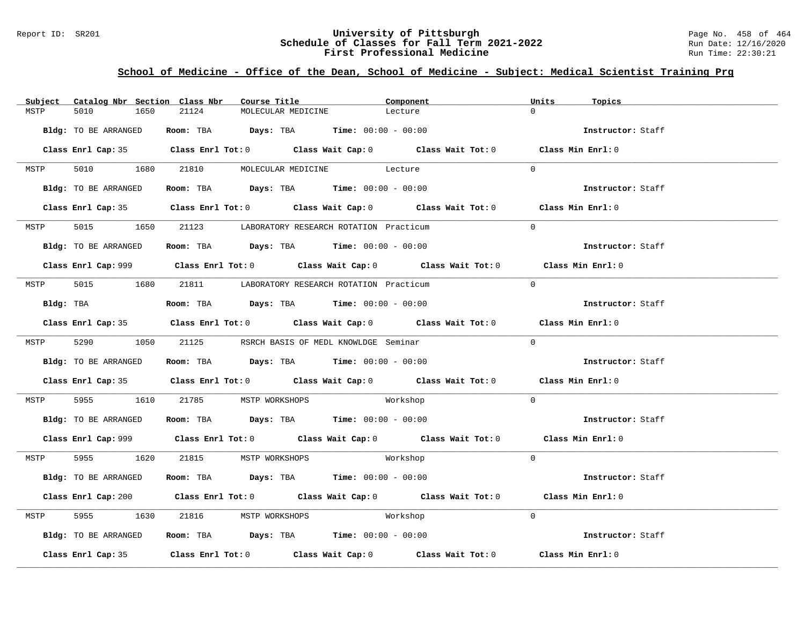#### Report ID: SR201 **University of Pittsburgh** Page No. 458 of 464 **Schedule of Classes for Fall Term 2021-2022** Run Date: 12/16/2020 **First Professional Medicine Research State Control** Run Time: 22:30:21

# **School of Medicine - Office of the Dean, School of Medicine - Subject: Medical Scientist Training Prg**

|      | Subject Catalog Nbr Section Class Nbr | Course Title                                                   |                               | Component                                                                                   | Units<br>Topics          |  |
|------|---------------------------------------|----------------------------------------------------------------|-------------------------------|---------------------------------------------------------------------------------------------|--------------------------|--|
| MSTP | 5010<br>1650                          | 21124                                                          | MOLECULAR MEDICINE            | Lecture                                                                                     | $\cap$                   |  |
|      | Bldg: TO BE ARRANGED                  | Room: TBA $Days: TBA$ Time: $00:00 - 00:00$                    |                               |                                                                                             | Instructor: Staff        |  |
|      |                                       |                                                                |                               | Class Enrl Cap: 35 Class Enrl Tot: 0 Class Wait Cap: 0 Class Wait Tot: 0 Class Min Enrl: 0  |                          |  |
| MSTP |                                       | 5010 1680 21810 MOLECULAR MEDICINE Lecture                     |                               |                                                                                             | $\Omega$                 |  |
|      | Bldg: TO BE ARRANGED                  | Room: TBA $Days:$ TBA $Time: 00:00 - 00:00$                    |                               |                                                                                             | Instructor: Staff        |  |
|      |                                       |                                                                |                               | Class Enrl Cap: 35 Class Enrl Tot: 0 Class Wait Cap: 0 Class Wait Tot: 0 Class Min Enrl: 0  |                          |  |
| MSTP |                                       | 5015 1650 21123 LABORATORY RESEARCH ROTATION Practicum         |                               |                                                                                             | $\Omega$                 |  |
|      | Bldg: TO BE ARRANGED                  | Room: TBA $Days:$ TBA $Time: 00:00 - 00:00$                    |                               |                                                                                             | <b>Instructor:</b> Staff |  |
|      |                                       |                                                                |                               | Class Enrl Cap: 999 Class Enrl Tot: 0 Class Wait Cap: 0 Class Wait Tot: 0 Class Min Enrl: 0 |                          |  |
|      |                                       | MSTP 5015 1680 21811 LABORATORY RESEARCH ROTATION Practicum    |                               |                                                                                             | $\Omega$                 |  |
|      | Bldg: TBA                             | Room: TBA $Days:$ TBA $Time: 00:00 - 00:00$                    |                               |                                                                                             | Instructor: Staff        |  |
|      |                                       |                                                                |                               | Class Enrl Cap: 35 Class Enrl Tot: 0 Class Wait Cap: 0 Class Wait Tot: 0 Class Min Enrl: 0  |                          |  |
|      |                                       | MSTP 5290 1050 21125 RSRCH BASIS OF MEDL KNOWLDGE Seminar      |                               |                                                                                             | $\Omega$                 |  |
|      | Bldg: TO BE ARRANGED                  | Room: TBA $\rule{1em}{0.15mm}$ Days: TBA Time: $00:00 - 00:00$ |                               |                                                                                             | Instructor: Staff        |  |
|      |                                       |                                                                |                               | Class Enrl Cap: 35 Class Enrl Tot: 0 Class Wait Cap: 0 Class Wait Tot: 0 Class Min Enrl: 0  |                          |  |
| MSTP | 5955 700                              | 1610 21785 MSTP WORKSHOPS Morkshop                             |                               |                                                                                             | $\overline{0}$           |  |
|      |                                       | Bldg: TO BE ARRANGED Room: TBA Days: TBA Time: 00:00 - 00:00   |                               |                                                                                             | Instructor: Staff        |  |
|      |                                       |                                                                |                               | Class Enrl Cap: 999 Class Enrl Tot: 0 Class Wait Cap: 0 Class Wait Tot: 0 Class Min Enrl: 0 |                          |  |
|      |                                       | MSTP 5955 1620 21815 MSTP WORKSHOPS                            | Workshop                      |                                                                                             | $\Omega$                 |  |
|      | Bldg: TO BE ARRANGED                  | Room: TBA $\rule{1em}{0.15mm}$ Days: TBA Time: $00:00 - 00:00$ |                               |                                                                                             | Instructor: Staff        |  |
|      |                                       |                                                                |                               | Class Enrl Cap: 200 Class Enrl Tot: 0 Class Wait Cap: 0 Class Wait Tot: 0 Class Min Enrl: 0 |                          |  |
| MSTP | 5955<br>1630                          |                                                                | 21816 MSTP WORKSHOPS Morkshop |                                                                                             | $\Omega$                 |  |
|      | Bldg: TO BE ARRANGED                  | Room: TBA $Days:$ TBA $Time: 00:00 - 00:00$                    |                               |                                                                                             | Instructor: Staff        |  |
|      |                                       |                                                                |                               | Class Enrl Cap: 35 Class Enrl Tot: 0 Class Wait Cap: 0 Class Wait Tot: 0 Class Min Enrl: 0  |                          |  |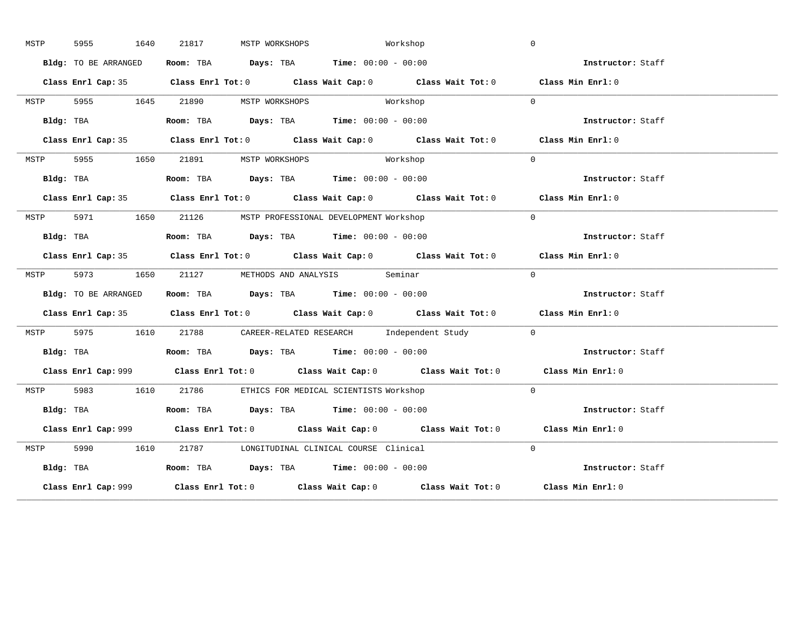| MSTP | 1640<br>5955         | 21817<br>MSTP WORKSHOPS        | Workshop                                                                                    | $\mathbf 0$       |
|------|----------------------|--------------------------------|---------------------------------------------------------------------------------------------|-------------------|
|      | Bldg: TO BE ARRANGED |                                | Room: TBA Days: TBA Time: $00:00 - 00:00$                                                   | Instructor: Staff |
|      |                      |                                | Class Enrl Cap: 35 Class Enrl Tot: 0 Class Wait Cap: 0 Class Wait Tot: 0 Class Min Enrl: 0  |                   |
| MSTP |                      | 5955 1645 21890 MSTP WORKSHOPS | Workshop                                                                                    | $\Omega$          |
|      | Bldg: TBA            |                                | Room: TBA $Days: TBA$ Time: $00:00 - 00:00$                                                 | Instructor: Staff |
|      |                      |                                | Class Enrl Cap: 35 Class Enrl Tot: 0 Class Wait Cap: 0 Class Wait Tot: 0 Class Min Enrl: 0  |                   |
|      |                      |                                | MSTP 5955 1650 21891 MSTP WORKSHOPS Workshop                                                | $\Omega$          |
|      |                      |                                | Bldg: TBA                   Room: TBA        Days: TBA        Time: 00:00 - 00:00           | Instructor: Staff |
|      |                      |                                | Class Enrl Cap: 35 Class Enrl Tot: 0 Class Wait Cap: 0 Class Wait Tot: 0 Class Min Enrl: 0  |                   |
| MSTP |                      |                                | 5971 1650 21126 MSTP PROFESSIONAL DEVELOPMENT Workshop                                      | $\Omega$          |
|      | Bldg: TBA            |                                | Room: TBA $Days:$ TBA $Time: 00:00 - 00:00$                                                 | Instructor: Staff |
|      |                      |                                | Class Enrl Cap: 35 Class Enrl Tot: 0 Class Wait Cap: 0 Class Wait Tot: 0 Class Min Enrl: 0  |                   |
| MSTP |                      |                                | 5973 1650 21127 METHODS AND ANALYSIS Seminar                                                | $\Omega$          |
|      | Bldg: TO BE ARRANGED |                                | Room: TBA $Days:$ TBA Time: $00:00 - 00:00$                                                 | Instructor: Staff |
|      |                      |                                | Class Enrl Cap: 35 Class Enrl Tot: 0 Class Wait Cap: 0 Class Wait Tot: 0 Class Min Enrl: 0  |                   |
|      |                      |                                | MSTP 5975 1610 21788 CAREER-RELATED RESEARCH Independent Study 0                            |                   |
|      |                      |                                | $Bldq$ : TBA $Room$ : TBA $Days$ : TBA $Time$ : $00:00 - 00:00$                             | Instructor: Staff |
|      |                      |                                | Class Enrl Cap: 999 Class Enrl Tot: 0 Class Wait Cap: 0 Class Wait Tot: 0 Class Min Enrl: 0 |                   |
|      |                      |                                | MSTP 5983 1610 21786 ETHICS FOR MEDICAL SCIENTISTS Workshop                                 | $\Omega$          |
|      |                      |                                | Bldg: TBA                    Room: TBA         Days: TBA         Time: $00:00 - 00:00$      | Instructor: Staff |
|      |                      |                                | Class Enrl Cap: 999 Class Enrl Tot: 0 Class Wait Cap: 0 Class Wait Tot: 0                   | Class Min Enrl: 0 |
| MSTP |                      |                                | 5990 1610 21787 LONGITUDINAL CLINICAL COURSE Clinical                                       | $\Omega$          |
|      |                      |                                | Bldg: TBA                    Room: TBA         Days: TBA         Time: $00:00 - 00:00$      | Instructor: Staff |
|      |                      |                                |                                                                                             | Class Min Enrl: 0 |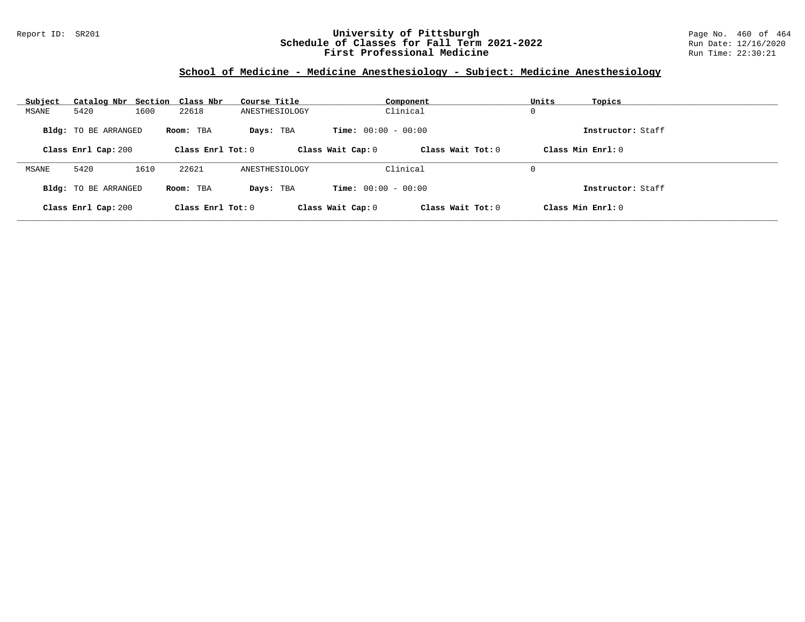#### Report ID: SR201 **University of Pittsburgh** Page No. 460 of 464 **Schedule of Classes for Fall Term 2021-2022** Run Date: 12/16/2020 **First Professional Medicine Research State Control** Run Time: 22:30:21

### **School of Medicine - Medicine Anesthesiology - Subject: Medicine Anesthesiology**

| Subject | Catalog Nbr Section Class Nbr |      |                   | Course Title   |                              | Component         | Units | Topics            |
|---------|-------------------------------|------|-------------------|----------------|------------------------------|-------------------|-------|-------------------|
| MSANE   | 5420                          | 1600 | 22618             | ANESTHESIOLOGY |                              | Clinical          | 0     |                   |
|         | <b>Bldg:</b> TO BE ARRANGED   |      | Room: TBA         | Days: TBA      | <b>Time:</b> $00:00 - 00:00$ |                   |       | Instructor: Staff |
|         | Class Enrl Cap: 200           |      | Class Enrl Tot: 0 |                | Class Wait Cap: 0            | Class Wait Tot: 0 |       | Class Min Enrl: 0 |
| MSANE   | 5420                          | 1610 | 22621             | ANESTHESIOLOGY |                              | Clinical          | 0     |                   |
|         | Bldg: TO BE ARRANGED          |      | Room: TBA         | Days: TBA      | <b>Time:</b> $00:00 - 00:00$ |                   |       | Instructor: Staff |
|         | Class Enrl Cap: 200           |      | Class Enrl Tot: 0 |                | Class Wait Cap: 0            | Class Wait Tot: 0 |       | Class Min Enrl: 0 |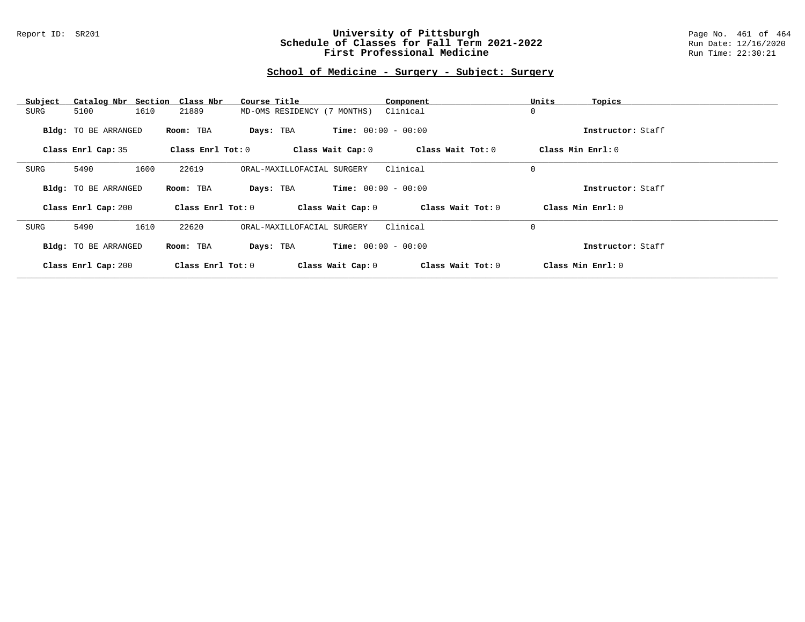#### Report ID: SR201 **University of Pittsburgh** Page No. 461 of 464 **Schedule of Classes for Fall Term 2021-2022** Run Date: 12/16/2020 **First Professional Medicine Research State Control** Run Time: 22:30:21

# **School of Medicine - Surgery - Subject: Surgery**

| Subject                     | Catalog Nbr Section Class Nbr | Course Title                | Component                    | Units<br>Topics   |
|-----------------------------|-------------------------------|-----------------------------|------------------------------|-------------------|
| 5100<br>SURG                | 1610<br>21889                 | MD-OMS RESIDENCY (7 MONTHS) | Clinical                     | 0                 |
| <b>Bldg:</b> TO BE ARRANGED | Room: TBA                     | Days: TBA                   | <b>Time:</b> $00:00 - 00:00$ | Instructor: Staff |
| Class Enrl Cap: 35          | Class Enrl Tot: $0$           | Class Wait Cap: 0           | Class Wait Tot: 0            | Class Min Enrl: 0 |
|                             |                               |                             |                              |                   |
| 5490<br>SURG                | 1600<br>22619                 | ORAL-MAXILLOFACIAL SURGERY  | Clinical                     | $\mathbf 0$       |
| <b>Bldg:</b> TO BE ARRANGED | Room: TBA                     | Days: TBA                   | <b>Time:</b> $00:00 - 00:00$ | Instructor: Staff |
| Class Enrl Cap: 200         | Class Enrl Tot: 0             | Class Wait Cap: 0           | Class Wait Tot: 0            | Class Min Enrl: 0 |
| 5490<br>SURG                | 1610<br>22620                 | ORAL-MAXILLOFACIAL SURGERY  | Clinical                     | 0                 |
| Bldg: TO BE ARRANGED        | Room: TBA                     | Days: TBA                   | <b>Time:</b> $00:00 - 00:00$ | Instructor: Staff |
| Class Enrl Cap: 200         | Class Enrl Tot: 0             | Class Wait Cap: 0           | Class Wait Tot: 0            | Class Min Enrl: 0 |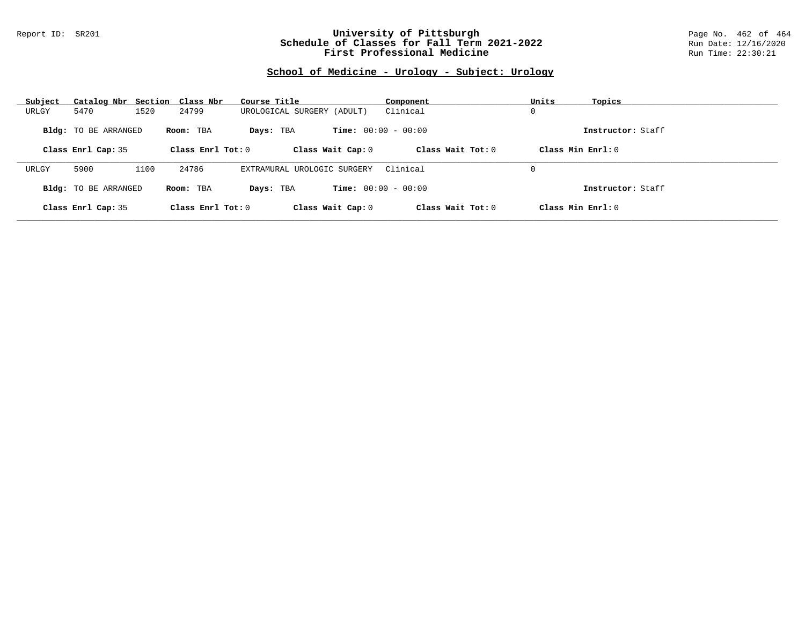#### Report ID: SR201 **University of Pittsburgh** Page No. 462 of 464 **Schedule of Classes for Fall Term 2021-2022** Run Date: 12/16/2020 **First Professional Medicine Research State Control** Run Time: 22:30:21

# **School of Medicine - Urology - Subject: Urology**

| Subject | Catalog Nbr Section         | Class Nbr           | Course Title                | Component                    | Units<br>Topics     |                   |
|---------|-----------------------------|---------------------|-----------------------------|------------------------------|---------------------|-------------------|
| URLGY   | 5470                        | 1520<br>24799       | UROLOGICAL SURGERY (ADULT)  | Clinical                     | 0                   |                   |
|         | <b>Bldg:</b> TO BE ARRANGED | Room: TBA           | Days: TBA                   | <b>Time:</b> $00:00 - 00:00$ |                     | Instructor: Staff |
|         | Class Enrl Cap: 35          | Class Enrl Tot: $0$ | Class Wait Cap: 0           | Class Wait $Tot: 0$          | Class Min $Enrl: 0$ |                   |
| URLGY   | 5900                        | 24786<br>1100       | EXTRAMURAL UROLOGIC SURGERY | Clinical                     | 0                   |                   |
|         | Bldg: TO BE ARRANGED        | Room: TBA           | Days: TBA                   | <b>Time:</b> $00:00 - 00:00$ |                     | Instructor: Staff |
|         | Class Enrl Cap: 35          | Class Enrl Tot: $0$ | Class Wait Cap: 0           | Class Wait $Tot: 0$          | Class Min Enrl: 0   |                   |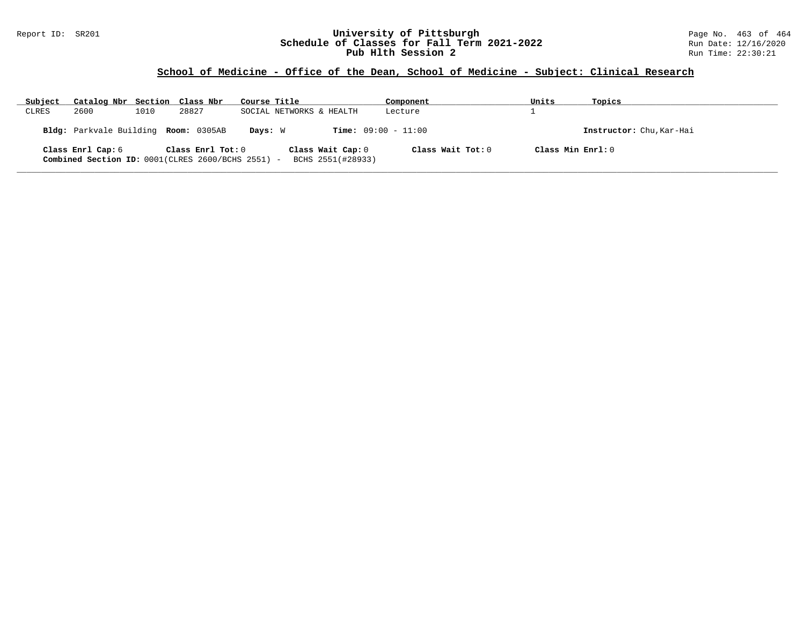#### Report ID: SR201 **University of Pittsburgh** Page No. 463 of 464 **Schedule of Classes for Fall Term 2021-2022** Run Date: 12/16/2020 **Pub Hlth Session 2 Run** Time: 22:30:21

# **School of Medicine - Office of the Dean, School of Medicine - Subject: Clinical Research**

| Subject | Catalog Nbr Section Class Nbr                                          |      |                   | Course Title |                                        | Component           | Units             | Topics                   |
|---------|------------------------------------------------------------------------|------|-------------------|--------------|----------------------------------------|---------------------|-------------------|--------------------------|
| CLRES   | 2600                                                                   | 1010 | 28827             |              | SOCIAL NETWORKS & HEALTH               | Lecture             |                   |                          |
|         | Bldg: Parkvale Building Room: 0305AB                                   |      |                   | Davs: W      | <b>Time:</b> $09:00 - 11:00$           |                     |                   | Instructor: Chu, Kar-Hai |
|         | Class Enrl Cap: 6<br>Combined Section ID: 0001(CLRES 2600/BCHS 2551) - |      | Class Enrl Tot: 0 |              | Class Wait Cap: 0<br>BCHS 2551(#28933) | Class Wait Tot: $0$ | Class Min Enrl: 0 |                          |